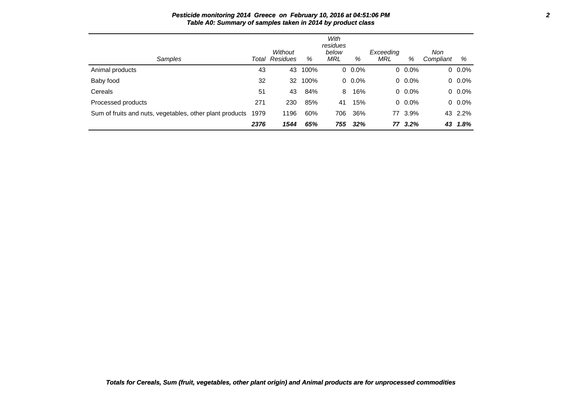| Samples                                                  | Total | Without<br>Residues | %    | With<br>residues<br>below<br>MRL | %       | Exceeding<br>MRL | %       | Non<br>Compliant | %       |
|----------------------------------------------------------|-------|---------------------|------|----------------------------------|---------|------------------|---------|------------------|---------|
| Animal products                                          | 43    | 43                  | 100% |                                  | $0.0\%$ |                  | $0.0\%$ |                  | $0.0\%$ |
| Baby food                                                | 32    | 32                  | 100% |                                  | $0.0\%$ |                  | $0.0\%$ |                  | $0.0\%$ |
| Cereals                                                  | 51    | 43                  | 84%  | 8                                | 16%     |                  | $0.0\%$ |                  | 0.0%    |
| Processed products                                       | 271   | 230                 | 85%  | 41                               | 15%     |                  | $0.0\%$ |                  | $0.0\%$ |
| Sum of fruits and nuts, vegetables, other plant products | 1979  | 1196                | 60%  | 706                              | 36%     |                  | 77 3.9% |                  | 43 2.2% |
|                                                          | 2376  | 1544                | 65%  | 755                              | 32%     |                  | 77 3.2% | 43               | 1.8%    |

## **Pesticide monitoring 2014 Greece on February 10, 2016 at 04:51:06 PM 2 Table A0: Summary of samples taken in 2014 by product class**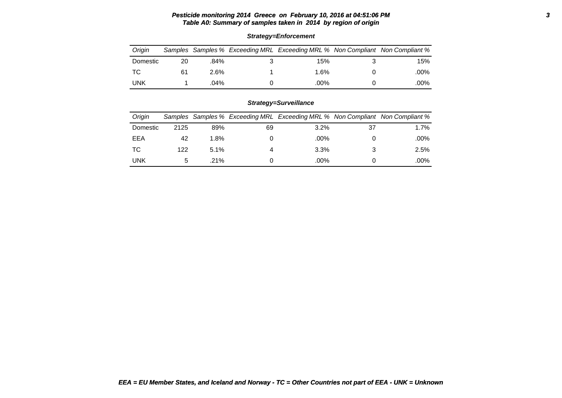## **Pesticide monitoring 2014 Greece on February 10, 2016 at 04:51:06 PM 3 Table A0: Summary of samples taken in 2014 by region of origin**

| Oriain   |    |         | Samples Samples % Exceeding MRL Exceeding MRL % Non Compliant Non Compliant % |      |
|----------|----|---------|-------------------------------------------------------------------------------|------|
| Domestic | 20 | .84%    | 15%                                                                           | 15%  |
| ТC       | 61 | $2.6\%$ | 1.6%                                                                          | .00% |
| UNK      |    | .04%    | .00%                                                                          | .00% |

# **Strategy=Enforcement**

# **Strategy=Surveillance**

| Origin   |      |         |    | Samples Samples % Exceeding MRL Exceeding MRL % Non Compliant Non Compliant % |    |         |
|----------|------|---------|----|-------------------------------------------------------------------------------|----|---------|
| Domestic | 2125 | 89%     | 69 | 3.2%                                                                          | 37 | $1.7\%$ |
| EEA      | 42   | 1.8%    |    | .00%                                                                          |    | .00%    |
| ТC       | 122  | 5.1%    |    | 3.3%                                                                          |    | 2.5%    |
| UNK      |      | $.21\%$ |    | .00%                                                                          |    | .00%    |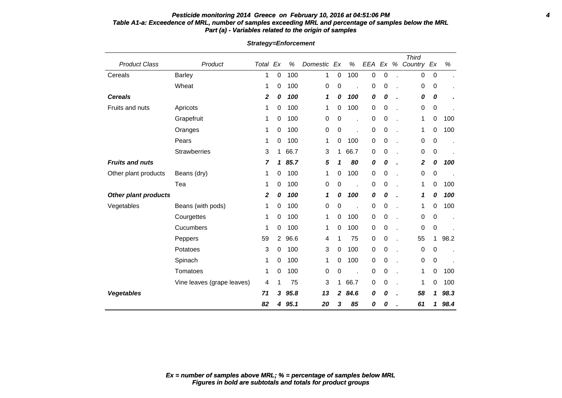## **Pesticide monitoring 2014 Greece on February 10, 2016 at 04:51:06 PM 4 Table A1-a: Exceedence of MRL, number of samples exceeding MRL and percentage of samples below the MRL Part (a) - Variables related to the origin of samples**

|                             |                            |                  |                |      |          |    |      |           |             |   | <b>Third</b> |             |      |
|-----------------------------|----------------------------|------------------|----------------|------|----------|----|------|-----------|-------------|---|--------------|-------------|------|
| <b>Product Class</b>        | Product                    | Total Ex         |                | %    | Domestic | Ex | %    | EEA       | Ex          | % | Country Ex   |             | %    |
| Cereals                     | <b>Barley</b>              | 1                | 0              | 100  | 1        | 0  | 100  | 0         | 0           |   | 0            | $\pmb{0}$   |      |
|                             | Wheat                      | 1                | 0              | 100  | 0        | 0  |      | 0         | 0           |   | 0            | 0           |      |
| <b>Cereals</b>              |                            | 2                | 0              | 100  | 1        | 0  | 100  | 0         | 0           |   | 0            | 0           |      |
| Fruits and nuts             | Apricots                   | 1                | 0              | 100  | 1        | 0  | 100  | 0         | 0           |   | 0            | $\pmb{0}$   |      |
|                             | Grapefruit                 | 1                | 0              | 100  | 0        | 0  |      | 0         | 0           |   | 1            | $\pmb{0}$   | 100  |
|                             | Oranges                    | 1                | 0              | 100  | 0        | 0  |      | 0         | 0           |   | 1            | 0           | 100  |
|                             | Pears                      | 1                | 0              | 100  | 1        | 0  | 100  | $\pmb{0}$ | 0           |   | 0            | 0           |      |
|                             | <b>Strawberries</b>        | 3                | $\mathbf{1}$   | 66.7 | 3        | 1  | 66.7 | 0         | 0           |   | 0            | 0           |      |
| <b>Fruits and nuts</b>      |                            | $\overline{7}$   | 1              | 85.7 | 5        | 1  | 80   | 0         | 0           |   | 2            | 0           | 100  |
| Other plant products        | Beans (dry)                | 1                | 0              | 100  | 1        | 0  | 100  | 0         | 0           |   | 0            | 0           |      |
|                             | Tea                        | 1                | 0              | 100  | 0        | 0  |      | 0         | 0           |   | 1            | 0           | 100  |
| <b>Other plant products</b> |                            | $\boldsymbol{2}$ | 0              | 100  | 1        | 0  | 100  | 0         | 0           |   | 1            | 0           | 100  |
| Vegetables                  | Beans (with pods)          | 1                | 0              | 100  | 0        | 0  |      | 0         | 0           |   | 1            | 0           | 100  |
|                             | Courgettes                 | 1                | 0              | 100  | 1        | 0  | 100  | 0         | 0           |   | 0            | 0           |      |
|                             | Cucumbers                  | 1                | 0              | 100  | 1        | 0  | 100  | $\pmb{0}$ | $\pmb{0}$   |   | 0            | $\pmb{0}$   |      |
|                             | Peppers                    | 59               | $\overline{2}$ | 96.6 | 4        | 1  | 75   | 0         | $\mathbf 0$ |   | 55           | 1           | 98.2 |
|                             | Potatoes                   | 3                | 0              | 100  | 3        | 0  | 100  | $\pmb{0}$ | 0           |   | 0            | 0           |      |
|                             | Spinach                    | 1                | 0              | 100  | 1        | 0  | 100  | 0         | $\mathbf 0$ |   | 0            | $\pmb{0}$   |      |
|                             | Tomatoes                   | 1                | 0              | 100  | 0        | 0  |      | 0         | 0           |   | 1            | 0           | 100  |
|                             | Vine leaves (grape leaves) | 4                |                | 75   | 3        | 1  | 66.7 | 0         | $\mathbf 0$ |   | 1            | $\mathbf 0$ | 100  |
| <b>Vegetables</b>           |                            | 71               | 3              | 95.8 | 13       | 2  | 84.6 | 0         | 0           |   | 58           | 1           | 98.3 |
|                             |                            | 82               | 4              | 95.1 | 20       | 3  | 85   | 0         | 0           |   | 61           | 1           | 98.4 |

## **Strategy=Enforcement**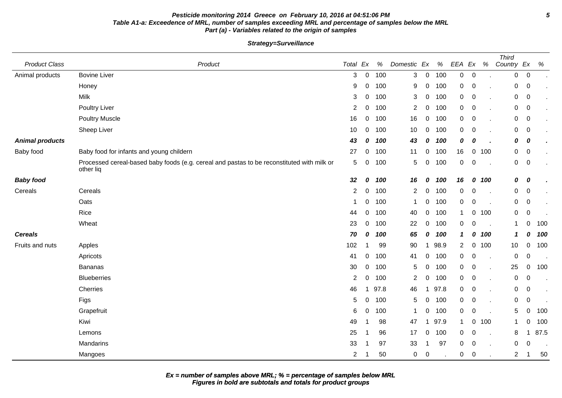## **Pesticide monitoring 2014 Greece on February 10, 2016 at 04:51:06 PM 5 Table A1-a: Exceedence of MRL, number of samples exceeding MRL and percentage of samples below the MRL Part (a) - Variables related to the origin of samples**

**Strategy=Surveillance**

| <b>Product Class</b>   | Product                                                                                                 | Total Ex       |             | $\%$ | Domestic Ex    |                | %    | EEA Ex      |             | $\%$ | <b>Third</b><br>Country Ex |                  | %    |
|------------------------|---------------------------------------------------------------------------------------------------------|----------------|-------------|------|----------------|----------------|------|-------------|-------------|------|----------------------------|------------------|------|
| Animal products        | <b>Bovine Liver</b>                                                                                     | 3              | $\mathbf 0$ | 100  | 3              | $\overline{0}$ | 100  | 0           | $\pmb{0}$   |      | 0                          | $\overline{0}$   |      |
|                        | Honey                                                                                                   | 9              | 0           | 100  | 9              | 0              | 100  | 0           | $\,0\,$     |      | $\mathbf 0$                | $\overline{0}$   |      |
|                        | Milk                                                                                                    | 3              | 0           | 100  | 3              | 0              | 100  | 0           | 0           |      | $\mathbf 0$                | $\overline{0}$   |      |
|                        | <b>Poultry Liver</b>                                                                                    | 2              | 0           | 100  | $\overline{2}$ | 0              | 100  | $\mathbf 0$ | 0           |      | 0                          | $\overline{0}$   |      |
|                        | <b>Poultry Muscle</b>                                                                                   | 16             | 0           | 100  | 16             | 0              | 100  | 0           | $\mathbf 0$ |      | $\mathbf 0$                | $\overline{0}$   |      |
|                        | Sheep Liver                                                                                             | 10             | 0           | 100  | 10             | $\mathbf 0$    | 100  | 0           | 0           |      | 0                          | 0                |      |
| <b>Animal products</b> |                                                                                                         | 43             | 0           | 100  | 43             | 0              | 100  | 0           | 0           |      | 0                          | 0                |      |
| Baby food              | Baby food for infants and young childern                                                                | 27             | 0           | 100  | 11             | 0              | 100  | 16          | 0           | 100  | $\overline{0}$             | $\overline{0}$   |      |
|                        | Processed cereal-based baby foods (e.g. cereal and pastas to be reconstituted with milk or<br>other liq | 5              | 0           | 100  | 5              | 0              | 100  | $\mathbf 0$ | 0           |      | $\mathbf 0$                | $\overline{0}$   |      |
| <b>Baby food</b>       |                                                                                                         | 32             | 0           | 100  | 16             | 0              | 100  | 16          | 0           | 100  | 0                          | 0                |      |
| Cereals                | Cereals                                                                                                 | $\overline{2}$ | 0           | 100  | $\overline{2}$ | 0              | 100  | 0           | 0           |      | $\mathbf 0$                | $\overline{0}$   |      |
|                        | Oats                                                                                                    | 1              | 0           | 100  | $\mathbf{1}$   | 0              | 100  | $\mathbf 0$ | 0           |      | $\mathbf 0$                | $\overline{0}$   |      |
|                        | Rice                                                                                                    | 44             | 0           | 100  | 40             | 0              | 100  | 1           | 0           | 100  | $\mathbf 0$                | $\boldsymbol{0}$ |      |
|                        | Wheat                                                                                                   | 23             | 0           | 100  | 22             | 0              | 100  | 0           | 0           |      | $\mathbf{1}$               | $\Omega$         | 100  |
| <b>Cereals</b>         |                                                                                                         | 70             | 0           | 100  | 65             | 0              | 100  | 1           | 0           | 100  | $\mathbf{1}$               | 0                | 100  |
| Fruits and nuts        | Apples                                                                                                  | 102            |             | 99   | 90             | -1             | 98.9 | 2           | 0           | 100  | 10                         | 0                | 100  |
|                        | Apricots                                                                                                | 41             | 0           | 100  | 41             | 0              | 100  | 0           | 0           |      | $\pmb{0}$                  | 0                |      |
|                        | <b>Bananas</b>                                                                                          | 30             | $\mathbf 0$ | 100  | 5              | 0              | 100  | 0           | 0           |      | 25                         | $\mathbf 0$      | 100  |
|                        | <b>Blueberries</b>                                                                                      | $\overline{2}$ | 0           | 100  | 2              | 0              | 100  | 0           | 0           |      | $\pmb{0}$                  | 0                |      |
|                        | Cherries                                                                                                | 46             |             | 97.8 | 46             | 1              | 97.8 | 0           | $\mathbf 0$ |      | 0                          | $\mathbf 0$      |      |
|                        | Figs                                                                                                    | 5              | 0           | 100  | 5              | 0              | 100  | $\mathbf 0$ | $\pmb{0}$   |      | $\mathbf 0$                | $\pmb{0}$        |      |
|                        | Grapefruit                                                                                              | 6              | 0           | 100  | 1              | 0              | 100  | $\mathbf 0$ | 0           |      | 5                          | $\Omega$         | 100  |
|                        | Kiwi                                                                                                    | 49             |             | 98   | 47             | 1              | 97.9 | 1           | 0           | 100  | $\mathbf 1$                |                  | 100  |
|                        | Lemons                                                                                                  | 25             |             | 96   | 17             | 0              | 100  | 0           | 0           |      | 8                          | -1               | 87.5 |
|                        | Mandarins                                                                                               | 33             |             | 97   | 33             | 1              | 97   | 0           | 0           |      | 0                          | 0                |      |
|                        | Mangoes                                                                                                 | 2              |             | 50   | 0              | $\mathbf 0$    |      | 0           | 0           |      | $\overline{2}$             |                  | 50   |

**Figures in bold are subtotals and totals for product groups Ex = number of samples above MRL; % = percentage of samples below MRL**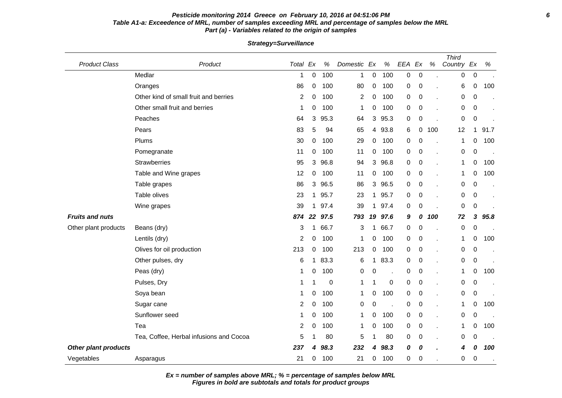## **Pesticide monitoring 2014 Greece on February 10, 2016 at 04:51:06 PM 6 Table A1-a: Exceedence of MRL, number of samples exceeding MRL and percentage of samples below the MRL Part (a) - Variables related to the origin of samples**

**Strategy=Surveillance**

| <b>Product Class</b>        | Product                                 | Total Ex       |    | $\%$ | Domestic | Ex           | $\%$                 | EEA | Ex               | $\%$ | <b>Third</b><br>Country Ex |                  | $\%$ |
|-----------------------------|-----------------------------------------|----------------|----|------|----------|--------------|----------------------|-----|------------------|------|----------------------------|------------------|------|
|                             | Medlar                                  | 1              | 0  | 100  | 1        | $\pmb{0}$    | 100                  | 0   | $\boldsymbol{0}$ |      | 0                          | $\pmb{0}$        |      |
|                             | Oranges                                 | 86             | 0  | 100  | 80       | 0            | 100                  | 0   | $\pmb{0}$        |      | 6                          | $\pmb{0}$        | 100  |
|                             | Other kind of small fruit and berries   | 2              | 0  | 100  | 2        | 0            | 100                  | 0   | 0                |      | 0                          | 0                |      |
|                             | Other small fruit and berries           | 1              | 0  | 100  | 1        | 0            | 100                  | 0   | $\pmb{0}$        |      | 0                          | 0                |      |
|                             | Peaches                                 | 64             | 3  | 95.3 | 64       | 3            | 95.3                 | 0   | $\pmb{0}$        |      | $\pmb{0}$                  | $\boldsymbol{0}$ |      |
|                             | Pears                                   | 83             | 5  | 94   | 65       | 4            | 93.8                 | 6   | 0                | 100  | 12                         | 1                | 91.7 |
|                             | Plums                                   | 30             | 0  | 100  | 29       | 0            | 100                  | 0   | 0                |      | 1                          | 0                | 100  |
|                             | Pomegranate                             | 11             | 0  | 100  | 11       | 0            | 100                  | 0   | $\pmb{0}$        |      | 0                          | $\pmb{0}$        |      |
|                             | Strawberries                            | 95             | 3  | 96.8 | 94       | 3            | 96.8                 | 0   | 0                |      | $\mathbf{1}$               | 0                | 100  |
|                             | Table and Wine grapes                   | 12             | 0  | 100  | 11       | 0            | 100                  | 0   | 0                |      | 1                          | 0                | 100  |
|                             | Table grapes                            | 86             | 3  | 96.5 | 86       | 3            | 96.5                 | 0   | $\pmb{0}$        |      | 0                          | $\pmb{0}$        |      |
|                             | Table olives                            | 23             | 1  | 95.7 | 23       |              | 1 95.7               | 0   | $\mathbf 0$      |      | 0                          | $\mathbf 0$      |      |
|                             | Wine grapes                             | 39             | 1  | 97.4 | 39       | 1            | 97.4                 | 0   | 0                |      | 0                          | $\pmb{0}$        |      |
| <b>Fruits and nuts</b>      |                                         | 874            | 22 | 97.5 | 793      | 19           | 97.6                 | 9   | 0                | 100  | 72                         | 3                | 95.8 |
| Other plant products        | Beans (dry)                             | 3              | 1  | 66.7 | 3        | $\mathbf{1}$ | 66.7                 | 0   | $\mathbf 0$      |      | 0                          | $\mathbf 0$      |      |
|                             | Lentils (dry)                           | $\overline{2}$ | 0  | 100  | 1        | 0            | 100                  | 0   | 0                |      | 1                          | 0                | 100  |
|                             | Olives for oil production               | 213            | 0  | 100  | 213      | 0            | 100                  | 0   | 0                |      | 0                          | $\pmb{0}$        |      |
|                             | Other pulses, dry                       | 6              | 1  | 83.3 | 6        | 1            | 83.3                 | 0   | 0                |      | 0                          | 0                |      |
|                             | Peas (dry)                              | 1              | 0  | 100  | 0        | 0            | $\ddot{\phantom{a}}$ | 0   | 0                |      | 1                          | 0                | 100  |
|                             | Pulses, Dry                             | 1              |    | 0    | 1        |              | $\,0\,$              | 0   | 0                |      | 0                          | $\pmb{0}$        |      |
|                             | Soya bean                               | 1              | 0  | 100  | 1        | 0            | 100                  | 0   | 0                |      | 0                          | $\pmb{0}$        |      |
|                             | Sugar cane                              | 2              | 0  | 100  | 0        | 0            | $\ddot{\phantom{a}}$ | 0   | 0                |      | $\mathbf 1$                | 0                | 100  |
|                             | Sunflower seed                          | 1              | 0  | 100  | 1        | 0            | 100                  | 0   | $\pmb{0}$        |      | 0                          | $\mathbf 0$      |      |
|                             | Tea                                     | $\overline{2}$ | 0  | 100  | 1        | 0            | 100                  | 0   | 0                |      | 1                          | 0                | 100  |
|                             | Tea, Coffee, Herbal infusions and Cocoa | 5              |    | 80   | 5        |              | 80                   | 0   | $\pmb{0}$        |      | 0                          | $\mathbf 0$      |      |
| <b>Other plant products</b> |                                         | 237            | 4  | 98.3 | 232      | 4            | 98.3                 | 0   | 0                |      | 4                          | 0                | 100  |
| Vegetables                  | Asparagus                               | 21             | 0  | 100  | 21       | 0            | 100                  | 0   | 0                |      | 0                          | $\mathbf 0$      |      |

**Ex = number of samples above MRL; % = percentage of samples below MRL**

**Figures in bold are subtotals and totals for product groups**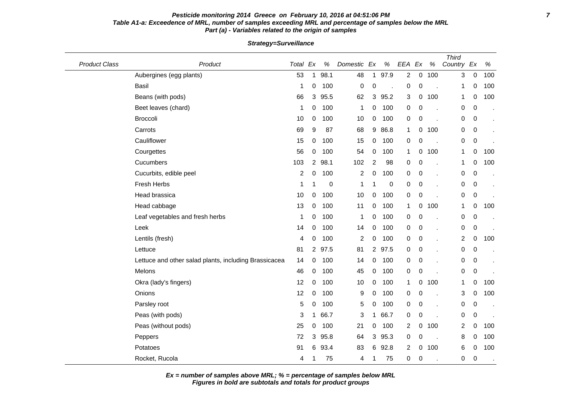#### **Pesticide monitoring 2014 Greece on February 10, 2016 at 04:51:06 PM 7 Table A1-a: Exceedence of MRL, number of samples exceeding MRL and percentage of samples below the MRL Part (a) - Variables related to the origin of samples**

Product Class **Product Class** Product **Product Class Product Class** Product **Product Ex % EEA Ex** % Third Country Ex % Aubergines (egg plants)  $\begin{array}{cccccccc}\n 63 & 1 & 98.1 & 48 & 1 & 97.9 & 2 & 0 & 100 \\
\end{array}$  0 100 Basil 1 0 100 0 0 . 0 0 . 1 0 100 Beans (with pods) 66 3 95.5 62 3 95.2 3 0 100 1 0 100 Beet leaves (chard) 1 0 100 1 0 100 0 0 . 0 0 . Broccoli 10 0 100 10 0 100 0 0 . 0 0 . Carrots 69 9 87 68 9 86.8 1 0 100 0 0 . Cauliflower 15 0 100 15 0 100 0 0 . 0 0 . Courgettes 56 0 100 54 0 100 1 0 100 1 0 100 Cucumbers 103 2 98.1 102 2 98 0 0 . 1 0 100 Cucurbits, edible peel **2 0 100 2 0 100 0 0** . 0 0 . Fresh Herbs 1 1 0 1 1 0 0 0 . 0 0 . Head brassica 10 0 100 10 0 100 0 0 . 0 0 . Head cabbage 13 0 100 11 0 100 1 0 100 1 0 100 1 0 100 Leaf vegetables and fresh herbs 1 0 100 1 0 100 0 0 . 0 0 . Leek 14 0 100 14 0 100 0 0 . 0 0 . Lentils (fresh) 4 0 100 2 0 100 0 0 . 2 0 100 Lettuce 81 2 97.5 81 2 97.5 0 0 . 0 0 . Lettuce and other salad plants, including Brassicacea 14 0 100 14 0 100 0 0 . 0 0 Melons 46 0 100 45 0 100 0 0 . 0 0 . Okra (lady's fingers) 12 0 100 10 0 100 1 0 100 1 0 100 1 0 100 Onions 12 0 100 9 0 100 0 0 . 3 0 100 Parsley root 5 0 100 5 0 100 0 0 . 0 0 . Peas (with pods) 3 1 66.7 3 1 66.7 0 0 . 0 0 . Peas (without pods) 25 0 100 21 0 100 2 0 100 2 0 100 Peppers 72 3 95.8 64 3 95.3 0 0 . 8 0 100 Potatoes 91 6 93.4 83 6 92.8 2 0 100 6 0 100 Rocket, Rucola 4 1 75 4 1 75 0 0 . 0 0 .

**Strategy=Surveillance**

**Ex = number of samples above MRL; % = percentage of samples below MRL**

**Figures in bold are subtotals and totals for product groups**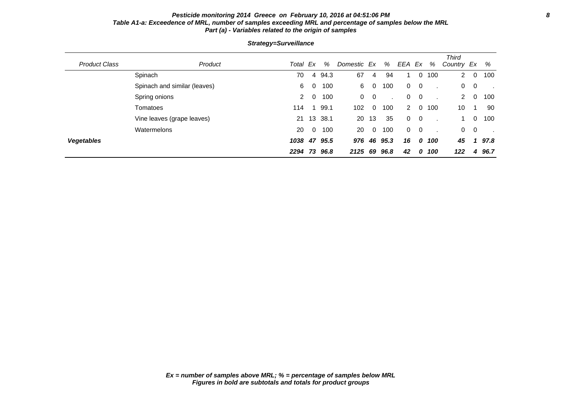## **Pesticide monitoring 2014 Greece on February 10, 2016 at 04:51:06 PM 8 Table A1-a: Exceedence of MRL, number of samples exceeding MRL and percentage of samples below the MRL Part (a) - Variables related to the origin of samples**

| <b>Product Class</b> | Product                      | Total Ex     |                | %            | Domestic Ex |                | %    | EEA         | Ex                       | %      | <b>Third</b><br>Country Ex |                         | %    |
|----------------------|------------------------------|--------------|----------------|--------------|-------------|----------------|------|-------------|--------------------------|--------|----------------------------|-------------------------|------|
|                      | Spinach                      | 70           |                | 4 94.3       | 67          | 4              | 94   |             |                          | 0, 100 | $\mathbf{2}$               | $\mathbf 0$             | 100  |
|                      | Spinach and similar (leaves) | 6            | 0              | 100          | 6           | $\mathbf 0$    | 100  | $\mathbf 0$ | $\overline{\phantom{0}}$ |        | 0                          | $\overline{\mathbf{0}}$ |      |
|                      | Spring onions                | $\mathbf{2}$ | 0              | 100          | 0           | $\overline{0}$ |      | 0           | $\overline{0}$           |        | $2^{\circ}$                | 0                       | 100  |
|                      | Tomatoes                     | 114          |                | 99.1         | 102         | $\Omega$       | 100  | $2^{\circ}$ | $\Omega$                 | 100    | 10                         | 1                       | 90   |
|                      | Vine leaves (grape leaves)   |              |                | 21 13 38.1   | 20          | 13             | 35   | $\Omega$    | $\overline{\phantom{0}}$ |        | $\mathbf 1$                | $\Omega$                | 100  |
|                      | Watermelons                  | 20           | $\overline{0}$ | 100          | 20          | $\Omega$       | 100  | $\Omega$    | $\overline{\mathbf{0}}$  |        | $\overline{0}$             | $\overline{0}$          |      |
| <b>Vegetables</b>    |                              |              |                | 1038 47 95.5 | 976         | 46             | 95.3 | 16          | 0                        | 100    | 45                         | 1                       | 97.8 |
|                      |                              | 2294 73      |                | 96.8         | 2125        | 69             | 96.8 | 42          | 0                        | 100    | 122                        | 4                       | 96.7 |

## **Strategy=Surveillance**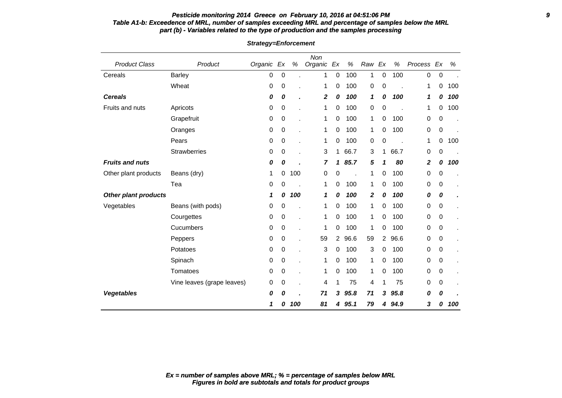## **Pesticide monitoring 2014 Greece on February 10, 2016 at 04:51:06 PM 9 Table A1-b: Exceedence of MRL, number of samples exceeding MRL and percentage of samples below the MRL part (b) - Variables related to the type of production and the samples processing**

| <b>Product Class</b>        | Product                    | Organic | Ex | $\%$ | Non<br>Organic | Ex             | $\%$ | Raw              | Ex             | %    | Process Ex |             | %   |
|-----------------------------|----------------------------|---------|----|------|----------------|----------------|------|------------------|----------------|------|------------|-------------|-----|
| Cereals                     | <b>Barley</b>              | 0       | 0  |      | 1              | 0              | 100  | 1                | 0              | 100  | 0          | $\pmb{0}$   |     |
|                             | Wheat                      | 0       | 0  |      | 1              | 0              | 100  | $\mathbf 0$      | 0              |      | 1          | 0           | 100 |
| <b>Cereals</b>              |                            | 0       | 0  |      | 2              | 0              | 100  | 1                | 0              | 100  | 1          | 0           | 100 |
| Fruits and nuts             | Apricots                   | 0       | 0  |      | 1              | 0              | 100  | $\mathbf 0$      | 0              |      | 1          | 0           | 100 |
|                             | Grapefruit                 | 0       | 0  |      | 1              | 0              | 100  | 1                | 0              | 100  | 0          | 0           |     |
|                             | Oranges                    | 0       | 0  |      | 1              | 0              | 100  | 1                | 0              | 100  | 0          | $\mathbf 0$ |     |
|                             | Pears                      | 0       | 0  |      | 1              | 0              | 100  | 0                | 0              |      | 1          | 0           | 100 |
|                             | <b>Strawberries</b>        | 0       | 0  |      | 3              | 1              | 66.7 | 3                | 1              | 66.7 | 0          | 0           |     |
| <b>Fruits and nuts</b>      |                            | 0       | 0  |      | 7              | 1              | 85.7 | 5                | 1              | 80   | 2          | 0           | 100 |
| Other plant products        | Beans (dry)                | 1       | 0  | 100  | 0              | 0              |      | 1                | 0              | 100  | 0          | 0           |     |
|                             | Tea                        | 0       | 0  |      | 1              | 0              | 100  | 1                | 0              | 100  | 0          | 0           |     |
| <b>Other plant products</b> |                            | 1       | 0  | 100  | 1              | 0              | 100  | $\boldsymbol{2}$ | 0              | 100  | 0          | 0           |     |
| Vegetables                  | Beans (with pods)          | 0       | 0  |      | 1              | 0              | 100  | 1                | 0              | 100  | 0          | 0           |     |
|                             | Courgettes                 | 0       | 0  |      | 1              | 0              | 100  | 1                | 0              | 100  | 0          | $\mathbf 0$ |     |
|                             | Cucumbers                  | 0       | 0  |      | 1              | 0              | 100  | 1                | 0              | 100  | 0          | 0           |     |
|                             | Peppers                    | 0       | 0  |      | 59             | $\overline{2}$ | 96.6 | 59               | $\overline{2}$ | 96.6 | 0          | 0           |     |
|                             | Potatoes                   | 0       | 0  |      | 3              | 0              | 100  | 3                | 0              | 100  | 0          | 0           |     |
|                             | Spinach                    | 0       | 0  |      | 1              | 0              | 100  | 1                | 0              | 100  | 0          | 0           |     |
|                             | Tomatoes                   | 0       | 0  |      | 1              | 0              | 100  | 1                | 0              | 100  | 0          | 0           |     |
|                             | Vine leaves (grape leaves) | 0       | 0  |      | 4              | 1              | 75   | 4                | 1              | 75   | 0          | 0           |     |
| <b>Vegetables</b>           |                            | 0       | 0  |      | 71             | 3              | 95.8 | 71               | 3              | 95.8 | 0          | 0           |     |
|                             |                            | 1       | 0  | 100  | 81             | 4              | 95.1 | 79               | 4              | 94.9 | 3          | 0           | 100 |

**Strategy=Enforcement**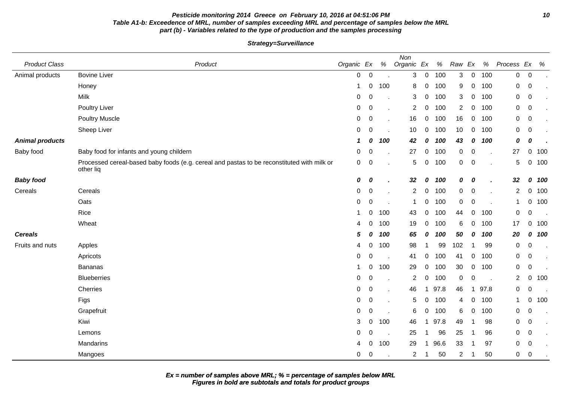## **Pesticide monitoring 2014 Greece on February 10, 2016 at 04:51:06 PM 10 Table A1-b: Exceedence of MRL, number of samples exceeding MRL and percentage of samples below the MRL part (b) - Variables related to the type of production and the samples processing**

**Strategy=Surveillance**

| <b>Product Class</b>   | Product                                                                                                 | Organic Ex   |                  | %   | Non<br>Organic Ex |             | $\%$ | Raw         | Ex               | $\%$ | Process Ex     |                  | %     |
|------------------------|---------------------------------------------------------------------------------------------------------|--------------|------------------|-----|-------------------|-------------|------|-------------|------------------|------|----------------|------------------|-------|
| Animal products        | <b>Bovine Liver</b>                                                                                     | $\mathbf 0$  | $\mathbf 0$      |     | 3                 | $\mathbf 0$ | 100  | 3           | $\mathbf 0$      | 100  | $\mathbf 0$    | $\mathbf 0$      |       |
|                        | Honey                                                                                                   | $\mathbf{1}$ | 0                | 100 | 8                 | $\mathbf 0$ | 100  | 9           | 0                | 100  | 0              | $\pmb{0}$        |       |
|                        | Milk                                                                                                    | $\mathbf 0$  | $\mathbf 0$      | ×.  | 3                 | 0           | 100  | 3           | $\mathbf 0$      | 100  | $\mathbf 0$    | $\pmb{0}$        |       |
|                        | Poultry Liver                                                                                           | $\mathbf 0$  | $\mathbf 0$      | ×.  | $\overline{2}$    | 0           | 100  | 2           | 0                | 100  | 0              | $\boldsymbol{0}$ |       |
|                        | <b>Poultry Muscle</b>                                                                                   | $\mathbf 0$  | $\mathbf 0$      | ä,  | 16                | $\mathbf 0$ | 100  | 16          | 0                | 100  | $\mathbf 0$    | 0                |       |
|                        | Sheep Liver                                                                                             | 0            | 0                | ×.  | 10                | 0           | 100  | 10          | 0                | 100  | 0              | $\pmb{0}$        |       |
| <b>Animal products</b> |                                                                                                         | 1            | 0                | 100 | 42                | 0           | 100  | 43          | 0                | 100  | 0              | 0                |       |
| Baby food              | Baby food for infants and young childern                                                                | $\mathbf 0$  | 0                |     | 27                | $\mathbf 0$ | 100  | 0           | 0                |      | 27             | 0                | 100   |
|                        | Processed cereal-based baby foods (e.g. cereal and pastas to be reconstituted with milk or<br>other liq | 0            | $\mathbf 0$      |     | 5                 | $\mathbf 0$ | 100  | 0           | $\mathbf 0$      |      | 5              |                  | 0 100 |
| <b>Baby food</b>       |                                                                                                         | 0            | 0                | ä.  | 32                | 0           | 100  | 0           | 0                |      | 32             |                  | 0 100 |
| Cereals                | Cereals                                                                                                 | $\mathbf 0$  | $\boldsymbol{0}$ | ä.  | 2                 | 0           | 100  | 0           | $\mathbf 0$      |      | $\overline{2}$ | 0                | 100   |
|                        | Oats                                                                                                    | $\mathbf 0$  | $\mathbf 0$      |     | $\mathbf 1$       | $\mathbf 0$ | 100  | $\mathbf 0$ | $\mathbf 0$      |      | $\mathbf 1$    |                  | 0 100 |
|                        | Rice                                                                                                    |              | 0                | 100 | 43                | 0           | 100  | 44          | $\boldsymbol{0}$ | 100  | $\mathbf 0$    | $\boldsymbol{0}$ |       |
|                        | Wheat                                                                                                   | 4            | 0                | 100 | 19                | $\mathbf 0$ | 100  | 6           | $\mathbf 0$      | 100  | 17             | $\overline{0}$   | 100   |
| <b>Cereals</b>         |                                                                                                         | 5            | 0                | 100 | 65                | 0           | 100  | 50          | 0                | 100  | 20             | 0                | 100   |
| Fruits and nuts        | Apples                                                                                                  | 4            | 0                | 100 | 98                |             | 99   | 102         | 1                | 99   | $\mathbf 0$    | $\boldsymbol{0}$ |       |
|                        | Apricots                                                                                                | 0            | $\Omega$         |     | 41                | $\mathbf 0$ | 100  | 41          | $\mathbf 0$      | 100  | $\mathbf 0$    | $\pmb{0}$        |       |
|                        | <b>Bananas</b>                                                                                          |              | 0                | 100 | 29                | $\mathbf 0$ | 100  | 30          | 0                | 100  | 0              | $\mathbf 0$      |       |
|                        | <b>Blueberries</b>                                                                                      | 0            | 0                |     | $\overline{2}$    | 0           | 100  | 0           | 0                |      | $\overline{2}$ | 0                | 100   |
|                        | Cherries                                                                                                | 0            | 0                | ä.  | 46                |             | 97.8 | 46          | $\mathbf 1$      | 97.8 | 0              | 0                |       |
|                        | Figs                                                                                                    | 0            | 0                |     | 5                 | $\mathbf 0$ | 100  | 4           | 0                | 100  | $\mathbf 1$    | $\overline{0}$   | 100   |
|                        | Grapefruit                                                                                              | $\mathbf 0$  | $\mathbf 0$      |     | 6                 | 0           | 100  | 6           | 0                | 100  | 0              | $\pmb{0}$        |       |
|                        | Kiwi                                                                                                    | 3            | 0                | 100 | 46                | -1          | 97.8 | 49          |                  | 98   | 0              | $\pmb{0}$        |       |
|                        | Lemons                                                                                                  | $\mathbf 0$  | 0                |     | 25                |             | 96   | 25          | 1                | 96   | 0              | 0                |       |
|                        | Mandarins                                                                                               | 4            | 0                | 100 | 29                | -1          | 96.6 | 33          |                  | 97   | 0              | 0                |       |
|                        | Mangoes                                                                                                 | $\mathbf 0$  | 0                |     | 2                 |             | 50   | 2           | -1               | 50   | 0              | $\pmb{0}$        |       |

**Figures in bold are subtotals and totals for product groups Ex = number of samples above MRL; % = percentage of samples below MRL**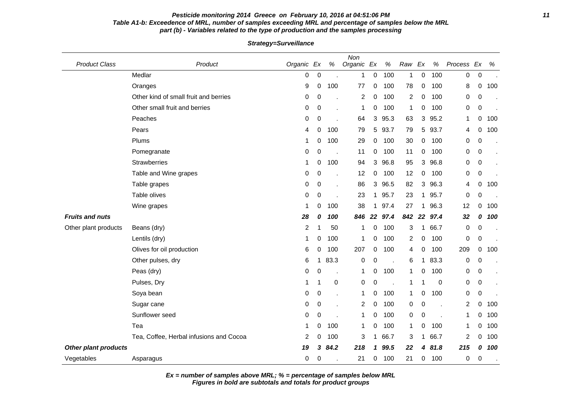## **Pesticide monitoring 2014 Greece on February 10, 2016 at 04:51:06 PM 11 Table A1-b: Exceedence of MRL, number of samples exceeding MRL and percentage of samples below the MRL part (b) - Variables related to the type of production and the samples processing**

**Strategy=Surveillance**

| <b>Product Class</b>        | Product                                 | Organic Ex |             | $\%$                     | Non<br>Organic Ex |             | $\%$ | Raw                     | Ex          | $\%$ | Process        | Ex        | %   |
|-----------------------------|-----------------------------------------|------------|-------------|--------------------------|-------------------|-------------|------|-------------------------|-------------|------|----------------|-----------|-----|
|                             | Medlar                                  | 0          | 0           |                          | 1                 | 0           | 100  | $\mathbf{1}$            | $\Omega$    | 100  | 0              | $\pmb{0}$ |     |
|                             | Oranges                                 | 9          | 0           | 100                      | 77                | 0           | 100  | 78                      | 0           | 100  | 8              | 0         | 100 |
|                             | Other kind of small fruit and berries   | 0          | 0           |                          | $\overline{c}$    | 0           | 100  | $\overline{\mathbf{c}}$ | 0           | 100  | 0              | $\pmb{0}$ |     |
|                             | Other small fruit and berries           | 0          | 0           |                          | 1                 | 0           | 100  | 1                       | 0           | 100  | 0              | 0         |     |
|                             | Peaches                                 | 0          | 0           |                          | 64                | 3           | 95.3 | 63                      | 3           | 95.2 | 1              | 0         | 100 |
|                             | Pears                                   | 4          | 0           | 100                      | 79                | 5           | 93.7 | 79                      | 5           | 93.7 | 4              | 0         | 100 |
|                             | Plums                                   | 1          | 0           | 100                      | 29                | 0           | 100  | 30                      | 0           | 100  | 0              | 0         |     |
|                             | Pomegranate                             | 0          | 0           |                          | 11                | 0           | 100  | 11                      | 0           | 100  | 0              | 0         |     |
|                             | Strawberries                            | 1          | 0           | 100                      | 94                | 3           | 96.8 | 95                      | 3           | 96.8 | 0              | 0         |     |
|                             | Table and Wine grapes                   | 0          | 0           |                          | 12                | 0           | 100  | 12                      | 0           | 100  | 0              | 0         |     |
|                             | Table grapes                            | 0          | 0           |                          | 86                | 3           | 96.5 | 82                      | 3           | 96.3 | 4              | 0         | 100 |
|                             | Table olives                            | 0          | 0           |                          | 23                | $\mathbf 1$ | 95.7 | 23                      | $\mathbf 1$ | 95.7 | 0              | 0         |     |
|                             | Wine grapes                             | 1          | 0           | 100                      | 38                | $\mathbf 1$ | 97.4 | 27                      | 1           | 96.3 | 12             | 0         | 100 |
| <b>Fruits and nuts</b>      |                                         | 28         | 0           | 100                      | 846               | 22          | 97.4 | 842                     | 22          | 97.4 | 32             | 0         | 100 |
| Other plant products        | Beans (dry)                             | 2          | 1           | 50                       | 1                 | 0           | 100  | 3                       | 1           | 66.7 | 0              | 0         |     |
|                             | Lentils (dry)                           | 1          | 0           | 100                      | 1                 | 0           | 100  | 2                       | 0           | 100  | 0              | 0         |     |
|                             | Olives for oil production               | 6          | 0           | 100                      | 207               | 0           | 100  | 4                       | 0           | 100  | 209            | 0         | 100 |
|                             | Other pulses, dry                       | 6          | 1           | 83.3                     | 0                 | 0           |      | 6                       | 1           | 83.3 | 0              | 0         |     |
|                             | Peas (dry)                              | 0          | 0           | $\overline{\phantom{a}}$ | 1                 | 0           | 100  | 1                       | 0           | 100  | 0              | 0         |     |
|                             | Pulses, Dry                             |            | 1           | 0                        | 0                 | 0           |      | 1                       |             | 0    | 0              | 0         |     |
|                             | Soya bean                               | 0          | $\mathbf 0$ |                          | 1                 | 0           | 100  | 1                       | 0           | 100  | 0              | $\pmb{0}$ |     |
|                             | Sugar cane                              | 0          | 0           |                          | $\overline{c}$    | 0           | 100  | 0                       | 0           |      | $\overline{c}$ | 0         | 100 |
|                             | Sunflower seed                          | 0          | 0           |                          | 1                 | 0           | 100  | 0                       | 0           |      | 1              | 0         | 100 |
|                             | Tea                                     | 1          | 0           | 100                      | 1                 | 0           | 100  | 1                       | 0           | 100  | 1              | 0         | 100 |
|                             | Tea, Coffee, Herbal infusions and Cocoa | 2          | 0           | 100                      | 3                 | 1           | 66.7 | 3                       | 1           | 66.7 | $\overline{c}$ | 0         | 100 |
| <b>Other plant products</b> |                                         | 19         | 3           | 84.2                     | 218               | 1           | 99.5 | 22                      | 4           | 81.8 | 215            | 0         | 100 |
| Vegetables                  | Asparagus                               | 0          | 0           |                          | 21                | 0           | 100  | 21                      | 0           | 100  | 0              | 0         |     |

**Ex = number of samples above MRL; % = percentage of samples below MRL**

**Figures in bold are subtotals and totals for product groups**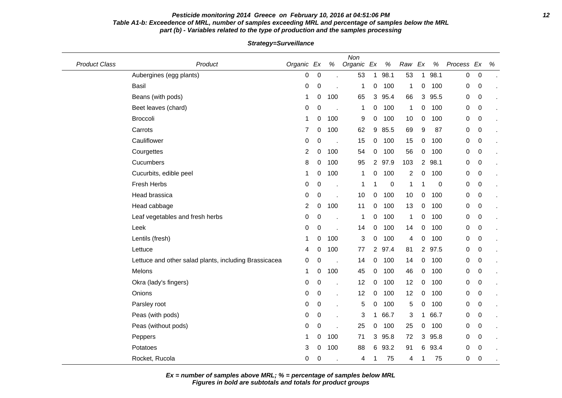#### **Pesticide monitoring 2014 Greece on February 10, 2016 at 04:51:06 PM 12 Table A1-b: Exceedence of MRL, number of samples exceeding MRL and percentage of samples below the MRL part (b) - Variables related to the type of production and the samples processing**

Product Class **Product** Product **Class Product Class** Organic Ex % Non Organic Ex % Raw Ex % Process Ex % Aubergines (egg plants)  $\begin{array}{ccccccccc}\n & & & & & & & 0 & 0 & . & 53 & 1 & 98.1 & 53 & 1 & 98.1 & 0 & 0\n\end{array}$ Basil 0 0 . 1 0 100 1 0 100 0 0 . Beans (with pods) 1 0 100 65 3 95.4 66 3 95.5 0 0 Beet leaves (chard) 0 0 . 1 0 100 1 0 100 0 0 . Broccoli 1 0 100 9 0 100 10 0 100 0 0 . Carrots 7 0 100 62 9 85.5 69 9 87 0 0 . Cauliflower 0 0 . 15 0 100 15 0 100 0 0 . Courgettes 2 0 100 54 0 100 56 0 100 0 0 . Cucumbers 8 0 100 95 2 97.9 103 2 98.1 0 0 . Cucurbits, edible peel **1** 0 100 1 0 100 2 0 100 0 0 0 Fresh Herbs 0 0 . 1 1 0 1 1 0 0 0 . Head brassica 0 0 . 10 0 100 10 0 100 0 0 . Head cabbage 2 0 100 11 0 100 13 0 100 0 0 0 Leaf vegetables and fresh herbs 0 0 . 1 0 100 1 0 100 0 0 . Leek 0 0 . 14 0 100 14 0 100 0 0 . Lentils (fresh) 1 0 100 3 0 100 4 0 100 0 0 . Lettuce 4 0 100 77 2 97.4 81 2 97.5 0 0 . Lettuce and other salad plants, including Brassicacea  $\begin{array}{cccc} 0 & 0 & . & 14 & 0 & 100 & 14 & 0 & 100 & 0 & 0 \end{array}$ Melons 1 0 100 45 0 100 46 0 100 0 0 . Okra (lady's fingers) 0 0 . 12 0 100 12 0 100 0 0 Onions 0 0 . 12 0 100 12 0 100 0 0 . Parsley root 0 0 . 5 0 100 5 0 100 0 0 . Peas (with pods) 0 0 . 3 1 66.7 3 1 66.7 0 0 . Peas (without pods) 0 0 0 . 25 0 100 25 0 100 0 0 Peppers 1 0 100 71 3 95.8 72 3 95.8 0 0 . Potatoes 3 0 100 88 6 93.2 91 6 93.4 0 0 . Rocket, Rucola 0 0 . 4 1 75 4 1 75 0 0 .

**Strategy=Surveillance**

**Ex = number of samples above MRL; % = percentage of samples below MRL**

**Figures in bold are subtotals and totals for product groups**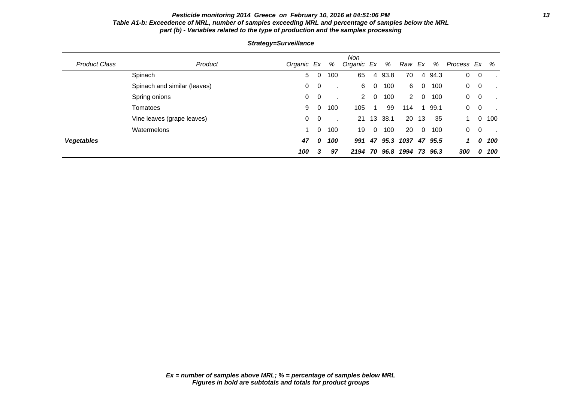## **Pesticide monitoring 2014 Greece on February 10, 2016 at 04:51:06 PM 13 Table A1-b: Exceedence of MRL, number of samples exceeding MRL and percentage of samples below the MRL part (b) - Variables related to the type of production and the samples processing**

| <b>Product Class</b> | Product                      | Organic Ex |                         | %   | Non<br>Organic Ex |          | %    | Raw Ex |                | $\%$    | Process Ex |                | %   |
|----------------------|------------------------------|------------|-------------------------|-----|-------------------|----------|------|--------|----------------|---------|------------|----------------|-----|
|                      | Spinach                      | 5          | 0                       | 100 | 65                | 4        | 93.8 | 70     | 4              | 94.3    | 0          | 0              |     |
|                      | Spinach and similar (leaves) | 0          | $\overline{\mathbf{0}}$ |     | 6                 | 0        | 100  | 6      | - 0            | 100     | 0          | $\overline{0}$ |     |
|                      | Spring onions                | 0          | $\overline{0}$          |     | 2                 | $\Omega$ | 100  | 2      | $\Omega$       | 100     | 0          | 0              |     |
|                      | Tomatoes                     | 9          | 0                       | 100 | 105               |          | 99   | 114    |                | 99.1    | 0          | 0              |     |
|                      | Vine leaves (grape leaves)   | 0          | 0                       |     | 21                | 13       | 38.1 | 20     | 13             | 35      |            |                | 100 |
|                      | Watermelons                  |            | 0                       | 100 | 19                | $\Omega$ | 100  | 20     | $\overline{0}$ | 100     | 0          | $\overline{0}$ |     |
| <b>Vegetables</b>    |                              | 47         | $\boldsymbol{o}$        | 100 | 991               | 47       | 95.3 | 1037   |                | 47 95.5 | 1          | 0              | 100 |
|                      |                              | 100        | 3                       | 97  | 2194              | 70       | 96.8 | 1994   | 73             | 96.3    | 300        | 0              | 100 |

## **Strategy=Surveillance**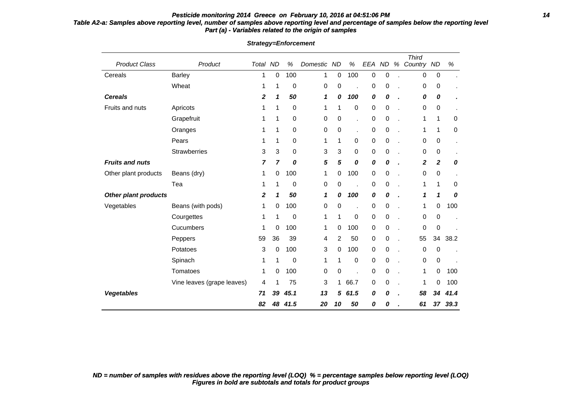## **Pesticide monitoring 2014 Greece on February 10, 2016 at 04:51:06 PM 14 Table A2-a: Samples above reporting level, number of samples above reporting level and percentage of samples below the reporting level Part (a) - Variables related to the origin of samples**

| <b>Product Class</b>   | Product                    | Total ND |                | $\%$ | Domestic | <b>ND</b>   | $\%$ | EEA       | <b>ND</b> | % | <b>Third</b><br>Country | <b>ND</b>    | $\%$ |
|------------------------|----------------------------|----------|----------------|------|----------|-------------|------|-----------|-----------|---|-------------------------|--------------|------|
| Cereals                | <b>Barley</b>              | 1        | 0              | 100  | 1        | 0           | 100  | $\pmb{0}$ | 0         |   | 0                       | 0            |      |
|                        | Wheat                      | 1        | 1              | 0    | 0        | $\mathbf 0$ |      | 0         | 0         |   | 0                       | 0            |      |
| <b>Cereals</b>         |                            | 2        | 1              | 50   | 1        | 0           | 100  | 0         | 0         |   | 0                       | 0            |      |
| Fruits and nuts        | Apricots                   | 1        | 1              | 0    | 1        | 1           | 0    | $\pmb{0}$ | 0         |   | 0                       | 0            |      |
|                        | Grapefruit                 | 1        | 1              | 0    | 0        | $\mathbf 0$ | ×,   | 0         | 0         |   | 1                       | 1            | 0    |
|                        | Oranges                    | 1        | 1              | 0    | 0        | 0           | ×,   | 0         | 0         |   | 1                       | 1            | 0    |
|                        | Pears                      | 1        | 1              | 0    | 1        | 1           | 0    | $\pmb{0}$ | 0         |   | 0                       | 0            |      |
|                        | <b>Strawberries</b>        | 3        | 3              | 0    | 3        | 3           | 0    | $\pmb{0}$ | 0         |   | 0                       | 0            |      |
| <b>Fruits and nuts</b> |                            | 7        | $\overline{7}$ | 0    | 5        | 5           | 0    | 0         | 0         |   | 2                       | $\mathbf{2}$ | 0    |
| Other plant products   | Beans (dry)                | 1        | 0              | 100  | 1        | 0           | 100  | $\pmb{0}$ | 0         |   | 0                       | 0            |      |
|                        | Tea                        | 1        | 1              | 0    | 0        | 0           | l.   | $\pmb{0}$ | 0         |   | 1                       | 1            | 0    |
| Other plant products   |                            | 2        | 1              | 50   | 1        | 0           | 100  | 0         | 0         |   | 1                       | 1            | 0    |
| Vegetables             | Beans (with pods)          | 1        | 0              | 100  | 0        | 0           |      | 0         | 0         |   | 1                       | 0            | 100  |
|                        | Courgettes                 | 1        | 1              | 0    | 1        | 1           | 0    | 0         | 0         | × | 0                       | 0            |      |
|                        | Cucumbers                  | 1        | 0              | 100  | 1        | 0           | 100  | 0         | 0         |   | 0                       | 0            |      |
|                        | Peppers                    | 59       | 36             | 39   | 4        | 2           | 50   | 0         | 0         |   | 55                      | 34           | 38.2 |
|                        | Potatoes                   | 3        | 0              | 100  | 3        | 0           | 100  | $\pmb{0}$ | 0         |   | 0                       | 0            |      |
|                        | Spinach                    | 1        | 1              | 0    | 1        | 1           | 0    | $\pmb{0}$ | 0         | × | 0                       | 0            |      |
|                        | Tomatoes                   | 1        | 0              | 100  | 0        | $\mathbf 0$ |      | 0         | 0         |   | 1                       | 0            | 100  |
|                        | Vine leaves (grape leaves) | 4        | 1              | 75   | 3        | 1           | 66.7 | 0         | 0         |   | 1                       | 0            | 100  |
| <b>Vegetables</b>      |                            | 71       | 39             | 45.1 | 13       | 5           | 61.5 | 0         | 0         |   | 58                      | 34           | 41.4 |
|                        |                            | 82       | 48             | 41.5 | 20       | 10          | 50   | 0         | 0         |   | 61                      | 37           | 39.3 |

**Strategy=Enforcement**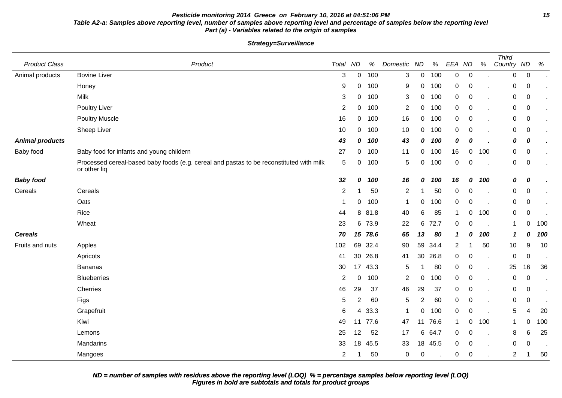## **Pesticide monitoring 2014 Greece on February 10, 2016 at 04:51:06 PM 15 Table A2-a: Samples above reporting level, number of samples above reporting level and percentage of samples below the reporting level Part (a) - Variables related to the origin of samples**

**Strategy=Surveillance**

| <b>Product Class</b>   | Product                                                                                                 | Total          | <b>ND</b>   | $\%$    | Domestic ND    |             | $\%$ | EEA ND         |             | %   | <b>Third</b><br>Country ND |                  | %   |
|------------------------|---------------------------------------------------------------------------------------------------------|----------------|-------------|---------|----------------|-------------|------|----------------|-------------|-----|----------------------------|------------------|-----|
| Animal products        | <b>Bovine Liver</b>                                                                                     | 3              | $\Omega$    | 100     | 3              | $\mathbf 0$ | 100  | $\overline{0}$ | $\mathbf 0$ |     | 0                          | $\boldsymbol{0}$ |     |
|                        | Honey                                                                                                   | 9              | 0           | 100     | 9              | 0           | 100  | 0              | $\mathbf 0$ |     | 0                          | 0                |     |
|                        | Milk                                                                                                    | 3              | $\mathbf 0$ | 100     | 3              | $\pmb{0}$   | 100  | 0              | $\mathbf 0$ |     | 0                          | $\pmb{0}$        |     |
|                        | Poultry Liver                                                                                           | $\overline{c}$ | 0           | 100     | $\overline{2}$ | 0           | 100  | 0              | $\mathbf 0$ |     | 0                          | $\mathbf 0$      |     |
|                        | <b>Poultry Muscle</b>                                                                                   | 16             | 0           | 100     | 16             | 0           | 100  | 0              | 0           |     | 0                          | 0                |     |
|                        | Sheep Liver                                                                                             | 10             | 0           | 100     | 10             | 0           | 100  | 0              | 0           |     | 0                          | $\mathbf 0$      |     |
| <b>Animal products</b> |                                                                                                         | 43             | 0           | 100     | 43             | 0           | 100  | 0              | 0           |     | 0                          | 0                |     |
| Baby food              | Baby food for infants and young childern                                                                | 27             | 0           | 100     | 11             | 0           | 100  | 16             | 0           | 100 | 0                          | $\mathbf 0$      |     |
|                        | Processed cereal-based baby foods (e.g. cereal and pastas to be reconstituted with milk<br>or other liq | 5              | 0           | 100     | 5              | 0           | 100  | 0              | 0           |     | 0                          | $\mathbf 0$      |     |
| <b>Baby food</b>       |                                                                                                         | 32             | 0           | 100     | 16             | 0           | 100  | 16             | 0           | 100 | 0                          | 0                |     |
| Cereals                | Cereals                                                                                                 | $\overline{2}$ |             | 50      | $\overline{2}$ | 1           | 50   | 0              | 0           |     | 0                          | $\pmb{0}$        |     |
|                        | Oats                                                                                                    | $\overline{1}$ | 0           | 100     | $\mathbf 1$    | 0           | 100  | 0              | 0           |     | 0                          | $\pmb{0}$        |     |
|                        | Rice                                                                                                    | 44             | 8           | 81.8    | 40             | 6           | 85   | $\mathbf{1}$   | 0           | 100 | 0                          | $\pmb{0}$        |     |
|                        | Wheat                                                                                                   | 23             | 6           | 73.9    | 22             | 6           | 72.7 | 0              | 0           |     | $\mathbf{1}$               | 0                | 100 |
| <b>Cereals</b>         |                                                                                                         | 70             |             | 15 78.6 | 65             | 13          | 80   | $\mathbf{1}$   | 0           | 100 | $\mathbf{1}$               | 0                | 100 |
| Fruits and nuts        | Apples                                                                                                  | 102            | 69          | 32.4    | 90             | 59          | 34.4 | $\overline{c}$ |             | 50  | 10                         | $9\,$            | 10  |
|                        | Apricots                                                                                                | 41             | 30          | 26.8    | 41             | 30          | 26.8 | 0              | 0           |     | 0                          | 0                |     |
|                        | <b>Bananas</b>                                                                                          | 30             | 17          | 43.3    | 5              | -1          | 80   | 0              | $\mathbf 0$ |     | 25                         | 16               | 36  |
|                        | <b>Blueberries</b>                                                                                      | 2              | 0           | 100     | 2              | 0           | 100  | 0              | 0           |     | 0                          | 0                |     |
|                        | Cherries                                                                                                | 46             | 29          | 37      | 46             | 29          | 37   | 0              | 0           |     | 0                          | $\mathbf 0$      |     |
|                        | Figs                                                                                                    | 5              | 2           | 60      | 5              | 2           | 60   | 0              | 0           |     | 0                          | 0                |     |
|                        | Grapefruit                                                                                              | 6              | 4           | 33.3    | $\mathbf{1}$   | 0           | 100  | 0              | $\mathbf 0$ |     | 5                          | 4                | 20  |
|                        | Kiwi                                                                                                    | 49             | 11          | 77.6    | 47             | 11          | 76.6 | $\mathbf 1$    | 0           | 100 | $\mathbf 1$                | 0                | 100 |
|                        | Lemons                                                                                                  | 25             | 12          | 52      | 17             | 6           | 64.7 | 0              | 0           |     | 8                          | 6                | 25  |
|                        | Mandarins                                                                                               | 33             | 18          | 45.5    | 33             | 18          | 45.5 | 0              | 0           |     | 0                          | 0                |     |
|                        | Mangoes                                                                                                 | $\overline{2}$ |             | 50      | 0              | 0           |      | 0              | $\mathbf 0$ |     | $\boldsymbol{2}$           | 1                | 50  |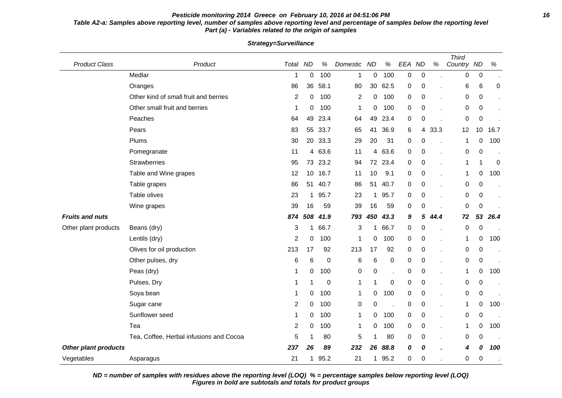#### **Pesticide monitoring 2014 Greece on February 10, 2016 at 04:51:06 PM 16 Table A2-a: Samples above reporting level, number of samples above reporting level and percentage of samples below the reporting level Part (a) - Variables related to the origin of samples**

Product Class **Product Class** Product **Product Total ND % Domestic ND % EEA ND** % Third Country ND % Medlar 1 0 100 1 0 100 0 0 . 0 0 . Oranges 86 36 58.1 80 30 62.5 0 0 . 6 6 0 Other kind of small fruit and berries 2 0 100 2 0 100 0 0 . 0 0 0 . 0 0 . Other small fruit and berries 1 0 100 1 0 100 0 0 . 0 0 . Peaches 64 49 23.4 64 49 23.4 0 0 . 0 0 . Pears 83 55 33.7 65 41 36.9 6 4 33.3 12 10 16.7 Plums 30 20 33.3 29 20 31 0 0 . 1 0 100 Pomegranate 11 4 63.6 11 4 63.6 0 0 . 0 0 . Strawberries 95 73 23.2 94 72 23.4 0 0 . 1 1 0 Table and Wine grapes 12 12 10 16.7 11 10 9.1 0 0 . 1 0 100 Table grapes 86 51 40.7 86 51 40.7 0 0 . 0 0 . Table olives 23 1 95.7 23 1 95.7 0 0 . 0 0 . Wine grapes 39 16 59 39 16 59 0 0 . 0 0 . **Fruits and nuts 874 508 41.9 793 450 43.3 9 5 44.4 72 53 26.4** Other plant products Beans (dry) and the contract to the contract to the 3 1 66.7 0 0 . 0 0 . 0 0 . Lentils (dry) 2 0 100 1 0 100 0 0 . 1 0 100 Olives for oil production 213 17 92 213 17 92 0 0 . 0 0 . Other pulses, dry **but a contract to contract the contract of 6 6 0 0 0 contract of 0 0 0 contract of 0 0 0 contract of 0 0 0 contract of 0 0 0 contract of 0 0 0 contract of 0 0 0 contract of 0 0 contract of 0 contract of** Peas (dry) 1 0 100 0 0 . 0 0 . 1 0 100 Pulses, Dry 1 1 0 1 1 0 0 0 . 0 0 . Soya bean 1 0 100 1 0 100 0 0 . 0 0 . Sugar cane 2 0 100 0 0 . 0 0 . 1 0 100 Sunflower seed 1 0 100 1 0 100 0 0 . 0 0 . Tea 2 0 100 1 0 100 0 0 . 1 0 100 Tea, Coffee, Herbal infusions and Cocoa  $\begin{array}{cccccccc} 5 & 1 & 80 & 5 & 1 & 80 & 0 & 0 & . & 0 & 0 \end{array}$ **Other plant products 237 26 89 232 26 88.8 0 0 . 4 0 100** Vegetables Asparagus 21 1 95.2 21 1 95.2 0 0 . 0 0 .

**Strategy=Surveillance**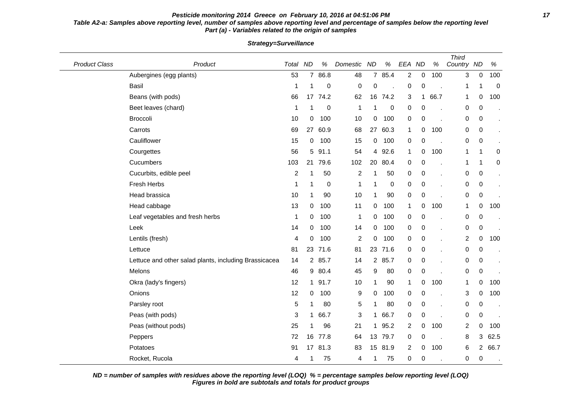## **Pesticide monitoring 2014 Greece on February 10, 2016 at 04:51:06 PM 17 Table A2-a: Samples above reporting level, number of samples above reporting level and percentage of samples below the reporting level Part (a) - Variables related to the origin of samples**

| <b>Product Class</b> | Product                                               | Total          | <b>ND</b>      | $\%$      | Domestic       | <b>ND</b>      | $\%$             | EEA ND         |             | $\%$ | <b>Third</b><br>Country ND |                | $\%$        |
|----------------------|-------------------------------------------------------|----------------|----------------|-----------|----------------|----------------|------------------|----------------|-------------|------|----------------------------|----------------|-------------|
|                      | Aubergines (egg plants)                               | 53             | $\overline{7}$ | 86.8      | 48             | $\overline{7}$ | 85.4             | $\overline{2}$ | $\pmb{0}$   | 100  | 3                          | $\pmb{0}$      | 100         |
|                      | <b>Basil</b>                                          | 1              | 1              | 0         | $\pmb{0}$      | $\pmb{0}$      |                  | 0              | 0           |      | 1                          | 1              | $\mathbf 0$ |
|                      | Beans (with pods)                                     | 66             |                | 17 74.2   | 62             | 16             | 74.2             | 3              | $\mathbf 1$ | 66.7 | $\mathbf 1$                | 0              | 100         |
|                      | Beet leaves (chard)                                   | 1              | 1              | 0         | $\mathbf{1}$   | 1              | $\boldsymbol{0}$ | 0              | 0           |      | 0                          | 0              |             |
|                      | Broccoli                                              | 10             | 0              | 100       | 10             | 0              | 100              | 0              | 0           |      | 0                          | 0              | $\epsilon$  |
|                      | Carrots                                               | 69             |                | 27 60.9   | 68             | 27             | 60.3             | $\mathbf 1$    | 0           | 100  | 0                          | 0              |             |
|                      | Cauliflower                                           | 15             | 0              | 100       | 15             | 0              | 100              | 0              | 0           |      | 0                          | 0              |             |
|                      | Courgettes                                            | 56             | 5              | 91.1      | 54             | 4              | 92.6             | $\mathbf 1$    | 0           | 100  | 1                          | 1              | 0           |
|                      | Cucumbers                                             | 103            | 21             | 79.6      | 102            | 20             | 80.4             | 0              | 0           | J.   | 1                          | 1              | 0           |
|                      | Cucurbits, edible peel                                | $\overline{c}$ | 1              | 50        | $\overline{c}$ | 1              | 50               | 0              | 0           |      | 0                          | $\pmb{0}$      |             |
|                      | Fresh Herbs                                           | 1              | 1              | $\pmb{0}$ | $\mathbf{1}$   | 1              | $\boldsymbol{0}$ | 0              | $\pmb{0}$   |      | 0                          | 0              |             |
|                      | Head brassica                                         | 10             | 1              | 90        | 10             | 1              | 90               | 0              | 0           |      | 0                          | 0              |             |
|                      | Head cabbage                                          | 13             | 0              | 100       | 11             | 0              | 100              | $\mathbf 1$    | 0           | 100  | 1                          | 0              | 100         |
|                      | Leaf vegetables and fresh herbs                       | 1              | 0              | 100       | $\mathbf{1}$   | 0              | 100              | 0              | 0           |      | 0                          | $\pmb{0}$      |             |
|                      | Leek                                                  | 14             | 0              | 100       | 14             | 0              | 100              | 0              | 0           |      | 0                          | 0              |             |
|                      | Lentils (fresh)                                       | 4              | 0              | 100       | $\overline{c}$ | 0              | 100              | 0              | 0           |      | 2                          | 0              | 100         |
|                      | Lettuce                                               | 81             | 23             | 71.6      | 81             | 23             | 71.6             | 0              | 0           |      | 0                          | $\pmb{0}$      |             |
|                      | Lettuce and other salad plants, including Brassicacea | 14             |                | 2 85.7    | 14             | $\overline{c}$ | 85.7             | 0              | $\pmb{0}$   |      | 0                          | 0              |             |
|                      | Melons                                                | 46             |                | 9 80.4    | 45             | 9              | 80               | 0              | 0           |      | 0                          | 0              |             |
|                      | Okra (lady's fingers)                                 | 12             |                | 1 91.7    | 10             | 1              | 90               | $\mathbf 1$    | 0           | 100  | 1                          | 0              | 100         |
|                      | Onions                                                | 12             | 0              | 100       | 9              | 0              | 100              | 0              | 0           |      | 3                          | 0              | 100         |
|                      | Parsley root                                          | 5              | 1              | 80        | 5              | 1              | 80               | 0              | 0           | J.   | 0                          | 0              |             |
|                      | Peas (with pods)                                      | 3              |                | 1 66.7    | 3              | 1              | 66.7             | 0              | 0           |      | 0                          | 0              |             |
|                      | Peas (without pods)                                   | 25             | 1              | 96        | 21             | 1              | 95.2             | $\overline{c}$ | 0           | 100  | $\overline{c}$             | 0              | 100         |
|                      | Peppers                                               | 72             | 16             | 77.8      | 64             | 13             | 79.7             | 0              | 0           |      | 8                          | 3              | 62.5        |
|                      | Potatoes                                              | 91             |                | 17 81.3   | 83             | 15             | 81.9             | 2              | 0           | 100  | 6                          | $\overline{2}$ | 66.7        |
|                      | Rocket, Rucola                                        | 4              | 1              | 75        | 4              | 1              | 75               | 0              | 0           |      | 0                          | 0              |             |

**Strategy=Surveillance**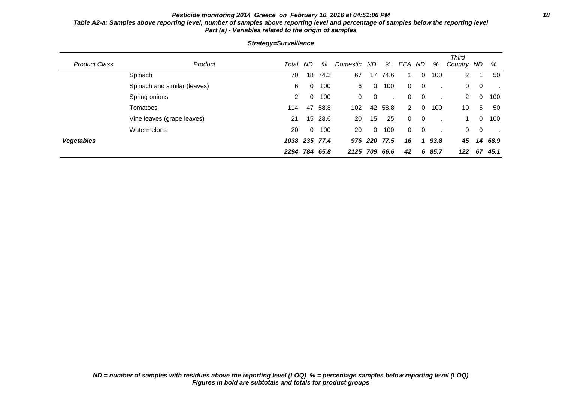## **Pesticide monitoring 2014 Greece on February 10, 2016 at 04:51:06 PM 18 Table A2-a: Samples above reporting level, number of samples above reporting level and percentage of samples below the reporting level Part (a) - Variables related to the origin of samples**

| <b>Product Class</b> | Product                      | Total         | ND             | %       | Domestic ND |          | %    | EEA ND                |                | %    | <b>Third</b><br>Country ND |                | %    |
|----------------------|------------------------------|---------------|----------------|---------|-------------|----------|------|-----------------------|----------------|------|----------------------------|----------------|------|
|                      | Spinach                      | 70            |                | 18 74.3 | 67          | 17       | 74.6 |                       | 0              | 100  | $\mathbf{2}^{\circ}$       |                | 50   |
|                      | Spinach and similar (leaves) | 6             | 0              | 100     | 6           | 0        | 100  | $\mathbf{0}$          | 0              |      | 0                          | - 0            |      |
|                      | Spring onions                | 2             | 0              | 100     | $\Omega$    | 0        |      | 0                     | 0              |      | 2                          | $\Omega$       | 100  |
|                      | Tomatoes                     | 114           | 47             | 58.8    | 102         | 42       | 58.8 | $\mathbf{2}^{\prime}$ | 0              | 100  | 10                         | 5              | 50   |
|                      | Vine leaves (grape leaves)   | 21            |                | 15 28.6 | 20          | 15       | 25   | $\Omega$              | 0              |      |                            | $\Omega$       | 100  |
|                      | Watermelons                  | 20            | $\overline{0}$ | 100     | 20          | $\Omega$ | 100  | $\mathbf{0}$          | $\overline{0}$ |      | $\mathbf{0}$               | $\overline{0}$ |      |
| <b>Vegetables</b>    |                              | 1038 235 77.4 |                |         |             | 976 220  | 77.5 | 16                    | 1              | 93.8 | 45                         | 14             | 68.9 |
|                      |                              | 2294 784 65.8 |                |         | 2125 709    |          | 66.6 | 42                    | 6              | 85.7 | 122                        | 67             | 45.1 |

**Strategy=Surveillance**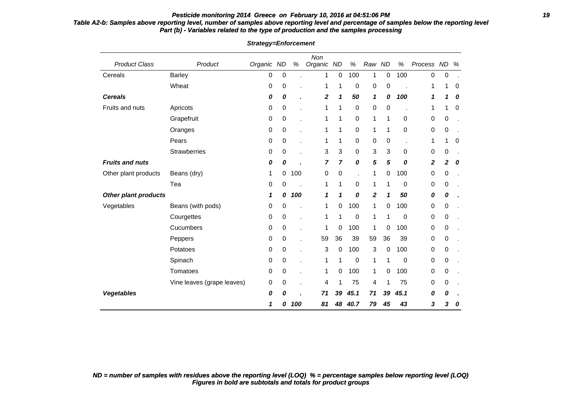## **Pesticide monitoring 2014 Greece on February 10, 2016 at 04:51:06 PM 19**

## **Table A2-b: Samples above reporting level, number of samples above reporting level and percentage of samples below the reporting level Part (b) - Variables related to the type of production and the samples processing**

| <b>Product Class</b>        | Product                    | Organic | <b>ND</b>        | $\%$ | Non<br>Organic | <b>ND</b>      | $\%$             | Raw ND         |    | $\%$           | Process ND |   | % |
|-----------------------------|----------------------------|---------|------------------|------|----------------|----------------|------------------|----------------|----|----------------|------------|---|---|
| Cereals                     | Barley                     | 0       | $\boldsymbol{0}$ |      | 1              | $\mathbf 0$    | 100              | $\mathbf{1}$   | 0  | 100            | $\pmb{0}$  | 0 |   |
|                             | Wheat                      | 0       | 0                |      | 1              | 1              | 0                | $\pmb{0}$      | 0  |                | 1          | 1 | 0 |
| <b>Cereals</b>              |                            | 0       | 0                | ×    | 2              | 1              | 50               | 1              | 0  | 100            | 1          | 1 | 0 |
| Fruits and nuts             | Apricots                   | 0       | $\pmb{0}$        |      | 1              | 1              | $\boldsymbol{0}$ | $\pmb{0}$      | 0  |                | 1          | 1 | 0 |
|                             | Grapefruit                 | 0       | 0                | ä,   | 1              | 1              | 0                | 1              | 1  | 0              | 0          | 0 |   |
|                             | Oranges                    | 0       | $\pmb{0}$        |      | 1              | 1              | 0                | 1              | 1  | 0              | 0          | 0 |   |
|                             | Pears                      | 0       | 0                | ä,   | 1              | 1              | 0                | 0              | 0  | $\blacksquare$ | 1          | 1 | 0 |
|                             | Strawberries               | 0       | 0                |      | 3              | $\mathbf{3}$   | 0                | $\sqrt{3}$     | 3  | 0              | 0          | 0 |   |
| <b>Fruits and nuts</b>      |                            | 0       | 0                |      | 7              | $\overline{7}$ | 0                | 5              | 5  | 0              | 2          | 2 | 0 |
| Other plant products        | Beans (dry)                | 1       | 0                | 100  | 0              | $\mathbf 0$    | l,               | 1              | 0  | 100            | 0          | 0 |   |
|                             | Tea                        | 0       | 0                |      | 1              | 1              | 0                | 1              | 1  | $\mathbf 0$    | 0          | 0 |   |
| <b>Other plant products</b> |                            | 1       | 0                | 100  | 1              | 1              | 0                | $\overline{2}$ | 1  | 50             | 0          | 0 |   |
| Vegetables                  | Beans (with pods)          | 0       | 0                |      | 1              | 0              | 100              | 1              | 0  | 100            | 0          | 0 |   |
|                             | Courgettes                 | 0       | 0                | ×    | 1              | 1              | 0                | 1              | 1  | 0              | 0          | 0 |   |
|                             | Cucumbers                  | 0       | $\pmb{0}$        | ä,   | 1              | 0              | 100              | 1              | 0  | 100            | 0          | 0 |   |
|                             | Peppers                    | 0       | $\pmb{0}$        | ä,   | 59             | 36             | 39               | 59             | 36 | 39             | 0          | 0 |   |
|                             | Potatoes                   | 0       | 0                | ٠    | 3              | 0              | 100              | $\mathbf{3}$   | 0  | 100            | 0          | 0 |   |
|                             | Spinach                    | 0       | 0                |      | 1              | 1              | 0                | 1              | 1  | 0              | 0          | 0 |   |
|                             | Tomatoes                   | 0       | 0                |      | 1              | 0              | 100              | 1              | 0  | 100            | 0          | 0 |   |
|                             | Vine leaves (grape leaves) | 0       | 0                |      | 4              | 1              | 75               | 4              | 1  | 75             | 0          | 0 |   |
| <b>Vegetables</b>           |                            | 0       | 0                |      | 71             | 39             | 45.1             | 71             | 39 | 45.1           | 0          | 0 |   |
|                             |                            | 1       | 0                | 100  | 81             | 48             | 40.7             | 79             | 45 | 43             | 3          | 3 | 0 |

**Strategy=Enforcement**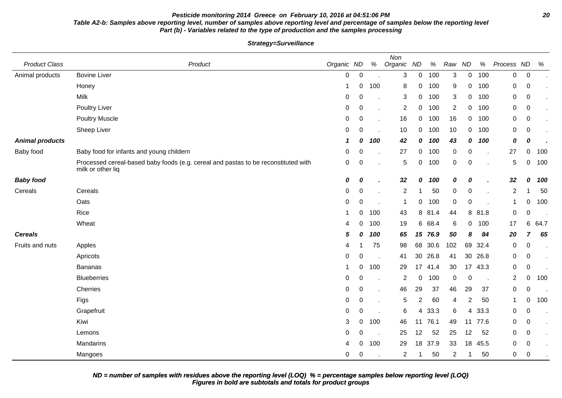## **Pesticide monitoring 2014 Greece on February 10, 2016 at 04:51:06 PM 20 Table A2-b: Samples above reporting level, number of samples above reporting level and percentage of samples below the reporting level Part (b) - Variables related to the type of production and the samples processing**

**Strategy=Surveillance**

| <b>Product Class</b>   | Product                                                                                                 | Organic ND       |                  | %   | Non<br>Organic | ND             | %       | Raw              | <b>ND</b>      | %       | Process ND     |                  | %    |
|------------------------|---------------------------------------------------------------------------------------------------------|------------------|------------------|-----|----------------|----------------|---------|------------------|----------------|---------|----------------|------------------|------|
| Animal products        | <b>Bovine Liver</b>                                                                                     | 0                | $\mathbf 0$      |     | 3              | $\mathbf 0$    | 100     | 3                | $\overline{0}$ | 100     | $\overline{0}$ | $\mathbf 0$      |      |
|                        | Honey                                                                                                   | -1               | 0                | 100 | 8              | 0              | 100     | 9                | 0              | 100     | 0              | 0                |      |
|                        | Milk                                                                                                    | $\mathbf 0$      | $\mathbf 0$      |     | 3              | 0              | 100     | 3                | 0              | 100     | 0              | 0                |      |
|                        | <b>Poultry Liver</b>                                                                                    | $\mathbf 0$      | $\boldsymbol{0}$ |     | $\overline{2}$ | 0              | 100     | $\overline{2}$   | 0              | 100     | 0              | $\pmb{0}$        |      |
|                        | <b>Poultry Muscle</b>                                                                                   | $\mathbf 0$      | $\mathbf 0$      |     | 16             | $\mathbf 0$    | 100     | 16               | 0              | 100     | 0              | $\boldsymbol{0}$ |      |
|                        | Sheep Liver                                                                                             | 0                | 0                |     | 10             | $\mathbf{0}$   | 100     | 10               | 0              | 100     | 0              | 0                |      |
| <b>Animal products</b> |                                                                                                         | -1               | 0                | 100 | 42             | 0              | 100     | 43               | 0              | 100     | 0              | 0                |      |
| Baby food              | Baby food for infants and young childern                                                                | $\mathbf 0$      | 0                |     | 27             | 0              | 100     | $\boldsymbol{0}$ | 0              |         | 27             | 0                | 100  |
|                        | Processed cereal-based baby foods (e.g. cereal and pastas to be reconstituted with<br>milk or other liq | $\boldsymbol{0}$ | $\mathbf 0$      |     | $\sqrt{5}$     | 0              | 100     | $\pmb{0}$        | 0              |         | 5              | 0                | 100  |
| <b>Baby food</b>       |                                                                                                         | 0                | 0                |     | 32             | 0              | 100     | 0                | 0              |         | 32             | 0                | 100  |
| Cereals                | Cereals                                                                                                 | $\mathbf 0$      | $\mathbf 0$      |     | $\overline{2}$ |                | 50      | $\pmb{0}$        | $\pmb{0}$      |         | $\overline{c}$ |                  | 50   |
|                        | Oats                                                                                                    | $\mathbf 0$      | $\mathbf 0$      |     | -1             | $\mathbf 0$    | 100     | $\boldsymbol{0}$ | 0              |         | $\mathbf 1$    | 0                | 100  |
|                        | Rice                                                                                                    |                  | 0                | 100 | 43             |                | 8 81.4  | 44               | 8              | 81.8    | 0              | $\boldsymbol{0}$ |      |
|                        | Wheat                                                                                                   | 4                | 0                | 100 | 19             |                | 6 68.4  | 6                | 0              | 100     | 17             | 6                | 64.7 |
| <b>Cereals</b>         |                                                                                                         | 5                | 0                | 100 | 65             |                | 15 76.9 | 50               | 8              | 84      | 20             | $\overline{ }$   | 65   |
| Fruits and nuts        | Apples                                                                                                  | 4                |                  | 75  | 98             |                | 68 30.6 | 102              | 69             | 32.4    | 0              | 0                |      |
|                        | Apricots                                                                                                | $\mathbf 0$      | 0                |     | 41             |                | 30 26.8 | 41               | 30             | 26.8    | 0              | $\boldsymbol{0}$ |      |
|                        | Bananas                                                                                                 |                  | $\mathbf 0$      | 100 | 29             |                | 17 41.4 | 30               |                | 17 43.3 | 0              | $\boldsymbol{0}$ |      |
|                        | <b>Blueberries</b>                                                                                      | $\mathbf 0$      | 0                |     | $\overline{2}$ | 0              | 100     | 0                | 0              |         | $\overline{c}$ | 0                | 100  |
|                        | Cherries                                                                                                | $\mathbf 0$      | 0                |     | 46             | 29             | 37      | 46               | 29             | 37      | 0              | $\mathbf 0$      |      |
|                        | Figs                                                                                                    | $\mathbf 0$      | 0                |     | 5              | $\overline{2}$ | 60      | $\overline{4}$   | 2              | 50      | $\mathbf 1$    | 0                | 100  |
|                        | Grapefruit                                                                                              | 0                | $\mathbf 0$      |     | 6              |                | 4 33.3  | $\,6$            | 4              | 33.3    | 0              | 0                |      |
|                        | Kiwi                                                                                                    | 3                | 0                | 100 | 46             |                | 11 76.1 | 49               |                | 11 77.6 | 0              | $\pmb{0}$        |      |
|                        | Lemons                                                                                                  | $\mathbf 0$      | 0                |     | 25             | 12             | 52      | 25               | 12             | 52      | 0              | $\pmb{0}$        |      |
|                        | Mandarins                                                                                               | 4                | 0                | 100 | 29             | 18             | 37.9    | 33               | 18             | 45.5    | 0              | $\pmb{0}$        |      |
|                        | Mangoes                                                                                                 | 0                | 0                |     | $\overline{c}$ |                | 50      | $\overline{c}$   |                | 50      | 0              | $\mathbf 0$      |      |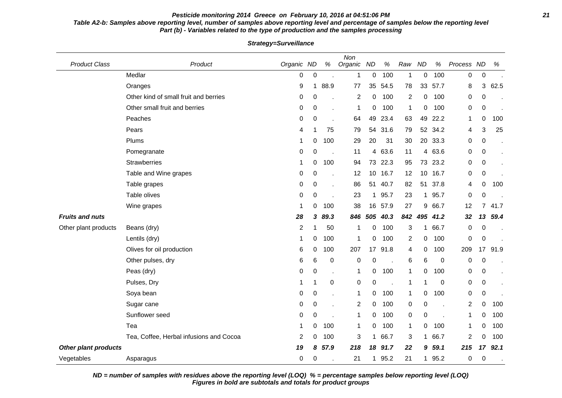## **Pesticide monitoring 2014 Greece on February 10, 2016 at 04:51:06 PM 21 Table A2-b: Samples above reporting level, number of samples above reporting level and percentage of samples below the reporting level Part (b) - Variables related to the type of production and the samples processing**

| <b>Product Class</b>        | Product                                 | Organic ND     |              | $\%$ | Non<br>Organic ND |             | $\%$ | Raw            | <b>ND</b> | $\%$    | Process ND |                  | $\%$ |
|-----------------------------|-----------------------------------------|----------------|--------------|------|-------------------|-------------|------|----------------|-----------|---------|------------|------------------|------|
|                             | Medlar                                  | 0              | $\pmb{0}$    |      | 1                 | 0           | 100  | 1              | 0         | 100     | 0          | $\boldsymbol{0}$ |      |
|                             | Oranges                                 | 9              | $\mathbf{1}$ | 88.9 | 77                | 35          | 54.5 | 78             | 33        | 57.7    | 8          | 3                | 62.5 |
|                             | Other kind of small fruit and berries   | 0              | 0            |      | $\overline{2}$    | 0           | 100  | $\overline{2}$ | 0         | 100     | 0          | $\mathbf 0$      |      |
|                             | Other small fruit and berries           | 0              | 0            |      | $\mathbf{1}$      | 0           | 100  | 1              | 0         | 100     | 0          | 0                |      |
|                             | Peaches                                 | 0              | 0            |      | 64                | 49          | 23.4 | 63             | 49        | 22.2    | 1          | 0                | 100  |
|                             | Pears                                   | 4              | 1            | 75   | 79                | 54          | 31.6 | 79             | 52        | 34.2    | 4          | 3                | 25   |
|                             | Plums                                   | 1              | 0            | 100  | 29                | 20          | 31   | 30             |           | 20 33.3 | 0          | 0                |      |
|                             | Pomegranate                             | 0              | 0            |      | 11                | 4           | 63.6 | 11             | 4         | 63.6    | 0          | 0                |      |
|                             | <b>Strawberries</b>                     | 1              | 0            | 100  | 94                | 73          | 22.3 | 95             | 73        | 23.2    | 0          | 0                |      |
|                             | Table and Wine grapes                   | 0              | 0            |      | 12                | 10          | 16.7 | 12             | 10        | 16.7    | 0          | $\mathbf 0$      |      |
|                             | Table grapes                            | 0              | 0            |      | 86                | 51          | 40.7 | 82             | 51        | 37.8    | 4          | 0                | 100  |
|                             | Table olives                            | 0              | 0            |      | 23                | $\mathbf 1$ | 95.7 | 23             | 1         | 95.7    | 0          | 0                |      |
|                             | Wine grapes                             |                | 0            | 100  | 38                | 16          | 57.9 | 27             | 9         | 66.7    | 12         | 7                | 41.7 |
| <b>Fruits and nuts</b>      |                                         | 28             | 3            | 89.3 | 846               | 505         | 40.3 | 842            | 495       | 41.2    | 32         | 13               | 59.4 |
| Other plant products        | Beans (dry)                             | $\overline{c}$ | 1            | 50   | $\mathbf{1}$      | 0           | 100  | 3              | 1         | 66.7    | 0          | $\mathbf 0$      |      |
|                             | Lentils (dry)                           | 1              | 0            | 100  | $\mathbf{1}$      | 0           | 100  | $\overline{2}$ | 0         | 100     | 0          | 0                |      |
|                             | Olives for oil production               | 6              | 0            | 100  | 207               | 17          | 91.8 | 4              | 0         | 100     | 209        | 17               | 91.9 |
|                             | Other pulses, dry                       | 6              | 6            | 0    | 0                 | 0           |      | 6              | 6         | 0       | 0          | 0                |      |
|                             | Peas (dry)                              | 0              | 0            | k,   | 1                 | 0           | 100  | $\mathbf 1$    | 0         | 100     | 0          | 0                |      |
|                             | Pulses, Dry                             | 1              | 1            | 0    | 0                 | 0           |      | $\mathbf 1$    | 1         | 0       | 0          | 0                |      |
|                             | Soya bean                               | 0              | 0            |      | 1                 | 0           | 100  | $\mathbf 1$    | 0         | 100     | 0          | $\mathbf 0$      |      |
|                             | Sugar cane                              | 0              | 0            |      | $\overline{2}$    | 0           | 100  | 0              | 0         |         | 2          | 0                | 100  |
|                             | Sunflower seed                          | 0              | 0            |      | 1                 | 0           | 100  | 0              | 0         |         | 1          | 0                | 100  |
|                             | Tea                                     | 1              | 0            | 100  | 1                 | 0           | 100  | $\mathbf 1$    | 0         | 100     | 1          | 0                | 100  |
|                             | Tea, Coffee, Herbal infusions and Cocoa | 2              | 0            | 100  | 3                 | $\mathbf 1$ | 66.7 | 3              | 1         | 66.7    | 2          | 0                | 100  |
| <b>Other plant products</b> |                                         | 19             | 8            | 57.9 | 218               | 18          | 91.7 | 22             | 9         | 59.1    | 215        | 17               | 92.1 |
| Vegetables                  | Asparagus                               | 0              | 0            |      | 21                | 1           | 95.2 | 21             | 1         | 95.2    | 0          | 0                |      |

**Strategy=Surveillance**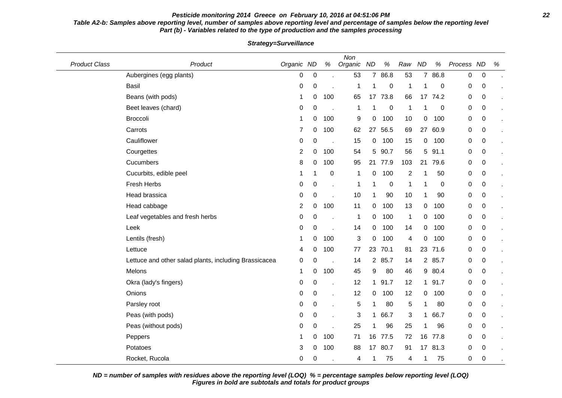## **Pesticide monitoring 2014 Greece on February 10, 2016 at 04:51:06 PM 22 Table A2-b: Samples above reporting level, number of samples above reporting level and percentage of samples below the reporting level Part (b) - Variables related to the type of production and the samples processing**

| <b>Product Class</b> | Product                                               | Organic ND     |             | $\%$ | Non<br>Organic | <b>ND</b>      | $\%$      | Raw          | <b>ND</b>      | $\%$      | Process ND       |           | $\%$ |
|----------------------|-------------------------------------------------------|----------------|-------------|------|----------------|----------------|-----------|--------------|----------------|-----------|------------------|-----------|------|
|                      | Aubergines (egg plants)                               | 0              | $\mathbf 0$ |      | 53             | $\overline{7}$ | 86.8      | 53           | $\overline{7}$ | 86.8      | $\boldsymbol{0}$ | $\pmb{0}$ |      |
|                      | <b>Basil</b>                                          | 0              | 0           |      | 1              |                | 0         | -1           | 1              | 0         | 0                | 0         |      |
|                      | Beans (with pods)                                     | -1             | 0           | 100  | 65             | 17             | 73.8      | 66           | 17             | 74.2      | 0                | 0         |      |
|                      | Beet leaves (chard)                                   | 0              | 0           |      | 1              | 1              | $\pmb{0}$ | $\mathbf 1$  | 1              | 0         | 0                | 0         |      |
|                      | <b>Broccoli</b>                                       | -1             | 0           | 100  | 9              | 0              | 100       | 10           | 0              | 100       | 0                | 0         |      |
|                      | Carrots                                               | 7              | 0           | 100  | 62             | 27             | 56.5      | 69           | 27             | 60.9      | 0                | 0         |      |
|                      | Cauliflower                                           | 0              | 0           |      | 15             | 0              | 100       | 15           | 0              | 100       | 0                | 0         |      |
|                      | Courgettes                                            | $\overline{2}$ | 0           | 100  | 54             | 5              | 90.7      | 56           | 5              | 91.1      | 0                | 0         |      |
|                      | Cucumbers                                             | 8              | 0           | 100  | 95             | 21             | 77.9      | 103          | 21             | 79.6      | 0                | 0         |      |
|                      | Cucurbits, edible peel                                | -1             | 1           | 0    | 1              | 0              | 100       | 2            |                | 50        | 0                | 0         |      |
|                      | Fresh Herbs                                           | 0              | 0           |      | 1              |                | 0         | 1            | -1             | $\pmb{0}$ | $\pmb{0}$        | $\pmb{0}$ |      |
|                      | Head brassica                                         | 0              | $\pmb{0}$   |      | 10             | 1              | 90        | 10           | 1              | 90        | 0                | 0         |      |
|                      | Head cabbage                                          | 2              | 0           | 100  | 11             | 0              | 100       | 13           | 0              | 100       | 0                | 0         |      |
|                      | Leaf vegetables and fresh herbs                       | 0              | 0           |      | 1              | 0              | 100       | $\mathbf{1}$ | 0              | 100       | 0                | 0         |      |
|                      | Leek                                                  | 0              | 0           |      | 14             | 0              | 100       | 14           | 0              | 100       | 0                | 0         |      |
|                      | Lentils (fresh)                                       | -1             | 0           | 100  | 3              | 0              | 100       | 4            | 0              | 100       | 0                | 0         |      |
|                      | Lettuce                                               | 4              | 0           | 100  | 77             | 23             | 70.1      | 81           | 23             | 71.6      | 0                | 0         |      |
|                      | Lettuce and other salad plants, including Brassicacea | 0              | 0           |      | 14             | $\mathbf{2}$   | 85.7      | 14           | $\overline{2}$ | 85.7      | 0                | 0         |      |
|                      | Melons                                                | $\mathbf 1$    | 0           | 100  | 45             | 9              | 80        | 46           | 9              | 80.4      | 0                | 0         |      |
|                      | Okra (lady's fingers)                                 | 0              | 0           |      | 12             |                | 1 91.7    | 12           | $\mathbf{1}$   | 91.7      | 0                | 0         |      |
|                      | Onions                                                | 0              | 0           |      | 12             | 0              | 100       | 12           | 0              | 100       | 0                | $\pmb{0}$ |      |
|                      | Parsley root                                          | 0              | 0           |      | $\,$ 5 $\,$    | 1              | 80        | 5            | 1              | 80        | 0                | 0         |      |
|                      | Peas (with pods)                                      | 0              | 0           |      | 3              | 1              | 66.7      | 3            | 1              | 66.7      | 0                | 0         |      |
|                      | Peas (without pods)                                   | 0              | 0           |      | 25             | 1              | 96        | 25           | -1             | 96        | 0                | 0         |      |
|                      | Peppers                                               | -1             | 0           | 100  | 71             |                | 16 77.5   | 72           | 16             | 77.8      | 0                | 0         |      |
|                      | Potatoes                                              | 3              | 0           | 100  | 88             | 17             | 80.7      | 91           | 17             | 81.3      | 0                | 0         |      |
|                      | Rocket, Rucola                                        | 0              | 0           |      | 4              | 1              | 75        | 4            |                | 75        | 0                | 0         |      |

**Strategy=Surveillance**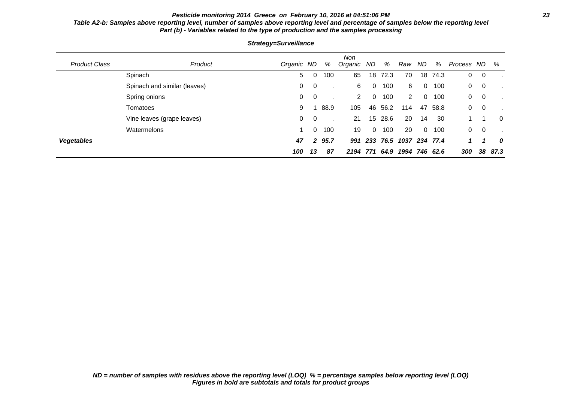## **Pesticide monitoring 2014 Greece on February 10, 2016 at 04:51:06 PM 23 Table A2-b: Samples above reporting level, number of samples above reporting level and percentage of samples below the reporting level Part (b) - Variables related to the type of production and the samples processing**

| <b>Product Class</b> | Product                      | Organic ND |                | %    | <b>Non</b><br>Organic ND |          | %       | Raw                | ND          | %        | Process ND     |     | %        |
|----------------------|------------------------------|------------|----------------|------|--------------------------|----------|---------|--------------------|-------------|----------|----------------|-----|----------|
|                      | Spinach                      | 5          | 0              | 100  | 65                       | 18       | 72.3    | 70                 | 18          | 74.3     | 0              | 0   |          |
|                      | Spinach and similar (leaves) | $\Omega$   | $\overline{0}$ |      | 6                        | $\Omega$ | 100     | 6                  | 0           | 100      | $\Omega$       | - 0 |          |
|                      | Spring onions                | $\Omega$   | $\overline{0}$ |      | 2                        | 0        | 100     | 2                  | 0           | 100      | $\Omega$       | 0   |          |
|                      | Tomatoes                     | 9          |                | 88.9 | 105                      | 46       | 56.2    | 114                | 47          | 58.8     | $\Omega$       | 0   |          |
|                      | Vine leaves (grape leaves)   | $\Omega$   | - 0            |      | 21                       |          | 15 28.6 | 20                 | 14          | 30       |                |     | $\Omega$ |
|                      | Watermelons                  |            | $\mathbf{0}$   | 100  | 19                       | $\Omega$ | 100     | 20                 | $\mathbf 0$ | 100      | $\overline{0}$ | - 0 |          |
| Vegetables           |                              | 47         | $\overline{2}$ | 95.7 | 991                      | 233      |         | 76.5 1037 234 77.4 |             |          | 1              |     | 0        |
|                      |                              | 100        | 13             | 87   | 2194 771                 |          | 64.9    | 1994               |             | 746 62.6 | 300            | 38  | 87.3     |

**Strategy=Surveillance**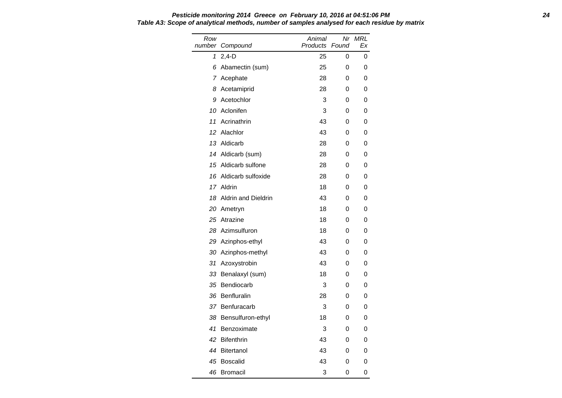| Row<br>number | Compound                   | Animal<br>Products | Nr<br>Found | <b>MRL</b><br>Ex |
|---------------|----------------------------|--------------------|-------------|------------------|
| 1             | $2,4-D$                    | 25                 | 0           | 0                |
| 6             | Abamectin (sum)            | 25                 | 0           | 0                |
| 7             | Acephate                   | 28                 | 0           | 0                |
| 8             | Acetamiprid                | 28                 | 0           | 0                |
| 9             | Acetochlor                 | 3                  | 0           | 0                |
| 10            | Aclonifen                  | 3                  | 0           | 0                |
| 11            | Acrinathrin                | 43                 | 0           | 0                |
| 12            | Alachlor                   | 43                 | 0           | 0                |
| 13            | Aldicarb                   | 28                 | 0           | 0                |
|               | 14 Aldicarb (sum)          | 28                 | 0           | 0                |
| 15            | Aldicarb sulfone           | 28                 | 0           | 0                |
| 16            | Aldicarb sulfoxide         | 28                 | 0           | 0                |
|               | 17 Aldrin                  | 18                 | 0           | 0                |
| 18            | <b>Aldrin and Dieldrin</b> | 43                 | 0           | 0                |
| 20            | Ametryn                    | 18                 | 0           | 0                |
| 25            | Atrazine                   | 18                 | 0           | 0                |
| 28            | Azimsulfuron               | 18                 | 0           | 0                |
|               | 29 Azinphos-ethyl          | 43                 | 0           | 0                |
| 30            | Azinphos-methyl            | 43                 | 0           | 0                |
| 31            | Azoxystrobin               | 43                 | 0           | 0                |
| 33            | Benalaxyl (sum)            | 18                 | 0           | 0                |
| 35            | Bendiocarb                 | 3                  | 0           | 0                |
| 36            | Benfluralin                | 28                 | 0           | 0                |
|               | 37 Benfuracarb             | 3                  | 0           | 0                |
| 38            | Bensulfuron-ethyl          | 18                 | 0           | 0                |
| 41            | Benzoximate                | 3                  | 0           | 0                |
| 42            | <b>Bifenthrin</b>          | 43                 | 0           | 0                |
| 44            | Bitertanol                 | 43                 | 0           | 0                |
| 45            | Boscalid                   | 43                 | 0           | 0                |
| 46            | <b>Bromacil</b>            | 3                  | 0           | 0                |

#### **Pesticide monitoring 2014 Greece on February 10, 2016 at 04:51:06 PM 24 Table A3: Scope of analytical methods, number of samples analysed for each residue by matrix**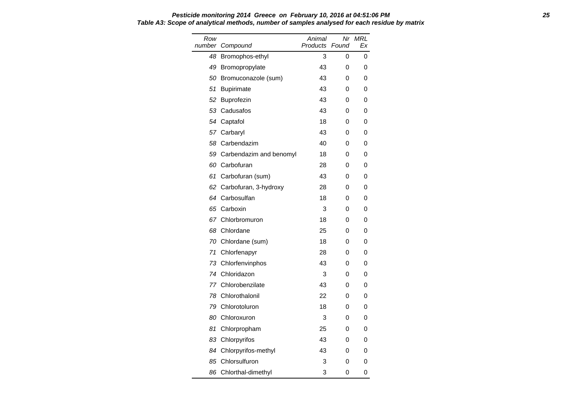#### **Pesticide monitoring 2014 Greece on February 10, 2016 at 04:51:06 PM 25 Table A3: Scope of analytical methods, number of samples analysed for each residue by matrix**

| Row<br>number | Compound                | Animal<br>Products | Nr<br>Found | MRL<br>Ex |
|---------------|-------------------------|--------------------|-------------|-----------|
| 48            | Bromophos-ethyl         | 3                  | 0           | 0         |
| 49            | Bromopropylate          | 43                 | 0           | 0         |
| 50            | Bromuconazole (sum)     | 43                 | 0           | 0         |
| 51            | <b>Bupirimate</b>       | 43                 | 0           | 0         |
| 52            | Buprofezin              | 43                 | 0           | 0         |
| 53            | Cadusafos               | 43                 | 0           | 0         |
| 54            | Captafol                | 18                 | 0           | 0         |
|               | 57 Carbaryl             | 43                 | 0           | 0         |
| 58            | Carbendazim             | 40                 | 0           | 0         |
| 59            | Carbendazim and benomyl | 18                 | 0           | 0         |
| 60            | Carbofuran              | 28                 | 0           | 0         |
| 61            | Carbofuran (sum)        | 43                 | 0           | 0         |
| 62            | Carbofuran, 3-hydroxy   | 28                 | 0           | 0         |
|               | 64 Carbosulfan          | 18                 | 0           | 0         |
| 65            | Carboxin                | 3                  | 0           | 0         |
| 67            | Chlorbromuron           | 18                 | 0           | 0         |
| 68            | Chlordane               | 25                 | 0           | 0         |
| 70            | Chlordane (sum)         | 18                 | 0           | 0         |
| 71            | Chlorfenapyr            | 28                 | 0           | 0         |
| 73            | Chlorfenvinphos         | 43                 | 0           | 0         |
| 74            | Chloridazon             | 3                  | 0           | 0         |
| 77            | Chlorobenzilate         | 43                 | 0           | 0         |
| 78            | Chlorothalonil          | 22                 | 0           | 0         |
| 79            | Chlorotoluron           | 18                 | 0           | 0         |
| 80            | Chloroxuron             | 3                  | 0           | 0         |
| 81            | Chlorpropham            | 25                 | 0           | 0         |
| 83            | Chlorpyrifos            | 43                 | 0           | 0         |
| 84            | Chlorpyrifos-methyl     | 43                 | 0           | 0         |
| 85            | Chlorsulfuron           | 3                  | 0           | 0         |
| 86            | Chlorthal-dimethyl      | 3                  | 0           | 0         |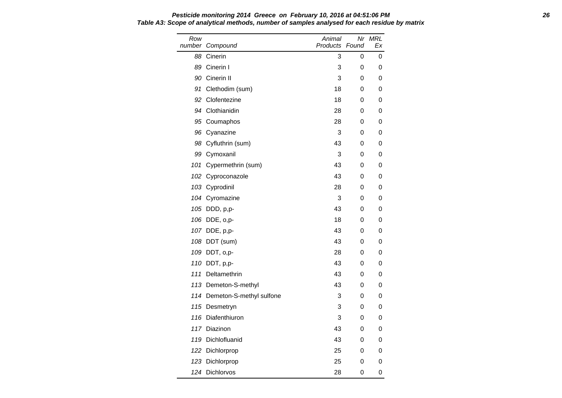Row number Compound Animal Products Found Nr MRL Ex 88 Cinerin 3 0 0 89 Cinerin I 3 0 0 90 Cinerin II 3 0 0 91 Clethodim (sum) 18 0 0 92 Clofentezine 18 0 0 94 Clothianidin 28 0 0 95 Coumaphos 28 0 0 96 Cyanazine 3 0 0 98 Cyfluthrin (sum) 13 0 0 0 99 Cymoxanil 3 0 0 101 Cypermethrin (sum) 43 0 0 102 Cyproconazole 6 and 43 0 0 103 Cyprodinil 28 0 0 104 Cyromazine 3 0 0 105 DDD, p,p- 43 0 0 106 DDE, o,p- 18 0 0 107 DDE, p,p- 43 0 0 108 DDT (sum) 43 0 0 109 DDT, o,p- 28 0 0 110 DDT, p,p- 43 0 0 111 Deltamethrin 43 0 0 113 Demeton-S-methyl 113 0 0 114 Demeton-S-methyl sulfone 3 0 0 115 Desmetryn 3 0 0 116 Diafenthiuron 3 0 0 117 Diazinon 117 Diazinon 117 Diazinon 117 Diazinon 117 Diazinon 120 Diazinon 120 Diazinon 120 Diazinon 120 Di 119 Dichlofluanid 43 0 0 122 Dichlorprop 25 0 0 123 Dichlorprop 25 0 0 124 Dichlorvos 28 0 0

## **Pesticide monitoring 2014 Greece on February 10, 2016 at 04:51:06 PM 26 Table A3: Scope of analytical methods, number of samples analysed for each residue by matrix**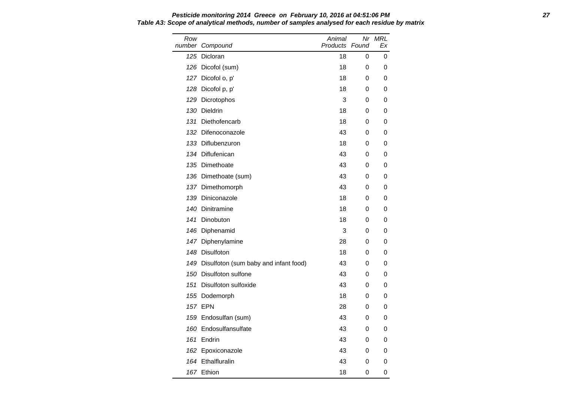Row number Compound Animal Products Found Nr MRL Ex 125 Dicloran 18 0 0 126 Dicofol (sum) 18 0 0 127 Dicofol o, p' 18 0 0 128 Dicofol p, p' 18 0 0 129 Dicrotophos 3 0 0 130 Dieldrin 18 0 0 131 Diethofencarb 18 0 0 132 Difenoconazole 6 and 43 0 0 133 Diflubenzuron 18 0 0 134 Diflufenican 134 0 0 135 Dimethoate **43** 0 0 136 Dimethoate (sum) 136 0 0 0 137 Dimethomorph 43 0 0 139 Diniconazole 18 0 0 140 Dinitramine 18 0 0 141 Dinobuton 18 0 0 146 Diphenamid 3 0 0 147 Diphenylamine 28 0 0 148 Disulfoton 18 0 0 149 Disulfoton (sum baby and infant food) 43 0 0 150 Disulfoton sulfone 43 0 0 151 Disulfoton sulfoxide 43 0 0 155 Dodemorph 18 0 0 157 EPN 28 0 0 159 Endosulfan (sum) 159 Anii 159 Anii 159 Anii 159 Anii 160 Anii 160 Anii 170 Anii 170 Anii 170 Anii 170 Anii 1 160 Endosulfansulfate and the 43 0 0 0 161 Endrin 43 0 0 162 Epoxiconazole **43** 0 0 164 Ethalfluralin 164 A13 0 0 167 Ethion 18 0 0

| Pesticide monitoring 2014 Greece on February 10, 2016 at 04:51:06 PM                         |  |
|----------------------------------------------------------------------------------------------|--|
| Table A3: Scope of analytical methods, number of samples analysed for each residue by matrix |  |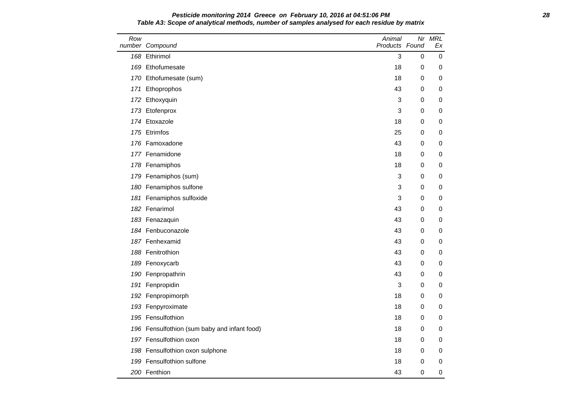### **Pesticide monitoring 2014 Greece on February 10, 2016 at 04:51:06 PM 28 Table A3: Scope of analytical methods, number of samples analysed for each residue by matrix**

| Row | number Compound                              | Animal<br>Products Found |   | Nr MRL<br>Еx |
|-----|----------------------------------------------|--------------------------|---|--------------|
|     | 168 Ethirimol                                | 3                        | 0 | 0            |
|     | 169 Ethofumesate                             | 18                       | 0 | 0            |
|     | 170 Ethofumesate (sum)                       | 18                       | 0 | 0            |
|     | 171 Ethoprophos                              | 43                       | 0 | 0            |
|     | 172 Ethoxyquin                               | 3                        | 0 | 0            |
|     | 173 Etofenprox                               | 3                        | 0 | 0            |
|     | 174 Etoxazole                                | 18                       | 0 | 0            |
|     | 175 Etrimfos                                 | 25                       | 0 | 0            |
|     | 176 Famoxadone                               | 43                       | 0 | 0            |
|     | 177 Fenamidone                               | 18                       | 0 | 0            |
|     | 178 Fenamiphos                               | 18                       | 0 | 0            |
|     | 179 Fenamiphos (sum)                         | 3                        | 0 | 0            |
|     | 180 Fenamiphos sulfone                       | 3                        | 0 | 0            |
|     | 181 Fenamiphos sulfoxide                     | 3                        | 0 | 0            |
|     | 182 Fenarimol                                | 43                       | 0 | 0            |
|     | 183 Fenazaquin                               | 43                       | 0 | 0            |
|     | 184 Fenbuconazole                            | 43                       | 0 | 0            |
|     | 187 Fenhexamid                               | 43                       | 0 | 0            |
|     | 188 Fenitrothion                             | 43                       | 0 | 0            |
|     | 189 Fenoxycarb                               | 43                       | 0 | 0            |
|     | 190 Fenpropathrin                            | 43                       | 0 | 0            |
|     | 191 Fenpropidin                              | 3                        | 0 | 0            |
|     | 192 Fenpropimorph                            | 18                       | 0 | 0            |
|     | 193 Fenpyroximate                            | 18                       | 0 | 0            |
|     | 195 Fensulfothion                            | 18                       | 0 | 0            |
|     | 196 Fensulfothion (sum baby and infant food) | 18                       | 0 | 0            |
|     | 197 Fensulfothion oxon                       | 18                       | 0 | 0            |
|     | 198 Fensulfothion oxon sulphone              | 18                       | 0 | 0            |
|     | 199 Fensulfothion sulfone                    | 18                       | 0 | 0            |
|     | 200 Fenthion                                 | 43                       | 0 | 0            |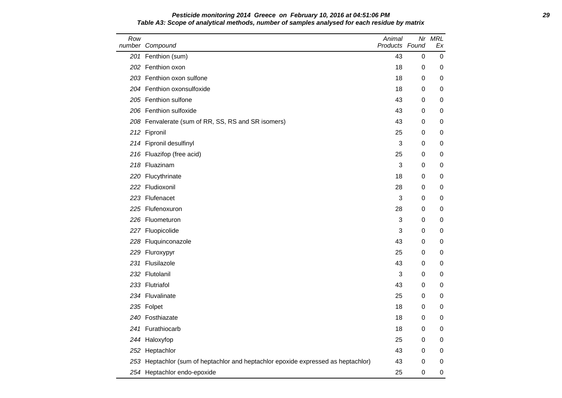#### **Pesticide monitoring 2014 Greece on February 10, 2016 at 04:51:06 PM 29 Table A3: Scope of analytical methods, number of samples analysed for each residue by matrix**

| Row | number Compound                                                               | Animal<br>Products Found |   | Nr MRL<br>Еx |
|-----|-------------------------------------------------------------------------------|--------------------------|---|--------------|
|     | 201 Fenthion (sum)                                                            | 43                       | 0 | 0            |
|     | 202 Fenthion oxon                                                             | 18                       | 0 | 0            |
|     | 203 Fenthion oxon sulfone                                                     | 18                       | 0 | 0            |
|     | 204 Fenthion oxonsulfoxide                                                    | 18                       | 0 | 0            |
|     | 205 Fenthion sulfone                                                          | 43                       | 0 | 0            |
|     | 206 Fenthion sulfoxide                                                        | 43                       | 0 | 0            |
|     | 208 Fenvalerate (sum of RR, SS, RS and SR isomers)                            | 43                       | 0 | 0            |
|     | 212 Fipronil                                                                  | 25                       | 0 | 0            |
|     | 214 Fipronil desulfinyl                                                       | 3                        | 0 | 0            |
|     | 216 Fluazifop (free acid)                                                     | 25                       | 0 | 0            |
|     | 218 Fluazinam                                                                 | 3                        | 0 | 0            |
|     | 220 Flucythrinate                                                             | 18                       | 0 | 0            |
|     | 222 Fludioxonil                                                               | 28                       | 0 | 0            |
|     | 223 Flufenacet                                                                | 3                        | 0 | 0            |
|     | 225 Flufenoxuron                                                              | 28                       | 0 | 0            |
|     | 226 Fluometuron                                                               | 3                        | 0 | 0            |
|     | 227 Fluopicolide                                                              | 3                        | 0 | 0            |
|     | 228 Fluquinconazole                                                           | 43                       | 0 | 0            |
|     | 229 Fluroxypyr                                                                | 25                       | 0 | 0            |
|     | 231 Flusilazole                                                               | 43                       | 0 | 0            |
|     | 232 Flutolanil                                                                | 3                        | 0 | 0            |
|     | 233 Flutriafol                                                                | 43                       | 0 | 0            |
|     | 234 Fluvalinate                                                               | 25                       | 0 | 0            |
|     | 235 Folpet                                                                    | 18                       | 0 | 0            |
|     | 240 Fosthiazate                                                               | 18                       | 0 | 0            |
|     | 241 Furathiocarb                                                              | 18                       | 0 | 0            |
|     | 244 Haloxyfop                                                                 | 25                       | 0 | 0            |
|     | 252 Heptachlor                                                                | 43                       | 0 | 0            |
| 253 | Heptachlor (sum of heptachlor and heptachlor epoxide expressed as heptachlor) | 43                       | 0 | 0            |
|     | 254 Heptachlor endo-epoxide                                                   | 25                       | 0 | 0            |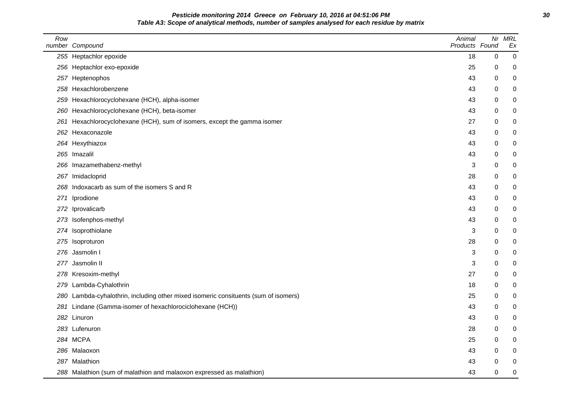**Pesticide monitoring 2014 Greece on February 10, 2016 at 04:51:06 PM 30 Table A3: Scope of analytical methods, number of samples analysed for each residue by matrix**

| Row | number Compound                                                                 | Animal<br>Products Found | Nr       | <b>MRL</b><br>Ex |
|-----|---------------------------------------------------------------------------------|--------------------------|----------|------------------|
|     | 255 Heptachlor epoxide                                                          | 18                       | 0        | $\pmb{0}$        |
|     | 256 Heptachlor exo-epoxide                                                      | 25                       | 0        | 0                |
|     | 257 Heptenophos                                                                 | 43                       | 0        | 0                |
| 258 | Hexachlorobenzene                                                               | 43                       | 0        | 0                |
| 259 | Hexachlorocyclohexane (HCH), alpha-isomer                                       | 43                       | 0        | 0                |
| 260 | Hexachlorocyclohexane (HCH), beta-isomer                                        | 43                       | 0        | 0                |
| 261 | Hexachlorocyclohexane (HCH), sum of isomers, except the gamma isomer            | 27                       | 0        | 0                |
| 262 | Hexaconazole                                                                    | 43                       | 0        | $\pmb{0}$        |
|     | 264 Hexythiazox                                                                 | 43                       | 0        | 0                |
|     | 265 Imazalil                                                                    | 43                       | 0        | 0                |
|     | 266 Imazamethabenz-methyl                                                       | 3                        | 0        | 0                |
|     | 267 Imidacloprid                                                                | 28                       | 0        | 0                |
| 268 | Indoxacarb as sum of the isomers S and R                                        | 43                       | 0        | 0                |
| 271 | Iprodione                                                                       | 43                       | 0        | $\pmb{0}$        |
| 272 | Iprovalicarb                                                                    | 43                       | 0        | 0                |
|     | 273 Isofenphos-methyl                                                           | 43                       | 0        | 0                |
|     | 274 Isoprothiolane                                                              | 3                        | 0        | 0                |
|     | 275 Isoproturon                                                                 | 28                       | 0        | 0                |
| 276 | Jasmolin I                                                                      | 3                        | 0        | 0                |
| 277 | Jasmolin II                                                                     | 3                        | $\Omega$ | $\pmb{0}$        |
|     | 278 Kresoxim-methyl                                                             | 27                       | 0        | 0                |
| 279 | Lambda-Cyhalothrin                                                              | 18                       | 0        | 0                |
| 280 | Lambda-cyhalothrin, including other mixed isomeric consituents (sum of isomers) | 25                       | 0        | 0                |
| 281 | Lindane (Gamma-isomer of hexachlorociclohexane (HCH))                           | 43                       | 0        | 0                |
|     | 282 Linuron                                                                     | 43                       | 0        | 0                |
|     | 283 Lufenuron                                                                   | 28                       | $\Omega$ | $\pmb{0}$        |
|     | 284 MCPA                                                                        | 25                       | 0        | 0                |
|     | 286 Malaoxon                                                                    | 43                       | 0        | 0                |
|     | 287 Malathion                                                                   | 43                       | 0        | 0                |
|     | 288 Malathion (sum of malathion and malaoxon expressed as malathion)            | 43                       | 0        | 0                |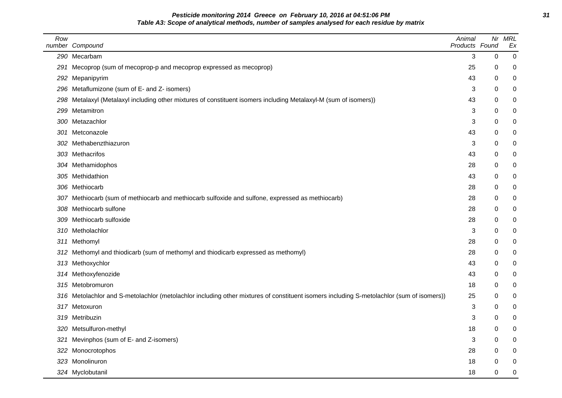**Pesticide monitoring 2014 Greece on February 10, 2016 at 04:51:06 PM 31 Table A3: Scope of analytical methods, number of samples analysed for each residue by matrix**

| Row | number Compound                                                                                                                          | Animal<br>Products Found | Nr | <b>MRL</b><br>Ex |
|-----|------------------------------------------------------------------------------------------------------------------------------------------|--------------------------|----|------------------|
|     | 290 Mecarbam                                                                                                                             | 3                        | 0  | 0                |
| 291 | Mecoprop (sum of mecoprop-p and mecoprop expressed as mecoprop)                                                                          | 25                       | 0  | 0                |
| 292 | Mepanipyrim                                                                                                                              | 43                       | 0  | 0                |
| 296 | Metaflumizone (sum of E- and Z- isomers)                                                                                                 | 3                        | 0  | 0                |
| 298 | Metalaxyl (Metalaxyl including other mixtures of constituent isomers including Metalaxyl-M (sum of isomers))                             | 43                       | 0  | 0                |
| 299 | Metamitron                                                                                                                               | 3                        | 0  | 0                |
| 300 | Metazachlor                                                                                                                              | 3                        | 0  | 0                |
| 301 | Metconazole                                                                                                                              | 43                       | 0  | 0                |
| 302 | Methabenzthiazuron                                                                                                                       | 3                        | 0  | 0                |
|     | 303 Methacrifos                                                                                                                          | 43                       | 0  | 0                |
|     | 304 Methamidophos                                                                                                                        | 28                       | 0  | 0                |
|     | 305 Methidathion                                                                                                                         | 43                       | 0  | 0                |
| 306 | Methiocarb                                                                                                                               | 28                       | 0  | 0                |
|     | 307 Methiocarb (sum of methiocarb and methiocarb sulfoxide and sulfone, expressed as methiocarb)                                         | 28                       | 0  | 0                |
| 308 | Methiocarb sulfone                                                                                                                       | 28                       | 0  | 0                |
| 309 | Methiocarb sulfoxide                                                                                                                     | 28                       | 0  | 0                |
| 310 | Metholachlor                                                                                                                             | 3                        | 0  | 0                |
| 311 | Methomyl                                                                                                                                 | 28                       | 0  | 0                |
| 312 | Methomyl and thiodicarb (sum of methomyl and thiodicarb expressed as methomyl)                                                           | 28                       | 0  | 0                |
| 313 | Methoxychlor                                                                                                                             | 43                       | 0  | 0                |
|     | 314 Methoxyfenozide                                                                                                                      | 43                       | 0  | 0                |
| 315 | Metobromuron                                                                                                                             | 18                       | 0  | 0                |
|     | 316 Metolachlor and S-metolachlor (metolachlor including other mixtures of constituent isomers including S-metolachlor (sum of isomers)) | 25                       | 0  | 0                |
|     | 317 Metoxuron                                                                                                                            | 3                        | 0  | 0                |
| 319 | Metribuzin                                                                                                                               | 3                        | 0  | 0                |
|     | 320 Metsulfuron-methyl                                                                                                                   | 18                       | 0  | 0                |
| 321 | Mevinphos (sum of E- and Z-isomers)                                                                                                      | 3                        | 0  | 0                |
| 322 | Monocrotophos                                                                                                                            | 28                       | 0  | 0                |
|     | 323 Monolinuron                                                                                                                          | 18                       | 0  | 0                |
|     | 324 Myclobutanil                                                                                                                         | 18                       | 0  | 0                |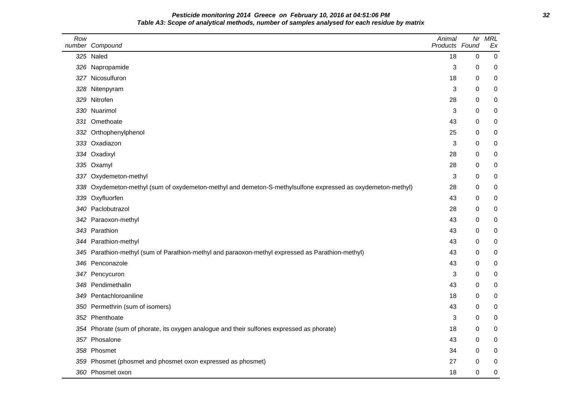**Pesticide monitoring 2014 Greece on February 10, 2016 at 04:51:06 PM 32 Table A3: Scope of analytical methods, number of samples analysed for each residue by matrix**

| Row | number Compound                                                                                         | Animal<br>Products Found | Nr       | <b>MRL</b><br>Ex |
|-----|---------------------------------------------------------------------------------------------------------|--------------------------|----------|------------------|
|     | 325 Naled                                                                                               | 18                       | $\Omega$ | $\pmb{0}$        |
|     | 326 Napropamide                                                                                         | 3                        | 0        | 0                |
|     | 327 Nicosulfuron                                                                                        | 18                       | 0        | 0                |
| 328 | Nitenpyram                                                                                              | 3                        | 0        | 0                |
|     | 329 Nitrofen                                                                                            | 28                       | 0        | 0                |
|     | 330 Nuarimol                                                                                            | 3                        | 0        | 0                |
|     | 331 Omethoate                                                                                           | 43                       | 0        | 0                |
| 332 | Orthophenylphenol                                                                                       | 25                       | $\Omega$ | 0                |
|     | 333 Oxadiazon                                                                                           | 3                        | 0        | 0                |
|     | 334 Oxadixyl                                                                                            | 28                       | 0        | 0                |
|     | 335 Oxamyl                                                                                              | 28                       | 0        | 0                |
|     | 337 Oxydemeton-methyl                                                                                   | 3                        | 0        | 0                |
| 338 | Oxydemeton-methyl (sum of oxydemeton-methyl and demeton-S-methylsulfone expressed as oxydemeton-methyl) | 28                       | 0        | 0                |
| 339 | Oxyfluorfen                                                                                             | 43                       | 0        | 0                |
|     | 340 Paclobutrazol                                                                                       | 28                       | $\Omega$ | 0                |
|     | 342 Paraoxon-methyl                                                                                     | 43                       | 0        | 0                |
|     | 343 Parathion                                                                                           | 43                       | 0        | 0                |
|     | 344 Parathion-methyl                                                                                    | 43                       | 0        | 0                |
|     | 345 Parathion-methyl (sum of Parathion-methyl and paraoxon-methyl expressed as Parathion-methyl)        | 43                       | 0        | 0                |
|     | 346 Penconazole                                                                                         | 43                       | 0        | 0                |
|     | 347 Pencycuron                                                                                          | 3                        | 0        | 0                |
|     | 348 Pendimethalin                                                                                       | 43                       | 0        | 0                |
| 349 | Pentachloroaniline                                                                                      | 18                       | 0        | 0                |
|     | 350 Permethrin (sum of isomers)                                                                         | 43                       | 0        | 0                |
| 352 | Phenthoate                                                                                              | 3                        | 0        | 0                |
|     | 354 Phorate (sum of phorate, its oxygen analogue and their sulfones expressed as phorate)               | 18                       | 0        | 0                |
|     | 357 Phosalone                                                                                           | 43                       | 0        | 0                |
| 358 | Phosmet                                                                                                 | 34                       | 0        | 0                |
| 359 | Phosmet (phosmet and phosmet oxon expressed as phosmet)                                                 | 27                       | 0        | 0                |
|     | 360 Phosmet oxon                                                                                        | 18                       | 0        | $\pmb{0}$        |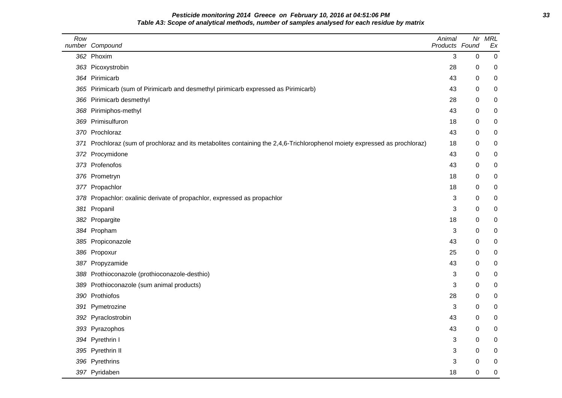## **Pesticide monitoring 2014 Greece on February 10, 2016 at 04:51:06 PM 33 Table A3: Scope of analytical methods, number of samples analysed for each residue by matrix**

| Row  | number Compound                                                                                                        | Animal<br>Products Found |             | Nr MRL<br>Ex |
|------|------------------------------------------------------------------------------------------------------------------------|--------------------------|-------------|--------------|
|      | 362 Phoxim                                                                                                             | 3                        | $\Omega$    | 0            |
|      | 363 Picoxystrobin                                                                                                      | 28                       | 0           | 0            |
|      | 364 Pirimicarb                                                                                                         | 43                       | 0           | 0            |
|      | 365 Pirimicarb (sum of Pirimicarb and desmethyl pirimicarb expressed as Pirimicarb)                                    | 43                       | 0           | 0            |
| 366  | Pirimicarb desmethyl                                                                                                   | 28                       | 0           | 0            |
| 368  | Pirimiphos-methyl                                                                                                      | 43                       | 0           | 0            |
|      | 369 Primisulfuron                                                                                                      | 18                       | 0           | 0            |
| 370- | Prochloraz                                                                                                             | 43                       | 0           | 0            |
| 371  | Prochloraz (sum of prochloraz and its metabolites containing the 2,4,6-Trichlorophenol moiety expressed as prochloraz) | 18                       | 0           | 0            |
| 372  | Procymidone                                                                                                            | 43                       | 0           | 0            |
| 373. | Profenofos                                                                                                             | 43                       | $\Omega$    | 0            |
|      | 376 Prometryn                                                                                                          | 18                       | 0           | 0            |
| 377  | Propachlor                                                                                                             | 18                       | 0           | 0            |
| 378  | Propachlor: oxalinic derivate of propachlor, expressed as propachlor                                                   | 3                        | 0           | 0            |
| 381  | Propanil                                                                                                               | 3                        | 0           | 0            |
| 382  | Propargite                                                                                                             | 18                       | 0           | 0            |
|      | 384 Propham                                                                                                            | 3                        | 0           | 0            |
|      | 385 Propiconazole                                                                                                      | 43                       | $\Omega$    | 0            |
| 386  | Propoxur                                                                                                               | 25                       | 0           | 0            |
| 387  | Propyzamide                                                                                                            | 43                       | 0           | 0            |
| 388  | Prothioconazole (prothioconazole-desthio)                                                                              | 3                        | 0           | 0            |
| 389  | Prothioconazole (sum animal products)                                                                                  | 3                        | 0           | 0            |
| 390  | Prothiofos                                                                                                             | 28                       | 0           | 0            |
| 391  | Pymetrozine                                                                                                            | 3                        | $\mathbf 0$ | 0            |
| 392  | Pyraclostrobin                                                                                                         | 43                       | 0           | 0            |
|      | 393 Pyrazophos                                                                                                         | 43                       | 0           | 0            |
|      | 394 Pyrethrin I                                                                                                        | 3                        | 0           | 0            |
|      | 395 Pyrethrin II                                                                                                       | 3                        | $\Omega$    | 0            |
|      | 396 Pyrethrins                                                                                                         | 3                        | 0           | 0            |
|      | 397 Pyridaben                                                                                                          | 18                       | 0           | 0            |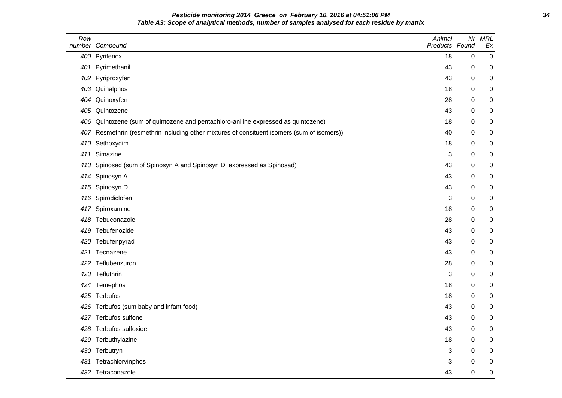## **Pesticide monitoring 2014 Greece on February 10, 2016 at 04:51:06 PM 34 Table A3: Scope of analytical methods, number of samples analysed for each residue by matrix**

| Row | number Compound                                                                         | Animal<br>Products Found | Nr | <b>MRL</b><br>Ex |
|-----|-----------------------------------------------------------------------------------------|--------------------------|----|------------------|
|     | 400 Pyrifenox                                                                           | 18                       | 0  | 0                |
| 401 | Pyrimethanil                                                                            | 43                       | 0  | 0                |
|     | 402 Pyriproxyfen                                                                        | 43                       | 0  | 0                |
|     | 403 Quinalphos                                                                          | 18                       | 0  | 0                |
| 404 | Quinoxyfen                                                                              | 28                       | 0  | 0                |
| 405 | Quintozene                                                                              | 43                       | 0  | 0                |
| 406 | Quintozene (sum of quintozene and pentachloro-aniline expressed as quintozene)          | 18                       | 0  | 0                |
| 407 | Resmethrin (resmethrin including other mixtures of consituent isomers (sum of isomers)) | 40                       | 0  | 0                |
| 410 | Sethoxydim                                                                              | 18                       | 0  | 0                |
| 411 | Simazine                                                                                | 3                        | 0  | 0                |
| 413 | Spinosad (sum of Spinosyn A and Spinosyn D, expressed as Spinosad)                      | 43                       | 0  | 0                |
| 414 | Spinosyn A                                                                              | 43                       | 0  | 0                |
|     | 415 Spinosyn D                                                                          | 43                       | 0  | 0                |
| 416 | Spirodiclofen                                                                           | 3                        | 0  | 0                |
|     | 417 Spiroxamine                                                                         | 18                       | 0  | 0                |
| 418 | Tebuconazole                                                                            | 28                       | 0  | 0                |
| 419 | Tebufenozide                                                                            | 43                       | 0  | $\mathbf 0$      |
| 420 | Tebufenpyrad                                                                            | 43                       | 0  | 0                |
| 421 | Tecnazene                                                                               | 43                       | 0  | 0                |
| 422 | Teflubenzuron                                                                           | 28                       | 0  | 0                |
|     | 423 Tefluthrin                                                                          | 3                        | 0  | 0                |
|     | 424 Temephos                                                                            | 18                       | 0  | 0                |
| 425 | Terbufos                                                                                | 18                       | 0  | 0                |
|     | 426 Terbufos (sum baby and infant food)                                                 | 43                       | 0  | 0                |
| 427 | Terbufos sulfone                                                                        | 43                       | 0  | 0                |
| 428 | Terbufos sulfoxide                                                                      | 43                       | 0  | 0                |
| 429 | Terbuthylazine                                                                          | 18                       | 0  | 0                |
|     | 430 Terbutryn                                                                           | 3                        | 0  | 0                |
| 431 | Tetrachlorvinphos                                                                       | 3                        | 0  | 0                |
|     | 432 Tetraconazole                                                                       | 43                       | 0  | $\boldsymbol{0}$ |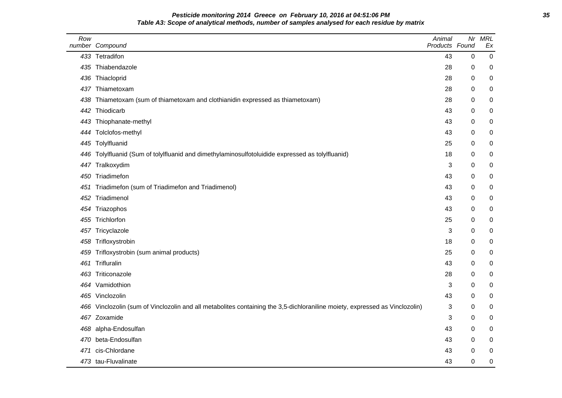#### **Pesticide monitoring 2014 Greece on February 10, 2016 at 04:51:06 PM 35 Table A3: Scope of analytical methods, number of samples analysed for each residue by matrix**

| Row | number Compound                                                                                                         | Animal<br>Products Found | Nr          | MRL<br>Ex |
|-----|-------------------------------------------------------------------------------------------------------------------------|--------------------------|-------------|-----------|
|     | 433 Tetradifon                                                                                                          | 43                       | $\pmb{0}$   | 0         |
|     | 435 Thiabendazole                                                                                                       | 28                       | 0           | 0         |
| 436 | Thiacloprid                                                                                                             | 28                       | 0           | 0         |
|     | 437 Thiametoxam                                                                                                         | 28                       | 0           | 0         |
| 438 | Thiametoxam (sum of thiametoxam and clothianidin expressed as thiametoxam)                                              | 28                       | 0           | 0         |
| 442 | Thiodicarb                                                                                                              | 43                       | 0           | 0         |
|     | 443 Thiophanate-methyl                                                                                                  | 43                       | 0           | 0         |
| 444 | Tolclofos-methyl                                                                                                        | 43                       | 0           | 0         |
|     | 445 Tolylfluanid                                                                                                        | 25                       | 0           | 0         |
|     | 446 Tolylfluanid (Sum of tolylfluanid and dimethylaminosulfotoluidide expressed as tolylfluanid)                        | 18                       | 0           | 0         |
|     | 447 Tralkoxydim                                                                                                         | 3                        | 0           | 0         |
|     | 450 Triadimefon                                                                                                         | 43                       | 0           | 0         |
| 451 | Triadimefon (sum of Triadimefon and Triadimenol)                                                                        | 43                       | 0           | 0         |
| 452 | Triadimenol                                                                                                             | 43                       | 0           | 0         |
|     | 454 Triazophos                                                                                                          | 43                       | 0           | 0         |
|     | 455 Trichlorfon                                                                                                         | 25                       | 0           | 0         |
|     | 457 Tricyclazole                                                                                                        | 3                        | 0           | 0         |
|     | 458 Trifloxystrobin                                                                                                     | 18                       | 0           | 0         |
| 459 | Trifloxystrobin (sum animal products)                                                                                   | 25                       | 0           | 0         |
| 461 | Trifluralin                                                                                                             | 43                       | 0           | 0         |
|     | 463 Triticonazole                                                                                                       | 28                       | 0           | 0         |
|     | 464 Vamidothion                                                                                                         | 3                        | 0           | 0         |
|     | 465 Vinclozolin                                                                                                         | 43                       | 0           | 0         |
| 466 | Vinclozolin (sum of Vinclozolin and all metabolites containing the 3,5-dichloraniline moiety, expressed as Vinclozolin) | 3                        | 0           | 0         |
|     | 467 Zoxamide                                                                                                            | 3                        | 0           | 0         |
|     | 468 alpha-Endosulfan                                                                                                    | 43                       | 0           | 0         |
|     | 470 beta-Endosulfan                                                                                                     | 43                       | 0           | 0         |
| 471 | cis-Chlordane                                                                                                           | 43                       | 0           | 0         |
|     | 473 tau-Fluvalinate                                                                                                     | 43                       | $\mathbf 0$ | 0         |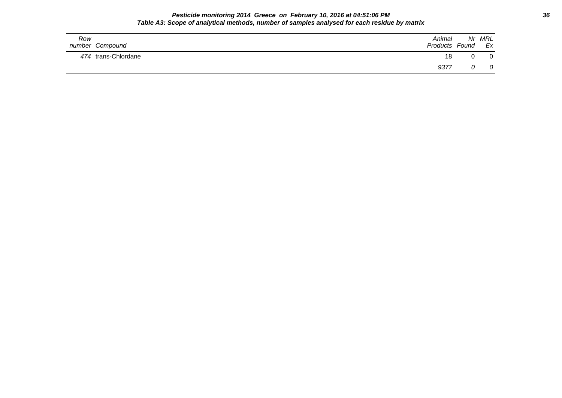#### **Pesticide monitoring 2014 Greece on February 10, 2016 at 04:51:06 PM 36 Table A3: Scope of analytical methods, number of samples analysed for each residue by matrix**

| Row<br>number Compound | Animal<br>Products Found | Nr MRL<br>Ex |
|------------------------|--------------------------|--------------|
| 474 trans-Chlordane    | 18                       |              |
|                        | 9377                     |              |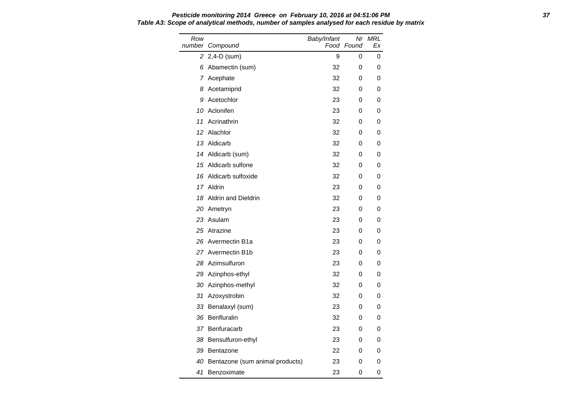Row number Compound Baby/Infant Food Found Nr MRL Ex 2 2,4-D (sum) 9 0 0 6 Abamectin (sum) 32 0 0 7 Acephate 20 32 0 0 8 Acetamiprid 32 0 0 9 Acetochlor 23 0 0 10 Aclonifen 23 0 0 11 Acrinathrin 32 0 0 12 Alachlor 32 0 0 13 Aldicarb 32 0 0 14 Aldicarb (sum) 32 0 0 15 Aldicarb sulfone 32 0 0 16 Aldicarb sulfoxide 32 0 0 17 Aldrin 23 0 0 18 Aldrin and Dieldrin 32 0 0 20 Ametryn 23 0 0 23 Asulam 23 0 0 25 Atrazine 23 0 0 26 Avermectin B1a 23 0 0 27 Avermectin B1b 23 0 0 28 Azimsulfuron 23 0 0 29 Azinphos-ethyl 32 0 0 30 Azinphos-methyl 32 0 0 31 Azoxystrobin 32 0 0 33 Benalaxyl (sum) 23 0 0 36 Benfluralin 32 0 0 37 Benfuracarb 23 0 0 38 Bensulfuron-ethyl 23 0 0 39 Bentazone 22 0 0 40 Bentazone (sum animal products) 23 0 0 41 Benzoximate 23 0 0

## **Pesticide monitoring 2014 Greece on February 10, 2016 at 04:51:06 PM 37 Table A3: Scope of analytical methods, number of samples analysed for each residue by matrix**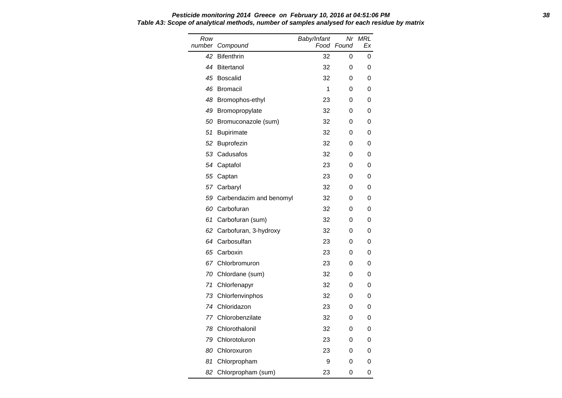#### **Pesticide monitoring 2014 Greece on February 10, 2016 at 04:51:06 PM 38 Table A3: Scope of analytical methods, number of samples analysed for each residue by matrix**

| Row<br>number | Compound                   | Baby/Infant<br>Food | Nr<br>Found | MRL<br>Еx |
|---------------|----------------------------|---------------------|-------------|-----------|
| 42            | <b>Bifenthrin</b>          | 32                  | 0           | 0         |
|               | 44 Bitertanol              | 32                  | 0           | 0         |
| 45            | Boscalid                   | 32                  | 0           | 0         |
| 46            | <b>Bromacil</b>            | 1                   | 0           | 0         |
|               | 48 Bromophos-ethyl         | 23                  | 0           | 0         |
| 49            | Bromopropylate             | 32                  | 0           | 0         |
| 50            | Bromuconazole (sum)        | 32                  | 0           | 0         |
| 51            | <b>Bupirimate</b>          | 32                  | 0           | 0         |
| 52            | Buprofezin                 | 32                  | 0           | 0         |
| 53            | Cadusafos                  | 32                  | 0           | 0         |
|               | 54 Captafol                | 23                  | 0           | 0         |
| 55            | Captan                     | 23                  | 0           | 0         |
|               | 57 Carbaryl                | 32                  | 0           | 0         |
|               | 59 Carbendazim and benomyl | 32                  | 0           | 0         |
| 60            | Carbofuran                 | 32                  | 0           | 0         |
| 61            | Carbofuran (sum)           | 32                  | 0           | 0         |
| 62            | Carbofuran, 3-hydroxy      | 32                  | 0           | 0         |
| 64            | Carbosulfan                | 23                  | 0           | 0         |
|               | 65 Carboxin                | 23                  | 0           | 0         |
|               | 67 Chlorbromuron           | 23                  | 0           | 0         |
| 70            | Chlordane (sum)            | 32                  | 0           | 0         |
| 71            | Chlorfenapyr               | 32                  | 0           | 0         |
| 73            | Chlorfenvinphos            | 32                  | 0           | 0         |
| 74            | Chloridazon                | 23                  | 0           | 0         |
|               | 77 Chlorobenzilate         | 32                  | 0           | 0         |
|               | 78 Chlorothalonil          | 32                  | 0           | 0         |
| 79            | Chlorotoluron              | 23                  | 0           | 0         |
| 80            | Chloroxuron                | 23                  | 0           | 0         |
| 81            | Chlorpropham               | 9                   | 0           | 0         |
| 82            | Chlorpropham (sum)         | 23                  | 0           | 0         |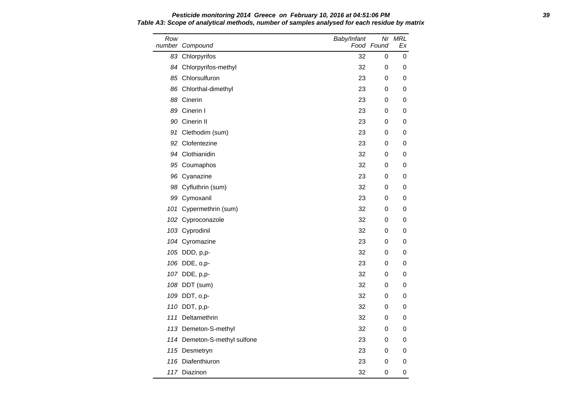### **Pesticide monitoring 2014 Greece on February 10, 2016 at 04:51:06 PM 39 Table A3: Scope of analytical methods, number of samples analysed for each residue by matrix**

| Row | number Compound              | Baby/Infant | Food Found | Nr MRL<br>Еx |
|-----|------------------------------|-------------|------------|--------------|
|     | 83 Chlorpyrifos              | 32          | 0          | 0            |
|     | 84 Chlorpyrifos-methyl       | 32          | 0          | 0            |
|     | 85 Chlorsulfuron             | 23          | 0          | 0            |
|     | 86 Chlorthal-dimethyl        | 23          | 0          | 0            |
|     | 88 Cinerin                   | 23          | 0          | 0            |
|     | 89 Cinerin I                 | 23          | 0          | 0            |
|     | 90 Cinerin II                | 23          | 0          | 0            |
|     | 91 Clethodim (sum)           | 23          | 0          | 0            |
|     | 92 Clofentezine              | 23          | 0          | 0            |
|     | 94 Clothianidin              | 32          | 0          | 0            |
|     | 95 Coumaphos                 | 32          | 0          | 0            |
|     | 96 Cyanazine                 | 23          | 0          | 0            |
|     | 98 Cyfluthrin (sum)          | 32          | 0          | 0            |
|     | 99 Cymoxanil                 | 23          | 0          | 0            |
|     | 101 Cypermethrin (sum)       | 32          | 0          | 0            |
|     | 102 Cyproconazole            | 32          | 0          | 0            |
|     | 103 Cyprodinil               | 32          | 0          | 0            |
|     | 104 Cyromazine               | 23          | 0          | 0            |
|     | 105 DDD, p,p-                | 32          | 0          | 0            |
|     | 106 DDE, o,p-                | 23          | 0          | 0            |
|     | 107 DDE, p,p-                | 32          | 0          | 0            |
|     | 108 DDT (sum)                | 32          | 0          | 0            |
|     | 109 DDT, o,p-                | 32          | 0          | 0            |
|     | 110 DDT, p,p-                | 32          | 0          | 0            |
| 111 | Deltamethrin                 | 32          | 0          | 0            |
|     | 113 Demeton-S-methyl         | 32          | 0          | 0            |
|     | 114 Demeton-S-methyl sulfone | 23          | 0          | 0            |
|     | 115 Desmetryn                | 23          | 0          | 0            |
|     | 116 Diafenthiuron            | 23          | 0          | 0            |
|     | 117 Diazinon                 | 32          | 0          | 0            |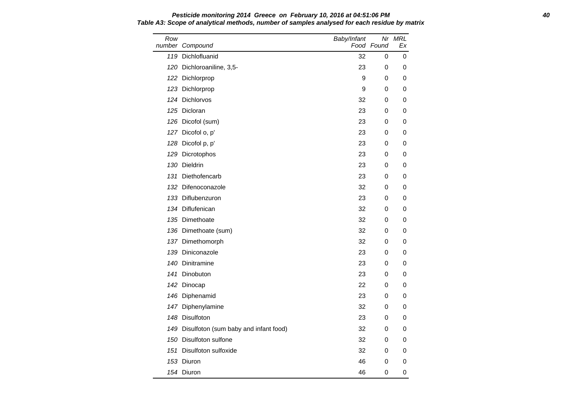Row number Compound Baby/Infant Food Found Nr MRL Ex 119 Dichlofluanid **32** 0 0 120 Dichloroaniline, 3,5-<br>
23 0 0 122 Dichlorprop 9 0 0 0 123 Dichlorprop 9 0 0 124 Dichlorvos 32 0 0 125 Dicloran 23 0 0 126 Dicofol (sum) 23 0 0 127 Dicofol o, p' 23 0 0 128 Dicofol p, p' 23 0 0 129 Dicrotophos 23 0 0 130 Dieldrin 23 0 0 131 Diethofencarb 23 0 0 132 Difenoconazole 32 0 0 133 Diflubenzuron 23 0 0 134 Diflufenican and the state of the state of the state of the state of the state of the state of the state o 135 Dimethoate **32** 0 0 136 Dimethoate (sum) 32 0 0 137 Dimethomorph 32 0 0 139 Diniconazole 23 0 0 140 Dinitramine 23 0 0 141 Dinobuton 23 0 0 142 Dinocap 22 0 0 146 Diphenamid 23 0 0 147 Diphenylamine 32 0 0 148 Disulfoton 23 0 0 149 Disulfoton (sum baby and infant food) 32 0 0 150 Disulfoton sulfone 32 0 0 0 151 Disulfoton sulfoxide 1990 Control 151 Disulfoton sulfoxide 151 Disulto 161 Disulto 161 Disulto 161 Distur 153 Diuron 46 0 0

1*54* Diuron 164 Diuron 1654 Diuron 1654 Diuron 1654 Diuron 1654 Diuron 1655 Diuron 1656 Diuron 1656 Diuron 16

# **Pesticide monitoring 2014 Greece on February 10, 2016 at 04:51:06 PM 40 Table A3: Scope of analytical methods, number of samples analysed for each residue by matrix**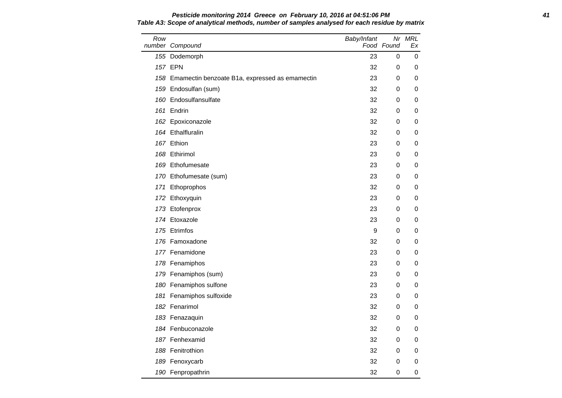### **Pesticide monitoring 2014 Greece on February 10, 2016 at 04:51:06 PM 41 Table A3: Scope of analytical methods, number of samples analysed for each residue by matrix**

| Row | number Compound                                    | Baby/Infant | Nr<br>Food Found | MRL<br>Еx |
|-----|----------------------------------------------------|-------------|------------------|-----------|
|     | 155 Dodemorph                                      | 23          | 0                | 0         |
|     | 157 EPN                                            | 32          | 0                | 0         |
|     | 158 Emamectin benzoate B1a, expressed as emamectin | 23          | 0                | 0         |
|     | 159 Endosulfan (sum)                               | 32          | 0                | 0         |
|     | 160 Endosulfansulfate                              | 32          | 0                | 0         |
|     | 161 Endrin                                         | 32          | 0                | 0         |
|     | 162 Epoxiconazole                                  | 32          | 0                | 0         |
|     | 164 Ethalfluralin                                  | 32          | 0                | 0         |
|     | 167 Ethion                                         | 23          | 0                | 0         |
|     | 168 Ethirimol                                      | 23          | 0                | 0         |
|     | 169 Ethofumesate                                   | 23          | 0                | 0         |
|     | 170 Ethofumesate (sum)                             | 23          | 0                | 0         |
|     | 171 Ethoprophos                                    | 32          | 0                | 0         |
|     | 172 Ethoxyquin                                     | 23          | 0                | 0         |
|     | 173 Etofenprox                                     | 23          | 0                | 0         |
|     | 174 Etoxazole                                      | 23          | 0                | 0         |
|     | 175 Etrimfos                                       | 9           | 0                | 0         |
|     | 176 Famoxadone                                     | 32          | 0                | 0         |
|     | 177 Fenamidone                                     | 23          | 0                | 0         |
|     | 178 Fenamiphos                                     | 23          | 0                | 0         |
|     | 179 Fenamiphos (sum)                               | 23          | 0                | 0         |
|     | 180 Fenamiphos sulfone                             | 23          | 0                | 0         |
|     | 181 Fenamiphos sulfoxide                           | 23          | 0                | 0         |
|     | 182 Fenarimol                                      | 32          | 0                | 0         |
|     | 183 Fenazaquin                                     | 32          | 0                | 0         |
|     | 184 Fenbuconazole                                  | 32          | 0                | 0         |
|     | 187 Fenhexamid                                     | 32          | 0                | 0         |
|     | 188 Fenitrothion                                   | 32          | 0                | 0         |
|     | 189 Fenoxycarb                                     | 32          | $\boldsymbol{0}$ | 0         |
|     | 190 Fenpropathrin                                  | 32          | 0                | 0         |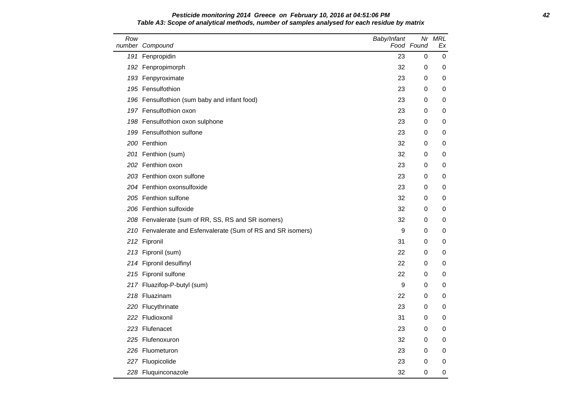### **Pesticide monitoring 2014 Greece on February 10, 2016 at 04:51:06 PM 42 Table A3: Scope of analytical methods, number of samples analysed for each residue by matrix**

| Row | number Compound                                              | Baby/Infant | Food Found  | Nr MRL<br>Ex |
|-----|--------------------------------------------------------------|-------------|-------------|--------------|
|     | 191 Fenpropidin                                              | 23          | 0           | 0            |
|     | 192 Fenpropimorph                                            | 32          | 0           | 0            |
|     | 193 Fenpyroximate                                            | 23          | 0           | 0            |
|     | 195 Fensulfothion                                            | 23          | 0           | 0            |
|     | 196 Fensulfothion (sum baby and infant food)                 | 23          | 0           | 0            |
|     | 197 Fensulfothion oxon                                       | 23          | 0           | 0            |
|     | 198 Fensulfothion oxon sulphone                              | 23          | 0           | 0            |
|     | 199 Fensulfothion sulfone                                    | 23          | 0           | 0            |
|     | 200 Fenthion                                                 | 32          | 0           | 0            |
|     | 201 Fenthion (sum)                                           | 32          | 0           | 0            |
|     | 202 Fenthion oxon                                            | 23          | 0           | 0            |
|     | 203 Fenthion oxon sulfone                                    | 23          | 0           | 0            |
|     | 204 Fenthion oxonsulfoxide                                   | 23          | 0           | 0            |
|     | 205 Fenthion sulfone                                         | 32          | 0           | 0            |
|     | 206 Fenthion sulfoxide                                       | 32          | 0           | 0            |
|     | 208 Fenvalerate (sum of RR, SS, RS and SR isomers)           | 32          | 0           | 0            |
|     | 210 Fenvalerate and Esfenvalerate (Sum of RS and SR isomers) | 9           | 0           | 0            |
|     | 212 Fipronil                                                 | 31          | 0           | 0            |
|     | 213 Fipronil (sum)                                           | 22          | 0           | 0            |
|     | 214 Fipronil desulfinyl                                      | 22          | 0           | 0            |
|     | 215 Fipronil sulfone                                         | 22          | 0           | 0            |
|     | 217 Fluazifop-P-butyl (sum)                                  | 9           | 0           | 0            |
|     | 218 Fluazinam                                                | 22          | 0           | 0            |
|     | 220 Flucythrinate                                            | 23          | 0           | 0            |
|     | 222 Fludioxonil                                              | 31          | 0           | 0            |
|     | 223 Flufenacet                                               | 23          | 0           | 0            |
|     | 225 Flufenoxuron                                             | 32          | 0           | 0            |
|     | 226 Fluometuron                                              | 23          | 0           | 0            |
|     | 227 Fluopicolide                                             | 23          | 0           | 0            |
|     | 228 Fluquinconazole                                          | 32          | $\mathbf 0$ | 0            |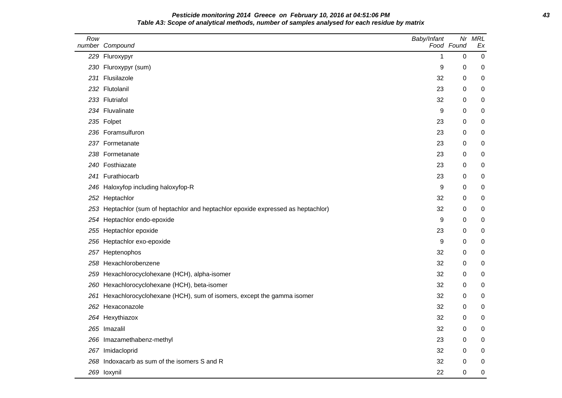# **Pesticide monitoring 2014 Greece on February 10, 2016 at 04:51:06 PM 43 Table A3: Scope of analytical methods, number of samples analysed for each residue by matrix**

| Row | number Compound                                                                   | Baby/Infant | Nr<br>Food Found | <b>MRL</b><br>Ex |
|-----|-----------------------------------------------------------------------------------|-------------|------------------|------------------|
|     | 229 Fluroxypyr                                                                    | 1           | $\mathbf 0$      | $\mathbf 0$      |
|     | 230 Fluroxypyr (sum)                                                              | 9           | 0                | 0                |
|     | 231 Flusilazole                                                                   | 32          | 0                | 0                |
|     | 232 Flutolanil                                                                    | 23          | 0                | 0                |
|     | 233 Flutriafol                                                                    | 32          | 0                | 0                |
|     | 234 Fluvalinate                                                                   | 9           | 0                | 0                |
|     | 235 Folpet                                                                        | 23          | $\boldsymbol{0}$ | 0                |
|     | 236 Foramsulfuron                                                                 | 23          | 0                | 0                |
|     | 237 Formetanate                                                                   | 23          | $\boldsymbol{0}$ | 0                |
|     | 238 Formetanate                                                                   | 23          | 0                | 0                |
|     | 240 Fosthiazate                                                                   | 23          | 0                | 0                |
|     | 241 Furathiocarb                                                                  | 23          | 0                | 0                |
|     | 246 Haloxyfop including haloxyfop-R                                               | 9           | 0                | 0                |
|     | 252 Heptachlor                                                                    | 32          | 0                | 0                |
|     | 253 Heptachlor (sum of heptachlor and heptachlor epoxide expressed as heptachlor) | 32          | 0                | 0                |
|     | 254 Heptachlor endo-epoxide                                                       | 9           | 0                | 0                |
|     | 255 Heptachlor epoxide                                                            | 23          | $\boldsymbol{0}$ | 0                |
|     | 256 Heptachlor exo-epoxide                                                        | 9           | 0                | 0                |
|     | 257 Heptenophos                                                                   | 32          | 0                | 0                |
|     | 258 Hexachlorobenzene                                                             | 32          | 0                | 0                |
|     | 259 Hexachlorocyclohexane (HCH), alpha-isomer                                     | 32          | 0                | 0                |
|     | 260 Hexachlorocyclohexane (HCH), beta-isomer                                      | 32          | 0                | 0                |
|     | 261 Hexachlorocyclohexane (HCH), sum of isomers, except the gamma isomer          | 32          | 0                | 0                |
|     | 262 Hexaconazole                                                                  | 32          | 0                | 0                |
|     | 264 Hexythiazox                                                                   | 32          | 0                | 0                |
|     | 265 Imazalil                                                                      | 32          | $\boldsymbol{0}$ | 0                |
|     | 266 Imazamethabenz-methyl                                                         | 23          | 0                | 0                |
|     | 267 Imidacloprid                                                                  | 32          | 0                | 0                |
|     | 268 Indoxacarb as sum of the isomers S and R                                      | 32          | 0                | 0                |
|     | 269 loxynil                                                                       | 22          | 0                | 0                |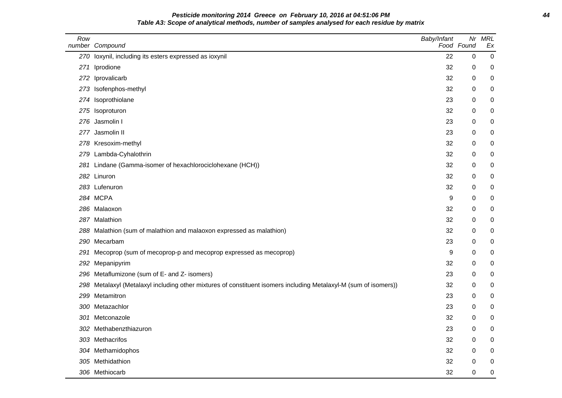# **Pesticide monitoring 2014 Greece on February 10, 2016 at 04:51:06 PM 44 Table A3: Scope of analytical methods, number of samples analysed for each residue by matrix**

| Row | number Compound                                                                                              | Baby/Infant | Nr<br>Food Found | <b>MRL</b><br>Ex |
|-----|--------------------------------------------------------------------------------------------------------------|-------------|------------------|------------------|
|     | 270 loxynil, including its esters expressed as ioxynil                                                       | 22          | $\mathbf 0$      | $\mathbf 0$      |
| 271 | Iprodione                                                                                                    | 32          | 0                | 0                |
| 272 | Iprovalicarb                                                                                                 | 32          | 0                | 0                |
| 273 | Isofenphos-methyl                                                                                            | 32          | 0                | 0                |
|     | 274 Isoprothiolane                                                                                           | 23          | 0                | 0                |
| 275 | Isoproturon                                                                                                  | 32          | 0                | 0                |
| 276 | Jasmolin I                                                                                                   | 23          | 0                | 0                |
| 277 | Jasmolin II                                                                                                  | 23          | 0                | 0                |
|     | 278 Kresoxim-methyl                                                                                          | 32          | 0                | 0                |
| 279 | Lambda-Cyhalothrin                                                                                           | 32          | 0                | 0                |
| 281 | Lindane (Gamma-isomer of hexachlorociclohexane (HCH))                                                        | 32          | $\Omega$         | 0                |
|     | 282 Linuron                                                                                                  | 32          | 0                | 0                |
|     | 283 Lufenuron                                                                                                | 32          | 0                | 0                |
|     | 284 MCPA                                                                                                     | 9           | 0                | 0                |
|     | 286 Malaoxon                                                                                                 | 32          | 0                | 0                |
|     | 287 Malathion                                                                                                | 32          | 0                | 0                |
|     | 288 Malathion (sum of malathion and malaoxon expressed as malathion)                                         | 32          | 0                | 0                |
| 290 | Mecarbam                                                                                                     | 23          | 0                | 0                |
| 291 | Mecoprop (sum of mecoprop-p and mecoprop expressed as mecoprop)                                              | 9           | 0                | 0                |
| 292 | Mepanipyrim                                                                                                  | 32          | $\mathbf 0$      | 0                |
| 296 | Metaflumizone (sum of E- and Z- isomers)                                                                     | 23          | 0                | 0                |
| 298 | Metalaxyl (Metalaxyl including other mixtures of constituent isomers including Metalaxyl-M (sum of isomers)) | 32          | 0                | 0                |
| 299 | Metamitron                                                                                                   | 23          | 0                | 0                |
|     | 300 Metazachlor                                                                                              | 23          | 0                | 0                |
| 301 | Metconazole                                                                                                  | 32          | 0                | 0                |
| 302 | Methabenzthiazuron                                                                                           | 23          | 0                | 0                |
|     | 303 Methacrifos                                                                                              | 32          | 0                | 0                |
|     | 304 Methamidophos                                                                                            | 32          | 0                | 0                |
|     | 305 Methidathion                                                                                             | 32          | 0                | 0                |
|     | 306 Methiocarb                                                                                               | 32          | $\mathbf 0$      | 0                |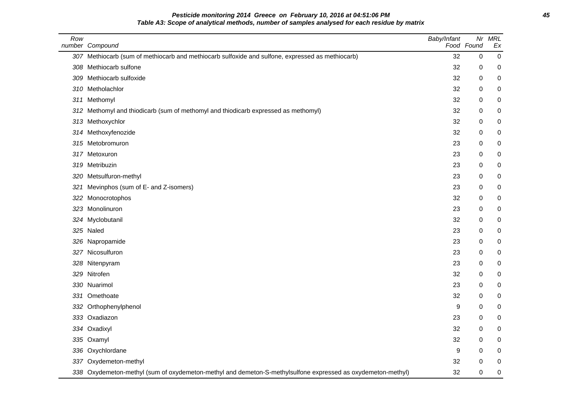**Pesticide monitoring 2014 Greece on February 10, 2016 at 04:51:06 PM 45 Table A3: Scope of analytical methods, number of samples analysed for each residue by matrix**

| Row | number Compound                                                                                             | Baby/Infant | Nr<br>Food Found | <b>MRL</b><br>Ex |
|-----|-------------------------------------------------------------------------------------------------------------|-------------|------------------|------------------|
|     | 307 Methiocarb (sum of methiocarb and methiocarb sulfoxide and sulfone, expressed as methiocarb)            | 32          | 0                | $\mathbf 0$      |
| 308 | Methiocarb sulfone                                                                                          | 32          | 0                | 0                |
|     | 309 Methiocarb sulfoxide                                                                                    | 32          | 0                | 0                |
|     | 310 Metholachlor                                                                                            | 32          | 0                | 0                |
|     | 311 Methomyl                                                                                                | 32          | 0                | 0                |
| 312 | Methomyl and thiodicarb (sum of methomyl and thiodicarb expressed as methomyl)                              | 32          | 0                | 0                |
|     | 313 Methoxychlor                                                                                            | 32          | 0                | 0                |
| 314 | Methoxyfenozide                                                                                             | 32          | 0                | 0                |
| 315 | Metobromuron                                                                                                | 23          | 0                | 0                |
|     | 317 Metoxuron                                                                                               | 23          | 0                | 0                |
| 319 | Metribuzin                                                                                                  | 23          | 0                | 0                |
| 320 | Metsulfuron-methyl                                                                                          | 23          | 0                | 0                |
| 321 | Mevinphos (sum of E- and Z-isomers)                                                                         | 23          | 0                | 0                |
| 322 | Monocrotophos                                                                                               | 32          | 0                | 0                |
|     | 323 Monolinuron                                                                                             | 23          | 0                | 0                |
|     | 324 Myclobutanil                                                                                            | 32          | 0                | 0                |
|     | 325 Naled                                                                                                   | 23          | 0                | 0                |
|     | 326 Napropamide                                                                                             | 23          | 0                | 0                |
|     | 327 Nicosulfuron                                                                                            | 23          | 0                | 0                |
|     | 328 Nitenpyram                                                                                              | 23          | 0                | 0                |
| 329 | Nitrofen                                                                                                    | 32          | 0                | 0                |
|     | 330 Nuarimol                                                                                                | 23          | 0                | 0                |
|     | 331 Omethoate                                                                                               | 32          | 0                | 0                |
|     | 332 Orthophenylphenol                                                                                       | 9           | 0                | 0                |
|     | 333 Oxadiazon                                                                                               | 23          | 0                | 0                |
|     | 334 Oxadixyl                                                                                                | 32          | 0                | 0                |
|     | 335 Oxamyl                                                                                                  | 32          | 0                | 0                |
|     | 336 Oxychlordane                                                                                            | 9           | 0                | 0                |
|     | 337 Oxydemeton-methyl                                                                                       | 32          | $\mathbf 0$      | 0                |
|     | 338 Oxydemeton-methyl (sum of oxydemeton-methyl and demeton-S-methylsulfone expressed as oxydemeton-methyl) | 32          | 0                | 0                |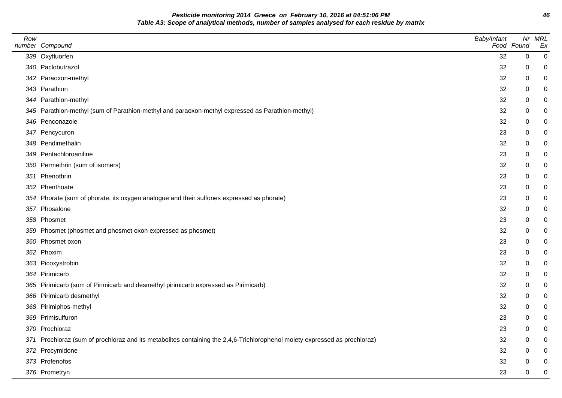**Pesticide monitoring 2014 Greece on February 10, 2016 at 04:51:06 PM 46 Table A3: Scope of analytical methods, number of samples analysed for each residue by matrix**

| Row | number Compound                                                                                                            | Baby/Infant | Food Found  | Nr MRL<br>Ex   |
|-----|----------------------------------------------------------------------------------------------------------------------------|-------------|-------------|----------------|
|     | 339 Oxyfluorfen                                                                                                            | 32          | $\mathbf 0$ | $\overline{0}$ |
|     | 340 Paclobutrazol                                                                                                          | 32          | 0           | 0              |
|     | 342 Paraoxon-methyl                                                                                                        | 32          | 0           | 0              |
|     | 343 Parathion                                                                                                              | 32          | 0           | 0              |
|     | 344 Parathion-methyl                                                                                                       | 32          | 0           |                |
|     | 345 Parathion-methyl (sum of Parathion-methyl and paraoxon-methyl expressed as Parathion-methyl)                           | 32          | 0           |                |
|     | 346 Penconazole                                                                                                            | 32          | $\pmb{0}$   | 0              |
|     | 347 Pencycuron                                                                                                             | 23          | 0           | 0              |
|     | 348 Pendimethalin                                                                                                          | 32          | 0           | 0              |
|     | 349 Pentachloroaniline                                                                                                     | 23          | 0           |                |
|     | 350 Permethrin (sum of isomers)                                                                                            | 32          | 0           |                |
|     | 351 Phenothrin                                                                                                             | 23          | 0           | 0              |
|     | 352 Phenthoate                                                                                                             | 23          | 0           | 0              |
|     | 354 Phorate (sum of phorate, its oxygen analogue and their sulfones expressed as phorate)                                  | 23          | 0           | 0              |
|     | 357 Phosalone                                                                                                              | 32          | 0           | 0              |
|     | 358 Phosmet                                                                                                                | 23          | 0           |                |
|     | 359 Phosmet (phosmet and phosmet oxon expressed as phosmet)                                                                | 32          | 0           |                |
|     | 360 Phosmet oxon                                                                                                           | 23          | $\pmb{0}$   | 0              |
|     | 362 Phoxim                                                                                                                 | 23          | 0           | 0              |
|     | 363 Picoxystrobin                                                                                                          | 32          | 0           | 0              |
|     | 364 Pirimicarb                                                                                                             | 32          | 0           |                |
|     | 365 Pirimicarb (sum of Pirimicarb and desmethyl pirimicarb expressed as Pirimicarb)                                        | 32          | 0           |                |
|     | 366 Pirimicarb desmethyl                                                                                                   | 32          | 0           |                |
|     | 368 Pirimiphos-methyl                                                                                                      | 32          | 0           |                |
|     | 369 Primisulfuron                                                                                                          | 23          | 0           | 0              |
|     | 370 Prochloraz                                                                                                             | 23          | 0           |                |
|     | 371 Prochloraz (sum of prochloraz and its metabolites containing the 2,4,6-Trichlorophenol moiety expressed as prochloraz) | 32          | 0           |                |
|     | 372 Procymidone                                                                                                            | 32          | 0           |                |
|     | 373 Profenofos                                                                                                             | 32          | 0           | 0              |
|     | 376 Prometryn                                                                                                              | 23          | 0           | 0              |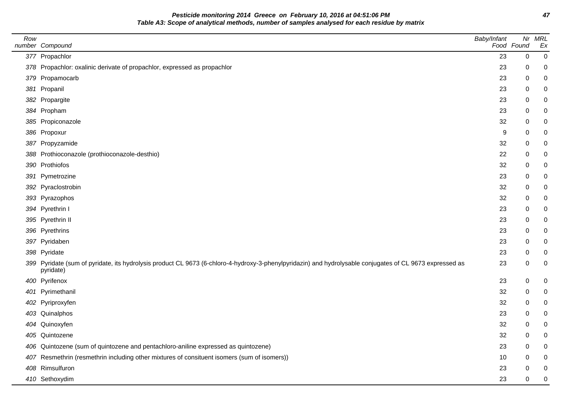**Pesticide monitoring 2014 Greece on February 10, 2016 at 04:51:06 PM 47 Table A3: Scope of analytical methods, number of samples analysed for each residue by matrix**

| Row | number Compound                                                                                                                                                       | Baby/Infant | Food Found | Nr MRL<br>Ex |
|-----|-----------------------------------------------------------------------------------------------------------------------------------------------------------------------|-------------|------------|--------------|
|     | 377 Propachlor                                                                                                                                                        | 23          | $\pmb{0}$  | 0            |
|     | 378 Propachlor: oxalinic derivate of propachlor, expressed as propachlor                                                                                              | 23          | 0          |              |
|     | 379 Propamocarb                                                                                                                                                       | 23          | 0          |              |
|     | 381 Propanil                                                                                                                                                          | 23          | 0          |              |
|     | 382 Propargite                                                                                                                                                        | 23          | 0          |              |
|     | 384 Propham                                                                                                                                                           | 23          | 0          |              |
|     | 385 Propiconazole                                                                                                                                                     | 32          | 0          |              |
|     | 386 Propoxur                                                                                                                                                          | 9           | 0          |              |
|     | 387 Propyzamide                                                                                                                                                       | 32          | 0          | 0            |
|     | 388 Prothioconazole (prothioconazole-desthio)                                                                                                                         | 22          | 0          |              |
|     | 390 Prothiofos                                                                                                                                                        | 32          | 0          |              |
|     | 391 Pymetrozine                                                                                                                                                       | 23          | 0          |              |
|     | 392 Pyraclostrobin                                                                                                                                                    | 32          | 0          |              |
|     | 393 Pyrazophos                                                                                                                                                        | 32          | 0          |              |
|     | 394 Pyrethrin I                                                                                                                                                       | 23          | 0          |              |
|     | 395 Pyrethrin II                                                                                                                                                      | 23          | 0          |              |
|     | 396 Pyrethrins                                                                                                                                                        | 23          | 0          |              |
|     | 397 Pyridaben                                                                                                                                                         | 23          | 0          |              |
|     | 398 Pyridate                                                                                                                                                          | 23          | 0          |              |
|     | 399 Pyridate (sum of pyridate, its hydrolysis product CL 9673 (6-chloro-4-hydroxy-3-phenylpyridazin) and hydrolysable conjugates of CL 9673 expressed as<br>pyridate) | 23          | 0          | 0            |
|     | 400 Pyrifenox                                                                                                                                                         | 23          | 0          | 0            |
|     | 401 Pyrimethanil                                                                                                                                                      | 32          | 0          |              |
|     | 402 Pyriproxyfen                                                                                                                                                      | 32          | 0          | 0            |
|     | 403 Quinalphos                                                                                                                                                        | 23          | 0          |              |
|     | 404 Quinoxyfen                                                                                                                                                        | 32          | 0          | 0            |
|     | 405 Quintozene                                                                                                                                                        | 32          | 0          | 0            |
|     | 406 Quintozene (sum of quintozene and pentachloro-aniline expressed as quintozene)                                                                                    | 23          | 0          | 0            |
|     | 407 Resmethrin (resmethrin including other mixtures of consituent isomers (sum of isomers))                                                                           | 10          | 0          |              |
|     | 408 Rimsulfuron                                                                                                                                                       | 23          | 0          |              |
|     | 410 Sethoxydim                                                                                                                                                        | 23          | 0          | 0            |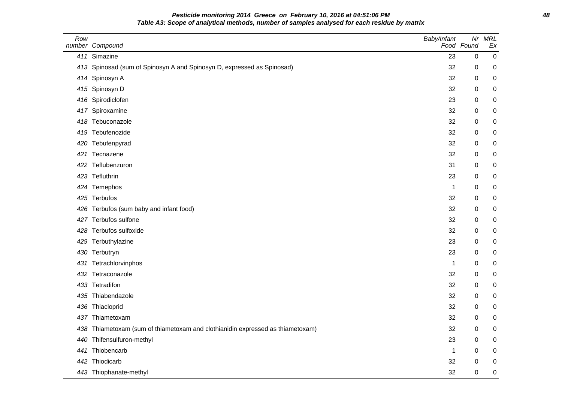# **Pesticide monitoring 2014 Greece on February 10, 2016 at 04:51:06 PM 48 Table A3: Scope of analytical methods, number of samples analysed for each residue by matrix**

| Row | number Compound                                                                | Baby/Infant | Nr<br>Food Found | <b>MRL</b><br>Ex |
|-----|--------------------------------------------------------------------------------|-------------|------------------|------------------|
|     | 411 Simazine                                                                   | 23          | $\pmb{0}$        | $\mathbf 0$      |
|     | 413 Spinosad (sum of Spinosyn A and Spinosyn D, expressed as Spinosad)         | 32          | $\mathbf 0$      | 0                |
|     | 414 Spinosyn A                                                                 | 32          | 0                | 0                |
|     | 415 Spinosyn D                                                                 | 32          | 0                | 0                |
|     | 416 Spirodiclofen                                                              | 23          | $\mathbf 0$      | $\mathbf 0$      |
|     | 417 Spiroxamine                                                                | 32          | 0                | 0                |
|     | 418 Tebuconazole                                                               | 32          | 0                | $\mathbf 0$      |
|     | 419 Tebufenozide                                                               | 32          | 0                | 0                |
|     | 420 Tebufenpyrad                                                               | 32          | 0                | 0                |
|     | 421 Tecnazene                                                                  | 32          | 0                | $\boldsymbol{0}$ |
|     | 422 Teflubenzuron                                                              | 31          | $\mathbf 0$      | 0                |
|     | 423 Tefluthrin                                                                 | 23          | 0                | $\mathbf 0$      |
|     | 424 Temephos                                                                   | $\mathbf 1$ | 0                | $\mathbf 0$      |
|     | 425 Terbufos                                                                   | 32          | 0                | 0                |
|     | 426 Terbufos (sum baby and infant food)                                        | 32          | 0                | 0                |
|     | 427 Terbufos sulfone                                                           | 32          | 0                | $\mathbf 0$      |
|     | 428 Terbufos sulfoxide                                                         | 32          | 0                | 0                |
|     | 429 Terbuthylazine                                                             | 23          | 0                | 0                |
|     | 430 Terbutryn                                                                  | 23          | 0                | $\boldsymbol{0}$ |
|     | 431 Tetrachlorvinphos                                                          | 1           | 0                | 0                |
|     | 432 Tetraconazole                                                              | 32          | 0                | 0                |
|     | 433 Tetradifon                                                                 | 32          | 0                | $\mathbf 0$      |
|     | 435 Thiabendazole                                                              | 32          | 0                | 0                |
|     | 436 Thiacloprid                                                                | 32          | 0                | 0                |
| 437 | Thiametoxam                                                                    | 32          | 0                | $\mathbf 0$      |
|     | 438 Thiametoxam (sum of thiametoxam and clothianidin expressed as thiametoxam) | 32          | 0                | 0                |
|     | 440 Thifensulfuron-methyl                                                      | 23          | 0                | 0                |
| 441 | Thiobencarb                                                                    | $\mathbf 1$ | $\mathbf 0$      | $\boldsymbol{0}$ |
|     | 442 Thiodicarb                                                                 | 32          | 0                | 0                |
|     | 443 Thiophanate-methyl                                                         | 32          | 0                | $\mathbf 0$      |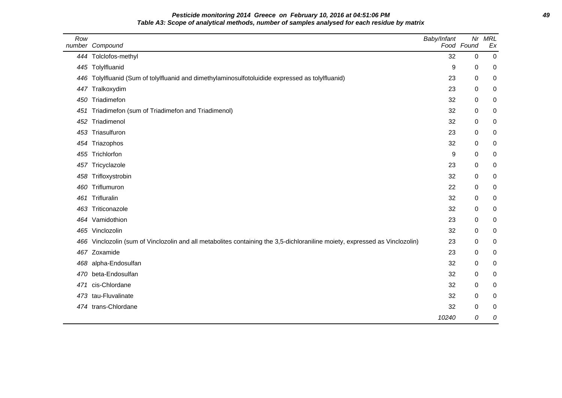# **Pesticide monitoring 2014 Greece on February 10, 2016 at 04:51:06 PM 49 Table A3: Scope of analytical methods, number of samples analysed for each residue by matrix**

| Row | number Compound                                                                                                         | Baby/Infant | Nr<br>Food Found | <b>MRL</b><br>Ex |
|-----|-------------------------------------------------------------------------------------------------------------------------|-------------|------------------|------------------|
| 444 | Tolclofos-methyl                                                                                                        | 32          | $\pmb{0}$        | 0                |
|     | 445 Tolylfluanid                                                                                                        | 9           | 0                | 0                |
| 446 | Tolylfluanid (Sum of tolylfluanid and dimethylaminosulfotoluidide expressed as tolylfluanid)                            | 23          | $\pmb{0}$        | 0                |
| 447 | Tralkoxydim                                                                                                             | 23          | 0                | 0                |
|     | 450 Triadimefon                                                                                                         | 32          | 0                | 0                |
| 451 | Triadimefon (sum of Triadimefon and Triadimenol)                                                                        | 32          | 0                | 0                |
| 452 | Triadimenol                                                                                                             | 32          | 0                | 0                |
| 453 | Triasulfuron                                                                                                            | 23          | 0                | 0                |
| 454 | Triazophos                                                                                                              | 32          | 0                | 0                |
| 455 | Trichlorfon                                                                                                             | 9           | 0                | 0                |
| 457 | Tricyclazole                                                                                                            | 23          | 0                | 0                |
| 458 | Trifloxystrobin                                                                                                         | 32          | 0                | 0                |
| 460 | Triflumuron                                                                                                             | 22          | 0                | 0                |
| 461 | Trifluralin                                                                                                             | 32          | 0                | 0                |
| 463 | Triticonazole                                                                                                           | 32          | 0                | 0                |
|     | 464 Vamidothion                                                                                                         | 23          | 0                | 0                |
|     | 465 Vinclozolin                                                                                                         | 32          | 0                | 0                |
| 466 | Vinclozolin (sum of Vinclozolin and all metabolites containing the 3,5-dichloraniline moiety, expressed as Vinclozolin) | 23          | $\pmb{0}$        | 0                |
| 467 | Zoxamide                                                                                                                | 23          | $\mathbf 0$      | 0                |
| 468 | alpha-Endosulfan                                                                                                        | 32          | 0                | 0                |
| 470 | beta-Endosulfan                                                                                                         | 32          | 0                | 0                |
| 471 | cis-Chlordane                                                                                                           | 32          | 0                | 0                |
| 473 | tau-Fluvalinate                                                                                                         | 32          | 0                | 0                |
|     | 474 trans-Chlordane                                                                                                     | 32          | 0                | 0                |
|     |                                                                                                                         | 10240       | 0                | 0                |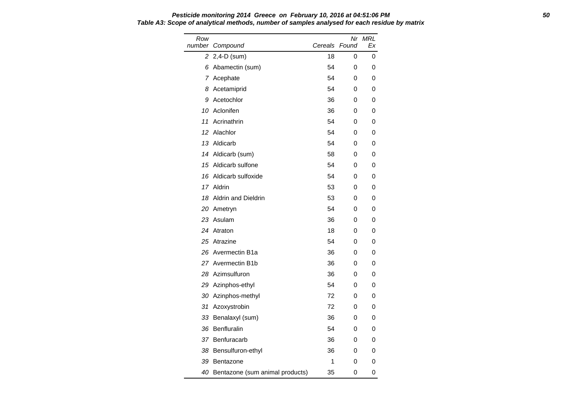Row number Compound Nr MRL Cereals Found Ex 2 2,4-D (sum) 18 0 0 6 Abamectin (sum) 54 0 0 7 Acephate 64 0 0 8 Acetamiprid 54 0 0 9 Acetochlor 36 0 0 10 Aclonifen 36 0 0 11 Acrinathrin 54 0 0 12 Alachlor 54 0 0 13 Aldicarb 64 0 0 14 Aldicarb (sum) 58 0 0 15 Aldicarb sulfone 54 0 0 16 Aldicarb sulfoxide 54 0 0 17 Aldrin 53 0 0 18 Aldrin and Dieldrin 53 0 0 20 Ametryn 54 0 0 23 Asulam 36 0 0 24 Atraton 18 0 0 25 Atrazine 62 120 120 121 122 123 124 125 126 127 128 129 120 121 122 123 124 125 126 127 127 127 127 127 12 26 Avermectin B1a 36 0 0 27 Avermectin B1b 36 0 0 28 Azimsulfuron 36 0 0 29 Azinphos-ethyl 54 0 0 30 Azinphos-methyl 72 0 0 31 Azoxystrobin 72 0 0 33 Benalaxyl (sum) 36 0 0 36 Benfluralin 54 0 0 37 Benfuracarb 36 0 0 38 Bensulfuron-ethyl 36 0 0 39 Bentazone 1 0 0

40 Bentazone (sum animal products) 35 0 0

**Pesticide monitoring 2014 Greece on February 10, 2016 at 04:51:06 PM 50 Table A3: Scope of analytical methods, number of samples analysed for each residue by matrix**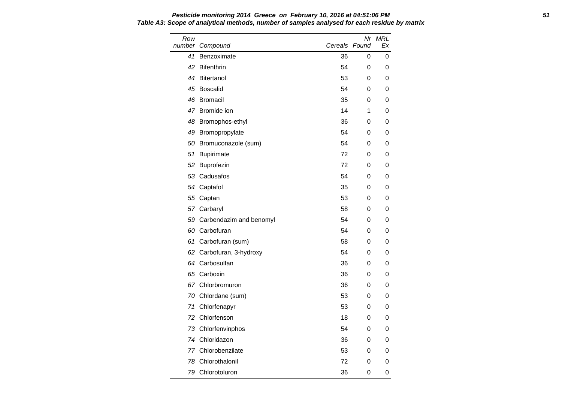**Pesticide monitoring 2014 Greece on February 10, 2016 at 04:51:06 PM 51 Table A3: Scope of analytical methods, number of samples analysed for each residue by matrix**

| Row<br>number | Compound                   | Cereals Found | Nr | MRL<br>Ex |
|---------------|----------------------------|---------------|----|-----------|
| 41            | Benzoximate                | 36            | 0  | 0         |
| 42            | Bifenthrin                 | 54            | 0  | 0         |
| 44            | Bitertanol                 | 53            | 0  | 0         |
| 45            | Boscalid                   | 54            | 0  | 0         |
|               | 46 Bromacil                | 35            | 0  | 0         |
|               | 47 Bromide ion             | 14            | 1  | 0         |
| 48            | Bromophos-ethyl            | 36            | 0  | 0         |
|               | 49 Bromopropylate          | 54            | 0  | 0         |
| 50            | Bromuconazole (sum)        | 54            | 0  | 0         |
| 51            | Bupirimate                 | 72            | 0  | 0         |
| 52            | Buprofezin                 | 72            | 0  | 0         |
|               | 53 Cadusafos               | 54            | 0  | 0         |
|               | 54 Captafol                | 35            | 0  | 0         |
|               | 55 Captan                  | 53            | 0  | 0         |
|               | 57 Carbaryl                | 58            | 0  | 0         |
|               | 59 Carbendazim and benomyl | 54            | 0  | 0         |
|               | 60 Carbofuran              | 54            | 0  | 0         |
| 61            | Carbofuran (sum)           | 58            | 0  | 0         |
| 62            | Carbofuran, 3-hydroxy      | 54            | 0  | 0         |
|               | 64 Carbosulfan             | 36            | 0  | 0         |
|               | 65 Carboxin                | 36            | 0  | 0         |
|               | 67 Chlorbromuron           | 36            | 0  | 0         |
|               | 70 Chlordane (sum)         | 53            | 0  | 0         |
| 71            | Chlorfenapyr               | 53            | 0  | 0         |
| 72            | Chlorfenson                | 18            | 0  | 0         |
|               | 73 Chlorfenvinphos         | 54            | 0  | 0         |
|               | 74 Chloridazon             | 36            | 0  | 0         |
|               | 77 Chlorobenzilate         | 53            | 0  | 0         |
| 78            | Chlorothalonil             | 72            | 0  | 0         |
|               | 79 Chlorotoluron           | 36            | 0  | 0         |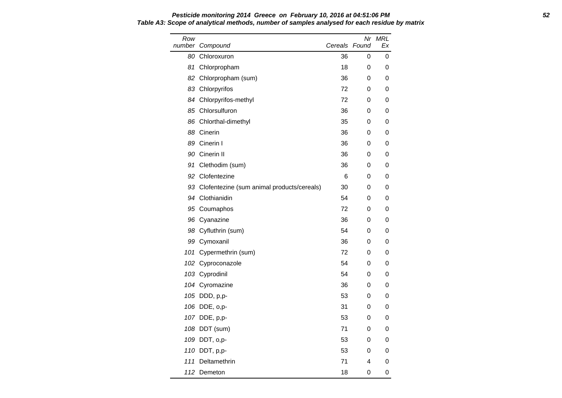#### **Pesticide monitoring 2014 Greece on February 10, 2016 at 04:51:06 PM 52 Table A3: Scope of analytical methods, number of samples analysed for each residue by matrix**

| Row | number Compound                               | Cereals Found | Nr | <b>MRL</b><br>Ex |
|-----|-----------------------------------------------|---------------|----|------------------|
| 80  | Chloroxuron                                   | 36            | 0  | 0                |
| 81  | Chlorpropham                                  | 18            | 0  | 0                |
| 82  | Chlorpropham (sum)                            | 36            | 0  | 0                |
|     | 83 Chlorpyrifos                               | 72            | 0  | 0                |
|     | 84 Chlorpyrifos-methyl                        | 72            | 0  | 0                |
|     | 85 Chlorsulfuron                              | 36            | 0  | 0                |
|     | 86 Chlorthal-dimethyl                         | 35            | 0  | 0                |
|     | 88 Cinerin                                    | 36            | 0  | 0                |
|     | 89 Cinerin I                                  | 36            | 0  | 0                |
|     | 90 Cinerin II                                 | 36            | 0  | 0                |
|     | 91 Clethodim (sum)                            | 36            | 0  | 0                |
| 92  | Clofentezine                                  | 6             | 0  | 0                |
|     | 93 Clofentezine (sum animal products/cereals) | 30            | 0  | 0                |
|     | 94 Clothianidin                               | 54            | 0  | 0                |
|     | 95 Coumaphos                                  | 72            | 0  | 0                |
|     | 96 Cyanazine                                  | 36            | 0  | 0                |
|     | 98 Cyfluthrin (sum)                           | 54            | 0  | 0                |
|     | 99 Cymoxanil                                  | 36            | 0  | 0                |
|     | 101 Cypermethrin (sum)                        | 72            | 0  | 0                |
|     | 102 Cyproconazole                             | 54            | 0  | 0                |
|     | 103 Cyprodinil                                | 54            | 0  | 0                |
|     | 104 Cyromazine                                | 36            | 0  | 0                |
|     | 105 DDD, p,p-                                 | 53            | 0  | 0                |
|     | 106 DDE, o,p-                                 | 31            | 0  | 0                |
|     | 107 DDE, p,p-                                 | 53            | 0  | 0                |
|     | 108 DDT (sum)                                 | 71            | 0  | 0                |
|     | 109 DDT, o,p-                                 | 53            | 0  | 0                |
|     | 110 DDT, p,p-                                 | 53            | 0  | 0                |
| 111 | Deltamethrin                                  | 71            | 4  | 0                |
| 112 | Demeton                                       | 18            | 0  | 0                |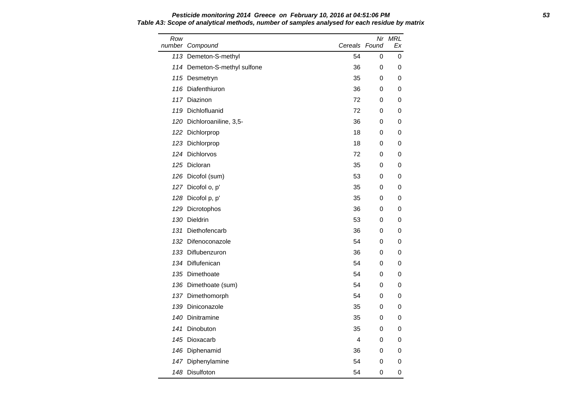#### **Pesticide monitoring 2014 Greece on February 10, 2016 at 04:51:06 PM 53 Table A3: Scope of analytical methods, number of samples analysed for each residue by matrix**

| Row | number Compound              | Cereals Found |   | Nr MRL<br>Еx |
|-----|------------------------------|---------------|---|--------------|
|     | 113 Demeton-S-methyl         | 54            | 0 | 0            |
|     | 114 Demeton-S-methyl sulfone | 36            | 0 | 0            |
|     | 115 Desmetryn                | 35            | 0 | 0            |
|     | 116 Diafenthiuron            | 36            | 0 | 0            |
|     | 117 Diazinon                 | 72            | 0 | 0            |
|     | 119 Dichlofluanid            | 72            | 0 | 0            |
|     | 120 Dichloroaniline, 3,5-    | 36            | 0 | 0            |
|     | 122 Dichlorprop              | 18            | 0 | 0            |
|     | 123 Dichlorprop              | 18            | 0 | 0            |
|     | 124 Dichlorvos               | 72            | 0 | 0            |
|     | 125 Dicloran                 | 35            | 0 | 0            |
|     | 126 Dicofol (sum)            | 53            | 0 | 0            |
|     | 127 Dicofol o, p'            | 35            | 0 | 0            |
|     | 128 Dicofol p, p'            | 35            | 0 | 0            |
|     | 129 Dicrotophos              | 36            | 0 | 0            |
|     | 130 Dieldrin                 | 53            | 0 | 0            |
|     | 131 Diethofencarb            | 36            | 0 | 0            |
|     | 132 Difenoconazole           | 54            | 0 | 0            |
|     | 133 Diflubenzuron            | 36            | 0 | 0            |
|     | 134 Diflufenican             | 54            | 0 | 0            |
|     | 135 Dimethoate               | 54            | 0 | 0            |
|     | 136 Dimethoate (sum)         | 54            | 0 | 0            |
|     | 137 Dimethomorph             | 54            | 0 | 0            |
|     | 139 Diniconazole             | 35            | 0 | 0            |
|     | 140 Dinitramine              | 35            | 0 | 0            |
|     | 141 Dinobuton                | 35            | 0 | 0            |
|     | 145 Dioxacarb                | 4             | 0 | 0            |
|     | 146 Diphenamid               | 36            | 0 | 0            |
|     | 147 Diphenylamine            | 54            | 0 | 0            |
|     | 148 Disulfoton               | 54            | 0 | 0            |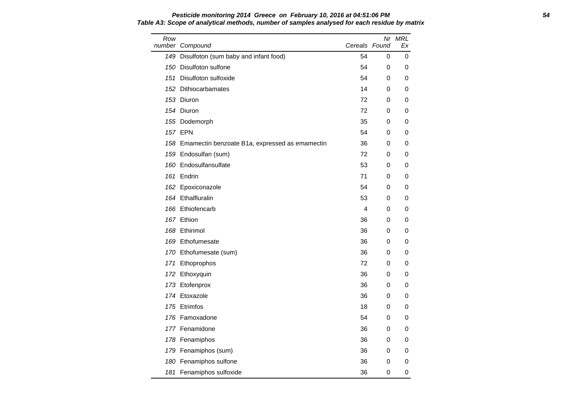#### **Pesticide monitoring 2014 Greece on February 10, 2016 at 04:51:06 PM 54 Table A3: Scope of analytical methods, number of samples analysed for each residue by matrix**

| Row | number Compound                                    | Cereals Found |           | Nr MRL<br>Ex |
|-----|----------------------------------------------------|---------------|-----------|--------------|
|     | 149 Disulfoton (sum baby and infant food)          | 54            | 0         | 0            |
|     | 150 Disulfoton sulfone                             | 54            | 0         | 0            |
|     | 151 Disulfoton sulfoxide                           | 54            | 0         | 0            |
|     | 152 Dithiocarbamates                               | 14            | 0         | 0            |
|     | 153 Diuron                                         | 72            | 0         | 0            |
|     | 154 Diuron                                         | 72            | 0         | 0            |
|     | 155 Dodemorph                                      | 35            | 0         | 0            |
|     | <b>157 EPN</b>                                     | 54            | 0         | 0            |
|     | 158 Emamectin benzoate B1a, expressed as emamectin | 36            | 0         | 0            |
|     | 159 Endosulfan (sum)                               | 72            | 0         | 0            |
|     | 160 Endosulfansulfate                              | 53            | 0         | 0            |
|     | 161 Endrin                                         | 71            | 0         | 0            |
|     | 162 Epoxiconazole                                  | 54            | 0         | 0            |
|     | 164 Ethalfluralin                                  | 53            | 0         | 0            |
|     | 166 Ethiofencarb                                   | 4             | 0         | 0            |
|     | 167 Ethion                                         | 36            | 0         | 0            |
|     | 168 Ethirimol                                      | 36            | 0         | 0            |
|     | 169 Ethofumesate                                   | 36            | 0         | 0            |
|     | 170 Ethofumesate (sum)                             | 36            | 0         | 0            |
|     | 171 Ethoprophos                                    | 72            | 0         | 0            |
|     | 172 Ethoxyquin                                     | 36            | 0         | 0            |
|     | 173 Etofenprox                                     | 36            | 0         | 0            |
|     | 174 Etoxazole                                      | 36            | 0         | 0            |
|     | 175 Etrimfos                                       | 18            | 0         | 0            |
|     | 176 Famoxadone                                     | 54            | 0         | 0            |
|     | 177 Fenamidone                                     | 36            | 0         | $\Omega$     |
|     | 178 Fenamiphos                                     | 36            | 0         | 0            |
|     | 179 Fenamiphos (sum)                               | 36            | 0         | 0            |
|     | 180 Fenamiphos sulfone                             | 36            | 0         | 0            |
|     | 181 Fenamiphos sulfoxide                           | 36            | $\pmb{0}$ | 0            |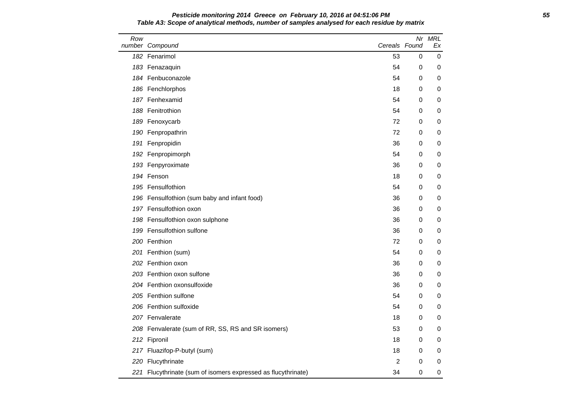### **Pesticide monitoring 2014 Greece on February 10, 2016 at 04:51:06 PM 55 Table A3: Scope of analytical methods, number of samples analysed for each residue by matrix**

| Row | number Compound                                           | Cereals Found  |   | Nr MRL<br>Ex |
|-----|-----------------------------------------------------------|----------------|---|--------------|
|     | 182 Fenarimol                                             | 53             | 0 | 0            |
|     | 183 Fenazaquin                                            | 54             | 0 | 0            |
|     | 184 Fenbuconazole                                         | 54             | 0 | 0            |
|     | 186 Fenchlorphos                                          | 18             | 0 | 0            |
|     | 187 Fenhexamid                                            | 54             | 0 | 0            |
|     | 188 Fenitrothion                                          | 54             | 0 | 0            |
|     | 189 Fenoxycarb                                            | 72             | 0 | 0            |
|     | 190 Fenpropathrin                                         | 72             | 0 | 0            |
|     | 191 Fenpropidin                                           | 36             | 0 | 0            |
|     | 192 Fenpropimorph                                         | 54             | 0 | 0            |
|     | 193 Fenpyroximate                                         | 36             | 0 | 0            |
|     | 194 Fenson                                                | 18             | 0 | 0            |
|     | 195 Fensulfothion                                         | 54             | 0 | 0            |
|     | 196 Fensulfothion (sum baby and infant food)              | 36             | 0 | 0            |
|     | 197 Fensulfothion oxon                                    | 36             | 0 | 0            |
|     | 198 Fensulfothion oxon sulphone                           | 36             | 0 | 0            |
|     | 199 Fensulfothion sulfone                                 | 36             | 0 | 0            |
|     | 200 Fenthion                                              | 72             | 0 | 0            |
|     | 201 Fenthion (sum)                                        | 54             | 0 | 0            |
|     | 202 Fenthion oxon                                         | 36             | 0 | 0            |
|     | 203 Fenthion oxon sulfone                                 | 36             | 0 | 0            |
|     | 204 Fenthion oxonsulfoxide                                | 36             | 0 | 0            |
|     | 205 Fenthion sulfone                                      | 54             | 0 | 0            |
|     | 206 Fenthion sulfoxide                                    | 54             | 0 | 0            |
|     | 207 Fenvalerate                                           | 18             | 0 | 0            |
|     | 208 Fenvalerate (sum of RR, SS, RS and SR isomers)        | 53             | 0 | 0            |
|     | 212 Fipronil                                              | 18             | 0 | 0            |
|     | 217 Fluazifop-P-butyl (sum)                               | 18             | 0 | 0            |
|     | 220 Flucythrinate                                         | $\overline{2}$ | 0 | 0            |
| 221 | Flucythrinate (sum of isomers expressed as flucythrinate) | 34             | 0 | 0            |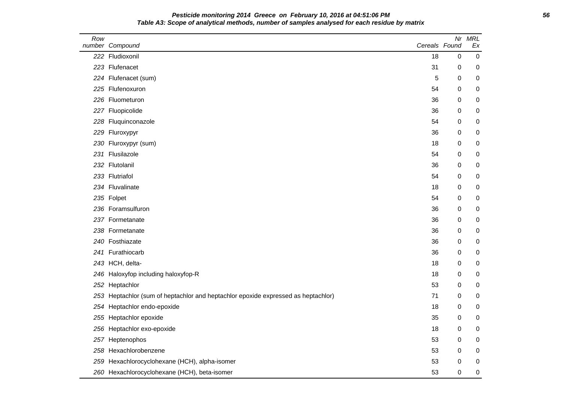### **Pesticide monitoring 2014 Greece on February 10, 2016 at 04:51:06 PM 56 Table A3: Scope of analytical methods, number of samples analysed for each residue by matrix**

| Row | number Compound                                                                   | Cereals Found | Nr | <b>MRL</b><br>Ex |
|-----|-----------------------------------------------------------------------------------|---------------|----|------------------|
|     | 222 Fludioxonil                                                                   | 18            | 0  | $\boldsymbol{0}$ |
|     | 223 Flufenacet                                                                    | 31            | 0  | 0                |
|     | 224 Flufenacet (sum)                                                              | 5             | 0  | $\mathbf 0$      |
|     | 225 Flufenoxuron                                                                  | 54            | 0  | $\mathbf 0$      |
|     | 226 Fluometuron                                                                   | 36            | 0  | $\mathbf 0$      |
|     | 227 Fluopicolide                                                                  | 36            | 0  | 0                |
|     | 228 Fluquinconazole                                                               | 54            | 0  | 0                |
|     | 229 Fluroxypyr                                                                    | 36            | 0  | 0                |
|     | 230 Fluroxypyr (sum)                                                              | 18            | 0  | 0                |
|     | 231 Flusilazole                                                                   | 54            | 0  | $\mathbf 0$      |
|     | 232 Flutolanil                                                                    | 36            | 0  | $\mathbf 0$      |
|     | 233 Flutriafol                                                                    | 54            | 0  | 0                |
|     | 234 Fluvalinate                                                                   | 18            | 0  | 0                |
|     | 235 Folpet                                                                        | 54            | 0  | 0                |
|     | 236 Foramsulfuron                                                                 | 36            | 0  | 0                |
|     | 237 Formetanate                                                                   | 36            | 0  | $\mathbf 0$      |
|     | 238 Formetanate                                                                   | 36            | 0  | 0                |
|     | 240 Fosthiazate                                                                   | 36            | 0  | 0                |
|     | 241 Furathiocarb                                                                  | 36            | 0  | 0                |
|     | 243 HCH, delta-                                                                   | 18            | 0  | 0                |
|     | 246 Haloxyfop including haloxyfop-R                                               | 18            | 0  | 0                |
|     | 252 Heptachlor                                                                    | 53            | 0  | $\mathbf 0$      |
|     | 253 Heptachlor (sum of heptachlor and heptachlor epoxide expressed as heptachlor) | 71            | 0  | $\mathbf 0$      |
|     | 254 Heptachlor endo-epoxide                                                       | 18            | 0  | 0                |
|     | 255 Heptachlor epoxide                                                            | 35            | 0  | 0                |
|     | 256 Heptachlor exo-epoxide                                                        | 18            | 0  | 0                |
|     | 257 Heptenophos                                                                   | 53            | 0  | 0                |
|     | 258 Hexachlorobenzene                                                             | 53            | 0  | 0                |
|     | 259 Hexachlorocyclohexane (HCH), alpha-isomer                                     | 53            | 0  | 0                |
|     | 260 Hexachlorocyclohexane (HCH), beta-isomer                                      | 53            | 0  | 0                |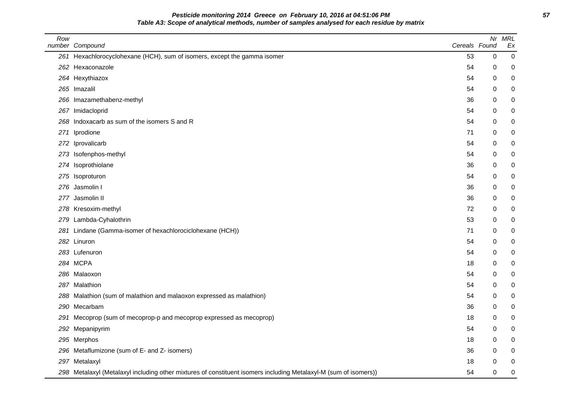**Pesticide monitoring 2014 Greece on February 10, 2016 at 04:51:06 PM 57 Table A3: Scope of analytical methods, number of samples analysed for each residue by matrix**

| Row | number Compound                                                                                                  | Cereals Found | Nr          | <b>MRL</b><br>Ex |
|-----|------------------------------------------------------------------------------------------------------------------|---------------|-------------|------------------|
|     | 261 Hexachlorocyclohexane (HCH), sum of isomers, except the gamma isomer                                         | 53            | $\mathbf 0$ | $\pmb{0}$        |
|     | 262 Hexaconazole                                                                                                 | 54            | 0           | 0                |
|     | 264 Hexythiazox                                                                                                  | 54            | 0           | 0                |
|     | 265 Imazalil                                                                                                     | 54            | 0           | 0                |
| 266 | Imazamethabenz-methyl                                                                                            | 36            | 0           | $\mathbf 0$      |
|     | 267 Imidacloprid                                                                                                 | 54            | 0           | 0                |
| 268 | Indoxacarb as sum of the isomers S and R                                                                         | 54            | 0           | 0                |
| 271 | Iprodione                                                                                                        | 71            | 0           | 0                |
| 272 | Iprovalicarb                                                                                                     | 54            | 0           | 0                |
| 273 | Isofenphos-methyl                                                                                                | 54            | 0           | 0                |
| 274 | Isoprothiolane                                                                                                   | 36            | 0           | 0                |
|     | 275 Isoproturon                                                                                                  | 54            | 0           | 0                |
| 276 | Jasmolin I                                                                                                       | 36            | 0           | 0                |
| 277 | Jasmolin II                                                                                                      | 36            | 0           | 0                |
|     | 278 Kresoxim-methyl                                                                                              | 72            | 0           | 0                |
|     | 279 Lambda-Cyhalothrin                                                                                           | 53            | 0           | 0                |
| 281 | Lindane (Gamma-isomer of hexachlorociclohexane (HCH))                                                            | 71            | 0           | 0                |
| 282 | Linuron                                                                                                          | 54            | 0           | 0                |
|     | 283 Lufenuron                                                                                                    | 54            | 0           | 0                |
|     | 284 MCPA                                                                                                         | 18            | 0           | 0                |
|     | 286 Malaoxon                                                                                                     | 54            | 0           | 0                |
|     | 287 Malathion                                                                                                    | 54            | 0           | 0                |
| 288 | Malathion (sum of malathion and malaoxon expressed as malathion)                                                 | 54            | 0           | 0                |
| 290 | Mecarbam                                                                                                         | 36            | 0           | 0                |
|     | 291 Mecoprop (sum of mecoprop-p and mecoprop expressed as mecoprop)                                              | 18            | 0           | 0                |
| 292 | Mepanipyrim                                                                                                      | 54            | 0           | 0                |
|     | 295 Merphos                                                                                                      | 18            | 0           | 0                |
|     | 296 Metaflumizone (sum of E- and Z- isomers)                                                                     | 36            | 0           | 0                |
|     | 297 Metalaxyl                                                                                                    | 18            | 0           | 0                |
|     | 298 Metalaxyl (Metalaxyl including other mixtures of constituent isomers including Metalaxyl-M (sum of isomers)) | 54            | 0           | 0                |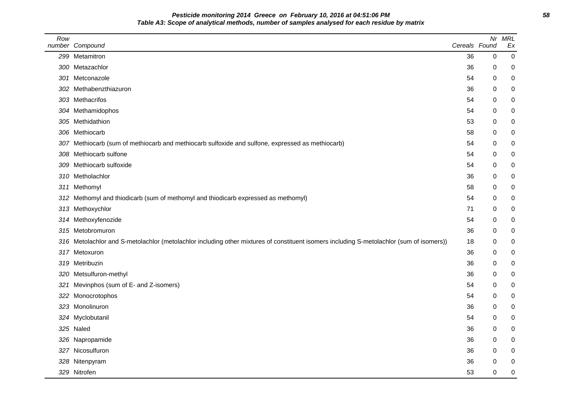**Pesticide monitoring 2014 Greece on February 10, 2016 at 04:51:06 PM 58 Table A3: Scope of analytical methods, number of samples analysed for each residue by matrix**

| Row | number Compound                                                                                                                          | Cereals Found | Nr          | <b>MRL</b><br>Ex |
|-----|------------------------------------------------------------------------------------------------------------------------------------------|---------------|-------------|------------------|
|     | 299 Metamitron                                                                                                                           | 36            | 0           | 0                |
|     | 300 Metazachlor                                                                                                                          | 36            | 0           | 0                |
|     | 301 Metconazole                                                                                                                          | 54            | 0           | 0                |
|     | 302 Methabenzthiazuron                                                                                                                   | 36            | 0           | 0                |
|     | 303 Methacrifos                                                                                                                          | 54            | $\Omega$    | 0                |
|     | 304 Methamidophos                                                                                                                        | 54            | 0           | 0                |
|     | 305 Methidathion                                                                                                                         | 53            | 0           | 0                |
|     | 306 Methiocarb                                                                                                                           | 58            | 0           | 0                |
|     | 307 Methiocarb (sum of methiocarb and methiocarb sulfoxide and sulfone, expressed as methiocarb)                                         | 54            | 0           | 0                |
|     | 308 Methiocarb sulfone                                                                                                                   | 54            | 0           | 0                |
|     | 309 Methiocarb sulfoxide                                                                                                                 | 54            | 0           | 0                |
|     | 310 Metholachlor                                                                                                                         | 36            | 0           | 0                |
|     | 311 Methomyl                                                                                                                             | 58            | 0           | 0                |
|     | 312 Methomyl and thiodicarb (sum of methomyl and thiodicarb expressed as methomyl)                                                       | 54            | 0           | 0                |
|     | 313 Methoxychlor                                                                                                                         | 71            | 0           | 0                |
|     | 314 Methoxyfenozide                                                                                                                      | 54            | 0           | 0                |
|     | 315 Metobromuron                                                                                                                         | 36            | 0           | 0                |
|     | 316 Metolachlor and S-metolachlor (metolachlor including other mixtures of constituent isomers including S-metolachlor (sum of isomers)) | 18            | 0           | 0                |
|     | 317 Metoxuron                                                                                                                            | 36            | $\mathbf 0$ | 0                |
|     | 319 Metribuzin                                                                                                                           | 36            | 0           | 0                |
|     | 320 Metsulfuron-methyl                                                                                                                   | 36            | 0           | 0                |
|     | 321 Mevinphos (sum of E- and Z-isomers)                                                                                                  | 54            | 0           | 0                |
|     | 322 Monocrotophos                                                                                                                        | 54            | $\Omega$    | 0                |
|     | 323 Monolinuron                                                                                                                          | 36            | 0           | 0                |
|     | 324 Myclobutanil                                                                                                                         | 54            | 0           | 0                |
|     | 325 Naled                                                                                                                                | 36            | 0           | 0                |
|     | 326 Napropamide                                                                                                                          | 36            | 0           | $\mathbf 0$      |
|     | 327 Nicosulfuron                                                                                                                         | 36            | 0           | 0                |
|     | 328 Nitenpyram                                                                                                                           | 36            | 0           | 0                |
|     | 329 Nitrofen                                                                                                                             | 53            | $\mathbf 0$ | 0                |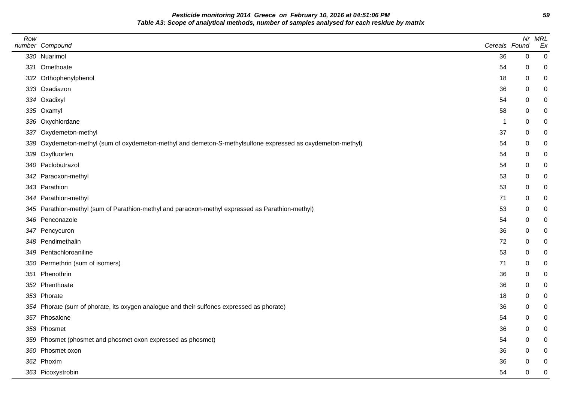**Pesticide monitoring 2014 Greece on February 10, 2016 at 04:51:06 PM 59 Table A3: Scope of analytical methods, number of samples analysed for each residue by matrix**

| Row | number Compound                                                                                             | Cereals Found |             | Nr MRL<br>Ex   |
|-----|-------------------------------------------------------------------------------------------------------------|---------------|-------------|----------------|
|     | 330 Nuarimol                                                                                                | 36            | $\mathsf 0$ | $\overline{0}$ |
|     | 331 Omethoate                                                                                               | 54            | 0           | 0              |
|     | 332 Orthophenylphenol                                                                                       | 18            | 0           | 0              |
|     | 333 Oxadiazon                                                                                               | 36            | 0           |                |
|     | 334 Oxadixyl                                                                                                | 54            | 0           |                |
|     | 335 Oxamyl                                                                                                  | 58            | 0           | 0              |
|     | 336 Oxychlordane                                                                                            | -1            | 0           | 0              |
|     | 337 Oxydemeton-methyl                                                                                       | 37            | 0           | 0              |
|     | 338 Oxydemeton-methyl (sum of oxydemeton-methyl and demeton-S-methylsulfone expressed as oxydemeton-methyl) | 54            | 0           | ი              |
|     | 339 Oxyfluorfen                                                                                             | 54            | 0           |                |
|     | 340 Paclobutrazol                                                                                           | 54            | 0           |                |
|     | 342 Paraoxon-methyl                                                                                         | 53            | 0           | 0              |
|     | 343 Parathion                                                                                               | 53            | 0           | ი              |
|     | 344 Parathion-methyl                                                                                        | 71            | 0           | ი              |
|     | 345 Parathion-methyl (sum of Parathion-methyl and paraoxon-methyl expressed as Parathion-methyl)            | 53            | 0           | 0              |
|     | 346 Penconazole                                                                                             | 54            | 0           |                |
|     | 347 Pencycuron                                                                                              | 36            | 0           |                |
|     | 348 Pendimethalin                                                                                           | 72            | 0           | 0              |
|     | 349 Pentachloroaniline                                                                                      | 53            | 0           | 0              |
|     | 350 Permethrin (sum of isomers)                                                                             | 71            | 0           | ი              |
|     | 351 Phenothrin                                                                                              | 36            | 0           | ი              |
|     | 352 Phenthoate                                                                                              | 36            | 0           |                |
|     | 353 Phorate                                                                                                 | 18            | 0           | ი              |
|     | 354 Phorate (sum of phorate, its oxygen analogue and their sulfones expressed as phorate)                   | 36            | 0           | 0              |
|     | 357 Phosalone                                                                                               | 54            | 0           | 0              |
|     | 358 Phosmet                                                                                                 | 36            | 0           | ი              |
|     | 359 Phosmet (phosmet and phosmet oxon expressed as phosmet)                                                 | 54            | 0           |                |
|     | 360 Phosmet oxon                                                                                            | 36            | 0           |                |
|     | 362 Phoxim                                                                                                  | 36            | 0           | 0              |
|     | 363 Picoxystrobin                                                                                           | 54            | 0           | 0              |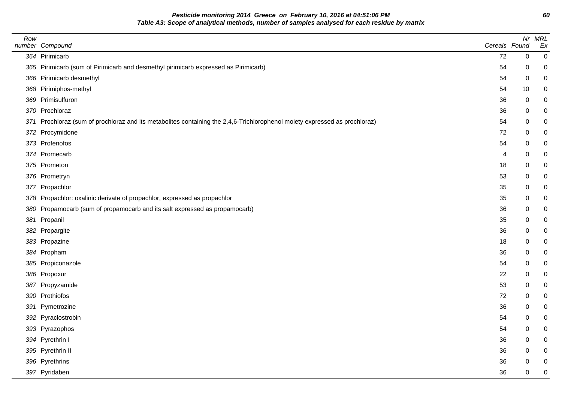**Pesticide monitoring 2014 Greece on February 10, 2016 at 04:51:06 PM 60 Table A3: Scope of analytical methods, number of samples analysed for each residue by matrix**

| Row | number Compound                                                                                                            | Cereals Found |             | Nr MRL<br>Ex   |
|-----|----------------------------------------------------------------------------------------------------------------------------|---------------|-------------|----------------|
|     | 364 Pirimicarb                                                                                                             | 72            | $\mathbf 0$ | $\overline{0}$ |
|     | 365 Pirimicarb (sum of Pirimicarb and desmethyl pirimicarb expressed as Pirimicarb)                                        | 54            | $\pmb{0}$   | 0              |
|     | 366 Pirimicarb desmethyl                                                                                                   | 54            | $\pmb{0}$   | 0              |
|     | 368 Pirimiphos-methyl                                                                                                      | 54            | 10          |                |
|     | 369 Primisulfuron                                                                                                          | 36            | $\,0\,$     |                |
|     | 370 Prochloraz                                                                                                             | 36            | 0           |                |
|     | 371 Prochloraz (sum of prochloraz and its metabolites containing the 2,4,6-Trichlorophenol moiety expressed as prochloraz) | 54            | 0           |                |
|     | 372 Procymidone                                                                                                            | 72            | 0           |                |
|     | 373 Profenofos                                                                                                             | 54            | 0           |                |
|     | 374 Promecarb                                                                                                              | 4             | 0           |                |
|     | 375 Prometon                                                                                                               | 18            | 0           |                |
|     | 376 Prometryn                                                                                                              | 53            | $\mathbf 0$ |                |
|     | 377 Propachlor                                                                                                             | 35            | 0           |                |
|     | 378 Propachlor: oxalinic derivate of propachlor, expressed as propachlor                                                   | 35            | 0           | 0              |
|     | 380 Propamocarb (sum of propamocarb and its salt expressed as propamocarb)                                                 | 36            | 0           |                |
|     | 381 Propanil                                                                                                               | 35            | 0           |                |
|     | 382 Propargite                                                                                                             | 36            | 0           |                |
|     | 383 Propazine                                                                                                              | 18            | $\pmb{0}$   |                |
|     | 384 Propham                                                                                                                | 36            | $\pmb{0}$   | 0              |
|     | 385 Propiconazole                                                                                                          | 54            | 0           |                |
|     | 386 Propoxur                                                                                                               | 22            | 0           |                |
|     | 387 Propyzamide                                                                                                            | 53            | 0           |                |
|     | 390 Prothiofos                                                                                                             | 72            | 0           |                |
|     | 391 Pymetrozine                                                                                                            | 36            | 0           | 0              |
|     | 392 Pyraclostrobin                                                                                                         | 54            | $\pmb{0}$   |                |
|     | 393 Pyrazophos                                                                                                             | 54            | 0           |                |
|     | 394 Pyrethrin I                                                                                                            | 36            | 0           |                |
|     | 395 Pyrethrin II                                                                                                           | 36            | 0           |                |
|     | 396 Pyrethrins                                                                                                             | 36            | 0           |                |
|     | 397 Pyridaben                                                                                                              | 36            | 0           | 0              |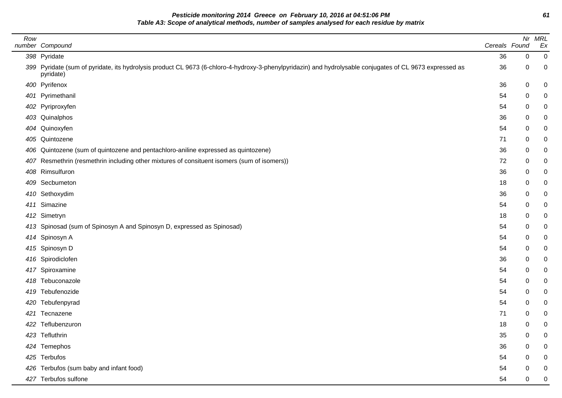**Pesticide monitoring 2014 Greece on February 10, 2016 at 04:51:06 PM 61 Table A3: Scope of analytical methods, number of samples analysed for each residue by matrix**

| Row | number Compound                                                                                                                                                       | Cereals Found |   | Nr MRL<br>Ex   |
|-----|-----------------------------------------------------------------------------------------------------------------------------------------------------------------------|---------------|---|----------------|
|     | 398 Pyridate                                                                                                                                                          | 36            | 0 | $\overline{0}$ |
|     | 399 Pyridate (sum of pyridate, its hydrolysis product CL 9673 (6-chloro-4-hydroxy-3-phenylpyridazin) and hydrolysable conjugates of CL 9673 expressed as<br>pyridate) | 36            | 0 | 0              |
|     | 400 Pyrifenox                                                                                                                                                         | 36            | 0 | 0              |
|     | 401 Pyrimethanil                                                                                                                                                      | 54            | 0 | 0              |
|     | 402 Pyriproxyfen                                                                                                                                                      | 54            | 0 | 0              |
|     | 403 Quinalphos                                                                                                                                                        | 36            | 0 | 0              |
|     | 404 Quinoxyfen                                                                                                                                                        | 54            | 0 | 0              |
|     | 405 Quintozene                                                                                                                                                        | 71            | 0 | 0              |
|     | 406 Quintozene (sum of quintozene and pentachloro-aniline expressed as quintozene)                                                                                    | 36            | 0 | 0              |
| 407 | Resmethrin (resmethrin including other mixtures of consituent isomers (sum of isomers))                                                                               | 72            | 0 | 0              |
|     | 408 Rimsulfuron                                                                                                                                                       | 36            | 0 | 0              |
|     | 409 Secbumeton                                                                                                                                                        | 18            | 0 | 0              |
|     | 410 Sethoxydim                                                                                                                                                        | 36            | 0 | 0              |
|     | 411 Simazine                                                                                                                                                          | 54            | 0 | 0              |
|     | 412 Simetryn                                                                                                                                                          | 18            | 0 | 0              |
|     | 413 Spinosad (sum of Spinosyn A and Spinosyn D, expressed as Spinosad)                                                                                                | 54            | 0 | 0              |
|     | 414 Spinosyn A                                                                                                                                                        | 54            | 0 | 0              |
|     | 415 Spinosyn D                                                                                                                                                        | 54            | 0 | 0              |
|     | 416 Spirodiclofen                                                                                                                                                     | 36            | 0 | 0              |
|     | 417 Spiroxamine                                                                                                                                                       | 54            | 0 | 0              |
|     | 418 Tebuconazole                                                                                                                                                      | 54            | 0 | 0              |
|     | 419 Tebufenozide                                                                                                                                                      | 54            | 0 | 0              |
|     | 420 Tebufenpyrad                                                                                                                                                      | 54            | 0 | 0              |
|     | 421 Tecnazene                                                                                                                                                         | 71            | 0 | 0              |
|     | 422 Teflubenzuron                                                                                                                                                     | 18            | 0 | 0              |
|     | 423 Tefluthrin                                                                                                                                                        | 35            | 0 | 0              |
|     | 424 Temephos                                                                                                                                                          | 36            | 0 | 0              |
|     | 425 Terbufos                                                                                                                                                          | 54            | 0 | 0              |
|     | 426 Terbufos (sum baby and infant food)                                                                                                                               | 54            | 0 | 0              |
|     | 427 Terbufos sulfone                                                                                                                                                  | 54            | 0 | $\overline{0}$ |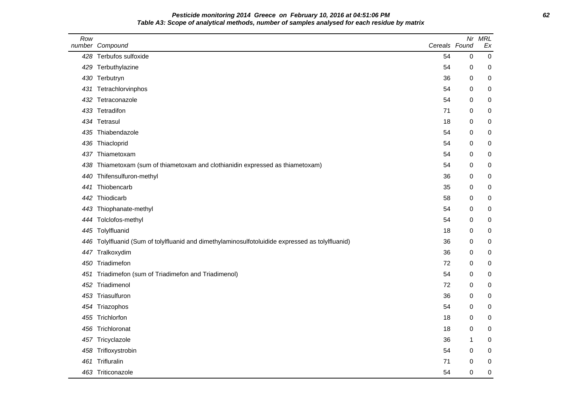# **Pesticide monitoring 2014 Greece on February 10, 2016 at 04:51:06 PM 62 Table A3: Scope of analytical methods, number of samples analysed for each residue by matrix**

| Row | number Compound                                                                              | Cereals Found | Nr        | <b>MRL</b><br>Ex |
|-----|----------------------------------------------------------------------------------------------|---------------|-----------|------------------|
|     | 428 Terbufos sulfoxide                                                                       | 54            | $\pmb{0}$ | $\mathbf 0$      |
| 429 | Terbuthylazine                                                                               | 54            | 0         | $\boldsymbol{0}$ |
|     | 430 Terbutryn                                                                                | 36            | 0         | 0                |
| 431 | Tetrachlorvinphos                                                                            | 54            | 0         | 0                |
| 432 | Tetraconazole                                                                                | 54            | 0         | $\mathbf 0$      |
|     | 433 Tetradifon                                                                               | 71            | 0         | 0                |
|     | 434 Tetrasul                                                                                 | 18            | 0         | $\pmb{0}$        |
| 435 | Thiabendazole                                                                                | 54            | 0         | $\boldsymbol{0}$ |
| 436 | Thiacloprid                                                                                  | 54            | 0         | 0                |
| 437 | Thiametoxam                                                                                  | 54            | 0         | $\boldsymbol{0}$ |
| 438 | Thiametoxam (sum of thiametoxam and clothianidin expressed as thiametoxam)                   | 54            | 0         | $\boldsymbol{0}$ |
| 440 | Thifensulfuron-methyl                                                                        | 36            | 0         | 0                |
| 441 | Thiobencarb                                                                                  | 35            | 0         | 0                |
| 442 | Thiodicarb                                                                                   | 58            | 0         | $\mathbf 0$      |
|     | 443 Thiophanate-methyl                                                                       | 54            | 0         | 0                |
| 444 | Tolclofos-methyl                                                                             | 54            | 0         | $\pmb{0}$        |
|     | 445 Tolylfluanid                                                                             | 18            | 0         | 0                |
| 446 | Tolylfluanid (Sum of tolylfluanid and dimethylaminosulfotoluidide expressed as tolylfluanid) | 36            | 0         | 0                |
| 447 | Tralkoxydim                                                                                  | 36            | 0         | 0                |
| 450 | Triadimefon                                                                                  | 72            | 0         | $\boldsymbol{0}$ |
| 451 | Triadimefon (sum of Triadimefon and Triadimenol)                                             | 54            | 0         | 0                |
| 452 | Triadimenol                                                                                  | 72            | 0         | 0                |
|     | 453 Triasulfuron                                                                             | 36            | 0         | $\pmb{0}$        |
|     | 454 Triazophos                                                                               | 54            | 0         | 0                |
| 455 | Trichlorfon                                                                                  | 18            | 0         | $\mathbf 0$      |
| 456 | Trichloronat                                                                                 | 18            | 0         | $\boldsymbol{0}$ |
|     | 457 Tricyclazole                                                                             | 36            | 1         | 0                |
| 458 | Trifloxystrobin                                                                              | 54            | 0         | 0                |
| 461 | Trifluralin                                                                                  | 71            | 0         | 0                |
|     | 463 Triticonazole                                                                            | 54            | 0         | $\mathbf 0$      |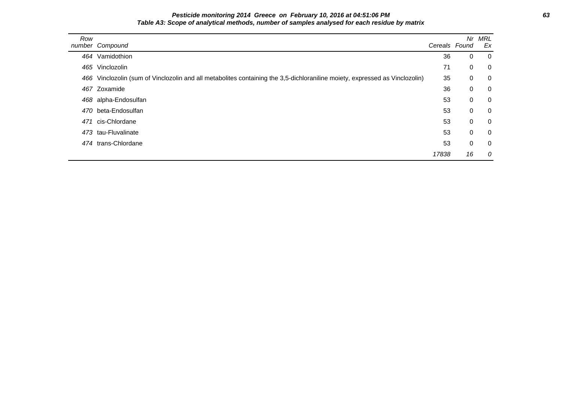# **Pesticide monitoring 2014 Greece on February 10, 2016 at 04:51:06 PM 63 Table A3: Scope of analytical methods, number of samples analysed for each residue by matrix**

| Row | number Compound                                                                                                             | Cereals Found | Nr.         | MRL<br>Ex      |
|-----|-----------------------------------------------------------------------------------------------------------------------------|---------------|-------------|----------------|
|     | 464 Vamidothion                                                                                                             | 36            | $\mathbf 0$ | - 0            |
|     | 465 Vinclozolin                                                                                                             | 71            | 0           | $\overline{0}$ |
|     | 466 Vinclozolin (sum of Vinclozolin and all metabolites containing the 3,5-dichloraniline moiety, expressed as Vinclozolin) | 35            | $\mathbf 0$ | $\overline{0}$ |
|     | 467 Zoxamide                                                                                                                | 36            | 0           | $\overline{0}$ |
|     | 468 alpha-Endosulfan                                                                                                        | 53            | $\mathbf 0$ | $\overline{0}$ |
|     | 470 beta-Endosulfan                                                                                                         | 53            | $\mathbf 0$ | $\overline{0}$ |
| 471 | cis-Chlordane                                                                                                               | 53            | $\mathbf 0$ | $\overline{0}$ |
|     | 473 tau-Fluvalinate                                                                                                         | 53            | $\mathbf 0$ | $\overline{0}$ |
|     | 474 trans-Chlordane                                                                                                         | 53            | $\mathbf 0$ | $\overline{0}$ |
|     |                                                                                                                             | 17838         | 16          | 0              |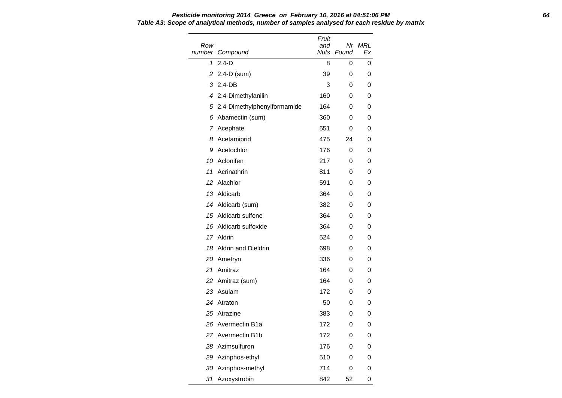| Row<br>number | Compound                      | Fruit<br>and<br>Nuts | Found | Nr MRL<br>Ex |
|---------------|-------------------------------|----------------------|-------|--------------|
| 1             | $2,4-D$                       | 8                    | 0     | 0            |
| 2             | $2,4$ -D $(sum)$              | 39                   | 0     | 0            |
|               | 3 2,4-DB                      | 3                    | 0     | 0            |
|               | 4 2,4-Dimethylanilin          | 160                  | 0     | 0            |
|               | 5 2,4-Dimethylphenylformamide | 164                  | 0     | 0            |
| 6             | Abamectin (sum)               | 360                  | 0     | 0            |
| 7             | Acephate                      | 551                  | 0     | 0            |
| 8             | Acetamiprid                   | 475                  | 24    | 0            |
| 9             | Acetochlor                    | 176                  | 0     | 0            |
|               | 10 Aclonifen                  | 217                  | 0     | 0            |
| 11            | Acrinathrin                   | 811                  | 0     | 0            |
| 12            | Alachlor                      | 591                  | 0     | 0            |
|               | 13 Aldicarb                   | 364                  | 0     | 0            |
|               | 14 Aldicarb (sum)             | 382                  | 0     | 0            |
|               | 15 Aldicarb sulfone           | 364                  | 0     | 0            |
| 16            | Aldicarb sulfoxide            | 364                  | 0     | 0            |
|               | 17 Aldrin                     | 524                  | 0     | 0            |
| 18            | <b>Aldrin and Dieldrin</b>    | 698                  | 0     | 0            |
|               | 20 Ametryn                    | 336                  | 0     | 0            |
| 21            | Amitraz                       | 164                  | 0     | 0            |
|               | 22 Amitraz (sum)              | 164                  | 0     | 0            |
|               | 23 Asulam                     | 172                  | 0     | 0            |
| 24            | Atraton                       | 50                   | 0     | 0            |
|               | 25 Atrazine                   | 383                  | 0     | 0            |
|               | 26 Avermectin B1a             | 172                  | 0     | 0            |
|               | 27 Avermectin B1b             | 172                  | 0     | 0            |
|               | 28 Azimsulfuron               | 176                  | 0     | 0            |
|               | 29 Azinphos-ethyl             | 510                  | 0     | 0            |
|               | 30 Azinphos-methyl            | 714                  | 0     | 0            |
| 31            | Azoxystrobin                  | 842                  | 52    | 0            |

**Pesticide monitoring 2014 Greece on February 10, 2016 at 04:51:06 PM 64 Table A3: Scope of analytical methods, number of samples analysed for each residue by matrix**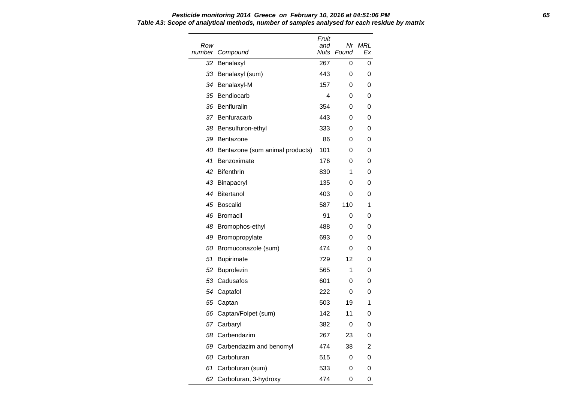| Row<br>number | Compound                           | Fruit<br>and<br><b>Nuts</b> | Found | Nr MRL<br>Ex |
|---------------|------------------------------------|-----------------------------|-------|--------------|
| 32            | Benalaxyl                          | 267                         | 0     | 0            |
|               | 33 Benalaxyl (sum)                 | 443                         | 0     | 0            |
|               | 34 Benalaxyl-M                     | 157                         | 0     | 0            |
|               | 35 Bendiocarb                      | 4                           | 0     | 0            |
| 36            | Benfluralin                        | 354                         | 0     | 0            |
|               | 37 Benfuracarb                     | 443                         | 0     | 0            |
|               | 38 Bensulfuron-ethyl               | 333                         | 0     | 0            |
| 39            | Bentazone                          | 86                          | 0     | 0            |
|               | 40 Bentazone (sum animal products) | 101                         | 0     | 0            |
| 41            | Benzoximate                        | 176                         | 0     | 0            |
| 42            | <b>Bifenthrin</b>                  | 830                         | 1     | 0            |
|               | 43 Binapacryl                      | 135                         | 0     | 0            |
| 44            | Bitertanol                         | 403                         | 0     | 0            |
| 45            | <b>Boscalid</b>                    | 587                         | 110   | 1            |
| 46            | <b>Bromacil</b>                    | 91                          | 0     | 0            |
|               | 48 Bromophos-ethyl                 | 488                         | 0     | 0            |
|               | 49 Bromopropylate                  | 693                         | 0     | 0            |
|               | 50 Bromuconazole (sum)             | 474                         | 0     | 0            |
| 51            | <b>Bupirimate</b>                  | 729                         | 12    | 0            |
| 52            | <b>Buprofezin</b>                  | 565                         | 1     | 0            |
|               | 53 Cadusafos                       | 601                         | 0     | 0            |
|               | 54 Captafol                        | 222                         | 0     | 0            |
|               | 55 Captan                          | 503                         | 19    | 1            |
|               | 56 Captan/Folpet (sum)             | 142                         | 11    | 0            |
|               | 57 Carbaryl                        | 382                         | 0     | 0            |
|               | 58 Carbendazim                     | 267                         | 23    | 0            |
|               | 59 Carbendazim and benomyl         | 474                         | 38    | 2            |
|               | 60 Carbofuran                      | 515                         | 0     | 0            |
|               | 61 Carbofuran (sum)                | 533                         | 0     | 0            |
|               | 62 Carbofuran, 3-hydroxy           | 474                         | 0     | 0            |

#### **Pesticide monitoring 2014 Greece on February 10, 2016 at 04:51:06 PM 65 Table A3: Scope of analytical methods, number of samples analysed for each residue by matrix**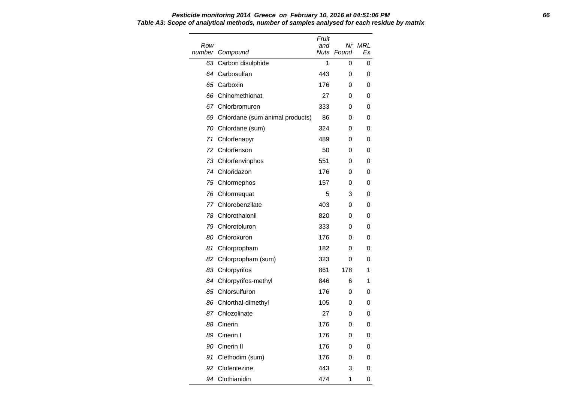| Row | number Compound                    | Fruit<br>and | Nuts Found | Nr MRL<br>Ex |
|-----|------------------------------------|--------------|------------|--------------|
| 63  | Carbon disulphide                  | 1            | 0          | 0            |
| 64  | Carbosulfan                        | 443          | 0          | 0            |
|     | 65 Carboxin                        | 176          | 0          | 0            |
|     | 66 Chinomethionat                  | 27           | 0          | 0            |
|     | 67 Chlorbromuron                   | 333          | 0          | 0            |
|     | 69 Chlordane (sum animal products) | 86           | 0          | 0            |
|     | 70 Chlordane (sum)                 | 324          | 0          | 0            |
| 71  | Chlorfenapyr                       | 489          | 0          | 0            |
| 72  | Chlorfenson                        | 50           | 0          | 0            |
|     | 73 Chlorfenvinphos                 | 551          | 0          | 0            |
|     | 74 Chloridazon                     | 176          | 0          | 0            |
|     | 75 Chlormephos                     | 157          | 0          | 0            |
|     | 76 Chlormequat                     | 5            | 3          | 0            |
|     | 77 Chlorobenzilate                 | 403          | 0          | 0            |
|     | 78 Chlorothalonil                  | 820          | 0          | 0            |
|     | 79 Chlorotoluron                   | 333          | 0          | 0            |
|     | 80 Chloroxuron                     | 176          | 0          | 0            |
| 81  | Chlorpropham                       | 182          | 0          | 0            |
|     | 82 Chlorpropham (sum)              | 323          | 0          | 0            |
|     | 83 Chlorpyrifos                    | 861          | 178        | 1            |
|     | 84 Chlorpyrifos-methyl             | 846          | 6          | 1            |
|     | 85 Chlorsulfuron                   | 176          | 0          | 0            |
|     | 86 Chlorthal-dimethyl              | 105          | 0          | 0            |
|     | 87 Chlozolinate                    | 27           | 0          | 0            |
|     | 88 Cinerin                         | 176          | 0          | 0            |
| 89  | Cinerin I                          | 176          | 0          | 0            |
|     | 90 Cinerin II                      | 176          | 0          | 0            |
| 91  | Clethodim (sum)                    | 176          | 0          | 0            |

 Clofentezine 443 3 0 94 Clothianidin **474** 1 0

**Pesticide monitoring 2014 Greece on February 10, 2016 at 04:51:06 PM 66 Table A3: Scope of analytical methods, number of samples analysed for each residue by matrix**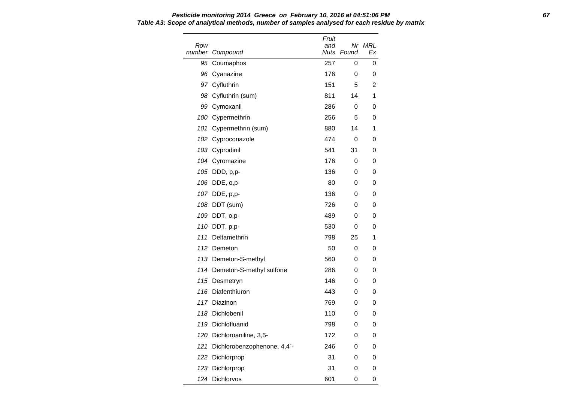Row number Compound Fruit and Nuts Found Nr MRL Ex 95 Coumaphos 257 0 0 96 Cyanazine 176 0 0 97 Cyfluthrin 151 5 2 98 Cyfluthrin (sum) 811 14 1 99 Cymoxanil 286 0 0 100 Cypermethrin 256 5 0 101 Cypermethrin (sum) 880 14 1 102 Cyproconazole **474** 0 0 103 Cyprodinil 541 31 0 104 Cyromazine 176 0 0 105 DDD, p,p- 136 0 0 106 DDE, o,p- 80 0 0 107 DDE, p,p- 136 0 0 108 DDT (sum) 726 0 0 109 DDT, o,p- 489 0 0 110 DDT, p,p- 530 0 0 111 Deltamethrin 798 25 1 112 Demeton 50 0 0 113 Demeton-S-methyl 560 0 0 114 Demeton-S-methyl sulfone 286 0 0 115 Desmetryn 146 0 0 116 Diafenthiuron 116 0 0 0 117 Diazinon 117 Diazinon 117 Diazinon 117 Diazinon 117 0 118 Dichlobenil 110 0 0 119 Dichlofluanid 798 0 0 120 Dichloroaniline, 3,5-<br>
172 0 0 121 Dichlorobenzophenone, 4,4<sup>2</sup>-<br>
246 0 0 122 Dichlorprop 31 0 0 123 Dichlorprop 31 0 0 124 Dichlorvos 601 0 0

# **Pesticide monitoring 2014 Greece on February 10, 2016 at 04:51:06 PM 67 Table A3: Scope of analytical methods, number of samples analysed for each residue by matrix**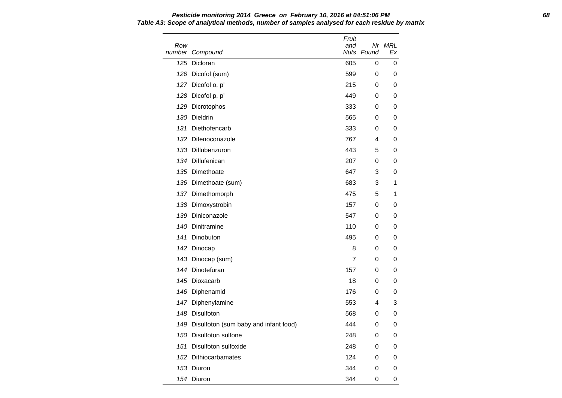Row number Compound Fruit and Nuts Found Nr MRL Ex 125 Dicloran 605 0 0 126 Dicofol (sum) 599 0 0 0 127 Dicofol o, p' 215 0 0 128 Dicofol p, p' 128 Dicofol p, p' 128 Dicofol p, p' 129 Dicoromy 1449 O 0 129 Dicrotophos 333 0 0 130 Dieldrin 565 0 0 131 Diethofencarb 333 0 0 132 Difenoconazole 767 4 0 133 Diflubenzuron 443 5 0 134 Diflufenican **207** 0 0 135 Dimethoate 647 3 0 136 Dimethoate (sum) 683 3 1 137 Dimethomorph 137 and 137 and 137 and 137 and 137 and 137 and 137 and 137 and 138 and 138 and 138 and 138 and 138 and 138 and 138 and 138 and 138 and 138 and 138 and 138 and 138 and 138 and 138 and 138 and 138 and 138 a 138 Dimoxystrobin 157 0 0 139 Diniconazole 647 0 0 140 Dinitramine 110 0 0 141 Dinobuton 495 0 0 142 Dinocap 8 0 0 143 Dinocap (sum) 7 0 0 144 Dinotefuran 157 0 0 145 Dioxacarb 18 0 0 146 Diphenamid 176 0 0 147 Diphenylamine **553** 4 3 148 Disulfoton 568 0 0 149 Disulfoton (sum baby and infant food) 444 0 0 150 Disulfoton sulfone 248 0 0 0 151 Disulfoton sulfoxide 248 0 0 152 Dithiocarbamates 124 0 0 153 Diuron 344 0 0 154 Diuron 344 0 0

**Pesticide monitoring 2014 Greece on February 10, 2016 at 04:51:06 PM 68 Table A3: Scope of analytical methods, number of samples analysed for each residue by matrix**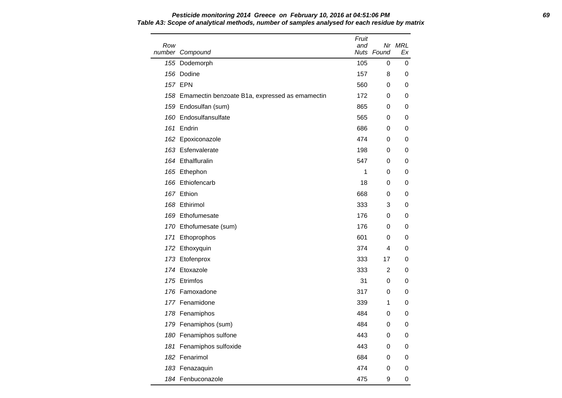| Row | number Compound                                    | Fruit<br>and | Nuts Found | Nr MRL<br>Ex |
|-----|----------------------------------------------------|--------------|------------|--------------|
|     | 155 Dodemorph                                      | 105          | 0          | 0            |
|     | 156 Dodine                                         | 157          | 8          | 0            |
|     | <b>157 EPN</b>                                     | 560          | 0          | 0            |
|     | 158 Emamectin benzoate B1a, expressed as emamectin | 172          | 0          | 0            |
|     | 159 Endosulfan (sum)                               | 865          | 0          | 0            |
|     | 160 Endosulfansulfate                              | 565          | 0          | 0            |
|     | 161 Endrin                                         | 686          | 0          | 0            |
|     | 162 Epoxiconazole                                  | 474          | 0          | 0            |
|     | 163 Esfenvalerate                                  | 198          | 0          | 0            |
|     | 164 Ethalfluralin                                  | 547          | 0          | 0            |
|     | 165 Ethephon                                       | 1            | 0          | 0            |
|     | 166 Ethiofencarb                                   | 18           | 0          | 0            |
|     | 167 Ethion                                         | 668          | 0          | 0            |
|     | 168 Ethirimol                                      | 333          | 3          | 0            |
|     | 169 Ethofumesate                                   | 176          | 0          | 0            |
|     | 170 Ethofumesate (sum)                             | 176          | 0          | 0            |
|     | 171 Ethoprophos                                    | 601          | 0          | 0            |
|     | 172 Ethoxyquin                                     | 374          | 4          | 0            |
|     | 173 Etofenprox                                     | 333          | 17         | 0            |
|     | 174 Etoxazole                                      | 333          | 2          | 0            |
|     | 175 Etrimfos                                       | 31           | 0          | 0            |
|     | 176 Famoxadone                                     | 317          | 0          | 0            |
|     | 177 Fenamidone                                     | 339          | 1          | 0            |
|     | 178 Fenamiphos                                     | 484          | 0          | 0            |
|     | 179 Fenamiphos (sum)                               | 484          | 0          | 0            |
|     | 180 Fenamiphos sulfone                             | 443          | 0          | 0            |
|     | 181 Fenamiphos sulfoxide                           | 443          | 0          | 0            |
|     | 182 Fenarimol                                      | 684          | 0          | 0            |
|     | 183 Fenazaquin                                     | 474          | 0          | 0            |
|     | 184 Fenbuconazole                                  | 475          | 9          | 0            |

**Pesticide monitoring 2014 Greece on February 10, 2016 at 04:51:06 PM 69 Table A3: Scope of analytical methods, number of samples analysed for each residue by matrix**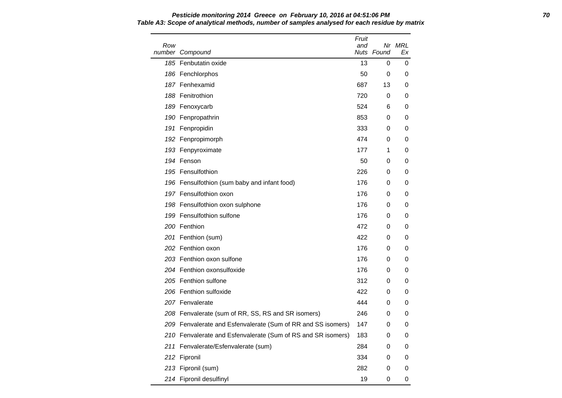Row number Compound Fruit and Nuts Found Nr MRL Ex 185 Fenbutatin oxide 13 0 0 0 186 Fenchlorphos **186 Contract 186 Contract 186 Contract 186 Contract 186 Contract 186 Contract 186 Contract 1** 187 Fenhexamid 687 13 0 188 Fenitrothion **188 Community 188 Fenitrothion** 188 Community 188 Community 189 O 189 Fenoxycarb 524 6 0 190 Fenpropathrin 853 0 0 191 Fenpropidin and the set of the set of the set of the set of the set of the set of the set of the set of th 192 Fenpropimorph 6 and 192 Fenpropimorph 6 and 174 bits of the 174 contract of the 174 contract of the 174 contract of the 174 contract of the 174 contract of the 175 contract of the 175 contract of the 175 contract of th 193 Fenpyroximate 177 1 0 194 Fenson 50 0 0 195 Fensulfothion 226 0 0 196 Fensulfothion (sum baby and infant food) 176 0 0 197 Fensulfothion oxon 176 0 0 0 198 Fensulfothion oxon sulphone 176 0 0 199 Fensulfothion sulfone 176 0 0 200 Fenthion 472 0 0 201 Fenthion (sum) 422 0 0 202 Fenthion oxon **176** 0 0 0 203 Fenthion oxon sulfone 176 176 0 0 204 Fenthion oxonsulfoxide 176 0 0 205 Fenthion sulfone 312 0 0 206 Fenthion sulfoxide 422 0 0 207 Fenvalerate **120 a. 207 Fenvalerate** 120 a. 207 **Fenvalerate** 120 a. 207 **c.** 207 **c.** 207 **c.** 207 **c.** 207 **c.** 207 **c.** 208 **c.** 208 **c.** 208 **c.** 208 **c.** 208 **c.** 208 **c.** 208 **c.** 208 **c.** 208 **c.** 208 **c.** 208 208 Fenvalerate (sum of RR, SS, RS and SR isomers) 246 0 0 209 Fenvalerate and Esfenvalerate (Sum of RR and SS isomers) 147 0 0 210 Fenvalerate and Esfenvalerate (Sum of RS and SR isomers) 183 0 0 211 Fenvalerate/Esfenvalerate (sum) 284 0 0 212 Fipronil 334 0 0 213 Fipronil (sum) 282 0 0 214 Fipronil desulfinyl and the control of the control of the control of the control of the control of the control of the control of the control of the control of the control of the control of the control of the control of

### **Pesticide monitoring 2014 Greece on February 10, 2016 at 04:51:06 PM 70 Table A3: Scope of analytical methods, number of samples analysed for each residue by matrix**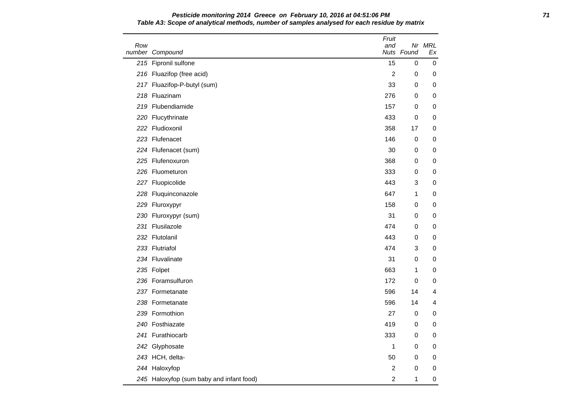| Row | number Compound                          | Fruit<br>and   | Nuts Found       | Nr MRL<br>Еx |
|-----|------------------------------------------|----------------|------------------|--------------|
|     | 215 Fipronil sulfone                     | 15             | 0                | $\pmb{0}$    |
|     | 216 Fluazifop (free acid)                | $\overline{2}$ | 0                | 0            |
|     | 217 Fluazifop-P-butyl (sum)              | 33             | 0                | 0            |
|     | 218 Fluazinam                            | 276            | 0                | 0            |
|     | 219 Flubendiamide                        | 157            | 0                | 0            |
|     | 220 Flucythrinate                        | 433            | 0                | 0            |
|     | 222 Fludioxonil                          | 358            | 17               | 0            |
|     | 223 Flufenacet                           | 146            | $\pmb{0}$        | 0            |
|     | 224 Flufenacet (sum)                     | 30             | 0                | 0            |
|     | 225 Flufenoxuron                         | 368            | 0                | 0            |
|     | 226 Fluometuron                          | 333            | 0                | 0            |
|     | 227 Fluopicolide                         | 443            | 3                | 0            |
|     | 228 Fluquinconazole                      | 647            | 1                | 0            |
|     | 229 Fluroxypyr                           | 158            | 0                | 0            |
|     | 230 Fluroxypyr (sum)                     | 31             | 0                | 0            |
|     | 231 Flusilazole                          | 474            | 0                | 0            |
|     | 232 Flutolanil                           | 443            | 0                | 0            |
|     | 233 Flutriafol                           | 474            | 3                | 0            |
|     | 234 Fluvalinate                          | 31             | 0                | 0            |
|     | 235 Folpet                               | 663            | 1                | 0            |
|     | 236 Foramsulfuron                        | 172            | 0                | 0            |
|     | 237 Formetanate                          | 596            | 14               | 4            |
|     | 238 Formetanate                          | 596            | 14               | 4            |
|     | 239 Formothion                           | 27             | $\pmb{0}$        | 0            |
|     | 240 Fosthiazate                          | 419            | 0                | 0            |
|     | 241 Furathiocarb                         | 333            | $\pmb{0}$        | 0            |
|     | 242 Glyphosate                           | 1              | 0                | 0            |
|     | 243 HCH, delta-                          | 50             | 0                | 0            |
|     | 244 Haloxyfop                            | $\overline{c}$ | $\boldsymbol{0}$ | 0            |
|     | 245 Haloxyfop (sum baby and infant food) | $\overline{c}$ | $\mathbf{1}$     | 0            |

**Pesticide monitoring 2014 Greece on February 10, 2016 at 04:51:06 PM 71 Table A3: Scope of analytical methods, number of samples analysed for each residue by matrix**

 $\overline{\phantom{a}}$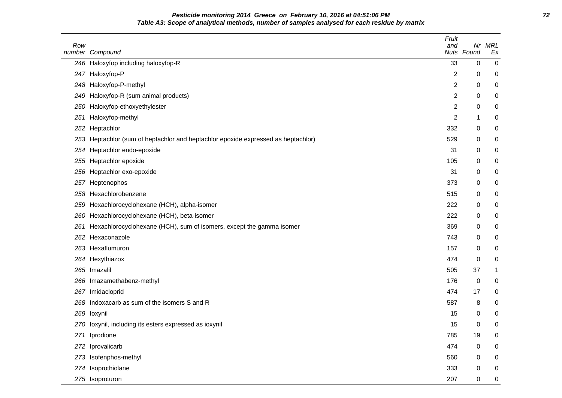**Pesticide monitoring 2014 Greece on February 10, 2016 at 04:51:06 PM 72 Table A3: Scope of analytical methods, number of samples analysed for each residue by matrix**

| Row  | number Compound                                                                   | Fruit<br>and   | Nr<br>Nuts Found | <b>MRL</b><br>Ex |
|------|-----------------------------------------------------------------------------------|----------------|------------------|------------------|
|      | 246 Haloxyfop including haloxyfop-R                                               | 33             | 0                | 0                |
| 247  | Haloxyfop-P                                                                       | $\overline{c}$ | 0                | 0                |
|      | 248 Haloxyfop-P-methyl                                                            | 2              | 0                | 0                |
| 249  | Haloxyfop-R (sum animal products)                                                 | $\overline{c}$ | 0                | 0                |
| 250  | Haloxyfop-ethoxyethylester                                                        | 2              | 0                | 0                |
| 251  | Haloxyfop-methyl                                                                  | 2              | 1                | 0                |
|      | 252 Heptachlor                                                                    | 332            | 0                | 0                |
|      | 253 Heptachlor (sum of heptachlor and heptachlor epoxide expressed as heptachlor) | 529            | 0                | 0                |
|      | 254 Heptachlor endo-epoxide                                                       | 31             | 0                | 0                |
|      | 255 Heptachlor epoxide                                                            | 105            | 0                | 0                |
|      | 256 Heptachlor exo-epoxide                                                        | 31             | 0                | 0                |
| 257  | Heptenophos                                                                       | 373            | 0                | 0                |
| 258  | Hexachlorobenzene                                                                 | 515            | 0                | 0                |
| 259. | Hexachlorocyclohexane (HCH), alpha-isomer                                         | 222            | 0                | 0                |
| 260  | Hexachlorocyclohexane (HCH), beta-isomer                                          | 222            | 0                | 0                |
| 261  | Hexachlorocyclohexane (HCH), sum of isomers, except the gamma isomer              | 369            | 0                | 0                |
|      | 262 Hexaconazole                                                                  | 743            | 0                | 0                |
|      | 263 Hexaflumuron                                                                  | 157            | 0                | 0                |
|      | 264 Hexythiazox                                                                   | 474            | 0                | 0                |
|      | 265 Imazalil                                                                      | 505            | 37               | 1                |
|      | 266 Imazamethabenz-methyl                                                         | 176            | 0                | 0                |
| 267  | Imidacloprid                                                                      | 474            | 17               | 0                |
| 268  | Indoxacarb as sum of the isomers S and R                                          | 587            | 8                | 0                |
|      | 269 loxynil                                                                       | 15             | 0                | 0                |
|      | 270 loxynil, including its esters expressed as ioxynil                            | 15             | 0                | 0                |
|      | 271 Iprodione                                                                     | 785            | 19               | 0                |
|      | 272 Iprovalicarb                                                                  | 474            | 0                | 0                |
|      | 273 Isofenphos-methyl                                                             | 560            | 0                | 0                |
|      | 274 Isoprothiolane                                                                | 333            | 0                | 0                |
|      | 275 Isoproturon                                                                   | 207            | 0                | $\boldsymbol{0}$ |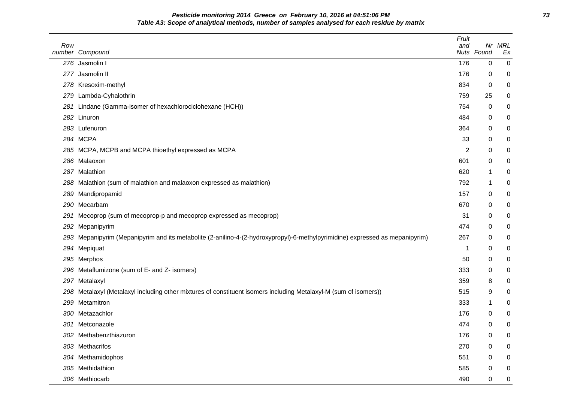**Pesticide monitoring 2014 Greece on February 10, 2016 at 04:51:06 PM 73 Table A3: Scope of analytical methods, number of samples analysed for each residue by matrix**

| Row | number Compound                                                                                                              | Fruit<br>and | Nuts Found | Nr MRL<br>Ex |
|-----|------------------------------------------------------------------------------------------------------------------------------|--------------|------------|--------------|
|     | 276 Jasmolin I                                                                                                               | 176          | 0          | 0            |
|     | 277 Jasmolin II                                                                                                              | 176          | 0          | 0            |
|     | 278 Kresoxim-methyl                                                                                                          | 834          | 0          | 0            |
|     | 279 Lambda-Cyhalothrin                                                                                                       | 759          | 25         | 0            |
|     | 281 Lindane (Gamma-isomer of hexachlorociclohexane (HCH))                                                                    | 754          | 0          | 0            |
|     | 282 Linuron                                                                                                                  | 484          | 0          | 0            |
|     | 283 Lufenuron                                                                                                                | 364          | 0          | 0            |
|     | 284 MCPA                                                                                                                     | 33           | 0          | 0            |
|     | 285 MCPA, MCPB and MCPA thioethyl expressed as MCPA                                                                          | 2            | 0          | 0            |
|     | 286 Malaoxon                                                                                                                 | 601          | 0          | 0            |
|     | 287 Malathion                                                                                                                | 620          | 1          | 0            |
| 288 | Malathion (sum of malathion and malaoxon expressed as malathion)                                                             | 792          | 1          | 0            |
| 289 | Mandipropamid                                                                                                                | 157          | 0          | 0            |
|     | 290 Mecarbam                                                                                                                 | 670          | 0          | 0            |
| 291 | Mecoprop (sum of mecoprop-p and mecoprop expressed as mecoprop)                                                              | 31           | 0          | 0            |
| 292 | Mepanipyrim                                                                                                                  | 474          | 0          | 0            |
|     | 293 Mepanipyrim (Mepanipyrim and its metabolite (2-anilino-4-(2-hydroxypropyl)-6-methylpyrimidine) expressed as mepanipyrim) | 267          | 0          | 0            |
|     | 294 Mepiquat                                                                                                                 | 1            | 0          | 0            |
|     | 295 Merphos                                                                                                                  | 50           | 0          | 0            |
|     | 296 Metaflumizone (sum of E- and Z- isomers)                                                                                 | 333          | 0          | 0            |
|     | 297 Metalaxyl                                                                                                                | 359          | 8          | 0            |
|     | 298 Metalaxyl (Metalaxyl including other mixtures of constituent isomers including Metalaxyl-M (sum of isomers))             | 515          | 9          | 0            |
| 299 | Metamitron                                                                                                                   | 333          | 1          | 0            |
|     | 300 Metazachlor                                                                                                              | 176          | 0          | 0            |
|     | 301 Metconazole                                                                                                              | 474          | 0          | 0            |
|     | 302 Methabenzthiazuron                                                                                                       | 176          | 0          | 0            |
|     | 303 Methacrifos                                                                                                              | 270          | 0          | 0            |
|     | 304 Methamidophos                                                                                                            | 551          | 0          | 0            |
|     | 305 Methidathion                                                                                                             | 585          | 0          | 0            |
|     | 306 Methiocarb                                                                                                               | 490          | 0          | 0            |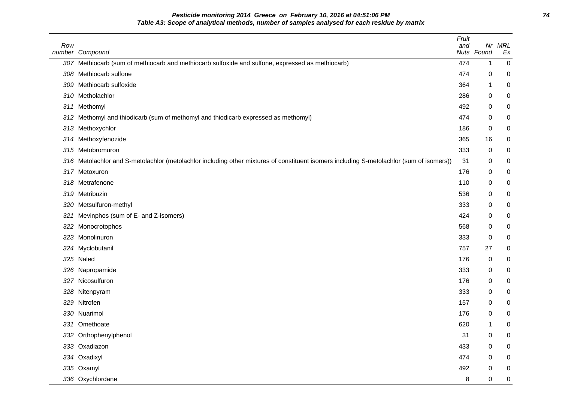**Pesticide monitoring 2014 Greece on February 10, 2016 at 04:51:06 PM 74 Table A3: Scope of analytical methods, number of samples analysed for each residue by matrix**

| Row | number Compound                                                                                                                      | Fruit<br>and | Nr<br>Nuts Found | MRL<br>Ex        |
|-----|--------------------------------------------------------------------------------------------------------------------------------------|--------------|------------------|------------------|
|     | 307 Methiocarb (sum of methiocarb and methiocarb sulfoxide and sulfone, expressed as methiocarb)                                     | 474          | 1                | 0                |
| 308 | Methiocarb sulfone                                                                                                                   | 474          | 0                | 0                |
| 309 | Methiocarb sulfoxide                                                                                                                 | 364          | 1                | 0                |
| 310 | Metholachlor                                                                                                                         | 286          | 0                | 0                |
| 311 | Methomyl                                                                                                                             | 492          | 0                | 0                |
| 312 | Methomyl and thiodicarb (sum of methomyl and thiodicarb expressed as methomyl)                                                       | 474          | 0                | 0                |
| 313 | Methoxychlor                                                                                                                         | 186          | 0                | 0                |
|     | 314 Methoxyfenozide                                                                                                                  | 365          | 16               | 0                |
| 315 | Metobromuron                                                                                                                         | 333          | 0                | 0                |
| 316 | Metolachlor and S-metolachlor (metolachlor including other mixtures of constituent isomers including S-metolachlor (sum of isomers)) | 31           | 0                | 0                |
|     | 317 Metoxuron                                                                                                                        | 176          | 0                | 0                |
| 318 | Metrafenone                                                                                                                          | 110          | 0                | 0                |
| 319 | Metribuzin                                                                                                                           | 536          | 0                | 0                |
| 320 | Metsulfuron-methyl                                                                                                                   | 333          | 0                | 0                |
| 321 | Mevinphos (sum of E- and Z-isomers)                                                                                                  | 424          | 0                | 0                |
| 322 | Monocrotophos                                                                                                                        | 568          | 0                | 0                |
| 323 | Monolinuron                                                                                                                          | 333          | 0                | 0                |
|     | 324 Myclobutanil                                                                                                                     | 757          | 27               | 0                |
| 325 | Naled                                                                                                                                | 176          | 0                | 0                |
| 326 | Napropamide                                                                                                                          | 333          | 0                | 0                |
| 327 | Nicosulfuron                                                                                                                         | 176          | 0                | 0                |
| 328 | Nitenpyram                                                                                                                           | 333          | 0                | 0                |
| 329 | Nitrofen                                                                                                                             | 157          | 0                | 0                |
|     | 330 Nuarimol                                                                                                                         | 176          | 0                | 0                |
|     | 331 Omethoate                                                                                                                        | 620          | 1                | 0                |
|     | 332 Orthophenylphenol                                                                                                                | 31           | 0                | 0                |
|     | 333 Oxadiazon                                                                                                                        | 433          | $\mathbf 0$      | 0                |
|     | 334 Oxadixyl                                                                                                                         | 474          | 0                | 0                |
|     | 335 Oxamyl                                                                                                                           | 492          | $\Omega$         | 0                |
|     | 336 Oxychlordane                                                                                                                     | 8            | 0                | $\boldsymbol{0}$ |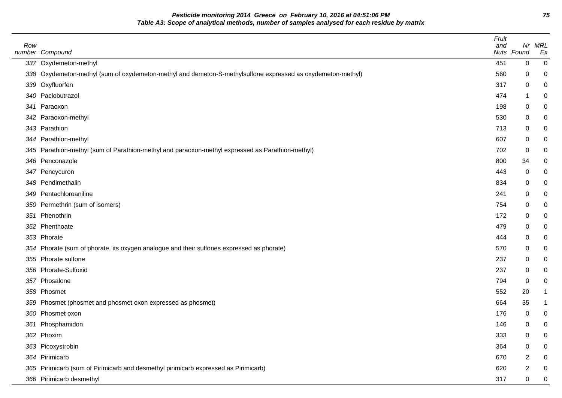**Pesticide monitoring 2014 Greece on February 10, 2016 at 04:51:06 PM 75 Table A3: Scope of analytical methods, number of samples analysed for each residue by matrix**

 $\overline{\phantom{a}}$ 

| Row | number Compound                                                                                             | Fruit<br>and | Nuts Found | Nr MRL<br>Ex |
|-----|-------------------------------------------------------------------------------------------------------------|--------------|------------|--------------|
|     | 337 Oxydemeton-methyl                                                                                       | 451          | 0          | 0            |
|     | 338 Oxydemeton-methyl (sum of oxydemeton-methyl and demeton-S-methylsulfone expressed as oxydemeton-methyl) | 560          | 0          | 0            |
|     | 339 Oxyfluorfen                                                                                             | 317          | 0          | 0            |
|     | 340 Paclobutrazol                                                                                           | 474          | 1          | 0            |
|     | 341 Paraoxon                                                                                                | 198          | 0          | 0            |
|     | 342 Paraoxon-methyl                                                                                         | 530          | 0          | 0            |
|     | 343 Parathion                                                                                               | 713          | 0          | 0            |
|     | 344 Parathion-methyl                                                                                        | 607          | 0          | 0            |
|     | 345 Parathion-methyl (sum of Parathion-methyl and paraoxon-methyl expressed as Parathion-methyl)            | 702          | 0          | 0            |
|     | 346 Penconazole                                                                                             | 800          | 34         | 0            |
|     | 347 Pencycuron                                                                                              | 443          | 0          | 0            |
|     | 348 Pendimethalin                                                                                           | 834          | 0          | 0            |
|     | 349 Pentachloroaniline                                                                                      | 241          | 0          | 0            |
|     | 350 Permethrin (sum of isomers)                                                                             | 754          | 0          | 0            |
|     | 351 Phenothrin                                                                                              | 172          | 0          | 0            |
|     | 352 Phenthoate                                                                                              | 479          | 0          | 0            |
|     | 353 Phorate                                                                                                 | 444          | 0          | 0            |
|     | 354 Phorate (sum of phorate, its oxygen analogue and their sulfones expressed as phorate)                   | 570          | 0          | 0            |
|     | 355 Phorate sulfone                                                                                         | 237          | 0          | 0            |
|     | 356 Phorate-Sulfoxid                                                                                        | 237          | 0          | 0            |
|     | 357 Phosalone                                                                                               | 794          | 0          | 0            |
|     | 358 Phosmet                                                                                                 | 552          | 20         | 1            |
|     | 359 Phosmet (phosmet and phosmet oxon expressed as phosmet)                                                 | 664          | 35         | 1            |
|     | 360 Phosmet oxon                                                                                            | 176          | 0          | 0            |
|     | 361 Phosphamidon                                                                                            | 146          | 0          | 0            |
|     | 362 Phoxim                                                                                                  | 333          | 0          | 0            |
|     | 363 Picoxystrobin                                                                                           | 364          | 0          | 0            |
|     | 364 Pirimicarb                                                                                              | 670          | 2          | 0            |
|     | 365 Pirimicarb (sum of Pirimicarb and desmethyl pirimicarb expressed as Pirimicarb)                         | 620          | 2          | 0            |
|     | 366 Pirimicarb desmethyl                                                                                    | 317          | 0          | 0            |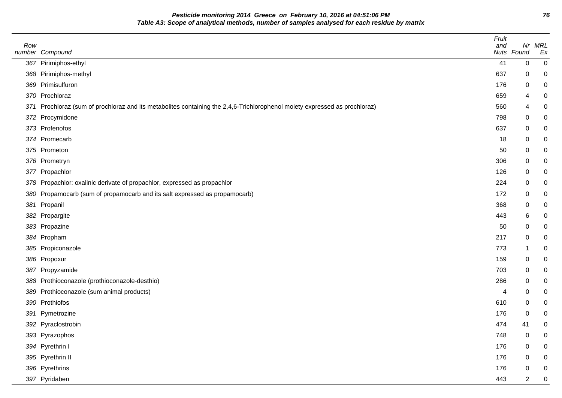**Pesticide monitoring 2014 Greece on February 10, 2016 at 04:51:06 PM 76 Table A3: Scope of analytical methods, number of samples analysed for each residue by matrix**

| Row |                                                                                                                            | Fruit<br>and |                | Nr MRL |
|-----|----------------------------------------------------------------------------------------------------------------------------|--------------|----------------|--------|
|     | number Compound                                                                                                            |              | Nuts Found     | Ex     |
|     | 367 Pirimiphos-ethyl                                                                                                       | 41           | 0              | 0      |
|     | 368 Pirimiphos-methyl                                                                                                      | 637          | 0              |        |
|     | 369 Primisulfuron                                                                                                          | 176          | 0              | 0      |
|     | 370 Prochloraz                                                                                                             | 659          | 4              | 0      |
|     | 371 Prochloraz (sum of prochloraz and its metabolites containing the 2,4,6-Trichlorophenol moiety expressed as prochloraz) | 560          | 4              |        |
|     | 372 Procymidone                                                                                                            | 798          | 0              |        |
|     | 373 Profenofos                                                                                                             | 637          | 0              |        |
|     | 374 Promecarb                                                                                                              | 18           | 0              |        |
|     | 375 Prometon                                                                                                               | 50           | 0              |        |
|     | 376 Prometryn                                                                                                              | 306          | 0              |        |
|     | 377 Propachlor                                                                                                             | 126          | 0              |        |
|     | 378 Propachlor: oxalinic derivate of propachlor, expressed as propachlor                                                   | 224          | 0              |        |
|     | 380 Propamocarb (sum of propamocarb and its salt expressed as propamocarb)                                                 | 172          | 0              |        |
|     | 381 Propanil                                                                                                               | 368          | 0              |        |
|     | 382 Propargite                                                                                                             | 443          | 6              |        |
|     | 383 Propazine                                                                                                              | 50           | 0              |        |
|     | 384 Propham                                                                                                                | 217          | 0              |        |
|     | 385 Propiconazole                                                                                                          | 773          | 1              | 0      |
|     | 386 Propoxur                                                                                                               | 159          | 0              |        |
|     | 387 Propyzamide                                                                                                            | 703          | 0              | 0      |
|     | 388 Prothioconazole (prothioconazole-desthio)                                                                              | 286          | 0              |        |
|     | 389 Prothioconazole (sum animal products)                                                                                  | 4            | 0              |        |
|     | 390 Prothiofos                                                                                                             | 610          | 0              |        |
|     | 391 Pymetrozine                                                                                                            | 176          | 0              |        |
|     | 392 Pyraclostrobin                                                                                                         | 474          | 41             |        |
|     | 393 Pyrazophos                                                                                                             | 748          | 0              | 0      |
|     | 394 Pyrethrin I                                                                                                            | 176          | 0              |        |
|     | 395 Pyrethrin II                                                                                                           | 176          | $\pmb{0}$      |        |
|     | 396 Pyrethrins                                                                                                             | 176          | 0              |        |
|     | 397 Pyridaben                                                                                                              | 443          | $\overline{a}$ | 0      |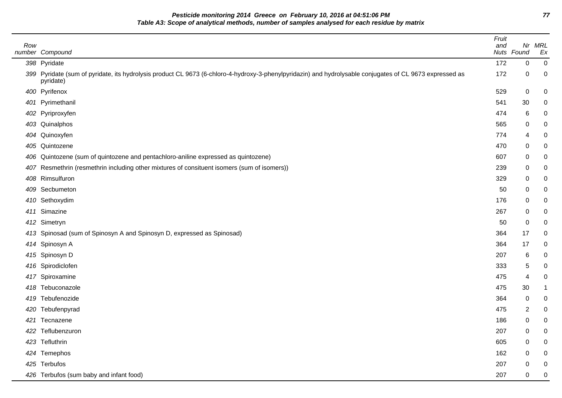**Pesticide monitoring 2014 Greece on February 10, 2016 at 04:51:06 PM 77 Table A3: Scope of analytical methods, number of samples analysed for each residue by matrix**

| Row | number Compound                                                                                                                                                       | Fruit<br>and | Nuts Found | Nr MRL<br>Ex |
|-----|-----------------------------------------------------------------------------------------------------------------------------------------------------------------------|--------------|------------|--------------|
|     | 398 Pyridate                                                                                                                                                          | 172          | 0          | 0            |
|     | 399 Pyridate (sum of pyridate, its hydrolysis product CL 9673 (6-chloro-4-hydroxy-3-phenylpyridazin) and hydrolysable conjugates of CL 9673 expressed as<br>pyridate) | 172          | 0          | 0            |
|     | 400 Pyrifenox                                                                                                                                                         | 529          | 0          | 0            |
|     | 401 Pyrimethanil                                                                                                                                                      | 541          | 30         | 0            |
|     | 402 Pyriproxyfen                                                                                                                                                      | 474          | 6          | 0            |
|     | 403 Quinalphos                                                                                                                                                        | 565          | 0          | 0            |
|     | 404 Quinoxyfen                                                                                                                                                        | 774          | 4          | 0            |
|     | 405 Quintozene                                                                                                                                                        | 470          | 0          | 0            |
|     | 406 Quintozene (sum of quintozene and pentachloro-aniline expressed as quintozene)                                                                                    | 607          | 0          | 0            |
| 407 | Resmethrin (resmethrin including other mixtures of consituent isomers (sum of isomers))                                                                               | 239          | 0          | 0            |
|     | 408 Rimsulfuron                                                                                                                                                       | 329          | 0          | 0            |
|     | 409 Secbumeton                                                                                                                                                        | 50           | 0          | 0            |
|     | 410 Sethoxydim                                                                                                                                                        | 176          | 0          | 0            |
|     | 411 Simazine                                                                                                                                                          | 267          | 0          | 0            |
|     | 412 Simetryn                                                                                                                                                          | 50           | 0          | 0            |
|     | 413 Spinosad (sum of Spinosyn A and Spinosyn D, expressed as Spinosad)                                                                                                | 364          | 17         | 0            |
|     | 414 Spinosyn A                                                                                                                                                        | 364          | 17         | 0            |
|     | 415 Spinosyn D                                                                                                                                                        | 207          | 6          | 0            |
|     | 416 Spirodiclofen                                                                                                                                                     | 333          | 5          | 0            |
|     | 417 Spiroxamine                                                                                                                                                       | 475          | 4          | 0            |
|     | 418 Tebuconazole                                                                                                                                                      | 475          | 30         | 1            |
|     | 419 Tebufenozide                                                                                                                                                      | 364          | 0          | 0            |
|     | 420 Tebufenpyrad                                                                                                                                                      | 475          | 2          | 0            |
|     | 421 Tecnazene                                                                                                                                                         | 186          | 0          | 0            |
|     | 422 Teflubenzuron                                                                                                                                                     | 207          | 0          | 0            |
|     | 423 Tefluthrin                                                                                                                                                        | 605          | 0          | 0            |
|     | 424 Temephos                                                                                                                                                          | 162          | 0          | 0            |
|     | 425 Terbufos                                                                                                                                                          | 207          | 0          | 0            |
|     | 426 Terbufos (sum baby and infant food)                                                                                                                               | 207          | 0          | 0            |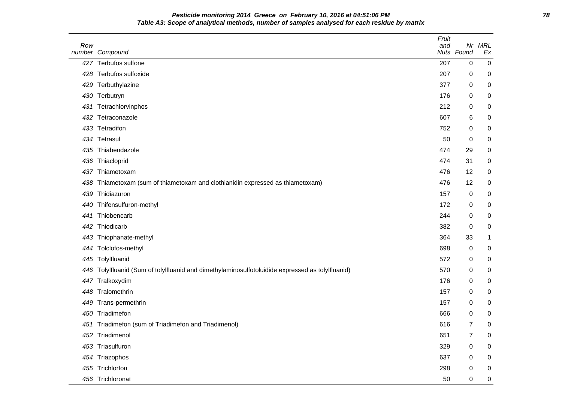**Pesticide monitoring 2014 Greece on February 10, 2016 at 04:51:06 PM 78 Table A3: Scope of analytical methods, number of samples analysed for each residue by matrix**

| Row | number Compound                                                                              | Fruit<br>and | Nuts Found     | Nr MRL<br>Ex   |
|-----|----------------------------------------------------------------------------------------------|--------------|----------------|----------------|
|     | 427 Terbufos sulfone                                                                         | 207          | 0              | $\overline{0}$ |
| 428 | Terbufos sulfoxide                                                                           | 207          | 0              | 0              |
| 429 | Terbuthylazine                                                                               | 377          | 0              | 0              |
| 430 | Terbutryn                                                                                    | 176          | 0              | 0              |
| 431 | Tetrachlorvinphos                                                                            | 212          | 0              | 0              |
|     | 432 Tetraconazole                                                                            | 607          | 6              | 0              |
| 433 | Tetradifon                                                                                   | 752          | 0              | 0              |
|     | 434 Tetrasul                                                                                 | 50           | $\pmb{0}$      | 0              |
| 435 | Thiabendazole                                                                                | 474          | 29             | 0              |
| 436 | Thiacloprid                                                                                  | 474          | 31             | 0              |
| 437 | Thiametoxam                                                                                  | 476          | 12             | 0              |
| 438 | Thiametoxam (sum of thiametoxam and clothianidin expressed as thiametoxam)                   | 476          | 12             | 0              |
| 439 | Thidiazuron                                                                                  | 157          | 0              | 0              |
| 440 | Thifensulfuron-methyl                                                                        | 172          | 0              | 0              |
| 441 | Thiobencarb                                                                                  | 244          | 0              | 0              |
| 442 | Thiodicarb                                                                                   | 382          | $\pmb{0}$      | 0              |
| 443 | Thiophanate-methyl                                                                           | 364          | 33             | 1              |
| 444 | Tolclofos-methyl                                                                             | 698          | 0              | 0              |
|     | 445 Tolylfluanid                                                                             | 572          | 0              | 0              |
| 446 | Tolylfluanid (Sum of tolylfluanid and dimethylaminosulfotoluidide expressed as tolylfluanid) | 570          | 0              | 0              |
|     | 447 Tralkoxydim                                                                              | 176          | 0              | 0              |
| 448 | Tralomethrin                                                                                 | 157          | 0              | 0              |
| 449 | Trans-permethrin                                                                             | 157          | 0              | 0              |
| 450 | Triadimefon                                                                                  | 666          | $\pmb{0}$      | 0              |
|     | 451 Triadimefon (sum of Triadimefon and Triadimenol)                                         | 616          | $\overline{7}$ | 0              |
| 452 | Triadimenol                                                                                  | 651          | 7              | 0              |
|     | 453 Triasulfuron                                                                             | 329          | 0              | 0              |
|     | 454 Triazophos                                                                               | 637          | 0              | 0              |
|     | 455 Trichlorfon                                                                              | 298          | 0              | 0              |
|     | 456 Trichloronat                                                                             | 50           | 0              | 0              |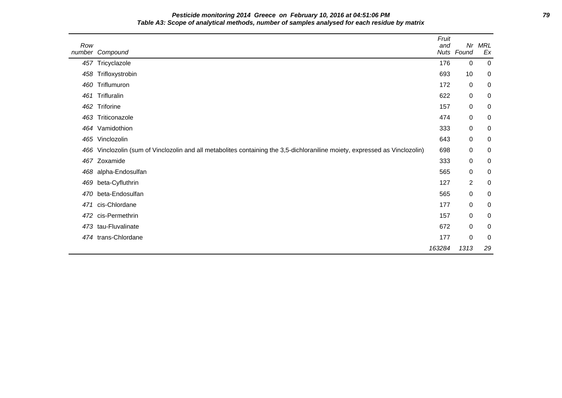**Pesticide monitoring 2014 Greece on February 10, 2016 at 04:51:06 PM 79 Table A3: Scope of analytical methods, number of samples analysed for each residue by matrix**

| Row | number Compound                                                                                                         | Fruit<br>and | Nr<br>Nuts Found | MRL<br>Ex |
|-----|-------------------------------------------------------------------------------------------------------------------------|--------------|------------------|-----------|
|     | 457 Tricyclazole                                                                                                        | 176          | 0                | 0         |
| 458 | Trifloxystrobin                                                                                                         | 693          | 10               | 0         |
| 460 | Triflumuron                                                                                                             | 172          | 0                | 0         |
| 461 | Trifluralin                                                                                                             | 622          | $\mathbf 0$      | 0         |
| 462 | Triforine                                                                                                               | 157          | $\mathbf 0$      | 0         |
| 463 | Triticonazole                                                                                                           | 474          | 0                | 0         |
| 464 | Vamidothion                                                                                                             | 333          | 0                | 0         |
| 465 | Vinclozolin                                                                                                             | 643          | 0                | 0         |
| 466 | Vinclozolin (sum of Vinclozolin and all metabolites containing the 3,5-dichloraniline moiety, expressed as Vinclozolin) | 698          | 0                | 0         |
| 467 | Zoxamide                                                                                                                | 333          | 0                | 0         |
| 468 | alpha-Endosulfan                                                                                                        | 565          | $\mathbf 0$      | 0         |
| 469 | beta-Cyfluthrin                                                                                                         | 127          | $\overline{2}$   | 0         |
| 470 | beta-Endosulfan                                                                                                         | 565          | $\boldsymbol{0}$ | 0         |
| 471 | cis-Chlordane                                                                                                           | 177          | $\mathbf 0$      | 0         |
| 472 | cis-Permethrin                                                                                                          | 157          | $\mathbf 0$      | 0         |
|     | 473 tau-Fluvalinate                                                                                                     | 672          | 0                | 0         |
|     | 474 trans-Chlordane                                                                                                     | 177          | $\mathbf 0$      | 0         |
|     |                                                                                                                         | 163284       | 1313             | 29        |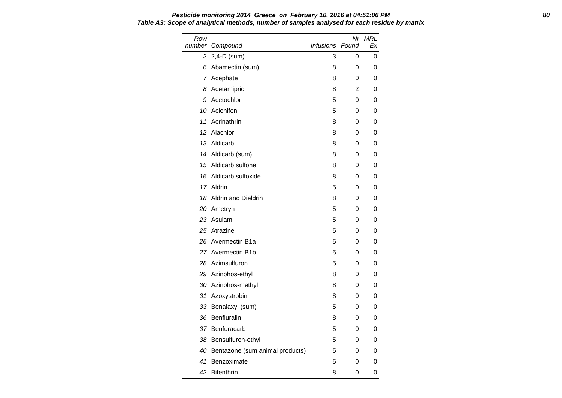Row number Compound Nr MRL Infusions Found Ex 2 2,4-D (sum) 3 0 0 6 Abamectin (sum) 8 0 0 7 Acephate 8 0 0 0 8 Acetamiprid 8 2 0 9 Acetochlor 5 0 0 10 Aclonifen 5 0 0 11 Acrinathrin 8 0 0 12 Alachlor 8 0 0 13 Aldicarb 8 0 0 14 Aldicarb (sum) 8 0 0 15 Aldicarb sulfone 8 0 0 0 16 Aldicarb sulfoxide 8 0 0 0 17 Aldrin 5 0 0 18 Aldrin and Dieldrin 18 0 0 0 20 Ametryn 5 0 0 23 Asulam 5 0 0 25 Atrazine 5 0 0 26 Avermectin B1a 5 0 0 27 Avermectin B1b 5 0 0 28 Azimsulfuron 5 0 0 29 Azinphos-ethyl 8 0 0 30 Azinphos-methyl 8 0 0 31 Azoxystrobin 8 0 0 33 Benalaxyl (sum) 5 0 0 36 Benfluralin 8 0 0 37 Benfuracarb 5 0 0 38 Bensulfuron-ethyl 5 0 0

40 Bentazone (sum animal products) 5 0 0 41 Benzoximate 5 0 0 42 Bifenthrin 8 0 0

# **Pesticide monitoring 2014 Greece on February 10, 2016 at 04:51:06 PM 80 Table A3: Scope of analytical methods, number of samples analysed for each residue by matrix**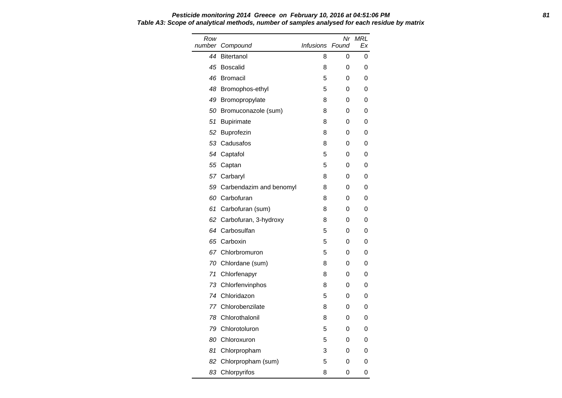# **Pesticide monitoring 2014 Greece on February 10, 2016 at 04:51:06 PM 81 Table A3: Scope of analytical methods, number of samples analysed for each residue by matrix**

| Row<br>number | Compound                   | Infusions Found | Nr | <b>MRL</b><br>Ex |
|---------------|----------------------------|-----------------|----|------------------|
| 44            | <b>Bitertanol</b>          | 8               | 0  | 0                |
| 45            | <b>Boscalid</b>            | 8               | 0  | 0                |
| 46            | <b>Bromacil</b>            | 5               | 0  | 0                |
| 48            | Bromophos-ethyl            | 5               | 0  | 0                |
| 49            | Bromopropylate             | 8               | 0  | 0                |
| 50            | Bromuconazole (sum)        | 8               | 0  | 0                |
| 51            | <b>Bupirimate</b>          | 8               | 0  | 0                |
| 52            | Buprofezin                 | 8               | 0  | 0                |
| 53            | Cadusafos                  | 8               | 0  | 0                |
| 54            | Captafol                   | 5               | 0  | 0                |
|               | 55 Captan                  | 5               | 0  | 0                |
|               | 57 Carbaryl                | 8               | 0  | 0                |
|               | 59 Carbendazim and benomyl | 8               | 0  | 0                |
|               | 60 Carbofuran              | 8               | 0  | 0                |
| 61            | Carbofuran (sum)           | 8               | 0  | 0                |
| 62            | Carbofuran, 3-hydroxy      | 8               | 0  | 0                |
|               | 64 Carbosulfan             | 5               | 0  | 0                |
| 65            | Carboxin                   | 5               | 0  | 0                |
|               | 67 Chlorbromuron           | 5               | 0  | 0                |
|               | 70 Chlordane (sum)         | 8               | 0  | 0                |
| 71            | Chlorfenapyr               | 8               | 0  | 0                |
| 73            | Chlorfenvinphos            | 8               | 0  | 0                |
|               | 74 Chloridazon             | 5               | 0  | 0                |
| 77            | Chlorobenzilate            | 8               | 0  | 0                |
| 78            | Chlorothalonil             | 8               | 0  | 0                |
|               | 79 Chlorotoluron           | 5               | 0  | 0                |
| 80            | Chloroxuron                | 5               | 0  | 0                |
| 81            | Chlorpropham               | 3               | 0  | 0                |
| 82            | Chlorpropham (sum)         | 5               | 0  | 0                |
|               | 83 Chlorpyrifos            | 8               | 0  | 0                |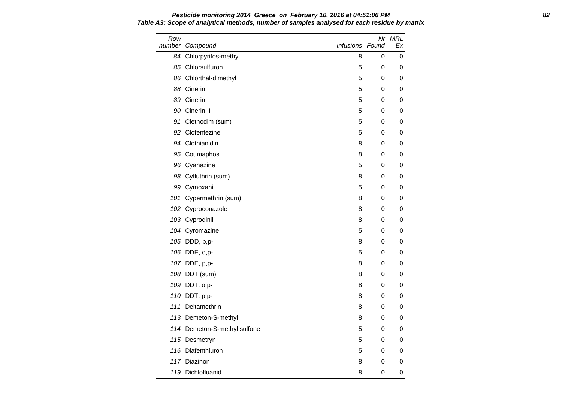Row number Compound Nr MRL Infusions Found Ex 84 Chlorpyrifos-methyl 8 0 0 0 85 Chlorsulfuron 5 0 0 86 Chlorthal-dimethyl 66 Chlorthal-dimethyl 88 Cinerin 5 0 0 89 Cinerin I 5 0 0 90 Cinerin II 5 0 0 91 Clethodim (sum) 5 0 0 92 Clofentezine 5 0 0 94 Clothianidin 8 0 0 0 95 Coumaphos 8 0 0 0 96 Cyanazine 5 0 0 98 Cyfluthrin (sum) 8 0 0 99 Cymoxanil **5** 0 0 0 101 Cypermethrin (sum) 8 0 0 102 Cyproconazole 8 0 0 103 Cyprodinil 8 0 0 104 Cyromazine **104 Cyromazine** 6 0 0 105 DDD, p,p- 8 0 0 106 DDE, o,p- 5 0 0 107 DDE, p,p- 8 0 0 108 DDT (sum) 8 0 0 109 DDT, o,p- 8 0 0 110 DDT, p,p- 8 0 0 111 Deltamethrin 8 0 0 113 Demeton-S-methyl and the state of the state of the state of the state of the state of the state of the state of the state of the state of the state of the state of the state of the state of the state of the state of th 114 Demeton-S-methyl sulfone 5 0 0 0 115 Desmetryn 115 October 115 Desmetryn 116 Diafenthiuron 116 Diafenthiuron 116 Diafenthiuron 116 Diagnosis Communist Communist Communist Communist Communist Communist Communist Communist Communist Communist Communist Communist Communist Communist Communist Comm 117 Diazinon 8 0 0

119 Dichlofluanid **8** 0 0

# **Pesticide monitoring 2014 Greece on February 10, 2016 at 04:51:06 PM 82 Table A3: Scope of analytical methods, number of samples analysed for each residue by matrix**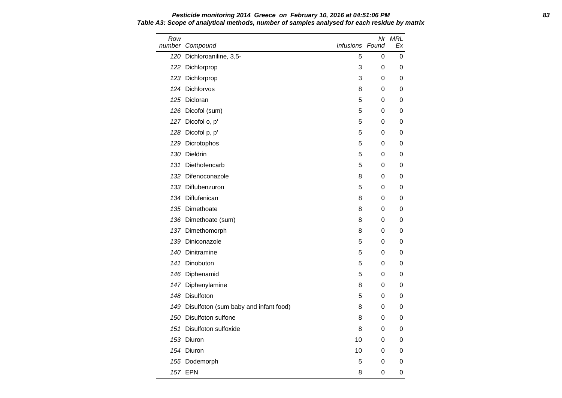Row number Compound Nr MRL Infusions Found Ex 120 Dichloroaniline, 3,5-<br>
5 0 0 122 Dichlorprop 3 0 0 123 Dichlorprop 3 0 0 124 Dichlorvos **8 0 0** 0 125 Dicloran 5 0 0 126 Dicofol (sum) 5 0 0 127 Dicofol o, p' 5 0 0 128 Dicofol p, p' 5 0 0 129 Dicrotophos 5 0 0 130 Dieldrin 5 0 0 131 Diethofencarb 5 0 0 132 Difenoconazole **8 0 0** 133 Diflubenzuron 5 0 0 134 Diflufenican and the state of the state of the state of the state of the state of the state of the state o 135 Dimethoate 8 0 0 136 Dimethoate (sum) 8 0 0 137 Dimethomorph 8 0 0 139 Diniconazole **139 Diniconazole** 6 0 0 0 140 Dinitramine **140 Dinitramine 140** Dinitramine **140** O 141 Dinobuton 5 0 0 146 Diphenamid 5 0 0 147 Diphenylamine 8 0 0 148 Disulfoton 5 0 0 149 Disulfoton (sum baby and infant food) 8 0 0 0 150 Disulfoton sulfone 8 0 0 0 151 Disulfoton sulfoxide 1990 Control of the US of the US of the US of the US of the US of the US of the US of the US of the US of the US of the US of the US of the US of the US of the US of the US of the US of the US of t 153 Diuron 10 0 0 154 Diuron 10 0 0

155 Dodemorph 5 0 0 157 EPN 8 0 0

**Pesticide monitoring 2014 Greece on February 10, 2016 at 04:51:06 PM 83 Table A3: Scope of analytical methods, number of samples analysed for each residue by matrix**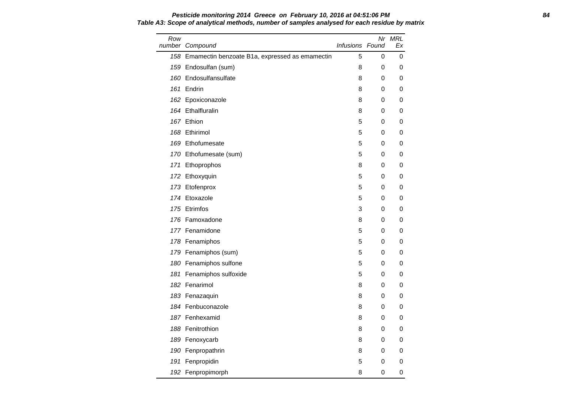### **Pesticide monitoring 2014 Greece on February 10, 2016 at 04:51:06 PM 84 Table A3: Scope of analytical methods, number of samples analysed for each residue by matrix**

| Row<br>number | Compound                                           | <b>Infusions Found</b> |   | Nr MRL<br>Еx |
|---------------|----------------------------------------------------|------------------------|---|--------------|
|               | 158 Emamectin benzoate B1a, expressed as emamectin | 5                      | 0 | 0            |
|               | 159 Endosulfan (sum)                               | 8                      | 0 | 0            |
|               | 160 Endosulfansulfate                              | 8                      | 0 | 0            |
|               | 161 Endrin                                         | 8                      | 0 | 0            |
|               | 162 Epoxiconazole                                  | 8                      | 0 | 0            |
|               | 164 Ethalfluralin                                  | 8                      | 0 | 0            |
|               | 167 Ethion                                         | 5                      | 0 | 0            |
|               | 168 Ethirimol                                      | 5                      | 0 | 0            |
|               | 169 Ethofumesate                                   | 5                      | 0 | 0            |
|               | 170 Ethofumesate (sum)                             | 5                      | 0 | 0            |
|               | 171 Ethoprophos                                    | 8                      | 0 | 0            |
|               | 172 Ethoxyquin                                     | 5                      | 0 | 0            |
|               | 173 Etofenprox                                     | 5                      | 0 | 0            |
|               | 174 Etoxazole                                      | 5                      | 0 | 0            |
|               | 175 Etrimfos                                       | 3                      | 0 | 0            |
|               | 176 Famoxadone                                     | 8                      | 0 | 0            |
|               | 177 Fenamidone                                     | 5                      | 0 | 0            |
|               | 178 Fenamiphos                                     | 5                      | 0 | 0            |
|               | 179 Fenamiphos (sum)                               | 5                      | 0 | 0            |
|               | 180 Fenamiphos sulfone                             | 5                      | 0 | 0            |
|               | 181 Fenamiphos sulfoxide                           | 5                      | 0 | 0            |
|               | 182 Fenarimol                                      | 8                      | 0 | 0            |
|               | 183 Fenazaguin                                     | 8                      | 0 | 0            |
|               | 184 Fenbuconazole                                  | 8                      | 0 | 0            |
|               | 187 Fenhexamid                                     | 8                      | 0 | 0            |
|               | 188 Fenitrothion                                   | 8                      | 0 | 0            |
|               | 189 Fenoxycarb                                     | 8                      | 0 | 0            |
|               | 190 Fenpropathrin                                  | 8                      | 0 | 0            |
|               | 191 Fenpropidin                                    | 5                      | 0 | 0            |
|               | 192 Fenpropimorph                                  | 8                      | 0 | 0            |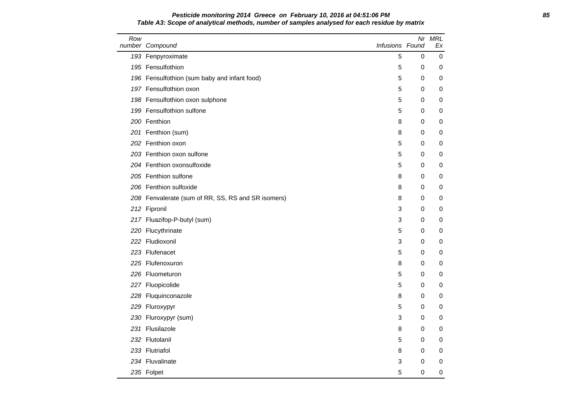## **Pesticide monitoring 2014 Greece on February 10, 2016 at 04:51:06 PM 85 Table A3: Scope of analytical methods, number of samples analysed for each residue by matrix**

| Row | number Compound                                    | Infusions Found |             | Nr MRL<br>Ex |
|-----|----------------------------------------------------|-----------------|-------------|--------------|
|     | 193 Fenpyroximate                                  | 5               | 0           | 0            |
|     | 195 Fensulfothion                                  | 5               | 0           | 0            |
|     | 196 Fensulfothion (sum baby and infant food)       | 5               | 0           | 0            |
|     | 197 Fensulfothion oxon                             | 5               | 0           | 0            |
|     | 198 Fensulfothion oxon sulphone                    | 5               | $\mathbf 0$ | 0            |
|     | 199 Fensulfothion sulfone                          | 5               | 0           | 0            |
|     | 200 Fenthion                                       | 8               | 0           | 0            |
|     | 201 Fenthion (sum)                                 | 8               | 0           | 0            |
|     | 202 Fenthion oxon                                  | 5               | 0           | 0            |
|     | 203 Fenthion oxon sulfone                          | 5               | 0           | 0            |
|     | 204 Fenthion oxonsulfoxide                         | 5               | 0           | 0            |
|     | 205 Fenthion sulfone                               | 8               | $\mathbf 0$ | 0            |
|     | 206 Fenthion sulfoxide                             | 8               | 0           | 0            |
|     | 208 Fenvalerate (sum of RR, SS, RS and SR isomers) | 8               | 0           | 0            |
|     | 212 Fipronil                                       | 3               | 0           | 0            |
|     | 217 Fluazifop-P-butyl (sum)                        | 3               | 0           | 0            |
|     | 220 Flucythrinate                                  | 5               | 0           | 0            |
|     | 222 Fludioxonil                                    | 3               | 0           | 0            |
|     | 223 Flufenacet                                     | 5               | 0           | 0            |
|     | 225 Flufenoxuron                                   | 8               | 0           | 0            |
|     | 226 Fluometuron                                    | 5               | 0           | 0            |
|     | 227 Fluopicolide                                   | 5               | 0           | 0            |
|     | 228 Fluquinconazole                                | 8               | 0           | 0            |
|     | 229 Fluroxypyr                                     | 5               | 0           | 0            |
|     | 230 Fluroxypyr (sum)                               | 3               | 0           | 0            |
|     | 231 Flusilazole                                    | 8               | 0           | 0            |
|     | 232 Flutolanil                                     | 5               | 0           | 0            |
|     | 233 Flutriafol                                     | 8               | 0           | 0            |
|     | 234 Fluvalinate                                    | 3               | 0           | 0            |
|     | 235 Folpet                                         | 5               | 0           | 0            |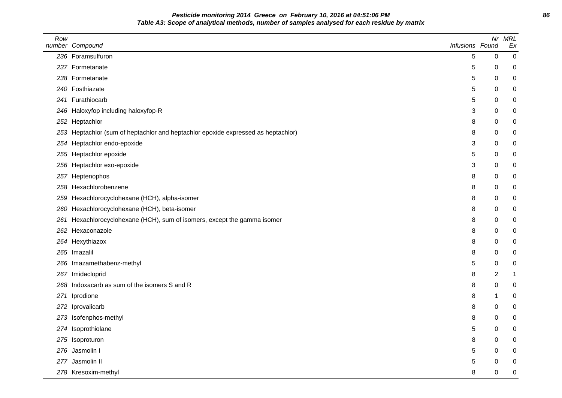**Pesticide monitoring 2014 Greece on February 10, 2016 at 04:51:06 PM 86 Table A3: Scope of analytical methods, number of samples analysed for each residue by matrix**

| Row | number Compound                                                                   | Infusions Found | Nr             | <b>MRL</b><br>Ex |
|-----|-----------------------------------------------------------------------------------|-----------------|----------------|------------------|
|     | 236 Foramsulfuron                                                                 | 5               | 0              | $\boldsymbol{0}$ |
|     | 237 Formetanate                                                                   | 5               | 0              | 0                |
|     | 238 Formetanate                                                                   | 5               | 0              | 0                |
|     | 240 Fosthiazate                                                                   | 5               | 0              | 0                |
|     | 241 Furathiocarb                                                                  | 5               | 0              | 0                |
|     | 246 Haloxyfop including haloxyfop-R                                               | 3               | 0              | 0                |
|     | 252 Heptachlor                                                                    | 8               | 0              | 0                |
|     | 253 Heptachlor (sum of heptachlor and heptachlor epoxide expressed as heptachlor) | 8               | 0              | 0                |
|     | 254 Heptachlor endo-epoxide                                                       | 3               | 0              | 0                |
|     | 255 Heptachlor epoxide                                                            | 5               | 0              | 0                |
|     | 256 Heptachlor exo-epoxide                                                        | 3               | 0              | 0                |
|     | 257 Heptenophos                                                                   | 8               | 0              | 0                |
|     | 258 Hexachlorobenzene                                                             | 8               | 0              | 0                |
|     | 259 Hexachlorocyclohexane (HCH), alpha-isomer                                     | 8               | 0              | 0                |
|     | 260 Hexachlorocyclohexane (HCH), beta-isomer                                      | 8               | 0              | 0                |
| 261 | Hexachlorocyclohexane (HCH), sum of isomers, except the gamma isomer              | 8               | 0              | 0                |
|     | 262 Hexaconazole                                                                  | 8               | 0              | 0                |
|     | 264 Hexythiazox                                                                   | 8               | 0              | 0                |
|     | 265 Imazalil                                                                      | 8               | 0              | 0                |
|     | 266 Imazamethabenz-methyl                                                         | 5               | 0              | 0                |
|     | 267 Imidacloprid                                                                  | 8               | $\overline{2}$ | 1                |
|     | 268 Indoxacarb as sum of the isomers S and R                                      | 8               | 0              | 0                |
| 271 | Iprodione                                                                         | 8               | -1             | 0                |
|     | 272 Iprovalicarb                                                                  | 8               | 0              | 0                |
|     | 273 Isofenphos-methyl                                                             | 8               | 0              | 0                |
|     | 274 Isoprothiolane                                                                | 5               | 0              | 0                |
|     | 275 Isoproturon                                                                   | 8               | 0              | 0                |
|     | 276 Jasmolin I                                                                    | 5               | 0              | 0                |
|     | 277 Jasmolin II                                                                   | 5               | 0              | 0                |
|     | 278 Kresoxim-methyl                                                               | 8               | 0              | 0                |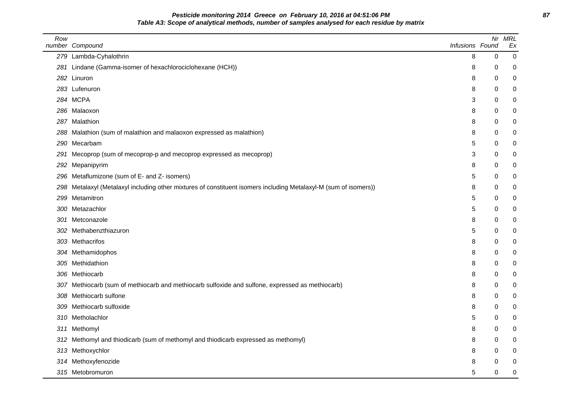## **Pesticide monitoring 2014 Greece on February 10, 2016 at 04:51:06 PM 87 Table A3: Scope of analytical methods, number of samples analysed for each residue by matrix**

| Row | number Compound                                                                                                  | Infusions Found | Nr       | <b>MRL</b><br>Ex |
|-----|------------------------------------------------------------------------------------------------------------------|-----------------|----------|------------------|
|     | 279 Lambda-Cyhalothrin                                                                                           | 8               | 0        | 0                |
|     | 281 Lindane (Gamma-isomer of hexachlorociclohexane (HCH))                                                        | 8               | 0        | 0                |
|     | 282 Linuron                                                                                                      | 8               | 0        | 0                |
|     | 283 Lufenuron                                                                                                    | 8               | 0        | 0                |
|     | 284 MCPA                                                                                                         | 3               | 0        | 0                |
|     | 286 Malaoxon                                                                                                     | 8               | 0        | 0                |
|     | 287 Malathion                                                                                                    | 8               | 0        | 0                |
|     | 288 Malathion (sum of malathion and malaoxon expressed as malathion)                                             | 8               | 0        | 0                |
|     | 290 Mecarbam                                                                                                     | 5               | 0        | 0                |
| 291 | Mecoprop (sum of mecoprop-p and mecoprop expressed as mecoprop)                                                  | 3               | 0        | 0                |
| 292 | Mepanipyrim                                                                                                      | 8               | 0        | 0                |
|     | 296 Metaflumizone (sum of E- and Z- isomers)                                                                     | 5               | 0        | 0                |
|     | 298 Metalaxyl (Metalaxyl including other mixtures of constituent isomers including Metalaxyl-M (sum of isomers)) | 8               | 0        | 0                |
|     | 299 Metamitron                                                                                                   | 5               | 0        | 0                |
|     | 300 Metazachlor                                                                                                  | 5               | 0        | 0                |
|     | 301 Metconazole                                                                                                  | 8               | 0        | 0                |
|     | 302 Methabenzthiazuron                                                                                           | 5               | 0        | 0                |
|     | 303 Methacrifos                                                                                                  | 8               | 0        | 0                |
|     | 304 Methamidophos                                                                                                | 8               | 0        | 0                |
|     | 305 Methidathion                                                                                                 | 8               | 0        | 0                |
|     | 306 Methiocarb                                                                                                   | 8               | $\Omega$ | 0                |
|     | 307 Methiocarb (sum of methiocarb and methiocarb sulfoxide and sulfone, expressed as methiocarb)                 | 8               | 0        | 0                |
|     | 308 Methiocarb sulfone                                                                                           | 8               | 0        | 0                |
|     | 309 Methiocarb sulfoxide                                                                                         | 8               | 0        | 0                |
|     | 310 Metholachlor                                                                                                 | 5               | 0        | 0                |
|     | 311 Methomyl                                                                                                     | 8               | $\Omega$ | 0                |
| 312 | Methomyl and thiodicarb (sum of methomyl and thiodicarb expressed as methomyl)                                   | 8               | 0        | 0                |
|     | 313 Methoxychlor                                                                                                 | 8               | 0        | 0                |
|     | 314 Methoxyfenozide                                                                                              | 8               | 0        | 0                |
|     | 315 Metobromuron                                                                                                 | 5               | 0        | 0                |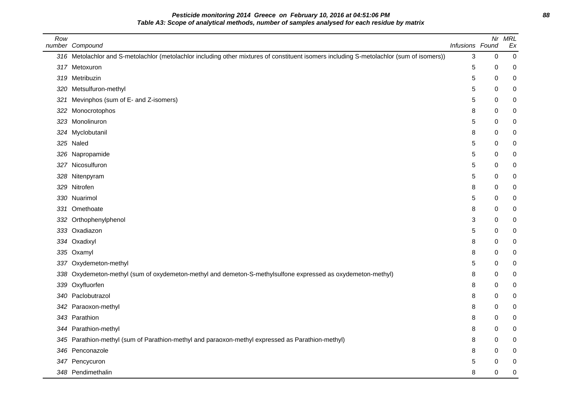**Pesticide monitoring 2014 Greece on February 10, 2016 at 04:51:06 PM 88 Table A3: Scope of analytical methods, number of samples analysed for each residue by matrix**

| Row | number Compound                                                                                                                          | Infusions Found | Nr               | <b>MRL</b><br>Ex |
|-----|------------------------------------------------------------------------------------------------------------------------------------------|-----------------|------------------|------------------|
|     | 316 Metolachlor and S-metolachlor (metolachlor including other mixtures of constituent isomers including S-metolachlor (sum of isomers)) | 3               | $\boldsymbol{0}$ | 0                |
| 317 | Metoxuron                                                                                                                                | 5               | 0                | 0                |
| 319 | Metribuzin                                                                                                                               | 5               | 0                | 0                |
| 320 | Metsulfuron-methyl                                                                                                                       | 5               | 0                | 0                |
| 321 | Mevinphos (sum of E- and Z-isomers)                                                                                                      | 5               | 0                | 0                |
| 322 | Monocrotophos                                                                                                                            | 8               | 0                | 0                |
| 323 | Monolinuron                                                                                                                              | 5               | 0                | 0                |
| 324 | Myclobutanil                                                                                                                             | 8               | 0                | 0                |
|     | 325 Naled                                                                                                                                | 5               | 0                | 0                |
|     | 326 Napropamide                                                                                                                          | 5               | 0                | 0                |
| 327 | Nicosulfuron                                                                                                                             | 5               | 0                | 0                |
| 328 | Nitenpyram                                                                                                                               | 5               | 0                | 0                |
| 329 | Nitrofen                                                                                                                                 | 8               | 0                | 0                |
| 330 | Nuarimol                                                                                                                                 | 5               | 0                | 0                |
| 331 | Omethoate                                                                                                                                | 8               | $\Omega$         | 0                |
| 332 | Orthophenylphenol                                                                                                                        | 3               | 0                | 0                |
|     | 333 Oxadiazon                                                                                                                            | 5               | $\Omega$         | 0                |
| 334 | Oxadixyl                                                                                                                                 | 8               | 0                | 0                |
| 335 | Oxamyl                                                                                                                                   | 8               | 0                | 0                |
| 337 | Oxydemeton-methyl                                                                                                                        | 5               | $\Omega$         | 0                |
| 338 | Oxydemeton-methyl (sum of oxydemeton-methyl and demeton-S-methylsulfone expressed as oxydemeton-methyl)                                  | 8               | 0                | 0                |
| 339 | Oxyfluorfen                                                                                                                              | 8               | 0                | 0                |
| 340 | Paclobutrazol                                                                                                                            | 8               | 0                | 0                |
| 342 | Paraoxon-methyl                                                                                                                          | 8               | 0                | 0                |
|     | 343 Parathion                                                                                                                            | 8               | 0                | 0                |
|     | 344 Parathion-methyl                                                                                                                     | 8               | 0                | 0                |
| 345 | Parathion-methyl (sum of Parathion-methyl and paraoxon-methyl expressed as Parathion-methyl)                                             | 8               | 0                | 0                |
| 346 | Penconazole                                                                                                                              | 8               | 0                | 0                |
|     | 347 Pencycuron                                                                                                                           | 5               | 0                | 0                |
|     | 348 Pendimethalin                                                                                                                        | 8               | 0                | 0                |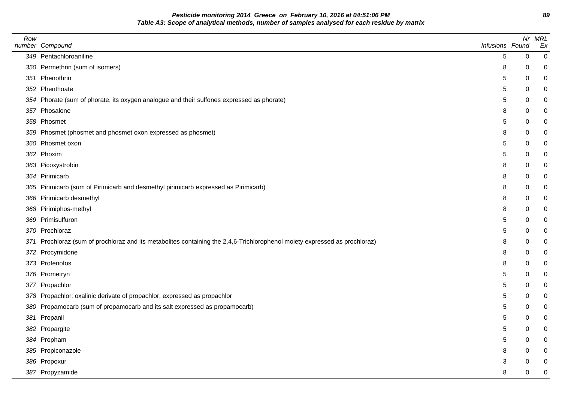**Pesticide monitoring 2014 Greece on February 10, 2016 at 04:51:06 PM 89 Table A3: Scope of analytical methods, number of samples analysed for each residue by matrix**

| Row | number Compound                                                                                                            | Infusions Found |           | Nr MRL<br>Ex |
|-----|----------------------------------------------------------------------------------------------------------------------------|-----------------|-----------|--------------|
|     | 349 Pentachloroaniline                                                                                                     | 5               | $\pmb{0}$ | $\pmb{0}$    |
|     | 350 Permethrin (sum of isomers)                                                                                            | 8               | 0         | 0            |
|     | 351 Phenothrin                                                                                                             | 5               | 0         | $\mathbf 0$  |
|     | 352 Phenthoate                                                                                                             | 5               | 0         | $\mathbf 0$  |
|     | 354 Phorate (sum of phorate, its oxygen analogue and their sulfones expressed as phorate)                                  | 5               | $\Omega$  | 0            |
|     | 357 Phosalone                                                                                                              | 8               | $\Omega$  | $\mathbf 0$  |
|     | 358 Phosmet                                                                                                                | 5               | 0         | $\mathbf 0$  |
|     | 359 Phosmet (phosmet and phosmet oxon expressed as phosmet)                                                                | 8               | 0         | 0            |
|     | 360 Phosmet oxon                                                                                                           | 5               | $\Omega$  | $\pmb{0}$    |
|     | 362 Phoxim                                                                                                                 | 5               | 0         | 0            |
|     | 363 Picoxystrobin                                                                                                          | 8               | 0         | 0            |
|     | 364 Pirimicarb                                                                                                             | 8               | 0         | $\mathbf 0$  |
|     | 365 Pirimicarb (sum of Pirimicarb and desmethyl pirimicarb expressed as Pirimicarb)                                        | 8               | 0         | $\mathbf 0$  |
|     | 366 Pirimicarb desmethyl                                                                                                   | 8               | 0         | $\mathbf 0$  |
|     | 368 Pirimiphos-methyl                                                                                                      | 8               | 0         | $\pmb{0}$    |
|     | 369 Primisulfuron                                                                                                          | 5               | 0         | 0            |
|     | 370 Prochloraz                                                                                                             | 5               | 0         | $\mathbf 0$  |
|     | 371 Prochloraz (sum of prochloraz and its metabolites containing the 2,4,6-Trichlorophenol moiety expressed as prochloraz) | 8               | 0         | 0            |
|     | 372 Procymidone                                                                                                            | 8               | 0         | $\mathbf 0$  |
|     | 373 Profenofos                                                                                                             | 8               | 0         | $\pmb{0}$    |
|     | 376 Prometryn                                                                                                              | 5               | 0         | 0            |
|     | 377 Propachlor                                                                                                             | 5               | 0         | 0            |
|     | 378 Propachlor: oxalinic derivate of propachlor, expressed as propachlor                                                   | 5               | 0         | 0            |
|     | 380 Propamocarb (sum of propamocarb and its salt expressed as propamocarb)                                                 | 5               | 0         | $\mathbf 0$  |
|     | 381 Propanil                                                                                                               | 5               | 0         | $\pmb{0}$    |
|     | 382 Propargite                                                                                                             | 5               | 0         | 0            |
|     | 384 Propham                                                                                                                | 5               | 0         | $\mathbf 0$  |
|     | 385 Propiconazole                                                                                                          | 8               | 0         | 0            |
|     | 386 Propoxur                                                                                                               | 3               | 0         | 0            |
|     | 387 Propyzamide                                                                                                            | 8               | 0         | $\mathbf 0$  |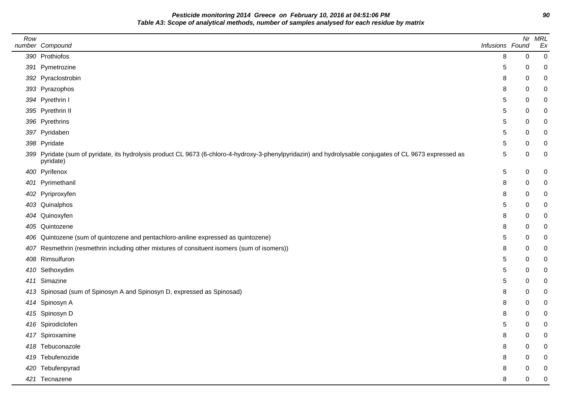**Pesticide monitoring 2014 Greece on February 10, 2016 at 04:51:06 PM 90 Table A3: Scope of analytical methods, number of samples analysed for each residue by matrix**

| Row |                                                                                                                                                                       |                 |   | Nr MRL           |
|-----|-----------------------------------------------------------------------------------------------------------------------------------------------------------------------|-----------------|---|------------------|
|     | number Compound                                                                                                                                                       | Infusions Found |   | Ex               |
|     | 390 Prothiofos                                                                                                                                                        | 8               | 0 | 0                |
|     | 391 Pymetrozine                                                                                                                                                       | 5               | 0 | 0                |
|     | 392 Pyraclostrobin                                                                                                                                                    | 8               | 0 | 0                |
|     | 393 Pyrazophos                                                                                                                                                        | 8               | 0 | 0                |
|     | 394 Pyrethrin I                                                                                                                                                       | 5               | 0 | 0                |
|     | 395 Pyrethrin II                                                                                                                                                      | 5               | 0 | 0                |
|     | 396 Pyrethrins                                                                                                                                                        | 5               | 0 | 0                |
|     | 397 Pyridaben                                                                                                                                                         | 5               | 0 | 0                |
|     | 398 Pyridate                                                                                                                                                          | 5               | 0 | 0                |
|     | 399 Pyridate (sum of pyridate, its hydrolysis product CL 9673 (6-chloro-4-hydroxy-3-phenylpyridazin) and hydrolysable conjugates of CL 9673 expressed as<br>pyridate) | 5               | 0 | 0                |
|     | 400 Pyrifenox                                                                                                                                                         | 5               | 0 | 0                |
|     | 401 Pyrimethanil                                                                                                                                                      | 8               | 0 | 0                |
|     | 402 Pyriproxyfen                                                                                                                                                      | 8               | 0 | 0                |
|     | 403 Quinalphos                                                                                                                                                        | 5               | 0 | 0                |
|     | 404 Quinoxyfen                                                                                                                                                        | 8               | 0 | 0                |
|     | 405 Quintozene                                                                                                                                                        | 8               | 0 | 0                |
|     | 406 Quintozene (sum of quintozene and pentachloro-aniline expressed as quintozene)                                                                                    | 5               | 0 | 0                |
|     | 407 Resmethrin (resmethrin including other mixtures of consituent isomers (sum of isomers))                                                                           | 8               | 0 | 0                |
|     | 408 Rimsulfuron                                                                                                                                                       | 5               | 0 | 0                |
|     | 410 Sethoxydim                                                                                                                                                        | 5               | 0 | 0                |
|     | 411 Simazine                                                                                                                                                          | 5               | 0 | 0                |
|     | 413 Spinosad (sum of Spinosyn A and Spinosyn D, expressed as Spinosad)                                                                                                | 8               | 0 | 0                |
|     | 414 Spinosyn A                                                                                                                                                        | 8               | 0 | 0                |
|     | 415 Spinosyn D                                                                                                                                                        | 8               | 0 | 0                |
|     | 416 Spirodiclofen                                                                                                                                                     | 5               | 0 | 0                |
|     | 417 Spiroxamine                                                                                                                                                       | 8               | 0 | 0                |
|     | 418 Tebuconazole                                                                                                                                                      | 8               | 0 | 0                |
|     | 419 Tebufenozide                                                                                                                                                      | 8               | 0 | 0                |
|     | 420 Tebufenpyrad                                                                                                                                                      | 8               | 0 | 0                |
|     | 421 Tecnazene                                                                                                                                                         | 8               | 0 | $\boldsymbol{0}$ |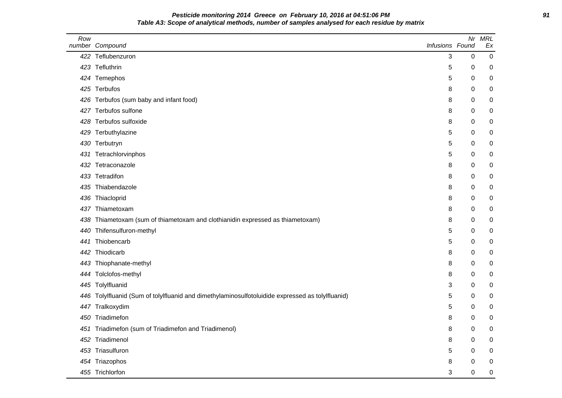## **Pesticide monitoring 2014 Greece on February 10, 2016 at 04:51:06 PM 91 Table A3: Scope of analytical methods, number of samples analysed for each residue by matrix**

| Row | number Compound                                                                              | Infusions Found |   | Nr MRL<br>Ex |
|-----|----------------------------------------------------------------------------------------------|-----------------|---|--------------|
|     | 422 Teflubenzuron                                                                            | 3               | 0 | $\mathbf 0$  |
|     | 423 Tefluthrin                                                                               | 5               | 0 | 0            |
|     | 424 Temephos                                                                                 | 5               | 0 | 0            |
|     | 425 Terbufos                                                                                 | 8               | 0 | 0            |
|     | 426 Terbufos (sum baby and infant food)                                                      | 8               | 0 | 0            |
| 427 | Terbufos sulfone                                                                             | 8               | 0 | 0            |
| 428 | Terbufos sulfoxide                                                                           | 8               | 0 | 0            |
| 429 | Terbuthylazine                                                                               | 5               | 0 | 0            |
| 430 | Terbutryn                                                                                    | 5               | 0 | 0            |
| 431 | Tetrachlorvinphos                                                                            | 5               | 0 | 0            |
|     | 432 Tetraconazole                                                                            | 8               | 0 | 0            |
|     | 433 Tetradifon                                                                               | 8               | 0 | 0            |
|     | 435 Thiabendazole                                                                            | 8               | 0 | 0            |
| 436 | Thiacloprid                                                                                  | 8               | 0 | 0            |
| 437 | Thiametoxam                                                                                  | 8               | 0 | 0            |
| 438 | Thiametoxam (sum of thiametoxam and clothianidin expressed as thiametoxam)                   | 8               | 0 | 0            |
| 440 | Thifensulfuron-methyl                                                                        | 5               | 0 | 0            |
| 441 | Thiobencarb                                                                                  | 5               | 0 | 0            |
| 442 | Thiodicarb                                                                                   | 8               | 0 | 0            |
| 443 | Thiophanate-methyl                                                                           | 8               | 0 | 0            |
|     | 444 Tolclofos-methyl                                                                         | 8               | 0 | 0            |
|     | 445 Tolylfluanid                                                                             | 3               | 0 | 0            |
| 446 | Tolylfluanid (Sum of tolylfluanid and dimethylaminosulfotoluidide expressed as tolylfluanid) | 5               | 0 | 0            |
|     | 447 Tralkoxydim                                                                              | 5               | 0 | 0            |
| 450 | Triadimefon                                                                                  | 8               | 0 | 0            |
| 451 | Triadimefon (sum of Triadimefon and Triadimenol)                                             | 8               | 0 | 0            |
| 452 | Triadimenol                                                                                  | 8               | 0 | 0            |
|     | 453 Triasulfuron                                                                             | 5               | 0 | 0            |
|     | 454 Triazophos                                                                               | 8               | 0 | 0            |
|     | 455 Trichlorfon                                                                              | 3               | 0 | $\mathbf 0$  |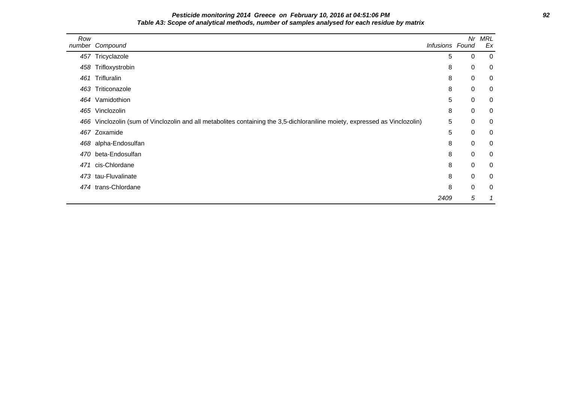# **Pesticide monitoring 2014 Greece on February 10, 2016 at 04:51:06 PM 92 Table A3: Scope of analytical methods, number of samples analysed for each residue by matrix**

| Row | number Compound                                                                                                         | Infusions Found | Nr          | MRL<br>Ex      |
|-----|-------------------------------------------------------------------------------------------------------------------------|-----------------|-------------|----------------|
|     | 457 Tricyclazole                                                                                                        | 5               | $\mathbf 0$ | $\overline{0}$ |
|     | 458 Trifloxystrobin                                                                                                     | 8               | $\mathbf 0$ | 0              |
|     | 461 Trifluralin                                                                                                         | 8               | 0           | 0              |
| 463 | Triticonazole                                                                                                           | 8               | 0           | 0              |
|     | 464 Vamidothion                                                                                                         | 5               | $\mathbf 0$ | 0              |
|     | 465 Vinclozolin                                                                                                         | 8               | 0           | 0              |
| 466 | Vinclozolin (sum of Vinclozolin and all metabolites containing the 3,5-dichloraniline moiety, expressed as Vinclozolin) | 5               | 0           | 0              |
|     | 467 Zoxamide                                                                                                            | 5               | $\mathbf 0$ | 0              |
|     | 468 alpha-Endosulfan                                                                                                    | 8               | 0           | 0              |
| 470 | beta-Endosulfan                                                                                                         | 8               | $\mathbf 0$ | 0              |
| 471 | cis-Chlordane                                                                                                           | 8               | $\mathbf 0$ | 0              |
|     | 473 tau-Fluvalinate                                                                                                     | 8               | $\mathbf 0$ | 0              |
|     | 474 trans-Chlordane                                                                                                     | 8               | $\mathbf 0$ | 0              |
|     |                                                                                                                         | 2409            | 5           |                |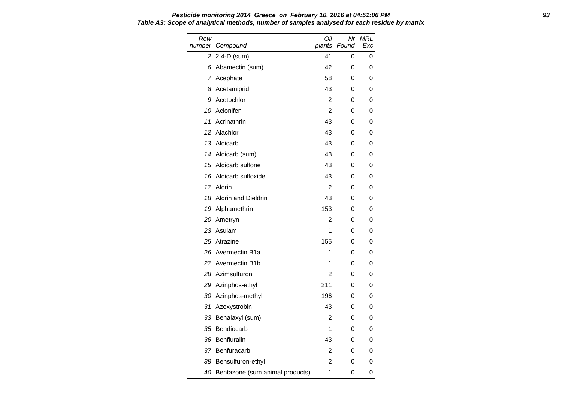Row number Compound Oil plants Found Nr MRL Exc 2 2,4-D (sum) 41 0 0 6 Abamectin (sum) 42 0 0 7 Acephate 58 0 0 8 Acetamiprid 13 0 0 9 Acetochlor 2 0 0 10 Aclonifen 2 0 0 11 Acrinathrin 11 Acrinathrin 11 Acrinathrin 11 Acrinathrin 143 12 Alachlor 12 Alachlor 12 Alachlor 12 Alachlor 12 Alachlor 12 Alachlor 12 Alachlor 12 Alachlor 12 Alachlor 12 A 13 Aldicarb 43 0 0 14 Aldicarb (sum) 43 0 0 15 Aldicarb sulfone 43 0 0 16 Aldicarb sulfoxide 43 0 0 17 Aldrin 2 0 0 18 Aldrin and Dieldrin 43 0 0 19 Alphamethrin 153 0 0 20 Ametryn 2 0 0 23 Asulam 1 0 0 25 Atrazine 155 0 0 26 Avermectin B1a 1 0 0 27 Avermectin B1b 1 0 0 28 Azimsulfuron 2 0 0 29 Azinphos-ethyl 211 0 0 30 Azinphos-methyl 196 0 0 31 Azoxystrobin 43 0 0 33 Benalaxyl (sum) 2 0 0 35 Bendiocarb 1 0 0 36 Benfluralin 43 0 0 37 Benfuracarb 2 0 0 38 Bensulfuron-ethyl 2 0 0 40 Bentazone (sum animal products) 1 0 0

# **Pesticide monitoring 2014 Greece on February 10, 2016 at 04:51:06 PM 93 Table A3: Scope of analytical methods, number of samples analysed for each residue by matrix**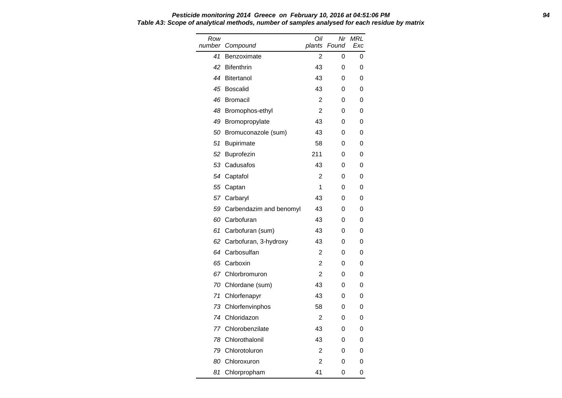### **Pesticide monitoring 2014 Greece on February 10, 2016 at 04:51:06 PM 94 Table A3: Scope of analytical methods, number of samples analysed for each residue by matrix**

| Row<br>number | Compound                | Oil<br>plants  | Nr<br>Found | <b>MRL</b><br>Exc |
|---------------|-------------------------|----------------|-------------|-------------------|
| 41            | Benzoximate             | 2              | 0           | 0                 |
| 42            | <b>Bifenthrin</b>       | 43             | 0           | 0                 |
| 44            | <b>Bitertanol</b>       | 43             | 0           | 0                 |
| 45            | <b>Boscalid</b>         | 43             | 0           | 0                 |
| 46            | <b>Bromacil</b>         | 2              | 0           | 0                 |
| 48            | Bromophos-ethyl         | $\mathfrak{p}$ | 0           | 0                 |
| 49            | Bromopropylate          | 43             | 0           | 0                 |
| 50            | Bromuconazole (sum)     | 43             | 0           | 0                 |
| 51            | <b>Bupirimate</b>       | 58             | 0           | 0                 |
| 52            | Buprofezin              | 211            | 0           | 0                 |
| 53            | Cadusafos               | 43             | 0           | 0                 |
| 54            | Captafol                | 2              | 0           | 0                 |
| 55            | Captan                  | 1              | 0           | 0                 |
| 57            | Carbaryl                | 43             | 0           | 0                 |
| 59            | Carbendazim and benomyl | 43             | 0           | 0                 |
| 60            | Carbofuran              | 43             | 0           | 0                 |
| 61            | Carbofuran (sum)        | 43             | 0           | 0                 |
| 62            | Carbofuran, 3-hydroxy   | 43             | 0           | 0                 |
| 64            | Carbosulfan             | 2              | 0           | 0                 |
| 65            | Carboxin                | 2              | 0           | 0                 |
| 67            | Chlorbromuron           | 2              | 0           | 0                 |
| 70            | Chlordane (sum)         | 43             | 0           | 0                 |
| 71            | Chlorfenapyr            | 43             | 0           | 0                 |
| 73            | Chlorfenvinphos         | 58             | 0           | 0                 |
| 74            | Chloridazon             | 2              | 0           | 0                 |
| 77            | Chlorobenzilate         | 43             | 0           | 0                 |
| 78            | Chlorothalonil          | 43             | 0           | 0                 |
| 79            | Chlorotoluron           | 2              | 0           | 0                 |
| 80            | Chloroxuron             | 2              | 0           | 0                 |
| 81            | Chlorpropham            | 41             | 0           | 0                 |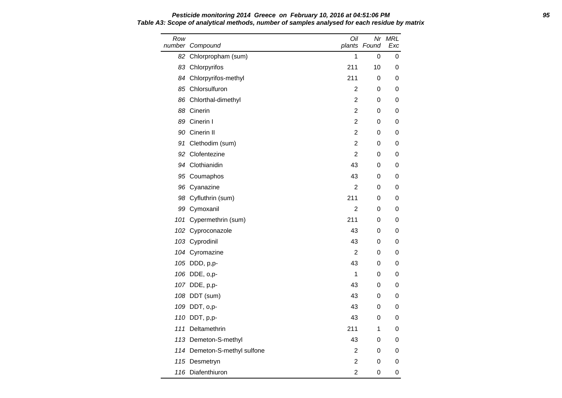# **Pesticide monitoring 2014 Greece on February 10, 2016 at 04:51:06 PM 95 Table A3: Scope of analytical methods, number of samples analysed for each residue by matrix**

| Row | number Compound              | Oil<br>plants  | Nr<br>Found | MRL<br>Exc |
|-----|------------------------------|----------------|-------------|------------|
|     | 82 Chlorpropham (sum)        | 1              | 0           | 0          |
|     | 83 Chlorpyrifos              | 211            | 10          | 0          |
|     | 84 Chlorpyrifos-methyl       | 211            | 0           | 0          |
|     | 85 Chlorsulfuron             | $\overline{c}$ | 0           | 0          |
|     | 86 Chlorthal-dimethyl        | 2              | 0           | 0          |
|     | 88 Cinerin                   | $\mathbf 2$    | 0           | 0          |
|     | 89 Cinerin I                 | 2              | 0           | 0          |
|     | 90 Cinerin II                | 2              | 0           | 0          |
|     | 91 Clethodim (sum)           | $\overline{2}$ | 0           | 0          |
|     | 92 Clofentezine              | $\overline{2}$ | 0           | 0          |
|     | 94 Clothianidin              | 43             | 0           | 0          |
|     | 95 Coumaphos                 | 43             | 0           | 0          |
|     | 96 Cyanazine                 | 2              | 0           | 0          |
|     | 98 Cyfluthrin (sum)          | 211            | 0           | 0          |
|     | 99 Cymoxanil                 | $\overline{2}$ | 0           | 0          |
|     | 101 Cypermethrin (sum)       | 211            | 0           | 0          |
|     | 102 Cyproconazole            | 43             | 0           | 0          |
|     | 103 Cyprodinil               | 43             | 0           | 0          |
|     | 104 Cyromazine               | 2              | 0           | 0          |
|     | 105 DDD, p,p-                | 43             | 0           | 0          |
|     | 106 DDE, o,p-                | 1              | 0           | 0          |
|     | 107 DDE, p,p-                | 43             | 0           | 0          |
|     | 108 DDT (sum)                | 43             | 0           | 0          |
|     | 109 DDT, o,p-                | 43             | 0           | 0          |
|     | 110 DDT, p,p-                | 43             | 0           | 0          |
|     | 111 Deltamethrin             | 211            | 1           | 0          |
|     | 113 Demeton-S-methyl         | 43             | 0           | 0          |
|     | 114 Demeton-S-methyl sulfone | $\overline{c}$ | 0           | 0          |
|     | 115 Desmetryn                | 2              | 0           | 0          |
|     | 116 Diafenthiuron            | $\mathbf 2$    | 0           | 0          |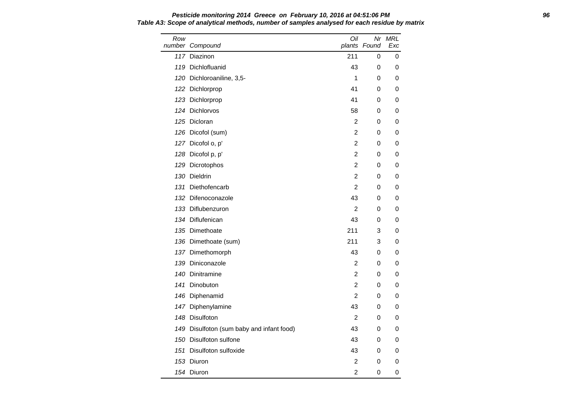Row number Compound Oil plants Found Exc Nr MRL 117 Diazinon 211 0 0 119 Dichlofluanid 43 0 0 120 Dichloroaniline, 3,5-<br>
1 0 0 122 Dichlorprop 41 0 0 123 Dichlorprop **41** 0 0 124 Dichlorvos 58 0 0 125 Dicloran 2 0 0 126 Dicofol (sum) 2 0 0 127 Dicofol o, p' 2 0 0 128 Dicofol p, p' 2 0 0 129 Dicrotophos 2 0 0 130 Dieldrin 2 0 0 131 Diethofencarb 2 0 0 132 Difenoconazole **43** 0 0 133 Diflubenzuron 2 0 0 134 Diflufenican 43 0 0 135 Dimethoate 211 3 0 136 Dimethoate (sum) 211 3 0 137 Dimethomorph 43 0 0 139 Diniconazole 2 0 0 140 Dinitramine 2 0 0 141 Dinobuton 2 0 0 146 Diphenamid 2 0 0 147 Diphenylamine **147 Diphenylamine** 143 0 0 148 Disulfoton **2** 0 0 149 Disulfoton (sum baby and infant food) 43 0 0 150 Disulfoton sulfone 100 Control 150 October 143 October 150 October 143 October 150 October 150 October 150 O 151 Disulfoton sulfoxide 43 0 0 153 Diuron 2 0 0 1*54* Diuron 2 0 0

# **Pesticide monitoring 2014 Greece on February 10, 2016 at 04:51:06 PM 96 Table A3: Scope of analytical methods, number of samples analysed for each residue by matrix**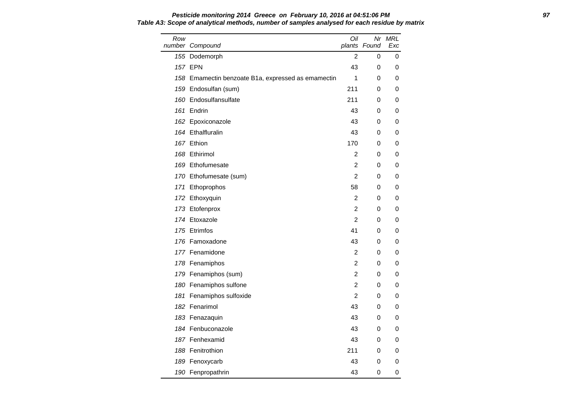### **Pesticide monitoring 2014 Greece on February 10, 2016 at 04:51:06 PM 97 Table A3: Scope of analytical methods, number of samples analysed for each residue by matrix**

| Row | number Compound                                    | Oil            | plants Found | Nr MRL<br>Exc |
|-----|----------------------------------------------------|----------------|--------------|---------------|
|     | 155 Dodemorph                                      | 2              | 0            | 0             |
|     | <b>157 EPN</b>                                     | 43             | 0            | 0             |
|     | 158 Emamectin benzoate B1a, expressed as emamectin | 1              | 0            | 0             |
|     | 159 Endosulfan (sum)                               | 211            | 0            | 0             |
|     | 160 Endosulfansulfate                              | 211            | 0            | 0             |
|     | 161 Endrin                                         | 43             | 0            | 0             |
|     | 162 Epoxiconazole                                  | 43             | 0            | 0             |
|     | 164 Ethalfluralin                                  | 43             | 0            | 0             |
|     | 167 Ethion                                         | 170            | 0            | 0             |
|     | 168 Ethirimol                                      | $\overline{2}$ | 0            | 0             |
|     | 169 Ethofumesate                                   | 2              | 0            | 0             |
|     | 170 Ethofumesate (sum)                             | 2              | 0            | 0             |
|     | 171 Ethoprophos                                    | 58             | 0            | 0             |
|     | 172 Ethoxyquin                                     | 2              | 0            | 0             |
|     | 173 Etofenprox                                     | 2              | 0            | 0             |
|     | 174 Etoxazole                                      | $\overline{2}$ | 0            | 0             |
|     | 175 Etrimfos                                       | 41             | 0            | 0             |
|     | 176 Famoxadone                                     | 43             | 0            | 0             |
|     | 177 Fenamidone                                     | $\overline{2}$ | 0            | 0             |
|     | 178 Fenamiphos                                     | 2              | 0            | 0             |
|     | 179 Fenamiphos (sum)                               | 2              | 0            | 0             |
|     | 180 Fenamiphos sulfone                             | 2              | 0            | 0             |
|     | 181 Fenamiphos sulfoxide                           | 2              | 0            | 0             |
|     | 182 Fenarimol                                      | 43             | 0            | 0             |
|     | 183 Fenazaquin                                     | 43             | 0            | 0             |
|     | 184 Fenbuconazole                                  | 43             | 0            | 0             |
|     | 187 Fenhexamid                                     | 43             | 0            | 0             |
|     | 188 Fenitrothion                                   | 211            | 0            | 0             |
|     | 189 Fenoxycarb                                     | 43             | 0            | 0             |
|     | 190 Fenpropathrin                                  | 43             | 0            | 0             |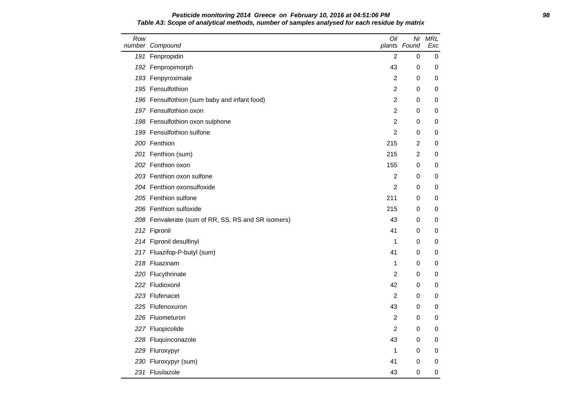## **Pesticide monitoring 2014 Greece on February 10, 2016 at 04:51:06 PM 98 Table A3: Scope of analytical methods, number of samples analysed for each residue by matrix**

| Row | number Compound                                    | Oil            | plants Found   | Nr MRL<br>Exc |
|-----|----------------------------------------------------|----------------|----------------|---------------|
|     | 191 Fenpropidin                                    | $\overline{c}$ | 0              | 0             |
|     | 192 Fenpropimorph                                  | 43             | 0              | 0             |
|     | 193 Fenpyroximate                                  | $\overline{2}$ | 0              | 0             |
|     | 195 Fensulfothion                                  | $\overline{c}$ | 0              | 0             |
|     | 196 Fensulfothion (sum baby and infant food)       | 2              | 0              | 0             |
|     | 197 Fensulfothion oxon                             | $\overline{2}$ | 0              | 0             |
|     | 198 Fensulfothion oxon sulphone                    | $\overline{c}$ | 0              | 0             |
|     | 199 Fensulfothion sulfone                          | $\overline{2}$ | 0              | 0             |
|     | 200 Fenthion                                       | 215            | 2              | 0             |
|     | 201 Fenthion (sum)                                 | 215            | $\overline{2}$ | 0             |
|     | 202 Fenthion oxon                                  | 155            | 0              | 0             |
|     | 203 Fenthion oxon sulfone                          | $\overline{2}$ | 0              | 0             |
|     | 204 Fenthion oxonsulfoxide                         | $\overline{2}$ | 0              | 0             |
|     | 205 Fenthion sulfone                               | 211            | 0              | 0             |
|     | 206 Fenthion sulfoxide                             | 215            | 0              | 0             |
|     | 208 Fenvalerate (sum of RR, SS, RS and SR isomers) | 43             | 0              | 0             |
|     | 212 Fipronil                                       | 41             | 0              | 0             |
|     | 214 Fipronil desulfinyl                            | 1              | 0              | 0             |
|     | 217 Fluazifop-P-butyl (sum)                        | 41             | 0              | 0             |
|     | 218 Fluazinam                                      | 1              | 0              | 0             |
|     | 220 Flucythrinate                                  | 2              | 0              | 0             |
|     | 222 Fludioxonil                                    | 42             | 0              | 0             |
|     | 223 Flufenacet                                     | $\overline{2}$ | 0              | 0             |
|     | 225 Flufenoxuron                                   | 43             | 0              | 0             |
|     | 226 Fluometuron                                    | 2              | 0              | 0             |
|     | 227 Fluopicolide                                   | $\overline{2}$ | 0              | 0             |
|     | 228 Fluquinconazole                                | 43             | 0              | 0             |
|     | 229 Fluroxypyr                                     | 1              | 0              | 0             |
|     | 230 Fluroxypyr (sum)                               | 41             | 0              | 0             |
|     | 231 Flusilazole                                    | 43             | 0              | 0             |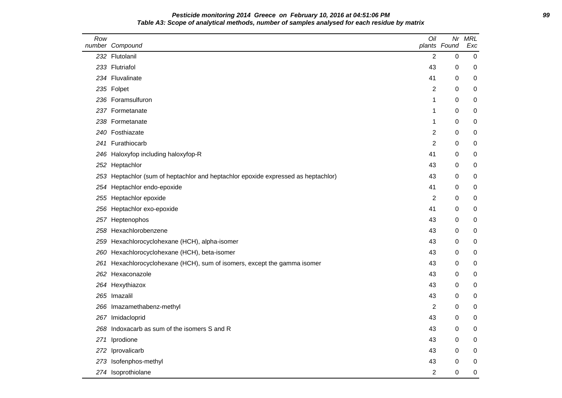| Pesticide monitoring 2014 Greece on February 10, 2016 at 04:51:06 PM                         | 99 |
|----------------------------------------------------------------------------------------------|----|
| Table A3: Scope of analytical methods, number of samples analysed for each residue by matrix |    |

| Row | number Compound                                                                   | Oil            | Nr<br>plants Found | <b>MRL</b><br>Exc |
|-----|-----------------------------------------------------------------------------------|----------------|--------------------|-------------------|
|     | 232 Flutolanil                                                                    | 2              | 0                  | 0                 |
|     | 233 Flutriafol                                                                    | 43             | 0                  | 0                 |
|     | 234 Fluvalinate                                                                   | 41             | 0                  | 0                 |
|     | 235 Folpet                                                                        | 2              | 0                  | 0                 |
|     | 236 Foramsulfuron                                                                 | 1              | 0                  | 0                 |
|     | 237 Formetanate                                                                   | 1              | 0                  | 0                 |
|     | 238 Formetanate                                                                   | 1              | 0                  | 0                 |
|     | 240 Fosthiazate                                                                   | 2              | 0                  | 0                 |
|     | 241 Furathiocarb                                                                  | $\overline{2}$ | 0                  | 0                 |
|     | 246 Haloxyfop including haloxyfop-R                                               | 41             | 0                  | 0                 |
|     | 252 Heptachlor                                                                    | 43             | 0                  | 0                 |
|     | 253 Heptachlor (sum of heptachlor and heptachlor epoxide expressed as heptachlor) | 43             | 0                  | 0                 |
|     | 254 Heptachlor endo-epoxide                                                       | 41             | 0                  | 0                 |
|     | 255 Heptachlor epoxide                                                            | 2              | 0                  | 0                 |
|     | 256 Heptachlor exo-epoxide                                                        | 41             | 0                  | 0                 |
|     | 257 Heptenophos                                                                   | 43             | 0                  | 0                 |
|     | 258 Hexachlorobenzene                                                             | 43             | 0                  | 0                 |
|     | 259 Hexachlorocyclohexane (HCH), alpha-isomer                                     | 43             | 0                  | 0                 |
|     | 260 Hexachlorocyclohexane (HCH), beta-isomer                                      | 43             | 0                  | 0                 |
| 261 | Hexachlorocyclohexane (HCH), sum of isomers, except the gamma isomer              | 43             | 0                  | 0                 |
|     | 262 Hexaconazole                                                                  | 43             | 0                  | 0                 |
|     | 264 Hexythiazox                                                                   | 43             | 0                  | 0                 |
|     | 265 Imazalil                                                                      | 43             | 0                  | 0                 |
|     | 266 Imazamethabenz-methyl                                                         | 2              | 0                  | 0                 |
|     | 267 Imidacloprid                                                                  | 43             | 0                  | 0                 |
|     | 268 Indoxacarb as sum of the isomers S and R                                      | 43             | 0                  | 0                 |
| 271 | Iprodione                                                                         | 43             | 0                  | 0                 |
|     | 272 Iprovalicarb                                                                  | 43             | 0                  | 0                 |
|     | 273 Isofenphos-methyl                                                             | 43             | 0                  | 0                 |
|     | 274 Isoprothiolane                                                                | $\overline{c}$ | $\pmb{0}$          | $\mathbf 0$       |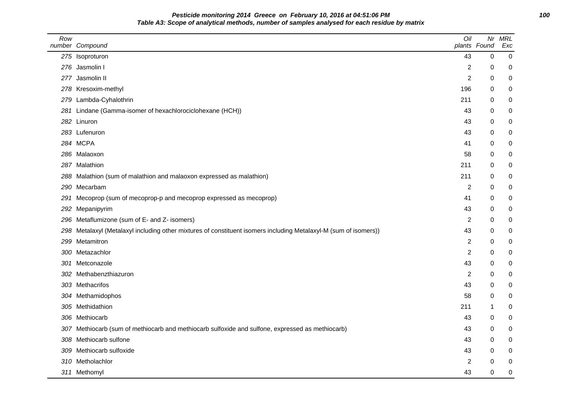**Pesticide monitoring 2014 Greece on February 10, 2016 at 04:51:06 PM 100 Table A3: Scope of analytical methods, number of samples analysed for each residue by matrix**

| Row  | number Compound                                                                                              | Oil              | Nr<br>plants Found | <b>MRL</b><br>Exc |
|------|--------------------------------------------------------------------------------------------------------------|------------------|--------------------|-------------------|
|      | 275 Isoproturon                                                                                              | 43               | 0                  | 0                 |
|      | 276 Jasmolin I                                                                                               | $\overline{c}$   | 0                  | 0                 |
|      | 277 Jasmolin II                                                                                              | 2                | 0                  | 0                 |
|      | 278 Kresoxim-methyl                                                                                          | 196              | 0                  | 0                 |
| 279. | Lambda-Cyhalothrin                                                                                           | 211              | 0                  | 0                 |
| 281  | Lindane (Gamma-isomer of hexachlorociclohexane (HCH))                                                        | 43               | 0                  | 0                 |
|      | 282 Linuron                                                                                                  | 43               | 0                  | 0                 |
|      | 283 Lufenuron                                                                                                | 43               | 0                  | 0                 |
|      | 284 MCPA                                                                                                     | 41               | 0                  | 0                 |
|      | 286 Malaoxon                                                                                                 | 58               | 0                  | $\mathbf 0$       |
| 287. | Malathion                                                                                                    | 211              | 0                  | 0                 |
|      | 288 Malathion (sum of malathion and malaoxon expressed as malathion)                                         | 211              | 0                  | 0                 |
| 290  | Mecarbam                                                                                                     | $\overline{c}$   | 0                  | 0                 |
| 291  | Mecoprop (sum of mecoprop-p and mecoprop expressed as mecoprop)                                              | 41               | 0                  | 0                 |
| 292  | Mepanipyrim                                                                                                  | 43               | 0                  | 0                 |
| 296  | Metaflumizone (sum of E- and Z- isomers)                                                                     | $\overline{c}$   | 0                  | 0                 |
| 298. | Metalaxyl (Metalaxyl including other mixtures of constituent isomers including Metalaxyl-M (sum of isomers)) | 43               | 0                  | 0                 |
| 299  | Metamitron                                                                                                   | 2                | 0                  | 0                 |
|      | 300 Metazachlor                                                                                              | 2                | 0                  | 0                 |
| 301  | Metconazole                                                                                                  | 43               | 0                  | 0                 |
| 302  | Methabenzthiazuron                                                                                           | $\boldsymbol{2}$ | 0                  | $\mathbf 0$       |
|      | 303 Methacrifos                                                                                              | 43               | 0                  | 0                 |
|      | 304 Methamidophos                                                                                            | 58               | 0                  | 0                 |
|      | 305 Methidathion                                                                                             | 211              | 1                  | 0                 |
|      | 306 Methiocarb                                                                                               | 43               | 0                  | 0                 |
|      | 307 Methiocarb (sum of methiocarb and methiocarb sulfoxide and sulfone, expressed as methiocarb)             | 43               | 0                  | 0                 |
| 308  | Methiocarb sulfone                                                                                           | 43               | 0                  | 0                 |
| 309  | Methiocarb sulfoxide                                                                                         | 43               | 0                  | 0                 |
|      | 310 Metholachlor                                                                                             | $\overline{c}$   | 0                  | 0                 |
|      | 311 Methomyl                                                                                                 | 43               | $\mathbf 0$        | $\mathbf 0$       |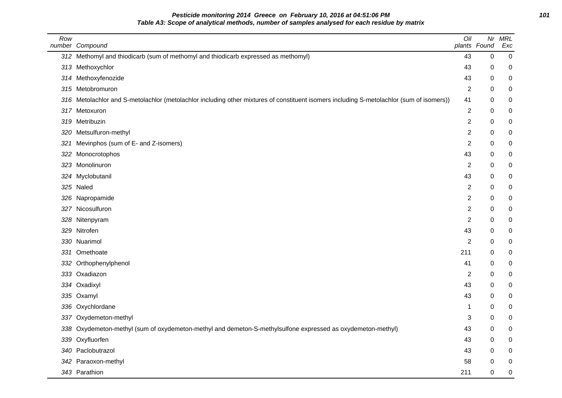## **Pesticide monitoring 2014 Greece on February 10, 2016 at 04:51:06 PM 101 Table A3: Scope of analytical methods, number of samples analysed for each residue by matrix**

| Row | number Compound                                                                                                                          | Oil            | Nr<br>plants Found | <b>MRL</b><br>Exc |
|-----|------------------------------------------------------------------------------------------------------------------------------------------|----------------|--------------------|-------------------|
|     | 312 Methomyl and thiodicarb (sum of methomyl and thiodicarb expressed as methomyl)                                                       | 43             | 0                  | $\pmb{0}$         |
|     | 313 Methoxychlor                                                                                                                         | 43             | 0                  | 0                 |
| 314 | Methoxyfenozide                                                                                                                          | 43             | 0                  | $\pmb{0}$         |
|     | 315 Metobromuron                                                                                                                         | 2              | 0                  | 0                 |
|     | 316 Metolachlor and S-metolachlor (metolachlor including other mixtures of constituent isomers including S-metolachlor (sum of isomers)) | 41             | 0                  | 0                 |
|     | 317 Metoxuron                                                                                                                            | $\overline{2}$ | 0                  | 0                 |
|     | 319 Metribuzin                                                                                                                           | $\overline{2}$ | 0                  | $\pmb{0}$         |
| 320 | Metsulfuron-methyl                                                                                                                       | $\overline{2}$ | 0                  | $\pmb{0}$         |
| 321 | Mevinphos (sum of E- and Z-isomers)                                                                                                      | $\overline{2}$ | 0                  | $\pmb{0}$         |
| 322 | Monocrotophos                                                                                                                            | 43             | 0                  | $\pmb{0}$         |
|     | 323 Monolinuron                                                                                                                          | $\overline{c}$ | 0                  | $\pmb{0}$         |
|     | 324 Myclobutanil                                                                                                                         | 43             | 0                  | 0                 |
|     | 325 Naled                                                                                                                                | $\overline{2}$ | 0                  | 0                 |
|     | 326 Napropamide                                                                                                                          | $\overline{2}$ | 0                  | $\pmb{0}$         |
|     | 327 Nicosulfuron                                                                                                                         | $\overline{2}$ | 0                  | $\pmb{0}$         |
|     | 328 Nitenpyram                                                                                                                           | $\overline{2}$ | 0                  | $\pmb{0}$         |
|     | 329 Nitrofen                                                                                                                             | 43             | 0                  | $\pmb{0}$         |
|     | 330 Nuarimol                                                                                                                             | 2              | 0                  | $\pmb{0}$         |
| 331 | Omethoate                                                                                                                                | 211            | $\Omega$           | 0                 |
| 332 | Orthophenylphenol                                                                                                                        | 41             | 0                  | 0                 |
|     | 333 Oxadiazon                                                                                                                            | $\overline{2}$ | 0                  | 0                 |
| 334 | Oxadixyl                                                                                                                                 | 43             | 0                  | $\pmb{0}$         |
|     | 335 Oxamyl                                                                                                                               | 43             | 0                  | $\pmb{0}$         |
|     | 336 Oxychlordane                                                                                                                         | 1              | 0                  | $\pmb{0}$         |
| 337 | Oxydemeton-methyl                                                                                                                        | 3              | 0                  | $\pmb{0}$         |
|     | 338 Oxydemeton-methyl (sum of oxydemeton-methyl and demeton-S-methylsulfone expressed as oxydemeton-methyl)                              | 43             | 0                  | 0                 |
|     | 339 Oxyfluorfen                                                                                                                          | 43             | 0                  | $\pmb{0}$         |
|     | 340 Paclobutrazol                                                                                                                        | 43             | 0                  | 0                 |
| 342 | Paraoxon-methyl                                                                                                                          | 58             | 0                  | 0                 |
|     | 343 Parathion                                                                                                                            | 211            | 0                  | $\pmb{0}$         |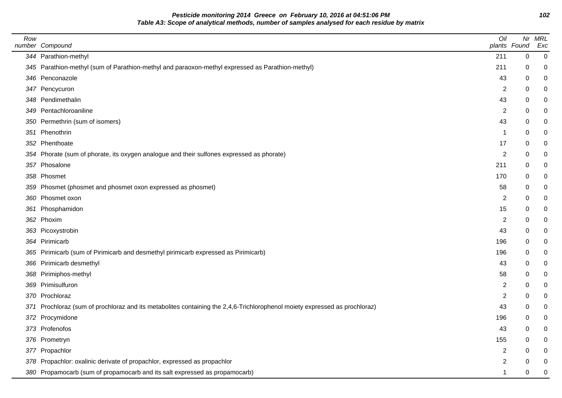**Pesticide monitoring 2014 Greece on February 10, 2016 at 04:51:06 PM 102 Table A3: Scope of analytical methods, number of samples analysed for each residue by matrix**

| Row | number Compound                                                                                                            | Oil            | plants Found | Nr MRL<br>Exc    |
|-----|----------------------------------------------------------------------------------------------------------------------------|----------------|--------------|------------------|
|     | 344 Parathion-methyl                                                                                                       | 211            | $\pmb{0}$    | $\pmb{0}$        |
|     | 345 Parathion-methyl (sum of Parathion-methyl and paraoxon-methyl expressed as Parathion-methyl)                           | 211            | 0            | 0                |
|     | 346 Penconazole                                                                                                            | 43             | 0            | 0                |
|     | 347 Pencycuron                                                                                                             | 2              | 0            | 0                |
|     | 348 Pendimethalin                                                                                                          | 43             | 0            | 0                |
|     | 349 Pentachloroaniline                                                                                                     | 2              | 0            | 0                |
|     | 350 Permethrin (sum of isomers)                                                                                            | 43             | 0            | 0                |
|     | 351 Phenothrin                                                                                                             | 1              | 0            | 0                |
|     | 352 Phenthoate                                                                                                             | 17             | 0            | 0                |
|     | 354 Phorate (sum of phorate, its oxygen analogue and their sulfones expressed as phorate)                                  | $\overline{c}$ | 0            | $\pmb{0}$        |
|     | 357 Phosalone                                                                                                              | 211            | 0            | 0                |
|     | 358 Phosmet                                                                                                                | 170            | 0            | 0                |
|     | 359 Phosmet (phosmet and phosmet oxon expressed as phosmet)                                                                | 58             | 0            | 0                |
|     | 360 Phosmet oxon                                                                                                           | 2              | 0            | 0                |
|     | 361 Phosphamidon                                                                                                           | 15             | 0            | 0                |
|     | 362 Phoxim                                                                                                                 | $\overline{c}$ | 0            | 0                |
|     | 363 Picoxystrobin                                                                                                          | 43             | 0            | $\mathbf 0$      |
|     | 364 Pirimicarb                                                                                                             | 196            | 0            | $\pmb{0}$        |
|     | 365 Pirimicarb (sum of Pirimicarb and desmethyl pirimicarb expressed as Pirimicarb)                                        | 196            | 0            | 0                |
|     | 366 Pirimicarb desmethyl                                                                                                   | 43             | 0            | 0                |
|     | 368 Pirimiphos-methyl                                                                                                      | 58             | 0            | 0                |
|     | 369 Primisulfuron                                                                                                          | $\overline{c}$ | 0            | 0                |
|     | 370 Prochloraz                                                                                                             | $\overline{c}$ | 0            | 0                |
|     | 371 Prochloraz (sum of prochloraz and its metabolites containing the 2,4,6-Trichlorophenol moiety expressed as prochloraz) | 43             | 0            | $\pmb{0}$        |
|     | 372 Procymidone                                                                                                            | 196            | 0            | $\pmb{0}$        |
|     | 373 Profenofos                                                                                                             | 43             | 0            | 0                |
|     | 376 Prometryn                                                                                                              | 155            | 0            | 0                |
|     | 377 Propachlor                                                                                                             | $\overline{c}$ | 0            | 0                |
|     | 378 Propachlor: oxalinic derivate of propachlor, expressed as propachlor                                                   | 2              | 0            | 0                |
|     | 380 Propamocarb (sum of propamocarb and its salt expressed as propamocarb)                                                 | 1              | 0            | $\boldsymbol{0}$ |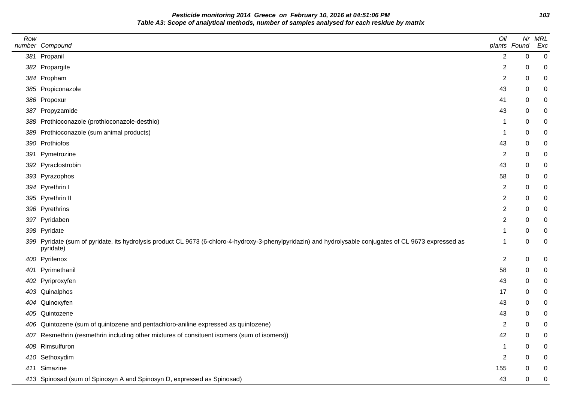**Pesticide monitoring 2014 Greece on February 10, 2016 at 04:51:06 PM 103 Table A3: Scope of analytical methods, number of samples analysed for each residue by matrix**

| Row | number Compound                                                                                                                                                       | Oil            | plants Found | Nr MRL<br>Exc |
|-----|-----------------------------------------------------------------------------------------------------------------------------------------------------------------------|----------------|--------------|---------------|
|     | 381 Propanil                                                                                                                                                          | $\overline{2}$ | 0            | $\pmb{0}$     |
|     | 382 Propargite                                                                                                                                                        | 2              | 0            | 0             |
|     | 384 Propham                                                                                                                                                           | $\overline{c}$ | 0            | 0             |
|     | 385 Propiconazole                                                                                                                                                     | 43             | 0            | 0             |
|     | 386 Propoxur                                                                                                                                                          | 41             | 0            | 0             |
|     | 387 Propyzamide                                                                                                                                                       | 43             | 0            | 0             |
|     | 388 Prothioconazole (prothioconazole-desthio)                                                                                                                         | 1              | 0            | 0             |
|     | 389 Prothioconazole (sum animal products)                                                                                                                             | 1              | 0            | 0             |
|     | 390 Prothiofos                                                                                                                                                        | 43             | 0            | 0             |
|     | 391 Pymetrozine                                                                                                                                                       | 2              | 0            | 0             |
|     | 392 Pyraclostrobin                                                                                                                                                    | 43             | 0            | 0             |
|     | 393 Pyrazophos                                                                                                                                                        | 58             | 0            | 0             |
|     | 394 Pyrethrin I                                                                                                                                                       | 2              | 0            | 0             |
|     | 395 Pyrethrin II                                                                                                                                                      | $\overline{c}$ | 0            | 0             |
|     | 396 Pyrethrins                                                                                                                                                        | $\overline{c}$ | 0            | 0             |
|     | 397 Pyridaben                                                                                                                                                         | 2              | 0            | 0             |
|     | 398 Pyridate                                                                                                                                                          |                | 0            | 0             |
|     | 399 Pyridate (sum of pyridate, its hydrolysis product CL 9673 (6-chloro-4-hydroxy-3-phenylpyridazin) and hydrolysable conjugates of CL 9673 expressed as<br>pyridate) | 1              | 0            | 0             |
|     | 400 Pyrifenox                                                                                                                                                         | $\overline{c}$ | 0            | 0             |
|     | 401 Pyrimethanil                                                                                                                                                      | 58             | 0            | 0             |
|     | 402 Pyriproxyfen                                                                                                                                                      | 43             | 0            | 0             |
|     | 403 Quinalphos                                                                                                                                                        | 17             | 0            | 0             |
|     | 404 Quinoxyfen                                                                                                                                                        | 43             | 0            | 0             |
|     | 405 Quintozene                                                                                                                                                        | 43             | 0            | 0             |
|     | 406 Quintozene (sum of quintozene and pentachloro-aniline expressed as quintozene)                                                                                    | 2              | 0            | 0             |
|     | 407 Resmethrin (resmethrin including other mixtures of consituent isomers (sum of isomers))                                                                           | 42             | 0            | 0             |
|     | 408 Rimsulfuron                                                                                                                                                       | 1              | 0            | 0             |
|     | 410 Sethoxydim                                                                                                                                                        | $\overline{2}$ | 0            | 0             |
|     | 411 Simazine                                                                                                                                                          | 155            | 0            | 0             |
|     | 413 Spinosad (sum of Spinosyn A and Spinosyn D, expressed as Spinosad)                                                                                                | 43             | 0            | 0             |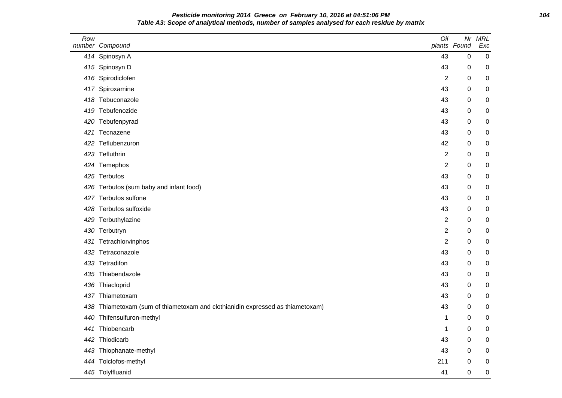## **Pesticide monitoring 2014 Greece on February 10, 2016 at 04:51:06 PM 104 Table A3: Scope of analytical methods, number of samples analysed for each residue by matrix**

| Row | number Compound                                                            | Oil            | Nr<br>plants Found | <b>MRL</b><br>Exc |
|-----|----------------------------------------------------------------------------|----------------|--------------------|-------------------|
|     | 414 Spinosyn A                                                             | 43             | $\pmb{0}$          | $\mathbf 0$       |
|     | 415 Spinosyn D                                                             | 43             | 0                  | 0                 |
|     | 416 Spirodiclofen                                                          | $\overline{c}$ | 0                  | 0                 |
|     | 417 Spiroxamine                                                            | 43             | 0                  | 0                 |
|     | 418 Tebuconazole                                                           | 43             | $\mathbf 0$        | 0                 |
|     | 419 Tebufenozide                                                           | 43             | 0                  | 0                 |
|     | 420 Tebufenpyrad                                                           | 43             | 0                  | 0                 |
|     | 421 Tecnazene                                                              | 43             | 0                  | 0                 |
|     | 422 Teflubenzuron                                                          | 42             | 0                  | 0                 |
|     | 423 Tefluthrin                                                             | 2              | 0                  | 0                 |
|     | 424 Temephos                                                               | $\overline{2}$ | $\mathbf 0$        | 0                 |
|     | 425 Terbufos                                                               | 43             | 0                  | $\pmb{0}$         |
|     | 426 Terbufos (sum baby and infant food)                                    | 43             | 0                  | 0                 |
|     | 427 Terbufos sulfone                                                       | 43             | 0                  | 0                 |
|     | 428 Terbufos sulfoxide                                                     | 43             | 0                  | 0                 |
|     | 429 Terbuthylazine                                                         | 2              | 0                  | 0                 |
|     | 430 Terbutryn                                                              | $\overline{c}$ | 0                  | 0                 |
|     | 431 Tetrachlorvinphos                                                      | $\overline{2}$ | 0                  | $\pmb{0}$         |
|     | 432 Tetraconazole                                                          | 43             | 0                  | 0                 |
|     | 433 Tetradifon                                                             | 43             | 0                  | 0                 |
|     | 435 Thiabendazole                                                          | 43             | 0                  | 0                 |
|     | 436 Thiacloprid                                                            | 43             | 0                  | 0                 |
| 437 | Thiametoxam                                                                | 43             | 0                  | 0                 |
| 438 | Thiametoxam (sum of thiametoxam and clothianidin expressed as thiametoxam) | 43             | 0                  | 0                 |
|     | 440 Thifensulfuron-methyl                                                  | 1              | 0                  | 0                 |
| 441 | Thiobencarb                                                                | 1              | 0                  | 0                 |
|     | 442 Thiodicarb                                                             | 43             | 0                  | 0                 |
|     | 443 Thiophanate-methyl                                                     | 43             | 0                  | 0                 |
|     | 444 Tolclofos-methyl                                                       | 211            | 0                  | 0                 |
|     | 445 Tolylfluanid                                                           | 41             | $\mathbf 0$        | $\pmb{0}$         |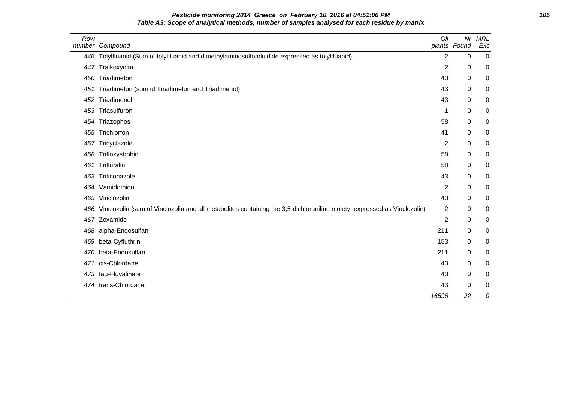# **Pesticide monitoring 2014 Greece on February 10, 2016 at 04:51:06 PM 105 Table A3: Scope of analytical methods, number of samples analysed for each residue by matrix**

| Row | number Compound                                                                                                         | Oil            | Nr<br>plants Found | <b>MRL</b><br>Exc |
|-----|-------------------------------------------------------------------------------------------------------------------------|----------------|--------------------|-------------------|
|     | 446 Tolylfluanid (Sum of tolylfluanid and dimethylaminosulfotoluidide expressed as tolylfluanid)                        | 2              | 0                  | $\mathbf 0$       |
| 447 | Tralkoxydim                                                                                                             | $\overline{c}$ | 0                  | 0                 |
| 450 | Triadimefon                                                                                                             | 43             | 0                  | 0                 |
| 451 | Triadimefon (sum of Triadimefon and Triadimenol)                                                                        | 43             | 0                  | 0                 |
| 452 | Triadimenol                                                                                                             | 43             | 0                  | 0                 |
| 453 | Triasulfuron                                                                                                            | 1              | 0                  | 0                 |
|     | 454 Triazophos                                                                                                          | 58             | 0                  | 0                 |
| 455 | Trichlorfon                                                                                                             | 41             | 0                  | 0                 |
|     | 457 Tricyclazole                                                                                                        | $\overline{c}$ | 0                  | 0                 |
| 458 | Trifloxystrobin                                                                                                         | 58             | 0                  | 0                 |
| 461 | Trifluralin                                                                                                             | 58             | 0                  | 0                 |
| 463 | Triticonazole                                                                                                           | 43             | 0                  | $\boldsymbol{0}$  |
| 464 | Vamidothion                                                                                                             | 2              | 0                  | 0                 |
|     | 465 Vinclozolin                                                                                                         | 43             | 0                  | 0                 |
| 466 | Vinclozolin (sum of Vinclozolin and all metabolites containing the 3,5-dichloraniline moiety, expressed as Vinclozolin) | 2              | 0                  | 0                 |
| 467 | Zoxamide                                                                                                                | $\overline{c}$ | $\pmb{0}$          | 0                 |
| 468 | alpha-Endosulfan                                                                                                        | 211            | 0                  | 0                 |
| 469 | beta-Cyfluthrin                                                                                                         | 153            | 0                  | 0                 |
| 470 | beta-Endosulfan                                                                                                         | 211            | 0                  | 0                 |
| 471 | cis-Chlordane                                                                                                           | 43             | 0                  | 0                 |
|     | 473 tau-Fluvalinate                                                                                                     | 43             | 0                  | 0                 |
| 474 | trans-Chlordane                                                                                                         | 43             | 0                  | 0                 |
|     |                                                                                                                         | 16596          | 22                 | 0                 |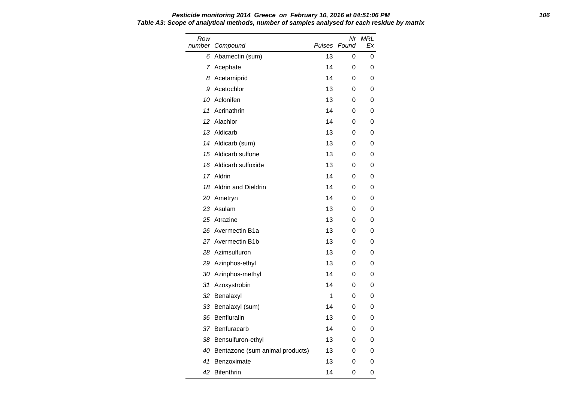### **Pesticide monitoring 2014 Greece on February 10, 2016 at 04:51:06 PM 106 Table A3: Scope of analytical methods, number of samples analysed for each residue by matrix**

| Row | number Compound                 | Pulses | Nr<br>Found | MRL<br>Ex |
|-----|---------------------------------|--------|-------------|-----------|
| 6   | Abamectin (sum)                 | 13     | 0           | 0         |
|     | 7 Acephate                      | 14     | 0           | 0         |
| 8   | Acetamiprid                     | 14     | 0           | 0         |
| 9   | Acetochlor                      | 13     | 0           | 0         |
| 10  | Aclonifen                       | 13     | 0           | 0         |
| 11  | Acrinathrin                     | 14     | 0           | 0         |
| 12  | Alachlor                        | 14     | 0           | 0         |
| 13  | Aldicarb                        | 13     | 0           | 0         |
|     | 14 Aldicarb (sum)               | 13     | 0           | 0         |
| 15  | Aldicarb sulfone                | 13     | 0           | 0         |
| 16  | Aldicarb sulfoxide              | 13     | 0           | 0         |
|     | 17 Aldrin                       | 14     | 0           | 0         |
| 18  | <b>Aldrin and Dieldrin</b>      | 14     | 0           | 0         |
|     | 20 Ametryn                      | 14     | 0           | 0         |
|     | 23 Asulam                       | 13     | 0           | 0         |
|     | 25 Atrazine                     | 13     | 0           | 0         |
| 26  | Avermectin B1a                  | 13     | 0           | 0         |
|     | 27 Avermectin B1b               | 13     | 0           | 0         |
|     | 28 Azimsulfuron                 | 13     | 0           | 0         |
|     | 29 Azinphos-ethyl               | 13     | 0           | 0         |
| 30  | Azinphos-methyl                 | 14     | 0           | 0         |
| 31  | Azoxystrobin                    | 14     | 0           | 0         |
| 32  | Benalaxyl                       | 1      | 0           | 0         |
| 33  | Benalaxyl (sum)                 | 14     | 0           | 0         |
| 36  | Benfluralin                     | 13     | 0           | 0         |
|     | 37 Benfuracarb                  | 14     | 0           | 0         |
| 38  | Bensulfuron-ethyl               | 13     | 0           | 0         |
| 40  | Bentazone (sum animal products) | 13     | 0           | 0         |
| 41  | Benzoximate                     | 13     | 0           | 0         |
| 42  | <b>Bifenthrin</b>               | 14     | 0           | 0         |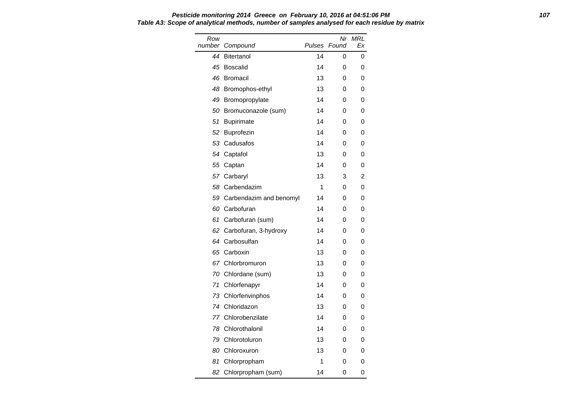### **Pesticide monitoring 2014 Greece on February 10, 2016 at 04:51:06 PM 107 Table A3: Scope of analytical methods, number of samples analysed for each residue by matrix**

| Row<br>number | Compound                | Pulses | Nr<br>Found | <b>MRL</b><br>Ex |
|---------------|-------------------------|--------|-------------|------------------|
| 44            | <b>Bitertanol</b>       | 14     | 0           | 0                |
| 45            | Boscalid                | 14     | 0           | 0                |
| 46            | <b>Bromacil</b>         | 13     | 0           | 0                |
| 48            | Bromophos-ethyl         | 13     | 0           | 0                |
| 49            | Bromopropylate          | 14     | 0           | 0                |
| 50            | Bromuconazole (sum)     | 14     | 0           | 0                |
| 51            | <b>Bupirimate</b>       | 14     | 0           | 0                |
| 52            | Buprofezin              | 14     | 0           | 0                |
| 53            | Cadusafos               | 14     | 0           | 0                |
| 54            | Captafol                | 13     | 0           | 0                |
| 55            | Captan                  | 14     | 0           | 0                |
| 57            | Carbaryl                | 13     | 3           | 2                |
| 58            | Carbendazim             | 1      | 0           | 0                |
| 59            | Carbendazim and benomyl | 14     | 0           | 0                |
| 60            | Carbofuran              | 14     | 0           | 0                |
| 61            | Carbofuran (sum)        | 14     | 0           | 0                |
| 62            | Carbofuran, 3-hydroxy   | 14     | 0           | 0                |
| 64            | Carbosulfan             | 14     | 0           | 0                |
| 65            | Carboxin                | 13     | 0           | 0                |
| 67            | Chlorbromuron           | 13     | 0           | 0                |
| 70            | Chlordane (sum)         | 13     | 0           | 0                |
| 71            | Chlorfenapyr            | 14     | 0           | 0                |
| 73            | Chlorfenvinphos         | 14     | 0           | 0                |
| 74            | Chloridazon             | 13     | 0           | 0                |
| 77            | Chlorobenzilate         | 14     | 0           | 0                |
| 78            | Chlorothalonil          | 14     | 0           | 0                |
| 79            | Chlorotoluron           | 13     | 0           | 0                |
| 80            | Chloroxuron             | 13     | 0           | 0                |
| 81            | Chlorpropham            | 1      | 0           | 0                |
| 82            | Chlorpropham (sum)      | 14     | 0           | 0                |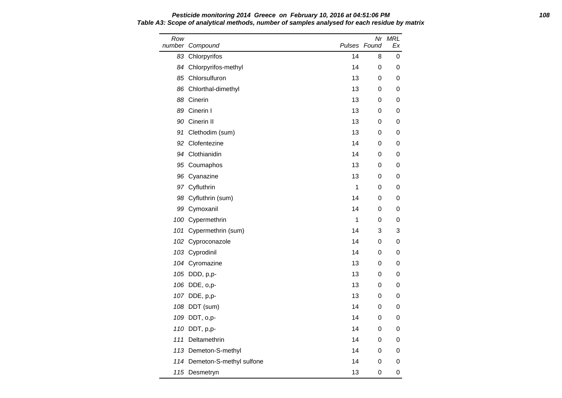### **Pesticide monitoring 2014 Greece on February 10, 2016 at 04:51:06 PM 108 Table A3: Scope of analytical methods, number of samples analysed for each residue by matrix**

| Row | number Compound              |    | Nr<br>Pulses Found | MRL<br>Еx |
|-----|------------------------------|----|--------------------|-----------|
|     | 83 Chlorpyrifos              | 14 | 8                  | 0         |
|     | 84 Chlorpyrifos-methyl       | 14 | 0                  | 0         |
|     | 85 Chlorsulfuron             | 13 | 0                  | 0         |
|     | 86 Chlorthal-dimethyl        | 13 | 0                  | 0         |
|     | 88 Cinerin                   | 13 | 0                  | 0         |
|     | 89 Cinerin I                 | 13 | 0                  | 0         |
|     | 90 Cinerin II                | 13 | 0                  | 0         |
|     | 91 Clethodim (sum)           | 13 | 0                  | 0         |
|     | 92 Clofentezine              | 14 | 0                  | 0         |
|     | 94 Clothianidin              | 14 | 0                  | 0         |
|     | 95 Coumaphos                 | 13 | 0                  | 0         |
|     | 96 Cyanazine                 | 13 | 0                  | 0         |
|     | 97 Cyfluthrin                | 1  | 0                  | 0         |
|     | 98 Cyfluthrin (sum)          | 14 | 0                  | 0         |
|     | 99 Cymoxanil                 | 14 | 0                  | 0         |
|     | 100 Cypermethrin             | 1  | 0                  | 0         |
|     | 101 Cypermethrin (sum)       | 14 | 3                  | 3         |
|     | 102 Cyproconazole            | 14 | 0                  | 0         |
|     | 103 Cyprodinil               | 14 | 0                  | 0         |
|     | 104 Cyromazine               | 13 | 0                  | 0         |
|     | 105 DDD, p,p-                | 13 | 0                  | 0         |
|     | 106 DDE, o,p-                | 13 | 0                  | 0         |
|     | 107 DDE, p,p-                | 13 | 0                  | 0         |
|     | 108 DDT (sum)                | 14 | 0                  | 0         |
|     | 109 DDT, o,p-                | 14 | 0                  | 0         |
|     | 110 DDT, p,p-                | 14 | 0                  | 0         |
|     | 111 Deltamethrin             | 14 | 0                  | 0         |
|     | 113 Demeton-S-methyl         | 14 | 0                  | 0         |
|     | 114 Demeton-S-methyl sulfone | 14 | 0                  | 0         |
|     | 115 Desmetryn                | 13 | 0                  | 0         |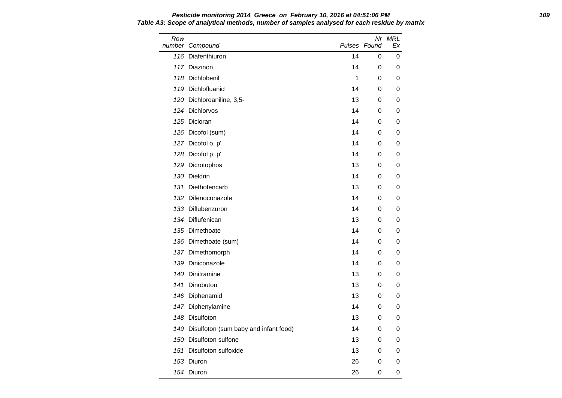Row number Compound Nr MRL Pulses Found Ex 116 Diafenthiuron 116 Diafenthiuron 116 Diafenthiuron 117 Diazinon 14 0 0 118 Dichlobenil **118 Dichlobenil** 1 0 0 119 Dichlofluanid 14 0 0 120 Dichloroaniline, 3,5-<br>
13 0 0 124 Dichlorvos 14 0 0 125 Dicloran 14 0 0 126 Dicofol (sum) 14 0 0 127 Dicofol o, p' 14 0 0 128 Dicofol p, p' 14 0 0 129 Dicrotophos 13 0 0 130 Dieldrin 14 0 0 131 Diethofencarb 13 0 0 132 Difenoconazole 14 0 0 133 Diflubenzuron 14 0 0 134 Diflufenican 13 0 0 135 Dimethoate 14 0 0 136 Dimethoate (sum) 14 0 0 137 Dimethomorph 14 0 0 139 Diniconazole 14 0 0 140 Dinitramine 13 0 0 141 Dinobuton **13 0 0** 0 146 Diphenamid 13 0 0 147 Diphenylamine 14 0 0 148 Disulfoton 13 0 0 149 Disulfoton (sum baby and infant food) 14 0 0 150 Disulfoton sulfone 13 0 0 151 Disulfoton sulfoxide 13 0 0 153 Diuron 26 0 0

154 Diuron 26 0 0

**Pesticide monitoring 2014 Greece on February 10, 2016 at 04:51:06 PM 109 Table A3: Scope of analytical methods, number of samples analysed for each residue by matrix**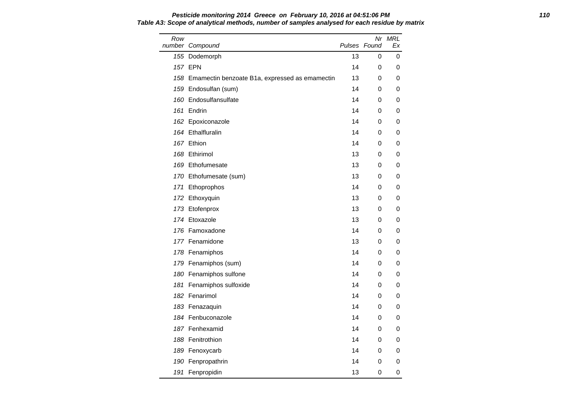#### **Pesticide monitoring 2014 Greece on February 10, 2016 at 04:51:06 PM 110 Table A3: Scope of analytical methods, number of samples analysed for each residue by matrix**

| Row | number Compound                                    | Pulses Found | Nr | MRL<br>Еx |
|-----|----------------------------------------------------|--------------|----|-----------|
|     | 155 Dodemorph                                      | 13           | 0  | 0         |
|     | 157 EPN                                            | 14           | 0  | 0         |
|     | 158 Emamectin benzoate B1a, expressed as emamectin | 13           | 0  | 0         |
|     | 159 Endosulfan (sum)                               | 14           | 0  | 0         |
|     | 160 Endosulfansulfate                              | 14           | 0  | 0         |
|     | 161 Endrin                                         | 14           | 0  | 0         |
|     | 162 Epoxiconazole                                  | 14           | 0  | 0         |
|     | 164 Ethalfluralin                                  | 14           | 0  | 0         |
|     | 167 Ethion                                         | 14           | 0  | 0         |
|     | 168 Ethirimol                                      | 13           | 0  | 0         |
|     | 169 Ethofumesate                                   | 13           | 0  | 0         |
|     | 170 Ethofumesate (sum)                             | 13           | 0  | 0         |
|     | 171 Ethoprophos                                    | 14           | 0  | 0         |
|     | 172 Ethoxyquin                                     | 13           | 0  | 0         |
|     | 173 Etofenprox                                     | 13           | 0  | 0         |
|     | 174 Etoxazole                                      | 13           | 0  | 0         |
|     | 176 Famoxadone                                     | 14           | 0  | 0         |
|     | 177 Fenamidone                                     | 13           | 0  | 0         |
|     | 178 Fenamiphos                                     | 14           | 0  | 0         |
|     | 179 Fenamiphos (sum)                               | 14           | 0  | 0         |
|     | 180 Fenamiphos sulfone                             | 14           | 0  | 0         |
|     | 181 Fenamiphos sulfoxide                           | 14           | 0  | 0         |
|     | 182 Fenarimol                                      | 14           | 0  | 0         |
|     | 183 Fenazaquin                                     | 14           | 0  | 0         |
|     | 184 Fenbuconazole                                  | 14           | 0  | 0         |
|     | 187 Fenhexamid                                     | 14           | 0  | 0         |
|     | 188 Fenitrothion                                   | 14           | 0  | 0         |
|     | 189 Fenoxycarb                                     | 14           | 0  | 0         |
|     | 190 Fenpropathrin                                  | 14           | 0  | 0         |
|     | 191 Fenpropidin                                    | 13           | 0  | 0         |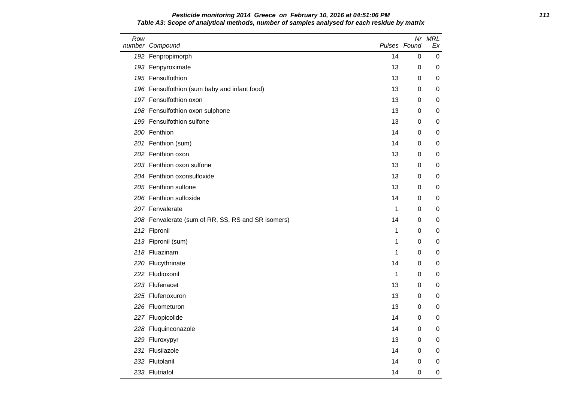#### **Pesticide monitoring 2014 Greece on February 10, 2016 at 04:51:06 PM 111 Table A3: Scope of analytical methods, number of samples analysed for each residue by matrix**

| Row | number Compound                                    | Pulses Found |   | Nr MRL<br>Еx |
|-----|----------------------------------------------------|--------------|---|--------------|
|     | 192 Fenpropimorph                                  | 14           | 0 | 0            |
|     | 193 Fenpyroximate                                  | 13           | 0 | 0            |
|     | 195 Fensulfothion                                  | 13           | 0 | 0            |
|     | 196 Fensulfothion (sum baby and infant food)       | 13           | 0 | 0            |
|     | 197 Fensulfothion oxon                             | 13           | 0 | 0            |
|     | 198 Fensulfothion oxon sulphone                    | 13           | 0 | 0            |
|     | 199 Fensulfothion sulfone                          | 13           | 0 | 0            |
|     | 200 Fenthion                                       | 14           | 0 | 0            |
|     | 201 Fenthion (sum)                                 | 14           | 0 | 0            |
|     | 202 Fenthion oxon                                  | 13           | 0 | 0            |
|     | 203 Fenthion oxon sulfone                          | 13           | 0 | 0            |
|     | 204 Fenthion oxonsulfoxide                         | 13           | 0 | 0            |
|     | 205 Fenthion sulfone                               | 13           | 0 | 0            |
|     | 206 Fenthion sulfoxide                             | 14           | 0 | 0            |
|     | 207 Fenvalerate                                    | 1            | 0 | 0            |
|     | 208 Fenvalerate (sum of RR, SS, RS and SR isomers) | 14           | 0 | 0            |
|     | 212 Fipronil                                       | 1            | 0 | 0            |
|     | 213 Fipronil (sum)                                 | 1            | 0 | 0            |
|     | 218 Fluazinam                                      | 1            | 0 | 0            |
|     | 220 Flucythrinate                                  | 14           | 0 | 0            |
|     | 222 Fludioxonil                                    | $\mathbf 1$  | 0 | 0            |
|     | 223 Flufenacet                                     | 13           | 0 | 0            |
|     | 225 Flufenoxuron                                   | 13           | 0 | 0            |
|     | 226 Fluometuron                                    | 13           | 0 | 0            |
|     | 227 Fluopicolide                                   | 14           | 0 | 0            |
|     | 228 Fluquinconazole                                | 14           | 0 | 0            |
|     | 229 Fluroxypyr                                     | 13           | 0 | 0            |
|     | 231 Flusilazole                                    | 14           | 0 | 0            |
|     | 232 Flutolanil                                     | 14           | 0 | 0            |
|     | 233 Flutriafol                                     | 14           | 0 | 0            |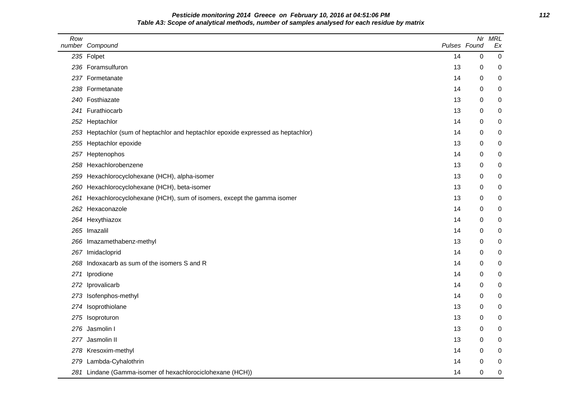**Pesticide monitoring 2014 Greece on February 10, 2016 at 04:51:06 PM 112 Table A3: Scope of analytical methods, number of samples analysed for each residue by matrix**

| Row | number Compound                                                               | Pulses Found |   | Nr MRL<br>Ex |
|-----|-------------------------------------------------------------------------------|--------------|---|--------------|
|     | 235 Folpet                                                                    | 14           | 0 | $\pmb{0}$    |
|     | 236 Foramsulfuron                                                             | 13           | 0 | 0            |
|     | 237 Formetanate                                                               | 14           | 0 | 0            |
|     | 238 Formetanate                                                               | 14           | 0 | 0            |
|     | 240 Fosthiazate                                                               | 13           | 0 | 0            |
|     | 241 Furathiocarb                                                              | 13           | 0 | 0            |
|     | 252 Heptachlor                                                                | 14           | 0 | 0            |
| 253 | Heptachlor (sum of heptachlor and heptachlor epoxide expressed as heptachlor) | 14           | 0 | 0            |
|     | 255 Heptachlor epoxide                                                        | 13           | 0 | 0            |
|     | 257 Heptenophos                                                               | 14           | 0 | 0            |
|     | 258 Hexachlorobenzene                                                         | 13           | 0 | 0            |
| 259 | Hexachlorocyclohexane (HCH), alpha-isomer                                     | 13           | 0 | 0            |
| 260 | Hexachlorocyclohexane (HCH), beta-isomer                                      | 13           | 0 | 0            |
| 261 | Hexachlorocyclohexane (HCH), sum of isomers, except the gamma isomer          | 13           | 0 | 0            |
|     | 262 Hexaconazole                                                              | 14           | 0 | 0            |
|     | 264 Hexythiazox                                                               | 14           | 0 | 0            |
|     | 265 Imazalil                                                                  | 14           | 0 | 0            |
|     | 266 Imazamethabenz-methyl                                                     | 13           | 0 | 0            |
| 267 | Imidacloprid                                                                  | 14           | 0 | 0            |
| 268 | Indoxacarb as sum of the isomers S and R                                      | 14           | 0 | 0            |
| 271 | Iprodione                                                                     | 14           | 0 | 0            |
| 272 | Iprovalicarb                                                                  | 14           | 0 | 0            |
| 273 | Isofenphos-methyl                                                             | 14           | 0 | 0            |
|     | 274 Isoprothiolane                                                            | 13           | 0 | 0            |
| 275 | Isoproturon                                                                   | 13           | 0 | 0            |
| 276 | Jasmolin I                                                                    | 13           | 0 | 0            |
|     | 277 Jasmolin II                                                               | 13           | 0 | 0            |
|     | 278 Kresoxim-methyl                                                           | 14           | 0 | 0            |
|     | 279 Lambda-Cyhalothrin                                                        | 14           | 0 | 0            |
|     | 281 Lindane (Gamma-isomer of hexachlorociclohexane (HCH))                     | 14           | 0 | 0            |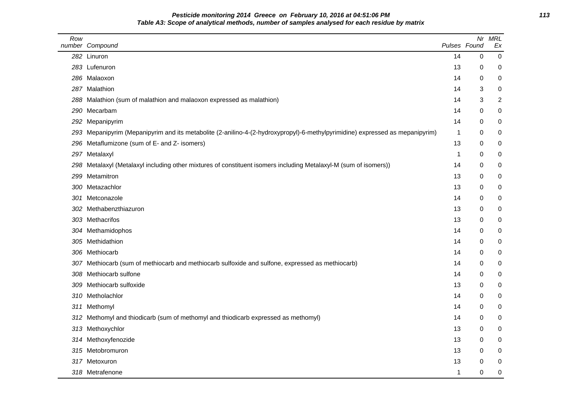# **Pesticide monitoring 2014 Greece on February 10, 2016 at 04:51:06 PM 113 Table A3: Scope of analytical methods, number of samples analysed for each residue by matrix**

| Row | number Compound                                                                                                          | Pulses Found | Nr       | <b>MRL</b><br>Ex |
|-----|--------------------------------------------------------------------------------------------------------------------------|--------------|----------|------------------|
|     | 282 Linuron                                                                                                              | 14           | 0        | 0                |
|     | 283 Lufenuron                                                                                                            | 13           | 0        | 0                |
|     | 286 Malaoxon                                                                                                             | 14           | 0        | 0                |
|     | 287 Malathion                                                                                                            | 14           | 3        | 0                |
|     | 288 Malathion (sum of malathion and malaoxon expressed as malathion)                                                     | 14           | 3        | 2                |
|     | 290 Mecarbam                                                                                                             | 14           | 0        | 0                |
| 292 | Mepanipyrim                                                                                                              | 14           | 0        | 0                |
| 293 | Mepanipyrim (Mepanipyrim and its metabolite (2-anilino-4-(2-hydroxypropyl)-6-methylpyrimidine) expressed as mepanipyrim) | 1            | 0        | 0                |
| 296 | Metaflumizone (sum of E- and Z- isomers)                                                                                 | 13           | 0        | 0                |
|     | 297 Metalaxyl                                                                                                            | 1            | 0        | 0                |
| 298 | Metalaxyl (Metalaxyl including other mixtures of constituent isomers including Metalaxyl-M (sum of isomers))             | 14           | 0        | 0                |
| 299 | Metamitron                                                                                                               | 13           | 0        | 0                |
|     | 300 Metazachlor                                                                                                          | 13           | 0        | 0                |
| 301 | Metconazole                                                                                                              | 14           | 0        | $\pmb{0}$        |
|     | 302 Methabenzthiazuron                                                                                                   | 13           | 0        | 0                |
|     | 303 Methacrifos                                                                                                          | 13           | 0        | 0                |
|     | 304 Methamidophos                                                                                                        | 14           | $\Omega$ | 0                |
|     | 305 Methidathion                                                                                                         | 14           | 0        | 0                |
|     | 306 Methiocarb                                                                                                           | 14           | 0        | 0                |
|     | 307 Methiocarb (sum of methiocarb and methiocarb sulfoxide and sulfone, expressed as methiocarb)                         | 14           | 0        | $\pmb{0}$        |
|     | 308 Methiocarb sulfone                                                                                                   | 14           | 0        | $\pmb{0}$        |
| 309 | Methiocarb sulfoxide                                                                                                     | 13           | 0        | 0                |
|     | 310 Metholachlor                                                                                                         | 14           | 0        | $\pmb{0}$        |
|     | 311 Methomyl                                                                                                             | 14           | 0        | 0                |
| 312 | Methomyl and thiodicarb (sum of methomyl and thiodicarb expressed as methomyl)                                           | 14           | 0        | 0                |
|     | 313 Methoxychlor                                                                                                         | 13           | 0        | 0                |
|     | 314 Methoxyfenozide                                                                                                      | 13           | 0        | 0                |
|     | 315 Metobromuron                                                                                                         | 13           | 0        | $\pmb{0}$        |
|     | 317 Metoxuron                                                                                                            | 13           | 0        | 0                |
|     | 318 Metrafenone                                                                                                          | 1            | 0        | 0                |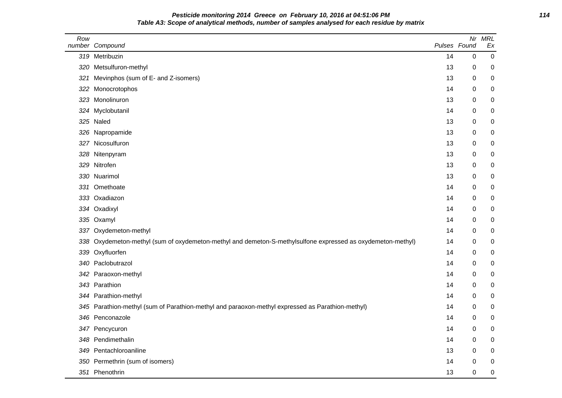**Pesticide monitoring 2014 Greece on February 10, 2016 at 04:51:06 PM 114 Table A3: Scope of analytical methods, number of samples analysed for each residue by matrix**

| Row | number Compound                                                                                             | Pulses Found | Nr          | <b>MRL</b><br>Ex |
|-----|-------------------------------------------------------------------------------------------------------------|--------------|-------------|------------------|
|     | 319 Metribuzin                                                                                              | 14           | 0           | $\pmb{0}$        |
| 320 | Metsulfuron-methyl                                                                                          | 13           | 0           | 0                |
| 321 | Mevinphos (sum of E- and Z-isomers)                                                                         | 13           | 0           | 0                |
| 322 | Monocrotophos                                                                                               | 14           | 0           | 0                |
|     | 323 Monolinuron                                                                                             | 13           | 0           | 0                |
|     | 324 Myclobutanil                                                                                            | 14           | 0           | 0                |
|     | 325 Naled                                                                                                   | 13           | 0           | 0                |
|     | 326 Napropamide                                                                                             | 13           | 0           | 0                |
|     | 327 Nicosulfuron                                                                                            | 13           | 0           | 0                |
|     | 328 Nitenpyram                                                                                              | 13           | 0           | 0                |
| 329 | Nitrofen                                                                                                    | 13           | 0           | 0                |
|     | 330 Nuarimol                                                                                                | 13           | 0           | 0                |
| 331 | Omethoate                                                                                                   | 14           | 0           | 0                |
|     | 333 Oxadiazon                                                                                               | 14           | 0           | 0                |
|     | 334 Oxadixyl                                                                                                | 14           | 0           | 0                |
|     | 335 Oxamyl                                                                                                  | 14           | 0           | 0                |
|     | 337 Oxydemeton-methyl                                                                                       | 14           | 0           | 0                |
|     | 338 Oxydemeton-methyl (sum of oxydemeton-methyl and demeton-S-methylsulfone expressed as oxydemeton-methyl) | 14           | 0           | 0                |
|     | 339 Oxyfluorfen                                                                                             | 14           | $\mathbf 0$ | 0                |
|     | 340 Paclobutrazol                                                                                           | 14           | 0           | 0                |
|     | 342 Paraoxon-methyl                                                                                         | 14           | 0           | 0                |
|     | 343 Parathion                                                                                               | 14           | 0           | 0                |
|     | 344 Parathion-methyl                                                                                        | 14           | 0           | 0                |
|     | 345 Parathion-methyl (sum of Parathion-methyl and paraoxon-methyl expressed as Parathion-methyl)            | 14           | 0           | 0                |
| 346 | Penconazole                                                                                                 | 14           | 0           | 0                |
|     | 347 Pencycuron                                                                                              | 14           | 0           | 0                |
| 348 | Pendimethalin                                                                                               | 14           | 0           | 0                |
| 349 | Pentachloroaniline                                                                                          | 13           | 0           | 0                |
|     | 350 Permethrin (sum of isomers)                                                                             | 14           | 0           | 0                |
|     | 351 Phenothrin                                                                                              | 13           | $\mathbf 0$ | 0                |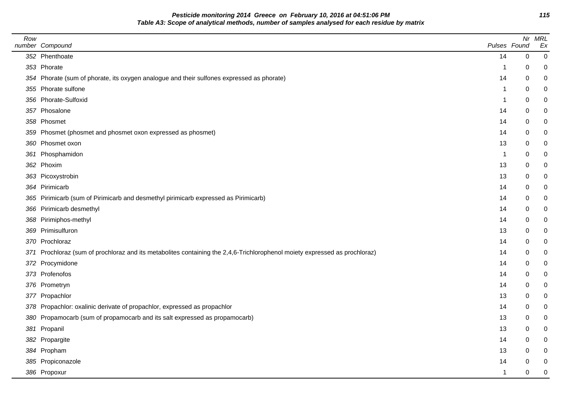**Pesticide monitoring 2014 Greece on February 10, 2016 at 04:51:06 PM 115 Table A3: Scope of analytical methods, number of samples analysed for each residue by matrix**

| Row | number Compound                                                                                                            |                | Pulses Found | Nr MRL<br>Ex |
|-----|----------------------------------------------------------------------------------------------------------------------------|----------------|--------------|--------------|
|     | 352 Phenthoate                                                                                                             | 14             | 0            | $\mathbf 0$  |
|     | 353 Phorate                                                                                                                | -1             | 0            | 0            |
|     | 354 Phorate (sum of phorate, its oxygen analogue and their sulfones expressed as phorate)                                  | 14             | 0            | $\mathbf 0$  |
|     | 355 Phorate sulfone                                                                                                        | $\overline{1}$ | $\mathbf 0$  | 0            |
|     | 356 Phorate-Sulfoxid                                                                                                       | 1              | 0            | 0            |
|     | 357 Phosalone                                                                                                              | 14             | $\mathbf 0$  | 0            |
|     | 358 Phosmet                                                                                                                | 14             | $\mathbf 0$  | 0            |
|     | 359 Phosmet (phosmet and phosmet oxon expressed as phosmet)                                                                | 14             | 0            | 0            |
|     | 360 Phosmet oxon                                                                                                           | 13             | $\mathbf 0$  | 0            |
|     | 361 Phosphamidon                                                                                                           | $\overline{1}$ | 0            | 0            |
|     | 362 Phoxim                                                                                                                 | 13             | 0            | 0            |
|     | 363 Picoxystrobin                                                                                                          | 13             | $\mathbf 0$  | 0            |
|     | 364 Pirimicarb                                                                                                             | 14             | 0            | 0            |
|     | 365 Pirimicarb (sum of Pirimicarb and desmethyl pirimicarb expressed as Pirimicarb)                                        | 14             | 0            | 0            |
|     | 366 Pirimicarb desmethyl                                                                                                   | 14             | $\mathbf 0$  | 0            |
|     | 368 Pirimiphos-methyl                                                                                                      | 14             | 0            | 0            |
|     | 369 Primisulfuron                                                                                                          | 13             | 0            | 0            |
|     | 370 Prochloraz                                                                                                             | 14             | $\mathbf 0$  | 0            |
|     | 371 Prochloraz (sum of prochloraz and its metabolites containing the 2,4,6-Trichlorophenol moiety expressed as prochloraz) | 14             | 0            | 0            |
|     | 372 Procymidone                                                                                                            | 14             | 0            | 0            |
|     | 373 Profenofos                                                                                                             | 14             | $\mathbf 0$  | 0            |
|     | 376 Prometryn                                                                                                              | 14             | 0            | 0            |
|     | 377 Propachlor                                                                                                             | 13             | $\mathbf 0$  | 0            |
|     | 378 Propachlor: oxalinic derivate of propachlor, expressed as propachlor                                                   | 14             | 0            | 0            |
|     | 380 Propamocarb (sum of propamocarb and its salt expressed as propamocarb)                                                 | 13             | 0            | 0            |
|     | 381 Propanil                                                                                                               | 13             | 0            | 0            |
|     | 382 Propargite                                                                                                             | 14             | 0            | 0            |
|     | 384 Propham                                                                                                                | 13             | 0            | 0            |
|     | 385 Propiconazole                                                                                                          | 14             | 0            | 0            |
|     | 386 Propoxur                                                                                                               | $\overline{1}$ | $\Omega$     | 0            |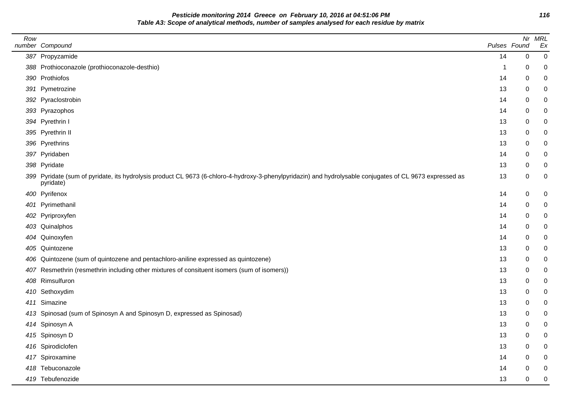**Pesticide monitoring 2014 Greece on February 10, 2016 at 04:51:06 PM 116 Table A3: Scope of analytical methods, number of samples analysed for each residue by matrix**

| Row | number Compound                                                                                                                                                       | Pulses Found |   | Nr MRL<br>Ex |
|-----|-----------------------------------------------------------------------------------------------------------------------------------------------------------------------|--------------|---|--------------|
|     | 387 Propyzamide                                                                                                                                                       | 14           | 0 | 0            |
|     | 388 Prothioconazole (prothioconazole-desthio)                                                                                                                         | -1           | 0 | 0            |
|     | 390 Prothiofos                                                                                                                                                        | 14           | 0 | 0            |
|     | 391 Pymetrozine                                                                                                                                                       | 13           | 0 |              |
|     | 392 Pyraclostrobin                                                                                                                                                    | 14           | 0 | 0            |
|     | 393 Pyrazophos                                                                                                                                                        | 14           | 0 |              |
|     | 394 Pyrethrin I                                                                                                                                                       | 13           | 0 |              |
|     | 395 Pyrethrin II                                                                                                                                                      | 13           | 0 |              |
|     | 396 Pyrethrins                                                                                                                                                        | 13           | 0 |              |
|     | 397 Pyridaben                                                                                                                                                         | 14           | 0 |              |
|     | 398 Pyridate                                                                                                                                                          | 13           | 0 |              |
|     | 399 Pyridate (sum of pyridate, its hydrolysis product CL 9673 (6-chloro-4-hydroxy-3-phenylpyridazin) and hydrolysable conjugates of CL 9673 expressed as<br>pyridate) | 13           | 0 | 0            |
|     | 400 Pyrifenox                                                                                                                                                         | 14           | 0 | 0            |
|     | 401 Pyrimethanil                                                                                                                                                      | 14           | 0 | 0            |
|     | 402 Pyriproxyfen                                                                                                                                                      | 14           | 0 |              |
|     | 403 Quinalphos                                                                                                                                                        | 14           | 0 |              |
|     | 404 Quinoxyfen                                                                                                                                                        | 14           | 0 | 0            |
|     | 405 Quintozene                                                                                                                                                        | 13           | 0 |              |
|     | 406 Quintozene (sum of quintozene and pentachloro-aniline expressed as quintozene)                                                                                    | 13           | 0 |              |
|     | 407 Resmethrin (resmethrin including other mixtures of consituent isomers (sum of isomers))                                                                           | 13           | 0 | 0            |
|     | 408 Rimsulfuron                                                                                                                                                       | 13           | 0 |              |
|     | 410 Sethoxydim                                                                                                                                                        | 13           | 0 | 0            |
|     | 411 Simazine                                                                                                                                                          | 13           | 0 |              |
|     | 413 Spinosad (sum of Spinosyn A and Spinosyn D, expressed as Spinosad)                                                                                                | 13           | 0 |              |
|     | 414 Spinosyn A                                                                                                                                                        | 13           | 0 | 0            |
|     | 415 Spinosyn D                                                                                                                                                        | 13           | 0 | 0            |
|     | 416 Spirodiclofen                                                                                                                                                     | 13           | 0 |              |
|     | 417 Spiroxamine                                                                                                                                                       | 14           | 0 |              |
|     | 418 Tebuconazole                                                                                                                                                      | 14           | 0 |              |
|     | 419 Tebufenozide                                                                                                                                                      | 13           | 0 |              |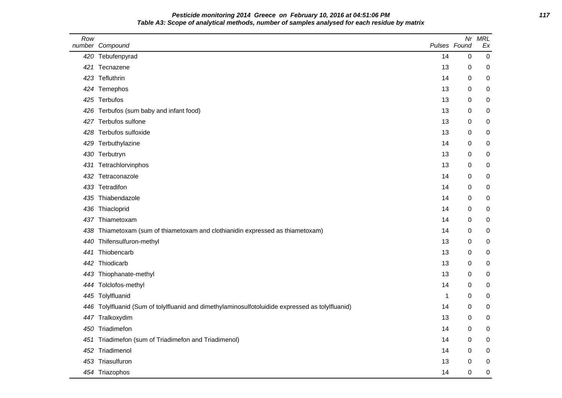# **Pesticide monitoring 2014 Greece on February 10, 2016 at 04:51:06 PM 117 Table A3: Scope of analytical methods, number of samples analysed for each residue by matrix**

| Row | number Compound                                                                                  | Pulses Found | Nr               | <b>MRL</b><br>Ex |
|-----|--------------------------------------------------------------------------------------------------|--------------|------------------|------------------|
|     | 420 Tebufenpyrad                                                                                 | 14           | 0                | 0                |
|     | 421 Tecnazene                                                                                    | 13           | 0                | 0                |
|     | 423 Tefluthrin                                                                                   | 14           | 0                | 0                |
|     | 424 Temephos                                                                                     | 13           | 0                | 0                |
|     | 425 Terbufos                                                                                     | 13           | $\mathbf 0$      | 0                |
|     | 426 Terbufos (sum baby and infant food)                                                          | 13           | 0                | 0                |
|     | 427 Terbufos sulfone                                                                             | 13           | 0                | 0                |
|     | 428 Terbufos sulfoxide                                                                           | 13           | 0                | 0                |
|     | 429 Terbuthylazine                                                                               | 14           | 0                | 0                |
|     | 430 Terbutryn                                                                                    | 13           | $\boldsymbol{0}$ | $\mathbf 0$      |
|     | 431 Tetrachlorvinphos                                                                            | 13           | 0                | 0                |
|     | 432 Tetraconazole                                                                                | 14           | 0                | 0                |
|     | 433 Tetradifon                                                                                   | 14           | 0                | 0                |
|     | 435 Thiabendazole                                                                                | 14           | 0                | 0                |
|     | 436 Thiacloprid                                                                                  | 14           | $\mathbf 0$      | 0                |
| 437 | Thiametoxam                                                                                      | 14           | 0                | 0                |
| 438 | Thiametoxam (sum of thiametoxam and clothianidin expressed as thiametoxam)                       | 14           | 0                | 0                |
|     | 440 Thifensulfuron-methyl                                                                        | 13           | 0                | 0                |
| 441 | Thiobencarb                                                                                      | 13           | 0                | 0                |
|     | 442 Thiodicarb                                                                                   | 13           | 0                | 0                |
|     | 443 Thiophanate-methyl                                                                           | 13           | 0                | 0                |
|     | 444 Tolclofos-methyl                                                                             | 14           | 0                | 0                |
|     | 445 Tolylfluanid                                                                                 | 1            | 0                | 0                |
|     | 446 Tolylfluanid (Sum of tolylfluanid and dimethylaminosulfotoluidide expressed as tolylfluanid) | 14           | $\mathbf 0$      | 0                |
|     | 447 Tralkoxydim                                                                                  | 13           | 0                | 0                |
|     | 450 Triadimefon                                                                                  | 14           | 0                | 0                |
|     | 451 Triadimefon (sum of Triadimefon and Triadimenol)                                             | 14           | $\boldsymbol{0}$ | 0                |
|     | 452 Triadimenol                                                                                  | 14           | 0                | $\mathbf 0$      |
|     | 453 Triasulfuron                                                                                 | 13           | $\mathbf 0$      | 0                |
|     | 454 Triazophos                                                                                   | 14           | $\mathbf 0$      | 0                |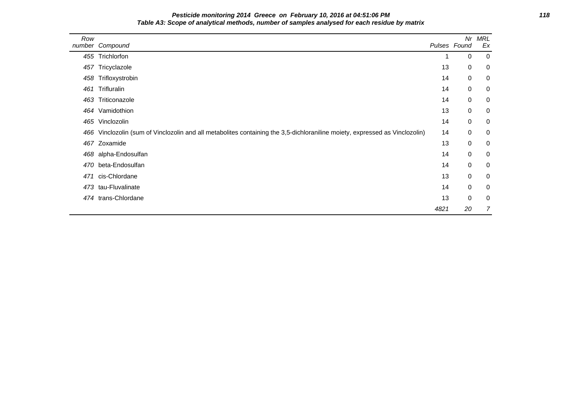# **Pesticide monitoring 2014 Greece on February 10, 2016 at 04:51:06 PM 118 Table A3: Scope of analytical methods, number of samples analysed for each residue by matrix**

| Row | number Compound                                                                                                             |      | Nr<br>Pulses Found | MRL<br>Ex      |
|-----|-----------------------------------------------------------------------------------------------------------------------------|------|--------------------|----------------|
|     | 455 Trichlorfon                                                                                                             |      | 0                  | $\overline{0}$ |
|     | 457 Tricyclazole                                                                                                            | 13   | 0                  | $\overline{0}$ |
|     | 458 Trifloxystrobin                                                                                                         | 14   | $\mathbf 0$        | $\mathbf 0$    |
| 461 | Trifluralin                                                                                                                 | 14   | 0                  | $\mathbf 0$    |
|     | 463 Triticonazole                                                                                                           | 14   | 0                  | $\mathbf 0$    |
|     | 464 Vamidothion                                                                                                             | 13   | 0                  | $\mathbf 0$    |
|     | 465 Vinclozolin                                                                                                             | 14   | 0                  | $\mathbf 0$    |
|     | 466 Vinclozolin (sum of Vinclozolin and all metabolites containing the 3,5-dichloraniline moiety, expressed as Vinclozolin) | 14   | $\mathbf 0$        | $\mathbf 0$    |
|     | 467 Zoxamide                                                                                                                | 13   | $\pmb{0}$          | $\mathbf 0$    |
|     | 468 alpha-Endosulfan                                                                                                        | 14   | 0                  | $\mathbf 0$    |
|     | 470 beta-Endosulfan                                                                                                         | 14   | 0                  | $\mathbf 0$    |
| 471 | cis-Chlordane                                                                                                               | 13   | 0                  | $\mathbf 0$    |
|     | 473 tau-Fluvalinate                                                                                                         | 14   | $\mathbf 0$        | $\mathbf 0$    |
|     | 474 trans-Chlordane                                                                                                         | 13   | 0                  | $\mathbf 0$    |
|     |                                                                                                                             | 4821 | 20                 | $\overline{7}$ |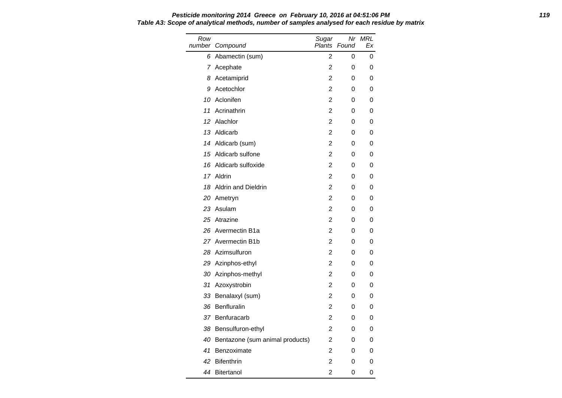#### **Pesticide monitoring 2014 Greece on February 10, 2016 at 04:51:06 PM 119 Table A3: Scope of analytical methods, number of samples analysed for each residue by matrix**

| Row | number Compound                 | Sugar<br>Plants | Nr<br>Found | <b>MRL</b><br>Еx |
|-----|---------------------------------|-----------------|-------------|------------------|
| 6   | Abamectin (sum)                 | $\overline{2}$  | 0           | 0                |
|     | 7 Acephate                      | 2               | 0           | 0                |
| 8   | Acetamiprid                     | 2               | 0           | 0                |
| 9   | Acetochlor                      | 2               | 0           | 0                |
| 10  | Aclonifen                       | 2               | 0           | 0                |
| 11  | Acrinathrin                     | 2               | 0           | 0                |
| 12  | Alachlor                        | $\overline{2}$  | 0           | 0                |
| 13  | Aldicarb                        | $\overline{2}$  | 0           | 0                |
|     | 14 Aldicarb (sum)               | 2               | 0           | 0                |
|     | 15 Aldicarb sulfone             | 2               | 0           | 0                |
| 16  | Aldicarb sulfoxide              | 2               | 0           | 0                |
|     | 17 Aldrin                       | 2               | 0           | 0                |
| 18  | <b>Aldrin and Dieldrin</b>      | 2               | 0           | 0                |
|     | 20 Ametryn                      | 2               | 0           | 0                |
|     | 23 Asulam                       | 2               | 0           | 0                |
|     | 25 Atrazine                     | 2               | 0           | 0                |
| 26  | Avermectin B1a                  | $\overline{2}$  | 0           | 0                |
|     | 27 Avermectin B1b               | 2               | 0           | 0                |
| 28  | Azimsulfuron                    | 2               | 0           | 0                |
|     | 29 Azinphos-ethyl               | 2               | 0           | 0                |
| 30  | Azinphos-methyl                 | 2               | 0           | 0                |
| 31  | Azoxystrobin                    | 2               | 0           | 0                |
| 33  | Benalaxyl (sum)                 | 2               | 0           | 0                |
| 36  | <b>Benfluralin</b>              | 2               | 0           | 0                |
| 37  | Benfuracarb                     | 2               | 0           | 0                |
| 38  | Bensulfuron-ethyl               | 2               | 0           | 0                |
| 40  | Bentazone (sum animal products) | 2               | 0           | 0                |
| 41  | Benzoximate                     | $\overline{2}$  | 0           | 0                |
| 42  | <b>Bifenthrin</b>               | 2               | 0           | 0                |
| 44  | <b>Bitertanol</b>               | 2               | 0           | 0                |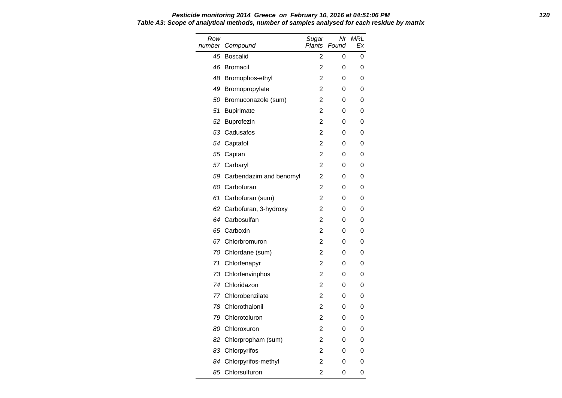#### **Pesticide monitoring 2014 Greece on February 10, 2016 at 04:51:06 PM 120 Table A3: Scope of analytical methods, number of samples analysed for each residue by matrix**

| Row<br>number | Compound                | Sugar<br><b>Plants</b> | Nr<br>Found | MRL<br>Еx |
|---------------|-------------------------|------------------------|-------------|-----------|
| 45            | <b>Boscalid</b>         | 2                      | 0           | 0         |
| 46            | <b>Bromacil</b>         | 2                      | 0           | 0         |
| 48            | Bromophos-ethyl         | 2                      | 0           | 0         |
| 49            | Bromopropylate          | 2                      | 0           | 0         |
| 50            | Bromuconazole (sum)     | 2                      | 0           | 0         |
| 51            | <b>Bupirimate</b>       | 2                      | 0           | 0         |
| 52            | <b>Buprofezin</b>       | $\overline{2}$         | 0           | 0         |
| 53            | Cadusafos               | $\overline{2}$         | 0           | 0         |
| 54            | Captafol                | $\overline{2}$         | 0           | 0         |
|               | 55 Captan               | 2                      | 0           | 0         |
|               | 57 Carbaryl             | $\overline{2}$         | 0           | 0         |
| 59            | Carbendazim and benomyl | 2                      | 0           | 0         |
| 60            | Carbofuran              | $\overline{2}$         | 0           | 0         |
| 61            | Carbofuran (sum)        | 2                      | 0           | 0         |
| 62            | Carbofuran, 3-hydroxy   | 2                      | 0           | 0         |
| 64            | Carbosulfan             | 2                      | 0           | 0         |
| 65            | Carboxin                | $\overline{2}$         | 0           | 0         |
| 67.           | Chlorbromuron           | 2                      | 0           | 0         |
| 70            | Chlordane (sum)         | $\overline{2}$         | 0           | 0         |
|               | 71 Chlorfenapyr         | $\overline{2}$         | 0           | 0         |
| 73            | Chlorfenvinphos         | 2                      | 0           | 0         |
| 74            | Chloridazon             | $\overline{2}$         | 0           | 0         |
| 77            | Chlorobenzilate         | $\overline{2}$         | 0           | 0         |
| 78            | Chlorothalonil          | 2                      | 0           | 0         |
| 79            | Chlorotoluron           | 2                      | 0           | 0         |
| 80            | Chloroxuron             | 2                      | 0           | 0         |
| 82            | Chlorpropham (sum)      | 2                      | 0           | 0         |
| 83            | Chlorpyrifos            | 2                      | 0           | 0         |
| 84            | Chlorpyrifos-methyl     | $\mathfrak{p}$         | 0           | 0         |
| 85            | Chlorsulfuron           | 2                      | 0           | 0         |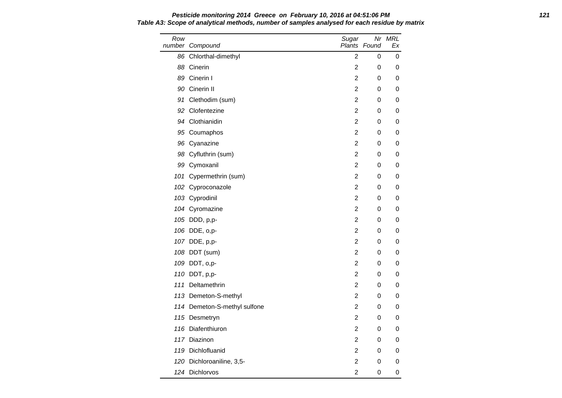| Row | number Compound              | Sugar            | Plants Found | Nr MRL<br>Ex |
|-----|------------------------------|------------------|--------------|--------------|
|     | 86 Chlorthal-dimethyl        | $\overline{2}$   | 0            | 0            |
|     | 88 Cinerin                   | $\overline{c}$   | 0            | 0            |
|     | 89 Cinerin I                 | $\overline{c}$   | 0            | 0            |
|     | 90 Cinerin II                | 2                | 0            | 0            |
|     | 91 Clethodim (sum)           | 2                | 0            | 0            |
|     | 92 Clofentezine              | 2                | 0            | 0            |
|     | 94 Clothianidin              | $\boldsymbol{2}$ | 0            | 0            |
|     | 95 Coumaphos                 | $\overline{c}$   | 0            | 0            |
|     | 96 Cyanazine                 | 2                | 0            | 0            |
|     | 98 Cyfluthrin (sum)          | $\overline{c}$   | 0            | 0            |
|     | 99 Cymoxanil                 | $\overline{c}$   | 0            | 0            |
|     | 101 Cypermethrin (sum)       | $\overline{c}$   | 0            | 0            |
|     | 102 Cyproconazole            | $\overline{c}$   | 0            | 0            |
|     | 103 Cyprodinil               | $\overline{c}$   | 0            | 0            |
|     | 104 Cyromazine               | 2                | 0            | 0            |
|     | 105 DDD, p,p-                | 2                | 0            | 0            |
|     | 106 DDE, o,p-                | 2                | 0            | 0            |
|     | 107 DDE, p,p-                | $\overline{c}$   | 0            | 0            |
|     | 108 DDT (sum)                | 2                | 0            | 0            |
|     | 109 DDT, o,p-                | $\overline{c}$   | 0            | 0            |
|     | 110 DDT, p,p-                | $\overline{c}$   | 0            | 0            |
|     | 111 Deltamethrin             | 2                | 0            | 0            |
|     | 113 Demeton-S-methyl         | $\boldsymbol{2}$ | 0            | 0            |
|     | 114 Demeton-S-methyl sulfone | $\overline{c}$   | 0            | 0            |
|     | 115 Desmetryn                | $\boldsymbol{2}$ | 0            | 0            |
|     | 116 Diafenthiuron            | 2                | 0            | 0            |
|     | 117 Diazinon                 | $\overline{c}$   | 0            | 0            |
|     | 119 Dichlofluanid            | 2                | 0            | 0            |
|     | 120 Dichloroaniline, 3,5-    | $\overline{c}$   | 0            | 0            |
|     | 124 Dichlorvos               | $\overline{c}$   | 0            | 0            |

# **Pesticide monitoring 2014 Greece on February 10, 2016 at 04:51:06 PM 121 Table A3: Scope of analytical methods, number of samples analysed for each residue by matrix**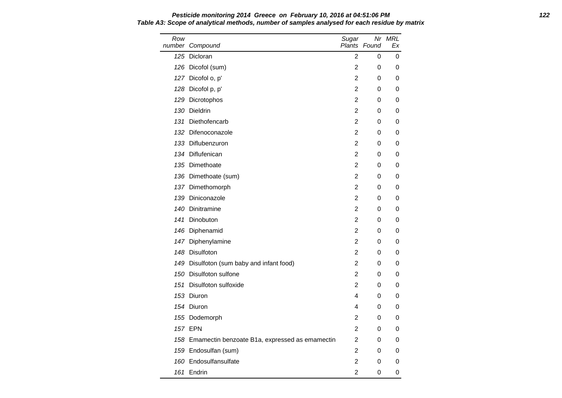Row number Compound Sugar Plants Found Nr MRL Ex 125 Dicloran 2 0 0 126 Dicofol (sum) 2 0 0 127 Dicofol o, p' 2 0 0 128 Dicofol p, p' 2 0 0 129 Dicrotophos 2 0 0 130 Dieldrin 2 0 0 131 Diethofencarb 2 0 0 132 Difenoconazole 2 0 0 133 Diflubenzuron 2 0 0 134 Diflufenican 2 0 0 135 Dimethoate **2** 0 0 136 Dimethoate (sum) 2 0 0 137 Dimethomorph 2 0 0 139 Diniconazole 2 0 0 140 Dinitramine 2 0 0 141 Dinobuton 2 0 0 146 Diphenamid 2 0 0 147 Diphenylamine 2 0 0 148 Disulfoton 2 0 0 149 Disulfoton (sum baby and infant food) 2 0 0 150 Disulfoton sulfone 2 0 0 0 151 Disulfoton sulfoxide 2 0 0 153 Diuron 4 0 0 154 Diuron **154 Diuron 164 Diuron 164 Diuron** 164 Diuron 165 Diuron 165 Diuron 165 Diuron 165 Diuron 165 Diuron 1 155 Dodemorph 2 0 0 157 EPN 2 0 0 158 Emamectin benzoate B1a, expressed as emamectin 2 0 0 159 Endosulfan (sum) 2 0 0 160 Endosulfansulfate and the control of the control of the control of the control of the control of the control of the control of the control of the control of the control of the control of the control of the control of t 161 Endrin 2 0 0

# **Pesticide monitoring 2014 Greece on February 10, 2016 at 04:51:06 PM 122 Table A3: Scope of analytical methods, number of samples analysed for each residue by matrix**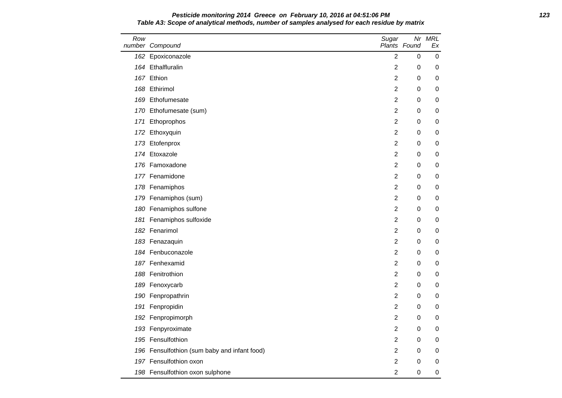#### **Pesticide monitoring 2014 Greece on February 10, 2016 at 04:51:06 PM 123 Table A3: Scope of analytical methods, number of samples analysed for each residue by matrix**

| Row | number Compound                              | Sugar          | Plants Found | Nr MRL<br>Еx |
|-----|----------------------------------------------|----------------|--------------|--------------|
| 162 | Epoxiconazole                                | 2              | $\Omega$     | 0            |
|     | 164 Ethalfluralin                            | 2              | 0            | 0            |
|     | 167 Ethion                                   | $\overline{c}$ | 0            | 0            |
|     | 168 Ethirimol                                | $\overline{2}$ | 0            | 0            |
|     | 169 Ethofumesate                             | 2              | 0            | 0            |
|     | 170 Ethofumesate (sum)                       | $\overline{c}$ | 0            | 0            |
| 171 | Ethoprophos                                  | $\overline{c}$ | 0            | 0            |
| 172 | Ethoxyquin                                   | $\overline{c}$ | 0            | 0            |
| 173 | Etofenprox                                   | $\overline{2}$ | 0            | 0            |
|     | 174 Etoxazole                                | $\overline{c}$ | 0            | 0            |
|     | 176 Famoxadone                               | $\overline{c}$ | 0            | 0            |
|     | 177 Fenamidone                               | $\overline{c}$ | 0            | 0            |
|     | 178 Fenamiphos                               | 2              | 0            | 0            |
|     | 179 Fenamiphos (sum)                         | 2              | 0            | 0            |
|     | 180 Fenamiphos sulfone                       | $\overline{2}$ | 0            | 0            |
|     | 181 Fenamiphos sulfoxide                     | $\overline{c}$ | 0            | 0            |
|     | 182 Fenarimol                                | $\overline{c}$ | 0            | 0            |
|     | 183 Fenazaquin                               | 2              | 0            | 0            |
|     | 184 Fenbuconazole                            | $\overline{2}$ | 0            | 0            |
|     | 187 Fenhexamid                               | $\overline{c}$ | 0            | 0            |
|     | 188 Fenitrothion                             | $\overline{c}$ | 0            | 0            |
|     | 189 Fenoxycarb                               | $\overline{c}$ | 0            | 0            |
|     | 190 Fenpropathrin                            | $\overline{2}$ | 0            | 0            |
| 191 | Fenpropidin                                  | $\overline{c}$ | 0            | 0            |
|     | 192 Fenpropimorph                            | $\overline{2}$ | 0            | 0            |
|     | 193 Fenpyroximate                            | 2              | 0            | 0            |
|     | 195 Fensulfothion                            | $\overline{c}$ | 0            | 0            |
|     | 196 Fensulfothion (sum baby and infant food) | $\overline{c}$ | 0            | 0            |
|     | 197 Fensulfothion oxon                       | $\overline{c}$ | 0            | 0            |
|     | 198 Fensulfothion oxon sulphone              | $\overline{2}$ | 0            | 0            |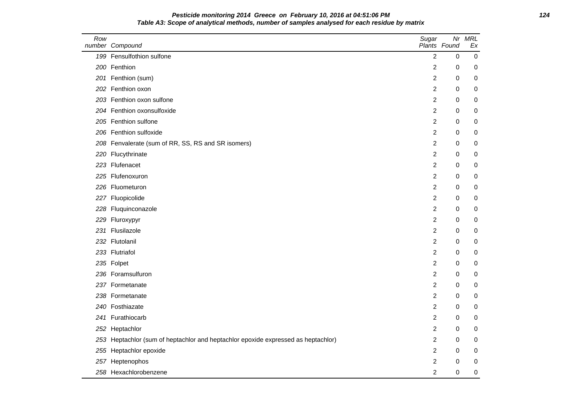# **Pesticide monitoring 2014 Greece on February 10, 2016 at 04:51:06 PM 124 Table A3: Scope of analytical methods, number of samples analysed for each residue by matrix**

| Row | number Compound                                                                   | Sugar          | Nr<br>Plants Found | <b>MRL</b><br>Ex |
|-----|-----------------------------------------------------------------------------------|----------------|--------------------|------------------|
|     | 199 Fensulfothion sulfone                                                         | $\overline{2}$ | 0                  | $\mathbf 0$      |
|     | 200 Fenthion                                                                      | 2              | 0                  | 0                |
|     | 201 Fenthion (sum)                                                                | $\overline{c}$ | 0                  | 0                |
|     | 202 Fenthion oxon                                                                 | 2              | $\pmb{0}$          | 0                |
|     | 203 Fenthion oxon sulfone                                                         | 2              | 0                  | 0                |
|     | 204 Fenthion oxonsulfoxide                                                        | 2              | 0                  | 0                |
|     | 205 Fenthion sulfone                                                              | $\overline{c}$ | 0                  | 0                |
|     | 206 Fenthion sulfoxide                                                            | $\overline{c}$ | 0                  | 0                |
|     | 208 Fenvalerate (sum of RR, SS, RS and SR isomers)                                | $\overline{c}$ | 0                  | 0                |
|     | 220 Flucythrinate                                                                 | $\overline{c}$ | 0                  | 0                |
|     | 223 Flufenacet                                                                    | $\overline{c}$ | 0                  | 0                |
|     | 225 Flufenoxuron                                                                  | 2              | 0                  | 0                |
|     | 226 Fluometuron                                                                   | $\overline{c}$ | $\pmb{0}$          | 0                |
|     | 227 Fluopicolide                                                                  | 2              | 0                  | 0                |
|     | 228 Fluquinconazole                                                               | 2              | 0                  | 0                |
|     | 229 Fluroxypyr                                                                    | $\overline{2}$ | 0                  | 0                |
|     | 231 Flusilazole                                                                   | 2              | 0                  | 0                |
|     | 232 Flutolanil                                                                    | $\overline{c}$ | 0                  | 0                |
|     | 233 Flutriafol                                                                    | $\overline{c}$ | 0                  | 0                |
|     | 235 Folpet                                                                        | 2              | 0                  | 0                |
|     | 236 Foramsulfuron                                                                 | 2              | 0                  | 0                |
|     | 237 Formetanate                                                                   | $\overline{c}$ | 0                  | 0                |
|     | 238 Formetanate                                                                   | 2              | 0                  | 0                |
|     | 240 Fosthiazate                                                                   | 2              | 0                  | 0                |
|     | 241 Furathiocarb                                                                  | $\overline{c}$ | 0                  | 0                |
|     | 252 Heptachlor                                                                    | $\overline{c}$ | 0                  | 0                |
|     | 253 Heptachlor (sum of heptachlor and heptachlor epoxide expressed as heptachlor) | $\overline{c}$ | 0                  | 0                |
|     | 255 Heptachlor epoxide                                                            | $\overline{c}$ | 0                  | 0                |
|     | 257 Heptenophos                                                                   | 2              | 0                  | 0                |
|     | 258 Hexachlorobenzene                                                             | $\overline{2}$ | 0                  | 0                |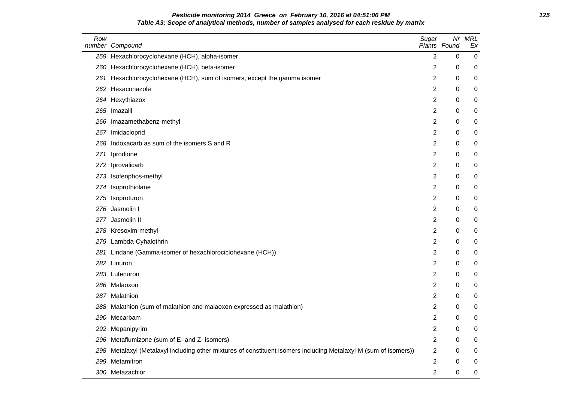### **Pesticide monitoring 2014 Greece on February 10, 2016 at 04:51:06 PM 125 Table A3: Scope of analytical methods, number of samples analysed for each residue by matrix**

| Row | number Compound                                                                                                  | Sugar          | Nr<br>Plants Found | <b>MRL</b><br>Ex |
|-----|------------------------------------------------------------------------------------------------------------------|----------------|--------------------|------------------|
|     | 259 Hexachlorocyclohexane (HCH), alpha-isomer                                                                    | $\overline{2}$ | 0                  | $\boldsymbol{0}$ |
|     | 260 Hexachlorocyclohexane (HCH), beta-isomer                                                                     | 2              | 0                  | 0                |
|     | 261 Hexachlorocyclohexane (HCH), sum of isomers, except the gamma isomer                                         | 2              | 0                  | 0                |
|     | 262 Hexaconazole                                                                                                 | 2              | 0                  | 0                |
|     | 264 Hexythiazox                                                                                                  | $\overline{c}$ | $\mathbf 0$        | 0                |
|     | 265 Imazalil                                                                                                     | $\overline{c}$ | 0                  | 0                |
|     | 266 Imazamethabenz-methyl                                                                                        | 2              | 0                  | 0                |
|     | 267 Imidacloprid                                                                                                 | 2              | 0                  | 0                |
|     | 268 Indoxacarb as sum of the isomers S and R                                                                     | $\overline{c}$ | 0                  | 0                |
| 271 | Iprodione                                                                                                        | 2              | 0                  | 0                |
|     | 272 Iprovalicarb                                                                                                 | 2              | 0                  | 0                |
|     | 273 Isofenphos-methyl                                                                                            | $\overline{c}$ | 0                  | 0                |
|     | 274 Isoprothiolane                                                                                               | $\overline{c}$ | 0                  | 0                |
|     | 275 Isoproturon                                                                                                  | 2              | 0                  | 0                |
|     | 276 Jasmolin I                                                                                                   | $\overline{c}$ | 0                  | 0                |
|     | 277 Jasmolin II                                                                                                  | 2              | 0                  | 0                |
|     | 278 Kresoxim-methyl                                                                                              | $\overline{c}$ | 0                  | 0                |
|     | 279 Lambda-Cyhalothrin                                                                                           | $\overline{c}$ | 0                  | 0                |
| 281 | Lindane (Gamma-isomer of hexachlorociclohexane (HCH))                                                            | 2              | 0                  | 0                |
|     | 282 Linuron                                                                                                      | 2              | $\mathbf 0$        | 0                |
|     | 283 Lufenuron                                                                                                    | $\overline{2}$ | 0                  | 0                |
|     | 286 Malaoxon                                                                                                     | 2              | 0                  | 0                |
|     | 287 Malathion                                                                                                    | $\overline{c}$ | 0                  | 0                |
|     | 288 Malathion (sum of malathion and malaoxon expressed as malathion)                                             | $\overline{2}$ | 0                  | 0                |
|     | 290 Mecarbam                                                                                                     | 2              | 0                  | 0                |
|     | 292 Mepanipyrim                                                                                                  | $\overline{c}$ | 0                  | 0                |
|     | 296 Metaflumizone (sum of E- and Z- isomers)                                                                     | $\overline{c}$ | 0                  | 0                |
|     | 298 Metalaxyl (Metalaxyl including other mixtures of constituent isomers including Metalaxyl-M (sum of isomers)) | 2              | 0                  | 0                |
|     | 299 Metamitron                                                                                                   | 2              | 0                  | 0                |
|     | 300 Metazachlor                                                                                                  | 2              | $\mathbf 0$        | 0                |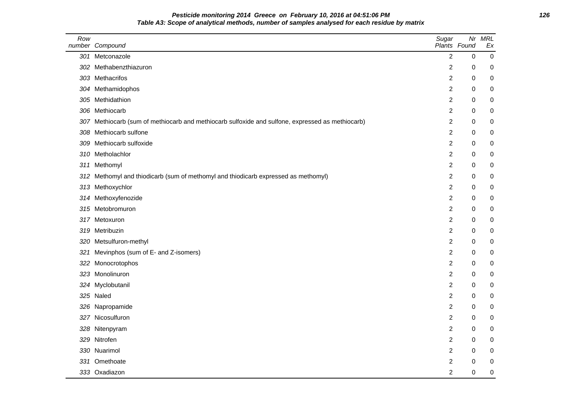# **Pesticide monitoring 2014 Greece on February 10, 2016 at 04:51:06 PM 126 Table A3: Scope of analytical methods, number of samples analysed for each residue by matrix**

| Row | number Compound                                                                                  | Sugar          | Nr<br>Plants Found | <b>MRL</b><br>Ex |
|-----|--------------------------------------------------------------------------------------------------|----------------|--------------------|------------------|
|     | 301 Metconazole                                                                                  | $\overline{2}$ | $\mathbf 0$        | $\mathbf 0$      |
|     | 302 Methabenzthiazuron                                                                           | 2              | $\mathbf 0$        | 0                |
|     | 303 Methacrifos                                                                                  | $\overline{c}$ | 0                  | $\boldsymbol{0}$ |
|     | 304 Methamidophos                                                                                | $\overline{2}$ | 0                  | $\boldsymbol{0}$ |
|     | 305 Methidathion                                                                                 | 2              | $\mathbf 0$        | $\boldsymbol{0}$ |
|     | 306 Methiocarb                                                                                   | 2              | 0                  | 0                |
|     | 307 Methiocarb (sum of methiocarb and methiocarb sulfoxide and sulfone, expressed as methiocarb) | $\overline{2}$ | 0                  | 0                |
|     | 308 Methiocarb sulfone                                                                           | $\overline{2}$ | 0                  | 0                |
| 309 | Methiocarb sulfoxide                                                                             | $\overline{2}$ | 0                  | 0                |
|     | 310 Metholachlor                                                                                 | 2              | 0                  | 0                |
|     | 311 Methomyl                                                                                     | 2              | 0                  | 0                |
|     | 312 Methomyl and thiodicarb (sum of methomyl and thiodicarb expressed as methomyl)               | 2              | 0                  | 0                |
|     | 313 Methoxychlor                                                                                 | $\overline{2}$ | 0                  | 0                |
|     | 314 Methoxyfenozide                                                                              | $\overline{c}$ | 0                  | $\mathbf 0$      |
|     | 315 Metobromuron                                                                                 | $\overline{2}$ | 0                  | 0                |
|     | 317 Metoxuron                                                                                    | $\overline{2}$ | 0                  | $\mathbf 0$      |
|     | 319 Metribuzin                                                                                   | $\overline{2}$ | 0                  | 0                |
|     | 320 Metsulfuron-methyl                                                                           | $\overline{2}$ | 0                  | 0                |
|     | 321 Mevinphos (sum of E- and Z-isomers)                                                          | $\overline{2}$ | 0                  | 0                |
|     | 322 Monocrotophos                                                                                | 2              | 0                  | 0                |
|     | 323 Monolinuron                                                                                  | $\overline{2}$ | 0                  | $\mathbf 0$      |
|     | 324 Myclobutanil                                                                                 | 2              | 0                  | 0                |
|     | 325 Naled                                                                                        | $\overline{2}$ | 0                  | 0                |
|     | 326 Napropamide                                                                                  | 2              | 0                  | $\mathbf 0$      |
|     | 327 Nicosulfuron                                                                                 | $\overline{2}$ | 0                  | 0                |
|     | 328 Nitenpyram                                                                                   | $\overline{2}$ | $\pmb{0}$          | 0                |
|     | 329 Nitrofen                                                                                     | $\overline{2}$ | 0                  | 0                |
|     | 330 Nuarimol                                                                                     | $\overline{2}$ | 0                  | 0                |
|     | 331 Omethoate                                                                                    | 2              | 0                  | 0                |
|     | 333 Oxadiazon                                                                                    | 2              | 0                  | $\pmb{0}$        |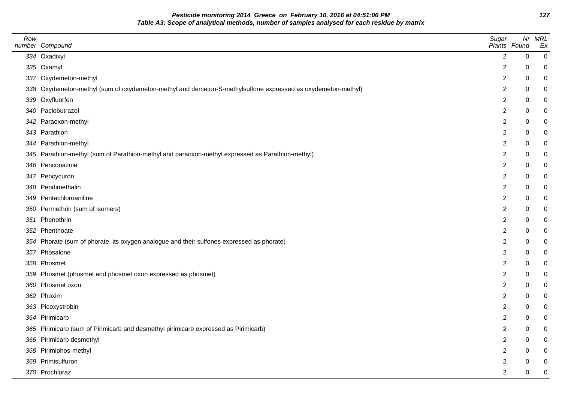**Pesticide monitoring 2014 Greece on February 10, 2016 at 04:51:06 PM 127 Table A3: Scope of analytical methods, number of samples analysed for each residue by matrix**

| Row | number Compound                                                                                             | Sugar<br>Plants Found |             | Nr MRL<br>Ex     |
|-----|-------------------------------------------------------------------------------------------------------------|-----------------------|-------------|------------------|
|     | 334 Oxadixyl                                                                                                | $\overline{2}$        | $\pmb{0}$   | $\mathbf 0$      |
|     | 335 Oxamyl                                                                                                  | $\overline{2}$        | 0           | 0                |
|     | 337 Oxydemeton-methyl                                                                                       | $\overline{2}$        | 0           | 0                |
|     | 338 Oxydemeton-methyl (sum of oxydemeton-methyl and demeton-S-methylsulfone expressed as oxydemeton-methyl) | $\overline{2}$        | 0           | $\mathbf 0$      |
|     | 339 Oxyfluorfen                                                                                             | $\overline{c}$        | 0           | $\mathbf 0$      |
|     | 340 Paclobutrazol                                                                                           | $\overline{c}$        | 0           | $\mathbf 0$      |
|     | 342 Paraoxon-methyl                                                                                         | $\overline{2}$        | $\mathbf 0$ | $\mathbf 0$      |
|     | 343 Parathion                                                                                               | $\overline{2}$        | 0           | $\mathbf 0$      |
|     | 344 Parathion-methyl                                                                                        | $\overline{2}$        | 0           | 0                |
|     | 345 Parathion-methyl (sum of Parathion-methyl and paraoxon-methyl expressed as Parathion-methyl)            | $\overline{2}$        | 0           | $\mathbf 0$      |
|     | 346 Penconazole                                                                                             | $\overline{c}$        | 0           | 0                |
|     | 347 Pencycuron                                                                                              | 2                     | 0           | $\mathbf 0$      |
|     | 348 Pendimethalin                                                                                           | $\overline{c}$        | 0           | 0                |
|     | 349 Pentachloroaniline                                                                                      | $\overline{2}$        | 0           | $\pmb{0}$        |
|     | 350 Permethrin (sum of isomers)                                                                             | $\overline{2}$        | 0           | $\pmb{0}$        |
|     | 351 Phenothrin                                                                                              | $\overline{c}$        | 0           | $\mathbf 0$      |
|     | 352 Phenthoate                                                                                              | $\overline{c}$        | 0           | $\mathbf 0$      |
|     | 354 Phorate (sum of phorate, its oxygen analogue and their sulfones expressed as phorate)                   | $\overline{2}$        | 0           | 0                |
|     | 357 Phosalone                                                                                               | $\overline{2}$        | 0           | $\boldsymbol{0}$ |
|     | 358 Phosmet                                                                                                 | $\overline{c}$        | 0           | $\pmb{0}$        |
|     | 359 Phosmet (phosmet and phosmet oxon expressed as phosmet)                                                 | $\overline{2}$        | $\mathbf 0$ | $\mathbf 0$      |
|     | 360 Phosmet oxon                                                                                            | $\overline{2}$        | 0           | $\mathbf 0$      |
|     | 362 Phoxim                                                                                                  | $\overline{c}$        | 0           | 0                |
|     | 363 Picoxystrobin                                                                                           | $\overline{2}$        | 0           | $\mathbf 0$      |
|     | 364 Pirimicarb                                                                                              | $\overline{2}$        | 0           | $\mathbf 0$      |
|     | 365 Pirimicarb (sum of Pirimicarb and desmethyl pirimicarb expressed as Pirimicarb)                         | $\overline{c}$        | $\Omega$    | $\mathbf 0$      |
|     | 366 Pirimicarb desmethyl                                                                                    | $\overline{2}$        | 0           | $\mathbf 0$      |
|     | 368 Pirimiphos-methyl                                                                                       | 2                     | 0           | 0                |
|     | 369 Primisulfuron                                                                                           | 2                     | 0           | $\mathbf 0$      |
|     | 370 Prochloraz                                                                                              | $\overline{2}$        | 0           | $\mathbf 0$      |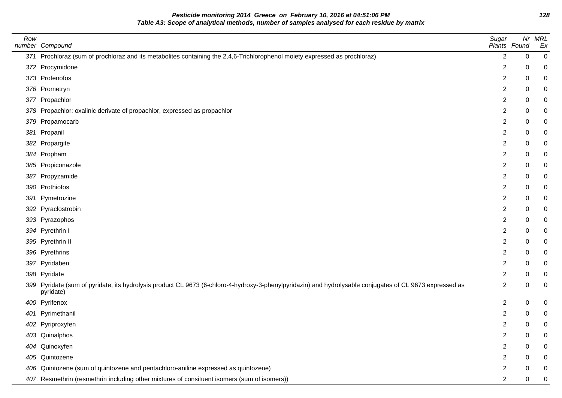**Pesticide monitoring 2014 Greece on February 10, 2016 at 04:51:06 PM 128 Table A3: Scope of analytical methods, number of samples analysed for each residue by matrix**

| Row | number Compound                                                                                                                                                       | Sugar<br>Plants Found   |         | Nr MRL<br>Ex |
|-----|-----------------------------------------------------------------------------------------------------------------------------------------------------------------------|-------------------------|---------|--------------|
|     | 371 Prochloraz (sum of prochloraz and its metabolites containing the 2,4,6-Trichlorophenol moiety expressed as prochloraz)                                            | $\overline{2}$          | $\,0\,$ | 0            |
|     | 372 Procymidone                                                                                                                                                       | 2                       | 0       | 0            |
|     | 373 Profenofos                                                                                                                                                        | $\overline{c}$          | 0       | 0            |
|     | 376 Prometryn                                                                                                                                                         | $\overline{c}$          | 0       | 0            |
|     | 377 Propachlor                                                                                                                                                        | 2                       | 0       | 0            |
|     | 378 Propachlor: oxalinic derivate of propachlor, expressed as propachlor                                                                                              | $\overline{\mathbf{c}}$ | 0       | 0            |
|     | 379 Propamocarb                                                                                                                                                       | $\overline{\mathbf{c}}$ | 0       | 0            |
|     | 381 Propanil                                                                                                                                                          | 2                       | 0       | 0            |
|     | 382 Propargite                                                                                                                                                        | $\overline{c}$          | 0       | 0            |
|     | 384 Propham                                                                                                                                                           | $\overline{c}$          | 0       | 0            |
|     | 385 Propiconazole                                                                                                                                                     | $\overline{2}$          | 0       | 0            |
|     | 387 Propyzamide                                                                                                                                                       | $\overline{c}$          | 0       | 0            |
|     | 390 Prothiofos                                                                                                                                                        | 2                       | 0       | 0            |
|     | 391 Pymetrozine                                                                                                                                                       | $\overline{\mathbf{c}}$ | 0       | 0            |
|     | 392 Pyraclostrobin                                                                                                                                                    | 2                       | 0       | 0            |
|     | 393 Pyrazophos                                                                                                                                                        | 2                       | 0       | 0            |
|     | 394 Pyrethrin I                                                                                                                                                       | $\overline{\mathbf{c}}$ | 0       | 0            |
|     | 395 Pyrethrin II                                                                                                                                                      | $\overline{\mathbf{c}}$ | 0       | 0            |
|     | 396 Pyrethrins                                                                                                                                                        | 2                       | 0       | 0            |
|     | 397 Pyridaben                                                                                                                                                         | 2                       | 0       | 0            |
|     | 398 Pyridate                                                                                                                                                          | $\overline{c}$          | 0       | 0            |
|     | 399 Pyridate (sum of pyridate, its hydrolysis product CL 9673 (6-chloro-4-hydroxy-3-phenylpyridazin) and hydrolysable conjugates of CL 9673 expressed as<br>pyridate) | $\overline{c}$          | 0       | 0            |
|     | 400 Pyrifenox                                                                                                                                                         | $\overline{2}$          | 0       | 0            |
|     | 401 Pyrimethanil                                                                                                                                                      | $\overline{c}$          | 0       | 0            |
|     | 402 Pyriproxyfen                                                                                                                                                      | 2                       | 0       | 0            |
|     | 403 Quinalphos                                                                                                                                                        | 2                       | 0       | 0            |
|     | 404 Quinoxyfen                                                                                                                                                        | $\overline{c}$          | 0       | 0            |
|     | 405 Quintozene                                                                                                                                                        | 2                       | 0       | 0            |
| 406 | Quintozene (sum of quintozene and pentachloro-aniline expressed as quintozene)                                                                                        | 2                       | 0       | 0            |
|     | 407 Resmethrin (resmethrin including other mixtures of consituent isomers (sum of isomers))                                                                           | $\overline{2}$          | 0       | 0            |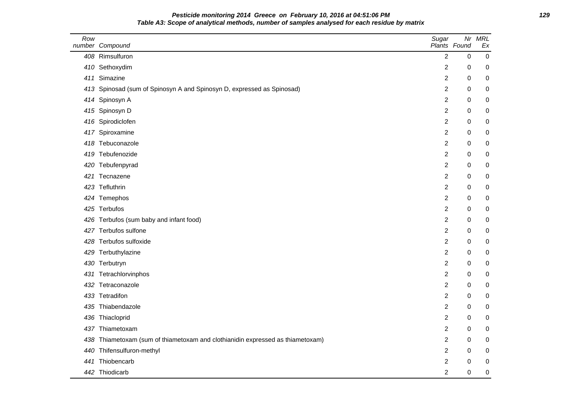### **Pesticide monitoring 2014 Greece on February 10, 2016 at 04:51:06 PM 129 Table A3: Scope of analytical methods, number of samples analysed for each residue by matrix**

| Row | number Compound                                                            | Sugar          | Nr<br>Plants Found | <b>MRL</b><br>Ex |
|-----|----------------------------------------------------------------------------|----------------|--------------------|------------------|
|     | 408 Rimsulfuron                                                            | $\overline{2}$ | $\pmb{0}$          | 0                |
|     | 410 Sethoxydim                                                             | 2              | 0                  | 0                |
|     | 411 Simazine                                                               | 2              | 0                  | 0                |
|     | 413 Spinosad (sum of Spinosyn A and Spinosyn D, expressed as Spinosad)     | 2              | 0                  | 0                |
|     | 414 Spinosyn A                                                             | 2              | 0                  | 0                |
|     | 415 Spinosyn D                                                             | 2              | 0                  | 0                |
|     | 416 Spirodiclofen                                                          | 2              | 0                  | 0                |
|     | 417 Spiroxamine                                                            | 2              | 0                  | 0                |
|     | 418 Tebuconazole                                                           | 2              | 0                  | 0                |
|     | 419 Tebufenozide                                                           | $\overline{2}$ | 0                  | 0                |
|     | 420 Tebufenpyrad                                                           | 2              | 0                  | $\pmb{0}$        |
|     | 421 Tecnazene                                                              | 2              | 0                  | 0                |
|     | 423 Tefluthrin                                                             | $\overline{2}$ | 0                  | 0                |
|     | 424 Temephos                                                               | 2              | 0                  | 0                |
|     | 425 Terbufos                                                               | 2              | 0                  | 0                |
|     | 426 Terbufos (sum baby and infant food)                                    | 2              | 0                  | 0                |
|     | 427 Terbufos sulfone                                                       | 2              | 0                  | 0                |
|     | 428 Terbufos sulfoxide                                                     | 2              | 0                  | 0                |
|     | 429 Terbuthylazine                                                         | 2              | 0                  | 0                |
|     | 430 Terbutryn                                                              | 2              | 0                  | 0                |
|     | 431 Tetrachlorvinphos                                                      | 2              | 0                  | 0                |
|     | 432 Tetraconazole                                                          | 2              | 0                  | 0                |
|     | 433 Tetradifon                                                             | 2              | 0                  | 0                |
| 435 | Thiabendazole                                                              | 2              | 0                  | 0                |
|     | 436 Thiacloprid                                                            | $\overline{2}$ | 0                  | 0                |
| 437 | Thiametoxam                                                                | 2              | 0                  | 0                |
| 438 | Thiametoxam (sum of thiametoxam and clothianidin expressed as thiametoxam) | 2              | 0                  | 0                |
| 440 | Thifensulfuron-methyl                                                      | 2              | 0                  | 0                |
| 441 | Thiobencarb                                                                | 2              | 0                  | 0                |
|     | 442 Thiodicarb                                                             | $\overline{2}$ | 0                  | 0                |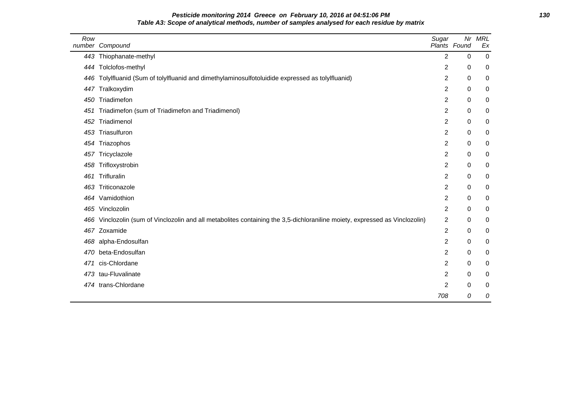# **Pesticide monitoring 2014 Greece on February 10, 2016 at 04:51:06 PM 130 Table A3: Scope of analytical methods, number of samples analysed for each residue by matrix**

| Row | number Compound                                                                                                             | Sugar          | Plants Found | Nr MRL<br>Ex |
|-----|-----------------------------------------------------------------------------------------------------------------------------|----------------|--------------|--------------|
|     | 443 Thiophanate-methyl                                                                                                      | $\overline{2}$ | $\mathbf 0$  | $\mathbf 0$  |
|     | 444 Tolclofos-methyl                                                                                                        | 2              | 0            | 0            |
|     | 446 Tolylfluanid (Sum of tolylfluanid and dimethylaminosulfotoluidide expressed as tolylfluanid)                            | 2              | 0            | 0            |
| 447 | Tralkoxydim                                                                                                                 | 2              | 0            | 0            |
| 450 | Triadimefon                                                                                                                 | 2              | 0            | 0            |
| 451 | Triadimefon (sum of Triadimefon and Triadimenol)                                                                            | 2              | 0            | 0            |
| 452 | Triadimenol                                                                                                                 | 2              | 0            | 0            |
| 453 | Triasulfuron                                                                                                                | 2              | 0            | 0            |
|     | 454 Triazophos                                                                                                              | 2              | 0            | 0            |
| 457 | Tricyclazole                                                                                                                | 2              | 0            | 0            |
| 458 | Trifloxystrobin                                                                                                             | 2              | 0            | 0            |
| 461 | Trifluralin                                                                                                                 | 2              | 0            | 0            |
| 463 | Triticonazole                                                                                                               | 2              | 0            | 0            |
|     | 464 Vamidothion                                                                                                             | 2              | 0            | 0            |
|     | 465 Vinclozolin                                                                                                             | 2              | 0            | 0            |
|     | 466 Vinclozolin (sum of Vinclozolin and all metabolites containing the 3,5-dichloraniline moiety, expressed as Vinclozolin) | 2              | 0            | 0            |
|     | 467 Zoxamide                                                                                                                | $\overline{2}$ | 0            | 0            |
|     | 468 alpha-Endosulfan                                                                                                        | 2              | 0            | 0            |
|     | 470 beta-Endosulfan                                                                                                         | 2              | 0            | 0            |
| 471 | cis-Chlordane                                                                                                               | $\overline{2}$ | 0            | 0            |
|     | 473 tau-Fluvalinate                                                                                                         | $\overline{2}$ | 0            | 0            |
|     | 474 trans-Chlordane                                                                                                         | 2              | 0            | 0            |
|     |                                                                                                                             | 708            | 0            | 0            |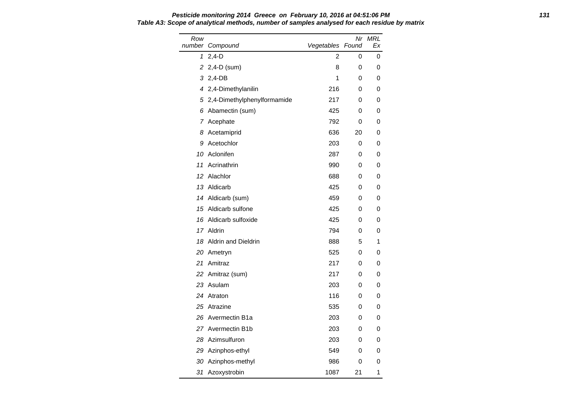Row number Compound Nr MRL Vegetables Found Ex 1 2,4-D 2 0 0 2 2,4-D (sum) 8 0 0 3 2,4-DB 1 0 0 4 2,4-Dimethylanilin 216 0 0 5 2,4-Dimethylphenylformamide 217 0 0 6 Abamectin (sum) 425 0 0 7 Acephate **792** 0 0 8 Acetamiprid 636 20 0 9 Acetochlor 203 0 0 10 Aclonifen 287 0 0 11 Acrinathrin 11 **990** 0 0 12 Alachlor 688 0 0 0 13 Aldicarb 13 Aldicarb 13 Aldicarb 13 Aldicarb 1425 0 0 0 14 Aldicarb (sum) 14 Aldicarb (sum) 15 Aldicarb sulfone 15 and 425 0 0 16 Aldicarb sulfoxide 425 0 0 17 Aldrin 200 10 204 0 0 18 Aldrin and Dieldrin 1888 5 1 20 Ametryn 525 0 0 21 Amitraz 217 0 0 22 Amitraz (sum) 217 0 0 23 Asulam 203 0 0 24 Atraton 116 0 0 25 Atrazine 535 0 0 26 Avermectin B1a 203 0 0 27 Avermectin B1b 203 0 0 28 Azimsulfuron 203 0 0 29 Azinphos-ethyl 549 0 0 30 Azinphos-methyl 1986 0 0 31 Azoxystrobin 1087 21 1

# **Pesticide monitoring 2014 Greece on February 10, 2016 at 04:51:06 PM 131 Table A3: Scope of analytical methods, number of samples analysed for each residue by matrix**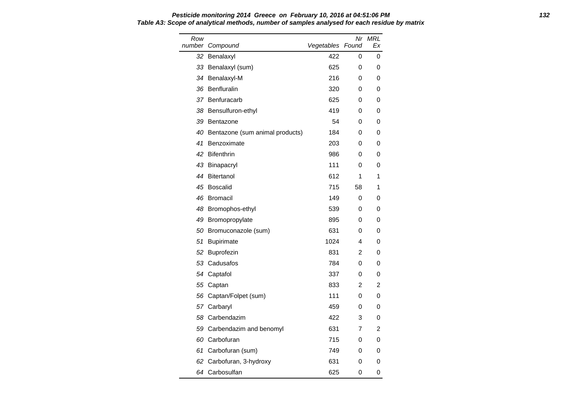**Pesticide monitoring 2014 Greece on February 10, 2016 at 04:51:06 PM 132 Table A3: Scope of analytical methods, number of samples analysed for each residue by matrix**

| Row | number Compound                 | Vegetables Found | Nr | <b>MRL</b><br>Еx |
|-----|---------------------------------|------------------|----|------------------|
| 32  | Benalaxyl                       | 422              | 0  | 0                |
|     | 33 Benalaxyl (sum)              | 625              | 0  | 0                |
| 34  | Benalaxyl-M                     | 216              | 0  | 0                |
| 36  | Benfluralin                     | 320              | 0  | 0                |
|     | 37 Benfuracarb                  | 625              | 0  | 0                |
| 38  | Bensulfuron-ethyl               | 419              | 0  | 0                |
| 39  | Bentazone                       | 54               | 0  | 0                |
| 40  | Bentazone (sum animal products) | 184              | 0  | 0                |
| 41  | Benzoximate                     | 203              | 0  | 0                |
| 42  | <b>Bifenthrin</b>               | 986              | 0  | 0                |
| 43  | Binapacryl                      | 111              | 0  | 0                |
| 44  | <b>Bitertanol</b>               | 612              | 1  | 1                |
| 45  | Boscalid                        | 715              | 58 | 1                |
| 46  | Bromacil                        | 149              | 0  | 0                |
| 48  | Bromophos-ethyl                 | 539              | 0  | 0                |
| 49  | Bromopropylate                  | 895              | 0  | 0                |
| 50  | Bromuconazole (sum)             | 631              | 0  | 0                |
| 51  | <b>Bupirimate</b>               | 1024             | 4  | 0                |
| 52  | Buprofezin                      | 831              | 2  | 0                |
| 53  | Cadusafos                       | 784              | 0  | 0                |
| 54  | Captafol                        | 337              | 0  | 0                |
|     | 55 Captan                       | 833              | 2  | 2                |
| 56  | Captan/Folpet (sum)             | 111              | 0  | 0                |
|     | 57 Carbaryl                     | 459              | 0  | 0                |
|     | 58 Carbendazim                  | 422              | 3  | 0                |
|     | 59 Carbendazim and benomyl      | 631              | 7  | $\overline{2}$   |
| 60  | Carbofuran                      | 715              | 0  | 0                |
| 61  | Carbofuran (sum)                | 749              | 0  | 0                |
| 62  | Carbofuran, 3-hydroxy           | 631              | 0  | 0                |
|     | 64 Carbosulfan                  | 625              | 0  | 0                |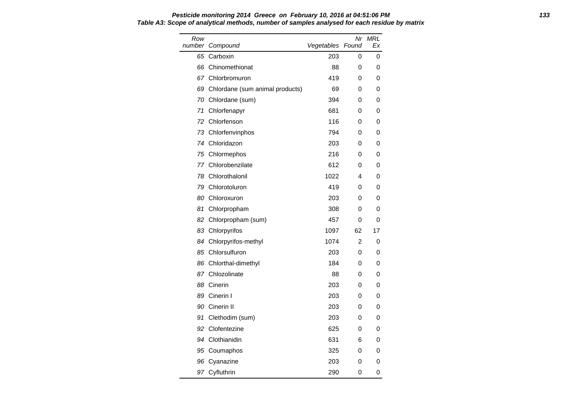#### **Pesticide monitoring 2014 Greece on February 10, 2016 at 04:51:06 PM 133 Table A3: Scope of analytical methods, number of samples analysed for each residue by matrix**

| Row<br>number | Compound                        | Vegetables Found | Nr | MRL<br>Еx |
|---------------|---------------------------------|------------------|----|-----------|
| 65            | Carboxin                        | 203              | 0  | 0         |
| 66            | Chinomethionat                  | 88               | 0  | 0         |
| 67            | Chlorbromuron                   | 419              | 0  | 0         |
| 69            | Chlordane (sum animal products) | 69               | 0  | 0         |
|               | 70 Chlordane (sum)              | 394              | 0  | 0         |
| 71            | Chlorfenapyr                    | 681              | 0  | 0         |
| 72            | Chlorfenson                     | 116              | 0  | 0         |
|               | 73 Chlorfenvinphos              | 794              | 0  | 0         |
| 74            | Chloridazon                     | 203              | 0  | 0         |
|               | 75 Chlormephos                  | 216              | 0  | 0         |
|               | 77 Chlorobenzilate              | 612              | 0  | 0         |
| 78            | Chlorothalonil                  | 1022             | 4  | 0         |
| 79            | Chlorotoluron                   | 419              | 0  | 0         |
| 80            | Chloroxuron                     | 203              | 0  | 0         |
| 81            | Chlorpropham                    | 308              | 0  | 0         |
| 82            | Chlorpropham (sum)              | 457              | 0  | 0         |
|               | 83 Chlorpyrifos                 | 1097             | 62 | 17        |
|               | 84 Chlorpyrifos-methyl          | 1074             | 2  | 0         |
|               | 85 Chlorsulfuron                | 203              | 0  | 0         |
|               | 86 Chlorthal-dimethyl           | 184              | 0  | 0         |
| 87            | Chlozolinate                    | 88               | 0  | 0         |
| 88            | Cinerin                         | 203              | 0  | 0         |
| 89            | Cinerin I                       | 203              | 0  | 0         |
| 90            | Cinerin II                      | 203              | 0  | 0         |
| 91            | Clethodim (sum)                 | 203              | 0  | 0         |
| 92            | Clofentezine                    | 625              | 0  | 0         |
| 94            | Clothianidin                    | 631              | 6  | 0         |
|               | 95 Coumaphos                    | 325              | 0  | 0         |
| 96            | Cyanazine                       | 203              | 0  | 0         |
|               | 97 Cyfluthrin                   | 290              | 0  | 0         |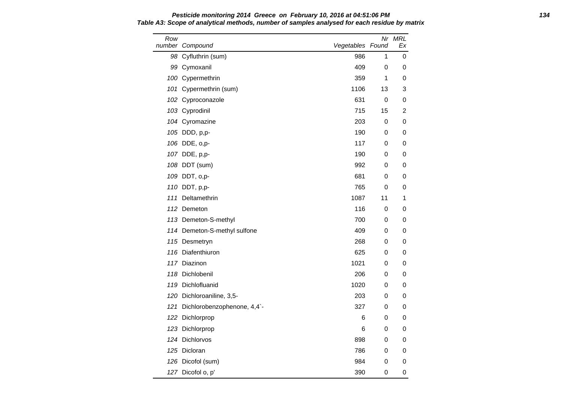#### **Pesticide monitoring 2014 Greece on February 10, 2016 at 04:51:06 PM 134 Table A3: Scope of analytical methods, number of samples analysed for each residue by matrix**

| Row | number Compound                 | Vegetables Found |    | Nr MRL<br>Ex |
|-----|---------------------------------|------------------|----|--------------|
|     | 98 Cyfluthrin (sum)             | 986              | 1  | 0            |
|     | 99 Cymoxanil                    | 409              | 0  | 0            |
|     | 100 Cypermethrin                | 359              | 1  | 0            |
|     | 101 Cypermethrin (sum)          | 1106             | 13 | 3            |
|     | 102 Cyproconazole               | 631              | 0  | 0            |
|     | 103 Cyprodinil                  | 715              | 15 | 2            |
|     | 104 Cyromazine                  | 203              | 0  | 0            |
|     | 105 DDD, p,p-                   | 190              | 0  | 0            |
|     | 106 DDE, o,p-                   | 117              | 0  | 0            |
|     | 107 DDE, p,p-                   | 190              | 0  | 0            |
|     | 108 DDT (sum)                   | 992              | 0  | 0            |
|     | 109 DDT, o,p-                   | 681              | 0  | 0            |
|     | 110 DDT, p,p-                   | 765              | 0  | 0            |
|     | 111 Deltamethrin                | 1087             | 11 | 1            |
|     | 112 Demeton                     | 116              | 0  | 0            |
|     | 113 Demeton-S-methyl            | 700              | 0  | 0            |
|     | 114 Demeton-S-methyl sulfone    | 409              | 0  | 0            |
|     | 115 Desmetryn                   | 268              | 0  | 0            |
|     | 116 Diafenthiuron               | 625              | 0  | 0            |
|     | 117 Diazinon                    | 1021             | 0  | 0            |
|     | 118 Dichlobenil                 | 206              | 0  | 0            |
|     | 119 Dichlofluanid               | 1020             | 0  | 0            |
|     | 120 Dichloroaniline, 3,5-       | 203              | 0  | 0            |
|     | 121 Dichlorobenzophenone, 4,4`- | 327              | 0  | 0            |
|     | 122 Dichlorprop                 | 6                | 0  | 0            |
|     | 123 Dichlorprop                 | 6                | 0  | 0            |
|     | 124 Dichlorvos                  | 898              | 0  | 0            |
|     | 125 Dicloran                    | 786              | 0  | 0            |
|     | 126 Dicofol (sum)               | 984              | 0  | 0            |
|     | 127 Dicofol o, p'               | 390              | 0  | 0            |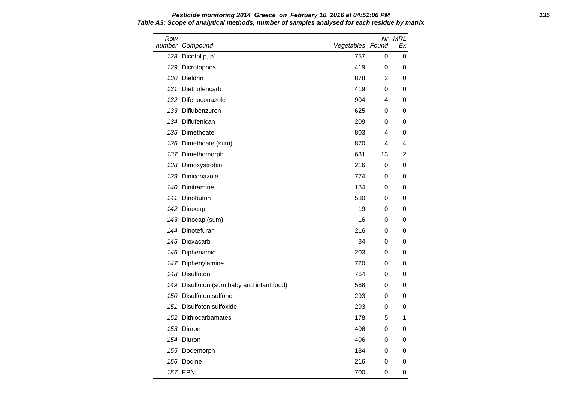**Pesticide monitoring 2014 Greece on February 10, 2016 at 04:51:06 PM 135 Table A3: Scope of analytical methods, number of samples analysed for each residue by matrix**

| Row | number Compound                           | Vegetables Found |    | Nr MRL<br>Ex |
|-----|-------------------------------------------|------------------|----|--------------|
|     | 128 Dicofol p, p'                         | 757              | 0  | 0            |
|     | 129 Dicrotophos                           | 419              | 0  | 0            |
|     | 130 Dieldrin                              | 878              | 2  | 0            |
| 131 | Diethofencarb                             | 419              | 0  | 0            |
|     | 132 Difenoconazole                        | 904              | 4  | 0            |
|     | 133 Diflubenzuron                         | 625              | 0  | 0            |
|     | 134 Diflufenican                          | 209              | 0  | 0            |
|     | 135 Dimethoate                            | 803              | 4  | 0            |
|     | 136 Dimethoate (sum)                      | 870              | 4  | 4            |
|     | 137 Dimethomorph                          | 631              | 13 | 2            |
|     | 138 Dimoxystrobin                         | 216              | 0  | 0            |
|     | 139 Diniconazole                          | 774              | 0  | 0            |
|     | 140 Dinitramine                           | 184              | 0  | 0            |
|     | 141 Dinobuton                             | 580              | 0  | 0            |
|     | 142 Dinocap                               | 19               | 0  | 0            |
|     | 143 Dinocap (sum)                         | 16               | 0  | 0            |
|     | 144 Dinotefuran                           | 216              | 0  | 0            |
|     | 145 Dioxacarb                             | 34               | 0  | 0            |
|     | 146 Diphenamid                            | 203              | 0  | 0            |
|     | 147 Diphenylamine                         | 720              | 0  | 0            |
|     | 148 Disulfoton                            | 764              | 0  | 0            |
|     | 149 Disulfoton (sum baby and infant food) | 568              | 0  | 0            |
|     | 150 Disulfoton sulfone                    | 293              | 0  | 0            |
| 151 | Disulfoton sulfoxide                      | 293              | 0  | 0            |
|     | 152 Dithiocarbamates                      | 178              | 5  | 1            |
|     | 153 Diuron                                | 406              | 0  | 0            |
|     | 154 Diuron                                | 406              | 0  | 0            |
|     | 155 Dodemorph                             | 184              | 0  | 0            |
|     | 156 Dodine                                | 216              | 0  | 0            |
|     | 157 EPN                                   | 700              | 0  | 0            |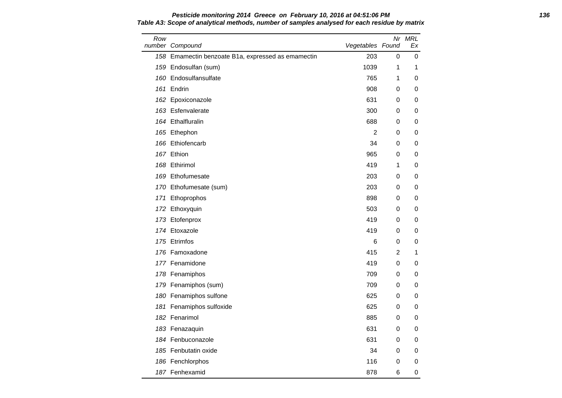#### **Pesticide monitoring 2014 Greece on February 10, 2016 at 04:51:06 PM 136 Table A3: Scope of analytical methods, number of samples analysed for each residue by matrix**

| Row | number Compound                                    | Vegetables Found |   | Nr MRL<br>Еx |
|-----|----------------------------------------------------|------------------|---|--------------|
|     | 158 Emamectin benzoate B1a, expressed as emamectin | 203              | 0 | 0            |
|     | 159 Endosulfan (sum)                               | 1039             | 1 | 1            |
|     | 160 Endosulfansulfate                              | 765              | 1 | 0            |
|     | 161 Endrin                                         | 908              | 0 | 0            |
|     | 162 Epoxiconazole                                  | 631              | 0 | 0            |
|     | 163 Esfenvalerate                                  | 300              | 0 | 0            |
|     | 164 Ethalfluralin                                  | 688              | 0 | 0            |
|     | 165 Ethephon                                       | $\overline{2}$   | 0 | 0            |
|     | 166 Ethiofencarb                                   | 34               | 0 | 0            |
|     | 167 Ethion                                         | 965              | 0 | 0            |
|     | 168 Ethirimol                                      | 419              | 1 | 0            |
|     | 169 Ethofumesate                                   | 203              | 0 | 0            |
|     | 170 Ethofumesate (sum)                             | 203              | 0 | 0            |
|     | 171 Ethoprophos                                    | 898              | 0 | 0            |
|     | 172 Ethoxyquin                                     | 503              | 0 | 0            |
|     | 173 Etofenprox                                     | 419              | 0 | 0            |
|     | 174 Etoxazole                                      | 419              | 0 | 0            |
|     | 175 Etrimfos                                       | 6                | 0 | 0            |
|     | 176 Famoxadone                                     | 415              | 2 | 1            |
|     | 177 Fenamidone                                     | 419              | 0 | 0            |
|     | 178 Fenamiphos                                     | 709              | 0 | 0            |
|     | 179 Fenamiphos (sum)                               | 709              | 0 | 0            |
|     | 180 Fenamiphos sulfone                             | 625              | 0 | 0            |
|     | 181 Fenamiphos sulfoxide                           | 625              | 0 | 0            |
|     | 182 Fenarimol                                      | 885              | 0 | 0            |
|     | 183 Fenazaquin                                     | 631              | 0 | 0            |
|     | 184 Fenbuconazole                                  | 631              | 0 | 0            |
|     | 185 Fenbutatin oxide                               | 34               | 0 | 0            |
|     | 186 Fenchlorphos                                   | 116              | 0 | 0            |
|     | 187 Fenhexamid                                     | 878              | 6 | 0            |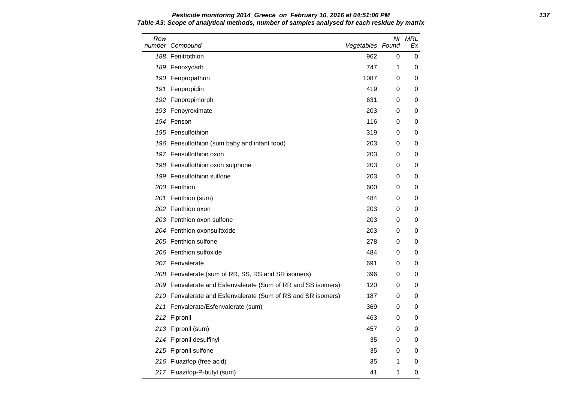#### **Pesticide monitoring 2014 Greece on February 10, 2016 at 04:51:06 PM 137 Table A3: Scope of analytical methods, number of samples analysed for each residue by matrix**

| Row | number Compound                                              | Vegetables Found |   | Nr MRL<br>Ex |
|-----|--------------------------------------------------------------|------------------|---|--------------|
|     | 188 Fenitrothion                                             | 962              | 0 | 0            |
|     | 189 Fenoxycarb                                               | 747              | 1 | 0            |
|     | 190 Fenpropathrin                                            | 1087             | 0 | 0            |
|     | 191 Fenpropidin                                              | 419              | 0 | 0            |
|     | 192 Fenpropimorph                                            | 631              | 0 | 0            |
|     | 193 Fenpyroximate                                            | 203              | 0 | 0            |
|     | 194 Fenson                                                   | 116              | 0 | 0            |
|     | 195 Fensulfothion                                            | 319              | 0 | 0            |
|     | 196 Fensulfothion (sum baby and infant food)                 | 203              | 0 | 0            |
|     | 197 Fensulfothion oxon                                       | 203              | 0 | 0            |
|     | 198 Fensulfothion oxon sulphone                              | 203              | 0 | 0            |
|     | 199 Fensulfothion sulfone                                    | 203              | 0 | 0            |
|     | 200 Fenthion                                                 | 600              | 0 | 0            |
|     | 201 Fenthion (sum)                                           | 484              | 0 | 0            |
|     | 202 Fenthion oxon                                            | 203              | 0 | 0            |
|     | 203 Fenthion oxon sulfone                                    | 203              | 0 | 0            |
|     | 204 Fenthion oxonsulfoxide                                   | 203              | 0 | 0            |
|     | 205 Fenthion sulfone                                         | 278              | 0 | 0            |
|     | 206 Fenthion sulfoxide                                       | 484              | 0 | 0            |
|     | 207 Fenvalerate                                              | 691              | 0 | 0            |
|     | 208 Fenvalerate (sum of RR, SS, RS and SR isomers)           | 396              | 0 | 0            |
|     | 209 Fenvalerate and Esfenvalerate (Sum of RR and SS isomers) | 120              | 0 | 0            |
|     | 210 Fenvalerate and Esfenvalerate (Sum of RS and SR isomers) | 187              | 0 | 0            |
|     | 211 Fenvalerate/Esfenvalerate (sum)                          | 369              | 0 | 0            |
|     | 212 Fipronil                                                 | 463              | 0 | 0            |
|     | 213 Fipronil (sum)                                           | 457              | 0 | 0            |
|     | 214 Fipronil desulfinyl                                      | 35               | 0 | 0            |
|     | 215 Fipronil sulfone                                         | 35               | 0 | 0            |
|     | 216 Fluazifop (free acid)                                    | 35               | 1 | 0            |
|     | 217 Fluazifop-P-butyl (sum)                                  | 41               | 1 | 0            |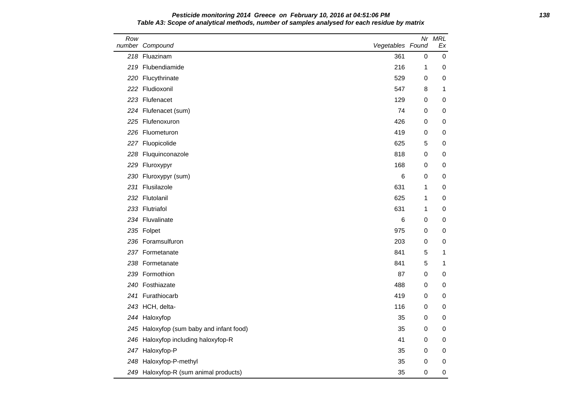### **Pesticide monitoring 2014 Greece on February 10, 2016 at 04:51:06 PM 138 Table A3: Scope of analytical methods, number of samples analysed for each residue by matrix**

| Row | number Compound                          | Vegetables Found |             | Nr MRL<br>Ex |
|-----|------------------------------------------|------------------|-------------|--------------|
|     | 218 Fluazinam                            | 361              | 0           | 0            |
|     | 219 Flubendiamide                        | 216              | 1           | 0            |
|     | 220 Flucythrinate                        | 529              | 0           | 0            |
|     | 222 Fludioxonil                          | 547              | 8           | 1            |
|     | 223 Flufenacet                           | 129              | 0           | 0            |
|     | 224 Flufenacet (sum)                     | 74               | 0           | 0            |
|     | 225 Flufenoxuron                         | 426              | 0           | 0            |
|     | 226 Fluometuron                          | 419              | 0           | 0            |
|     | 227 Fluopicolide                         | 625              | 5           | 0            |
|     | 228 Fluquinconazole                      | 818              | 0           | 0            |
|     | 229 Fluroxypyr                           | 168              | 0           | 0            |
|     | 230 Fluroxypyr (sum)                     | 6                | 0           | 0            |
|     | 231 Flusilazole                          | 631              | 1           | 0            |
|     | 232 Flutolanil                           | 625              | 1           | 0            |
|     | 233 Flutriafol                           | 631              | 1           | 0            |
|     | 234 Fluvalinate                          | 6                | 0           | 0            |
|     | 235 Folpet                               | 975              | 0           | 0            |
|     | 236 Foramsulfuron                        | 203              | 0           | 0            |
|     | 237 Formetanate                          | 841              | 5           | 1            |
|     | 238 Formetanate                          | 841              | $\,$ 5 $\,$ | 1            |
|     | 239 Formothion                           | 87               | 0           | 0            |
|     | 240 Fosthiazate                          | 488              | 0           | 0            |
|     | 241 Furathiocarb                         | 419              | 0           | 0            |
|     | 243 HCH, delta-                          | 116              | 0           | 0            |
|     | 244 Haloxyfop                            | 35               | 0           | 0            |
|     | 245 Haloxyfop (sum baby and infant food) | 35               | 0           | 0            |
|     | 246 Haloxyfop including haloxyfop-R      | 41               | 0           | 0            |
|     | 247 Haloxyfop-P                          | 35               | 0           | 0            |
|     | 248 Haloxyfop-P-methyl                   | 35               | 0           | 0            |
|     | 249 Haloxyfop-R (sum animal products)    | 35               | 0           | 0            |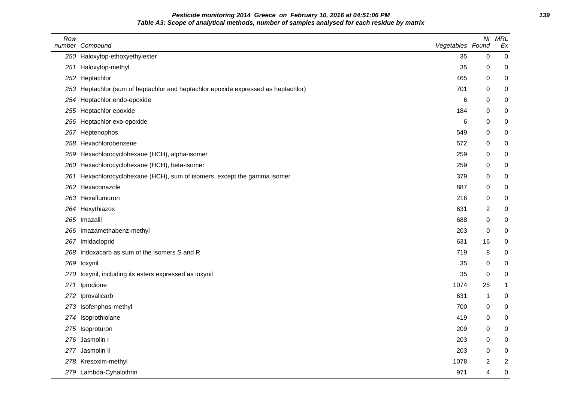# **Pesticide monitoring 2014 Greece on February 10, 2016 at 04:51:06 PM 139 Table A3: Scope of analytical methods, number of samples analysed for each residue by matrix**

| Row | number Compound                                                                   | Vegetables Found | Nr          | <b>MRL</b><br>Ex |
|-----|-----------------------------------------------------------------------------------|------------------|-------------|------------------|
|     | 250 Haloxyfop-ethoxyethylester                                                    | 35               | $\pmb{0}$   | $\pmb{0}$        |
| 251 | Haloxyfop-methyl                                                                  | 35               | 0           | 0                |
|     | 252 Heptachlor                                                                    | 465              | 0           | 0                |
|     | 253 Heptachlor (sum of heptachlor and heptachlor epoxide expressed as heptachlor) | 701              | 0           | 0                |
| 254 | Heptachlor endo-epoxide                                                           | 6                | 0           | 0                |
|     | 255 Heptachlor epoxide                                                            | 184              | 0           | 0                |
|     | 256 Heptachlor exo-epoxide                                                        | 6                | 0           | 0                |
| 257 | Heptenophos                                                                       | 549              | 0           | 0                |
| 258 | Hexachlorobenzene                                                                 | 572              | 0           | 0                |
| 259 | Hexachlorocyclohexane (HCH), alpha-isomer                                         | 259              | 0           | 0                |
| 260 | Hexachlorocyclohexane (HCH), beta-isomer                                          | 259              | 0           | 0                |
| 261 | Hexachlorocyclohexane (HCH), sum of isomers, except the gamma isomer              | 379              | 0           | 0                |
| 262 | Hexaconazole                                                                      | 887              | 0           | 0                |
|     | 263 Hexaflumuron                                                                  | 216              | 0           | 0                |
|     | 264 Hexythiazox                                                                   | 631              | 2           | 0                |
|     | 265 Imazalil                                                                      | 688              | 0           | 0                |
| 266 | Imazamethabenz-methyl                                                             | 203              | 0           | 0                |
| 267 | Imidacloprid                                                                      | 631              | 16          | 0                |
| 268 | Indoxacarb as sum of the isomers S and R                                          | 719              | 8           | 0                |
|     | 269 loxynil                                                                       | 35               | 0           | $\pmb{0}$        |
| 270 | loxynil, including its esters expressed as ioxynil                                | 35               | $\mathbf 0$ | 0                |
| 271 | Iprodione                                                                         | 1074             | 25          | 1                |
| 272 | Iprovalicarb                                                                      | 631              | 1           | 0                |
|     | 273 Isofenphos-methyl                                                             | 700              | 0           | 0                |
| 274 | Isoprothiolane                                                                    | 419              | 0           | 0                |
|     | 275 Isoproturon                                                                   | 209              | 0           | 0                |
|     | 276 Jasmolin I                                                                    | 203              | $\mathbf 0$ | 0                |
|     | 277 Jasmolin II                                                                   | 203              | 0           | 0                |
|     | 278 Kresoxim-methyl                                                               | 1078             | 2           | $\overline{c}$   |
|     | 279 Lambda-Cyhalothrin                                                            | 971              | 4           | 0                |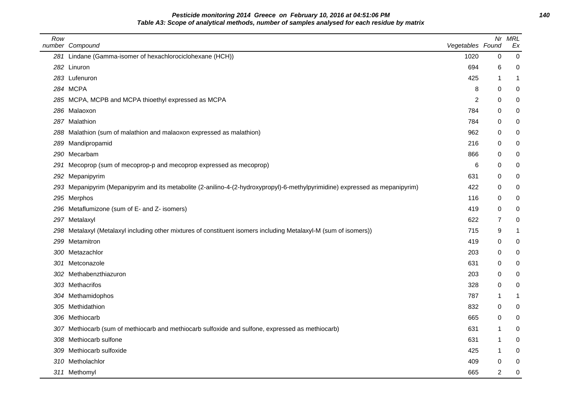**Pesticide monitoring 2014 Greece on February 10, 2016 at 04:51:06 PM 140 Table A3: Scope of analytical methods, number of samples analysed for each residue by matrix**

| Row | number Compound                                                                                                              | Vegetables Found | Nr               | <b>MRL</b><br>Ex |
|-----|------------------------------------------------------------------------------------------------------------------------------|------------------|------------------|------------------|
|     | 281 Lindane (Gamma-isomer of hexachlorociclohexane (HCH))                                                                    | 1020             | $\boldsymbol{0}$ | $\pmb{0}$        |
|     | 282 Linuron                                                                                                                  | 694              | 6                | 0                |
|     | 283 Lufenuron                                                                                                                | 425              | 1                | 1                |
|     | 284 MCPA                                                                                                                     | 8                | 0                | 0                |
|     | 285 MCPA, MCPB and MCPA thioethyl expressed as MCPA                                                                          | $\overline{2}$   | 0                | 0                |
|     | 286 Malaoxon                                                                                                                 | 784              | 0                | 0                |
|     | 287 Malathion                                                                                                                | 784              | 0                | 0                |
|     | 288 Malathion (sum of malathion and malaoxon expressed as malathion)                                                         | 962              | 0                | 0                |
|     | 289 Mandipropamid                                                                                                            | 216              | 0                | 0                |
|     | 290 Mecarbam                                                                                                                 | 866              | 0                | 0                |
| 291 | Mecoprop (sum of mecoprop-p and mecoprop expressed as mecoprop)                                                              | 6                | 0                | 0                |
|     | 292 Mepanipyrim                                                                                                              | 631              | 0                | 0                |
|     | 293 Mepanipyrim (Mepanipyrim and its metabolite (2-anilino-4-(2-hydroxypropyl)-6-methylpyrimidine) expressed as mepanipyrim) | 422              | 0                | 0                |
|     | 295 Merphos                                                                                                                  | 116              | 0                | 0                |
|     | 296 Metaflumizone (sum of E- and Z- isomers)                                                                                 | 419              | 0                | 0                |
|     | 297 Metalaxyl                                                                                                                | 622              | 7                | 0                |
|     | 298 Metalaxyl (Metalaxyl including other mixtures of constituent isomers including Metalaxyl-M (sum of isomers))             | 715              | 9                | 1                |
|     | 299 Metamitron                                                                                                               | 419              | 0                | 0                |
|     | 300 Metazachlor                                                                                                              | 203              | 0                | 0                |
|     | 301 Metconazole                                                                                                              | 631              | 0                | 0                |
|     | 302 Methabenzthiazuron                                                                                                       | 203              | 0                | 0                |
|     | 303 Methacrifos                                                                                                              | 328              | 0                | 0                |
|     | 304 Methamidophos                                                                                                            | 787              | 1                | 1                |
|     | 305 Methidathion                                                                                                             | 832              | 0                | 0                |
|     | 306 Methiocarb                                                                                                               | 665              | 0                | 0                |
|     | 307 Methiocarb (sum of methiocarb and methiocarb sulfoxide and sulfone, expressed as methiocarb)                             | 631              | -1               | 0                |
|     | 308 Methiocarb sulfone                                                                                                       | 631              | -1               | 0                |
|     | 309 Methiocarb sulfoxide                                                                                                     | 425              | -1               | 0                |
|     | 310 Metholachlor                                                                                                             | 409              | 0                | 0                |
|     | 311 Methomyl                                                                                                                 | 665              | $\overline{2}$   | 0                |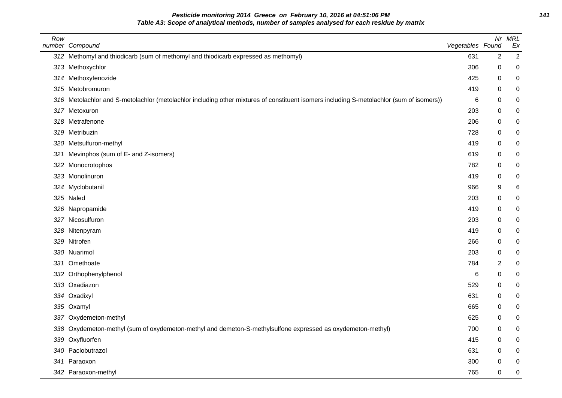**Pesticide monitoring 2014 Greece on February 10, 2016 at 04:51:06 PM 141 Table A3: Scope of analytical methods, number of samples analysed for each residue by matrix**

| Row | number Compound                                                                                                                          | Vegetables Found |                | Nr MRL<br>Ex |
|-----|------------------------------------------------------------------------------------------------------------------------------------------|------------------|----------------|--------------|
|     | 312 Methomyl and thiodicarb (sum of methomyl and thiodicarb expressed as methomyl)                                                       | 631              | $\overline{2}$ | $\sqrt{2}$   |
|     | 313 Methoxychlor                                                                                                                         | 306              | 0              | 0            |
|     | 314 Methoxyfenozide                                                                                                                      | 425              | 0              | 0            |
|     | 315 Metobromuron                                                                                                                         | 419              | 0              | 0            |
|     | 316 Metolachlor and S-metolachlor (metolachlor including other mixtures of constituent isomers including S-metolachlor (sum of isomers)) | 6                | 0              | 0            |
|     | 317 Metoxuron                                                                                                                            | 203              | 0              | 0            |
|     | 318 Metrafenone                                                                                                                          | 206              | 0              | 0            |
|     | 319 Metribuzin                                                                                                                           | 728              | 0              | 0            |
|     | 320 Metsulfuron-methyl                                                                                                                   | 419              | 0              | 0            |
| 321 | Mevinphos (sum of E- and Z-isomers)                                                                                                      | 619              | 0              | 0            |
|     | 322 Monocrotophos                                                                                                                        | 782              | 0              | 0            |
|     | 323 Monolinuron                                                                                                                          | 419              | 0              | 0            |
|     | 324 Myclobutanil                                                                                                                         | 966              | 9              | 6            |
|     | 325 Naled                                                                                                                                | 203              | 0              | 0            |
|     | 326 Napropamide                                                                                                                          | 419              | 0              | 0            |
|     | 327 Nicosulfuron                                                                                                                         | 203              | 0              | 0            |
|     | 328 Nitenpyram                                                                                                                           | 419              | 0              | 0            |
|     | 329 Nitrofen                                                                                                                             | 266              | 0              | 0            |
|     | 330 Nuarimol                                                                                                                             | 203              | 0              | 0            |
|     | 331 Omethoate                                                                                                                            | 784              | 2              | 0            |
|     | 332 Orthophenylphenol                                                                                                                    | 6                | 0              | 0            |
|     | 333 Oxadiazon                                                                                                                            | 529              | 0              | 0            |
|     | 334 Oxadixyl                                                                                                                             | 631              | 0              | 0            |
|     | 335 Oxamyl                                                                                                                               | 665              | 0              | 0            |
|     | 337 Oxydemeton-methyl                                                                                                                    | 625              | 0              | 0            |
|     | 338 Oxydemeton-methyl (sum of oxydemeton-methyl and demeton-S-methylsulfone expressed as oxydemeton-methyl)                              | 700              | 0              | 0            |
|     | 339 Oxyfluorfen                                                                                                                          | 415              | 0              | 0            |
|     | 340 Paclobutrazol                                                                                                                        | 631              | 0              | 0            |
|     | 341 Paraoxon                                                                                                                             | 300              | 0              | 0            |
|     | 342 Paraoxon-methyl                                                                                                                      | 765              | $\mathbf 0$    | 0            |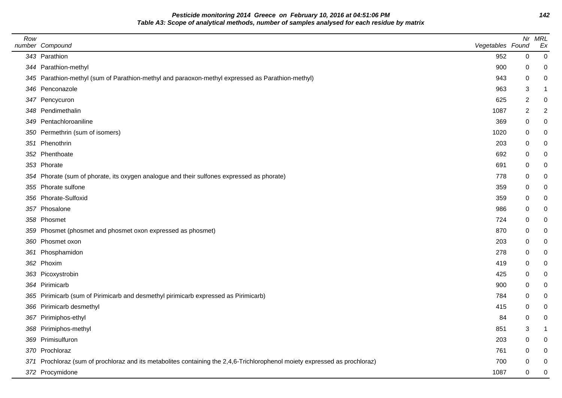**Pesticide monitoring 2014 Greece on February 10, 2016 at 04:51:06 PM 142 Table A3: Scope of analytical methods, number of samples analysed for each residue by matrix**

| Row | number Compound                                                                                                            | Vegetables Found |             | Nr MRL<br>Ex     |
|-----|----------------------------------------------------------------------------------------------------------------------------|------------------|-------------|------------------|
|     | 343 Parathion                                                                                                              | 952              | 0           | $\boldsymbol{0}$ |
|     | 344 Parathion-methyl                                                                                                       | 900              | 0           | 0                |
|     | 345 Parathion-methyl (sum of Parathion-methyl and paraoxon-methyl expressed as Parathion-methyl)                           | 943              | 0           | 0                |
|     | 346 Penconazole                                                                                                            | 963              | 3           | $\mathbf 1$      |
|     | 347 Pencycuron                                                                                                             | 625              | 2           | $\mathbf 0$      |
|     | 348 Pendimethalin                                                                                                          | 1087             | 2           | $\overline{2}$   |
|     | 349 Pentachloroaniline                                                                                                     | 369              | 0           | $\boldsymbol{0}$ |
|     | 350 Permethrin (sum of isomers)                                                                                            | 1020             | 0           | 0                |
|     | 351 Phenothrin                                                                                                             | 203              | 0           | 0                |
|     | 352 Phenthoate                                                                                                             | 692              | 0           | $\mathbf 0$      |
|     | 353 Phorate                                                                                                                | 691              | 0           | $\mathbf 0$      |
|     | 354 Phorate (sum of phorate, its oxygen analogue and their sulfones expressed as phorate)                                  | 778              | 0           | $\mathbf 0$      |
|     | 355 Phorate sulfone                                                                                                        | 359              | 0           | $\mathbf 0$      |
|     | 356 Phorate-Sulfoxid                                                                                                       | 359              | 0           | $\mathbf 0$      |
|     | 357 Phosalone                                                                                                              | 986              | 0           | $\mathbf 0$      |
|     | 358 Phosmet                                                                                                                | 724              | 0           | $\mathbf 0$      |
|     | 359 Phosmet (phosmet and phosmet oxon expressed as phosmet)                                                                | 870              | 0           | 0                |
|     | 360 Phosmet oxon                                                                                                           | 203              | 0           | $\boldsymbol{0}$ |
| 361 | Phosphamidon                                                                                                               | 278              | 0           | $\mathbf 0$      |
|     | 362 Phoxim                                                                                                                 | 419              | 0           | $\mathbf 0$      |
|     | 363 Picoxystrobin                                                                                                          | 425              | 0           | $\pmb{0}$        |
|     | 364 Pirimicarb                                                                                                             | 900              | $\Omega$    | $\mathbf 0$      |
|     | 365 Pirimicarb (sum of Pirimicarb and desmethyl pirimicarb expressed as Pirimicarb)                                        | 784              | 0           | $\mathbf 0$      |
|     | 366 Pirimicarb desmethyl                                                                                                   | 415              | 0           | $\mathbf 0$      |
|     | 367 Pirimiphos-ethyl                                                                                                       | 84               | 0           | $\mathbf 0$      |
|     | 368 Pirimiphos-methyl                                                                                                      | 851              | 3           | $\mathbf{1}$     |
|     | 369 Primisulfuron                                                                                                          | 203              | 0           | $\pmb{0}$        |
|     | 370 Prochloraz                                                                                                             | 761              | 0           | $\mathbf 0$      |
|     | 371 Prochloraz (sum of prochloraz and its metabolites containing the 2,4,6-Trichlorophenol moiety expressed as prochloraz) | 700              | 0           | $\mathbf 0$      |
|     | 372 Procymidone                                                                                                            | 1087             | $\mathbf 0$ | $\mathbf 0$      |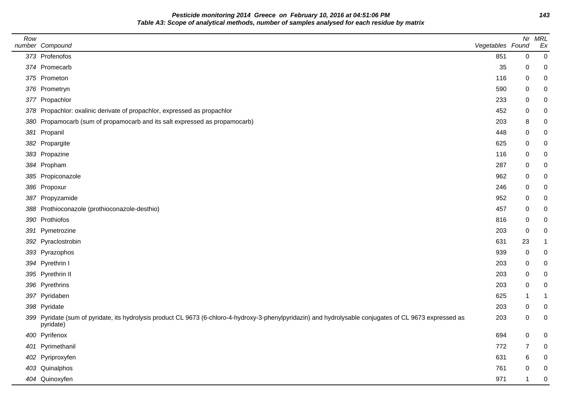**Pesticide monitoring 2014 Greece on February 10, 2016 at 04:51:06 PM 143 Table A3: Scope of analytical methods, number of samples analysed for each residue by matrix**

| Row | number Compound                                                                                                                                                       | Vegetables Found |             | Nr MRL<br>Ex   |
|-----|-----------------------------------------------------------------------------------------------------------------------------------------------------------------------|------------------|-------------|----------------|
|     | 373 Profenofos                                                                                                                                                        | 851              | $\mathbf 0$ | $\mathbf 0$    |
|     | 374 Promecarb                                                                                                                                                         | 35               | 0           | 0              |
|     | 375 Prometon                                                                                                                                                          | 116              | 0           | 0              |
|     | 376 Prometryn                                                                                                                                                         | 590              | 0           | 0              |
|     | 377 Propachlor                                                                                                                                                        | 233              | 0           | 0              |
|     | 378 Propachlor: oxalinic derivate of propachlor, expressed as propachlor                                                                                              | 452              | 0           | 0              |
|     | 380 Propamocarb (sum of propamocarb and its salt expressed as propamocarb)                                                                                            | 203              | 8           | 0              |
|     | 381 Propanil                                                                                                                                                          | 448              | 0           | 0              |
|     | 382 Propargite                                                                                                                                                        | 625              | 0           | 0              |
|     | 383 Propazine                                                                                                                                                         | 116              | 0           | 0              |
|     | 384 Propham                                                                                                                                                           | 287              | 0           | 0              |
|     | 385 Propiconazole                                                                                                                                                     | 962              | 0           | 0              |
|     | 386 Propoxur                                                                                                                                                          | 246              | 0           | 0              |
|     | 387 Propyzamide                                                                                                                                                       | 952              | 0           | 0              |
|     | 388 Prothioconazole (prothioconazole-desthio)                                                                                                                         | 457              | 0           | 0              |
|     | 390 Prothiofos                                                                                                                                                        | 816              | 0           | 0              |
|     | 391 Pymetrozine                                                                                                                                                       | 203              | 0           | 0              |
|     | 392 Pyraclostrobin                                                                                                                                                    | 631              | 23          |                |
|     | 393 Pyrazophos                                                                                                                                                        | 939              | 0           | 0              |
|     | 394 Pyrethrin I                                                                                                                                                       | 203              | 0           | 0              |
|     | 395 Pyrethrin II                                                                                                                                                      | 203              | 0           | 0              |
|     | 396 Pyrethrins                                                                                                                                                        | 203              | 0           | 0              |
|     | 397 Pyridaben                                                                                                                                                         | 625              | -1          | 1              |
|     | 398 Pyridate                                                                                                                                                          | 203              | 0           | 0              |
|     | 399 Pyridate (sum of pyridate, its hydrolysis product CL 9673 (6-chloro-4-hydroxy-3-phenylpyridazin) and hydrolysable conjugates of CL 9673 expressed as<br>pyridate) | 203              | 0           | 0              |
|     | 400 Pyrifenox                                                                                                                                                         | 694              | 0           | $\overline{0}$ |
|     | 401 Pyrimethanil                                                                                                                                                      | 772              | 7           | $\mathbf 0$    |
|     | 402 Pyriproxyfen                                                                                                                                                      | 631              | 6           | 0              |
|     | 403 Quinalphos                                                                                                                                                        | 761              | 0           | $\mathbf 0$    |
|     | 404 Quinoxyfen                                                                                                                                                        | 971              | -1          | $\mathbf 0$    |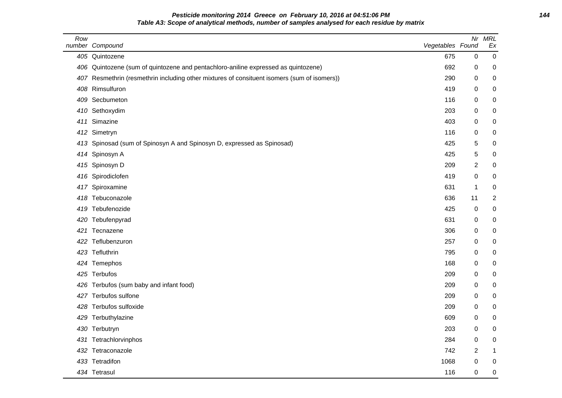# **Pesticide monitoring 2014 Greece on February 10, 2016 at 04:51:06 PM 144 Table A3: Scope of analytical methods, number of samples analysed for each residue by matrix**

| Row | number Compound                                                                             | Vegetables Found | Nr             | <b>MRL</b><br>Ex |
|-----|---------------------------------------------------------------------------------------------|------------------|----------------|------------------|
|     | 405 Quintozene                                                                              | 675              | $\mathbf 0$    | $\mathbf 0$      |
| 406 | Quintozene (sum of quintozene and pentachloro-aniline expressed as quintozene)              | 692              | 0              | 0                |
|     | 407 Resmethrin (resmethrin including other mixtures of consituent isomers (sum of isomers)) | 290              | 0              | 0                |
| 408 | Rimsulfuron                                                                                 | 419              | 0              | 0                |
| 409 | Secbumeton                                                                                  | 116              | 0              | 0                |
| 410 | Sethoxydim                                                                                  | 203              | 0              | 0                |
| 411 | Simazine                                                                                    | 403              | $\mathbf 0$    | 0                |
| 412 | Simetryn                                                                                    | 116              | 0              | 0                |
| 413 | Spinosad (sum of Spinosyn A and Spinosyn D, expressed as Spinosad)                          | 425              | 5              | 0                |
| 414 | Spinosyn A                                                                                  | 425              | 5              | 0                |
| 415 | Spinosyn D                                                                                  | 209              | $\overline{2}$ | 0                |
| 416 | Spirodiclofen                                                                               | 419              | 0              | 0                |
| 417 | Spiroxamine                                                                                 | 631              | $\mathbf 1$    | 0                |
| 418 | Tebuconazole                                                                                | 636              | 11             | $\boldsymbol{2}$ |
| 419 | Tebufenozide                                                                                | 425              | $\mathbf 0$    | 0                |
| 420 | Tebufenpyrad                                                                                | 631              | $\mathbf 0$    | $\pmb{0}$        |
| 421 | Tecnazene                                                                                   | 306              | 0              | 0                |
| 422 | Teflubenzuron                                                                               | 257              | $\mathbf 0$    | 0                |
| 423 | Tefluthrin                                                                                  | 795              | 0              | 0                |
| 424 | Temephos                                                                                    | 168              | 0              | 0                |
|     | 425 Terbufos                                                                                | 209              | 0              | 0                |
| 426 | Terbufos (sum baby and infant food)                                                         | 209              | 0              | 0                |
| 427 | Terbufos sulfone                                                                            | 209              | 0              | 0                |
| 428 | Terbufos sulfoxide                                                                          | 209              | 0              | 0                |
| 429 | Terbuthylazine                                                                              | 609              | 0              | 0                |
| 430 | Terbutryn                                                                                   | 203              | $\mathbf 0$    | 0                |
| 431 | Tetrachlorvinphos                                                                           | 284              | $\mathbf 0$    | 0                |
| 432 | Tetraconazole                                                                               | 742              | 2              | $\mathbf 1$      |
|     | 433 Tetradifon                                                                              | 1068             | 0              | 0                |
|     | 434 Tetrasul                                                                                | 116              | 0              | $\mathbf 0$      |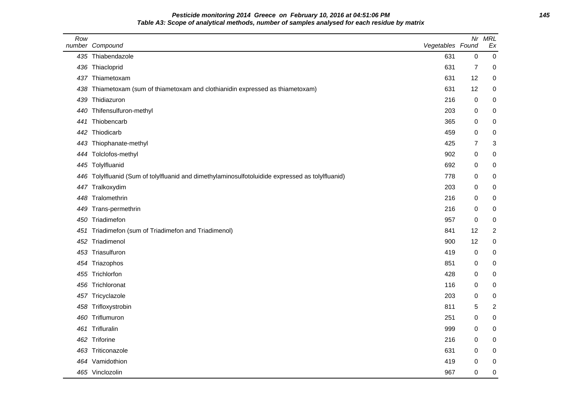### **Pesticide monitoring 2014 Greece on February 10, 2016 at 04:51:06 PM 145 Table A3: Scope of analytical methods, number of samples analysed for each residue by matrix**

| Row<br>number | Compound                                                                                     | Vegetables Found |                | Nr MRL<br>Ex     |
|---------------|----------------------------------------------------------------------------------------------|------------------|----------------|------------------|
|               | 435 Thiabendazole                                                                            | 631              | $\mathbf 0$    | 0                |
| 436           | Thiacloprid                                                                                  | 631              | $\overline{7}$ | 0                |
|               | 437 Thiametoxam                                                                              | 631              | 12             | 0                |
| 438           | Thiametoxam (sum of thiametoxam and clothianidin expressed as thiametoxam)                   | 631              | 12             | 0                |
| 439           | Thidiazuron                                                                                  | 216              | 0              | $\pmb{0}$        |
| 440           | Thifensulfuron-methyl                                                                        | 203              | 0              | 0                |
| 441           | Thiobencarb                                                                                  | 365              | 0              | 0                |
| 442           | Thiodicarb                                                                                   | 459              | 0              | 0                |
| 443           | Thiophanate-methyl                                                                           | 425              | $\overline{7}$ | 3                |
|               | 444 Tolclofos-methyl                                                                         | 902              | 0              | 0                |
|               | 445 Tolylfluanid                                                                             | 692              | 0              | 0                |
| 446           | Tolylfluanid (Sum of tolylfluanid and dimethylaminosulfotoluidide expressed as tolylfluanid) | 778              | 0              | 0                |
|               | 447 Tralkoxydim                                                                              | 203              | 0              | $\pmb{0}$        |
| 448           | Tralomethrin                                                                                 | 216              | 0              | 0                |
| 449           | Trans-permethrin                                                                             | 216              | 0              | $\pmb{0}$        |
| 450           | Triadimefon                                                                                  | 957              | 0              | 0                |
| 451           | Triadimefon (sum of Triadimefon and Triadimenol)                                             | 841              | 12             | $\boldsymbol{2}$ |
| 452           | Triadimenol                                                                                  | 900              | 12             | $\pmb{0}$        |
| 453           | Triasulfuron                                                                                 | 419              | $\pmb{0}$      | 0                |
|               | 454 Triazophos                                                                               | 851              | 0              | 0                |
| 455           | Trichlorfon                                                                                  | 428              | 0              | 0                |
| 456           | Trichloronat                                                                                 | 116              | 0              | $\pmb{0}$        |
| 457           | Tricyclazole                                                                                 | 203              | 0              | $\pmb{0}$        |
|               | 458 Trifloxystrobin                                                                          | 811              | 5              | $\overline{2}$   |
| 460           | Triflumuron                                                                                  | 251              | 0              | $\pmb{0}$        |
| 461           | Trifluralin                                                                                  | 999              | 0              | 0                |
| 462           | Triforine                                                                                    | 216              | 0              | 0                |
| 463           | Triticonazole                                                                                | 631              | 0              | 0                |
| 464           | Vamidothion                                                                                  | 419              | 0              | 0                |
|               | 465 Vinclozolin                                                                              | 967              | 0              | 0                |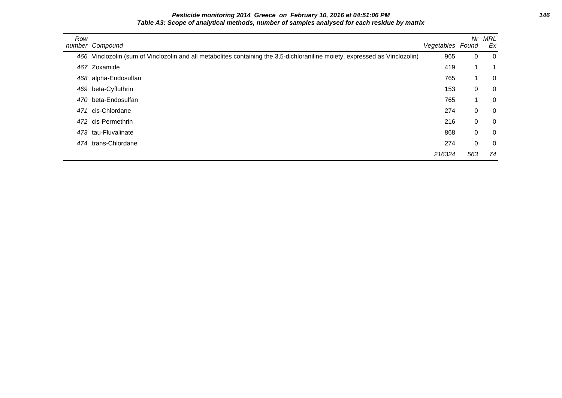**Pesticide monitoring 2014 Greece on February 10, 2016 at 04:51:06 PM 146 Table A3: Scope of analytical methods, number of samples analysed for each residue by matrix**

| Row | number Compound                                                                                                             | Vegetables Found | Nr          | MRL<br>Ex      |
|-----|-----------------------------------------------------------------------------------------------------------------------------|------------------|-------------|----------------|
|     | 466 Vinclozolin (sum of Vinclozolin and all metabolites containing the 3,5-dichloraniline moiety, expressed as Vinclozolin) | 965              | $\Omega$    | - 0            |
|     | 467 Zoxamide                                                                                                                | 419              |             | 1              |
|     | 468 alpha-Endosulfan                                                                                                        | 765              | 1           | $\overline{0}$ |
|     | 469 beta-Cyfluthrin                                                                                                         | 153              | 0           | $\overline{0}$ |
|     | 470 beta-Endosulfan                                                                                                         | 765              | 4           | $\overline{0}$ |
| 471 | cis-Chlordane                                                                                                               | 274              | $\Omega$    | $\overline{0}$ |
|     | 472 cis-Permethrin                                                                                                          | 216              | $\Omega$    | $\overline{0}$ |
|     | 473 tau-Fluvalinate                                                                                                         | 868              | $\Omega$    | $\overline{0}$ |
|     | 474 trans-Chlordane                                                                                                         | 274              | $\mathbf 0$ | $\overline{0}$ |
|     |                                                                                                                             | 216324           | 563         | 74             |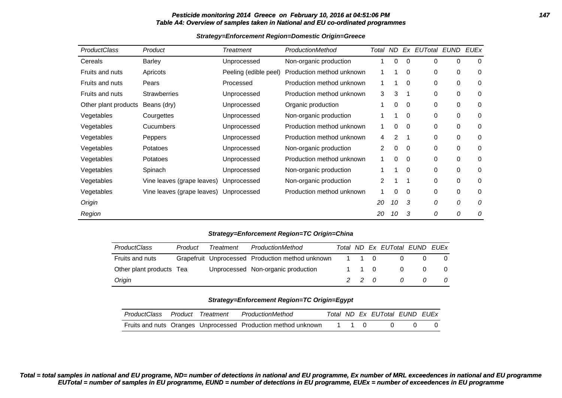### **Pesticide monitoring 2014 Greece on February 10, 2016 at 04:51:06 PM 147 Table A4: Overview of samples taken in National and EU co-ordinated programmes**

| <b>ProductClass</b>  | Product                    | Treatment                                | ProductionMethod          | Total          | ND. |          | Ex EUTotal EUND |             | <b>EUEx</b> |
|----------------------|----------------------------|------------------------------------------|---------------------------|----------------|-----|----------|-----------------|-------------|-------------|
| Cereals              | Barley                     | Unprocessed                              | Non-organic production    |                | 0   | 0        | 0               | 0           | 0           |
| Fruits and nuts      | Apricots                   | Peeling (edible peel)                    | Production method unknown |                |     | 0        | 0               | 0           | $\mathbf 0$ |
| Fruits and nuts      | Pears                      | Processed                                | Production method unknown |                |     | 0        | 0               | 0           | 0           |
| Fruits and nuts      | <b>Strawberries</b>        | Unprocessed                              | Production method unknown | 3              | 3   |          | 0               | 0           | 0           |
| Other plant products | Beans (dry)                | Unprocessed                              | Organic production        |                | 0   | 0        | 0               | 0           | 0           |
| Vegetables           | Courgettes                 | Unprocessed                              | Non-organic production    |                |     | 0        | 0               | 0           | 0           |
| Vegetables           | <b>Cucumbers</b>           | Production method unknown<br>Unprocessed |                           | 1              | 0   | $\Omega$ | 0               | 0           | 0           |
| Vegetables           | Peppers                    | Unprocessed                              | Production method unknown | 4              | 2   |          | 0               | 0           | 0           |
| Vegetables           | Potatoes                   | Unprocessed                              | Non-organic production    | $\overline{2}$ | 0   | 0        | 0               | 0           | 0           |
| Vegetables           | Potatoes                   | Unprocessed                              | Production method unknown | 1              | 0   | 0        | 0               | 0           | 0           |
| Vegetables           | Spinach                    | Unprocessed                              | Non-organic production    |                |     | 0        | 0               | 0           | 0           |
| Vegetables           | Vine leaves (grape leaves) | Unprocessed                              | Non-organic production    | 2              |     | 1        | 0               | $\mathbf 0$ | 0           |
| Vegetables           | Vine leaves (grape leaves) | Unprocessed                              | Production method unknown |                | 0   | 0        | 0               | $\mathbf 0$ | 0           |
| Origin               |                            |                                          |                           | 20             | 10  | 3        | 0               | 0           | 0           |
| Region               |                            |                                          |                           | 20             | 10  | 3        | 0               | 0           | 0           |

### **Strategy=Enforcement Region=Domestic Origin=Greece**

### **Strategy=Enforcement Region=TC Origin=China**

| <b>ProductClass</b>      | Product | <b>Treatment</b> | ProductionMethod                                 |       | Total ND Ex EUTotal EUND EUEx |   |
|--------------------------|---------|------------------|--------------------------------------------------|-------|-------------------------------|---|
| Fruits and nuts          |         |                  | Grapefruit Unprocessed Production method unknown | 1 1 0 |                               |   |
| Other plant products Tea |         |                  | Unprocessed Non-organic production               | 1 1 0 |                               | 0 |
| Origin                   |         |                  |                                                  | 2 2 0 |                               | 0 |

### **Strategy=Enforcement Region=TC Origin=Egypt**

| ProductClass | Product | Treatment | ProductionMethod                                              |  | Total ND Ex EUTotal EUND EUEx |  |
|--------------|---------|-----------|---------------------------------------------------------------|--|-------------------------------|--|
|              |         |           | Fruits and nuts Oranges Unprocessed Production method unknown |  |                               |  |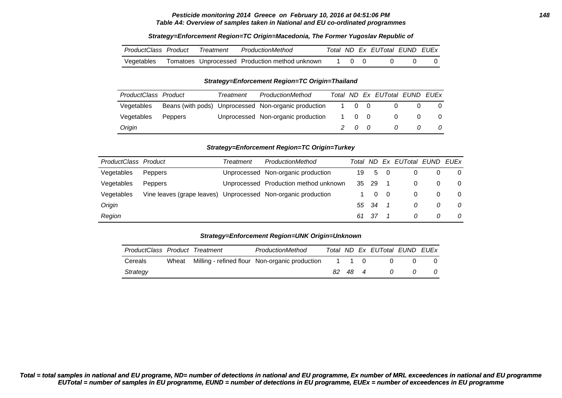#### **Pesticide monitoring 2014 Greece on February 10, 2016 at 04:51:06 PM 148 Table A4: Overview of samples taken in National and EU co-ordinated programmes**

| ProductClass Product | Treatment | ProductionMethod                               |  | Total ND Ex EUTotal EUND EUEx |  |
|----------------------|-----------|------------------------------------------------|--|-------------------------------|--|
| Vegetables           |           | Tomatoes Unprocessed Production method unknown |  |                               |  |

### **Strategy=Enforcement Region=TC Origin=Macedonia, The Former Yugoslav Republic of**

#### **Strategy=Enforcement Region=TC Origin=Thailand**

| ProductClass Product |                | Treatment | ProductionMethod                                     |       | Total ND Ex EUTotal EUND EUEx |  |
|----------------------|----------------|-----------|------------------------------------------------------|-------|-------------------------------|--|
| Vegetables           |                |           | Beans (with pods) Unprocessed Non-organic production | 1 0 0 |                               |  |
| Vegetables           | <b>Peppers</b> |           | Unprocessed Non-organic production                   | 1 0 0 |                               |  |
| Origin               |                |           |                                                      | 200   |                               |  |

### **Strategy=Enforcement Region=TC Origin=Turkey**

| ProductClass Product |                                                               | ProductionMethod<br>Treatment |                                       | Total ND |       |     | Ex EUTotal EUND | <b>FUFx</b> |
|----------------------|---------------------------------------------------------------|-------------------------------|---------------------------------------|----------|-------|-----|-----------------|-------------|
| Vegetables           | <b>Peppers</b>                                                |                               | Unprocessed Non-organic production    | 19       | 5     | - 0 |                 | 0           |
| Vegetables           | <b>Peppers</b>                                                |                               | Unprocessed Production method unknown |          | 35 29 |     |                 | $\Omega$    |
| Vegetables           | Vine leaves (grape leaves) Unprocessed Non-organic production |                               |                                       |          | 0     |     |                 | 0           |
| Origin               |                                                               |                               |                                       |          | 55 34 |     | 0               | 0           |
| Region               |                                                               |                               |                                       | 61       | - 37  |     |                 |             |

### **Strategy=Enforcement Region=UNK Origin=Unknown**

| ProductClass Product Treatment |       | ProductionMethod                               |                     |     | Total ND Ex EUTotal EUND EUEx |  |
|--------------------------------|-------|------------------------------------------------|---------------------|-----|-------------------------------|--|
| Cereals                        | Wheat | Milling - refined flour Non-organic production | $1 \quad 1 \quad 0$ |     |                               |  |
| Strategy                       |       |                                                | -82                 | 484 | 7                             |  |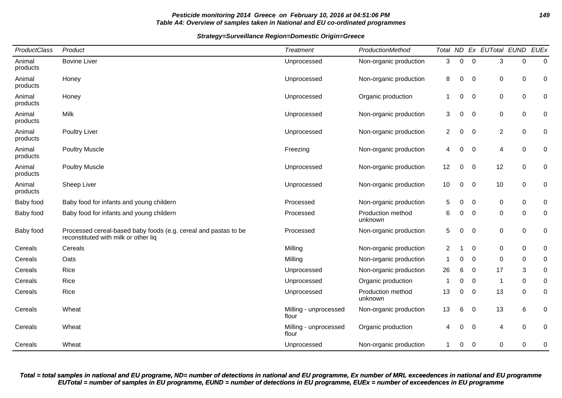### **Pesticide monitoring 2014 Greece on February 10, 2016 at 04:51:06 PM 149 Table A4: Overview of samples taken in National and EU co-ordinated programmes**

### **Strategy=Surveillance Region=Domestic Origin=Greece**

| ProductClass       | Product                                                                                                 | <b>Treatment</b>               | ProductionMethod             |                |             |             | Total ND Ex EUTotal EUND |             | <b>EUEx</b> |
|--------------------|---------------------------------------------------------------------------------------------------------|--------------------------------|------------------------------|----------------|-------------|-------------|--------------------------|-------------|-------------|
| Animal<br>products | <b>Bovine Liver</b>                                                                                     | Unprocessed                    | Non-organic production       | 3              | $\mathbf 0$ | $\mathbf 0$ | 3                        | 0           | $\mathbf 0$ |
| Animal<br>products | Honey                                                                                                   | Unprocessed                    | Non-organic production       | 8              | 0           | 0           | 0                        | 0           | 0           |
| Animal<br>products | Honey                                                                                                   | Unprocessed                    | Organic production           | -1             | 0           | 0           | $\pmb{0}$                | 0           | 0           |
| Animal<br>products | <b>Milk</b>                                                                                             | Unprocessed                    | Non-organic production       | 3              | 0           | 0           | $\pmb{0}$                | $\mathbf 0$ | 0           |
| Animal<br>products | <b>Poultry Liver</b>                                                                                    | Unprocessed                    | Non-organic production       | $\overline{2}$ | 0           | $\mathbf 0$ | $\sqrt{2}$               | $\mathbf 0$ | 0           |
| Animal<br>products | <b>Poultry Muscle</b>                                                                                   | Freezing                       | Non-organic production       | 4              | 0           | 0           | $\overline{\mathcal{A}}$ | 0           | 0           |
| Animal<br>products | <b>Poultry Muscle</b>                                                                                   | Unprocessed                    | Non-organic production       | 12             | 0           | 0           | 12                       | 0           | 0           |
| Animal<br>products | Sheep Liver                                                                                             | Unprocessed                    | Non-organic production       | 10             | 0           | $\mathbf 0$ | 10                       | 0           | 0           |
| Baby food          | Baby food for infants and young childern                                                                | Processed                      | Non-organic production       | 5              | 0           | 0           | $\pmb{0}$                | $\mathbf 0$ | 0           |
| Baby food          | Baby food for infants and young childern                                                                | Processed                      | Production method<br>unknown | 6              | $\mathbf 0$ | 0           | $\pmb{0}$                | $\mathbf 0$ | 0           |
| Baby food          | Processed cereal-based baby foods (e.g. cereal and pastas to be<br>reconstituted with milk or other liq | Processed                      | Non-organic production       | 5              | 0           | 0           | $\pmb{0}$                | 0           | 0           |
| Cereals            | Cereals                                                                                                 | Milling                        | Non-organic production       | 2              |             | $\mathbf 0$ | 0                        | 0           | 0           |
| Cereals            | Oats                                                                                                    | Milling                        | Non-organic production       | -1             | $\Omega$    | $\mathbf 0$ | $\mathbf 0$              | 0           | 0           |
| Cereals            | Rice                                                                                                    | Unprocessed                    | Non-organic production       | 26             | 6           | 0           | 17                       | 3           | $\mathbf 0$ |
| Cereals            | Rice                                                                                                    | Unprocessed                    | Organic production           | -1             | 0           | 0           | 1                        | $\mathbf 0$ | 0           |
| Cereals            | Rice                                                                                                    | Unprocessed                    | Production method<br>unknown | 13             | $\pmb{0}$   | 0           | 13                       | 0           | 0           |
| Cereals            | Wheat                                                                                                   | Milling - unprocessed<br>flour | Non-organic production       | 13             | 6           | 0           | 13                       | 6           | 0           |
| Cereals            | Wheat                                                                                                   | Milling - unprocessed<br>flour | Organic production           | 4              | 0           | 0           | $\overline{4}$           | $\Omega$    | 0           |
| Cereals            | Wheat                                                                                                   | Unprocessed                    | Non-organic production       | 1              | 0           | 0           | $\pmb{0}$                | 0           | 0           |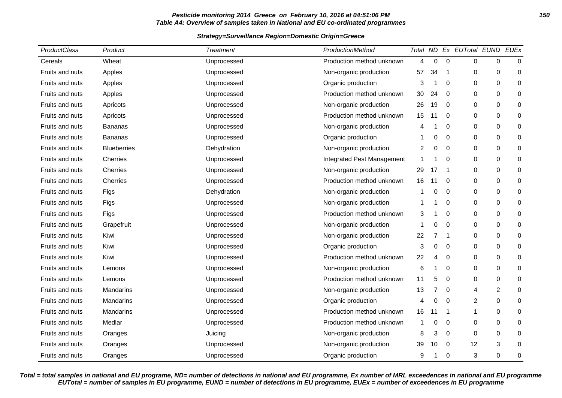### **Pesticide monitoring 2014 Greece on February 10, 2016 at 04:51:06 PM 150 Table A4: Overview of samples taken in National and EU co-ordinated programmes**

### **Strategy=Surveillance Region=Domestic Origin=Greece**

| ProductClass           | Product            | <b>Treatment</b> | ProductionMethod           |    |                |                  | Total ND Ex EUTotal EUND |                | <b>EUEx</b> |
|------------------------|--------------------|------------------|----------------------------|----|----------------|------------------|--------------------------|----------------|-------------|
| Cereals                | Wheat              | Unprocessed      | Production method unknown  | 4  | 0              | $\boldsymbol{0}$ | 0                        | 0              | $\mathbf 0$ |
| Fruits and nuts        | Apples             | Unprocessed      | Non-organic production     | 57 | 34             | 1                | 0                        | 0              | 0           |
| Fruits and nuts        | Apples             | Unprocessed      | Organic production         | 3  | -1             | $\mathbf 0$      | 0                        | 0              | 0           |
| Fruits and nuts        | Apples             | Unprocessed      | Production method unknown  | 30 | 24             | $\mathbf 0$      | 0                        | $\Omega$       | 0           |
| Fruits and nuts        | Apricots           | Unprocessed      | Non-organic production     | 26 | 19             | 0                | 0                        | 0              | 0           |
| <b>Fruits and nuts</b> | Apricots           | Unprocessed      | Production method unknown  | 15 | 11             | 0                | 0                        | 0              | 0           |
| Fruits and nuts        | <b>Bananas</b>     | Unprocessed      | Non-organic production     | 4  |                | $\Omega$         | 0                        | $\Omega$       | 0           |
| Fruits and nuts        | <b>Bananas</b>     | Unprocessed      | Organic production         |    | 0              | 0                | 0                        | 0              | 0           |
| Fruits and nuts        | <b>Blueberries</b> | Dehydration      | Non-organic production     | 2  | 0              | $\mathbf 0$      | 0                        | 0              | 0           |
| Fruits and nuts        | Cherries           | Unprocessed      | Integrated Pest Management | 1  | -1             | $\mathbf 0$      | 0                        | $\Omega$       | 0           |
| Fruits and nuts        | Cherries           | Unprocessed      | Non-organic production     | 29 | 17             | 1                | 0                        | 0              | 0           |
| Fruits and nuts        | Cherries           | Unprocessed      | Production method unknown  | 16 | 11             | 0                | 0                        | 0              | 0           |
| Fruits and nuts        | Figs               | Dehydration      | Non-organic production     | 1  | 0              | $\mathbf 0$      | 0                        | $\Omega$       | 0           |
| Fruits and nuts        | Figs               | Unprocessed      | Non-organic production     |    |                | $\Omega$         | 0                        | $\Omega$       | 0           |
| Fruits and nuts        | Figs               | Unprocessed      | Production method unknown  | 3  |                | 0                | 0                        | 0              | 0           |
| <b>Fruits and nuts</b> | Grapefruit         | Unprocessed      | Non-organic production     | 1  | 0              | $\mathbf 0$      | 0                        | $\mathbf 0$    | 0           |
| Fruits and nuts        | Kiwi               | Unprocessed      | Non-organic production     | 22 | $\overline{7}$ | 1                | 0                        | $\Omega$       | 0           |
| Fruits and nuts        | Kiwi               | Unprocessed      | Organic production         | 3  | $\mathbf 0$    | 0                | 0                        | $\mathbf 0$    | 0           |
| <b>Fruits and nuts</b> | Kiwi               | Unprocessed      | Production method unknown  | 22 | 4              | 0                | 0                        | $\Omega$       | 0           |
| Fruits and nuts        | Lemons             | Unprocessed      | Non-organic production     | 6  | 1              | $\Omega$         | 0                        | $\Omega$       | $\mathbf 0$ |
| Fruits and nuts        | Lemons             | Unprocessed      | Production method unknown  | 11 | 5              | 0                | 0                        | 0              | 0           |
| Fruits and nuts        | Mandarins          | Unprocessed      | Non-organic production     | 13 | 7              | $\mathbf 0$      | 4                        | $\overline{c}$ | 0           |
| Fruits and nuts        | <b>Mandarins</b>   | Unprocessed      | Organic production         | 4  | 0              | $\mathbf 0$      | $\overline{2}$           | $\Omega$       | 0           |
| Fruits and nuts        | Mandarins          | Unprocessed      | Production method unknown  | 16 | 11             | 1                | 1                        | 0              | 0           |
| Fruits and nuts        | Medlar             | Unprocessed      | Production method unknown  | 1  | 0              | 0                | 0                        | 0              | 0           |
| Fruits and nuts        | Oranges            | Juicing          | Non-organic production     | 8  | 3              | $\mathbf 0$      | 0                        | $\Omega$       | 0           |
| Fruits and nuts        | Oranges            | Unprocessed      | Non-organic production     | 39 | 10             | $\overline{0}$   | 12                       | 3              | $\mathbf 0$ |
| Fruits and nuts        | Oranges            | Unprocessed      | Organic production         | 9  |                | 0                | 3                        | 0              | 0           |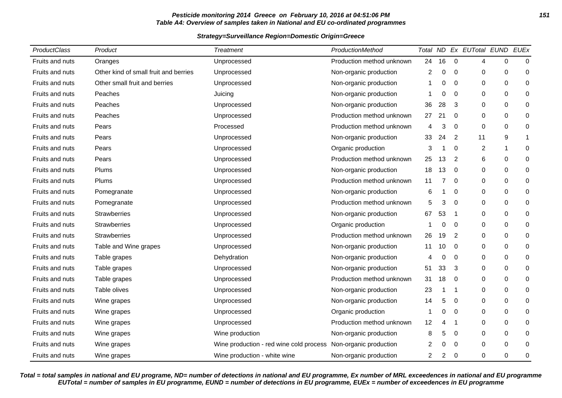### **Pesticide monitoring 2014 Greece on February 10, 2016 at 04:51:06 PM 151 Table A4: Overview of samples taken in National and EU co-ordinated programmes**

### **Strategy=Surveillance Region=Domestic Origin=Greece**

| ProductClass    | Product                               | Treatment                               | ProductionMethod          |    |          |             | Total ND Ex EUTotal EUND EUEx |          |             |
|-----------------|---------------------------------------|-----------------------------------------|---------------------------|----|----------|-------------|-------------------------------|----------|-------------|
| Fruits and nuts | Oranges                               | Unprocessed                             | Production method unknown | 24 | 16       | $\mathbf 0$ | 4                             | 0        | $\pmb{0}$   |
| Fruits and nuts | Other kind of small fruit and berries | Unprocessed                             | Non-organic production    | 2  | 0        | 0           | 0                             | 0        | 0           |
| Fruits and nuts | Other small fruit and berries         | Unprocessed                             | Non-organic production    | 1  | 0        | 0           | $\Omega$                      | 0        | 0           |
| Fruits and nuts | Peaches                               | Juicing                                 | Non-organic production    | 1  | 0        | 0           | 0                             | 0        | 0           |
| Fruits and nuts | Peaches                               | Unprocessed                             | Non-organic production    | 36 | 28       | 3           | 0                             | 0        | 0           |
| Fruits and nuts | Peaches                               | Unprocessed                             | Production method unknown | 27 | 21       | 0           | 0                             | 0        | 0           |
| Fruits and nuts | Pears                                 | Processed                               | Production method unknown | 4  | 3        | $\Omega$    | $\Omega$                      | 0        | 0           |
| Fruits and nuts | Pears                                 | Unprocessed                             | Non-organic production    | 33 | 24       | 2           | 11                            | 9        | 1           |
| Fruits and nuts | Pears                                 | Unprocessed                             | Organic production        | 3  | 1        | 0           | $\overline{c}$                | -1       | 0           |
| Fruits and nuts | Pears                                 | Unprocessed                             | Production method unknown | 25 | 13       | 2           | 6                             | 0        | 0           |
| Fruits and nuts | Plums                                 | Unprocessed                             | Non-organic production    | 18 | 13       | 0           | $\Omega$                      | $\Omega$ | 0           |
| Fruits and nuts | Plums                                 | Unprocessed                             | Production method unknown | 11 | 7        | 0           | 0                             | 0        | 0           |
| Fruits and nuts | Pomegranate                           | Unprocessed                             | Non-organic production    | 6  | 1        | 0           | 0                             | 0        | 0           |
| Fruits and nuts | Pomegranate                           | Unprocessed                             | Production method unknown | 5  | 3        | 0           | 0                             | 0        | 0           |
| Fruits and nuts | <b>Strawberries</b>                   | Unprocessed                             | Non-organic production    | 67 | 53       | -1          | 0                             | 0        | 0           |
| Fruits and nuts | <b>Strawberries</b>                   | Unprocessed                             | Organic production        | 1  | 0        | 0           | $\Omega$                      | 0        | 0           |
| Fruits and nuts | <b>Strawberries</b>                   | Unprocessed                             | Production method unknown | 26 | 19       | 2           | 0                             | 0        | 0           |
| Fruits and nuts | Table and Wine grapes                 | Unprocessed                             | Non-organic production    | 11 | 10       | 0           | 0                             | 0        | 0           |
| Fruits and nuts | Table grapes                          | Dehydration                             | Non-organic production    | 4  | 0        | 0           | $\Omega$                      | 0        | $\mathbf 0$ |
| Fruits and nuts | Table grapes                          | Unprocessed                             | Non-organic production    | 51 | 33       | 3           | 0                             | 0        | 0           |
| Fruits and nuts | Table grapes                          | Unprocessed                             | Production method unknown | 31 | 18       | $\Omega$    | $\Omega$                      | 0        | 0           |
| Fruits and nuts | Table olives                          | Unprocessed                             | Non-organic production    | 23 | 1        | -1          | 0                             | 0        | 0           |
| Fruits and nuts | Wine grapes                           | Unprocessed                             | Non-organic production    | 14 | 5        | 0           | 0                             | 0        | 0           |
| Fruits and nuts | Wine grapes                           | Unprocessed                             | Organic production        | 1  | 0        | 0           | 0                             | 0        | 0           |
| Fruits and nuts | Wine grapes                           | Unprocessed                             | Production method unknown | 12 | 4        | -1          | 0                             | 0        | 0           |
| Fruits and nuts | Wine grapes                           | Wine production                         | Non-organic production    | 8  | 5        | 0           | 0                             | 0        | 0           |
| Fruits and nuts | Wine grapes                           | Wine production - red wine cold process | Non-organic production    | 2  | $\Omega$ | $\Omega$    | 0                             | 0        | 0           |
| Fruits and nuts | Wine grapes                           | Wine production - white wine            | Non-organic production    | 2  | 2        | 0           | 0                             | 0        | 0           |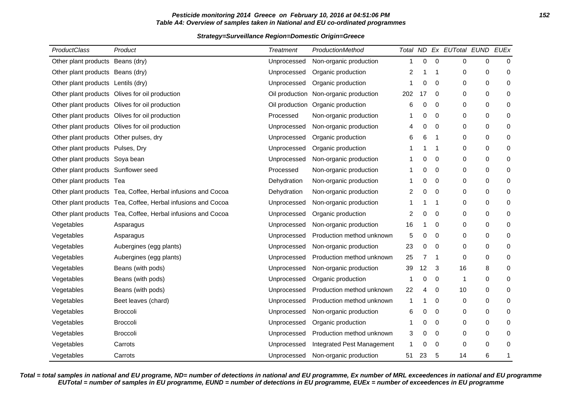### **Pesticide monitoring 2014 Greece on February 10, 2016 at 04:51:06 PM 152 Table A4: Overview of samples taken in National and EU co-ordinated programmes**

### **Strategy=Surveillance Region=Domestic Origin=Greece**

| ProductClass                           | Product                                                      | <b>Treatment</b> | <b>ProductionMethod</b>    |                |                |             | Total ND Ex EUTotal EUND EUEx |             |           |
|----------------------------------------|--------------------------------------------------------------|------------------|----------------------------|----------------|----------------|-------------|-------------------------------|-------------|-----------|
| Other plant products Beans (dry)       |                                                              | Unprocessed      | Non-organic production     | 1              | 0              | $\mathbf 0$ | 0                             | $\mathbf 0$ | $\Omega$  |
| Other plant products Beans (dry)       |                                                              | Unprocessed      | Organic production         | $\overline{2}$ |                | -1          | 0                             | $\mathbf 0$ | 0         |
| Other plant products Lentils (dry)     |                                                              | Unprocessed      | Organic production         | 1              | 0              | $\Omega$    | 0                             | $\pmb{0}$   | $\pmb{0}$ |
|                                        | Other plant products Olives for oil production               | Oil production   | Non-organic production     | 202            | 17             | 0           | 0                             | $\mathbf 0$ | 0         |
|                                        | Other plant products Olives for oil production               | Oil production   | Organic production         | 6              | 0              | $\mathbf 0$ | 0                             | $\mathbf 0$ | 0         |
|                                        | Other plant products Olives for oil production               | Processed        | Non-organic production     | -1             | 0              | 0           | 0                             | 0           | 0         |
|                                        | Other plant products Olives for oil production               | Unprocessed      | Non-organic production     | 4              | 0              | $\mathbf 0$ | 0                             | $\mathbf 0$ | 0         |
| Other plant products Other pulses, dry |                                                              | Unprocessed      | Organic production         | 6              | 6              | -1          | 0                             | $\mathbf 0$ | 0         |
| Other plant products Pulses, Dry       |                                                              | Unprocessed      | Organic production         | 1              |                | -1          | 0                             | 0           | 0         |
| Other plant products Soya bean         |                                                              | Unprocessed      | Non-organic production     | -1             | 0              | $\mathbf 0$ | 0                             | $\mathbf 0$ | 0         |
| Other plant products Sunflower seed    |                                                              | Processed        | Non-organic production     | 1              | 0              | 0           | 0                             | 0           | 0         |
| Other plant products Tea               |                                                              | Dehydration      | Non-organic production     | 1              | 0              | 0           | 0                             | 0           | 0         |
|                                        | Other plant products Tea, Coffee, Herbal infusions and Cocoa | Dehydration      | Non-organic production     | $\overline{2}$ | 0              | 0           | 0                             | $\mathbf 0$ | 0         |
|                                        | Other plant products Tea, Coffee, Herbal infusions and Cocoa | Unprocessed      | Non-organic production     | 1              |                | 1           | 0                             | $\mathbf 0$ | 0         |
|                                        | Other plant products Tea, Coffee, Herbal infusions and Cocoa | Unprocessed      | Organic production         | $\overline{c}$ | 0              | $\mathbf 0$ | 0                             | $\mathbf 0$ | 0         |
| Vegetables                             | Asparagus                                                    | Unprocessed      | Non-organic production     | 16             |                | 0           | 0                             | 0           | 0         |
| Vegetables                             | Asparagus                                                    | Unprocessed      | Production method unknown  | 5              | 0              | $\mathbf 0$ | 0                             | $\mathbf 0$ | 0         |
| Vegetables                             | Aubergines (egg plants)                                      | Unprocessed      | Non-organic production     | 23             | 0              | 0           | 0                             | 0           | 0         |
| Vegetables                             | Aubergines (egg plants)                                      | Unprocessed      | Production method unknown  | 25             | $\overline{7}$ | 1           | 0                             | 0           | 0         |
| Vegetables                             | Beans (with pods)                                            | Unprocessed      | Non-organic production     | 39             | 12             | 3           | 16                            | 8           | 0         |
| Vegetables                             | Beans (with pods)                                            | Unprocessed      | Organic production         | -1             | 0              | 0           | 1                             | 0           | 0         |
| Vegetables                             | Beans (with pods)                                            | Unprocessed      | Production method unknown  | 22             | 4              | 0           | 10                            | 0           | 0         |
| Vegetables                             | Beet leaves (chard)                                          | Unprocessed      | Production method unknown  | 1              |                | 0           | 0                             | $\mathbf 0$ | 0         |
| Vegetables                             | <b>Broccoli</b>                                              | Unprocessed      | Non-organic production     | 6              | 0              | $\mathbf 0$ | 0                             | 0           | 0         |
| Vegetables                             | <b>Broccoli</b>                                              | Unprocessed      | Organic production         | 1              | 0              | 0           | 0                             | $\mathbf 0$ | 0         |
| Vegetables                             | <b>Broccoli</b>                                              | Unprocessed      | Production method unknown  | 3              | 0              | 0           | 0                             | 0           | 0         |
| Vegetables                             | Carrots                                                      | Unprocessed      | Integrated Pest Management | 1              | 0              | 0           | 0                             | $\mathbf 0$ | 0         |
| Vegetables                             | Carrots                                                      | Unprocessed      | Non-organic production     | 51             | 23             | 5           | 14                            | 6           | 1         |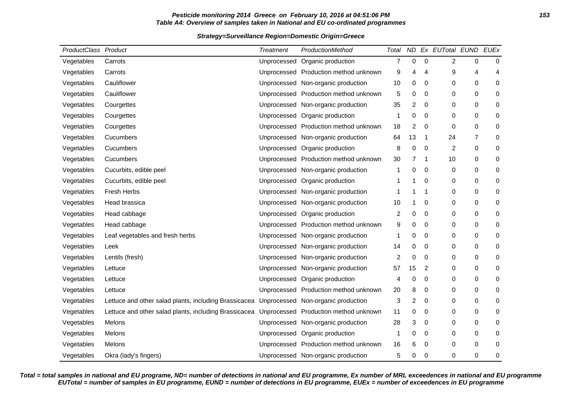### **Pesticide monitoring 2014 Greece on February 10, 2016 at 04:51:06 PM 153 Table A4: Overview of samples taken in National and EU co-ordinated programmes**

### **Strategy=Surveillance Region=Domestic Origin=Greece**

| ProductClass Product |                                                       | <b>Treatment</b> | ProductionMethod                      | Total          | ND             |                | Ex EUTotal EUND EUEx |                |             |
|----------------------|-------------------------------------------------------|------------------|---------------------------------------|----------------|----------------|----------------|----------------------|----------------|-------------|
| Vegetables           | Carrots                                               | Unprocessed      | Organic production                    | $\overline{7}$ | 0              | $\pmb{0}$      | $\overline{c}$       | 0              | 0           |
| Vegetables           | Carrots                                               |                  | Unprocessed Production method unknown | 9              | 4              | 4              | 9                    | 4              | 4           |
| Vegetables           | Cauliflower                                           |                  | Unprocessed Non-organic production    | 10             | 0              | $\mathbf 0$    | 0                    | 0              | 0           |
| Vegetables           | Cauliflower                                           |                  | Unprocessed Production method unknown | 5              | 0              | 0              | 0                    | 0              | $\pmb{0}$   |
| Vegetables           | Courgettes                                            |                  | Unprocessed Non-organic production    | 35             | $\overline{c}$ | $\mathbf 0$    | 0                    | 0              | 0           |
| Vegetables           | Courgettes                                            |                  | Unprocessed Organic production        | 1              | 0              | $\mathbf 0$    | 0                    | 0              | 0           |
| Vegetables           | Courgettes                                            |                  | Unprocessed Production method unknown | 18             | $\overline{2}$ | $\mathbf 0$    | 0                    | 0              | $\pmb{0}$   |
| Vegetables           | Cucumbers                                             |                  | Unprocessed Non-organic production    | 64             | 13             | -1             | 24                   | $\overline{7}$ | $\pmb{0}$   |
| Vegetables           | Cucumbers                                             |                  | Unprocessed Organic production        | 8              | 0              | 0              | 2                    | 0              | 0           |
| Vegetables           | Cucumbers                                             |                  | Unprocessed Production method unknown | 30             | 7              | $\overline{1}$ | 10                   | 0              | 0           |
| Vegetables           | Cucurbits, edible peel                                |                  | Unprocessed Non-organic production    | 1              | 0              | 0              | 0                    | 0              | $\pmb{0}$   |
| Vegetables           | Cucurbits, edible peel                                |                  | Unprocessed Organic production        | 1              | 1              | 0              | 0                    | 0              | 0           |
| Vegetables           | <b>Fresh Herbs</b>                                    |                  | Unprocessed Non-organic production    | 1              | 1              | -1             | 0                    | 0              | 0           |
| Vegetables           | Head brassica                                         |                  | Unprocessed Non-organic production    | 10             |                | 0              | 0                    | 0              | 0           |
| Vegetables           | Head cabbage                                          |                  | Unprocessed Organic production        | 2              | 0              | 0              | 0                    | 0              | 0           |
| Vegetables           | Head cabbage                                          |                  | Unprocessed Production method unknown | 9              | 0              | $\mathbf 0$    | 0                    | 0              | 0           |
| Vegetables           | Leaf vegetables and fresh herbs                       |                  | Unprocessed Non-organic production    | 1              | 0              | 0              | 0                    | 0              | $\,0\,$     |
| Vegetables           | Leek                                                  |                  | Unprocessed Non-organic production    | 14             | 0              | 0              | 0                    | 0              | 0           |
| Vegetables           | Lentils (fresh)                                       |                  | Unprocessed Non-organic production    | $\overline{c}$ | 0              | $\mathbf 0$    | 0                    | 0              | 0           |
| Vegetables           | Lettuce                                               |                  | Unprocessed Non-organic production    | 57             | 15             | $\overline{2}$ | 0                    | 0              | 0           |
| Vegetables           | Lettuce                                               |                  | Unprocessed Organic production        | 4              | 0              | 0              | 0                    | 0              | 0           |
| Vegetables           | Lettuce                                               |                  | Unprocessed Production method unknown | 20             | 8              | 0              | 0                    | 0              | 0           |
| Vegetables           | Lettuce and other salad plants, including Brassicacea |                  | Unprocessed Non-organic production    | 3              | $\overline{2}$ | 0              | 0                    | 0              | 0           |
| Vegetables           | Lettuce and other salad plants, including Brassicacea |                  | Unprocessed Production method unknown | 11             | 0              | 0              | 0                    | 0              | $\pmb{0}$   |
| Vegetables           | Melons                                                |                  | Unprocessed Non-organic production    | 28             | 3              | 0              | 0                    | 0              | 0           |
| Vegetables           | Melons                                                |                  | Unprocessed Organic production        | 1              | 0              | 0              | 0                    | 0              | 0           |
| Vegetables           | Melons                                                |                  | Unprocessed Production method unknown | 16             | 6              | 0              | 0                    | 0              | 0           |
| Vegetables           | Okra (lady's fingers)                                 |                  | Unprocessed Non-organic production    | 5              | 0              | 0              | 0                    | 0              | $\mathbf 0$ |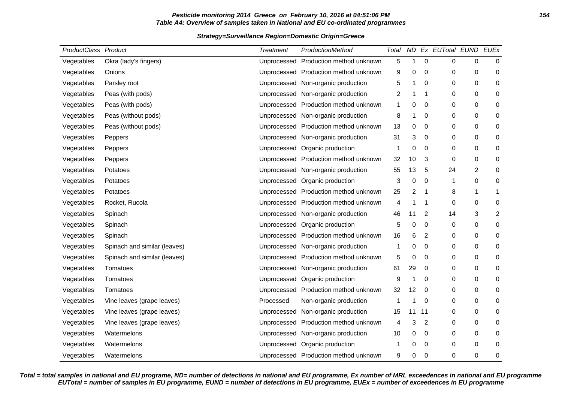### **Pesticide monitoring 2014 Greece on February 10, 2016 at 04:51:06 PM 154 Table A4: Overview of samples taken in National and EU co-ordinated programmes**

### **Strategy=Surveillance Region=Domestic Origin=Greece**

| ProductClass Product |                              | <b>Treatment</b> | ProductionMethod                      | Total          | ND             |                | Ex EUTotal EUND EUEx |                |                |
|----------------------|------------------------------|------------------|---------------------------------------|----------------|----------------|----------------|----------------------|----------------|----------------|
| Vegetables           | Okra (lady's fingers)        |                  | Unprocessed Production method unknown | 5              | 1              | 0              | 0                    | 0              | $\mathbf 0$    |
| Vegetables           | Onions                       |                  | Unprocessed Production method unknown | 9              | 0              | 0              | 0                    | 0              | 0              |
| Vegetables           | Parsley root                 |                  | Unprocessed Non-organic production    | 5              | 1              | $\mathbf 0$    | 0                    | 0              | $\mathbf 0$    |
| Vegetables           | Peas (with pods)             |                  | Unprocessed Non-organic production    | $\overline{2}$ |                | -1             | 0                    | 0              | 0              |
| Vegetables           | Peas (with pods)             |                  | Unprocessed Production method unknown | 1              | $\mathbf 0$    | $\mathbf 0$    | 0                    | 0              | 0              |
| Vegetables           | Peas (without pods)          |                  | Unprocessed Non-organic production    | 8              |                | 0              | 0                    | $\mathsf 0$    | $\pmb{0}$      |
| Vegetables           | Peas (without pods)          |                  | Unprocessed Production method unknown | 13             | 0              | 0              | 0                    | 0              | 0              |
| Vegetables           | Peppers                      |                  | Unprocessed Non-organic production    | 31             | 3              | $\mathbf 0$    | 0                    | 0              | 0              |
| Vegetables           | Peppers                      |                  | Unprocessed Organic production        | 1              | 0              | 0              | 0                    | 0              | 0              |
| Vegetables           | Peppers                      |                  | Unprocessed Production method unknown | 32             | 10             | 3              | 0                    | 0              | 0              |
| Vegetables           | Potatoes                     |                  | Unprocessed Non-organic production    | 55             | 13             | 5              | 24                   | $\overline{2}$ | $\pmb{0}$      |
| Vegetables           | Potatoes                     |                  | Unprocessed Organic production        | 3              | 0              | $\mathbf 0$    | 1                    | 0              | 0              |
| Vegetables           | Potatoes                     |                  | Unprocessed Production method unknown | 25             | $\overline{2}$ | -1             | 8                    | 1              | $\mathbf{1}$   |
| Vegetables           | Rocket, Rucola               |                  | Unprocessed Production method unknown | 4              |                | $\mathbf 1$    | 0                    | 0              | $\pmb{0}$      |
| Vegetables           | Spinach                      |                  | Unprocessed Non-organic production    | 46             | 11             | 2              | 14                   | 3              | $\overline{c}$ |
| Vegetables           | Spinach                      |                  | Unprocessed Organic production        | 5              | $\mathbf 0$    | $\mathbf 0$    | 0                    | 0              | 0              |
| Vegetables           | Spinach                      |                  | Unprocessed Production method unknown | 16             | 6              | 2              | 0                    | 0              | 0              |
| Vegetables           | Spinach and similar (leaves) |                  | Unprocessed Non-organic production    | 1              | 0              | 0              | 0                    | 0              | 0              |
| Vegetables           | Spinach and similar (leaves) |                  | Unprocessed Production method unknown | 5              | $\mathbf 0$    | $\mathbf 0$    | 0                    | 0              | 0              |
| Vegetables           | Tomatoes                     |                  | Unprocessed Non-organic production    | 61             | 29             | 0              | 0                    | 0              | 0              |
| Vegetables           | Tomatoes                     |                  | Unprocessed Organic production        | 9              |                | $\mathbf 0$    | 0                    | 0              | 0              |
| Vegetables           | Tomatoes                     |                  | Unprocessed Production method unknown | 32             | 12             | $\mathbf 0$    | 0                    | 0              | 0              |
| Vegetables           | Vine leaves (grape leaves)   | Processed        | Non-organic production                | 1              |                | 0              | 0                    | 0              | $\pmb{0}$      |
| Vegetables           | Vine leaves (grape leaves)   |                  | Unprocessed Non-organic production    | 15             | 11             | 11             | 0                    | 0              | 0              |
| Vegetables           | Vine leaves (grape leaves)   |                  | Unprocessed Production method unknown | 4              | 3              | $\overline{2}$ | 0                    | 0              | 0              |
| Vegetables           | Watermelons                  |                  | Unprocessed Non-organic production    | 10             | 0              | 0              | 0                    | 0              | 0              |
| Vegetables           | Watermelons                  |                  | Unprocessed Organic production        | 1              | 0              | 0              | 0                    | 0              | 0              |
| Vegetables           | Watermelons                  |                  | Unprocessed Production method unknown | 9              | 0              | 0              | 0                    | 0              | 0              |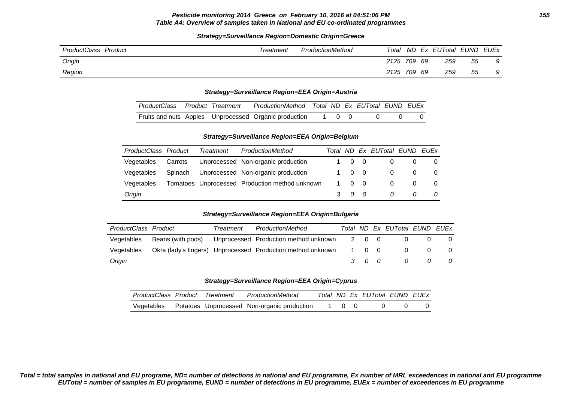#### **Pesticide monitoring 2014 Greece on February 10, 2016 at 04:51:06 PM 155 Table A4: Overview of samples taken in National and EU co-ordinated programmes**

### **Strategy=Surveillance Region=Domestic Origin=Greece**

| ProductClass Product | Treatment | ProductionMethod | Total       |  | ND Ex EUTotal EUND EUEx |    |   |
|----------------------|-----------|------------------|-------------|--|-------------------------|----|---|
| Origin               |           |                  | 2125 709 69 |  | 259                     | 55 | 9 |
| Region               |           |                  | 2125 709 69 |  | 259                     | 55 | 9 |

#### **Strategy=Surveillance Region=EEA Origin=Austria**

|  |  | ProductClass Product Treatment ProductionMethod Total ND Ex EUTotal EUND EUEx |  |  |  |
|--|--|-------------------------------------------------------------------------------|--|--|--|
|  |  | Fruits and nuts Apples Unprocessed Organic production 1 0 0 0 0               |  |  |  |

### **Strategy=Surveillance Region=EEA Origin=Belgium**

| ProductClass Product |         | Treatment | ProductionMethod                               |                        |                | Total ND Ex EUTotal EUND EUEx |  |
|----------------------|---------|-----------|------------------------------------------------|------------------------|----------------|-------------------------------|--|
| Vegetables           | Carrots |           | Unprocessed Non-organic production             | 1 0 0                  |                |                               |  |
| Vegetables           | Spinach |           | Unprocessed Non-organic production             | 10                     | $\overline{0}$ | 0                             |  |
| Vegetables           |         |           | Tomatoes Unprocessed Production method unknown | 1 0                    | $\overline{0}$ | $\Omega$                      |  |
| Origin               |         |           |                                                | $\mathcal{R}$ $\Omega$ |                | 0                             |  |

#### **Strategy=Surveillance Region=EEA Origin=Bulgaria**

| ProductClass Product | Treatment | ProductionMethod                                                  |     | Total ND Ex EUTotal EUND EUEx |                |          |
|----------------------|-----------|-------------------------------------------------------------------|-----|-------------------------------|----------------|----------|
| Vegetables           |           | Beans (with pods) Unprocessed Production method unknown 2 0 0     |     |                               |                | $\Omega$ |
| Vegetables           |           | Okra (lady's fingers) Unprocessed Production method unknown 1 0 0 |     | $\overline{0}$                | - റ            | $\Omega$ |
| Origin               |           |                                                                   | 300 | $\overline{a}$                | $\overline{a}$ | 0        |

#### **Strategy=Surveillance Region=EEA Origin=Cyprus**

| ProductClass Product Treatment |  | ProductionMethod                            |         | Total ND Ex EUTotal EUND EUEx |  |
|--------------------------------|--|---------------------------------------------|---------|-------------------------------|--|
| Vegetables                     |  | Potatoes Unprocessed Non-organic production | 1 () () |                               |  |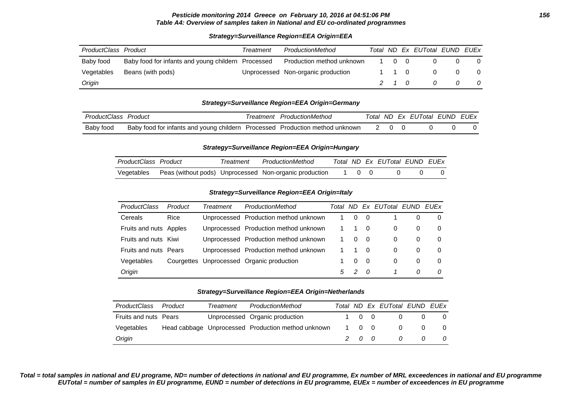### **Strategy=Surveillance Region=EEA Origin=EEA**

| ProductClass Product |                                                    | Treatment | ProductionMethod                   |       | Total ND Ex EUTotal EUND EUEx |          |                         |
|----------------------|----------------------------------------------------|-----------|------------------------------------|-------|-------------------------------|----------|-------------------------|
| Baby food            | Baby food for infants and young childern Processed |           | Production method unknown          | 1 0 0 |                               |          |                         |
| Vegetables           | Beans (with pods)                                  |           | Unprocessed Non-organic production | 1 1 0 | $\Omega$                      | $\Omega$ | $\overline{\mathbf{0}}$ |
| Origin               |                                                    |           |                                    | 2 1 O |                               | 0        | 0                       |

### **Strategy=Surveillance Region=EEA Origin=Germany**

| ProductClass, | Product                                                                      | reatment | ProductionMethod |  | Total ND Ex EUTotal EUND EUEX |  |
|---------------|------------------------------------------------------------------------------|----------|------------------|--|-------------------------------|--|
| Baby food     | Baby food for infants and young childern Processed Production method unknown |          |                  |  |                               |  |

#### **Strategy=Surveillance Region=EEA Origin=Hungary**

| ProductClass Product | Treatment | ProductionMethod                                                    |       |  | Total ND Ex EUTotal EUND EUEX |  |
|----------------------|-----------|---------------------------------------------------------------------|-------|--|-------------------------------|--|
|                      |           | Vegetables  Peas (without pods) Unprocessed  Non-organic production | 1 0 0 |  |                               |  |

### **Strategy=Surveillance Region=EEA Origin=Italy**

| <b>ProductClass</b>    | Product | Treatment | ProductionMethod                          | Total | ND.      |     | Ex EUTotal EUND |          | EUEx     |
|------------------------|---------|-----------|-------------------------------------------|-------|----------|-----|-----------------|----------|----------|
| Cereals                | Rice    |           | Unprocessed Production method unknown     |       | 0        | - 0 |                 |          | $\Omega$ |
| Fruits and nuts Apples |         |           | Unprocessed Production method unknown     | 1     |          | 0   | $\Omega$        | 0        | $\Omega$ |
| Fruits and nuts        | Kiwi    |           | Unprocessed Production method unknown     | 1     | $\Omega$ | - 0 | $\Omega$        | 0        | $\Omega$ |
| Fruits and nuts        | Pears   |           | Unprocessed Production method unknown     |       |          | -0  | $\Omega$        | $\Omega$ | 0        |
| Vegetables             |         |           | Courgettes Unprocessed Organic production |       | 0        | - 0 | $\Omega$        | 0        | $\Omega$ |
| Origin                 |         |           |                                           | $5 -$ | 2        | - 0 |                 | 0        | 0        |

#### **Strategy=Surveillance Region=EEA Origin=Netherlands**

| ProductClass          | Product | Treatment | ProductionMethod                                   |       | Total ND Ex EUTotal EUND EUEx |          |          |
|-----------------------|---------|-----------|----------------------------------------------------|-------|-------------------------------|----------|----------|
| Fruits and nuts Pears |         |           | Unprocessed Organic production                     | 1 0 0 | 0                             |          |          |
| Vegetables            |         |           | Head cabbage Unprocessed Production method unknown | 1 0 0 | $\Omega$                      | $\Omega$ | 0        |
| Origin                |         |           |                                                    | 200   | 0                             |          | $\Omega$ |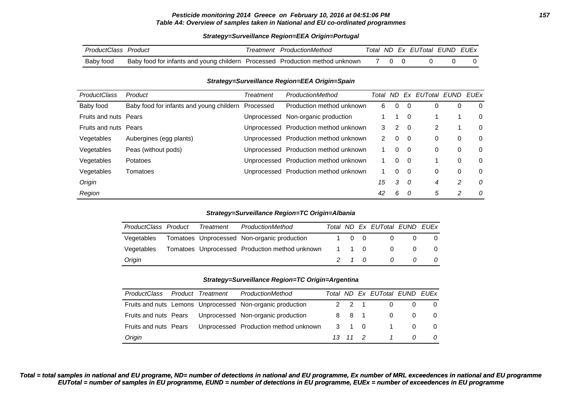#### **Pesticide monitoring 2014 Greece on February 10, 2016 at 04:51:06 PM 157 Table A4: Overview of samples taken in National and EU co-ordinated programmes**

#### **Strategy=Surveillance Region=EEA Origin=Portugal**

| ProductClass | Product                                                                      | ' reatment | ProductionMethod |  | Total ND Ex EUTotal EUND EUEX |  |
|--------------|------------------------------------------------------------------------------|------------|------------------|--|-------------------------------|--|
| Baby food    | Baby food for infants and young childern Processed Production method unknown |            |                  |  |                               |  |

#### **Strategy=Surveillance Region=EEA Origin=Spain**

| <b>ProductClass</b>          | Product                                  | Treatment   | ProductionMethod                      | Total                | ND.      |     | Ex EUTotal EUND EUEx |   |          |
|------------------------------|------------------------------------------|-------------|---------------------------------------|----------------------|----------|-----|----------------------|---|----------|
| Baby food                    | Baby food for infants and young childern | Processed   | Production method unknown             | 6                    | $\Omega$ | -0  |                      | 0 | 0        |
| <b>Fruits and nuts Pears</b> |                                          | Unprocessed | Non-organic production                |                      | 1        | 0   |                      |   | 0        |
| Fruits and nuts Pears        |                                          |             | Unprocessed Production method unknown | 3                    | 2        | - 0 | 2                    |   | $\Omega$ |
| Vegetables                   | Aubergines (egg plants)                  |             | Unprocessed Production method unknown | $\mathbf{2}^{\circ}$ | 0        | - 0 | 0                    | 0 | 0        |
| Vegetables                   | Peas (without pods)                      |             | Unprocessed Production method unknown |                      | $\Omega$ | - 0 | 0                    | 0 | $\Omega$ |
| Vegetables                   | Potatoes                                 |             | Unprocessed Production method unknown |                      | $\Omega$ | - 0 |                      | 0 | $\Omega$ |
| Vegetables                   | Tomatoes                                 |             | Unprocessed Production method unknown |                      | $\Omega$ | - 0 | 0                    | 0 | $\Omega$ |
| Origin                       |                                          |             |                                       | 15                   | 3        | - 0 | 4                    | 2 | 0        |
| Region                       |                                          |             |                                       | 42                   | 6        |     | 5                    | 2 | 0        |

#### **Strategy=Surveillance Region=TC Origin=Albania**

| ProductClass Product | Treatment | ProductionMethod                                       |  | Total ND Ex EUTotal EUND EUEx |          |                |
|----------------------|-----------|--------------------------------------------------------|--|-------------------------------|----------|----------------|
| Vegetables           |           | Tomatoes Unprocessed Non-organic production            |  | 1 0 0<br>$\overline{0}$       |          |                |
| Vegetables           |           | Tomatoes Unprocessed Production method unknown 1 1 0 0 |  |                               | $\Omega$ | - 0            |
| Origin               |           |                                                        |  | 2 1 0 0 0                     |          | $\overline{0}$ |

#### **Strategy=Surveillance Region=TC Origin=Argentina**

| ProductClass          | Product Treatment | ProductionMethod                                          |         | Total ND Ex EUTotal EUND EUEx |                |          |
|-----------------------|-------------------|-----------------------------------------------------------|---------|-------------------------------|----------------|----------|
|                       |                   | Fruits and nuts Lemons Unprocessed Non-organic production | 2 2 1   | 0                             |                | $\Omega$ |
|                       |                   | Fruits and nuts Pears Unprocessed Non-organic production  |         | 8 8 1<br>$\Omega$             | $\Omega$       | $\Omega$ |
| Fruits and nuts Pears |                   | Unprocessed Production method unknown                     | 3 1 0   | $\overline{\mathbf{1}}$       | $\Omega$       |          |
| Origin                |                   |                                                           | 13 11 2 | $\overline{1}$                | $\overline{0}$ | 0        |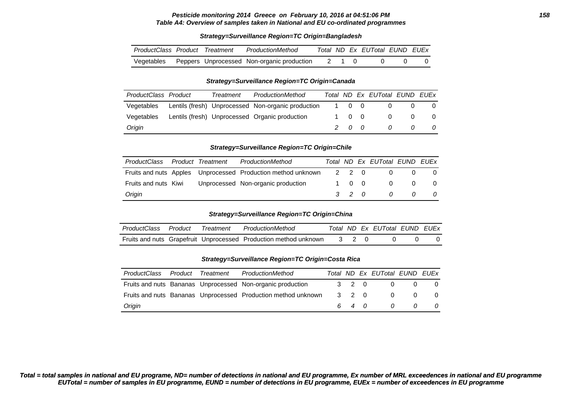#### **Pesticide monitoring 2014 Greece on February 10, 2016 at 04:51:06 PM 158 Table A4: Overview of samples taken in National and EU co-ordinated programmes**

#### **Strategy=Surveillance Region=TC Origin=Bangladesh**

| ProductClass Product Treatment |  | ProductionMethod                                            |  | Total ND Ex EUTotal EUND EUEx |  |
|--------------------------------|--|-------------------------------------------------------------|--|-------------------------------|--|
|                                |  | Vegetables Peppers Unprocessed Non-organic production 2 1 0 |  |                               |  |

#### **Strategy=Surveillance Region=TC Origin=Canada**

| ProductClass Product | Treatment | ProductionMethod                                   |       |       | Total ND Ex EUTotal EUND EUEx |   |
|----------------------|-----------|----------------------------------------------------|-------|-------|-------------------------------|---|
| Vegetables           |           | Lentils (fresh) Unprocessed Non-organic production | 1 0 0 |       | 0                             |   |
| Vegetables           |           | Lentils (fresh) Unprocessed Organic production     |       | 1 0 0 | $\Omega$                      |   |
| Origin               |           |                                                    |       | 200   | $\Omega$                      | 0 |

#### **Strategy=Surveillance Region=TC Origin=Chile**

| <b>ProductClass</b>  | <b>Product Treatment</b> | ProductionMethod                                             |       | Total ND Ex EUTotal EUND EUEx |                |     |
|----------------------|--------------------------|--------------------------------------------------------------|-------|-------------------------------|----------------|-----|
|                      |                          | Fruits and nuts Apples Unprocessed Production method unknown | 2 2 0 | $\Omega$                      |                |     |
| Fruits and nuts Kiwi |                          | Unprocessed Non-organic production                           | 1 0 0 | 0                             | $\overline{0}$ | - 0 |
| Origin               |                          |                                                              | 3 2 0 | $\overline{a}$                | $\Omega$       | - 0 |

#### **Strategy=Surveillance Region=TC Origin=China**

|  | ProductClass Product Treatment ProductionMethod                        |  | Total ND Ex EUTotal EUND EUEx |  |
|--|------------------------------------------------------------------------|--|-------------------------------|--|
|  | Fruits and nuts Grapefruit Unprocessed Production method unknown 3 2 0 |  |                               |  |

#### **Strategy=Surveillance Region=TC Origin=Costa Rica**

| ProductClass | Product | Treatment | ProductionMethod                                              |       |       | Total ND Ex EUTotal EUND EUEx |                |                |
|--------------|---------|-----------|---------------------------------------------------------------|-------|-------|-------------------------------|----------------|----------------|
|              |         |           | Fruits and nuts Bananas Unprocessed Non-organic production    |       | 3 2 0 | $\sim$ 0                      | $\overline{0}$ | $\overline{0}$ |
|              |         |           | Fruits and nuts Bananas Unprocessed Production method unknown | 3 2 0 |       | $\sim$ 0                      | $\overline{0}$ | $\overline{0}$ |
| Origin       |         |           |                                                               |       |       | 640 0 0 0                     |                |                |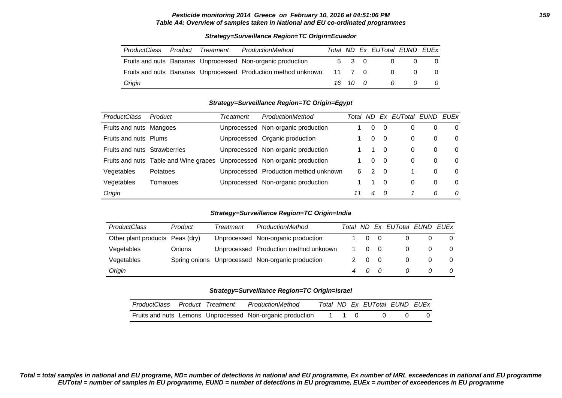#### **Pesticide monitoring 2014 Greece on February 10, 2016 at 04:51:06 PM 159 Table A4: Overview of samples taken in National and EU co-ordinated programmes**

# ProductClass Product Treatment ProductionMethod Total ND Ex EUTotal EUND EUEx Fruits and nuts Bananas Unprocessed Non-organic production  $\begin{array}{cccc} 5 & 3 & 0 & 0 & 0 \end{array}$ Fruits and nuts Bananas Unprocessed Production method unknown 11 7 0 0 0 0 0 Origin 16 10 0 0 0 0

### **Strategy=Surveillance Region=TC Origin=Ecuador**

#### **Strategy=Surveillance Region=TC Origin=Egypt**

| <b>ProductClass</b>          | Product                               | Treatment | ProductionMethod                      | Total | ND.      |          | Ex EUTotal EUND |   | <b>FUFx</b> |
|------------------------------|---------------------------------------|-----------|---------------------------------------|-------|----------|----------|-----------------|---|-------------|
| Fruits and nuts Mangoes      |                                       |           | Unprocessed Non-organic production    |       | 0        | $\Omega$ | 0               |   | 0           |
| Fruits and nuts Plums        |                                       |           | Unprocessed Organic production        |       | 0        | $\Omega$ | 0               | 0 | 0           |
| Fruits and nuts Strawberries |                                       |           | Unprocessed Non-organic production    |       |          | $\Omega$ | 0               | 0 | 0           |
|                              | Fruits and nuts Table and Wine grapes |           | Unprocessed Non-organic production    |       | $\Omega$ | $\Omega$ | 0               | 0 | 0           |
| Vegetables                   | Potatoes                              |           | Unprocessed Production method unknown | 6     | 2        | $\Omega$ |                 | 0 | 0           |
| Vegetables                   | Tomatoes                              |           | Unprocessed Non-organic production    |       |          | $\Omega$ | 0               | 0 | 0           |
| Origin                       |                                       |           |                                       | 11    | 4        | - 0      |                 | 0 | 0           |

#### **Strategy=Surveillance Region=TC Origin=India**

| <b>ProductClass</b>             | Product | Treatment | ProductionMethod                                 |          |     | Total ND Ex EUTotal EUND EUEx |          |   |
|---------------------------------|---------|-----------|--------------------------------------------------|----------|-----|-------------------------------|----------|---|
| Other plant products Peas (dry) |         |           | Unprocessed Non-organic production               | $\Omega$ | - 0 |                               |          | 0 |
| Vegetables                      | Onions  |           | Unprocessed Production method unknown            | $\Omega$ |     |                               | $\Omega$ | 0 |
| Vegetables                      |         |           | Spring onions Unprocessed Non-organic production | 2 0      | - 0 |                               | $\Omega$ | 0 |
| Origin                          |         |           |                                                  | 4 0      |     |                               | 0        | 0 |

#### **Strategy=Surveillance Region=TC Origin=Israel**

| ProductClass Product Treatment |  | ProductionMethod                                          |       |  | Total ND Ex EUTotal EUND EUEx |  |
|--------------------------------|--|-----------------------------------------------------------|-------|--|-------------------------------|--|
|                                |  | Fruits and nuts Lemons Unprocessed Non-organic production | 1 1 0 |  |                               |  |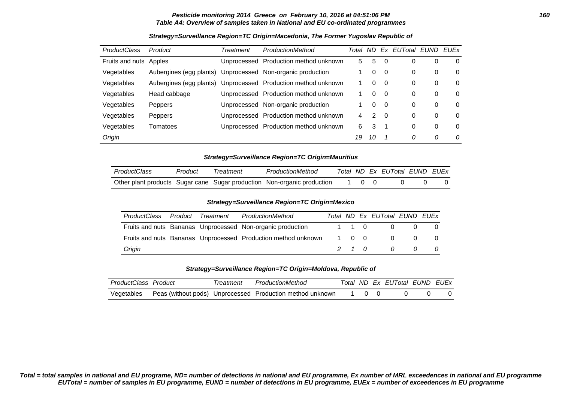#### **Pesticide monitoring 2014 Greece on February 10, 2016 at 04:51:06 PM 160 Table A4: Overview of samples taken in National and EU co-ordinated programmes**

| <b>ProductClass</b> | Product                 | Treatment   | ProductionMethod                      | Total | ND. |     | Ex EUTotal EUND EUEx |   |          |
|---------------------|-------------------------|-------------|---------------------------------------|-------|-----|-----|----------------------|---|----------|
| Fruits and nuts     | Apples                  | Unprocessed | Production method unknown             | 5     | 5   | - 0 | 0                    | 0 | 0        |
| Vegetables          | Aubergines (egg plants) |             | Unprocessed Non-organic production    |       | 0   | - 0 | 0                    | 0 | 0        |
| Vegetables          | Aubergines (egg plants) |             | Unprocessed Production method unknown |       | 0   | - 0 | 0                    | 0 | 0        |
| Vegetables          | Head cabbage            |             | Unprocessed Production method unknown |       | 0   | - 0 | 0                    | 0 | 0        |
| Vegetables          | Peppers                 |             | Unprocessed Non-organic production    |       | 0   | - 0 | 0                    | 0 | 0        |
| Vegetables          | Peppers                 | Unprocessed | Production method unknown             | 4     | 2   | - 0 | 0                    | 0 | $\Omega$ |
| Vegetables          | Tomatoes                |             | Unprocessed Production method unknown | 6     | 3   |     | 0                    | 0 | 0        |
| Origin              |                         |             |                                       | 19    | 10  |     | 0                    | 0 | 0        |

### **Strategy=Surveillance Region=TC Origin=Macedonia, The Former Yugoslav Republic of**

**Strategy=Surveillance Region=TC Origin=Mauritius**

| ProductClass | Product | Treatment | ProductionMethod                                                        |  | Total ND Ex EUTotal EUND EUEx |  |
|--------------|---------|-----------|-------------------------------------------------------------------------|--|-------------------------------|--|
|              |         |           | Other plant products Sugar cane Sugar production Non-organic production |  |                               |  |

#### **Strategy=Surveillance Region=TC Origin=Mexico**

| ProductClass | Product Treatment | ProductionMethod                                              |       |  | Total ND Ex EUTotal EUND EUEx |                |                 |
|--------------|-------------------|---------------------------------------------------------------|-------|--|-------------------------------|----------------|-----------------|
|              |                   | Fruits and nuts Bananas Unprocessed Non-organic production    |       |  | 1 1 0<br>$\overline{0}$       |                | $\Omega$<br>- 0 |
|              |                   | Fruits and nuts Bananas Unprocessed Production method unknown | 1 0 0 |  | $\overline{0}$                | $\Omega$       | - 0             |
| Origin       |                   |                                                               |       |  | 2 1 0 0                       | $\overline{a}$ | $\overline{a}$  |

#### **Strategy=Surveillance Region=TC Origin=Moldova, Republic of**

| ProductClass Product | <i>Freatment</i> | ProductionMethod                                          |  | Total ND Ex EUTotal EUND EUEx |  |
|----------------------|------------------|-----------------------------------------------------------|--|-------------------------------|--|
| Vegetables           |                  | Peas (without pods) Unprocessed Production method unknown |  |                               |  |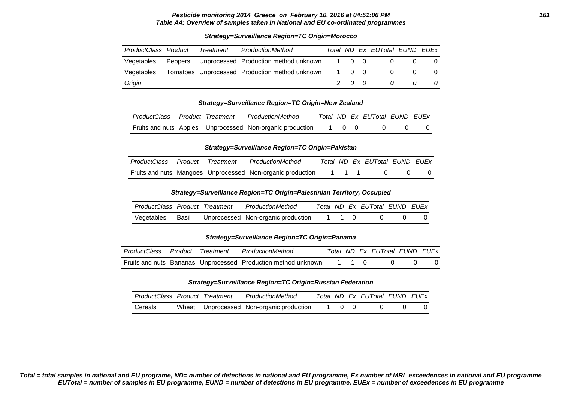#### **Pesticide monitoring 2014 Greece on February 10, 2016 at 04:51:06 PM 161 Table A4: Overview of samples taken in National and EU co-ordinated programmes**

#### **Strategy=Surveillance Region=TC Origin=Morocco**

| ProductClass Product | Treatment | ProductionMethod                                     |  | Total ND Ex EUTotal EUND EUEx |          |                |
|----------------------|-----------|------------------------------------------------------|--|-------------------------------|----------|----------------|
| Vegetables           |           | Peppers Unprocessed Production method unknown 1 0 0  |  | $\overline{0}$                | $\Omega$ | - 0            |
| Vegetables           |           | Tomatoes Unprocessed Production method unknown 1 0 0 |  | $\overline{0}$                | $\Omega$ | $\overline{0}$ |
| Origin               |           |                                                      |  | 200000                        |          | 0              |

#### **Strategy=Surveillance Region=TC Origin=New Zealand**

| ProductClass Product Treatment |  | ProductionMethod                                          |       |  | Total ND Ex EUTotal EUND EUEx |  |
|--------------------------------|--|-----------------------------------------------------------|-------|--|-------------------------------|--|
|                                |  | Fruits and nuts Apples Unprocessed Non-organic production | 1 0 0 |  |                               |  |

#### **Strategy=Surveillance Region=TC Origin=Pakistan**

|  | ProductClass Product Treatment ProductionMethod                  |  | Total ND Ex EUTotal EUND EUEX |  |
|--|------------------------------------------------------------------|--|-------------------------------|--|
|  | Fruits and nuts Mangoes Unprocessed Non-organic production 1 1 1 |  |                               |  |

#### **Strategy=Surveillance Region=TC Origin=Palestinian Territory, Occupied**

| ProductClass Product Treatment |  | ProductionMethod                         |       | Total ND Ex EUTotal EUND EUEx |  |
|--------------------------------|--|------------------------------------------|-------|-------------------------------|--|
| Vegetables                     |  | Basil Unprocessed Non-organic production | 1 1 0 |                               |  |

### **Strategy=Surveillance Region=TC Origin=Panama**

| ProductClass Product Treatment |  | ProductionMethod                                              |  | Total ND Ex EUTotal EUND EUEx |  |
|--------------------------------|--|---------------------------------------------------------------|--|-------------------------------|--|
|                                |  | Fruits and nuts Bananas Unprocessed Production method unknown |  |                               |  |

#### **Strategy=Surveillance Region=TC Origin=Russian Federation**

| ProductClass Product Treatment |  | ProductionMethod                         |       | Total ND Ex EUTotal EUND EUEx |  |
|--------------------------------|--|------------------------------------------|-------|-------------------------------|--|
| Cereals                        |  | Wheat Unprocessed Non-organic production | 1 0 0 |                               |  |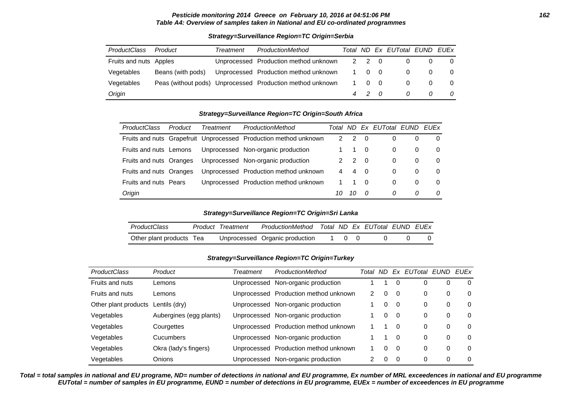#### **Pesticide monitoring 2014 Greece on February 10, 2016 at 04:51:06 PM 162 Table A4: Overview of samples taken in National and EU co-ordinated programmes**

#### **Strategy=Surveillance Region=TC Origin=Serbia**

| <b>ProductClass</b>    | Product           | Treatment | ProductionMethod                                          |          |                | Total ND Ex EUTotal EUND EUEx |          |          |
|------------------------|-------------------|-----------|-----------------------------------------------------------|----------|----------------|-------------------------------|----------|----------|
| Fruits and nuts Apples |                   |           | Unprocessed Production method unknown                     | 2 2      | $\overline{0}$ |                               |          | $\Omega$ |
| Vegetables             | Beans (with pods) |           | Unprocessed Production method unknown                     | $\Omega$ | - 0            | $\Omega$                      |          | $\Omega$ |
| Vegetables             |                   |           | Peas (without pods) Unprocessed Production method unknown | $\Omega$ | $\overline{0}$ | $\Omega$                      | $\Omega$ | $\Omega$ |
| Origin                 |                   |           |                                                           | 4 2      |                | 0                             | 0        | 0        |

#### **Strategy=Surveillance Region=TC Origin=South Africa**

| ProductClass                 | Product | Treatment | ProductionMethod                                                 |    |    |          | Total ND Ex EUTotal EUND |          | <b>FUEx</b> |
|------------------------------|---------|-----------|------------------------------------------------------------------|----|----|----------|--------------------------|----------|-------------|
|                              |         |           | Fruits and nuts Grapefruit Unprocessed Production method unknown |    | 2  | 0        | 0                        |          | $\Omega$    |
| Fruits and nuts Lemons       |         |           | Unprocessed Non-organic production                               |    |    | 0        | 0                        | $\Omega$ | $\Omega$    |
| Fruits and nuts Oranges      |         |           | Unprocessed Non-organic production                               | 2  | 2  | - 0      | 0                        | $\Omega$ | $\Omega$    |
| Fruits and nuts Oranges      |         |           | Unprocessed Production method unknown                            | 4  | 4  | - 0      | 0                        | $\Omega$ | $\Omega$    |
| <b>Fruits and nuts Pears</b> |         |           | Unprocessed Production method unknown                            |    |    | $\Omega$ | 0                        | $\Omega$ | $\Omega$    |
| Origin                       |         |           |                                                                  | 10 | 10 | n        | $\Omega$                 | 0        | $\Omega$    |

#### **Strategy=Surveillance Region=TC Origin=Sri Lanka**

| <i>ProductClass</i>      | Product Treatment | ProductionMethod Total ND Ex EUTotal EUND EUEx |       |  |  |
|--------------------------|-------------------|------------------------------------------------|-------|--|--|
| Other plant products Tea |                   | Unprocessed Organic production                 | 1 0 0 |  |  |

#### **Strategy=Surveillance Region=TC Origin=Turkey**

| <b>ProductClass</b>  | Product                 | Treatment   | ProductionMethod                      | Total | ND.      | Ex       | EUTotal EUND EUEx |          |          |
|----------------------|-------------------------|-------------|---------------------------------------|-------|----------|----------|-------------------|----------|----------|
| Fruits and nuts      | Lemons                  | Unprocessed | Non-organic production                |       |          | $\Omega$ | 0                 | 0        | 0        |
| Fruits and nuts      | Lemons                  |             | Unprocessed Production method unknown | 2     | $\Omega$ | 0        | 0                 | $\Omega$ | 0        |
| Other plant products | Lentils (dry)           |             | Unprocessed Non-organic production    |       | 0        | $\Omega$ | 0                 | $\Omega$ | $\Omega$ |
| Vegetables           | Aubergines (egg plants) |             | Unprocessed Non-organic production    |       | 0        | - 0      | 0                 | $\Omega$ | $\Omega$ |
| Vegetables           | Courgettes              |             | Unprocessed Production method unknown |       |          | $\Omega$ | 0                 | $\Omega$ | $\Omega$ |
| Vegetables           | Cucumbers               |             | Unprocessed Non-organic production    |       |          | 0        | 0                 | $\Omega$ | $\Omega$ |
| Vegetables           | Okra (lady's fingers)   |             | Unprocessed Production method unknown |       | 0        | $\Omega$ | 0                 | 0        | $\Omega$ |
| Vegetables           | Onions                  | Unprocessed | Non-organic production                | 2     | $\Omega$ | $\Omega$ | 0                 | 0        | 0        |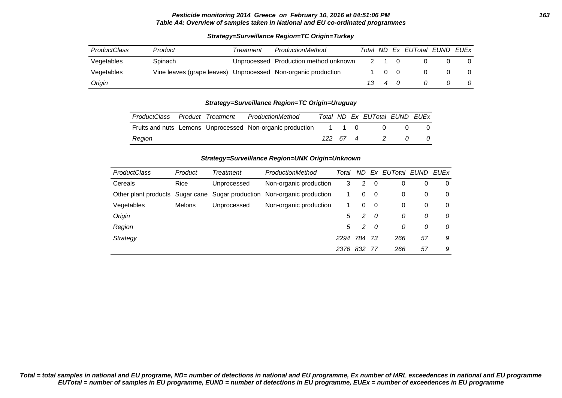#### **Pesticide monitoring 2014 Greece on February 10, 2016 at 04:51:06 PM 163 Table A4: Overview of samples taken in National and EU co-ordinated programmes**

| <b>ProductClass</b> | Product                                                       | Treatment | ProductionMethod                      | Total           |                |            | ND Ex EUTotal EUND EUEx |   |
|---------------------|---------------------------------------------------------------|-----------|---------------------------------------|-----------------|----------------|------------|-------------------------|---|
| Vegetables          | Spinach                                                       |           | Unprocessed Production method unknown |                 |                | $\Omega$   |                         |   |
| Vegetables          | Vine leaves (grape leaves) Unprocessed Non-organic production |           |                                       |                 |                | $0\quad 0$ |                         | 0 |
| Origin              |                                                               |           |                                       | $\overline{13}$ | $\overline{4}$ |            |                         |   |

### **Strategy=Surveillance Region=TC Origin=Turkey**

#### **Strategy=Surveillance Region=TC Origin=Uruguay**

| ProductClass | Product Treatment | ProductionMethod                                          |          |  | Total ND Ex EUTotal EUND EUEx |  |
|--------------|-------------------|-----------------------------------------------------------|----------|--|-------------------------------|--|
|              |                   | Fruits and nuts Lemons Unprocessed Non-organic production | , 110    |  |                               |  |
| Region       |                   |                                                           | 122 67 4 |  | $\overline{2}$                |  |

#### **Strategy=Surveillance Region=UNK Origin=Unknown**

| <b>ProductClass</b> | Product       | Treatment   | ProductionMethod                                                        | Total | ND. | Fx.      | EUTotal EUND |    | <b>EUEx</b> |
|---------------------|---------------|-------------|-------------------------------------------------------------------------|-------|-----|----------|--------------|----|-------------|
| Cereals             | Rice          | Unprocessed | Non-organic production                                                  | 3     | 2   | 0        | 0            | 0  | 0           |
|                     |               |             | Other plant products Sugar cane Sugar production Non-organic production |       | 0   | $\Omega$ | 0            | 0  | 0           |
| Vegetables          | <b>Melons</b> | Unprocessed | Non-organic production                                                  |       | 0   | $\Omega$ | 0            | 0  | 0           |
| Origin              |               |             |                                                                         | 5     | 2   | 0        | 0            | 0  | 0           |
| Region              |               |             |                                                                         | 5     | 2   | - 0      | 0            | 0  | 0           |
| Strategy            |               |             |                                                                         | 2294  | 784 | -73      | 266          | 57 | 9           |
|                     |               |             |                                                                         | 2376  | 832 | 77       | 266          | 57 | 9           |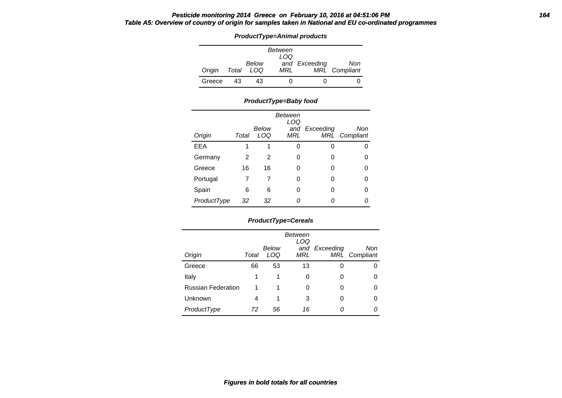### **Pesticide monitoring 2014 Greece on February 10, 2016 at 04:51:06 PM 164 Table A5: Overview of country of origin for samples taken in National and EU co-ordinated programmes**

**ProductType=Animal products**

|        |    |                    | Between<br>LOQ |               |                      |
|--------|----|--------------------|----------------|---------------|----------------------|
| Origin |    | Below<br>Total LOQ | MRL            | and Exceeding | Non<br>MRL Compliant |
| Greece | 43 | 43                 |                |               |                      |

### **ProductType=Baby food**

| Origin      | Total | Below<br>LOQ | Between<br>LOQ<br>MRL | and Exceeding | Non<br>MRL Compliant |
|-------------|-------|--------------|-----------------------|---------------|----------------------|
| <b>EEA</b>  | 1     | 1            | ი                     | 0             | O                    |
| Germany     | 2     | 2            | 0                     | 0             | O                    |
| Greece      | 16    | 16           | 0                     | 0             | U                    |
| Portugal    |       | 7            | 0                     | 0             | O                    |
| Spain       | 6     | 6            | ი                     | 0             | ი                    |
| ProductType | 32    | 32           |                       |               |                      |

# **ProductType=Cereals**

| Origin                    | Total | Below<br>LOQ | Between<br>LOQ<br>MRL | and Exceeding | Non<br>MRL Compliant |
|---------------------------|-------|--------------|-----------------------|---------------|----------------------|
| Greece                    | 66    | 53           | 13                    | O             |                      |
| Italy                     | 1     | 1            | O                     | 0             |                      |
| <b>Russian Federation</b> | 1     | 1            | O                     | Ω             |                      |
| Unknown                   | 4     | 1            | 3                     | O             |                      |
| ProductType               | 72    | 56           | 16                    | Ω             |                      |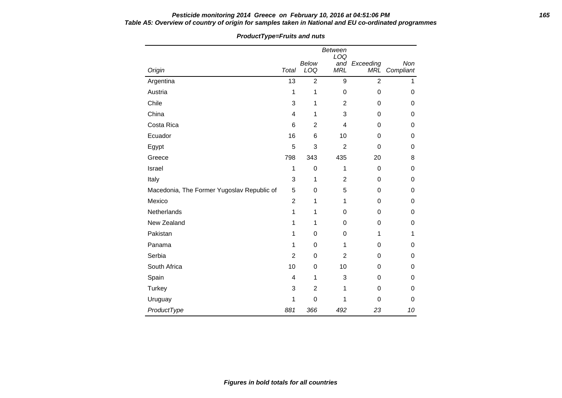### **Pesticide monitoring 2014 Greece on February 10, 2016 at 04:51:06 PM 165 Table A5: Overview of country of origin for samples taken in National and EU co-ordinated programmes**

|                                            |                |                | <b>Between</b><br>LOQ |                      |                  |
|--------------------------------------------|----------------|----------------|-----------------------|----------------------|------------------|
| Origin                                     | Total          | Below<br>LOQ   | <b>MRL</b>            | and Exceeding<br>MRĽ | Non<br>Compliant |
| Argentina                                  | 13             | $\overline{2}$ | $\boldsymbol{9}$      | $\overline{2}$       | $\mathbf{1}$     |
| Austria                                    | 1              | 1              | $\mathbf 0$           | 0                    | $\mathbf 0$      |
| Chile                                      | 3              | 1              | $\overline{2}$        | $\mathbf 0$          | $\mathbf 0$      |
| China                                      | 4              | 1              | 3                     | 0                    | 0                |
| Costa Rica                                 | 6              | $\overline{2}$ | 4                     | 0                    | $\mathbf 0$      |
| Ecuador                                    | 16             | 6              | 10                    | $\mathbf 0$          | 0                |
| Egypt                                      | 5              | 3              | $\overline{2}$        | $\mathbf 0$          | 0                |
| Greece                                     | 798            | 343            | 435                   | 20                   | 8                |
| Israel                                     | 1              | 0              | 1                     | $\boldsymbol{0}$     | 0                |
| Italy                                      | 3              | 1              | $\overline{c}$        | $\mathbf 0$          | 0                |
| Macedonia, The Former Yugoslav Republic of | 5              | 0              | 5                     | $\mathbf 0$          | 0                |
| Mexico                                     | $\overline{c}$ | 1              | 1                     | 0                    | 0                |
| Netherlands                                | 1              | 1              | 0                     | 0                    | $\mathbf 0$      |
| New Zealand                                | 1              | 1              | $\Omega$              | 0                    | 0                |
| Pakistan                                   | 1              | 0              | $\mathbf 0$           | 1                    | 1                |
| Panama                                     | 1              | 0              | 1                     | $\mathbf 0$          | 0                |
| Serbia                                     | $\overline{2}$ | $\Omega$       | $\overline{2}$        | $\mathbf 0$          | $\mathbf 0$      |
| South Africa                               | 10             | 0              | 10                    | 0                    | 0                |
| Spain                                      | 4              | 1              | 3                     | $\mathbf 0$          | $\mathbf 0$      |
| Turkey                                     | 3              | $\overline{2}$ | 1                     | $\mathbf 0$          | $\mathbf 0$      |
| Uruguay                                    | 1              | 0              | 1                     | 0                    | $\Omega$         |
| ProductType                                | 881            | 366            | 492                   | 23                   | 10               |

### **ProductType=Fruits and nuts**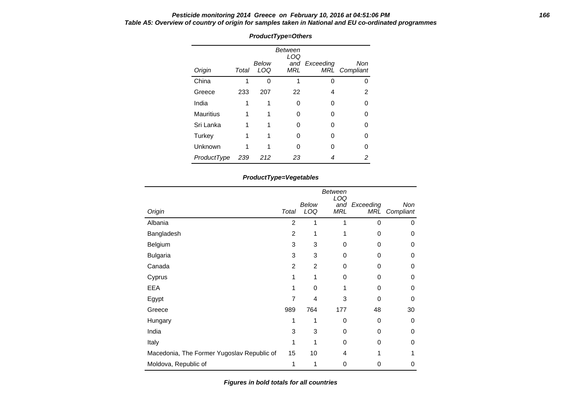### **Pesticide monitoring 2014 Greece on February 10, 2016 at 04:51:06 PM 166 Table A5: Overview of country of origin for samples taken in National and EU co-ordinated programmes**

|                  |       |              | Between<br>LOQ |               |                      |
|------------------|-------|--------------|----------------|---------------|----------------------|
| Origin           | Total | Below<br>LOQ | MRL            | and Exceeding | Non<br>MRL Compliant |
| China            |       | ŋ            |                | ∩             |                      |
| Greece           | 233   | 207          | 22             | 4             | 2                    |
| India            |       |              | n              | O             |                      |
| <b>Mauritius</b> |       |              | O              | Ω             |                      |
| Sri Lanka        |       |              | O              | ი             |                      |
| Turkey           |       |              | ∩              | n             |                      |
| Unknown          |       |              | ∩              | Ω             |                      |
| ProductType      | 239   | 212          | 23             |               | 2                    |

# **ProductType=Others**

### **ProductType=Vegetables**

| Origin                                     | Total          | Below<br>LOQ   | <b>Between</b><br>LOQ<br>and<br><b>MRL</b> | Exceeding<br>MRL | Non<br>Compliant |
|--------------------------------------------|----------------|----------------|--------------------------------------------|------------------|------------------|
| Albania                                    | $\overline{2}$ | 1              | 1                                          | 0                | 0                |
| Bangladesh                                 | 2              | 1              | 1                                          | 0                | 0                |
| Belgium                                    | 3              | 3              | 0                                          | 0                | 0                |
| <b>Bulgaria</b>                            | 3              | 3              | 0                                          | 0                | 0                |
| Canada                                     | $\overline{2}$ | $\overline{2}$ | 0                                          | 0                | 0                |
| Cyprus                                     | 1              | 1              | 0                                          | 0                | 0                |
| <b>EEA</b>                                 | 1              | 0              | 1                                          | $\Omega$         | 0                |
| Egypt                                      | $\overline{7}$ | 4              | 3                                          | $\Omega$         | 0                |
| Greece                                     | 989            | 764            | 177                                        | 48               | 30               |
| Hungary                                    | 1              | 1              | $\boldsymbol{0}$                           | 0                | 0                |
| India                                      | 3              | 3              | 0                                          | 0                | 0                |
| Italy                                      | 1              | 1              | 0                                          | 0                | 0                |
| Macedonia, The Former Yugoslav Republic of | 15             | 10             | 4                                          |                  |                  |
| Moldova, Republic of                       | 1              | 1              | 0                                          | 0                | 0                |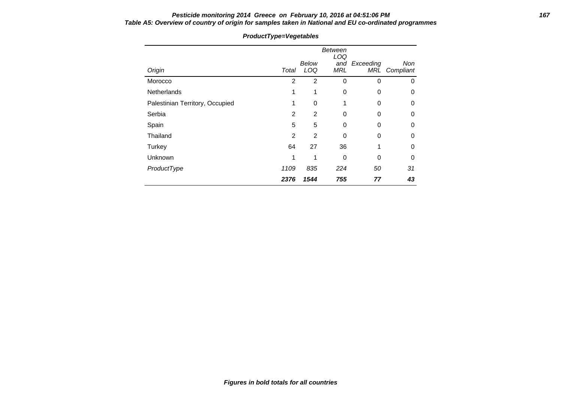# **Pesticide monitoring 2014 Greece on February 10, 2016 at 04:51:06 PM 167 Table A5: Overview of country of origin for samples taken in National and EU co-ordinated programmes**

| Origin                          | Total          | Below<br>LOQ   | <b>Between</b><br>LOQ<br>and<br><b>MRL</b> | Exceeding<br>MRL | Non<br>Compliant |
|---------------------------------|----------------|----------------|--------------------------------------------|------------------|------------------|
| Morocco                         | 2              | $\overline{2}$ | 0                                          | $\mathbf 0$      | 0                |
| <b>Netherlands</b>              | 1              | 1              | 0                                          | $\Omega$         | 0                |
| Palestinian Territory, Occupied | 1              | 0              | 1                                          | $\Omega$         | 0                |
| Serbia                          | 2              | 2              | 0                                          | 0                | 0                |
| Spain                           | 5              | 5              | 0                                          | 0                | 0                |
| Thailand                        | $\overline{2}$ | $\overline{2}$ | 0                                          | $\Omega$         | 0                |
| Turkey                          | 64             | 27             | 36                                         | 1                | 0                |
| Unknown                         | 1              | 1              | $\Omega$                                   | $\Omega$         | 0                |
| ProductType                     | 1109           | 835            | 224                                        | 50               | 31               |
|                                 | 2376           | 1544           | 755                                        | 77               | 43               |

# **ProductType=Vegetables**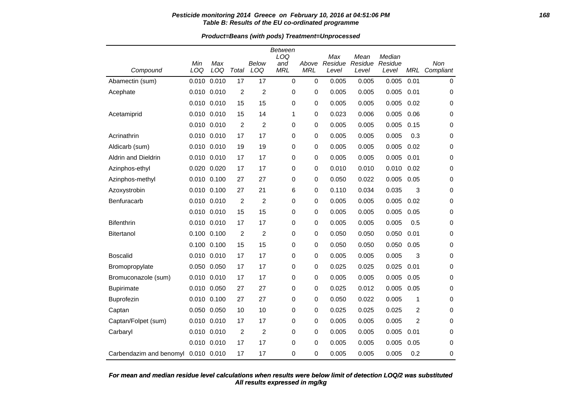### **Pesticide monitoring 2014 Greece on February 10, 2016 at 04:51:06 PM 168 Table B: Results of the EU co-ordinated programme**

**Product=Beans (with pods) Treatment=Unprocessed**

|                         |             |             |                |                | <b>Between</b> |            |                |                 |                   |                |             |
|-------------------------|-------------|-------------|----------------|----------------|----------------|------------|----------------|-----------------|-------------------|----------------|-------------|
|                         | Min         | Max         |                | Below          | LOQ<br>and     | Above      | Max<br>Residue | Mean<br>Residue | Median<br>Residue |                | Non         |
| Compound                | LOQ         | LOQ         | Total          | LOQ            | <b>MRL</b>     | <b>MRL</b> | Level          | Level           | Level             | <b>MRL</b>     | Compliant   |
| Abamectin (sum)         | 0.010       | 0.010       | 17             | 17             | $\mathbf 0$    | $\pmb{0}$  | 0.005          | 0.005           | 0.005             | 0.01           | $\mathbf 0$ |
| Acephate                | 0.010 0.010 |             | 2              | $\overline{c}$ | 0              | 0          | 0.005          | 0.005           | 0.005             | 0.01           | 0           |
|                         | 0.010 0.010 |             | 15             | 15             | 0              | 0          | 0.005          | 0.005           | 0.005             | 0.02           | 0           |
| Acetamiprid             | 0.010 0.010 |             | 15             | 14             | 1              | 0          | 0.023          | 0.006           | 0.005             | 0.06           | 0           |
|                         |             | 0.010 0.010 | 2              | $\overline{2}$ | 0              | 0          | 0.005          | 0.005           | 0.005             | 0.15           | 0           |
| Acrinathrin             |             | 0.010 0.010 | 17             | 17             | 0              | 0          | 0.005          | 0.005           | 0.005             | 0.3            | 0           |
| Aldicarb (sum)          | 0.010 0.010 |             | 19             | 19             | 0              | 0          | 0.005          | 0.005           | 0.005             | 0.02           | 0           |
| Aldrin and Dieldrin     | 0.010 0.010 |             | 17             | 17             | 0              | 0          | 0.005          | 0.005           | 0.005             | 0.01           | 0           |
| Azinphos-ethyl          | 0.020 0.020 |             | 17             | 17             | 0              | 0          | 0.010          | 0.010           | 0.010             | 0.02           | 0           |
| Azinphos-methyl         | 0.010 0.100 |             | 27             | 27             | 0              | 0          | 0.050          | 0.022           | 0.005             | 0.05           | 0           |
| Azoxystrobin            | 0.010 0.100 |             | 27             | 21             | 6              | 0          | 0.110          | 0.034           | 0.035             | 3              | 0           |
| Benfuracarb             | 0.010 0.010 |             | $\overline{2}$ | $\overline{2}$ | 0              | 0          | 0.005          | 0.005           | 0.005             | 0.02           | 0           |
|                         | 0.010 0.010 |             | 15             | 15             | 0              | 0          | 0.005          | 0.005           | 0.005             | 0.05           | 0           |
| <b>Bifenthrin</b>       | 0.010 0.010 |             | 17             | 17             | 0              | 0          | 0.005          | 0.005           | 0.005             | 0.5            | 0           |
| <b>Bitertanol</b>       | 0.100 0.100 |             | 2              | $\overline{c}$ | 0              | 0          | 0.050          | 0.050           | 0.050             | 0.01           | 0           |
|                         | 0.100 0.100 |             | 15             | 15             | 0              | 0          | 0.050          | 0.050           | 0.050             | 0.05           | 0           |
| <b>Boscalid</b>         | 0.010 0.010 |             | 17             | 17             | 0              | 0          | 0.005          | 0.005           | 0.005             | 3              | 0           |
| Bromopropylate          |             | 0.050 0.050 | 17             | 17             | 0              | 0          | 0.025          | 0.025           | 0.025             | 0.01           | 0           |
| Bromuconazole (sum)     | 0.010 0.010 |             | 17             | 17             | 0              | 0          | 0.005          | 0.005           | 0.005             | 0.05           | 0           |
| <b>Bupirimate</b>       | 0.010 0.050 |             | 27             | 27             | 0              | 0          | 0.025          | 0.012           | 0.005             | 0.05           | 0           |
| Buprofezin              | 0.010       | 0.100       | 27             | 27             | 0              | 0          | 0.050          | 0.022           | 0.005             | 1              | 0           |
| Captan                  | 0.050 0.050 |             | 10             | 10             | 0              | 0          | 0.025          | 0.025           | 0.025             | $\overline{2}$ | 0           |
| Captan/Folpet (sum)     | 0.010 0.010 |             | 17             | 17             | 0              | 0          | 0.005          | 0.005           | 0.005             | $\overline{2}$ | 0           |
| Carbaryl                | 0.010 0.010 |             | 2              | $\overline{2}$ | 0              | 0          | 0.005          | 0.005           | 0.005             | 0.01           | 0           |
|                         | 0.010 0.010 |             | 17             | 17             | 0              | 0          | 0.005          | 0.005           | 0.005             | 0.05           | 0           |
| Carbendazim and benomyl | 0.010 0.010 |             | 17             | 17             | 0              | 0          | 0.005          | 0.005           | 0.005             | 0.2            | 0           |

### **All results expressed in mg/kg For mean and median residue level calculations when results were below limit of detection LOQ/2 was substituted**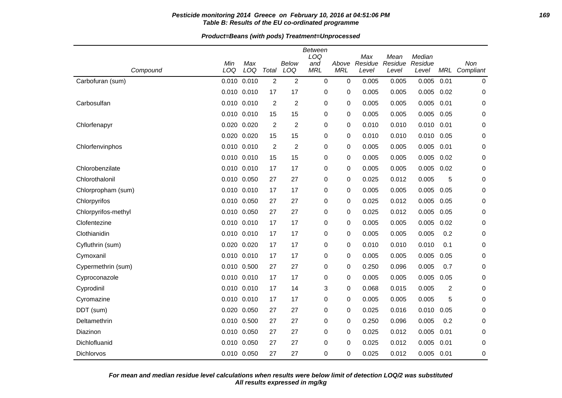### **Pesticide monitoring 2014 Greece on February 10, 2016 at 04:51:06 PM 169 Table B: Results of the EU co-ordinated programme**

**Product=Beans (with pods) Treatment=Unprocessed**

| Compound            | Min<br>LOQ  | Max<br>LOQ  | Total          | <b>Below</b><br>LOQ     | Between<br>LOQ<br>and<br><b>MRL</b> | Above<br><b>MRL</b> | Max<br>Residue<br>Level | Mean<br>Residue<br>Level | Median<br>Residue<br>Level | MRL            | Non<br>Compliant |
|---------------------|-------------|-------------|----------------|-------------------------|-------------------------------------|---------------------|-------------------------|--------------------------|----------------------------|----------------|------------------|
| Carbofuran (sum)    | 0.010 0.010 |             | $\overline{2}$ | $\overline{2}$          | $\mathbf 0$                         | $\mathbf 0$         | 0.005                   | 0.005                    | 0.005                      | 0.01           | 0                |
|                     | 0.010 0.010 |             | 17             | 17                      | 0                                   | 0                   | 0.005                   | 0.005                    | 0.005                      | 0.02           | 0                |
| Carbosulfan         | 0.010 0.010 |             | $\overline{2}$ | $\overline{\mathbf{c}}$ | 0                                   | 0                   | 0.005                   | 0.005                    | 0.005                      | 0.01           | 0                |
|                     | 0.010 0.010 |             | 15             | 15                      | 0                                   | 0                   | 0.005                   | 0.005                    | 0.005                      | 0.05           | 0                |
| Chlorfenapyr        | 0.020 0.020 |             | $\overline{c}$ | 2                       | 0                                   | 0                   | 0.010                   | 0.010                    | 0.010                      | 0.01           | 0                |
|                     | 0.020 0.020 |             | 15             | 15                      | 0                                   | 0                   | 0.010                   | 0.010                    | 0.010                      | 0.05           | 0                |
| Chlorfenvinphos     | 0.010 0.010 |             | $\overline{2}$ | $\overline{\mathbf{c}}$ | 0                                   | 0                   | 0.005                   | 0.005                    | 0.005                      | 0.01           | 0                |
|                     | 0.010 0.010 |             | 15             | 15                      | 0                                   | 0                   | 0.005                   | 0.005                    | 0.005                      | 0.02           | 0                |
| Chlorobenzilate     | 0.010 0.010 |             | 17             | 17                      | 0                                   | 0                   | 0.005                   | 0.005                    | 0.005                      | 0.02           | 0                |
| Chlorothalonil      | 0.010 0.050 |             | 27             | 27                      | 0                                   | 0                   | 0.025                   | 0.012                    | 0.005                      | 5              | 0                |
| Chlorpropham (sum)  | 0.010 0.010 |             | 17             | 17                      | 0                                   | 0                   | 0.005                   | 0.005                    | 0.005                      | 0.05           | 0                |
| Chlorpyrifos        | 0.010 0.050 |             | 27             | 27                      | 0                                   | 0                   | 0.025                   | 0.012                    | 0.005                      | 0.05           | 0                |
| Chlorpyrifos-methyl | 0.010 0.050 |             | 27             | 27                      | 0                                   | 0                   | 0.025                   | 0.012                    | 0.005                      | 0.05           | 0                |
| Clofentezine        | 0.010 0.010 |             | 17             | 17                      | 0                                   | 0                   | 0.005                   | 0.005                    | 0.005                      | 0.02           | 0                |
| Clothianidin        | 0.010 0.010 |             | 17             | 17                      | 0                                   | 0                   | 0.005                   | 0.005                    | 0.005                      | 0.2            | 0                |
| Cyfluthrin (sum)    | 0.020 0.020 |             | 17             | 17                      | 0                                   | 0                   | 0.010                   | 0.010                    | 0.010                      | 0.1            | 0                |
| Cymoxanil           | 0.010 0.010 |             | 17             | 17                      | 0                                   | $\mathbf 0$         | 0.005                   | 0.005                    | 0.005                      | 0.05           | 0                |
| Cypermethrin (sum)  | 0.010 0.500 |             | 27             | 27                      | 0                                   | 0                   | 0.250                   | 0.096                    | 0.005                      | 0.7            | 0                |
| Cyproconazole       | 0.010 0.010 |             | 17             | 17                      | 0                                   | 0                   | 0.005                   | 0.005                    | 0.005                      | 0.05           | 0                |
| Cyprodinil          | 0.010 0.010 |             | 17             | 14                      | 3                                   | 0                   | 0.068                   | 0.015                    | 0.005                      | $\overline{c}$ | 0                |
| Cyromazine          | 0.010 0.010 |             | 17             | 17                      | 0                                   | 0                   | 0.005                   | 0.005                    | 0.005                      | 5              | 0                |
| DDT (sum)           | 0.020 0.050 |             | 27             | 27                      | 0                                   | 0                   | 0.025                   | 0.016                    | 0.010                      | 0.05           | 0                |
| Deltamethrin        | 0.010 0.500 |             | 27             | 27                      | 0                                   | 0                   | 0.250                   | 0.096                    | 0.005                      | 0.2            | 0                |
| Diazinon            | 0.010 0.050 |             | 27             | 27                      | 0                                   | 0                   | 0.025                   | 0.012                    | 0.005                      | 0.01           | 0                |
| Dichlofluanid       | 0.010 0.050 |             | 27             | 27                      | 0                                   | $\Omega$            | 0.025                   | 0.012                    | 0.005                      | 0.01           | 0                |
| Dichlorvos          |             | 0.010 0.050 | 27             | 27                      | $\Omega$                            | 0                   | 0.025                   | 0.012                    | 0.005                      | 0.01           | $\mathbf 0$      |

**All results expressed in mg/kg For mean and median residue level calculations when results were below limit of detection LOQ/2 was substituted**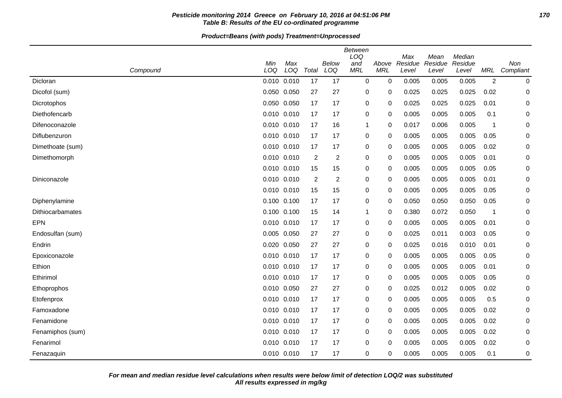### **Pesticide monitoring 2014 Greece on February 10, 2016 at 04:51:06 PM 170 Table B: Results of the EU co-ordinated programme**

| Compound         | Min<br>LOQ  | Max<br>LOQ      | Total          | <b>Below</b><br>LOQ | <b>Between</b><br>LOQ<br>and<br><b>MRL</b> | Above<br><b>MRL</b> | Max<br>Residue<br>Level | Mean<br>Residue<br>Level | Median<br>Residue<br>Level | MRL            | Non<br>Compliant |
|------------------|-------------|-----------------|----------------|---------------------|--------------------------------------------|---------------------|-------------------------|--------------------------|----------------------------|----------------|------------------|
| Dicloran         |             | $0.010$ $0.010$ | 17             | 17                  | $\mathbf 0$                                | $\mathbf 0$         | 0.005                   | 0.005                    | 0.005                      | $\overline{2}$ | 0                |
| Dicofol (sum)    | 0.050 0.050 |                 | 27             | 27                  | 0                                          | 0                   | 0.025                   | 0.025                    | 0.025                      | 0.02           | 0                |
| Dicrotophos      | 0.050 0.050 |                 | 17             | 17                  | 0                                          | 0                   | 0.025                   | 0.025                    | 0.025                      | 0.01           | 0                |
| Diethofencarb    |             | $0.010$ $0.010$ | 17             | 17                  | 0                                          | 0                   | 0.005                   | 0.005                    | 0.005                      | 0.1            | 0                |
| Difenoconazole   | 0.010 0.010 |                 | 17             | 16                  | $\mathbf 1$                                | 0                   | 0.017                   | 0.006                    | 0.005                      | $\mathbf 1$    | 0                |
| Diflubenzuron    | 0.010 0.010 |                 | 17             | 17                  | 0                                          | 0                   | 0.005                   | 0.005                    | 0.005                      | 0.05           | 0                |
| Dimethoate (sum) | 0.010 0.010 |                 | 17             | 17                  | 0                                          | 0                   | 0.005                   | 0.005                    | 0.005                      | 0.02           | 0                |
| Dimethomorph     | 0.010 0.010 |                 | $\overline{2}$ | $\overline{c}$      | 0                                          | 0                   | 0.005                   | 0.005                    | 0.005                      | 0.01           | 0                |
|                  | 0.010 0.010 |                 | 15             | 15                  | 0                                          | 0                   | 0.005                   | 0.005                    | 0.005                      | 0.05           | 0                |
| Diniconazole     | 0.010 0.010 |                 | $\overline{c}$ | 2                   | 0                                          | 0                   | 0.005                   | 0.005                    | 0.005                      | 0.01           | 0                |
|                  | 0.010 0.010 |                 | 15             | 15                  | 0                                          | 0                   | 0.005                   | 0.005                    | 0.005                      | 0.05           | 0                |
| Diphenylamine    | 0.100 0.100 |                 | 17             | 17                  | 0                                          | 0                   | 0.050                   | 0.050                    | 0.050                      | 0.05           | 0                |
| Dithiocarbamates | 0.100 0.100 |                 | 15             | 14                  | 1                                          | 0                   | 0.380                   | 0.072                    | 0.050                      | $\mathbf 1$    | 0                |
| <b>EPN</b>       | 0.010 0.010 |                 | 17             | 17                  | 0                                          | 0                   | 0.005                   | 0.005                    | 0.005                      | 0.01           | 0                |
| Endosulfan (sum) | 0.005 0.050 |                 | 27             | 27                  | 0                                          | 0                   | 0.025                   | 0.011                    | 0.003                      | 0.05           | 0                |
| Endrin           | 0.020 0.050 |                 | 27             | 27                  | 0                                          | 0                   | 0.025                   | 0.016                    | 0.010                      | 0.01           | 0                |
| Epoxiconazole    | 0.010 0.010 |                 | 17             | 17                  | 0                                          | 0                   | 0.005                   | 0.005                    | 0.005                      | 0.05           | 0                |
| Ethion           |             | 0.010 0.010     | 17             | 17                  | 0                                          | 0                   | 0.005                   | 0.005                    | 0.005                      | 0.01           | 0                |
| Ethirimol        | 0.010 0.010 |                 | 17             | 17                  | 0                                          | 0                   | 0.005                   | 0.005                    | 0.005                      | 0.05           | 0                |
| Ethoprophos      | 0.010 0.050 |                 | 27             | 27                  | 0                                          | 0                   | 0.025                   | 0.012                    | 0.005                      | 0.02           | 0                |
| Etofenprox       | 0.010 0.010 |                 | 17             | 17                  | 0                                          | 0                   | 0.005                   | 0.005                    | 0.005                      | 0.5            | 0                |
| Famoxadone       | 0.010 0.010 |                 | 17             | 17                  | 0                                          | 0                   | 0.005                   | 0.005                    | 0.005                      | 0.02           | 0                |
| Fenamidone       |             | 0.010 0.010     | 17             | 17                  | 0                                          | 0                   | 0.005                   | 0.005                    | 0.005                      | 0.02           | 0                |
| Fenamiphos (sum) | 0.010 0.010 |                 | 17             | 17                  | 0                                          | 0                   | 0.005                   | 0.005                    | 0.005                      | 0.02           | 0                |
| Fenarimol        |             | 0.010 0.010     | 17             | 17                  | 0                                          | 0                   | 0.005                   | 0.005                    | 0.005                      | 0.02           | 0                |
| Fenazaquin       |             | 0.010 0.010     | 17             | 17                  | $\mathbf 0$                                | 0                   | 0.005                   | 0.005                    | 0.005                      | 0.1            | 0                |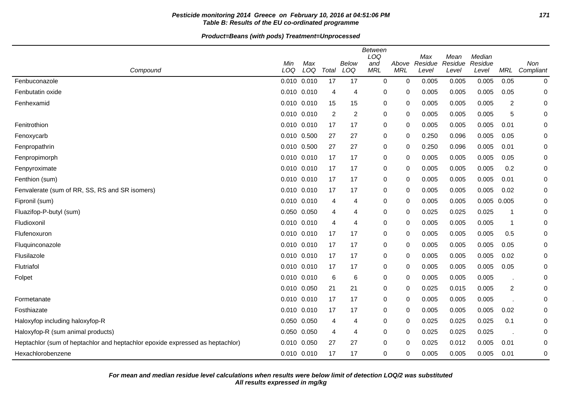### **Pesticide monitoring 2014 Greece on February 10, 2016 at 04:51:06 PM 171 Table B: Results of the EU co-ordinated programme**

|                                                                               |                 |     |       |                | Between<br>LOQ |             | Max     | Mean    | Median      |                |           |
|-------------------------------------------------------------------------------|-----------------|-----|-------|----------------|----------------|-------------|---------|---------|-------------|----------------|-----------|
|                                                                               | Min             | Max |       | Below          | and            | Above       | Residue | Residue | Residue     |                | Non       |
| Compound                                                                      | LOQ             | LOQ | Total | LOQ            | <b>MRL</b>     | <b>MRL</b>  | Level   | Level   | Level       | <b>MRL</b>     | Compliant |
| Fenbuconazole                                                                 | $0.010$ $0.010$ |     | 17    | 17             | 0              | $\mathbf 0$ | 0.005   | 0.005   | 0.005       | 0.05           | $\pmb{0}$ |
| Fenbutatin oxide                                                              | 0.010 0.010     |     | 4     | $\overline{4}$ | 0              | 0           | 0.005   | 0.005   | 0.005       | 0.05           | 0         |
| Fenhexamid                                                                    | $0.010$ $0.010$ |     | 15    | 15             | 0              | 0           | 0.005   | 0.005   | 0.005       | $\overline{2}$ | 0         |
|                                                                               | 0.010 0.010     |     | 2     | $\overline{2}$ | 0              | 0           | 0.005   | 0.005   | 0.005       | 5              | 0         |
| Fenitrothion                                                                  | 0.010 0.010     |     | 17    | 17             | 0              | 0           | 0.005   | 0.005   | 0.005       | 0.01           | 0         |
| Fenoxycarb                                                                    | 0.010 0.500     |     | 27    | 27             | 0              | 0           | 0.250   | 0.096   | 0.005       | 0.05           | 0         |
| Fenpropathrin                                                                 | 0.010 0.500     |     | 27    | 27             | 0              | 0           | 0.250   | 0.096   | 0.005       | 0.01           | 0         |
| Fenpropimorph                                                                 | 0.010 0.010     |     | 17    | 17             | 0              | 0           | 0.005   | 0.005   | 0.005       | 0.05           | 0         |
| Fenpyroximate                                                                 | 0.010 0.010     |     | 17    | 17             | 0              | 0           | 0.005   | 0.005   | 0.005       | 0.2            | 0         |
| Fenthion (sum)                                                                | 0.010 0.010     |     | 17    | 17             | 0              | 0           | 0.005   | 0.005   | 0.005       | 0.01           | 0         |
| Fenvalerate (sum of RR, SS, RS and SR isomers)                                | 0.010 0.010     |     | 17    | 17             | 0              | 0           | 0.005   | 0.005   | 0.005       | 0.02           | 0         |
| Fipronil (sum)                                                                | 0.010 0.010     |     | 4     | $\overline{4}$ | 0              | 0           | 0.005   | 0.005   | 0.005 0.005 |                | 0         |
| Fluazifop-P-butyl (sum)                                                       | 0.050 0.050     |     | 4     | $\overline{4}$ | 0              | 0           | 0.025   | 0.025   | 0.025       | $\mathbf 1$    | 0         |
| Fludioxonil                                                                   | 0.010 0.010     |     | 4     | $\overline{4}$ | 0              | 0           | 0.005   | 0.005   | 0.005       | -1             | 0         |
| Flufenoxuron                                                                  | 0.010 0.010     |     | 17    | 17             | 0              | 0           | 0.005   | 0.005   | 0.005       | 0.5            | 0         |
| Fluquinconazole                                                               | $0.010$ $0.010$ |     | 17    | 17             | 0              | 0           | 0.005   | 0.005   | 0.005       | 0.05           | 0         |
| Flusilazole                                                                   | 0.010 0.010     |     | 17    | 17             | 0              | 0           | 0.005   | 0.005   | 0.005       | 0.02           | 0         |
| Flutriafol                                                                    | 0.010 0.010     |     | 17    | 17             | 0              | $\mathbf 0$ | 0.005   | 0.005   | 0.005       | 0.05           | 0         |
| Folpet                                                                        | 0.010 0.010     |     | 6     | 6              | 0              | 0           | 0.005   | 0.005   | 0.005       |                | 0         |
|                                                                               | 0.010 0.050     |     | 21    | 21             | 0              | 0           | 0.025   | 0.015   | 0.005       | 2              | 0         |
| Formetanate                                                                   | 0.010 0.010     |     | 17    | 17             | 0              | 0           | 0.005   | 0.005   | 0.005       |                | 0         |
| Fosthiazate                                                                   | 0.010 0.010     |     | 17    | 17             | 0              | 0           | 0.005   | 0.005   | 0.005       | 0.02           | 0         |
| Haloxyfop including haloxyfop-R                                               | 0.050 0.050     |     | 4     | $\overline{4}$ | 0              | 0           | 0.025   | 0.025   | 0.025       | 0.1            | 0         |
| Haloxyfop-R (sum animal products)                                             | 0.050 0.050     |     | 4     | $\overline{4}$ | 0              | 0           | 0.025   | 0.025   | 0.025       |                | 0         |
| Heptachlor (sum of heptachlor and heptachlor epoxide expressed as heptachlor) | 0.010 0.050     |     | 27    | 27             | 0              | 0           | 0.025   | 0.012   | 0.005       | 0.01           | 0         |
| Hexachlorobenzene                                                             | 0.010 0.010     |     | 17    | 17             | 0              | 0           | 0.005   | 0.005   | 0.005       | 0.01           | 0         |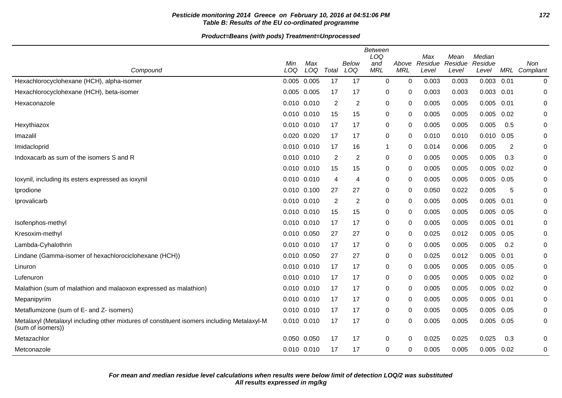### **Pesticide monitoring 2014 Greece on February 10, 2016 at 04:51:06 PM 172 Table B: Results of the EU co-ordinated programme**

| Compound                                                                                                        | Min<br>LOQ  | Max<br>LOQ | Total | Below<br>LOQ   | <b>Between</b><br>LOQ<br>and<br><b>MRL</b> | Above<br><b>MRL</b> | Max<br>Residue<br>Level | Mean<br>Residue<br>Level | Median<br>Residue<br>Level |      | <b>Non</b><br>MRL Compliant |
|-----------------------------------------------------------------------------------------------------------------|-------------|------------|-------|----------------|--------------------------------------------|---------------------|-------------------------|--------------------------|----------------------------|------|-----------------------------|
| Hexachlorocyclohexane (HCH), alpha-isomer                                                                       | 0.005 0.005 |            | 17    | 17             | $\mathbf 0$                                | 0                   | 0.003                   | 0.003                    | 0.003                      | 0.01 | 0                           |
| Hexachlorocyclohexane (HCH), beta-isomer                                                                        | 0.005 0.005 |            | 17    | 17             | 0                                          | 0                   | 0.003                   | 0.003                    | $0.003$ $0.01$             |      | 0                           |
| Hexaconazole                                                                                                    | 0.010 0.010 |            | 2     | 2              | 0                                          | 0                   | 0.005                   | 0.005                    | 0.005                      | 0.01 | 0                           |
|                                                                                                                 | 0.010 0.010 |            | 15    | 15             | 0                                          | 0                   | 0.005                   | 0.005                    | 0.005                      | 0.02 | 0                           |
| Hexythiazox                                                                                                     | 0.010 0.010 |            | 17    | 17             | 0                                          | 0                   | 0.005                   | 0.005                    | 0.005                      | 0.5  | 0                           |
| Imazalil                                                                                                        | 0.020 0.020 |            | 17    | 17             | 0                                          | 0                   | 0.010                   | 0.010                    | 0.010 0.05                 |      | 0                           |
| Imidacloprid                                                                                                    | 0.010 0.010 |            | 17    | 16             | 1                                          | 0                   | 0.014                   | 0.006                    | 0.005                      | 2    | 0                           |
| Indoxacarb as sum of the isomers S and R                                                                        | 0.010 0.010 |            | 2     | $\overline{c}$ | 0                                          | 0                   | 0.005                   | 0.005                    | 0.005                      | 0.3  | 0                           |
|                                                                                                                 | 0.010 0.010 |            | 15    | 15             | 0                                          | 0                   | 0.005                   | 0.005                    | 0.005                      | 0.02 | 0                           |
| loxynil, including its esters expressed as ioxynil                                                              | 0.010 0.010 |            | 4     | 4              | 0                                          | 0                   | 0.005                   | 0.005                    | 0.005                      | 0.05 | 0                           |
| Iprodione                                                                                                       | 0.010 0.100 |            | 27    | 27             | 0                                          | 0                   | 0.050                   | 0.022                    | 0.005                      | 5    | $\mathbf 0$                 |
| Iprovalicarb                                                                                                    | 0.010 0.010 |            | 2     | $\overline{c}$ | 0                                          | 0                   | 0.005                   | 0.005                    | 0.005                      | 0.01 | 0                           |
|                                                                                                                 | 0.010 0.010 |            | 15    | 15             | 0                                          | 0                   | 0.005                   | 0.005                    | 0.005                      | 0.05 | 0                           |
| Isofenphos-methyl                                                                                               | 0.010 0.010 |            | 17    | 17             | 0                                          | 0                   | 0.005                   | 0.005                    | 0.005                      | 0.01 | 0                           |
| Kresoxim-methyl                                                                                                 | 0.010 0.050 |            | 27    | 27             | 0                                          | 0                   | 0.025                   | 0.012                    | 0.005                      | 0.05 | 0                           |
| Lambda-Cyhalothrin                                                                                              | 0.010 0.010 |            | 17    | 17             | 0                                          | 0                   | 0.005                   | 0.005                    | 0.005                      | 0.2  | 0                           |
| Lindane (Gamma-isomer of hexachlorociclohexane (HCH))                                                           | 0.010 0.050 |            | 27    | 27             | 0                                          | 0                   | 0.025                   | 0.012                    | 0.005                      | 0.01 | 0                           |
| Linuron                                                                                                         | 0.010 0.010 |            | 17    | 17             | 0                                          | 0                   | 0.005                   | 0.005                    | 0.005                      | 0.05 | 0                           |
| Lufenuron                                                                                                       | 0.010 0.010 |            | 17    | 17             | 0                                          | 0                   | 0.005                   | 0.005                    | $0.005$ 0.02               |      | 0                           |
| Malathion (sum of malathion and malaoxon expressed as malathion)                                                | 0.010 0.010 |            | 17    | 17             | 0                                          | 0                   | 0.005                   | 0.005                    | 0.005                      | 0.02 | 0                           |
| Mepanipyrim                                                                                                     | 0.010 0.010 |            | 17    | 17             | 0                                          | 0                   | 0.005                   | 0.005                    | 0.005                      | 0.01 | 0                           |
| Metaflumizone (sum of E- and Z- isomers)                                                                        | 0.010 0.010 |            | 17    | 17             | 0                                          | 0                   | 0.005                   | 0.005                    | 0.005                      | 0.05 | 0                           |
| Metalaxyl (Metalaxyl including other mixtures of constituent isomers including Metalaxyl-M<br>(sum of isomers)) | 0.010 0.010 |            | 17    | 17             | 0                                          | 0                   | 0.005                   | 0.005                    | 0.005                      | 0.05 | 0                           |
| Metazachlor                                                                                                     | 0.050 0.050 |            | 17    | 17             | 0                                          | 0                   | 0.025                   | 0.025                    | 0.025                      | 0.3  | $\pmb{0}$                   |
| Metconazole                                                                                                     | 0.010 0.010 |            | 17    | 17             | 0                                          | 0                   | 0.005                   | 0.005                    | 0.005                      | 0.02 | $\mathbf 0$                 |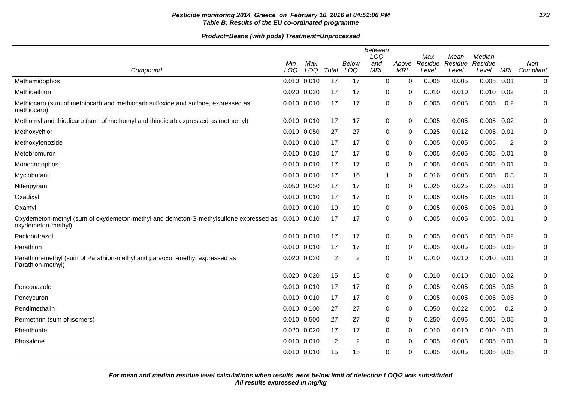### **Pesticide monitoring 2014 Greece on February 10, 2016 at 04:51:06 PM 173 Table B: Results of the EU co-ordinated programme**

|                                                                                                            | Min             | Max         |                | Below          | <b>Between</b><br>LOQ<br>and | Above       | Max<br>Residue | Mean<br>Residue | Median<br>Residue |      | Non              |
|------------------------------------------------------------------------------------------------------------|-----------------|-------------|----------------|----------------|------------------------------|-------------|----------------|-----------------|-------------------|------|------------------|
| Compound                                                                                                   | LOQ             | LOQ         | Total          | LOQ            | <b>MRL</b>                   | <b>MRL</b>  | Level          | Level           | Level             | MRL  | Compliant        |
| Methamidophos                                                                                              | 0.010 0.010     |             | 17             | 17             | 0                            | $\mathbf 0$ | 0.005          | 0.005           | 0.005             | 0.01 | $\boldsymbol{0}$ |
| Methidathion                                                                                               | 0.020 0.020     |             | 17             | 17             | 0                            | 0           | 0.010          | 0.010           | $0.010$ $0.02$    |      | 0                |
| Methiocarb (sum of methiocarb and methiocarb sulfoxide and sulfone, expressed as<br>methiocarb)            | 0.010 0.010     |             | 17             | 17             | 0                            | $\Omega$    | 0.005          | 0.005           | 0.005             | 0.2  | 0                |
| Methomyl and thiodicarb (sum of methomyl and thiodicarb expressed as methomyl)                             | 0.010 0.010     |             | 17             | 17             | 0                            | 0           | 0.005          | 0.005           | 0.005             | 0.02 | 0                |
| Methoxychlor                                                                                               | 0.010 0.050     |             | 27             | 27             | 0                            | 0           | 0.025          | 0.012           | 0.005             | 0.01 | 0                |
| Methoxyfenozide                                                                                            | 0.010 0.010     |             | 17             | 17             | 0                            | 0           | 0.005          | 0.005           | 0.005             | 2    | 0                |
| Metobromuron                                                                                               | 0.010 0.010     |             | 17             | 17             | 0                            | 0           | 0.005          | 0.005           | 0.005             | 0.01 | 0                |
| Monocrotophos                                                                                              | $0.010$ $0.010$ |             | 17             | 17             | 0                            | 0           | 0.005          | 0.005           | 0.005             | 0.01 | 0                |
| Myclobutanil                                                                                               | 0.010 0.010     |             | 17             | 16             | 1                            | 0           | 0.016          | 0.006           | 0.005             | 0.3  | 0                |
| Nitenpyram                                                                                                 | 0.050 0.050     |             | 17             | 17             | 0                            | 0           | 0.025          | 0.025           | 0.025             | 0.01 | 0                |
| Oxadixyl                                                                                                   | 0.010 0.010     |             | 17             | 17             | 0                            | 0           | 0.005          | 0.005           | 0.005             | 0.01 | 0                |
| Oxamyl                                                                                                     | 0.010 0.010     |             | 19             | 19             | 0                            | $\Omega$    | 0.005          | 0.005           | 0.005             | 0.01 | 0                |
| Oxydemeton-methyl (sum of oxydemeton-methyl and demeton-S-methylsulfone expressed as<br>oxydemeton-methyl) | 0.010 0.010     |             | 17             | 17             | 0                            | 0           | 0.005          | 0.005           | 0.005             | 0.01 | 0                |
| Paclobutrazol                                                                                              | 0.010 0.010     |             | 17             | 17             | 0                            | $\mathbf 0$ | 0.005          | 0.005           | 0.005             | 0.02 | 0                |
| Parathion                                                                                                  | 0.010 0.010     |             | 17             | 17             | 0                            | 0           | 0.005          | 0.005           | $0.005$ 0.05      |      | 0                |
| Parathion-methyl (sum of Parathion-methyl and paraoxon-methyl expressed as<br>Parathion-methyl)            | 0.020 0.020     |             | $\overline{2}$ | 2              | 0                            | 0           | 0.010          | 0.010           | $0.010$ 0.01      |      | 0                |
|                                                                                                            | 0.020 0.020     |             | 15             | 15             | 0                            | 0           | 0.010          | 0.010           | $0.010$ $0.02$    |      | 0                |
| Penconazole                                                                                                | 0.010 0.010     |             | 17             | 17             | 0                            | 0           | 0.005          | 0.005           | 0.005             | 0.05 | 0                |
| Pencycuron                                                                                                 | 0.010 0.010     |             | 17             | 17             | 0                            | 0           | 0.005          | 0.005           | 0.005             | 0.05 | 0                |
| Pendimethalin                                                                                              | 0.010 0.100     |             | 27             | 27             | 0                            | 0           | 0.050          | 0.022           | 0.005             | 0.2  | 0                |
| Permethrin (sum of isomers)                                                                                | 0.010 0.500     |             | 27             | 27             | 0                            | 0           | 0.250          | 0.096           | 0.005             | 0.05 | 0                |
| Phenthoate                                                                                                 | 0.020 0.020     |             | 17             | 17             | 0                            | $\Omega$    | 0.010          | 0.010           | $0.010$ $0.01$    |      | 0                |
| Phosalone                                                                                                  |                 | 0.010 0.010 | 2              | $\overline{2}$ | 0                            | $\Omega$    | 0.005          | 0.005           | 0.005             | 0.01 | 0                |
|                                                                                                            | 0.010 0.010     |             | 15             | 15             | 0                            | 0           | 0.005          | 0.005           | 0.005             | 0.05 | 0                |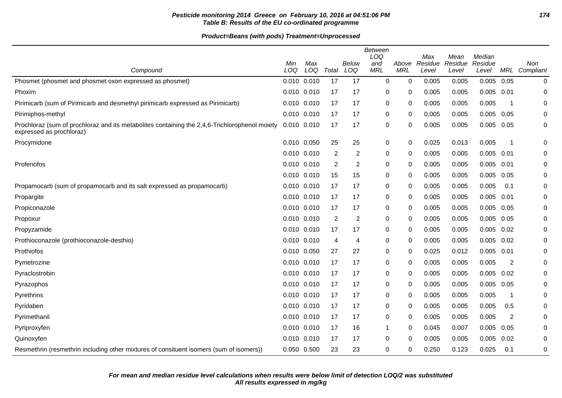### **Pesticide monitoring 2014 Greece on February 10, 2016 at 04:51:06 PM 174 Table B: Results of the EU co-ordinated programme**

| Compound                                                                                                                  | Min<br>LOQ      | Max<br>LOQ | Total | Below<br>LOQ     | <b>Between</b><br>LOQ<br>and<br><b>MRL</b> | Above<br><b>MRL</b> | Max<br>Residue<br>Level | Mean<br>Residue<br>Level | Median<br>Residue<br>Level | MRL  | Non<br>Compliant |
|---------------------------------------------------------------------------------------------------------------------------|-----------------|------------|-------|------------------|--------------------------------------------|---------------------|-------------------------|--------------------------|----------------------------|------|------------------|
| Phosmet (phosmet and phosmet oxon expressed as phosmet)                                                                   | 0.010 0.010     |            | 17    | 17               | 0                                          | $\mathbf 0$         | 0.005                   | 0.005                    | 0.005                      | 0.05 | 0                |
| Phoxim                                                                                                                    | 0.010 0.010     |            | 17    | 17               | 0                                          | 0                   | 0.005                   | 0.005                    | $0.005$ $0.01$             |      | 0                |
| Pirimicarb (sum of Pirimicarb and desmethyl pirimicarb expressed as Pirimicarb)                                           | 0.010 0.010     |            | 17    | 17               | 0                                          | 0                   | 0.005                   | 0.005                    | 0.005                      | - 1  | 0                |
| Pirimiphos-methyl                                                                                                         | 0.010 0.010     |            | 17    | 17               | 0                                          | 0                   | 0.005                   | 0.005                    | 0.005                      | 0.05 | 0                |
| Prochloraz (sum of prochloraz and its metabolites containing the 2,4,6-Trichlorophenol moiety<br>expressed as prochloraz) | 0.010 0.010     |            | 17    | 17               | 0                                          | $\Omega$            | 0.005                   | 0.005                    | 0.005                      | 0.05 | 0                |
| Procymidone                                                                                                               | 0.010 0.050     |            | 25    | 25               | 0                                          | 0                   | 0.025                   | 0.013                    | 0.005                      | -1   | 0                |
|                                                                                                                           | 0.010 0.010     |            | 2     | $\overline{c}$   | 0                                          | 0                   | 0.005                   | 0.005                    | $0.005$ 0.01               |      | 0                |
| Profenofos                                                                                                                | $0.010$ $0.010$ |            | 2     | $\boldsymbol{2}$ | 0                                          | 0                   | 0.005                   | 0.005                    | 0.005                      | 0.01 | 0                |
|                                                                                                                           | 0.010 0.010     |            | 15    | 15               | 0                                          | 0                   | 0.005                   | 0.005                    | 0.005                      | 0.05 | 0                |
| Propamocarb (sum of propamocarb and its salt expressed as propamocarb)                                                    | 0.010 0.010     |            | 17    | 17               | 0                                          | 0                   | 0.005                   | 0.005                    | 0.005                      | 0.1  | 0                |
| Propargite                                                                                                                | 0.010 0.010     |            | 17    | 17               | 0                                          | $\mathbf{0}$        | 0.005                   | 0.005                    | 0.005                      | 0.01 | 0                |
| Propiconazole                                                                                                             | 0.010 0.010     |            | 17    | 17               | 0                                          | 0                   | 0.005                   | 0.005                    | 0.005                      | 0.05 | 0                |
| Propoxur                                                                                                                  | 0.010 0.010     |            | 2     | $\boldsymbol{2}$ | 0                                          | 0                   | 0.005                   | 0.005                    | 0.005                      | 0.05 | 0                |
| Propyzamide                                                                                                               | 0.010 0.010     |            | 17    | 17               | 0                                          | 0                   | 0.005                   | 0.005                    | 0.005                      | 0.02 | 0                |
| Prothioconazole (prothioconazole-desthio)                                                                                 | 0.010 0.010     |            | 4     | 4                | 0                                          | 0                   | 0.005                   | 0.005                    | $0.005$ 0.02               |      | 0                |
| Prothiofos                                                                                                                | 0.010 0.050     |            | 27    | 27               | 0                                          | 0                   | 0.025                   | 0.012                    | 0.005                      | 0.01 | 0                |
| Pymetrozine                                                                                                               | 0.010 0.010     |            | 17    | 17               | 0                                          | 0                   | 0.005                   | 0.005                    | 0.005                      | 2    | 0                |
| Pyraclostrobin                                                                                                            | 0.010 0.010     |            | 17    | 17               | 0                                          | 0                   | 0.005                   | 0.005                    | 0.005                      | 0.02 | 0                |
| Pyrazophos                                                                                                                | 0.010 0.010     |            | 17    | 17               | 0                                          | 0                   | 0.005                   | 0.005                    | 0.005                      | 0.05 | 0                |
| Pyrethrins                                                                                                                | $0.010$ $0.010$ |            | 17    | 17               | 0                                          | 0                   | 0.005                   | 0.005                    | 0.005                      | -1   | 0                |
| Pyridaben                                                                                                                 | 0.010 0.010     |            | 17    | 17               | 0                                          | 0                   | 0.005                   | 0.005                    | 0.005                      | 0.5  | 0                |
| Pyrimethanil                                                                                                              | $0.010$ $0.010$ |            | 17    | 17               | 0                                          | $\mathbf{0}$        | 0.005                   | 0.005                    | 0.005                      | 2    | 0                |
| Pyriproxyfen                                                                                                              | 0.010 0.010     |            | 17    | 16               | $\mathbf{1}$                               | 0                   | 0.045                   | 0.007                    | 0.005                      | 0.05 | 0                |
| Quinoxyfen                                                                                                                | $0.010$ $0.010$ |            | 17    | 17               | 0                                          | $\mathbf{0}$        | 0.005                   | 0.005                    | 0.005                      | 0.02 | 0                |
| Resmethrin (resmethrin including other mixtures of consituent isomers (sum of isomers))                                   | 0.050 0.500     |            | 23    | 23               | $\pmb{0}$                                  | 0                   | 0.250                   | 0.123                    | 0.025                      | 0.1  | 0                |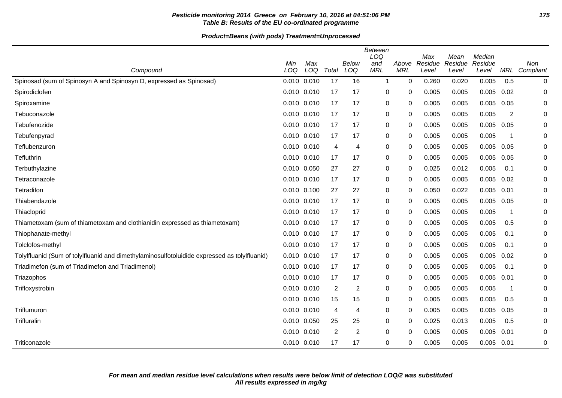### **Pesticide monitoring 2014 Greece on February 10, 2016 at 04:51:06 PM 175 Table B: Results of the EU co-ordinated programme**

| Compound                                                                                     | Min<br>LOQ      | Max<br>LOQ | Total | Below<br>LOQ   | Between<br>LOQ<br>and<br>MRL | Above<br>MRL | Max<br>Residue<br>Level | Mean<br>Residue<br>Level | Median<br>Residue<br>Level | MRL                     | Non<br>Compliant |
|----------------------------------------------------------------------------------------------|-----------------|------------|-------|----------------|------------------------------|--------------|-------------------------|--------------------------|----------------------------|-------------------------|------------------|
| Spinosad (sum of Spinosyn A and Spinosyn D, expressed as Spinosad)                           | 0.010 0.010     |            | 17    | 16             | $\mathbf 1$                  | 0            | 0.260                   | 0.020                    | 0.005                      | 0.5                     | 0                |
| Spirodiclofen                                                                                | 0.010 0.010     |            | 17    | 17             | 0                            | 0            | 0.005                   | 0.005                    | 0.005                      | 0.02                    | 0                |
| Spiroxamine                                                                                  | 0.010 0.010     |            | 17    | 17             | 0                            | 0            | 0.005                   | 0.005                    | 0.005                      | 0.05                    | 0                |
| Tebuconazole                                                                                 | 0.010 0.010     |            | 17    | 17             | 0                            | 0            | 0.005                   | 0.005                    | 0.005                      | 2                       | 0                |
| Tebufenozide                                                                                 | $0.010$ $0.010$ |            | 17    | 17             | 0                            | 0            | 0.005                   | 0.005                    | 0.005                      | 0.05                    | 0                |
| Tebufenpyrad                                                                                 | 0.010 0.010     |            | 17    | 17             | 0                            | 0            | 0.005                   | 0.005                    | 0.005                      | -1                      | 0                |
| Teflubenzuron                                                                                | 0.010 0.010     |            | 4     | 4              | 0                            | 0            | 0.005                   | 0.005                    | 0.005                      | 0.05                    | 0                |
| Tefluthrin                                                                                   | 0.010 0.010     |            | 17    | 17             | 0                            | 0            | 0.005                   | 0.005                    | 0.005                      | 0.05                    | 0                |
| Terbuthylazine                                                                               | 0.010 0.050     |            | 27    | 27             | 0                            | 0            | 0.025                   | 0.012                    | 0.005                      | 0.1                     | 0                |
| Tetraconazole                                                                                | 0.010 0.010     |            | 17    | 17             | 0                            | 0            | 0.005                   | 0.005                    | 0.005                      | 0.02                    | $\mathbf 0$      |
| Tetradifon                                                                                   | 0.010 0.100     |            | 27    | 27             | 0                            | 0            | 0.050                   | 0.022                    | 0.005                      | 0.01                    | 0                |
| Thiabendazole                                                                                | 0.010 0.010     |            | 17    | 17             | 0                            | 0            | 0.005                   | 0.005                    | 0.005                      | 0.05                    | 0                |
| Thiacloprid                                                                                  | 0.010 0.010     |            | 17    | 17             | 0                            | 0            | 0.005                   | 0.005                    | 0.005                      | -1                      | 0                |
| Thiametoxam (sum of thiametoxam and clothianidin expressed as thiametoxam)                   | 0.010 0.010     |            | 17    | 17             | 0                            | 0            | 0.005                   | 0.005                    | 0.005                      | 0.5                     | 0                |
| Thiophanate-methyl                                                                           | $0.010$ $0.010$ |            | 17    | 17             | 0                            | 0            | 0.005                   | 0.005                    | 0.005                      | 0.1                     | 0                |
| Tolclofos-methyl                                                                             | 0.010 0.010     |            | 17    | 17             | 0                            | 0            | 0.005                   | 0.005                    | 0.005                      | 0.1                     | 0                |
| Tolylfluanid (Sum of tolylfluanid and dimethylaminosulfotoluidide expressed as tolylfluanid) | 0.010 0.010     |            | 17    | 17             | 0                            | 0            | 0.005                   | 0.005                    | 0.005                      | 0.02                    | 0                |
| Triadimefon (sum of Triadimefon and Triadimenol)                                             | $0.010$ $0.010$ |            | 17    | 17             | 0                            | 0            | 0.005                   | 0.005                    | 0.005                      | 0.1                     | $\mathbf 0$      |
| Triazophos                                                                                   | 0.010 0.010     |            | 17    | 17             | 0                            | 0            | 0.005                   | 0.005                    | 0.005                      | 0.01                    | 0                |
| Trifloxystrobin                                                                              | 0.010 0.010     |            | 2     | $\overline{c}$ | 0                            | 0            | 0.005                   | 0.005                    | 0.005                      | $\overline{\mathbf{1}}$ | 0                |
|                                                                                              | 0.010 0.010     |            | 15    | 15             | 0                            | 0            | 0.005                   | 0.005                    | 0.005                      | 0.5                     | 0                |
| Triflumuron                                                                                  | 0.010 0.010     |            | 4     | 4              | 0                            | 0            | 0.005                   | 0.005                    | 0.005                      | 0.05                    | 0                |
| Trifluralin                                                                                  | 0.010 0.050     |            | 25    | 25             | 0                            | 0            | 0.025                   | 0.013                    | 0.005                      | 0.5                     | $\mathbf 0$      |
|                                                                                              | 0.010 0.010     |            | 2     | $\overline{c}$ | 0                            | 0            | 0.005                   | 0.005                    | 0.005                      | 0.01                    | 0                |
| Triticonazole                                                                                | 0.010 0.010     |            | 17    | 17             | $\Omega$                     | 0            | 0.005                   | 0.005                    | 0.005                      | 0.01                    | 0                |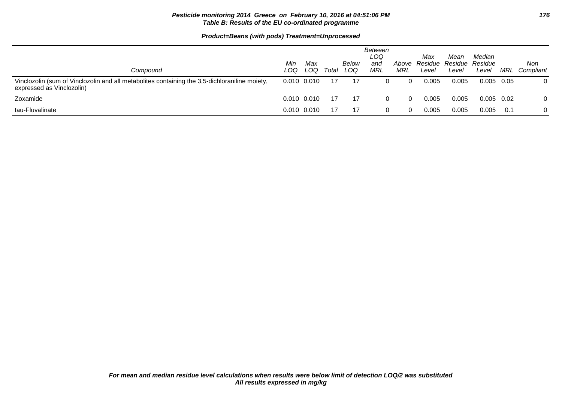### **Pesticide monitoring 2014 Greece on February 10, 2016 at 04:51:06 PM 176 Table B: Results of the EU co-ordinated programme**

| Compound                                                                                                                   | Min<br>LOQ      | Max<br>LOQ      | Total | Below<br>LOQ | Between<br>LOQ<br>and<br>MRL | Above<br>MRL | Max<br>Residue<br>Level | Mean<br>Residue Residue<br>Level | Median<br>Level | MRL | Non<br>Compliant |
|----------------------------------------------------------------------------------------------------------------------------|-----------------|-----------------|-------|--------------|------------------------------|--------------|-------------------------|----------------------------------|-----------------|-----|------------------|
| Vinclozolin (sum of Vinclozolin and all metabolites containing the 3,5-dichloraniline moiety,<br>expressed as Vinclozolin) | $0.010$ $0.010$ |                 |       | -17          |                              |              | 0.005                   | 0.005                            | 0.005 0.05      |     |                  |
| Zoxamide                                                                                                                   | $0.010$ $0.010$ |                 | -17   | - 17         |                              |              | 0.005                   | 0.005                            | $0.005$ 0.02    |     |                  |
| tau-Fluvalinate                                                                                                            |                 | $0.010$ $0.010$ |       | -17          | 0                            |              | 0.005                   | 0.005                            | 0.005           | 0.1 |                  |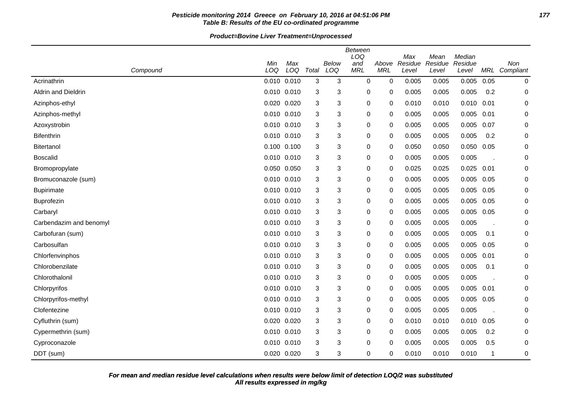### **Pesticide monitoring 2014 Greece on February 10, 2016 at 04:51:06 PM 177 Table B: Results of the EU co-ordinated programme**

|                         | Min   | Max             |       | <b>Below</b> | <b>Between</b><br>LOQ<br>and | Above       | Max<br>Residue | Mean<br>Residue | Median<br>Residue |      | Non           |
|-------------------------|-------|-----------------|-------|--------------|------------------------------|-------------|----------------|-----------------|-------------------|------|---------------|
| Compound                | LOQ   | LOQ             | Total | LOQ          | <b>MRL</b>                   | <b>MRL</b>  | Level          | Level           | Level             |      | MRL Compliant |
| Acrinathrin             |       | 0.010 0.010     | 3     | 3            | 0                            | $\mathbf 0$ | 0.005          | 0.005           | 0.005             | 0.05 | 0             |
| Aldrin and Dieldrin     |       | 0.010 0.010     | 3     | 3            | 0                            | 0           | 0.005          | 0.005           | 0.005             | 0.2  | 0             |
| Azinphos-ethyl          | 0.020 | 0.020           | 3     | 3            | 0                            | 0           | 0.010          | 0.010           | 0.010             | 0.01 | 0             |
| Azinphos-methyl         |       | 0.010 0.010     | 3     | 3            | 0                            | 0           | 0.005          | 0.005           | 0.005             | 0.01 | 0             |
| Azoxystrobin            |       | 0.010 0.010     | 3     | 3            | 0                            | 0           | 0.005          | 0.005           | 0.005             | 0.07 | 0             |
| Bifenthrin              |       | 0.010 0.010     | 3     | 3            | 0                            | 0           | 0.005          | 0.005           | 0.005             | 0.2  | 0             |
| <b>Bitertanol</b>       |       | 0.100 0.100     | 3     | 3            | 0                            | 0           | 0.050          | 0.050           | 0.050             | 0.05 | 0             |
| <b>Boscalid</b>         |       | 0.010 0.010     | 3     | 3            | $\pmb{0}$                    | 0           | 0.005          | 0.005           | 0.005             |      | 0             |
| Bromopropylate          |       | 0.050 0.050     | 3     | 3            | $\pmb{0}$                    | 0           | 0.025          | 0.025           | 0.025             | 0.01 | 0             |
| Bromuconazole (sum)     |       | 0.010 0.010     | 3     | 3            | 0                            | 0           | 0.005          | 0.005           | 0.005             | 0.05 | 0             |
| <b>Bupirimate</b>       |       | 0.010 0.010     | 3     | 3            | 0                            | 0           | 0.005          | 0.005           | 0.005             | 0.05 | 0             |
| Buprofezin              |       | 0.010 0.010     | 3     | 3            | 0                            | 0           | 0.005          | 0.005           | 0.005             | 0.05 | 0             |
| Carbaryl                |       | 0.010 0.010     | 3     | 3            | 0                            | 0           | 0.005          | 0.005           | 0.005             | 0.05 | 0             |
| Carbendazim and benomyl |       | 0.010 0.010     | 3     | 3            | 0                            | 0           | 0.005          | 0.005           | 0.005             |      | 0             |
| Carbofuran (sum)        |       | $0.010$ $0.010$ | 3     | 3            | 0                            | 0           | 0.005          | 0.005           | 0.005             | 0.1  | 0             |
| Carbosulfan             |       | 0.010 0.010     | 3     | 3            | $\pmb{0}$                    | 0           | 0.005          | 0.005           | 0.005             | 0.05 | 0             |
| Chlorfenvinphos         |       | 0.010 0.010     | 3     | 3            | 0                            | 0           | 0.005          | 0.005           | 0.005             | 0.01 | 0             |
| Chlorobenzilate         |       | 0.010 0.010     | 3     | 3            | $\pmb{0}$                    | $\mathbf 0$ | 0.005          | 0.005           | 0.005             | 0.1  | 0             |
| Chlorothalonil          |       | 0.010 0.010     | 3     | 3            | 0                            | 0           | 0.005          | 0.005           | 0.005             |      | 0             |
| Chlorpyrifos            |       | 0.010 0.010     | 3     | 3            | 0                            | 0           | 0.005          | 0.005           | 0.005             | 0.01 | 0             |
| Chlorpyrifos-methyl     |       | 0.010 0.010     | 3     | 3            | 0                            | 0           | 0.005          | 0.005           | 0.005             | 0.05 | 0             |
| Clofentezine            |       | 0.010 0.010     | 3     | 3            | 0                            | 0           | 0.005          | 0.005           | 0.005             |      | 0             |
| Cyfluthrin (sum)        |       | 0.020 0.020     | 3     | 3            | 0                            | 0           | 0.010          | 0.010           | 0.010             | 0.05 | 0             |
| Cypermethrin (sum)      |       | 0.010 0.010     | 3     | 3            | $\pmb{0}$                    | 0           | 0.005          | 0.005           | 0.005             | 0.2  | 0             |
| Cyproconazole           |       | 0.010 0.010     | 3     | 3            | 0                            | $\Omega$    | 0.005          | 0.005           | 0.005             | 0.5  | 0             |
| DDT (sum)               |       | 0.020 0.020     | 3     | 3            | 0                            | $\Omega$    | 0.010          | 0.010           | 0.010             | 1    | 0             |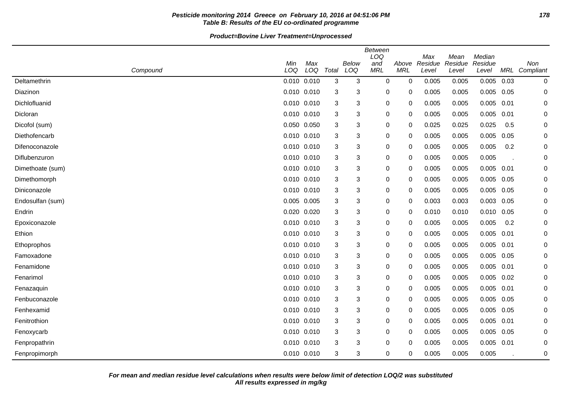### **Pesticide monitoring 2014 Greece on February 10, 2016 at 04:51:06 PM 178 Table B: Results of the EU co-ordinated programme**

|                  |             |             |       |                     | <b>Between</b><br>LOQ |                     | Max              | Mean             | Median           |      |                      |
|------------------|-------------|-------------|-------|---------------------|-----------------------|---------------------|------------------|------------------|------------------|------|----------------------|
| Compound         | Min<br>LOQ  | Max<br>LOQ  | Total | <b>Below</b><br>LOQ | and<br><b>MRL</b>     | Above<br><b>MRL</b> | Residue<br>Level | Residue<br>Level | Residue<br>Level |      | Non<br>MRL Compliant |
| Deltamethrin     | 0.010 0.010 |             | 3     | 3                   | 0                     | $\mathbf 0$         | 0.005            | 0.005            | 0.005            | 0.03 | $\mathbf 0$          |
| Diazinon         | 0.010 0.010 |             | 3     | 3                   | 0                     | 0                   | 0.005            | 0.005            | 0.005            | 0.05 | 0                    |
| Dichlofluanid    | 0.010 0.010 |             | 3     | 3                   | 0                     | 0                   | 0.005            | 0.005            | 0.005            | 0.01 | 0                    |
| Dicloran         |             | 0.010 0.010 | 3     | 3                   | 0                     | 0                   | 0.005            | 0.005            | 0.005            | 0.01 | 0                    |
| Dicofol (sum)    | 0.050 0.050 |             | 3     | 3                   | 0                     | 0                   | 0.025            | 0.025            | 0.025            | 0.5  | 0                    |
| Diethofencarb    | 0.010 0.010 |             | 3     | 3                   | 0                     | 0                   | 0.005            | 0.005            | 0.005            | 0.05 | 0                    |
| Difenoconazole   | 0.010 0.010 |             | 3     | 3                   | 0                     | 0                   | 0.005            | 0.005            | 0.005            | 0.2  | 0                    |
| Diflubenzuron    | 0.010 0.010 |             | 3     | 3                   | 0                     | $\mathbf 0$         | 0.005            | 0.005            | 0.005            |      | $\mathbf 0$          |
| Dimethoate (sum) |             | 0.010 0.010 | 3     | 3                   | 0                     | $\Omega$            | 0.005            | 0.005            | 0.005            | 0.01 | 0                    |
| Dimethomorph     | 0.010 0.010 |             | 3     | 3                   | 0                     | 0                   | 0.005            | 0.005            | 0.005            | 0.05 | 0                    |
| Diniconazole     | 0.010 0.010 |             | 3     | 3                   | 0                     | 0                   | 0.005            | 0.005            | 0.005            | 0.05 | 0                    |
| Endosulfan (sum) | 0.005 0.005 |             | 3     | 3                   | 0                     | 0                   | 0.003            | 0.003            | 0.003            | 0.05 | 0                    |
| Endrin           | 0.020 0.020 |             | 3     | 3                   | 0                     | 0                   | 0.010            | 0.010            | 0.010            | 0.05 | 0                    |
| Epoxiconazole    | 0.010 0.010 |             | 3     | 3                   | 0                     | $\Omega$            | 0.005            | 0.005            | 0.005            | 0.2  | 0                    |
| Ethion           | 0.010 0.010 |             | 3     | 3                   | 0                     | $\Omega$            | 0.005            | 0.005            | 0.005            | 0.01 | $\Omega$             |
| Ethoprophos      | 0.010 0.010 |             | 3     | 3                   | 0                     | 0                   | 0.005            | 0.005            | 0.005            | 0.01 | 0                    |
| Famoxadone       | 0.010 0.010 |             | 3     | 3                   | 0                     | 0                   | 0.005            | 0.005            | 0.005            | 0.05 | 0                    |
| Fenamidone       | 0.010 0.010 |             | 3     | 3                   | 0                     | 0                   | 0.005            | 0.005            | 0.005            | 0.01 | 0                    |
| Fenarimol        | 0.010 0.010 |             | 3     | 3                   | 0                     | 0                   | 0.005            | 0.005            | 0.005            | 0.02 | 0                    |
| Fenazaquin       | 0.010 0.010 |             | 3     | 3                   | 0                     | 0                   | 0.005            | 0.005            | 0.005            | 0.01 | 0                    |
| Fenbuconazole    | 0.010 0.010 |             | 3     | 3                   | 0                     | 0                   | 0.005            | 0.005            | 0.005            | 0.05 | 0                    |
| Fenhexamid       | 0.010 0.010 |             | 3     | 3                   | 0                     | $\Omega$            | 0.005            | 0.005            | 0.005            | 0.05 | $\Omega$             |
| Fenitrothion     | 0.010 0.010 |             | 3     | 3                   | 0                     | $\Omega$            | 0.005            | 0.005            | 0.005            | 0.01 | 0                    |
| Fenoxycarb       | 0.010 0.010 |             | 3     | 3                   | 0                     | 0                   | 0.005            | 0.005            | 0.005            | 0.05 | $\mathbf 0$          |
| Fenpropathrin    | 0.010 0.010 |             | 3     | 3                   | 0                     | 0                   | 0.005            | 0.005            | 0.005            | 0.01 | 0                    |
| Fenpropimorph    | 0.010 0.010 |             | 3     | 3                   | 0                     | 0                   | 0.005            | 0.005            | 0.005            |      | 0                    |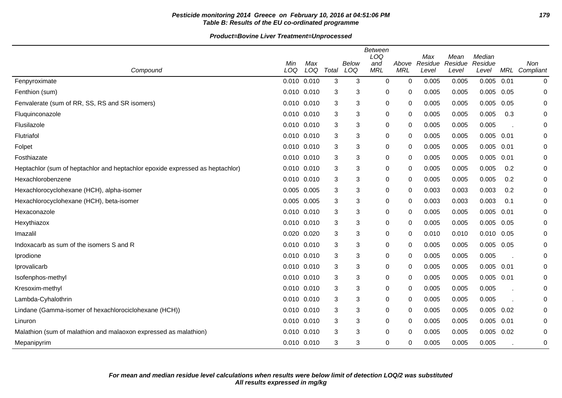### **Pesticide monitoring 2014 Greece on February 10, 2016 at 04:51:06 PM 179 Table B: Results of the EU co-ordinated programme**

| Compound                                                                      | Min<br>LOQ | Max<br>LOQ  | Total | Below<br>LOQ              | <b>Between</b><br>LOQ<br>and<br><b>MRL</b> | Above<br><b>MRL</b> | Max<br>Residue<br>Level | Mean<br>Residue<br>Level | Median<br>Residue<br>Level | MRL  | Non<br>Compliant |
|-------------------------------------------------------------------------------|------------|-------------|-------|---------------------------|--------------------------------------------|---------------------|-------------------------|--------------------------|----------------------------|------|------------------|
| Fenpyroximate                                                                 |            | 0.010 0.010 | 3     | 3                         | $\mathbf 0$                                | 0                   | 0.005                   | 0.005                    | 0.005                      | 0.01 | 0                |
| Fenthion (sum)                                                                |            | 0.010 0.010 | 3     | 3                         | 0                                          | 0                   | 0.005                   | 0.005                    | 0.005                      | 0.05 | 0                |
| Fenvalerate (sum of RR, SS, RS and SR isomers)                                |            | 0.010 0.010 | 3     | 3                         | 0                                          | 0                   | 0.005                   | 0.005                    | 0.005                      | 0.05 | 0                |
| Fluquinconazole                                                               |            | 0.010 0.010 | 3     | 3                         | 0                                          | 0                   | 0.005                   | 0.005                    | 0.005                      | 0.3  | $\mathbf 0$      |
| Flusilazole                                                                   |            | 0.010 0.010 | 3     | 3                         | 0                                          | 0                   | 0.005                   | 0.005                    | 0.005                      |      | 0                |
| Flutriafol                                                                    |            | 0.010 0.010 | 3     | $\ensuremath{\mathsf{3}}$ | 0                                          | $\mathbf 0$         | 0.005                   | 0.005                    | 0.005                      | 0.01 | 0                |
| Folpet                                                                        |            | 0.010 0.010 | 3     | 3                         | 0                                          | 0                   | 0.005                   | 0.005                    | 0.005                      | 0.01 | 0                |
| Fosthiazate                                                                   |            | 0.010 0.010 | 3     | 3                         | 0                                          | 0                   | 0.005                   | 0.005                    | 0.005                      | 0.01 | 0                |
| Heptachlor (sum of heptachlor and heptachlor epoxide expressed as heptachlor) |            | 0.010 0.010 | 3     | 3                         | 0                                          | 0                   | 0.005                   | 0.005                    | 0.005                      | 0.2  | 0                |
| Hexachlorobenzene                                                             |            | 0.010 0.010 | 3     | $\sqrt{3}$                | 0                                          | 0                   | 0.005                   | 0.005                    | 0.005                      | 0.2  | 0                |
| Hexachlorocyclohexane (HCH), alpha-isomer                                     |            | 0.005 0.005 | 3     | 3                         | 0                                          | $\mathbf 0$         | 0.003                   | 0.003                    | 0.003                      | 0.2  | 0                |
| Hexachlorocyclohexane (HCH), beta-isomer                                      |            | 0.005 0.005 | 3     | 3                         | 0                                          | 0                   | 0.003                   | 0.003                    | 0.003                      | 0.1  | $\mathbf 0$      |
| Hexaconazole                                                                  |            | 0.010 0.010 | 3     | 3                         | 0                                          | 0                   | 0.005                   | 0.005                    | 0.005                      | 0.01 | 0                |
| Hexythiazox                                                                   |            | 0.010 0.010 | 3     | 3                         | 0                                          | 0                   | 0.005                   | 0.005                    | 0.005                      | 0.05 | 0                |
| Imazalil                                                                      |            | 0.020 0.020 | 3     | 3                         | 0                                          | 0                   | 0.010                   | 0.010                    | $0.010$ $0.05$             |      | 0                |
| Indoxacarb as sum of the isomers S and R                                      |            | 0.010 0.010 | 3     | 3                         | 0                                          | 0                   | 0.005                   | 0.005                    | $0.005$ 0.05               |      | 0                |
| Iprodione                                                                     |            | 0.010 0.010 | 3     | 3                         | 0                                          | 0                   | 0.005                   | 0.005                    | 0.005                      |      | $\mathbf 0$      |
| Iprovalicarb                                                                  |            | 0.010 0.010 | 3     | $\mathbf{3}$              | 0                                          | 0                   | 0.005                   | 0.005                    | $0.005$ 0.01               |      | 0                |
| Isofenphos-methyl                                                             |            | 0.010 0.010 | 3     | 3                         | 0                                          | 0                   | 0.005                   | 0.005                    | $0.005$ 0.01               |      | 0                |
| Kresoxim-methyl                                                               |            | 0.010 0.010 | 3     | 3                         | 0                                          | 0                   | 0.005                   | 0.005                    | 0.005                      |      | 0                |
| Lambda-Cyhalothrin                                                            |            | 0.010 0.010 | 3     | 3                         | 0                                          | 0                   | 0.005                   | 0.005                    | 0.005                      |      | 0                |
| Lindane (Gamma-isomer of hexachlorociclohexane (HCH))                         |            | 0.010 0.010 | 3     | 3                         | 0                                          | $\Omega$            | 0.005                   | 0.005                    | $0.005$ 0.02               |      | 0                |
| Linuron                                                                       |            | 0.010 0.010 | 3     | 3                         | 0                                          | 0                   | 0.005                   | 0.005                    | 0.005                      | 0.01 | 0                |
| Malathion (sum of malathion and malaoxon expressed as malathion)              |            | 0.010 0.010 | 3     | 3                         | 0                                          | 0                   | 0.005                   | 0.005                    | 0.005                      | 0.02 | 0                |
| Mepanipyrim                                                                   |            | 0.010 0.010 | 3     | 3                         | 0                                          | 0                   | 0.005                   | 0.005                    | 0.005                      |      | 0                |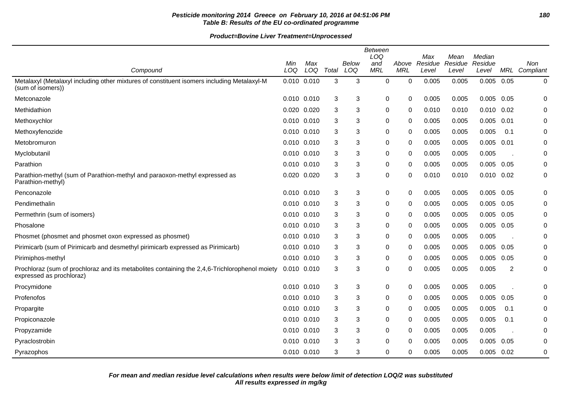### **Pesticide monitoring 2014 Greece on February 10, 2016 at 04:51:06 PM 180 Table B: Results of the EU co-ordinated programme**

| Compound                                                                                                                  | Min<br>LOQ      | Max<br>LOQ | Total | Below<br>LOQ | Between<br>LOQ<br>and<br><b>MRL</b> | Above<br><b>MRL</b> | Max<br>Residue<br>Level | Mean<br>Residue<br>Level | Median<br>Residue<br>Level | MRL  | Non<br>Compliant |
|---------------------------------------------------------------------------------------------------------------------------|-----------------|------------|-------|--------------|-------------------------------------|---------------------|-------------------------|--------------------------|----------------------------|------|------------------|
| Metalaxyl (Metalaxyl including other mixtures of constituent isomers including Metalaxyl-M<br>(sum of isomers))           | 0.010 0.010     |            | 3     | 3            | $\Omega$                            | $\Omega$            | 0.005                   | 0.005                    | 0.005                      | 0.05 | 0                |
| Metconazole                                                                                                               | 0.010 0.010     |            | 3     | 3            | $\pmb{0}$                           | 0                   | 0.005                   | 0.005                    | 0.005                      | 0.05 | 0                |
| Methidathion                                                                                                              | 0.020 0.020     |            | 3     | 3            | 0                                   | 0                   | 0.010                   | 0.010                    | 0.010                      | 0.02 | 0                |
| Methoxychlor                                                                                                              | 0.010 0.010     |            | 3     | 3            | 0                                   | 0                   | 0.005                   | 0.005                    | 0.005                      | 0.01 | 0                |
| Methoxyfenozide                                                                                                           | $0.010$ $0.010$ |            | 3     | 3            | 0                                   | 0                   | 0.005                   | 0.005                    | 0.005                      | 0.1  | 0                |
| Metobromuron                                                                                                              | 0.010 0.010     |            | 3     | 3            | 0                                   | 0                   | 0.005                   | 0.005                    | 0.005                      | 0.01 | 0                |
| Myclobutanil                                                                                                              | 0.010 0.010     |            | 3     | 3            | 0                                   | 0                   | 0.005                   | 0.005                    | 0.005                      |      | 0                |
| Parathion                                                                                                                 | 0.010 0.010     |            | 3     | 3            | 0                                   | 0                   | 0.005                   | 0.005                    | 0.005                      | 0.05 | 0                |
| Parathion-methyl (sum of Parathion-methyl and paraoxon-methyl expressed as<br>Parathion-methyl)                           | 0.020 0.020     |            | 3     | 3            | 0                                   | 0                   | 0.010                   | 0.010                    | $0.010$ $0.02$             |      | 0                |
| Penconazole                                                                                                               | 0.010 0.010     |            | 3     | 3            | $\pmb{0}$                           | 0                   | 0.005                   | 0.005                    | $0.005$ 0.05               |      | 0                |
| Pendimethalin                                                                                                             | 0.010 0.010     |            | 3     | 3            | 0                                   | 0                   | 0.005                   | 0.005                    | 0.005                      | 0.05 | 0                |
| Permethrin (sum of isomers)                                                                                               | 0.010 0.010     |            | 3     | 3            | $\mathbf 0$                         | $\Omega$            | 0.005                   | 0.005                    | 0.005                      | 0.05 | $\mathbf 0$      |
| Phosalone                                                                                                                 | 0.010 0.010     |            | 3     | 3            | 0                                   | 0                   | 0.005                   | 0.005                    | 0.005                      | 0.05 | 0                |
| Phosmet (phosmet and phosmet oxon expressed as phosmet)                                                                   | 0.010 0.010     |            | 3     | 3            | 0                                   | 0                   | 0.005                   | 0.005                    | 0.005                      |      | 0                |
| Pirimicarb (sum of Pirimicarb and desmethyl pirimicarb expressed as Pirimicarb)                                           | 0.010 0.010     |            | 3     | 3            | 0                                   | $\mathbf{0}$        | 0.005                   | 0.005                    | 0.005                      | 0.05 | 0                |
| Pirimiphos-methyl                                                                                                         | 0.010 0.010     |            | 3     | 3            | 0                                   | 0                   | 0.005                   | 0.005                    | 0.005                      | 0.05 | 0                |
| Prochloraz (sum of prochloraz and its metabolites containing the 2,4,6-Trichlorophenol moiety<br>expressed as prochloraz) | 0.010 0.010     |            | 3     | 3            | 0                                   | 0                   | 0.005                   | 0.005                    | 0.005                      | 2    | $\pmb{0}$        |
| Procymidone                                                                                                               | 0.010 0.010     |            | 3     | 3            | 0                                   | 0                   | 0.005                   | 0.005                    | 0.005                      |      | 0                |
| Profenofos                                                                                                                | 0.010 0.010     |            | 3     | 3            | 0                                   | 0                   | 0.005                   | 0.005                    | 0.005                      | 0.05 | 0                |
| Propargite                                                                                                                | 0.010 0.010     |            | 3     | 3            | 0                                   | 0                   | 0.005                   | 0.005                    | 0.005                      | 0.1  | 0                |
| Propiconazole                                                                                                             | 0.010 0.010     |            | 3     | 3            | $\mathbf 0$                         | 0                   | 0.005                   | 0.005                    | 0.005                      | 0.1  | 0                |
| Propyzamide                                                                                                               | 0.010 0.010     |            | 3     | 3            | 0                                   | 0                   | 0.005                   | 0.005                    | 0.005                      |      | 0                |
| Pyraclostrobin                                                                                                            | 0.010 0.010     |            | 3     | 3            | 0                                   | 0                   | 0.005                   | 0.005                    | 0.005                      | 0.05 | 0                |
| Pyrazophos                                                                                                                | 0.010 0.010     |            | 3     | 3            | $\Omega$                            | $\Omega$            | 0.005                   | 0.005                    | 0.005                      | 0.02 | $\mathbf 0$      |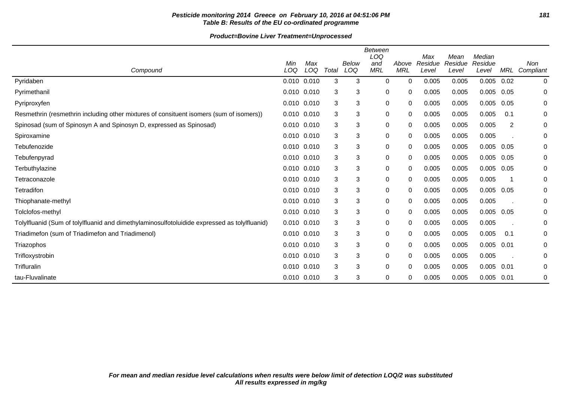### **Pesticide monitoring 2014 Greece on February 10, 2016 at 04:51:06 PM 181 Table B: Results of the EU co-ordinated programme**

|                                                                                              | Min             | Max   |       | Below | <b>Between</b><br>LOQ<br>and | Above      | Max<br>Residue | Mean<br>Residue | Median<br>Residue |      | <b>Non</b>   |
|----------------------------------------------------------------------------------------------|-----------------|-------|-------|-------|------------------------------|------------|----------------|-----------------|-------------------|------|--------------|
| Compound                                                                                     | LOQ             | LOQ   | Total | LOQ   | <b>MRL</b>                   | <b>MRL</b> | Level          | Level           | Level             | MRL  | Compliant    |
| Pyridaben                                                                                    | 0.010 0.010     |       | 3     | 3     | $\mathbf 0$                  | $\Omega$   | 0.005          | 0.005           | 0.005             | 0.02 | $\mathbf{0}$ |
| Pyrimethanil                                                                                 | 0.010 0.010     |       | 3     | 3     | 0                            | 0          | 0.005          | 0.005           | 0.005             | 0.05 | 0            |
| Pyriproxyfen                                                                                 | $0.010$ $0.010$ |       | 3     | 3     | 0                            | 0          | 0.005          | 0.005           | 0.005             | 0.05 | 0            |
| Resmethrin (resmethrin including other mixtures of consituent isomers (sum of isomers))      | 0.010           | 0.010 | 3     | 3     | $\mathbf 0$                  | 0          | 0.005          | 0.005           | 0.005             | 0.1  | 0            |
| Spinosad (sum of Spinosyn A and Spinosyn D, expressed as Spinosad)                           | $0.010$ $0.010$ |       | 3     | 3     | 0                            | 0          | 0.005          | 0.005           | 0.005             | 2    | 0            |
| Spiroxamine                                                                                  | $0.010$ $0.010$ |       | 3     | 3     | 0                            | 0          | 0.005          | 0.005           | 0.005             |      | 0            |
| Tebufenozide                                                                                 | $0.010$ $0.010$ |       | 3     | 3     | $\pmb{0}$                    | 0          | 0.005          | 0.005           | 0.005             | 0.05 | 0            |
| Tebufenpyrad                                                                                 | $0.010$ $0.010$ |       | 3     | 3     | $\mathbf 0$                  | 0          | 0.005          | 0.005           | 0.005             | 0.05 | 0            |
| Terbuthylazine                                                                               | 0.010           | 0.010 | 3     | 3     | $\mathbf 0$                  | 0          | 0.005          | 0.005           | 0.005             | 0.05 | 0            |
| Tetraconazole                                                                                | $0.010$ $0.010$ |       | 3     | 3     | 0                            | 0          | 0.005          | 0.005           | 0.005             | -1   | 0            |
| Tetradifon                                                                                   | $0.010$ $0.010$ |       | 3     | 3     | 0                            | 0          | 0.005          | 0.005           | 0.005             | 0.05 | 0            |
| Thiophanate-methyl                                                                           | 0.010 0.010     |       | 3     | 3     | $\pmb{0}$                    | 0          | 0.005          | 0.005           | 0.005             |      | 0            |
| Tolclofos-methyl                                                                             | 0.010 0.010     |       | 3     | 3     | $\pmb{0}$                    | 0          | 0.005          | 0.005           | 0.005             | 0.05 | 0            |
| Tolylfluanid (Sum of tolylfluanid and dimethylaminosulfotoluidide expressed as tolylfluanid) | 0.010           | 0.010 | 3     | 3     | $\pmb{0}$                    | 0          | 0.005          | 0.005           | 0.005             |      | 0            |
| Triadimefon (sum of Triadimefon and Triadimenol)                                             | 0.010 0.010     |       | 3     | 3     | 0                            | 0          | 0.005          | 0.005           | 0.005             | 0.1  | 0            |
| Triazophos                                                                                   | $0.010$ $0.010$ |       | 3     | 3     | $\mathbf 0$                  | 0          | 0.005          | 0.005           | 0.005             | 0.01 | 0            |
| Trifloxystrobin                                                                              | $0.010$ $0.010$ |       | 3     | 3     | 0                            | 0          | 0.005          | 0.005           | 0.005             |      | 0            |
| Trifluralin                                                                                  | $0.010$ $0.010$ |       | 3     | 3     | 0                            | 0          | 0.005          | 0.005           | 0.005             | 0.01 | 0            |
| tau-Fluvalinate                                                                              | $0.010$ $0.010$ |       | 3     | 3     | $\pmb{0}$                    | 0          | 0.005          | 0.005           | 0.005             | 0.01 | 0            |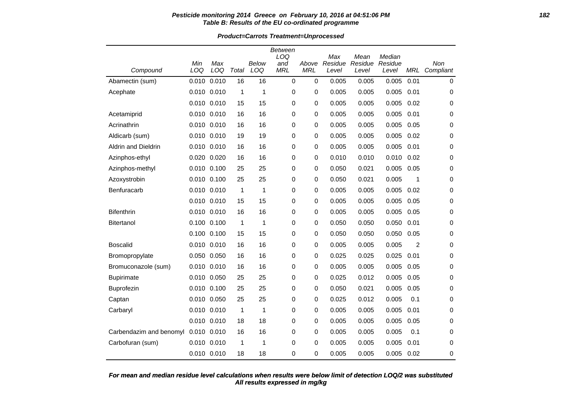#### **Pesticide monitoring 2014 Greece on February 10, 2016 at 04:51:06 PM 182 Table B: Results of the EU co-ordinated programme**

**Product=Carrots Treatment=Unprocessed**

|                         |             |                 |       |       | <b>Between</b><br>LOQ |             | Max     | Mean    | Median  |            |             |
|-------------------------|-------------|-----------------|-------|-------|-----------------------|-------------|---------|---------|---------|------------|-------------|
|                         | Min         | Max             |       | Below | and<br><b>MRL</b>     | Above       | Residue | Residue | Residue |            | Non         |
| Compound                | LOQ         | LOQ             | Total | LOQ   |                       | <b>MRL</b>  | Level   | Level   | Level   | <b>MRL</b> | Compliant   |
| Abamectin (sum)         | 0.010       | 0.010           | 16    | 16    | 0                     | $\mathbf 0$ | 0.005   | 0.005   | 0.005   | 0.01       | $\mathbf 0$ |
| Acephate                | 0.010 0.010 |                 | 1     | 1     | 0                     | 0           | 0.005   | 0.005   | 0.005   | 0.01       | 0           |
|                         |             | 0.010 0.010     | 15    | 15    | 0                     | 0           | 0.005   | 0.005   | 0.005   | 0.02       | 0           |
| Acetamiprid             | 0.010 0.010 |                 | 16    | 16    | 0                     | 0           | 0.005   | 0.005   | 0.005   | 0.01       | 0           |
| Acrinathrin             |             | $0.010$ $0.010$ | 16    | 16    | 0                     | 0           | 0.005   | 0.005   | 0.005   | 0.05       | 0           |
| Aldicarb (sum)          |             | 0.010 0.010     | 19    | 19    | 0                     | 0           | 0.005   | 0.005   | 0.005   | 0.02       | 0           |
| Aldrin and Dieldrin     | 0.010 0.010 |                 | 16    | 16    | 0                     | 0           | 0.005   | 0.005   | 0.005   | 0.01       | 0           |
| Azinphos-ethyl          |             | 0.020 0.020     | 16    | 16    | 0                     | 0           | 0.010   | 0.010   | 0.010   | 0.02       | 0           |
| Azinphos-methyl         | 0.010 0.100 |                 | 25    | 25    | 0                     | 0           | 0.050   | 0.021   | 0.005   | 0.05       | 0           |
| Azoxystrobin            | 0.010 0.100 |                 | 25    | 25    | 0                     | 0           | 0.050   | 0.021   | 0.005   | 1          | 0           |
| Benfuracarb             |             | $0.010$ $0.010$ | 1     | 1     | 0                     | 0           | 0.005   | 0.005   | 0.005   | 0.02       | 0           |
|                         | 0.010 0.010 |                 | 15    | 15    | 0                     | 0           | 0.005   | 0.005   | 0.005   | 0.05       | 0           |
| <b>Bifenthrin</b>       |             | 0.010 0.010     | 16    | 16    | 0                     | 0           | 0.005   | 0.005   | 0.005   | 0.05       | 0           |
| <b>Bitertanol</b>       | 0.100 0.100 |                 | 1     | 1     | 0                     | 0           | 0.050   | 0.050   | 0.050   | 0.01       | 0           |
|                         |             | 0.100 0.100     | 15    | 15    | 0                     | 0           | 0.050   | 0.050   | 0.050   | 0.05       | 0           |
| <b>Boscalid</b>         |             | 0.010 0.010     | 16    | 16    | 0                     | 0           | 0.005   | 0.005   | 0.005   | 2          | 0           |
| Bromopropylate          | 0.050 0.050 |                 | 16    | 16    | 0                     | 0           | 0.025   | 0.025   | 0.025   | 0.01       | 0           |
| Bromuconazole (sum)     |             | 0.010 0.010     | 16    | 16    | 0                     | 0           | 0.005   | 0.005   | 0.005   | 0.05       | 0           |
| <b>Bupirimate</b>       |             | 0.010 0.050     | 25    | 25    | 0                     | 0           | 0.025   | 0.012   | 0.005   | 0.05       | 0           |
| Buprofezin              | 0.010 0.100 |                 | 25    | 25    | 0                     | 0           | 0.050   | 0.021   | 0.005   | 0.05       | 0           |
| Captan                  | 0.010 0.050 |                 | 25    | 25    | 0                     | 0           | 0.025   | 0.012   | 0.005   | 0.1        | 0           |
| Carbaryl                | 0.010 0.010 |                 | 1     | 1     | 0                     | 0           | 0.005   | 0.005   | 0.005   | 0.01       | 0           |
|                         | 0.010 0.010 |                 | 18    | 18    | 0                     | 0           | 0.005   | 0.005   | 0.005   | 0.05       | 0           |
| Carbendazim and benomyl | 0.010 0.010 |                 | 16    | 16    | 0                     | 0           | 0.005   | 0.005   | 0.005   | 0.1        | 0           |
| Carbofuran (sum)        | 0.010 0.010 |                 | 1     | 1     | 0                     | 0           | 0.005   | 0.005   | 0.005   | 0.01       | 0           |
|                         | 0.010 0.010 |                 | 18    | 18    | 0                     | 0           | 0.005   | 0.005   | 0.005   | 0.02       | 0           |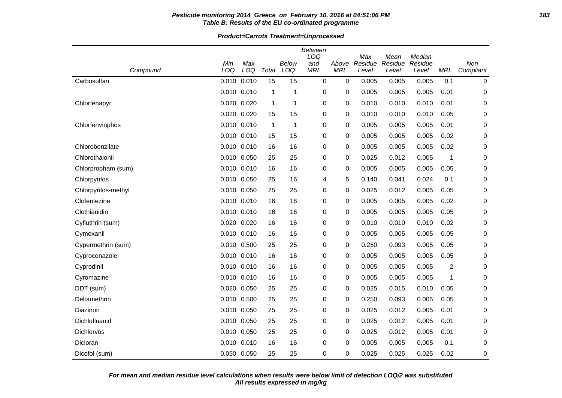#### **Pesticide monitoring 2014 Greece on February 10, 2016 at 04:51:06 PM 183 Table B: Results of the EU co-ordinated programme**

**Product=Carrots Treatment=Unprocessed**

|                     |                 |       |              |                | Between     |            |                |                 |                   |            |           |
|---------------------|-----------------|-------|--------------|----------------|-------------|------------|----------------|-----------------|-------------------|------------|-----------|
|                     | Min             | Max   |              | Below          | LOQ<br>and  | Above      | Max<br>Residue | Mean<br>Residue | Median<br>Residue |            | Non       |
| Compound            | LOQ             | LOQ   | Total        | LOQ            | <b>MRL</b>  | <b>MRL</b> | Level          | Level           | Level             | <b>MRL</b> | Compliant |
| Carbosulfan         | 0.010           | 0.010 | 15           | 15             | $\mathbf 0$ | 0          | 0.005          | 0.005           | 0.005             | 0.1        | 0         |
|                     | 0.010 0.010     |       | 1            | $\mathbf 1$    | 0           | 0          | 0.005          | 0.005           | 0.005             | 0.01       | 0         |
| Chlorfenapyr        | 0.020           | 0.020 | 1            | $\mathbf 1$    | 0           | 0          | 0.010          | 0.010           | 0.010             | 0.01       | 0         |
|                     | 0.020 0.020     |       | 15           | 15             | 0           | 0          | 0.010          | 0.010           | 0.010             | 0.05       | 0         |
| Chlorfenvinphos     | 0.010 0.010     |       | $\mathbf{1}$ | $\overline{1}$ | 0           | 0          | 0.005          | 0.005           | 0.005             | 0.01       | 0         |
|                     | $0.010$ $0.010$ |       | 15           | 15             | 0           | 0          | 0.005          | 0.005           | 0.005             | 0.02       | 0         |
| Chlorobenzilate     | 0.010 0.010     |       | 16           | 16             | 0           | 0          | 0.005          | 0.005           | 0.005             | 0.02       | 0         |
| Chlorothalonil      | 0.010 0.050     |       | 25           | 25             | 0           | 0          | 0.025          | 0.012           | 0.005             | 1          | 0         |
| Chlorpropham (sum)  | 0.010 0.010     |       | 16           | 16             | 0           | 0          | 0.005          | 0.005           | 0.005             | 0.05       | 0         |
| Chlorpyrifos        | 0.010 0.050     |       | 25           | 16             | 4           | 5          | 0.140          | 0.041           | 0.024             | 0.1        | 0         |
| Chlorpyrifos-methyl | 0.010           | 0.050 | 25           | 25             | 0           | 0          | 0.025          | 0.012           | 0.005             | 0.05       | 0         |
| Clofentezine        | 0.010 0.010     |       | 16           | 16             | 0           | 0          | 0.005          | 0.005           | 0.005             | 0.02       | 0         |
| Clothianidin        | 0.010 0.010     |       | 16           | 16             | 0           | 0          | 0.005          | 0.005           | 0.005             | 0.05       | 0         |
| Cyfluthrin (sum)    | 0.020 0.020     |       | 16           | 16             | 0           | 0          | 0.010          | 0.010           | 0.010             | 0.02       | 0         |
| Cymoxanil           | 0.010 0.010     |       | 16           | 16             | 0           | 0          | 0.005          | 0.005           | 0.005             | 0.05       | 0         |
| Cypermethrin (sum)  | 0.010           | 0.500 | 25           | 25             | 0           | 0          | 0.250          | 0.093           | 0.005             | 0.05       | 0         |
| Cyproconazole       | 0.010 0.010     |       | 16           | 16             | 0           | 0          | 0.005          | 0.005           | 0.005             | 0.05       | 0         |
| Cyprodinil          | 0.010 0.010     |       | 16           | 16             | 0           | 0          | 0.005          | 0.005           | 0.005             | 2          | 0         |
| Cyromazine          | 0.010 0.010     |       | 16           | 16             | 0           | 0          | 0.005          | 0.005           | 0.005             | 1          | 0         |
| DDT (sum)           | 0.020           | 0.050 | 25           | 25             | 0           | 0          | 0.025          | 0.015           | 0.010             | 0.05       | 0         |
| Deltamethrin        | 0.010           | 0.500 | 25           | 25             | 0           | 0          | 0.250          | 0.093           | 0.005             | 0.05       | 0         |
| Diazinon            | 0.010 0.050     |       | 25           | 25             | 0           | 0          | 0.025          | 0.012           | 0.005             | 0.01       | 0         |
| Dichlofluanid       | 0.010 0.050     |       | 25           | 25             | 0           | 0          | 0.025          | 0.012           | 0.005             | 0.01       | 0         |
| Dichlorvos          | 0.010 0.050     |       | 25           | 25             | 0           | 0          | 0.025          | 0.012           | 0.005             | 0.01       | 0         |
| Dicloran            | 0.010           | 0.010 | 16           | 16             | $\Omega$    | 0          | 0.005          | 0.005           | 0.005             | 0.1        | 0         |
| Dicofol (sum)       | 0.050 0.050     |       | 25           | 25             | $\Omega$    | 0          | 0.025          | 0.025           | 0.025             | 0.02       | 0         |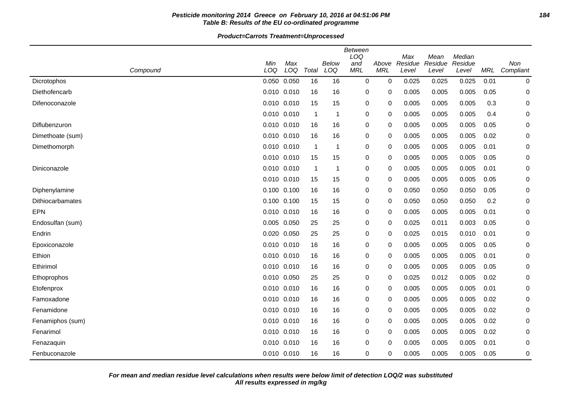### **Pesticide monitoring 2014 Greece on February 10, 2016 at 04:51:06 PM 184 Table B: Results of the EU co-ordinated programme**

#### **Product=Carrots Treatment=Unprocessed**

|                  |             |                 |                |              | <b>Between</b><br>LOQ |                     | Max              | Mean             | Median           |      |                  |
|------------------|-------------|-----------------|----------------|--------------|-----------------------|---------------------|------------------|------------------|------------------|------|------------------|
| Compound         | Min<br>LOQ  | Max<br>LOQ      | Total          | Below<br>LOQ | and<br><b>MRL</b>     | Above<br><b>MRL</b> | Residue<br>Level | Residue<br>Level | Residue<br>Level | MRL  | Non<br>Compliant |
| Dicrotophos      |             | 0.050 0.050     | 16             | 16           | $\mathbf 0$           | 0                   | 0.025            | 0.025            | 0.025            | 0.01 | 0                |
| Diethofencarb    | 0.010 0.010 |                 | 16             | 16           | 0                     | 0                   | 0.005            | 0.005            | 0.005            | 0.05 | 0                |
| Difenoconazole   |             | 0.010 0.010     | 15             | 15           | 0                     | 0                   | 0.005            | 0.005            | 0.005            | 0.3  | 0                |
|                  |             | $0.010$ $0.010$ | $\overline{1}$ | 1            | 0                     | 0                   | 0.005            | 0.005            | 0.005            | 0.4  | 0                |
| Diflubenzuron    |             | 0.010 0.010     | 16             | 16           | 0                     | 0                   | 0.005            | 0.005            | 0.005            | 0.05 | 0                |
| Dimethoate (sum) |             | $0.010$ $0.010$ | 16             | 16           | 0                     | 0                   | 0.005            | 0.005            | 0.005            | 0.02 | 0                |
| Dimethomorph     | 0.010 0.010 |                 | $\overline{1}$ | 1            | 0                     | 0                   | 0.005            | 0.005            | 0.005            | 0.01 | 0                |
|                  |             | 0.010 0.010     | 15             | 15           | 0                     | 0                   | 0.005            | 0.005            | 0.005            | 0.05 | 0                |
| Diniconazole     |             | 0.010 0.010     | $\overline{1}$ | -1           | 0                     | 0                   | 0.005            | 0.005            | 0.005            | 0.01 | 0                |
|                  |             | 0.010 0.010     | 15             | 15           | 0                     | 0                   | 0.005            | 0.005            | 0.005            | 0.05 | 0                |
| Diphenylamine    |             | 0.100 0.100     | 16             | 16           | 0                     | 0                   | 0.050            | 0.050            | 0.050            | 0.05 | 0                |
| Dithiocarbamates | 0.100 0.100 |                 | 15             | 15           | 0                     | 0                   | 0.050            | 0.050            | 0.050            | 0.2  | 0                |
| <b>EPN</b>       |             | 0.010 0.010     | 16             | 16           | $\pmb{0}$             | 0                   | 0.005            | 0.005            | 0.005            | 0.01 | 0                |
| Endosulfan (sum) |             | 0.005 0.050     | 25             | 25           | 0                     | $\mathbf 0$         | 0.025            | 0.011            | 0.003            | 0.05 | 0                |
| Endrin           |             | 0.020 0.050     | 25             | 25           | 0                     | 0                   | 0.025            | 0.015            | 0.010            | 0.01 | 0                |
| Epoxiconazole    |             | $0.010$ $0.010$ | 16             | 16           | 0                     | 0                   | 0.005            | 0.005            | 0.005            | 0.05 | 0                |
| Ethion           | 0.010 0.010 |                 | 16             | 16           | 0                     | 0                   | 0.005            | 0.005            | 0.005            | 0.01 | 0                |
| Ethirimol        |             | 0.010 0.010     | 16             | 16           | 0                     | 0                   | 0.005            | 0.005            | 0.005            | 0.05 | 0                |
| Ethoprophos      |             | 0.010 0.050     | 25             | 25           | 0                     | 0                   | 0.025            | 0.012            | 0.005            | 0.02 | 0                |
| Etofenprox       |             | 0.010 0.010     | 16             | 16           | 0                     | 0                   | 0.005            | 0.005            | 0.005            | 0.01 | 0                |
| Famoxadone       |             | 0.010 0.010     | 16             | 16           | 0                     | 0                   | 0.005            | 0.005            | 0.005            | 0.02 | 0                |
| Fenamidone       | 0.010 0.010 |                 | 16             | 16           | 0                     | 0                   | 0.005            | 0.005            | 0.005            | 0.02 | 0                |
| Fenamiphos (sum) |             | 0.010 0.010     | 16             | 16           | 0                     | 0                   | 0.005            | 0.005            | 0.005            | 0.02 | 0                |
| Fenarimol        |             | 0.010 0.010     | 16             | 16           | 0                     | $\mathbf 0$         | 0.005            | 0.005            | 0.005            | 0.02 | 0                |
| Fenazaquin       |             | 0.010 0.010     | 16             | 16           | 0                     | 0                   | 0.005            | 0.005            | 0.005            | 0.01 | 0                |
| Fenbuconazole    |             | 0.010 0.010     | 16             | 16           | 0                     | 0                   | 0.005            | 0.005            | 0.005            | 0.05 | 0                |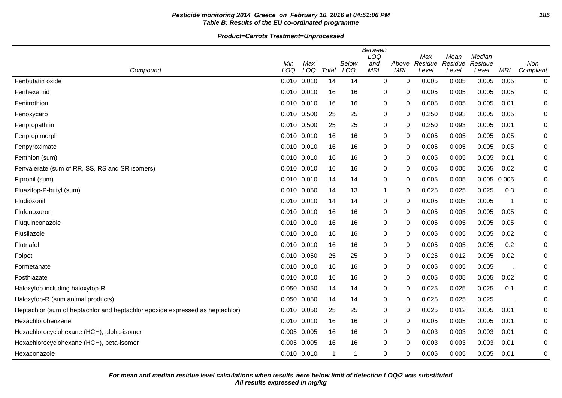## **Pesticide monitoring 2014 Greece on February 10, 2016 at 04:51:06 PM 185 Table B: Results of the EU co-ordinated programme**

**Product=Carrots Treatment=Unprocessed**

|                                                                               | <b>Between</b><br>LOQ<br>Median<br>Max<br>Mean |            |              |              |                   |                     |                  |                  |                  |       |                  |
|-------------------------------------------------------------------------------|------------------------------------------------|------------|--------------|--------------|-------------------|---------------------|------------------|------------------|------------------|-------|------------------|
| Compound                                                                      | Min<br>LOQ                                     | Max<br>LOQ | Total        | Below<br>LOQ | and<br><b>MRL</b> | Above<br><b>MRL</b> | Residue<br>Level | Residue<br>Level | Residue<br>Level | MRL   | Non<br>Compliant |
| Fenbutatin oxide                                                              | $0.010$ $0.010$                                |            | 14           | 14           | $\mathbf 0$       | $\mathbf 0$         | 0.005            | 0.005            | 0.005            | 0.05  | 0                |
| Fenhexamid                                                                    | 0.010 0.010                                    |            | 16           | 16           | 0                 | 0                   | 0.005            | 0.005            | 0.005            | 0.05  | 0                |
| Fenitrothion                                                                  | $0.010$ $0.010$                                |            | 16           | 16           | 0                 | 0                   | 0.005            | 0.005            | 0.005            | 0.01  | 0                |
| Fenoxycarb                                                                    | 0.010 0.500                                    |            | 25           | 25           | 0                 | 0                   | 0.250            | 0.093            | 0.005            | 0.05  | 0                |
| Fenpropathrin                                                                 | 0.010 0.500                                    |            | 25           | 25           | 0                 | 0                   | 0.250            | 0.093            | 0.005            | 0.01  | 0                |
| Fenpropimorph                                                                 | 0.010 0.010                                    |            | 16           | 16           | 0                 | 0                   | 0.005            | 0.005            | 0.005            | 0.05  | 0                |
| Fenpyroximate                                                                 | $0.010$ $0.010$                                |            | 16           | 16           | 0                 | 0                   | 0.005            | 0.005            | 0.005            | 0.05  | 0                |
| Fenthion (sum)                                                                | $0.010$ $0.010$                                |            | 16           | 16           | 0                 | 0                   | 0.005            | 0.005            | 0.005            | 0.01  | $\mathbf 0$      |
| Fenvalerate (sum of RR, SS, RS and SR isomers)                                | $0.010$ $0.010$                                |            | 16           | 16           | 0                 | $\Omega$            | 0.005            | 0.005            | 0.005            | 0.02  | 0                |
| Fipronil (sum)                                                                | 0.010 0.010                                    |            | 14           | 14           | 0                 | 0                   | 0.005            | 0.005            | 0.005            | 0.005 | 0                |
| Fluazifop-P-butyl (sum)                                                       | 0.010 0.050                                    |            | 14           | 13           | -1                | 0                   | 0.025            | 0.025            | 0.025            | 0.3   | 0                |
| Fludioxonil                                                                   | 0.010 0.010                                    |            | 14           | 14           | 0                 | 0                   | 0.005            | 0.005            | 0.005            | -1    | 0                |
| Flufenoxuron                                                                  | 0.010 0.010                                    |            | 16           | 16           | 0                 | 0                   | 0.005            | 0.005            | 0.005            | 0.05  | 0                |
| Fluquinconazole                                                               | 0.010 0.010                                    |            | 16           | 16           | 0                 | 0                   | 0.005            | 0.005            | 0.005            | 0.05  | 0                |
| Flusilazole                                                                   | 0.010 0.010                                    |            | 16           | 16           | 0                 | 0                   | 0.005            | 0.005            | 0.005            | 0.02  | $\mathbf 0$      |
| Flutriafol                                                                    | $0.010$ $0.010$                                |            | 16           | 16           | 0                 | $\mathbf 0$         | 0.005            | 0.005            | 0.005            | 0.2   | $\mathbf 0$      |
| Folpet                                                                        | 0.010 0.050                                    |            | 25           | 25           | 0                 | 0                   | 0.025            | 0.012            | 0.005            | 0.02  | 0                |
| Formetanate                                                                   | $0.010$ $0.010$                                |            | 16           | 16           | 0                 | 0                   | 0.005            | 0.005            | 0.005            |       | 0                |
| Fosthiazate                                                                   | 0.010 0.010                                    |            | 16           | 16           | 0                 | 0                   | 0.005            | 0.005            | 0.005            | 0.02  | 0                |
| Haloxyfop including haloxyfop-R                                               | 0.050 0.050                                    |            | 14           | 14           | 0                 | 0                   | 0.025            | 0.025            | 0.025            | 0.1   | 0                |
| Haloxyfop-R (sum animal products)                                             | 0.050 0.050                                    |            | 14           | 14           | 0                 | 0                   | 0.025            | 0.025            | 0.025            |       | 0                |
| Heptachlor (sum of heptachlor and heptachlor epoxide expressed as heptachlor) | 0.010 0.050                                    |            | 25           | 25           | 0                 | 0                   | 0.025            | 0.012            | 0.005            | 0.01  | 0                |
| Hexachlorobenzene                                                             | 0.010 0.010                                    |            | 16           | 16           | 0                 | 0                   | 0.005            | 0.005            | 0.005            | 0.01  | 0                |
| Hexachlorocyclohexane (HCH), alpha-isomer                                     | $0.005$ 0.005                                  |            | 16           | 16           | 0                 | 0                   | 0.003            | 0.003            | 0.003            | 0.01  | 0                |
| Hexachlorocyclohexane (HCH), beta-isomer                                      | 0.005 0.005                                    |            | 16           | 16           | 0                 | $\Omega$            | 0.003            | 0.003            | 0.003            | 0.01  | 0                |
| Hexaconazole                                                                  | 0.010 0.010                                    |            | $\mathbf{1}$ | -1           | 0                 | 0                   | 0.005            | 0.005            | 0.005            | 0.01  | 0                |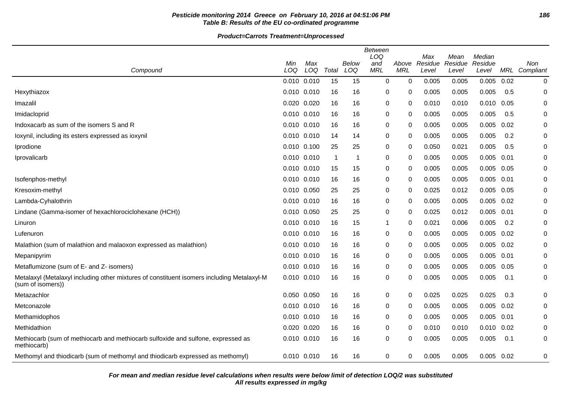## **Pesticide monitoring 2014 Greece on February 10, 2016 at 04:51:06 PM 186 Table B: Results of the EU co-ordinated programme**

**Product=Carrots Treatment=Unprocessed**

|                                                                                                                 | Between<br>LOQ<br>Max<br>Median<br>Mean |             |             |       |            |            |         |         |              |      |               |  |
|-----------------------------------------------------------------------------------------------------------------|-----------------------------------------|-------------|-------------|-------|------------|------------|---------|---------|--------------|------|---------------|--|
|                                                                                                                 | Min                                     | Max         |             | Below | and        | Above      | Residue | Residue | Residue      |      | Non           |  |
| Compound                                                                                                        | LOQ                                     | LOQ         | Total       | LOQ   | <b>MRL</b> | <b>MRL</b> | Level   | Level   | Level        |      | MRL Compliant |  |
|                                                                                                                 | 0.010 0.010                             |             | 15          | 15    | 0          | 0          | 0.005   | 0.005   | 0.005        | 0.02 | 0             |  |
| Hexythiazox                                                                                                     | 0.010 0.010                             |             | 16          | 16    | 0          | 0          | 0.005   | 0.005   | 0.005        | 0.5  | 0             |  |
| Imazalil                                                                                                        | 0.020 0.020                             |             | 16          | 16    | 0          | 0          | 0.010   | 0.010   | 0.010        | 0.05 | 0             |  |
| Imidacloprid                                                                                                    | 0.010 0.010                             |             | 16          | 16    | 0          | 0          | 0.005   | 0.005   | 0.005        | 0.5  | 0             |  |
| Indoxacarb as sum of the isomers S and R                                                                        | 0.010 0.010                             |             | 16          | 16    | 0          | 0          | 0.005   | 0.005   | 0.005        | 0.02 | 0             |  |
| loxynil, including its esters expressed as ioxynil                                                              | $0.010$ $0.010$                         |             | 14          | 14    | 0          | 0          | 0.005   | 0.005   | 0.005        | 0.2  | 0             |  |
| Iprodione                                                                                                       | 0.010 0.100                             |             | 25          | 25    | 0          | 0          | 0.050   | 0.021   | 0.005        | 0.5  | $\mathbf 0$   |  |
| Iprovalicarb                                                                                                    | 0.010 0.010                             |             | $\mathbf 1$ | -1    | 0          | 0          | 0.005   | 0.005   | 0.005        | 0.01 | 0             |  |
|                                                                                                                 | $0.010$ $0.010$                         |             | 15          | 15    | 0          | $\Omega$   | 0.005   | 0.005   | 0.005        | 0.05 | 0             |  |
| Isofenphos-methyl                                                                                               | 0.010 0.010                             |             | 16          | 16    | 0          | 0          | 0.005   | 0.005   | 0.005        | 0.01 | 0             |  |
| Kresoxim-methyl                                                                                                 | 0.010 0.050                             |             | 25          | 25    | 0          | 0          | 0.025   | 0.012   | 0.005        | 0.05 | 0             |  |
| Lambda-Cyhalothrin                                                                                              |                                         | 0.010 0.010 | 16          | 16    | 0          | 0          | 0.005   | 0.005   | 0.005        | 0.02 | 0             |  |
| Lindane (Gamma-isomer of hexachlorociclohexane (HCH))                                                           |                                         | 0.010 0.050 | 25          | 25    | 0          | 0          | 0.025   | 0.012   | $0.005$ 0.01 |      | 0             |  |
| Linuron                                                                                                         | 0.010 0.010                             |             | 16          | 15    | 1          | $\Omega$   | 0.021   | 0.006   | 0.005        | 0.2  | $\mathbf 0$   |  |
| Lufenuron                                                                                                       | 0.010 0.010                             |             | 16          | 16    | 0          | 0          | 0.005   | 0.005   | 0.005        | 0.02 | $\mathbf 0$   |  |
| Malathion (sum of malathion and malaoxon expressed as malathion)                                                | 0.010 0.010                             |             | 16          | 16    | 0          | 0          | 0.005   | 0.005   | 0.005        | 0.02 | 0             |  |
| Mepanipyrim                                                                                                     |                                         | 0.010 0.010 | 16          | 16    | 0          | $\Omega$   | 0.005   | 0.005   | 0.005        | 0.01 | 0             |  |
| Metaflumizone (sum of E- and Z- isomers)                                                                        | 0.010 0.010                             |             | 16          | 16    | 0          | 0          | 0.005   | 0.005   | 0.005        | 0.05 | 0             |  |
| Metalaxyl (Metalaxyl including other mixtures of constituent isomers including Metalaxyl-M<br>(sum of isomers)) | $0.010$ $0.010$                         |             | 16          | 16    | 0          | $\Omega$   | 0.005   | 0.005   | 0.005        | 0.1  | 0             |  |
| Metazachlor                                                                                                     | 0.050 0.050                             |             | 16          | 16    | 0          | 0          | 0.025   | 0.025   | 0.025        | 0.3  | 0             |  |
| Metconazole                                                                                                     |                                         | 0.010 0.010 | 16          | 16    | 0          | 0          | 0.005   | 0.005   | 0.005        | 0.02 | 0             |  |
| Methamidophos                                                                                                   | 0.010 0.010                             |             | 16          | 16    | 0          | 0          | 0.005   | 0.005   | 0.005        | 0.01 | 0             |  |
| Methidathion                                                                                                    | 0.020 0.020                             |             | 16          | 16    | 0          | $\Omega$   | 0.010   | 0.010   | 0.010        | 0.02 | $\mathbf 0$   |  |
| Methiocarb (sum of methiocarb and methiocarb sulfoxide and sulfone, expressed as<br>methiocarb)                 |                                         | 0.010 0.010 | 16          | 16    | 0          | $\Omega$   | 0.005   | 0.005   | 0.005        | 0.1  | 0             |  |
| Methomyl and thiodicarb (sum of methomyl and thiodicarb expressed as methomyl)                                  |                                         | 0.010 0.010 | 16          | 16    | 0          | 0          | 0.005   | 0.005   | $0.005$ 0.02 |      | 0             |  |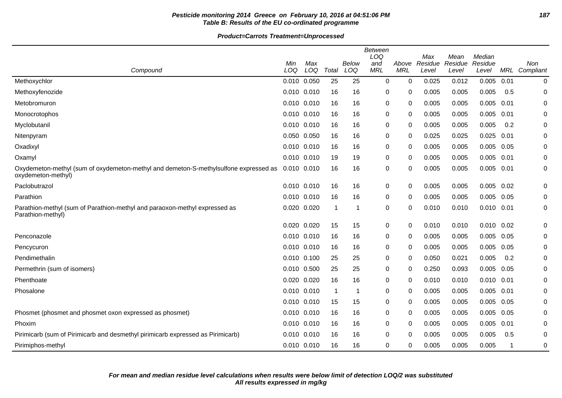## **Pesticide monitoring 2014 Greece on February 10, 2016 at 04:51:06 PM 187 Table B: Results of the EU co-ordinated programme**

|                                                                                                            | <b>Between</b><br>LOQ<br>Median<br>Max<br>Mean |            |             |              |                   |                     |                  |                  |                  |      |                             |
|------------------------------------------------------------------------------------------------------------|------------------------------------------------|------------|-------------|--------------|-------------------|---------------------|------------------|------------------|------------------|------|-----------------------------|
| Compound                                                                                                   | Min<br>LOQ                                     | Max<br>LOQ | Total       | Below<br>LOQ | and<br><b>MRL</b> | Above<br><b>MRL</b> | Residue<br>Level | Residue<br>Level | Residue<br>Level |      | <b>Non</b><br>MRL Compliant |
| Methoxychlor                                                                                               | 0.010                                          | 0.050      | 25          | 25           | 0                 | $\mathbf 0$         | 0.025            | 0.012            | 0.005            | 0.01 | 0                           |
| Methoxyfenozide                                                                                            | $0.010$ $0.010$                                |            | 16          | 16           | 0                 | 0                   | 0.005            | 0.005            | 0.005            | 0.5  | 0                           |
| Metobromuron                                                                                               | 0.010 0.010                                    |            | 16          | 16           | 0                 | 0                   | 0.005            | 0.005            | 0.005            | 0.01 | 0                           |
| Monocrotophos                                                                                              | 0.010 0.010                                    |            | 16          | 16           | 0                 | 0                   | 0.005            | 0.005            | 0.005            | 0.01 | 0                           |
| Myclobutanil                                                                                               | 0.010 0.010                                    |            | 16          | 16           | 0                 | $\Omega$            | 0.005            | 0.005            | 0.005            | 0.2  | 0                           |
| Nitenpyram                                                                                                 | 0.050 0.050                                    |            | 16          | 16           | 0                 | 0                   | 0.025            | 0.025            | 0.025            | 0.01 | 0                           |
| Oxadixyl                                                                                                   | 0.010 0.010                                    |            | 16          | 16           | 0                 | 0                   | 0.005            | 0.005            | 0.005            | 0.05 | 0                           |
| Oxamyl                                                                                                     | 0.010 0.010                                    |            | 19          | 19           | 0                 | 0                   | 0.005            | 0.005            | 0.005            | 0.01 | 0                           |
| Oxydemeton-methyl (sum of oxydemeton-methyl and demeton-S-methylsulfone expressed as<br>oxydemeton-methyl) | 0.010 0.010                                    |            | 16          | 16           | 0                 | 0                   | 0.005            | 0.005            | $0.005$ 0.01     |      | 0                           |
| Paclobutrazol                                                                                              | 0.010 0.010                                    |            | 16          | 16           | 0                 | 0                   | 0.005            | 0.005            | $0.005$ 0.02     |      | 0                           |
| Parathion                                                                                                  | 0.010 0.010                                    |            | 16          | 16           | 0                 | 0                   | 0.005            | 0.005            | $0.005$ 0.05     |      | 0                           |
| Parathion-methyl (sum of Parathion-methyl and paraoxon-methyl expressed as<br>Parathion-methyl)            | 0.020                                          | 0.020      | $\mathbf 1$ |              | 0                 | 0                   | 0.010            | 0.010            | 0.010            | 0.01 | 0                           |
|                                                                                                            | 0.020                                          | 0.020      | 15          | 15           | 0                 | 0                   | 0.010            | 0.010            | 0.010            | 0.02 | 0                           |
| Penconazole                                                                                                | 0.010 0.010                                    |            | 16          | 16           | 0                 | 0                   | 0.005            | 0.005            | 0.005            | 0.05 | 0                           |
| Pencycuron                                                                                                 | $0.010$ $0.010$                                |            | 16          | 16           | 0                 | $\Omega$            | 0.005            | 0.005            | 0.005            | 0.05 | 0                           |
| Pendimethalin                                                                                              | $0.010$ $0.100$                                |            | 25          | 25           | 0                 | 0                   | 0.050            | 0.021            | 0.005            | 0.2  | 0                           |
| Permethrin (sum of isomers)                                                                                | 0.010 0.500                                    |            | 25          | 25           | 0                 | 0                   | 0.250            | 0.093            | 0.005            | 0.05 | 0                           |
| Phenthoate                                                                                                 | 0.020 0.020                                    |            | 16          | 16           | 0                 | 0                   | 0.010            | 0.010            | $0.010$ $0.01$   |      | 0                           |
| Phosalone                                                                                                  | 0.010 0.010                                    |            | -1          |              | 0                 | 0                   | 0.005            | 0.005            | 0.005            | 0.01 | 0                           |
|                                                                                                            | 0.010 0.010                                    |            | 15          | 15           | 0                 | 0                   | 0.005            | 0.005            | 0.005            | 0.05 | 0                           |
| Phosmet (phosmet and phosmet oxon expressed as phosmet)                                                    | 0.010 0.010                                    |            | 16          | 16           | 0                 | 0                   | 0.005            | 0.005            | 0.005            | 0.05 | 0                           |
| Phoxim                                                                                                     | 0.010 0.010                                    |            | 16          | 16           | 0                 | 0                   | 0.005            | 0.005            | 0.005            | 0.01 | 0                           |
| Pirimicarb (sum of Pirimicarb and desmethyl pirimicarb expressed as Pirimicarb)                            | 0.010 0.010                                    |            | 16          | 16           | 0                 | $\Omega$            | 0.005            | 0.005            | 0.005            | 0.5  | 0                           |
| Pirimiphos-methyl                                                                                          | 0.010 0.010                                    |            | 16          | 16           | 0                 | 0                   | 0.005            | 0.005            | 0.005            |      | 0                           |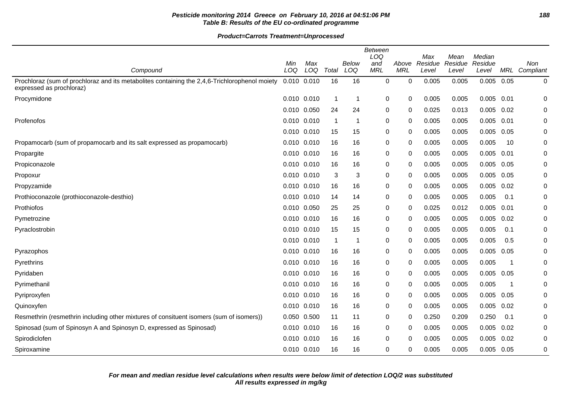## **Pesticide monitoring 2014 Greece on February 10, 2016 at 04:51:06 PM 188 Table B: Results of the EU co-ordinated programme**

|                                                                                                                           |             |            |       |              | Between<br>LOQ    |                     | Max     | Mean    | Median       |      |             |
|---------------------------------------------------------------------------------------------------------------------------|-------------|------------|-------|--------------|-------------------|---------------------|---------|---------|--------------|------|-------------|
| Compound                                                                                                                  | Min<br>LOQ  | Max<br>LOQ | Total | Below<br>LOQ | and<br><b>MRL</b> | Above<br><b>MRL</b> | Residue | Residue | Residue      | MRL  | Non         |
|                                                                                                                           |             |            |       |              |                   |                     | Level   | Level   | Level        |      | Compliant   |
| Prochloraz (sum of prochloraz and its metabolites containing the 2,4,6-Trichlorophenol moiety<br>expressed as prochloraz) | 0.010 0.010 |            | 16    | 16           | $\mathbf 0$       | $\Omega$            | 0.005   | 0.005   | $0.005$ 0.05 |      | 0           |
| Procymidone                                                                                                               | 0.010 0.010 |            | 1     | $\mathbf{1}$ | 0                 | 0                   | 0.005   | 0.005   | 0.005        | 0.01 | 0           |
|                                                                                                                           | 0.010 0.050 |            | 24    | 24           | 0                 | 0                   | 0.025   | 0.013   | $0.005$ 0.02 |      | $\mathbf 0$ |
| Profenofos                                                                                                                | 0.010 0.010 |            | -1    | $\mathbf{1}$ | 0                 | 0                   | 0.005   | 0.005   | 0.005        | 0.01 | 0           |
|                                                                                                                           | 0.010 0.010 |            | 15    | 15           | 0                 | $\mathbf 0$         | 0.005   | 0.005   | 0.005        | 0.05 | $\pmb{0}$   |
| Propamocarb (sum of propamocarb and its salt expressed as propamocarb)                                                    | 0.010 0.010 |            | 16    | 16           | 0                 | $\Omega$            | 0.005   | 0.005   | 0.005        | 10   | 0           |
| Propargite                                                                                                                | 0.010 0.010 |            | 16    | 16           | 0                 | 0                   | 0.005   | 0.005   | 0.005        | 0.01 | $\pmb{0}$   |
| Propiconazole                                                                                                             | 0.010 0.010 |            | 16    | 16           | 0                 | $\mathbf 0$         | 0.005   | 0.005   | 0.005        | 0.05 | 0           |
| Propoxur                                                                                                                  | 0.010 0.010 |            | 3     | 3            | 0                 | 0                   | 0.005   | 0.005   | $0.005$ 0.05 |      | 0           |
| Propyzamide                                                                                                               | 0.010 0.010 |            | 16    | 16           | 0                 | 0                   | 0.005   | 0.005   | 0.005        | 0.02 | 0           |
| Prothioconazole (prothioconazole-desthio)                                                                                 | 0.010 0.010 |            | 14    | 14           | 0                 | 0                   | 0.005   | 0.005   | 0.005        | 0.1  | 0           |
| Prothiofos                                                                                                                | 0.010 0.050 |            | 25    | 25           | 0                 | 0                   | 0.025   | 0.012   | 0.005        | 0.01 | 0           |
| Pymetrozine                                                                                                               | 0.010 0.010 |            | 16    | 16           | 0                 | $\mathbf 0$         | 0.005   | 0.005   | 0.005        | 0.02 | 0           |
| Pyraclostrobin                                                                                                            | 0.010 0.010 |            | 15    | 15           | 0                 | $\Omega$            | 0.005   | 0.005   | 0.005        | 0.1  | $\pmb{0}$   |
|                                                                                                                           | 0.010 0.010 |            | 1     | $\mathbf{1}$ | 0                 | $\mathbf 0$         | 0.005   | 0.005   | 0.005        | 0.5  | 0           |
| Pyrazophos                                                                                                                | 0.010 0.010 |            | 16    | 16           | 0                 | $\Omega$            | 0.005   | 0.005   | 0.005        | 0.05 | 0           |
| Pyrethrins                                                                                                                | 0.010 0.010 |            | 16    | 16           | 0                 | 0                   | 0.005   | 0.005   | 0.005        | -1   | 0           |
| Pyridaben                                                                                                                 | 0.010 0.010 |            | 16    | 16           | 0                 | 0                   | 0.005   | 0.005   | 0.005        | 0.05 | 0           |
| Pyrimethanil                                                                                                              | 0.010 0.010 |            | 16    | 16           | 0                 | $\Omega$            | 0.005   | 0.005   | 0.005        | -1   | 0           |
| Pyriproxyfen                                                                                                              | 0.010 0.010 |            | 16    | 16           | 0                 | 0                   | 0.005   | 0.005   | 0.005        | 0.05 | 0           |
| Quinoxyfen                                                                                                                | 0.010 0.010 |            | 16    | 16           | 0                 | 0                   | 0.005   | 0.005   | 0.005        | 0.02 | 0           |
| Resmethrin (resmethrin including other mixtures of consituent isomers (sum of isomers))                                   | 0.050 0.500 |            | 11    | 11           | 0                 | 0                   | 0.250   | 0.209   | 0.250        | 0.1  | 0           |
| Spinosad (sum of Spinosyn A and Spinosyn D, expressed as Spinosad)                                                        | 0.010 0.010 |            | 16    | 16           | 0                 | 0                   | 0.005   | 0.005   | 0.005        | 0.02 | 0           |
| Spirodiclofen                                                                                                             | 0.010 0.010 |            | 16    | 16           | 0                 | 0                   | 0.005   | 0.005   | 0.005        | 0.02 | 0           |
| Spiroxamine                                                                                                               | 0.010 0.010 |            | 16    | 16           | 0                 | $\Omega$            | 0.005   | 0.005   | $0.005$ 0.05 |      | 0           |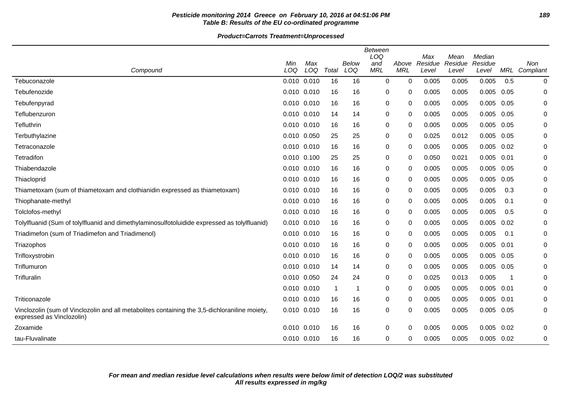## **Pesticide monitoring 2014 Greece on February 10, 2016 at 04:51:06 PM 189 Table B: Results of the EU co-ordinated programme**

#### **Product=Carrots Treatment=Unprocessed**

| Compound                                                                                                                   | Min<br>LOQ      | Max<br>LOQ | Total                   | Below<br>LOQ | <b>Between</b><br>LOQ<br>and<br><b>MRL</b> | Above<br><b>MRL</b> | Max<br>Residue<br>Level | Mean<br>Residue<br>Level | Median<br>Residue<br>Level | MRL  | <b>Non</b><br>Compliant |
|----------------------------------------------------------------------------------------------------------------------------|-----------------|------------|-------------------------|--------------|--------------------------------------------|---------------------|-------------------------|--------------------------|----------------------------|------|-------------------------|
| Tebuconazole                                                                                                               | 0.010 0.010     |            | 16                      | 16           | $\mathbf 0$                                | $\Omega$            | 0.005                   | 0.005                    | 0.005                      | 0.5  | 0                       |
| Tebufenozide                                                                                                               | 0.010           | 0.010      | 16                      | 16           | $\mathbf 0$                                | 0                   | 0.005                   | 0.005                    | 0.005                      | 0.05 | 0                       |
| Tebufenpyrad                                                                                                               | 0.010 0.010     |            | 16                      | 16           | 0                                          | 0                   | 0.005                   | 0.005                    | 0.005                      | 0.05 | 0                       |
| Teflubenzuron                                                                                                              | 0.010 0.010     |            | 14                      | 14           | 0                                          | 0                   | 0.005                   | 0.005                    | 0.005                      | 0.05 | 0                       |
| Tefluthrin                                                                                                                 | 0.010 0.010     |            | 16                      | 16           | $\mathbf 0$                                | 0                   | 0.005                   | 0.005                    | 0.005                      | 0.05 | 0                       |
| Terbuthylazine                                                                                                             | 0.010 0.050     |            | 25                      | 25           | 0                                          | 0                   | 0.025                   | 0.012                    | 0.005                      | 0.05 | 0                       |
| Tetraconazole                                                                                                              | $0.010$ $0.010$ |            | 16                      | 16           | 0                                          | 0                   | 0.005                   | 0.005                    | 0.005                      | 0.02 | 0                       |
| Tetradifon                                                                                                                 | 0.010 0.100     |            | 25                      | 25           | 0                                          | 0                   | 0.050                   | 0.021                    | 0.005                      | 0.01 | 0                       |
| Thiabendazole                                                                                                              | $0.010$ $0.010$ |            | 16                      | 16           | $\pmb{0}$                                  | $\Omega$            | 0.005                   | 0.005                    | 0.005                      | 0.05 | $\mathbf 0$             |
| Thiacloprid                                                                                                                | 0.010 0.010     |            | 16                      | 16           | 0                                          | $\Omega$            | 0.005                   | 0.005                    | 0.005                      | 0.05 | 0                       |
| Thiametoxam (sum of thiametoxam and clothianidin expressed as thiametoxam)                                                 | $0.010$ $0.010$ |            | 16                      | 16           | 0                                          | 0                   | 0.005                   | 0.005                    | 0.005                      | 0.3  | 0                       |
| Thiophanate-methyl                                                                                                         | $0.010$ $0.010$ |            | 16                      | 16           | 0                                          | 0                   | 0.005                   | 0.005                    | 0.005                      | 0.1  | 0                       |
| Tolclofos-methyl                                                                                                           | 0.010           | 0.010      | 16                      | 16           | 0                                          | 0                   | 0.005                   | 0.005                    | 0.005                      | 0.5  | 0                       |
| Tolylfluanid (Sum of tolylfluanid and dimethylaminosulfotoluidide expressed as tolylfluanid)                               | $0.010$ $0.010$ |            | 16                      | 16           | 0                                          | 0                   | 0.005                   | 0.005                    | 0.005                      | 0.02 | 0                       |
| Triadimefon (sum of Triadimefon and Triadimenol)                                                                           | 0.010 0.010     |            | 16                      | 16           | 0                                          | 0                   | 0.005                   | 0.005                    | 0.005                      | 0.1  | 0                       |
| Triazophos                                                                                                                 | 0.010           | 0.010      | 16                      | 16           | 0                                          | $\Omega$            | 0.005                   | 0.005                    | 0.005                      | 0.01 | 0                       |
| Trifloxystrobin                                                                                                            | 0.010 0.010     |            | 16                      | 16           | 0                                          | 0                   | 0.005                   | 0.005                    | 0.005                      | 0.05 | 0                       |
| Triflumuron                                                                                                                | 0.010 0.010     |            | 14                      | 14           | 0                                          | $\Omega$            | 0.005                   | 0.005                    | 0.005                      | 0.05 | 0                       |
| Trifluralin                                                                                                                | 0.010 0.050     |            | 24                      | 24           | 0                                          | 0                   | 0.025                   | 0.013                    | 0.005                      | - 1  | 0                       |
|                                                                                                                            | $0.010$ $0.010$ |            | $\overline{\mathbf{1}}$ | 1            | $\pmb{0}$                                  | $\Omega$            | 0.005                   | 0.005                    | 0.005                      | 0.01 | $\mathbf 0$             |
| Triticonazole                                                                                                              | 0.010 0.010     |            | 16                      | 16           | $\mathbf 0$                                | $\Omega$            | 0.005                   | 0.005                    | 0.005                      | 0.01 | 0                       |
| Vinclozolin (sum of Vinclozolin and all metabolites containing the 3,5-dichloraniline moiety,<br>expressed as Vinclozolin) | 0.010 0.010     |            | 16                      | 16           | $\mathbf 0$                                | $\Omega$            | 0.005                   | 0.005                    | 0.005                      | 0.05 | 0                       |
| Zoxamide                                                                                                                   | 0.010 0.010     |            | 16                      | 16           | 0                                          | 0                   | 0.005                   | 0.005                    | 0.005                      | 0.02 | 0                       |
| tau-Fluvalinate                                                                                                            | 0.010 0.010     |            | 16                      | 16           | 0                                          | 0                   | 0.005                   | 0.005                    | $0.005$ 0.02               |      | 0                       |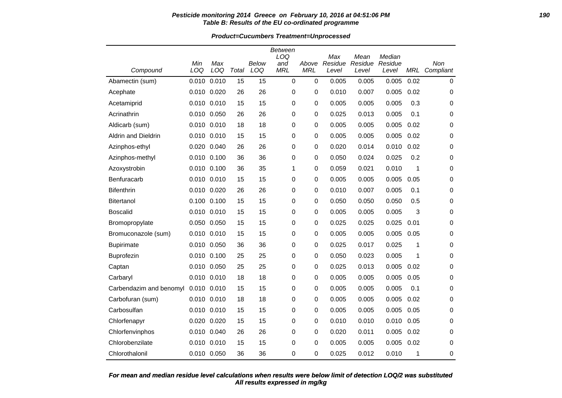#### **Pesticide monitoring 2014 Greece on February 10, 2016 at 04:51:06 PM 190 Table B: Results of the EU co-ordinated programme**

**Product=Cucumbers Treatment=Unprocessed**

|                         |             |             |       |       | <b>Between</b><br>LOQ |             |                |                 | Median  |            |             |
|-------------------------|-------------|-------------|-------|-------|-----------------------|-------------|----------------|-----------------|---------|------------|-------------|
|                         | Min         | Max         |       | Below | and                   | Above       | Max<br>Residue | Mean<br>Residue | Residue |            | Non         |
| Compound                | LOQ         | LOQ         | Total | LOQ   | <b>MRL</b>            | <b>MRL</b>  | Level          | Level           | Level   | <b>MRL</b> | Compliant   |
| Abamectin (sum)         | 0.010       | 0.010       | 15    | 15    | $\mathbf 0$           | $\mathbf 0$ | 0.005          | 0.005           | 0.005   | 0.02       | $\mathbf 0$ |
| Acephate                | 0.010 0.020 |             | 26    | 26    | 0                     | 0           | 0.010          | 0.007           | 0.005   | 0.02       | 0           |
| Acetamiprid             | 0.010 0.010 |             | 15    | 15    | 0                     | 0           | 0.005          | 0.005           | 0.005   | 0.3        | $\pmb{0}$   |
| Acrinathrin             | 0.010 0.050 |             | 26    | 26    | 0                     | 0           | 0.025          | 0.013           | 0.005   | 0.1        | 0           |
| Aldicarb (sum)          | 0.010 0.010 |             | 18    | 18    | 0                     | $\pmb{0}$   | 0.005          | 0.005           | 0.005   | 0.02       | 0           |
| Aldrin and Dieldrin     | 0.010 0.010 |             | 15    | 15    | 0                     | $\pmb{0}$   | 0.005          | 0.005           | 0.005   | 0.02       | 0           |
| Azinphos-ethyl          | 0.020 0.040 |             | 26    | 26    | 0                     | 0           | 0.020          | 0.014           | 0.010   | 0.02       | 0           |
| Azinphos-methyl         | 0.010       | 0.100       | 36    | 36    | 0                     | 0           | 0.050          | 0.024           | 0.025   | 0.2        | 0           |
| Azoxystrobin            | 0.010 0.100 |             | 36    | 35    | 1                     | 0           | 0.059          | 0.021           | 0.010   | 1          | 0           |
| Benfuracarb             | 0.010 0.010 |             | 15    | 15    | 0                     | $\mathbf 0$ | 0.005          | 0.005           | 0.005   | 0.05       | 0           |
| <b>Bifenthrin</b>       | 0.010 0.020 |             | 26    | 26    | 0                     | $\pmb{0}$   | 0.010          | 0.007           | 0.005   | 0.1        | $\mathbf 0$ |
| Bitertanol              | 0.100 0.100 |             | 15    | 15    | 0                     | $\mathbf 0$ | 0.050          | 0.050           | 0.050   | 0.5        | 0           |
| <b>Boscalid</b>         | 0.010       | 0.010       | 15    | 15    | 0                     | 0           | 0.005          | 0.005           | 0.005   | 3          | 0           |
| Bromopropylate          | 0.050 0.050 |             | 15    | 15    | 0                     | $\mathbf 0$ | 0.025          | 0.025           | 0.025   | 0.01       | 0           |
| Bromuconazole (sum)     | 0.010 0.010 |             | 15    | 15    | 0                     | $\mathbf 0$ | 0.005          | 0.005           | 0.005   | 0.05       | 0           |
| <b>Bupirimate</b>       | 0.010 0.050 |             | 36    | 36    | 0                     | 0           | 0.025          | 0.017           | 0.025   | 1          | 0           |
| Buprofezin              | 0.010 0.100 |             | 25    | 25    | 0                     | 0           | 0.050          | 0.023           | 0.005   | 1          | 0           |
| Captan                  | 0.010 0.050 |             | 25    | 25    | 0                     | 0           | 0.025          | 0.013           | 0.005   | 0.02       | 0           |
| Carbaryl                | 0.010 0.010 |             | 18    | 18    | 0                     | $\mathbf 0$ | 0.005          | 0.005           | 0.005   | 0.05       | 0           |
| Carbendazim and benomyl | 0.010       | 0.010       | 15    | 15    | $\mathbf 0$           | 0           | 0.005          | 0.005           | 0.005   | 0.1        | $\mathbf 0$ |
| Carbofuran (sum)        | 0.010 0.010 |             | 18    | 18    | 0                     | $\mathbf 0$ | 0.005          | 0.005           | 0.005   | 0.02       | $\mathbf 0$ |
| Carbosulfan             | 0.010 0.010 |             | 15    | 15    | 0                     | $\mathbf 0$ | 0.005          | 0.005           | 0.005   | 0.05       | 0           |
| Chlorfenapyr            | 0.020       | 0.020       | 15    | 15    | 0                     | $\pmb{0}$   | 0.010          | 0.010           | 0.010   | 0.05       | 0           |
| Chlorfenvinphos         | 0.010 0.040 |             | 26    | 26    | 0                     | $\mathbf 0$ | 0.020          | 0.011           | 0.005   | 0.02       | $\mathbf 0$ |
| Chlorobenzilate         | 0.010 0.010 |             | 15    | 15    | 0                     | 0           | 0.005          | 0.005           | 0.005   | 0.02       | 0           |
| Chlorothalonil          |             | 0.010 0.050 | 36    | 36    | 0                     | $\mathbf 0$ | 0.025          | 0.012           | 0.010   | 1          | 0           |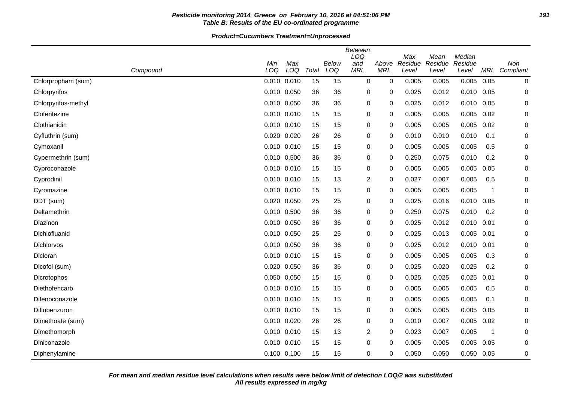## **Pesticide monitoring 2014 Greece on February 10, 2016 at 04:51:06 PM 191 Table B: Results of the EU co-ordinated programme**

|                     |             |             |       |       | <b>Between</b> |            |                |                 |                   |      |               |
|---------------------|-------------|-------------|-------|-------|----------------|------------|----------------|-----------------|-------------------|------|---------------|
|                     | Min         | Max         |       | Below | LOQ<br>and     | Above      | Max<br>Residue | Mean<br>Residue | Median<br>Residue |      | Non           |
| Compound            | LOQ         | LOQ         | Total | LOQ   | <b>MRL</b>     | <b>MRL</b> | Level          | Level           | Level             |      | MRL Compliant |
| Chlorpropham (sum)  | 0.010 0.010 |             | 15    | 15    | 0              | 0          | 0.005          | 0.005           | 0.005             | 0.05 | 0             |
| Chlorpyrifos        | 0.010 0.050 |             | 36    | 36    | 0              | 0          | 0.025          | 0.012           | $0.010$ $0.05$    |      | 0             |
| Chlorpyrifos-methyl | 0.010 0.050 |             | 36    | 36    | 0              | 0          | 0.025          | 0.012           | 0.010             | 0.05 | 0             |
| Clofentezine        | 0.010 0.010 |             | 15    | 15    | 0              | 0          | 0.005          | 0.005           | 0.005             | 0.02 | 0             |
| Clothianidin        | 0.010 0.010 |             | 15    | 15    | 0              | 0          | 0.005          | 0.005           | 0.005             | 0.02 | 0             |
| Cyfluthrin (sum)    | 0.020 0.020 |             | 26    | 26    | 0              | 0          | 0.010          | 0.010           | 0.010             | 0.1  | 0             |
| Cymoxanil           | 0.010 0.010 |             | 15    | 15    | 0              | 0          | 0.005          | 0.005           | 0.005             | 0.5  | 0             |
| Cypermethrin (sum)  | 0.010 0.500 |             | 36    | 36    | 0              | 0          | 0.250          | 0.075           | 0.010             | 0.2  | 0             |
| Cyproconazole       | 0.010 0.010 |             | 15    | 15    | 0              | 0          | 0.005          | 0.005           | 0.005             | 0.05 | $\mathbf 0$   |
| Cyprodinil          | 0.010 0.010 |             | 15    | 13    | $\overline{2}$ | 0          | 0.027          | 0.007           | 0.005             | 0.5  | $\mathbf 0$   |
| Cyromazine          | 0.010 0.010 |             | 15    | 15    | 0              | 0          | 0.005          | 0.005           | 0.005             | 1    | $\mathbf 0$   |
| DDT (sum)           | 0.020 0.050 |             | 25    | 25    | 0              | 0          | 0.025          | 0.016           | 0.010             | 0.05 | $\mathbf 0$   |
| Deltamethrin        | 0.010 0.500 |             | 36    | 36    | 0              | 0          | 0.250          | 0.075           | 0.010             | 0.2  | $\mathbf 0$   |
| Diazinon            | 0.010 0.050 |             | 36    | 36    | 0              | 0          | 0.025          | 0.012           | 0.010             | 0.01 | $\mathbf 0$   |
| Dichlofluanid       | 0.010 0.050 |             | 25    | 25    | 0              | 0          | 0.025          | 0.013           | 0.005             | 0.01 | $\mathbf 0$   |
| Dichlorvos          | 0.010 0.050 |             | 36    | 36    | 0              | 0          | 0.025          | 0.012           | 0.010             | 0.01 | 0             |
| Dicloran            | 0.010 0.010 |             | 15    | 15    | 0              | 0          | 0.005          | 0.005           | 0.005             | 0.3  | $\mathbf 0$   |
| Dicofol (sum)       |             | 0.020 0.050 | 36    | 36    | 0              | 0          | 0.025          | 0.020           | 0.025             | 0.2  | $\mathbf 0$   |
| Dicrotophos         | 0.050 0.050 |             | 15    | 15    | 0              | 0          | 0.025          | 0.025           | 0.025             | 0.01 | $\mathbf 0$   |
| Diethofencarb       | 0.010 0.010 |             | 15    | 15    | 0              | 0          | 0.005          | 0.005           | 0.005             | 0.5  | $\mathbf 0$   |
| Difenoconazole      |             | 0.010 0.010 | 15    | 15    | 0              | 0          | 0.005          | 0.005           | 0.005             | 0.1  | $\mathbf 0$   |
| Diflubenzuron       | 0.010 0.010 |             | 15    | 15    | 0              | 0          | 0.005          | 0.005           | 0.005             | 0.05 | $\mathbf 0$   |
| Dimethoate (sum)    | 0.010 0.020 |             | 26    | 26    | 0              | 0          | 0.010          | 0.007           | 0.005             | 0.02 | $\mathbf 0$   |
| Dimethomorph        | 0.010 0.010 |             | 15    | 13    | 2              | 0          | 0.023          | 0.007           | 0.005             | 1    | $\mathbf 0$   |
| Diniconazole        | 0.010 0.010 |             | 15    | 15    | 0              | 0          | 0.005          | 0.005           | 0.005             | 0.05 | $\mathbf 0$   |
| Diphenylamine       | 0.100 0.100 |             | 15    | 15    | 0              | 0          | 0.050          | 0.050           | 0.050 0.05        |      | 0             |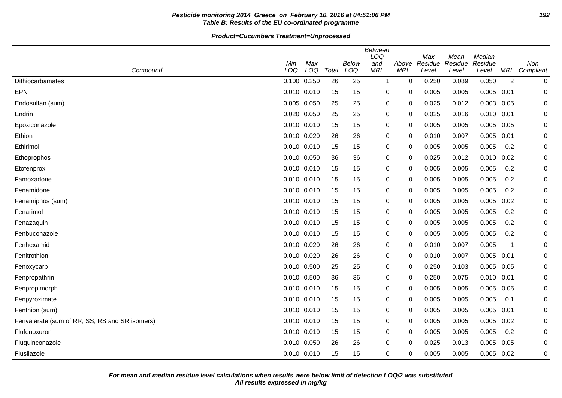## **Pesticide monitoring 2014 Greece on February 10, 2016 at 04:51:06 PM 192 Table B: Results of the EU co-ordinated programme**

|                                                |             |     |       |       | <b>Between</b> |            |                |                 |                   |                |             |
|------------------------------------------------|-------------|-----|-------|-------|----------------|------------|----------------|-----------------|-------------------|----------------|-------------|
|                                                | Min         | Max |       | Below | LOQ<br>and     | Above      | Max<br>Residue | Mean<br>Residue | Median<br>Residue |                | Non         |
| Compound                                       | LOQ         | LOQ | Total | LOQ   | <b>MRL</b>     | <b>MRL</b> | Level          | Level           | Level             | MRL            | Compliant   |
| Dithiocarbamates                               | 0.100 0.250 |     | 26    | 25    | 1              | 0          | 0.250          | 0.089           | 0.050             | $\overline{2}$ | 0           |
| <b>EPN</b>                                     | 0.010 0.010 |     | 15    | 15    | 0              | 0          | 0.005          | 0.005           | 0.005             | 0.01           | $\mathbf 0$ |
| Endosulfan (sum)                               | 0.005 0.050 |     | 25    | 25    | 0              | 0          | 0.025          | 0.012           | 0.003             | 0.05           | $\mathbf 0$ |
| Endrin                                         | 0.020 0.050 |     | 25    | 25    | 0              | 0          | 0.025          | 0.016           | $0.010$ $0.01$    |                | $\mathbf 0$ |
| Epoxiconazole                                  | 0.010 0.010 |     | 15    | 15    | 0              | 0          | 0.005          | 0.005           | 0.005             | 0.05           | 0           |
| Ethion                                         | 0.010 0.020 |     | 26    | 26    | 0              | 0          | 0.010          | 0.007           | 0.005             | 0.01           | 0           |
| Ethirimol                                      | 0.010 0.010 |     | 15    | 15    | 0              | 0          | 0.005          | 0.005           | 0.005             | 0.2            | 0           |
| Ethoprophos                                    | 0.010 0.050 |     | 36    | 36    | 0              | 0          | 0.025          | 0.012           | 0.010             | 0.02           | $\mathbf 0$ |
| Etofenprox                                     | 0.010 0.010 |     | 15    | 15    | 0              | 0          | 0.005          | 0.005           | 0.005             | 0.2            | 0           |
| Famoxadone                                     | 0.010 0.010 |     | 15    | 15    | 0              | 0          | 0.005          | 0.005           | 0.005             | 0.2            | 0           |
| Fenamidone                                     | 0.010 0.010 |     | 15    | 15    | 0              | 0          | 0.005          | 0.005           | 0.005             | 0.2            | 0           |
| Fenamiphos (sum)                               | 0.010 0.010 |     | 15    | 15    | 0              | 0          | 0.005          | 0.005           | 0.005             | 0.02           | 0           |
| Fenarimol                                      | 0.010 0.010 |     | 15    | 15    | 0              | 0          | 0.005          | 0.005           | 0.005             | 0.2            | $\mathbf 0$ |
| Fenazaquin                                     | 0.010 0.010 |     | 15    | 15    | 0              | 0          | 0.005          | 0.005           | 0.005             | 0.2            | 0           |
| Fenbuconazole                                  | 0.010 0.010 |     | 15    | 15    | 0              | 0          | 0.005          | 0.005           | 0.005             | 0.2            | 0           |
| Fenhexamid                                     | 0.010 0.020 |     | 26    | 26    | 0              | $\Omega$   | 0.010          | 0.007           | 0.005             | -1             | 0           |
| Fenitrothion                                   | 0.010 0.020 |     | 26    | 26    | 0              | 0          | 0.010          | 0.007           | 0.005             | 0.01           | 0           |
| Fenoxycarb                                     | 0.010 0.500 |     | 25    | 25    | 0              | $\Omega$   | 0.250          | 0.103           | 0.005             | 0.05           | 0           |
| Fenpropathrin                                  | 0.010 0.500 |     | 36    | 36    | 0              | $\Omega$   | 0.250          | 0.075           | $0.010$ $0.01$    |                | 0           |
| Fenpropimorph                                  | 0.010 0.010 |     | 15    | 15    | 0              | 0          | 0.005          | 0.005           | 0.005             | 0.05           | 0           |
| Fenpyroximate                                  | 0.010 0.010 |     | 15    | 15    | 0              | 0          | 0.005          | 0.005           | 0.005             | 0.1            | $\mathbf 0$ |
| Fenthion (sum)                                 | 0.010 0.010 |     | 15    | 15    | 0              | 0          | 0.005          | 0.005           | 0.005             | 0.01           | 0           |
| Fenvalerate (sum of RR, SS, RS and SR isomers) | 0.010 0.010 |     | 15    | 15    | 0              | $\Omega$   | 0.005          | 0.005           | 0.005             | 0.02           | 0           |
| Flufenoxuron                                   | 0.010 0.010 |     | 15    | 15    | 0              | 0          | 0.005          | 0.005           | 0.005             | 0.2            | 0           |
| Fluquinconazole                                | 0.010 0.050 |     | 26    | 26    | 0              | 0          | 0.025          | 0.013           | 0.005             | 0.05           | 0           |
| Flusilazole                                    | 0.010 0.010 |     | 15    | 15    | 0              | 0          | 0.005          | 0.005           | 0.005             | 0.02           | 0           |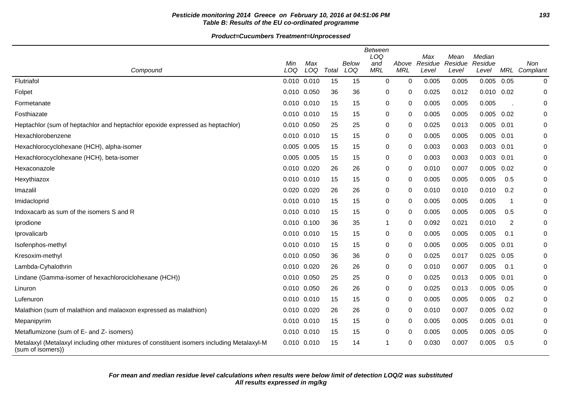## Pesticide monitoring 2014 Greece on February 10, 2016 at 04:51:06 PM **Table B: Results of the EU co-ordinated programme**

|                                                                                                                 | Min             | Max |       | Below | Between<br>LOQ<br>and | Above       | Max<br>Residue | Mean<br>Residue | Median<br>Residue |                          | Non              |
|-----------------------------------------------------------------------------------------------------------------|-----------------|-----|-------|-------|-----------------------|-------------|----------------|-----------------|-------------------|--------------------------|------------------|
| Compound                                                                                                        | LOQ             | LOQ | Total | LOQ   | <b>MRL</b>            | <b>MRL</b>  | Level          | Level           | Level             | MRL                      | Compliant        |
| Flutriafol                                                                                                      | $0.010$ $0.010$ |     | 15    | 15    | $\mathbf 0$           | $\mathbf 0$ | 0.005          | 0.005           | 0.005             | 0.05                     | $\pmb{0}$        |
| Folpet                                                                                                          | 0.010 0.050     |     | 36    | 36    | 0                     | 0           | 0.025          | 0.012           | $0.010$ $0.02$    |                          | 0                |
| Formetanate                                                                                                     | 0.010 0.010     |     | 15    | 15    | $\pmb{0}$             | 0           | 0.005          | 0.005           | 0.005             |                          | 0                |
| Fosthiazate                                                                                                     | 0.010 0.010     |     | 15    | 15    | 0                     | 0           | 0.005          | 0.005           | 0.005             | 0.02                     | 0                |
| Heptachlor (sum of heptachlor and heptachlor epoxide expressed as heptachlor)                                   | 0.010 0.050     |     | 25    | 25    | 0                     | 0           | 0.025          | 0.013           | $0.005$ 0.01      |                          | 0                |
| Hexachlorobenzene                                                                                               | 0.010 0.010     |     | 15    | 15    | 0                     | 0           | 0.005          | 0.005           | 0.005             | 0.01                     | 0                |
| Hexachlorocyclohexane (HCH), alpha-isomer                                                                       | 0.005 0.005     |     | 15    | 15    | $\pmb{0}$             | 0           | 0.003          | 0.003           | 0.003             | 0.01                     | 0                |
| Hexachlorocyclohexane (HCH), beta-isomer                                                                        | 0.005 0.005     |     | 15    | 15    | 0                     | 0           | 0.003          | 0.003           | $0.003$ $0.01$    |                          | $\mathbf 0$      |
| Hexaconazole                                                                                                    | 0.010 0.020     |     | 26    | 26    | 0                     | 0           | 0.010          | 0.007           | 0.005             | 0.02                     | 0                |
| Hexythiazox                                                                                                     | 0.010 0.010     |     | 15    | 15    | 0                     | $\Omega$    | 0.005          | 0.005           | 0.005             | 0.5                      | 0                |
| Imazalil                                                                                                        | 0.020 0.020     |     | 26    | 26    | 0                     | 0           | 0.010          | 0.010           | 0.010             | 0.2                      | 0                |
| Imidacloprid                                                                                                    | 0.010 0.010     |     | 15    | 15    | $\pmb{0}$             | 0           | 0.005          | 0.005           | 0.005             | $\overline{\phantom{a}}$ | $\boldsymbol{0}$ |
| Indoxacarb as sum of the isomers S and R                                                                        | $0.010$ $0.010$ |     | 15    | 15    | 0                     | 0           | 0.005          | 0.005           | 0.005             | 0.5                      | 0                |
| Iprodione                                                                                                       | $0.010$ $0.100$ |     | 36    | 35    | -1                    | 0           | 0.092          | 0.021           | 0.010             | 2                        | 0                |
| Iprovalicarb                                                                                                    | 0.010 0.010     |     | 15    | 15    | 0                     | 0           | 0.005          | 0.005           | 0.005             | 0.1                      | 0                |
| Isofenphos-methyl                                                                                               | 0.010 0.010     |     | 15    | 15    | 0                     | 0           | 0.005          | 0.005           | 0.005             | 0.01                     | 0                |
| Kresoxim-methyl                                                                                                 | 0.010 0.050     |     | 36    | 36    | 0                     | 0           | 0.025          | 0.017           | 0.025             | 0.05                     | 0                |
| Lambda-Cyhalothrin                                                                                              | 0.010 0.020     |     | 26    | 26    | $\pmb{0}$             | 0           | 0.010          | 0.007           | 0.005             | 0.1                      | 0                |
| Lindane (Gamma-isomer of hexachlorociclohexane (HCH))                                                           | 0.010 0.050     |     | 25    | 25    | 0                     | 0           | 0.025          | 0.013           | 0.005             | 0.01                     | 0                |
| Linuron                                                                                                         | 0.010 0.050     |     | 26    | 26    | 0                     | 0           | 0.025          | 0.013           | 0.005             | 0.05                     | 0                |
| Lufenuron                                                                                                       | $0.010$ $0.010$ |     | 15    | 15    | 0                     | 0           | 0.005          | 0.005           | 0.005             | 0.2                      | 0                |
| Malathion (sum of malathion and malaoxon expressed as malathion)                                                | 0.010 0.020     |     | 26    | 26    | 0                     | 0           | 0.010          | 0.007           | 0.005             | 0.02                     | 0                |
| Mepanipyrim                                                                                                     | 0.010 0.010     |     | 15    | 15    | 0                     | 0           | 0.005          | 0.005           | 0.005             | 0.01                     | $\mathbf 0$      |
| Metaflumizone (sum of E- and Z- isomers)                                                                        | $0.010$ $0.010$ |     | 15    | 15    | 0                     | 0           | 0.005          | 0.005           | 0.005             | 0.05                     | 0                |
| Metalaxyl (Metalaxyl including other mixtures of constituent isomers including Metalaxyl-M<br>(sum of isomers)) | 0.010 0.010     |     | 15    | 14    | -1                    | 0           | 0.030          | 0.007           | 0.005             | 0.5                      | $\mathbf 0$      |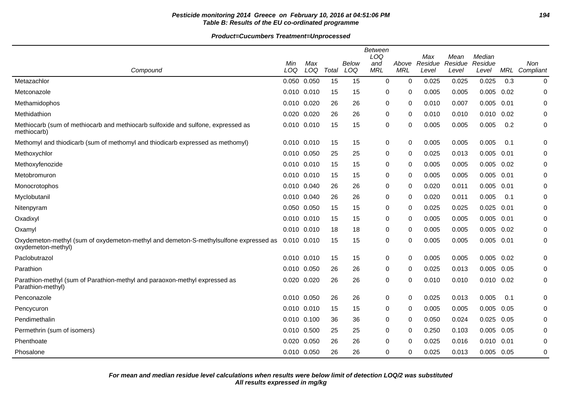## **Pesticide monitoring 2014 Greece on February 10, 2016 at 04:51:06 PM 194 Table B: Results of the EU co-ordinated programme**

|                                                                                                            | Min         | Max   |       | Below | <b>Between</b><br>LOQ<br>and | Above      | Max<br>Residue | Mean<br>Residue | Median<br>Residue |      | Non              |
|------------------------------------------------------------------------------------------------------------|-------------|-------|-------|-------|------------------------------|------------|----------------|-----------------|-------------------|------|------------------|
| Compound                                                                                                   | LOQ         | LOQ   | Total | LOQ   | <b>MRL</b>                   | <b>MRL</b> | Level          | Level           | Level             |      | MRL Compliant    |
| Metazachlor                                                                                                | 0.050 0.050 |       | 15    | 15    | $\mathbf 0$                  | 0          | 0.025          | 0.025           | 0.025             | 0.3  | $\boldsymbol{0}$ |
| Metconazole                                                                                                | 0.010 0.010 |       | 15    | 15    | 0                            | 0          | 0.005          | 0.005           | 0.005             | 0.02 | $\mathbf 0$      |
| Methamidophos                                                                                              | 0.010 0.020 |       | 26    | 26    | 0                            | 0          | 0.010          | 0.007           | 0.005             | 0.01 | 0                |
| Methidathion                                                                                               | 0.020 0.020 |       | 26    | 26    | 0                            | 0          | 0.010          | 0.010           | 0.010             | 0.02 | 0                |
| Methiocarb (sum of methiocarb and methiocarb sulfoxide and sulfone, expressed as<br>methiocarb)            | 0.010 0.010 |       | 15    | 15    | 0                            | 0          | 0.005          | 0.005           | 0.005             | 0.2  | 0                |
| Methomyl and thiodicarb (sum of methomyl and thiodicarb expressed as methomyl)                             | 0.010 0.010 |       | 15    | 15    | 0                            | 0          | 0.005          | 0.005           | 0.005             | 0.1  | 0                |
| Methoxychlor                                                                                               | 0.010 0.050 |       | 25    | 25    | 0                            | 0          | 0.025          | 0.013           | 0.005             | 0.01 | 0                |
| Methoxyfenozide                                                                                            | 0.010 0.010 |       | 15    | 15    | 0                            | 0          | 0.005          | 0.005           | 0.005             | 0.02 | 0                |
| Metobromuron                                                                                               | 0.010 0.010 |       | 15    | 15    | 0                            | 0          | 0.005          | 0.005           | 0.005             | 0.01 | 0                |
| Monocrotophos                                                                                              | 0.010 0.040 |       | 26    | 26    | 0                            | 0          | 0.020          | 0.011           | 0.005             | 0.01 | 0                |
| Myclobutanil                                                                                               | 0.010 0.040 |       | 26    | 26    | 0                            | 0          | 0.020          | 0.011           | 0.005             | 0.1  | 0                |
| Nitenpyram                                                                                                 | 0.050 0.050 |       | 15    | 15    | 0                            | 0          | 0.025          | 0.025           | 0.025             | 0.01 | 0                |
| Oxadixyl                                                                                                   | 0.010 0.010 |       | 15    | 15    | 0                            | 0          | 0.005          | 0.005           | 0.005             | 0.01 | 0                |
| Oxamyl                                                                                                     | 0.010 0.010 |       | 18    | 18    | 0                            | 0          | 0.005          | 0.005           | 0.005             | 0.02 | 0                |
| Oxydemeton-methyl (sum of oxydemeton-methyl and demeton-S-methylsulfone expressed as<br>oxydemeton-methyl) | 0.010 0.010 |       | 15    | 15    | $\mathbf 0$                  | 0          | 0.005          | 0.005           | 0.005             | 0.01 | 0                |
| Paclobutrazol                                                                                              | 0.010 0.010 |       | 15    | 15    | 0                            | 0          | 0.005          | 0.005           | 0.005             | 0.02 | 0                |
| Parathion                                                                                                  | 0.010 0.050 |       | 26    | 26    | 0                            | 0          | 0.025          | 0.013           | 0.005             | 0.05 | 0                |
| Parathion-methyl (sum of Parathion-methyl and paraoxon-methyl expressed as<br>Parathion-methyl)            | 0.020 0.020 |       | 26    | 26    | 0                            | 0          | 0.010          | 0.010           | $0.010$ $0.02$    |      | 0                |
| Penconazole                                                                                                | 0.010 0.050 |       | 26    | 26    | 0                            | 0          | 0.025          | 0.013           | 0.005             | 0.1  | 0                |
| Pencycuron                                                                                                 | 0.010 0.010 |       | 15    | 15    | 0                            | 0          | 0.005          | 0.005           | 0.005             | 0.05 | 0                |
| Pendimethalin                                                                                              | 0.010 0.100 |       | 36    | 36    | 0                            | 0          | 0.050          | 0.024           | 0.025             | 0.05 | 0                |
| Permethrin (sum of isomers)                                                                                | 0.010 0.500 |       | 25    | 25    | $\mathbf 0$                  | 0          | 0.250          | 0.103           | 0.005             | 0.05 | $\mathbf 0$      |
| Phenthoate                                                                                                 | 0.020       | 0.050 | 26    | 26    | 0                            | 0          | 0.025          | 0.016           | 0.010             | 0.01 | 0                |
| Phosalone                                                                                                  | 0.010 0.050 |       | 26    | 26    | 0                            | 0          | 0.025          | 0.013           | $0.005$ 0.05      |      | $\mathbf 0$      |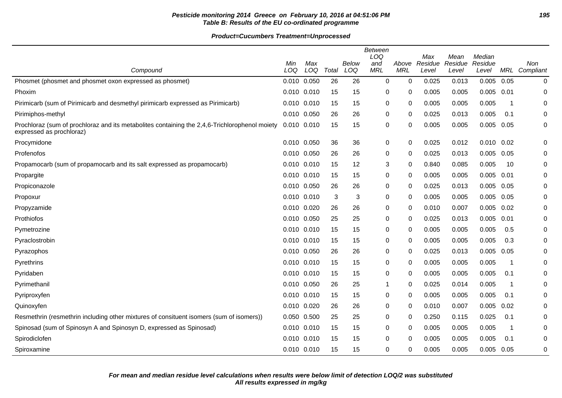## **Pesticide monitoring 2014 Greece on February 10, 2016 at 04:51:06 PM 195 Table B: Results of the EU co-ordinated programme**

| Compound                                                                                                                  | Min<br>LOQ      | Max<br>LOQ | Total | Below<br>LOQ | Between<br>LOQ<br>and<br><b>MRL</b> | Above<br><b>MRL</b> | Max<br>Residue<br>Level | Mean<br>Residue<br>Level | Median<br>Residue<br>Level | MRL                     | <b>Non</b><br>Compliant |
|---------------------------------------------------------------------------------------------------------------------------|-----------------|------------|-------|--------------|-------------------------------------|---------------------|-------------------------|--------------------------|----------------------------|-------------------------|-------------------------|
| Phosmet (phosmet and phosmet oxon expressed as phosmet)                                                                   | 0.010 0.050     |            | 26    | 26           | $\mathbf 0$                         | $\mathbf 0$         | 0.025                   | 0.013                    | 0.005                      | 0.05                    | 0                       |
| Phoxim                                                                                                                    | $0.010$ $0.010$ |            | 15    | 15           | 0                                   | 0                   | 0.005                   | 0.005                    | 0.005                      | 0.01                    | 0                       |
| Pirimicarb (sum of Pirimicarb and desmethyl pirimicarb expressed as Pirimicarb)                                           | 0.010 0.010     |            | 15    | 15           | 0                                   | 0                   | 0.005                   | 0.005                    | 0.005                      | - 1                     | 0                       |
| Pirimiphos-methyl                                                                                                         | 0.010 0.050     |            | 26    | 26           | 0                                   | 0                   | 0.025                   | 0.013                    | 0.005                      | 0.1                     | 0                       |
| Prochloraz (sum of prochloraz and its metabolites containing the 2,4,6-Trichlorophenol moiety<br>expressed as prochloraz) | 0.010 0.010     |            | 15    | 15           | $\pmb{0}$                           | 0                   | 0.005                   | 0.005                    | 0.005                      | 0.05                    | 0                       |
| Procymidone                                                                                                               | 0.010 0.050     |            | 36    | 36           | 0                                   | 0                   | 0.025                   | 0.012                    | $0.010$ $0.02$             |                         | 0                       |
| Profenofos                                                                                                                | 0.010 0.050     |            | 26    | 26           | 0                                   | 0                   | 0.025                   | 0.013                    | 0.005                      | 0.05                    | 0                       |
| Propamocarb (sum of propamocarb and its salt expressed as propamocarb)                                                    | $0.010$ $0.010$ |            | 15    | 12           | 3                                   | $\Omega$            | 0.840                   | 0.085                    | 0.005                      | 10                      | 0                       |
| Propargite                                                                                                                | 0.010 0.010     |            | 15    | 15           | 0                                   | 0                   | 0.005                   | 0.005                    | 0.005                      | 0.01                    | 0                       |
| Propiconazole                                                                                                             | 0.010 0.050     |            | 26    | 26           | 0                                   | 0                   | 0.025                   | 0.013                    | 0.005                      | 0.05                    | 0                       |
| Propoxur                                                                                                                  | 0.010 0.010     |            | 3     | 3            | 0                                   | 0                   | 0.005                   | 0.005                    | 0.005                      | 0.05                    | 0                       |
| Propyzamide                                                                                                               | $0.010$ $0.020$ |            | 26    | 26           | 0                                   | 0                   | 0.010                   | 0.007                    | 0.005                      | 0.02                    | 0                       |
| Prothiofos                                                                                                                | 0.010 0.050     |            | 25    | 25           | 0                                   | 0                   | 0.025                   | 0.013                    | 0.005                      | 0.01                    | 0                       |
| Pymetrozine                                                                                                               | $0.010$ $0.010$ |            | 15    | 15           | 0                                   | $\Omega$            | 0.005                   | 0.005                    | 0.005                      | 0.5                     | 0                       |
| Pyraclostrobin                                                                                                            | 0.010 0.010     |            | 15    | 15           | 0                                   | 0                   | 0.005                   | 0.005                    | 0.005                      | 0.3                     | 0                       |
| Pyrazophos                                                                                                                | 0.010 0.050     |            | 26    | 26           | 0                                   | $\Omega$            | 0.025                   | 0.013                    | 0.005                      | 0.05                    | 0                       |
| Pyrethrins                                                                                                                | 0.010 0.010     |            | 15    | 15           | 0                                   | 0                   | 0.005                   | 0.005                    | 0.005                      | -1                      | 0                       |
| Pyridaben                                                                                                                 | $0.010$ $0.010$ |            | 15    | 15           | 0                                   | 0                   | 0.005                   | 0.005                    | 0.005                      | 0.1                     | 0                       |
| Pyrimethanil                                                                                                              | 0.010 0.050     |            | 26    | 25           | $\mathbf 1$                         | 0                   | 0.025                   | 0.014                    | 0.005                      | $\overline{\mathbf{1}}$ | 0                       |
| Pyriproxyfen                                                                                                              | $0.010$ $0.010$ |            | 15    | 15           | 0                                   | 0                   | 0.005                   | 0.005                    | 0.005                      | 0.1                     | 0                       |
| Quinoxyfen                                                                                                                | 0.010 0.020     |            | 26    | 26           | 0                                   | 0                   | 0.010                   | 0.007                    | 0.005                      | 0.02                    | 0                       |
| Resmethrin (resmethrin including other mixtures of consituent isomers (sum of isomers))                                   | 0.050 0.500     |            | 25    | 25           | $\pmb{0}$                           | 0                   | 0.250                   | 0.115                    | 0.025                      | 0.1                     | 0                       |
| Spinosad (sum of Spinosyn A and Spinosyn D, expressed as Spinosad)                                                        | 0.010 0.010     |            | 15    | 15           | 0                                   | 0                   | 0.005                   | 0.005                    | 0.005                      | -1                      | 0                       |
| Spirodiclofen                                                                                                             | $0.010$ $0.010$ |            | 15    | 15           | $\pmb{0}$                           | $\Omega$            | 0.005                   | 0.005                    | 0.005                      | 0.1                     | 0                       |
| Spiroxamine                                                                                                               | 0.010 0.010     |            | 15    | 15           | 0                                   | 0                   | 0.005                   | 0.005                    | 0.005                      | 0.05                    | 0                       |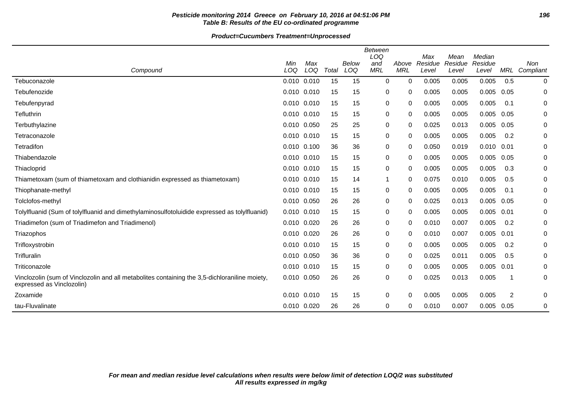## **Pesticide monitoring 2014 Greece on February 10, 2016 at 04:51:06 PM 196 Table B: Results of the EU co-ordinated programme**

| Compound                                                                                                                   | Min<br>LOQ      | Max<br>LOQ | Total | Below<br>LOQ | <b>Between</b><br>LOQ<br>and<br><b>MRL</b> | Above<br><b>MRL</b> | Max<br>Residue<br>Level | Mean<br>Residue<br>Level | Median<br>Residue<br>Level | MRL  | Non<br>Compliant |
|----------------------------------------------------------------------------------------------------------------------------|-----------------|------------|-------|--------------|--------------------------------------------|---------------------|-------------------------|--------------------------|----------------------------|------|------------------|
| Tebuconazole                                                                                                               | 0.010 0.010     |            | 15    | 15           | 0                                          | 0                   | 0.005                   | 0.005                    | 0.005                      | 0.5  | 0                |
| Tebufenozide                                                                                                               | 0.010 0.010     |            | 15    | 15           | 0                                          | 0                   | 0.005                   | 0.005                    | 0.005                      | 0.05 | 0                |
| Tebufenpyrad                                                                                                               | $0.010$ $0.010$ |            | 15    | 15           | 0                                          | 0                   | 0.005                   | 0.005                    | 0.005                      | 0.1  | 0                |
| Tefluthrin                                                                                                                 | 0.010 0.010     |            | 15    | 15           | 0                                          | 0                   | 0.005                   | 0.005                    | 0.005                      | 0.05 | 0                |
| Terbuthylazine                                                                                                             | 0.010 0.050     |            | 25    | 25           | 0                                          | 0                   | 0.025                   | 0.013                    | 0.005                      | 0.05 | 0                |
| Tetraconazole                                                                                                              | 0.010 0.010     |            | 15    | 15           | 0                                          | 0                   | 0.005                   | 0.005                    | 0.005                      | 0.2  | 0                |
| Tetradifon                                                                                                                 | 0.010 0.100     |            | 36    | 36           | 0                                          | 0                   | 0.050                   | 0.019                    | 0.010                      | 0.01 | 0                |
| Thiabendazole                                                                                                              | 0.010 0.010     |            | 15    | 15           | 0                                          | 0                   | 0.005                   | 0.005                    | 0.005                      | 0.05 | 0                |
| Thiacloprid                                                                                                                | 0.010 0.010     |            | 15    | 15           | 0                                          | 0                   | 0.005                   | 0.005                    | 0.005                      | 0.3  | 0                |
| Thiametoxam (sum of thiametoxam and clothianidin expressed as thiametoxam)                                                 | 0.010           | 0.010      | 15    | 14           | $\mathbf{1}$                               | 0                   | 0.075                   | 0.010                    | 0.005                      | 0.5  | 0                |
| Thiophanate-methyl                                                                                                         | 0.010 0.010     |            | 15    | 15           | 0                                          | 0                   | 0.005                   | 0.005                    | 0.005                      | 0.1  | 0                |
| Tolclofos-methyl                                                                                                           | 0.010 0.050     |            | 26    | 26           | 0                                          | 0                   | 0.025                   | 0.013                    | 0.005                      | 0.05 | 0                |
| Tolylfluanid (Sum of tolylfluanid and dimethylaminosulfotoluidide expressed as tolylfluanid)                               | 0.010 0.010     |            | 15    | 15           | 0                                          | 0                   | 0.005                   | 0.005                    | 0.005                      | 0.01 | 0                |
| Triadimefon (sum of Triadimefon and Triadimenol)                                                                           | 0.010 0.020     |            | 26    | 26           | 0                                          | 0                   | 0.010                   | 0.007                    | 0.005                      | 0.2  | 0                |
| Triazophos                                                                                                                 | 0.010 0.020     |            | 26    | 26           | 0                                          | 0                   | 0.010                   | 0.007                    | 0.005                      | 0.01 | 0                |
| Trifloxystrobin                                                                                                            | 0.010 0.010     |            | 15    | 15           | 0                                          | 0                   | 0.005                   | 0.005                    | 0.005                      | 0.2  | 0                |
| Trifluralin                                                                                                                | 0.010 0.050     |            | 36    | 36           | 0                                          | 0                   | 0.025                   | 0.011                    | 0.005                      | 0.5  | 0                |
| Triticonazole                                                                                                              | 0.010 0.010     |            | 15    | 15           | 0                                          | 0                   | 0.005                   | 0.005                    | 0.005                      | 0.01 | 0                |
| Vinclozolin (sum of Vinclozolin and all metabolites containing the 3,5-dichloraniline moiety,<br>expressed as Vinclozolin) | 0.010 0.050     |            | 26    | 26           | 0                                          | 0                   | 0.025                   | 0.013                    | 0.005                      |      | 0                |
| Zoxamide                                                                                                                   | $0.010$ $0.010$ |            | 15    | 15           | 0                                          | 0                   | 0.005                   | 0.005                    | 0.005                      | 2    | 0                |
| tau-Fluvalinate                                                                                                            | 0.010 0.020     |            | 26    | 26           | 0                                          | 0                   | 0.010                   | 0.007                    | $0.005$ 0.05               |      | 0                |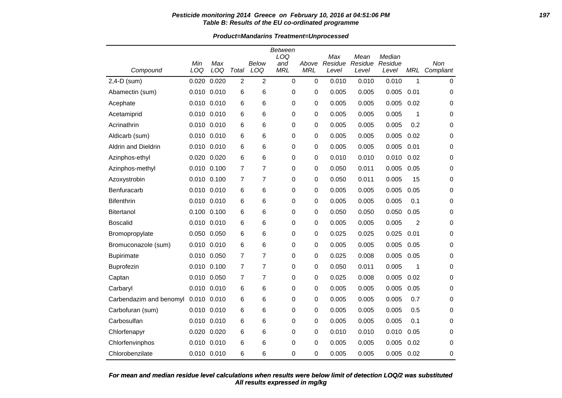#### **Pesticide monitoring 2014 Greece on February 10, 2016 at 04:51:06 PM 197 Table B: Results of the EU co-ordinated programme**

**Product=Mandarins Treatment=Unprocessed**

|                            |                 |            |                |                | <b>Between</b><br>LOQ |                     | Max              | Mean             | Median           |      |                  |
|----------------------------|-----------------|------------|----------------|----------------|-----------------------|---------------------|------------------|------------------|------------------|------|------------------|
| Compound                   | Min<br>LOQ      | Max<br>LOQ | Total          | Below<br>LOQ   | and<br><b>MRL</b>     | Above<br><b>MRL</b> | Residue<br>Level | Residue<br>Level | Residue<br>Level | MRL  | Non<br>Compliant |
| 2,4-D (sum)                | 0.020           | 0.020      | $\overline{2}$ | 2              | $\mathbf 0$           | $\mathbf 0$         | 0.010            | 0.010            | 0.010            | 1    | 0                |
| Abamectin (sum)            | 0.010 0.010     |            | 6              | 6              | 0                     | 0                   | 0.005            | 0.005            | 0.005            | 0.01 | 0                |
| Acephate                   | $0.010$ $0.010$ |            | 6              | 6              | 0                     | 0                   | 0.005            | 0.005            | 0.005            | 0.02 | 0                |
| Acetamiprid                | 0.010 0.010     |            | 6              | 6              | 0                     | 0                   | 0.005            | 0.005            | 0.005            | 1    | 0                |
| Acrinathrin                | 0.010 0.010     |            | 6              | 6              | 0                     | 0                   | 0.005            | 0.005            | 0.005            | 0.2  | 0                |
| Aldicarb (sum)             | 0.010 0.010     |            | 6              | 6              | 0                     | 0                   | 0.005            | 0.005            | 0.005            | 0.02 | 0                |
| <b>Aldrin and Dieldrin</b> | 0.010 0.010     |            | 6              | 6              | 0                     | 0                   | 0.005            | 0.005            | 0.005            | 0.01 | 0                |
| Azinphos-ethyl             | 0.020 0.020     |            | 6              | 6              | 0                     | 0                   | 0.010            | 0.010            | 0.010            | 0.02 | 0                |
| Azinphos-methyl            | 0.010 0.100     |            | 7              | $\overline{7}$ | 0                     | 0                   | 0.050            | 0.011            | 0.005            | 0.05 | 0                |
| Azoxystrobin               | 0.010 0.100     |            | $\overline{7}$ | $\overline{7}$ | 0                     | 0                   | 0.050            | 0.011            | 0.005            | 15   | 0                |
| Benfuracarb                | 0.010 0.010     |            | 6              | 6              | 0                     | 0                   | 0.005            | 0.005            | 0.005            | 0.05 | 0                |
| <b>Bifenthrin</b>          | 0.010 0.010     |            | 6              | 6              | 0                     | 0                   | 0.005            | 0.005            | 0.005            | 0.1  | 0                |
| <b>Bitertanol</b>          | 0.100 0.100     |            | 6              | 6              | 0                     | 0                   | 0.050            | 0.050            | 0.050            | 0.05 | 0                |
| <b>Boscalid</b>            | 0.010 0.010     |            | 6              | 6              | 0                     | 0                   | 0.005            | 0.005            | 0.005            | 2    | 0                |
| Bromopropylate             | 0.050 0.050     |            | 6              | 6              | 0                     | 0                   | 0.025            | 0.025            | 0.025            | 0.01 | 0                |
| Bromuconazole (sum)        | 0.010 0.010     |            | 6              | 6              | 0                     | 0                   | 0.005            | 0.005            | 0.005            | 0.05 | 0                |
| <b>Bupirimate</b>          | 0.010 0.050     |            | $\overline{7}$ | $\overline{7}$ | 0                     | 0                   | 0.025            | 0.008            | 0.005            | 0.05 | 0                |
| <b>Buprofezin</b>          | 0.010 0.100     |            | $\overline{7}$ | $\overline{7}$ | 0                     | 0                   | 0.050            | 0.011            | 0.005            | 1    | 0                |
| Captan                     | 0.010 0.050     |            | 7              | $\overline{7}$ | 0                     | 0                   | 0.025            | 0.008            | 0.005            | 0.02 | 0                |
| Carbaryl                   | 0.010 0.010     |            | 6              | 6              | 0                     | 0                   | 0.005            | 0.005            | 0.005            | 0.05 | 0                |
| Carbendazim and benomyl    | 0.010 0.010     |            | 6              | 6              | 0                     | 0                   | 0.005            | 0.005            | 0.005            | 0.7  | $\mathbf 0$      |
| Carbofuran (sum)           | 0.010 0.010     |            | 6              | 6              | 0                     | 0                   | 0.005            | 0.005            | 0.005            | 0.5  | 0                |
| Carbosulfan                | 0.010 0.010     |            | 6              | 6              | 0                     | 0                   | 0.005            | 0.005            | 0.005            | 0.1  | 0                |
| Chlorfenapyr               | 0.020 0.020     |            | 6              | 6              | 0                     | 0                   | 0.010            | 0.010            | 0.010            | 0.05 | 0                |
| Chlorfenvinphos            | 0.010 0.010     |            | 6              | 6              | 0                     | 0                   | 0.005            | 0.005            | 0.005            | 0.02 | 0                |
| Chlorobenzilate            | 0.010 0.010     |            | 6              | 6              | 0                     | 0                   | 0.005            | 0.005            | 0.005            | 0.02 | 0                |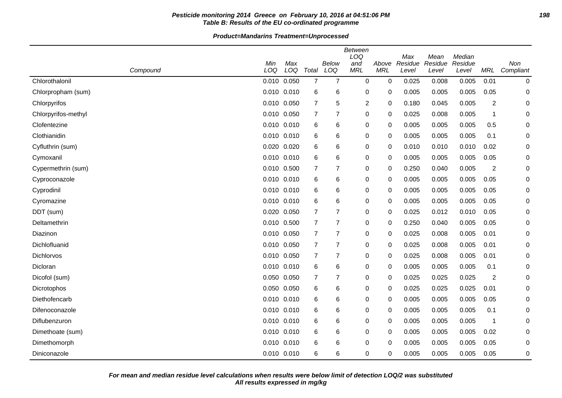## **Pesticide monitoring 2014 Greece on February 10, 2016 at 04:51:06 PM 198 Table B: Results of the EU co-ordinated programme**

| Compound            | Min<br>LOQ  | Max<br>LOQ  | Total          | <b>Below</b><br>LOQ | <b>Between</b><br>LOQ<br>and<br><b>MRL</b> | Above<br><b>MRL</b> | Max<br>Residue<br>Level | Mean<br>Residue<br>Level | Median<br>Residue<br>Level | MRL  | Non<br>Compliant |
|---------------------|-------------|-------------|----------------|---------------------|--------------------------------------------|---------------------|-------------------------|--------------------------|----------------------------|------|------------------|
| Chlorothalonil      | 0.010 0.050 |             | $\overline{7}$ | $\overline{7}$      | $\mathbf 0$                                | 0                   | 0.025                   | 0.008                    | 0.005                      | 0.01 | $\pmb{0}$        |
| Chlorpropham (sum)  |             | 0.010 0.010 | 6              | 6                   | $\mathbf 0$                                | 0                   | 0.005                   | 0.005                    | 0.005                      | 0.05 | 0                |
| Chlorpyrifos        |             | 0.010 0.050 | 7              | 5                   | $\overline{c}$                             | 0                   | 0.180                   | 0.045                    | 0.005                      | 2    | 0                |
| Chlorpyrifos-methyl |             | 0.010 0.050 | $\overline{7}$ | $\overline{7}$      | 0                                          | $\mathbf 0$         | 0.025                   | 0.008                    | 0.005                      | 1    | 0                |
| Clofentezine        |             | 0.010 0.010 | 6              | 6                   | 0                                          | 0                   | 0.005                   | 0.005                    | 0.005                      | 0.5  | 0                |
| Clothianidin        |             | 0.010 0.010 | 6              | 6                   | 0                                          | 0                   | 0.005                   | 0.005                    | 0.005                      | 0.1  | 0                |
| Cyfluthrin (sum)    |             | 0.020 0.020 | 6              | 6                   | 0                                          | 0                   | 0.010                   | 0.010                    | 0.010                      | 0.02 | 0                |
| Cymoxanil           |             | 0.010 0.010 | 6              | 6                   | 0                                          | 0                   | 0.005                   | 0.005                    | 0.005                      | 0.05 | 0                |
| Cypermethrin (sum)  |             | 0.010 0.500 | 7              | $\overline{7}$      | 0                                          | 0                   | 0.250                   | 0.040                    | 0.005                      | 2    | 0                |
| Cyproconazole       |             | 0.010 0.010 | 6              | 6                   | 0                                          | 0                   | 0.005                   | 0.005                    | 0.005                      | 0.05 | 0                |
| Cyprodinil          |             | 0.010 0.010 | 6              | 6                   | $\mathbf 0$                                | 0                   | 0.005                   | 0.005                    | 0.005                      | 0.05 | 0                |
| Cyromazine          |             | 0.010 0.010 | 6              | 6                   | 0                                          | 0                   | 0.005                   | 0.005                    | 0.005                      | 0.05 | 0                |
| DDT (sum)           |             | 0.020 0.050 | $\overline{7}$ | $\overline{7}$      | $\mathbf 0$                                | $\mathbf 0$         | 0.025                   | 0.012                    | 0.010                      | 0.05 | 0                |
| Deltamethrin        |             | 0.010 0.500 | $\overline{7}$ | $\overline{7}$      | 0                                          | 0                   | 0.250                   | 0.040                    | 0.005                      | 0.05 | 0                |
| Diazinon            |             | 0.010 0.050 | $\overline{7}$ | $\overline{7}$      | 0                                          | 0                   | 0.025                   | 0.008                    | 0.005                      | 0.01 | 0                |
| Dichlofluanid       |             | 0.010 0.050 | $\overline{7}$ | $\overline{7}$      | 0                                          | 0                   | 0.025                   | 0.008                    | 0.005                      | 0.01 | 0                |
| <b>Dichlorvos</b>   |             | 0.010 0.050 | 7              | $\overline{7}$      | 0                                          | 0                   | 0.025                   | 0.008                    | 0.005                      | 0.01 | 0                |
| Dicloran            |             | 0.010 0.010 | 6              | 6                   | 0                                          | 0                   | 0.005                   | 0.005                    | 0.005                      | 0.1  | 0                |
| Dicofol (sum)       |             | 0.050 0.050 | 7              | 7                   | 0                                          | 0                   | 0.025                   | 0.025                    | 0.025                      | 2    | 0                |
| Dicrotophos         |             | 0.050 0.050 | 6              | 6                   | 0                                          | 0                   | 0.025                   | 0.025                    | 0.025                      | 0.01 | 0                |
| Diethofencarb       |             | 0.010 0.010 | 6              | 6                   | 0                                          | 0                   | 0.005                   | 0.005                    | 0.005                      | 0.05 | 0                |
| Difenoconazole      |             | 0.010 0.010 | 6              | 6                   | $\mathbf 0$                                | 0                   | 0.005                   | 0.005                    | 0.005                      | 0.1  | 0                |
| Diflubenzuron       |             | 0.010 0.010 | 6              | 6                   | 0                                          | $\mathbf 0$         | 0.005                   | 0.005                    | 0.005                      | 1    | 0                |
| Dimethoate (sum)    |             | 0.010 0.010 | 6              | 6                   | $\mathbf 0$                                | $\mathbf 0$         | 0.005                   | 0.005                    | 0.005                      | 0.02 | 0                |
| Dimethomorph        |             | 0.010 0.010 | 6              | 6                   | 0                                          | 0                   | 0.005                   | 0.005                    | 0.005                      | 0.05 | 0                |
| Diniconazole        |             | 0.010 0.010 | 6              | 6                   | $\mathbf 0$                                | 0                   | 0.005                   | 0.005                    | 0.005                      | 0.05 | 0                |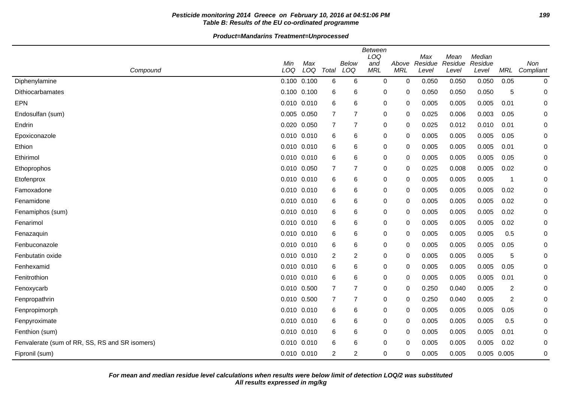## Pesticide monitoring 2014 Greece on February 10, 2016 at 04:51:06 PM **Table B: Results of the EU co-ordinated programme**

|                                                | <b>Between</b><br>LOQ<br>Median<br>Max<br>Mean |            |                |                |                   |                     |                  |                  |                  |            |                  |
|------------------------------------------------|------------------------------------------------|------------|----------------|----------------|-------------------|---------------------|------------------|------------------|------------------|------------|------------------|
| Compound                                       | Min<br>LOQ                                     | Max<br>LOQ | Total          | Below<br>LOQ   | and<br><b>MRL</b> | Above<br><b>MRL</b> | Residue<br>Level | Residue<br>Level | Residue<br>Level | <b>MRL</b> | Non<br>Compliant |
| Diphenylamine                                  | $0.100$ $0.100$                                |            | 6              | 6              | $\mathbf 0$       | $\mathbf 0$         | 0.050            | 0.050            | 0.050            | 0.05       | 0                |
| Dithiocarbamates                               | $0.100$ $0.100$                                |            | 6              | 6              | 0                 | 0                   | 0.050            | 0.050            | 0.050            | 5          | 0                |
| <b>EPN</b>                                     | $0.010$ $0.010$                                |            | 6              | 6              | 0                 | 0                   | 0.005            | 0.005            | 0.005            | 0.01       | 0                |
| Endosulfan (sum)                               | 0.005 0.050                                    |            | 7              | 7              | 0                 | 0                   | 0.025            | 0.006            | 0.003            | 0.05       | 0                |
| Endrin                                         | 0.020 0.050                                    |            | 7              | 7              | 0                 | 0                   | 0.025            | 0.012            | 0.010            | 0.01       | 0                |
| Epoxiconazole                                  | 0.010 0.010                                    |            | 6              | 6              | 0                 | 0                   | 0.005            | 0.005            | 0.005            | 0.05       | 0                |
| Ethion                                         | 0.010 0.010                                    |            | 6              | 6              | 0                 | 0                   | 0.005            | 0.005            | 0.005            | 0.01       | 0                |
| Ethirimol                                      | 0.010 0.010                                    |            | 6              | 6              | 0                 | 0                   | 0.005            | 0.005            | 0.005            | 0.05       | 0                |
| Ethoprophos                                    | 0.010 0.050                                    |            | 7              | 7              | 0                 | 0                   | 0.025            | 0.008            | 0.005            | 0.02       | 0                |
| Etofenprox                                     | $0.010$ $0.010$                                |            | 6              | 6              | 0                 | 0                   | 0.005            | 0.005            | 0.005            | -1         | 0                |
| Famoxadone                                     | $0.010$ $0.010$                                |            | 6              | 6              | $\mathbf 0$       | 0                   | 0.005            | 0.005            | 0.005            | 0.02       | 0                |
| Fenamidone                                     | 0.010 0.010                                    |            | 6              | 6              | 0                 | 0                   | 0.005            | 0.005            | 0.005            | 0.02       | 0                |
| Fenamiphos (sum)                               | $0.010$ $0.010$                                |            | 6              | 6              | $\mathbf 0$       | 0                   | 0.005            | 0.005            | 0.005            | 0.02       | 0                |
| Fenarimol                                      | $0.010$ $0.010$                                |            | 6              | 6              | 0                 | 0                   | 0.005            | 0.005            | 0.005            | 0.02       | 0                |
| Fenazaquin                                     | 0.010 0.010                                    |            | 6              | 6              | 0                 | 0                   | 0.005            | 0.005            | 0.005            | 0.5        | 0                |
| Fenbuconazole                                  | $0.010$ $0.010$                                |            | 6              | 6              | 0                 | 0                   | 0.005            | 0.005            | 0.005            | 0.05       | 0                |
| Fenbutatin oxide                               | 0.010 0.010                                    |            | $\overline{c}$ | $\overline{c}$ | 0                 | 0                   | 0.005            | 0.005            | 0.005            | 5          | 0                |
| Fenhexamid                                     | 0.010 0.010                                    |            | 6              | 6              | 0                 | 0                   | 0.005            | 0.005            | 0.005            | 0.05       | 0                |
| Fenitrothion                                   | 0.010 0.010                                    |            | 6              | 6              | 0                 | 0                   | 0.005            | 0.005            | 0.005            | 0.01       | 0                |
| Fenoxycarb                                     | 0.010 0.500                                    |            | 7              | 7              | 0                 | 0                   | 0.250            | 0.040            | 0.005            | 2          | 0                |
| Fenpropathrin                                  | 0.010 0.500                                    |            | $\overline{7}$ | 7              | 0                 | 0                   | 0.250            | 0.040            | 0.005            | 2          | 0                |
| Fenpropimorph                                  | $0.010$ $0.010$                                |            | 6              | 6              | 0                 | 0                   | 0.005            | 0.005            | 0.005            | 0.05       | 0                |
| Fenpyroximate                                  | $0.010$ $0.010$                                |            | 6              | 6              | $\mathbf 0$       | 0                   | 0.005            | 0.005            | 0.005            | 0.5        | 0                |
| Fenthion (sum)                                 | $0.010$ $0.010$                                |            | 6              | 6              | 0                 | 0                   | 0.005            | 0.005            | 0.005            | 0.01       | 0                |
| Fenvalerate (sum of RR, SS, RS and SR isomers) | 0.010 0.010                                    |            | 6              | 6              | 0                 | 0                   | 0.005            | 0.005            | 0.005            | 0.02       | 0                |
| Fipronil (sum)                                 | 0.010 0.010                                    |            | $\overline{2}$ | $\overline{2}$ | 0                 | 0                   | 0.005            | 0.005            | 0.005 0.005      |            | 0                |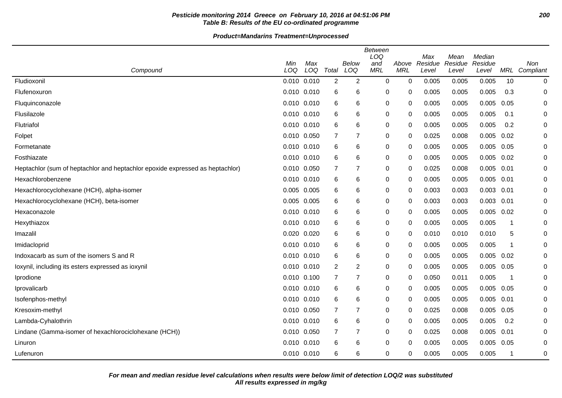## **Pesticide monitoring 2014 Greece on February 10, 2016 at 04:51:06 PM 200 Table B: Results of the EU co-ordinated programme**

| Compound                                                                      | Min<br>LOQ      | Max<br>LOQ | Total          | <b>Below</b><br>LOQ | <b>Between</b><br>LOQ<br>and<br><b>MRL</b> | Above<br><b>MRL</b> | Max<br>Residue<br>Level | Mean<br>Residue<br>Level | Median<br>Residue<br>Level |                         | Non<br>MRL Compliant |
|-------------------------------------------------------------------------------|-----------------|------------|----------------|---------------------|--------------------------------------------|---------------------|-------------------------|--------------------------|----------------------------|-------------------------|----------------------|
| Fludioxonil                                                                   | 0.010 0.010     |            | 2              | 2                   | 0                                          | 0                   | 0.005                   | 0.005                    | 0.005                      | 10                      | $\pmb{0}$            |
| Flufenoxuron                                                                  | 0.010 0.010     |            | 6              | 6                   | 0                                          | 0                   | 0.005                   | 0.005                    | 0.005                      | 0.3                     | 0                    |
| Fluquinconazole                                                               | $0.010$ $0.010$ |            | 6              | 6                   | 0                                          | 0                   | 0.005                   | 0.005                    | 0.005                      | 0.05                    | $\Omega$             |
| Flusilazole                                                                   | $0.010$ $0.010$ |            | 6              | 6                   | 0                                          | 0                   | 0.005                   | 0.005                    | 0.005                      | 0.1                     | 0                    |
| Flutriafol                                                                    | 0.010 0.010     |            | 6              | 6                   | $\pmb{0}$                                  | 0                   | 0.005                   | 0.005                    | 0.005                      | 0.2                     | 0                    |
| Folpet                                                                        | 0.010 0.050     |            | 7              | $\overline{7}$      | 0                                          | 0                   | 0.025                   | 0.008                    | 0.005                      | 0.02                    | 0                    |
| Formetanate                                                                   | $0.010$ $0.010$ |            | 6              | 6                   | 0                                          | 0                   | 0.005                   | 0.005                    | 0.005                      | 0.05                    | 0                    |
| Fosthiazate                                                                   | 0.010 0.010     |            | 6              | 6                   | $\pmb{0}$                                  | 0                   | 0.005                   | 0.005                    | 0.005                      | 0.02                    | 0                    |
| Heptachlor (sum of heptachlor and heptachlor epoxide expressed as heptachlor) | 0.010 0.050     |            | $\overline{7}$ | 7                   | 0                                          | 0                   | 0.025                   | 0.008                    | 0.005                      | 0.01                    | $\Omega$             |
| Hexachlorobenzene                                                             | 0.010 0.010     |            | 6              | 6                   | $\pmb{0}$                                  | 0                   | 0.005                   | 0.005                    | 0.005                      | 0.01                    | $\Omega$             |
| Hexachlorocyclohexane (HCH), alpha-isomer                                     | 0.005 0.005     |            | 6              | 6                   | 0                                          | 0                   | 0.003                   | 0.003                    | 0.003                      | 0.01                    | 0                    |
| Hexachlorocyclohexane (HCH), beta-isomer                                      | 0.005 0.005     |            | 6              | 6                   | $\mathbf 0$                                | 0                   | 0.003                   | 0.003                    | $0.003$ $0.01$             |                         | 0                    |
| Hexaconazole                                                                  | 0.010 0.010     |            | 6              | 6                   | $\pmb{0}$                                  | 0                   | 0.005                   | 0.005                    | 0.005                      | 0.02                    | $\Omega$             |
| Hexythiazox                                                                   | 0.010 0.010     |            | 6              | 6                   | 0                                          | 0                   | 0.005                   | 0.005                    | 0.005                      | -1                      | 0                    |
| Imazalil                                                                      | 0.020 0.020     |            | 6              | 6                   | 0                                          | 0                   | 0.010                   | 0.010                    | 0.010                      | 5                       | 0                    |
| Imidacloprid                                                                  | 0.010 0.010     |            | 6              | 6                   | 0                                          | 0                   | 0.005                   | 0.005                    | 0.005                      | -1                      | 0                    |
| Indoxacarb as sum of the isomers S and R                                      | 0.010 0.010     |            | 6              | 6                   | 0                                          | 0                   | 0.005                   | 0.005                    | 0.005                      | 0.02                    | 0                    |
| loxynil, including its esters expressed as ioxynil                            | 0.010 0.010     |            | $\overline{2}$ | $\overline{2}$      | $\pmb{0}$                                  | 0                   | 0.005                   | 0.005                    | 0.005                      | 0.05                    | $\Omega$             |
| Iprodione                                                                     | $0.010$ $0.100$ |            | $\overline{7}$ | 7                   | 0                                          | 0                   | 0.050                   | 0.011                    | 0.005                      | $\overline{\mathbf{1}}$ | 0                    |
| Iprovalicarb                                                                  | 0.010 0.010     |            | 6              | 6                   | 0                                          | 0                   | 0.005                   | 0.005                    | 0.005                      | 0.05                    | 0                    |
| Isofenphos-methyl                                                             | 0.010 0.010     |            | 6              | 6                   | 0                                          | 0                   | 0.005                   | 0.005                    | 0.005                      | 0.01                    | 0                    |
| Kresoxim-methyl                                                               | 0.010 0.050     |            | $\overline{7}$ | 7                   | 0                                          | 0                   | 0.025                   | 0.008                    | 0.005                      | 0.05                    | 0                    |
| Lambda-Cyhalothrin                                                            | 0.010 0.010     |            | 6              | 6                   | 0                                          | 0                   | 0.005                   | 0.005                    | 0.005                      | 0.2                     | $\Omega$             |
| Lindane (Gamma-isomer of hexachlorociclohexane (HCH))                         | 0.010 0.050     |            | $\overline{7}$ | $\overline{7}$      | 0                                          | 0                   | 0.025                   | 0.008                    | 0.005                      | 0.01                    | 0                    |
| Linuron                                                                       | 0.010 0.010     |            | 6              | 6                   | $\mathbf 0$                                | 0                   | 0.005                   | 0.005                    | 0.005                      | 0.05                    | 0                    |
| Lufenuron                                                                     | 0.010 0.010     |            | 6              | 6                   | 0                                          | 0                   | 0.005                   | 0.005                    | 0.005                      | -1                      | 0                    |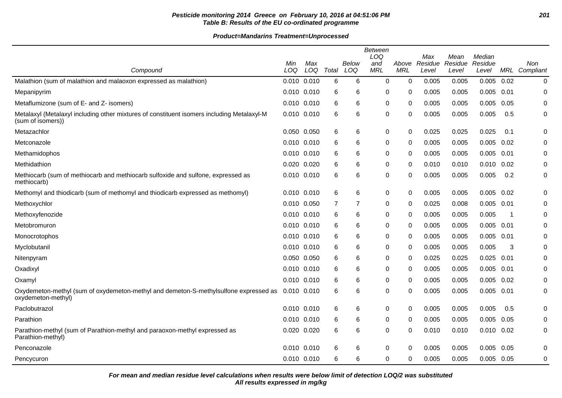## **Pesticide monitoring 2014 Greece on February 10, 2016 at 04:51:06 PM 201 Table B: Results of the EU co-ordinated programme**

**Product=Mandarins Treatment=Unprocessed**

|                                                                                                                 | Min             | Max |       | Below | <b>Between</b><br>LOQ<br>and | Above      | Max<br>Residue | Mean<br>Residue | Median<br>Residue |       | Non           |
|-----------------------------------------------------------------------------------------------------------------|-----------------|-----|-------|-------|------------------------------|------------|----------------|-----------------|-------------------|-------|---------------|
| Compound                                                                                                        | LOQ             | LOQ | Total | LOQ   | <b>MRL</b>                   | <b>MRL</b> | Level          | Level           | Level             |       | MRL Compliant |
| Malathion (sum of malathion and malaoxon expressed as malathion)                                                | 0.010 0.010     |     | 6     | 6     | 0                            | 0          | 0.005          | 0.005           | 0.005             | 0.02  | $\pmb{0}$     |
| Mepanipyrim                                                                                                     | 0.010 0.010     |     | 6     | 6     | 0                            | 0          | 0.005          | 0.005           | 0.005             | 0.01  | 0             |
| Metaflumizone (sum of E- and Z- isomers)                                                                        | 0.010 0.010     |     | 6     | 6     | 0                            | 0          | 0.005          | 0.005           | 0.005             | 0.05  | 0             |
| Metalaxyl (Metalaxyl including other mixtures of constituent isomers including Metalaxyl-M<br>(sum of isomers)) | 0.010 0.010     |     | 6     | 6     | 0                            | 0          | 0.005          | 0.005           | 0.005             | 0.5   | 0             |
| Metazachlor                                                                                                     | 0.050 0.050     |     | 6     | 6     | 0                            | 0          | 0.025          | 0.025           | 0.025             | 0.1   | $\Omega$      |
| Metconazole                                                                                                     | 0.010 0.010     |     | 6     | 6     | 0                            | 0          | 0.005          | 0.005           | 0.005             | 0.02  | 0             |
| Methamidophos                                                                                                   | 0.010 0.010     |     | 6     | 6     | 0                            | 0          | 0.005          | 0.005           | 0.005             | 0.01  | 0             |
| Methidathion                                                                                                    | 0.020 0.020     |     | 6     | 6     | 0                            | 0          | 0.010          | 0.010           | 0.010             | 0.02  | 0             |
| Methiocarb (sum of methiocarb and methiocarb sulfoxide and sulfone, expressed as<br>methiocarb)                 | 0.010 0.010     |     | 6     | 6     | 0                            | $\Omega$   | 0.005          | 0.005           | 0.005             | 0.2   | 0             |
| Methomyl and thiodicarb (sum of methomyl and thiodicarb expressed as methomyl)                                  | 0.010 0.010     |     | 6     | 6     | 0                            | $\Omega$   | 0.005          | 0.005           | 0.005             | 0.02  | $\mathbf 0$   |
| Methoxychlor                                                                                                    | 0.010 0.050     |     | 7     | 7     | 0                            | 0          | 0.025          | 0.008           | $0.005$ 0.01      |       | 0             |
| Methoxyfenozide                                                                                                 | 0.010 0.010     |     | 6     | 6     | 0                            | 0          | 0.005          | 0.005           | 0.005             | -1    | $\Omega$      |
| Metobromuron                                                                                                    | $0.010$ $0.010$ |     | 6     | 6     | 0                            | 0          | 0.005          | 0.005           | 0.005             | 0.01  | 0             |
| Monocrotophos                                                                                                   | 0.010 0.010     |     | 6     | 6     | 0                            | 0          | 0.005          | 0.005           | 0.005             | -0.01 | $\Omega$      |
| Myclobutanil                                                                                                    | $0.010$ $0.010$ |     | 6     | 6     | 0                            | 0          | 0.005          | 0.005           | 0.005             | 3     | 0             |
| Nitenpyram                                                                                                      | 0.050 0.050     |     | 6     | 6     | 0                            | 0          | 0.025          | 0.025           | 0.025             | 0.01  | 0             |
| Oxadixyl                                                                                                        | $0.010$ $0.010$ |     | 6     | 6     | 0                            | 0          | 0.005          | 0.005           | 0.005             | 0.01  | 0             |
| Oxamyl                                                                                                          | $0.010$ $0.010$ |     | 6     | 6     | 0                            | 0          | 0.005          | 0.005           | 0.005             | 0.02  | 0             |
| Oxydemeton-methyl (sum of oxydemeton-methyl and demeton-S-methylsulfone expressed as<br>oxydemeton-methyl)      | 0.010 0.010     |     | 6     | 6     | 0                            | $\Omega$   | 0.005          | 0.005           | 0.005             | 0.01  | 0             |
| Paclobutrazol                                                                                                   | 0.010 0.010     |     | 6     | 6     | 0                            | 0          | 0.005          | 0.005           | 0.005             | 0.5   | $\Omega$      |
| Parathion                                                                                                       | $0.010$ $0.010$ |     | 6     | 6     | 0                            | 0          | 0.005          | 0.005           | 0.005             | 0.05  | 0             |
| Parathion-methyl (sum of Parathion-methyl and paraoxon-methyl expressed as<br>Parathion-methyl)                 | 0.020 0.020     |     | 6     | 6     | 0                            | 0          | 0.010          | 0.010           | 0.010             | 0.02  | $\mathbf 0$   |
| Penconazole                                                                                                     | 0.010 0.010     |     | 6     | 6     | 0                            | 0          | 0.005          | 0.005           | 0.005             | 0.05  | $\mathbf 0$   |
| Pencycuron                                                                                                      | $0.010$ $0.010$ |     | 6     | 6     | $\Omega$                     | 0          | 0.005          | 0.005           | $0.005$ 0.05      |       | $\mathbf 0$   |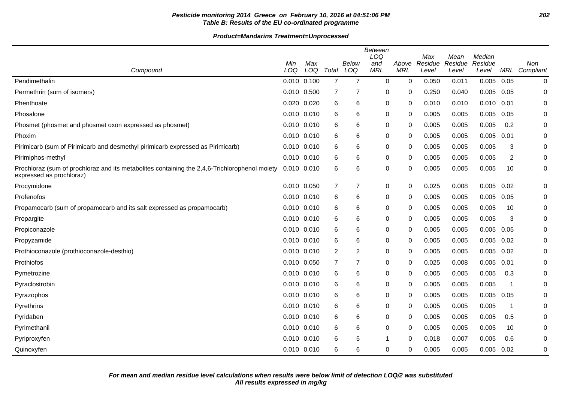## **Pesticide monitoring 2014 Greece on February 10, 2016 at 04:51:06 PM 202 Table B: Results of the EU co-ordinated programme**

| Compound                                                                                                                  | Min<br>LOQ      | Max<br>LOQ | Total          | Below<br>LOQ   | Between<br>LOQ<br>and<br><b>MRL</b> | Above<br><b>MRL</b> | Max<br>Residue<br>Level | Mean<br>Residue<br>Level | Median<br>Residue<br>Level |      | Non<br>MRL Compliant |
|---------------------------------------------------------------------------------------------------------------------------|-----------------|------------|----------------|----------------|-------------------------------------|---------------------|-------------------------|--------------------------|----------------------------|------|----------------------|
| Pendimethalin                                                                                                             | $0.010$ $0.100$ |            | $\overline{7}$ | $\overline{7}$ | $\mathbf 0$                         | $\mathbf 0$         | 0.050                   | 0.011                    | $0.005$ 0.05               |      | $\mathbf 0$          |
| Permethrin (sum of isomers)                                                                                               | 0.010 0.500     |            | 7              | 7              | 0                                   | 0                   | 0.250                   | 0.040                    | $0.005$ 0.05               |      | 0                    |
| Phenthoate                                                                                                                | 0.020 0.020     |            | 6              | 6              | 0                                   | 0                   | 0.010                   | 0.010                    | $0.010$ $0.01$             |      | 0                    |
| Phosalone                                                                                                                 | 0.010 0.010     |            | 6              | 6              | 0                                   | 0                   | 0.005                   | 0.005                    | 0.005                      | 0.05 | 0                    |
| Phosmet (phosmet and phosmet oxon expressed as phosmet)                                                                   | 0.010 0.010     |            | 6              | 6              | 0                                   | 0                   | 0.005                   | 0.005                    | 0.005                      | 0.2  | 0                    |
| Phoxim                                                                                                                    | 0.010 0.010     |            | 6              | 6              | 0                                   | 0                   | 0.005                   | 0.005                    | 0.005                      | 0.01 | 0                    |
| Pirimicarb (sum of Pirimicarb and desmethyl pirimicarb expressed as Pirimicarb)                                           | $0.010$ $0.010$ |            | 6              | 6              | 0                                   | 0                   | 0.005                   | 0.005                    | 0.005                      | 3    | 0                    |
| Pirimiphos-methyl                                                                                                         | 0.010 0.010     |            | 6              | 6              | $\mathbf 0$                         | 0                   | 0.005                   | 0.005                    | 0.005                      | 2    | 0                    |
| Prochloraz (sum of prochloraz and its metabolites containing the 2,4,6-Trichlorophenol moiety<br>expressed as prochloraz) | $0.010$ $0.010$ |            | 6              | 6              | $\mathbf 0$                         | 0                   | 0.005                   | 0.005                    | 0.005                      | 10   | 0                    |
| Procymidone                                                                                                               | 0.010 0.050     |            | 7              | 7              | 0                                   | 0                   | 0.025                   | 0.008                    | 0.005                      | 0.02 | 0                    |
| Profenofos                                                                                                                | 0.010 0.010     |            | 6              | 6              | $\mathbf 0$                         | 0                   | 0.005                   | 0.005                    | 0.005                      | 0.05 | 0                    |
| Propamocarb (sum of propamocarb and its salt expressed as propamocarb)                                                    | 0.010 0.010     |            | 6              | 6              | 0                                   | 0                   | 0.005                   | 0.005                    | 0.005                      | 10   | 0                    |
| Propargite                                                                                                                | 0.010 0.010     |            | 6              | 6              | $\mathbf 0$                         | 0                   | 0.005                   | 0.005                    | 0.005                      | 3    | 0                    |
| Propiconazole                                                                                                             | 0.010 0.010     |            | 6              | 6              | $\mathbf 0$                         | 0                   | 0.005                   | 0.005                    | 0.005                      | 0.05 | 0                    |
| Propyzamide                                                                                                               | 0.010 0.010     |            | 6              | 6              | 0                                   | 0                   | 0.005                   | 0.005                    | $0.005$ 0.02               |      | 0                    |
| Prothioconazole (prothioconazole-desthio)                                                                                 | $0.010$ $0.010$ |            | 2              | 2              | 0                                   | 0                   | 0.005                   | 0.005                    | 0.005                      | 0.02 | 0                    |
| Prothiofos                                                                                                                | 0.010 0.050     |            | 7              | $\overline{7}$ | 0                                   | $\Omega$            | 0.025                   | 0.008                    | 0.005                      | 0.01 | 0                    |
| Pymetrozine                                                                                                               | 0.010 0.010     |            | 6              | 6              | 0                                   | 0                   | 0.005                   | 0.005                    | 0.005                      | 0.3  | 0                    |
| Pyraclostrobin                                                                                                            | $0.010$ $0.010$ |            | 6              | 6              | 0                                   | 0                   | 0.005                   | 0.005                    | 0.005                      | -1   | 0                    |
| Pyrazophos                                                                                                                | 0.010 0.010     |            | 6              | 6              | $\mathbf 0$                         | $\Omega$            | 0.005                   | 0.005                    | $0.005$ 0.05               |      | 0                    |
| Pyrethrins                                                                                                                | $0.010$ $0.010$ |            | 6              | 6              | $\mathbf 0$                         | 0                   | 0.005                   | 0.005                    | 0.005                      | -1   | 0                    |
| Pyridaben                                                                                                                 | 0.010 0.010     |            | 6              | 6              | 0                                   | 0                   | 0.005                   | 0.005                    | 0.005                      | 0.5  | 0                    |
| Pyrimethanil                                                                                                              | $0.010$ $0.010$ |            | 6              | 6              | $\mathbf 0$                         | $\Omega$            | 0.005                   | 0.005                    | 0.005                      | 10   | 0                    |
| Pyriproxyfen                                                                                                              | $0.010$ $0.010$ |            | 6              | 5              | 1                                   | 0                   | 0.018                   | 0.007                    | 0.005                      | 0.6  | 0                    |
| Quinoxyfen                                                                                                                | 0.010 0.010     |            | 6              | 6              | $\mathbf 0$                         | 0                   | 0.005                   | 0.005                    | 0.005                      | 0.02 | 0                    |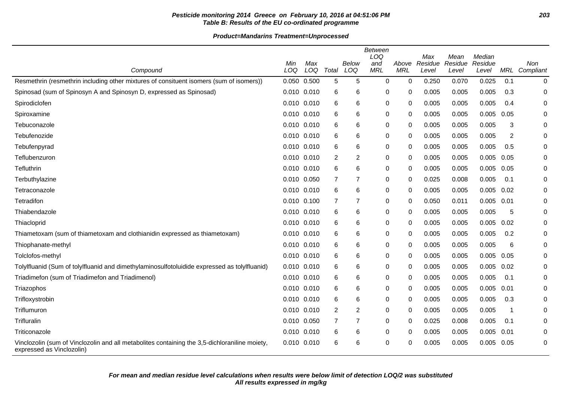## **Pesticide monitoring 2014 Greece on February 10, 2016 at 04:51:06 PM 203 Table B: Results of the EU co-ordinated programme**

|                                                                                                                            |             |            |                |                | <b>Between</b><br>LOQ |                     | Max              | Mean             | Median           |      |                  |
|----------------------------------------------------------------------------------------------------------------------------|-------------|------------|----------------|----------------|-----------------------|---------------------|------------------|------------------|------------------|------|------------------|
| Compound                                                                                                                   | Min<br>LOQ  | Max<br>LOQ | Total          | Below<br>LOQ   | and<br><b>MRL</b>     | Above<br><b>MRL</b> | Residue<br>Level | Residue<br>Level | Residue<br>Level | MRL  | Non<br>Compliant |
| Resmethrin (resmethrin including other mixtures of consituent isomers (sum of isomers))                                    | 0.050 0.500 |            | 5              | 5              | 0                     | $\mathbf 0$         | 0.250            | 0.070            | 0.025            | 0.1  | 0                |
| Spinosad (sum of Spinosyn A and Spinosyn D, expressed as Spinosad)                                                         | 0.010 0.010 |            | 6              | 6              | 0                     | 0                   | 0.005            | 0.005            | 0.005            | 0.3  | 0                |
| Spirodiclofen                                                                                                              | 0.010 0.010 |            | 6              | 6              | $\pmb{0}$             | 0                   | 0.005            | 0.005            | 0.005            | 0.4  | 0                |
| Spiroxamine                                                                                                                | 0.010 0.010 |            | 6              | 6              | $\mathbf 0$           | 0                   | 0.005            | 0.005            | 0.005            | 0.05 | 0                |
| Tebuconazole                                                                                                               | 0.010 0.010 |            | 6              | 6              | 0                     | $\Omega$            | 0.005            | 0.005            | 0.005            | 3    | 0                |
| Tebufenozide                                                                                                               | 0.010 0.010 |            | 6              | 6              | $\mathbf 0$           | $\mathbf{0}$        | 0.005            | 0.005            | 0.005            | 2    | $\Omega$         |
| Tebufenpyrad                                                                                                               | 0.010 0.010 |            | 6              | 6              | 0                     | 0                   | 0.005            | 0.005            | 0.005            | 0.5  | 0                |
| Teflubenzuron                                                                                                              | 0.010 0.010 |            | 2              | 2              | 0                     | 0                   | 0.005            | 0.005            | 0.005            | 0.05 | 0                |
| Tefluthrin                                                                                                                 | 0.010 0.010 |            | 6              | 6              | $\pmb{0}$             | $\mathbf{0}$        | 0.005            | 0.005            | 0.005            | 0.05 | 0                |
| Terbuthylazine                                                                                                             | 0.010 0.050 |            | 7              | $\overline{7}$ | $\mathbf 0$           | 0                   | 0.025            | 0.008            | 0.005            | 0.1  | 0                |
| Tetraconazole                                                                                                              | 0.010 0.010 |            | 6              | 6              | 0                     | $\Omega$            | 0.005            | 0.005            | 0.005            | 0.02 | 0                |
| Tetradifon                                                                                                                 | 0.010 0.100 |            | $\overline{7}$ | 7              | $\mathbf 0$           | $\mathbf{0}$        | 0.050            | 0.011            | 0.005            | 0.01 | 0                |
| Thiabendazole                                                                                                              | 0.010 0.010 |            | 6              | 6              | 0                     | 0                   | 0.005            | 0.005            | 0.005            | 5    | 0                |
| Thiacloprid                                                                                                                | 0.010 0.010 |            | 6              | 6              | 0                     | 0                   | 0.005            | 0.005            | 0.005            | 0.02 | 0                |
| Thiametoxam (sum of thiametoxam and clothianidin expressed as thiametoxam)                                                 | 0.010 0.010 |            | 6              | 6              | 0                     | 0                   | 0.005            | 0.005            | 0.005            | 0.2  | 0                |
| Thiophanate-methyl                                                                                                         | 0.010 0.010 |            | 6              | 6              | 0                     | 0                   | 0.005            | 0.005            | 0.005            | 6    | 0                |
| Tolclofos-methyl                                                                                                           | 0.010 0.010 |            | 6              | 6              | 0                     | 0                   | 0.005            | 0.005            | 0.005            | 0.05 | 0                |
| Tolylfluanid (Sum of tolylfluanid and dimethylaminosulfotoluidide expressed as tolylfluanid)                               | 0.010 0.010 |            | 6              | 6              | 0                     | $\mathbf{0}$        | 0.005            | 0.005            | 0.005            | 0.02 | 0                |
| Triadimefon (sum of Triadimefon and Triadimenol)                                                                           | 0.010 0.010 |            | 6              | 6              | 0                     | 0                   | 0.005            | 0.005            | 0.005            | 0.1  | 0                |
| Triazophos                                                                                                                 | 0.010 0.010 |            | 6              | 6              | 0                     | 0                   | 0.005            | 0.005            | 0.005            | 0.01 | 0                |
| Trifloxystrobin                                                                                                            | 0.010 0.010 |            | 6              | 6              | 0                     | 0                   | 0.005            | 0.005            | 0.005            | 0.3  | 0                |
| Triflumuron                                                                                                                | 0.010 0.010 |            | 2              | 2              | 0                     | 0                   | 0.005            | 0.005            | 0.005            | -1   | 0                |
| Trifluralin                                                                                                                | 0.010 0.050 |            | 7              | 7              | 0                     | 0                   | 0.025            | 0.008            | 0.005            | 0.1  | $\Omega$         |
| Triticonazole                                                                                                              | 0.010 0.010 |            | 6              | 6              | 0                     | $\Omega$            | 0.005            | 0.005            | 0.005            | 0.01 | 0                |
| Vinclozolin (sum of Vinclozolin and all metabolites containing the 3,5-dichloraniline moiety,<br>expressed as Vinclozolin) | 0.010 0.010 |            | 6              | 6              | 0                     | 0                   | 0.005            | 0.005            | 0.005            | 0.05 | 0                |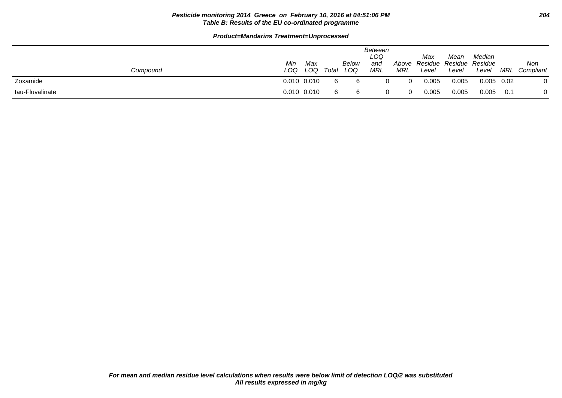#### **Pesticide monitoring 2014 Greece on February 10, 2016 at 04:51:06 PM 204 Table B: Results of the EU co-ordinated programme**

| Compound        | Min<br>LOQ | Max<br>LOQ      | Total | Below<br>LOQ | <b>Between</b><br>LOQ<br>and<br>MRL | Above<br>MRL | Max<br>Level | Mean<br>Residue Residue Residue<br>Level | Median<br>Level | MRL  | Non<br>Compliant |
|-----------------|------------|-----------------|-------|--------------|-------------------------------------|--------------|--------------|------------------------------------------|-----------------|------|------------------|
| Zoxamide        |            | $0.010$ $0.010$ |       |              |                                     | 0            | 0.005        | 0.005                                    | 0.005           | 0.02 | 0                |
| tau-Fluvalinate |            | $0.010$ $0.010$ |       | 6            |                                     | $\Omega$     | 0.005        | 0.005                                    | 0.005           | 0.1  | 0                |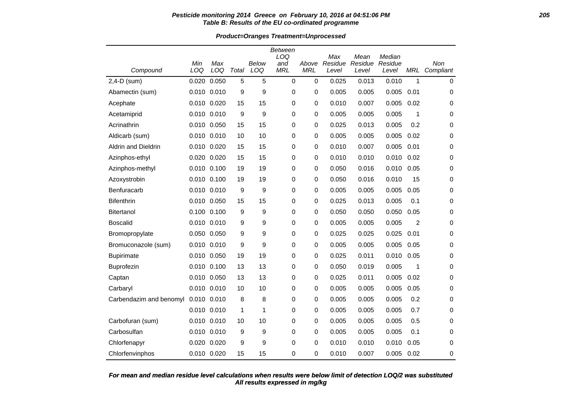#### **Pesticide monitoring 2014 Greece on February 10, 2016 at 04:51:06 PM 205 Table B: Results of the EU co-ordinated programme**

**Product=Oranges Treatment=Unprocessed**

|                         |             |             |       |              | Between<br>LOQ    |                     | Max              | Mean             | Median           |      | Non         |
|-------------------------|-------------|-------------|-------|--------------|-------------------|---------------------|------------------|------------------|------------------|------|-------------|
| Compound                | Min<br>LOQ  | Max<br>LOQ  | Total | Below<br>LOQ | and<br><b>MRL</b> | Above<br><b>MRL</b> | Residue<br>Level | Residue<br>Level | Residue<br>Level | MRL  | Compliant   |
| 2,4-D (sum)             | 0.020       | 0.050       | 5     | 5            | $\mathbf 0$       | $\mathbf 0$         | 0.025            | 0.013            | 0.010            | 1    | $\mathbf 0$ |
| Abamectin (sum)         |             | 0.010 0.010 | 9     | 9            | 0                 | 0                   | 0.005            | 0.005            | 0.005            | 0.01 | 0           |
| Acephate                |             | 0.010 0.020 | 15    | 15           | 0                 | 0                   | 0.010            | 0.007            | 0.005            | 0.02 | 0           |
| Acetamiprid             |             | 0.010 0.010 | 9     | 9            | 0                 | 0                   | 0.005            | 0.005            | 0.005            | 1    | 0           |
| Acrinathrin             |             | 0.010 0.050 | 15    | 15           | 0                 | $\pmb{0}$           | 0.025            | 0.013            | 0.005            | 0.2  | 0           |
| Aldicarb (sum)          |             | 0.010 0.010 | 10    | 10           | 0                 | 0                   | 0.005            | 0.005            | 0.005            | 0.02 | 0           |
| Aldrin and Dieldrin     |             | 0.010 0.020 | 15    | 15           | 0                 | 0                   | 0.010            | 0.007            | 0.005            | 0.01 | 0           |
| Azinphos-ethyl          |             | 0.020 0.020 | 15    | 15           | 0                 | 0                   | 0.010            | 0.010            | 0.010            | 0.02 | 0           |
| Azinphos-methyl         |             | 0.010 0.100 | 19    | 19           | 0                 | $\pmb{0}$           | 0.050            | 0.016            | 0.010            | 0.05 | 0           |
| Azoxystrobin            |             | 0.010 0.100 | 19    | 19           | 0                 | 0                   | 0.050            | 0.016            | 0.010            | 15   | 0           |
| Benfuracarb             |             | 0.010 0.010 | 9     | 9            | 0                 | 0                   | 0.005            | 0.005            | 0.005            | 0.05 | 0           |
| <b>Bifenthrin</b>       |             | 0.010 0.050 | 15    | 15           | 0                 | 0                   | 0.025            | 0.013            | 0.005            | 0.1  | 0           |
| Bitertanol              |             | 0.100 0.100 | 9     | 9            | 0                 | 0                   | 0.050            | 0.050            | 0.050            | 0.05 | 0           |
| <b>Boscalid</b>         |             | 0.010 0.010 | 9     | 9            | 0                 | $\pmb{0}$           | 0.005            | 0.005            | 0.005            | 2    | $\mathbf 0$ |
| Bromopropylate          |             | 0.050 0.050 | 9     | 9            | 0                 | $\pmb{0}$           | 0.025            | 0.025            | 0.025            | 0.01 | 0           |
| Bromuconazole (sum)     |             | 0.010 0.010 | 9     | 9            | 0                 | 0                   | 0.005            | 0.005            | 0.005            | 0.05 | 0           |
| <b>Bupirimate</b>       |             | 0.010 0.050 | 19    | 19           | 0                 | 0                   | 0.025            | 0.011            | 0.010            | 0.05 | 0           |
| Buprofezin              |             | 0.010 0.100 | 13    | 13           | 0                 | 0                   | 0.050            | 0.019            | 0.005            | 1    | 0           |
| Captan                  |             | 0.010 0.050 | 13    | 13           | 0                 | $\pmb{0}$           | 0.025            | 0.011            | 0.005            | 0.02 | 0           |
| Carbaryl                | 0.010 0.010 |             | 10    | 10           | 0                 | 0                   | 0.005            | 0.005            | 0.005            | 0.05 | 0           |
| Carbendazim and benomyl | 0.010 0.010 |             | 8     | 8            | 0                 | 0                   | 0.005            | 0.005            | 0.005            | 0.2  | 0           |
|                         |             | 0.010 0.010 | 1     | 1            | 0                 | 0                   | 0.005            | 0.005            | 0.005            | 0.7  | 0           |
| Carbofuran (sum)        |             | 0.010 0.010 | 10    | 10           | 0                 | 0                   | 0.005            | 0.005            | 0.005            | 0.5  | 0           |
| Carbosulfan             |             | 0.010 0.010 | 9     | 9            | 0                 | $\pmb{0}$           | 0.005            | 0.005            | 0.005            | 0.1  | $\mathbf 0$ |
| Chlorfenapyr            |             | 0.020 0.020 | 9     | 9            | 0                 | 0                   | 0.010            | 0.010            | 0.010            | 0.05 | 0           |
| Chlorfenvinphos         |             | 0.010 0.020 | 15    | 15           | 0                 | 0                   | 0.010            | 0.007            | 0.005            | 0.02 | 0           |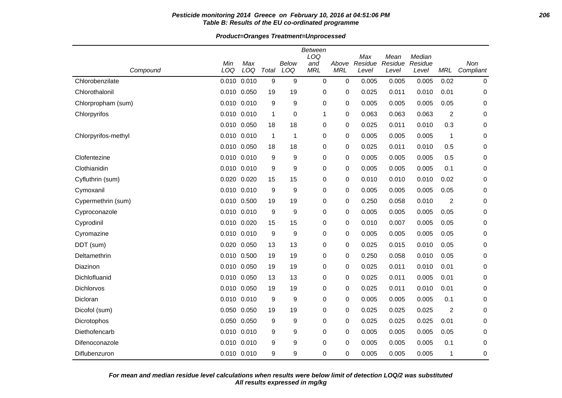#### **Pesticide monitoring 2014 Greece on February 10, 2016 at 04:51:06 PM 206 Table B: Results of the EU co-ordinated programme**

**Product=Oranges Treatment=Unprocessed**

|                     |             |       |             |              | <b>Between</b> |            |                |                 |                   |                |             |
|---------------------|-------------|-------|-------------|--------------|----------------|------------|----------------|-----------------|-------------------|----------------|-------------|
|                     | Min         | Max   |             | <b>Below</b> | LOQ<br>and     | Above      | Max<br>Residue | Mean<br>Residue | Median<br>Residue |                | Non         |
| Compound            | LOQ         | LOQ   | Total       | LOQ          | <b>MRL</b>     | <b>MRL</b> | Level          | Level           | Level             | MRL            | Compliant   |
| Chlorobenzilate     | 0.010       | 0.010 | 9           | 9            | 0              | 0          | 0.005          | 0.005           | 0.005             | 0.02           | $\mathbf 0$ |
| Chlorothalonil      | 0.010 0.050 |       | 19          | 19           | 0              | 0          | 0.025          | 0.011           | 0.010             | 0.01           | $\mathbf 0$ |
| Chlorpropham (sum)  | 0.010 0.010 |       | 9           | 9            | 0              | 0          | 0.005          | 0.005           | 0.005             | 0.05           | $\mathbf 0$ |
| Chlorpyrifos        | 0.010 0.010 |       | 1           | 0            | 1              | 0          | 0.063          | 0.063           | 0.063             | $\overline{2}$ | $\mathbf 0$ |
|                     | 0.010 0.050 |       | 18          | 18           | 0              | 0          | 0.025          | 0.011           | 0.010             | 0.3            | $\mathbf 0$ |
| Chlorpyrifos-methyl | 0.010 0.010 |       | $\mathbf 1$ | 1            | 0              | 0          | 0.005          | 0.005           | 0.005             | 1              | $\mathbf 0$ |
|                     | 0.010 0.050 |       | 18          | 18           | 0              | 0          | 0.025          | 0.011           | 0.010             | 0.5            | 0           |
| Clofentezine        | 0.010 0.010 |       | 9           | 9            | 0              | 0          | 0.005          | 0.005           | 0.005             | 0.5            | 0           |
| Clothianidin        | 0.010 0.010 |       | 9           | 9            | 0              | 0          | 0.005          | 0.005           | 0.005             | 0.1            | 0           |
| Cyfluthrin (sum)    | 0.020 0.020 |       | 15          | 15           | 0              | 0          | 0.010          | 0.010           | 0.010             | 0.02           | 0           |
| Cymoxanil           | 0.010 0.010 |       | 9           | 9            | 0              | 0          | 0.005          | 0.005           | 0.005             | 0.05           | 0           |
| Cypermethrin (sum)  | 0.010 0.500 |       | 19          | 19           | 0              | 0          | 0.250          | 0.058           | 0.010             | $\overline{2}$ | $\mathbf 0$ |
| Cyproconazole       | 0.010 0.010 |       | 9           | 9            | 0              | 0          | 0.005          | 0.005           | 0.005             | 0.05           | $\mathbf 0$ |
| Cyprodinil          | 0.010 0.020 |       | 15          | 15           | 0              | 0          | 0.010          | 0.007           | 0.005             | 0.05           | $\mathbf 0$ |
| Cyromazine          | 0.010 0.010 |       | 9           | 9            | 0              | 0          | 0.005          | 0.005           | 0.005             | 0.05           | $\mathbf 0$ |
| DDT (sum)           | 0.020       | 0.050 | 13          | 13           | 0              | 0          | 0.025          | 0.015           | 0.010             | 0.05           | 0           |
| Deltamethrin        | 0.010 0.500 |       | 19          | 19           | 0              | 0          | 0.250          | 0.058           | 0.010             | 0.05           | 0           |
| Diazinon            | 0.010 0.050 |       | 19          | 19           | 0              | 0          | 0.025          | 0.011           | 0.010             | 0.01           | 0           |
| Dichlofluanid       | 0.010 0.050 |       | 13          | 13           | 0              | 0          | 0.025          | 0.011           | 0.005             | 0.01           | 0           |
| Dichlorvos          | 0.010 0.050 |       | 19          | 19           | 0              | 0          | 0.025          | 0.011           | 0.010             | 0.01           | 0           |
| Dicloran            | 0.010       | 0.010 | 9           | 9            | 0              | 0          | 0.005          | 0.005           | 0.005             | 0.1            | 0           |
| Dicofol (sum)       | 0.050 0.050 |       | 19          | 19           | 0              | 0          | 0.025          | 0.025           | 0.025             | $\overline{2}$ | 0           |
| Dicrotophos         | 0.050       | 0.050 | 9           | 9            | 0              | 0          | 0.025          | 0.025           | 0.025             | 0.01           | $\mathbf 0$ |
| Diethofencarb       | 0.010 0.010 |       | 9           | 9            | 0              | 0          | 0.005          | 0.005           | 0.005             | 0.05           | $\mathbf 0$ |
| Difenoconazole      | 0.010 0.010 |       | 9           | 9            | 0              | $\Omega$   | 0.005          | 0.005           | 0.005             | 0.1            | $\mathbf 0$ |
| Diflubenzuron       | 0.010 0.010 |       | 9           | 9            | 0              | 0          | 0.005          | 0.005           | 0.005             | 1              | 0           |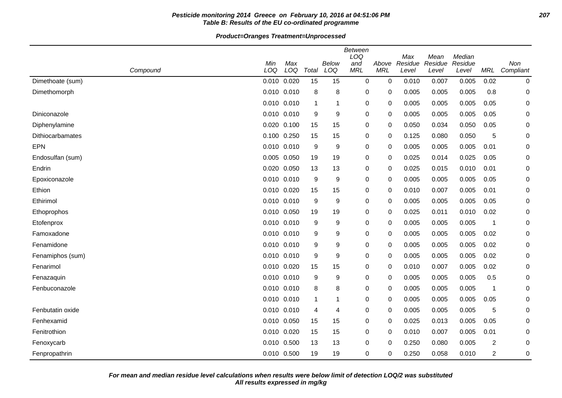## **Pesticide monitoring 2014 Greece on February 10, 2016 at 04:51:06 PM 207 Table B: Results of the EU co-ordinated programme**

**Product=Oranges Treatment=Unprocessed**

|                  |            |                 |              |                     | <b>Between</b><br>LOQ |                     | Max              | Mean             | Median           |      |                      |
|------------------|------------|-----------------|--------------|---------------------|-----------------------|---------------------|------------------|------------------|------------------|------|----------------------|
| Compound         | Min<br>LOQ | Max<br>LOQ      | Total        | <b>Below</b><br>LOQ | and<br><b>MRL</b>     | Above<br><b>MRL</b> | Residue<br>Level | Residue<br>Level | Residue<br>Level |      | Non<br>MRL Compliant |
| Dimethoate (sum) |            | 0.010 0.020     | 15           | 15                  | 0                     | $\mathbf 0$         | 0.010            | 0.007            | 0.005            | 0.02 | 0                    |
| Dimethomorph     |            | 0.010 0.010     | 8            | 8                   | 0                     | 0                   | 0.005            | 0.005            | 0.005            | 0.8  | $\mathbf 0$          |
|                  |            | 0.010 0.010     | 1            | 1                   | $\boldsymbol{0}$      | 0                   | 0.005            | 0.005            | 0.005            | 0.05 | 0                    |
| Diniconazole     |            | 0.010 0.010     | 9            | 9                   | 0                     | 0                   | 0.005            | 0.005            | 0.005            | 0.05 | 0                    |
| Diphenylamine    |            | 0.020 0.100     | 15           | 15                  | 0                     | 0                   | 0.050            | 0.034            | 0.050            | 0.05 | 0                    |
| Dithiocarbamates |            | 0.100 0.250     | 15           | 15                  | 0                     | 0                   | 0.125            | 0.080            | 0.050            | 5    | 0                    |
| <b>EPN</b>       |            | 0.010 0.010     | 9            | 9                   | 0                     | 0                   | 0.005            | 0.005            | 0.005            | 0.01 | 0                    |
| Endosulfan (sum) |            | 0.005 0.050     | 19           | 19                  | 0                     | 0                   | 0.025            | 0.014            | 0.025            | 0.05 | 0                    |
| Endrin           |            | 0.020 0.050     | 13           | 13                  | 0                     | 0                   | 0.025            | 0.015            | 0.010            | 0.01 | 0                    |
| Epoxiconazole    |            | 0.010 0.010     | 9            | 9                   | $\pmb{0}$             | 0                   | 0.005            | 0.005            | 0.005            | 0.05 | 0                    |
| Ethion           |            | 0.010 0.020     | 15           | 15                  | 0                     | 0                   | 0.010            | 0.007            | 0.005            | 0.01 | 0                    |
| Ethirimol        |            | 0.010 0.010     | 9            | 9                   | 0                     | 0                   | 0.005            | 0.005            | 0.005            | 0.05 | 0                    |
| Ethoprophos      |            | 0.010 0.050     | 19           | 19                  | $\boldsymbol{0}$      | $\mathbf 0$         | 0.025            | 0.011            | 0.010            | 0.02 | 0                    |
| Etofenprox       |            | 0.010 0.010     | 9            | 9                   | 0                     | $\mathbf 0$         | 0.005            | 0.005            | 0.005            | 1    | 0                    |
| Famoxadone       |            | 0.010 0.010     | 9            | 9                   | 0                     | $\mathbf 0$         | 0.005            | 0.005            | 0.005            | 0.02 | 0                    |
| Fenamidone       |            | $0.010$ $0.010$ | 9            | 9                   | 0                     | 0                   | 0.005            | 0.005            | 0.005            | 0.02 | 0                    |
| Fenamiphos (sum) |            | 0.010 0.010     | 9            | 9                   | 0                     | 0                   | 0.005            | 0.005            | 0.005            | 0.02 | 0                    |
| Fenarimol        |            | 0.010 0.020     | 15           | 15                  | 0                     | 0                   | 0.010            | 0.007            | 0.005            | 0.02 | 0                    |
| Fenazaquin       |            | 0.010 0.010     | 9            | 9                   | 0                     | 0                   | 0.005            | 0.005            | 0.005            | 0.5  | 0                    |
| Fenbuconazole    |            | 0.010 0.010     | 8            | 8                   | $\pmb{0}$             | 0                   | 0.005            | 0.005            | 0.005            | 1    | 0                    |
|                  |            | 0.010 0.010     | $\mathbf{1}$ | 1                   | 0                     | 0                   | 0.005            | 0.005            | 0.005            | 0.05 | 0                    |
| Fenbutatin oxide |            | 0.010 0.010     | 4            | 4                   | 0                     | 0                   | 0.005            | 0.005            | 0.005            | 5    | 0                    |
| Fenhexamid       |            | 0.010 0.050     | 15           | 15                  | 0                     | $\mathbf 0$         | 0.025            | 0.013            | 0.005            | 0.05 | $\mathbf 0$          |
| Fenitrothion     |            | 0.010 0.020     | 15           | 15                  | 0                     | $\mathbf 0$         | 0.010            | 0.007            | 0.005            | 0.01 | 0                    |
| Fenoxycarb       |            | 0.010 0.500     | 13           | 13                  | 0                     | 0                   | 0.250            | 0.080            | 0.005            | 2    | 0                    |
| Fenpropathrin    |            | 0.010 0.500     | 19           | 19                  | 0                     | 0                   | 0.250            | 0.058            | 0.010            | 2    | 0                    |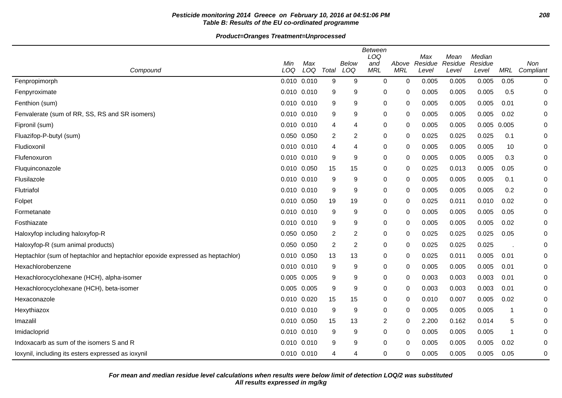## **Pesticide monitoring 2014 Greece on February 10, 2016 at 04:51:06 PM 208 Table B: Results of the EU co-ordinated programme**

|                                                                               |                 |            |       |                | Between<br>LOQ    |                     | Max            | Mean           | Median         |             |                  |
|-------------------------------------------------------------------------------|-----------------|------------|-------|----------------|-------------------|---------------------|----------------|----------------|----------------|-------------|------------------|
| Compound                                                                      | Min<br>LOQ      | Max<br>LOQ | Total | Below<br>LOQ   | and<br><b>MRL</b> | Above<br><b>MRL</b> | Residue        | Residue        | Residue        | <b>MRL</b>  | Non<br>Compliant |
|                                                                               | $0.010$ $0.010$ |            | 9     | 9              | 0                 | $\mathbf 0$         | Level<br>0.005 | Level<br>0.005 | Level<br>0.005 | 0.05        |                  |
| Fenpropimorph                                                                 |                 |            |       |                |                   |                     |                |                |                |             | 0                |
| Fenpyroximate                                                                 | 0.010 0.010     |            | 9     | 9              | 0                 | 0                   | 0.005          | 0.005          | 0.005          | 0.5         | $\mathbf 0$      |
| Fenthion (sum)                                                                | 0.010           | 0.010      | 9     | 9              | 0                 | 0                   | 0.005          | 0.005          | 0.005          | 0.01        | 0                |
| Fenvalerate (sum of RR, SS, RS and SR isomers)                                | 0.010 0.010     |            | 9     | 9              | 0                 | 0                   | 0.005          | 0.005          | 0.005          | 0.02        | 0                |
| Fipronil (sum)                                                                | $0.010$ $0.010$ |            | 4     | $\overline{4}$ | 0                 | 0                   | 0.005          | 0.005          | 0.005 0.005    |             | 0                |
| Fluazifop-P-butyl (sum)                                                       | 0.050 0.050     |            | 2     | $\overline{2}$ | 0                 | 0                   | 0.025          | 0.025          | 0.025          | 0.1         | 0                |
| Fludioxonil                                                                   | 0.010 0.010     |            | 4     | $\overline{4}$ | 0                 | 0                   | 0.005          | 0.005          | 0.005          | 10          | 0                |
| Flufenoxuron                                                                  | 0.010 0.010     |            | 9     | 9              | 0                 | 0                   | 0.005          | 0.005          | 0.005          | 0.3         | 0                |
| Fluquinconazole                                                               | 0.010 0.050     |            | 15    | 15             | 0                 | $\Omega$            | 0.025          | 0.013          | 0.005          | 0.05        | 0                |
| Flusilazole                                                                   | 0.010 0.010     |            | 9     | 9              | 0                 | 0                   | 0.005          | 0.005          | 0.005          | 0.1         | 0                |
| Flutriafol                                                                    | 0.010 0.010     |            | 9     | 9              | 0                 | 0                   | 0.005          | 0.005          | 0.005          | 0.2         | 0                |
| Folpet                                                                        | 0.010 0.050     |            | 19    | 19             | 0                 | 0                   | 0.025          | 0.011          | 0.010          | 0.02        | 0                |
| Formetanate                                                                   | 0.010 0.010     |            | 9     | 9              | 0                 | 0                   | 0.005          | 0.005          | 0.005          | 0.05        | 0                |
| Fosthiazate                                                                   | 0.010 0.010     |            | 9     | 9              | 0                 | 0                   | 0.005          | 0.005          | 0.005          | 0.02        | 0                |
| Haloxyfop including haloxyfop-R                                               | 0.050 0.050     |            | 2     | $\overline{2}$ | 0                 | 0                   | 0.025          | 0.025          | 0.025          | 0.05        | 0                |
| Haloxyfop-R (sum animal products)                                             | 0.050 0.050     |            | 2     | $\overline{2}$ | 0                 | 0                   | 0.025          | 0.025          | 0.025          |             | 0                |
| Heptachlor (sum of heptachlor and heptachlor epoxide expressed as heptachlor) | 0.010 0.050     |            | 13    | 13             | 0                 | 0                   | 0.025          | 0.011          | 0.005          | 0.01        | 0                |
| Hexachlorobenzene                                                             | 0.010 0.010     |            | 9     | 9              | 0                 | 0                   | 0.005          | 0.005          | 0.005          | 0.01        | 0                |
| Hexachlorocyclohexane (HCH), alpha-isomer                                     | 0.005 0.005     |            | 9     | 9              | 0                 | $\Omega$            | 0.003          | 0.003          | 0.003          | 0.01        | 0                |
| Hexachlorocyclohexane (HCH), beta-isomer                                      | 0.005           | 0.005      | 9     | 9              | 0                 | 0                   | 0.003          | 0.003          | 0.003          | 0.01        | 0                |
| Hexaconazole                                                                  | 0.010 0.020     |            | 15    | 15             | 0                 | 0                   | 0.010          | 0.007          | 0.005          | 0.02        | 0                |
| Hexythiazox                                                                   | 0.010 0.010     |            | 9     | 9              | 0                 | 0                   | 0.005          | 0.005          | 0.005          | $\mathbf 1$ | 0                |
| Imazalil                                                                      | 0.010           | 0.050      | 15    | 13             | $\overline{c}$    | 0                   | 2.200          | 0.162          | 0.014          | 5           | 0                |
| Imidacloprid                                                                  | 0.010 0.010     |            | 9     | 9              | 0                 | 0                   | 0.005          | 0.005          | 0.005          | -1          | 0                |
| Indoxacarb as sum of the isomers S and R                                      | 0.010 0.010     |            | 9     | 9              | 0                 | 0                   | 0.005          | 0.005          | 0.005          | 0.02        | 0                |
| loxynil, including its esters expressed as ioxynil                            | 0.010 0.010     |            | 4     | 4              | 0                 | 0                   | 0.005          | 0.005          | 0.005          | 0.05        | 0                |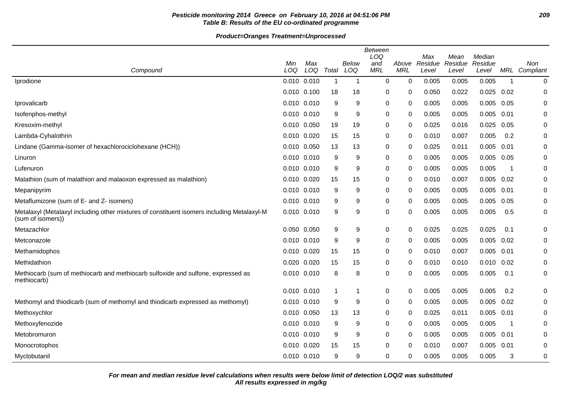## **Pesticide monitoring 2014 Greece on February 10, 2016 at 04:51:06 PM 209 Table B: Results of the EU co-ordinated programme**

|                                                                                                                 |             |            |             |                         | <b>Between</b><br>LOQ |                     | Max              | Mean             | Median           |      |                  |
|-----------------------------------------------------------------------------------------------------------------|-------------|------------|-------------|-------------------------|-----------------------|---------------------|------------------|------------------|------------------|------|------------------|
| Compound                                                                                                        | Min<br>LOQ  | Max<br>LOQ | Total       | Below<br>LOQ            | and<br><b>MRL</b>     | Above<br><b>MRL</b> | Residue<br>Level | Residue<br>Level | Residue<br>Level | MRL  | Non<br>Compliant |
| Iprodione                                                                                                       | 0.010 0.010 |            | $\mathbf 1$ | $\overline{\mathbf{1}}$ | 0                     | 0                   | 0.005            | 0.005            | 0.005            | -1   | 0                |
|                                                                                                                 | 0.010 0.100 |            | 18          | 18                      | 0                     | 0                   | 0.050            | 0.022            | 0.025            | 0.02 | 0                |
| Iprovalicarb                                                                                                    | 0.010 0.010 |            | 9           | 9                       | 0                     | 0                   | 0.005            | 0.005            | 0.005            | 0.05 | 0                |
| Isofenphos-methyl                                                                                               | 0.010 0.010 |            | 9           | 9                       | 0                     | $\Omega$            | 0.005            | 0.005            | 0.005            | 0.01 | 0                |
| Kresoxim-methyl                                                                                                 | 0.010 0.050 |            | 19          | 19                      | 0                     | 0                   | 0.025            | 0.016            | 0.025            | 0.05 | 0                |
| Lambda-Cyhalothrin                                                                                              | 0.010 0.020 |            | 15          | 15                      | 0                     | $\mathbf{0}$        | 0.010            | 0.007            | 0.005            | 0.2  | 0                |
| Lindane (Gamma-isomer of hexachlorociclohexane (HCH))                                                           | 0.010 0.050 |            | 13          | 13                      | 0                     | $\mathbf{0}$        | 0.025            | 0.011            | 0.005            | 0.01 | 0                |
| Linuron                                                                                                         | 0.010 0.010 |            | 9           | 9                       | 0                     | 0                   | 0.005            | 0.005            | 0.005 0.05       |      | 0                |
| Lufenuron                                                                                                       | 0.010 0.010 |            | 9           | 9                       | 0                     | 0                   | 0.005            | 0.005            | 0.005            | -1   | 0                |
| Malathion (sum of malathion and malaoxon expressed as malathion)                                                | 0.010 0.020 |            | 15          | 15                      | 0                     | $\mathbf{0}$        | 0.010            | 0.007            | 0.005            | 0.02 | 0                |
| Mepanipyrim                                                                                                     | 0.010 0.010 |            | 9           | 9                       | 0                     | 0                   | 0.005            | 0.005            | 0.005            | 0.01 | 0                |
| Metaflumizone (sum of E- and Z- isomers)                                                                        | 0.010 0.010 |            | 9           | 9                       | 0                     | $\mathbf{0}$        | 0.005            | 0.005            | 0.005            | 0.05 | 0                |
| Metalaxyl (Metalaxyl including other mixtures of constituent isomers including Metalaxyl-M<br>(sum of isomers)) | 0.010 0.010 |            | 9           | 9                       | 0                     | $\Omega$            | 0.005            | 0.005            | 0.005            | 0.5  | 0                |
| Metazachlor                                                                                                     | 0.050 0.050 |            | 9           | 9                       | 0                     | 0                   | 0.025            | 0.025            | 0.025            | 0.1  | 0                |
| Metconazole                                                                                                     | 0.010 0.010 |            | 9           | 9                       | 0                     | 0                   | 0.005            | 0.005            | 0.005            | 0.02 | 0                |
| Methamidophos                                                                                                   | 0.010 0.020 |            | 15          | 15                      | 0                     | $\Omega$            | 0.010            | 0.007            | 0.005            | 0.01 | 0                |
| Methidathion                                                                                                    | 0.020 0.020 |            | 15          | 15                      | 0                     | $\Omega$            | 0.010            | 0.010            | $0.010$ $0.02$   |      | 0                |
| Methiocarb (sum of methiocarb and methiocarb sulfoxide and sulfone, expressed as<br>methiocarb)                 | 0.010 0.010 |            | 8           | 8                       | 0                     | 0                   | 0.005            | 0.005            | 0.005            | 0.1  | 0                |
|                                                                                                                 | 0.010 0.010 |            |             | 1                       | 0                     | 0                   | 0.005            | 0.005            | 0.005            | 0.2  | 0                |
| Methomyl and thiodicarb (sum of methomyl and thiodicarb expressed as methomyl)                                  | 0.010 0.010 |            | 9           | 9                       | 0                     | 0                   | 0.005            | 0.005            | 0.005            | 0.02 | 0                |
| Methoxychlor                                                                                                    | 0.010 0.050 |            | 13          | 13                      | 0                     | $\Omega$            | 0.025            | 0.011            | 0.005            | 0.01 | 0                |
| Methoxyfenozide                                                                                                 | 0.010 0.010 |            | 9           | 9                       | 0                     | 0                   | 0.005            | 0.005            | 0.005            | -1   | 0                |
| Metobromuron                                                                                                    | 0.010 0.010 |            | 9           | 9                       | 0                     | $\Omega$            | 0.005            | 0.005            | $0.005$ 0.01     |      | 0                |
| Monocrotophos                                                                                                   | 0.010 0.020 |            | 15          | 15                      | 0                     | $\Omega$            | 0.010            | 0.007            | 0.005            | 0.01 | 0                |
| Myclobutanil                                                                                                    | 0.010 0.010 |            | 9           | 9                       | 0                     | 0                   | 0.005            | 0.005            | 0.005            | 3    | 0                |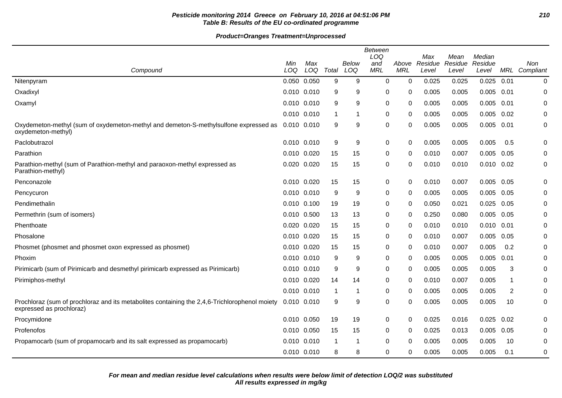## **Pesticide monitoring 2014 Greece on February 10, 2016 at 04:51:06 PM 210 Table B: Results of the EU co-ordinated programme**

| Compound                                                                                                                  | Min<br>LOQ  | Max<br>LOQ | Total | Below<br>LOQ | <b>Between</b><br>LOQ<br>and<br><b>MRL</b> | Above<br><b>MRL</b> | Max<br>Residue<br>Level | Mean<br>Residue<br>Level | Median<br>Residue<br>Level |      | Non<br>MRL Compliant |
|---------------------------------------------------------------------------------------------------------------------------|-------------|------------|-------|--------------|--------------------------------------------|---------------------|-------------------------|--------------------------|----------------------------|------|----------------------|
| Nitenpyram                                                                                                                | 0.050 0.050 |            | 9     | 9            | 0                                          | 0                   | 0.025                   | 0.025                    | 0.025                      | 0.01 | 0                    |
| Oxadixyl                                                                                                                  | 0.010 0.010 |            | 9     | 9            | 0                                          | 0                   | 0.005                   | 0.005                    | $0.005$ 0.01               |      | 0                    |
| Oxamyl                                                                                                                    | 0.010 0.010 |            | 9     | 9            | 0                                          | 0                   | 0.005                   | 0.005                    | 0.005                      | 0.01 | 0                    |
|                                                                                                                           | 0.010 0.010 |            |       | 1            | 0                                          | 0                   | 0.005                   | 0.005                    | 0.005                      | 0.02 | 0                    |
| Oxydemeton-methyl (sum of oxydemeton-methyl and demeton-S-methylsulfone expressed as<br>oxydemeton-methyl)                | 0.010 0.010 |            | 9     | 9            | 0                                          | 0                   | 0.005                   | 0.005                    | 0.005                      | 0.01 | 0                    |
| Paclobutrazol                                                                                                             | 0.010 0.010 |            | 9     | 9            | 0                                          | 0                   | 0.005                   | 0.005                    | 0.005                      | 0.5  | 0                    |
| Parathion                                                                                                                 | 0.010 0.020 |            | 15    | 15           | 0                                          | 0                   | 0.010                   | 0.007                    | 0.005                      | 0.05 | 0                    |
| Parathion-methyl (sum of Parathion-methyl and paraoxon-methyl expressed as<br>Parathion-methyl)                           | 0.020 0.020 |            | 15    | 15           | 0                                          | 0                   | 0.010                   | 0.010                    | 0.010                      | 0.02 | 0                    |
| Penconazole                                                                                                               | 0.010 0.020 |            | 15    | 15           | 0                                          | 0                   | 0.010                   | 0.007                    | 0.005                      | 0.05 | 0                    |
| Pencycuron                                                                                                                | 0.010 0.010 |            | 9     | 9            | 0                                          | 0                   | 0.005                   | 0.005                    | 0.005                      | 0.05 | 0                    |
| Pendimethalin                                                                                                             | 0.010 0.100 |            | 19    | 19           | 0                                          | 0                   | 0.050                   | 0.021                    | 0.025                      | 0.05 | 0                    |
| Permethrin (sum of isomers)                                                                                               | 0.010 0.500 |            | 13    | 13           | 0                                          | 0                   | 0.250                   | 0.080                    | 0.005                      | 0.05 | 0                    |
| Phenthoate                                                                                                                | 0.020 0.020 |            | 15    | 15           | 0                                          | 0                   | 0.010                   | 0.010                    | $0.010$ $0.01$             |      | 0                    |
| Phosalone                                                                                                                 | 0.010 0.020 |            | 15    | 15           | 0                                          | 0                   | 0.010                   | 0.007                    | 0.005                      | 0.05 | 0                    |
| Phosmet (phosmet and phosmet oxon expressed as phosmet)                                                                   | 0.010 0.020 |            | 15    | 15           | 0                                          | 0                   | 0.010                   | 0.007                    | 0.005                      | 0.2  | 0                    |
| Phoxim                                                                                                                    | 0.010 0.010 |            | 9     | 9            | 0                                          | 0                   | 0.005                   | 0.005                    | 0.005                      | 0.01 | 0                    |
| Pirimicarb (sum of Pirimicarb and desmethyl pirimicarb expressed as Pirimicarb)                                           | 0.010 0.010 |            | 9     | 9            | 0                                          | 0                   | 0.005                   | 0.005                    | 0.005                      | 3    | 0                    |
| Pirimiphos-methyl                                                                                                         | 0.010 0.020 |            | 14    | 14           | 0                                          | 0                   | 0.010                   | 0.007                    | 0.005                      | 1    | 0                    |
|                                                                                                                           | 0.010 0.010 |            |       | 1            | 0                                          | $\Omega$            | 0.005                   | 0.005                    | 0.005                      | 2    | $\Omega$             |
| Prochloraz (sum of prochloraz and its metabolites containing the 2,4,6-Trichlorophenol moiety<br>expressed as prochloraz) | 0.010 0.010 |            | 9     | 9            | 0                                          | $\Omega$            | 0.005                   | 0.005                    | 0.005                      | 10   | 0                    |
| Procymidone                                                                                                               | 0.010 0.050 |            | 19    | 19           | 0                                          | 0                   | 0.025                   | 0.016                    | 0.025                      | 0.02 | 0                    |
| Profenofos                                                                                                                | 0.010 0.050 |            | 15    | 15           | 0                                          | 0                   | 0.025                   | 0.013                    | 0.005                      | 0.05 | 0                    |
| Propamocarb (sum of propamocarb and its salt expressed as propamocarb)                                                    | 0.010 0.010 |            |       | -1           | 0                                          | 0                   | 0.005                   | 0.005                    | 0.005                      | 10   | 0                    |
|                                                                                                                           | 0.010 0.010 |            | 8     | 8            | 0                                          | 0                   | 0.005                   | 0.005                    | 0.005                      | 0.1  | 0                    |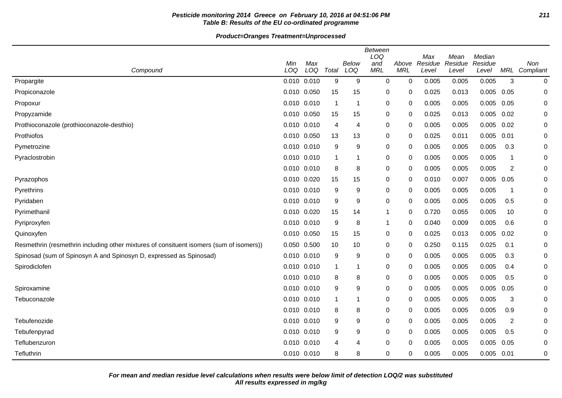## **Pesticide monitoring 2014 Greece on February 10, 2016 at 04:51:06 PM 211 Table B: Results of the EU co-ordinated programme**

|                                                                                         |             |            |                |              | Between<br>LOQ    |                     | Max              | Mean             | Median           |              |                      |
|-----------------------------------------------------------------------------------------|-------------|------------|----------------|--------------|-------------------|---------------------|------------------|------------------|------------------|--------------|----------------------|
| Compound                                                                                | Min<br>LOQ  | Max<br>LOQ | Total          | Below<br>LOQ | and<br><b>MRL</b> | Above<br><b>MRL</b> | Residue<br>Level | Residue<br>Level | Residue<br>Level |              | Non<br>MRL Compliant |
| Propargite                                                                              | 0.010 0.010 |            | 9              | 9            | 0                 | 0                   | 0.005            | 0.005            | 0.005            | 3            | $\pmb{0}$            |
| Propiconazole                                                                           | 0.010 0.050 |            | 15             | 15           | 0                 | 0                   | 0.025            | 0.013            | 0.005            | 0.05         | 0                    |
| Propoxur                                                                                | 0.010 0.010 |            | $\overline{1}$ | -1           | 0                 | 0                   | 0.005            | 0.005            | 0.005            | 0.05         | 0                    |
| Propyzamide                                                                             | 0.010 0.050 |            | 15             | 15           | 0                 | 0                   | 0.025            | 0.013            | 0.005            | 0.02         | 0                    |
| Prothioconazole (prothioconazole-desthio)                                               | 0.010 0.010 |            | 4              | 4            | 0                 | 0                   | 0.005            | 0.005            | 0.005            | 0.02         | 0                    |
| Prothiofos                                                                              | 0.010 0.050 |            | 13             | 13           | 0                 | 0                   | 0.025            | 0.011            | 0.005            | 0.01         | 0                    |
| Pymetrozine                                                                             | 0.010 0.010 |            | 9              | 9            | 0                 | 0                   | 0.005            | 0.005            | 0.005            | 0.3          | 0                    |
| Pyraclostrobin                                                                          | 0.010 0.010 |            | $\mathbf 1$    | 1            | 0                 | $\Omega$            | 0.005            | 0.005            | 0.005            | $\mathbf{1}$ | $\mathbf 0$          |
|                                                                                         | 0.010 0.010 |            | 8              | 8            | 0                 | 0                   | 0.005            | 0.005            | 0.005            | 2            | $\mathbf 0$          |
| Pyrazophos                                                                              | 0.010 0.020 |            | 15             | 15           | 0                 | 0                   | 0.010            | 0.007            | 0.005            | 0.05         | 0                    |
| Pyrethrins                                                                              | 0.010 0.010 |            | 9              | 9            | 0                 | 0                   | 0.005            | 0.005            | 0.005            | -1           | 0                    |
| Pyridaben                                                                               | 0.010 0.010 |            | 9              | 9            | 0                 | 0                   | 0.005            | 0.005            | 0.005            | 0.5          | 0                    |
| Pyrimethanil                                                                            | 0.010 0.020 |            | 15             | 14           | 1                 | 0                   | 0.720            | 0.055            | 0.005            | 10           | 0                    |
| Pyriproxyfen                                                                            | 0.010 0.010 |            | 9              | 8            | -1                | 0                   | 0.040            | 0.009            | 0.005            | 0.6          | 0                    |
| Quinoxyfen                                                                              | 0.010 0.050 |            | 15             | 15           | 0                 | 0                   | 0.025            | 0.013            | 0.005            | 0.02         | 0                    |
| Resmethrin (resmethrin including other mixtures of consituent isomers (sum of isomers)) | 0.050 0.500 |            | 10             | 10           | 0                 | 0                   | 0.250            | 0.115            | 0.025            | 0.1          | 0                    |
| Spinosad (sum of Spinosyn A and Spinosyn D, expressed as Spinosad)                      | 0.010 0.010 |            | 9              | 9            | 0                 | 0                   | 0.005            | 0.005            | 0.005            | 0.3          | 0                    |
| Spirodiclofen                                                                           | 0.010 0.010 |            | $\mathbf 1$    | 1            | 0                 | 0                   | 0.005            | 0.005            | 0.005            | 0.4          | 0                    |
|                                                                                         | 0.010 0.010 |            | 8              | 8            | 0                 | 0                   | 0.005            | 0.005            | 0.005            | 0.5          | 0                    |
| Spiroxamine                                                                             | 0.010 0.010 |            | 9              | 9            | 0                 | 0                   | 0.005            | 0.005            | 0.005            | 0.05         | 0                    |
| Tebuconazole                                                                            | 0.010 0.010 |            | $\mathbf 1$    | 1            | 0                 | 0                   | 0.005            | 0.005            | 0.005            | 3            | 0                    |
|                                                                                         | 0.010 0.010 |            | 8              | 8            | 0                 | 0                   | 0.005            | 0.005            | 0.005            | 0.9          | 0                    |
| Tebufenozide                                                                            | 0.010 0.010 |            | 9              | 9            | 0                 | $\Omega$            | 0.005            | 0.005            | 0.005            | 2            | 0                    |
| Tebufenpyrad                                                                            | 0.010 0.010 |            | 9              | 9            | 0                 | 0                   | 0.005            | 0.005            | 0.005            | 0.5          | 0                    |
| Teflubenzuron                                                                           | 0.010 0.010 |            | 4              | 4            | 0                 | 0                   | 0.005            | 0.005            | 0.005            | 0.05         | 0                    |
| Tefluthrin                                                                              | 0.010 0.010 |            | 8              | 8            | 0                 | 0                   | 0.005            | 0.005            | 0.005            | 0.01         | $\mathbf 0$          |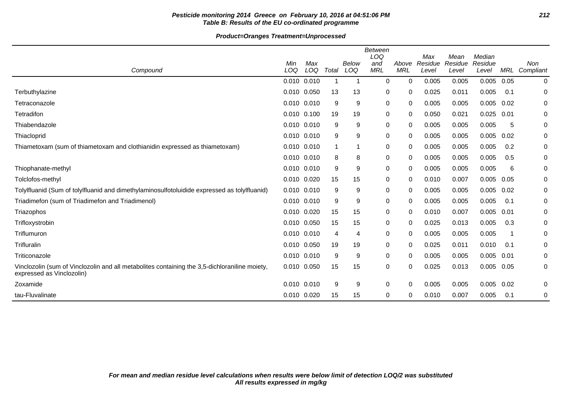## **Pesticide monitoring 2014 Greece on February 10, 2016 at 04:51:06 PM 212 Table B: Results of the EU co-ordinated programme**

| Compound                                                                                                                   | Min<br>LOQ      | Max<br>LOQ | Total | <b>Below</b><br>LOQ | Between<br>LOQ<br>and<br><b>MRL</b> | Above<br><b>MRL</b> | Max<br>Residue<br>Level | Mean<br>Residue<br>Level | Median<br>Residue<br>Level | <b>MRL</b> | Non<br>Compliant |
|----------------------------------------------------------------------------------------------------------------------------|-----------------|------------|-------|---------------------|-------------------------------------|---------------------|-------------------------|--------------------------|----------------------------|------------|------------------|
|                                                                                                                            | 0.010 0.010     |            |       | 1                   | $\Omega$                            | $\Omega$            | 0.005                   | 0.005                    | 0.005                      | 0.05       | 0                |
| Terbuthylazine                                                                                                             | 0.010 0.050     |            | 13    | 13                  | 0                                   | 0                   | 0.025                   | 0.011                    | 0.005                      | 0.1        | 0                |
| Tetraconazole                                                                                                              | 0.010 0.010     |            | 9     | 9                   | 0                                   | 0                   | 0.005                   | 0.005                    | 0.005                      | 0.02       | 0                |
| Tetradifon                                                                                                                 | 0.010 0.100     |            | 19    | 19                  | $\mathbf 0$                         | 0                   | 0.050                   | 0.021                    | 0.025                      | 0.01       | 0                |
| Thiabendazole                                                                                                              | 0.010 0.010     |            | 9     | 9                   | 0                                   | 0                   | 0.005                   | 0.005                    | 0.005                      | 5          | 0                |
| Thiacloprid                                                                                                                | 0.010 0.010     |            | 9     | 9                   | 0                                   | 0                   | 0.005                   | 0.005                    | 0.005                      | 0.02       | 0                |
| Thiametoxam (sum of thiametoxam and clothianidin expressed as thiametoxam)                                                 | 0.010 0.010     |            |       | 1                   | $\pmb{0}$                           | 0                   | 0.005                   | 0.005                    | 0.005                      | 0.2        | $\pmb{0}$        |
|                                                                                                                            | 0.010 0.010     |            | 8     | 8                   | 0                                   | 0                   | 0.005                   | 0.005                    | 0.005                      | 0.5        | 0                |
| Thiophanate-methyl                                                                                                         | 0.010 0.010     |            | 9     | 9                   | 0                                   | 0                   | 0.005                   | 0.005                    | 0.005                      | 6          | 0                |
| Tolclofos-methyl                                                                                                           | 0.010 0.020     |            | 15    | 15                  | 0                                   | 0                   | 0.010                   | 0.007                    | 0.005                      | 0.05       | 0                |
| Tolylfluanid (Sum of tolylfluanid and dimethylaminosulfotoluidide expressed as tolylfluanid)                               | 0.010           | 0.010      | 9     | 9                   | 0                                   | 0                   | 0.005                   | 0.005                    | 0.005                      | 0.02       | 0                |
| Triadimefon (sum of Triadimefon and Triadimenol)                                                                           | 0.010 0.010     |            | 9     | 9                   | 0                                   | 0                   | 0.005                   | 0.005                    | 0.005                      | 0.1        | 0                |
| Triazophos                                                                                                                 | 0.010 0.020     |            | 15    | 15                  | 0                                   | 0                   | 0.010                   | 0.007                    | 0.005                      | 0.01       | 0                |
| Trifloxystrobin                                                                                                            | 0.010 0.050     |            | 15    | 15                  | 0                                   | 0                   | 0.025                   | 0.013                    | 0.005                      | 0.3        | 0                |
| Triflumuron                                                                                                                | 0.010 0.010     |            | 4     | 4                   | 0                                   | 0                   | 0.005                   | 0.005                    | 0.005                      |            | 0                |
| Trifluralin                                                                                                                | 0.010 0.050     |            | 19    | 19                  | 0                                   | 0                   | 0.025                   | 0.011                    | 0.010                      | 0.1        | 0                |
| Triticonazole                                                                                                              | 0.010           | 0.010      | 9     | 9                   | 0                                   | 0                   | 0.005                   | 0.005                    | 0.005                      | 0.01       | 0                |
| Vinclozolin (sum of Vinclozolin and all metabolites containing the 3,5-dichloraniline moiety,<br>expressed as Vinclozolin) | 0.010 0.050     |            | 15    | 15                  | $\mathbf 0$                         | 0                   | 0.025                   | 0.013                    | 0.005                      | 0.05       | 0                |
| Zoxamide                                                                                                                   | $0.010$ $0.010$ |            | 9     | 9                   | $\mathbf 0$                         | 0                   | 0.005                   | 0.005                    | 0.005                      | 0.02       | 0                |
| tau-Fluvalinate                                                                                                            | 0.010 0.020     |            | 15    | 15                  | 0                                   | 0                   | 0.010                   | 0.007                    | 0.005                      | 0.1        | 0                |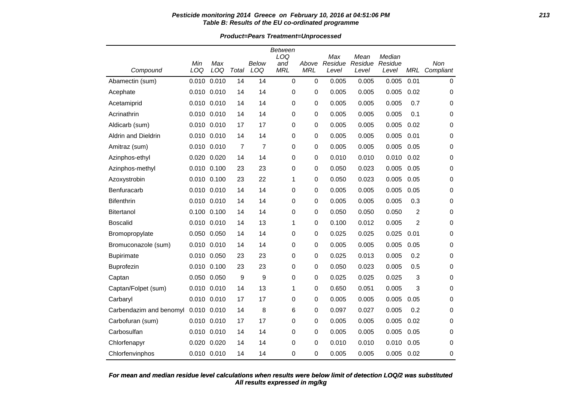### **Pesticide monitoring 2014 Greece on February 10, 2016 at 04:51:06 PM 213 Table B: Results of the EU co-ordinated programme**

**Product=Pears Treatment=Unprocessed**

|                         |             |             |                |                | Between<br>LOQ    |                     | Max              | Mean             | Median           |                | Non         |
|-------------------------|-------------|-------------|----------------|----------------|-------------------|---------------------|------------------|------------------|------------------|----------------|-------------|
| Compound                | Min<br>LOQ  | Max<br>LOQ  | Total          | Below<br>LOQ   | and<br><b>MRL</b> | Above<br><b>MRL</b> | Residue<br>Level | Residue<br>Level | Residue<br>Level | <b>MRL</b>     | Compliant   |
| Abamectin (sum)         | 0.010       | 0.010       | 14             | 14             | $\mathbf 0$       | $\mathbf 0$         | 0.005            | 0.005            | 0.005            | 0.01           | $\mathbf 0$ |
| Acephate                | 0.010 0.010 |             | 14             | 14             | 0                 | 0                   | 0.005            | 0.005            | 0.005            | 0.02           | 0           |
| Acetamiprid             | 0.010 0.010 |             | 14             | 14             | 0                 | 0                   | 0.005            | 0.005            | 0.005            | 0.7            | 0           |
| Acrinathrin             |             | 0.010 0.010 | 14             | 14             | 0                 | 0                   | 0.005            | 0.005            | 0.005            | 0.1            | 0           |
| Aldicarb (sum)          | 0.010 0.010 |             | 17             | 17             | 0                 | 0                   | 0.005            | 0.005            | 0.005            | 0.02           | 0           |
| Aldrin and Dieldrin     |             | 0.010 0.010 | 14             | 14             | 0                 | 0                   | 0.005            | 0.005            | 0.005            | 0.01           | 0           |
| Amitraz (sum)           |             | 0.010 0.010 | $\overline{7}$ | $\overline{7}$ | 0                 | 0                   | 0.005            | 0.005            | 0.005            | 0.05           | 0           |
| Azinphos-ethyl          | 0.020 0.020 |             | 14             | 14             | $\mathbf 0$       | 0                   | 0.010            | 0.010            | 0.010            | 0.02           | 0           |
| Azinphos-methyl         |             | 0.010 0.100 | 23             | 23             | 0                 | 0                   | 0.050            | 0.023            | 0.005            | 0.05           | 0           |
| Azoxystrobin            | 0.010 0.100 |             | 23             | 22             | 1                 | 0                   | 0.050            | 0.023            | 0.005            | 0.05           | 0           |
| Benfuracarb             |             | 0.010 0.010 | 14             | 14             | 0                 | 0                   | 0.005            | 0.005            | 0.005            | 0.05           | $\mathbf 0$ |
| <b>Bifenthrin</b>       |             | 0.010 0.010 | 14             | 14             | 0                 | 0                   | 0.005            | 0.005            | 0.005            | 0.3            | 0           |
| <b>Bitertanol</b>       | 0.100 0.100 |             | 14             | 14             | 0                 | 0                   | 0.050            | 0.050            | 0.050            | $\overline{c}$ | 0           |
| <b>Boscalid</b>         |             | 0.010 0.010 | 14             | 13             | 1                 | 0                   | 0.100            | 0.012            | 0.005            | 2              | $\mathbf 0$ |
| Bromopropylate          | 0.050 0.050 |             | 14             | 14             | 0                 | 0                   | 0.025            | 0.025            | 0.025            | 0.01           | 0           |
| Bromuconazole (sum)     | 0.010 0.010 |             | 14             | 14             | 0                 | 0                   | 0.005            | 0.005            | 0.005            | 0.05           | 0           |
| <b>Bupirimate</b>       |             | 0.010 0.050 | 23             | 23             | 0                 | 0                   | 0.025            | 0.013            | 0.005            | 0.2            | 0           |
| <b>Buprofezin</b>       |             | 0.010 0.100 | 23             | 23             | 0                 | 0                   | 0.050            | 0.023            | 0.005            | 0.5            | 0           |
| Captan                  |             | 0.050 0.050 | 9              | 9              | 0                 | 0                   | 0.025            | 0.025            | 0.025            | 3              | 0           |
| Captan/Folpet (sum)     |             | 0.010 0.010 | 14             | 13             | 1                 | 0                   | 0.650            | 0.051            | 0.005            | 3              | 0           |
| Carbaryl                | 0.010 0.010 |             | 17             | 17             | 0                 | 0                   | 0.005            | 0.005            | 0.005            | 0.05           | 0           |
| Carbendazim and benomyl | 0.010 0.010 |             | 14             | 8              | 6                 | 0                   | 0.097            | 0.027            | 0.005            | 0.2            | 0           |
| Carbofuran (sum)        | 0.010 0.010 |             | 17             | 17             | 0                 | 0                   | 0.005            | 0.005            | 0.005            | 0.02           | 0           |
| Carbosulfan             |             | 0.010 0.010 | 14             | 14             | 0                 | $\mathbf 0$         | 0.005            | 0.005            | 0.005            | 0.05           | $\mathbf 0$ |
| Chlorfenapyr            |             | 0.020 0.020 | 14             | 14             | 0                 | 0                   | 0.010            | 0.010            | 0.010            | 0.05           | 0           |
| Chlorfenvinphos         |             | 0.010 0.010 | 14             | 14             | $\Omega$          | $\mathbf{0}$        | 0.005            | 0.005            | 0.005            | 0.02           | 0           |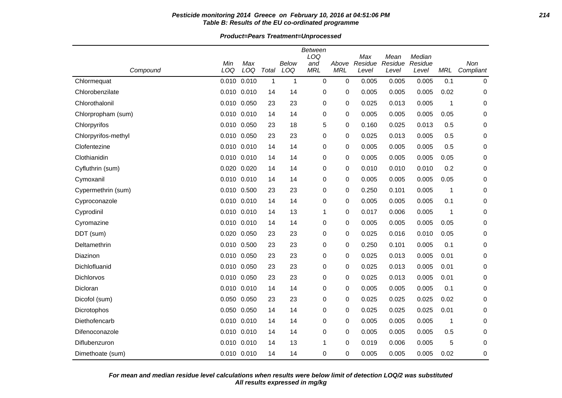### **Pesticide monitoring 2014 Greece on February 10, 2016 at 04:51:06 PM 214 Table B: Results of the EU co-ordinated programme**

**Product=Pears Treatment=Unprocessed**

|                     |             |       |              |              | Between     |            |                |                 |                   |             |             |
|---------------------|-------------|-------|--------------|--------------|-------------|------------|----------------|-----------------|-------------------|-------------|-------------|
|                     | Min         | Max   |              | <b>Below</b> | LOQ<br>and  | Above      | Max<br>Residue | Mean<br>Residue | Median<br>Residue |             | Non         |
| Compound            | LOQ         | LOQ   | Total        | LOQ          | <b>MRL</b>  | <b>MRL</b> | Level          | Level           | Level             | MRL         | Compliant   |
| Chlormequat         | 0.010       | 0.010 | $\mathbf{1}$ | $\mathbf 1$  | $\mathbf 0$ | 0          | 0.005          | 0.005           | 0.005             | 0.1         | 0           |
| Chlorobenzilate     | 0.010 0.010 |       | 14           | 14           | 0           | 0          | 0.005          | 0.005           | 0.005             | 0.02        | 0           |
| Chlorothalonil      | 0.010 0.050 |       | 23           | 23           | 0           | 0          | 0.025          | 0.013           | 0.005             | 1           | 0           |
| Chlorpropham (sum)  | 0.010 0.010 |       | 14           | 14           | 0           | 0          | 0.005          | 0.005           | 0.005             | 0.05        | 0           |
| Chlorpyrifos        | 0.010 0.050 |       | 23           | 18           | 5           | 0          | 0.160          | 0.025           | 0.013             | 0.5         | 0           |
| Chlorpyrifos-methyl | 0.010 0.050 |       | 23           | 23           | 0           | 0          | 0.025          | 0.013           | 0.005             | 0.5         | 0           |
| Clofentezine        | 0.010 0.010 |       | 14           | 14           | 0           | 0          | 0.005          | 0.005           | 0.005             | 0.5         | 0           |
| Clothianidin        | 0.010 0.010 |       | 14           | 14           | 0           | 0          | 0.005          | 0.005           | 0.005             | 0.05        | 0           |
| Cyfluthrin (sum)    | 0.020 0.020 |       | 14           | 14           | 0           | 0          | 0.010          | 0.010           | 0.010             | 0.2         | 0           |
| Cymoxanil           | 0.010 0.010 |       | 14           | 14           | 0           | 0          | 0.005          | 0.005           | 0.005             | 0.05        | 0           |
| Cypermethrin (sum)  | 0.010 0.500 |       | 23           | 23           | 0           | 0          | 0.250          | 0.101           | 0.005             | $\mathbf 1$ | 0           |
| Cyproconazole       | 0.010 0.010 |       | 14           | 14           | 0           | 0          | 0.005          | 0.005           | 0.005             | 0.1         | 0           |
| Cyprodinil          | 0.010 0.010 |       | 14           | 13           | 1           | 0          | 0.017          | 0.006           | 0.005             | 1           | 0           |
| Cyromazine          | 0.010 0.010 |       | 14           | 14           | 0           | 0          | 0.005          | 0.005           | 0.005             | 0.05        | 0           |
| DDT (sum)           | 0.020 0.050 |       | 23           | 23           | 0           | 0          | 0.025          | 0.016           | 0.010             | 0.05        | 0           |
| Deltamethrin        | 0.010       | 0.500 | 23           | 23           | 0           | 0          | 0.250          | 0.101           | 0.005             | 0.1         | $\pmb{0}$   |
| Diazinon            | 0.010 0.050 |       | 23           | 23           | 0           | 0          | 0.025          | 0.013           | 0.005             | 0.01        | 0           |
| Dichlofluanid       | 0.010 0.050 |       | 23           | 23           | 0           | 0          | 0.025          | 0.013           | 0.005             | 0.01        | 0           |
| Dichlorvos          | 0.010 0.050 |       | 23           | 23           | 0           | 0          | 0.025          | 0.013           | 0.005             | 0.01        | 0           |
| Dicloran            | 0.010 0.010 |       | 14           | 14           | 0           | 0          | 0.005          | 0.005           | 0.005             | 0.1         | 0           |
| Dicofol (sum)       | 0.050 0.050 |       | 23           | 23           | 0           | 0          | 0.025          | 0.025           | 0.025             | 0.02        | 0           |
| Dicrotophos         | 0.050 0.050 |       | 14           | 14           | 0           | 0          | 0.025          | 0.025           | 0.025             | 0.01        | 0           |
| Diethofencarb       | 0.010 0.010 |       | 14           | 14           | 0           | 0          | 0.005          | 0.005           | 0.005             | $\mathbf 1$ | 0           |
| Difenoconazole      | 0.010 0.010 |       | 14           | 14           | 0           | 0          | 0.005          | 0.005           | 0.005             | 0.5         | 0           |
| Diflubenzuron       | 0.010 0.010 |       | 14           | 13           | 1           | 0          | 0.019          | 0.006           | 0.005             | 5           | 0           |
| Dimethoate (sum)    | 0.010 0.010 |       | 14           | 14           | $\Omega$    | 0          | 0.005          | 0.005           | 0.005             | 0.02        | $\mathbf 0$ |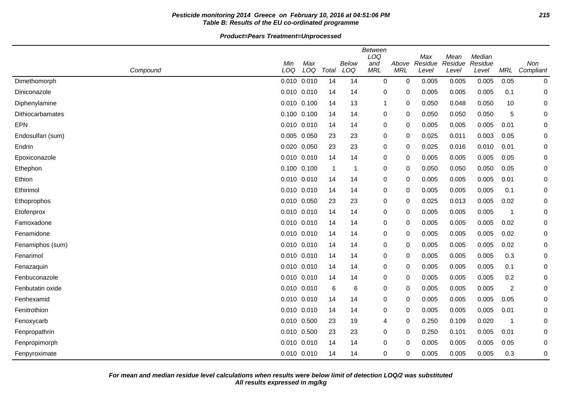## **Pesticide monitoring 2014 Greece on February 10, 2016 at 04:51:06 PM 215 Table B: Results of the EU co-ordinated programme**

**Product=Pears Treatment=Unprocessed**

|                  | Compound | Min<br>LOQ | Max<br>LOQ      | Total          | Below<br>LOQ | Between<br>LOQ<br>and<br><b>MRL</b> | Above<br><b>MRL</b> | Max<br>Residue<br>Level | Mean<br>Residue<br>Level | Median<br>Residue<br>Level | MRL            | Non<br>Compliant |
|------------------|----------|------------|-----------------|----------------|--------------|-------------------------------------|---------------------|-------------------------|--------------------------|----------------------------|----------------|------------------|
| Dimethomorph     |          |            | 0.010 0.010     | 14             | 14           | 0                                   | 0                   | 0.005                   | 0.005                    | 0.005                      | 0.05           | 0                |
| Diniconazole     |          |            | 0.010 0.010     | 14             | 14           | 0                                   | 0                   | 0.005                   | 0.005                    | 0.005                      | 0.1            | 0                |
| Diphenylamine    |          |            | $0.010$ $0.100$ | 14             | 13           | 1                                   | 0                   | 0.050                   | 0.048                    | 0.050                      | 10             | 0                |
| Dithiocarbamates |          |            | $0.100$ $0.100$ | 14             | 14           | 0                                   | 0                   | 0.050                   | 0.050                    | 0.050                      | 5              | 0                |
| <b>EPN</b>       |          |            | $0.010$ $0.010$ | 14             | 14           | 0                                   | 0                   | 0.005                   | 0.005                    | 0.005                      | 0.01           | 0                |
| Endosulfan (sum) |          |            | 0.005 0.050     | 23             | 23           | 0                                   | 0                   | 0.025                   | 0.011                    | 0.003                      | 0.05           | 0                |
| Endrin           |          |            | 0.020 0.050     | 23             | 23           | 0                                   | 0                   | 0.025                   | 0.016                    | 0.010                      | 0.01           | 0                |
| Epoxiconazole    |          |            | $0.010$ $0.010$ | 14             | 14           | 0                                   | 0                   | 0.005                   | 0.005                    | 0.005                      | 0.05           | 0                |
| Ethephon         |          |            | 0.100 0.100     | $\overline{1}$ | -1           | 0                                   | 0                   | 0.050                   | 0.050                    | 0.050                      | 0.05           | 0                |
| Ethion           |          |            | 0.010 0.010     | 14             | 14           | 0                                   | 0                   | 0.005                   | 0.005                    | 0.005                      | 0.01           | 0                |
| Ethirimol        |          |            | $0.010$ $0.010$ | 14             | 14           | 0                                   | 0                   | 0.005                   | 0.005                    | 0.005                      | 0.1            | 0                |
| Ethoprophos      |          |            | 0.010 0.050     | 23             | 23           | 0                                   | 0                   | 0.025                   | 0.013                    | 0.005                      | 0.02           | 0                |
| Etofenprox       |          |            | 0.010 0.010     | 14             | 14           | 0                                   | 0                   | 0.005                   | 0.005                    | 0.005                      | -1             | 0                |
| Famoxadone       |          |            | $0.010$ $0.010$ | 14             | 14           | 0                                   | 0                   | 0.005                   | 0.005                    | 0.005                      | 0.02           | 0                |
| Fenamidone       |          |            | 0.010 0.010     | 14             | 14           | 0                                   | 0                   | 0.005                   | 0.005                    | 0.005                      | 0.02           | 0                |
| Fenamiphos (sum) |          |            | 0.010 0.010     | 14             | 14           | 0                                   | 0                   | 0.005                   | 0.005                    | 0.005                      | 0.02           | 0                |
| Fenarimol        |          |            | $0.010$ $0.010$ | 14             | 14           | 0                                   | 0                   | 0.005                   | 0.005                    | 0.005                      | 0.3            | 0                |
| Fenazaquin       |          |            | $0.010$ $0.010$ | 14             | 14           | 0                                   | 0                   | 0.005                   | 0.005                    | 0.005                      | 0.1            | 0                |
| Fenbuconazole    |          |            | 0.010 0.010     | 14             | 14           | 0                                   | 0                   | 0.005                   | 0.005                    | 0.005                      | 0.2            | 0                |
| Fenbutatin oxide |          |            | $0.010$ $0.010$ | 6              | 6            | 0                                   | 0                   | 0.005                   | 0.005                    | 0.005                      | $\overline{c}$ | 0                |
| Fenhexamid       |          |            | $0.010$ $0.010$ | 14             | 14           | 0                                   | 0                   | 0.005                   | 0.005                    | 0.005                      | 0.05           | 0                |
| Fenitrothion     |          |            | 0.010 0.010     | 14             | 14           | 0                                   | 0                   | 0.005                   | 0.005                    | 0.005                      | 0.01           | 0                |
| Fenoxycarb       |          |            | 0.010 0.500     | 23             | 19           | 4                                   | 0                   | 0.250                   | 0.109                    | 0.020                      | -1             | 0                |
| Fenpropathrin    |          |            | 0.010 0.500     | 23             | 23           | 0                                   | 0                   | 0.250                   | 0.101                    | 0.005                      | 0.01           | 0                |
| Fenpropimorph    |          |            | 0.010 0.010     | 14             | 14           | 0                                   | 0                   | 0.005                   | 0.005                    | 0.005                      | 0.05           | 0                |
| Fenpyroximate    |          |            | 0.010 0.010     | 14             | 14           | $\Omega$                            | 0                   | 0.005                   | 0.005                    | 0.005                      | 0.3            | 0                |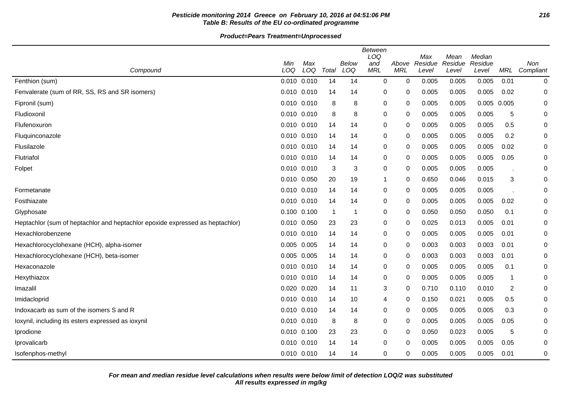## **Pesticide monitoring 2014 Greece on February 10, 2016 at 04:51:06 PM 216 Table B: Results of the EU co-ordinated programme**

| Compound                                                                      | Min<br>LOQ      | Max<br>LOQ      | Total          | Below<br>LOQ | <b>Between</b><br>LOQ<br>and<br><b>MRL</b> | Above<br><b>MRL</b> | Max<br>Residue<br>Level | Mean<br>Residue<br>Level | Median<br>Residue<br>Level | <b>MRL</b> | Non<br>Compliant |
|-------------------------------------------------------------------------------|-----------------|-----------------|----------------|--------------|--------------------------------------------|---------------------|-------------------------|--------------------------|----------------------------|------------|------------------|
| Fenthion (sum)                                                                |                 | 0.010 0.010     | 14             | 14           | 0                                          | 0                   | 0.005                   | 0.005                    | 0.005                      | 0.01       | 0                |
| Fenvalerate (sum of RR, SS, RS and SR isomers)                                |                 | $0.010$ $0.010$ | 14             | 14           | 0                                          | 0                   | 0.005                   | 0.005                    | 0.005                      | 0.02       | 0                |
| Fipronil (sum)                                                                | 0.010 0.010     |                 | 8              | 8            | 0                                          | 0                   | 0.005                   | 0.005                    | 0.005 0.005                |            | 0                |
| Fludioxonil                                                                   | 0.010 0.010     |                 | 8              | 8            | 0                                          | 0                   | 0.005                   | 0.005                    | 0.005                      | 5          | 0                |
| Flufenoxuron                                                                  | 0.010 0.010     |                 | 14             | 14           | 0                                          | 0                   | 0.005                   | 0.005                    | 0.005                      | 0.5        | 0                |
| Fluquinconazole                                                               | 0.010 0.010     |                 | 14             | 14           | 0                                          | 0                   | 0.005                   | 0.005                    | 0.005                      | 0.2        | 0                |
| Flusilazole                                                                   | 0.010 0.010     |                 | 14             | 14           | 0                                          | 0                   | 0.005                   | 0.005                    | 0.005                      | 0.02       | 0                |
| Flutriafol                                                                    | 0.010 0.010     |                 | 14             | 14           | 0                                          | 0                   | 0.005                   | 0.005                    | 0.005                      | 0.05       | 0                |
| Folpet                                                                        | 0.010 0.010     |                 | 3              | 3            | 0                                          | 0                   | 0.005                   | 0.005                    | 0.005                      |            | 0                |
|                                                                               | 0.010 0.050     |                 | 20             | 19           | 1                                          | 0                   | 0.650                   | 0.046                    | 0.015                      | 3          | 0                |
| Formetanate                                                                   | 0.010 0.010     |                 | 14             | 14           | 0                                          | 0                   | 0.005                   | 0.005                    | 0.005                      |            | 0                |
| Fosthiazate                                                                   | 0.010 0.010     |                 | 14             | 14           | 0                                          | 0                   | 0.005                   | 0.005                    | 0.005                      | 0.02       | 0                |
| Glyphosate                                                                    | 0.100 0.100     |                 | $\overline{1}$ | -1           | 0                                          | 0                   | 0.050                   | 0.050                    | 0.050                      | 0.1        | 0                |
| Heptachlor (sum of heptachlor and heptachlor epoxide expressed as heptachlor) | 0.010 0.050     |                 | 23             | 23           | 0                                          | 0                   | 0.025                   | 0.013                    | 0.005                      | 0.01       | 0                |
| Hexachlorobenzene                                                             |                 | 0.010 0.010     | 14             | 14           | 0                                          | 0                   | 0.005                   | 0.005                    | 0.005                      | 0.01       | 0                |
| Hexachlorocyclohexane (HCH), alpha-isomer                                     | 0.005 0.005     |                 | 14             | 14           | 0                                          | 0                   | 0.003                   | 0.003                    | 0.003                      | 0.01       | 0                |
| Hexachlorocyclohexane (HCH), beta-isomer                                      | 0.005           | 0.005           | 14             | 14           | 0                                          | 0                   | 0.003                   | 0.003                    | 0.003                      | 0.01       | 0                |
| Hexaconazole                                                                  | 0.010 0.010     |                 | 14             | 14           | 0                                          | 0                   | 0.005                   | 0.005                    | 0.005                      | 0.1        | 0                |
| Hexythiazox                                                                   | 0.010 0.010     |                 | 14             | 14           | 0                                          | 0                   | 0.005                   | 0.005                    | 0.005                      | 1          | 0                |
| Imazalil                                                                      | 0.020           | 0.020           | 14             | 11           | 3                                          | 0                   | 0.710                   | 0.110                    | 0.010                      | 2          | 0                |
| Imidacloprid                                                                  | 0.010 0.010     |                 | 14             | 10           | 4                                          | 0                   | 0.150                   | 0.021                    | 0.005                      | 0.5        | 0                |
| Indoxacarb as sum of the isomers S and R                                      | 0.010 0.010     |                 | 14             | 14           | 0                                          | 0                   | 0.005                   | 0.005                    | 0.005                      | 0.3        | 0                |
| loxynil, including its esters expressed as ioxynil                            |                 | $0.010$ $0.010$ | 8              | 8            | 0                                          | 0                   | 0.005                   | 0.005                    | 0.005                      | 0.05       | 0                |
| Iprodione                                                                     | 0.010 0.100     |                 | 23             | 23           | 0                                          | 0                   | 0.050                   | 0.023                    | 0.005                      | 5          | 0                |
| Iprovalicarb                                                                  | $0.010$ $0.010$ |                 | 14             | 14           | 0                                          | 0                   | 0.005                   | 0.005                    | 0.005                      | 0.05       | 0                |
| Isofenphos-methyl                                                             |                 | 0.010 0.010     | 14             | 14           | 0                                          | 0                   | 0.005                   | 0.005                    | 0.005                      | 0.01       | 0                |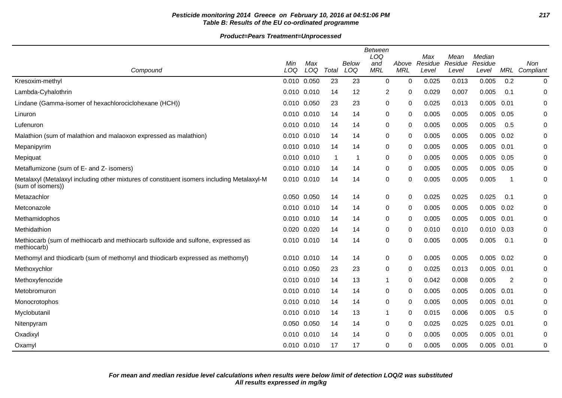## **Pesticide monitoring 2014 Greece on February 10, 2016 at 04:51:06 PM 217 Table B: Results of the EU co-ordinated programme**

|                                                                                                                 | <b>Between</b><br>LOQ<br>Max<br>Mean<br>Median |     |       |       |              |              |         |         |                |      |           |
|-----------------------------------------------------------------------------------------------------------------|------------------------------------------------|-----|-------|-------|--------------|--------------|---------|---------|----------------|------|-----------|
|                                                                                                                 | Min                                            | Max |       | Below | and          | Above        | Residue | Residue | Residue        |      | Non       |
| Compound                                                                                                        | LOQ                                            | LOQ | Total | LOQ   | <b>MRL</b>   | <b>MRL</b>   | Level   | Level   | Level          | MRL  | Compliant |
| Kresoxim-methyl                                                                                                 | 0.010 0.050                                    |     | 23    | 23    | 0            | $\Omega$     | 0.025   | 0.013   | 0.005          | 0.2  | 0         |
| Lambda-Cyhalothrin                                                                                              | 0.010 0.010                                    |     | 14    | 12    | 2            | 0            | 0.029   | 0.007   | 0.005          | 0.1  | 0         |
| Lindane (Gamma-isomer of hexachlorociclohexane (HCH))                                                           | 0.010 0.050                                    |     | 23    | 23    | $\pmb{0}$    | 0            | 0.025   | 0.013   | 0.005          | 0.01 | 0         |
| Linuron                                                                                                         | 0.010 0.010                                    |     | 14    | 14    | 0            | 0            | 0.005   | 0.005   | 0.005          | 0.05 | 0         |
| Lufenuron                                                                                                       | 0.010 0.010                                    |     | 14    | 14    | 0            | 0            | 0.005   | 0.005   | 0.005          | 0.5  | 0         |
| Malathion (sum of malathion and malaoxon expressed as malathion)                                                | 0.010 0.010                                    |     | 14    | 14    | 0            | 0            | 0.005   | 0.005   | 0.005          | 0.02 | 0         |
| Mepanipyrim                                                                                                     | 0.010 0.010                                    |     | 14    | 14    | 0            | 0            | 0.005   | 0.005   | 0.005          | 0.01 | 0         |
| Mepiquat                                                                                                        | 0.010 0.010                                    |     | -1    | 1     | 0            | $\Omega$     | 0.005   | 0.005   | 0.005          | 0.05 | $\pmb{0}$ |
| Metaflumizone (sum of E- and Z- isomers)                                                                        | 0.010 0.010                                    |     | 14    | 14    | 0            | 0            | 0.005   | 0.005   | 0.005          | 0.05 | 0         |
| Metalaxyl (Metalaxyl including other mixtures of constituent isomers including Metalaxyl-M<br>(sum of isomers)) | 0.010 0.010                                    |     | 14    | 14    | $\pmb{0}$    | 0            | 0.005   | 0.005   | 0.005          | -1   | 0         |
| Metazachlor                                                                                                     | 0.050 0.050                                    |     | 14    | 14    | 0            | 0            | 0.025   | 0.025   | 0.025          | 0.1  | 0         |
| Metconazole                                                                                                     | 0.010 0.010                                    |     | 14    | 14    | 0            | 0            | 0.005   | 0.005   | 0.005          | 0.02 | 0         |
| Methamidophos                                                                                                   | 0.010 0.010                                    |     | 14    | 14    | 0            | 0            | 0.005   | 0.005   | 0.005          | 0.01 | $\pmb{0}$ |
| Methidathion                                                                                                    | 0.020 0.020                                    |     | 14    | 14    | 0            | 0            | 0.010   | 0.010   | $0.010$ $0.03$ |      | 0         |
| Methiocarb (sum of methiocarb and methiocarb sulfoxide and sulfone, expressed as<br>methiocarb)                 | 0.010 0.010                                    |     | 14    | 14    | 0            | 0            | 0.005   | 0.005   | 0.005          | 0.1  | $\pmb{0}$ |
| Methomyl and thiodicarb (sum of methomyl and thiodicarb expressed as methomyl)                                  | 0.010 0.010                                    |     | 14    | 14    | 0            | 0            | 0.005   | 0.005   | 0.005          | 0.02 | 0         |
| Methoxychlor                                                                                                    | 0.010 0.050                                    |     | 23    | 23    | 0            | 0            | 0.025   | 0.013   | 0.005          | 0.01 | 0         |
| Methoxyfenozide                                                                                                 | 0.010 0.010                                    |     | 14    | 13    | 1            | 0            | 0.042   | 0.008   | 0.005          | 2    | 0         |
| Metobromuron                                                                                                    | 0.010 0.010                                    |     | 14    | 14    | 0            | $\Omega$     | 0.005   | 0.005   | 0.005          | 0.01 | 0         |
| Monocrotophos                                                                                                   | 0.010 0.010                                    |     | 14    | 14    | 0            | 0            | 0.005   | 0.005   | 0.005          | 0.01 | 0         |
| Myclobutanil                                                                                                    | 0.010 0.010                                    |     | 14    | 13    | $\mathbf{1}$ | 0            | 0.015   | 0.006   | 0.005          | 0.5  | 0         |
| Nitenpyram                                                                                                      | 0.050 0.050                                    |     | 14    | 14    | $\mathbf 0$  | $\mathbf{0}$ | 0.025   | 0.025   | 0.025          | 0.01 | 0         |
| Oxadixyl                                                                                                        | 0.010 0.010                                    |     | 14    | 14    | 0            | 0            | 0.005   | 0.005   | 0.005          | 0.01 | 0         |
| Oxamyl                                                                                                          | 0.010 0.010                                    |     | 17    | 17    | $\Omega$     | 0            | 0.005   | 0.005   | 0.005          | 0.01 | 0         |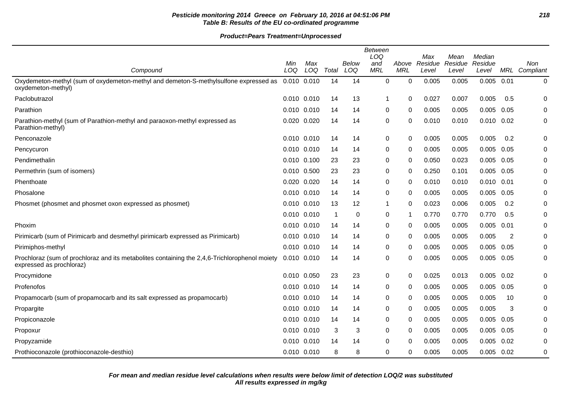# **Pesticide monitoring 2014 Greece on February 10, 2016 at 04:51:06 PM 218 Table B: Results of the EU co-ordinated programme**

|                                                                                                                           |                 |     |       |              | <b>Between</b><br>LOQ |              | Max     | Mean    | Median         |      |               |
|---------------------------------------------------------------------------------------------------------------------------|-----------------|-----|-------|--------------|-----------------------|--------------|---------|---------|----------------|------|---------------|
|                                                                                                                           | Min             | Max |       | <b>Below</b> | and                   | Above        | Residue | Residue | Residue        |      | Non           |
| Compound                                                                                                                  | LOQ             | LOQ | Total | LOQ          | <b>MRL</b>            | <b>MRL</b>   | Level   | Level   | Level          |      | MRL Compliant |
| Oxydemeton-methyl (sum of oxydemeton-methyl and demeton-S-methylsulfone expressed as<br>oxydemeton-methyl)                | 0.010 0.010     |     | 14    | 14           | $\mathbf 0$           | 0            | 0.005   | 0.005   | 0.005          | 0.01 | 0             |
| Paclobutrazol                                                                                                             | 0.010 0.010     |     | 14    | 13           | 1                     | 0            | 0.027   | 0.007   | 0.005          | 0.5  | 0             |
| Parathion                                                                                                                 | 0.010 0.010     |     | 14    | 14           | 0                     | 0            | 0.005   | 0.005   | 0.005          | 0.05 | 0             |
| Parathion-methyl (sum of Parathion-methyl and paraoxon-methyl expressed as<br>Parathion-methyl)                           | 0.020 0.020     |     | 14    | 14           | 0                     | 0            | 0.010   | 0.010   | $0.010$ $0.02$ |      | 0             |
| Penconazole                                                                                                               | $0.010$ $0.010$ |     | 14    | 14           | 0                     | $\Omega$     | 0.005   | 0.005   | 0.005          | 0.2  | 0             |
| Pencycuron                                                                                                                | 0.010 0.010     |     | 14    | 14           | 0                     | $\mathbf{0}$ | 0.005   | 0.005   | 0.005          | 0.05 | 0             |
| Pendimethalin                                                                                                             | 0.010 0.100     |     | 23    | 23           | 0                     | 0            | 0.050   | 0.023   | $0.005$ 0.05   |      | 0             |
| Permethrin (sum of isomers)                                                                                               | 0.010 0.500     |     | 23    | 23           | 0                     | 0            | 0.250   | 0.101   | 0.005          | 0.05 | 0             |
| Phenthoate                                                                                                                | 0.020 0.020     |     | 14    | 14           | 0                     | 0            | 0.010   | 0.010   | 0.010          | 0.01 | 0             |
| Phosalone                                                                                                                 | 0.010 0.010     |     | 14    | 14           | 0                     | $\Omega$     | 0.005   | 0.005   | 0.005          | 0.05 | 0             |
| Phosmet (phosmet and phosmet oxon expressed as phosmet)                                                                   | 0.010 0.010     |     | 13    | 12           | 1                     | 0            | 0.023   | 0.006   | 0.005          | 0.2  | 0             |
|                                                                                                                           | $0.010$ $0.010$ |     | -1    | 0            | 0                     | -1           | 0.770   | 0.770   | 0.770          | 0.5  | 0             |
| Phoxim                                                                                                                    | 0.010 0.010     |     | 14    | 14           | 0                     | $\Omega$     | 0.005   | 0.005   | 0.005          | 0.01 | 0             |
| Pirimicarb (sum of Pirimicarb and desmethyl pirimicarb expressed as Pirimicarb)                                           | 0.010 0.010     |     | 14    | 14           | 0                     | $\mathbf{0}$ | 0.005   | 0.005   | 0.005          | 2    | 0             |
| Pirimiphos-methyl                                                                                                         | 0.010 0.010     |     | 14    | 14           | 0                     | 0            | 0.005   | 0.005   | $0.005$ 0.05   |      | 0             |
| Prochloraz (sum of prochloraz and its metabolites containing the 2,4,6-Trichlorophenol moiety<br>expressed as prochloraz) | 0.010 0.010     |     | 14    | 14           | 0                     | 0            | 0.005   | 0.005   | 0.005 0.05     |      | 0             |
| Procymidone                                                                                                               | 0.010 0.050     |     | 23    | 23           | 0                     | $\Omega$     | 0.025   | 0.013   | 0.005          | 0.02 | 0             |
| Profenofos                                                                                                                | 0.010 0.010     |     | 14    | 14           | 0                     | 0            | 0.005   | 0.005   | 0.005          | 0.05 | 0             |
| Propamocarb (sum of propamocarb and its salt expressed as propamocarb)                                                    | 0.010 0.010     |     | 14    | 14           | 0                     | $\Omega$     | 0.005   | 0.005   | 0.005          | 10   | 0             |
| Propargite                                                                                                                | 0.010 0.010     |     | 14    | 14           | 0                     | $\Omega$     | 0.005   | 0.005   | 0.005          | 3    | 0             |
| Propiconazole                                                                                                             | 0.010 0.010     |     | 14    | 14           | 0                     | $\Omega$     | 0.005   | 0.005   | 0.005          | 0.05 | 0             |
| Propoxur                                                                                                                  | 0.010 0.010     |     | 3     | 3            | 0                     | 0            | 0.005   | 0.005   | 0.005          | 0.05 | 0             |
| Propyzamide                                                                                                               | 0.010 0.010     |     | 14    | 14           | 0                     | $\Omega$     | 0.005   | 0.005   | 0.005          | 0.02 | 0             |
| Prothioconazole (prothioconazole-desthio)                                                                                 | 0.010 0.010     |     | 8     | 8            | $\Omega$              | $\Omega$     | 0.005   | 0.005   | 0.005          | 0.02 | 0             |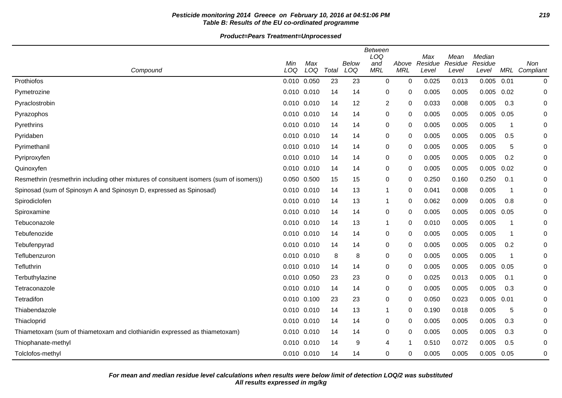# **Pesticide monitoring 2014 Greece on February 10, 2016 at 04:51:06 PM 219 Table B: Results of the EU co-ordinated programme**

**Product=Pears Treatment=Unprocessed**

| Compound                                                                                | Min<br>LOQ  | Max<br>LOQ | Total | <b>Below</b><br>LOQ | <b>Between</b><br>LOQ<br>and<br><b>MRL</b> | Above<br><b>MRL</b> | Max<br>Residue<br>Level | Mean<br>Residue<br>Level | Median<br>Residue<br>Level |                         | Non<br>MRL Compliant |
|-----------------------------------------------------------------------------------------|-------------|------------|-------|---------------------|--------------------------------------------|---------------------|-------------------------|--------------------------|----------------------------|-------------------------|----------------------|
| Prothiofos                                                                              | 0.010 0.050 |            | 23    | 23                  | 0                                          | $\mathbf 0$         | 0.025                   | 0.013                    | 0.005                      | 0.01                    | $\pmb{0}$            |
| Pymetrozine                                                                             | 0.010 0.010 |            | 14    | 14                  | 0                                          | 0                   | 0.005                   | 0.005                    | 0.005                      | 0.02                    | 0                    |
| Pyraclostrobin                                                                          | 0.010 0.010 |            | 14    | 12                  | $\overline{c}$                             | $\mathbf{0}$        | 0.033                   | 0.008                    | 0.005                      | 0.3                     | 0                    |
| Pyrazophos                                                                              | 0.010 0.010 |            | 14    | 14                  | 0                                          | 0                   | 0.005                   | 0.005                    | 0.005                      | 0.05                    | 0                    |
| Pyrethrins                                                                              | 0.010 0.010 |            | 14    | 14                  | 0                                          | $\Omega$            | 0.005                   | 0.005                    | 0.005                      | -1                      | 0                    |
| Pyridaben                                                                               | 0.010 0.010 |            | 14    | 14                  | 0                                          | $\Omega$            | 0.005                   | 0.005                    | 0.005                      | 0.5                     | 0                    |
| Pyrimethanil                                                                            | 0.010 0.010 |            | 14    | 14                  | 0                                          | 0                   | 0.005                   | 0.005                    | 0.005                      | 5                       | 0                    |
| Pyriproxyfen                                                                            | 0.010 0.010 |            | 14    | 14                  | 0                                          | $\mathbf{0}$        | 0.005                   | 0.005                    | 0.005                      | 0.2                     | 0                    |
| Quinoxyfen                                                                              | 0.010 0.010 |            | 14    | 14                  | 0                                          | 0                   | 0.005                   | 0.005                    | 0.005                      | 0.02                    | $\Omega$             |
| Resmethrin (resmethrin including other mixtures of consituent isomers (sum of isomers)) | 0.050 0.500 |            | 15    | 15                  | $\pmb{0}$                                  | 0                   | 0.250                   | 0.160                    | 0.250                      | 0.1                     | 0                    |
| Spinosad (sum of Spinosyn A and Spinosyn D, expressed as Spinosad)                      | 0.010 0.010 |            | 14    | 13                  | $\mathbf{1}$                               | 0                   | 0.041                   | 0.008                    | 0.005                      | -1                      | 0                    |
| Spirodiclofen                                                                           | 0.010 0.010 |            | 14    | 13                  | $\mathbf{1}$                               | 0                   | 0.062                   | 0.009                    | 0.005                      | 0.8                     | 0                    |
| Spiroxamine                                                                             | 0.010 0.010 |            | 14    | 14                  | 0                                          | $\mathbf{0}$        | 0.005                   | 0.005                    | 0.005                      | 0.05                    | $\Omega$             |
| Tebuconazole                                                                            | 0.010 0.010 |            | 14    | 13                  | $\mathbf{1}$                               | 0                   | 0.010                   | 0.005                    | 0.005                      | 1                       | 0                    |
| Tebufenozide                                                                            | 0.010 0.010 |            | 14    | 14                  | 0                                          | 0                   | 0.005                   | 0.005                    | 0.005                      | -1                      | 0                    |
| Tebufenpyrad                                                                            | 0.010 0.010 |            | 14    | 14                  | 0                                          | 0                   | 0.005                   | 0.005                    | 0.005                      | 0.2                     | 0                    |
| Teflubenzuron                                                                           | 0.010 0.010 |            | 8     | 8                   | 0                                          | 0                   | 0.005                   | 0.005                    | 0.005                      | $\overline{\mathbf{1}}$ | 0                    |
| Tefluthrin                                                                              | 0.010 0.010 |            | 14    | 14                  | 0                                          | $\mathbf{0}$        | 0.005                   | 0.005                    | 0.005                      | 0.05                    | 0                    |
| Terbuthylazine                                                                          | 0.010 0.050 |            | 23    | 23                  | 0                                          | 0                   | 0.025                   | 0.013                    | 0.005                      | 0.1                     | 0                    |
| Tetraconazole                                                                           | 0.010 0.010 |            | 14    | 14                  | 0                                          | 0                   | 0.005                   | 0.005                    | 0.005                      | 0.3                     | 0                    |
| Tetradifon                                                                              | 0.010 0.100 |            | 23    | 23                  | 0                                          | 0                   | 0.050                   | 0.023                    | 0.005                      | 0.01                    | 0                    |
| Thiabendazole                                                                           | 0.010 0.010 |            | 14    | 13                  | 1                                          | 0                   | 0.190                   | 0.018                    | 0.005                      | 5                       | 0                    |
| Thiacloprid                                                                             | 0.010 0.010 |            | 14    | 14                  | 0                                          | $\mathbf{0}$        | 0.005                   | 0.005                    | 0.005                      | 0.3                     | 0                    |
| Thiametoxam (sum of thiametoxam and clothianidin expressed as thiametoxam)              | 0.010 0.010 |            | 14    | 14                  | 0                                          | 0                   | 0.005                   | 0.005                    | 0.005                      | 0.3                     | 0                    |
| Thiophanate-methyl                                                                      | 0.010 0.010 |            | 14    | 9                   | 4                                          | 1                   | 0.510                   | 0.072                    | 0.005                      | 0.5                     | 0                    |
| Tolclofos-methyl                                                                        | 0.010 0.010 |            | 14    | 14                  | $\mathbf 0$                                | 0                   | 0.005                   | 0.005                    | 0.005                      | 0.05                    | 0                    |

**All results expressed in mg/kg For mean and median residue level calculations when results were below limit of detection LOQ/2 was substituted**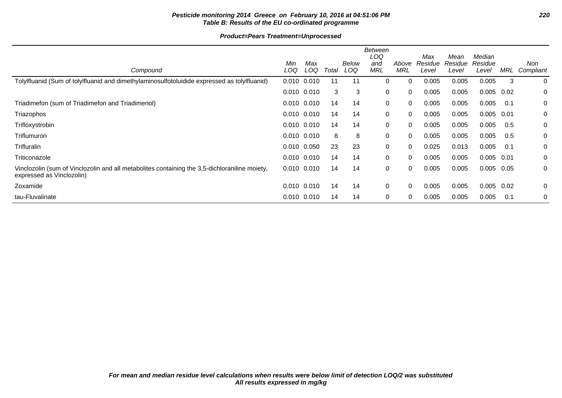# **Pesticide monitoring 2014 Greece on February 10, 2016 at 04:51:06 PM 220 Table B: Results of the EU co-ordinated programme**

|                                                                                                                            |                 |            |       |              | Between<br>LOQ    |              | Max              | Mean             | Median           |      |                  |
|----------------------------------------------------------------------------------------------------------------------------|-----------------|------------|-------|--------------|-------------------|--------------|------------------|------------------|------------------|------|------------------|
| Compound                                                                                                                   | Min<br>LOQ      | Max<br>LOQ | Total | Below<br>LOQ | and<br><b>MRL</b> | Above<br>MRL | Residue<br>Level | Residue<br>Level | Residue<br>Level | MRL  | Non<br>Compliant |
| Tolylfluanid (Sum of tolylfluanid and dimethylaminosulfotoluidide expressed as tolylfluanid)                               | 0.010           | 0.010      | 11    | 11           | 0                 | $\Omega$     | 0.005            | 0.005            | 0.005            | 3    | 0                |
|                                                                                                                            | $0.010$ $0.010$ |            | 3     | 3            | 0                 | $\Omega$     | 0.005            | 0.005            | 0.005            | 0.02 | 0                |
| Triadimefon (sum of Triadimefon and Triadimenol)                                                                           | $0.010$ $0.010$ |            | 14    | 14           | 0                 | 0            | 0.005            | 0.005            | 0.005            | -0.1 | 0                |
| Triazophos                                                                                                                 | $0.010$ $0.010$ |            | 14    | 14           | 0                 | $\Omega$     | 0.005            | 0.005            | 0.005            | 0.01 | 0                |
| Trifloxystrobin                                                                                                            | $0.010$ $0.010$ |            | 14    | 14           | 0                 | 0            | 0.005            | 0.005            | 0.005            | 0.5  | 0                |
| Triflumuron                                                                                                                | $0.010$ $0.010$ |            | 8     | 8            | 0                 | $\Omega$     | 0.005            | 0.005            | 0.005            | 0.5  | 0                |
| Trifluralin                                                                                                                | 0.010 0.050     |            | 23    | 23           | 0                 | $\Omega$     | 0.025            | 0.013            | 0.005            | 0.1  | 0                |
| Triticonazole                                                                                                              | $0.010$ $0.010$ |            | 14    | 14           | 0                 | $\Omega$     | 0.005            | 0.005            | 0.005            | 0.01 | 0                |
| Vinclozolin (sum of Vinclozolin and all metabolites containing the 3,5-dichloraniline moiety,<br>expressed as Vinclozolin) | $0.010$ $0.010$ |            | 14    | 14           | 0                 | 0            | 0.005            | 0.005            | 0.005            | 0.05 | 0                |
| Zoxamide                                                                                                                   | $0.010$ $0.010$ |            | 14    | 14           | 0                 | $\Omega$     | 0.005            | 0.005            | 0.005            | 0.02 | 0                |
| tau-Fluvalinate                                                                                                            | 0.010 0.010     |            | 14    | 14           | 0                 | $\Omega$     | 0.005            | 0.005            | 0.005            | 0.1  | 0                |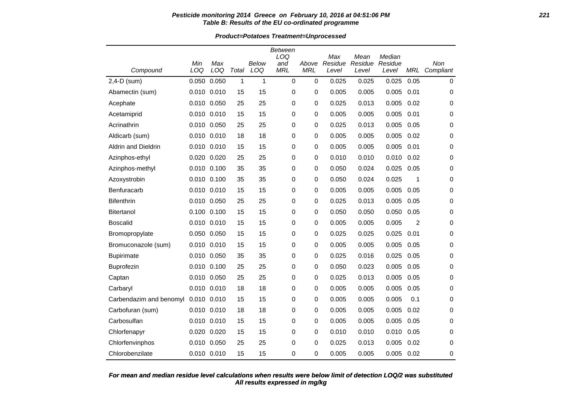### **Pesticide monitoring 2014 Greece on February 10, 2016 at 04:51:06 PM 221 Table B: Results of the EU co-ordinated programme**

**Product=Potatoes Treatment=Unprocessed**

|                            |                 |            |       |              | <b>Between</b><br>LOQ |                     | Max              | Mean             | Median           |                |                      |
|----------------------------|-----------------|------------|-------|--------------|-----------------------|---------------------|------------------|------------------|------------------|----------------|----------------------|
| Compound                   | Min<br>LOQ      | Max<br>LOQ | Total | Below<br>LOQ | and<br><b>MRL</b>     | Above<br><b>MRL</b> | Residue<br>Level | Residue<br>Level | Residue<br>Level |                | Non<br>MRL Compliant |
| $2,4-D$ (sum)              | 0.050           | 0.050      | 1     | 1            | $\mathbf 0$           | 0                   | 0.025            | 0.025            | 0.025            | 0.05           | 0                    |
| Abamectin (sum)            | $0.010$ $0.010$ |            | 15    | 15           | 0                     | 0                   | 0.005            | 0.005            | 0.005            | 0.01           | 0                    |
| Acephate                   | 0.010 0.050     |            | 25    | 25           | 0                     | 0                   | 0.025            | 0.013            | 0.005            | 0.02           | 0                    |
| Acetamiprid                | 0.010 0.010     |            | 15    | 15           | $\mathbf 0$           | 0                   | 0.005            | 0.005            | 0.005            | 0.01           | 0                    |
| Acrinathrin                | 0.010 0.050     |            | 25    | 25           | 0                     | 0                   | 0.025            | 0.013            | 0.005            | 0.05           | 0                    |
| Aldicarb (sum)             | 0.010 0.010     |            | 18    | 18           | 0                     | 0                   | 0.005            | 0.005            | 0.005            | 0.02           | 0                    |
| <b>Aldrin and Dieldrin</b> | 0.010 0.010     |            | 15    | 15           | 0                     | 0                   | 0.005            | 0.005            | 0.005            | 0.01           | 0                    |
| Azinphos-ethyl             | 0.020 0.020     |            | 25    | 25           | $\mathbf 0$           | 0                   | 0.010            | 0.010            | 0.010            | 0.02           | 0                    |
| Azinphos-methyl            | 0.010 0.100     |            | 35    | 35           | 0                     | 0                   | 0.050            | 0.024            | 0.025            | 0.05           | 0                    |
| Azoxystrobin               | 0.010 0.100     |            | 35    | 35           | 0                     | 0                   | 0.050            | 0.024            | 0.025            | 1              | 0                    |
| Benfuracarb                | $0.010$ $0.010$ |            | 15    | 15           | 0                     | 0                   | 0.005            | 0.005            | 0.005            | 0.05           | 0                    |
| <b>Bifenthrin</b>          | 0.010 0.050     |            | 25    | 25           | 0                     | 0                   | 0.025            | 0.013            | 0.005            | 0.05           | 0                    |
| Bitertanol                 | 0.100 0.100     |            | 15    | 15           | 0                     | 0                   | 0.050            | 0.050            | 0.050            | 0.05           | 0                    |
| <b>Boscalid</b>            | 0.010 0.010     |            | 15    | 15           | 0                     | 0                   | 0.005            | 0.005            | 0.005            | $\overline{2}$ | 0                    |
| Bromopropylate             | 0.050 0.050     |            | 15    | 15           | 0                     | 0                   | 0.025            | 0.025            | 0.025            | 0.01           | 0                    |
| Bromuconazole (sum)        | 0.010 0.010     |            | 15    | 15           | 0                     | 0                   | 0.005            | 0.005            | 0.005            | 0.05           | 0                    |
| <b>Bupirimate</b>          | 0.010 0.050     |            | 35    | 35           | 0                     | 0                   | 0.025            | 0.016            | 0.025            | 0.05           | 0                    |
| <b>Buprofezin</b>          | 0.010 0.100     |            | 25    | 25           | 0                     | 0                   | 0.050            | 0.023            | 0.005            | 0.05           | 0                    |
| Captan                     | 0.010 0.050     |            | 25    | 25           | 0                     | 0                   | 0.025            | 0.013            | 0.005            | 0.05           | 0                    |
| Carbaryl                   | 0.010 0.010     |            | 18    | 18           | 0                     | 0                   | 0.005            | 0.005            | 0.005            | 0.05           | 0                    |
| Carbendazim and benomyl    | 0.010 0.010     |            | 15    | 15           | 0                     | 0                   | 0.005            | 0.005            | 0.005            | 0.1            | 0                    |
| Carbofuran (sum)           | 0.010 0.010     |            | 18    | 18           | 0                     | 0                   | 0.005            | 0.005            | 0.005            | 0.02           | 0                    |
| Carbosulfan                | 0.010 0.010     |            | 15    | 15           | 0                     | 0                   | 0.005            | 0.005            | 0.005            | 0.05           | 0                    |
| Chlorfenapyr               | 0.020 0.020     |            | 15    | 15           | 0                     | 0                   | 0.010            | 0.010            | 0.010            | 0.05           | 0                    |
| Chlorfenvinphos            | 0.010 0.050     |            | 25    | 25           | 0                     | 0                   | 0.025            | 0.013            | 0.005            | 0.02           | 0                    |
| Chlorobenzilate            | 0.010 0.010     |            | 15    | 15           | 0                     | 0                   | 0.005            | 0.005            | 0.005            | 0.02           | 0                    |

# **All results expressed in mg/kg For mean and median residue level calculations when results were below limit of detection LOQ/2 was substituted**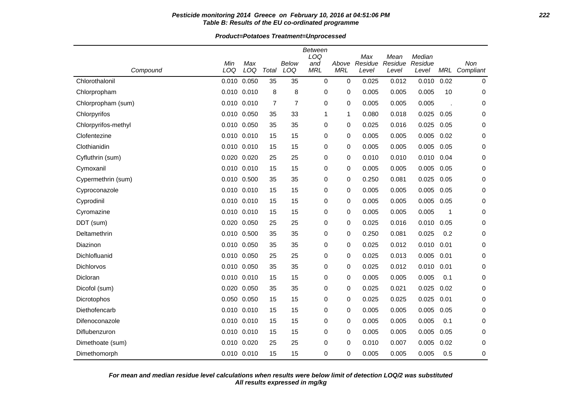### **Pesticide monitoring 2014 Greece on February 10, 2016 at 04:51:06 PM 222 Table B: Results of the EU co-ordinated programme**

**Product=Potatoes Treatment=Unprocessed**

|                     |                 |             |                |                | Between<br>LOQ |             | Max     | Mean    | Median  |                      |             |
|---------------------|-----------------|-------------|----------------|----------------|----------------|-------------|---------|---------|---------|----------------------|-------------|
|                     | Min             | Max         |                | Below          | and            | Above       | Residue | Residue | Residue |                      | Non         |
| Compound            | LOQ             | LOQ         | Total          | LOQ            | <b>MRL</b>     | <b>MRL</b>  | Level   | Level   | Level   | MRL                  | Compliant   |
| Chlorothalonil      | 0.010 0.050     |             | 35             | 35             | 0              | $\mathbf 0$ | 0.025   | 0.012   | 0.010   | 0.02                 | $\mathbf 0$ |
| Chlorpropham        | 0.010 0.010     |             | 8              | 8              | 0              | 0           | 0.005   | 0.005   | 0.005   | 10                   | 0           |
| Chlorpropham (sum)  | $0.010$ $0.010$ |             | $\overline{7}$ | $\overline{7}$ | 0              | 0           | 0.005   | 0.005   | 0.005   | $\ddot{\phantom{a}}$ | 0           |
| Chlorpyrifos        | 0.010 0.050     |             | 35             | 33             | 1              | 1           | 0.080   | 0.018   | 0.025   | 0.05                 | 0           |
| Chlorpyrifos-methyl | 0.010 0.050     |             | 35             | 35             | 0              | 0           | 0.025   | 0.016   | 0.025   | 0.05                 | 0           |
| Clofentezine        | 0.010 0.010     |             | 15             | 15             | 0              | 0           | 0.005   | 0.005   | 0.005   | 0.02                 | 0           |
| Clothianidin        | 0.010 0.010     |             | 15             | 15             | 0              | 0           | 0.005   | 0.005   | 0.005   | 0.05                 | 0           |
| Cyfluthrin (sum)    | 0.020 0.020     |             | 25             | 25             | 0              | 0           | 0.010   | 0.010   | 0.010   | 0.04                 | 0           |
| Cymoxanil           | 0.010 0.010     |             | 15             | 15             | 0              | 0           | 0.005   | 0.005   | 0.005   | 0.05                 | 0           |
| Cypermethrin (sum)  | 0.010 0.500     |             | 35             | 35             | 0              | 0           | 0.250   | 0.081   | 0.025   | 0.05                 | 0           |
| Cyproconazole       | 0.010 0.010     |             | 15             | 15             | 0              | 0           | 0.005   | 0.005   | 0.005   | 0.05                 | 0           |
| Cyprodinil          | 0.010 0.010     |             | 15             | 15             | 0              | 0           | 0.005   | 0.005   | 0.005   | 0.05                 | 0           |
| Cyromazine          | 0.010 0.010     |             | 15             | 15             | 0              | 0           | 0.005   | 0.005   | 0.005   | 1                    | $\mathbf 0$ |
| DDT (sum)           | 0.020 0.050     |             | 25             | 25             | 0              | 0           | 0.025   | 0.016   | 0.010   | 0.05                 | 0           |
| Deltamethrin        | 0.010 0.500     |             | 35             | 35             | 0              | 0           | 0.250   | 0.081   | 0.025   | 0.2                  | 0           |
| Diazinon            | 0.010 0.050     |             | 35             | 35             | 0              | 0           | 0.025   | 0.012   | 0.010   | 0.01                 | 0           |
| Dichlofluanid       | 0.010 0.050     |             | 25             | 25             | 0              | 0           | 0.025   | 0.013   | 0.005   | 0.01                 | 0           |
| Dichlorvos          | 0.010 0.050     |             | 35             | 35             | 0              | 0           | 0.025   | 0.012   | 0.010   | 0.01                 | 0           |
| Dicloran            | 0.010 0.010     |             | 15             | 15             | 0              | 0           | 0.005   | 0.005   | 0.005   | 0.1                  | 0           |
| Dicofol (sum)       | 0.020 0.050     |             | 35             | 35             | 0              | 0           | 0.025   | 0.021   | 0.025   | 0.02                 | 0           |
| Dicrotophos         | 0.050 0.050     |             | 15             | 15             | 0              | 0           | 0.025   | 0.025   | 0.025   | 0.01                 | 0           |
| Diethofencarb       | 0.010 0.010     |             | 15             | 15             | 0              | 0           | 0.005   | 0.005   | 0.005   | 0.05                 | 0           |
| Difenoconazole      | 0.010 0.010     |             | 15             | 15             | 0              | 0           | 0.005   | 0.005   | 0.005   | 0.1                  | 0           |
| Diflubenzuron       | 0.010 0.010     |             | 15             | 15             | 0              | 0           | 0.005   | 0.005   | 0.005   | 0.05                 | 0           |
| Dimethoate (sum)    | 0.010 0.020     |             | 25             | 25             | 0              | 0           | 0.010   | 0.007   | 0.005   | 0.02                 | 0           |
| Dimethomorph        |                 | 0.010 0.010 | 15             | 15             | 0              | 0           | 0.005   | 0.005   | 0.005   | 0.5                  | 0           |

**All results expressed in mg/kg For mean and median residue level calculations when results were below limit of detection LOQ/2 was substituted**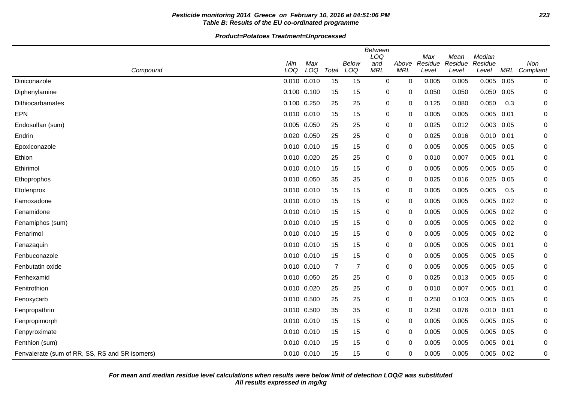# **Pesticide monitoring 2014 Greece on February 10, 2016 at 04:51:06 PM 223 Table B: Results of the EU co-ordinated programme**

|                                                |             |                 |                |                     | <b>Between</b><br>LOQ |                     | Max              | Mean             | Median           |      |                      |
|------------------------------------------------|-------------|-----------------|----------------|---------------------|-----------------------|---------------------|------------------|------------------|------------------|------|----------------------|
| Compound                                       | Min<br>LOQ  | Max<br>LOQ      | Total          | <b>Below</b><br>LOQ | and<br><b>MRL</b>     | Above<br><b>MRL</b> | Residue<br>Level | Residue<br>Level | Residue<br>Level |      | Non<br>MRL Compliant |
| Diniconazole                                   | 0.010 0.010 |                 | 15             | 15                  | $\pmb{0}$             | 0                   | 0.005            | 0.005            | 0.005            | 0.05 | 0                    |
| Diphenylamine                                  | 0.100 0.100 |                 | 15             | 15                  | 0                     | 0                   | 0.050            | 0.050            | 0.050            | 0.05 | 0                    |
| Dithiocarbamates                               | 0.100       | 0.250           | 25             | 25                  | 0                     | 0                   | 0.125            | 0.080            | 0.050            | 0.3  | 0                    |
| <b>EPN</b>                                     | 0.010 0.010 |                 | 15             | 15                  | 0                     | 0                   | 0.005            | 0.005            | 0.005            | 0.01 | 0                    |
| Endosulfan (sum)                               | 0.005 0.050 |                 | 25             | 25                  | 0                     | 0                   | 0.025            | 0.012            | 0.003            | 0.05 | 0                    |
| Endrin                                         | 0.020 0.050 |                 | 25             | 25                  | 0                     | 0                   | 0.025            | 0.016            | $0.010$ $0.01$   |      | 0                    |
| Epoxiconazole                                  | 0.010 0.010 |                 | 15             | 15                  | 0                     | 0                   | 0.005            | 0.005            | 0.005            | 0.05 | 0                    |
| Ethion                                         | 0.010 0.020 |                 | 25             | 25                  | 0                     | 0                   | 0.010            | 0.007            | 0.005            | 0.01 | 0                    |
| Ethirimol                                      |             | 0.010 0.010     | 15             | 15                  | 0                     | 0                   | 0.005            | 0.005            | 0.005            | 0.05 | 0                    |
| Ethoprophos                                    | 0.010 0.050 |                 | 35             | 35                  | 0                     | 0                   | 0.025            | 0.016            | 0.025            | 0.05 | 0                    |
| Etofenprox                                     | 0.010 0.010 |                 | 15             | 15                  | 0                     | $\mathbf 0$         | 0.005            | 0.005            | 0.005            | 0.5  | 0                    |
| Famoxadone                                     | 0.010 0.010 |                 | 15             | 15                  | 0                     | 0                   | 0.005            | 0.005            | 0.005            | 0.02 | 0                    |
| Fenamidone                                     | 0.010 0.010 |                 | 15             | 15                  | 0                     | 0                   | 0.005            | 0.005            | 0.005            | 0.02 | 0                    |
| Fenamiphos (sum)                               |             | 0.010 0.010     | 15             | 15                  | 0                     | 0                   | 0.005            | 0.005            | 0.005            | 0.02 | 0                    |
| Fenarimol                                      | 0.010 0.010 |                 | 15             | 15                  | 0                     | $\mathbf 0$         | 0.005            | 0.005            | 0.005            | 0.02 | 0                    |
| Fenazaquin                                     | 0.010 0.010 |                 | 15             | 15                  | 0                     | 0                   | 0.005            | 0.005            | 0.005            | 0.01 | 0                    |
| Fenbuconazole                                  | 0.010 0.010 |                 | 15             | 15                  | 0                     | 0                   | 0.005            | 0.005            | 0.005            | 0.05 | 0                    |
| Fenbutatin oxide                               |             | $0.010$ $0.010$ | $\overline{7}$ | $\overline{7}$      | 0                     | 0                   | 0.005            | 0.005            | 0.005            | 0.05 | 0                    |
| Fenhexamid                                     | 0.010 0.050 |                 | 25             | 25                  | 0                     | 0                   | 0.025            | 0.013            | $0.005$ 0.05     |      | 0                    |
| Fenitrothion                                   | 0.010 0.020 |                 | 25             | 25                  | 0                     | 0                   | 0.010            | 0.007            | 0.005            | 0.01 | 0                    |
| Fenoxycarb                                     | 0.010 0.500 |                 | 25             | 25                  | 0                     | 0                   | 0.250            | 0.103            | 0.005            | 0.05 | 0                    |
| Fenpropathrin                                  | 0.010 0.500 |                 | 35             | 35                  | 0                     | 0                   | 0.250            | 0.076            | $0.010$ $0.01$   |      | 0                    |
| Fenpropimorph                                  | 0.010 0.010 |                 | 15             | 15                  | 0                     | 0                   | 0.005            | 0.005            | 0.005            | 0.05 | 0                    |
| Fenpyroximate                                  |             | 0.010 0.010     | 15             | 15                  | 0                     | 0                   | 0.005            | 0.005            | 0.005            | 0.05 | 0                    |
| Fenthion (sum)                                 | 0.010 0.010 |                 | 15             | 15                  | 0                     | 0                   | 0.005            | 0.005            | 0.005            | 0.01 | 0                    |
| Fenvalerate (sum of RR, SS, RS and SR isomers) | 0.010 0.010 |                 | 15             | 15                  | 0                     | 0                   | 0.005            | 0.005            | 0.005            | 0.02 | 0                    |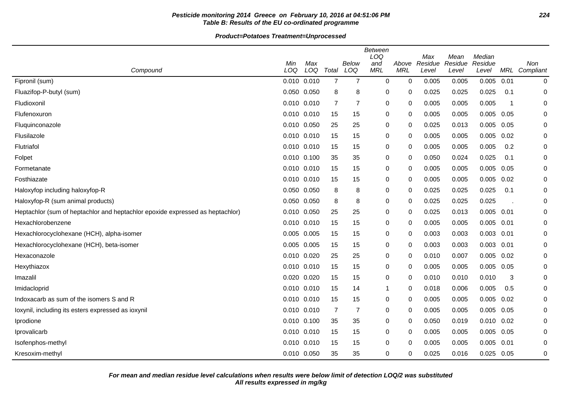# **Pesticide monitoring 2014 Greece on February 10, 2016 at 04:51:06 PM 224 Table B: Results of the EU co-ordinated programme**

|                                                                               |             |     |                |                | <b>Between</b><br>LOQ |            | Max     | Mean    | Median  |                         |               |
|-------------------------------------------------------------------------------|-------------|-----|----------------|----------------|-----------------------|------------|---------|---------|---------|-------------------------|---------------|
|                                                                               | Min         | Max |                | <b>Below</b>   | and                   | Above      | Residue | Residue | Residue |                         | Non           |
| Compound                                                                      | LOQ         | LOQ | Total          | LOQ            | <b>MRL</b>            | <b>MRL</b> | Level   | Level   | Level   |                         | MRL Compliant |
| Fipronil (sum)                                                                | 0.010 0.010 |     | $\overline{7}$ | $\overline{7}$ | 0                     | 0          | 0.005   | 0.005   | 0.005   | 0.01                    | 0             |
| Fluazifop-P-butyl (sum)                                                       | 0.050 0.050 |     | 8              | 8              | 0                     | 0          | 0.025   | 0.025   | 0.025   | 0.1                     | 0             |
| Fludioxonil                                                                   | 0.010 0.010 |     | $\overline{7}$ | $\overline{7}$ | $\mathbf 0$           | 0          | 0.005   | 0.005   | 0.005   | $\overline{\mathbf{1}}$ | 0             |
| Flufenoxuron                                                                  | 0.010 0.010 |     | 15             | 15             | 0                     | 0          | 0.005   | 0.005   | 0.005   | 0.05                    | 0             |
| Fluquinconazole                                                               | 0.010 0.050 |     | 25             | 25             | 0                     | 0          | 0.025   | 0.013   | 0.005   | 0.05                    | 0             |
| Flusilazole                                                                   | 0.010 0.010 |     | 15             | 15             | 0                     | 0          | 0.005   | 0.005   | 0.005   | 0.02                    | 0             |
| Flutriafol                                                                    | 0.010 0.010 |     | 15             | 15             | 0                     | 0          | 0.005   | 0.005   | 0.005   | 0.2                     | 0             |
| Folpet                                                                        | 0.010 0.100 |     | 35             | 35             | 0                     | 0          | 0.050   | 0.024   | 0.025   | 0.1                     | 0             |
| Formetanate                                                                   | 0.010 0.010 |     | 15             | 15             | 0                     | $\Omega$   | 0.005   | 0.005   | 0.005   | 0.05                    | 0             |
| Fosthiazate                                                                   | 0.010 0.010 |     | 15             | 15             | 0                     | 0          | 0.005   | 0.005   | 0.005   | 0.02                    | 0             |
| Haloxyfop including haloxyfop-R                                               | 0.050 0.050 |     | 8              | 8              | $\pmb{0}$             | 0          | 0.025   | 0.025   | 0.025   | 0.1                     | 0             |
| Haloxyfop-R (sum animal products)                                             | 0.050 0.050 |     | 8              | 8              | 0                     | 0          | 0.025   | 0.025   | 0.025   |                         | 0             |
| Heptachlor (sum of heptachlor and heptachlor epoxide expressed as heptachlor) | 0.010 0.050 |     | 25             | 25             | 0                     | 0          | 0.025   | 0.013   | 0.005   | 0.01                    | $\mathbf 0$   |
| Hexachlorobenzene                                                             | 0.010 0.010 |     | 15             | 15             | 0                     | 0          | 0.005   | 0.005   | 0.005   | 0.01                    | 0             |
| Hexachlorocyclohexane (HCH), alpha-isomer                                     | 0.005 0.005 |     | 15             | 15             | 0                     | 0          | 0.003   | 0.003   | 0.003   | 0.01                    | 0             |
| Hexachlorocyclohexane (HCH), beta-isomer                                      | 0.005 0.005 |     | 15             | 15             | 0                     | 0          | 0.003   | 0.003   | 0.003   | 0.01                    | 0             |
| Hexaconazole                                                                  | 0.010 0.020 |     | 25             | 25             | 0                     | 0          | 0.010   | 0.007   | 0.005   | 0.02                    | 0             |
| Hexythiazox                                                                   | 0.010 0.010 |     | 15             | 15             | 0                     | 0          | 0.005   | 0.005   | 0.005   | 0.05                    | 0             |
| Imazalil                                                                      | 0.020 0.020 |     | 15             | 15             | 0                     | 0          | 0.010   | 0.010   | 0.010   | 3                       | 0             |
| Imidacloprid                                                                  | 0.010 0.010 |     | 15             | 14             | 1                     | 0          | 0.018   | 0.006   | 0.005   | 0.5                     | 0             |
| Indoxacarb as sum of the isomers S and R                                      | 0.010 0.010 |     | 15             | 15             | 0                     | 0          | 0.005   | 0.005   | 0.005   | 0.02                    | 0             |
| loxynil, including its esters expressed as ioxynil                            | 0.010 0.010 |     | $\overline{7}$ | $\overline{7}$ | 0                     | 0          | 0.005   | 0.005   | 0.005   | 0.05                    | 0             |
| Iprodione                                                                     | 0.010 0.100 |     | 35             | 35             | $\pmb{0}$             | $\Omega$   | 0.050   | 0.019   | 0.010   | 0.02                    | $\Omega$      |
| Iprovalicarb                                                                  | 0.010 0.010 |     | 15             | 15             | 0                     | 0          | 0.005   | 0.005   | 0.005   | 0.05                    | 0             |
| Isofenphos-methyl                                                             | 0.010 0.010 |     | 15             | 15             | 0                     | 0          | 0.005   | 0.005   | 0.005   | 0.01                    | 0             |
| Kresoxim-methyl                                                               | 0.010 0.050 |     | 35             | 35             | 0                     | 0          | 0.025   | 0.016   | 0.025   | 0.05                    | 0             |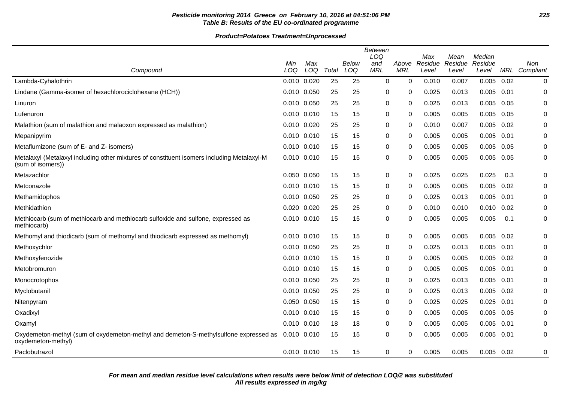# **Pesticide monitoring 2014 Greece on February 10, 2016 at 04:51:06 PM 225 Table B: Results of the EU co-ordinated programme**

|                                                                                                                 | Min         | Max |       | <b>Below</b> | Between<br>LOQ<br>and<br><b>MRL</b> | Above<br><b>MRL</b> | Max<br>Residue | Mean<br>Residue | Median<br>Residue |      | Non           |
|-----------------------------------------------------------------------------------------------------------------|-------------|-----|-------|--------------|-------------------------------------|---------------------|----------------|-----------------|-------------------|------|---------------|
| Compound                                                                                                        | LOQ         | LOQ | Total | LOQ          |                                     |                     | Level          | Level           | Level             |      | MRL Compliant |
| Lambda-Cyhalothrin                                                                                              | 0.010 0.020 |     | 25    | 25           | $\mathbf 0$                         | 0                   | 0.010          | 0.007           | 0.005             | 0.02 | 0             |
| Lindane (Gamma-isomer of hexachlorociclohexane (HCH))                                                           | 0.010 0.050 |     | 25    | 25           | 0                                   | 0                   | 0.025          | 0.013           | 0.005             | 0.01 | $\mathbf 0$   |
| Linuron                                                                                                         | 0.010 0.050 |     | 25    | 25           | 0                                   | 0                   | 0.025          | 0.013           | 0.005             | 0.05 | 0             |
| Lufenuron                                                                                                       | 0.010 0.010 |     | 15    | 15           | 0                                   | 0                   | 0.005          | 0.005           | 0.005             | 0.05 | 0             |
| Malathion (sum of malathion and malaoxon expressed as malathion)                                                | 0.010 0.020 |     | 25    | 25           | 0                                   | $\mathbf{0}$        | 0.010          | 0.007           | 0.005             | 0.02 | $\mathbf 0$   |
| Mepanipyrim                                                                                                     | 0.010 0.010 |     | 15    | 15           | 0                                   | 0                   | 0.005          | 0.005           | 0.005             | 0.01 | 0             |
| Metaflumizone (sum of E- and Z- isomers)                                                                        | 0.010 0.010 |     | 15    | 15           | 0                                   | 0                   | 0.005          | 0.005           | 0.005             | 0.05 | 0             |
| Metalaxyl (Metalaxyl including other mixtures of constituent isomers including Metalaxyl-M<br>(sum of isomers)) | 0.010 0.010 |     | 15    | 15           | 0                                   | 0                   | 0.005          | 0.005           | 0.005             | 0.05 | 0             |
| Metazachlor                                                                                                     | 0.050 0.050 |     | 15    | 15           | 0                                   | 0                   | 0.025          | 0.025           | 0.025             | 0.3  | 0             |
| Metconazole                                                                                                     | 0.010 0.010 |     | 15    | 15           | 0                                   | 0                   | 0.005          | 0.005           | 0.005             | 0.02 | 0             |
| Methamidophos                                                                                                   | 0.010 0.050 |     | 25    | 25           | $\mathbf 0$                         | 0                   | 0.025          | 0.013           | 0.005             | 0.01 | 0             |
| Methidathion                                                                                                    | 0.020 0.020 |     | 25    | 25           | 0                                   | 0                   | 0.010          | 0.010           | $0.010$ $0.02$    |      | 0             |
| Methiocarb (sum of methiocarb and methiocarb sulfoxide and sulfone, expressed as<br>methiocarb)                 | 0.010 0.010 |     | 15    | 15           | 0                                   | 0                   | 0.005          | 0.005           | 0.005             | 0.1  | $\pmb{0}$     |
| Methomyl and thiodicarb (sum of methomyl and thiodicarb expressed as methomyl)                                  | 0.010 0.010 |     | 15    | 15           | 0                                   | 0                   | 0.005          | 0.005           | 0.005             | 0.02 | 0             |
| Methoxychlor                                                                                                    | 0.010 0.050 |     | 25    | 25           | 0                                   | 0                   | 0.025          | 0.013           | 0.005             | 0.01 | 0             |
| Methoxyfenozide                                                                                                 | 0.010 0.010 |     | 15    | 15           | 0                                   | $\Omega$            | 0.005          | 0.005           | 0.005             | 0.02 | 0             |
| Metobromuron                                                                                                    | 0.010 0.010 |     | 15    | 15           | 0                                   | 0                   | 0.005          | 0.005           | 0.005             | 0.01 | 0             |
| Monocrotophos                                                                                                   | 0.010 0.050 |     | 25    | 25           | 0                                   | 0                   | 0.025          | 0.013           | 0.005             | 0.01 | $\mathbf 0$   |
| Myclobutanil                                                                                                    | 0.010 0.050 |     | 25    | 25           | 0                                   | $\mathbf{0}$        | 0.025          | 0.013           | 0.005             | 0.02 | 0             |
| Nitenpyram                                                                                                      | 0.050 0.050 |     | 15    | 15           | 0                                   | 0                   | 0.025          | 0.025           | 0.025             | 0.01 | 0             |
| Oxadixyl                                                                                                        | 0.010 0.010 |     | 15    | 15           | 0                                   | 0                   | 0.005          | 0.005           | 0.005             | 0.05 | 0             |
| Oxamyl                                                                                                          | 0.010 0.010 |     | 18    | 18           | 0                                   | 0                   | 0.005          | 0.005           | 0.005             | 0.01 | 0             |
| Oxydemeton-methyl (sum of oxydemeton-methyl and demeton-S-methylsulfone expressed as<br>oxydemeton-methyl)      | 0.010 0.010 |     | 15    | 15           | $\mathbf 0$                         | 0                   | 0.005          | 0.005           | $0.005$ 0.01      |      | 0             |
| Paclobutrazol                                                                                                   | 0.010 0.010 |     | 15    | 15           | $\pmb{0}$                           | 0                   | 0.005          | 0.005           | $0.005$ 0.02      |      | 0             |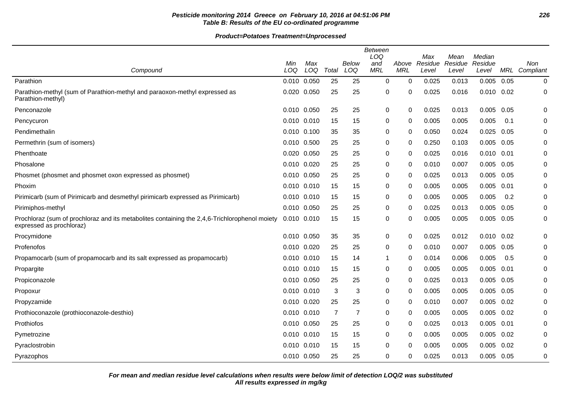# **Pesticide monitoring 2014 Greece on February 10, 2016 at 04:51:06 PM 226 Table B: Results of the EU co-ordinated programme**

**Product=Potatoes Treatment=Unprocessed**

|                                                                                                                           |             |     |                |                | <b>Between</b><br>LOQ |              | Max     | Mean    | Median         |      |               |
|---------------------------------------------------------------------------------------------------------------------------|-------------|-----|----------------|----------------|-----------------------|--------------|---------|---------|----------------|------|---------------|
|                                                                                                                           | Min         | Max |                | Below          | and                   | Above        | Residue | Residue | Residue        |      | Non           |
| Compound                                                                                                                  | LOQ         | LOQ | Total          | LOQ            | <b>MRL</b>            | <b>MRL</b>   | Level   | Level   | Level          |      | MRL Compliant |
| Parathion                                                                                                                 | 0.010 0.050 |     | 25             | 25             | 0                     | $\Omega$     | 0.025   | 0.013   | 0.005          | 0.05 | 0             |
| Parathion-methyl (sum of Parathion-methyl and paraoxon-methyl expressed as<br>Parathion-methyl)                           | 0.020 0.050 |     | 25             | 25             | 0                     | 0            | 0.025   | 0.016   | $0.010$ $0.02$ |      | 0             |
| Penconazole                                                                                                               | 0.010 0.050 |     | 25             | 25             | $\mathbf 0$           | 0            | 0.025   | 0.013   | 0.005          | 0.05 | $\mathbf 0$   |
| Pencycuron                                                                                                                | 0.010 0.010 |     | 15             | 15             | 0                     | 0            | 0.005   | 0.005   | 0.005          | 0.1  | 0             |
| Pendimethalin                                                                                                             | 0.010 0.100 |     | 35             | 35             | 0                     | 0            | 0.050   | 0.024   | 0.025          | 0.05 | 0             |
| Permethrin (sum of isomers)                                                                                               | 0.010 0.500 |     | 25             | 25             | 0                     | 0            | 0.250   | 0.103   | 0.005          | 0.05 | 0             |
| Phenthoate                                                                                                                | 0.020 0.050 |     | 25             | 25             | 0                     | $\mathbf{0}$ | 0.025   | 0.016   | $0.010$ $0.01$ |      | 0             |
| Phosalone                                                                                                                 | 0.010 0.020 |     | 25             | 25             | 0                     | $\Omega$     | 0.010   | 0.007   | 0.005          | 0.05 | 0             |
| Phosmet (phosmet and phosmet oxon expressed as phosmet)                                                                   | 0.010 0.050 |     | 25             | 25             | 0                     | 0            | 0.025   | 0.013   | 0.005          | 0.05 | 0             |
| Phoxim                                                                                                                    | 0.010 0.010 |     | 15             | 15             | 0                     | $\Omega$     | 0.005   | 0.005   | 0.005          | 0.01 | 0             |
| Pirimicarb (sum of Pirimicarb and desmethyl pirimicarb expressed as Pirimicarb)                                           | 0.010 0.010 |     | 15             | 15             | 0                     | $\mathbf{0}$ | 0.005   | 0.005   | 0.005          | 0.2  | 0             |
| Pirimiphos-methyl                                                                                                         | 0.010 0.050 |     | 25             | 25             | 0                     | $\Omega$     | 0.025   | 0.013   | 0.005          | 0.05 | 0             |
| Prochloraz (sum of prochloraz and its metabolites containing the 2,4,6-Trichlorophenol moiety<br>expressed as prochloraz) | 0.010 0.010 |     | 15             | 15             | 0                     | 0            | 0.005   | 0.005   | 0.005          | 0.05 | 0             |
| Procymidone                                                                                                               | 0.010 0.050 |     | 35             | 35             | $\mathbf 0$           | $\Omega$     | 0.025   | 0.012   | $0.010$ $0.02$ |      | $\mathbf 0$   |
| Profenofos                                                                                                                | 0.010 0.020 |     | 25             | 25             | 0                     | $\Omega$     | 0.010   | 0.007   | 0.005          | 0.05 | 0             |
| Propamocarb (sum of propamocarb and its salt expressed as propamocarb)                                                    | 0.010 0.010 |     | 15             | 14             | 1                     | 0            | 0.014   | 0.006   | 0.005          | 0.5  | 0             |
| Propargite                                                                                                                | 0.010 0.010 |     | 15             | 15             | 0                     | 0            | 0.005   | 0.005   | 0.005          | 0.01 | 0             |
| Propiconazole                                                                                                             | 0.010 0.050 |     | 25             | 25             | 0                     | $\mathbf{0}$ | 0.025   | 0.013   | 0.005          | 0.05 | 0             |
| Propoxur                                                                                                                  | 0.010 0.010 |     | 3              | 3              | 0                     | $\Omega$     | 0.005   | 0.005   | 0.005          | 0.05 | 0             |
| Propyzamide                                                                                                               | 0.010 0.020 |     | 25             | 25             | 0                     | 0            | 0.010   | 0.007   | 0.005          | 0.02 | 0             |
| Prothioconazole (prothioconazole-desthio)                                                                                 | 0.010 0.010 |     | $\overline{7}$ | $\overline{7}$ | 0                     | 0            | 0.005   | 0.005   | $0.005$ $0.02$ |      | 0             |
| Prothiofos                                                                                                                | 0.010 0.050 |     | 25             | 25             | 0                     | $\mathbf{0}$ | 0.025   | 0.013   | 0.005          | 0.01 | $\Omega$      |
| Pymetrozine                                                                                                               | 0.010 0.010 |     | 15             | 15             | 0                     | 0            | 0.005   | 0.005   | 0.005          | 0.02 | $\mathbf 0$   |
| Pyraclostrobin                                                                                                            | 0.010 0.010 |     | 15             | 15             | 0                     | 0            | 0.005   | 0.005   | 0.005          | 0.02 | 0             |
| Pyrazophos                                                                                                                | 0.010 0.050 |     | 25             | 25             | $\mathbf 0$           | 0            | 0.025   | 0.013   | $0.005$ 0.05   |      | 0             |

**All results expressed in mg/kg For mean and median residue level calculations when results were below limit of detection LOQ/2 was substituted**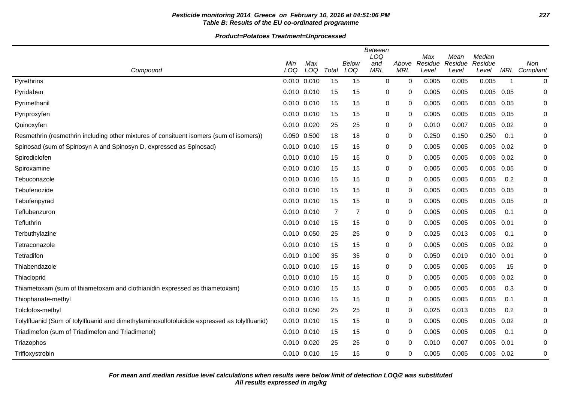# **Pesticide monitoring 2014 Greece on February 10, 2016 at 04:51:06 PM 227 Table B: Results of the EU co-ordinated programme**

|                                                                                              | Min         | Max<br>LOQ |                | Below          | <b>Between</b><br>LOQ<br>and | Above        | Max<br>Residue | Mean<br>Residue | Median<br>Residue |             | Non           |
|----------------------------------------------------------------------------------------------|-------------|------------|----------------|----------------|------------------------------|--------------|----------------|-----------------|-------------------|-------------|---------------|
| Compound                                                                                     | LOQ         |            | Total          | LOQ            | <b>MRL</b>                   | <b>MRL</b>   | Level          | Level           | Level             |             | MRL Compliant |
| Pyrethrins                                                                                   | 0.010 0.010 |            | 15             | 15             | 0                            | $\mathbf{0}$ | 0.005          | 0.005           | 0.005             | $\mathbf 1$ | 0             |
| Pyridaben                                                                                    | 0.010 0.010 |            | 15             | 15             | 0                            | $\Omega$     | 0.005          | 0.005           | 0.005             | 0.05        | 0             |
| Pyrimethanil                                                                                 | 0.010 0.010 |            | 15             | 15             | 0                            | $\mathbf{0}$ | 0.005          | 0.005           | 0.005             | 0.05        | 0             |
| Pyriproxyfen                                                                                 | 0.010 0.010 |            | 15             | 15             | 0                            | $\mathbf{0}$ | 0.005          | 0.005           | 0.005             | 0.05        | 0             |
| Quinoxyfen                                                                                   | 0.010 0.020 |            | 25             | 25             | 0                            | 0            | 0.010          | 0.007           | 0.005             | 0.02        | 0             |
| Resmethrin (resmethrin including other mixtures of consituent isomers (sum of isomers))      | 0.050 0.500 |            | 18             | 18             | 0                            | $\Omega$     | 0.250          | 0.150           | 0.250             | 0.1         | 0             |
| Spinosad (sum of Spinosyn A and Spinosyn D, expressed as Spinosad)                           | 0.010 0.010 |            | 15             | 15             | 0                            | $\Omega$     | 0.005          | 0.005           | 0.005             | 0.02        | 0             |
| Spirodiclofen                                                                                | 0.010 0.010 |            | 15             | 15             | 0                            | $\Omega$     | 0.005          | 0.005           | 0.005             | 0.02        | 0             |
| Spiroxamine                                                                                  | 0.010 0.010 |            | 15             | 15             | 0                            | $\Omega$     | 0.005          | 0.005           | 0.005             | 0.05        | 0             |
| Tebuconazole                                                                                 | 0.010 0.010 |            | 15             | 15             | 0                            | 0            | 0.005          | 0.005           | 0.005             | 0.2         | 0             |
| Tebufenozide                                                                                 | 0.010 0.010 |            | 15             | 15             | 0                            | $\mathbf{0}$ | 0.005          | 0.005           | 0.005             | 0.05        | 0             |
| Tebufenpyrad                                                                                 | 0.010 0.010 |            | 15             | 15             | 0                            | $\mathbf{0}$ | 0.005          | 0.005           | 0.005             | 0.05        | 0             |
| Teflubenzuron                                                                                | 0.010 0.010 |            | $\overline{7}$ | $\overline{7}$ | 0                            | $\mathbf{0}$ | 0.005          | 0.005           | 0.005             | 0.1         | 0             |
| Tefluthrin                                                                                   | 0.010 0.010 |            | 15             | 15             | 0                            | $\mathbf 0$  | 0.005          | 0.005           | 0.005             | 0.01        | 0             |
| Terbuthylazine                                                                               | 0.010 0.050 |            | 25             | 25             | 0                            | 0            | 0.025          | 0.013           | 0.005             | 0.1         | 0             |
| Tetraconazole                                                                                | 0.010 0.010 |            | 15             | 15             | 0                            | $\mathbf{0}$ | 0.005          | 0.005           | 0.005             | 0.02        | 0             |
| Tetradifon                                                                                   | 0.010 0.100 |            | 35             | 35             | 0                            | 0            | 0.050          | 0.019           | 0.010             | 0.01        | 0             |
| Thiabendazole                                                                                | 0.010 0.010 |            | 15             | 15             | 0                            | $\mathbf{0}$ | 0.005          | 0.005           | 0.005             | 15          | 0             |
| Thiacloprid                                                                                  | 0.010 0.010 |            | 15             | 15             | 0                            | $\mathbf{0}$ | 0.005          | 0.005           | 0.005             | 0.02        | 0             |
| Thiametoxam (sum of thiametoxam and clothianidin expressed as thiametoxam)                   | 0.010 0.010 |            | 15             | 15             | 0                            | 0            | 0.005          | 0.005           | 0.005             | 0.3         | 0             |
| Thiophanate-methyl                                                                           | 0.010 0.010 |            | 15             | 15             | 0                            | 0            | 0.005          | 0.005           | 0.005             | 0.1         | 0             |
| Tolclofos-methyl                                                                             | 0.010 0.050 |            | 25             | 25             | 0                            | 0            | 0.025          | 0.013           | 0.005             | 0.2         | 0             |
| Tolylfluanid (Sum of tolylfluanid and dimethylaminosulfotoluidide expressed as tolylfluanid) | 0.010 0.010 |            | 15             | 15             | 0                            | 0            | 0.005          | 0.005           | 0.005             | 0.02        | 0             |
| Triadimefon (sum of Triadimefon and Triadimenol)                                             | 0.010 0.010 |            | 15             | 15             | 0                            | 0            | 0.005          | 0.005           | 0.005             | 0.1         | 0             |
| Triazophos                                                                                   | 0.010 0.020 |            | 25             | 25             | 0                            | $\Omega$     | 0.010          | 0.007           | 0.005             | 0.01        | 0             |
| Trifloxystrobin                                                                              | 0.010 0.010 |            | 15             | 15             | 0                            | 0            | 0.005          | 0.005           | 0.005             | 0.02        | 0             |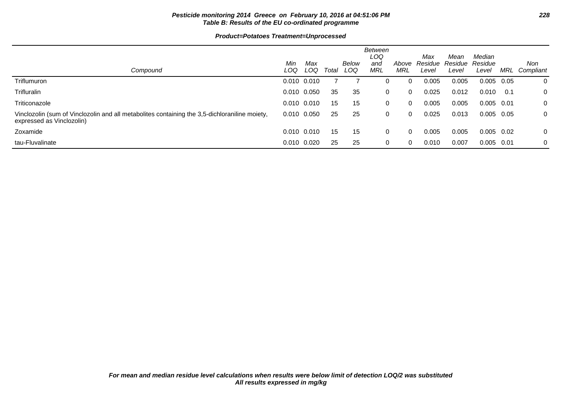# **Pesticide monitoring 2014 Greece on February 10, 2016 at 04:51:06 PM 228 Table B: Results of the EU co-ordinated programme**

| Compound                                                                                                                   | Min<br>LOQ      | Max<br>LOQ | Total | Below<br>LOQ | <b>Between</b><br>LOQ<br>and<br>MRL | Above<br>MRL | Max<br>Residue<br>Level | Mean<br>Residue<br>Level | Median<br>Residue<br>Level | MRL  | Non<br>Compliant |
|----------------------------------------------------------------------------------------------------------------------------|-----------------|------------|-------|--------------|-------------------------------------|--------------|-------------------------|--------------------------|----------------------------|------|------------------|
| Triflumuron                                                                                                                | $0.010$ $0.010$ |            |       |              | 0                                   | 0            | 0.005                   | 0.005                    | 0.005                      | 0.05 | 0                |
| <b>Trifluralin</b>                                                                                                         | 0.010 0.050     |            | 35    | 35           | 0                                   | $\Omega$     | 0.025                   | 0.012                    | 0.010                      | 0.1  | 0                |
| Triticonazole                                                                                                              | $0.010$ $0.010$ |            | 15    | 15           | 0                                   | 0            | 0.005                   | 0.005                    | $0.005$ 0.01               |      | 0                |
| Vinclozolin (sum of Vinclozolin and all metabolites containing the 3,5-dichloraniline moiety,<br>expressed as Vinclozolin) | 0.010 0.050     |            | 25    | 25           | $\mathbf 0$                         | $\Omega$     | 0.025                   | 0.013                    | $0.005$ 0.05               |      | 0                |
| Zoxamide                                                                                                                   | $0.010$ $0.010$ |            | 15    | 15           | 0                                   | $\Omega$     | 0.005                   | 0.005                    | $0.005$ 0.02               |      | 0                |
| tau-Fluvalinate                                                                                                            | 0.010 0.020     |            | 25    | 25           | 0                                   | 0            | 0.010                   | 0.007                    | $0.005$ 0.01               |      | 0                |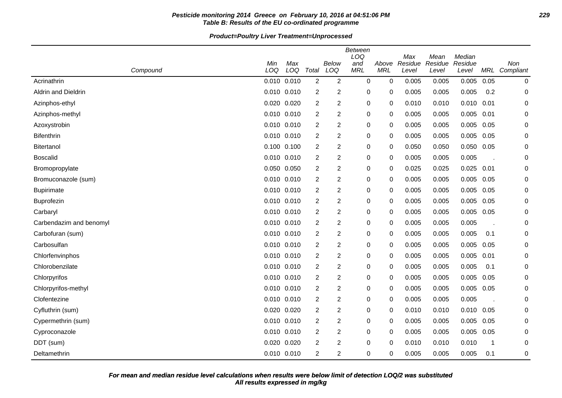# **Pesticide monitoring 2014 Greece on February 10, 2016 at 04:51:06 PM 229 Table B: Results of the EU co-ordinated programme**

|                         | Min<br>LOQ | Max<br>LOQ      |                | <b>Below</b>   | <b>Between</b><br>LOQ<br>and | Above       | Max<br>Residue | Mean<br>Residue | Median<br>Residue |      | Non           |
|-------------------------|------------|-----------------|----------------|----------------|------------------------------|-------------|----------------|-----------------|-------------------|------|---------------|
| Compound                |            |                 | Total          | LOQ            | <b>MRL</b>                   | <b>MRL</b>  | Level          | Level           | Level             |      | MRL Compliant |
| Acrinathrin             |            | 0.010 0.010     | 2              | $\overline{2}$ | 0                            | $\mathbf 0$ | 0.005          | 0.005           | 0.005             | 0.05 | 0             |
| Aldrin and Dieldrin     |            | $0.010$ $0.010$ | $\overline{2}$ | $\overline{c}$ | 0                            | 0           | 0.005          | 0.005           | 0.005             | 0.2  | 0             |
| Azinphos-ethyl          | 0.020      | 0.020           | 2              | $\overline{c}$ | 0                            | 0           | 0.010          | 0.010           | 0.010             | 0.01 | 0             |
| Azinphos-methyl         |            | 0.010 0.010     | 2              | $\overline{c}$ | 0                            | 0           | 0.005          | 0.005           | 0.005             | 0.01 | 0             |
| Azoxystrobin            |            | 0.010 0.010     | 2              | $\overline{c}$ | 0                            | 0           | 0.005          | 0.005           | 0.005             | 0.05 | 0             |
| Bifenthrin              |            | 0.010 0.010     | 2              | 2              | 0                            | 0           | 0.005          | 0.005           | 0.005             | 0.05 | 0             |
| <b>Bitertanol</b>       |            | 0.100 0.100     | $\overline{2}$ | 2              | $\mathbf 0$                  | 0           | 0.050          | 0.050           | 0.050             | 0.05 | 0             |
| <b>Boscalid</b>         |            | 0.010 0.010     | $\overline{2}$ | $\overline{c}$ | $\pmb{0}$                    | 0           | 0.005          | 0.005           | 0.005             |      | 0             |
| Bromopropylate          |            | 0.050 0.050     | $\overline{2}$ | $\overline{c}$ | $\pmb{0}$                    | 0           | 0.025          | 0.025           | 0.025             | 0.01 | 0             |
| Bromuconazole (sum)     |            | 0.010 0.010     | 2              | $\overline{c}$ | 0                            | 0           | 0.005          | 0.005           | 0.005             | 0.05 | 0             |
| <b>Bupirimate</b>       |            | 0.010 0.010     | 2              | $\overline{c}$ | 0                            | 0           | 0.005          | 0.005           | 0.005             | 0.05 | 0             |
| Buprofezin              |            | 0.010 0.010     | 2              | 2              | 0                            | 0           | 0.005          | 0.005           | 0.005             | 0.05 | 0             |
| Carbaryl                |            | 0.010 0.010     | 2              | 2              | 0                            | 0           | 0.005          | 0.005           | 0.005             | 0.05 | 0             |
| Carbendazim and benomyl |            | 0.010 0.010     | 2              | 2              | 0                            | 0           | 0.005          | 0.005           | 0.005             |      | 0             |
| Carbofuran (sum)        |            | $0.010$ $0.010$ | 2              | 2              | 0                            | 0           | 0.005          | 0.005           | 0.005             | 0.1  | 0             |
| Carbosulfan             |            | 0.010 0.010     | $\overline{2}$ | 2              | $\pmb{0}$                    | 0           | 0.005          | 0.005           | 0.005             | 0.05 | 0             |
| Chlorfenvinphos         |            | 0.010 0.010     | $\overline{2}$ | $\overline{c}$ | 0                            | 0           | 0.005          | 0.005           | 0.005             | 0.01 | 0             |
| Chlorobenzilate         |            | 0.010 0.010     | $\overline{2}$ | $\overline{c}$ | $\pmb{0}$                    | $\mathbf 0$ | 0.005          | 0.005           | 0.005             | 0.1  | 0             |
| Chlorpyrifos            |            | 0.010 0.010     | $\overline{2}$ | $\overline{c}$ | 0                            | 0           | 0.005          | 0.005           | 0.005             | 0.05 | 0             |
| Chlorpyrifos-methyl     |            | 0.010 0.010     | 2              | 2              | 0                            | 0           | 0.005          | 0.005           | 0.005             | 0.05 | 0             |
| Clofentezine            |            | 0.010 0.010     | $\overline{2}$ | 2              | 0                            | 0           | 0.005          | 0.005           | 0.005             |      | 0             |
| Cyfluthrin (sum)        |            | 0.020 0.020     | 2              | 2              | 0                            | 0           | 0.010          | 0.010           | 0.010             | 0.05 | 0             |
| Cypermethrin (sum)      |            | 0.010 0.010     | $\overline{2}$ | 2              | 0                            | 0           | 0.005          | 0.005           | 0.005             | 0.05 | 0             |
| Cyproconazole           |            | 0.010 0.010     | $\overline{2}$ | $\overline{2}$ | $\pmb{0}$                    | 0           | 0.005          | 0.005           | 0.005             | 0.05 | 0             |
| DDT (sum)               |            | 0.020 0.020     | $\overline{2}$ | $\overline{c}$ | 0                            | $\Omega$    | 0.010          | 0.010           | 0.010             | -1   | 0             |
| Deltamethrin            |            | 0.010 0.010     | 2              | $\overline{c}$ | 0                            | $\Omega$    | 0.005          | 0.005           | 0.005             | 0.1  | 0             |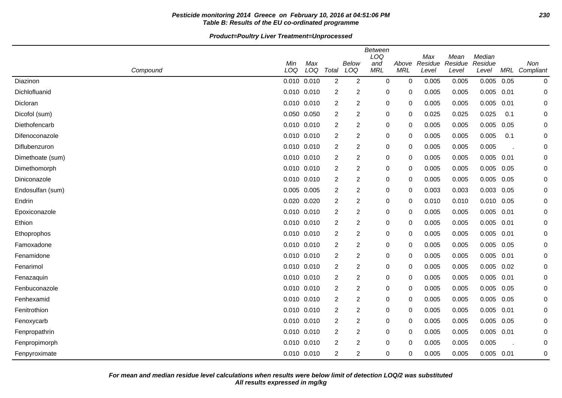# **Pesticide monitoring 2014 Greece on February 10, 2016 at 04:51:06 PM 230 Table B: Results of the EU co-ordinated programme**

| Compound         | Min<br>LOQ      | Max<br>LOQ | Total          | Below<br>LOQ   | <b>Between</b><br>LOQ<br>and<br><b>MRL</b> | Above<br><b>MRL</b> | Max<br>Residue<br>Level | Mean<br>Residue<br>Level | Median<br>Residue<br>Level |      | Non<br>MRL Compliant |
|------------------|-----------------|------------|----------------|----------------|--------------------------------------------|---------------------|-------------------------|--------------------------|----------------------------|------|----------------------|
| Diazinon         | 0.010 0.010     |            | 2              | 2              | $\mathbf 0$                                | 0                   | 0.005                   | 0.005                    | 0.005                      | 0.05 | $\pmb{0}$            |
| Dichlofluanid    | 0.010 0.010     |            | 2              | $\overline{c}$ | 0                                          | 0                   | 0.005                   | 0.005                    | $0.005$ 0.01               |      | 0                    |
| Dicloran         | $0.010$ $0.010$ |            | $\overline{2}$ | $\overline{c}$ | 0                                          | 0                   | 0.005                   | 0.005                    | 0.005                      | 0.01 | $\Omega$             |
| Dicofol (sum)    | 0.050 0.050     |            | $\overline{2}$ | $\overline{c}$ | 0                                          | 0                   | 0.025                   | 0.025                    | 0.025                      | 0.1  | 0                    |
| Diethofencarb    | $0.010$ $0.010$ |            | 2              | $\overline{c}$ | 0                                          | 0                   | 0.005                   | 0.005                    | 0.005                      | 0.05 | 0                    |
| Difenoconazole   | 0.010 0.010     |            | 2              | $\overline{c}$ | 0                                          | 0                   | 0.005                   | 0.005                    | 0.005                      | 0.1  | 0                    |
| Diflubenzuron    | 0.010 0.010     |            | 2              | 2              | 0                                          | 0                   | 0.005                   | 0.005                    | 0.005                      |      | 0                    |
| Dimethoate (sum) | 0.010 0.010     |            | 2              | $\overline{c}$ | 0                                          | 0                   | 0.005                   | 0.005                    | 0.005                      | 0.01 | 0                    |
| Dimethomorph     | 0.010 0.010     |            | $\overline{2}$ | $\overline{c}$ | 0                                          | 0                   | 0.005                   | 0.005                    | 0.005                      | 0.05 | 0                    |
| Diniconazole     | 0.010 0.010     |            | 2              | 2              | 0                                          | 0                   | 0.005                   | 0.005                    | 0.005                      | 0.05 | 0                    |
| Endosulfan (sum) | 0.005 0.005     |            | 2              | 2              | 0                                          | 0                   | 0.003                   | 0.003                    | 0.003                      | 0.05 | 0                    |
| Endrin           | 0.020 0.020     |            | 2              | 2              | 0                                          | 0                   | 0.010                   | 0.010                    | $0.010$ $0.05$             |      | 0                    |
| Epoxiconazole    | $0.010$ $0.010$ |            | $\overline{2}$ | 2              | 0                                          | 0                   | 0.005                   | 0.005                    | 0.005                      | 0.01 | 0                    |
| Ethion           | 0.010 0.010     |            | 2              | $\overline{c}$ | 0                                          | 0                   | 0.005                   | 0.005                    | 0.005                      | 0.01 | 0                    |
| Ethoprophos      | 0.010 0.010     |            | 2              | $\overline{c}$ | 0                                          | 0                   | 0.005                   | 0.005                    | 0.005                      | 0.01 | 0                    |
| Famoxadone       | 0.010 0.010     |            | 2              | 2              | 0                                          | 0                   | 0.005                   | 0.005                    | 0.005                      | 0.05 | 0                    |
| Fenamidone       | 0.010 0.010     |            | 2              | 2              | 0                                          | 0                   | 0.005                   | 0.005                    | $0.005$ 0.01               |      | 0                    |
| Fenarimol        | $0.010$ $0.010$ |            | 2              | $\overline{c}$ | 0                                          | 0                   | 0.005                   | 0.005                    | 0.005                      | 0.02 | 0                    |
| Fenazaquin       | $0.010$ $0.010$ |            | 2              | $\overline{c}$ | 0                                          | 0                   | 0.005                   | 0.005                    | 0.005                      | 0.01 | 0                    |
| Fenbuconazole    | 0.010 0.010     |            | 2              | $\overline{c}$ | 0                                          | 0                   | 0.005                   | 0.005                    | 0.005                      | 0.05 | $\Omega$             |
| Fenhexamid       | 0.010 0.010     |            | $\overline{2}$ | $\overline{c}$ | 0                                          | 0                   | 0.005                   | 0.005                    | 0.005                      | 0.05 | 0                    |
| Fenitrothion     | $0.010$ $0.010$ |            | 2              | 2              | 0                                          | 0                   | 0.005                   | 0.005                    | $0.005$ 0.01               |      | 0                    |
| Fenoxycarb       | 0.010 0.010     |            | 2              | $\overline{c}$ | 0                                          | 0                   | 0.005                   | 0.005                    | 0.005                      | 0.05 | 0                    |
| Fenpropathrin    | $0.010$ $0.010$ |            | $\overline{2}$ | $\overline{c}$ | 0                                          | 0                   | 0.005                   | 0.005                    | 0.005                      | 0.01 | 0                    |
| Fenpropimorph    | 0.010 0.010     |            | $\overline{2}$ | 2              | 0                                          | 0                   | 0.005                   | 0.005                    | 0.005                      |      | 0                    |
| Fenpyroximate    | 0.010 0.010     |            | 2              | $\overline{c}$ | 0                                          | 0                   | 0.005                   | 0.005                    | $0.005$ 0.01               |      | 0                    |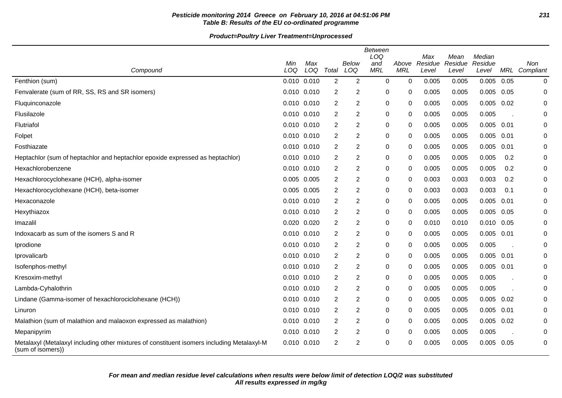# **Pesticide monitoring 2014 Greece on February 10, 2016 at 04:51:06 PM 231 Table B: Results of the EU co-ordinated programme**

| Compound                                                                                                        | Min<br>LOQ      | Max<br>LOQ      | Total          | <b>Below</b><br>LOQ | <b>Between</b><br>LOQ<br>and<br><b>MRL</b> | Above<br><b>MRL</b> | Max<br>Residue<br>Level | Mean<br>Residue<br>Level | Median<br>Residue<br>Level |      | Non<br>MRL Compliant |
|-----------------------------------------------------------------------------------------------------------------|-----------------|-----------------|----------------|---------------------|--------------------------------------------|---------------------|-------------------------|--------------------------|----------------------------|------|----------------------|
| Fenthion (sum)                                                                                                  |                 | $0.010$ $0.010$ | $\overline{2}$ | $\overline{2}$      | $\mathbf 0$                                | 0                   | 0.005                   | 0.005                    | 0.005                      | 0.05 | $\mathbf 0$          |
| Fenvalerate (sum of RR, SS, RS and SR isomers)                                                                  | $0.010$ $0.010$ |                 | 2              | 2                   | 0                                          | 0                   | 0.005                   | 0.005                    | 0.005                      | 0.05 | 0                    |
| Fluquinconazole                                                                                                 | $0.010$ $0.010$ |                 | 2              | 2                   | 0                                          | 0                   | 0.005                   | 0.005                    | 0.005                      | 0.02 | 0                    |
| Flusilazole                                                                                                     | 0.010 0.010     |                 | 2              | $\overline{2}$      | 0                                          | 0                   | 0.005                   | 0.005                    | 0.005                      |      | 0                    |
| Flutriafol                                                                                                      | 0.010 0.010     |                 | 2              | $\overline{2}$      | 0                                          | 0                   | 0.005                   | 0.005                    | 0.005                      | 0.01 | 0                    |
| Folpet                                                                                                          | $0.010$ $0.010$ |                 | 2              | $\overline{2}$      | 0                                          | 0                   | 0.005                   | 0.005                    | 0.005                      | 0.01 | 0                    |
| Fosthiazate                                                                                                     | $0.010$ $0.010$ |                 | 2              | 2                   | 0                                          | 0                   | 0.005                   | 0.005                    | 0.005                      | 0.01 | 0                    |
| Heptachlor (sum of heptachlor and heptachlor epoxide expressed as heptachlor)                                   | $0.010$ $0.010$ |                 | 2              | $\boldsymbol{2}$    | 0                                          | 0                   | 0.005                   | 0.005                    | 0.005                      | 0.2  | 0                    |
| Hexachlorobenzene                                                                                               | 0.010 0.010     |                 | 2              | 2                   | $\pmb{0}$                                  | 0                   | 0.005                   | 0.005                    | 0.005                      | 0.2  | 0                    |
| Hexachlorocyclohexane (HCH), alpha-isomer                                                                       | 0.005 0.005     |                 | 2              | $\overline{2}$      | 0                                          | 0                   | 0.003                   | 0.003                    | 0.003                      | 0.2  | 0                    |
| Hexachlorocyclohexane (HCH), beta-isomer                                                                        | 0.005 0.005     |                 | $\overline{2}$ | 2                   | 0                                          | 0                   | 0.003                   | 0.003                    | 0.003                      | 0.1  | 0                    |
| Hexaconazole                                                                                                    | $0.010$ $0.010$ |                 | $\overline{2}$ | $\overline{2}$      | 0                                          | 0                   | 0.005                   | 0.005                    | 0.005                      | 0.01 | 0                    |
| Hexythiazox                                                                                                     | 0.010 0.010     |                 | 2              | $\overline{2}$      | 0                                          | 0                   | 0.005                   | 0.005                    | 0.005                      | 0.05 | 0                    |
| Imazalil                                                                                                        | 0.020 0.020     |                 | 2              | 2                   | 0                                          | 0                   | 0.010                   | 0.010                    | 0.010                      | 0.05 | 0                    |
| Indoxacarb as sum of the isomers S and R                                                                        | $0.010$ $0.010$ |                 | $\overline{c}$ | $\overline{2}$      | 0                                          | 0                   | 0.005                   | 0.005                    | 0.005                      | 0.01 | 0                    |
| Iprodione                                                                                                       | 0.010 0.010     |                 | 2              | $\overline{2}$      | 0                                          | 0                   | 0.005                   | 0.005                    | 0.005                      |      | 0                    |
| Iprovalicarb                                                                                                    | $0.010$ $0.010$ |                 | 2              | 2                   | 0                                          | 0                   | 0.005                   | 0.005                    | 0.005                      | 0.01 | 0                    |
| Isofenphos-methyl                                                                                               | 0.010 0.010     |                 | $\overline{2}$ | $\boldsymbol{2}$    | 0                                          | 0                   | 0.005                   | 0.005                    | 0.005                      | 0.01 | 0                    |
| Kresoxim-methyl                                                                                                 | $0.010$ $0.010$ |                 | 2              | $\overline{2}$      | 0                                          | 0                   | 0.005                   | 0.005                    | 0.005                      |      | 0                    |
| Lambda-Cyhalothrin                                                                                              |                 | 0.010 0.010     | 2              | 2                   | 0                                          | 0                   | 0.005                   | 0.005                    | 0.005                      |      | 0                    |
| Lindane (Gamma-isomer of hexachlorociclohexane (HCH))                                                           | 0.010 0.010     |                 | 2              | $\overline{c}$      | 0                                          | 0                   | 0.005                   | 0.005                    | 0.005                      | 0.02 | 0                    |
| Linuron                                                                                                         | 0.010 0.010     |                 | $\overline{c}$ | $\mathbf 2$         | 0                                          | 0                   | 0.005                   | 0.005                    | 0.005                      | 0.01 | 0                    |
| Malathion (sum of malathion and malaoxon expressed as malathion)                                                |                 | 0.010 0.010     | 2              | 2                   | 0                                          | 0                   | 0.005                   | 0.005                    | 0.005                      | 0.02 | 0                    |
| Mepanipyrim                                                                                                     | 0.010 0.010     |                 | 2              | 2                   | 0                                          | 0                   | 0.005                   | 0.005                    | 0.005                      |      | 0                    |
| Metalaxyl (Metalaxyl including other mixtures of constituent isomers including Metalaxyl-M<br>(sum of isomers)) | 0.010 0.010     |                 | $\overline{c}$ | $\boldsymbol{2}$    | $\mathbf 0$                                | 0                   | 0.005                   | 0.005                    | $0.005$ 0.05               |      | 0                    |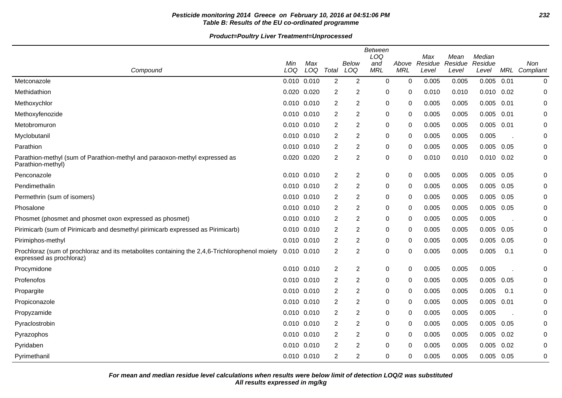# **Pesticide monitoring 2014 Greece on February 10, 2016 at 04:51:06 PM 232 Table B: Results of the EU co-ordinated programme**

|                                                                                                                           |             |            |                |                | <b>Between</b><br>LOQ |                     | Max              | Mean             | Median           |      |                      |
|---------------------------------------------------------------------------------------------------------------------------|-------------|------------|----------------|----------------|-----------------------|---------------------|------------------|------------------|------------------|------|----------------------|
| Compound                                                                                                                  | Min<br>LOQ  | Max<br>LOQ | Total          | Below<br>LOQ   | and<br><b>MRL</b>     | Above<br><b>MRL</b> | Residue<br>Level | Residue<br>Level | Residue<br>Level |      | Non<br>MRL Compliant |
| Metconazole                                                                                                               | 0.010 0.010 |            | 2              | 2              | 0                     | 0                   | 0.005            | 0.005            | 0.005            | 0.01 | 0                    |
| Methidathion                                                                                                              | 0.020 0.020 |            | $\overline{2}$ | 2              | 0                     | $\mathbf{0}$        | 0.010            | 0.010            | 0.010            | 0.02 | 0                    |
| Methoxychlor                                                                                                              | 0.010 0.010 |            | $\overline{2}$ | $\overline{2}$ | 0                     | $\Omega$            | 0.005            | 0.005            | 0.005            | 0.01 | $\Omega$             |
| Methoxyfenozide                                                                                                           | 0.010 0.010 |            | $\overline{2}$ | $\overline{2}$ | 0                     | 0                   | 0.005            | 0.005            | 0.005            | 0.01 | 0                    |
| Metobromuron                                                                                                              | 0.010 0.010 |            | $\overline{2}$ | 2              | 0                     | 0                   | 0.005            | 0.005            | 0.005            | 0.01 | 0                    |
| Myclobutanil                                                                                                              | 0.010 0.010 |            | $\overline{2}$ | $\overline{2}$ | 0                     | 0                   | 0.005            | 0.005            | 0.005            |      | 0                    |
| Parathion                                                                                                                 | 0.010 0.010 |            | 2              | 2              | 0                     | 0                   | 0.005            | 0.005            | 0.005            | 0.05 | 0                    |
| Parathion-methyl (sum of Parathion-methyl and paraoxon-methyl expressed as<br>Parathion-methyl)                           | 0.020 0.020 |            | $\overline{2}$ | $\overline{2}$ | 0                     | 0                   | 0.010            | 0.010            | 0.010            | 0.02 | 0                    |
| Penconazole                                                                                                               | 0.010 0.010 |            | $\overline{c}$ | $\overline{c}$ | 0                     | $\Omega$            | 0.005            | 0.005            | 0.005            | 0.05 | 0                    |
| Pendimethalin                                                                                                             | 0.010 0.010 |            | 2              | 2              | 0                     | 0                   | 0.005            | 0.005            | $0.005$ 0.05     |      | 0                    |
| Permethrin (sum of isomers)                                                                                               | 0.010 0.010 |            | $\overline{2}$ | 2              | 0                     | 0                   | 0.005            | 0.005            | 0.005            | 0.05 | 0                    |
| Phosalone                                                                                                                 | 0.010 0.010 |            | 2              | 2              | 0                     | 0                   | 0.005            | 0.005            | 0.005            | 0.05 | 0                    |
| Phosmet (phosmet and phosmet oxon expressed as phosmet)                                                                   | 0.010 0.010 |            | $\overline{2}$ | $\overline{2}$ | 0                     | 0                   | 0.005            | 0.005            | 0.005            |      | 0                    |
| Pirimicarb (sum of Pirimicarb and desmethyl pirimicarb expressed as Pirimicarb)                                           | 0.010 0.010 |            | $\overline{2}$ | $\overline{c}$ | 0                     | $\mathbf{0}$        | 0.005            | 0.005            | 0.005            | 0.05 | 0                    |
| Pirimiphos-methyl                                                                                                         | 0.010 0.010 |            | 2              | $\overline{c}$ | 0                     | $\Omega$            | 0.005            | 0.005            | 0.005            | 0.05 | 0                    |
| Prochloraz (sum of prochloraz and its metabolites containing the 2,4,6-Trichlorophenol moiety<br>expressed as prochloraz) | 0.010 0.010 |            | $\overline{2}$ | 2              | 0                     | $\Omega$            | 0.005            | 0.005            | 0.005            | 0.1  | 0                    |
| Procymidone                                                                                                               | 0.010 0.010 |            | $\overline{2}$ | 2              | 0                     | 0                   | 0.005            | 0.005            | 0.005            |      | 0                    |
| Profenofos                                                                                                                | 0.010 0.010 |            | $\overline{2}$ | $\overline{c}$ | 0                     | 0                   | 0.005            | 0.005            | 0.005            | 0.05 | 0                    |
| Propargite                                                                                                                | 0.010 0.010 |            | $\overline{2}$ | $\overline{c}$ | 0                     | 0                   | 0.005            | 0.005            | 0.005            | 0.1  | 0                    |
| Propiconazole                                                                                                             | 0.010 0.010 |            | $\overline{2}$ | $\overline{2}$ | 0                     | $\Omega$            | 0.005            | 0.005            | 0.005            | 0.01 | 0                    |
| Propyzamide                                                                                                               | 0.010 0.010 |            | 2              | 2              | 0                     | $\Omega$            | 0.005            | 0.005            | 0.005            |      | 0                    |
| Pyraclostrobin                                                                                                            | 0.010 0.010 |            | 2              | 2              | 0                     | 0                   | 0.005            | 0.005            | 0.005            | 0.05 | 0                    |
| Pyrazophos                                                                                                                | 0.010 0.010 |            | 2              | 2              | 0                     | 0                   | 0.005            | 0.005            | 0.005            | 0.02 | 0                    |
| Pyridaben                                                                                                                 | 0.010 0.010 |            | $\overline{2}$ | $\overline{2}$ | 0                     | $\Omega$            | 0.005            | 0.005            | $0.005$ $0.02$   |      | 0                    |
| Pyrimethanil                                                                                                              | 0.010 0.010 |            | $\overline{2}$ | $\overline{2}$ | $\Omega$              | 0                   | 0.005            | 0.005            | 0.005            | 0.05 | 0                    |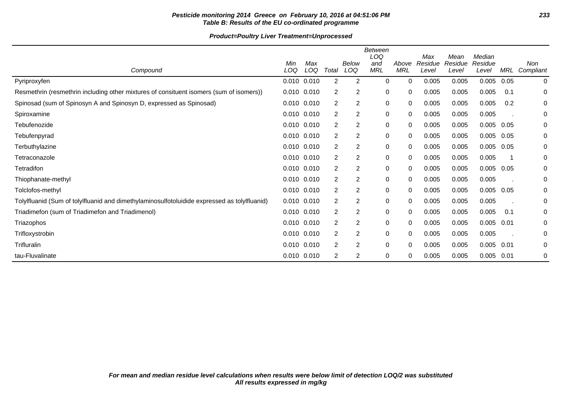# **Pesticide monitoring 2014 Greece on February 10, 2016 at 04:51:06 PM 233 Table B: Results of the EU co-ordinated programme**

|                                                                                              |                 |            |                |                | Between<br>LOQ    |                     | Max              | Mean             | Median           |      |                         |
|----------------------------------------------------------------------------------------------|-----------------|------------|----------------|----------------|-------------------|---------------------|------------------|------------------|------------------|------|-------------------------|
| Compound                                                                                     | Min<br>LOQ      | Max<br>LOQ | Total          | Below<br>LOQ   | and<br><b>MRL</b> | Above<br><b>MRL</b> | Residue<br>Level | Residue<br>Level | Residue<br>Level | MRL  | <b>Non</b><br>Compliant |
| Pyriproxyfen                                                                                 | 0.010 0.010     |            | $\overline{2}$ | 2              | $\mathbf 0$       | 0                   | 0.005            | 0.005            | 0.005            | 0.05 | 0                       |
| Resmethrin (resmethrin including other mixtures of consituent isomers (sum of isomers))      | $0.010$ $0.010$ |            | 2              | 2              | 0                 | 0                   | 0.005            | 0.005            | 0.005            | 0.1  | 0                       |
| Spinosad (sum of Spinosyn A and Spinosyn D, expressed as Spinosad)                           | 0.010 0.010     |            | 2              | 2              | 0                 | 0                   | 0.005            | 0.005            | 0.005            | 0.2  | 0                       |
| Spiroxamine                                                                                  | 0.010 0.010     |            | 2              | 2              | $\pmb{0}$         | 0                   | 0.005            | 0.005            | 0.005            |      | 0                       |
| Tebufenozide                                                                                 | 0.010 0.010     |            | 2              | 2              | 0                 | 0                   | 0.005            | 0.005            | 0.005            | 0.05 | 0                       |
| Tebufenpyrad                                                                                 | $0.010$ $0.010$ |            | 2              | 2              | 0                 | 0                   | 0.005            | 0.005            | 0.005            | 0.05 | 0                       |
| Terbuthylazine                                                                               | 0.010 0.010     |            | $\overline{2}$ | $\overline{c}$ | $\pmb{0}$         | 0                   | 0.005            | 0.005            | 0.005            | 0.05 | 0                       |
| Tetraconazole                                                                                | $0.010$ $0.010$ |            | 2              | 2              | $\pmb{0}$         | 0                   | 0.005            | 0.005            | 0.005            |      | 0                       |
| Tetradifon                                                                                   | $0.010$ $0.010$ |            | 2              | 2              | 0                 | 0                   | 0.005            | 0.005            | 0.005            | 0.05 | 0                       |
| Thiophanate-methyl                                                                           | $0.010$ $0.010$ |            | 2              | 2              | 0                 | 0                   | 0.005            | 0.005            | 0.005            |      | 0                       |
| Tolclofos-methyl                                                                             | 0.010 0.010     |            | 2              | $\overline{c}$ | $\pmb{0}$         | 0                   | 0.005            | 0.005            | 0.005            | 0.05 | 0                       |
| Tolylfluanid (Sum of tolylfluanid and dimethylaminosulfotoluidide expressed as tolylfluanid) | $0.010$ $0.010$ |            | 2              | 2              | 0                 | 0                   | 0.005            | 0.005            | 0.005            |      | 0                       |
| Triadimefon (sum of Triadimefon and Triadimenol)                                             | $0.010$ $0.010$ |            | 2              | 2              | 0                 | 0                   | 0.005            | 0.005            | 0.005            | 0.1  | 0                       |
| Triazophos                                                                                   | $0.010$ $0.010$ |            | 2              | 2              | 0                 | 0                   | 0.005            | 0.005            | 0.005            | 0.01 | 0                       |
| Trifloxystrobin                                                                              | $0.010$ $0.010$ |            | $\overline{2}$ | $\overline{c}$ | 0                 | 0                   | 0.005            | 0.005            | 0.005            |      | 0                       |
| Trifluralin                                                                                  | $0.010$ $0.010$ |            | 2              | 2              | 0                 | 0                   | 0.005            | 0.005            | 0.005            | 0.01 | 0                       |
| tau-Fluvalinate                                                                              | $0.010$ $0.010$ |            | 2              | 2              | 0                 | 0                   | 0.005            | 0.005            | 0.005            | 0.01 | 0                       |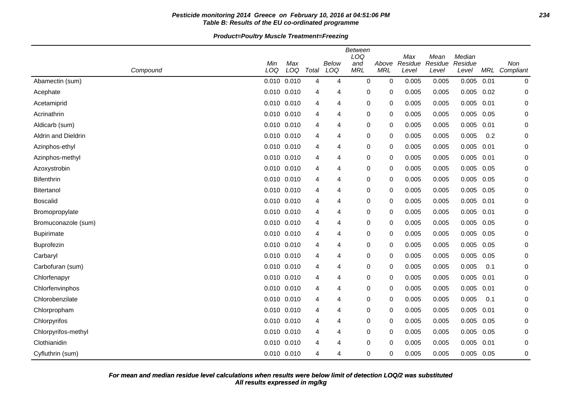# **Pesticide monitoring 2014 Greece on February 10, 2016 at 04:51:06 PM 234 Table B: Results of the EU co-ordinated programme**

|                     |            |             |       |              | <b>Between</b><br>LOQ |                     |                         |                          | Median           |      |                      |
|---------------------|------------|-------------|-------|--------------|-----------------------|---------------------|-------------------------|--------------------------|------------------|------|----------------------|
| Compound            | Min<br>LOQ | Max<br>LOQ  | Total | Below<br>LOQ | and<br><b>MRL</b>     | Above<br><b>MRL</b> | Max<br>Residue<br>Level | Mean<br>Residue<br>Level | Residue<br>Level |      | Non<br>MRL Compliant |
| Abamectin (sum)     |            | 0.010 0.010 | 4     | 4            | $\mathbf 0$           | $\mathbf 0$         | 0.005                   | 0.005                    | 0.005            | 0.01 | 0                    |
| Acephate            |            | 0.010 0.010 | 4     | 4            | 0                     | 0                   | 0.005                   | 0.005                    | 0.005            | 0.02 | 0                    |
| Acetamiprid         |            | 0.010 0.010 | 4     | 4            | 0                     | 0                   | 0.005                   | 0.005                    | 0.005            | 0.01 | 0                    |
| Acrinathrin         |            | 0.010 0.010 | 4     | 4            | 0                     | 0                   | 0.005                   | 0.005                    | 0.005            | 0.05 | 0                    |
| Aldicarb (sum)      |            | 0.010 0.010 | 4     | 4            | 0                     | 0                   | 0.005                   | 0.005                    | 0.005            | 0.01 | 0                    |
| Aldrin and Dieldrin |            | 0.010 0.010 | 4     | 4            | 0                     | 0                   | 0.005                   | 0.005                    | 0.005            | 0.2  | 0                    |
| Azinphos-ethyl      |            | 0.010 0.010 | 4     | 4            | 0                     | 0                   | 0.005                   | 0.005                    | 0.005            | 0.01 | 0                    |
| Azinphos-methyl     |            | 0.010 0.010 | 4     | 4            | 0                     | 0                   | 0.005                   | 0.005                    | 0.005            | 0.01 | 0                    |
| Azoxystrobin        |            | 0.010 0.010 | 4     | 4            | 0                     | 0                   | 0.005                   | 0.005                    | 0.005            | 0.05 | 0                    |
| <b>Bifenthrin</b>   |            | 0.010 0.010 | 4     | 4            | 0                     | 0                   | 0.005                   | 0.005                    | 0.005            | 0.05 | 0                    |
| <b>Bitertanol</b>   |            | 0.010 0.010 | 4     | 4            | 0                     | 0                   | 0.005                   | 0.005                    | 0.005            | 0.05 | 0                    |
| <b>Boscalid</b>     |            | 0.010 0.010 | 4     | 4            | 0                     | 0                   | 0.005                   | 0.005                    | 0.005            | 0.01 | 0                    |
| Bromopropylate      |            | 0.010 0.010 | 4     | 4            | 0                     | 0                   | 0.005                   | 0.005                    | 0.005            | 0.01 | 0                    |
| Bromuconazole (sum) |            | 0.010 0.010 | 4     | 4            | 0                     | 0                   | 0.005                   | 0.005                    | 0.005            | 0.05 | 0                    |
| <b>Bupirimate</b>   |            | 0.010 0.010 | 4     | 4            | 0                     | 0                   | 0.005                   | 0.005                    | 0.005            | 0.05 | 0                    |
| Buprofezin          |            | 0.010 0.010 | 4     | 4            | 0                     | 0                   | 0.005                   | 0.005                    | 0.005            | 0.05 | 0                    |
| Carbaryl            |            | 0.010 0.010 | 4     | 4            | 0                     | 0                   | 0.005                   | 0.005                    | 0.005            | 0.05 | 0                    |
| Carbofuran (sum)    |            | 0.010 0.010 | 4     | 4            | 0                     | 0                   | 0.005                   | 0.005                    | 0.005            | 0.1  | 0                    |
| Chlorfenapyr        |            | 0.010 0.010 | 4     | 4            | 0                     | 0                   | 0.005                   | 0.005                    | 0.005            | 0.01 | 0                    |
| Chlorfenvinphos     |            | 0.010 0.010 | 4     | 4            | 0                     | 0                   | 0.005                   | 0.005                    | 0.005            | 0.01 | 0                    |
| Chlorobenzilate     |            | 0.010 0.010 | 4     | 4            | 0                     | 0                   | 0.005                   | 0.005                    | 0.005            | 0.1  | 0                    |
| Chlorpropham        |            | 0.010 0.010 | 4     | 4            | 0                     | 0                   | 0.005                   | 0.005                    | 0.005            | 0.01 | 0                    |
| Chlorpyrifos        |            | 0.010 0.010 | 4     | 4            | 0                     | 0                   | 0.005                   | 0.005                    | 0.005            | 0.05 | 0                    |
| Chlorpyrifos-methyl |            | 0.010 0.010 | 4     | 4            | 0                     | 0                   | 0.005                   | 0.005                    | 0.005            | 0.05 | 0                    |
| Clothianidin        |            | 0.010 0.010 | 4     | 4            | 0                     | 0                   | 0.005                   | 0.005                    | 0.005            | 0.01 | 0                    |
| Cyfluthrin (sum)    |            | 0.010 0.010 | 4     | 4            | 0                     | $\Omega$            | 0.005                   | 0.005                    | 0.005            | 0.05 | 0                    |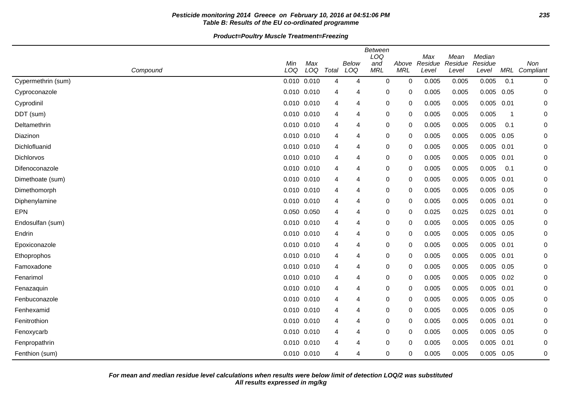# **Pesticide monitoring 2014 Greece on February 10, 2016 at 04:51:06 PM 235 Table B: Results of the EU co-ordinated programme**

|                    | Min         | Max             |                | Below | <b>Between</b><br>LOQ<br>and | Above       | Max<br>Residue | Mean<br>Residue | Median<br>Residue |      | Non           |
|--------------------|-------------|-----------------|----------------|-------|------------------------------|-------------|----------------|-----------------|-------------------|------|---------------|
| Compound           | LOQ         | LOQ             | Total          | LOQ   | <b>MRL</b>                   | <b>MRL</b>  | Level          | Level           | Level             |      | MRL Compliant |
| Cypermethrin (sum) |             | $0.010$ $0.010$ | $\overline{4}$ | 4     | 0                            | $\mathbf 0$ | 0.005          | 0.005           | 0.005             | 0.1  | 0             |
| Cyproconazole      | 0.010 0.010 |                 | 4              | 4     | 0                            | 0           | 0.005          | 0.005           | 0.005             | 0.05 | $\mathbf 0$   |
| Cyprodinil         | 0.010 0.010 |                 | 4              | 4     | 0                            | 0           | 0.005          | 0.005           | 0.005             | 0.01 | 0             |
| DDT (sum)          | 0.010 0.010 |                 | 4              | 4     | 0                            | 0           | 0.005          | 0.005           | 0.005             | -1   | 0             |
| Deltamethrin       | 0.010 0.010 |                 | 4              | 4     | 0                            | 0           | 0.005          | 0.005           | 0.005             | 0.1  | 0             |
| Diazinon           | 0.010 0.010 |                 | 4              | 4     | 0                            | 0           | 0.005          | 0.005           | 0.005             | 0.05 | 0             |
| Dichlofluanid      | 0.010 0.010 |                 | 4              | 4     | 0                            | 0           | 0.005          | 0.005           | $0.005$ 0.01      |      | 0             |
| Dichlorvos         | 0.010 0.010 |                 | 4              | 4     | 0                            | 0           | 0.005          | 0.005           | 0.005             | 0.01 | 0             |
| Difenoconazole     | 0.010 0.010 |                 | 4              | 4     | 0                            | 0           | 0.005          | 0.005           | 0.005             | 0.1  | 0             |
| Dimethoate (sum)   | 0.010 0.010 |                 | 4              | 4     | 0                            | 0           | 0.005          | 0.005           | 0.005             | 0.01 | 0             |
| Dimethomorph       |             | 0.010 0.010     | 4              | 4     | 0                            | 0           | 0.005          | 0.005           | 0.005             | 0.05 | 0             |
| Diphenylamine      | 0.010 0.010 |                 | 4              | 4     | 0                            | $\Omega$    | 0.005          | 0.005           | $0.005$ 0.01      |      | 0             |
| <b>EPN</b>         | 0.050 0.050 |                 | 4              | 4     | 0                            | 0           | 0.025          | 0.025           | 0.025             | 0.01 | 0             |
| Endosulfan (sum)   | 0.010 0.010 |                 | 4              | 4     | 0                            | $\mathbf 0$ | 0.005          | 0.005           | 0.005             | 0.05 | 0             |
| Endrin             | 0.010 0.010 |                 | 4              | 4     | 0                            | 0           | 0.005          | 0.005           | 0.005             | 0.05 | 0             |
| Epoxiconazole      | 0.010 0.010 |                 | 4              | 4     | 0                            | 0           | 0.005          | 0.005           | 0.005             | 0.01 | 0             |
| Ethoprophos        | 0.010 0.010 |                 | 4              | 4     | 0                            | 0           | 0.005          | 0.005           | 0.005             | 0.01 | 0             |
| Famoxadone         | 0.010 0.010 |                 | 4              | 4     | 0                            | 0           | 0.005          | 0.005           | 0.005             | 0.05 | 0             |
| Fenarimol          | 0.010 0.010 |                 | 4              | 4     | 0                            | 0           | 0.005          | 0.005           | 0.005             | 0.02 | 0             |
| Fenazaquin         | 0.010 0.010 |                 | 4              | 4     | 0                            | 0           | 0.005          | 0.005           | 0.005             | 0.01 | 0             |
| Fenbuconazole      | 0.010 0.010 |                 | 4              | 4     | 0                            | 0           | 0.005          | 0.005           | 0.005             | 0.05 | 0             |
| Fenhexamid         | 0.010 0.010 |                 | 4              | 4     | 0                            | 0           | 0.005          | 0.005           | $0.005$ 0.05      |      | 0             |
| Fenitrothion       | 0.010 0.010 |                 | 4              | 4     | 0                            | $\Omega$    | 0.005          | 0.005           | 0.005             | 0.01 | 0             |
| Fenoxycarb         | 0.010 0.010 |                 | 4              | 4     | 0                            | $\mathbf 0$ | 0.005          | 0.005           | 0.005             | 0.05 | 0             |
| Fenpropathrin      | 0.010 0.010 |                 | 4              | 4     | 0                            | 0           | 0.005          | 0.005           | 0.005             | 0.01 | 0             |
| Fenthion (sum)     | 0.010 0.010 |                 | 4              | 4     | 0                            | 0           | 0.005          | 0.005           | 0.005             | 0.05 | 0             |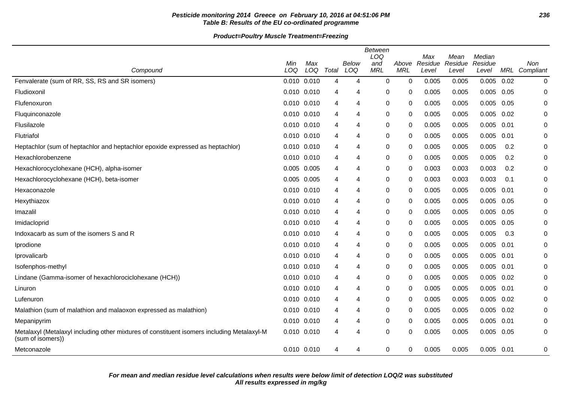# **Pesticide monitoring 2014 Greece on February 10, 2016 at 04:51:06 PM 236 Table B: Results of the EU co-ordinated programme**

| Compound                                                                                                        | Min<br>LOQ      | Max<br>LOQ | Total | Below<br>LOQ | Between<br>LOQ<br>and<br><b>MRL</b> | Above<br><b>MRL</b> | Max<br>Residue<br>Level | Mean<br>Residue<br>Level | Median<br>Residue<br>Level |      | Non<br>MRL Compliant |
|-----------------------------------------------------------------------------------------------------------------|-----------------|------------|-------|--------------|-------------------------------------|---------------------|-------------------------|--------------------------|----------------------------|------|----------------------|
| Fenvalerate (sum of RR, SS, RS and SR isomers)                                                                  | 0.010 0.010     |            | 4     | 4            | $\mathbf 0$                         | $\mathbf 0$         | 0.005                   | 0.005                    | 0.005                      | 0.02 | 0                    |
| Fludioxonil                                                                                                     | 0.010 0.010     |            | 4     | 4            | 0                                   | 0                   | 0.005                   | 0.005                    | 0.005                      | 0.05 | 0                    |
| Flufenoxuron                                                                                                    | 0.010 0.010     |            | 4     | 4            | 0                                   | 0                   | 0.005                   | 0.005                    | 0.005                      | 0.05 | 0                    |
| Fluquinconazole                                                                                                 | 0.010 0.010     |            | 4     | 4            | 0                                   | 0                   | 0.005                   | 0.005                    | 0.005                      | 0.02 | 0                    |
| Flusilazole                                                                                                     | $0.010$ $0.010$ |            | 4     | 4            | 0                                   | 0                   | 0.005                   | 0.005                    | $0.005$ 0.01               |      | $\Omega$             |
| Flutriafol                                                                                                      | 0.010 0.010     |            | 4     | 4            | 0                                   | 0                   | 0.005                   | 0.005                    | 0.005                      | 0.01 | 0                    |
| Heptachlor (sum of heptachlor and heptachlor epoxide expressed as heptachlor)                                   | $0.010$ $0.010$ |            | 4     | 4            | 0                                   | 0                   | 0.005                   | 0.005                    | 0.005                      | 0.2  | 0                    |
| Hexachlorobenzene                                                                                               | $0.010$ $0.010$ |            | 4     | 4            | 0                                   | 0                   | 0.005                   | 0.005                    | 0.005                      | 0.2  | 0                    |
| Hexachlorocyclohexane (HCH), alpha-isomer                                                                       | 0.005           | 0.005      | 4     | 4            | 0                                   | 0                   | 0.003                   | 0.003                    | 0.003                      | 0.2  | $\mathbf 0$          |
| Hexachlorocyclohexane (HCH), beta-isomer                                                                        | 0.005 0.005     |            | 4     | 4            | 0                                   | 0                   | 0.003                   | 0.003                    | 0.003                      | 0.1  | 0                    |
| Hexaconazole                                                                                                    | 0.010 0.010     |            | 4     | 4            | 0                                   | 0                   | 0.005                   | 0.005                    | 0.005                      | 0.01 | 0                    |
| Hexythiazox                                                                                                     | 0.010 0.010     |            | 4     | 4            | $\mathbf 0$                         | 0                   | 0.005                   | 0.005                    | 0.005                      | 0.05 | $\mathbf 0$          |
| Imazalil                                                                                                        | $0.010$ $0.010$ |            | 4     | 4            | 0                                   | 0                   | 0.005                   | 0.005                    | 0.005                      | 0.05 | 0                    |
| Imidacloprid                                                                                                    | 0.010 0.010     |            | 4     | 4            | 0                                   | 0                   | 0.005                   | 0.005                    | 0.005                      | 0.05 | 0                    |
| Indoxacarb as sum of the isomers S and R                                                                        | $0.010$ $0.010$ |            | 4     | 4            | 0                                   | 0                   | 0.005                   | 0.005                    | 0.005                      | 0.3  | 0                    |
| Iprodione                                                                                                       | 0.010 0.010     |            | 4     | 4            | 0                                   | 0                   | 0.005                   | 0.005                    | 0.005                      | 0.01 | 0                    |
| Iprovalicarb                                                                                                    | $0.010$ $0.010$ |            | 4     | 4            | 0                                   | 0                   | 0.005                   | 0.005                    | 0.005                      | 0.01 | $\mathbf 0$          |
| Isofenphos-methyl                                                                                               | $0.010$ $0.010$ |            | 4     | 4            | 0                                   | 0                   | 0.005                   | 0.005                    | 0.005                      | 0.01 | 0                    |
| Lindane (Gamma-isomer of hexachlorociclohexane (HCH))                                                           | 0.010 0.010     |            | 4     | 4            | 0                                   | 0                   | 0.005                   | 0.005                    | 0.005                      | 0.02 | 0                    |
| Linuron                                                                                                         | $0.010$ $0.010$ |            | 4     | 4            | $\mathbf 0$                         | 0                   | 0.005                   | 0.005                    | 0.005                      | 0.01 | 0                    |
| Lufenuron                                                                                                       | 0.010 0.010     |            | 4     | 4            | 0                                   | 0                   | 0.005                   | 0.005                    | 0.005                      | 0.02 | 0                    |
| Malathion (sum of malathion and malaoxon expressed as malathion)                                                | 0.010 0.010     |            | 4     | 4            | 0                                   | 0                   | 0.005                   | 0.005                    | 0.005                      | 0.02 | 0                    |
| Mepanipyrim                                                                                                     | $0.010$ $0.010$ |            | 4     | 4            | $\mathbf 0$                         | 0                   | 0.005                   | 0.005                    | 0.005                      | 0.01 | 0                    |
| Metalaxyl (Metalaxyl including other mixtures of constituent isomers including Metalaxyl-M<br>(sum of isomers)) | 0.010 0.010     |            | 4     | 4            | $\mathbf 0$                         | $\Omega$            | 0.005                   | 0.005                    | 0.005                      | 0.05 | 0                    |
| Metconazole                                                                                                     | 0.010 0.010     |            | 4     | 4            | $\pmb{0}$                           | 0                   | 0.005                   | 0.005                    | $0.005$ 0.01               |      | 0                    |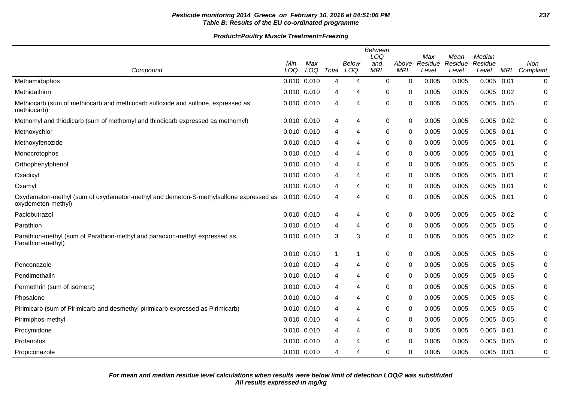# **Pesticide monitoring 2014 Greece on February 10, 2016 at 04:51:06 PM 237 Table B: Results of the EU co-ordinated programme**

|                                                                                                            |                 |                 |       |              | <b>Between</b><br>LOQ |                     | Max              | Mean             | Median           |      |                      |
|------------------------------------------------------------------------------------------------------------|-----------------|-----------------|-------|--------------|-----------------------|---------------------|------------------|------------------|------------------|------|----------------------|
| Compound                                                                                                   | Min<br>LOQ      | Max<br>LOQ      | Total | Below<br>LOQ | and<br><b>MRL</b>     | Above<br><b>MRL</b> | Residue<br>Level | Residue<br>Level | Residue<br>Level |      | Non<br>MRL Compliant |
| Methamidophos                                                                                              | 0.010 0.010     |                 | 4     | 4            | $\pmb{0}$             | 0                   | 0.005            | 0.005            | $0.005$ 0.01     |      | 0                    |
| Methidathion                                                                                               | 0.010 0.010     |                 | 4     | 4            | 0                     | 0                   | 0.005            | 0.005            | $0.005$ 0.02     |      | 0                    |
| Methiocarb (sum of methiocarb and methiocarb sulfoxide and sulfone, expressed as<br>methiocarb)            | $0.010$ $0.010$ |                 | 4     | 4            | $\mathbf 0$           | 0                   | 0.005            | 0.005            | 0.005            | 0.05 | 0                    |
| Methomyl and thiodicarb (sum of methomyl and thiodicarb expressed as methomyl)                             | 0.010 0.010     |                 | 4     | 4            | $\boldsymbol{0}$      | 0                   | 0.005            | 0.005            | $0.005$ 0.02     |      | 0                    |
| Methoxychlor                                                                                               |                 | $0.010$ $0.010$ | 4     | 4            | 0                     | 0                   | 0.005            | 0.005            | $0.005$ 0.01     |      | 0                    |
| Methoxyfenozide                                                                                            | 0.010 0.010     |                 | 4     | 4            | 0                     | 0                   | 0.005            | 0.005            | $0.005$ 0.01     |      | 0                    |
| Monocrotophos                                                                                              |                 | $0.010$ $0.010$ | 4     | 4            | 0                     | 0                   | 0.005            | 0.005            | 0.005            | 0.01 | 0                    |
| Orthophenylphenol                                                                                          | 0.010 0.010     |                 | 4     | 4            | 0                     | 0                   | 0.005            | 0.005            | $0.005$ 0.05     |      | 0                    |
| Oxadixyl                                                                                                   | 0.010 0.010     |                 | 4     | 4            | 0                     | 0                   | 0.005            | 0.005            | $0.005$ 0.01     |      | 0                    |
| Oxamyl                                                                                                     | 0.010 0.010     |                 | 4     | 4            | 0                     | 0                   | 0.005            | 0.005            | $0.005$ 0.01     |      | 0                    |
| Oxydemeton-methyl (sum of oxydemeton-methyl and demeton-S-methylsulfone expressed as<br>oxydemeton-methyl) | 0.010 0.010     |                 | 4     | 4            | 0                     | 0                   | 0.005            | 0.005            | $0.005$ 0.01     |      | 0                    |
| Paclobutrazol                                                                                              | 0.010 0.010     |                 | 4     | 4            | $\pmb{0}$             | 0                   | 0.005            | 0.005            | $0.005$ 0.02     |      | 0                    |
| Parathion                                                                                                  | 0.010 0.010     |                 | 4     | 4            | 0                     | 0                   | 0.005            | 0.005            | $0.005$ 0.05     |      | 0                    |
| Parathion-methyl (sum of Parathion-methyl and paraoxon-methyl expressed as<br>Parathion-methyl)            | 0.010 0.010     |                 | 3     | 3            | $\pmb{0}$             | 0                   | 0.005            | 0.005            | $0.005$ 0.02     |      | 0                    |
|                                                                                                            | 0.010 0.010     |                 | -1    | 1            | 0                     | 0                   | 0.005            | 0.005            | 0.005            | 0.05 | 0                    |
| Penconazole                                                                                                |                 | $0.010$ $0.010$ | 4     | 4            | 0                     | 0                   | 0.005            | 0.005            | $0.005$ 0.05     |      | 0                    |
| Pendimethalin                                                                                              | $0.010$ $0.010$ |                 | 4     | 4            | 0                     | 0                   | 0.005            | 0.005            | $0.005$ 0.05     |      | 0                    |
| Permethrin (sum of isomers)                                                                                | 0.010 0.010     |                 | 4     | 4            | $\mathbf 0$           | 0                   | 0.005            | 0.005            | 0.005            | 0.05 | 0                    |
| Phosalone                                                                                                  |                 | $0.010$ $0.010$ | 4     | 4            | 0                     | 0                   | 0.005            | 0.005            | $0.005$ 0.05     |      | 0                    |
| Pirimicarb (sum of Pirimicarb and desmethyl pirimicarb expressed as Pirimicarb)                            | 0.010 0.010     |                 | 4     | 4            | 0                     | 0                   | 0.005            | 0.005            | $0.005$ 0.05     |      | 0                    |
| Pirimiphos-methyl                                                                                          | 0.010 0.010     |                 | 4     | 4            | $\pmb{0}$             | 0                   | 0.005            | 0.005            | $0.005$ 0.05     |      | 0                    |
| Procymidone                                                                                                | $0.010$ $0.010$ |                 | 4     | 4            | 0                     | 0                   | 0.005            | 0.005            | $0.005$ 0.01     |      | 0                    |
| Profenofos                                                                                                 |                 | $0.010$ $0.010$ | 4     | 4            | $\mathbf 0$           | 0                   | 0.005            | 0.005            | 0.005            | 0.05 | 0                    |
| Propiconazole                                                                                              | 0.010 0.010     |                 | 4     | 4            | 0                     | 0                   | 0.005            | 0.005            | $0.005$ 0.01     |      | 0                    |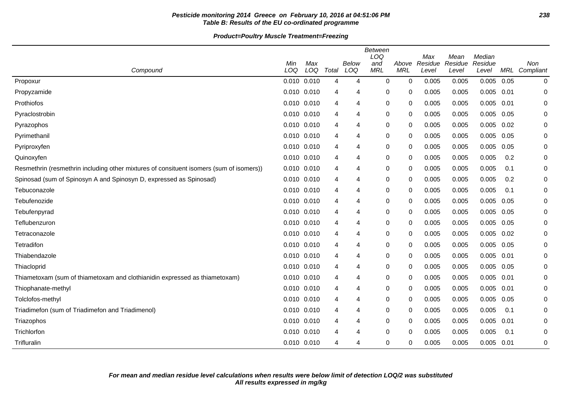# **Pesticide monitoring 2014 Greece on February 10, 2016 at 04:51:06 PM 238 Table B: Results of the EU co-ordinated programme**

| Compound                                                                                | Min<br>LOQ      | Max<br>LOQ | Total | Below<br>LOQ | <b>Between</b><br>LOQ<br>and<br><b>MRL</b> | Above<br><b>MRL</b> | Max<br>Residue<br>Level | Mean<br>Residue<br>Level | Median<br>Residue<br>Level | MRL  | <b>Non</b><br>Compliant |
|-----------------------------------------------------------------------------------------|-----------------|------------|-------|--------------|--------------------------------------------|---------------------|-------------------------|--------------------------|----------------------------|------|-------------------------|
| Propoxur                                                                                | $0.010$ $0.010$ |            | 4     | 4            | $\mathbf 0$                                | 0                   | 0.005                   | 0.005                    | 0.005                      | 0.05 | $\mathbf 0$             |
| Propyzamide                                                                             | 0.010 0.010     |            | 4     | 4            | 0                                          | 0                   | 0.005                   | 0.005                    | 0.005                      | 0.01 | 0                       |
| Prothiofos                                                                              | 0.010 0.010     |            | 4     | 4            | 0                                          | 0                   | 0.005                   | 0.005                    | 0.005                      | 0.01 | 0                       |
| Pyraclostrobin                                                                          | 0.010 0.010     |            | 4     | 4            | 0                                          | 0                   | 0.005                   | 0.005                    | 0.005                      | 0.05 | 0                       |
| Pyrazophos                                                                              | 0.010 0.010     |            | 4     | 4            | $\boldsymbol{0}$                           | 0                   | 0.005                   | 0.005                    | 0.005                      | 0.02 | 0                       |
| Pyrimethanil                                                                            | 0.010 0.010     |            | 4     | 4            | 0                                          | 0                   | 0.005                   | 0.005                    | 0.005                      | 0.05 | 0                       |
| Pyriproxyfen                                                                            | $0.010$ $0.010$ |            | 4     | 4            | 0                                          | 0                   | 0.005                   | 0.005                    | 0.005                      | 0.05 | 0                       |
| Quinoxyfen                                                                              | 0.010 0.010     |            | 4     | 4            | $\pmb{0}$                                  | 0                   | 0.005                   | 0.005                    | 0.005                      | 0.2  | 0                       |
| Resmethrin (resmethrin including other mixtures of consituent isomers (sum of isomers)) | 0.010 0.010     |            | 4     | 4            | 0                                          | 0                   | 0.005                   | 0.005                    | 0.005                      | 0.1  | 0                       |
| Spinosad (sum of Spinosyn A and Spinosyn D, expressed as Spinosad)                      | 0.010 0.010     |            | 4     | 4            | 0                                          | 0                   | 0.005                   | 0.005                    | 0.005                      | 0.2  | 0                       |
| Tebuconazole                                                                            | 0.010 0.010     |            | 4     | 4            | 0                                          | 0                   | 0.005                   | 0.005                    | 0.005                      | 0.1  | 0                       |
| Tebufenozide                                                                            | 0.010 0.010     |            | 4     | 4            | 0                                          | 0                   | 0.005                   | 0.005                    | 0.005                      | 0.05 | 0                       |
| Tebufenpyrad                                                                            | 0.010 0.010     |            | 4     | 4            | $\mathbf 0$                                | 0                   | 0.005                   | 0.005                    | 0.005                      | 0.05 | 0                       |
| Teflubenzuron                                                                           | 0.010 0.010     |            | 4     | 4            | $\pmb{0}$                                  | 0                   | 0.005                   | 0.005                    | 0.005                      | 0.05 | 0                       |
| Tetraconazole                                                                           | 0.010 0.010     |            | 4     | 4            | 0                                          | 0                   | 0.005                   | 0.005                    | 0.005                      | 0.02 | 0                       |
| Tetradifon                                                                              | $0.010$ $0.010$ |            | 4     | 4            | 0                                          | 0                   | 0.005                   | 0.005                    | 0.005                      | 0.05 | 0                       |
| Thiabendazole                                                                           | 0.010 0.010     |            | 4     | 4            | 0                                          | 0                   | 0.005                   | 0.005                    | 0.005                      | 0.01 | 0                       |
| Thiacloprid                                                                             | 0.010 0.010     |            | 4     | 4            | 0                                          | 0                   | 0.005                   | 0.005                    | 0.005                      | 0.05 | 0                       |
| Thiametoxam (sum of thiametoxam and clothianidin expressed as thiametoxam)              | 0.010 0.010     |            | 4     | 4            | 0                                          | 0                   | 0.005                   | 0.005                    | 0.005                      | 0.01 | 0                       |
| Thiophanate-methyl                                                                      | 0.010 0.010     |            | 4     | 4            | 0                                          | 0                   | 0.005                   | 0.005                    | 0.005                      | 0.01 | 0                       |
| Tolclofos-methyl                                                                        | $0.010$ $0.010$ |            | 4     | 4            | $\boldsymbol{0}$                           | 0                   | 0.005                   | 0.005                    | 0.005                      | 0.05 | 0                       |
| Triadimefon (sum of Triadimefon and Triadimenol)                                        | $0.010$ $0.010$ |            | 4     | 4            | 0                                          | 0                   | 0.005                   | 0.005                    | 0.005                      | 0.1  | 0                       |
| Triazophos                                                                              | 0.010 0.010     |            | 4     | 4            | 0                                          | 0                   | 0.005                   | 0.005                    | 0.005                      | 0.01 | 0                       |
| Trichlorfon                                                                             | 0.010 0.010     |            | 4     | 4            | 0                                          | 0                   | 0.005                   | 0.005                    | 0.005                      | 0.1  | 0                       |
| Trifluralin                                                                             | 0.010 0.010     |            | 4     | 4            | $\Omega$                                   | 0                   | 0.005                   | 0.005                    | 0.005                      | 0.01 | 0                       |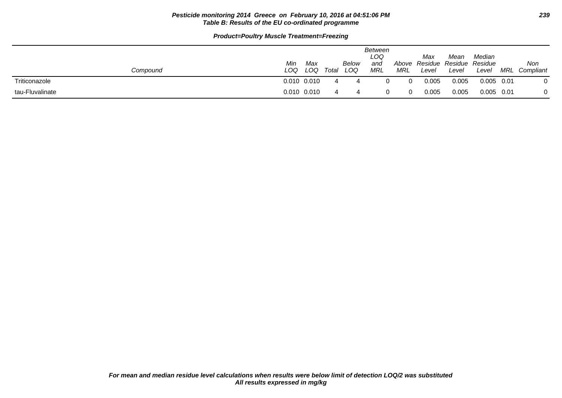### **Pesticide monitoring 2014 Greece on February 10, 2016 at 04:51:06 PM 239 Table B: Results of the EU co-ordinated programme**

| Compound        | Min<br>LOQ | Max<br>LOQ      | Total | Below<br>LOQ | Between<br>LOQ<br>and<br>MRL | Above<br>MRL | Max<br>Level | Mean<br>Residue Residue Residue<br>Level | Median<br>Level | MRL  | Non<br>Compliant |
|-----------------|------------|-----------------|-------|--------------|------------------------------|--------------|--------------|------------------------------------------|-----------------|------|------------------|
| Triticonazole   |            | 0.010 0.010     |       |              |                              | $\Omega$     | 0.005        | 0.005                                    | $0.005$ 0.01    |      |                  |
| tau-Fluvalinate |            | $0.010$ $0.010$ |       |              |                              | $\Omega$     | 0.005        | 0.005                                    | 0.005           | 0.01 |                  |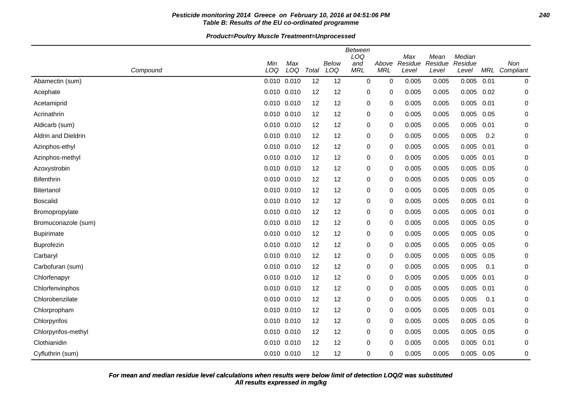# **Pesticide monitoring 2014 Greece on February 10, 2016 at 04:51:06 PM 240 Table B: Results of the EU co-ordinated programme**

|                     |     |                 |       |       | <b>Between</b><br>LOQ |             | Max     |                 | Median  |      |                  |
|---------------------|-----|-----------------|-------|-------|-----------------------|-------------|---------|-----------------|---------|------|------------------|
|                     | Min | Max             |       | Below | and                   | Above       | Residue | Mean<br>Residue | Residue |      | Non              |
| Compound            | LOQ | LOQ             | Total | LOQ   | <b>MRL</b>            | <b>MRL</b>  | Level   | Level           | Level   |      | MRL Compliant    |
| Abamectin (sum)     |     | 0.010 0.010     | 12    | 12    | $\mathbf 0$           | $\mathbf 0$ | 0.005   | 0.005           | 0.005   | 0.01 | $\boldsymbol{0}$ |
| Acephate            |     | $0.010$ $0.010$ | 12    | 12    | 0                     | 0           | 0.005   | 0.005           | 0.005   | 0.02 | $\mathbf 0$      |
| Acetamiprid         |     | $0.010$ $0.010$ | 12    | 12    | 0                     | 0           | 0.005   | 0.005           | 0.005   | 0.01 | $\mathbf 0$      |
| Acrinathrin         |     | 0.010 0.010     | 12    | 12    | $\pmb{0}$             | 0           | 0.005   | 0.005           | 0.005   | 0.05 | $\mathbf 0$      |
| Aldicarb (sum)      |     | 0.010 0.010     | 12    | 12    | $\pmb{0}$             | 0           | 0.005   | 0.005           | 0.005   | 0.01 | 0                |
| Aldrin and Dieldrin |     | 0.010 0.010     | 12    | 12    | 0                     | 0           | 0.005   | 0.005           | 0.005   | 0.2  | 0                |
| Azinphos-ethyl      |     | 0.010 0.010     | 12    | 12    | $\pmb{0}$             | 0           | 0.005   | 0.005           | 0.005   | 0.01 | $\mathbf 0$      |
| Azinphos-methyl     |     | 0.010 0.010     | 12    | 12    | 0                     | 0           | 0.005   | 0.005           | 0.005   | 0.01 | 0                |
| Azoxystrobin        |     | 0.010 0.010     | 12    | 12    | $\pmb{0}$             | 0           | 0.005   | 0.005           | 0.005   | 0.05 | 0                |
| <b>Bifenthrin</b>   |     | 0.010 0.010     | 12    | 12    | 0                     | 0           | 0.005   | 0.005           | 0.005   | 0.05 | $\mathbf 0$      |
| <b>Bitertanol</b>   |     | 0.010 0.010     | 12    | 12    | 0                     | 0           | 0.005   | 0.005           | 0.005   | 0.05 | $\mathbf 0$      |
| <b>Boscalid</b>     |     | 0.010 0.010     | 12    | 12    | 0                     | 0           | 0.005   | 0.005           | 0.005   | 0.01 | 0                |
| Bromopropylate      |     | 0.010 0.010     | 12    | 12    | $\pmb{0}$             | 0           | 0.005   | 0.005           | 0.005   | 0.01 | 0                |
| Bromuconazole (sum) |     | 0.010 0.010     | 12    | 12    | $\pmb{0}$             | 0           | 0.005   | 0.005           | 0.005   | 0.05 | 0                |
| <b>Bupirimate</b>   |     | 0.010 0.010     | 12    | 12    | 0                     | 0           | 0.005   | 0.005           | 0.005   | 0.05 | 0                |
| Buprofezin          |     | 0.010 0.010     | 12    | 12    | $\pmb{0}$             | 0           | 0.005   | 0.005           | 0.005   | 0.05 | 0                |
| Carbaryl            |     | 0.010 0.010     | 12    | 12    | 0                     | 0           | 0.005   | 0.005           | 0.005   | 0.05 | $\mathbf 0$      |
| Carbofuran (sum)    |     | 0.010 0.010     | 12    | 12    | 0                     | 0           | 0.005   | 0.005           | 0.005   | 0.1  | $\mathbf 0$      |
| Chlorfenapyr        |     | 0.010 0.010     | 12    | 12    | $\pmb{0}$             | 0           | 0.005   | 0.005           | 0.005   | 0.01 | 0                |
| Chlorfenvinphos     |     | 0.010 0.010     | 12    | 12    | $\pmb{0}$             | 0           | 0.005   | 0.005           | 0.005   | 0.01 | $\mathbf 0$      |
| Chlorobenzilate     |     | 0.010 0.010     | 12    | 12    | $\pmb{0}$             | 0           | 0.005   | 0.005           | 0.005   | 0.1  | $\mathbf 0$      |
| Chlorpropham        |     | 0.010 0.010     | 12    | 12    | 0                     | 0           | 0.005   | 0.005           | 0.005   | 0.01 | 0                |
| Chlorpyrifos        |     | 0.010 0.010     | 12    | 12    | $\pmb{0}$             | 0           | 0.005   | 0.005           | 0.005   | 0.05 | 0                |
| Chlorpyrifos-methyl |     | 0.010 0.010     | 12    | 12    | $\pmb{0}$             | 0           | 0.005   | 0.005           | 0.005   | 0.05 | 0                |
| Clothianidin        |     | 0.010 0.010     | 12    | 12    | 0                     | 0           | 0.005   | 0.005           | 0.005   | 0.01 | $\mathbf 0$      |
| Cyfluthrin (sum)    |     | 0.010 0.010     | 12    | 12    | $\mathbf 0$           | 0           | 0.005   | 0.005           | 0.005   | 0.05 | $\mathbf 0$      |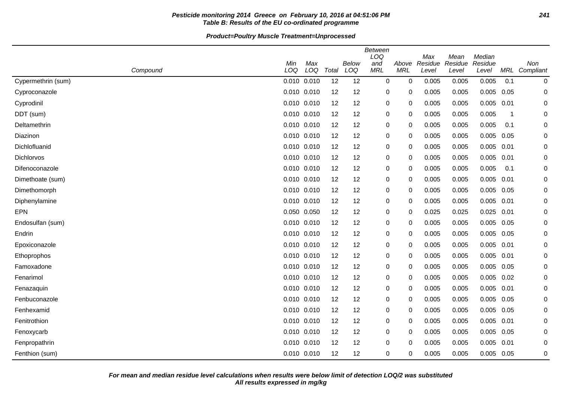# **Pesticide monitoring 2014 Greece on February 10, 2016 at 04:51:06 PM 241 Table B: Results of the EU co-ordinated programme**

|                    | Min             | Max         |       | <b>Below</b> | <b>Between</b><br>LOQ<br>and | Above       | Max<br>Residue | Mean<br>Residue | Median<br>Residue |      | Non           |
|--------------------|-----------------|-------------|-------|--------------|------------------------------|-------------|----------------|-----------------|-------------------|------|---------------|
| Compound           | LOQ             | LOQ         | Total | LOQ          | <b>MRL</b>                   | <b>MRL</b>  | Level          | Level           | Level             |      | MRL Compliant |
| Cypermethrin (sum) | 0.010 0.010     |             | 12    | 12           | 0                            | 0           | 0.005          | 0.005           | 0.005             | 0.1  | 0             |
| Cyproconazole      | 0.010 0.010     |             | 12    | 12           | 0                            | 0           | 0.005          | 0.005           | $0.005$ 0.05      |      | 0             |
| Cyprodinil         | 0.010           | 0.010       | 12    | 12           | 0                            | 0           | 0.005          | 0.005           | 0.005             | 0.01 | 0             |
| DDT (sum)          | 0.010 0.010     |             | 12    | 12           | 0                            | 0           | 0.005          | 0.005           | 0.005             | -1   | 0             |
| Deltamethrin       |                 | 0.010 0.010 | 12    | 12           | 0                            | 0           | 0.005          | 0.005           | 0.005             | 0.1  | 0             |
| Diazinon           | 0.010 0.010     |             | 12    | 12           | 0                            | 0           | 0.005          | 0.005           | 0.005             | 0.05 | 0             |
| Dichlofluanid      | 0.010 0.010     |             | 12    | 12           | 0                            | 0           | 0.005          | 0.005           | $0.005$ 0.01      |      | 0             |
| Dichlorvos         | 0.010 0.010     |             | 12    | 12           | 0                            | 0           | 0.005          | 0.005           | 0.005             | 0.01 | 0             |
| Difenoconazole     |                 | 0.010 0.010 | 12    | 12           | 0                            | 0           | 0.005          | 0.005           | 0.005             | 0.1  | $\Omega$      |
| Dimethoate (sum)   | $0.010$ $0.010$ |             | 12    | 12           | 0                            | 0           | 0.005          | 0.005           | 0.005             | 0.01 | 0             |
| Dimethomorph       | 0.010 0.010     |             | 12    | 12           | 0                            | 0           | 0.005          | 0.005           | 0.005             | 0.05 | 0             |
| Diphenylamine      | 0.010 0.010     |             | 12    | 12           | 0                            | $\Omega$    | 0.005          | 0.005           | $0.005$ 0.01      |      | 0             |
| <b>EPN</b>         | 0.050           | 0.050       | 12    | 12           | 0                            | $\mathbf 0$ | 0.025          | 0.025           | 0.025             | 0.01 | 0             |
| Endosulfan (sum)   | 0.010 0.010     |             | 12    | 12           | 0                            | $\mathbf 0$ | 0.005          | 0.005           | 0.005             | 0.05 | 0             |
| Endrin             | 0.010 0.010     |             | 12    | 12           | 0                            | 0           | 0.005          | 0.005           | $0.005$ 0.05      |      | 0             |
| Epoxiconazole      | 0.010 0.010     |             | 12    | 12           | 0                            | 0           | 0.005          | 0.005           | 0.005             | 0.01 | 0             |
| Ethoprophos        | 0.010 0.010     |             | 12    | 12           | 0                            | 0           | 0.005          | 0.005           | 0.005             | 0.01 | 0             |
| Famoxadone         | 0.010 0.010     |             | 12    | 12           | 0                            | 0           | 0.005          | 0.005           | 0.005             | 0.05 | 0             |
| Fenarimol          | 0.010 0.010     |             | 12    | 12           | 0                            | 0           | 0.005          | 0.005           | $0.005$ 0.02      |      | 0             |
| Fenazaquin         | 0.010 0.010     |             | 12    | 12           | 0                            | 0           | 0.005          | 0.005           | 0.005             | 0.01 | 0             |
| Fenbuconazole      | 0.010 0.010     |             | 12    | 12           | 0                            | 0           | 0.005          | 0.005           | 0.005             | 0.05 | 0             |
| Fenhexamid         | 0.010 0.010     |             | 12    | 12           | 0                            | 0           | 0.005          | 0.005           | 0.005 0.05        |      | 0             |
| Fenitrothion       | 0.010           | 0.010       | 12    | 12           | 0                            | 0           | 0.005          | 0.005           | 0.005             | 0.01 | 0             |
| Fenoxycarb         | 0.010 0.010     |             | 12    | 12           | 0                            | 0           | 0.005          | 0.005           | 0.005             | 0.05 | 0             |
| Fenpropathrin      |                 | 0.010 0.010 | 12    | 12           | 0                            | 0           | 0.005          | 0.005           | 0.005             | 0.01 | 0             |
| Fenthion (sum)     |                 | 0.010 0.010 | 12    | 12           | 0                            | 0           | 0.005          | 0.005           | 0.005             | 0.05 | 0             |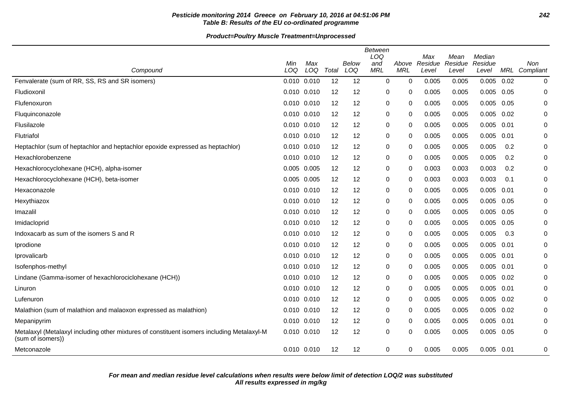# **Pesticide monitoring 2014 Greece on February 10, 2016 at 04:51:06 PM 242 Table B: Results of the EU co-ordinated programme**

| Compound                                                                                                        | Min<br>LOQ      | Max<br>LOQ | Total | Below<br>LOQ | Between<br>LOQ<br>and<br><b>MRL</b> | Above<br><b>MRL</b> | Max<br>Residue<br>Level | Mean<br>Residue<br>Level | Median<br>Residue<br>Level | MRL  | Non<br>Compliant |
|-----------------------------------------------------------------------------------------------------------------|-----------------|------------|-------|--------------|-------------------------------------|---------------------|-------------------------|--------------------------|----------------------------|------|------------------|
| Fenvalerate (sum of RR, SS, RS and SR isomers)                                                                  | 0.010 0.010     |            | 12    | 12           | $\mathbf 0$                         | 0                   | 0.005                   | 0.005                    | 0.005                      | 0.02 | $\mathbf 0$      |
| Fludioxonil                                                                                                     | 0.010 0.010     |            | 12    | 12           | 0                                   | 0                   | 0.005                   | 0.005                    | 0.005                      | 0.05 | 0                |
| Flufenoxuron                                                                                                    | 0.010 0.010     |            | 12    | 12           | 0                                   | 0                   | 0.005                   | 0.005                    | 0.005                      | 0.05 | 0                |
| Fluquinconazole                                                                                                 | 0.010 0.010     |            | 12    | 12           | 0                                   | 0                   | 0.005                   | 0.005                    | 0.005                      | 0.02 | 0                |
| Flusilazole                                                                                                     | 0.010 0.010     |            | 12    | 12           | 0                                   | 0                   | 0.005                   | 0.005                    | 0.005                      | 0.01 | 0                |
| Flutriafol                                                                                                      | 0.010 0.010     |            | 12    | 12           | 0                                   | 0                   | 0.005                   | 0.005                    | 0.005                      | 0.01 | 0                |
| Heptachlor (sum of heptachlor and heptachlor epoxide expressed as heptachlor)                                   | 0.010 0.010     |            | 12    | 12           | 0                                   | 0                   | 0.005                   | 0.005                    | 0.005                      | 0.2  | 0                |
| Hexachlorobenzene                                                                                               | 0.010 0.010     |            | 12    | 12           | 0                                   | 0                   | 0.005                   | 0.005                    | 0.005                      | 0.2  | 0                |
| Hexachlorocyclohexane (HCH), alpha-isomer                                                                       | 0.005 0.005     |            | 12    | 12           | 0                                   | 0                   | 0.003                   | 0.003                    | 0.003                      | 0.2  | $\mathbf 0$      |
| Hexachlorocyclohexane (HCH), beta-isomer                                                                        | 0.005 0.005     |            | 12    | 12           | 0                                   | 0                   | 0.003                   | 0.003                    | 0.003                      | 0.1  | 0                |
| Hexaconazole                                                                                                    | 0.010 0.010     |            | 12    | 12           | 0                                   | 0                   | 0.005                   | 0.005                    | 0.005                      | 0.01 | 0                |
| Hexythiazox                                                                                                     | 0.010 0.010     |            | 12    | 12           | 0                                   | 0                   | 0.005                   | 0.005                    | 0.005                      | 0.05 | $\mathbf 0$      |
| Imazalil                                                                                                        | 0.010 0.010     |            | 12    | 12           | 0                                   | 0                   | 0.005                   | 0.005                    | 0.005                      | 0.05 | 0                |
| Imidacloprid                                                                                                    | 0.010 0.010     |            | 12    | 12           | 0                                   | 0                   | 0.005                   | 0.005                    | 0.005                      | 0.05 | 0                |
| Indoxacarb as sum of the isomers S and R                                                                        | 0.010 0.010     |            | 12    | 12           | 0                                   | 0                   | 0.005                   | 0.005                    | 0.005                      | 0.3  | 0                |
| Iprodione                                                                                                       | 0.010 0.010     |            | 12    | 12           | 0                                   | 0                   | 0.005                   | 0.005                    | 0.005                      | 0.01 | 0                |
| Iprovalicarb                                                                                                    | 0.010 0.010     |            | 12    | 12           | 0                                   | 0                   | 0.005                   | 0.005                    | 0.005                      | 0.01 | $\mathbf 0$      |
| Isofenphos-methyl                                                                                               | 0.010 0.010     |            | 12    | 12           | 0                                   | 0                   | 0.005                   | 0.005                    | 0.005                      | 0.01 | 0                |
| Lindane (Gamma-isomer of hexachlorociclohexane (HCH))                                                           | 0.010 0.010     |            | 12    | 12           | 0                                   | 0                   | 0.005                   | 0.005                    | 0.005                      | 0.02 | $\mathbf 0$      |
| Linuron                                                                                                         | 0.010 0.010     |            | 12    | 12           | 0                                   | 0                   | 0.005                   | 0.005                    | 0.005                      | 0.01 | 0                |
| Lufenuron                                                                                                       | 0.010 0.010     |            | 12    | 12           | 0                                   | 0                   | 0.005                   | 0.005                    | 0.005                      | 0.02 | 0                |
| Malathion (sum of malathion and malaoxon expressed as malathion)                                                | 0.010 0.010     |            | 12    | 12           | 0                                   | 0                   | 0.005                   | 0.005                    | 0.005                      | 0.02 | $\mathbf 0$      |
| Mepanipyrim                                                                                                     | 0.010 0.010     |            | 12    | 12           | 0                                   | 0                   | 0.005                   | 0.005                    | 0.005                      | 0.01 | 0                |
| Metalaxyl (Metalaxyl including other mixtures of constituent isomers including Metalaxyl-M<br>(sum of isomers)) | 0.010 0.010     |            | 12    | 12           | 0                                   | 0                   | 0.005                   | 0.005                    | 0.005                      | 0.05 | 0                |
| Metconazole                                                                                                     | $0.010$ $0.010$ |            | 12    | 12           | 0                                   | 0                   | 0.005                   | 0.005                    | $0.005$ 0.01               |      | 0                |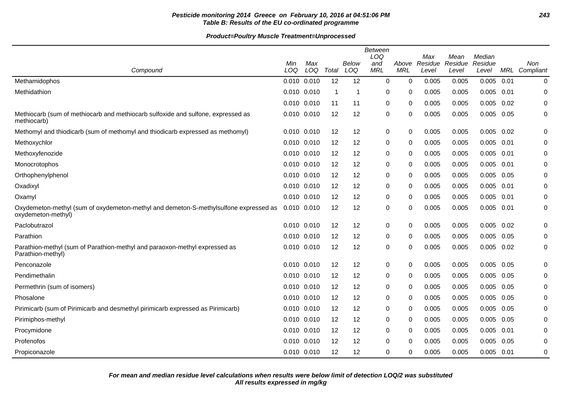# **Pesticide monitoring 2014 Greece on February 10, 2016 at 04:51:06 PM 243 Table B: Results of the EU co-ordinated programme**

|                                                                                                            |             |            |       |              | <b>Between</b><br>LOQ |                     | Max              | Mean             | Median           |      |                      |
|------------------------------------------------------------------------------------------------------------|-------------|------------|-------|--------------|-----------------------|---------------------|------------------|------------------|------------------|------|----------------------|
| Compound                                                                                                   | Min<br>LOQ  | Max<br>LOQ | Total | Below<br>LOQ | and<br><b>MRL</b>     | Above<br><b>MRL</b> | Residue<br>Level | Residue<br>Level | Residue<br>Level |      | Non<br>MRL Compliant |
| Methamidophos                                                                                              | 0.010 0.010 |            | 12    | 12           | $\mathbf 0$           | $\mathbf 0$         | 0.005            | 0.005            | 0.005            | 0.01 | 0                    |
| Methidathion                                                                                               | 0.010 0.010 |            | -1    | 1            | 0                     | 0                   | 0.005            | 0.005            | 0.005            | 0.01 | 0                    |
|                                                                                                            | 0.010 0.010 |            | 11    | 11           | 0                     | 0                   | 0.005            | 0.005            | 0.005            | 0.02 | 0                    |
| Methiocarb (sum of methiocarb and methiocarb sulfoxide and sulfone, expressed as<br>methiocarb)            | 0.010 0.010 |            | 12    | 12           | 0                     | 0                   | 0.005            | 0.005            | 0.005            | 0.05 | 0                    |
| Methomyl and thiodicarb (sum of methomyl and thiodicarb expressed as methomyl)                             | 0.010 0.010 |            | 12    | 12           | 0                     | 0                   | 0.005            | 0.005            | 0.005            | 0.02 | 0                    |
| Methoxychlor                                                                                               | 0.010 0.010 |            | 12    | 12           | 0                     | 0                   | 0.005            | 0.005            | $0.005$ 0.01     |      | 0                    |
| Methoxyfenozide                                                                                            | 0.010 0.010 |            | 12    | 12           | 0                     | 0                   | 0.005            | 0.005            | 0.005            | 0.01 | 0                    |
| Monocrotophos                                                                                              | 0.010 0.010 |            | 12    | 12           | 0                     | 0                   | 0.005            | 0.005            | 0.005            | 0.01 | 0                    |
| Orthophenylphenol                                                                                          | 0.010 0.010 |            | 12    | 12           | 0                     | 0                   | 0.005            | 0.005            | 0.005            | 0.05 | 0                    |
| Oxadixyl                                                                                                   | 0.010 0.010 |            | 12    | 12           | 0                     | 0                   | 0.005            | 0.005            | 0.005            | 0.01 | 0                    |
| Oxamyl                                                                                                     | 0.010 0.010 |            | 12    | 12           | $\mathbf 0$           | 0                   | 0.005            | 0.005            | 0.005            | 0.01 | $\mathbf 0$          |
| Oxydemeton-methyl (sum of oxydemeton-methyl and demeton-S-methylsulfone expressed as<br>oxydemeton-methyl) | 0.010 0.010 |            | 12    | 12           | $\boldsymbol{0}$      | 0                   | 0.005            | 0.005            | 0.005            | 0.01 | 0                    |
| Paclobutrazol                                                                                              | 0.010 0.010 |            | 12    | 12           | 0                     | 0                   | 0.005            | 0.005            | 0.005            | 0.02 | 0                    |
| Parathion                                                                                                  | 0.010 0.010 |            | 12    | 12           | 0                     | 0                   | 0.005            | 0.005            | 0.005            | 0.05 | 0                    |
| Parathion-methyl (sum of Parathion-methyl and paraoxon-methyl expressed as<br>Parathion-methyl)            | 0.010 0.010 |            | 12    | 12           | $\mathbf 0$           | 0                   | 0.005            | 0.005            | 0.005            | 0.02 | $\mathbf 0$          |
| Penconazole                                                                                                | 0.010 0.010 |            | 12    | 12           | 0                     | 0                   | 0.005            | 0.005            | 0.005            | 0.05 | 0                    |
| Pendimethalin                                                                                              | 0.010 0.010 |            | 12    | 12           | 0                     | 0                   | 0.005            | 0.005            | 0.005            | 0.05 | $\mathbf 0$          |
| Permethrin (sum of isomers)                                                                                | 0.010 0.010 |            | 12    | 12           | $\mathbf 0$           | 0                   | 0.005            | 0.005            | 0.005            | 0.05 | $\mathbf 0$          |
| Phosalone                                                                                                  | 0.010 0.010 |            | 12    | 12           | 0                     | 0                   | 0.005            | 0.005            | 0.005            | 0.05 | 0                    |
| Pirimicarb (sum of Pirimicarb and desmethyl pirimicarb expressed as Pirimicarb)                            | 0.010 0.010 |            | 12    | 12           | 0                     | 0                   | 0.005            | 0.005            | 0.005            | 0.05 | 0                    |
| Pirimiphos-methyl                                                                                          | 0.010 0.010 |            | 12    | 12           | 0                     | 0                   | 0.005            | 0.005            | 0.005            | 0.05 | 0                    |
| Procymidone                                                                                                | 0.010 0.010 |            | 12    | 12           | 0                     | 0                   | 0.005            | 0.005            | 0.005            | 0.01 | $\mathbf 0$          |
| Profenofos                                                                                                 | 0.010 0.010 |            | 12    | 12           | $\mathbf 0$           | 0                   | 0.005            | 0.005            | 0.005            | 0.05 | $\mathbf 0$          |
| Propiconazole                                                                                              | 0.010 0.010 |            | 12    | 12           | 0                     | 0                   | 0.005            | 0.005            | $0.005$ 0.01     |      | $\mathbf 0$          |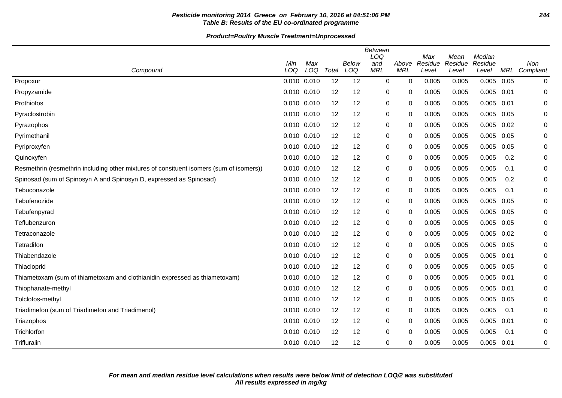# **Pesticide monitoring 2014 Greece on February 10, 2016 at 04:51:06 PM 244 Table B: Results of the EU co-ordinated programme**

| Compound                                                                                | Min<br>LOQ  | Max<br>LOQ | Total | Below<br>LOQ | <b>Between</b><br>LOQ<br>and<br><b>MRL</b> | Above<br><b>MRL</b> | Max<br>Residue<br>Level | Mean<br>Residue<br>Level | Median<br>Residue<br>Level | MRL  | Non<br>Compliant |
|-----------------------------------------------------------------------------------------|-------------|------------|-------|--------------|--------------------------------------------|---------------------|-------------------------|--------------------------|----------------------------|------|------------------|
| Propoxur                                                                                | 0.010 0.010 |            | 12    | 12           | 0                                          | $\Omega$            | 0.005                   | 0.005                    | 0.005                      | 0.05 | $\mathbf 0$      |
| Propyzamide                                                                             | 0.010 0.010 |            | 12    | 12           | 0                                          | 0                   | 0.005                   | 0.005                    | 0.005                      | 0.01 | 0                |
| Prothiofos                                                                              | 0.010 0.010 |            | 12    | 12           | 0                                          | 0                   | 0.005                   | 0.005                    | 0.005                      | 0.01 | 0                |
| Pyraclostrobin                                                                          | 0.010 0.010 |            | 12    | 12           | 0                                          | 0                   | 0.005                   | 0.005                    | 0.005                      | 0.05 | 0                |
| Pyrazophos                                                                              | 0.010 0.010 |            | 12    | 12           | 0                                          | 0                   | 0.005                   | 0.005                    | 0.005                      | 0.02 | 0                |
| Pyrimethanil                                                                            | 0.010 0.010 |            | 12    | 12           | 0                                          | 0                   | 0.005                   | 0.005                    | 0.005                      | 0.05 | 0                |
| Pyriproxyfen                                                                            | 0.010 0.010 |            | 12    | 12           | 0                                          | 0                   | 0.005                   | 0.005                    | 0.005                      | 0.05 | 0                |
| Quinoxyfen                                                                              | 0.010       | 0.010      | 12    | 12           | 0                                          | 0                   | 0.005                   | 0.005                    | 0.005                      | 0.2  | $\mathbf 0$      |
| Resmethrin (resmethrin including other mixtures of consituent isomers (sum of isomers)) | 0.010 0.010 |            | 12    | 12           | 0                                          | 0                   | 0.005                   | 0.005                    | 0.005                      | 0.1  | 0                |
| Spinosad (sum of Spinosyn A and Spinosyn D, expressed as Spinosad)                      | 0.010 0.010 |            | 12    | 12           | 0                                          | 0                   | 0.005                   | 0.005                    | 0.005                      | 0.2  | $\Omega$         |
| Tebuconazole                                                                            | 0.010       | 0.010      | 12    | 12           | 0                                          | 0                   | 0.005                   | 0.005                    | 0.005                      | 0.1  | 0                |
| Tebufenozide                                                                            | 0.010 0.010 |            | 12    | 12           | 0                                          | 0                   | 0.005                   | 0.005                    | 0.005                      | 0.05 | 0                |
| Tebufenpyrad                                                                            | 0.010 0.010 |            | 12    | 12           | 0                                          | 0                   | 0.005                   | 0.005                    | 0.005                      | 0.05 | 0                |
| Teflubenzuron                                                                           | 0.010 0.010 |            | 12    | 12           | 0                                          | 0                   | 0.005                   | 0.005                    | 0.005                      | 0.05 | 0                |
| Tetraconazole                                                                           | 0.010 0.010 |            | 12    | 12           | 0                                          | 0                   | 0.005                   | 0.005                    | 0.005                      | 0.02 | 0                |
| Tetradifon                                                                              | 0.010 0.010 |            | 12    | 12           | 0                                          | 0                   | 0.005                   | 0.005                    | 0.005                      | 0.05 | 0                |
| Thiabendazole                                                                           | 0.010 0.010 |            | 12    | 12           | 0                                          | 0                   | 0.005                   | 0.005                    | 0.005                      | 0.01 | 0                |
| Thiacloprid                                                                             | 0.010 0.010 |            | 12    | 12           | 0                                          | 0                   | 0.005                   | 0.005                    | 0.005                      | 0.05 | 0                |
| Thiametoxam (sum of thiametoxam and clothianidin expressed as thiametoxam)              | 0.010 0.010 |            | 12    | 12           | 0                                          | 0                   | 0.005                   | 0.005                    | 0.005                      | 0.01 | 0                |
| Thiophanate-methyl                                                                      | 0.010 0.010 |            | 12    | 12           | 0                                          | 0                   | 0.005                   | 0.005                    | 0.005                      | 0.01 | 0                |
| Tolclofos-methyl                                                                        | 0.010 0.010 |            | 12    | 12           | 0                                          | $\Omega$            | 0.005                   | 0.005                    | 0.005                      | 0.05 | 0                |
| Triadimefon (sum of Triadimefon and Triadimenol)                                        | 0.010 0.010 |            | 12    | 12           | 0                                          | 0                   | 0.005                   | 0.005                    | 0.005                      | 0.1  | 0                |
| Triazophos                                                                              | 0.010 0.010 |            | 12    | 12           | 0                                          | 0                   | 0.005                   | 0.005                    | 0.005                      | 0.01 | 0                |
| Trichlorfon                                                                             | 0.010 0.010 |            | 12    | 12           | 0                                          | 0                   | 0.005                   | 0.005                    | 0.005                      | 0.1  | 0                |
| Trifluralin                                                                             | 0.010 0.010 |            | 12    | 12           | 0                                          | 0                   | 0.005                   | 0.005                    | 0.005                      | 0.01 | 0                |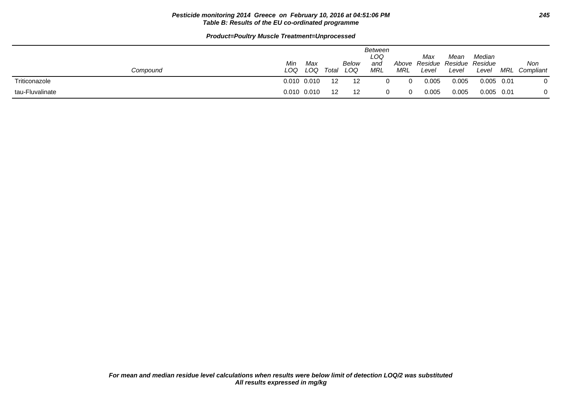### **Pesticide monitoring 2014 Greece on February 10, 2016 at 04:51:06 PM 245 Table B: Results of the EU co-ordinated programme**

| Compound        | Min<br>LOQ | Max<br>LOQ      | Total | <b>Below</b><br>LOQ | Between<br>LOQ<br>and<br><b>MRL</b> | Above<br>MRL | Max<br>Level | Mean<br>Residue Residue Residue<br>Level | Median<br>Level | MRL | Non<br>Compliant |
|-----------------|------------|-----------------|-------|---------------------|-------------------------------------|--------------|--------------|------------------------------------------|-----------------|-----|------------------|
| Triticonazole   |            | $0.010$ $0.010$ | 12    | -12                 |                                     | $\Omega$     | 0.005        | 0.005                                    | $0.005$ 0.01    |     |                  |
| tau-Fluvalinate |            | $0.010$ $0.010$ | 12    | -12                 |                                     | $\Omega$     | 0.005        | 0.005                                    | $0.005$ 0.01    |     | 0                |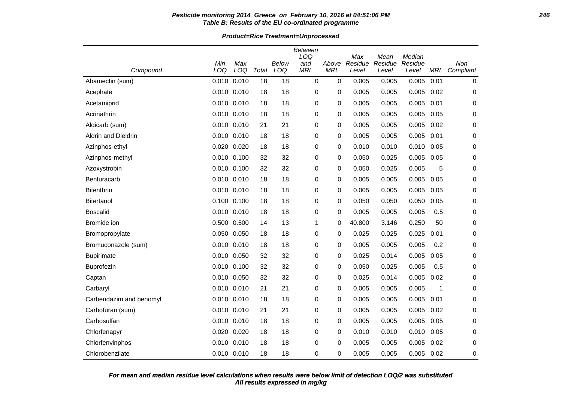# **Pesticide monitoring 2014 Greece on February 10, 2016 at 04:51:06 PM 246 Table B: Results of the EU co-ordinated programme**

**Product=Rice Treatment=Unprocessed**

| Compound                | Min<br>LOQ      | Max<br>LOQ | Total | <b>Below</b><br>LOQ | Between<br>LOQ<br>and<br><b>MRL</b> | Above<br><b>MRL</b> | Max<br>Residue<br>Level | Mean<br>Residue<br>Level | Median<br>Residue<br>Level | MRL         | Non<br>Compliant |
|-------------------------|-----------------|------------|-------|---------------------|-------------------------------------|---------------------|-------------------------|--------------------------|----------------------------|-------------|------------------|
| Abamectin (sum)         | 0.010           | 0.010      | 18    | 18                  | $\mathbf 0$                         | 0                   | 0.005                   | 0.005                    | 0.005                      | 0.01        | $\mathbf 0$      |
| Acephate                | 0.010 0.010     |            | 18    | 18                  | 0                                   | 0                   | 0.005                   | 0.005                    | 0.005                      | 0.02        | $\mathbf 0$      |
| Acetamiprid             | 0.010           | 0.010      | 18    | 18                  | 0                                   | 0                   | 0.005                   | 0.005                    | 0.005                      | 0.01        | 0                |
| Acrinathrin             | $0.010$ $0.010$ |            | 18    | 18                  | 0                                   | 0                   | 0.005                   | 0.005                    | 0.005                      | 0.05        | 0                |
| Aldicarb (sum)          | 0.010 0.010     |            | 21    | 21                  | 0                                   | 0                   | 0.005                   | 0.005                    | 0.005                      | 0.02        | 0                |
| Aldrin and Dieldrin     | 0.010           | 0.010      | 18    | 18                  | 0                                   | 0                   | 0.005                   | 0.005                    | 0.005                      | 0.01        | 0                |
| Azinphos-ethyl          | 0.020           | 0.020      | 18    | 18                  | 0                                   | 0                   | 0.010                   | 0.010                    | 0.010                      | 0.05        | 0                |
| Azinphos-methyl         | 0.010           | 0.100      | 32    | 32                  | 0                                   | 0                   | 0.050                   | 0.025                    | 0.005                      | 0.05        | 0                |
| Azoxystrobin            | 0.010 0.100     |            | 32    | 32                  | 0                                   | 0                   | 0.050                   | 0.025                    | 0.005                      | 5           | 0                |
| Benfuracarb             | 0.010           | 0.010      | 18    | 18                  | 0                                   | 0                   | 0.005                   | 0.005                    | 0.005                      | 0.05        | 0                |
| <b>Bifenthrin</b>       | 0.010           | 0.010      | 18    | 18                  | 0                                   | 0                   | 0.005                   | 0.005                    | 0.005                      | 0.05        | $\mathbf 0$      |
| <b>Bitertanol</b>       | 0.100 0.100     |            | 18    | 18                  | 0                                   | 0                   | 0.050                   | 0.050                    | 0.050                      | 0.05        | 0                |
| <b>Boscalid</b>         | 0.010           | 0.010      | 18    | 18                  | 0                                   | 0                   | 0.005                   | 0.005                    | 0.005                      | 0.5         | 0                |
| Bromide ion             | 0.500           | 0.500      | 14    | 13                  | 1                                   | 0                   | 40.800                  | 3.146                    | 0.250                      | 50          | 0                |
| Bromopropylate          | 0.050           | 0.050      | 18    | 18                  | 0                                   | 0                   | 0.025                   | 0.025                    | 0.025                      | 0.01        | 0                |
| Bromuconazole (sum)     | 0.010           | 0.010      | 18    | 18                  | 0                                   | 0                   | 0.005                   | 0.005                    | 0.005                      | 0.2         | $\mathbf 0$      |
| <b>Bupirimate</b>       | 0.010 0.050     |            | 32    | 32                  | $\mathbf 0$                         | 0                   | 0.025                   | 0.014                    | 0.005                      | 0.05        | $\mathbf 0$      |
| Buprofezin              | 0.010 0.100     |            | 32    | 32                  | 0                                   | 0                   | 0.050                   | 0.025                    | 0.005                      | 0.5         | 0                |
| Captan                  | 0.010 0.050     |            | 32    | 32                  | 0                                   | 0                   | 0.025                   | 0.014                    | 0.005                      | 0.02        | 0                |
| Carbaryl                | 0.010           | 0.010      | 21    | 21                  | 0                                   | 0                   | 0.005                   | 0.005                    | 0.005                      | $\mathbf 1$ | 0                |
| Carbendazim and benomyl | 0.010           | 0.010      | 18    | 18                  | 0                                   | 0                   | 0.005                   | 0.005                    | 0.005                      | 0.01        | 0                |
| Carbofuran (sum)        | 0.010 0.010     |            | 21    | 21                  | 0                                   | 0                   | 0.005                   | 0.005                    | 0.005                      | 0.02        | 0                |
| Carbosulfan             | 0.010           | 0.010      | 18    | 18                  | 0                                   | 0                   | 0.005                   | 0.005                    | 0.005                      | 0.05        | 0                |
| Chlorfenapyr            | 0.020           | 0.020      | 18    | 18                  | 0                                   | 0                   | 0.010                   | 0.010                    | 0.010                      | 0.05        | 0                |
| Chlorfenvinphos         | 0.010           | 0.010      | 18    | 18                  | 0                                   | 0                   | 0.005                   | 0.005                    | 0.005                      | 0.02        | 0                |
| Chlorobenzilate         | 0.010 0.010     |            | 18    | 18                  | $\Omega$                            | 0                   | 0.005                   | 0.005                    | 0.005                      | 0.02        | $\mathbf 0$      |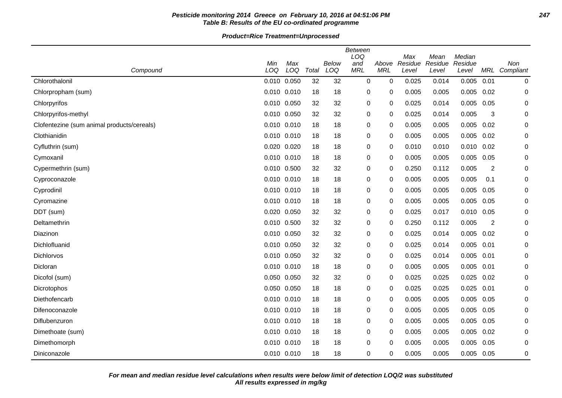# **Pesticide monitoring 2014 Greece on February 10, 2016 at 04:51:06 PM 247 Table B: Results of the EU co-ordinated programme**

|                                            |       |             |       |              | <b>Between</b> |            |                |                 | Median  |                |               |
|--------------------------------------------|-------|-------------|-------|--------------|----------------|------------|----------------|-----------------|---------|----------------|---------------|
|                                            | Min   | Max         |       | <b>Below</b> | LOQ<br>and     | Above      | Max<br>Residue | Mean<br>Residue | Residue |                | Non           |
| Compound                                   | LOQ   | LOQ         | Total | LOQ          | <b>MRL</b>     | <b>MRL</b> | Level          | Level           | Level   |                | MRL Compliant |
| Chlorothalonil                             |       | 0.010 0.050 | 32    | 32           | $\mathbf 0$    | 0          | 0.025          | 0.014           | 0.005   | 0.01           | 0             |
| Chlorpropham (sum)                         |       | 0.010 0.010 | 18    | 18           | 0              | 0          | 0.005          | 0.005           | 0.005   | 0.02           | 0             |
| Chlorpyrifos                               |       | 0.010 0.050 | 32    | 32           | $\mathbf 0$    | 0          | 0.025          | 0.014           | 0.005   | 0.05           | 0             |
| Chlorpyrifos-methyl                        |       | 0.010 0.050 | 32    | 32           | $\mathbf 0$    | 0          | 0.025          | 0.014           | 0.005   | 3              | 0             |
| Clofentezine (sum animal products/cereals) |       | 0.010 0.010 | 18    | 18           | 0              | 0          | 0.005          | 0.005           | 0.005   | 0.02           | 0             |
| Clothianidin                               |       | 0.010 0.010 | 18    | 18           | 0              | 0          | 0.005          | 0.005           | 0.005   | 0.02           | 0             |
| Cyfluthrin (sum)                           |       | 0.020 0.020 | 18    | 18           | 0              | 0          | 0.010          | 0.010           | 0.010   | 0.02           | 0             |
| Cymoxanil                                  |       | 0.010 0.010 | 18    | 18           | 0              | 0          | 0.005          | 0.005           | 0.005   | 0.05           | 0             |
| Cypermethrin (sum)                         |       | 0.010 0.500 | 32    | 32           | 0              | 0          | 0.250          | 0.112           | 0.005   | $\overline{2}$ | 0             |
| Cyproconazole                              |       | 0.010 0.010 | 18    | 18           | 0              | 0          | 0.005          | 0.005           | 0.005   | 0.1            | 0             |
| Cyprodinil                                 |       | 0.010 0.010 | 18    | 18           | 0              | 0          | 0.005          | 0.005           | 0.005   | 0.05           | 0             |
| Cyromazine                                 |       | 0.010 0.010 | 18    | 18           | 0              | 0          | 0.005          | 0.005           | 0.005   | 0.05           | 0             |
| DDT (sum)                                  | 0.020 | 0.050       | 32    | 32           | 0              | 0          | 0.025          | 0.017           | 0.010   | 0.05           | 0             |
| Deltamethrin                               |       | 0.010 0.500 | 32    | 32           | 0              | 0          | 0.250          | 0.112           | 0.005   | 2              | 0             |
| Diazinon                                   |       | 0.010 0.050 | 32    | 32           | 0              | 0          | 0.025          | 0.014           | 0.005   | 0.02           | 0             |
| Dichlofluanid                              |       | 0.010 0.050 | 32    | 32           | 0              | 0          | 0.025          | 0.014           | 0.005   | 0.01           | 0             |
| <b>Dichlorvos</b>                          |       | 0.010 0.050 | 32    | 32           | 0              | 0          | 0.025          | 0.014           | 0.005   | 0.01           | 0             |
| Dicloran                                   |       | 0.010 0.010 | 18    | 18           | 0              | 0          | 0.005          | 0.005           | 0.005   | 0.01           | 0             |
| Dicofol (sum)                              |       | 0.050 0.050 | 32    | 32           | 0              | 0          | 0.025          | 0.025           | 0.025   | 0.02           | 0             |
| Dicrotophos                                |       | 0.050 0.050 | 18    | 18           | 0              | 0          | 0.025          | 0.025           | 0.025   | 0.01           | 0             |
| Diethofencarb                              |       | 0.010 0.010 | 18    | 18           | 0              | 0          | 0.005          | 0.005           | 0.005   | 0.05           | 0             |
| Difenoconazole                             |       | 0.010 0.010 | 18    | 18           | 0              | 0          | 0.005          | 0.005           | 0.005   | 0.05           | 0             |
| Diflubenzuron                              |       | 0.010 0.010 | 18    | 18           | 0              | 0          | 0.005          | 0.005           | 0.005   | 0.05           | 0             |
| Dimethoate (sum)                           |       | 0.010 0.010 | 18    | 18           | $\mathbf 0$    | 0          | 0.005          | 0.005           | 0.005   | 0.02           | 0             |
| Dimethomorph                               |       | 0.010 0.010 | 18    | 18           | 0              | 0          | 0.005          | 0.005           | 0.005   | 0.05           | 0             |
| Diniconazole                               |       | 0.010 0.010 | 18    | 18           | 0              | 0          | 0.005          | 0.005           | 0.005   | 0.05           | 0             |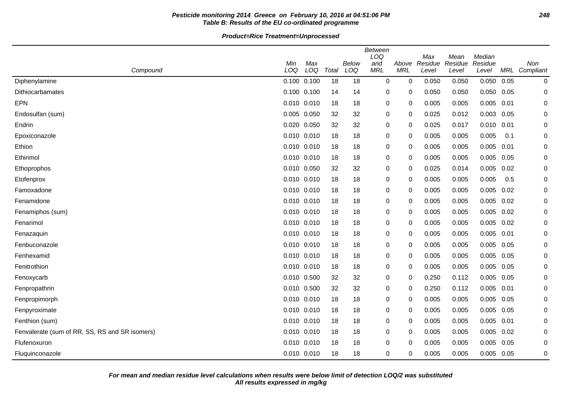# **Pesticide monitoring 2014 Greece on February 10, 2016 at 04:51:06 PM 248 Table B: Results of the EU co-ordinated programme**

|                                                |             |             |       |                     | <b>Between</b><br>LOQ |                     | Max              | Mean             | Median           |      |                      |
|------------------------------------------------|-------------|-------------|-------|---------------------|-----------------------|---------------------|------------------|------------------|------------------|------|----------------------|
| Compound                                       | Min<br>LOQ  | Max<br>LOQ  | Total | <b>Below</b><br>LOQ | and<br><b>MRL</b>     | Above<br><b>MRL</b> | Residue<br>Level | Residue<br>Level | Residue<br>Level |      | Non<br>MRL Compliant |
| Diphenylamine                                  |             | 0.100 0.100 | 18    | 18                  | $\mathbf 0$           | $\mathbf 0$         | 0.050            | 0.050            | 0.050            | 0.05 | $\pmb{0}$            |
| Dithiocarbamates                               | 0.100 0.100 |             | 14    | 14                  | 0                     | 0                   | 0.050            | 0.050            | 0.050            | 0.05 | 0                    |
| <b>EPN</b>                                     | 0.010       | 0.010       | 18    | 18                  | 0                     | $\Omega$            | 0.005            | 0.005            | 0.005            | 0.01 | 0                    |
| Endosulfan (sum)                               |             | 0.005 0.050 | 32    | 32                  | 0                     | $\Omega$            | 0.025            | 0.012            | 0.003            | 0.05 | 0                    |
| Endrin                                         | 0.020       | 0.050       | 32    | 32                  | 0                     | 0                   | 0.025            | 0.017            | 0.010            | 0.01 | 0                    |
| Epoxiconazole                                  |             | 0.010 0.010 | 18    | 18                  | 0                     | 0                   | 0.005            | 0.005            | 0.005            | 0.1  | 0                    |
| Ethion                                         | 0.010 0.010 |             | 18    | 18                  | 0                     | 0                   | 0.005            | 0.005            | 0.005            | 0.01 | 0                    |
| Ethirimol                                      |             | 0.010 0.010 | 18    | 18                  | 0                     | $\Omega$            | 0.005            | 0.005            | 0.005            | 0.05 | 0                    |
| Ethoprophos                                    |             | 0.010 0.050 | 32    | 32                  | 0                     | 0                   | 0.025            | 0.014            | 0.005            | 0.02 | $\mathbf 0$          |
| Etofenprox                                     | 0.010 0.010 |             | 18    | 18                  | 0                     | 0                   | 0.005            | 0.005            | 0.005            | 0.5  | 0                    |
| Famoxadone                                     |             | 0.010 0.010 | 18    | 18                  | 0                     | $\mathbf 0$         | 0.005            | 0.005            | 0.005            | 0.02 | 0                    |
| Fenamidone                                     |             | 0.010 0.010 | 18    | 18                  | 0                     | $\Omega$            | 0.005            | 0.005            | 0.005            | 0.02 | 0                    |
| Fenamiphos (sum)                               |             | 0.010 0.010 | 18    | 18                  | 0                     | 0                   | 0.005            | 0.005            | 0.005            | 0.02 | 0                    |
| Fenarimol                                      |             | 0.010 0.010 | 18    | 18                  | 0                     | 0                   | 0.005            | 0.005            | 0.005            | 0.02 | 0                    |
| Fenazaquin                                     |             | 0.010 0.010 | 18    | 18                  | 0                     | $\Omega$            | 0.005            | 0.005            | 0.005            | 0.01 | 0                    |
| Fenbuconazole                                  |             | 0.010 0.010 | 18    | 18                  | 0                     | 0                   | 0.005            | 0.005            | 0.005            | 0.05 | 0                    |
| Fenhexamid                                     | 0.010 0.010 |             | 18    | 18                  | 0                     | 0                   | 0.005            | 0.005            | 0.005            | 0.05 | 0                    |
| Fenitrothion                                   |             | 0.010 0.010 | 18    | 18                  | 0                     | 0                   | 0.005            | 0.005            | 0.005            | 0.05 | 0                    |
| Fenoxycarb                                     |             | 0.010 0.500 | 32    | 32                  | 0                     | 0                   | 0.250            | 0.112            | $0.005$ 0.05     |      | 0                    |
| Fenpropathrin                                  | 0.010 0.500 |             | 32    | 32                  | 0                     | 0                   | 0.250            | 0.112            | 0.005            | 0.01 | 0                    |
| Fenpropimorph                                  |             | 0.010 0.010 | 18    | 18                  | 0                     | 0                   | 0.005            | 0.005            | 0.005            | 0.05 | 0                    |
| Fenpyroximate                                  | 0.010 0.010 |             | 18    | 18                  | 0                     | 0                   | 0.005            | 0.005            | 0.005            | 0.05 | 0                    |
| Fenthion (sum)                                 |             | 0.010 0.010 | 18    | 18                  | 0                     | 0                   | 0.005            | 0.005            | 0.005            | 0.01 | 0                    |
| Fenvalerate (sum of RR, SS, RS and SR isomers) |             | 0.010 0.010 | 18    | 18                  | 0                     | 0                   | 0.005            | 0.005            | 0.005            | 0.02 | 0                    |
| Flufenoxuron                                   |             | 0.010 0.010 | 18    | 18                  | 0                     | 0                   | 0.005            | 0.005            | 0.005            | 0.05 | 0                    |
| Fluquinconazole                                |             | 0.010 0.010 | 18    | 18                  | 0                     | 0                   | 0.005            | 0.005            | $0.005$ 0.05     |      | 0                    |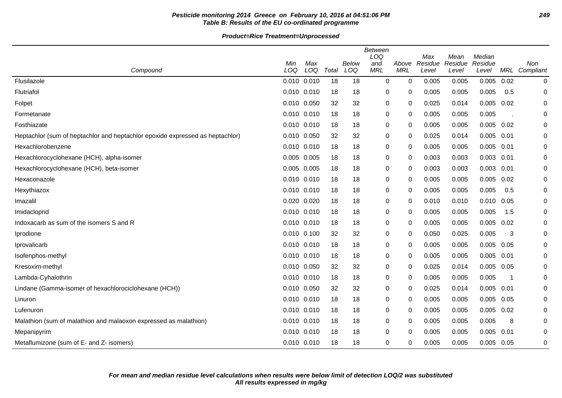# **Pesticide monitoring 2014 Greece on February 10, 2016 at 04:51:06 PM 249 Table B: Results of the EU co-ordinated programme**

| Compound                                                                      | Min<br>LOQ  | Max<br>LOQ | Total | Below<br>LOQ | <b>Between</b><br>LOQ<br>and<br><b>MRL</b> | Above<br><b>MRL</b> | Max<br>Residue<br>Level | Mean<br>Residue<br>Level | Median<br>Residue<br>Level | MRL  | <b>Non</b><br>Compliant |
|-------------------------------------------------------------------------------|-------------|------------|-------|--------------|--------------------------------------------|---------------------|-------------------------|--------------------------|----------------------------|------|-------------------------|
| Flusilazole                                                                   | 0.010 0.010 |            | 18    | 18           | 0                                          | $\Omega$            | 0.005                   | 0.005                    | 0.005                      | 0.02 | 0                       |
| Flutriafol                                                                    | 0.010 0.010 |            | 18    | 18           | 0                                          | 0                   | 0.005                   | 0.005                    | 0.005                      | 0.5  | 0                       |
| Folpet                                                                        | 0.010 0.050 |            | 32    | 32           | 0                                          | 0                   | 0.025                   | 0.014                    | 0.005                      | 0.02 | 0                       |
| Formetanate                                                                   | 0.010 0.010 |            | 18    | 18           | 0                                          | 0                   | 0.005                   | 0.005                    | 0.005                      |      | 0                       |
| Fosthiazate                                                                   | 0.010 0.010 |            | 18    | 18           | 0                                          | $\Omega$            | 0.005                   | 0.005                    | 0.005                      | 0.02 | 0                       |
| Heptachlor (sum of heptachlor and heptachlor epoxide expressed as heptachlor) | 0.010 0.050 |            | 32    | 32           | 0                                          | 0                   | 0.025                   | 0.014                    | 0.005                      | 0.01 | 0                       |
| Hexachlorobenzene                                                             | 0.010 0.010 |            | 18    | 18           | 0                                          | 0                   | 0.005                   | 0.005                    | 0.005                      | 0.01 | 0                       |
| Hexachlorocyclohexane (HCH), alpha-isomer                                     | 0.005 0.005 |            | 18    | 18           | 0                                          | 0                   | 0.003                   | 0.003                    | 0.003                      | 0.01 | 0                       |
| Hexachlorocyclohexane (HCH), beta-isomer                                      | 0.005 0.005 |            | 18    | 18           | 0                                          | 0                   | 0.003                   | 0.003                    | 0.003                      | 0.01 | 0                       |
| Hexaconazole                                                                  | 0.010 0.010 |            | 18    | 18           | 0                                          | 0                   | 0.005                   | 0.005                    | 0.005                      | 0.02 | 0                       |
| Hexythiazox                                                                   | 0.010 0.010 |            | 18    | 18           | 0                                          | 0                   | 0.005                   | 0.005                    | 0.005                      | 0.5  | 0                       |
| Imazalil                                                                      | 0.020 0.020 |            | 18    | 18           | 0                                          | 0                   | 0.010                   | 0.010                    | 0.010                      | 0.05 | 0                       |
| Imidacloprid                                                                  | 0.010 0.010 |            | 18    | 18           | 0                                          | 0                   | 0.005                   | 0.005                    | 0.005                      | 1.5  | 0                       |
| Indoxacarb as sum of the isomers S and R                                      | 0.010 0.010 |            | 18    | 18           | 0                                          | 0                   | 0.005                   | 0.005                    | 0.005                      | 0.02 | 0                       |
| Iprodione                                                                     | 0.010 0.100 |            | 32    | 32           | 0                                          | 0                   | 0.050                   | 0.025                    | 0.005                      | 3    | 0                       |
| Iprovalicarb                                                                  | 0.010 0.010 |            | 18    | 18           | 0                                          | 0                   | 0.005                   | 0.005                    | 0.005                      | 0.05 | 0                       |
| Isofenphos-methyl                                                             | 0.010 0.010 |            | 18    | 18           | 0                                          | 0                   | 0.005                   | 0.005                    | 0.005                      | 0.01 | 0                       |
| Kresoxim-methyl                                                               | 0.010 0.050 |            | 32    | 32           | 0                                          | 0                   | 0.025                   | 0.014                    | 0.005                      | 0.05 | 0                       |
| Lambda-Cyhalothrin                                                            | 0.010 0.010 |            | 18    | 18           | 0                                          | $\Omega$            | 0.005                   | 0.005                    | 0.005                      |      | 0                       |
| Lindane (Gamma-isomer of hexachlorociclohexane (HCH))                         | 0.010 0.050 |            | 32    | 32           | 0                                          | 0                   | 0.025                   | 0.014                    | 0.005                      | 0.01 | 0                       |
| Linuron                                                                       | 0.010 0.010 |            | 18    | 18           | 0                                          | $\mathbf{0}$        | 0.005                   | 0.005                    | 0.005                      | 0.05 | $\mathbf 0$             |
| Lufenuron                                                                     | 0.010 0.010 |            | 18    | 18           | 0                                          | 0                   | 0.005                   | 0.005                    | 0.005                      | 0.02 | 0                       |
| Malathion (sum of malathion and malaoxon expressed as malathion)              | 0.010 0.010 |            | 18    | 18           | 0                                          | 0                   | 0.005                   | 0.005                    | 0.005                      | 8    | 0                       |
| Mepanipyrim                                                                   | 0.010 0.010 |            | 18    | 18           | 0                                          | 0                   | 0.005                   | 0.005                    | 0.005                      | 0.01 | 0                       |
| Metaflumizone (sum of E- and Z- isomers)                                      | 0.010 0.010 |            | 18    | 18           | $\mathbf 0$                                | 0                   | 0.005                   | 0.005                    | 0.005                      | 0.05 | 0                       |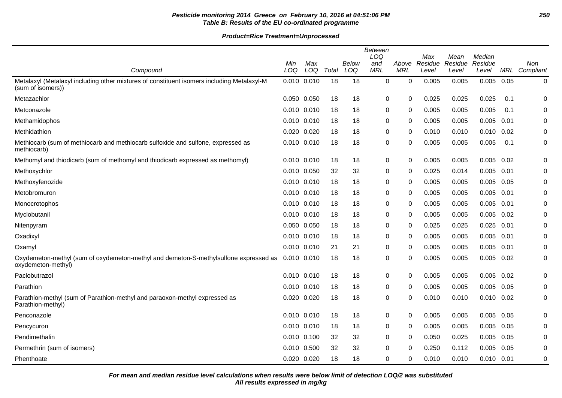# **Pesticide monitoring 2014 Greece on February 10, 2016 at 04:51:06 PM 250 Table B: Results of the EU co-ordinated programme**

**Product=Rice Treatment=Unprocessed**

|                                                                                                                 | <b>Between</b> |             |       |       |            |            |                |                 |                   |            |           |
|-----------------------------------------------------------------------------------------------------------------|----------------|-------------|-------|-------|------------|------------|----------------|-----------------|-------------------|------------|-----------|
|                                                                                                                 | Min            | Max         |       | Below | LOQ<br>and | Above      | Max<br>Residue | Mean<br>Residue | Median<br>Residue |            | Non       |
| Compound                                                                                                        | LOQ            | LOQ         | Total | LOQ   | <b>MRL</b> | <b>MRL</b> | Level          | Level           | Level             | <b>MRL</b> | Compliant |
| Metalaxyl (Metalaxyl including other mixtures of constituent isomers including Metalaxyl-M<br>(sum of isomers)) | 0.010 0.010    |             | 18    | 18    | 0          | 0          | 0.005          | 0.005           | 0.005             | 0.05       | 0         |
| Metazachlor                                                                                                     | 0.050 0.050    |             | 18    | 18    | 0          | $\Omega$   | 0.025          | 0.025           | 0.025             | 0.1        | 0         |
| Metconazole                                                                                                     | 0.010 0.010    |             | 18    | 18    | 0          | $\Omega$   | 0.005          | 0.005           | 0.005             | 0.1        | 0         |
| Methamidophos                                                                                                   | 0.010 0.010    |             | 18    | 18    | 0          | 0          | 0.005          | 0.005           | 0.005             | 0.01       | 0         |
| Methidathion                                                                                                    | 0.020 0.020    |             | 18    | 18    | 0          | $\Omega$   | 0.010          | 0.010           | 0.010             | 0.02       | 0         |
| Methiocarb (sum of methiocarb and methiocarb sulfoxide and sulfone, expressed as<br>methiocarb)                 | 0.010 0.010    |             | 18    | 18    | 0          | 0          | 0.005          | 0.005           | 0.005             | 0.1        | 0         |
| Methomyl and thiodicarb (sum of methomyl and thiodicarb expressed as methomyl)                                  |                | 0.010 0.010 | 18    | 18    | 0          | 0          | 0.005          | 0.005           | 0.005             | 0.02       | 0         |
| Methoxychlor                                                                                                    |                | 0.010 0.050 | 32    | 32    | 0          | $\Omega$   | 0.025          | 0.014           | 0.005             | 0.01       | 0         |
| Methoxyfenozide                                                                                                 | 0.010 0.010    |             | 18    | 18    | 0          | 0          | 0.005          | 0.005           | 0.005             | 0.05       | 0         |
| Metobromuron                                                                                                    | 0.010 0.010    |             | 18    | 18    | 0          | $\Omega$   | 0.005          | 0.005           | $0.005$ 0.01      |            | 0         |
| Monocrotophos                                                                                                   | 0.010 0.010    |             | 18    | 18    | 0          | 0          | 0.005          | 0.005           | 0.005             | 0.01       | 0         |
| Myclobutanil                                                                                                    | 0.010 0.010    |             | 18    | 18    | 0          | $\Omega$   | 0.005          | 0.005           | 0.005             | 0.02       | 0         |
| Nitenpyram                                                                                                      | 0.050 0.050    |             | 18    | 18    | 0          | 0          | 0.025          | 0.025           | 0.025             | 0.01       | 0         |
| Oxadixyl                                                                                                        |                | 0.010 0.010 | 18    | 18    | 0          | $\Omega$   | 0.005          | 0.005           | 0.005             | 0.01       | 0         |
| Oxamyl                                                                                                          | 0.010 0.010    |             | 21    | 21    | 0          | 0          | 0.005          | 0.005           | 0.005             | 0.01       | 0         |
| Oxydemeton-methyl (sum of oxydemeton-methyl and demeton-S-methylsulfone expressed as<br>oxydemeton-methyl)      | 0.010 0.010    |             | 18    | 18    | 0          | $\Omega$   | 0.005          | 0.005           | 0.005             | 0.02       | 0         |
| Paclobutrazol                                                                                                   | 0.010 0.010    |             | 18    | 18    | 0          | 0          | 0.005          | 0.005           | 0.005             | 0.02       | 0         |
| Parathion                                                                                                       | 0.010 0.010    |             | 18    | 18    | 0          | $\Omega$   | 0.005          | 0.005           | 0.005             | 0.05       | 0         |
| Parathion-methyl (sum of Parathion-methyl and paraoxon-methyl expressed as<br>Parathion-methyl)                 | 0.020 0.020    |             | 18    | 18    | 0          | 0          | 0.010          | 0.010           | $0.010$ $0.02$    |            | 0         |
| Penconazole                                                                                                     | 0.010 0.010    |             | 18    | 18    | 0          | 0          | 0.005          | 0.005           | 0.005             | 0.05       | 0         |
| Pencycuron                                                                                                      | 0.010 0.010    |             | 18    | 18    | 0          | $\Omega$   | 0.005          | 0.005           | 0.005             | 0.05       | 0         |
| Pendimethalin                                                                                                   | 0.010 0.100    |             | 32    | 32    | 0          | 0          | 0.050          | 0.025           | 0.005             | 0.05       | 0         |
| Permethrin (sum of isomers)                                                                                     |                | 0.010 0.500 | 32    | 32    | 0          | $\Omega$   | 0.250          | 0.112           | 0.005             | 0.05       | 0         |
| Phenthoate                                                                                                      | 0.020 0.020    |             | 18    | 18    | 0          | 0          | 0.010          | 0.010           | $0.010$ $0.01$    |            | 0         |

**All results expressed in mg/kg For mean and median residue level calculations when results were below limit of detection LOQ/2 was substituted**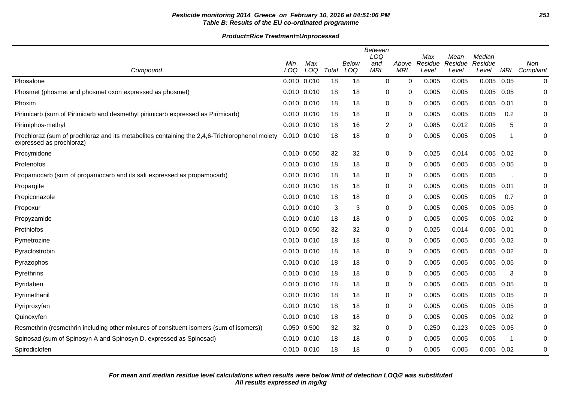# **Pesticide monitoring 2014 Greece on February 10, 2016 at 04:51:06 PM 251 Table B: Results of the EU co-ordinated programme**

|                                                                                                                           |                 |            |       |              | <b>Between</b><br>LOQ |                     | Max              | Mean             | Median           |      |                  |
|---------------------------------------------------------------------------------------------------------------------------|-----------------|------------|-------|--------------|-----------------------|---------------------|------------------|------------------|------------------|------|------------------|
| Compound                                                                                                                  | Min<br>LOQ      | Max<br>LOQ | Total | Below<br>LOQ | and<br><b>MRL</b>     | Above<br><b>MRL</b> | Residue<br>Level | Residue<br>Level | Residue<br>Level | MRL  | Non<br>Compliant |
| Phosalone                                                                                                                 | 0.010 0.010     |            | 18    | 18           | $\mathbf 0$           | 0                   | 0.005            | 0.005            | 0.005            | 0.05 | 0                |
| Phosmet (phosmet and phosmet oxon expressed as phosmet)                                                                   | $0.010$ $0.010$ |            | 18    | 18           | 0                     | 0                   | 0.005            | 0.005            | 0.005            | 0.05 | 0                |
| Phoxim                                                                                                                    | $0.010$ $0.010$ |            | 18    | 18           | 0                     | 0                   | 0.005            | 0.005            | 0.005            | 0.01 | 0                |
| Pirimicarb (sum of Pirimicarb and desmethyl pirimicarb expressed as Pirimicarb)                                           | $0.010$ $0.010$ |            | 18    | 18           | 0                     | 0                   | 0.005            | 0.005            | 0.005            | 0.2  | 0                |
| Pirimiphos-methyl                                                                                                         | 0.010 0.010     |            | 18    | 16           | $\overline{2}$        | 0                   | 0.085            | 0.012            | 0.005            | 5    | 0                |
| Prochloraz (sum of prochloraz and its metabolites containing the 2,4,6-Trichlorophenol moiety<br>expressed as prochloraz) | 0.010 0.010     |            | 18    | 18           | $\mathbf 0$           | 0                   | 0.005            | 0.005            | 0.005            | 1    | $\pmb{0}$        |
| Procymidone                                                                                                               | 0.010 0.050     |            | 32    | 32           | $\pmb{0}$             | 0                   | 0.025            | 0.014            | 0.005            | 0.02 | 0                |
| Profenofos                                                                                                                | $0.010$ $0.010$ |            | 18    | 18           | 0                     | 0                   | 0.005            | 0.005            | 0.005            | 0.05 | 0                |
| Propamocarb (sum of propamocarb and its salt expressed as propamocarb)                                                    | 0.010 0.010     |            | 18    | 18           | 0                     | 0                   | 0.005            | 0.005            | 0.005            |      | 0                |
| Propargite                                                                                                                | 0.010 0.010     |            | 18    | 18           | 0                     | 0                   | 0.005            | 0.005            | 0.005            | 0.01 | 0                |
| Propiconazole                                                                                                             | $0.010$ $0.010$ |            | 18    | 18           | 0                     | $\Omega$            | 0.005            | 0.005            | 0.005            | 0.7  | 0                |
| Propoxur                                                                                                                  | $0.010$ $0.010$ |            | 3     | 3            | 0                     | 0                   | 0.005            | 0.005            | 0.005            | 0.05 | 0                |
| Propyzamide                                                                                                               | 0.010 0.010     |            | 18    | 18           | 0                     | 0                   | 0.005            | 0.005            | 0.005            | 0.02 | 0                |
| Prothiofos                                                                                                                | 0.010 0.050     |            | 32    | 32           | 0                     | 0                   | 0.025            | 0.014            | 0.005            | 0.01 | 0                |
| Pymetrozine                                                                                                               | 0.010 0.010     |            | 18    | 18           | 0                     | 0                   | 0.005            | 0.005            | 0.005            | 0.02 | 0                |
| Pyraclostrobin                                                                                                            | 0.010 0.010     |            | 18    | 18           | 0                     | 0                   | 0.005            | 0.005            | 0.005            | 0.02 | 0                |
| Pyrazophos                                                                                                                | $0.010$ $0.010$ |            | 18    | 18           | $\mathbf 0$           | 0                   | 0.005            | 0.005            | 0.005            | 0.05 | 0                |
| Pyrethrins                                                                                                                | 0.010 0.010     |            | 18    | 18           | $\mathbf 0$           | 0                   | 0.005            | 0.005            | 0.005            | 3    | 0                |
| Pyridaben                                                                                                                 | 0.010 0.010     |            | 18    | 18           | 0                     | 0                   | 0.005            | 0.005            | 0.005            | 0.05 | 0                |
| Pyrimethanil                                                                                                              | 0.010 0.010     |            | 18    | 18           | 0                     | 0                   | 0.005            | 0.005            | 0.005            | 0.05 | 0                |
| Pyriproxyfen                                                                                                              | $0.010$ $0.010$ |            | 18    | 18           | 0                     | 0                   | 0.005            | 0.005            | 0.005            | 0.05 | 0                |
| Quinoxyfen                                                                                                                | 0.010 0.010     |            | 18    | 18           | 0                     | 0                   | 0.005            | 0.005            | 0.005            | 0.02 | 0                |
| Resmethrin (resmethrin including other mixtures of consituent isomers (sum of isomers))                                   | 0.050           | 0.500      | 32    | 32           | 0                     | 0                   | 0.250            | 0.123            | 0.025            | 0.05 | 0                |
| Spinosad (sum of Spinosyn A and Spinosyn D, expressed as Spinosad)                                                        | 0.010 0.010     |            | 18    | 18           | 0                     | 0                   | 0.005            | 0.005            | 0.005            | -1   | 0                |
| Spirodiclofen                                                                                                             | 0.010 0.010     |            | 18    | 18           | 0                     | 0                   | 0.005            | 0.005            | $0.005$ $0.02$   |      | 0                |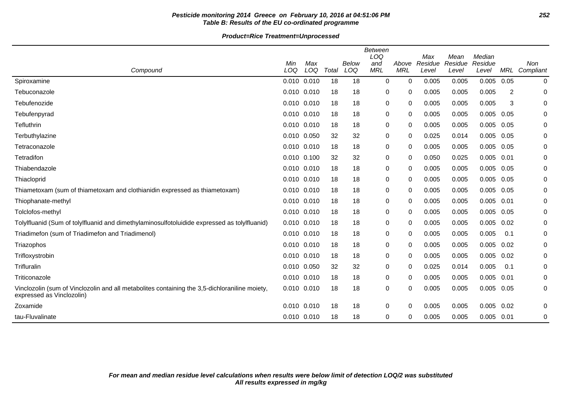# **Pesticide monitoring 2014 Greece on February 10, 2016 at 04:51:06 PM 252 Table B: Results of the EU co-ordinated programme**

| Compound                                                                                                                   | Min<br>LOQ      | Max<br>LOQ | Total | Below<br>LOQ | <b>Between</b><br>LOQ<br>and<br><b>MRL</b> | Above<br><b>MRL</b> | Max<br>Residue<br>Level | Mean<br>Residue<br>Level | Median<br>Residue<br>Level | MRL  | Non<br>Compliant |
|----------------------------------------------------------------------------------------------------------------------------|-----------------|------------|-------|--------------|--------------------------------------------|---------------------|-------------------------|--------------------------|----------------------------|------|------------------|
| Spiroxamine                                                                                                                | 0.010           | 0.010      | 18    | 18           | $\mathbf 0$                                | 0                   | 0.005                   | 0.005                    | 0.005                      | 0.05 | $\mathbf 0$      |
| Tebuconazole                                                                                                               | 0.010 0.010     |            | 18    | 18           | 0                                          | 0                   | 0.005                   | 0.005                    | 0.005                      | 2    | 0                |
| Tebufenozide                                                                                                               | 0.010 0.010     |            | 18    | 18           | 0                                          | 0                   | 0.005                   | 0.005                    | 0.005                      | 3    | 0                |
| Tebufenpyrad                                                                                                               | 0.010 0.010     |            | 18    | 18           | 0                                          | 0                   | 0.005                   | 0.005                    | 0.005                      | 0.05 | 0                |
| Tefluthrin                                                                                                                 | 0.010 0.010     |            | 18    | 18           | 0                                          | 0                   | 0.005                   | 0.005                    | 0.005                      | 0.05 | 0                |
| Terbuthylazine                                                                                                             | 0.010 0.050     |            | 32    | 32           | 0                                          | 0                   | 0.025                   | 0.014                    | 0.005                      | 0.05 | 0                |
| Tetraconazole                                                                                                              | 0.010 0.010     |            | 18    | 18           | 0                                          | 0                   | 0.005                   | 0.005                    | 0.005                      | 0.05 | 0                |
| Tetradifon                                                                                                                 | 0.010 0.100     |            | 32    | 32           | $\pmb{0}$                                  | 0                   | 0.050                   | 0.025                    | 0.005                      | 0.01 | $\pmb{0}$        |
| Thiabendazole                                                                                                              | 0.010 0.010     |            | 18    | 18           | 0                                          | 0                   | 0.005                   | 0.005                    | 0.005                      | 0.05 | 0                |
| Thiacloprid                                                                                                                | 0.010 0.010     |            | 18    | 18           | 0                                          | 0                   | 0.005                   | 0.005                    | 0.005                      | 0.05 | 0                |
| Thiametoxam (sum of thiametoxam and clothianidin expressed as thiametoxam)                                                 | 0.010 0.010     |            | 18    | 18           | 0                                          | 0                   | 0.005                   | 0.005                    | 0.005                      | 0.05 | 0                |
| Thiophanate-methyl                                                                                                         | 0.010 0.010     |            | 18    | 18           | 0                                          | 0                   | 0.005                   | 0.005                    | 0.005                      | 0.01 | 0                |
| Tolclofos-methyl                                                                                                           | 0.010 0.010     |            | 18    | 18           | 0                                          | 0                   | 0.005                   | 0.005                    | 0.005                      | 0.05 | 0                |
| Tolylfluanid (Sum of tolylfluanid and dimethylaminosulfotoluidide expressed as tolylfluanid)                               | $0.010$ $0.010$ |            | 18    | 18           | 0                                          | 0                   | 0.005                   | 0.005                    | 0.005                      | 0.02 | 0                |
| Triadimefon (sum of Triadimefon and Triadimenol)                                                                           | 0.010 0.010     |            | 18    | 18           | 0                                          | 0                   | 0.005                   | 0.005                    | 0.005                      | 0.1  | 0                |
| Triazophos                                                                                                                 | 0.010 0.010     |            | 18    | 18           | 0                                          | 0                   | 0.005                   | 0.005                    | 0.005                      | 0.02 | 0                |
| Trifloxystrobin                                                                                                            | 0.010 0.010     |            | 18    | 18           | 0                                          | 0                   | 0.005                   | 0.005                    | 0.005                      | 0.02 | 0                |
| Trifluralin                                                                                                                | 0.010           | 0.050      | 32    | 32           | 0                                          | 0                   | 0.025                   | 0.014                    | 0.005                      | 0.1  | 0                |
| Triticonazole                                                                                                              | 0.010 0.010     |            | 18    | 18           | 0                                          | 0                   | 0.005                   | 0.005                    | 0.005                      | 0.01 | 0                |
| Vinclozolin (sum of Vinclozolin and all metabolites containing the 3,5-dichloraniline moiety,<br>expressed as Vinclozolin) | 0.010           | 0.010      | 18    | 18           | 0                                          | 0                   | 0.005                   | 0.005                    | 0.005                      | 0.05 | 0                |
| Zoxamide                                                                                                                   | 0.010 0.010     |            | 18    | 18           | 0                                          | 0                   | 0.005                   | 0.005                    | 0.005                      | 0.02 | 0                |
| tau-Fluvalinate                                                                                                            | 0.010 0.010     |            | 18    | 18           | $\mathbf 0$                                | 0                   | 0.005                   | 0.005                    | $0.005$ 0.01               |      | $\,0\,$          |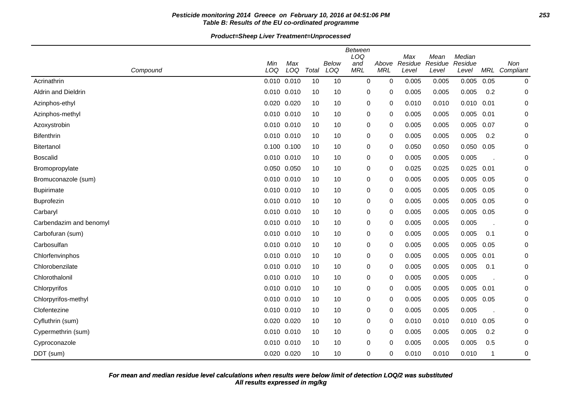## **Pesticide monitoring 2014 Greece on February 10, 2016 at 04:51:06 PM 253 Table B: Results of the EU co-ordinated programme**

**Product=Sheep Liver Treatment=Unprocessed**

|                         |     |                 |       |              | Between    |            |                |                 |                   |      |               |
|-------------------------|-----|-----------------|-------|--------------|------------|------------|----------------|-----------------|-------------------|------|---------------|
|                         | Min | Max             |       | <b>Below</b> | LOQ<br>and | Above      | Max<br>Residue | Mean<br>Residue | Median<br>Residue |      | Non           |
| Compound                | LOQ | LOQ             | Total | LOQ          | <b>MRL</b> | <b>MRL</b> | Level          | Level           | Level             |      | MRL Compliant |
| Acrinathrin             |     | 0.010 0.010     | 10    | 10           | 0          | 0          | 0.005          | 0.005           | 0.005             | 0.05 | 0             |
| Aldrin and Dieldrin     |     | 0.010 0.010     | 10    | 10           | 0          | 0          | 0.005          | 0.005           | 0.005             | 0.2  | 0             |
| Azinphos-ethyl          |     | 0.020 0.020     | 10    | 10           | 0          | 0          | 0.010          | 0.010           | 0.010             | 0.01 | 0             |
| Azinphos-methyl         |     | 0.010 0.010     | 10    | 10           | 0          | 0          | 0.005          | 0.005           | 0.005             | 0.01 | 0             |
| Azoxystrobin            |     | 0.010 0.010     | 10    | 10           | 0          | 0          | 0.005          | 0.005           | 0.005             | 0.07 | 0             |
| <b>Bifenthrin</b>       |     | 0.010 0.010     | 10    | 10           | 0          | 0          | 0.005          | 0.005           | 0.005             | 0.2  | 0             |
| Bitertanol              |     | $0.100$ $0.100$ | 10    | 10           | 0          | 0          | 0.050          | 0.050           | 0.050             | 0.05 | 0             |
| <b>Boscalid</b>         |     | 0.010 0.010     | 10    | 10           | 0          | 0          | 0.005          | 0.005           | 0.005             |      | 0             |
| Bromopropylate          |     | 0.050 0.050     | 10    | 10           | 0          | 0          | 0.025          | 0.025           | 0.025             | 0.01 | 0             |
| Bromuconazole (sum)     |     | 0.010 0.010     | 10    | 10           | 0          | 0          | 0.005          | 0.005           | 0.005             | 0.05 | 0             |
| <b>Bupirimate</b>       |     | 0.010 0.010     | 10    | 10           | 0          | 0          | 0.005          | 0.005           | 0.005             | 0.05 | 0             |
| <b>Buprofezin</b>       |     | 0.010 0.010     | 10    | 10           | 0          | $\Omega$   | 0.005          | 0.005           | 0.005             | 0.05 | 0             |
| Carbaryl                |     | 0.010 0.010     | 10    | 10           | 0          | 0          | 0.005          | 0.005           | 0.005             | 0.05 | 0             |
| Carbendazim and benomyl |     | 0.010 0.010     | 10    | 10           | 0          | 0          | 0.005          | 0.005           | 0.005             |      | 0             |
| Carbofuran (sum)        |     | 0.010 0.010     | 10    | 10           | 0          | 0          | 0.005          | 0.005           | 0.005             | 0.1  | 0             |
| Carbosulfan             |     | 0.010 0.010     | 10    | 10           | 0          | 0          | 0.005          | 0.005           | 0.005             | 0.05 | 0             |
| Chlorfenvinphos         |     | 0.010 0.010     | 10    | 10           | 0          | 0          | 0.005          | 0.005           | 0.005             | 0.01 | 0             |
| Chlorobenzilate         |     | 0.010 0.010     | 10    | 10           | 0          | 0          | 0.005          | 0.005           | 0.005             | 0.1  | 0             |
| Chlorothalonil          |     | 0.010 0.010     | 10    | 10           | 0          | 0          | 0.005          | 0.005           | 0.005             |      | 0             |
| Chlorpyrifos            |     | 0.010 0.010     | 10    | 10           | 0          | 0          | 0.005          | 0.005           | 0.005             | 0.01 | 0             |
| Chlorpyrifos-methyl     |     | 0.010 0.010     | 10    | 10           | 0          | 0          | 0.005          | 0.005           | 0.005             | 0.05 | 0             |
| Clofentezine            |     | 0.010 0.010     | 10    | 10           | 0          | 0          | 0.005          | 0.005           | 0.005             |      | 0             |
| Cyfluthrin (sum)        |     | 0.020 0.020     | 10    | 10           | 0          | 0          | 0.010          | 0.010           | 0.010             | 0.05 | 0             |
| Cypermethrin (sum)      |     | 0.010 0.010     | 10    | 10           | 0          | 0          | 0.005          | 0.005           | 0.005             | 0.2  | 0             |
| Cyproconazole           |     | 0.010 0.010     | 10    | 10           | 0          | 0          | 0.005          | 0.005           | 0.005             | 0.5  | 0             |
| DDT (sum)               |     | 0.020 0.020     | 10    | 10           | 0          | $\Omega$   | 0.010          | 0.010           | 0.010             | 1    | 0             |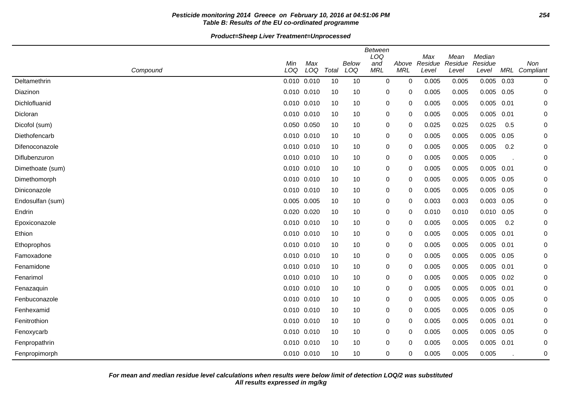## **Pesticide monitoring 2014 Greece on February 10, 2016 at 04:51:06 PM 254 Table B: Results of the EU co-ordinated programme**

**Product=Sheep Liver Treatment=Unprocessed**

|                  |             |             |       |                     | <b>Between</b><br>LOQ |                     | Max              | Mean             | Median           |      |                      |
|------------------|-------------|-------------|-------|---------------------|-----------------------|---------------------|------------------|------------------|------------------|------|----------------------|
| Compound         | Min<br>LOQ  | Max<br>LOQ  | Total | <b>Below</b><br>LOQ | and<br><b>MRL</b>     | Above<br><b>MRL</b> | Residue<br>Level | Residue<br>Level | Residue<br>Level |      | Non<br>MRL Compliant |
| Deltamethrin     |             | 0.010 0.010 | 10    | 10                  | 0                     | 0                   | 0.005            | 0.005            | 0.005            | 0.03 | 0                    |
| Diazinon         | 0.010 0.010 |             | 10    | 10                  | 0                     | 0                   | 0.005            | 0.005            | 0.005            | 0.05 | 0                    |
| Dichlofluanid    | 0.010       | 0.010       | 10    | 10                  | 0                     | 0                   | 0.005            | 0.005            | 0.005            | 0.01 | 0                    |
| Dicloran         |             | 0.010 0.010 | 10    | 10                  | 0                     | 0                   | 0.005            | 0.005            | 0.005            | 0.01 | 0                    |
| Dicofol (sum)    |             | 0.050 0.050 | 10    | 10                  | 0                     | 0                   | 0.025            | 0.025            | 0.025            | 0.5  | 0                    |
| Diethofencarb    |             | 0.010 0.010 | 10    | 10                  | 0                     | 0                   | 0.005            | 0.005            | 0.005            | 0.05 | 0                    |
| Difenoconazole   | 0.010 0.010 |             | 10    | 10                  | 0                     | 0                   | 0.005            | 0.005            | 0.005            | 0.2  | 0                    |
| Diflubenzuron    |             | 0.010 0.010 | 10    | 10                  | 0                     | 0                   | 0.005            | 0.005            | 0.005            |      | 0                    |
| Dimethoate (sum) |             | 0.010 0.010 | 10    | 10                  | 0                     | 0                   | 0.005            | 0.005            | 0.005            | 0.01 | 0                    |
| Dimethomorph     |             | 0.010 0.010 | 10    | 10                  | 0                     | 0                   | 0.005            | 0.005            | 0.005            | 0.05 | 0                    |
| Diniconazole     |             | 0.010 0.010 | 10    | 10                  | 0                     | 0                   | 0.005            | 0.005            | 0.005            | 0.05 | $\mathbf 0$          |
| Endosulfan (sum) |             | 0.005 0.005 | 10    | 10                  | 0                     | 0                   | 0.003            | 0.003            | 0.003            | 0.05 | 0                    |
| Endrin           | 0.020       | 0.020       | 10    | 10                  | 0                     | 0                   | 0.010            | 0.010            | 0.010            | 0.05 | $\mathbf 0$          |
| Epoxiconazole    |             | 0.010 0.010 | 10    | 10                  | 0                     | 0                   | 0.005            | 0.005            | 0.005            | 0.2  | $\mathbf 0$          |
| Ethion           | 0.010 0.010 |             | 10    | 10                  | 0                     | 0                   | 0.005            | 0.005            | 0.005            | 0.01 | 0                    |
| Ethoprophos      |             | 0.010 0.010 | 10    | 10                  | 0                     | 0                   | 0.005            | 0.005            | 0.005            | 0.01 | 0                    |
| Famoxadone       | 0.010 0.010 |             | 10    | 10                  | 0                     | 0                   | 0.005            | 0.005            | 0.005            | 0.05 | 0                    |
| Fenamidone       |             | 0.010 0.010 | 10    | 10                  | 0                     | 0                   | 0.005            | 0.005            | 0.005            | 0.01 | 0                    |
| Fenarimol        |             | 0.010 0.010 | 10    | 10                  | 0                     | 0                   | 0.005            | 0.005            | 0.005            | 0.02 | 0                    |
| Fenazaquin       |             | 0.010 0.010 | 10    | 10                  | 0                     | 0                   | 0.005            | 0.005            | 0.005            | 0.01 | 0                    |
| Fenbuconazole    | 0.010 0.010 |             | 10    | 10                  | 0                     | 0                   | 0.005            | 0.005            | 0.005            | 0.05 | 0                    |
| Fenhexamid       |             | 0.010 0.010 | 10    | 10                  | 0                     | 0                   | 0.005            | 0.005            | 0.005            | 0.05 | 0                    |
| Fenitrothion     |             | 0.010 0.010 | 10    | 10                  | 0                     | 0                   | 0.005            | 0.005            | 0.005            | 0.01 | 0                    |
| Fenoxycarb       |             | 0.010 0.010 | 10    | 10                  | 0                     | 0                   | 0.005            | 0.005            | 0.005            | 0.05 | 0                    |
| Fenpropathrin    |             | 0.010 0.010 | 10    | 10                  | 0                     | 0                   | 0.005            | 0.005            | 0.005            | 0.01 | 0                    |
| Fenpropimorph    |             | 0.010 0.010 | 10    | 10                  | 0                     | 0                   | 0.005            | 0.005            | 0.005            |      | 0                    |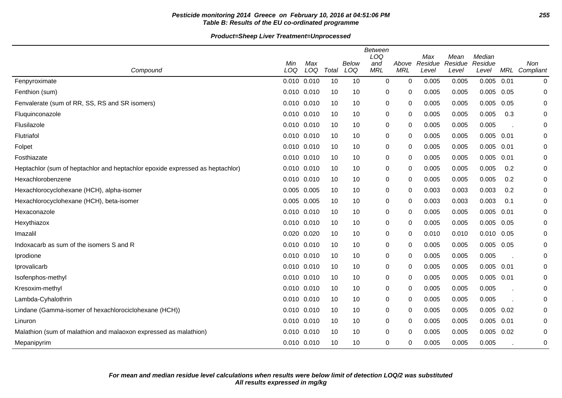## **Pesticide monitoring 2014 Greece on February 10, 2016 at 04:51:06 PM 255 Table B: Results of the EU co-ordinated programme**

#### **Product=Sheep Liver Treatment=Unprocessed**

|                                                                               | Min             | Max |       | Below | <b>Between</b><br>LOQ<br>and | Above       | Max<br>Residue | Mean<br>Residue | Median<br>Residue |      | Non       |
|-------------------------------------------------------------------------------|-----------------|-----|-------|-------|------------------------------|-------------|----------------|-----------------|-------------------|------|-----------|
| Compound                                                                      | LOQ             | LOQ | Total | LOQ   | <b>MRL</b>                   | <b>MRL</b>  | Level          | Level           | Level             | MRL  | Compliant |
| Fenpyroximate                                                                 | 0.010 0.010     |     | 10    | 10    | $\mathbf 0$                  | $\mathbf 0$ | 0.005          | 0.005           | 0.005             | 0.01 | 0         |
| Fenthion (sum)                                                                | 0.010 0.010     |     | 10    | 10    | 0                            | 0           | 0.005          | 0.005           | 0.005             | 0.05 | 0         |
| Fenvalerate (sum of RR, SS, RS and SR isomers)                                | 0.010 0.010     |     | 10    | 10    | 0                            | 0           | 0.005          | 0.005           | 0.005             | 0.05 | 0         |
| Fluquinconazole                                                               | $0.010$ $0.010$ |     | 10    | 10    | 0                            | 0           | 0.005          | 0.005           | 0.005             | 0.3  | 0         |
| Flusilazole                                                                   | $0.010$ $0.010$ |     | 10    | 10    | 0                            | 0           | 0.005          | 0.005           | 0.005             |      | 0         |
| Flutriafol                                                                    | 0.010 0.010     |     | 10    | 10    | 0                            | $\Omega$    | 0.005          | 0.005           | $0.005$ 0.01      |      | 0         |
| Folpet                                                                        | $0.010$ $0.010$ |     | 10    | 10    | 0                            | 0           | 0.005          | 0.005           | 0.005             | 0.01 | 0         |
| Fosthiazate                                                                   | 0.010 0.010     |     | 10    | 10    | 0                            | 0           | 0.005          | 0.005           | 0.005             | 0.01 | 0         |
| Heptachlor (sum of heptachlor and heptachlor epoxide expressed as heptachlor) | $0.010$ $0.010$ |     | 10    | 10    | 0                            | 0           | 0.005          | 0.005           | 0.005             | 0.2  | 0         |
| Hexachlorobenzene                                                             | 0.010 0.010     |     | 10    | 10    | 0                            | 0           | 0.005          | 0.005           | 0.005             | 0.2  | 0         |
| Hexachlorocyclohexane (HCH), alpha-isomer                                     | 0.005 0.005     |     | 10    | 10    | 0                            | 0           | 0.003          | 0.003           | 0.003             | 0.2  | 0         |
| Hexachlorocyclohexane (HCH), beta-isomer                                      | 0.005 0.005     |     | 10    | 10    | 0                            | 0           | 0.003          | 0.003           | 0.003             | 0.1  | 0         |
| Hexaconazole                                                                  | 0.010 0.010     |     | 10    | 10    | 0                            | $\Omega$    | 0.005          | 0.005           | 0.005             | 0.01 | 0         |
| Hexythiazox                                                                   | 0.010 0.010     |     | 10    | 10    | 0                            | $\Omega$    | 0.005          | 0.005           | 0.005             | 0.05 | 0         |
| Imazalil                                                                      | 0.020 0.020     |     | 10    | 10    | 0                            | 0           | 0.010          | 0.010           | 0.010             | 0.05 | 0         |
| Indoxacarb as sum of the isomers S and R                                      | $0.010$ $0.010$ |     | 10    | 10    | 0                            | 0           | 0.005          | 0.005           | 0.005             | 0.05 | 0         |
| Iprodione                                                                     | 0.010 0.010     |     | 10    | 10    | 0                            | 0           | 0.005          | 0.005           | 0.005             |      | 0         |
| Iprovalicarb                                                                  | 0.010 0.010     |     | 10    | 10    | 0                            | $\Omega$    | 0.005          | 0.005           | $0.005$ 0.01      |      | 0         |
| Isofenphos-methyl                                                             | $0.010$ $0.010$ |     | 10    | 10    | 0                            | 0           | 0.005          | 0.005           | $0.005$ 0.01      |      | 0         |
| Kresoxim-methyl                                                               | 0.010 0.010     |     | 10    | 10    | 0                            | 0           | 0.005          | 0.005           | 0.005             |      | 0         |
| Lambda-Cyhalothrin                                                            | 0.010 0.010     |     | 10    | 10    | 0                            | 0           | 0.005          | 0.005           | 0.005             |      | 0         |
| Lindane (Gamma-isomer of hexachlorociclohexane (HCH))                         | 0.010 0.010     |     | 10    | 10    | 0                            | 0           | 0.005          | 0.005           | 0.005             | 0.02 | 0         |
| Linuron                                                                       | $0.010$ $0.010$ |     | 10    | 10    | 0                            | 0           | 0.005          | 0.005           | 0.005             | 0.01 | 0         |
| Malathion (sum of malathion and malaoxon expressed as malathion)              | 0.010 0.010     |     | 10    | 10    | 0                            | 0           | 0.005          | 0.005           | 0.005             | 0.02 | 0         |
| Mepanipyrim                                                                   | 0.010 0.010     |     | 10    | 10    | 0                            | $\Omega$    | 0.005          | 0.005           | 0.005             |      | 0         |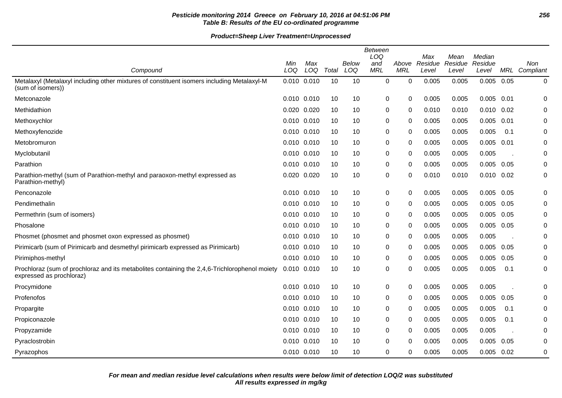## **Pesticide monitoring 2014 Greece on February 10, 2016 at 04:51:06 PM 256 Table B: Results of the EU co-ordinated programme**

|                                                                                                                           | <b>Between</b><br>LOQ<br>Median<br>Max<br>Mean |     |       |       |             |            |         |         |                |            |            |
|---------------------------------------------------------------------------------------------------------------------------|------------------------------------------------|-----|-------|-------|-------------|------------|---------|---------|----------------|------------|------------|
|                                                                                                                           | Min                                            | Max |       | Below | and         | Above      | Residue | Residue | Residue        |            | <b>Non</b> |
| Compound                                                                                                                  | LOQ                                            | LOQ | Total | LOQ   | <b>MRL</b>  | <b>MRL</b> | Level   | Level   | Level          | <b>MRL</b> | Compliant  |
| Metalaxyl (Metalaxyl including other mixtures of constituent isomers including Metalaxyl-M<br>(sum of isomers))           | 0.010 0.010                                    |     | 10    | 10    | $\mathbf 0$ | 0          | 0.005   | 0.005   | 0.005          | 0.05       | $\pmb{0}$  |
| Metconazole                                                                                                               | $0.010$ $0.010$                                |     | 10    | 10    | 0           | 0          | 0.005   | 0.005   | 0.005          | 0.01       | 0          |
| Methidathion                                                                                                              | 0.020 0.020                                    |     | 10    | 10    | 0           | 0          | 0.010   | 0.010   | $0.010$ $0.02$ |            | 0          |
| Methoxychlor                                                                                                              | 0.010 0.010                                    |     | 10    | 10    | 0           | 0          | 0.005   | 0.005   | 0.005          | 0.01       | 0          |
| Methoxyfenozide                                                                                                           | 0.010 0.010                                    |     | 10    | 10    | 0           | 0          | 0.005   | 0.005   | 0.005          | 0.1        | 0          |
| Metobromuron                                                                                                              | 0.010 0.010                                    |     | 10    | 10    | 0           | 0          | 0.005   | 0.005   | 0.005          | 0.01       | 0          |
| Myclobutanil                                                                                                              | 0.010 0.010                                    |     | 10    | 10    | 0           | 0          | 0.005   | 0.005   | 0.005          |            | 0          |
| Parathion                                                                                                                 | 0.010 0.010                                    |     | 10    | 10    | 0           | 0          | 0.005   | 0.005   | 0.005          | 0.05       | $\pmb{0}$  |
| Parathion-methyl (sum of Parathion-methyl and paraoxon-methyl expressed as<br>Parathion-methyl)                           | 0.020 0.020                                    |     | 10    | 10    | $\mathbf 0$ | 0          | 0.010   | 0.010   | $0.010$ $0.02$ |            | 0          |
| Penconazole                                                                                                               | 0.010 0.010                                    |     | 10    | 10    | 0           | 0          | 0.005   | 0.005   | 0.005          | 0.05       | 0          |
| Pendimethalin                                                                                                             | 0.010 0.010                                    |     | 10    | 10    | 0           | 0          | 0.005   | 0.005   | 0.005          | 0.05       | 0          |
| Permethrin (sum of isomers)                                                                                               | 0.010 0.010                                    |     | 10    | 10    | 0           | 0          | 0.005   | 0.005   | 0.005          | 0.05       | $\pmb{0}$  |
| Phosalone                                                                                                                 | 0.010 0.010                                    |     | 10    | 10    | 0           | 0          | 0.005   | 0.005   | 0.005          | 0.05       | 0          |
| Phosmet (phosmet and phosmet oxon expressed as phosmet)                                                                   | 0.010 0.010                                    |     | 10    | 10    | 0           | 0          | 0.005   | 0.005   | 0.005          |            | 0          |
| Pirimicarb (sum of Pirimicarb and desmethyl pirimicarb expressed as Pirimicarb)                                           | 0.010 0.010                                    |     | 10    | 10    | 0           | 0          | 0.005   | 0.005   | 0.005          | 0.05       | 0          |
| Pirimiphos-methyl                                                                                                         | 0.010 0.010                                    |     | 10    | 10    | 0           | 0          | 0.005   | 0.005   | 0.005          | 0.05       | 0          |
| Prochloraz (sum of prochloraz and its metabolites containing the 2,4,6-Trichlorophenol moiety<br>expressed as prochloraz) | 0.010 0.010                                    |     | 10    | 10    | 0           | 0          | 0.005   | 0.005   | 0.005          | 0.1        | 0          |
| Procymidone                                                                                                               | 0.010 0.010                                    |     | 10    | 10    | 0           | 0          | 0.005   | 0.005   | 0.005          |            | 0          |
| Profenofos                                                                                                                | 0.010 0.010                                    |     | 10    | 10    | 0           | 0          | 0.005   | 0.005   | 0.005          | 0.05       | 0          |
| Propargite                                                                                                                | 0.010 0.010                                    |     | 10    | 10    | 0           | 0          | 0.005   | 0.005   | 0.005          | 0.1        | 0          |
| Propiconazole                                                                                                             | 0.010 0.010                                    |     | 10    | 10    | 0           | 0          | 0.005   | 0.005   | 0.005          | 0.1        | 0          |
| Propyzamide                                                                                                               | 0.010 0.010                                    |     | 10    | 10    | 0           | 0          | 0.005   | 0.005   | 0.005          |            | 0          |
| Pyraclostrobin                                                                                                            | 0.010 0.010                                    |     | 10    | 10    | 0           | 0          | 0.005   | 0.005   | 0.005          | 0.05       | 0          |
| Pyrazophos                                                                                                                | 0.010 0.010                                    |     | 10    | 10    | $\Omega$    | 0          | 0.005   | 0.005   | 0.005          | 0.02       | 0          |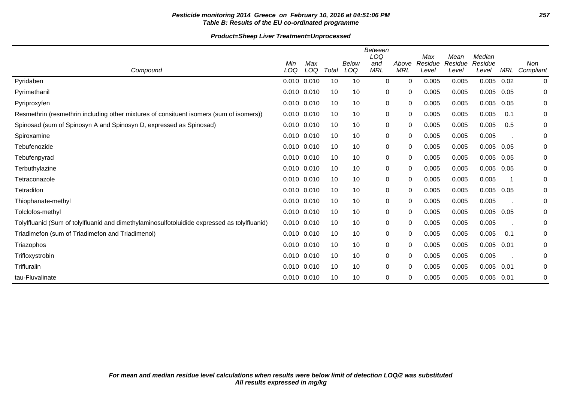## **Pesticide monitoring 2014 Greece on February 10, 2016 at 04:51:06 PM 257 Table B: Results of the EU co-ordinated programme**

# **Product=Sheep Liver Treatment=Unprocessed**

|                                                                                              | Min             | Max |       | Below | Between<br>LOQ<br>and | Above      | Max<br>Residue | Mean<br>Residue | Median<br>Residue |      | <b>Non</b>  |
|----------------------------------------------------------------------------------------------|-----------------|-----|-------|-------|-----------------------|------------|----------------|-----------------|-------------------|------|-------------|
| Compound                                                                                     | LOQ             | LOQ | Total | LOQ   | <b>MRL</b>            | <b>MRL</b> | Level          | Level           | Level             | MRL  | Compliant   |
| Pyridaben                                                                                    | $0.010$ $0.010$ |     | 10    | 10    | $\mathbf 0$           | 0          | 0.005          | 0.005           | $0.005$ 0.02      |      | $\mathbf 0$ |
| Pyrimethanil                                                                                 | 0.010 0.010     |     | 10    | 10    | $\pmb{0}$             | 0          | 0.005          | 0.005           | 0.005             | 0.05 | 0           |
| Pyriproxyfen                                                                                 | $0.010$ $0.010$ |     | 10    | 10    | 0                     | 0          | 0.005          | 0.005           | 0.005             | 0.05 | 0           |
| Resmethrin (resmethrin including other mixtures of consituent isomers (sum of isomers))      | $0.010$ $0.010$ |     | 10    | 10    | 0                     | 0          | 0.005          | 0.005           | 0.005             | 0.1  | 0           |
| Spinosad (sum of Spinosyn A and Spinosyn D, expressed as Spinosad)                           | $0.010$ $0.010$ |     | 10    | 10    | $\pmb{0}$             | 0          | 0.005          | 0.005           | 0.005             | 0.5  | 0           |
| Spiroxamine                                                                                  | $0.010$ $0.010$ |     | 10    | 10    | $\pmb{0}$             | 0          | 0.005          | 0.005           | 0.005             |      | 0           |
| Tebufenozide                                                                                 | $0.010$ $0.010$ |     | 10    | 10    | $\pmb{0}$             | 0          | 0.005          | 0.005           | 0.005             | 0.05 | 0           |
| Tebufenpyrad                                                                                 | $0.010$ $0.010$ |     | 10    | 10    | $\pmb{0}$             | 0          | 0.005          | 0.005           | 0.005             | 0.05 | 0           |
| Terbuthylazine                                                                               | $0.010$ $0.010$ |     | 10    | 10    | $\pmb{0}$             | 0          | 0.005          | 0.005           | 0.005             | 0.05 | 0           |
| Tetraconazole                                                                                | 0.010 0.010     |     | 10    | 10    | 0                     | 0          | 0.005          | 0.005           | 0.005             | -1   | 0           |
| Tetradifon                                                                                   | $0.010$ $0.010$ |     | 10    | 10    | 0                     | 0          | 0.005          | 0.005           | 0.005             | 0.05 | 0           |
| Thiophanate-methyl                                                                           | $0.010$ $0.010$ |     | 10    | 10    | 0                     | 0          | 0.005          | 0.005           | 0.005             |      | 0           |
| Tolclofos-methyl                                                                             | $0.010$ $0.010$ |     | 10    | 10    | 0                     | 0          | 0.005          | 0.005           | 0.005             | 0.05 | 0           |
| Tolylfluanid (Sum of tolylfluanid and dimethylaminosulfotoluidide expressed as tolylfluanid) | $0.010$ $0.010$ |     | 10    | 10    | $\pmb{0}$             | 0          | 0.005          | 0.005           | 0.005             |      | 0           |
| Triadimefon (sum of Triadimefon and Triadimenol)                                             | $0.010$ $0.010$ |     | 10    | 10    | 0                     | 0          | 0.005          | 0.005           | 0.005             | 0.1  | 0           |
| Triazophos                                                                                   | 0.010 0.010     |     | 10    | 10    | $\pmb{0}$             | 0          | 0.005          | 0.005           | 0.005             | 0.01 | 0           |
| Trifloxystrobin                                                                              | $0.010$ $0.010$ |     | 10    | 10    | 0                     | 0          | 0.005          | 0.005           | 0.005             |      | 0           |
| Trifluralin                                                                                  | $0.010$ $0.010$ |     | 10    | 10    | 0                     | 0          | 0.005          | 0.005           | 0.005             | 0.01 | 0           |
| tau-Fluvalinate                                                                              | $0.010$ $0.010$ |     | 10    | 10    | 0                     | 0          | 0.005          | 0.005           | 0.005             | 0.01 | 0           |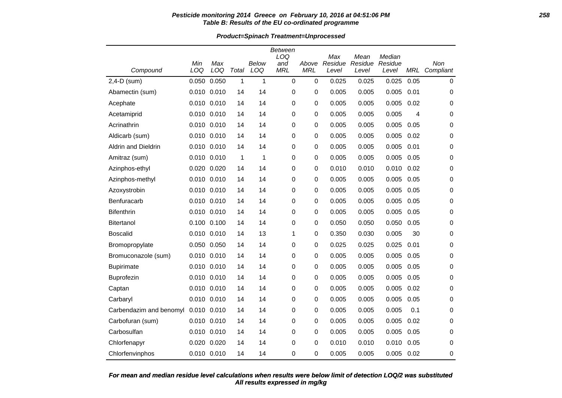### **Pesticide monitoring 2014 Greece on February 10, 2016 at 04:51:06 PM 258 Table B: Results of the EU co-ordinated programme**

**Product=Spinach Treatment=Unprocessed**

|                         |                 |             |       |       | <b>Between</b><br>LOQ |             | Max     |                 | Median  |            |             |
|-------------------------|-----------------|-------------|-------|-------|-----------------------|-------------|---------|-----------------|---------|------------|-------------|
|                         | Min             | Max         |       | Below | and                   | Above       | Residue | Mean<br>Residue | Residue |            | Non         |
| Compound                | LOQ             | LOQ         | Total | LOQ   | <b>MRL</b>            | <b>MRL</b>  | Level   | Level           | Level   | <b>MRL</b> | Compliant   |
| 2,4-D (sum)             | 0.050           | 0.050       | 1     | 1     | $\mathbf 0$           | $\mathbf 0$ | 0.025   | 0.025           | 0.025   | 0.05       | $\mathbf 0$ |
| Abamectin (sum)         | 0.010           | 0.010       | 14    | 14    | 0                     | $\mathbf 0$ | 0.005   | 0.005           | 0.005   | 0.01       | 0           |
| Acephate                |                 | 0.010 0.010 | 14    | 14    | 0                     | 0           | 0.005   | 0.005           | 0.005   | 0.02       | 0           |
| Acetamiprid             |                 | 0.010 0.010 | 14    | 14    | 0                     | 0           | 0.005   | 0.005           | 0.005   | 4          | 0           |
| Acrinathrin             | $0.010$ $0.010$ |             | 14    | 14    | 0                     | 0           | 0.005   | 0.005           | 0.005   | 0.05       | 0           |
| Aldicarb (sum)          |                 | 0.010 0.010 | 14    | 14    | 0                     | 0           | 0.005   | 0.005           | 0.005   | 0.02       | 0           |
| Aldrin and Dieldrin     |                 | 0.010 0.010 | 14    | 14    | 0                     | 0           | 0.005   | 0.005           | 0.005   | 0.01       | 0           |
| Amitraz (sum)           | 0.010 0.010     |             | 1     | 1     | $\mathbf 0$           | 0           | 0.005   | 0.005           | 0.005   | 0.05       | 0           |
| Azinphos-ethyl          |                 | 0.020 0.020 | 14    | 14    | 0                     | 0           | 0.010   | 0.010           | 0.010   | 0.02       | 0           |
| Azinphos-methyl         | 0.010 0.010     |             | 14    | 14    | 0                     | 0           | 0.005   | 0.005           | 0.005   | 0.05       | 0           |
| Azoxystrobin            |                 | 0.010 0.010 | 14    | 14    | 0                     | 0           | 0.005   | 0.005           | 0.005   | 0.05       | $\mathbf 0$ |
| Benfuracarb             |                 | 0.010 0.010 | 14    | 14    | 0                     | 0           | 0.005   | 0.005           | 0.005   | 0.05       | 0           |
| <b>Bifenthrin</b>       |                 | 0.010 0.010 | 14    | 14    | 0                     | 0           | 0.005   | 0.005           | 0.005   | 0.05       | 0           |
| <b>Bitertanol</b>       |                 | 0.100 0.100 | 14    | 14    | 0                     | 0           | 0.050   | 0.050           | 0.050   | 0.05       | 0           |
| Boscalid                | 0.010 0.010     |             | 14    | 13    | 1                     | 0           | 0.350   | 0.030           | 0.005   | 30         | 0           |
| Bromopropylate          |                 | 0.050 0.050 | 14    | 14    | 0                     | 0           | 0.025   | 0.025           | 0.025   | 0.01       | 0           |
| Bromuconazole (sum)     |                 | 0.010 0.010 | 14    | 14    | 0                     | 0           | 0.005   | 0.005           | 0.005   | 0.05       | 0           |
| <b>Bupirimate</b>       | 0.010 0.010     |             | 14    | 14    | $\mathbf 0$           | $\mathbf 0$ | 0.005   | 0.005           | 0.005   | 0.05       | 0           |
| Buprofezin              |                 | 0.010 0.010 | 14    | 14    | 0                     | 0           | 0.005   | 0.005           | 0.005   | 0.05       | 0           |
| Captan                  |                 | 0.010 0.010 | 14    | 14    | 0                     | 0           | 0.005   | 0.005           | 0.005   | 0.02       | 0           |
| Carbaryl                |                 | 0.010 0.010 | 14    | 14    | 0                     | 0           | 0.005   | 0.005           | 0.005   | 0.05       | 0           |
| Carbendazim and benomyl | 0.010 0.010     |             | 14    | 14    | 0                     | 0           | 0.005   | 0.005           | 0.005   | 0.1        | 0           |
| Carbofuran (sum)        | 0.010 0.010     |             | 14    | 14    | 0                     | 0           | 0.005   | 0.005           | 0.005   | 0.02       | 0           |
| Carbosulfan             |                 | 0.010 0.010 | 14    | 14    | 0                     | 0           | 0.005   | 0.005           | 0.005   | 0.05       | 0           |
| Chlorfenapyr            |                 | 0.020 0.020 | 14    | 14    | 0                     | 0           | 0.010   | 0.010           | 0.010   | 0.05       | 0           |
| Chlorfenvinphos         |                 | 0.010 0.010 | 14    | 14    | 0                     | 0           | 0.005   | 0.005           | 0.005   | 0.02       | 0           |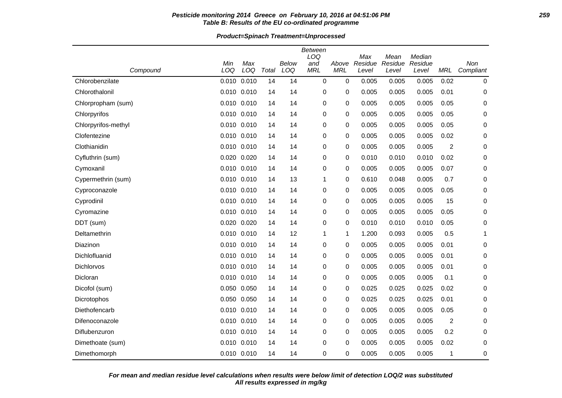### **Pesticide monitoring 2014 Greece on February 10, 2016 at 04:51:06 PM 259 Table B: Results of the EU co-ordinated programme**

**Product=Spinach Treatment=Unprocessed**

|                     |             |       |       |       | <b>Between</b><br>LOQ |            |                |                 |                   |                |             |
|---------------------|-------------|-------|-------|-------|-----------------------|------------|----------------|-----------------|-------------------|----------------|-------------|
|                     | Min         | Max   |       | Below | and                   | Above      | Max<br>Residue | Mean<br>Residue | Median<br>Residue |                | Non         |
| Compound            | LOQ         | LOQ   | Total | LOQ   | <b>MRL</b>            | <b>MRL</b> | Level          | Level           | Level             | <b>MRL</b>     | Compliant   |
| Chlorobenzilate     | 0.010       | 0.010 | 14    | 14    | 0                     | 0          | 0.005          | 0.005           | 0.005             | 0.02           | $\mathbf 0$ |
| Chlorothalonil      | 0.010 0.010 |       | 14    | 14    | 0                     | 0          | 0.005          | 0.005           | 0.005             | 0.01           | $\mathbf 0$ |
| Chlorpropham (sum)  | 0.010       | 0.010 | 14    | 14    | 0                     | 0          | 0.005          | 0.005           | 0.005             | 0.05           | 0           |
| Chlorpyrifos        | 0.010 0.010 |       | 14    | 14    | 0                     | 0          | 0.005          | 0.005           | 0.005             | 0.05           | 0           |
| Chlorpyrifos-methyl | 0.010 0.010 |       | 14    | 14    | 0                     | 0          | 0.005          | 0.005           | 0.005             | 0.05           | 0           |
| Clofentezine        | 0.010 0.010 |       | 14    | 14    | 0                     | 0          | 0.005          | 0.005           | 0.005             | 0.02           | 0           |
| Clothianidin        | 0.010 0.010 |       | 14    | 14    | 0                     | 0          | 0.005          | 0.005           | 0.005             | $\overline{c}$ | 0           |
| Cyfluthrin (sum)    | 0.020       | 0.020 | 14    | 14    | 0                     | 0          | 0.010          | 0.010           | 0.010             | 0.02           | $\mathbf 0$ |
| Cymoxanil           | 0.010 0.010 |       | 14    | 14    | 0                     | 0          | 0.005          | 0.005           | 0.005             | 0.07           | $\mathbf 0$ |
| Cypermethrin (sum)  | 0.010 0.010 |       | 14    | 13    | 1                     | 0          | 0.610          | 0.048           | 0.005             | 0.7            | 0           |
| Cyproconazole       | 0.010 0.010 |       | 14    | 14    | 0                     | 0          | 0.005          | 0.005           | 0.005             | 0.05           | $\mathbf 0$ |
| Cyprodinil          | 0.010 0.010 |       | 14    | 14    | 0                     | 0          | 0.005          | 0.005           | 0.005             | 15             | 0           |
| Cyromazine          | 0.010       | 0.010 | 14    | 14    | 0                     | 0          | 0.005          | 0.005           | 0.005             | 0.05           | 0           |
| DDT (sum)           | 0.020 0.020 |       | 14    | 14    | 0                     | 0          | 0.010          | 0.010           | 0.010             | 0.05           | 0           |
| Deltamethrin        | 0.010 0.010 |       | 14    | 12    | 1                     | 1          | 1.200          | 0.093           | 0.005             | 0.5            | 1           |
| Diazinon            | 0.010 0.010 |       | 14    | 14    | 0                     | 0          | 0.005          | 0.005           | 0.005             | 0.01           | $\mathbf 0$ |
| Dichlofluanid       | 0.010 0.010 |       | 14    | 14    | 0                     | 0          | 0.005          | 0.005           | 0.005             | 0.01           | 0           |
| Dichlorvos          | 0.010       | 0.010 | 14    | 14    | 0                     | 0          | 0.005          | 0.005           | 0.005             | 0.01           | $\mathbf 0$ |
| Dicloran            | 0.010 0.010 |       | 14    | 14    | 0                     | 0          | 0.005          | 0.005           | 0.005             | 0.1            | $\mathbf 0$ |
| Dicofol (sum)       | 0.050 0.050 |       | 14    | 14    | 0                     | 0          | 0.025          | 0.025           | 0.025             | 0.02           | 0           |
| Dicrotophos         | 0.050 0.050 |       | 14    | 14    | 0                     | 0          | 0.025          | 0.025           | 0.025             | 0.01           | 0           |
| Diethofencarb       | 0.010 0.010 |       | 14    | 14    | 0                     | 0          | 0.005          | 0.005           | 0.005             | 0.05           | 0           |
| Difenoconazole      | 0.010       | 0.010 | 14    | 14    | 0                     | $\Omega$   | 0.005          | 0.005           | 0.005             | $\overline{c}$ | $\mathbf 0$ |
| Diflubenzuron       | 0.010 0.010 |       | 14    | 14    | 0                     | 0          | 0.005          | 0.005           | 0.005             | 0.2            | $\mathbf 0$ |
| Dimethoate (sum)    | 0.010 0.010 |       | 14    | 14    | $\Omega$              | $\Omega$   | 0.005          | 0.005           | 0.005             | 0.02           | $\mathbf 0$ |
| Dimethomorph        | 0.010 0.010 |       | 14    | 14    | 0                     | 0          | 0.005          | 0.005           | 0.005             | 1              | 0           |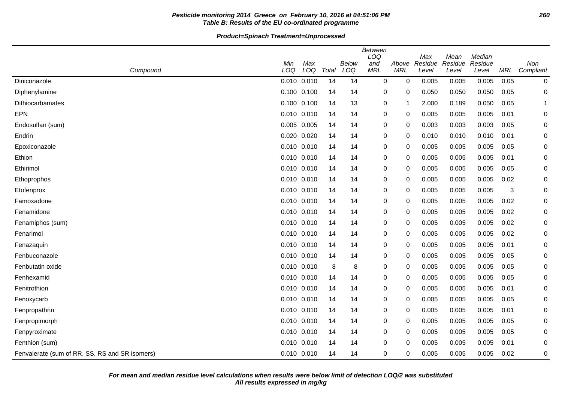## **Pesticide monitoring 2014 Greece on February 10, 2016 at 04:51:06 PM 260 Table B: Results of the EU co-ordinated programme**

|                                                | Between |                 |       |       |             |            |                |                 |                   |            |             |  |
|------------------------------------------------|---------|-----------------|-------|-------|-------------|------------|----------------|-----------------|-------------------|------------|-------------|--|
|                                                | Min     | Max             |       | Below | LOQ<br>and  | Above      | Max<br>Residue | Mean<br>Residue | Median<br>Residue |            | Non         |  |
| Compound                                       | LOQ     | LOQ             | Total | LOQ   | <b>MRL</b>  | <b>MRL</b> | Level          | Level           | Level             | <b>MRL</b> | Compliant   |  |
| Diniconazole                                   |         | $0.010$ $0.010$ | 14    | 14    | 0           | 0          | 0.005          | 0.005           | 0.005             | 0.05       | 0           |  |
| Diphenylamine                                  |         | 0.100 0.100     | 14    | 14    | 0           | 0          | 0.050          | 0.050           | 0.050             | 0.05       | 0           |  |
| Dithiocarbamates                               |         | $0.100$ $0.100$ | 14    | 13    | 0           |            | 2.000          | 0.189           | 0.050             | 0.05       | 1           |  |
| <b>EPN</b>                                     |         | $0.010$ $0.010$ | 14    | 14    | 0           | 0          | 0.005          | 0.005           | 0.005             | 0.01       | 0           |  |
| Endosulfan (sum)                               |         | 0.005 0.005     | 14    | 14    | 0           | 0          | 0.003          | 0.003           | 0.003             | 0.05       | 0           |  |
| Endrin                                         |         | 0.020 0.020     | 14    | 14    | 0           | 0          | 0.010          | 0.010           | 0.010             | 0.01       | 0           |  |
| Epoxiconazole                                  |         | 0.010 0.010     | 14    | 14    | 0           | 0          | 0.005          | 0.005           | 0.005             | 0.05       | 0           |  |
| Ethion                                         |         | 0.010 0.010     | 14    | 14    | 0           | 0          | 0.005          | 0.005           | 0.005             | 0.01       | 0           |  |
| Ethirimol                                      |         | $0.010$ $0.010$ | 14    | 14    | $\mathbf 0$ | 0          | 0.005          | 0.005           | 0.005             | 0.05       | $\mathbf 0$ |  |
| Ethoprophos                                    |         | 0.010 0.010     | 14    | 14    | 0           | 0          | 0.005          | 0.005           | 0.005             | 0.02       | 0           |  |
| Etofenprox                                     |         | $0.010$ $0.010$ | 14    | 14    | 0           | 0          | 0.005          | 0.005           | 0.005             | 3          | 0           |  |
| Famoxadone                                     |         | 0.010 0.010     | 14    | 14    | 0           | 0          | 0.005          | 0.005           | 0.005             | 0.02       | 0           |  |
| Fenamidone                                     |         | 0.010 0.010     | 14    | 14    | 0           | 0          | 0.005          | 0.005           | 0.005             | 0.02       | 0           |  |
| Fenamiphos (sum)                               |         | $0.010$ $0.010$ | 14    | 14    | 0           | 0          | 0.005          | 0.005           | 0.005             | 0.02       | 0           |  |
| Fenarimol                                      |         | 0.010 0.010     | 14    | 14    | 0           | 0          | 0.005          | 0.005           | 0.005             | 0.02       | $\mathbf 0$ |  |
| Fenazaquin                                     |         | $0.010$ $0.010$ | 14    | 14    | 0           | 0          | 0.005          | 0.005           | 0.005             | 0.01       | 0           |  |
| Fenbuconazole                                  |         | 0.010 0.010     | 14    | 14    | 0           | 0          | 0.005          | 0.005           | 0.005             | 0.05       | 0           |  |
| Fenbutatin oxide                               |         | 0.010 0.010     | 8     | 8     | 0           | 0          | 0.005          | 0.005           | 0.005             | 0.05       | 0           |  |
| Fenhexamid                                     |         | 0.010 0.010     | 14    | 14    | 0           | 0          | 0.005          | 0.005           | 0.005             | 0.05       | 0           |  |
| Fenitrothion                                   |         | $0.010$ $0.010$ | 14    | 14    | 0           | 0          | 0.005          | 0.005           | 0.005             | 0.01       | 0           |  |
| Fenoxycarb                                     |         | $0.010$ $0.010$ | 14    | 14    | 0           | 0          | 0.005          | 0.005           | 0.005             | 0.05       | 0           |  |
| Fenpropathrin                                  |         | 0.010 0.010     | 14    | 14    | 0           | 0          | 0.005          | 0.005           | 0.005             | 0.01       | 0           |  |
| Fenpropimorph                                  |         | 0.010 0.010     | 14    | 14    | 0           | 0          | 0.005          | 0.005           | 0.005             | 0.05       | 0           |  |
| Fenpyroximate                                  |         | 0.010 0.010     | 14    | 14    | 0           | 0          | 0.005          | 0.005           | 0.005             | 0.05       | 0           |  |
| Fenthion (sum)                                 |         | 0.010 0.010     | 14    | 14    | 0           | $\Omega$   | 0.005          | 0.005           | 0.005             | 0.01       | 0           |  |
| Fenvalerate (sum of RR, SS, RS and SR isomers) |         | 0.010 0.010     | 14    | 14    | 0           | 0          | 0.005          | 0.005           | 0.005             | 0.02       | 0           |  |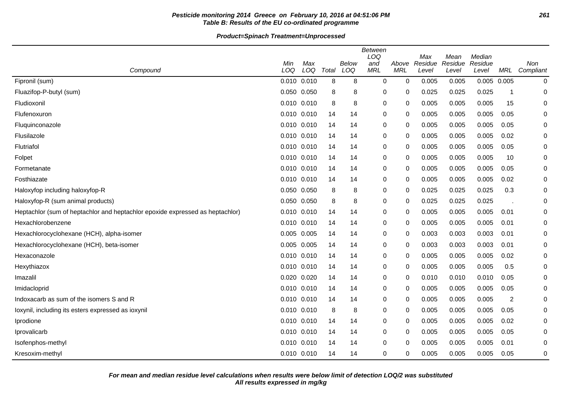## **Pesticide monitoring 2014 Greece on February 10, 2016 at 04:51:06 PM 261 Table B: Results of the EU co-ordinated programme**

|                                                                               |                 |            |       |              | <b>Between</b><br>LOQ |                     | Max              | Mean             | Median           |       |                  |
|-------------------------------------------------------------------------------|-----------------|------------|-------|--------------|-----------------------|---------------------|------------------|------------------|------------------|-------|------------------|
| Compound                                                                      | Min<br>LOQ      | Max<br>LOQ | Total | Below<br>LOQ | and<br><b>MRL</b>     | Above<br><b>MRL</b> | Residue<br>Level | Residue<br>Level | Residue<br>Level | MRL   | Non<br>Compliant |
| Fipronil (sum)                                                                | $0.010$ $0.010$ |            | 8     | 8            | $\mathbf 0$           | $\mathbf 0$         | 0.005            | 0.005            | 0.005            | 0.005 | 0                |
| Fluazifop-P-butyl (sum)                                                       | 0.050 0.050     |            | 8     | 8            | 0                     | 0                   | 0.025            | 0.025            | 0.025            | -1    | 0                |
| Fludioxonil                                                                   | $0.010$ $0.010$ |            | 8     | 8            | $\mathbf 0$           | 0                   | 0.005            | 0.005            | 0.005            | 15    | 0                |
| Flufenoxuron                                                                  | 0.010 0.010     |            | 14    | 14           | 0                     | 0                   | 0.005            | 0.005            | 0.005            | 0.05  | 0                |
| Fluquinconazole                                                               | 0.010 0.010     |            | 14    | 14           | 0                     | 0                   | 0.005            | 0.005            | 0.005            | 0.05  | 0                |
| Flusilazole                                                                   | 0.010 0.010     |            | 14    | 14           | 0                     | 0                   | 0.005            | 0.005            | 0.005            | 0.02  | 0                |
| Flutriafol                                                                    | 0.010 0.010     |            | 14    | 14           | 0                     | 0                   | 0.005            | 0.005            | 0.005            | 0.05  | 0                |
| Folpet                                                                        | $0.010$ $0.010$ |            | 14    | 14           | $\mathbf 0$           | 0                   | 0.005            | 0.005            | 0.005            | 10    | 0                |
| Formetanate                                                                   | $0.010$ $0.010$ |            | 14    | 14           | $\mathbf 0$           | $\Omega$            | 0.005            | 0.005            | 0.005            | 0.05  | $\mathbf 0$      |
| Fosthiazate                                                                   | 0.010           | 0.010      | 14    | 14           | 0                     | 0                   | 0.005            | 0.005            | 0.005            | 0.02  | $\mathbf 0$      |
| Haloxyfop including haloxyfop-R                                               | 0.050 0.050     |            | 8     | 8            | 0                     | 0                   | 0.025            | 0.025            | 0.025            | 0.3   | 0                |
| Haloxyfop-R (sum animal products)                                             | 0.050 0.050     |            | 8     | 8            | 0                     | 0                   | 0.025            | 0.025            | 0.025            |       | 0                |
| Heptachlor (sum of heptachlor and heptachlor epoxide expressed as heptachlor) | 0.010           | 0.010      | 14    | 14           | 0                     | 0                   | 0.005            | 0.005            | 0.005            | 0.01  | 0                |
| Hexachlorobenzene                                                             | 0.010 0.010     |            | 14    | 14           | 0                     | 0                   | 0.005            | 0.005            | 0.005            | 0.01  | 0                |
| Hexachlorocyclohexane (HCH), alpha-isomer                                     | 0.005 0.005     |            | 14    | 14           | $\mathbf 0$           | 0                   | 0.003            | 0.003            | 0.003            | 0.01  | $\mathbf 0$      |
| Hexachlorocyclohexane (HCH), beta-isomer                                      | 0.005 0.005     |            | 14    | 14           | $\mathbf 0$           | $\Omega$            | 0.003            | 0.003            | 0.003            | 0.01  | 0                |
| Hexaconazole                                                                  | 0.010           | 0.010      | 14    | 14           | 0                     | 0                   | 0.005            | 0.005            | 0.005            | 0.02  | 0                |
| Hexythiazox                                                                   | $0.010$ $0.010$ |            | 14    | 14           | $\mathbf 0$           | 0                   | 0.005            | 0.005            | 0.005            | 0.5   | 0                |
| Imazalil                                                                      | 0.020           | 0.020      | 14    | 14           | 0                     | 0                   | 0.010            | 0.010            | 0.010            | 0.05  | 0                |
| Imidacloprid                                                                  | 0.010           | 0.010      | 14    | 14           | 0                     | 0                   | 0.005            | 0.005            | 0.005            | 0.05  | 0                |
| Indoxacarb as sum of the isomers S and R                                      | 0.010 0.010     |            | 14    | 14           | 0                     | 0                   | 0.005            | 0.005            | 0.005            | 2     | 0                |
| loxynil, including its esters expressed as ioxynil                            | 0.010 0.010     |            | 8     | 8            | 0                     | 0                   | 0.005            | 0.005            | 0.005            | 0.05  | 0                |
| Iprodione                                                                     | 0.010           | 0.010      | 14    | 14           | 0                     | $\Omega$            | 0.005            | 0.005            | 0.005            | 0.02  | 0                |
| Iprovalicarb                                                                  | 0.010 0.010     |            | 14    | 14           | $\mathbf 0$           | 0                   | 0.005            | 0.005            | 0.005            | 0.05  | $\mathbf 0$      |
| Isofenphos-methyl                                                             | 0.010           | 0.010      | 14    | 14           | 0                     | 0                   | 0.005            | 0.005            | 0.005            | 0.01  | 0                |
| Kresoxim-methyl                                                               | 0.010 0.010     |            | 14    | 14           | 0                     | 0                   | 0.005            | 0.005            | 0.005            | 0.05  | $\mathbf 0$      |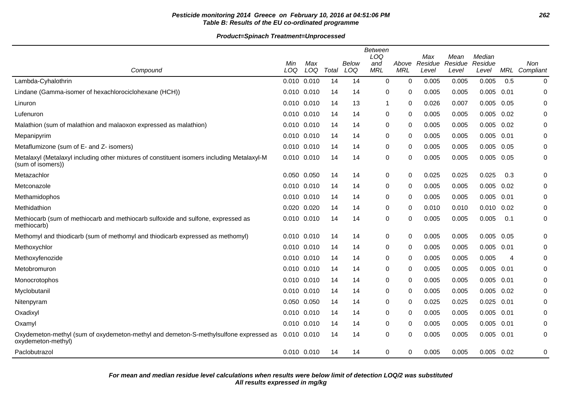## **Pesticide monitoring 2014 Greece on February 10, 2016 at 04:51:06 PM 262 Table B: Results of the EU co-ordinated programme**

|                                                                                                                 | Min         | Max |       | Below | <b>Between</b><br>LOQ<br>and | Above      | Max<br>Residue | Mean<br>Residue | Median<br>Residue |      | Non           |
|-----------------------------------------------------------------------------------------------------------------|-------------|-----|-------|-------|------------------------------|------------|----------------|-----------------|-------------------|------|---------------|
| Compound                                                                                                        | LOQ         | LOQ | Total | LOQ   | <b>MRL</b>                   | <b>MRL</b> | Level          | Level           | Level             |      | MRL Compliant |
| Lambda-Cyhalothrin                                                                                              | 0.010 0.010 |     | 14    | 14    | 0                            | 0          | 0.005          | 0.005           | 0.005             | 0.5  | $\pmb{0}$     |
| Lindane (Gamma-isomer of hexachlorociclohexane (HCH))                                                           | 0.010 0.010 |     | 14    | 14    | 0                            | 0          | 0.005          | 0.005           | 0.005             | 0.01 | 0             |
| Linuron                                                                                                         | 0.010 0.010 |     | 14    | 13    | -1                           | 0          | 0.026          | 0.007           | 0.005             | 0.05 | $\mathbf 0$   |
| Lufenuron                                                                                                       | 0.010 0.010 |     | 14    | 14    | 0                            | 0          | 0.005          | 0.005           | 0.005             | 0.02 | 0             |
| Malathion (sum of malathion and malaoxon expressed as malathion)                                                | 0.010 0.010 |     | 14    | 14    | 0                            | 0          | 0.005          | 0.005           | 0.005             | 0.02 | 0             |
| Mepanipyrim                                                                                                     | 0.010 0.010 |     | 14    | 14    | 0                            | 0          | 0.005          | 0.005           | 0.005             | 0.01 | 0             |
| Metaflumizone (sum of E- and Z- isomers)                                                                        | 0.010 0.010 |     | 14    | 14    | 0                            | 0          | 0.005          | 0.005           | 0.005             | 0.05 | 0             |
| Metalaxyl (Metalaxyl including other mixtures of constituent isomers including Metalaxyl-M<br>(sum of isomers)) | 0.010 0.010 |     | 14    | 14    | 0                            | 0          | 0.005          | 0.005           | 0.005             | 0.05 | 0             |
| Metazachlor                                                                                                     | 0.050 0.050 |     | 14    | 14    | 0                            | 0          | 0.025          | 0.025           | 0.025             | 0.3  | 0             |
| Metconazole                                                                                                     | 0.010 0.010 |     | 14    | 14    | 0                            | 0          | 0.005          | 0.005           | 0.005             | 0.02 | $\mathbf 0$   |
| Methamidophos                                                                                                   | 0.010 0.010 |     | 14    | 14    | 0                            | 0          | 0.005          | 0.005           | 0.005             | 0.01 | 0             |
| Methidathion                                                                                                    | 0.020 0.020 |     | 14    | 14    | 0                            | 0          | 0.010          | 0.010           | 0.010             | 0.02 | 0             |
| Methiocarb (sum of methiocarb and methiocarb sulfoxide and sulfone, expressed as<br>methiocarb)                 | 0.010 0.010 |     | 14    | 14    | 0                            | 0          | 0.005          | 0.005           | 0.005             | 0.1  | $\pmb{0}$     |
| Methomyl and thiodicarb (sum of methomyl and thiodicarb expressed as methomyl)                                  | 0.010 0.010 |     | 14    | 14    | 0                            | 0          | 0.005          | 0.005           | 0.005             | 0.05 | 0             |
| Methoxychlor                                                                                                    | 0.010 0.010 |     | 14    | 14    | 0                            | 0          | 0.005          | 0.005           | 0.005             | 0.01 | 0             |
| Methoxyfenozide                                                                                                 | 0.010 0.010 |     | 14    | 14    | 0                            | 0          | 0.005          | 0.005           | 0.005             | 4    | 0             |
| Metobromuron                                                                                                    | 0.010 0.010 |     | 14    | 14    | 0                            | 0          | 0.005          | 0.005           | 0.005             | 0.01 | 0             |
| Monocrotophos                                                                                                   | 0.010 0.010 |     | 14    | 14    | 0                            | 0          | 0.005          | 0.005           | 0.005             | 0.01 | 0             |
| Myclobutanil                                                                                                    | 0.010 0.010 |     | 14    | 14    | 0                            | 0          | 0.005          | 0.005           | 0.005             | 0.02 | $\mathbf 0$   |
| Nitenpyram                                                                                                      | 0.050 0.050 |     | 14    | 14    | 0                            | 0          | 0.025          | 0.025           | 0.025             | 0.01 | 0             |
| Oxadixyl                                                                                                        | 0.010 0.010 |     | 14    | 14    | 0                            | 0          | 0.005          | 0.005           | 0.005             | 0.01 | 0             |
| Oxamyl                                                                                                          | 0.010 0.010 |     | 14    | 14    | 0                            | 0          | 0.005          | 0.005           | 0.005             | 0.01 | 0             |
| Oxydemeton-methyl (sum of oxydemeton-methyl and demeton-S-methylsulfone expressed as<br>oxydemeton-methyl)      | 0.010 0.010 |     | 14    | 14    | 0                            | 0          | 0.005          | 0.005           | 0.005             | 0.01 | 0             |
| Paclobutrazol                                                                                                   | 0.010 0.010 |     | 14    | 14    | 0                            | 0          | 0.005          | 0.005           | $0.005$ 0.02      |      | 0             |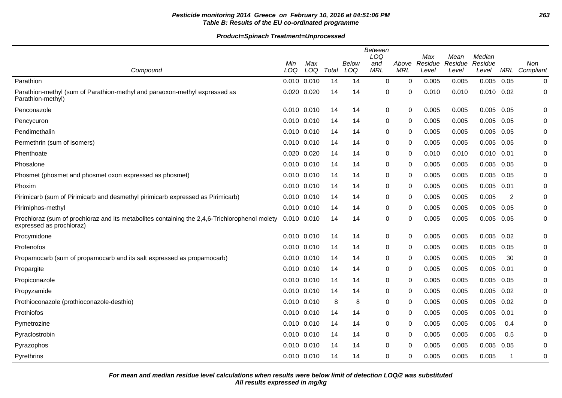## **Pesticide monitoring 2014 Greece on February 10, 2016 at 04:51:06 PM 263 Table B: Results of the EU co-ordinated programme**

|                                                                                                                           |                 |     |       |       | <b>Between</b><br>LOQ |              | Max     | Mean    | Median         |                |               |
|---------------------------------------------------------------------------------------------------------------------------|-----------------|-----|-------|-------|-----------------------|--------------|---------|---------|----------------|----------------|---------------|
|                                                                                                                           | Min             | Max |       | Below | and                   | Above        | Residue | Residue | Residue        |                | Non           |
| Compound                                                                                                                  | LOQ             | LOQ | Total | LOQ   | <b>MRL</b>            | <b>MRL</b>   | Level   | Level   | Level          |                | MRL Compliant |
| Parathion                                                                                                                 | 0.010 0.010     |     | 14    | 14    | 0                     | $\Omega$     | 0.005   | 0.005   | 0.005          | 0.05           | 0             |
| Parathion-methyl (sum of Parathion-methyl and paraoxon-methyl expressed as<br>Parathion-methyl)                           | 0.020 0.020     |     | 14    | 14    | 0                     | 0            | 0.010   | 0.010   | $0.010$ $0.02$ |                | 0             |
| Penconazole                                                                                                               | 0.010 0.010     |     | 14    | 14    | $\mathbf 0$           | $\Omega$     | 0.005   | 0.005   | 0.005          | 0.05           | $\mathbf 0$   |
| Pencycuron                                                                                                                | 0.010 0.010     |     | 14    | 14    | 0                     | 0            | 0.005   | 0.005   | 0.005          | 0.05           | 0             |
| Pendimethalin                                                                                                             | 0.010 0.010     |     | 14    | 14    | 0                     | 0            | 0.005   | 0.005   | 0.005          | 0.05           | 0             |
| Permethrin (sum of isomers)                                                                                               | 0.010 0.010     |     | 14    | 14    | 0                     | 0            | 0.005   | 0.005   | 0.005          | 0.05           | 0             |
| Phenthoate                                                                                                                | 0.020 0.020     |     | 14    | 14    | 0                     | $\mathbf{0}$ | 0.010   | 0.010   | $0.010$ $0.01$ |                | 0             |
| Phosalone                                                                                                                 | 0.010 0.010     |     | 14    | 14    | 0                     | $\mathbf{0}$ | 0.005   | 0.005   | 0.005          | 0.05           | 0             |
| Phosmet (phosmet and phosmet oxon expressed as phosmet)                                                                   | 0.010 0.010     |     | 14    | 14    | 0                     | 0            | 0.005   | 0.005   | 0.005          | 0.05           | 0             |
| Phoxim                                                                                                                    | 0.010 0.010     |     | 14    | 14    | 0                     | $\mathbf{0}$ | 0.005   | 0.005   | 0.005          | 0.01           | 0             |
| Pirimicarb (sum of Pirimicarb and desmethyl pirimicarb expressed as Pirimicarb)                                           | 0.010 0.010     |     | 14    | 14    | 0                     | $\mathbf{0}$ | 0.005   | 0.005   | 0.005          | $\overline{2}$ | 0             |
| Pirimiphos-methyl                                                                                                         | 0.010 0.010     |     | 14    | 14    | 0                     | $\Omega$     | 0.005   | 0.005   | 0.005          | 0.05           | 0             |
| Prochloraz (sum of prochloraz and its metabolites containing the 2,4,6-Trichlorophenol moiety<br>expressed as prochloraz) | $0.010$ $0.010$ |     | 14    | 14    | 0                     | 0            | 0.005   | 0.005   | 0.005          | 0.05           | 0             |
| Procymidone                                                                                                               | 0.010 0.010     |     | 14    | 14    | $\mathbf 0$           | $\Omega$     | 0.005   | 0.005   | 0.005          | 0.02           | $\mathbf 0$   |
| Profenofos                                                                                                                | 0.010 0.010     |     | 14    | 14    | 0                     | $\Omega$     | 0.005   | 0.005   | 0.005          | 0.05           | 0             |
| Propamocarb (sum of propamocarb and its salt expressed as propamocarb)                                                    | 0.010 0.010     |     | 14    | 14    | 0                     | 0            | 0.005   | 0.005   | 0.005          | 30             | 0             |
| Propargite                                                                                                                | 0.010 0.010     |     | 14    | 14    | 0                     | 0            | 0.005   | 0.005   | 0.005          | 0.01           | 0             |
| Propiconazole                                                                                                             | 0.010 0.010     |     | 14    | 14    | 0                     | $\mathbf{0}$ | 0.005   | 0.005   | 0.005          | 0.05           | 0             |
| Propyzamide                                                                                                               | 0.010 0.010     |     | 14    | 14    | 0                     | $\Omega$     | 0.005   | 0.005   | 0.005          | 0.02           | 0             |
| Prothioconazole (prothioconazole-desthio)                                                                                 | 0.010 0.010     |     | 8     | 8     | 0                     | 0            | 0.005   | 0.005   | 0.005          | 0.02           | 0             |
| Prothiofos                                                                                                                | 0.010 0.010     |     | 14    | 14    | 0                     | 0            | 0.005   | 0.005   | 0.005          | 0.01           | 0             |
| Pymetrozine                                                                                                               | 0.010 0.010     |     | 14    | 14    | 0                     | $\mathbf{0}$ | 0.005   | 0.005   | 0.005          | 0.4            | $\Omega$      |
| Pyraclostrobin                                                                                                            | 0.010 0.010     |     | 14    | 14    | 0                     | 0            | 0.005   | 0.005   | 0.005          | 0.5            | $\mathbf 0$   |
| Pyrazophos                                                                                                                | 0.010 0.010     |     | 14    | 14    | 0                     | 0            | 0.005   | 0.005   | 0.005          | 0.05           | 0             |
| Pyrethrins                                                                                                                | 0.010 0.010     |     | 14    | 14    | $\mathbf 0$           | 0            | 0.005   | 0.005   | 0.005          | -1             | 0             |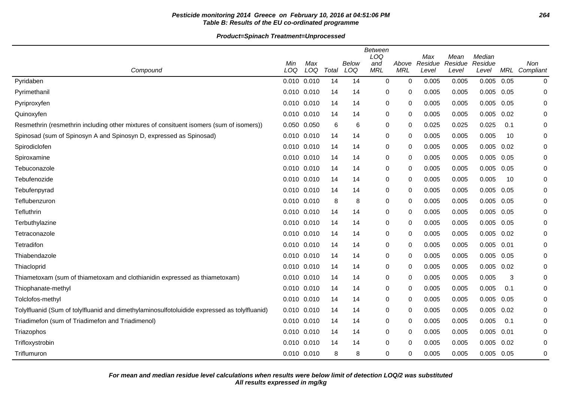## **Pesticide monitoring 2014 Greece on February 10, 2016 at 04:51:06 PM 264 Table B: Results of the EU co-ordinated programme**

**Product=Spinach Treatment=Unprocessed**

| Compound                                                                                     | Min<br>LOQ      | Max<br>LOQ | Total | Below<br>LOQ | <b>Between</b><br>LOQ<br>and<br><b>MRL</b> | Above<br><b>MRL</b> | Max<br>Residue<br>Level | Mean<br>Residue<br>Level | Median<br>Residue<br>Level |      | Non<br>MRL Compliant |
|----------------------------------------------------------------------------------------------|-----------------|------------|-------|--------------|--------------------------------------------|---------------------|-------------------------|--------------------------|----------------------------|------|----------------------|
| Pyridaben                                                                                    | 0.010 0.010     |            | 14    | 14           | 0                                          | 0                   | 0.005                   | 0.005                    | 0.005                      | 0.05 | 0                    |
| Pyrimethanil                                                                                 | 0.010 0.010     |            | 14    | 14           | 0                                          | 0                   | 0.005                   | 0.005                    | 0.005                      | 0.05 | 0                    |
| Pyriproxyfen                                                                                 | 0.010 0.010     |            | 14    | 14           | 0                                          | $\mathbf{0}$        | 0.005                   | 0.005                    | 0.005                      | 0.05 | 0                    |
| Quinoxyfen                                                                                   | 0.010 0.010     |            | 14    | 14           | 0                                          | 0                   | 0.005                   | 0.005                    | 0.005                      | 0.02 | 0                    |
| Resmethrin (resmethrin including other mixtures of consituent isomers (sum of isomers))      | 0.050 0.050     |            | 6     | 6            | 0                                          | $\Omega$            | 0.025                   | 0.025                    | 0.025                      | 0.1  | 0                    |
| Spinosad (sum of Spinosyn A and Spinosyn D, expressed as Spinosad)                           | 0.010 0.010     |            | 14    | 14           | 0                                          | $\Omega$            | 0.005                   | 0.005                    | 0.005                      | 10   | 0                    |
| Spirodiclofen                                                                                | 0.010 0.010     |            | 14    | 14           | 0                                          | 0                   | 0.005                   | 0.005                    | 0.005                      | 0.02 | 0                    |
| Spiroxamine                                                                                  | 0.010 0.010     |            | 14    | 14           | 0                                          | $\mathbf{0}$        | 0.005                   | 0.005                    | 0.005                      | 0.05 | 0                    |
| Tebuconazole                                                                                 | 0.010 0.010     |            | 14    | 14           | 0                                          | 0                   | 0.005                   | 0.005                    | 0.005                      | 0.05 | $\Omega$             |
| Tebufenozide                                                                                 | 0.010 0.010     |            | 14    | 14           | 0                                          | 0                   | 0.005                   | 0.005                    | 0.005                      | 10   | 0                    |
| Tebufenpyrad                                                                                 | 0.010 0.010     |            | 14    | 14           | 0                                          | 0                   | 0.005                   | 0.005                    | 0.005                      | 0.05 | 0                    |
| Teflubenzuron                                                                                | 0.010 0.010     |            | 8     | 8            | $\mathbf 0$                                | $\Omega$            | 0.005                   | 0.005                    | 0.005                      | 0.05 | $\mathbf 0$          |
| Tefluthrin                                                                                   | 0.010 0.010     |            | 14    | 14           | $\pmb{0}$                                  | $\Omega$            | 0.005                   | 0.005                    | 0.005                      | 0.05 | $\mathbf 0$          |
| Terbuthylazine                                                                               | 0.010 0.010     |            | 14    | 14           | 0                                          | 0                   | 0.005                   | 0.005                    | 0.005                      | 0.05 | 0                    |
| Tetraconazole                                                                                | $0.010$ $0.010$ |            | 14    | 14           | 0                                          | 0                   | 0.005                   | 0.005                    | 0.005                      | 0.02 | $\Omega$             |
| Tetradifon                                                                                   | 0.010 0.010     |            | 14    | 14           | 0                                          | 0                   | 0.005                   | 0.005                    | 0.005                      | 0.01 | 0                    |
| Thiabendazole                                                                                | 0.010 0.010     |            | 14    | 14           | 0                                          | 0                   | 0.005                   | 0.005                    | 0.005                      | 0.05 | 0                    |
| Thiacloprid                                                                                  | $0.010$ $0.010$ |            | 14    | 14           | $\mathbf 0$                                | $\mathbf{0}$        | 0.005                   | 0.005                    | 0.005                      | 0.02 | $\mathbf 0$          |
| Thiametoxam (sum of thiametoxam and clothianidin expressed as thiametoxam)                   | $0.010$ $0.010$ |            | 14    | 14           | 0                                          | 0                   | 0.005                   | 0.005                    | 0.005                      | 3    | 0                    |
| Thiophanate-methyl                                                                           | 0.010 0.010     |            | 14    | 14           | 0                                          | 0                   | 0.005                   | 0.005                    | 0.005                      | 0.1  | 0                    |
| Tolclofos-methyl                                                                             | 0.010 0.010     |            | 14    | 14           | 0                                          | 0                   | 0.005                   | 0.005                    | 0.005                      | 0.05 | 0                    |
| Tolylfluanid (Sum of tolylfluanid and dimethylaminosulfotoluidide expressed as tolylfluanid) | $0.010$ $0.010$ |            | 14    | 14           | 0                                          | 0                   | 0.005                   | 0.005                    | 0.005                      | 0.02 | 0                    |
| Triadimefon (sum of Triadimefon and Triadimenol)                                             | 0.010           | 0.010      | 14    | 14           | 0                                          | 0                   | 0.005                   | 0.005                    | 0.005                      | 0.1  | $\Omega$             |
| Triazophos                                                                                   | $0.010$ $0.010$ |            | 14    | 14           | 0                                          | 0                   | 0.005                   | 0.005                    | 0.005                      | 0.01 | 0                    |
| Trifloxystrobin                                                                              | $0.010$ $0.010$ |            | 14    | 14           | 0                                          | 0                   | 0.005                   | 0.005                    | 0.005                      | 0.02 | 0                    |
| Triflumuron                                                                                  | 0.010 0.010     |            | 8     | 8            | 0                                          | 0                   | 0.005                   | 0.005                    | 0.005                      | 0.05 | 0                    |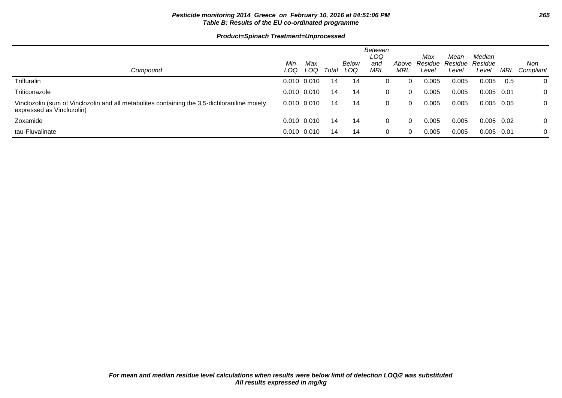### **Pesticide monitoring 2014 Greece on February 10, 2016 at 04:51:06 PM 265 Table B: Results of the EU co-ordinated programme**

| Compound                                                                                                                   | Min<br>LOQ | Max<br>LOQ      | Total | Below<br>LOQ | Between<br>LOQ<br>and<br>MRL | Above<br>MRL | Max<br>Residue<br>Level | Mean<br>Residue Residue<br>Level | Median<br>Level | MRL   | Non<br>Compliant |
|----------------------------------------------------------------------------------------------------------------------------|------------|-----------------|-------|--------------|------------------------------|--------------|-------------------------|----------------------------------|-----------------|-------|------------------|
| Trifluralin                                                                                                                |            | $0.010$ $0.010$ | 14    | 14           |                              | 0            | 0.005                   | 0.005                            | 0.005           | 0.5   | 0                |
| Triticonazole                                                                                                              |            | $0.010$ $0.010$ | 14    | 14           | 0                            | 0            | 0.005                   | 0.005                            | 0.005           | 0.01  | 0                |
| Vinclozolin (sum of Vinclozolin and all metabolites containing the 3,5-dichloraniline moiety,<br>expressed as Vinclozolin) |            | $0.010$ $0.010$ | 14    | 14           | 0                            | $\Omega$     | 0.005                   | 0.005                            | 0.005 0.05      |       | 0                |
| Zoxamide                                                                                                                   |            | $0.010$ $0.010$ | 14    | 14           | 0                            | $\Omega$     | 0.005                   | 0.005                            | 0.005           | 0.02  | 0                |
| tau-Fluvalinate                                                                                                            |            | $0.010$ $0.010$ | 14    | 14           | 0                            | $\Omega$     | 0.005                   | 0.005                            | 0.005           | -0.01 | 0                |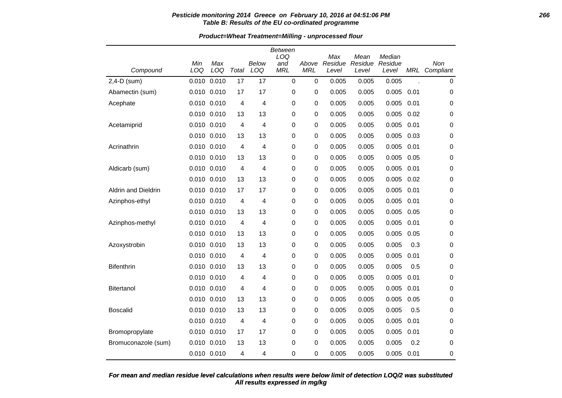### **Pesticide monitoring 2014 Greece on February 10, 2016 at 04:51:06 PM 266 Table B: Results of the EU co-ordinated programme**

|  | <b>Product=Wheat Treatment=Milling - unprocessed flour</b> |  |  |
|--|------------------------------------------------------------|--|--|
|  |                                                            |  |  |

|                            |             |             |       |              | <b>Between</b><br>LOQ |                     | Max              | Mean             | Median           |      |                      |
|----------------------------|-------------|-------------|-------|--------------|-----------------------|---------------------|------------------|------------------|------------------|------|----------------------|
| Compound                   | Min<br>LOQ  | Max<br>LOQ  | Total | Below<br>LOQ | and<br><b>MRL</b>     | Above<br><b>MRL</b> | Residue<br>Level | Residue<br>Level | Residue<br>Level |      | Non<br>MRL Compliant |
| $2,4-D$ (sum)              | 0.010       | 0.010       | 17    | 17           | $\mathbf 0$           | $\mathbf 0$         | 0.005            | 0.005            | 0.005            |      | 0                    |
| Abamectin (sum)            |             | 0.010 0.010 | 17    | 17           | 0                     | 0                   | 0.005            | 0.005            | 0.005            | 0.01 | 0                    |
| Acephate                   |             | 0.010 0.010 | 4     | 4            | 0                     | 0                   | 0.005            | 0.005            | 0.005            | 0.01 | 0                    |
|                            | 0.010 0.010 |             | 13    | 13           | 0                     | 0                   | 0.005            | 0.005            | 0.005            | 0.02 | 0                    |
|                            |             | 0.010 0.010 | 4     | 4            | 0                     |                     | 0.005            | 0.005            | 0.005            | 0.01 | 0                    |
| Acetamiprid                |             |             |       |              |                       | 0                   |                  |                  |                  |      |                      |
|                            | 0.010 0.010 |             | 13    | 13           | 0                     | 0                   | 0.005            | 0.005            | 0.005            | 0.03 | 0                    |
| Acrinathrin                | 0.010 0.010 |             | 4     | 4            | 0                     | 0                   | 0.005            | 0.005            | 0.005            | 0.01 | 0                    |
|                            | 0.010 0.010 |             | 13    | 13           | 0                     | 0                   | 0.005            | 0.005            | 0.005            | 0.05 | 0                    |
| Aldicarb (sum)             |             | 0.010 0.010 | 4     | 4            | 0                     | 0                   | 0.005            | 0.005            | 0.005            | 0.01 | 0                    |
|                            | 0.010 0.010 |             | 13    | 13           | 0                     | 0                   | 0.005            | 0.005            | 0.005            | 0.02 | 0                    |
| <b>Aldrin and Dieldrin</b> | 0.010 0.010 |             | 17    | 17           | 0                     | 0                   | 0.005            | 0.005            | 0.005            | 0.01 | 0                    |
| Azinphos-ethyl             |             | 0.010 0.010 | 4     | 4            | 0                     | 0                   | 0.005            | 0.005            | 0.005            | 0.01 | 0                    |
|                            | 0.010 0.010 |             | 13    | 13           | 0                     | 0                   | 0.005            | 0.005            | 0.005            | 0.05 | 0                    |
| Azinphos-methyl            |             | 0.010 0.010 | 4     | 4            | 0                     | 0                   | 0.005            | 0.005            | 0.005            | 0.01 | 0                    |
|                            | 0.010 0.010 |             | 13    | 13           | 0                     | 0                   | 0.005            | 0.005            | 0.005            | 0.05 | 0                    |
| Azoxystrobin               | 0.010 0.010 |             | 13    | 13           | 0                     | 0                   | 0.005            | 0.005            | 0.005            | 0.3  | 0                    |
|                            | 0.010 0.010 |             | 4     | 4            | 0                     | 0                   | 0.005            | 0.005            | 0.005            | 0.01 | 0                    |
| <b>Bifenthrin</b>          | 0.010 0.010 |             | 13    | 13           | 0                     | 0                   | 0.005            | 0.005            | 0.005            | 0.5  | 0                    |
|                            | 0.010 0.010 |             | 4     | 4            | 0                     | 0                   | 0.005            | 0.005            | 0.005            | 0.01 | 0                    |
| <b>Bitertanol</b>          | 0.010 0.010 |             | 4     | 4            | 0                     | 0                   | 0.005            | 0.005            | 0.005            | 0.01 | 0                    |
|                            | 0.010 0.010 |             | 13    | 13           | 0                     | 0                   | 0.005            | 0.005            | 0.005            | 0.05 | 0                    |
| <b>Boscalid</b>            | 0.010 0.010 |             | 13    | 13           | 0                     | 0                   | 0.005            | 0.005            | 0.005            | 0.5  | 0                    |
|                            | 0.010 0.010 |             | 4     | 4            | 0                     | 0                   | 0.005            | 0.005            | 0.005            | 0.01 | 0                    |
| Bromopropylate             |             | 0.010 0.010 | 17    | 17           | 0                     | 0                   | 0.005            | 0.005            | 0.005            | 0.01 | 0                    |
| Bromuconazole (sum)        | 0.010 0.010 |             | 13    | 13           | 0                     | 0                   | 0.005            | 0.005            | 0.005            | 0.2  | 0                    |
|                            |             | 0.010 0.010 | 4     | 4            | 0                     | 0                   | 0.005            | 0.005            | 0.005            | 0.01 | 0                    |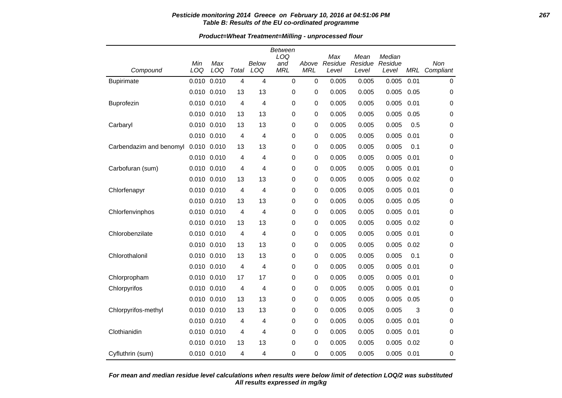### **Pesticide monitoring 2014 Greece on February 10, 2016 at 04:51:06 PM 267 Table B: Results of the EU co-ordinated programme**

**Product=Wheat Treatment=Milling - unprocessed flour**

|                         |             |                 |       |              | Between<br>LOQ    |                     | Max              | Mean             | Median           |      |                  |
|-------------------------|-------------|-----------------|-------|--------------|-------------------|---------------------|------------------|------------------|------------------|------|------------------|
| Compound                | Min<br>LOQ  | Max<br>LOQ      | Total | Below<br>LOQ | and<br><b>MRL</b> | Above<br><b>MRL</b> | Residue<br>Level | Residue<br>Level | Residue<br>Level | MRL  | Non<br>Compliant |
| <b>Bupirimate</b>       | 0.010       | 0.010           | 4     | 4            | $\pmb{0}$         | $\pmb{0}$           | 0.005            | 0.005            | 0.005            | 0.01 | $\pmb{0}$        |
|                         | 0.010 0.010 |                 | 13    | 13           | 0                 | 0                   | 0.005            | 0.005            | 0.005            | 0.05 | 0                |
| Buprofezin              |             | 0.010 0.010     | 4     | 4            | 0                 | 0                   | 0.005            | 0.005            | 0.005            | 0.01 | 0                |
|                         | 0.010 0.010 |                 | 13    | 13           | 0                 | 0                   | 0.005            | 0.005            | 0.005            | 0.05 | 0                |
| Carbaryl                |             | $0.010$ $0.010$ | 13    | 13           | 0                 | $\mathbf 0$         | 0.005            | 0.005            | 0.005            | 0.5  | 0                |
|                         |             | 0.010 0.010     | 4     | 4            | 0                 | $\mathbf 0$         | 0.005            | 0.005            | 0.005            | 0.01 | 0                |
| Carbendazim and benomyl | 0.010 0.010 |                 | 13    | 13           | 0                 | 0                   | 0.005            | 0.005            | 0.005            | 0.1  | 0                |
|                         |             | 0.010 0.010     | 4     | 4            | 0                 | 0                   | 0.005            | 0.005            | 0.005            | 0.01 | 0                |
| Carbofuran (sum)        | 0.010 0.010 |                 | 4     | 4            | 0                 | $\mathbf 0$         | 0.005            | 0.005            | 0.005            | 0.01 | 0                |
|                         |             | 0.010 0.010     | 13    | 13           | 0                 | $\pmb{0}$           | 0.005            | 0.005            | 0.005            | 0.02 | 0                |
| Chlorfenapyr            |             | 0.010 0.010     | 4     | 4            | 0                 | $\pmb{0}$           | 0.005            | 0.005            | 0.005            | 0.01 | 0                |
|                         | 0.010 0.010 |                 | 13    | 13           | 0                 | $\mathbf 0$         | 0.005            | 0.005            | 0.005            | 0.05 | 0                |
| Chlorfenvinphos         |             | 0.010 0.010     | 4     | 4            | 0                 | $\mathbf 0$         | 0.005            | 0.005            | 0.005            | 0.01 | 0                |
|                         | 0.010 0.010 |                 | 13    | 13           | 0                 | 0                   | 0.005            | 0.005            | 0.005            | 0.02 | 0                |
| Chlorobenzilate         |             | 0.010 0.010     | 4     | 4            | 0                 | $\pmb{0}$           | 0.005            | 0.005            | 0.005            | 0.01 | 0                |
|                         |             | 0.010 0.010     | 13    | 13           | 0                 | $\pmb{0}$           | 0.005            | 0.005            | 0.005            | 0.02 | 0                |
| Chlorothalonil          |             | 0.010 0.010     | 13    | 13           | 0                 | 0                   | 0.005            | 0.005            | 0.005            | 0.1  | 0                |
|                         |             | 0.010 0.010     | 4     | 4            | 0                 | $\mathbf 0$         | 0.005            | 0.005            | 0.005            | 0.01 | 0                |
| Chlorpropham            |             | 0.010 0.010     | 17    | 17           | 0                 | 0                   | 0.005            | 0.005            | 0.005            | 0.01 | 0                |
| Chlorpyrifos            |             | 0.010 0.010     | 4     | 4            | 0                 | $\pmb{0}$           | 0.005            | 0.005            | 0.005            | 0.01 | 0                |
|                         |             | 0.010 0.010     | 13    | 13           | 0                 | $\pmb{0}$           | 0.005            | 0.005            | 0.005            | 0.05 | 0                |
| Chlorpyrifos-methyl     | 0.010 0.010 |                 | 13    | 13           | 0                 | 0                   | 0.005            | 0.005            | 0.005            | 3    | 0                |
|                         |             | 0.010 0.010     | 4     | 4            | 0                 | 0                   | 0.005            | 0.005            | 0.005            | 0.01 | 0                |
| Clothianidin            | 0.010 0.010 |                 | 4     | 4            | 0                 | 0                   | 0.005            | 0.005            | 0.005            | 0.01 | 0                |
|                         |             | 0.010 0.010     | 13    | 13           | 0                 | 0                   | 0.005            | 0.005            | 0.005            | 0.02 | 0                |
| Cyfluthrin (sum)        |             | 0.010 0.010     | 4     | 4            | 0                 | $\mathbf 0$         | 0.005            | 0.005            | 0.005            | 0.01 | 0                |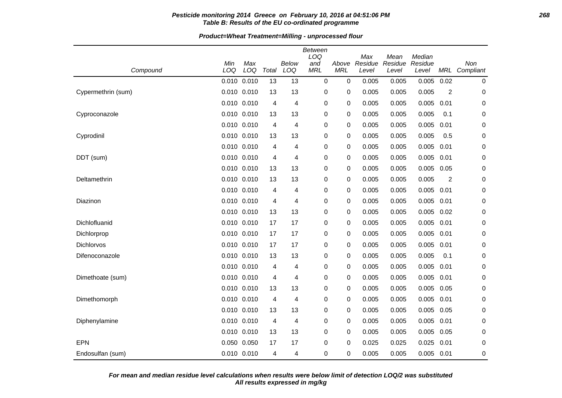### **Pesticide monitoring 2014 Greece on February 10, 2016 at 04:51:06 PM 268 Table B: Results of the EU co-ordinated programme**

**Product=Wheat Treatment=Milling - unprocessed flour**

| Compound           | Min<br>LOQ      | Max<br>LOQ  | Total | Below<br>LOQ | <b>Between</b><br>LOQ<br>and<br><b>MRL</b> | Above<br><b>MRL</b> | Max<br>Residue<br>Level | Mean<br>Residue<br>Level | Median<br>Residue<br>Level | <b>MRL</b>     | Non<br>Compliant |
|--------------------|-----------------|-------------|-------|--------------|--------------------------------------------|---------------------|-------------------------|--------------------------|----------------------------|----------------|------------------|
|                    | 0.010 0.010     |             | 13    | 13           | $\mathbf 0$                                | $\mathbf 0$         | 0.005                   | 0.005                    | 0.005                      | 0.02           | 0                |
| Cypermethrin (sum) | 0.010 0.010     |             | 13    | 13           | 0                                          | 0                   | 0.005                   | 0.005                    | 0.005                      | $\overline{2}$ | 0                |
|                    | 0.010 0.010     |             | 4     | 4            | 0                                          | 0                   | 0.005                   | 0.005                    | 0.005                      | 0.01           | 0                |
| Cyproconazole      | 0.010 0.010     |             | 13    | 13           | 0                                          | 0                   | 0.005                   | 0.005                    | 0.005                      | 0.1            | 0                |
|                    | $0.010$ $0.010$ |             | 4     | 4            | 0                                          | 0                   | 0.005                   | 0.005                    | 0.005                      | 0.01           | 0                |
| Cyprodinil         | $0.010$ $0.010$ |             | 13    | 13           | 0                                          | 0                   | 0.005                   | 0.005                    | 0.005                      | 0.5            | $\boldsymbol{0}$ |
|                    | $0.010$ $0.010$ |             | 4     | 4            | 0                                          | 0                   | 0.005                   | 0.005                    | 0.005                      | 0.01           | 0                |
| DDT (sum)          | 0.010 0.010     |             | 4     | 4            | 0                                          | 0                   | 0.005                   | 0.005                    | 0.005                      | 0.01           | 0                |
|                    | $0.010$ $0.010$ |             | 13    | 13           | 0                                          | 0                   | 0.005                   | 0.005                    | 0.005                      | 0.05           | 0                |
| Deltamethrin       | $0.010$ $0.010$ |             | 13    | 13           | 0                                          | 0                   | 0.005                   | 0.005                    | 0.005                      | $\overline{2}$ | 0                |
|                    | 0.010 0.010     |             | 4     | 4            | 0                                          | 0                   | 0.005                   | 0.005                    | 0.005                      | 0.01           | 0                |
| Diazinon           | $0.010$ $0.010$ |             | 4     | 4            | 0                                          | 0                   | 0.005                   | 0.005                    | 0.005                      | 0.01           | 0                |
|                    | 0.010 0.010     |             | 13    | 13           | 0                                          | 0                   | 0.005                   | 0.005                    | 0.005                      | 0.02           | 0                |
| Dichlofluanid      | $0.010$ $0.010$ |             | 17    | 17           | 0                                          | 0                   | 0.005                   | 0.005                    | 0.005                      | 0.01           | 0                |
| Dichlorprop        | 0.010 0.010     |             | 17    | 17           | 0                                          | 0                   | 0.005                   | 0.005                    | 0.005                      | 0.01           | 0                |
| Dichlorvos         | $0.010$ $0.010$ |             | 17    | 17           | 0                                          | 0                   | 0.005                   | 0.005                    | 0.005                      | 0.01           | $\boldsymbol{0}$ |
| Difenoconazole     | $0.010$ $0.010$ |             | 13    | 13           | 0                                          | 0                   | 0.005                   | 0.005                    | 0.005                      | 0.1            | 0                |
|                    | 0.010 0.010     |             | 4     | 4            | 0                                          | 0                   | 0.005                   | 0.005                    | 0.005                      | 0.01           | 0                |
| Dimethoate (sum)   | $0.010$ $0.010$ |             | 4     | 4            | 0                                          | 0                   | 0.005                   | 0.005                    | 0.005                      | 0.01           | 0                |
|                    | 0.010 0.010     |             | 13    | 13           | 0                                          | 0                   | 0.005                   | 0.005                    | 0.005                      | 0.05           | 0                |
| Dimethomorph       | $0.010$ $0.010$ |             | 4     | 4            | 0                                          | 0                   | 0.005                   | 0.005                    | 0.005                      | 0.01           | 0                |
|                    | $0.010$ $0.010$ |             | 13    | 13           | 0                                          | 0                   | 0.005                   | 0.005                    | 0.005                      | 0.05           | 0                |
| Diphenylamine      | 0.010 0.010     |             | 4     | 4            | 0                                          | 0                   | 0.005                   | 0.005                    | 0.005                      | 0.01           | 0                |
|                    | $0.010$ $0.010$ |             | 13    | 13           | 0                                          | 0                   | 0.005                   | 0.005                    | 0.005                      | 0.05           | 0                |
| EPN                | 0.050 0.050     |             | 17    | 17           | 0                                          | 0                   | 0.025                   | 0.025                    | 0.025                      | 0.01           | 0                |
| Endosulfan (sum)   |                 | 0.010 0.010 | 4     | 4            | 0                                          | 0                   | 0.005                   | 0.005                    | $0.005$ 0.01               |                | $\mathbf 0$      |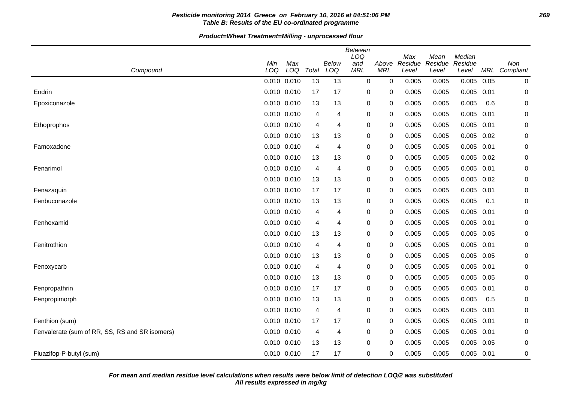## **Pesticide monitoring 2014 Greece on February 10, 2016 at 04:51:06 PM 269 Table B: Results of the EU co-ordinated programme**

**Product=Wheat Treatment=Milling - unprocessed flour**

| Compound                                       | Min<br>LOQ | Max<br>LOQ      | Total          | <b>Below</b><br>LOQ | Between<br>LOQ<br>and<br><b>MRL</b> | Above<br><b>MRL</b> | Max<br>Residue<br>Level | Mean<br>Residue<br>Level | Median<br>Residue<br>Level |      | Non<br>MRL Compliant |
|------------------------------------------------|------------|-----------------|----------------|---------------------|-------------------------------------|---------------------|-------------------------|--------------------------|----------------------------|------|----------------------|
|                                                |            | 0.010 0.010     | 13             | 13                  | $\pmb{0}$                           | $\mathbf 0$         | 0.005                   | 0.005                    | 0.005                      | 0.05 | 0                    |
| Endrin                                         |            | 0.010 0.010     | 17             | 17                  | 0                                   | 0                   | 0.005                   | 0.005                    | 0.005                      | 0.01 | 0                    |
| Epoxiconazole                                  |            | 0.010 0.010     | 13             | 13                  | 0                                   | 0                   | 0.005                   | 0.005                    | 0.005                      | 0.6  | 0                    |
|                                                |            | 0.010 0.010     | 4              | 4                   | 0                                   | 0                   | 0.005                   | 0.005                    | 0.005                      | 0.01 | 0                    |
| Ethoprophos                                    |            | 0.010 0.010     | 4              | 4                   | 0                                   | 0                   | 0.005                   | 0.005                    | $0.005$ 0.01               |      | 0                    |
|                                                |            | 0.010 0.010     | 13             | 13                  | 0                                   | 0                   | 0.005                   | 0.005                    | 0.005                      | 0.02 | 0                    |
| Famoxadone                                     |            | 0.010 0.010     | 4              | 4                   | 0                                   | 0                   | 0.005                   | 0.005                    | $0.005$ 0.01               |      | 0                    |
|                                                |            | 0.010 0.010     | 13             | 13                  | 0                                   | 0                   | 0.005                   | 0.005                    | $0.005$ 0.02               |      | 0                    |
| Fenarimol                                      |            | 0.010 0.010     | $\overline{4}$ | 4                   | 0                                   | 0                   | 0.005                   | 0.005                    | $0.005$ 0.01               |      | 0                    |
|                                                |            | 0.010 0.010     | 13             | 13                  | 0                                   | 0                   | 0.005                   | 0.005                    | 0.005                      | 0.02 | 0                    |
| Fenazaquin                                     |            | 0.010 0.010     | 17             | 17                  | 0                                   | 0                   | 0.005                   | 0.005                    | 0.005                      | 0.01 | 0                    |
| Fenbuconazole                                  |            | 0.010 0.010     | 13             | 13                  | 0                                   | 0                   | 0.005                   | 0.005                    | 0.005                      | 0.1  | 0                    |
|                                                |            | 0.010 0.010     | 4              | 4                   | 0                                   | 0                   | 0.005                   | 0.005                    | 0.005                      | 0.01 | 0                    |
| Fenhexamid                                     |            | 0.010 0.010     | 4              | 4                   | $\pmb{0}$                           | 0                   | 0.005                   | 0.005                    | $0.005$ 0.01               |      | 0                    |
|                                                |            | 0.010 0.010     | 13             | 13                  | 0                                   | 0                   | 0.005                   | 0.005                    | 0.005 0.05                 |      | 0                    |
| Fenitrothion                                   |            | $0.010$ $0.010$ | 4              | 4                   | 0                                   | 0                   | 0.005                   | 0.005                    | 0.005                      | 0.01 | 0                    |
|                                                |            | 0.010 0.010     | 13             | 13                  | 0                                   | 0                   | 0.005                   | 0.005                    | $0.005$ 0.05               |      | 0                    |
| Fenoxycarb                                     |            | 0.010 0.010     | 4              | 4                   | 0                                   | 0                   | 0.005                   | 0.005                    | 0.005                      | 0.01 | 0                    |
|                                                |            | 0.010 0.010     | 13             | 13                  | 0                                   | 0                   | 0.005                   | 0.005                    | $0.005$ 0.05               |      | 0                    |
| Fenpropathrin                                  |            | 0.010 0.010     | 17             | 17                  | 0                                   | 0                   | 0.005                   | 0.005                    | 0.005                      | 0.01 | 0                    |
| Fenpropimorph                                  |            | 0.010 0.010     | 13             | 13                  | 0                                   | 0                   | 0.005                   | 0.005                    | 0.005                      | 0.5  | 0                    |
|                                                |            | 0.010 0.010     | 4              | 4                   | 0                                   | 0                   | 0.005                   | 0.005                    | 0.005                      | 0.01 | 0                    |
| Fenthion (sum)                                 |            | 0.010 0.010     | 17             | 17                  | 0                                   | 0                   | 0.005                   | 0.005                    | 0.005                      | 0.01 | 0                    |
| Fenvalerate (sum of RR, SS, RS and SR isomers) |            | 0.010 0.010     | 4              | 4                   | 0                                   | 0                   | 0.005                   | 0.005                    | 0.005                      | 0.01 | 0                    |
|                                                |            | 0.010 0.010     | 13             | 13                  | 0                                   | 0                   | 0.005                   | 0.005                    | $0.005$ 0.05               |      | 0                    |
| Fluazifop-P-butyl (sum)                        |            | 0.010 0.010     | 17             | 17                  | 0                                   | 0                   | 0.005                   | 0.005                    | $0.005$ 0.01               |      | 0                    |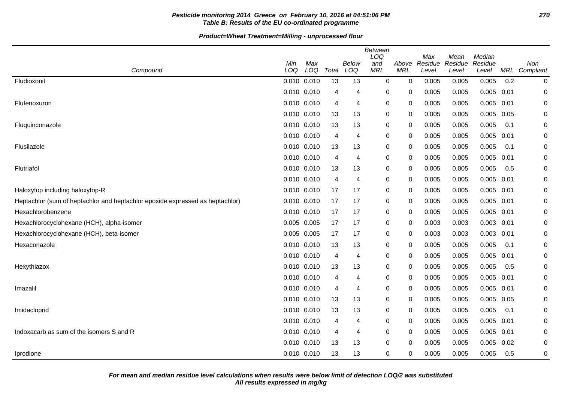# **Pesticide monitoring 2014 Greece on February 10, 2016 at 04:51:06 PM 270 Table B: Results of the EU co-ordinated programme**

|                                                                               | Min         | Max |       | Below          | <b>Between</b><br>LOQ<br>and | Above       | Max<br>Residue | Mean<br>Residue | Median<br>Residue |      | Non         |
|-------------------------------------------------------------------------------|-------------|-----|-------|----------------|------------------------------|-------------|----------------|-----------------|-------------------|------|-------------|
| Compound                                                                      | LOQ         | LOQ | Total | LOQ            | <b>MRL</b>                   | <b>MRL</b>  | Level          | Level           | Level             | MRL  | Compliant   |
| Fludioxonil                                                                   | 0.010 0.010 |     | 13    | 13             | 0                            | $\mathbf 0$ | 0.005          | 0.005           | 0.005             | 0.2  | 0           |
|                                                                               | 0.010 0.010 |     | 4     | 4              | 0                            | 0           | 0.005          | 0.005           | 0.005             | 0.01 | $\mathbf 0$ |
| Flufenoxuron                                                                  | 0.010 0.010 |     | 4     | 4              | $\pmb{0}$                    | 0           | 0.005          | 0.005           | 0.005             | 0.01 | $\mathbf 0$ |
|                                                                               | 0.010 0.010 |     | 13    | 13             | 0                            | 0           | 0.005          | 0.005           | 0.005             | 0.05 | 0           |
| Fluquinconazole                                                               | 0.010 0.010 |     | 13    | 13             | 0                            | 0           | 0.005          | 0.005           | 0.005             | 0.1  | $\mathbf 0$ |
|                                                                               | 0.010 0.010 |     | 4     | 4              | 0                            | 0           | 0.005          | 0.005           | 0.005             | 0.01 | 0           |
| Flusilazole                                                                   | 0.010 0.010 |     | 13    | 13             | 0                            | 0           | 0.005          | 0.005           | 0.005             | 0.1  | 0           |
|                                                                               | 0.010 0.010 |     | 4     | 4              | 0                            | 0           | 0.005          | 0.005           | 0.005             | 0.01 | 0           |
| Flutriafol                                                                    | 0.010 0.010 |     | 13    | 13             | 0                            | 0           | 0.005          | 0.005           | 0.005             | 0.5  | 0           |
|                                                                               | 0.010 0.010 |     | 4     | 4              | 0                            | 0           | 0.005          | 0.005           | 0.005             | 0.01 | 0           |
| Haloxyfop including haloxyfop-R                                               | 0.010 0.010 |     | 17    | 17             | 0                            | 0           | 0.005          | 0.005           | 0.005             | 0.01 | 0           |
| Heptachlor (sum of heptachlor and heptachlor epoxide expressed as heptachlor) | 0.010 0.010 |     | 17    | 17             | 0                            | 0           | 0.005          | 0.005           | $0.005$ 0.01      |      | 0           |
| Hexachlorobenzene                                                             | 0.010 0.010 |     | 17    | 17             | 0                            | 0           | 0.005          | 0.005           | 0.005             | 0.01 | 0           |
| Hexachlorocyclohexane (HCH), alpha-isomer                                     | 0.005 0.005 |     | 17    | 17             | 0                            | 0           | 0.003          | 0.003           | 0.003             | 0.01 | 0           |
| Hexachlorocyclohexane (HCH), beta-isomer                                      | 0.005 0.005 |     | 17    | 17             | 0                            | 0           | 0.003          | 0.003           | $0.003$ $0.01$    |      | 0           |
| Hexaconazole                                                                  | 0.010 0.010 |     | 13    | 13             | 0                            | $\Omega$    | 0.005          | 0.005           | 0.005             | 0.1  | 0           |
|                                                                               | 0.010 0.010 |     | 4     | 4              | 0                            | 0           | 0.005          | 0.005           | 0.005             | 0.01 | 0           |
| Hexythiazox                                                                   | 0.010 0.010 |     | 13    | 13             | 0                            | $\Omega$    | 0.005          | 0.005           | 0.005             | 0.5  | $\mathbf 0$ |
|                                                                               | 0.010 0.010 |     | 4     | 4              | 0                            | 0           | 0.005          | 0.005           | 0.005             | 0.01 | 0           |
| Imazalil                                                                      | 0.010 0.010 |     | 4     | $\overline{4}$ | $\pmb{0}$                    | 0           | 0.005          | 0.005           | 0.005             | 0.01 | 0           |
|                                                                               | 0.010 0.010 |     | 13    | 13             | 0                            | $\mathbf 0$ | 0.005          | 0.005           | 0.005             | 0.05 | 0           |
| Imidacloprid                                                                  | 0.010 0.010 |     | 13    | 13             | 0                            | 0           | 0.005          | 0.005           | 0.005             | 0.1  | $\mathbf 0$ |
|                                                                               | 0.010 0.010 |     | 4     | 4              | $\pmb{0}$                    | 0           | 0.005          | 0.005           | 0.005             | 0.01 | 0           |
| Indoxacarb as sum of the isomers S and R                                      | 0.010 0.010 |     | 4     | 4              | 0                            | 0           | 0.005          | 0.005           | 0.005             | 0.01 | 0           |
|                                                                               | 0.010 0.010 |     | 13    | 13             | 0                            | 0           | 0.005          | 0.005           | 0.005             | 0.02 | $\mathbf 0$ |
| Iprodione                                                                     | 0.010 0.010 |     | 13    | 13             | $\mathbf 0$                  | 0           | 0.005          | 0.005           | 0.005             | 0.5  | 0           |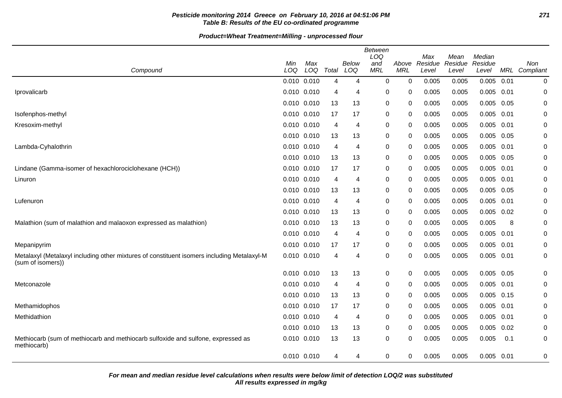# **Pesticide monitoring 2014 Greece on February 10, 2016 at 04:51:06 PM 271 Table B: Results of the EU co-ordinated programme**

|                                                                                                                 |             |            |                |              | <b>Between</b><br>LOQ |                     | Max              | Mean             | Median           |      |                      |
|-----------------------------------------------------------------------------------------------------------------|-------------|------------|----------------|--------------|-----------------------|---------------------|------------------|------------------|------------------|------|----------------------|
| Compound                                                                                                        | Min<br>LOQ  | Max<br>LOQ | Total          | Below<br>LOQ | and<br><b>MRL</b>     | Above<br><b>MRL</b> | Residue<br>Level | Residue<br>Level | Residue<br>Level |      | Non<br>MRL Compliant |
|                                                                                                                 | 0.010 0.010 |            | 4              | 4            | 0                     | $\mathbf 0$         | 0.005            | 0.005            | 0.005            | 0.01 | 0                    |
| Iprovalicarb                                                                                                    | 0.010 0.010 |            | 4              | 4            | 0                     | 0                   | 0.005            | 0.005            | 0.005            | 0.01 | 0                    |
|                                                                                                                 | 0.010 0.010 |            | 13             | 13           | 0                     | $\mathbf{0}$        | 0.005            | 0.005            | 0.005            | 0.05 | 0                    |
| Isofenphos-methyl                                                                                               | 0.010 0.010 |            | 17             | 17           | 0                     | 0                   | 0.005            | 0.005            | 0.005            | 0.01 | 0                    |
| Kresoxim-methyl                                                                                                 | 0.010 0.010 |            | $\overline{4}$ | 4            | 0                     | 0                   | 0.005            | 0.005            | 0.005            | 0.01 | 0                    |
|                                                                                                                 | 0.010 0.010 |            | 13             | 13           | 0                     | $\mathbf{0}$        | 0.005            | 0.005            | $0.005$ 0.05     |      | 0                    |
| Lambda-Cyhalothrin                                                                                              | 0.010 0.010 |            | 4              | 4            | 0                     | 0                   | 0.005            | 0.005            | 0.005            | 0.01 | 0                    |
|                                                                                                                 | 0.010 0.010 |            | 13             | 13           | 0                     | 0                   | 0.005            | 0.005            | $0.005$ 0.05     |      | 0                    |
| Lindane (Gamma-isomer of hexachlorociclohexane (HCH))                                                           | 0.010 0.010 |            | 17             | 17           | 0                     | $\mathbf{0}$        | 0.005            | 0.005            | $0.005$ 0.01     |      | 0                    |
| Linuron                                                                                                         | 0.010 0.010 |            | 4              | 4            | 0                     | 0                   | 0.005            | 0.005            | 0.005            | 0.01 | 0                    |
|                                                                                                                 | 0.010 0.010 |            | 13             | 13           | 0                     | 0                   | 0.005            | 0.005            | 0.005            | 0.05 | 0                    |
| Lufenuron                                                                                                       | 0.010 0.010 |            | $\overline{4}$ | 4            | 0                     | $\mathbf{0}$        | 0.005            | 0.005            | 0.005            | 0.01 | 0                    |
|                                                                                                                 | 0.010 0.010 |            | 13             | 13           | 0                     | 0                   | 0.005            | 0.005            | $0.005$ 0.02     |      | 0                    |
| Malathion (sum of malathion and malaoxon expressed as malathion)                                                | 0.010 0.010 |            | 13             | 13           | 0                     | 0                   | 0.005            | 0.005            | 0.005            | 8    | 0                    |
|                                                                                                                 | 0.010 0.010 |            | $\overline{4}$ | 4            | 0                     | $\mathbf{0}$        | 0.005            | 0.005            | $0.005$ $0.01$   |      | 0                    |
| Mepanipyrim                                                                                                     | 0.010 0.010 |            | 17             | 17           | 0                     | 0                   | 0.005            | 0.005            | 0.005            | 0.01 | 0                    |
| Metalaxyl (Metalaxyl including other mixtures of constituent isomers including Metalaxyl-M<br>(sum of isomers)) | 0.010 0.010 |            | $\overline{4}$ | 4            | 0                     | 0                   | 0.005            | 0.005            | 0.005            | 0.01 | 0                    |
|                                                                                                                 | 0.010 0.010 |            | 13             | 13           | 0                     | 0                   | 0.005            | 0.005            | 0.005            | 0.05 | 0                    |
| Metconazole                                                                                                     | 0.010 0.010 |            | 4              | 4            | 0                     | 0                   | 0.005            | 0.005            | 0.005            | 0.01 | 0                    |
|                                                                                                                 | 0.010 0.010 |            | 13             | 13           | 0                     | 0                   | 0.005            | 0.005            | 0.005            | 0.15 | 0                    |
| Methamidophos                                                                                                   | 0.010 0.010 |            | 17             | 17           | 0                     | 0                   | 0.005            | 0.005            | $0.005$ 0.01     |      | 0                    |
| Methidathion                                                                                                    | 0.010 0.010 |            | $\overline{4}$ | 4            | 0                     | 0                   | 0.005            | 0.005            | 0.005            | 0.01 | 0                    |
|                                                                                                                 | 0.010 0.010 |            | 13             | 13           | 0                     | 0                   | 0.005            | 0.005            | 0.005            | 0.02 | 0                    |
| Methiocarb (sum of methiocarb and methiocarb sulfoxide and sulfone, expressed as<br>methiocarb)                 | 0.010 0.010 |            | 13             | 13           | 0                     | 0                   | 0.005            | 0.005            | 0.005            | 0.1  | 0                    |
|                                                                                                                 | 0.010 0.010 |            | 4              | 4            | 0                     | 0                   | 0.005            | 0.005            | $0.005$ 0.01     |      | 0                    |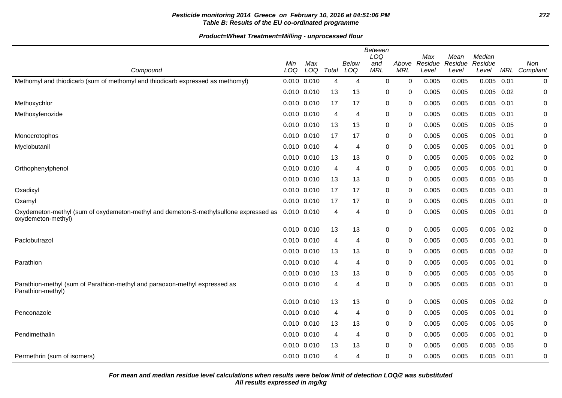# **Pesticide monitoring 2014 Greece on February 10, 2016 at 04:51:06 PM 272 Table B: Results of the EU co-ordinated programme**

**Product=Wheat Treatment=Milling - unprocessed flour**

|                                                                                                            |                 |            |       |              | <b>Between</b><br>LOQ |                     | Max              | Mean             | Median           |      |                  |
|------------------------------------------------------------------------------------------------------------|-----------------|------------|-------|--------------|-----------------------|---------------------|------------------|------------------|------------------|------|------------------|
| Compound                                                                                                   | Min<br>LOQ      | Max<br>LOQ | Total | Below<br>LOQ | and<br><b>MRL</b>     | Above<br><b>MRL</b> | Residue<br>Level | Residue<br>Level | Residue<br>Level | MRL  | Non<br>Compliant |
| Methomyl and thiodicarb (sum of methomyl and thiodicarb expressed as methomyl)                             | $0.010$ $0.010$ |            | 4     | 4            | $\mathbf 0$           | 0                   | 0.005            | 0.005            | 0.005            | 0.01 | 0                |
|                                                                                                            | 0.010 0.010     |            | 13    | 13           | 0                     | 0                   | 0.005            | 0.005            | 0.005            | 0.02 | 0                |
| Methoxychlor                                                                                               | 0.010 0.010     |            | 17    | 17           | 0                     | 0                   | 0.005            | 0.005            | 0.005            | 0.01 | 0                |
| Methoxyfenozide                                                                                            | $0.010$ $0.010$ |            | 4     | 4            | 0                     | 0                   | 0.005            | 0.005            | 0.005            | 0.01 | 0                |
|                                                                                                            | 0.010 0.010     |            | 13    | 13           | 0                     | 0                   | 0.005            | 0.005            | 0.005            | 0.05 | 0                |
| Monocrotophos                                                                                              | 0.010 0.010     |            | 17    | 17           | 0                     | $\mathbf{0}$        | 0.005            | 0.005            | $0.005$ 0.01     |      | 0                |
| Myclobutanil                                                                                               | 0.010 0.010     |            | 4     | 4            | $\pmb{0}$             | 0                   | 0.005            | 0.005            | 0.005            | 0.01 | $\pmb{0}$        |
|                                                                                                            | 0.010 0.010     |            | 13    | 13           | 0                     | 0                   | 0.005            | 0.005            | $0.005$ 0.02     |      | $\pmb{0}$        |
| Orthophenylphenol                                                                                          | $0.010$ $0.010$ |            | 4     | 4            | 0                     | 0                   | 0.005            | 0.005            | 0.005            | 0.01 | 0                |
|                                                                                                            | 0.010 0.010     |            | 13    | 13           | 0                     | 0                   | 0.005            | 0.005            | 0.005            | 0.05 | $\pmb{0}$        |
| Oxadixyl                                                                                                   | 0.010 0.010     |            | 17    | 17           | 0                     | 0                   | 0.005            | 0.005            | $0.005$ 0.01     |      | 0                |
| Oxamyl                                                                                                     | 0.010 0.010     |            | 17    | 17           | 0                     | $\mathbf{0}$        | 0.005            | 0.005            | 0.005            | 0.01 | 0                |
| Oxydemeton-methyl (sum of oxydemeton-methyl and demeton-S-methylsulfone expressed as<br>oxydemeton-methyl) | 0.010 0.010     |            | 4     | 4            | 0                     | 0                   | 0.005            | 0.005            | 0.005 0.01       |      | $\pmb{0}$        |
|                                                                                                            | 0.010 0.010     |            | 13    | 13           | 0                     | $\mathbf 0$         | 0.005            | 0.005            | 0.005            | 0.02 | 0                |
| Paclobutrazol                                                                                              | 0.010 0.010     |            | 4     | 4            | 0                     | 0                   | 0.005            | 0.005            | 0.005            | 0.01 | 0                |
|                                                                                                            | $0.010$ $0.010$ |            | 13    | 13           | 0                     | 0                   | 0.005            | 0.005            | 0.005            | 0.02 | 0                |
| Parathion                                                                                                  | $0.010$ $0.010$ |            | 4     | 4            | 0                     | 0                   | 0.005            | 0.005            | $0.005$ 0.01     |      | 0                |
|                                                                                                            | $0.010$ $0.010$ |            | 13    | 13           | 0                     | 0                   | 0.005            | 0.005            | 0.005            | 0.05 | $\pmb{0}$        |
| Parathion-methyl (sum of Parathion-methyl and paraoxon-methyl expressed as<br>Parathion-methyl)            | 0.010 0.010     |            | 4     | 4            | $\pmb{0}$             | 0                   | 0.005            | 0.005            | $0.005$ 0.01     |      | 0                |
|                                                                                                            | 0.010 0.010     |            | 13    | 13           | 0                     | 0                   | 0.005            | 0.005            | 0.005            | 0.02 | $\pmb{0}$        |
| Penconazole                                                                                                | 0.010 0.010     |            | 4     | 4            | 0                     | 0                   | 0.005            | 0.005            | $0.005$ 0.01     |      | 0                |
|                                                                                                            | 0.010 0.010     |            | 13    | 13           | 0                     | $\mathbf{0}$        | 0.005            | 0.005            | 0.005            | 0.05 | 0                |
| Pendimethalin                                                                                              | 0.010 0.010     |            | 4     | 4            | 0                     | 0                   | 0.005            | 0.005            | 0.005            | 0.01 | 0                |
|                                                                                                            | $0.010$ $0.010$ |            | 13    | 13           | 0                     | 0                   | 0.005            | 0.005            | 0.005            | 0.05 | $\pmb{0}$        |
| Permethrin (sum of isomers)                                                                                | 0.010 0.010     |            | 4     | 4            | $\mathbf 0$           | 0                   | 0.005            | 0.005            | 0.005            | 0.01 | $\pmb{0}$        |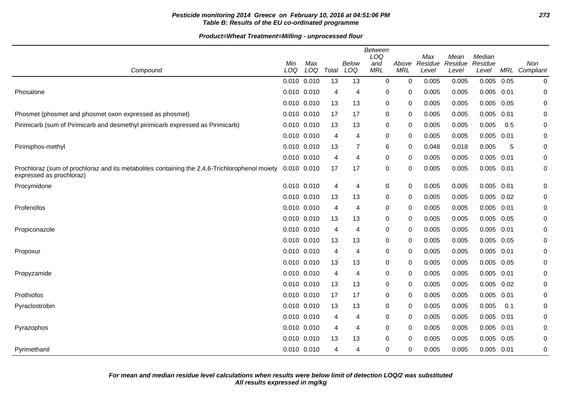# **Pesticide monitoring 2014 Greece on February 10, 2016 at 04:51:06 PM 273 Table B: Results of the EU co-ordinated programme**

| Compound                                                                                                                  | Min<br>LOQ      | Max<br>LOQ | Total | Below<br>LOQ | <b>Between</b><br>LOQ<br>and<br><b>MRL</b> | Above<br><b>MRL</b> | Max<br>Residue<br>Level | Mean<br>Residue<br>Level | Median<br>Residue<br>Level |      | Non<br>MRL Compliant |
|---------------------------------------------------------------------------------------------------------------------------|-----------------|------------|-------|--------------|--------------------------------------------|---------------------|-------------------------|--------------------------|----------------------------|------|----------------------|
|                                                                                                                           | $0.010$ $0.010$ |            | 13    | 13           | $\mathbf 0$                                | $\mathbf 0$         | 0.005                   | 0.005                    | 0.005                      | 0.05 | 0                    |
| Phosalone                                                                                                                 | 0.010 0.010     |            | 4     | 4            | 0                                          | 0                   | 0.005                   | 0.005                    | $0.005$ 0.01               |      | 0                    |
|                                                                                                                           | 0.010 0.010     |            | 13    | 13           | 0                                          | 0                   | 0.005                   | 0.005                    | 0.005                      | 0.05 | 0                    |
| Phosmet (phosmet and phosmet oxon expressed as phosmet)                                                                   | 0.010 0.010     |            | 17    | 17           | 0                                          | 0                   | 0.005                   | 0.005                    | 0.005                      | 0.01 | 0                    |
| Pirimicarb (sum of Pirimicarb and desmethyl pirimicarb expressed as Pirimicarb)                                           | 0.010 0.010     |            | 13    | 13           | 0                                          | 0                   | 0.005                   | 0.005                    | 0.005                      | 0.5  | 0                    |
|                                                                                                                           | 0.010 0.010     |            | 4     | 4            | 0                                          | 0                   | 0.005                   | 0.005                    | 0.005                      | 0.01 | 0                    |
| Pirimiphos-methyl                                                                                                         | 0.010 0.010     |            | 13    | 7            | 6                                          | 0                   | 0.048                   | 0.018                    | 0.005                      | 5    | 0                    |
|                                                                                                                           | 0.010 0.010     |            | 4     | 4            | 0                                          | 0                   | 0.005                   | 0.005                    | $0.005$ 0.01               |      | 0                    |
| Prochloraz (sum of prochloraz and its metabolites containing the 2,4,6-Trichlorophenol moiety<br>expressed as prochloraz) | $0.010$ $0.010$ |            | 17    | 17           | 0                                          | 0                   | 0.005                   | 0.005                    | 0.005                      | 0.01 | 0                    |
| Procymidone                                                                                                               | 0.010 0.010     |            | 4     | 4            | 0                                          | 0                   | 0.005                   | 0.005                    | 0.005                      | 0.01 | 0                    |
|                                                                                                                           | 0.010 0.010     |            | 13    | 13           | 0                                          | 0                   | 0.005                   | 0.005                    | 0.005                      | 0.02 | 0                    |
| Profenofos                                                                                                                | 0.010 0.010     |            | 4     | 4            | 0                                          | 0                   | 0.005                   | 0.005                    | 0.005                      | 0.01 | 0                    |
|                                                                                                                           | 0.010 0.010     |            | 13    | 13           | 0                                          | 0                   | 0.005                   | 0.005                    | 0.005                      | 0.05 | 0                    |
| Propiconazole                                                                                                             | 0.010 0.010     |            | 4     | 4            | 0                                          | $\mathbf 0$         | 0.005                   | 0.005                    | 0.005                      | 0.01 | 0                    |
|                                                                                                                           | 0.010 0.010     |            | 13    | 13           | 0                                          | 0                   | 0.005                   | 0.005                    | $0.005$ 0.05               |      | 0                    |
| Propoxur                                                                                                                  | 0.010 0.010     |            | 4     | 4            | 0                                          | $\mathbf 0$         | 0.005                   | 0.005                    | 0.005                      | 0.01 | 0                    |
|                                                                                                                           | 0.010 0.010     |            | 13    | 13           | 0                                          | 0                   | 0.005                   | 0.005                    | $0.005$ 0.05               |      | 0                    |
| Propyzamide                                                                                                               | $0.010$ $0.010$ |            | 4     | 4            | 0                                          | 0                   | 0.005                   | 0.005                    | 0.005                      | 0.01 | 0                    |
|                                                                                                                           | 0.010 0.010     |            | 13    | 13           | 0                                          | 0                   | 0.005                   | 0.005                    | 0.005                      | 0.02 | 0                    |
| Prothiofos                                                                                                                | 0.010 0.010     |            | 17    | 17           | 0                                          | 0                   | 0.005                   | 0.005                    | 0.005                      | 0.01 | 0                    |
| Pyraclostrobin                                                                                                            | 0.010 0.010     |            | 13    | 13           | 0                                          | 0                   | 0.005                   | 0.005                    | 0.005                      | 0.1  | 0                    |
|                                                                                                                           | 0.010 0.010     |            | 4     | 4            | 0                                          | 0                   | 0.005                   | 0.005                    | 0.005                      | 0.01 | 0                    |
| Pyrazophos                                                                                                                | 0.010 0.010     |            | 4     | 4            | 0                                          | 0                   | 0.005                   | 0.005                    | $0.005$ 0.01               |      | 0                    |
|                                                                                                                           | $0.010$ $0.010$ |            | 13    | 13           | 0                                          | 0                   | 0.005                   | 0.005                    | 0.005                      | 0.05 | 0                    |
| Pyrimethanil                                                                                                              | 0.010 0.010     |            | 4     | 4            | 0                                          | 0                   | 0.005                   | 0.005                    | $0.005$ 0.01               |      | $\boldsymbol{0}$     |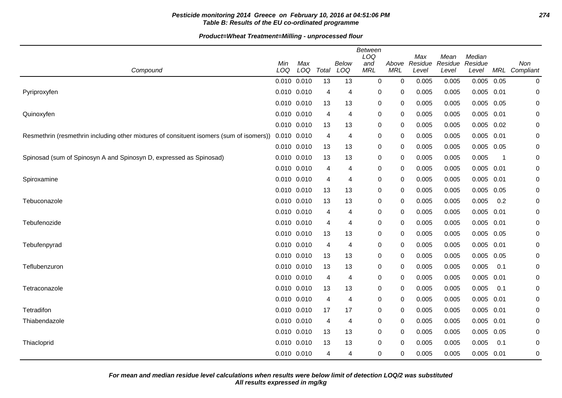# **Pesticide monitoring 2014 Greece on February 10, 2016 at 04:51:06 PM 274 Table B: Results of the EU co-ordinated programme**

| Compound                                                                                | Min<br>LOQ  | Max<br>LOQ | Total          | <b>Below</b><br>LOQ | Between<br>LOQ<br>and<br><b>MRL</b> | Above<br><b>MRL</b> | Max<br>Residue<br>Level | Mean<br>Residue<br>Level | Median<br>Residue<br>Level | MRL  | Non<br>Compliant |
|-----------------------------------------------------------------------------------------|-------------|------------|----------------|---------------------|-------------------------------------|---------------------|-------------------------|--------------------------|----------------------------|------|------------------|
|                                                                                         | 0.010 0.010 |            | 13             | 13                  | 0                                   | 0                   | 0.005                   | 0.005                    | 0.005                      | 0.05 | 0                |
| Pyriproxyfen                                                                            | 0.010 0.010 |            | 4              | 4                   | 0                                   | 0                   | 0.005                   | 0.005                    | $0.005$ 0.01               |      | 0                |
|                                                                                         | 0.010 0.010 |            | 13             | 13                  | 0                                   | 0                   | 0.005                   | 0.005                    | 0.005                      | 0.05 | 0                |
| Quinoxyfen                                                                              | 0.010 0.010 |            | 4              | 4                   | 0                                   | 0                   | 0.005                   | 0.005                    | $0.005$ 0.01               |      | 0                |
|                                                                                         | 0.010 0.010 |            | 13             | 13                  | 0                                   | 0                   | 0.005                   | 0.005                    | $0.005$ 0.02               |      | 0                |
| Resmethrin (resmethrin including other mixtures of consituent isomers (sum of isomers)) | 0.010 0.010 |            | 4              | 4                   | 0                                   | 0                   | 0.005                   | 0.005                    | $0.005$ 0.01               |      | 0                |
|                                                                                         | 0.010 0.010 |            | 13             | 13                  | 0                                   | 0                   | 0.005                   | 0.005                    | $0.005$ 0.05               |      | 0                |
| Spinosad (sum of Spinosyn A and Spinosyn D, expressed as Spinosad)                      | 0.010 0.010 |            | 13             | 13                  | 0                                   | 0                   | 0.005                   | 0.005                    | 0.005                      | -1   | 0                |
|                                                                                         | 0.010 0.010 |            | 4              | 4                   | 0                                   | 0                   | 0.005                   | 0.005                    | $0.005$ 0.01               |      | 0                |
| Spiroxamine                                                                             | 0.010 0.010 |            | 4              | 4                   | 0                                   | 0                   | 0.005                   | 0.005                    | $0.005$ 0.01               |      | 0                |
|                                                                                         | 0.010 0.010 |            | 13             | 13                  | 0                                   | 0                   | 0.005                   | 0.005                    | 0.005                      | 0.05 | 0                |
| Tebuconazole                                                                            | 0.010 0.010 |            | 13             | 13                  | 0                                   | 0                   | 0.005                   | 0.005                    | 0.005                      | 0.2  | 0                |
|                                                                                         | 0.010 0.010 |            | 4              | 4                   | 0                                   | 0                   | 0.005                   | 0.005                    | 0.005                      | 0.01 | 0                |
| Tebufenozide                                                                            | 0.010 0.010 |            | 4              | 4                   | 0                                   | 0                   | 0.005                   | 0.005                    | $0.005$ 0.01               |      | 0                |
|                                                                                         | 0.010 0.010 |            | 13             | 13                  | 0                                   | 0                   | 0.005                   | 0.005                    | 0.005 0.05                 |      | 0                |
| Tebufenpyrad                                                                            | 0.010 0.010 |            | 4              | 4                   | 0                                   | 0                   | 0.005                   | 0.005                    | 0.005                      | 0.01 | 0                |
|                                                                                         | 0.010 0.010 |            | 13             | 13                  | 0                                   | 0                   | 0.005                   | 0.005                    | $0.005$ 0.05               |      | 0                |
| Teflubenzuron                                                                           | 0.010 0.010 |            | 13             | 13                  | 0                                   | 0                   | 0.005                   | 0.005                    | 0.005                      | 0.1  | 0                |
|                                                                                         | 0.010 0.010 |            | 4              | 4                   | 0                                   | 0                   | 0.005                   | 0.005                    | 0.005                      | 0.01 | 0                |
| Tetraconazole                                                                           | 0.010 0.010 |            | 13             | 13                  | 0                                   | 0                   | 0.005                   | 0.005                    | 0.005                      | 0.1  | 0                |
|                                                                                         | 0.010 0.010 |            | $\overline{4}$ | 4                   | 0                                   | 0                   | 0.005                   | 0.005                    | 0.005                      | 0.01 | 0                |
| Tetradifon                                                                              | 0.010 0.010 |            | 17             | 17                  | 0                                   | 0                   | 0.005                   | 0.005                    | $0.005$ 0.01               |      | 0                |
| Thiabendazole                                                                           | 0.010 0.010 |            | 4              | 4                   | 0                                   | 0                   | 0.005                   | 0.005                    | 0.005                      | 0.01 | 0                |
|                                                                                         | 0.010 0.010 |            | 13             | 13                  | 0                                   | 0                   | 0.005                   | 0.005                    | 0.005                      | 0.05 | 0                |
| Thiacloprid                                                                             | 0.010 0.010 |            | 13             | 13                  | 0                                   | 0                   | 0.005                   | 0.005                    | 0.005                      | 0.1  | 0                |
|                                                                                         | 0.010 0.010 |            | 4              | 4                   | $\mathbf 0$                         | 0                   | 0.005                   | 0.005                    | $0.005$ 0.01               |      | 0                |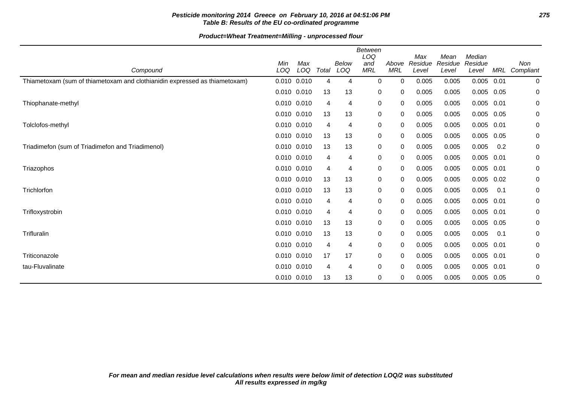# **Pesticide monitoring 2014 Greece on February 10, 2016 at 04:51:06 PM 275 Table B: Results of the EU co-ordinated programme**

| Compound                                                                   | Min<br>LOQ      | Max<br>LOQ | Total | Below<br>LOQ | Between<br>LOQ<br>and<br><b>MRL</b> | Above<br><b>MRL</b> | Max<br>Residue<br>Level | Mean<br>Residue<br>Level | Median<br>Residue<br>Level | <b>MRL</b> | Non<br>Compliant |
|----------------------------------------------------------------------------|-----------------|------------|-------|--------------|-------------------------------------|---------------------|-------------------------|--------------------------|----------------------------|------------|------------------|
| Thiametoxam (sum of thiametoxam and clothianidin expressed as thiametoxam) | 0.010 0.010     |            | 4     | 4            | 0                                   | $\Omega$            | 0.005                   | 0.005                    | $0.005$ 0.01               |            | 0                |
|                                                                            | 0.010 0.010     |            | 13    | 13           | 0                                   | 0                   | 0.005                   | 0.005                    | 0.005                      | 0.05       | 0                |
| Thiophanate-methyl                                                         | $0.010$ $0.010$ |            | 4     | 4            | $\mathbf 0$                         | 0                   | 0.005                   | 0.005                    | $0.005$ 0.01               |            | 0                |
|                                                                            | 0.010 0.010     |            | 13    | 13           | 0                                   | 0                   | 0.005                   | 0.005                    | $0.005$ 0.05               |            | 0                |
| Tolclofos-methyl                                                           | $0.010$ $0.010$ |            | 4     | 4            | 0                                   | 0                   | 0.005                   | 0.005                    | $0.005$ 0.01               |            | 0                |
|                                                                            | 0.010 0.010     |            | 13    | 13           | 0                                   | 0                   | 0.005                   | 0.005                    | $0.005$ 0.05               |            | 0                |
| Triadimefon (sum of Triadimefon and Triadimenol)                           | 0.010 0.010     |            | 13    | 13           | 0                                   | 0                   | 0.005                   | 0.005                    | 0.005                      | 0.2        | 0                |
|                                                                            | $0.010$ $0.010$ |            | 4     | 4            | 0                                   | $\mathbf 0$         | 0.005                   | 0.005                    | $0.005$ 0.01               |            | 0                |
| Triazophos                                                                 | 0.010 0.010     |            | 4     | 4            | 0                                   | 0                   | 0.005                   | 0.005                    | 0.005                      | 0.01       | 0                |
|                                                                            | 0.010 0.010     |            | 13    | 13           | 0                                   | 0                   | 0.005                   | 0.005                    | $0.005$ 0.02               |            | 0                |
| Trichlorfon                                                                | $0.010$ $0.010$ |            | 13    | 13           | 0                                   | 0                   | 0.005                   | 0.005                    | 0.005                      | 0.1        | 0                |
|                                                                            | 0.010 0.010     |            | 4     | 4            | 0                                   | 0                   | 0.005                   | 0.005                    | $0.005$ 0.01               |            | 0                |
| Trifloxystrobin                                                            | 0.010 0.010     |            | 4     | 4            | 0                                   | 0                   | 0.005                   | 0.005                    | $0.005$ 0.01               |            | 0                |
|                                                                            | 0.010 0.010     |            | 13    | 13           | 0                                   | 0                   | 0.005                   | 0.005                    | 0.005                      | 0.05       | 0                |
| Trifluralin                                                                | 0.010 0.010     |            | 13    | 13           | 0                                   | 0                   | 0.005                   | 0.005                    | 0.005                      | 0.1        | 0                |
|                                                                            | 0.010 0.010     |            | 4     | 4            | 0                                   | 0                   | 0.005                   | 0.005                    | 0.005                      | 0.01       | 0                |
| Triticonazole                                                              | 0.010 0.010     |            | 17    | 17           | 0                                   | 0                   | 0.005                   | 0.005                    | 0.005 0.01                 |            | 0                |
| tau-Fluvalinate                                                            | 0.010 0.010     |            | 4     | 4            | 0                                   | 0                   | 0.005                   | 0.005                    | 0.005                      | 0.01       | 0                |
|                                                                            | 0.010 0.010     |            | 13    | 13           | 0                                   | 0                   | 0.005                   | 0.005                    | $0.005$ 0.05               |            | 0                |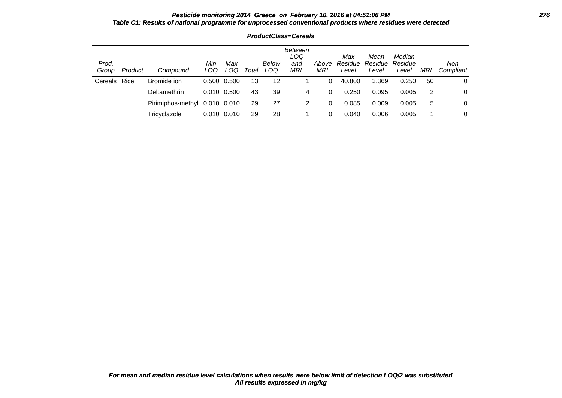### **Pesticide monitoring 2014 Greece on February 10, 2016 at 04:51:06 PM 276 Table C1: Results of national programme for unprocessed conventional products where residues were detected**

| Prod.<br>Group | Product | Compound          | Min<br>LOQ      | Max<br>LOQ | Total | Below<br>LOQ | Between<br>LOQ<br>and<br>MRL | Above<br>MRL | Max<br>Residue<br>Level | Mean<br>Residue<br>Level | Median<br>Residue<br>Level | MRL | Non<br>Compliant |
|----------------|---------|-------------------|-----------------|------------|-------|--------------|------------------------------|--------------|-------------------------|--------------------------|----------------------------|-----|------------------|
| Cereals Rice   |         | Bromide ion       | 0.500 0.500     |            | 13    | 12           |                              | 0            | 40.800                  | 3.369                    | 0.250                      | 50  | 0                |
|                |         | Deltamethrin      | 0.010 0.500     |            | 43    | 39           | 4                            | 0            | 0.250                   | 0.095                    | 0.005                      | 2   | 0                |
|                |         | Pirimiphos-methyl | 0.010 0.010     |            | 29    | 27           | 2                            | 0            | 0.085                   | 0.009                    | 0.005                      | 5   | 0                |
|                |         | Tricyclazole      | $0.010$ $0.010$ |            | 29    | 28           |                              | 0            | 0.040                   | 0.006                    | 0.005                      |     | 0                |

**ProductClass=Cereals**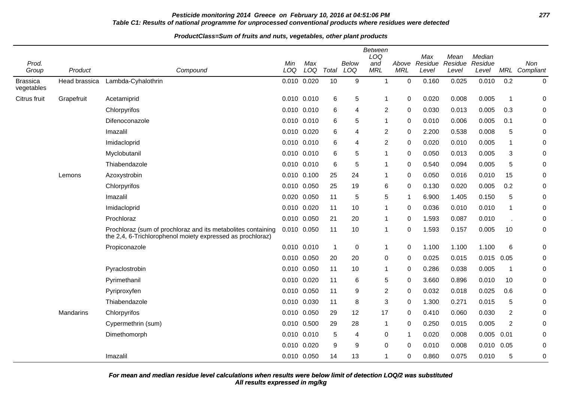# **Pesticide monitoring 2014 Greece on February 10, 2016 at 04:51:06 PM 277 Table C1: Results of national programme for unprocessed conventional products where residues were detected**

#### **ProductClass=Sum of fruits and nuts, vegetables, other plant products**

|                               |               |                                                                                                                            |             |       |                |              | <b>Between</b><br>LOQ |             | Max     | Mean    | Median       |                |                  |
|-------------------------------|---------------|----------------------------------------------------------------------------------------------------------------------------|-------------|-------|----------------|--------------|-----------------------|-------------|---------|---------|--------------|----------------|------------------|
| Prod.                         |               |                                                                                                                            | Min         | Max   |                | <b>Below</b> | and                   | Above       | Residue | Residue | Residue      |                | Non              |
| Group                         | Product       | Compound                                                                                                                   | LOQ         | LOQ   | Total          | LOQ          | <b>MRL</b>            | <b>MRL</b>  | Level   | Level   | Level        | MRL            | Compliant        |
| <b>Brassica</b><br>vegetables | Head brassica | Lambda-Cyhalothrin                                                                                                         | 0.010 0.020 |       | 10             | 9            | 1                     | $\pmb{0}$   | 0.160   | 0.025   | 0.010        | 0.2            | 0                |
| Citrus fruit                  | Grapefruit    | Acetamiprid                                                                                                                | 0.010 0.010 |       | 6              | 5            | -1                    | 0           | 0.020   | 0.008   | 0.005        | $\mathbf 1$    | 0                |
|                               |               | Chlorpyrifos                                                                                                               | 0.010 0.010 |       | 6              | 4            | 2                     | $\mathbf 0$ | 0.030   | 0.013   | 0.005        | 0.3            | 0                |
|                               |               | Difenoconazole                                                                                                             | 0.010       | 0.010 | 6              | 5            | $\mathbf 1$           | $\mathbf 0$ | 0.010   | 0.006   | 0.005        | 0.1            | 0                |
|                               |               | Imazalil                                                                                                                   | 0.010 0.020 |       | 6              | 4            | 2                     | 0           | 2.200   | 0.538   | 0.008        | 5              | 0                |
|                               |               | Imidacloprid                                                                                                               | 0.010       | 0.010 | 6              | 4            | $\overline{2}$        | $\mathbf 0$ | 0.020   | 0.010   | 0.005        | $\mathbf 1$    | 0                |
|                               |               | Myclobutanil                                                                                                               | 0.010 0.010 |       | 6              | 5            | -1                    | 0           | 0.050   | 0.013   | 0.005        | 3              | 0                |
|                               |               | Thiabendazole                                                                                                              | 0.010 0.010 |       | 6              | 5            | -1                    | 0           | 0.540   | 0.094   | 0.005        | 5              | 0                |
|                               | Lemons        | Azoxystrobin                                                                                                               | 0.010       | 0.100 | 25             | 24           | 1                     | $\mathbf 0$ | 0.050   | 0.016   | 0.010        | 15             | 0                |
|                               |               | Chlorpyrifos                                                                                                               | 0.010 0.050 |       | 25             | 19           | 6                     | 0           | 0.130   | 0.020   | 0.005        | 0.2            | 0                |
|                               |               | Imazalil                                                                                                                   | 0.020       | 0.050 | 11             | 5            | 5                     | $\mathbf 1$ | 6.900   | 1.405   | 0.150        | 5              | 0                |
|                               |               | Imidacloprid                                                                                                               | 0.010 0.020 |       | 11             | 10           | 1                     | $\Omega$    | 0.036   | 0.010   | 0.010        | $\mathbf{1}$   | 0                |
|                               |               | Prochloraz                                                                                                                 | 0.010 0.050 |       | 21             | 20           | 1                     | 0           | 1.593   | 0.087   | 0.010        |                | 0                |
|                               |               | Prochloraz (sum of prochloraz and its metabolites containing<br>the 2,4, 6-Trichlorophenol moiety expressed as prochloraz) | 0.010 0.050 |       | 11             | 10           | 1                     | 0           | 1.593   | 0.157   | 0.005        | 10             | 0                |
|                               |               | Propiconazole                                                                                                              | 0.010 0.010 |       | $\overline{1}$ | 0            | 1                     | 0           | 1.100   | 1.100   | 1.100        | 6              | 0                |
|                               |               |                                                                                                                            | 0.010 0.050 |       | 20             | 20           | 0                     | $\mathbf 0$ | 0.025   | 0.015   | $0.015$ 0.05 |                | 0                |
|                               |               | Pyraclostrobin                                                                                                             | 0.010       | 0.050 | 11             | 10           | 1                     | $\mathbf 0$ | 0.286   | 0.038   | 0.005        | $\mathbf 1$    | 0                |
|                               |               | Pyrimethanil                                                                                                               | 0.010 0.020 |       | 11             | 6            | 5                     | 0           | 3.660   | 0.896   | 0.010        | 10             | 0                |
|                               |               | Pyriproxyfen                                                                                                               | 0.010       | 0.050 | 11             | 9            | $\overline{2}$        | $\mathbf 0$ | 0.032   | 0.018   | 0.025        | 0.6            | 0                |
|                               |               | Thiabendazole                                                                                                              | 0.010 0.030 |       | 11             | 8            | 3                     | 0           | 1.300   | 0.271   | 0.015        | 5              | 0                |
|                               | Mandarins     | Chlorpyrifos                                                                                                               | 0.010       | 0.050 | 29             | 12           | 17                    | 0           | 0.410   | 0.060   | 0.030        | $\overline{c}$ | 0                |
|                               |               | Cypermethrin (sum)                                                                                                         | 0.010       | 0.500 | 29             | 28           | $\overline{1}$        | 0           | 0.250   | 0.015   | 0.005        | $\overline{2}$ | 0                |
|                               |               | Dimethomorph                                                                                                               | 0.010 0.010 |       | 5              | 4            | 0                     | -1          | 0.020   | 0.008   | 0.005        | 0.01           | 0                |
|                               |               |                                                                                                                            | 0.010       | 0.020 | 9              | 9            | 0                     | $\Omega$    | 0.010   | 0.008   | 0.010        | 0.05           | 0                |
|                               |               | Imazalil                                                                                                                   | 0.010 0.050 |       | 14             | 13           | 1                     | 0           | 0.860   | 0.075   | 0.010        | 5              | $\boldsymbol{0}$ |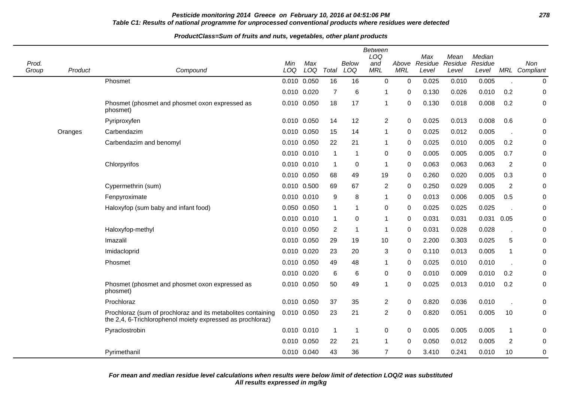# **Pesticide monitoring 2014 Greece on February 10, 2016 at 04:51:06 PM 278 Table C1: Results of national programme for unprocessed conventional products where residues were detected**

#### **ProductClass=Sum of fruits and nuts, vegetables, other plant products**

| Prod.<br>Group | Product | Compound                                                                                                                   | Min<br>LOQ | Max<br>LOQ      | Total          | <b>Below</b><br>LOQ | <b>Between</b><br>LOQ<br>and<br><b>MRL</b> | Above<br><b>MRL</b> | Max<br>Residue<br>Level | Mean<br>Residue<br>Level | Median<br>Residue<br>Level |                | Non<br>MRL Compliant |
|----------------|---------|----------------------------------------------------------------------------------------------------------------------------|------------|-----------------|----------------|---------------------|--------------------------------------------|---------------------|-------------------------|--------------------------|----------------------------|----------------|----------------------|
|                |         | Phosmet                                                                                                                    |            | 0.010 0.050     | 16             | 16                  | $\mathbf 0$                                | $\mathbf 0$         | 0.025                   | 0.010                    | 0.005                      |                | $\mathbf 0$          |
|                |         |                                                                                                                            |            | 0.010 0.020     | $\overline{7}$ | 6                   | -1                                         | $\Omega$            | 0.130                   | 0.026                    | 0.010                      | 0.2            | 0                    |
|                |         | Phosmet (phosmet and phosmet oxon expressed as<br>phosmet)                                                                 |            | 0.010 0.050     | 18             | 17                  | $\mathbf 1$                                | 0                   | 0.130                   | 0.018                    | 0.008                      | 0.2            | 0                    |
|                |         | Pyriproxyfen                                                                                                               |            | 0.010 0.050     | 14             | 12                  | $\overline{2}$                             | $\mathbf 0$         | 0.025                   | 0.013                    | 0.008                      | 0.6            | 0                    |
|                | Oranges | Carbendazim                                                                                                                |            | 0.010 0.050     | 15             | 14                  | $\mathbf 1$                                | 0                   | 0.025                   | 0.012                    | 0.005                      |                | 0                    |
|                |         | Carbendazim and benomyl                                                                                                    |            | 0.010 0.050     | 22             | 21                  | -1                                         | 0                   | 0.025                   | 0.010                    | 0.005                      | 0.2            | 0                    |
|                |         |                                                                                                                            |            | 0.010 0.010     | $\mathbf{1}$   | $\mathbf{1}$        | 0                                          | 0                   | 0.005                   | 0.005                    | 0.005                      | 0.7            | 0                    |
|                |         | Chlorpyrifos                                                                                                               |            | 0.010 0.010     | $\overline{1}$ | 0                   | $\overline{\mathbf{1}}$                    | 0                   | 0.063                   | 0.063                    | 0.063                      | 2              | $\pmb{0}$            |
|                |         |                                                                                                                            |            | 0.010 0.050     | 68             | 49                  | 19                                         | 0                   | 0.260                   | 0.020                    | 0.005                      | 0.3            | 0                    |
|                |         | Cypermethrin (sum)                                                                                                         | 0.010      | 0.500           | 69             | 67                  | $\overline{2}$                             | $\mathbf 0$         | 0.250                   | 0.029                    | 0.005                      | $\overline{2}$ | $\pmb{0}$            |
|                |         | Fenpyroximate                                                                                                              |            | $0.010$ $0.010$ | 9              | 8                   | $\overline{\mathbf{1}}$                    | $\mathbf 0$         | 0.013                   | 0.006                    | 0.005                      | 0.5            | $\mathbf 0$          |
|                |         | Haloxyfop (sum baby and infant food)                                                                                       |            | 0.050 0.050     | $\mathbf{1}$   | 1                   | 0                                          | 0                   | 0.025                   | 0.025                    | 0.025                      |                | 0                    |
|                |         |                                                                                                                            |            | 0.010 0.010     | $\mathbf{1}$   | 0                   | $\overline{\mathbf{1}}$                    | 0                   | 0.031                   | 0.031                    | 0.031                      | 0.05           | 0                    |
|                |         | Haloxyfop-methyl                                                                                                           |            | 0.010 0.050     | 2              | $\mathbf{1}$        | -1                                         | 0                   | 0.031                   | 0.028                    | 0.028                      |                | 0                    |
|                |         | Imazalil                                                                                                                   |            | 0.010 0.050     | 29             | 19                  | 10                                         | 0                   | 2.200                   | 0.303                    | 0.025                      | 5              | 0                    |
|                |         | Imidacloprid                                                                                                               |            | 0.010 0.020     | 23             | 20                  | 3                                          | $\Omega$            | 0.110                   | 0.013                    | 0.005                      | $\mathbf{1}$   | 0                    |
|                |         | Phosmet                                                                                                                    |            | 0.010 0.050     | 49             | 48                  | $\mathbf 1$                                | 0                   | 0.025                   | 0.010                    | 0.010                      |                | 0                    |
|                |         |                                                                                                                            |            | 0.010 0.020     | 6              | 6                   | 0                                          | $\mathbf 0$         | 0.010                   | 0.009                    | 0.010                      | 0.2            | 0                    |
|                |         | Phosmet (phosmet and phosmet oxon expressed as<br>phosmet)                                                                 |            | 0.010 0.050     | 50             | 49                  | $\overline{\mathbf{1}}$                    | 0                   | 0.025                   | 0.013                    | 0.010                      | 0.2            | 0                    |
|                |         | Prochloraz                                                                                                                 |            | 0.010 0.050     | 37             | 35                  | $\overline{2}$                             | $\Omega$            | 0.820                   | 0.036                    | 0.010                      |                | 0                    |
|                |         | Prochloraz (sum of prochloraz and its metabolites containing<br>the 2,4, 6-Trichlorophenol moiety expressed as prochloraz) |            | 0.010 0.050     | 23             | 21                  | $\overline{2}$                             | 0                   | 0.820                   | 0.051                    | 0.005                      | 10             | 0                    |
|                |         | Pyraclostrobin                                                                                                             |            | 0.010 0.010     | $\overline{1}$ | $\overline{1}$      | 0                                          | $\mathbf 0$         | 0.005                   | 0.005                    | 0.005                      | $\mathbf{1}$   | 0                    |
|                |         |                                                                                                                            |            | 0.010 0.050     | 22             | 21                  | $\overline{\mathbf{1}}$                    | $\Omega$            | 0.050                   | 0.012                    | 0.005                      | $\overline{c}$ | $\pmb{0}$            |
|                |         | Pyrimethanil                                                                                                               |            | 0.010 0.040     | 43             | 36                  | $\overline{7}$                             | 0                   | 3.410                   | 0.241                    | 0.010                      | 10             | $\pmb{0}$            |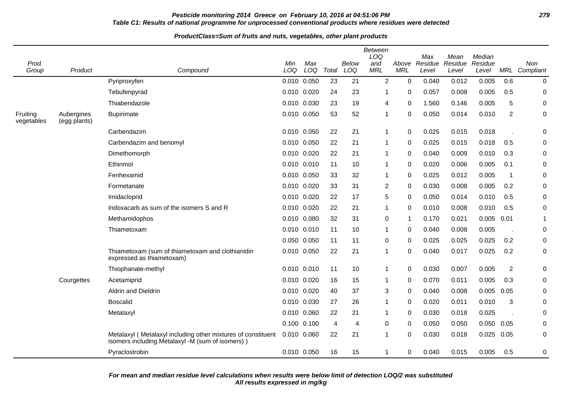# **Pesticide monitoring 2014 Greece on February 10, 2016 at 04:51:06 PM 279 Table C1: Results of national programme for unprocessed conventional products where residues were detected**

#### **ProductClass=Sum of fruits and nuts, vegetables, other plant products**

| Prod.<br>Group         | Product                    | Compound                                                                                                         | Min<br>LOQ  | Max<br>LOQ | Total | <b>Below</b><br>LOQ | <b>Between</b><br>LOQ<br>and<br><b>MRL</b> | Above<br><b>MRL</b> | Max<br>Residue<br>Level | Mean<br>Residue<br>Level | Median<br>Residue<br>Level |                | Non<br>MRL Compliant |
|------------------------|----------------------------|------------------------------------------------------------------------------------------------------------------|-------------|------------|-------|---------------------|--------------------------------------------|---------------------|-------------------------|--------------------------|----------------------------|----------------|----------------------|
|                        |                            | Pyriproxyfen                                                                                                     | 0.010 0.050 |            | 23    | 21                  | $\overline{2}$                             | $\mathbf 0$         | 0.040                   | 0.012                    | 0.005                      | 0.6            | 0                    |
|                        |                            | Tebufenpyrad                                                                                                     | 0.010 0.020 |            | 24    | 23                  | 1                                          | 0                   | 0.057                   | 0.008                    | 0.005                      | 0.5            | 0                    |
|                        |                            | Thiabendazole                                                                                                    | 0.010 0.030 |            | 23    | 19                  | 4                                          | 0                   | 1.560                   | 0.146                    | 0.005                      | 5              | 0                    |
| Fruiting<br>vegetables | Aubergines<br>(egg plants) | <b>Bupirimate</b>                                                                                                | 0.010 0.050 |            | 53    | 52                  | 1                                          | $\mathbf 0$         | 0.050                   | 0.014                    | 0.010                      | $\overline{2}$ | 0                    |
|                        |                            | Carbendazim                                                                                                      | 0.010 0.050 |            | 22    | 21                  | 1                                          | $\mathbf 0$         | 0.025                   | 0.015                    | 0.018                      |                | 0                    |
|                        |                            | Carbendazim and benomyl                                                                                          | 0.010 0.050 |            | 22    | 21                  | 1                                          | 0                   | 0.025                   | 0.015                    | 0.018                      | 0.5            | $\Omega$             |
|                        |                            | Dimethomorph                                                                                                     | 0.010 0.020 |            | 22    | 21                  | 1                                          | 0                   | 0.040                   | 0.009                    | 0.010                      | 0.3            | 0                    |
|                        |                            | Ethirimol                                                                                                        | 0.010 0.010 |            | 11    | 10                  | 1                                          | 0                   | 0.020                   | 0.006                    | 0.005                      | 0.1            | 0                    |
|                        |                            | Fenhexamid                                                                                                       | 0.010 0.050 |            | 33    | 32                  | 1                                          | 0                   | 0.025                   | 0.012                    | 0.005                      | $\mathbf 1$    | 0                    |
|                        |                            | Formetanate                                                                                                      | 0.010 0.020 |            | 33    | 31                  | 2                                          | $\Omega$            | 0.030                   | 0.008                    | 0.005                      | 0.2            | 0                    |
|                        |                            | Imidacloprid                                                                                                     | 0.010 0.020 |            | 22    | 17                  | 5                                          | 0                   | 0.050                   | 0.014                    | 0.010                      | 0.5            | 0                    |
|                        |                            | Indoxacarb as sum of the isomers S and R                                                                         | 0.010 0.020 |            | 22    | 21                  | 1                                          | 0                   | 0.010                   | 0.008                    | 0.010                      | 0.5            | 0                    |
|                        |                            | Methamidophos                                                                                                    | 0.010 0.080 |            | 32    | 31                  | 0                                          | -1                  | 0.170                   | 0.021                    | 0.005                      | 0.01           | 1                    |
|                        |                            | Thiametoxam                                                                                                      | 0.010 0.010 |            | 11    | 10                  | 1                                          | 0                   | 0.040                   | 0.008                    | 0.005                      |                | 0                    |
|                        |                            |                                                                                                                  | 0.050 0.050 |            | 11    | 11                  | 0                                          | 0                   | 0.025                   | 0.025                    | 0.025                      | 0.2            | 0                    |
|                        |                            | Thiametoxam (sum of thiametoxam and clothianidin<br>expressed as thiametoxam)                                    | 0.010 0.050 |            | 22    | 21                  | 1                                          | 0                   | 0.040                   | 0.017                    | 0.025                      | 0.2            | 0                    |
|                        |                            | Thiophanate-methyl                                                                                               | 0.010 0.010 |            | 11    | 10                  | 1                                          | $\mathbf 0$         | 0.030                   | 0.007                    | 0.005                      | $\overline{2}$ | 0                    |
|                        | Courgettes                 | Acetamiprid                                                                                                      | 0.010 0.020 |            | 16    | 15                  | 1                                          | 0                   | 0.070                   | 0.011                    | 0.005                      | 0.3            | 0                    |
|                        |                            | Aldrin and Dieldrin                                                                                              | 0.010 0.020 |            | 40    | 37                  | 3                                          | 0                   | 0.040                   | 0.008                    | 0.005                      | 0.05           | 0                    |
|                        |                            | <b>Boscalid</b>                                                                                                  | 0.010 0.030 |            | 27    | 26                  | 1                                          | $\Omega$            | 0.020                   | 0.011                    | 0.010                      | 3              | 0                    |
|                        |                            | Metalaxyl                                                                                                        | 0.010 0.060 |            | 22    | 21                  | 1                                          | 0                   | 0.030                   | 0.018                    | 0.025                      |                | 0                    |
|                        |                            |                                                                                                                  | 0.100 0.100 |            | 4     | 4                   | 0                                          | $\mathbf 0$         | 0.050                   | 0.050                    | 0.050 0.05                 |                | 0                    |
|                        |                            | Metalaxyl (Metalaxyl including other mixtures of constituent<br>isomers including Metalaxyl -M (sum of isomers)) | 0.010 0.060 |            | 22    | 21                  | 1                                          | $\Omega$            | 0.030                   | 0.018                    | 0.025                      | 0.05           | 0                    |
|                        |                            | Pyraclostrobin                                                                                                   | 0.010 0.050 |            | 16    | 15                  | 1                                          | 0                   | 0.040                   | 0.015                    | 0.005                      | 0.5            | 0                    |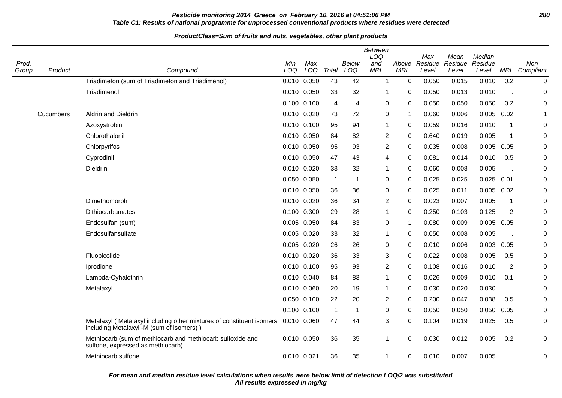# **Pesticide monitoring 2014 Greece on February 10, 2016 at 04:51:06 PM 280 Table C1: Results of national programme for unprocessed conventional products where residues were detected**

# **ProductClass=Sum of fruits and nuts, vegetables, other plant products**

|                |           |                                                                                                                  |             |             |                         |              | <b>Between</b><br>LOQ |             | Max                    | Mean             | Median           |                |                             |
|----------------|-----------|------------------------------------------------------------------------------------------------------------------|-------------|-------------|-------------------------|--------------|-----------------------|-------------|------------------------|------------------|------------------|----------------|-----------------------------|
| Prod.<br>Group | Product   | Compound                                                                                                         | Min<br>LOQ  | Max<br>LOQ  | Total                   | Below<br>LOQ | and<br><b>MRL</b>     | <b>MRL</b>  | Above Residue<br>Level | Residue<br>Level | Residue<br>Level |                | <b>Non</b><br>MRL Compliant |
|                |           | Triadimefon (sum of Triadimefon and Triadimenol)                                                                 | 0.010 0.050 |             | 43                      | 42           | $\mathbf{1}$          | 0           | 0.050                  | 0.015            | 0.010            | 0.2            | 0                           |
|                |           | Triadimenol                                                                                                      | 0.010       | 0.050       | 33                      | 32           | 1                     | 0           | 0.050                  | 0.013            | 0.010            |                | 0                           |
|                |           |                                                                                                                  | 0.100 0.100 |             | 4                       | 4            | 0                     | 0           | 0.050                  | 0.050            | 0.050            | 0.2            | 0                           |
|                | Cucumbers | <b>Aldrin and Dieldrin</b>                                                                                       | 0.010       | 0.020       | 73                      | 72           | 0                     | 1           | 0.060                  | 0.006            | 0.005            | 0.02           |                             |
|                |           | Azoxystrobin                                                                                                     | 0.010       | 0.100       | 95                      | 94           | $\mathbf{1}$          | 0           | 0.059                  | 0.016            | 0.010            | 1              | 0                           |
|                |           | Chlorothalonil                                                                                                   | 0.010 0.050 |             | 84                      | 82           | $\overline{2}$        | 0           | 0.640                  | 0.019            | 0.005            | -1             | 0                           |
|                |           | Chlorpyrifos                                                                                                     | 0.010       | 0.050       | 95                      | 93           | $\overline{2}$        | $\Omega$    | 0.035                  | 0.008            | 0.005            | 0.05           | 0                           |
|                |           | Cyprodinil                                                                                                       | 0.010       | 0.050       | 47                      | 43           | 4                     | 0           | 0.081                  | 0.014            | 0.010            | 0.5            | 0                           |
|                |           | Dieldrin                                                                                                         | 0.010       | 0.020       | 33                      | 32           | 1                     | $\Omega$    | 0.060                  | 0.008            | 0.005            |                | 0                           |
|                |           |                                                                                                                  | 0.050       | 0.050       | $\overline{\mathbf{1}}$ | -1           | 0                     | 0           | 0.025                  | 0.025            | $0.025$ 0.01     |                | $\pmb{0}$                   |
|                |           |                                                                                                                  | 0.010       | 0.050       | 36                      | 36           | 0                     | 0           | 0.025                  | 0.011            | 0.005            | 0.02           | $\pmb{0}$                   |
|                |           | Dimethomorph                                                                                                     | 0.010       | 0.020       | 36                      | 34           | $\overline{2}$        | 0           | 0.023                  | 0.007            | 0.005            | $\mathbf{1}$   | 0                           |
|                |           | Dithiocarbamates                                                                                                 | 0.100       | 0.300       | 29                      | 28           | 1                     | 0           | 0.250                  | 0.103            | 0.125            | $\overline{2}$ | 0                           |
|                |           | Endosulfan (sum)                                                                                                 | 0.005       | 0.050       | 84                      | 83           | 0                     | $\mathbf 1$ | 0.080                  | 0.009            | 0.005            | 0.05           | $\mathbf 0$                 |
|                |           | Endosulfansulfate                                                                                                | 0.005 0.020 |             | 33                      | 32           | 1                     | 0           | 0.050                  | 0.008            | 0.005            |                | 0                           |
|                |           |                                                                                                                  | 0.005 0.020 |             | 26                      | 26           | 0                     | 0           | 0.010                  | 0.006            | $0.003$ $0.05$   |                | 0                           |
|                |           | Fluopicolide                                                                                                     | 0.010 0.020 |             | 36                      | 33           | 3                     | 0           | 0.022                  | 0.008            | 0.005            | 0.5            | 0                           |
|                |           | Iprodione                                                                                                        | 0.010       | 0.100       | 95                      | 93           | $\overline{c}$        | 0           | 0.108                  | 0.016            | 0.010            | $\overline{2}$ | 0                           |
|                |           | Lambda-Cyhalothrin                                                                                               | 0.010       | 0.040       | 84                      | 83           | 1                     | 0           | 0.026                  | 0.009            | 0.010            | 0.1            | 0                           |
|                |           | Metalaxyl                                                                                                        | 0.010       | 0.060       | 20                      | 19           | 1                     | 0           | 0.030                  | 0.020            | 0.030            |                | 0                           |
|                |           |                                                                                                                  | 0.050       | 0.100       | 22                      | 20           | 2                     | 0           | 0.200                  | 0.047            | 0.038            | 0.5            | 0                           |
|                |           |                                                                                                                  | 0.100 0.100 |             | $\overline{1}$          | -1           | 0                     | 0           | 0.050                  | 0.050            | 0.050            | 0.05           | 0                           |
|                |           | Metalaxyl (Metalaxyl including other mixtures of constituent isomers<br>including Metalaxyl -M (sum of isomers)) | 0.010       | 0.060       | 47                      | 44           | 3                     | 0           | 0.104                  | 0.019            | 0.025            | 0.5            | 0                           |
|                |           | Methiocarb (sum of methiocarb and methiocarb sulfoxide and<br>sulfone, expressed as methiocarb)                  |             | 0.010 0.050 | 36                      | 35           | 1                     | $\Omega$    | 0.030                  | 0.012            | 0.005            | 0.2            | 0                           |
|                |           | Methiocarb sulfone                                                                                               | 0.010 0.021 |             | 36                      | 35           | $\mathbf{1}$          | 0           | 0.010                  | 0.007            | 0.005            |                | 0                           |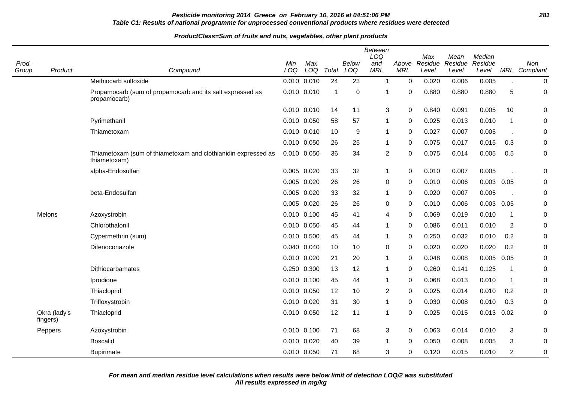# **Pesticide monitoring 2014 Greece on February 10, 2016 at 04:51:06 PM 281 Table C1: Results of national programme for unprocessed conventional products where residues were detected**

#### **ProductClass=Sum of fruits and nuts, vegetables, other plant products**

| Prod.<br>Group | Product                  | Compound                                                                      | Min<br>LOQ  | Max<br>LOQ  | Total       | <b>Below</b><br>LOQ | <b>Between</b><br>LOQ<br>and<br><b>MRL</b> | Above<br><b>MRL</b> | Max<br>Residue<br>Level | Mean<br>Residue<br>Level | Median<br>Residue<br>Level |                | Non<br>MRL Compliant |
|----------------|--------------------------|-------------------------------------------------------------------------------|-------------|-------------|-------------|---------------------|--------------------------------------------|---------------------|-------------------------|--------------------------|----------------------------|----------------|----------------------|
|                |                          | Methiocarb sulfoxide                                                          | 0.010 0.010 |             | 24          | 23                  | $\mathbf{1}$                               | $\Omega$            | 0.020                   | 0.006                    | 0.005                      |                | $\pmb{0}$            |
|                |                          | Propamocarb (sum of propamocarb and its salt expressed as<br>propamocarb)     | 0.010 0.010 |             | $\mathbf 1$ | $\mathbf 0$         | $\mathbf{1}$                               | 0                   | 0.880                   | 0.880                    | 0.880                      | 5              | $\boldsymbol{0}$     |
|                |                          |                                                                               | 0.010 0.010 |             | 14          | 11                  | 3                                          | $\mathbf 0$         | 0.840                   | 0.091                    | 0.005                      | 10             | 0                    |
|                |                          | Pyrimethanil                                                                  | 0.010 0.050 |             | 58          | 57                  | $\mathbf{1}$                               | 0                   | 0.025                   | 0.013                    | 0.010                      | $\overline{1}$ | 0                    |
|                |                          | Thiametoxam                                                                   | 0.010 0.010 |             | 10          | 9                   | $\mathbf{1}$                               | $\mathbf 0$         | 0.027                   | 0.007                    | 0.005                      | $\sim$         | 0                    |
|                |                          |                                                                               | 0.010 0.050 |             | 26          | 25                  | $\mathbf{1}$                               | 0                   | 0.075                   | 0.017                    | 0.015                      | 0.3            | 0                    |
|                |                          | Thiametoxam (sum of thiametoxam and clothianidin expressed as<br>thiametoxam) | 0.010 0.050 |             | 36          | 34                  | $\overline{c}$                             | $\mathbf 0$         | 0.075                   | 0.014                    | 0.005                      | 0.5            | 0                    |
|                |                          | alpha-Endosulfan                                                              | 0.005 0.020 |             | 33          | 32                  | 1                                          | $\mathbf 0$         | 0.010                   | 0.007                    | 0.005                      |                | 0                    |
|                |                          |                                                                               | 0.005 0.020 |             | 26          | 26                  | $\mathbf 0$                                | 0                   | 0.010                   | 0.006                    | $0.003$ 0.05               |                | 0                    |
|                |                          | beta-Endosulfan                                                               | 0.005 0.020 |             | 33          | 32                  | $\mathbf{1}$                               | $\Omega$            | 0.020                   | 0.007                    | 0.005                      |                | 0                    |
|                |                          |                                                                               | 0.005 0.020 |             | 26          | 26                  | $\mathbf 0$                                | 0                   | 0.010                   | 0.006                    | $0.003$ 0.05               |                | $\boldsymbol{0}$     |
|                | Melons                   | Azoxystrobin                                                                  | 0.010 0.100 |             | 45          | 41                  | 4                                          | $\mathbf 0$         | 0.069                   | 0.019                    | 0.010                      | $\mathbf 1$    | 0                    |
|                |                          | Chlorothalonil                                                                | 0.010 0.050 |             | 45          | 44                  | $\mathbf{1}$                               | $\mathbf 0$         | 0.086                   | 0.011                    | 0.010                      | $\overline{2}$ | 0                    |
|                |                          | Cypermethrin (sum)                                                            | 0.010 0.500 |             | 45          | 44                  | $\mathbf{1}$                               | 0                   | 0.250                   | 0.032                    | 0.010                      | 0.2            | 0                    |
|                |                          | Difenoconazole                                                                | 0.040 0.040 |             | 10          | 10                  | 0                                          | 0                   | 0.020                   | 0.020                    | 0.020                      | 0.2            | 0                    |
|                |                          |                                                                               | 0.010 0.020 |             | 21          | 20                  | $\mathbf{1}$                               | 0                   | 0.048                   | 0.008                    | 0.005                      | 0.05           | 0                    |
|                |                          | Dithiocarbamates                                                              | 0.250 0.300 |             | 13          | 12                  | $\mathbf{1}$                               | 0                   | 0.260                   | 0.141                    | 0.125                      | $\mathbf{1}$   | 0                    |
|                |                          | Iprodione                                                                     | 0.010 0.100 |             | 45          | 44                  | $\mathbf{1}$                               | 0                   | 0.068                   | 0.013                    | 0.010                      | $\overline{1}$ | 0                    |
|                |                          | Thiacloprid                                                                   | 0.010 0.050 |             | 12          | 10                  | $\overline{2}$                             | $\mathbf 0$         | 0.025                   | 0.014                    | 0.010                      | 0.2            | $\boldsymbol{0}$     |
|                |                          | Trifloxystrobin                                                               | 0.010 0.020 |             | 31          | 30                  | $\mathbf{1}$                               | $\mathbf 0$         | 0.030                   | 0.008                    | 0.010                      | 0.3            | 0                    |
|                | Okra (lady's<br>fingers) | Thiacloprid                                                                   | 0.010 0.050 |             | 12          | 11                  | $\mathbf{1}$                               | 0                   | 0.025                   | 0.015                    | 0.013                      | 0.02           | $\boldsymbol{0}$     |
|                | Peppers                  | Azoxystrobin                                                                  | 0.010 0.100 |             | 71          | 68                  | 3                                          | $\mathbf 0$         | 0.063                   | 0.014                    | 0.010                      | 3              | 0                    |
|                |                          | <b>Boscalid</b>                                                               | 0.010 0.020 |             | 40          | 39                  | $\mathbf{1}$                               | 0                   | 0.050                   | 0.008                    | 0.005                      | 3              | 0                    |
|                |                          | <b>Bupirimate</b>                                                             |             | 0.010 0.050 | 71          | 68                  | 3                                          | 0                   | 0.120                   | 0.015                    | 0.010                      | $\overline{c}$ | $\boldsymbol{0}$     |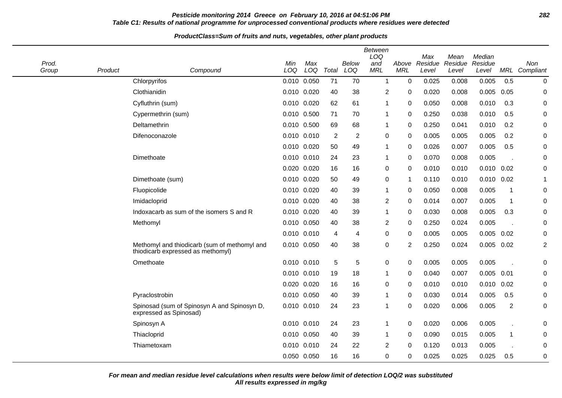## **Pesticide monitoring 2014 Greece on February 10, 2016 at 04:51:06 PM 282 Table C1: Results of national programme for unprocessed conventional products where residues were detected**

#### **ProductClass=Sum of fruits and nuts, vegetables, other plant products**

| Prod.<br>Group | Product | Compound                                                                          | Min<br>LOQ      | Max<br>LOQ | Total            | Below<br>LOQ   | <b>Between</b><br>LOQ<br>and<br><b>MRL</b> | Above<br>MRL   | Max<br>Residue<br>Level | Mean<br>Residue<br>Level | Median<br>Residue<br>Level | MRL         | Non<br>Compliant |
|----------------|---------|-----------------------------------------------------------------------------------|-----------------|------------|------------------|----------------|--------------------------------------------|----------------|-------------------------|--------------------------|----------------------------|-------------|------------------|
|                |         | Chlorpyrifos                                                                      | 0.010 0.050     |            | 71               | 70             | $\overline{1}$                             | $\mathbf 0$    | 0.025                   | 0.008                    | 0.005                      | 0.5         | $\mathbf 0$      |
|                |         | Clothianidin                                                                      | 0.010 0.020     |            | 40               | 38             | 2                                          | 0              | 0.020                   | 0.008                    | 0.005                      | 0.05        | 0                |
|                |         | Cyfluthrin (sum)                                                                  | 0.010 0.020     |            | 62               | 61             | -1                                         | 0              | 0.050                   | 0.008                    | 0.010                      | 0.3         | 0                |
|                |         | Cypermethrin (sum)                                                                | 0.010 0.500     |            | 71               | 70             | -1                                         | 0              | 0.250                   | 0.038                    | 0.010                      | 0.5         | 0                |
|                |         | Deltamethrin                                                                      | 0.010 0.500     |            | 69               | 68             | -1                                         | 0              | 0.250                   | 0.041                    | 0.010                      | 0.2         | 0                |
|                |         | Difenoconazole                                                                    | $0.010$ $0.010$ |            | $\boldsymbol{2}$ | $\overline{2}$ | $\Omega$                                   | 0              | 0.005                   | 0.005                    | 0.005                      | 0.2         | 0                |
|                |         |                                                                                   | 0.010 0.020     |            | 50               | 49             | -1                                         | 0              | 0.026                   | 0.007                    | 0.005                      | 0.5         | 0                |
|                |         | Dimethoate                                                                        | 0.010 0.010     |            | 24               | 23             | -1                                         | $\mathbf 0$    | 0.070                   | 0.008                    | 0.005                      |             | $\mathbf 0$      |
|                |         |                                                                                   | 0.020 0.020     |            | 16               | 16             | 0                                          | 0              | 0.010                   | 0.010                    | 0.010                      | 0.02        | 0                |
|                |         | Dimethoate (sum)                                                                  | 0.010 0.020     |            | 50               | 49             | $\mathbf 0$                                | $\mathbf 1$    | 0.110                   | 0.010                    | 0.010                      | 0.02        | -1               |
|                |         | Fluopicolide                                                                      | 0.010 0.020     |            | 40               | 39             | -1                                         | 0              | 0.050                   | 0.008                    | 0.005                      | -1          | 0                |
|                |         | Imidacloprid                                                                      | 0.010 0.020     |            | 40               | 38             | 2                                          | 0              | 0.014                   | 0.007                    | 0.005                      | $\mathbf 1$ | $\mathbf 0$      |
|                |         | Indoxacarb as sum of the isomers S and R                                          | 0.010 0.020     |            | 40               | 39             | 1                                          | 0              | 0.030                   | 0.008                    | 0.005                      | 0.3         | 0                |
|                |         | Methomyl                                                                          | 0.010 0.050     |            | 40               | 38             | $\overline{2}$                             | 0              | 0.250                   | 0.024                    | 0.005                      |             | 0                |
|                |         |                                                                                   | 0.010 0.010     |            | 4                | 4              | 0                                          | 0              | 0.005                   | 0.005                    | 0.005                      | 0.02        | 0                |
|                |         | Methomyl and thiodicarb (sum of methomyl and<br>thiodicarb expressed as methomyl) | 0.010 0.050     |            | 40               | 38             | 0                                          | $\overline{2}$ | 0.250                   | 0.024                    | 0.005                      | 0.02        | $\overline{c}$   |
|                |         | Omethoate                                                                         | 0.010 0.010     |            | 5                | 5              | 0                                          | 0              | 0.005                   | 0.005                    | 0.005                      |             | 0                |
|                |         |                                                                                   | 0.010 0.010     |            | 19               | 18             | -1                                         | 0              | 0.040                   | 0.007                    | 0.005                      | 0.01        | 0                |
|                |         |                                                                                   | 0.020 0.020     |            | 16               | 16             | 0                                          | 0              | 0.010                   | 0.010                    | 0.010                      | 0.02        | 0                |
|                |         | Pyraclostrobin                                                                    | 0.010 0.050     |            | 40               | 39             | $\mathbf{1}$                               | 0              | 0.030                   | 0.014                    | 0.005                      | 0.5         | $\mathbf 0$      |
|                |         | Spinosad (sum of Spinosyn A and Spinosyn D,<br>expressed as Spinosad)             | 0.010 0.010     |            | 24               | 23             | $\mathbf 1$                                | $\mathbf 0$    | 0.020                   | 0.006                    | 0.005                      | 2           | $\mathbf 0$      |
|                |         | Spinosyn A                                                                        | 0.010 0.010     |            | 24               | 23             | -1                                         | $\mathbf 0$    | 0.020                   | 0.006                    | 0.005                      |             | 0                |
|                |         | Thiacloprid                                                                       | 0.010 0.050     |            | 40               | 39             | -1                                         | $\mathbf 0$    | 0.090                   | 0.015                    | 0.005                      | $\mathbf 1$ | $\mathbf 0$      |
|                |         | Thiametoxam                                                                       | 0.010 0.010     |            | 24               | 22             | 2                                          | 0              | 0.120                   | 0.013                    | 0.005                      |             | 0                |
|                |         |                                                                                   | 0.050 0.050     |            | 16               | 16             | 0                                          | $\mathbf 0$    | 0.025                   | 0.025                    | 0.025                      | 0.5         | 0                |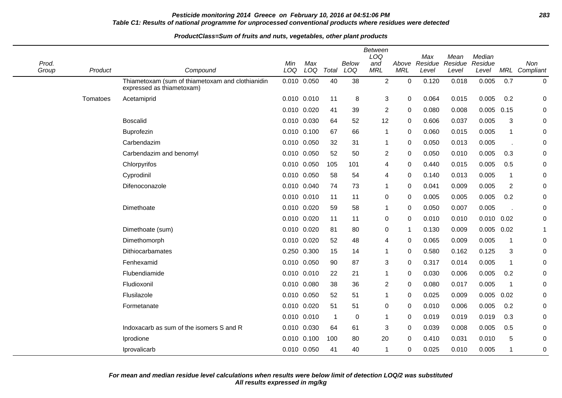# **Pesticide monitoring 2014 Greece on February 10, 2016 at 04:51:06 PM 283 Table C1: Results of national programme for unprocessed conventional products where residues were detected**

#### **ProductClass=Sum of fruits and nuts, vegetables, other plant products**

| Prod.<br>Group | Product  | Compound                                                                      | Min<br>LOQ  | Max<br>LOQ | Total          | Below<br>LOQ | Between<br>LOQ<br>and<br><b>MRL</b> | Above<br><b>MRL</b>     | Max<br>Residue<br>Level | Mean<br>Residue<br>Level | Median<br>Residue<br>Level |             | Non<br><b>MRL</b> Compliant |
|----------------|----------|-------------------------------------------------------------------------------|-------------|------------|----------------|--------------|-------------------------------------|-------------------------|-------------------------|--------------------------|----------------------------|-------------|-----------------------------|
|                |          | Thiametoxam (sum of thiametoxam and clothianidin<br>expressed as thiametoxam) | 0.010 0.050 |            | 40             | 38           | $\overline{2}$                      | $\mathbf 0$             | 0.120                   | 0.018                    | 0.005                      | 0.7         | $\mathbf 0$                 |
|                | Tomatoes | Acetamiprid                                                                   | 0.010 0.010 |            | 11             | 8            | $\mathbf{3}$                        | $\mathbf 0$             | 0.064                   | 0.015                    | 0.005                      | 0.2         | $\mathbf 0$                 |
|                |          |                                                                               | 0.010 0.020 |            | 41             | 39           | $\overline{2}$                      | 0                       | 0.080                   | 0.008                    | 0.005                      | 0.15        | $\mathbf 0$                 |
|                |          | <b>Boscalid</b>                                                               | 0.010 0.030 |            | 64             | 52           | 12                                  | 0                       | 0.606                   | 0.037                    | 0.005                      | 3           | 0                           |
|                |          | Buprofezin                                                                    | 0.010 0.100 |            | 67             | 66           | 1                                   | $\mathbf 0$             | 0.060                   | 0.015                    | 0.005                      | 1           | $\mathbf 0$                 |
|                |          | Carbendazim                                                                   | 0.010 0.050 |            | 32             | 31           | 1                                   | $\mathbf 0$             | 0.050                   | 0.013                    | 0.005                      |             | $\mathbf 0$                 |
|                |          | Carbendazim and benomyl                                                       | 0.010 0.050 |            | 52             | 50           | $\overline{2}$                      | 0                       | 0.050                   | 0.010                    | 0.005                      | 0.3         | $\mathbf 0$                 |
|                |          | Chlorpyrifos                                                                  | 0.010 0.050 |            | 105            | 101          | 4                                   | 0                       | 0.440                   | 0.015                    | 0.005                      | 0.5         | 0                           |
|                |          | Cyprodinil                                                                    | 0.010 0.050 |            | 58             | 54           | 4                                   | 0                       | 0.140                   | 0.013                    | 0.005                      | 1           | 0                           |
|                |          | Difenoconazole                                                                | 0.010 0.040 |            | 74             | 73           | 1                                   | 0                       | 0.041                   | 0.009                    | 0.005                      | 2           | 0                           |
|                |          |                                                                               | 0.010 0.010 |            | -11            | 11           | $\mathbf 0$                         | 0                       | 0.005                   | 0.005                    | 0.005                      | 0.2         | $\mathbf 0$                 |
|                |          | Dimethoate                                                                    | 0.010 0.020 |            | 59             | 58           | 1                                   | 0                       | 0.050                   | 0.007                    | 0.005                      |             | $\mathbf 0$                 |
|                |          |                                                                               | 0.010 0.020 |            | 11             | 11           | $\mathbf 0$                         | 0                       | 0.010                   | 0.010                    | 0.010                      | 0.02        | $\mathbf 0$                 |
|                |          | Dimethoate (sum)                                                              | 0.010 0.020 |            | 81             | 80           | $\mathbf 0$                         | $\overline{\mathbf{1}}$ | 0.130                   | 0.009                    | 0.005                      | 0.02        | 1                           |
|                |          | Dimethomorph                                                                  | 0.010 0.020 |            | 52             | 48           | 4                                   | 0                       | 0.065                   | 0.009                    | 0.005                      | -1          | $\mathbf 0$                 |
|                |          | Dithiocarbamates                                                              | 0.250 0.300 |            | 15             | 14           | 1                                   | 0                       | 0.580                   | 0.162                    | 0.125                      | 3           | $\mathbf 0$                 |
|                |          | Fenhexamid                                                                    | 0.010 0.050 |            | 90             | 87           | 3                                   | 0                       | 0.317                   | 0.014                    | 0.005                      | $\mathbf 1$ | $\mathbf 0$                 |
|                |          | Flubendiamide                                                                 | 0.010 0.010 |            | 22             | 21           | 1                                   | $\mathbf 0$             | 0.030                   | 0.006                    | 0.005                      | 0.2         | $\mathbf 0$                 |
|                |          | Fludioxonil                                                                   | 0.010 0.080 |            | 38             | 36           | $\overline{2}$                      | 0                       | 0.080                   | 0.017                    | 0.005                      | -1          | 0                           |
|                |          | Flusilazole                                                                   | 0.010 0.050 |            | 52             | 51           | 1                                   | $\mathbf 0$             | 0.025                   | 0.009                    | 0.005                      | 0.02        | $\mathbf 0$                 |
|                |          | Formetanate                                                                   | 0.010 0.020 |            | 51             | 51           | 0                                   | 0                       | 0.010                   | 0.006                    | 0.005                      | 0.2         | 0                           |
|                |          |                                                                               | 0.010 0.010 |            | $\overline{1}$ | 0            | 1                                   | 0                       | 0.019                   | 0.019                    | 0.019                      | 0.3         | $\mathbf 0$                 |
|                |          | Indoxacarb as sum of the isomers S and R                                      | 0.010 0.030 |            | 64             | 61           | 3                                   | 0                       | 0.039                   | 0.008                    | 0.005                      | 0.5         | $\mathbf 0$                 |
|                |          | Iprodione                                                                     | 0.010 0.100 |            | 100            | 80           | 20                                  | 0                       | 0.410                   | 0.031                    | 0.010                      | 5           | 0                           |
|                |          | Iprovalicarb                                                                  | 0.010 0.050 |            | 41             | 40           | 1                                   | 0                       | 0.025                   | 0.010                    | 0.005                      | 1           | 0                           |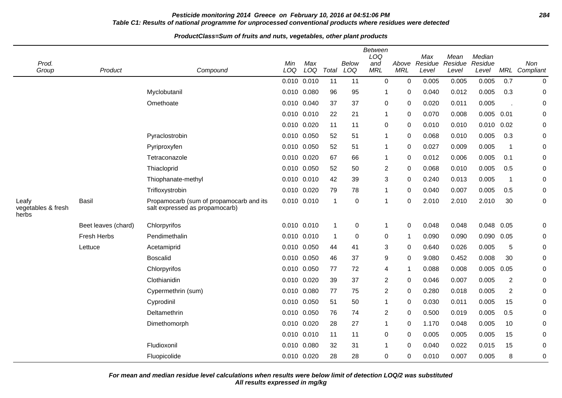# **Pesticide monitoring 2014 Greece on February 10, 2016 at 04:51:06 PM 284 Table C1: Results of national programme for unprocessed conventional products where residues were detected**

#### **ProductClass=Sum of fruits and nuts, vegetables, other plant products**

| Prod.<br>Group                       | Product             | Compound                                                                  | Min<br>LOQ  | Max<br>LOQ      | Total                   | <b>Below</b><br>LOQ | <b>Between</b><br>LOQ<br>and<br><b>MRL</b> | Above<br><b>MRL</b> | Max<br>Residue<br>Level | Mean<br>Residue<br>Level | Median<br>Residue<br>Level |                | Non<br>MRL Compliant |
|--------------------------------------|---------------------|---------------------------------------------------------------------------|-------------|-----------------|-------------------------|---------------------|--------------------------------------------|---------------------|-------------------------|--------------------------|----------------------------|----------------|----------------------|
|                                      |                     |                                                                           | 0.010       | 0.010           | 11                      | 11                  | $\mathbf 0$                                | 0                   | 0.005                   | 0.005                    | 0.005                      | 0.7            | 0                    |
|                                      |                     | Myclobutanil                                                              | 0.010       | 0.080           | 96                      | 95                  | 1                                          | 0                   | 0.040                   | 0.012                    | 0.005                      | 0.3            | 0                    |
|                                      |                     | Omethoate                                                                 | 0.010       | 0.040           | 37                      | 37                  | $\mathbf 0$                                | 0                   | 0.020                   | 0.011                    | 0.005                      |                | 0                    |
|                                      |                     |                                                                           | 0.010       | 0.010           | 22                      | 21                  | $\mathbf{1}$                               | $\Omega$            | 0.070                   | 0.008                    | 0.005                      | 0.01           | $\mathbf 0$          |
|                                      |                     |                                                                           | 0.010       | 0.020           | 11                      | 11                  | 0                                          | 0                   | 0.010                   | 0.010                    | 0.010                      | 0.02           | $\mathbf 0$          |
|                                      |                     | Pyraclostrobin                                                            | 0.010       | 0.050           | 52                      | 51                  | 1                                          | 0                   | 0.068                   | 0.010                    | 0.005                      | 0.3            | $\pmb{0}$            |
|                                      |                     | Pyriproxyfen                                                              | 0.010       | 0.050           | 52                      | 51                  | $\mathbf{1}$                               | 0                   | 0.027                   | 0.009                    | 0.005                      | $\mathbf 1$    | 0                    |
|                                      |                     | Tetraconazole                                                             | 0.010       | 0.020           | 67                      | 66                  | $\mathbf 1$                                | 0                   | 0.012                   | 0.006                    | 0.005                      | 0.1            | 0                    |
|                                      |                     | Thiacloprid                                                               | 0.010       | 0.050           | 52                      | 50                  | $\overline{2}$                             | 0                   | 0.068                   | 0.010                    | 0.005                      | 0.5            | 0                    |
|                                      |                     | Thiophanate-methyl                                                        | 0.010       | 0.010           | 42                      | 39                  | 3                                          | 0                   | 0.240                   | 0.013                    | 0.005                      | $\overline{1}$ | 0                    |
|                                      |                     | Trifloxystrobin                                                           | 0.010       | 0.020           | 79                      | 78                  | $\mathbf 1$                                | 0                   | 0.040                   | 0.007                    | 0.005                      | 0.5            | $\pmb{0}$            |
| Leafy<br>vegetables & fresh<br>herbs | Basil               | Propamocarb (sum of propamocarb and its<br>salt expressed as propamocarb) | 0.010       | 0.010           | $\overline{\mathbf{1}}$ | 0                   | $\mathbf{1}$                               | 0                   | 2.010                   | 2.010                    | 2.010                      | 30             | $\pmb{0}$            |
|                                      | Beet leaves (chard) | Chlorpyrifos                                                              |             | $0.010$ $0.010$ | $\overline{\mathbf{1}}$ | $\mathbf 0$         | $\mathbf{1}$                               | 0                   | 0.048                   | 0.048                    | 0.048                      | 0.05           | 0                    |
|                                      | <b>Fresh Herbs</b>  | Pendimethalin                                                             |             | 0.010 0.010     | -1                      | 0                   | 0                                          | 1                   | 0.090                   | 0.090                    | 0.090                      | 0.05           | 0                    |
|                                      | Lettuce             | Acetamiprid                                                               | 0.010       | 0.050           | 44                      | 41                  | 3                                          | 0                   | 0.640                   | 0.026                    | 0.005                      | 5              | 0                    |
|                                      |                     | <b>Boscalid</b>                                                           | 0.010       | 0.050           | 46                      | 37                  | 9                                          | 0                   | 9.080                   | 0.452                    | 0.008                      | 30             | $\mathbf 0$          |
|                                      |                     | Chlorpyrifos                                                              | 0.010       | 0.050           | 77                      | 72                  | 4                                          | 1                   | 0.088                   | 0.008                    | 0.005                      | 0.05           | 0                    |
|                                      |                     | Clothianidin                                                              | 0.010 0.020 |                 | 39                      | 37                  | 2                                          | $\Omega$            | 0.046                   | 0.007                    | 0.005                      | $\overline{2}$ | $\pmb{0}$            |
|                                      |                     | Cypermethrin (sum)                                                        | 0.010       | 0.080           | 77                      | 75                  | $\overline{c}$                             | 0                   | 0.280                   | 0.018                    | 0.005                      | $\overline{2}$ | 0                    |
|                                      |                     | Cyprodinil                                                                | 0.010 0.050 |                 | 51                      | 50                  | $\mathbf{1}$                               | 0                   | 0.030                   | 0.011                    | 0.005                      | 15             | $\pmb{0}$            |
|                                      |                     | Deltamethrin                                                              | 0.010       | 0.050           | 76                      | 74                  | $\overline{2}$                             | 0                   | 0.500                   | 0.019                    | 0.005                      | 0.5            | 0                    |
|                                      |                     | Dimethomorph                                                              | 0.010       | 0.020           | 28                      | 27                  | $\mathbf{1}$                               | 0                   | 1.170                   | 0.048                    | 0.005                      | 10             | 0                    |
|                                      |                     |                                                                           | 0.010       | 0.010           | 11                      | 11                  | 0                                          | 0                   | 0.005                   | 0.005                    | 0.005                      | 15             | 0                    |
|                                      |                     | Fludioxonil                                                               | 0.010       | 0.080           | 32                      | 31                  | $\mathbf{1}$                               | 0                   | 0.040                   | 0.022                    | 0.015                      | 15             | $\pmb{0}$            |
|                                      |                     | Fluopicolide                                                              | 0.010 0.020 |                 | 28                      | 28                  | $\mathbf 0$                                | $\Omega$            | 0.010                   | 0.007                    | 0.005                      | 8              | $\pmb{0}$            |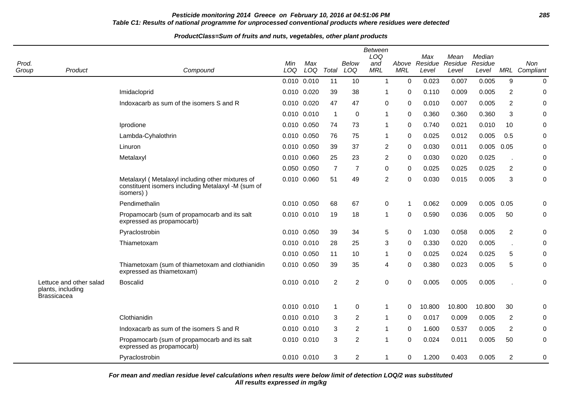# **Pesticide monitoring 2014 Greece on February 10, 2016 at 04:51:06 PM 285 Table C1: Results of national programme for unprocessed conventional products where residues were detected**

#### **ProductClass=Sum of fruits and nuts, vegetables, other plant products**

| Prod.<br>Group | Product                                                            | Compound                                                                                                            | Min<br>LOQ | Max<br>LOQ      | Total          | <b>Below</b><br>LOQ | <b>Between</b><br>LOQ<br>and<br><b>MRL</b> | Above<br><b>MRL</b> | Max<br>Residue<br>Level | Mean<br>Residue<br>Level | Median<br>Residue<br>Level |                  | Non<br>MRL Compliant |
|----------------|--------------------------------------------------------------------|---------------------------------------------------------------------------------------------------------------------|------------|-----------------|----------------|---------------------|--------------------------------------------|---------------------|-------------------------|--------------------------|----------------------------|------------------|----------------------|
|                |                                                                    |                                                                                                                     |            | 0.010 0.010     | 11             | 10                  | $\mathbf{1}$                               | $\Omega$            | 0.023                   | 0.007                    | 0.005                      | $\boldsymbol{9}$ | $\pmb{0}$            |
|                |                                                                    | Imidacloprid                                                                                                        |            | 0.010 0.020     | 39             | 38                  | $\mathbf 1$                                | $\Omega$            | 0.110                   | 0.009                    | 0.005                      | $\overline{2}$   | 0                    |
|                |                                                                    | Indoxacarb as sum of the isomers S and R                                                                            |            | 0.010 0.020     | 47             | 47                  | 0                                          | $\mathbf 0$         | 0.010                   | 0.007                    | 0.005                      | $\overline{2}$   | 0                    |
|                |                                                                    |                                                                                                                     |            | $0.010$ $0.010$ | $\mathbf{1}$   | 0                   | $\mathbf{1}$                               | $\mathbf 0$         | 0.360                   | 0.360                    | 0.360                      | 3                | 0                    |
|                |                                                                    | Iprodione                                                                                                           |            | 0.010 0.050     | 74             | 73                  | $\mathbf{1}$                               | $\mathbf 0$         | 0.740                   | 0.021                    | 0.010                      | 10               | 0                    |
|                |                                                                    | Lambda-Cyhalothrin                                                                                                  |            | 0.010 0.050     | 76             | 75                  | $\mathbf{1}$                               | $\Omega$            | 0.025                   | 0.012                    | 0.005                      | 0.5              | $\Omega$             |
|                |                                                                    | Linuron                                                                                                             |            | 0.010 0.050     | 39             | 37                  | $\overline{2}$                             | $\Omega$            | 0.030                   | 0.011                    | 0.005                      | 0.05             | 0                    |
|                |                                                                    | Metalaxyl                                                                                                           |            | 0.010 0.060     | 25             | 23                  | $\overline{2}$                             | 0                   | 0.030                   | 0.020                    | 0.025                      | J.               | 0                    |
|                |                                                                    |                                                                                                                     |            | 0.050 0.050     | $\overline{7}$ | $\overline{7}$      | 0                                          | $\Omega$            | 0.025                   | 0.025                    | 0.025                      | $\overline{2}$   | 0                    |
|                |                                                                    | Metalaxyl (Metalaxyl including other mixtures of<br>constituent isomers including Metalaxyl -M (sum of<br>isomers)) |            | 0.010 0.060     | 51             | 49                  | $\overline{2}$                             | 0                   | 0.030                   | 0.015                    | 0.005                      | 3                | 0                    |
|                |                                                                    | Pendimethalin                                                                                                       |            | 0.010 0.050     | 68             | 67                  | 0                                          | 1                   | 0.062                   | 0.009                    | 0.005                      | 0.05             | 0                    |
|                |                                                                    | Propamocarb (sum of propamocarb and its salt<br>expressed as propamocarb)                                           |            | 0.010 0.010     | 19             | 18                  | $\mathbf{1}$                               | 0                   | 0.590                   | 0.036                    | 0.005                      | 50               | 0                    |
|                |                                                                    | Pyraclostrobin                                                                                                      |            | 0.010 0.050     | 39             | 34                  | 5                                          | $\Omega$            | 1.030                   | 0.058                    | 0.005                      | $\overline{2}$   | 0                    |
|                |                                                                    | Thiametoxam                                                                                                         |            | $0.010$ $0.010$ | 28             | 25                  | 3                                          | 0                   | 0.330                   | 0.020                    | 0.005                      | J.               | 0                    |
|                |                                                                    |                                                                                                                     |            | 0.010 0.050     | 11             | 10                  | $\mathbf 1$                                | $\Omega$            | 0.025                   | 0.024                    | 0.025                      | 5                | 0                    |
|                |                                                                    | Thiametoxam (sum of thiametoxam and clothianidin<br>expressed as thiametoxam)                                       |            | 0.010 0.050     | 39             | 35                  | $\overline{4}$                             | $\Omega$            | 0.380                   | 0.023                    | 0.005                      | 5                | 0                    |
|                | Lettuce and other salad<br>plants, including<br><b>Brassicacea</b> | <b>Boscalid</b>                                                                                                     |            | 0.010 0.010     | $\overline{2}$ | $\overline{c}$      | $\pmb{0}$                                  | $\Omega$            | 0.005                   | 0.005                    | 0.005                      |                  | 0                    |
|                |                                                                    |                                                                                                                     |            | 0.010 0.010     | 1              | 0                   | $\mathbf{1}$                               | $\Omega$            | 10.800                  | 10.800                   | 10.800                     | 30               | 0                    |
|                |                                                                    | Clothianidin                                                                                                        |            | $0.010$ $0.010$ | 3              | $\overline{2}$      | $\mathbf{1}$                               | 0                   | 0.017                   | 0.009                    | 0.005                      | $\overline{2}$   | 0                    |
|                |                                                                    | Indoxacarb as sum of the isomers S and R                                                                            |            | $0.010$ $0.010$ | 3              | $\boldsymbol{2}$    | $\mathbf{1}$                               | 0                   | 1.600                   | 0.537                    | 0.005                      | $\overline{2}$   | 0                    |
|                |                                                                    | Propamocarb (sum of propamocarb and its salt<br>expressed as propamocarb)                                           |            | 0.010 0.010     | 3              | $\overline{2}$      | $\mathbf{1}$                               | $\Omega$            | 0.024                   | 0.011                    | 0.005                      | 50               | $\Omega$             |
|                |                                                                    | Pyraclostrobin                                                                                                      |            | 0.010 0.010     | 3              | $\overline{c}$      | $\mathbf{1}$                               | 0                   | 1.200                   | 0.403                    | 0.005                      | $\overline{2}$   | 0                    |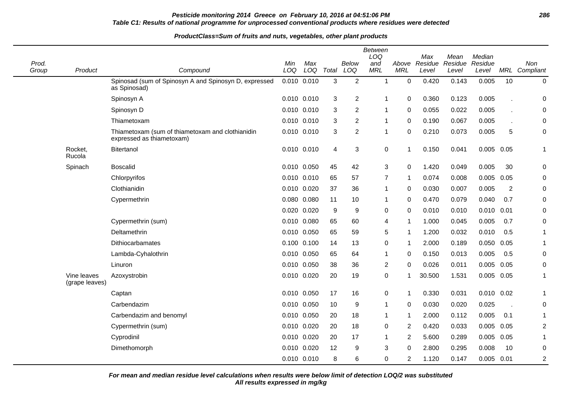# **Pesticide monitoring 2014 Greece on February 10, 2016 at 04:51:06 PM 286 Table C1: Results of national programme for unprocessed conventional products where residues were detected**

#### **ProductClass=Sum of fruits and nuts, vegetables, other plant products**

|                |                               |                                                                               |                 |             |              |                | Between<br>LOQ    |                     | Max              | Mean             | Median           |                |                      |
|----------------|-------------------------------|-------------------------------------------------------------------------------|-----------------|-------------|--------------|----------------|-------------------|---------------------|------------------|------------------|------------------|----------------|----------------------|
| Prod.<br>Group | Product                       | Compound                                                                      | Min<br>LOQ      | Max<br>LOQ  | Total        | Below<br>LOQ   | and<br><b>MRL</b> | Above<br><b>MRL</b> | Residue<br>Level | Residue<br>Level | Residue<br>Level |                | Non<br>MRL Compliant |
|                |                               | Spinosad (sum of Spinosyn A and Spinosyn D, expressed<br>as Spinosad)         | 0.010 0.010     |             | 3            | 2              | $\overline{1}$    | 0                   | 0.420            | 0.143            | 0.005            | 10             | $\pmb{0}$            |
|                |                               | Spinosyn A                                                                    | $0.010$ $0.010$ |             | 3            | $\overline{c}$ | $\mathbf 1$       | 0                   | 0.360            | 0.123            | 0.005            |                | $\mathbf 0$          |
|                |                               | Spinosyn D                                                                    | 0.010 0.010     |             | 3            | $\overline{2}$ | -1                | 0                   | 0.055            | 0.022            | 0.005            |                | $\mathbf 0$          |
|                |                               | Thiametoxam                                                                   | 0.010 0.010     |             | 3            | 2              | $\mathbf 1$       | 0                   | 0.190            | 0.067            | 0.005            |                | 0                    |
|                |                               | Thiametoxam (sum of thiametoxam and clothianidin<br>expressed as thiametoxam) |                 | 0.010 0.010 | $\mathbf{3}$ | $\overline{2}$ | 1                 | $\Omega$            | 0.210            | 0.073            | 0.005            | 5              | $\boldsymbol{0}$     |
|                | Rocket,<br>Rucola             | Bitertanol                                                                    | 0.010 0.010     |             | 4            | 3              | 0                 | 1                   | 0.150            | 0.041            | 0.005 0.05       |                | 1                    |
|                | Spinach                       | <b>Boscalid</b>                                                               | 0.010 0.050     |             | 45           | 42             | 3                 | 0                   | 1.420            | 0.049            | 0.005            | 30             | 0                    |
|                |                               | Chlorpyrifos                                                                  | 0.010 0.010     |             | 65           | 57             | $\overline{7}$    | 1                   | 0.074            | 0.008            | 0.005            | 0.05           | 0                    |
|                |                               | Clothianidin                                                                  | 0.010 0.020     |             | 37           | 36             | $\mathbf 1$       | 0                   | 0.030            | 0.007            | 0.005            | $\overline{2}$ | $\pmb{0}$            |
|                |                               | Cypermethrin                                                                  | 0.080 0.080     |             | 11           | 10             | 1                 | 0                   | 0.470            | 0.079            | 0.040            | 0.7            | 0                    |
|                |                               |                                                                               | 0.020           | 0.020       | 9            | 9              | 0                 | 0                   | 0.010            | 0.010            | 0.010            | 0.01           | 0                    |
|                |                               | Cypermethrin (sum)                                                            | 0.010 0.080     |             | 65           | 60             | 4                 | 1                   | 1.000            | 0.045            | 0.005            | 0.7            | $\boldsymbol{0}$     |
|                |                               | Deltamethrin                                                                  | 0.010           | 0.050       | 65           | 59             | 5                 | 1                   | 1.200            | 0.032            | 0.010            | 0.5            | 1                    |
|                |                               | <b>Dithiocarbamates</b>                                                       | 0.100 0.100     |             | 14           | 13             | 0                 | 1                   | 2.000            | 0.189            | 0.050            | 0.05           | 1                    |
|                |                               | Lambda-Cyhalothrin                                                            | 0.010 0.050     |             | 65           | 64             | 1                 | 0                   | 0.150            | 0.013            | 0.005            | 0.5            | $\pmb{0}$            |
|                |                               | Linuron                                                                       | 0.010 0.050     |             | 38           | 36             | $\overline{2}$    | 0                   | 0.026            | 0.011            | 0.005            | 0.05           | $\pmb{0}$            |
|                | Vine leaves<br>(grape leaves) | Azoxystrobin                                                                  | 0.010 0.020     |             | 20           | 19             | 0                 | 1                   | 30.500           | 1.531            | 0.005            | 0.05           | 1                    |
|                |                               | Captan                                                                        | 0.010 0.050     |             | 17           | 16             | 0                 | 1                   | 0.330            | 0.031            | $0.010$ $0.02$   |                | 1                    |
|                |                               | Carbendazim                                                                   | 0.010 0.050     |             | 10           | 9              | $\mathbf 1$       | 0                   | 0.030            | 0.020            | 0.025            | J.             | 0                    |
|                |                               | Carbendazim and benomyl                                                       |                 | 0.010 0.050 | 20           | 18             | 1                 | 1                   | 2.000            | 0.112            | 0.005            | 0.1            | 1                    |
|                |                               | Cypermethrin (sum)                                                            | 0.010 0.020     |             | 20           | 18             | 0                 | 2                   | 0.420            | 0.033            | 0.005            | 0.05           | $\overline{2}$       |
|                |                               | Cyprodinil                                                                    | 0.010 0.020     |             | 20           | 17             | -1                | 2                   | 5.600            | 0.289            | 0.005            | 0.05           | 1                    |
|                |                               | Dimethomorph                                                                  | 0.010 0.020     |             | 12           | 9              | 3                 | 0                   | 2.800            | 0.295            | 0.008            | 10             | 0                    |
|                |                               |                                                                               | 0.010 0.010     |             | 8            | 6              | 0                 | 2                   | 1.120            | 0.147            | $0.005$ 0.01     |                | 2                    |

**All results expressed in mg/kg For mean and median residue level calculations when results were below limit of detection LOQ/2 was substituted**

 $\blacksquare$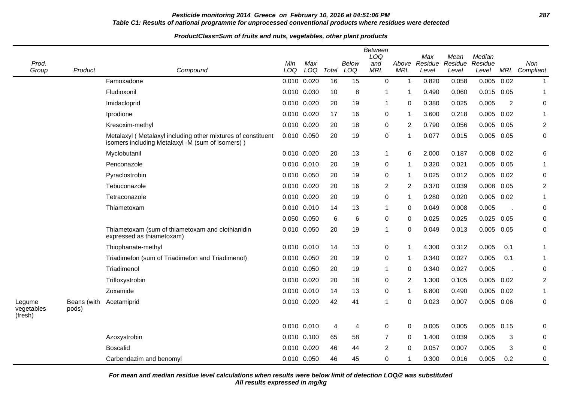# **Pesticide monitoring 2014 Greece on February 10, 2016 at 04:51:06 PM 287 Table C1: Results of national programme for unprocessed conventional products where residues were detected**

#### **ProductClass=Sum of fruits and nuts, vegetables, other plant products**

| Prod.<br>Group                  | Product              | Compound                                                                                                         | Min<br>LOQ      | Max<br>LOQ | Total | <b>Below</b><br>LOQ | <b>Between</b><br>LOQ<br>and<br><b>MRL</b> | Above<br><b>MRL</b>     | Max<br>Residue<br>Level | Mean<br>Residue<br>Level | Median<br>Residue<br>Level |                | Non<br>MRL Compliant |
|---------------------------------|----------------------|------------------------------------------------------------------------------------------------------------------|-----------------|------------|-------|---------------------|--------------------------------------------|-------------------------|-------------------------|--------------------------|----------------------------|----------------|----------------------|
|                                 |                      | Famoxadone                                                                                                       | 0.010 0.020     |            | 16    | 15                  | 0                                          | $\mathbf 1$             | 0.820                   | 0.058                    | 0.005                      | 0.02           | $\mathbf{1}$         |
|                                 |                      | Fludioxonil                                                                                                      | 0.010 0.030     |            | 10    | 8                   | 1                                          | -1                      | 0.490                   | 0.060                    | $0.015$ 0.05               |                | 1                    |
|                                 |                      | Imidacloprid                                                                                                     | 0.010 0.020     |            | 20    | 19                  | 1                                          | $\mathbf 0$             | 0.380                   | 0.025                    | 0.005                      | $\overline{2}$ | 0                    |
|                                 |                      | Iprodione                                                                                                        | 0.010 0.020     |            | 17    | 16                  | 0                                          | $\mathbf 1$             | 3.600                   | 0.218                    | $0.005$ 0.02               |                | $\mathbf{1}$         |
|                                 |                      | Kresoxim-methyl                                                                                                  | 0.010 0.020     |            | 20    | 18                  | 0                                          | 2                       | 0.790                   | 0.056                    | $0.005$ 0.05               |                | $\overline{2}$       |
|                                 |                      | Metalaxyl (Metalaxyl including other mixtures of constituent<br>isomers including Metalaxyl -M (sum of isomers)) | 0.010 0.050     |            | 20    | 19                  | 0                                          | $\mathbf 1$             | 0.077                   | 0.015                    | $0.005$ 0.05               |                | 0                    |
|                                 |                      | Myclobutanil                                                                                                     | 0.010 0.020     |            | 20    | 13                  | 1                                          | 6                       | 2.000                   | 0.187                    | $0.008$ 0.02               |                | 6                    |
|                                 |                      | Penconazole                                                                                                      | 0.010 0.010     |            | 20    | 19                  | 0                                          | $\overline{\mathbf{1}}$ | 0.320                   | 0.021                    | 0.005                      | 0.05           | 1                    |
|                                 |                      | Pyraclostrobin                                                                                                   | 0.010 0.050     |            | 20    | 19                  | 0                                          | -1                      | 0.025                   | 0.012                    | $0.005$ 0.02               |                | 0                    |
|                                 |                      | Tebuconazole                                                                                                     | 0.010 0.020     |            | 20    | 16                  | 2                                          | 2                       | 0.370                   | 0.039                    | 0.008 0.05                 |                | $\overline{c}$       |
|                                 |                      | Tetraconazole                                                                                                    | 0.010 0.020     |            | 20    | 19                  | 0                                          | $\mathbf 1$             | 0.280                   | 0.020                    | 0.005                      | 0.02           | $\mathbf{1}$         |
|                                 |                      | Thiametoxam                                                                                                      | 0.010 0.010     |            | 14    | 13                  | 1                                          | 0                       | 0.049                   | 0.008                    | 0.005                      |                | 0                    |
|                                 |                      |                                                                                                                  | 0.050 0.050     |            | 6     | 6                   | 0                                          | 0                       | 0.025                   | 0.025                    | $0.025$ 0.05               |                | 0                    |
|                                 |                      | Thiametoxam (sum of thiametoxam and clothianidin<br>expressed as thiametoxam)                                    | 0.010 0.050     |            | 20    | 19                  | 1                                          | 0                       | 0.049                   | 0.013                    | $0.005$ 0.05               |                | 0                    |
|                                 |                      | Thiophanate-methyl                                                                                               | 0.010 0.010     |            | 14    | 13                  | 0                                          | $\overline{\mathbf{1}}$ | 4.300                   | 0.312                    | 0.005                      | 0.1            | 1                    |
|                                 |                      | Triadimefon (sum of Triadimefon and Triadimenol)                                                                 | 0.010 0.050     |            | 20    | 19                  | 0                                          | -1                      | 0.340                   | 0.027                    | 0.005                      | 0.1            | 1                    |
|                                 |                      | Triadimenol                                                                                                      | 0.010 0.050     |            | 20    | 19                  | 1                                          | 0                       | 0.340                   | 0.027                    | 0.005                      |                | 0                    |
|                                 |                      | Trifloxystrobin                                                                                                  | 0.010 0.020     |            | 20    | 18                  | 0                                          | 2                       | 1.300                   | 0.105                    | $0.005$ 0.02               |                | $\overline{2}$       |
|                                 |                      | Zoxamide                                                                                                         | $0.010$ $0.010$ |            | 14    | 13                  | 0                                          | $\mathbf 1$             | 6.800                   | 0.490                    | $0.005$ 0.02               |                | $\mathbf{1}$         |
| Legume<br>vegetables<br>(fresh) | Beans (with<br>pods) | Acetamiprid                                                                                                      | 0.010 0.020     |            | 42    | 41                  | 1                                          | 0                       | 0.023                   | 0.007                    | $0.005$ 0.06               |                | 0                    |
|                                 |                      |                                                                                                                  | 0.010 0.010     |            | 4     | 4                   | 0                                          | 0                       | 0.005                   | 0.005                    | $0.005$ 0.15               |                | 0                    |
|                                 |                      | Azoxystrobin                                                                                                     | 0.010 0.100     |            | 65    | 58                  | 7                                          | 0                       | 1.400                   | 0.039                    | 0.005                      | 3              | 0                    |
|                                 |                      | <b>Boscalid</b>                                                                                                  | 0.010 0.020     |            | 46    | 44                  | $\overline{2}$                             | $\mathbf 0$             | 0.057                   | 0.007                    | 0.005                      | 3              | 0                    |
|                                 |                      | Carbendazim and benomyl                                                                                          | 0.010 0.050     |            | 46    | 45                  | 0                                          | 1                       | 0.300                   | 0.016                    | 0.005                      | 0.2            | 0                    |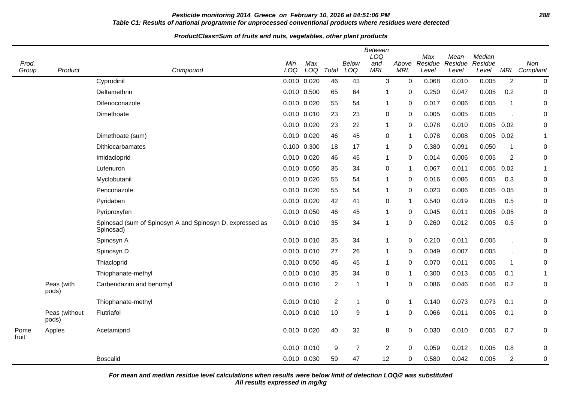# **Pesticide monitoring 2014 Greece on February 10, 2016 at 04:51:06 PM 288 Table C1: Results of national programme for unprocessed conventional products where residues were detected**

#### **ProductClass=Sum of fruits and nuts, vegetables, other plant products**

| Prod.<br>Group | Product                | Compound                                                              | Min<br>LOQ | Max<br>LOQ      | Total          | <b>Below</b><br>LOQ | <b>Between</b><br>LOQ<br>and<br><b>MRL</b> | Above<br><b>MRL</b> | Max<br>Residue<br>Level | Mean<br>Residue<br>Level | Median<br>Residue<br>Level |                      | Non<br>MRL Compliant |
|----------------|------------------------|-----------------------------------------------------------------------|------------|-----------------|----------------|---------------------|--------------------------------------------|---------------------|-------------------------|--------------------------|----------------------------|----------------------|----------------------|
|                |                        | Cyprodinil                                                            |            | 0.010 0.020     | 46             | 43                  | 3                                          | $\mathbf 0$         | 0.068                   | 0.010                    | 0.005                      | $\overline{2}$       | $\boldsymbol{0}$     |
|                |                        | Deltamethrin                                                          |            | 0.010 0.500     | 65             | 64                  | $\mathbf{1}$                               | 0                   | 0.250                   | 0.047                    | 0.005                      | 0.2                  | 0                    |
|                |                        | Difenoconazole                                                        |            | 0.010 0.020     | 55             | 54                  | 1                                          | $\Omega$            | 0.017                   | 0.006                    | 0.005                      | $\mathbf{1}$         | 0                    |
|                |                        | Dimethoate                                                            |            | 0.010 0.010     | 23             | 23                  | 0                                          | $\mathbf 0$         | 0.005                   | 0.005                    | 0.005                      |                      | 0                    |
|                |                        |                                                                       |            | 0.010 0.020     | 23             | 22                  | $\mathbf{1}$                               | $\mathbf 0$         | 0.078                   | 0.010                    | 0.005                      | 0.02                 | 0                    |
|                |                        | Dimethoate (sum)                                                      |            | 0.010 0.020     | 46             | 45                  | 0                                          | $\overline{1}$      | 0.078                   | 0.008                    | $0.005$ 0.02               |                      | $\blacktriangleleft$ |
|                |                        | Dithiocarbamates                                                      | 0.100      | 0.300           | 18             | 17                  | $\mathbf{1}$                               | $\Omega$            | 0.380                   | 0.091                    | 0.050                      | $\mathbf{1}$         | $\boldsymbol{0}$     |
|                |                        | Imidacloprid                                                          |            | 0.010 0.020     | 46             | 45                  | $\mathbf{1}$                               | 0                   | 0.014                   | 0.006                    | 0.005                      | $\overline{2}$       | 0                    |
|                |                        | Lufenuron                                                             |            | 0.010 0.050     | 35             | 34                  | 0                                          | $\mathbf{1}$        | 0.067                   | 0.011                    | 0.005                      | 0.02                 | 1                    |
|                |                        | Myclobutanil                                                          |            | 0.010 0.020     | 55             | 54                  | $\mathbf{1}$                               | $\Omega$            | 0.016                   | 0.006                    | 0.005                      | 0.3                  | 0                    |
|                |                        | Penconazole                                                           |            | 0.010 0.020     | 55             | 54                  | $\mathbf{1}$                               | $\mathbf 0$         | 0.023                   | 0.006                    | 0.005                      | 0.05                 | 0                    |
|                |                        | Pyridaben                                                             |            | 0.010 0.020     | 42             | 41                  | $\boldsymbol{0}$                           | -1                  | 0.540                   | 0.019                    | 0.005                      | 0.5                  | 0                    |
|                |                        | Pyriproxyfen                                                          |            | 0.010 0.050     | 46             | 45                  | $\mathbf{1}$                               | $\Omega$            | 0.045                   | 0.011                    | 0.005                      | 0.05                 | 0                    |
|                |                        | Spinosad (sum of Spinosyn A and Spinosyn D, expressed as<br>Spinosad) | 0.010      | 0.010           | 35             | 34                  | $\mathbf{1}$                               | $\mathbf 0$         | 0.260                   | 0.012                    | 0.005                      | 0.5                  | 0                    |
|                |                        | Spinosyn A                                                            |            | 0.010 0.010     | 35             | 34                  | $\mathbf{1}$                               | $\mathbf 0$         | 0.210                   | 0.011                    | 0.005                      | $\ddot{\phantom{a}}$ | 0                    |
|                |                        | Spinosyn D                                                            |            | 0.010 0.010     | 27             | 26                  | $\mathbf{1}$                               | $\mathbf 0$         | 0.049                   | 0.007                    | 0.005                      |                      | 0                    |
|                |                        | Thiacloprid                                                           |            | 0.010 0.050     | 46             | 45                  | $\mathbf 1$                                | $\Omega$            | 0.070                   | 0.011                    | 0.005                      | $\mathbf 1$          | 0                    |
|                |                        | Thiophanate-methyl                                                    |            | $0.010$ $0.010$ | 35             | 34                  | 0                                          | -1                  | 0.300                   | 0.013                    | 0.005                      | 0.1                  | 1                    |
|                | Peas (with<br>pods)    | Carbendazim and benomyl                                               |            | 0.010 0.010     | $\overline{2}$ | -1                  | $\mathbf{1}$                               | $\Omega$            | 0.086                   | 0.046                    | 0.046                      | 0.2                  | 0                    |
|                |                        | Thiophanate-methyl                                                    |            | $0.010$ $0.010$ | $\overline{2}$ | 1                   | $\boldsymbol{0}$                           | $\overline{1}$      | 0.140                   | 0.073                    | 0.073                      | 0.1                  | 0                    |
|                | Peas (without<br>pods) | Flutriafol                                                            |            | 0.010 0.010     | 10             | 9                   | $\mathbf{1}$                               | $\mathbf 0$         | 0.066                   | 0.011                    | 0.005                      | 0.1                  | 0                    |
| Pome<br>fruit  | Apples                 | Acetamiprid                                                           |            | 0.010 0.020     | 40             | 32                  | 8                                          | 0                   | 0.030                   | 0.010                    | 0.005                      | 0.7                  | 0                    |
|                |                        |                                                                       |            | 0.010 0.010     | 9              | $\overline{7}$      | $\overline{c}$                             | 0                   | 0.059                   | 0.012                    | 0.005                      | 0.8                  | 0                    |
|                |                        | <b>Boscalid</b>                                                       |            | 0.010 0.030     | 59             | 47                  | 12                                         | 0                   | 0.580                   | 0.042                    | 0.005                      | $\overline{c}$       | 0                    |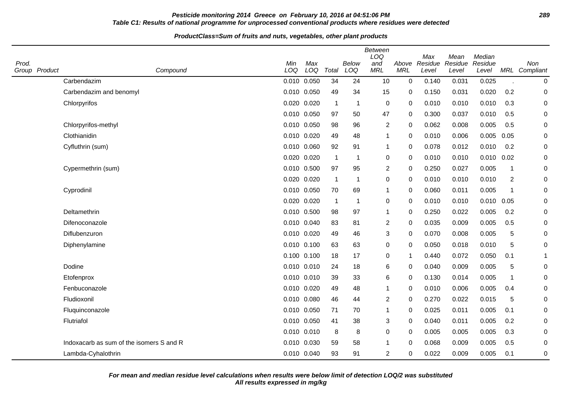# **Pesticide monitoring 2014 Greece on February 10, 2016 at 04:51:06 PM 289 Table C1: Results of national programme for unprocessed conventional products where residues were detected**

#### **ProductClass=Sum of fruits and nuts, vegetables, other plant products**

| Prod.<br>Group Product | Compound                                 | Min<br>LOQ  | Max<br>LOQ  | Total        | Below<br>LOQ | <b>Between</b><br>LOQ<br>and<br><b>MRL</b> | Above<br><b>MRL</b> | Max<br>Residue<br>Level | Mean<br>Residue<br>Level | Median<br>Residue<br>Level |                | Non<br>MRL Compliant |
|------------------------|------------------------------------------|-------------|-------------|--------------|--------------|--------------------------------------------|---------------------|-------------------------|--------------------------|----------------------------|----------------|----------------------|
|                        | Carbendazim                              |             | 0.010 0.050 | 34           | 24           | 10                                         | $\mathbf 0$         | 0.140                   | 0.031                    | 0.025                      |                | $\pmb{0}$            |
|                        | Carbendazim and benomyl                  |             | 0.010 0.050 | 49           | 34           | 15                                         | 0                   | 0.150                   | 0.031                    | 0.020                      | 0.2            | 0                    |
|                        | Chlorpyrifos                             |             | 0.020 0.020 | $\mathbf 1$  | 1            | 0                                          | 0                   | 0.010                   | 0.010                    | 0.010                      | 0.3            | 0                    |
|                        |                                          |             | 0.010 0.050 | 97           | 50           | 47                                         | 0                   | 0.300                   | 0.037                    | 0.010                      | 0.5            | 0                    |
|                        | Chlorpyrifos-methyl                      | 0.010 0.050 |             | 98           | 96           | $\overline{2}$                             | $\Omega$            | 0.062                   | 0.008                    | 0.005                      | 0.5            | 0                    |
|                        | Clothianidin                             |             | 0.010 0.020 | 49           | 48           | $\mathbf 1$                                | $\Omega$            | 0.010                   | 0.006                    | 0.005                      | 0.05           | 0                    |
|                        | Cyfluthrin (sum)                         |             | 0.010 0.060 | 92           | 91           | $\mathbf 1$                                | 0                   | 0.078                   | 0.012                    | 0.010                      | 0.2            | $\mathbf 0$          |
|                        |                                          |             | 0.020 0.020 | $\mathbf{1}$ | -1           | 0                                          | $\mathbf 0$         | 0.010                   | 0.010                    | 0.010                      | 0.02           | 0                    |
|                        | Cypermethrin (sum)                       |             | 0.010 0.500 | 97           | 95           | $\overline{2}$                             | $\Omega$            | 0.250                   | 0.027                    | 0.005                      | $\mathbf 1$    | 0                    |
|                        |                                          |             | 0.020 0.020 | $\mathbf{1}$ | 1            | $\pmb{0}$                                  | $\Omega$            | 0.010                   | 0.010                    | 0.010                      | $\overline{2}$ | $\mathbf 0$          |
|                        | Cyprodinil                               |             | 0.010 0.050 | 70           | 69           | $\mathbf{1}$                               | $\Omega$            | 0.060                   | 0.011                    | 0.005                      | -1             | $\pmb{0}$            |
|                        |                                          |             | 0.020 0.020 | $\mathbf 1$  | $\mathbf{1}$ | 0                                          | 0                   | 0.010                   | 0.010                    | $0.010$ $0.05$             |                | 0                    |
|                        | Deltamethrin                             |             | 0.010 0.500 | 98           | 97           | $\mathbf 1$                                | 0                   | 0.250                   | 0.022                    | 0.005                      | 0.2            | $\pmb{0}$            |
|                        | Difenoconazole                           |             | 0.010 0.040 | 83           | 81           | $\overline{2}$                             | $\mathbf 0$         | 0.035                   | 0.009                    | 0.005                      | 0.5            | $\mathbf 0$          |
|                        | Diflubenzuron                            |             | 0.010 0.020 | 49           | 46           | $\sqrt{3}$                                 | $\Omega$            | 0.070                   | 0.008                    | 0.005                      | 5              | 0                    |
|                        | Diphenylamine                            |             | 0.010 0.100 | 63           | 63           | 0                                          | 0                   | 0.050                   | 0.018                    | 0.010                      | 5              | $\mathbf 0$          |
|                        |                                          |             | 0.100 0.100 | 18           | 17           | 0                                          | -1                  | 0.440                   | 0.072                    | 0.050                      | 0.1            | 1                    |
|                        | Dodine                                   |             | 0.010 0.010 | 24           | 18           | 6                                          | 0                   | 0.040                   | 0.009                    | 0.005                      | 5              | 0                    |
|                        | Etofenprox                               |             | 0.010 0.010 | 39           | 33           | 6                                          | 0                   | 0.130                   | 0.014                    | 0.005                      | $\mathbf 1$    | 0                    |
|                        | Fenbuconazole                            |             | 0.010 0.020 | 49           | 48           | $\mathbf{1}$                               | $\Omega$            | 0.010                   | 0.006                    | 0.005                      | 0.4            | $\pmb{0}$            |
|                        | Fludioxonil                              |             | 0.010 0.080 | 46           | 44           | 2                                          | 0                   | 0.270                   | 0.022                    | 0.015                      | 5              | $\mathbf 0$          |
|                        | Fluquinconazole                          |             | 0.010 0.050 | 71           | 70           | $\mathbf 1$                                | 0                   | 0.025                   | 0.011                    | 0.005                      | 0.1            | $\mathbf 0$          |
|                        | Flutriafol                               |             | 0.010 0.050 | 41           | 38           | 3                                          | $\Omega$            | 0.040                   | 0.011                    | 0.005                      | 0.2            | $\pmb{0}$            |
|                        |                                          |             | 0.010 0.010 | 8            | 8            | 0                                          | 0                   | 0.005                   | 0.005                    | 0.005                      | 0.3            | 0                    |
|                        | Indoxacarb as sum of the isomers S and R |             | 0.010 0.030 | 59           | 58           | $\mathbf{1}$                               | $\Omega$            | 0.068                   | 0.009                    | 0.005                      | 0.5            | 0                    |
|                        | Lambda-Cyhalothrin                       |             | 0.010 0.040 | 93           | 91           | 2                                          | 0                   | 0.022                   | 0.009                    | 0.005                      | 0.1            | $\mathbf 0$          |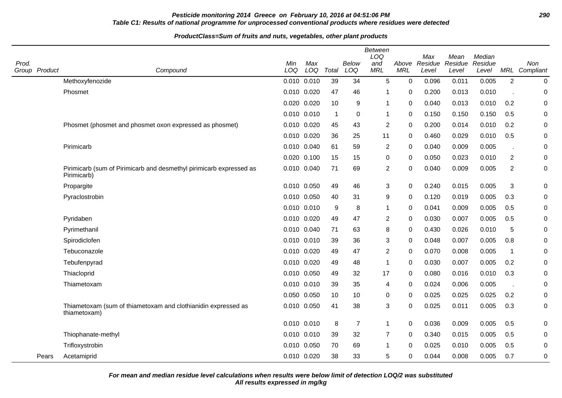# **Pesticide monitoring 2014 Greece on February 10, 2016 at 04:51:06 PM 290 Table C1: Results of national programme for unprocessed conventional products where residues were detected**

#### **ProductClass=Sum of fruits and nuts, vegetables, other plant products**

| Prod. | Group Product | Compound                                                                           | Min<br>LOQ      | Max<br>LOQ | Total        | <b>Below</b><br>LOQ | <b>Between</b><br>LOQ<br>and<br><b>MRL</b> | <b>MRL</b>  | Max<br>Above Residue<br>Level | Mean<br>Residue<br>Level | Median<br>Residue<br>Level | MRL            | Non<br>Compliant |
|-------|---------------|------------------------------------------------------------------------------------|-----------------|------------|--------------|---------------------|--------------------------------------------|-------------|-------------------------------|--------------------------|----------------------------|----------------|------------------|
|       |               | Methoxyfenozide                                                                    | $0.010$ $0.010$ |            | 39           | 34                  | 5                                          | $\mathbf 0$ | 0.096                         | 0.011                    | 0.005                      | $\overline{2}$ | 0                |
|       |               | Phosmet                                                                            | 0.010 0.020     |            | 47           | 46                  | 1                                          | $\Omega$    | 0.200                         | 0.013                    | 0.010                      |                | $\Omega$         |
|       |               |                                                                                    | 0.020 0.020     |            | 10           | 9                   | 1                                          | 0           | 0.040                         | 0.013                    | 0.010                      | 0.2            | 0                |
|       |               |                                                                                    | $0.010$ $0.010$ |            | $\mathbf{1}$ | 0                   | $\mathbf 1$                                | 0           | 0.150                         | 0.150                    | 0.150                      | 0.5            | 0                |
|       |               | Phosmet (phosmet and phosmet oxon expressed as phosmet)                            | 0.010 0.020     |            | 45           | 43                  | $\overline{2}$                             | 0           | 0.200                         | 0.014                    | 0.010                      | 0.2            | 0                |
|       |               |                                                                                    | 0.010 0.020     |            | 36           | 25                  | 11                                         | 0           | 0.460                         | 0.029                    | 0.010                      | 0.5            | 0                |
|       |               | Pirimicarb                                                                         | 0.010 0.040     |            | 61           | 59                  | $\overline{2}$                             | 0           | 0.040                         | 0.009                    | 0.005                      |                | 0                |
|       |               |                                                                                    | 0.020 0.100     |            | 15           | 15                  | $\pmb{0}$                                  | 0           | 0.050                         | 0.023                    | 0.010                      | $\overline{2}$ | 0                |
|       |               | Pirimicarb (sum of Pirimicarb and desmethyl pirimicarb expressed as<br>Pirimicarb) | 0.010 0.040     |            | 71           | 69                  | $\overline{2}$                             | 0           | 0.040                         | 0.009                    | 0.005                      | $\overline{2}$ | 0                |
|       |               | Propargite                                                                         | 0.010 0.050     |            | 49           | 46                  | 3                                          | 0           | 0.240                         | 0.015                    | 0.005                      | $\sqrt{3}$     | 0                |
|       |               | Pyraclostrobin                                                                     | 0.010 0.050     |            | 40           | 31                  | $\boldsymbol{9}$                           | 0           | 0.120                         | 0.019                    | 0.005                      | 0.3            | 0                |
|       |               |                                                                                    | 0.010 0.010     |            | 9            | 8                   | $\mathbf 1$                                | 0           | 0.041                         | 0.009                    | 0.005                      | 0.5            | 0                |
|       |               | Pyridaben                                                                          | 0.010 0.020     |            | 49           | 47                  | $\overline{2}$                             | 0           | 0.030                         | 0.007                    | 0.005                      | 0.5            | 0                |
|       |               | Pyrimethanil                                                                       | 0.010 0.040     |            | 71           | 63                  | 8                                          | 0           | 0.430                         | 0.026                    | 0.010                      | 5              | 0                |
|       |               | Spirodiclofen                                                                      | $0.010$ $0.010$ |            | 39           | 36                  | 3                                          | 0           | 0.048                         | 0.007                    | 0.005                      | 0.8            | 0                |
|       |               | Tebuconazole                                                                       | 0.010 0.020     |            | 49           | 47                  | $\boldsymbol{2}$                           | 0           | 0.070                         | 0.008                    | 0.005                      | $\mathbf{1}$   | 0                |
|       |               | Tebufenpyrad                                                                       | 0.010 0.020     |            | 49           | 48                  | $\mathbf 1$                                | 0           | 0.030                         | 0.007                    | 0.005                      | 0.2            | 0                |
|       |               | Thiacloprid                                                                        | 0.010 0.050     |            | 49           | 32                  | 17                                         | 0           | 0.080                         | 0.016                    | 0.010                      | 0.3            | 0                |
|       |               | Thiametoxam                                                                        | 0.010 0.010     |            | 39           | 35                  | 4                                          | 0           | 0.024                         | 0.006                    | 0.005                      |                | 0                |
|       |               |                                                                                    | 0.050 0.050     |            | 10           | 10                  | 0                                          | 0           | 0.025                         | 0.025                    | 0.025                      | 0.2            | 0                |
|       |               | Thiametoxam (sum of thiametoxam and clothianidin expressed as<br>thiametoxam)      | 0.010 0.050     |            | 41           | 38                  | 3                                          | 0           | 0.025                         | 0.011                    | 0.005                      | 0.3            | 0                |
|       |               |                                                                                    | 0.010 0.010     |            | 8            | $\overline{7}$      | $\mathbf{1}$                               | 0           | 0.036                         | 0.009                    | 0.005                      | 0.5            | 0                |
|       |               | Thiophanate-methyl                                                                 | 0.010 0.010     |            | 39           | 32                  | $\overline{7}$                             | 0           | 0.340                         | 0.015                    | 0.005                      | 0.5            | 0                |
|       |               | Trifloxystrobin                                                                    | 0.010 0.050     |            | 70           | 69                  | $\mathbf{1}$                               | 0           | 0.025                         | 0.010                    | 0.005                      | 0.5            | 0                |
|       | Pears         | Acetamiprid                                                                        | 0.010 0.020     |            | 38           | 33                  | 5                                          | $\Omega$    | 0.044                         | 0.008                    | 0.005                      | 0.7            | 0                |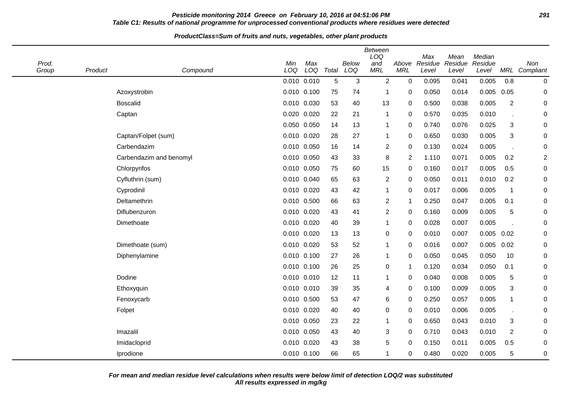# **Pesticide monitoring 2014 Greece on February 10, 2016 at 04:51:06 PM 291 Table C1: Results of national programme for unprocessed conventional products where residues were detected**

#### **ProductClass=Sum of fruits and nuts, vegetables, other plant products**

| Prod.<br>Group | Product | Compound                | Min<br>LOQ  | Max<br>LOQ  | Total | Below<br>LOQ | <b>Between</b><br>LOQ<br>and<br><b>MRL</b> | Above<br><b>MRL</b> | Max<br>Residue<br>Level | Mean<br>Residue<br>Level | Median<br>Residue<br>Level | MRL                       | Non<br>Compliant |
|----------------|---------|-------------------------|-------------|-------------|-------|--------------|--------------------------------------------|---------------------|-------------------------|--------------------------|----------------------------|---------------------------|------------------|
|                |         |                         | 0.010 0.010 |             | 5     | 3            | $\overline{2}$                             | $\mathbf 0$         | 0.095                   | 0.041                    | 0.005                      | 0.8                       | $\boldsymbol{0}$ |
|                |         | Azoxystrobin            | 0.010 0.100 |             | 75    | 74           | $\mathbf{1}$                               | $\mathbf 0$         | 0.050                   | 0.014                    | $0.005$ 0.05               |                           | 0                |
|                |         | <b>Boscalid</b>         | 0.010 0.030 |             | 53    | 40           | 13                                         | 0                   | 0.500                   | 0.038                    | 0.005                      | $\overline{2}$            | 0                |
|                |         | Captan                  | 0.020 0.020 |             | 22    | 21           | 1                                          | 0                   | 0.570                   | 0.035                    | 0.010                      |                           | 0                |
|                |         |                         | 0.050 0.050 |             | 14    | 13           | 1                                          | 0                   | 0.740                   | 0.076                    | 0.025                      | $\ensuremath{\mathsf{3}}$ | 0                |
|                |         | Captan/Folpet (sum)     | 0.010 0.020 |             | 28    | 27           | 1                                          | 0                   | 0.650                   | 0.030                    | 0.005                      | 3                         | 0                |
|                |         | Carbendazim             | 0.010 0.050 |             | 16    | 14           | $\overline{\mathbf{c}}$                    | $\mathbf 0$         | 0.130                   | 0.024                    | 0.005                      |                           | 0                |
|                |         | Carbendazim and benomyl | 0.010 0.050 |             | 43    | 33           | 8                                          | $\overline{2}$      | 1.110                   | 0.071                    | 0.005                      | 0.2                       | $\boldsymbol{2}$ |
|                |         | Chlorpyrifos            | 0.010 0.050 |             | 75    | 60           | 15                                         | $\mathbf 0$         | 0.160                   | 0.017                    | 0.005                      | 0.5                       | 0                |
|                |         | Cyfluthrin (sum)        | 0.010 0.040 |             | 65    | 63           | $\overline{c}$                             | 0                   | 0.050                   | 0.011                    | 0.010                      | 0.2                       | 0                |
|                |         | Cyprodinil              | 0.010 0.020 |             | 43    | 42           | 1                                          | 0                   | 0.017                   | 0.006                    | 0.005                      | $\mathbf 1$               | 0                |
|                |         | Deltamethrin            | 0.010 0.500 |             | 66    | 63           | $\overline{\mathbf{c}}$                    | $\mathbf 1$         | 0.250                   | 0.047                    | 0.005                      | 0.1                       | 0                |
|                |         | Diflubenzuron           | 0.010 0.020 |             | 43    | 41           | $\overline{\mathbf{c}}$                    | 0                   | 0.160                   | 0.009                    | 0.005                      | 5                         | 0                |
|                |         | Dimethoate              | 0.010 0.020 |             | 40    | 39           | 1                                          | 0                   | 0.028                   | 0.007                    | 0.005                      |                           | 0                |
|                |         |                         | 0.010 0.020 |             | 13    | 13           | 0                                          | $\mathbf 0$         | 0.010                   | 0.007                    | 0.005                      | 0.02                      | 0                |
|                |         | Dimethoate (sum)        | 0.010 0.020 |             | 53    | 52           | 1                                          | $\mathbf 0$         | 0.016                   | 0.007                    | 0.005                      | 0.02                      | 0                |
|                |         | Diphenylamine           | 0.010 0.100 |             | 27    | 26           | 1                                          | 0                   | 0.050                   | 0.045                    | 0.050                      | 10                        | 0                |
|                |         |                         | 0.010 0.100 |             | 26    | 25           | 0                                          | $\mathbf 1$         | 0.120                   | 0.034                    | 0.050                      | 0.1                       | 0                |
|                |         | Dodine                  | 0.010 0.010 |             | 12    | 11           | 1                                          | 0                   | 0.040                   | 0.008                    | 0.005                      | 5                         | 0                |
|                |         | Ethoxyquin              | 0.010 0.010 |             | 39    | 35           | 4                                          | 0                   | 0.100                   | 0.009                    | 0.005                      | 3                         | 0                |
|                |         | Fenoxycarb              | 0.010 0.500 |             | 53    | 47           | 6                                          | $\mathbf 0$         | 0.250                   | 0.057                    | 0.005                      | $\mathbf{1}$              | 0                |
|                |         | Folpet                  | 0.010 0.020 |             | 40    | 40           | 0                                          | 0                   | 0.010                   | 0.006                    | 0.005                      |                           | 0                |
|                |         |                         | 0.010 0.050 |             | 23    | 22           | 1                                          | $\mathbf 0$         | 0.650                   | 0.043                    | 0.010                      | 3                         | 0                |
|                |         | Imazalil                | 0.010 0.050 |             | 43    | 40           | 3                                          | 0                   | 0.710                   | 0.043                    | 0.010                      | $\overline{2}$            | 0                |
|                |         | Imidacloprid            | 0.010 0.020 |             | 43    | 38           | 5                                          | 0                   | 0.150                   | 0.011                    | 0.005                      | 0.5                       | 0                |
|                |         | Iprodione               |             | 0.010 0.100 | 66    | 65           | 1                                          | 0                   | 0.480                   | 0.020                    | 0.005                      | 5                         | 0                |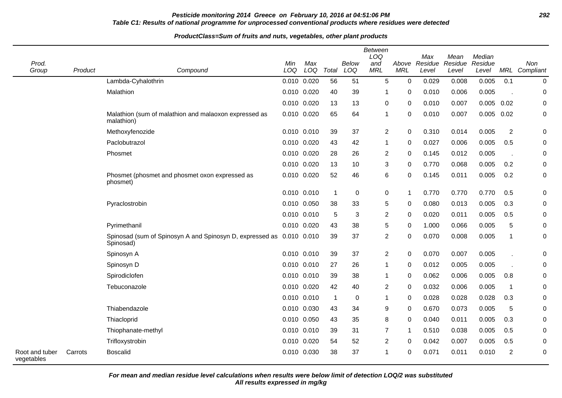# **Pesticide monitoring 2014 Greece on February 10, 2016 at 04:51:06 PM 292 Table C1: Results of national programme for unprocessed conventional products where residues were detected**

#### **ProductClass=Sum of fruits and nuts, vegetables, other plant products**

|                              |         |                                                                             |             |             |                |                     | Between<br>LOQ    |                     | Max              | Mean             | Median           |                |                      |
|------------------------------|---------|-----------------------------------------------------------------------------|-------------|-------------|----------------|---------------------|-------------------|---------------------|------------------|------------------|------------------|----------------|----------------------|
| Prod.<br>Group               | Product | Compound                                                                    | Min<br>LOQ  | Max<br>LOQ  | Total          | <b>Below</b><br>LOQ | and<br><b>MRL</b> | Above<br><b>MRL</b> | Residue<br>Level | Residue<br>Level | Residue<br>Level |                | Non<br>MRL Compliant |
|                              |         | Lambda-Cyhalothrin                                                          | 0.010       | 0.020       | 56             | 51                  | 5                 | 0                   | 0.029            | 0.008            | 0.005            | 0.1            | $\mathbf 0$          |
|                              |         | Malathion                                                                   | 0.010 0.020 |             | 40             | 39                  | 1                 | $\Omega$            | 0.010            | 0.006            | 0.005            |                | $\mathbf 0$          |
|                              |         |                                                                             | 0.010       | 0.020       | 13             | 13                  | $\mathbf 0$       | 0                   | 0.010            | 0.007            | $0.005$ 0.02     |                | 0                    |
|                              |         | Malathion (sum of malathion and malaoxon expressed as<br>malathion)         | 0.010       | 0.020       | 65             | 64                  | 1                 | 0                   | 0.010            | 0.007            | $0.005$ 0.02     |                | $\pmb{0}$            |
|                              |         | Methoxyfenozide                                                             | 0.010 0.010 |             | 39             | 37                  | $\overline{c}$    | 0                   | 0.310            | 0.014            | 0.005            | $\overline{2}$ | 0                    |
|                              |         | Paclobutrazol                                                               | 0.010 0.020 |             | 43             | 42                  | 1                 | 0                   | 0.027            | 0.006            | 0.005            | 0.5            | 0                    |
|                              |         | Phosmet                                                                     | 0.010 0.020 |             | 28             | 26                  | 2                 | 0                   | 0.145            | 0.012            | 0.005            |                | 0                    |
|                              |         |                                                                             | 0.010       | 0.020       | 13             | 10                  | 3                 | 0                   | 0.770            | 0.068            | 0.005            | 0.2            | 0                    |
|                              |         | Phosmet (phosmet and phosmet oxon expressed as<br>phosmet)                  | 0.010       | 0.020       | 52             | 46                  | 6                 | 0                   | 0.145            | 0.011            | 0.005            | 0.2            | $\mathbf 0$          |
|                              |         |                                                                             |             | 0.010 0.010 | $\overline{1}$ | $\mathbf 0$         | 0                 | -1                  | 0.770            | 0.770            | 0.770            | 0.5            | 0                    |
|                              |         | Pyraclostrobin                                                              | 0.010 0.050 |             | 38             | 33                  | 5                 | 0                   | 0.080            | 0.013            | 0.005            | 0.3            | 0                    |
|                              |         |                                                                             | 0.010 0.010 |             | $\sqrt{5}$     | $\sqrt{3}$          | $\overline{c}$    | 0                   | 0.020            | 0.011            | 0.005            | 0.5            | $\pmb{0}$            |
|                              |         | Pyrimethanil                                                                | 0.010 0.020 |             | 43             | 38                  | 5                 | 0                   | 1.000            | 0.066            | 0.005            | 5              | 0                    |
|                              |         | Spinosad (sum of Spinosyn A and Spinosyn D, expressed as 0.010<br>Spinosad) |             | 0.010       | 39             | 37                  | 2                 | 0                   | 0.070            | 0.008            | 0.005            | $\mathbf{1}$   | 0                    |
|                              |         | Spinosyn A                                                                  |             | 0.010 0.010 | 39             | 37                  | $\overline{c}$    | 0                   | 0.070            | 0.007            | 0.005            |                | 0                    |
|                              |         | Spinosyn D                                                                  | 0.010       | 0.010       | 27             | 26                  | 1                 | 0                   | 0.012            | 0.005            | 0.005            |                | $\pmb{0}$            |
|                              |         | Spirodiclofen                                                               |             | 0.010 0.010 | 39             | 38                  | 1                 | 0                   | 0.062            | 0.006            | 0.005            | 0.8            | 0                    |
|                              |         | Tebuconazole                                                                | 0.010 0.020 |             | 42             | 40                  | $\overline{c}$    | 0                   | 0.032            | 0.006            | 0.005            | $\mathbf 1$    | 0                    |
|                              |         |                                                                             | 0.010 0.010 |             | $\mathbf{1}$   | $\mathbf 0$         | 1                 | 0                   | 0.028            | 0.028            | 0.028            | 0.3            | 0                    |
|                              |         | Thiabendazole                                                               | 0.010 0.030 |             | 43             | 34                  | 9                 | 0                   | 0.670            | 0.073            | 0.005            | 5              | 0                    |
|                              |         | Thiacloprid                                                                 | 0.010 0.050 |             | 43             | 35                  | 8                 | 0                   | 0.040            | 0.011            | 0.005            | 0.3            | $\pmb{0}$            |
|                              |         | Thiophanate-methyl                                                          | 0.010       | 0.010       | 39             | 31                  | $\overline{7}$    | -1                  | 0.510            | 0.038            | 0.005            | 0.5            | $\mathbf 0$          |
|                              |         | Trifloxystrobin                                                             | 0.010       | 0.020       | 54             | 52                  | 2                 | 0                   | 0.042            | 0.007            | 0.005            | 0.5            | 0                    |
| Root and tuber<br>vegetables | Carrots | <b>Boscalid</b>                                                             | 0.010 0.030 |             | 38             | 37                  | 1                 | 0                   | 0.071            | 0.011            | 0.010            | $\overline{2}$ | 0                    |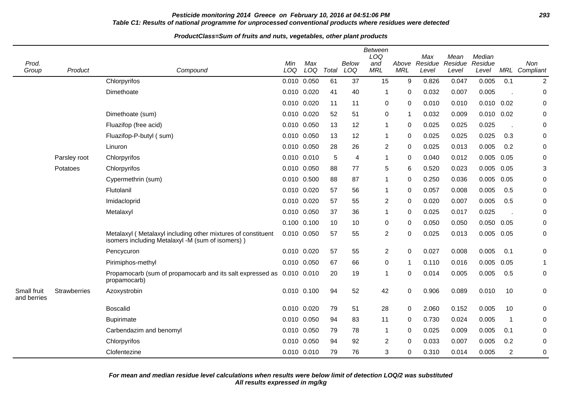# **Pesticide monitoring 2014 Greece on February 10, 2016 at 04:51:06 PM 293 Table C1: Results of national programme for unprocessed conventional products where residues were detected**

| Prod.<br>Group             | Product      | Compound                                                                                                         | Min<br>LOQ  | Max<br>LOQ | Total | Below<br>LOQ | <b>Between</b><br>LOQ<br>and<br><b>MRL</b> | Above<br><b>MRL</b> | Max<br>Residue<br>Level | Mean<br>Residue<br>Level | Median<br>Residue<br>Level |                | Non<br>MRL Compliant |
|----------------------------|--------------|------------------------------------------------------------------------------------------------------------------|-------------|------------|-------|--------------|--------------------------------------------|---------------------|-------------------------|--------------------------|----------------------------|----------------|----------------------|
|                            |              | Chlorpyrifos                                                                                                     | 0.010       | 0.050      | 61    | 37           | 15                                         | 9                   | 0.826                   | 0.047                    | 0.005                      | 0.1            | $\overline{2}$       |
|                            |              | Dimethoate                                                                                                       | 0.010 0.020 |            | 41    | 40           | $\mathbf 1$                                | $\Omega$            | 0.032                   | 0.007                    | 0.005                      |                | 0                    |
|                            |              |                                                                                                                  | 0.010       | 0.020      | 11    | 11           | $\mathbf 0$                                | 0                   | 0.010                   | 0.010                    | 0.010                      | 0.02           | $\boldsymbol{0}$     |
|                            |              | Dimethoate (sum)                                                                                                 | 0.010       | 0.020      | 52    | 51           | 0                                          | 1                   | 0.032                   | 0.009                    | 0.010                      | 0.02           | $\mathbf 0$          |
|                            |              | Fluazifop (free acid)                                                                                            | 0.010       | 0.050      | 13    | 12           | 1                                          | $\Omega$            | 0.025                   | 0.025                    | 0.025                      |                | 0                    |
|                            |              | Fluazifop-P-butyl (sum)                                                                                          | 0.010       | 0.050      | 13    | 12           | $\mathbf{1}$                               | 0                   | 0.025                   | 0.025                    | 0.025                      | 0.3            | $\mathbf 0$          |
|                            |              | Linuron                                                                                                          | 0.010       | 0.050      | 28    | 26           | $\overline{2}$                             | 0                   | 0.025                   | 0.013                    | 0.005                      | 0.2            | 0                    |
|                            | Parsley root | Chlorpyrifos                                                                                                     | 0.010 0.010 |            | 5     | 4            | $\mathbf{1}$                               | 0                   | 0.040                   | 0.012                    | 0.005                      | 0.05           | 0                    |
|                            | Potatoes     | Chlorpyrifos                                                                                                     | 0.010       | 0.050      | 88    | 77           | 5                                          | 6                   | 0.520                   | 0.023                    | 0.005                      | 0.05           | 3                    |
|                            |              | Cypermethrin (sum)                                                                                               | 0.010       | 0.500      | 88    | 87           | 1                                          | 0                   | 0.250                   | 0.036                    | 0.005                      | 0.05           | 0                    |
|                            |              | Flutolanil                                                                                                       | 0.010       | 0.020      | 57    | 56           | $\mathbf{1}$                               | 0                   | 0.057                   | 0.008                    | 0.005                      | 0.5            | 0                    |
|                            |              | Imidacloprid                                                                                                     | 0.010       | 0.020      | 57    | 55           | $\overline{2}$                             | 0                   | 0.020                   | 0.007                    | 0.005                      | 0.5            | 0                    |
|                            |              | Metalaxyl                                                                                                        | 0.010       | 0.050      | 37    | 36           | $\mathbf{1}$                               | 0                   | 0.025                   | 0.017                    | 0.025                      |                | $\mathbf 0$          |
|                            |              |                                                                                                                  | 0.100 0.100 |            | 10    | 10           | 0                                          | 0                   | 0.050                   | 0.050                    | $0.050$ $0.05$             |                | $\mathbf 0$          |
|                            |              | Metalaxyl (Metalaxyl including other mixtures of constituent<br>isomers including Metalaxyl -M (sum of isomers)) | 0.010       | 0.050      | 57    | 55           | $\overline{2}$                             | 0                   | 0.025                   | 0.013                    | 0.005                      | 0.05           | $\mathbf 0$          |
|                            |              | Pencycuron                                                                                                       | 0.010 0.020 |            | 57    | 55           | $\overline{2}$                             | 0                   | 0.027                   | 0.008                    | 0.005                      | 0.1            | $\mathbf 0$          |
|                            |              | Pirimiphos-methyl                                                                                                | 0.010       | 0.050      | 67    | 66           | 0                                          | 1                   | 0.110                   | 0.016                    | 0.005                      | 0.05           | -1                   |
|                            |              | Propamocarb (sum of propamocarb and its salt expressed as 0.010 0.010<br>propamocarb)                            |             |            | 20    | 19           | 1                                          | 0                   | 0.014                   | 0.005                    | 0.005                      | 0.5            | 0                    |
| Small fruit<br>and berries | Strawberries | Azoxystrobin                                                                                                     | 0.010 0.100 |            | 94    | 52           | 42                                         | 0                   | 0.906                   | 0.089                    | 0.010                      | 10             | 0                    |
|                            |              | <b>Boscalid</b>                                                                                                  | 0.010       | 0.020      | 79    | 51           | 28                                         | $\Omega$            | 2.060                   | 0.152                    | 0.005                      | 10             | $\mathbf 0$          |
|                            |              | <b>Bupirimate</b>                                                                                                | 0.010       | 0.050      | 94    | 83           | 11                                         | $\Omega$            | 0.730                   | 0.024                    | 0.005                      | $\overline{1}$ | 0                    |
|                            |              | Carbendazim and benomyl                                                                                          | 0.010       | 0.050      | 79    | 78           | -1                                         | 0                   | 0.025                   | 0.009                    | 0.005                      | 0.1            | 0                    |
|                            |              | Chlorpyrifos                                                                                                     | 0.010       | 0.050      | 94    | 92           | 2                                          | 0                   | 0.033                   | 0.007                    | 0.005                      | 0.2            | 0                    |
|                            |              | Clofentezine                                                                                                     | 0.010 0.010 |            | 79    | 76           | 3                                          | 0                   | 0.310                   | 0.014                    | 0.005                      | $\overline{2}$ | 0                    |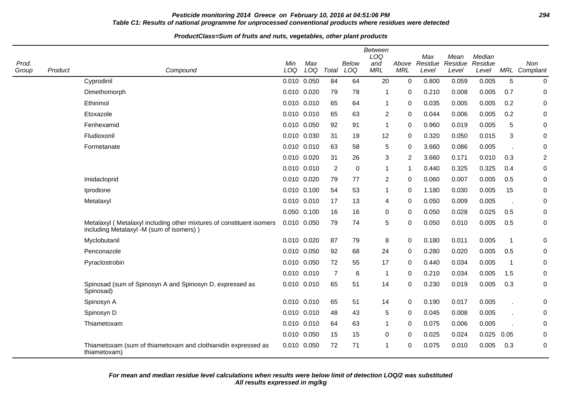# **Pesticide monitoring 2014 Greece on February 10, 2016 at 04:51:06 PM 294 Table C1: Results of national programme for unprocessed conventional products where residues were detected**

| Prod.<br>Group | Product | Compound                                                                                                         | Min<br>LOQ      | Max<br>LOQ | Total          | <b>Below</b><br>LOQ | <b>Between</b><br>LOQ<br>and<br><b>MRL</b> | Above<br><b>MRL</b> | Max<br>Residue<br>Level | Mean<br>Residue<br>Level | Median<br>Residue<br>Level |                | Non<br>MRL Compliant |
|----------------|---------|------------------------------------------------------------------------------------------------------------------|-----------------|------------|----------------|---------------------|--------------------------------------------|---------------------|-------------------------|--------------------------|----------------------------|----------------|----------------------|
|                |         | Cyprodinil                                                                                                       | 0.010 0.050     |            | 84             | 64                  | 20                                         | $\mathbf 0$         | 0.800                   | 0.059                    | 0.005                      | 5              | $\pmb{0}$            |
|                |         | Dimethomorph                                                                                                     | 0.010 0.020     |            | 79             | 78                  | 1                                          | 0                   | 0.210                   | 0.008                    | 0.005                      | 0.7            | $\mathbf 0$          |
|                |         | Ethirimol                                                                                                        | 0.010 0.010     |            | 65             | 64                  | 1                                          | $\mathbf 0$         | 0.035                   | 0.005                    | 0.005                      | 0.2            | $\pmb{0}$            |
|                |         | Etoxazole                                                                                                        | 0.010 0.010     |            | 65             | 63                  | $\overline{c}$                             | $\mathbf 0$         | 0.044                   | 0.006                    | 0.005                      | 0.2            | 0                    |
|                |         | Fenhexamid                                                                                                       | 0.010 0.050     |            | 92             | 91                  | 1                                          | 0                   | 0.960                   | 0.019                    | 0.005                      | 5              | 0                    |
|                |         | Fludioxonil                                                                                                      | 0.010 0.030     |            | 31             | 19                  | 12                                         | $\Omega$            | 0.320                   | 0.050                    | 0.015                      | 3              | 0                    |
|                |         | Formetanate                                                                                                      | 0.010 0.010     |            | 63             | 58                  | 5                                          | $\mathbf 0$         | 3.660                   | 0.086                    | 0.005                      |                | $\pmb{0}$            |
|                |         |                                                                                                                  | 0.010 0.020     |            | 31             | 26                  | 3                                          | $\overline{2}$      | 3.660                   | 0.171                    | 0.010                      | 0.3            | $\overline{2}$       |
|                |         |                                                                                                                  | 0.010 0.010     |            | $\overline{2}$ | 0                   | 1                                          | $\mathbf{1}$        | 0.440                   | 0.325                    | 0.325                      | 0.4            | 0                    |
|                |         | Imidacloprid                                                                                                     | 0.010 0.020     |            | 79             | 77                  | 2                                          | $\Omega$            | 0.060                   | 0.007                    | 0.005                      | 0.5            | 0                    |
|                |         | Iprodione                                                                                                        | 0.010 0.100     |            | 54             | 53                  | $\mathbf{1}$                               | $\mathbf 0$         | 1.180                   | 0.030                    | 0.005                      | 15             | $\pmb{0}$            |
|                |         | Metalaxyl                                                                                                        | 0.010 0.010     |            | 17             | 13                  | 4                                          | $\mathbf 0$         | 0.050                   | 0.009                    | 0.005                      | $\overline{a}$ | 0                    |
|                |         |                                                                                                                  | 0.050 0.100     |            | 16             | 16                  | $\pmb{0}$                                  | 0                   | 0.050                   | 0.028                    | 0.025                      | 0.5            | 0                    |
|                |         | Metalaxyl (Metalaxyl including other mixtures of constituent isomers<br>including Metalaxyl -M (sum of isomers)) | 0.010 0.050     |            | 79             | 74                  | 5                                          | $\Omega$            | 0.050                   | 0.010                    | 0.005                      | 0.5            | 0                    |
|                |         | Myclobutanil                                                                                                     | 0.010 0.020     |            | 87             | 79                  | 8                                          | $\mathbf{0}$        | 0.180                   | 0.011                    | 0.005                      | $\mathbf{1}$   | $\pmb{0}$            |
|                |         | Penconazole                                                                                                      | 0.010 0.050     |            | 92             | 68                  | 24                                         | 0                   | 0.280                   | 0.020                    | 0.005                      | 0.5            | 0                    |
|                |         | Pyraclostrobin                                                                                                   | 0.010 0.050     |            | 72             | 55                  | 17                                         | 0                   | 0.440                   | 0.034                    | 0.005                      | 1              | 0                    |
|                |         |                                                                                                                  | 0.010 0.010     |            | $\overline{7}$ | 6                   | 1                                          | $\Omega$            | 0.210                   | 0.034                    | 0.005                      | 1.5            | 0                    |
|                |         | Spinosad (sum of Spinosyn A and Spinosyn D, expressed as<br>Spinosad)                                            | $0.010$ $0.010$ |            | 65             | 51                  | 14                                         | $\Omega$            | 0.230                   | 0.019                    | 0.005                      | 0.3            | $\pmb{0}$            |
|                |         | Spinosyn A                                                                                                       | $0.010$ $0.010$ |            | 65             | 51                  | 14                                         | $\mathbf 0$         | 0.190                   | 0.017                    | 0.005                      |                | 0                    |
|                |         | Spinosyn D                                                                                                       | 0.010 0.010     |            | 48             | 43                  | 5                                          | 0                   | 0.045                   | 0.008                    | 0.005                      |                | 0                    |
|                |         | Thiametoxam                                                                                                      | 0.010 0.010     |            | 64             | 63                  | $\mathbf{1}$                               | $\Omega$            | 0.075                   | 0.006                    | 0.005                      |                | $\mathbf 0$          |
|                |         |                                                                                                                  | 0.010 0.050     |            | 15             | 15                  | 0                                          | $\Omega$            | 0.025                   | 0.024                    | 0.025                      | 0.05           | $\mathbf 0$          |
|                |         | Thiametoxam (sum of thiametoxam and clothianidin expressed as<br>thiametoxam)                                    | 0.010 0.050     |            | 72             | 71                  | 1                                          | 0                   | 0.075                   | 0.010                    | 0.005                      | 0.3            | $\mathbf 0$          |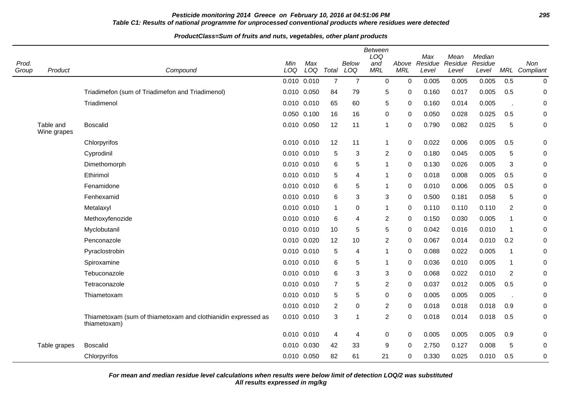# **Pesticide monitoring 2014 Greece on February 10, 2016 at 04:51:06 PM 295 Table C1: Results of national programme for unprocessed conventional products where residues were detected**

#### **ProductClass=Sum of fruits and nuts, vegetables, other plant products**

| Prod.<br>Group | Product                  | Compound                                                                      | Min<br>LOQ      | Max<br>LOQ | Total          | <b>Below</b><br>LOQ | <b>Between</b><br>LOQ<br>and<br><b>MRL</b> | Above<br><b>MRL</b> | Max<br>Residue<br>Level | Mean<br>Residue<br>Level | Median<br>Residue<br>Level |                          | Non<br>MRL Compliant |
|----------------|--------------------------|-------------------------------------------------------------------------------|-----------------|------------|----------------|---------------------|--------------------------------------------|---------------------|-------------------------|--------------------------|----------------------------|--------------------------|----------------------|
|                |                          |                                                                               | 0.010 0.010     |            | $\overline{7}$ | $\overline{7}$      | $\mathbf 0$                                | $\mathbf 0$         | 0.005                   | 0.005                    | 0.005                      | 0.5                      | 0                    |
|                |                          | Triadimefon (sum of Triadimefon and Triadimenol)                              | 0.010 0.050     |            | 84             | 79                  | 5                                          | 0                   | 0.160                   | 0.017                    | 0.005                      | 0.5                      | 0                    |
|                |                          | Triadimenol                                                                   | 0.010 0.010     |            | 65             | 60                  | 5                                          | 0                   | 0.160                   | 0.014                    | 0.005                      |                          | 0                    |
|                |                          |                                                                               | 0.050 0.100     |            | 16             | 16                  | $\boldsymbol{0}$                           | $\Omega$            | 0.050                   | 0.028                    | 0.025                      | 0.5                      | 0                    |
|                | Table and<br>Wine grapes | <b>Boscalid</b>                                                               | 0.010 0.050     |            | 12             | 11                  | $\mathbf{1}$                               | 0                   | 0.790                   | 0.082                    | 0.025                      | 5                        | 0                    |
|                |                          | Chlorpyrifos                                                                  | 0.010 0.010     |            | 12             | 11                  | $\mathbf{1}$                               | 0                   | 0.022                   | 0.006                    | 0.005                      | 0.5                      | 0                    |
|                |                          | Cyprodinil                                                                    | 0.010 0.010     |            | 5              | 3                   | $\boldsymbol{2}$                           | 0                   | 0.180                   | 0.045                    | 0.005                      | 5                        | 0                    |
|                |                          | Dimethomorph                                                                  | 0.010 0.010     |            | 6              | 5                   | $\mathbf{1}$                               | $\mathbf 0$         | 0.130                   | 0.026                    | 0.005                      | 3                        | 0                    |
|                |                          | Ethirimol                                                                     | $0.010$ $0.010$ |            | 5              | 4                   | $\mathbf{1}$                               | 0                   | 0.018                   | 0.008                    | 0.005                      | 0.5                      | 0                    |
|                |                          | Fenamidone                                                                    | 0.010 0.010     |            | 6              | 5                   | $\mathbf{1}$                               | $\Omega$            | 0.010                   | 0.006                    | 0.005                      | 0.5                      | 0                    |
|                |                          | Fenhexamid                                                                    | $0.010$ $0.010$ |            | 6              | 3                   | 3                                          | $\mathbf 0$         | 0.500                   | 0.181                    | 0.058                      | 5                        | 0                    |
|                |                          | Metalaxyl                                                                     | 0.010 0.010     |            | $\mathbf{1}$   | 0                   | $\mathbf{1}$                               | $\Omega$            | 0.110                   | 0.110                    | 0.110                      | $\overline{2}$           | 0                    |
|                |                          | Methoxyfenozide                                                               | 0.010 0.010     |            | 6              | 4                   | $\overline{2}$                             | $\Omega$            | 0.150                   | 0.030                    | 0.005                      | $\mathbf 1$              | 0                    |
|                |                          | Myclobutanil                                                                  | 0.010 0.010     |            | 10             | 5                   | 5                                          | 0                   | 0.042                   | 0.016                    | 0.010                      | $\mathbf 1$              | 0                    |
|                |                          | Penconazole                                                                   | 0.010 0.020     |            | 12             | 10                  | $\overline{2}$                             | 0                   | 0.067                   | 0.014                    | 0.010                      | 0.2                      | 0                    |
|                |                          | Pyraclostrobin                                                                | 0.010 0.010     |            | 5              | 4                   | $\mathbf{1}$                               | 0                   | 0.088                   | 0.022                    | 0.005                      | $\mathbf 1$              | 0                    |
|                |                          | Spiroxamine                                                                   | 0.010 0.010     |            | 6              | 5                   | $\mathbf{1}$                               | 0                   | 0.036                   | 0.010                    | 0.005                      | $\mathbf 1$              | 0                    |
|                |                          | Tebuconazole                                                                  | 0.010 0.010     |            | 6              | 3                   | 3                                          | 0                   | 0.068                   | 0.022                    | 0.010                      | $\overline{2}$           | 0                    |
|                |                          | Tetraconazole                                                                 | 0.010 0.010     |            | $\overline{7}$ | 5                   | $\overline{2}$                             | $\Omega$            | 0.037                   | 0.012                    | 0.005                      | 0.5                      | 0                    |
|                |                          | Thiametoxam                                                                   | 0.010 0.010     |            | 5              | 5                   | 0                                          | $\Omega$            | 0.005                   | 0.005                    | 0.005                      | $\overline{\phantom{a}}$ | 0                    |
|                |                          |                                                                               | $0.010$ $0.010$ |            | $\overline{2}$ | 0                   | $\overline{2}$                             | $\Omega$            | 0.018                   | 0.018                    | 0.018                      | 0.9                      | 0                    |
|                |                          | Thiametoxam (sum of thiametoxam and clothianidin expressed as<br>thiametoxam) | 0.010 0.010     |            | 3              | 1                   | $\overline{2}$                             | 0                   | 0.018                   | 0.014                    | 0.018                      | 0.5                      | 0                    |
|                |                          |                                                                               | $0.010$ $0.010$ |            | 4              | 4                   | $\mathbf 0$                                | 0                   | 0.005                   | 0.005                    | 0.005                      | 0.9                      | 0                    |
|                | Table grapes             | <b>Boscalid</b>                                                               | 0.010 0.030     |            | 42             | 33                  | 9                                          | 0                   | 2.750                   | 0.127                    | 0.008                      | 5                        | 0                    |
|                |                          | Chlorpyrifos                                                                  | 0.010 0.050     |            | 82             | 61                  | 21                                         | $\Omega$            | 0.330                   | 0.025                    | 0.010                      | 0.5                      | 0                    |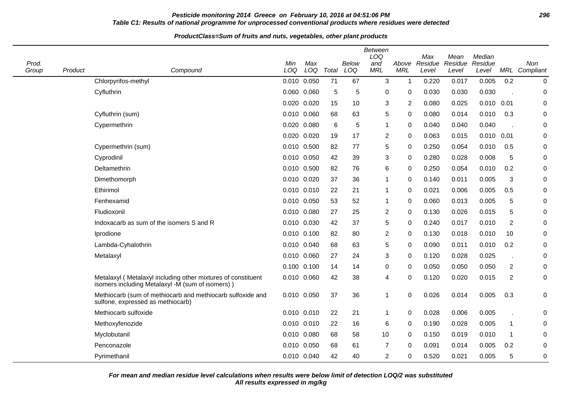# **Pesticide monitoring 2014 Greece on February 10, 2016 at 04:51:06 PM 296 Table C1: Results of national programme for unprocessed conventional products where residues were detected**

# **ProductClass=Sum of fruits and nuts, vegetables, other plant products**

| Prod.<br>Group | Product | Compound                                                                                                         | Min<br>LOQ  | Max<br>LOQ  | Total | <b>Below</b><br>LOQ | Between<br>LOQ<br>and<br><b>MRL</b> | Above<br><b>MRL</b> | Max<br>Residue<br>Level | Mean<br>Residue<br>Level | Median<br>Residue<br>Level |                | Non<br>MRL Compliant |
|----------------|---------|------------------------------------------------------------------------------------------------------------------|-------------|-------------|-------|---------------------|-------------------------------------|---------------------|-------------------------|--------------------------|----------------------------|----------------|----------------------|
|                |         | Chlorpyrifos-methyl                                                                                              |             | 0.010 0.050 | 71    | 67                  | 3                                   | 1                   | 0.220                   | 0.017                    | 0.005                      | 0.2            | 0                    |
|                |         | Cyfluthrin                                                                                                       |             | 0.060 0.060 | 5     | 5                   | 0                                   | 0                   | 0.030                   | 0.030                    | 0.030                      |                | 0                    |
|                |         |                                                                                                                  | 0.020 0.020 |             | 15    | 10                  | 3                                   | 2                   | 0.080                   | 0.025                    | 0.010                      | 0.01           | 0                    |
|                |         | Cyfluthrin (sum)                                                                                                 |             | 0.010 0.060 | 68    | 63                  | 5                                   | 0                   | 0.080                   | 0.014                    | 0.010                      | 0.3            | 0                    |
|                |         | Cypermethrin                                                                                                     | 0.020 0.080 |             | 6     | 5                   | 1                                   | 0                   | 0.040                   | 0.040                    | 0.040                      |                | 0                    |
|                |         |                                                                                                                  |             | 0.020 0.020 | 19    | 17                  | 2                                   | 0                   | 0.063                   | 0.015                    | $0.010$ $0.01$             |                | 0                    |
|                |         | Cypermethrin (sum)                                                                                               |             | 0.010 0.500 | 82    | 77                  | 5                                   | 0                   | 0.250                   | 0.054                    | 0.010                      | 0.5            | 0                    |
|                |         | Cyprodinil                                                                                                       | 0.010 0.050 |             | 42    | 39                  | 3                                   | 0                   | 0.280                   | 0.028                    | 0.008                      | 5              | 0                    |
|                |         | Deltamethrin                                                                                                     |             | 0.010 0.500 | 82    | 76                  | 6                                   | 0                   | 0.250                   | 0.054                    | 0.010                      | 0.2            | 0                    |
|                |         | Dimethomorph                                                                                                     | 0.010 0.020 |             | 37    | 36                  | 1                                   | 0                   | 0.140                   | 0.011                    | 0.005                      | 3              | 0                    |
|                |         | Ethirimol                                                                                                        | 0.010 0.010 |             | 22    | 21                  | 1                                   | 0                   | 0.021                   | 0.006                    | 0.005                      | 0.5            | 0                    |
|                |         | Fenhexamid                                                                                                       | 0.010 0.050 |             | 53    | 52                  | 1                                   | 0                   | 0.060                   | 0.013                    | 0.005                      | 5              | 0                    |
|                |         | Fludioxonil                                                                                                      | 0.010 0.080 |             | 27    | 25                  | 2                                   | 0                   | 0.130                   | 0.026                    | 0.015                      | 5              | 0                    |
|                |         | Indoxacarb as sum of the isomers S and R                                                                         | 0.010 0.030 |             | 42    | 37                  | 5                                   | 0                   | 0.240                   | 0.017                    | 0.010                      | $\overline{2}$ | 0                    |
|                |         | Iprodione                                                                                                        | 0.010 0.100 |             | 82    | 80                  | 2                                   | 0                   | 0.130                   | 0.018                    | 0.010                      | 10             | 0                    |
|                |         | Lambda-Cyhalothrin                                                                                               |             | 0.010 0.040 | 68    | 63                  | 5                                   | 0                   | 0.090                   | 0.011                    | 0.010                      | 0.2            | 0                    |
|                |         | Metalaxyl                                                                                                        |             | 0.010 0.060 | 27    | 24                  | 3                                   | 0                   | 0.120                   | 0.028                    | 0.025                      | k,             | 0                    |
|                |         |                                                                                                                  | 0.100 0.100 |             | 14    | 14                  | 0                                   | 0                   | 0.050                   | 0.050                    | 0.050                      | $\overline{2}$ | 0                    |
|                |         | Metalaxyl (Metalaxyl including other mixtures of constituent<br>isomers including Metalaxyl -M (sum of isomers)) | 0.010 0.060 |             | 42    | 38                  | 4                                   | 0                   | 0.120                   | 0.020                    | 0.015                      | $\overline{2}$ | 0                    |
|                |         | Methiocarb (sum of methiocarb and methiocarb sulfoxide and<br>sulfone, expressed as methiocarb)                  |             | 0.010 0.050 | 37    | 36                  | 1                                   | 0                   | 0.026                   | 0.014                    | 0.005                      | 0.3            | 0                    |
|                |         | Methiocarb sulfoxide                                                                                             |             | 0.010 0.010 | 22    | 21                  | 1                                   | 0                   | 0.028                   | 0.006                    | 0.005                      |                | 0                    |
|                |         | Methoxyfenozide                                                                                                  | 0.010 0.010 |             | 22    | 16                  | 6                                   | 0                   | 0.190                   | 0.028                    | 0.005                      | $\mathbf{1}$   | 0                    |
|                |         | Myclobutanil                                                                                                     | 0.010 0.080 |             | 68    | 58                  | 10                                  | 0                   | 0.150                   | 0.019                    | 0.010                      | $\mathbf{1}$   | 0                    |
|                |         | Penconazole                                                                                                      |             | 0.010 0.050 | 68    | 61                  | $\overline{7}$                      | 0                   | 0.091                   | 0.014                    | 0.005                      | 0.2            | $\mathbf 0$          |
|                |         | Pyrimethanil                                                                                                     |             | 0.010 0.040 | 42    | 40                  | 2                                   | 0                   | 0.520                   | 0.021                    | 0.005                      | 5              | 0                    |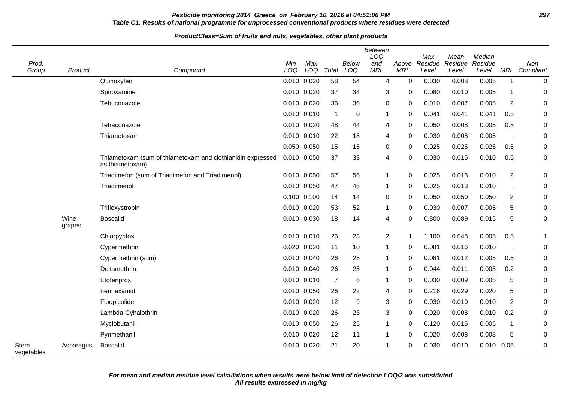# **Pesticide monitoring 2014 Greece on February 10, 2016 at 04:51:06 PM 297 Table C1: Results of national programme for unprocessed conventional products where residues were detected**

| Prod.<br>Group     | Product        | Compound                                                                      | Min<br>LOQ  | Max<br>LOQ | Total          | Below<br>LOQ | <b>Between</b><br>LOQ<br>and<br><b>MRL</b> | Above<br><b>MRL</b> | Max<br>Residue<br>Level | Mean<br>Residue<br>Level | Median<br>Residue<br>Level |                | Non<br>MRL Compliant |
|--------------------|----------------|-------------------------------------------------------------------------------|-------------|------------|----------------|--------------|--------------------------------------------|---------------------|-------------------------|--------------------------|----------------------------|----------------|----------------------|
|                    |                | Quinoxyfen                                                                    | 0.010 0.020 |            | 58             | 54           | $\overline{4}$                             | $\mathbf 0$         | 0.030                   | 0.008                    | 0.005                      | $\mathbf{1}$   | $\mathbf 0$          |
|                    |                | Spiroxamine                                                                   | 0.010 0.020 |            | 37             | 34           | 3                                          | 0                   | 0.080                   | 0.010                    | 0.005                      | $\mathbf{1}$   | $\pmb{0}$            |
|                    |                | Tebuconazole                                                                  | 0.010 0.020 |            | 36             | 36           | $\mathbf 0$                                | 0                   | 0.010                   | 0.007                    | 0.005                      | 2              | 0                    |
|                    |                |                                                                               | 0.010 0.010 |            | $\overline{1}$ | $\mathbf 0$  | -1                                         | $\mathbf 0$         | 0.041                   | 0.041                    | 0.041                      | 0.5            | 0                    |
|                    |                | Tetraconazole                                                                 | 0.010 0.020 |            | 48             | 44           | 4                                          | $\mathbf 0$         | 0.050                   | 0.008                    | 0.005                      | 0.5            | 0                    |
|                    |                | Thiametoxam                                                                   | 0.010 0.010 |            | 22             | 18           | 4                                          | 0                   | 0.030                   | 0.008                    | 0.005                      |                | 0                    |
|                    |                |                                                                               | 0.050 0.050 |            | 15             | 15           | 0                                          | $\mathbf 0$         | 0.025                   | 0.025                    | 0.025                      | 0.5            | 0                    |
|                    |                | Thiametoxam (sum of thiametoxam and clothianidin expressed<br>as thiametoxam) | 0.010 0.050 |            | 37             | 33           | 4                                          | $\mathbf 0$         | 0.030                   | 0.015                    | 0.010                      | 0.5            | $\mathbf 0$          |
|                    |                | Triadimefon (sum of Triadimefon and Triadimenol)                              | 0.010 0.050 |            | 57             | 56           | 1                                          | 0                   | 0.025                   | 0.013                    | 0.010                      | $\overline{c}$ | 0                    |
|                    |                | Triadimenol                                                                   | 0.010 0.050 |            | 47             | 46           | -1                                         | 0                   | 0.025                   | 0.013                    | 0.010                      |                | 0                    |
|                    |                |                                                                               | 0.100 0.100 |            | 14             | 14           | 0                                          | $\mathbf 0$         | 0.050                   | 0.050                    | 0.050                      | 2              | 0                    |
|                    |                | Trifloxystrobin                                                               | 0.010 0.020 |            | 53             | 52           | 1                                          | $\mathbf 0$         | 0.030                   | 0.007                    | 0.005                      | 5              | $\mathbf 0$          |
|                    | Wine<br>grapes | <b>Boscalid</b>                                                               | 0.010 0.030 |            | 18             | 14           | 4                                          | 0                   | 0.800                   | 0.089                    | 0.015                      | 5              | $\mathbf 0$          |
|                    |                | Chlorpyrifos                                                                  | 0.010 0.010 |            | 26             | 23           | 2                                          | $\mathbf 1$         | 1.100                   | 0.048                    | 0.005                      | 0.5            |                      |
|                    |                | Cypermethrin                                                                  | 0.020 0.020 |            | 11             | 10           | -1                                         | 0                   | 0.081                   | 0.016                    | 0.010                      | J.             | 0                    |
|                    |                | Cypermethrin (sum)                                                            | 0.010 0.040 |            | 26             | 25           | -1                                         | $\mathbf 0$         | 0.081                   | 0.012                    | 0.005                      | 0.5            | $\mathbf 0$          |
|                    |                | Deltamethrin                                                                  | 0.010 0.040 |            | 26             | 25           | -1                                         | 0                   | 0.044                   | 0.011                    | 0.005                      | 0.2            | 0                    |
|                    |                | Etofenprox                                                                    | 0.010 0.010 |            | $\overline{7}$ | 6            | -1                                         | 0                   | 0.030                   | 0.009                    | 0.005                      | 5              | 0                    |
|                    |                | Fenhexamid                                                                    | 0.010 0.050 |            | 26             | 22           | 4                                          | 0                   | 0.216                   | 0.029                    | 0.020                      | 5              | 0                    |
|                    |                | Fluopicolide                                                                  | 0.010 0.020 |            | 12             | 9            | 3                                          | $\mathbf 0$         | 0.030                   | 0.010                    | 0.010                      | $\overline{2}$ | $\mathbf 0$          |
|                    |                | Lambda-Cyhalothrin                                                            | 0.010 0.020 |            | 26             | 23           | 3                                          | $\mathbf 0$         | 0.020                   | 0.008                    | 0.010                      | 0.2            | 0                    |
|                    |                | Myclobutanil                                                                  | 0.010 0.050 |            | 26             | 25           | -1                                         | 0                   | 0.120                   | 0.015                    | 0.005                      | $\mathbf{1}$   | 0                    |
|                    |                | Pyrimethanil                                                                  | 0.010 0.020 |            | 12             | 11           | -1                                         | 0                   | 0.020                   | 0.008                    | 0.008                      | 5              | 0                    |
| Stem<br>vegetables | Asparagus      | <b>Boscalid</b>                                                               | 0.010 0.020 |            | 21             | 20           | -1                                         | $\mathbf 0$         | 0.030                   | 0.010                    | $0.010$ $0.05$             |                | $\mathbf 0$          |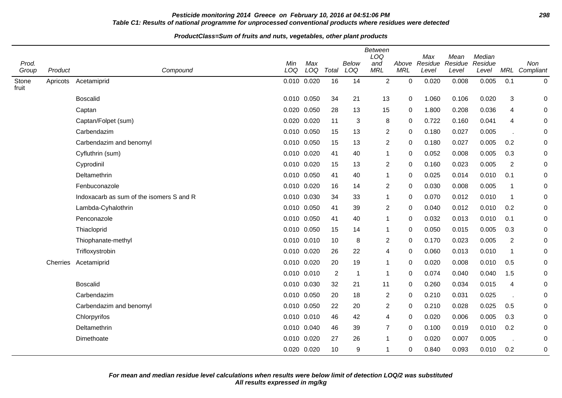# **Pesticide monitoring 2014 Greece on February 10, 2016 at 04:51:06 PM 298 Table C1: Results of national programme for unprocessed conventional products where residues were detected**

| Prod.          |          |                                          | Min         | Max         |                | Below       | Between<br>LOQ<br>and | Above       | Max<br>Residue | Mean<br>Residue | Median<br>Residue |                | Non           |
|----------------|----------|------------------------------------------|-------------|-------------|----------------|-------------|-----------------------|-------------|----------------|-----------------|-------------------|----------------|---------------|
| Group          | Product  | Compound                                 | LOQ         | LOQ         | Total          | LOQ         | <b>MRL</b>            | <b>MRL</b>  | Level          | Level           | Level             |                | MRL Compliant |
| Stone<br>fruit | Apricots | Acetamiprid                              | 0.010 0.020 |             | 16             | 14          | $\overline{2}$        | 0           | 0.020          | 0.008           | 0.005             | 0.1            | $\pmb{0}$     |
|                |          | <b>Boscalid</b>                          | 0.010 0.050 |             | 34             | 21          | 13                    | $\mathbf 0$ | 1.060          | 0.106           | 0.020             | 3              | 0             |
|                |          | Captan                                   | 0.020 0.050 |             | 28             | 13          | 15                    | 0           | 1.800          | 0.208           | 0.036             | 4              | 0             |
|                |          | Captan/Folpet (sum)                      | 0.020 0.020 |             | 11             | 3           | 8                     | 0           | 0.722          | 0.160           | 0.041             | $\overline{4}$ | 0             |
|                |          | Carbendazim                              | 0.010 0.050 |             | 15             | 13          | $\overline{2}$        | $\mathbf 0$ | 0.180          | 0.027           | 0.005             |                | 0             |
|                |          | Carbendazim and benomyl                  | 0.010 0.050 |             | 15             | 13          | $\overline{c}$        | 0           | 0.180          | 0.027           | 0.005             | 0.2            | 0             |
|                |          | Cyfluthrin (sum)                         | 0.010 0.020 |             | 41             | 40          | $\mathbf{1}$          | 0           | 0.052          | 0.008           | 0.005             | 0.3            | 0             |
|                |          | Cyprodinil                               | 0.010 0.020 |             | 15             | 13          | 2                     | $\mathbf 0$ | 0.160          | 0.023           | 0.005             | $\overline{2}$ | 0             |
|                |          | Deltamethrin                             | 0.010 0.050 |             | 41             | 40          | $\mathbf{1}$          | 0           | 0.025          | 0.014           | 0.010             | 0.1            | 0             |
|                |          | Fenbuconazole                            | 0.010 0.020 |             | 16             | 14          | $\mathbf{2}$          | 0           | 0.030          | 0.008           | 0.005             | $\mathbf{1}$   | 0             |
|                |          | Indoxacarb as sum of the isomers S and R | 0.010 0.030 |             | 34             | 33          | -1                    | 0           | 0.070          | 0.012           | 0.010             | $\mathbf 1$    | 0             |
|                |          | Lambda-Cyhalothrin                       | 0.010 0.050 |             | 41             | 39          | 2                     | 0           | 0.040          | 0.012           | 0.010             | 0.2            | 0             |
|                |          | Penconazole                              | 0.010 0.050 |             | 41             | 40          | $\mathbf{1}$          | $\Omega$    | 0.032          | 0.013           | 0.010             | 0.1            | 0             |
|                |          | Thiacloprid                              | 0.010 0.050 |             | 15             | 14          | 1                     | 0           | 0.050          | 0.015           | 0.005             | 0.3            | 0             |
|                |          | Thiophanate-methyl                       | 0.010 0.010 |             | 10             | 8           | $\overline{2}$        | $\Omega$    | 0.170          | 0.023           | 0.005             | $\overline{2}$ | 0             |
|                |          | Trifloxystrobin                          | 0.010 0.020 |             | 26             | 22          | 4                     | 0           | 0.060          | 0.013           | 0.010             | $\mathbf{1}$   | 0             |
|                | Cherries | Acetamiprid                              | 0.010 0.020 |             | 20             | 19          | $\mathbf{1}$          | 0           | 0.020          | 0.008           | 0.010             | 0.5            | 0             |
|                |          |                                          | 0.010 0.010 |             | $\overline{2}$ | $\mathbf 1$ | $\mathbf{1}$          | 0           | 0.074          | 0.040           | 0.040             | 1.5            | 0             |
|                |          | <b>Boscalid</b>                          | 0.010 0.030 |             | 32             | 21          | 11                    | 0           | 0.260          | 0.034           | 0.015             | 4              | 0             |
|                |          | Carbendazim                              | 0.010 0.050 |             | 20             | 18          | 2                     | 0           | 0.210          | 0.031           | 0.025             |                | 0             |
|                |          | Carbendazim and benomyl                  | 0.010 0.050 |             | 22             | 20          | 2                     | $\mathbf 0$ | 0.210          | 0.028           | 0.025             | 0.5            | 0             |
|                |          | Chlorpyrifos                             | 0.010 0.010 |             | 46             | 42          | 4                     | 0           | 0.020          | 0.006           | 0.005             | 0.3            | 0             |
|                |          | Deltamethrin                             | 0.010 0.040 |             | 46             | 39          | $\overline{7}$        | 0           | 0.100          | 0.019           | 0.010             | 0.2            | 0             |
|                |          | Dimethoate                               | 0.010 0.020 |             | 27             | 26          | 1                     | 0           | 0.020          | 0.007           | 0.005             | $\sim$         | 0             |
|                |          |                                          |             | 0.020 0.020 | 10             | 9           | $\mathbf 1$           | 0           | 0.840          | 0.093           | 0.010             | 0.2            | 0             |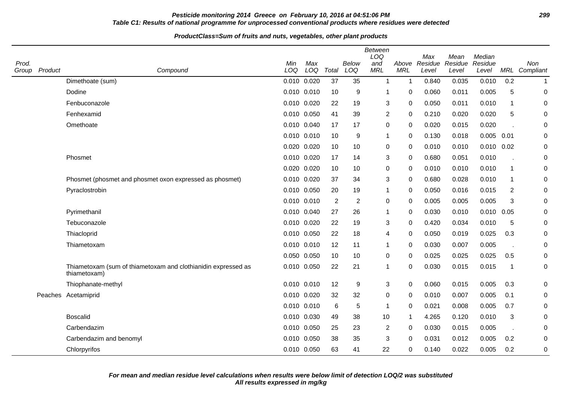# **Pesticide monitoring 2014 Greece on February 10, 2016 at 04:51:06 PM 299 Table C1: Results of national programme for unprocessed conventional products where residues were detected**

#### **ProductClass=Sum of fruits and nuts, vegetables, other plant products**

| Prod.<br>Group | Product | Compound                                                                      | Min<br>LOQ  | Max<br>LOQ  | Total          | Below<br>LOQ   | Between<br>LOQ<br>and<br><b>MRL</b> | Above<br><b>MRL</b> | Max<br>Residue<br>Level | Mean<br>Residue<br>Level | Median<br>Residue<br>Level | MRL            | Non<br>Compliant |
|----------------|---------|-------------------------------------------------------------------------------|-------------|-------------|----------------|----------------|-------------------------------------|---------------------|-------------------------|--------------------------|----------------------------|----------------|------------------|
|                |         | Dimethoate (sum)                                                              | 0.010 0.020 |             | 37             | 35             | $\overline{1}$                      | -1                  | 0.840                   | 0.035                    | 0.010                      | 0.2            | $\mathbf 1$      |
|                |         | Dodine                                                                        | 0.010 0.010 |             | 10             | 9              | 1                                   | 0                   | 0.060                   | 0.011                    | 0.005                      | 5              | $\mathbf 0$      |
|                |         | Fenbuconazole                                                                 | 0.010 0.020 |             | 22             | 19             | 3                                   | 0                   | 0.050                   | 0.011                    | 0.010                      | -1             | 0                |
|                |         | Fenhexamid                                                                    | 0.010 0.050 |             | 41             | 39             | $\overline{c}$                      | $\mathbf 0$         | 0.210                   | 0.020                    | 0.020                      | 5              | 0                |
|                |         | Omethoate                                                                     | 0.010 0.040 |             | 17             | 17             | 0                                   | $\Omega$            | 0.020                   | 0.015                    | 0.020                      |                | 0                |
|                |         |                                                                               | 0.010 0.010 |             | 10             | 9              | $\mathbf{1}$                        | 0                   | 0.130                   | 0.018                    | 0.005                      | 0.01           | 0                |
|                |         |                                                                               | 0.020 0.020 |             | 10             | 10             | 0                                   | 0                   | 0.010                   | 0.010                    | 0.010                      | 0.02           | $\mathbf 0$      |
|                |         | Phosmet                                                                       | 0.010 0.020 |             | 17             | 14             | 3                                   | 0                   | 0.680                   | 0.051                    | 0.010                      |                | 0                |
|                |         |                                                                               | 0.020 0.020 |             | 10             | 10             | 0                                   | 0                   | 0.010                   | 0.010                    | 0.010                      | $\mathbf 1$    | 0                |
|                |         | Phosmet (phosmet and phosmet oxon expressed as phosmet)                       |             | 0.010 0.020 | 37             | 34             | 3                                   | $\Omega$            | 0.680                   | 0.028                    | 0.010                      | -1             | 0                |
|                |         | Pyraclostrobin                                                                | 0.010 0.050 |             | 20             | 19             | $\mathbf{1}$                        | 0                   | 0.050                   | 0.016                    | 0.015                      | $\overline{c}$ | 0                |
|                |         |                                                                               | 0.010 0.010 |             | $\overline{2}$ | $\overline{c}$ | 0                                   | $\Omega$            | 0.005                   | 0.005                    | 0.005                      | 3              | 0                |
|                |         | Pyrimethanil                                                                  | 0.010 0.040 |             | 27             | 26             | $\mathbf{1}$                        | $\Omega$            | 0.030                   | 0.010                    | $0.010$ $0.05$             |                | 0                |
|                |         | Tebuconazole                                                                  | 0.010 0.020 |             | 22             | 19             | 3                                   | $\mathbf 0$         | 0.420                   | 0.034                    | 0.010                      | 5              | 0                |
|                |         | Thiacloprid                                                                   | 0.010 0.050 |             | 22             | 18             | 4                                   | $\Omega$            | 0.050                   | 0.019                    | 0.025                      | 0.3            | 0                |
|                |         | Thiametoxam                                                                   | 0.010 0.010 |             | 12             | 11             | $\mathbf{1}$                        | 0                   | 0.030                   | 0.007                    | 0.005                      |                | 0                |
|                |         |                                                                               | 0.050 0.050 |             | 10             | 10             | 0                                   | $\Omega$            | 0.025                   | 0.025                    | 0.025                      | 0.5            | $\mathbf 0$      |
|                |         | Thiametoxam (sum of thiametoxam and clothianidin expressed as<br>thiametoxam) |             | 0.010 0.050 | 22             | 21             | 1                                   | $\Omega$            | 0.030                   | 0.015                    | 0.015                      | -1             | $\pmb{0}$        |
|                |         | Thiophanate-methyl                                                            | 0.010 0.010 |             | 12             | 9              | 3                                   | 0                   | 0.060                   | 0.015                    | 0.005                      | 0.3            | 0                |
|                |         | Peaches Acetamiprid                                                           | 0.010 0.020 |             | 32             | 32             | 0                                   | 0                   | 0.010                   | 0.007                    | 0.005                      | 0.1            | 0                |
|                |         |                                                                               | 0.010 0.010 |             | 6              | 5              | $\mathbf 1$                         | 0                   | 0.021                   | 0.008                    | 0.005                      | 0.7            | 0                |
|                |         | <b>Boscalid</b>                                                               | 0.010 0.030 |             | 49             | 38             | 10                                  | -1                  | 4.265                   | 0.120                    | 0.010                      | 3              | 0                |
|                |         | Carbendazim                                                                   | 0.010 0.050 |             | 25             | 23             | $\overline{c}$                      | 0                   | 0.030                   | 0.015                    | 0.005                      |                | 0                |
|                |         | Carbendazim and benomyl                                                       | 0.010 0.050 |             | 38             | 35             | 3                                   | $\Omega$            | 0.031                   | 0.012                    | 0.005                      | 0.2            | $\mathbf 0$      |
|                |         | Chlorpyrifos                                                                  |             | 0.010 0.050 | 63             | 41             | 22                                  | 0                   | 0.140                   | 0.022                    | 0.005                      | 0.2            | $\mathbf 0$      |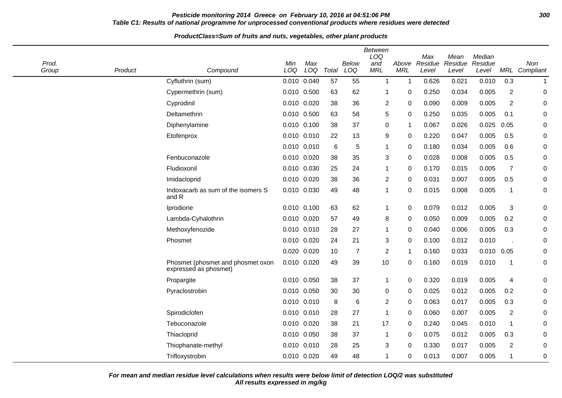# **Pesticide monitoring 2014 Greece on February 10, 2016 at 04:51:06 PM 300 Table C1: Results of national programme for unprocessed conventional products where residues were detected**

# **ProductClass=Sum of fruits and nuts, vegetables, other plant products**

| Prod.<br>Group | Product | Compound                                                   | Min<br>LOQ  | Max<br>LOQ  | Total | <b>Below</b><br>LOQ | <b>Between</b><br>LOQ<br>and<br><b>MRL</b> | Above<br><b>MRL</b> | Max<br>Residue<br>Level | Mean<br>Residue<br>Level | Median<br>Residue<br>Level | MRL            | Non<br>Compliant |
|----------------|---------|------------------------------------------------------------|-------------|-------------|-------|---------------------|--------------------------------------------|---------------------|-------------------------|--------------------------|----------------------------|----------------|------------------|
|                |         | Cyfluthrin (sum)                                           | 0.010       | 0.040       | 57    | 55                  | $\mathbf 1$                                | 1                   | 0.626                   | 0.021                    | 0.010                      | 0.3            | $\mathbf{1}$     |
|                |         | Cypermethrin (sum)                                         | 0.010       | 0.500       | 63    | 62                  | 1                                          | 0                   | 0.250                   | 0.034                    | 0.005                      | $\overline{2}$ | $\pmb{0}$        |
|                |         | Cyprodinil                                                 | 0.010       | 0.020       | 38    | 36                  | $\overline{c}$                             | 0                   | 0.090                   | 0.009                    | 0.005                      | $\overline{2}$ | $\pmb{0}$        |
|                |         | Deltamethrin                                               | 0.010 0.500 |             | 63    | 58                  | 5                                          | 0                   | 0.250                   | 0.035                    | 0.005                      | 0.1            | 0                |
|                |         | Diphenylamine                                              | 0.010       | 0.100       | 38    | 37                  | 0                                          | 1                   | 0.067                   | 0.026                    | 0.025                      | 0.05           | 0                |
|                |         | Etofenprox                                                 | 0.010 0.010 |             | 22    | 13                  | 9                                          | 0                   | 0.220                   | 0.047                    | 0.005                      | 0.5            | $\pmb{0}$        |
|                |         |                                                            | 0.010 0.010 |             | 6     | 5                   | -1                                         | 0                   | 0.180                   | 0.034                    | 0.005                      | 0.6            | 0                |
|                |         | Fenbuconazole                                              | 0.010       | 0.020       | 38    | 35                  | 3                                          | 0                   | 0.028                   | 0.008                    | 0.005                      | 0.5            | $\pmb{0}$        |
|                |         | Fludioxonil                                                | 0.010 0.030 |             | 25    | 24                  | 1                                          | 0                   | 0.170                   | 0.015                    | 0.005                      | $\overline{7}$ | $\pmb{0}$        |
|                |         | Imidacloprid                                               | 0.010 0.020 |             | 38    | 36                  | $\overline{c}$                             | 0                   | 0.031                   | 0.007                    | 0.005                      | 0.5            | $\pmb{0}$        |
|                |         | Indoxacarb as sum of the isomers S<br>and R                | 0.010       | 0.030       | 49    | 48                  | 1                                          | 0                   | 0.015                   | 0.008                    | 0.005                      | -1             | 0                |
|                |         | Iprodione                                                  | 0.010 0.100 |             | 63    | 62                  | 1                                          | 0                   | 0.079                   | 0.012                    | 0.005                      | $\sqrt{3}$     | $\pmb{0}$        |
|                |         | Lambda-Cyhalothrin                                         | 0.010 0.020 |             | 57    | 49                  | 8                                          | 0                   | 0.050                   | 0.009                    | 0.005                      | 0.2            | $\pmb{0}$        |
|                |         | Methoxyfenozide                                            | 0.010       | 0.010       | 28    | 27                  | $\mathbf{1}$                               | 0                   | 0.040                   | 0.006                    | 0.005                      | 0.3            | $\pmb{0}$        |
|                |         | Phosmet                                                    |             | 0.010 0.020 | 24    | 21                  | 3                                          | 0                   | 0.100                   | 0.012                    | 0.010                      |                | $\pmb{0}$        |
|                |         |                                                            | 0.020       | 0.020       | 10    | 7                   | $\overline{c}$                             | 1                   | 0.160                   | 0.033                    | 0.010                      | 0.05           | $\pmb{0}$        |
|                |         | Phosmet (phosmet and phosmet oxon<br>expressed as phosmet) | 0.010       | 0.020       | 49    | 39                  | 10                                         | 0                   | 0.160                   | 0.019                    | 0.010                      | $\overline{1}$ | 0                |
|                |         | Propargite                                                 | 0.010 0.050 |             | 38    | 37                  | 1                                          | 0                   | 0.320                   | 0.019                    | 0.005                      | 4              | 0                |
|                |         | Pyraclostrobin                                             | 0.010 0.050 |             | 30    | 30                  | 0                                          | 0                   | 0.025                   | 0.012                    | 0.005                      | 0.2            | 0                |
|                |         |                                                            | 0.010 0.010 |             | 8     | 6                   | $\overline{c}$                             | 0                   | 0.063                   | 0.017                    | 0.005                      | 0.3            | $\pmb{0}$        |
|                |         | Spirodiclofen                                              | 0.010 0.010 |             | 28    | 27                  | 1                                          | 0                   | 0.060                   | 0.007                    | 0.005                      | $\overline{2}$ | $\pmb{0}$        |
|                |         | Tebuconazole                                               | 0.010       | 0.020       | 38    | 21                  | 17                                         | 0                   | 0.240                   | 0.045                    | 0.010                      | $\overline{1}$ | 0                |
|                |         | Thiacloprid                                                | 0.010       | 0.050       | 38    | 37                  |                                            | 0                   | 0.075                   | 0.012                    | 0.005                      | 0.3            | 0                |
|                |         | Thiophanate-methyl                                         | 0.010       | 0.010       | 28    | 25                  | 3                                          | 0                   | 0.330                   | 0.017                    | 0.005                      | $\overline{2}$ | 0                |
|                |         | Trifloxystrobin                                            | 0.010       | 0.020       | 49    | 48                  |                                            | 0                   | 0.013                   | 0.007                    | 0.005                      | -1             | 0                |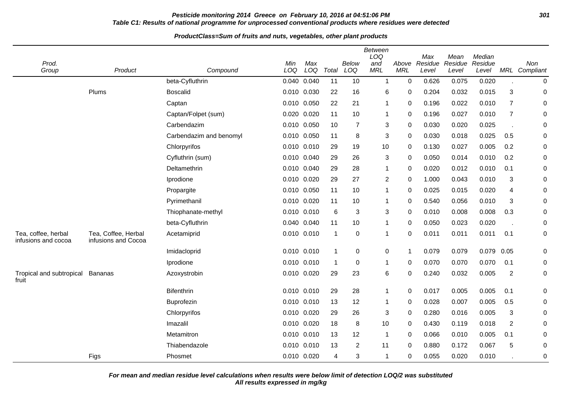# **Pesticide monitoring 2014 Greece on February 10, 2016 at 04:51:06 PM 301 Table C1: Results of national programme for unprocessed conventional products where residues were detected**

#### **ProductClass=Sum of fruits and nuts, vegetables, other plant products**

| Prod.<br>Group                             | Product                                    | Compound                | Min<br>LOQ | Max<br>LOQ      | Total          | <b>Below</b><br>LOQ | <b>Between</b><br>LOQ<br>and<br><b>MRL</b> | Above<br><b>MRL</b> | Max<br>Residue<br>Level | Mean<br>Residue<br>Level | Median<br>Residue<br>Level |                | Non<br>MRL Compliant |
|--------------------------------------------|--------------------------------------------|-------------------------|------------|-----------------|----------------|---------------------|--------------------------------------------|---------------------|-------------------------|--------------------------|----------------------------|----------------|----------------------|
|                                            |                                            | beta-Cyfluthrin         | 0.040      | 0.040           | 11             | 10                  | $\overline{1}$                             | $\pmb{0}$           | 0.626                   | 0.075                    | 0.020                      |                | $\pmb{0}$            |
|                                            | Plums                                      | <b>Boscalid</b>         |            | 0.010 0.030     | 22             | 16                  | 6                                          | 0                   | 0.204                   | 0.032                    | 0.015                      | 3              | 0                    |
|                                            |                                            | Captan                  | 0.010      | 0.050           | 22             | 21                  | 1                                          | 0                   | 0.196                   | 0.022                    | 0.010                      | $\overline{7}$ | $\pmb{0}$            |
|                                            |                                            | Captan/Folpet (sum)     |            | 0.020 0.020     | 11             | 10                  | 1                                          | 0                   | 0.196                   | 0.027                    | 0.010                      | $\overline{7}$ | 0                    |
|                                            |                                            | Carbendazim             |            | 0.010 0.050     | 10             | $\overline{7}$      | 3                                          | 0                   | 0.030                   | 0.020                    | 0.025                      |                | 0                    |
|                                            |                                            | Carbendazim and benomyl |            | 0.010 0.050     | 11             | 8                   | 3                                          | 0                   | 0.030                   | 0.018                    | 0.025                      | 0.5            | 0                    |
|                                            |                                            | Chlorpyrifos            |            | 0.010 0.010     | 29             | 19                  | 10                                         | 0                   | 0.130                   | 0.027                    | 0.005                      | 0.2            | $\pmb{0}$            |
|                                            |                                            | Cyfluthrin (sum)        |            | 0.010 0.040     | 29             | 26                  | 3                                          | 0                   | 0.050                   | 0.014                    | 0.010                      | 0.2            | 0                    |
|                                            |                                            | Deltamethrin            |            | 0.010 0.040     | 29             | 28                  | 1                                          | 0                   | 0.020                   | 0.012                    | 0.010                      | 0.1            | 0                    |
|                                            |                                            | Iprodione               | 0.010      | 0.020           | 29             | 27                  | 2                                          | $\mathbf 0$         | 1.000                   | 0.043                    | 0.010                      | 3              | 0                    |
|                                            |                                            | Propargite              |            | 0.010 0.050     | 11             | 10                  | 1                                          | 0                   | 0.025                   | 0.015                    | 0.020                      | 4              | $\pmb{0}$            |
|                                            |                                            | Pyrimethanil            |            | 0.010 0.020     | 11             | 10                  | 1                                          | 0                   | 0.540                   | 0.056                    | 0.010                      | 3              | 0                    |
|                                            |                                            | Thiophanate-methyl      |            | 0.010 0.010     | 6              | 3                   | 3                                          | $\mathbf 0$         | 0.010                   | 0.008                    | 0.008                      | 0.3            | $\pmb{0}$            |
|                                            |                                            | beta-Cyfluthrin         |            | 0.040 0.040     | 11             | 10                  | 1                                          | 0                   | 0.050                   | 0.023                    | 0.020                      |                | 0                    |
| Tea, coffee, herbal<br>infusions and cocoa | Tea, Coffee, Herbal<br>infusions and Cocoa | Acetamiprid             |            | 0.010 0.010     | $\overline{1}$ | $\mathbf 0$         | -1                                         | $\mathbf 0$         | 0.011                   | 0.011                    | 0.011                      | 0.1            | 0                    |
|                                            |                                            | Imidacloprid            |            | $0.010$ $0.010$ | -1             | $\pmb{0}$           | 0                                          | $\overline{1}$      | 0.079                   | 0.079                    | 0.079                      | 0.05           | 0                    |
|                                            |                                            | Iprodione               |            | 0.010 0.010     | -1             | 0                   | 1                                          | 0                   | 0.070                   | 0.070                    | 0.070                      | 0.1            | 0                    |
| Tropical and subtropical<br>fruit          | <b>Bananas</b>                             | Azoxystrobin            |            | 0.010 0.020     | 29             | 23                  | 6                                          | 0                   | 0.240                   | 0.032                    | 0.005                      | $\overline{c}$ | $\pmb{0}$            |
|                                            |                                            | <b>Bifenthrin</b>       |            | 0.010 0.010     | 29             | 28                  | 1                                          | $\pmb{0}$           | 0.017                   | 0.005                    | 0.005                      | 0.1            | 0                    |
|                                            |                                            | <b>Buprofezin</b>       |            | 0.010 0.010     | 13             | 12                  | 1                                          | 0                   | 0.028                   | 0.007                    | 0.005                      | 0.5            | 0                    |
|                                            |                                            | Chlorpyrifos            |            | 0.010 0.020     | 29             | 26                  | 3                                          | 0                   | 0.280                   | 0.016                    | 0.005                      | 3              | 0                    |
|                                            |                                            | Imazalil                | 0.010      | 0.020           | 18             | 8                   | 10                                         | 0                   | 0.430                   | 0.119                    | 0.018                      | $\overline{2}$ | 0                    |
|                                            |                                            | Metamitron              |            | 0.010 0.010     | 13             | 12                  | -1                                         | 0                   | 0.066                   | 0.010                    | 0.005                      | 0.1            | $\pmb{0}$            |
|                                            |                                            | Thiabendazole           |            | 0.010 0.010     | 13             | $\overline{2}$      | 11                                         | $\mathbf 0$         | 0.880                   | 0.172                    | 0.067                      | 5              | 0                    |
|                                            | Figs                                       | Phosmet                 |            | 0.010 0.020     | 4              | 3                   | 1                                          | 0                   | 0.055                   | 0.020                    | 0.010                      |                | 0                    |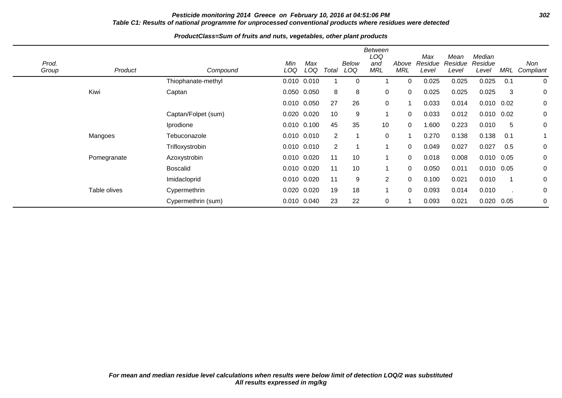# **Pesticide monitoring 2014 Greece on February 10, 2016 at 04:51:06 PM 302 Table C1: Results of national programme for unprocessed conventional products where residues were detected**

| Prod.<br>Group | Product      | Compound            | Min<br>LOQ | Max<br>LOQ      | Total          | <b>Below</b><br>LOQ | <b>Between</b><br>LOQ<br>and<br><b>MRL</b> | Above<br><b>MRL</b> | Max<br>Residue<br>Level | Mean<br>Residue<br>Level | Median<br>Residue<br>Level | MRL  | Non<br>Compliant |
|----------------|--------------|---------------------|------------|-----------------|----------------|---------------------|--------------------------------------------|---------------------|-------------------------|--------------------------|----------------------------|------|------------------|
|                |              | Thiophanate-methyl  |            | 0.010 0.010     |                | $\Omega$            |                                            | 0                   | 0.025                   | 0.025                    | 0.025                      | 0.1  | $\mathbf 0$      |
|                | Kiwi         | Captan              |            | 0.050 0.050     | 8              | 8                   | $\mathbf 0$                                | 0                   | 0.025                   | 0.025                    | 0.025                      | 3    | 0                |
|                |              |                     |            | 0.010 0.050     | 27             | 26                  | $\mathbf 0$                                |                     | 0.033                   | 0.014                    | $0.010$ $0.02$             |      | 0                |
|                |              | Captan/Folpet (sum) | 0.020      | 0.020           | 10             | 9                   |                                            | 0                   | 0.033                   | 0.012                    | $0.010$ $0.02$             |      | 0                |
|                |              | Iprodione           |            | $0.010$ $0.100$ | 45             | 35                  | 10                                         | $\Omega$            | 600. ا                  | 0.223                    | 0.010                      | 5    | 0                |
|                | Mangoes      | Tebuconazole        |            | 0.010 0.010     | $\overline{2}$ |                     | 0                                          |                     | 0.270                   | 0.138                    | 0.138                      | 0.1  |                  |
|                |              | Trifloxystrobin     |            | $0.010$ $0.010$ | 2              |                     |                                            | $\mathbf 0$         | 0.049                   | 0.027                    | 0.027                      | 0.5  | 0                |
|                | Pomegranate  | Azoxystrobin        |            | 0.010 0.020     | 11             | 10                  |                                            | 0                   | 0.018                   | 0.008                    | $0.010$ $0.05$             |      | 0                |
|                |              | <b>Boscalid</b>     |            | 0.010 0.020     | 11             | 10                  |                                            | $\Omega$            | 0.050                   | 0.011                    | $0.010$ $0.05$             |      | 0                |
|                |              | Imidacloprid        |            | 0.010 0.020     | 11             | 9                   | 2                                          | $\Omega$            | 0.100                   | 0.021                    | 0.010                      |      | 0                |
|                | Table olives | Cypermethrin        | 0.020      | 0.020           | 19             | 18                  |                                            | 0                   | 0.093                   | 0.014                    | 0.010                      |      | 0                |
|                |              | Cypermethrin (sum)  |            | 0.010 0.040     | 23             | 22                  | $\mathbf 0$                                |                     | 0.093                   | 0.021                    | 0.020                      | 0.05 | 0                |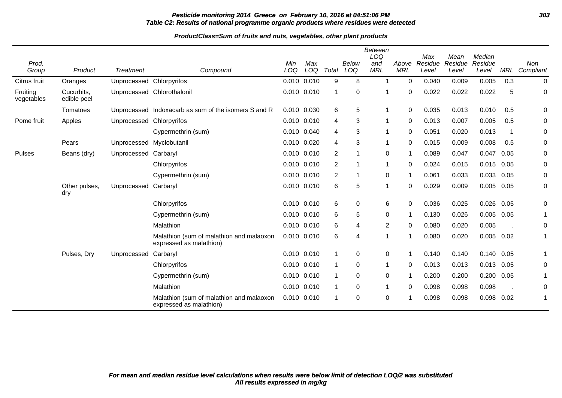# **Pesticide monitoring 2014 Greece on February 10, 2016 at 04:51:06 PM 303 Table C2: Results of national programme organic products where residues were detected**

| Prod.<br>Group         | Product                   | Treatment                | Compound                                                            | Min<br>LOQ      | Max<br>LOQ | Total          | Below<br>LOQ | <b>Between</b><br>LOQ<br>and<br><b>MRL</b> | Above<br><b>MRL</b> | Max<br>Residue<br>Level | Mean<br>Residue<br>Level | Median<br>Residue<br>Level | MRL  | Non<br>Compliant |
|------------------------|---------------------------|--------------------------|---------------------------------------------------------------------|-----------------|------------|----------------|--------------|--------------------------------------------|---------------------|-------------------------|--------------------------|----------------------------|------|------------------|
| Citrus fruit           | Oranges                   | Unprocessed Chlorpyrifos |                                                                     | 0.010 0.010     |            | 9              | 8            |                                            | 0                   | 0.040                   | 0.009                    | 0.005                      | 0.3  | $\mathbf 0$      |
| Fruiting<br>vegetables | Cucurbits,<br>edible peel |                          | Unprocessed Chlorothalonil                                          | 0.010 0.010     |            | 1              | 0            |                                            | 0                   | 0.022                   | 0.022                    | 0.022                      | 5    | 0                |
|                        | Tomatoes                  |                          | Unprocessed Indoxacarb as sum of the isomers S and R                | 0.010 0.030     |            | 6              | 5            |                                            | 0                   | 0.035                   | 0.013                    | 0.010                      | 0.5  | 0                |
| Pome fruit             | Apples                    | Unprocessed Chlorpyrifos |                                                                     | $0.010$ $0.010$ |            | 4              | 3            |                                            | $\Omega$            | 0.013                   | 0.007                    | 0.005                      | 0.5  | 0                |
|                        |                           |                          | Cypermethrin (sum)                                                  | 0.010 0.040     |            | 4              | 3            | 1                                          | 0                   | 0.051                   | 0.020                    | 0.013                      | -1   | 0                |
|                        | Pears                     | Unprocessed Myclobutanil |                                                                     | 0.010 0.020     |            | 4              | 3            |                                            | 0                   | 0.015                   | 0.009                    | 0.008                      | 0.5  | 0                |
| <b>Pulses</b>          | Beans (dry)               | Unprocessed Carbaryl     |                                                                     | 0.010 0.010     |            | 2              |              | 0                                          |                     | 0.089                   | 0.047                    | 0.047                      | 0.05 | 0                |
|                        |                           |                          | Chlorpyrifos                                                        | 0.010 0.010     |            | 2              |              | 1                                          | 0                   | 0.024                   | 0.015                    | 0.015 0.05                 |      | 0                |
|                        |                           |                          | Cypermethrin (sum)                                                  | 0.010 0.010     |            | $\overline{2}$ |              | 0                                          | -1                  | 0.061                   | 0.033                    | 0.033                      | 0.05 | 0                |
|                        | Other pulses,<br>dry      | Unprocessed Carbaryl     |                                                                     | 0.010 0.010     |            | 6              | 5            | 1                                          | 0                   | 0.029                   | 0.009                    | 0.005                      | 0.05 | 0                |
|                        |                           |                          | Chlorpyrifos                                                        | 0.010 0.010     |            | 6              | 0            | 6                                          | $\Omega$            | 0.036                   | 0.025                    | $0.026$ 0.05               |      | 0                |
|                        |                           |                          | Cypermethrin (sum)                                                  | 0.010 0.010     |            | 6              | 5            | 0                                          | -1                  | 0.130                   | 0.026                    | 0.005                      | 0.05 | 1                |
|                        |                           |                          | Malathion                                                           | $0.010$ $0.010$ |            | 6              | 4            | 2                                          | $\Omega$            | 0.080                   | 0.020                    | 0.005                      |      | 0                |
|                        |                           |                          | Malathion (sum of malathion and malaoxon<br>expressed as malathion) | 0.010 0.010     |            | 6              | 4            | 1                                          | -1                  | 0.080                   | 0.020                    | 0.005                      | 0.02 | 1                |
|                        | Pulses, Dry               | Unprocessed              | Carbaryl                                                            | 0.010 0.010     |            |                | 0            | 0                                          | 1                   | 0.140                   | 0.140                    | 0.140 0.05                 |      |                  |
|                        |                           |                          | Chlorpyrifos                                                        | 0.010 0.010     |            |                | 0            | 1                                          | 0                   | 0.013                   | 0.013                    | 0.013                      | 0.05 | 0                |
|                        |                           |                          | Cypermethrin (sum)                                                  | $0.010$ $0.010$ |            |                | 0            | 0                                          |                     | 0.200                   | 0.200                    | 0.200                      | 0.05 |                  |
|                        |                           |                          | Malathion                                                           | 0.010 0.010     |            |                | 0            | 1                                          | 0                   | 0.098                   | 0.098                    | 0.098                      |      | 0                |
|                        |                           |                          | Malathion (sum of malathion and malaoxon<br>expressed as malathion) | $0.010$ $0.010$ |            |                | $\Omega$     | 0                                          |                     | 0.098                   | 0.098                    | 0.098 0.02                 |      | 1                |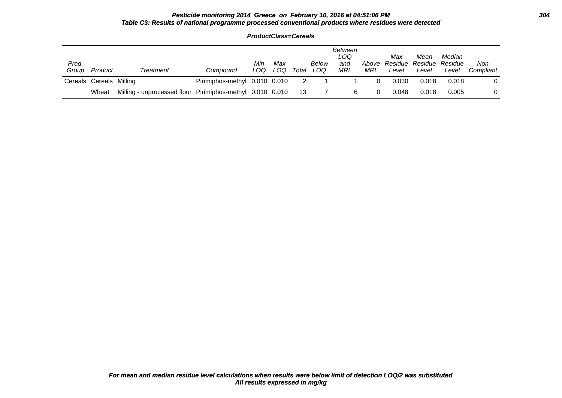### **Pesticide monitoring 2014 Greece on February 10, 2016 at 04:51:06 PM 304 Table C3: Results of national programme processed conventional products where residues were detected**

| Prod.<br>Group | Product                 | Treatment                                                 | Compound                      | Min<br>LOQ | Max<br>LOQ | Total          | Below<br>LOQ | Between<br>LOQ<br>and<br>MRL | MRL | Max<br>Above Residue Residue Residue<br>Level | Mean<br>Level | Median<br>Level | Non<br>Compliant |
|----------------|-------------------------|-----------------------------------------------------------|-------------------------------|------------|------------|----------------|--------------|------------------------------|-----|-----------------------------------------------|---------------|-----------------|------------------|
|                | Cereals Cereals Milling |                                                           | Pirimiphos-methyl 0.010 0.010 |            |            | $\overline{2}$ |              |                              |     | 0.030                                         | 0.018         | 0.018           |                  |
|                | Wheat                   | Milling - unprocessed flour Pirimiphos-methyl 0.010 0.010 |                               |            |            | -13            |              | 6                            |     | 0.048                                         | 0.018         | 0.005           |                  |

**ProductClass=Cereals**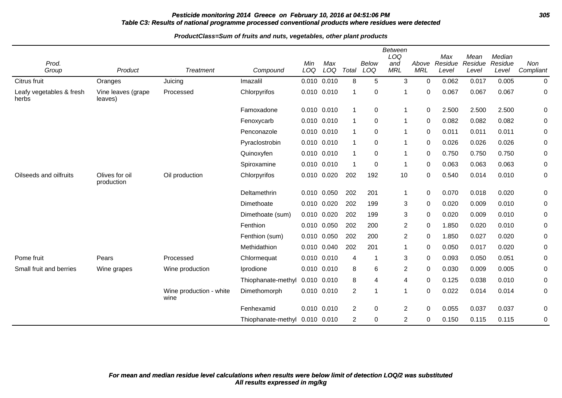# **Pesticide monitoring 2014 Greece on February 10, 2016 at 04:51:06 PM 305 Table C3: Results of national programme processed conventional products where residues were detected**

| Prod.<br>Group                    | Product                       | <b>Treatment</b>                | Compound                       | Min<br>LOQ      | Max<br>LOQ  | Total | <b>Below</b><br>LOQ | Between<br>LOQ<br>and<br><b>MRL</b> | Above<br><b>MRL</b> | Max<br>Residue<br>Level | Mean<br>Residue<br>Level | Median<br>Residue<br>Level | Non<br>Compliant |
|-----------------------------------|-------------------------------|---------------------------------|--------------------------------|-----------------|-------------|-------|---------------------|-------------------------------------|---------------------|-------------------------|--------------------------|----------------------------|------------------|
| Citrus fruit                      | Oranges                       | Juicing                         | Imazalil                       | $0.010$ $0.010$ |             | 8     | 5                   | 3                                   | $\mathbf 0$         | 0.062                   | 0.017                    | 0.005                      | 0                |
| Leafy vegetables & fresh<br>herbs | Vine leaves (grape<br>leaves) | Processed                       | Chlorpyrifos                   | $0.010$ $0.010$ |             | -1    | 0                   | 1                                   | $\Omega$            | 0.067                   | 0.067                    | 0.067                      | 0                |
|                                   |                               |                                 | Famoxadone                     | 0.010 0.010     |             | -1    | $\mathbf 0$         | 1                                   | $\mathbf 0$         | 2.500                   | 2.500                    | 2.500                      | 0                |
|                                   |                               |                                 | Fenoxycarb                     | 0.010 0.010     |             | -1    | $\pmb{0}$           | 1                                   | 0                   | 0.082                   | 0.082                    | 0.082                      | 0                |
|                                   |                               |                                 | Penconazole                    | 0.010 0.010     |             | -1    | 0                   | $\mathbf 1$                         | 0                   | 0.011                   | 0.011                    | 0.011                      | 0                |
|                                   |                               |                                 | Pyraclostrobin                 | 0.010           | 0.010       | 1     | 0                   | 1                                   | 0                   | 0.026                   | 0.026                    | 0.026                      | 0                |
|                                   |                               |                                 | Quinoxyfen                     | 0.010           | 0.010       | -1    | 0                   | $\mathbf{1}$                        | $\Omega$            | 0.750                   | 0.750                    | 0.750                      | 0                |
|                                   |                               |                                 | Spiroxamine                    | 0.010 0.010     |             |       | 0                   | 1                                   | 0                   | 0.063                   | 0.063                    | 0.063                      | 0                |
| Oilseeds and oilfruits            | Olives for oil<br>production  | Oil production                  | Chlorpyrifos                   |                 | 0.010 0.020 | 202   | 192                 | 10                                  | $\Omega$            | 0.540                   | 0.014                    | 0.010                      | 0                |
|                                   |                               |                                 | Deltamethrin                   |                 | 0.010 0.050 | 202   | 201                 | $\mathbf{1}$                        | $\mathbf 0$         | 0.070                   | 0.018                    | 0.020                      | 0                |
|                                   |                               |                                 | Dimethoate                     | 0.010 0.020     |             | 202   | 199                 | 3                                   | 0                   | 0.020                   | 0.009                    | 0.010                      | 0                |
|                                   |                               |                                 | Dimethoate (sum)               | 0.010           | 0.020       | 202   | 199                 | 3                                   | 0                   | 0.020                   | 0.009                    | 0.010                      | 0                |
|                                   |                               |                                 | Fenthion                       | 0.010           | 0.050       | 202   | 200                 | $\overline{c}$                      | $\Omega$            | 1.850                   | 0.020                    | 0.010                      | 0                |
|                                   |                               |                                 | Fenthion (sum)                 | 0.010           | 0.050       | 202   | 200                 | $\overline{c}$                      | $\mathbf 0$         | 1.850                   | 0.027                    | 0.020                      | 0                |
|                                   |                               |                                 | Methidathion                   | 0.010           | 0.040       | 202   | 201                 | 1                                   | $\Omega$            | 0.050                   | 0.017                    | 0.020                      | 0                |
| Pome fruit                        | Pears                         | Processed                       | Chlormequat                    | 0.010 0.010     |             | 4     | -1                  | 3                                   | 0                   | 0.093                   | 0.050                    | 0.051                      | 0                |
| Small fruit and berries           | Wine grapes                   | Wine production                 | Iprodione                      | 0.010 0.010     |             | 8     | 6                   | $\overline{c}$                      | $\Omega$            | 0.030                   | 0.009                    | 0.005                      | 0                |
|                                   |                               |                                 | Thiophanate-methyl             | 0.010 0.010     |             | 8     | 4                   | 4                                   | $\Omega$            | 0.125                   | 0.038                    | 0.010                      | 0                |
|                                   |                               | Wine production - white<br>wine | Dimethomorph                   | $0.010$ $0.010$ |             | 2     | 1                   | $\mathbf 1$                         | $\Omega$            | 0.022                   | 0.014                    | 0.014                      | 0                |
|                                   |                               |                                 | Fenhexamid                     | 0.010 0.010     |             | 2     | 0                   | $\overline{c}$                      | 0                   | 0.055                   | 0.037                    | 0.037                      | 0                |
|                                   |                               |                                 | Thiophanate-methyl 0.010 0.010 |                 |             | 2     | 0                   | $\overline{c}$                      | $\Omega$            | 0.150                   | 0.115                    | 0.115                      | 0                |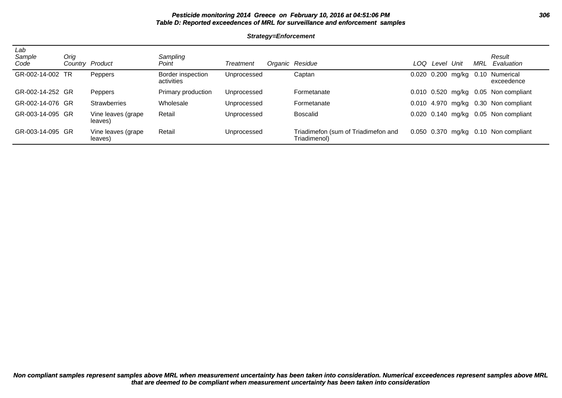# Pesticide monitoring 2014 Greece on February 10, 2016 at 04:51:06 PM **Table D: Reported exceedences of MRL for surveillance and enforcement samples**

#### **Strategy=Enforcement**

| Lab<br>Sample<br>Code | Orig | Country Product               | Sampling<br>Point               | Treatment   | Organic Residue                                     | LOQ   | Level | Unit             | MRL | Result<br>Evaluation                   |
|-----------------------|------|-------------------------------|---------------------------------|-------------|-----------------------------------------------------|-------|-------|------------------|-----|----------------------------------------|
| GR-002-14-002 TR      |      | Peppers                       | Border inspection<br>activities | Unprocessed | Captan                                              | 0.020 |       | 0.200 mg/kg 0.10 |     | Numerical<br>exceedence                |
| GR-002-14-252 GR      |      | Peppers                       | Primary production              | Unprocessed | Formetanate                                         |       |       |                  |     | 0.010 0.520 mg/kg 0.05 Non compliant   |
| GR-002-14-076 GR      |      | <b>Strawberries</b>           | Wholesale                       | Unprocessed | Formetanate                                         | 0.010 |       |                  |     | 4.970 mg/kg 0.30 Non compliant         |
| GR-003-14-095 GR      |      | Vine leaves (grape<br>leaves) | Retail                          | Unprocessed | <b>Boscalid</b>                                     |       |       |                  |     | $0.020$ 0.140 mg/kg 0.05 Non compliant |
| GR-003-14-095 GR      |      | Vine leaves (grape<br>leaves) | Retail                          | Unprocessed | Triadimefon (sum of Triadimefon and<br>Triadimenol) |       |       |                  |     | $0.050$ 0.370 mg/kg 0.10 Non compliant |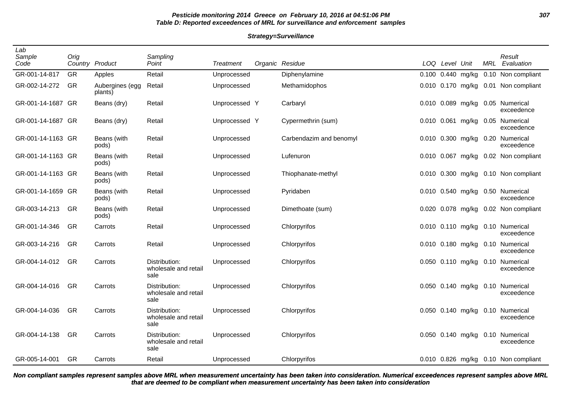# **Pesticide monitoring 2014 Greece on February 10, 2016 at 04:51:06 PM 307 Table D: Reported exceedences of MRL for surveillance and enforcement samples**

#### **Strategy=Surveillance**

| Lab<br>Sample<br>Code | Orig<br>Country | Product                    | Sampling<br>Point                             | <b>Treatment</b> | Organic Residue         |       | LOQ Level Unit |                   | MRL  | Result<br>Evaluation                           |
|-----------------------|-----------------|----------------------------|-----------------------------------------------|------------------|-------------------------|-------|----------------|-------------------|------|------------------------------------------------|
| GR-001-14-817         | <b>GR</b>       | Apples                     | Retail                                        | Unprocessed      | Diphenylamine           | 0.100 |                | $0.440$ mg/kg     |      | 0.10 Non compliant                             |
| GR-002-14-272         | GR              | Aubergines (egg<br>plants) | Retail                                        | Unprocessed      | Methamidophos           |       |                |                   |      | 0.010 0.170 mg/kg 0.01 Non compliant           |
| GR-001-14-1687 GR     |                 | Beans (dry)                | Retail                                        | Unprocessed Y    | Carbaryl                |       |                | 0.010 0.089 mg/kg |      | 0.05 Numerical<br>exceedence                   |
| GR-001-14-1687 GR     |                 | Beans (dry)                | Retail                                        | Unprocessed Y    | Cypermethrin (sum)      |       |                | 0.010 0.061 mg/kg |      | 0.05 Numerical<br>exceedence                   |
| GR-001-14-1163 GR     |                 | Beans (with<br>pods)       | Retail                                        | Unprocessed      | Carbendazim and benomyl |       |                | 0.010 0.300 mg/kg |      | 0.20 Numerical<br>exceedence                   |
| GR-001-14-1163 GR     |                 | Beans (with<br>pods)       | Retail                                        | Unprocessed      | Lufenuron               |       |                |                   |      | 0.010 0.067 mg/kg 0.02 Non compliant           |
| GR-001-14-1163 GR     |                 | Beans (with<br>pods)       | Retail                                        | Unprocessed      | Thiophanate-methyl      |       |                |                   |      | 0.010 0.300 mg/kg 0.10 Non compliant           |
| GR-001-14-1659 GR     |                 | Beans (with<br>pods)       | Retail                                        | Unprocessed      | Pyridaben               |       |                | 0.010 0.540 mg/kg |      | 0.50 Numerical<br>exceedence                   |
| GR-003-14-213         | <b>GR</b>       | Beans (with<br>pods)       | Retail                                        | Unprocessed      | Dimethoate (sum)        | 0.020 |                | 0.078 mg/kg       |      | 0.02 Non compliant                             |
| GR-001-14-346         | GR              | Carrots                    | Retail                                        | Unprocessed      | Chlorpyrifos            |       |                |                   |      | 0.010 0.110 mg/kg 0.10 Numerical<br>exceedence |
| GR-003-14-216         | GR              | Carrots                    | Retail                                        | Unprocessed      | Chlorpyrifos            |       |                | 0.010 0.180 mg/kg |      | 0.10 Numerical<br>exceedence                   |
| GR-004-14-012         | <b>GR</b>       | Carrots                    | Distribution:<br>wholesale and retail<br>sale | Unprocessed      | Chlorpyrifos            |       |                | 0.050 0.110 mg/kg | 0.10 | Numerical<br>exceedence                        |
| GR-004-14-016         | <b>GR</b>       | Carrots                    | Distribution:<br>wholesale and retail<br>sale | Unprocessed      | Chlorpyrifos            |       |                | 0.050 0.140 mg/kg | 0.10 | Numerical<br>exceedence                        |
| GR-004-14-036         | <b>GR</b>       | Carrots                    | Distribution:<br>wholesale and retail<br>sale | Unprocessed      | Chlorpyrifos            |       |                | 0.050 0.140 mg/kg |      | 0.10 Numerical<br>exceedence                   |
| GR-004-14-138         | GR              | Carrots                    | Distribution:<br>wholesale and retail<br>sale | Unprocessed      | Chlorpyrifos            |       |                | 0.050 0.140 mg/kg |      | 0.10 Numerical<br>exceedence                   |
| GR-005-14-001         | GR              | Carrots                    | Retail                                        | Unprocessed      | Chlorpyrifos            |       |                |                   |      | 0.010 0.826 mg/kg 0.10 Non compliant           |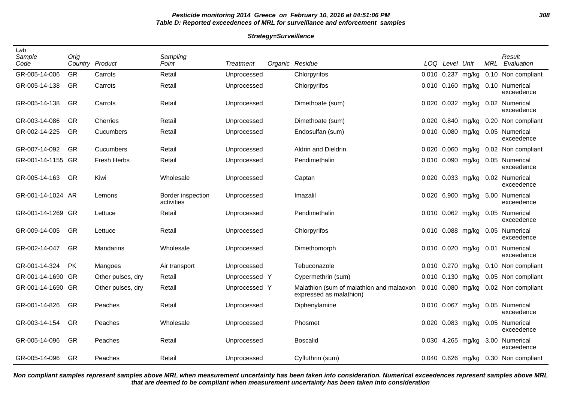# **Pesticide monitoring 2014 Greece on February 10, 2016 at 04:51:06 PM 308 Table D: Reported exceedences of MRL for surveillance and enforcement samples**

#### **Strategy=Surveillance**

| Lab<br>Sample<br>Code | Orig      | Country Product    | Sampling<br>Point               | <b>Treatment</b> | Organic Residue                                                     |                 | LOQ Level Unit |                   | MRL  | Result<br>Evaluation         |
|-----------------------|-----------|--------------------|---------------------------------|------------------|---------------------------------------------------------------------|-----------------|----------------|-------------------|------|------------------------------|
| GR-005-14-006         | <b>GR</b> | Carrots            | Retail                          | Unprocessed      | Chlorpyrifos                                                        | 0.010 0.237     |                | mg/kg             |      | 0.10 Non compliant           |
| GR-005-14-138         | <b>GR</b> | Carrots            | Retail                          | Unprocessed      | Chlorpyrifos                                                        |                 |                | 0.010 0.160 mg/kg |      | 0.10 Numerical<br>exceedence |
| GR-005-14-138         | GR        | Carrots            | Retail                          | Unprocessed      | Dimethoate (sum)                                                    |                 |                | 0.020 0.032 mg/kg |      | 0.02 Numerical<br>exceedence |
| GR-003-14-086         | <b>GR</b> | Cherries           | Retail                          | Unprocessed      | Dimethoate (sum)                                                    |                 |                | 0.020 0.840 mg/kg |      | 0.20 Non compliant           |
| GR-002-14-225         | GR        | Cucumbers          | Retail                          | Unprocessed      | Endosulfan (sum)                                                    |                 |                | 0.010 0.080 mg/kg |      | 0.05 Numerical<br>exceedence |
| GR-007-14-092         | <b>GR</b> | Cucumbers          | Retail                          | Unprocessed      | Aldrin and Dieldrin                                                 |                 | 0.020 0.060    | mg/kg             |      | 0.02 Non compliant           |
| GR-001-14-1155 GR     |           | <b>Fresh Herbs</b> | Retail                          | Unprocessed      | Pendimethalin                                                       |                 |                | 0.010 0.090 mg/kg |      | 0.05 Numerical<br>exceedence |
| GR-005-14-163         | <b>GR</b> | Kiwi               | Wholesale                       | Unprocessed      | Captan                                                              |                 |                | 0.020 0.033 mg/kg |      | 0.02 Numerical<br>exceedence |
| GR-001-14-1024 AR     |           | Lemons             | Border inspection<br>activities | Unprocessed      | Imazalil                                                            |                 |                | 0.020 6.900 mg/kg |      | 5.00 Numerical<br>exceedence |
| GR-001-14-1269 GR     |           | Lettuce            | Retail                          | Unprocessed      | Pendimethalin                                                       |                 |                | 0.010 0.062 mg/kg |      | 0.05 Numerical<br>exceedence |
| GR-009-14-005         | GR        | Lettuce            | Retail                          | Unprocessed      | Chlorpyrifos                                                        |                 |                | 0.010 0.088 mg/kg |      | 0.05 Numerical<br>exceedence |
| GR-002-14-047         | GR        | Mandarins          | Wholesale                       | Unprocessed      | Dimethomorph                                                        |                 |                | 0.010 0.020 mg/kg | 0.01 | Numerical<br>exceedence      |
| GR-001-14-324         | <b>PK</b> | Mangoes            | Air transport                   | Unprocessed      | Tebuconazole                                                        |                 |                | 0.010 0.270 mg/kg |      | 0.10 Non compliant           |
| GR-001-14-1690        | -GR       | Other pulses, dry  | Retail                          | Unprocessed Y    | Cypermethrin (sum)                                                  | $0.010$ $0.130$ |                | mg/kg             |      | 0.05 Non compliant           |
| GR-001-14-1690 GR     |           | Other pulses, dry  | Retail                          | Unprocessed Y    | Malathion (sum of malathion and malaoxon<br>expressed as malathion) | 0.010 0.080     |                | mg/kg             |      | 0.02 Non compliant           |
| GR-001-14-826         | <b>GR</b> | Peaches            | Retail                          | Unprocessed      | Diphenylamine                                                       |                 | $0.010$ 0.067  | mg/kg             |      | 0.05 Numerical<br>exceedence |
| GR-003-14-154         | GR        | Peaches            | Wholesale                       | Unprocessed      | Phosmet                                                             |                 |                | 0.020 0.083 mg/kg |      | 0.05 Numerical<br>exceedence |
| GR-005-14-096         | GR        | Peaches            | Retail                          | Unprocessed      | Boscalid                                                            | 0.030           |                | 4.265 mg/kg       |      | 3.00 Numerical<br>exceedence |
| GR-005-14-096         | <b>GR</b> | Peaches            | Retail                          | Unprocessed      | Cyfluthrin (sum)                                                    |                 |                | 0.040 0.626 mg/kg |      | 0.30 Non compliant           |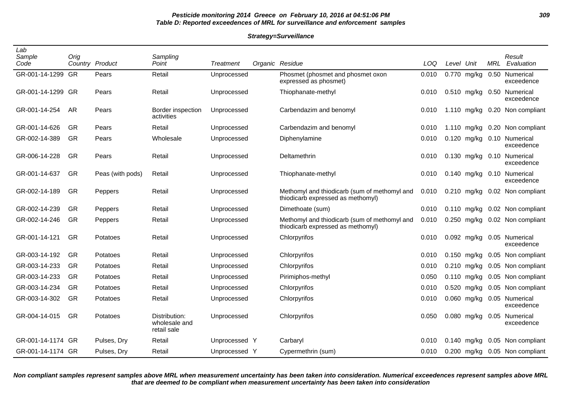# **Pesticide monitoring 2014 Greece on February 10, 2016 at 04:51:06 PM 309 Table D: Reported exceedences of MRL for surveillance and enforcement samples**

#### **Strategy=Surveillance**

| Lab<br>Sample<br>Code | Orig      | Country Product  | Sampling<br>Point                             | Treatment     | Organic Residue                                                                   | LOQ   | Level | Unit          | MRL  | Result<br>Evaluation         |
|-----------------------|-----------|------------------|-----------------------------------------------|---------------|-----------------------------------------------------------------------------------|-------|-------|---------------|------|------------------------------|
| GR-001-14-1299        | GR        | Pears            | Retail                                        | Unprocessed   | Phosmet (phosmet and phosmet oxon<br>expressed as phosmet)                        | 0.010 | 0.770 | mg/kg         | 0.50 | Numerical<br>exceedence      |
| GR-001-14-1299 GR     |           | Pears            | Retail                                        | Unprocessed   | Thiophanate-methyl                                                                | 0.010 |       | 0.510 mg/kg   |      | 0.50 Numerical<br>exceedence |
| GR-001-14-254         | AR        | Pears            | Border inspection<br>activities               | Unprocessed   | Carbendazim and benomyl                                                           | 0.010 |       | 1.110 $mg/kg$ |      | 0.20 Non compliant           |
| GR-001-14-626         | GR        | Pears            | Retail                                        | Unprocessed   | Carbendazim and benomyl                                                           | 0.010 |       | 1.110 $mg/kg$ |      | 0.20 Non compliant           |
| GR-002-14-389         | GR        | Pears            | Wholesale                                     | Unprocessed   | Diphenylamine                                                                     | 0.010 | 0.120 | mg/kg         |      | 0.10 Numerical<br>exceedence |
| GR-006-14-228         | GR        | Pears            | Retail                                        | Unprocessed   | Deltamethrin                                                                      | 0.010 |       | $0.130$ mg/kg |      | 0.10 Numerical<br>exceedence |
| GR-001-14-637         | GR        | Peas (with pods) | Retail                                        | Unprocessed   | Thiophanate-methyl                                                                | 0.010 | 0.140 | mg/kg         |      | 0.10 Numerical<br>exceedence |
| GR-002-14-189         | GR        | Peppers          | Retail                                        | Unprocessed   | Methomyl and thiodicarb (sum of methomyl and<br>thiodicarb expressed as methomyl) | 0.010 |       | $0.210$ mg/kg |      | 0.02 Non compliant           |
| GR-002-14-239         | GR        | Peppers          | Retail                                        | Unprocessed   | Dimethoate (sum)                                                                  | 0.010 | 0.110 | mg/kg         |      | 0.02 Non compliant           |
| GR-002-14-246         | GR        | Peppers          | Retail                                        | Unprocessed   | Methomyl and thiodicarb (sum of methomyl and<br>thiodicarb expressed as methomyl) | 0.010 | 0.250 | mg/kg         |      | 0.02 Non compliant           |
| GR-001-14-121         | GR        | Potatoes         | Retail                                        | Unprocessed   | Chlorpyrifos                                                                      | 0.010 |       | 0.092 mg/kg   |      | 0.05 Numerical<br>exceedence |
| GR-003-14-192         | GR        | Potatoes         | Retail                                        | Unprocessed   | Chlorpyrifos                                                                      | 0.010 | 0.150 | mg/kg         |      | 0.05 Non compliant           |
| GR-003-14-233         | GR        | Potatoes         | Retail                                        | Unprocessed   | Chlorpyrifos                                                                      | 0.010 |       | 0.210 mg/kg   |      | 0.05 Non compliant           |
| GR-003-14-233         | <b>GR</b> | Potatoes         | Retail                                        | Unprocessed   | Pirimiphos-methyl                                                                 | 0.050 | 0.110 | mg/kg         |      | 0.05 Non compliant           |
| GR-003-14-234         | GR        | Potatoes         | Retail                                        | Unprocessed   | Chlorpyrifos                                                                      | 0.010 | 0.520 | mg/kg         |      | 0.05 Non compliant           |
| GR-003-14-302         | GR        | Potatoes         | Retail                                        | Unprocessed   | Chlorpyrifos                                                                      | 0.010 | 0.060 | mg/kg         |      | 0.05 Numerical<br>exceedence |
| GR-004-14-015         | GR        | Potatoes         | Distribution:<br>wholesale and<br>retail sale | Unprocessed   | Chlorpyrifos                                                                      | 0.050 |       | $0.080$ mg/kg |      | 0.05 Numerical<br>exceedence |
| GR-001-14-1174 GR     |           | Pulses, Dry      | Retail                                        | Unprocessed Y | Carbaryl                                                                          | 0.010 | 0.140 | mg/kg         |      | 0.05 Non compliant           |
| GR-001-14-1174 GR     |           | Pulses, Dry      | Retail                                        | Unprocessed Y | Cypermethrin (sum)                                                                | 0.010 |       | 0.200 mg/kg   |      | 0.05 Non compliant           |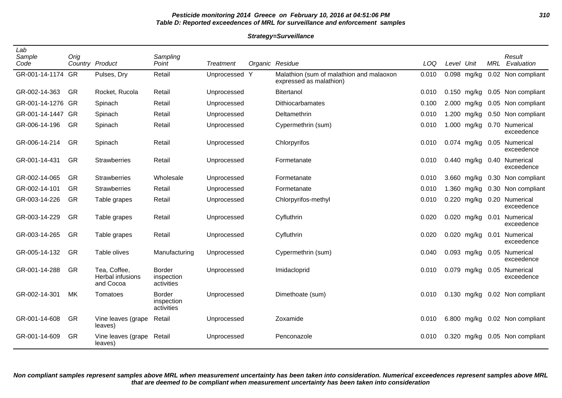## **Pesticide monitoring 2014 Greece on February 10, 2016 at 04:51:06 PM 310 Table D: Reported exceedences of MRL for surveillance and enforcement samples**

#### **Strategy=Surveillance**

| Lab<br>Sample<br>Code | Orig      | Country Product                               | Sampling<br>Point                         | <b>Treatment</b> |   | Organic Residue                                                     | LOQ   | Level Unit |               | <b>MRL</b> | Result<br>Evaluation         |
|-----------------------|-----------|-----------------------------------------------|-------------------------------------------|------------------|---|---------------------------------------------------------------------|-------|------------|---------------|------------|------------------------------|
| GR-001-14-1174 GR     |           | Pulses, Dry                                   | Retail                                    | Unprocessed      | Y | Malathion (sum of malathion and malaoxon<br>expressed as malathion) | 0.010 |            | $0.098$ mg/kg |            | 0.02 Non compliant           |
| GR-002-14-363         | GR        | Rocket, Rucola                                | Retail                                    | Unprocessed      |   | Bitertanol                                                          | 0.010 |            | 0.150 mg/kg   |            | 0.05 Non compliant           |
| GR-001-14-1276        | GR        | Spinach                                       | Retail                                    | Unprocessed      |   | Dithiocarbamates                                                    | 0.100 |            | 2.000 mg/kg   |            | 0.05 Non compliant           |
| GR-001-14-1447 GR     |           | Spinach                                       | Retail                                    | Unprocessed      |   | Deltamethrin                                                        | 0.010 |            | 1.200 mg/kg   |            | 0.50 Non compliant           |
| GR-006-14-196         | GR        | Spinach                                       | Retail                                    | Unprocessed      |   | Cypermethrin (sum)                                                  | 0.010 |            | 1.000 mg/kg   |            | 0.70 Numerical<br>exceedence |
| GR-006-14-214         | <b>GR</b> | Spinach                                       | Retail                                    | Unprocessed      |   | Chlorpyrifos                                                        | 0.010 |            | 0.074 mg/kg   |            | 0.05 Numerical<br>exceedence |
| GR-001-14-431         | GR        | <b>Strawberries</b>                           | Retail                                    | Unprocessed      |   | Formetanate                                                         | 0.010 |            | 0.440 mg/kg   |            | 0.40 Numerical<br>exceedence |
| GR-002-14-065         | <b>GR</b> | <b>Strawberries</b>                           | Wholesale                                 | Unprocessed      |   | Formetanate                                                         | 0.010 |            | 3.660 mg/kg   |            | 0.30 Non compliant           |
| GR-002-14-101         | GR        | <b>Strawberries</b>                           | Retail                                    | Unprocessed      |   | Formetanate                                                         | 0.010 |            | 1.360 mg/kg   |            | 0.30 Non compliant           |
| GR-003-14-226         | GR        | Table grapes                                  | Retail                                    | Unprocessed      |   | Chlorpyrifos-methyl                                                 | 0.010 |            | 0.220 mg/kg   | 0.20       | Numerical<br>exceedence      |
| GR-003-14-229         | GR        | Table grapes                                  | Retail                                    | Unprocessed      |   | Cyfluthrin                                                          | 0.020 |            | 0.020 mg/kg   | 0.01       | Numerical<br>exceedence      |
| GR-003-14-265         | GR        | Table grapes                                  | Retail                                    | Unprocessed      |   | Cyfluthrin                                                          | 0.020 |            | 0.020 mg/kg   | 0.01       | Numerical<br>exceedence      |
| GR-005-14-132         | <b>GR</b> | Table olives                                  | Manufacturing                             | Unprocessed      |   | Cypermethrin (sum)                                                  | 0.040 |            | $0.093$ mg/kg |            | 0.05 Numerical<br>exceedence |
| GR-001-14-288         | GR        | Tea, Coffee,<br>Herbal infusions<br>and Cocoa | <b>Border</b><br>inspection<br>activities | Unprocessed      |   | Imidacloprid                                                        | 0.010 |            | 0.079 mg/kg   |            | 0.05 Numerical<br>exceedence |
| GR-002-14-301         | MK        | Tomatoes                                      | <b>Border</b><br>inspection<br>activities | Unprocessed      |   | Dimethoate (sum)                                                    | 0.010 |            | $0.130$ mg/kg |            | 0.02 Non compliant           |
| GR-001-14-608         | GR        | Vine leaves (grape<br>leaves)                 | Retail                                    | Unprocessed      |   | Zoxamide                                                            | 0.010 |            | 6.800 mg/kg   |            | 0.02 Non compliant           |
| GR-001-14-609         | GR        | Vine leaves (grape<br>leaves)                 | Retail                                    | Unprocessed      |   | Penconazole                                                         | 0.010 |            | 0.320 mg/kg   |            | 0.05 Non compliant           |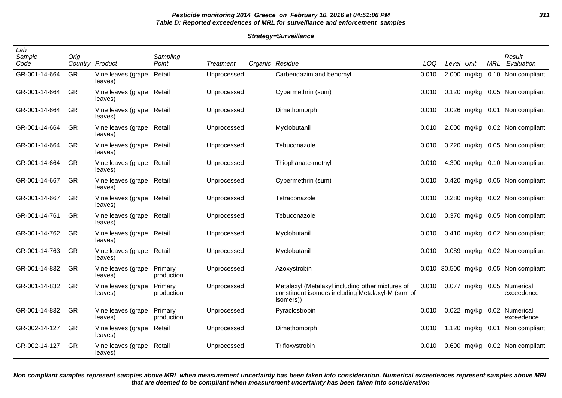# **Pesticide monitoring 2014 Greece on February 10, 2016 at 04:51:06 PM 311 Table D: Reported exceedences of MRL for surveillance and enforcement samples**

#### **Strategy=Surveillance**

| Lab<br>Sample<br>Code | Orig      | Country Product                      | Sampling<br>Point     | <b>Treatment</b> | Organic Residue                                                                                                    | <b>LOQ</b> | Level Unit |               | <b>MRL</b> | Result<br>Evaluation                  |
|-----------------------|-----------|--------------------------------------|-----------------------|------------------|--------------------------------------------------------------------------------------------------------------------|------------|------------|---------------|------------|---------------------------------------|
| GR-001-14-664         | <b>GR</b> | Vine leaves (grape<br>leaves)        | Retail                | Unprocessed      | Carbendazim and benomyl                                                                                            | 0.010      |            | 2.000 mg/kg   |            | 0.10 Non compliant                    |
| GR-001-14-664         | <b>GR</b> | Vine leaves (grape Retail<br>leaves) |                       | Unprocessed      | Cypermethrin (sum)                                                                                                 | 0.010      |            | $0.120$ mg/kg |            | 0.05 Non compliant                    |
| GR-001-14-664         | GR        | Vine leaves (grape Retail<br>leaves) |                       | Unprocessed      | Dimethomorph                                                                                                       | 0.010      |            |               |            | 0.026 mg/kg 0.01 Non compliant        |
| GR-001-14-664         | GR        | Vine leaves (grape Retail<br>leaves) |                       | Unprocessed      | Myclobutanil                                                                                                       | 0.010      |            |               |            | 2.000 mg/kg 0.02 Non compliant        |
| GR-001-14-664         | GR        | Vine leaves (grape Retail<br>leaves) |                       | Unprocessed      | Tebuconazole                                                                                                       | 0.010      |            |               |            | 0.220 mg/kg 0.05 Non compliant        |
| GR-001-14-664         | GR        | Vine leaves (grape Retail<br>leaves) |                       | Unprocessed      | Thiophanate-methyl                                                                                                 | 0.010      |            |               |            | 4.300 mg/kg 0.10 Non compliant        |
| GR-001-14-667         | GR        | Vine leaves (grape Retail<br>leaves) |                       | Unprocessed      | Cypermethrin (sum)                                                                                                 | 0.010      |            | 0.420 mg/kg   |            | 0.05 Non compliant                    |
| GR-001-14-667         | GR        | Vine leaves (grape Retail<br>leaves) |                       | Unprocessed      | Tetraconazole                                                                                                      | 0.010      |            | 0.280 mg/kg   |            | 0.02 Non compliant                    |
| GR-001-14-761         | <b>GR</b> | Vine leaves (grape Retail<br>leaves) |                       | Unprocessed      | Tebuconazole                                                                                                       | 0.010      |            | 0.370 mg/kg   |            | 0.05 Non compliant                    |
| GR-001-14-762         | GR        | Vine leaves (grape Retail<br>leaves) |                       | Unprocessed      | Myclobutanil                                                                                                       | 0.010      |            |               |            | 0.410 mg/kg 0.02 Non compliant        |
| GR-001-14-763         | GR        | Vine leaves (grape Retail<br>leaves) |                       | Unprocessed      | Myclobutanil                                                                                                       | 0.010      |            |               |            | 0.089 mg/kg 0.02 Non compliant        |
| GR-001-14-832         | GR        | Vine leaves (grape<br>leaves)        | Primary<br>production | Unprocessed      | Azoxystrobin                                                                                                       |            |            |               |            | 0.010 30.500 mg/kg 0.05 Non compliant |
| GR-001-14-832         | <b>GR</b> | Vine leaves (grape<br>leaves)        | Primary<br>production | Unprocessed      | Metalaxyl (Metalaxyl including other mixtures of<br>constituent isomers including Metalaxyl-M (sum of<br>isomers)) | 0.010      |            | 0.077 mg/kg   |            | 0.05 Numerical<br>exceedence          |
| GR-001-14-832         | GR        | Vine leaves (grape<br>leaves)        | Primary<br>production | Unprocessed      | Pyraclostrobin                                                                                                     | 0.010      |            | 0.022 mg/kg   |            | 0.02 Numerical<br>exceedence          |
| GR-002-14-127         | GR        | Vine leaves (grape<br>leaves)        | Retail                | Unprocessed      | Dimethomorph                                                                                                       | 0.010      |            | 1.120 mg/kg   |            | 0.01 Non compliant                    |
| GR-002-14-127         | GR        | Vine leaves (grape Retail<br>leaves) |                       | Unprocessed      | Trifloxystrobin                                                                                                    | 0.010      |            | $0.690$ mg/kg |            | 0.02 Non compliant                    |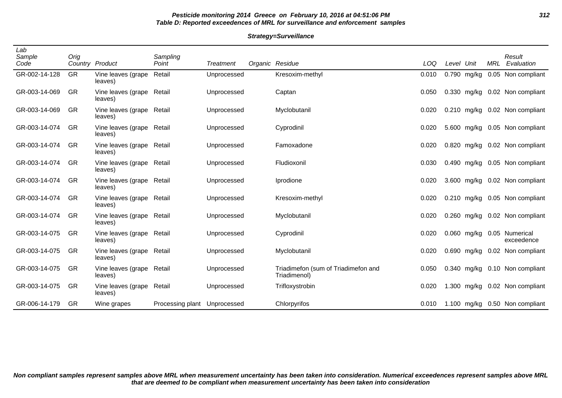# **Pesticide monitoring 2014 Greece on February 10, 2016 at 04:51:06 PM 312 Table D: Reported exceedences of MRL for surveillance and enforcement samples**

#### **Strategy=Surveillance**

| Lab<br>Sample<br>Code | Orig      | Country Product                      | Sampling<br>Point | <b>Treatment</b> | Organic Residue                                     | LOQ   | Level Unit |               | MRL | Result<br>Evaluation           |
|-----------------------|-----------|--------------------------------------|-------------------|------------------|-----------------------------------------------------|-------|------------|---------------|-----|--------------------------------|
| GR-002-14-128         | <b>GR</b> | Vine leaves (grape<br>leaves)        | Retail            | Unprocessed      | Kresoxim-methyl                                     | 0.010 |            | 0.790 mg/kg   |     | 0.05 Non compliant             |
| GR-003-14-069         | GR        | Vine leaves (grape Retail<br>leaves) |                   | Unprocessed      | Captan                                              | 0.050 |            | 0.330 mg/kg   |     | 0.02 Non compliant             |
| GR-003-14-069         | GR        | Vine leaves (grape Retail<br>leaves) |                   | Unprocessed      | Myclobutanil                                        | 0.020 |            |               |     | 0.210 mg/kg 0.02 Non compliant |
| GR-003-14-074         | <b>GR</b> | Vine leaves (grape Retail<br>leaves) |                   | Unprocessed      | Cyprodinil                                          | 0.020 |            | 5.600 mg/kg   |     | 0.05 Non compliant             |
| GR-003-14-074         | <b>GR</b> | Vine leaves (grape Retail<br>leaves) |                   | Unprocessed      | Famoxadone                                          | 0.020 |            |               |     | 0.820 mg/kg 0.02 Non compliant |
| GR-003-14-074         | <b>GR</b> | Vine leaves (grape Retail<br>leaves) |                   | Unprocessed      | Fludioxonil                                         | 0.030 |            | 0.490 mg/kg   |     | 0.05 Non compliant             |
| GR-003-14-074         | GR        | Vine leaves (grape Retail<br>leaves) |                   | Unprocessed      | Iprodione                                           | 0.020 |            |               |     | 3.600 mg/kg 0.02 Non compliant |
| GR-003-14-074         | GR        | Vine leaves (grape Retail<br>leaves) |                   | Unprocessed      | Kresoxim-methyl                                     | 0.020 |            | $0.210$ mg/kg |     | 0.05 Non compliant             |
| GR-003-14-074         | GR        | Vine leaves (grape Retail<br>leaves) |                   | Unprocessed      | Myclobutanil                                        | 0.020 |            | $0.260$ mg/kg |     | 0.02 Non compliant             |
| GR-003-14-075         | GR        | Vine leaves (grape Retail<br>leaves) |                   | Unprocessed      | Cyprodinil                                          | 0.020 |            | 0.060 mg/kg   |     | 0.05 Numerical<br>exceedence   |
| GR-003-14-075         | GR        | Vine leaves (grape Retail<br>leaves) |                   | Unprocessed      | Myclobutanil                                        | 0.020 | 0.690      | mg/kg         |     | 0.02 Non compliant             |
| GR-003-14-075         | GR        | Vine leaves (grape Retail<br>leaves) |                   | Unprocessed      | Triadimefon (sum of Triadimefon and<br>Triadimenol) | 0.050 |            | 0.340 mg/kg   |     | 0.10 Non compliant             |
| GR-003-14-075         | GR        | Vine leaves (grape<br>leaves)        | Retail            | Unprocessed      | Trifloxystrobin                                     | 0.020 | 1.300      | mg/kg         |     | 0.02 Non compliant             |
| GR-006-14-179         | GR        | Wine grapes                          | Processing plant  | Unprocessed      | Chlorpyrifos                                        | 0.010 |            |               |     | 1.100 mg/kg 0.50 Non compliant |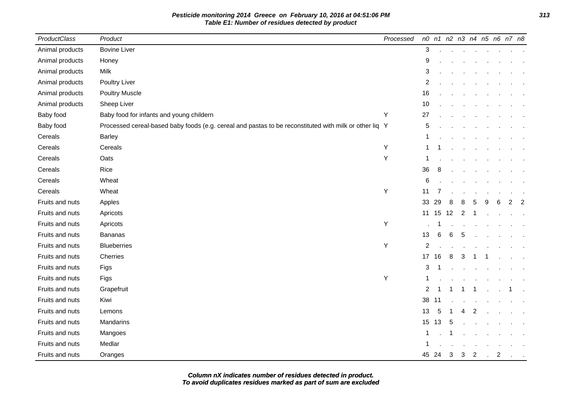| ProductClass    | Product                                                                                                | Processed |                         |       |              |                |                | n0 n1 n2 n3 n4 n5 n6 n7 n8 |           |                |                |
|-----------------|--------------------------------------------------------------------------------------------------------|-----------|-------------------------|-------|--------------|----------------|----------------|----------------------------|-----------|----------------|----------------|
| Animal products | <b>Bovine Liver</b>                                                                                    |           | 3                       |       |              |                | $\sim$         |                            |           |                |                |
| Animal products | Honey                                                                                                  |           | 9                       |       |              |                |                |                            |           |                |                |
| Animal products | Milk                                                                                                   |           | 3                       |       |              |                |                |                            |           |                |                |
| Animal products | Poultry Liver                                                                                          |           | 2                       |       |              |                |                |                            |           |                |                |
| Animal products | <b>Poultry Muscle</b>                                                                                  |           | 16                      |       |              |                |                |                            |           |                |                |
| Animal products | Sheep Liver                                                                                            |           | 10                      |       |              |                |                |                            |           |                |                |
| Baby food       | Baby food for infants and young childern                                                               | Υ         | 27                      |       |              |                |                |                            |           |                |                |
| Baby food       | Processed cereal-based baby foods (e.g. cereal and pastas to be reconstituted with milk or other liq Y |           | 5                       |       |              |                |                |                            |           |                |                |
| Cereals         | Barley                                                                                                 |           | $\mathbf{1}$            |       |              |                |                |                            |           |                |                |
| Cereals         | Cereals                                                                                                | Υ         | 1                       |       |              |                |                |                            |           |                |                |
| Cereals         | Oats                                                                                                   | Y         | 1                       |       |              |                |                |                            |           |                |                |
| Cereals         | Rice                                                                                                   |           | 36                      | 8     |              |                |                |                            |           |                |                |
| Cereals         | Wheat                                                                                                  |           | $\,6$                   |       |              |                |                |                            |           |                |                |
| Cereals         | Wheat                                                                                                  | Υ         | 11                      |       |              |                |                |                            |           |                |                |
| Fruits and nuts | Apples                                                                                                 |           | 33                      | 29    | 8            | 8              | 5              | 9                          | 6         | $\overline{2}$ | $\overline{2}$ |
| Fruits and nuts | Apricots                                                                                               |           | 11                      | 15    | 12           | 2              |                |                            |           |                |                |
| Fruits and nuts | Apricots                                                                                               | Y         |                         |       |              |                |                |                            |           |                |                |
| Fruits and nuts | Bananas                                                                                                |           | 13                      | 6     | 6            | 5              |                |                            |           |                |                |
| Fruits and nuts | <b>Blueberries</b>                                                                                     | Υ         | $\overline{\mathbf{c}}$ |       |              |                |                |                            |           |                |                |
| Fruits and nuts | Cherries                                                                                               |           | 17 16                   |       | 8            | 3              |                |                            |           |                |                |
| Fruits and nuts | Figs                                                                                                   |           | 3                       |       |              |                |                |                            |           |                |                |
| Fruits and nuts | Figs                                                                                                   | Υ         | 1                       |       |              |                |                |                            |           |                |                |
| Fruits and nuts | Grapefruit                                                                                             |           | $\overline{2}$          |       |              | -1             | -1             |                            |           |                |                |
| Fruits and nuts | Kiwi                                                                                                   |           | 38                      | 11    |              |                |                |                            |           |                |                |
| Fruits and nuts | Lemons                                                                                                 |           | 13                      | 5     |              | 4              | 2              |                            |           |                |                |
| Fruits and nuts | Mandarins                                                                                              |           | 15                      | 13    | 5            |                |                |                            |           |                |                |
| Fruits and nuts | Mangoes                                                                                                |           | 1                       |       |              |                |                |                            |           |                |                |
| Fruits and nuts | Medlar                                                                                                 |           | 1                       |       |              |                |                |                            |           |                |                |
| Fruits and nuts | Oranges                                                                                                |           |                         | 45 24 | $\mathbf{3}$ | 3 <sup>7</sup> | $\overline{2}$ |                            | $\cdot$ 2 |                | $\sim 100$     |

**To avoid duplicates residues marked as part of sum are excluded Column nX indicates number of residues detected in product.**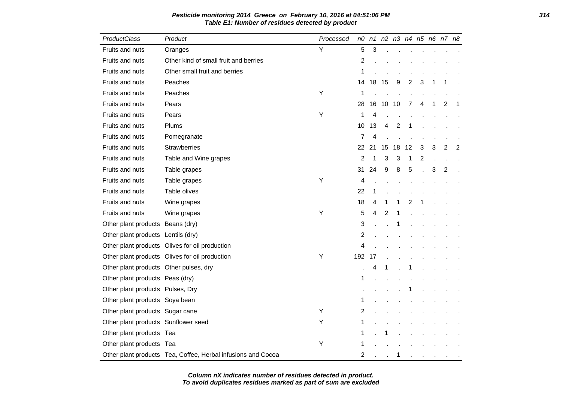| ProductClass                           | Product                                                      | Processed | n0             |    | n1 n2 n3 n4 n5 n6 n7 n8 |     |    |   |   |                |                |
|----------------------------------------|--------------------------------------------------------------|-----------|----------------|----|-------------------------|-----|----|---|---|----------------|----------------|
| Fruits and nuts                        | Oranges                                                      | Y         | 5              | 3  |                         |     |    |   |   |                |                |
| Fruits and nuts                        | Other kind of small fruit and berries                        |           | 2              |    |                         |     |    |   |   |                |                |
| Fruits and nuts                        | Other small fruit and berries                                |           | 1              |    |                         |     |    |   |   |                |                |
| Fruits and nuts                        | Peaches                                                      |           | 14             | 18 | -15                     | 9   | 2  | 3 | 1 | 1              |                |
| Fruits and nuts                        | Peaches                                                      | Υ         | 1              |    |                         |     |    |   |   |                |                |
| Fruits and nuts                        | Pears                                                        |           | 28             | 16 | 10                      | -10 | 7  | 4 | 1 | 2              | 1              |
| Fruits and nuts                        | Pears                                                        | Y         | 1              | 4  |                         |     |    |   |   |                |                |
| Fruits and nuts                        | Plums                                                        |           | 10             | 13 | 4                       | 2   | 1  |   |   |                |                |
| Fruits and nuts                        | Pomegranate                                                  |           | 7              | 4  |                         |     |    |   |   |                |                |
| Fruits and nuts                        | Strawberries                                                 |           | 22             | 21 | 15                      | 18  | 12 | 3 | 3 | 2              | $\overline{2}$ |
| Fruits and nuts                        | Table and Wine grapes                                        |           | $\overline{2}$ | 1  | 3                       | 3   | 1  | 2 |   |                |                |
| Fruits and nuts                        | Table grapes                                                 |           | 31             | 24 | 9                       | 8   | 5  |   | 3 | $\overline{2}$ |                |
| Fruits and nuts                        | Table grapes                                                 | Y         | 4              |    |                         |     |    |   |   |                |                |
| Fruits and nuts                        | Table olives                                                 |           | 22             | 1  |                         |     |    |   |   |                |                |
| Fruits and nuts                        | Wine grapes                                                  |           | 18             | 4  | 1                       | 1   | 2  | 1 |   |                |                |
| <b>Fruits and nuts</b>                 | Wine grapes                                                  | Y         | 5              | 4  | 2                       | 1   |    |   |   |                |                |
| Other plant products Beans (dry)       |                                                              |           | 3              |    |                         |     |    |   |   |                |                |
| Other plant products Lentils (dry)     |                                                              |           | 2              |    |                         |     |    |   |   |                |                |
|                                        | Other plant products Olives for oil production               |           | 4              |    |                         |     |    |   |   |                |                |
|                                        | Other plant products Olives for oil production               | Y         | 192            | 17 |                         |     |    |   |   |                |                |
| Other plant products Other pulses, dry |                                                              |           |                | 4  |                         |     | 1  |   |   |                |                |
| Other plant products Peas (dry)        |                                                              |           | 1              |    |                         |     |    |   |   |                |                |
| Other plant products Pulses, Dry       |                                                              |           |                |    |                         |     |    |   |   |                |                |
| Other plant products Soya bean         |                                                              |           | 1              |    |                         |     |    |   |   |                |                |
| Other plant products Sugar cane        |                                                              | Y         | 2              |    |                         |     |    |   |   |                |                |
| Other plant products Sunflower seed    |                                                              | Υ         | 1              |    |                         |     |    |   |   |                |                |
| Other plant products Tea               |                                                              |           | 1              |    |                         |     |    |   |   |                |                |
| Other plant products Tea               |                                                              | Y         | 1              |    |                         |     |    |   |   |                |                |
|                                        | Other plant products Tea, Coffee, Herbal infusions and Cocoa |           | $\overline{2}$ |    |                         | 1   |    |   |   |                |                |

# **Pesticide monitoring 2014 Greece on February 10, 2016 at 04:51:06 PM 314 Table E1: Number of residues detected by product**

**To avoid duplicates residues marked as part of sum are excluded Column nX indicates number of residues detected in product.**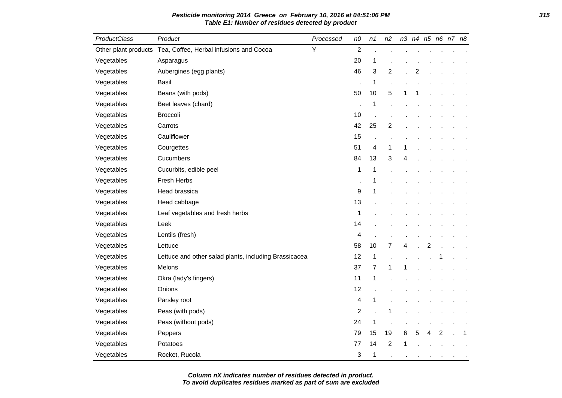| ProductClass         | Product                                               | Processed | n <sub>0</sub>          | n1             | n2             |   |   |   | n3 n4 n5 n6 n7 n8 |   |
|----------------------|-------------------------------------------------------|-----------|-------------------------|----------------|----------------|---|---|---|-------------------|---|
| Other plant products | Tea, Coffee, Herbal infusions and Cocoa               | Y         | $\overline{2}$          |                |                |   |   |   |                   |   |
| Vegetables           | Asparagus                                             |           | 20                      | 1              |                |   |   |   |                   |   |
| Vegetables           | Aubergines (egg plants)                               |           | 46                      | 3              | 2              |   | 2 |   |                   |   |
| Vegetables           | <b>Basil</b>                                          |           |                         | 1              |                |   |   |   |                   |   |
| Vegetables           | Beans (with pods)                                     |           | 50                      | 10             | 5              |   |   |   |                   |   |
| Vegetables           | Beet leaves (chard)                                   |           |                         | 1              |                |   |   |   |                   |   |
| Vegetables           | <b>Broccoli</b>                                       |           | 10                      |                |                |   |   |   |                   |   |
| Vegetables           | Carrots                                               |           | 42                      | 25             | $\overline{c}$ |   |   |   |                   |   |
| Vegetables           | Cauliflower                                           |           | 15                      |                |                |   |   |   |                   |   |
| Vegetables           | Courgettes                                            |           | 51                      | 4              | $\mathbf 1$    | 1 |   |   |                   |   |
| Vegetables           | Cucumbers                                             |           | 84                      | 13             | 3              | 4 |   |   |                   |   |
| Vegetables           | Cucurbits, edible peel                                |           | $\mathbf 1$             | 1              |                |   |   |   |                   |   |
| Vegetables           | Fresh Herbs                                           |           |                         | 1              |                |   |   |   |                   |   |
| Vegetables           | Head brassica                                         |           | 9                       | 1              |                |   |   |   |                   |   |
| Vegetables           | Head cabbage                                          |           | 13                      |                |                |   |   |   |                   |   |
| Vegetables           | Leaf vegetables and fresh herbs                       |           | $\mathbf{1}$            |                |                |   |   |   |                   |   |
| Vegetables           | Leek                                                  |           | 14                      |                |                |   |   |   |                   |   |
| Vegetables           | Lentils (fresh)                                       |           | 4                       |                |                |   |   |   |                   |   |
| Vegetables           | Lettuce                                               |           | 58                      | 10             | $\overline{7}$ | 4 |   | 2 |                   |   |
| Vegetables           | Lettuce and other salad plants, including Brassicacea |           | 12                      | 1              |                |   |   |   |                   |   |
| Vegetables           | Melons                                                |           | 37                      | $\overline{7}$ | 1              |   |   |   |                   |   |
| Vegetables           | Okra (lady's fingers)                                 |           | 11                      | 1              |                |   |   |   |                   |   |
| Vegetables           | Onions                                                |           | 12                      |                |                |   |   |   |                   |   |
| Vegetables           | Parsley root                                          |           | 4                       | 1              |                |   |   |   |                   |   |
| Vegetables           | Peas (with pods)                                      |           | $\overline{\mathbf{c}}$ |                | 1              |   |   |   |                   |   |
| Vegetables           | Peas (without pods)                                   |           | 24                      | 1              |                |   |   |   |                   |   |
| Vegetables           | Peppers                                               |           | 79                      | 15             | 19             | 6 | 5 | 4 | 2                 | 1 |
| Vegetables           | Potatoes                                              |           | 77                      | 14             | $\overline{c}$ |   |   |   |                   |   |
| Vegetables           | Rocket, Rucola                                        |           | 3                       | 1              |                |   |   |   |                   |   |

**Pesticide monitoring 2014 Greece on February 10, 2016 at 04:51:06 PM 315 Table E1: Number of residues detected by product**

**To avoid duplicates residues marked as part of sum are excluded Column nX indicates number of residues detected in product.**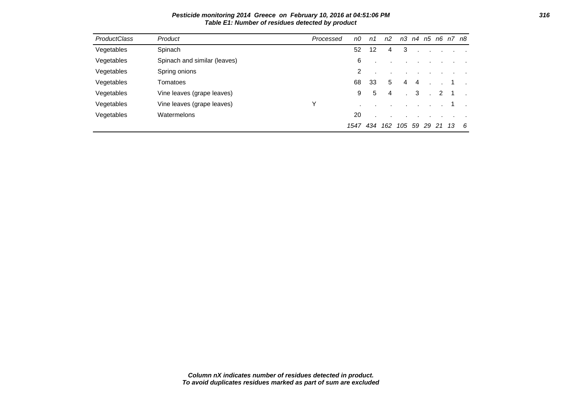| <b>ProductClass</b> | Product                      | Processed | n0   | n1  | n <sub>2</sub> | nЗ  |    |    |    | n4 n5 n6 n7 n8 |    |
|---------------------|------------------------------|-----------|------|-----|----------------|-----|----|----|----|----------------|----|
| Vegetables          | Spinach                      |           | 52   | 12  | 4              | 3   |    |    |    |                |    |
| Vegetables          | Spinach and similar (leaves) |           | 6    |     |                |     |    |    |    |                |    |
| Vegetables          | Spring onions                |           | 2    |     |                |     |    |    |    |                |    |
| Vegetables          | Tomatoes                     |           | 68   | 33  | 5              | 4   | 4  |    |    |                |    |
| Vegetables          | Vine leaves (grape leaves)   |           | 9    | 5   | 4              |     | 3  |    | 2  |                |    |
| Vegetables          | Vine leaves (grape leaves)   | Y         |      |     |                |     |    |    |    |                |    |
| Vegetables          | Watermelons                  |           | 20   |     |                |     |    |    |    |                |    |
|                     |                              |           | 1547 | 434 | 162            | 105 | 59 | 29 | 21 | 13             | -6 |

**Pesticide monitoring 2014 Greece on February 10, 2016 at 04:51:06 PM 316 Table E1: Number of residues detected by product**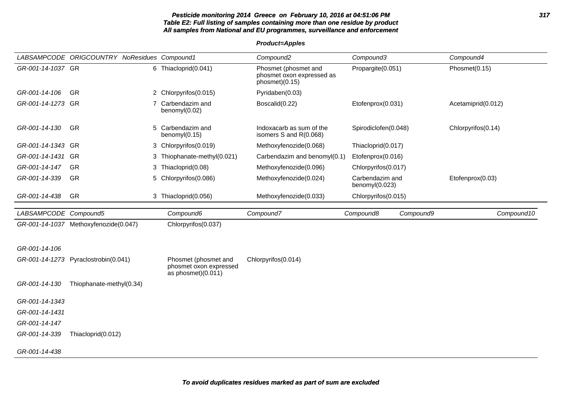#### **Pesticide monitoring 2014 Greece on February 10, 2016 at 04:51:06 PM 317 Table E2: Full listing of samples containing more than one residue by product All samples from National and EU programmes, surveillance and enforcement**

|                       | LABSAMPCODE ORIGCOUNTRY NoResidues Compound1 |                                                                        | Compound <sub>2</sub>                                               | Compound3                            | Compound4          |
|-----------------------|----------------------------------------------|------------------------------------------------------------------------|---------------------------------------------------------------------|--------------------------------------|--------------------|
| GR-001-14-1037 GR     |                                              | 6 Thiacloprid(0.041)                                                   | Phosmet (phosmet and<br>phosmet oxon expressed as<br>phosmet)(0.15) | Propargite(0.051)                    | Phosmet(0.15)      |
| GR-001-14-106         | <b>GR</b>                                    | 2 Chlorpyrifos(0.015)                                                  | Pyridaben(0.03)                                                     |                                      |                    |
| GR-001-14-1273 GR     |                                              | Carbendazim and<br>$\overline{7}$<br>benomyl(0.02)                     | Boscalid(0.22)                                                      | Etofenprox(0.031)                    | Acetamiprid(0.012) |
| GR-001-14-130         | <b>GR</b>                                    | Carbendazim and<br>5<br>benomy $I(0.15)$                               | Indoxacarb as sum of the<br>isomers S and R(0.068)                  | Spirodiclofen(0.048)                 | Chlorpyrifos(0.14) |
| GR-001-14-1343 GR     |                                              | 3 Chlorpyrifos(0.019)                                                  | Methoxyfenozide(0.068)                                              | Thiacloprid(0.017)                   |                    |
| GR-001-14-1431 GR     |                                              | 3 Thiophanate-methyl(0.021)                                            | Carbendazim and benomyl(0.1)                                        | Etofenprox(0.016)                    |                    |
| GR-001-14-147         | <b>GR</b>                                    | 3 Thiacloprid(0.08)                                                    | Methoxyfenozide(0.096)                                              | Chlorpyrifos(0.017)                  |                    |
| GR-001-14-339         | <b>GR</b>                                    | Chlorpyrifos(0.086)<br>5                                               | Methoxyfenozide(0.024)                                              | Carbendazim and<br>benomyl $(0.023)$ | Etofenprox(0.03)   |
| GR-001-14-438         | <b>GR</b>                                    | 3 Thiacloprid(0.056)                                                   | Methoxyfenozide(0.033)                                              | Chlorpyrifos(0.015)                  |                    |
| LABSAMPCODE Compound5 |                                              | Compound6                                                              | Compound7                                                           | Compound8<br>Compound9               | Compound10         |
|                       | GR-001-14-1037 Methoxyfenozide(0.047)        | Chlorpyrifos(0.037)                                                    |                                                                     |                                      |                    |
|                       |                                              |                                                                        |                                                                     |                                      |                    |
| GR-001-14-106         |                                              |                                                                        |                                                                     |                                      |                    |
|                       | GR-001-14-1273 Pyraclostrobin(0.041)         | Phosmet (phosmet and<br>phosmet oxon expressed<br>as phosmet $(0.011)$ | Chlorpyrifos(0.014)                                                 |                                      |                    |
| GR-001-14-130         | Thiophanate-methyl(0.34)                     |                                                                        |                                                                     |                                      |                    |
| GR-001-14-1343        |                                              |                                                                        |                                                                     |                                      |                    |
| GR-001-14-1431        |                                              |                                                                        |                                                                     |                                      |                    |
| GR-001-14-147         |                                              |                                                                        |                                                                     |                                      |                    |
| GR-001-14-339         | Thiacloprid(0.012)                           |                                                                        |                                                                     |                                      |                    |
| GR-001-14-438         |                                              |                                                                        |                                                                     |                                      |                    |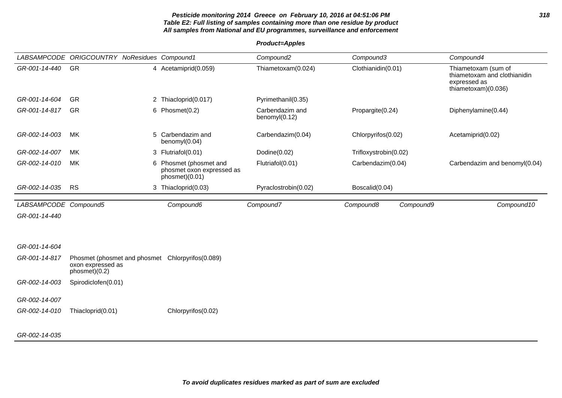### **Pesticide monitoring 2014 Greece on February 10, 2016 at 04:51:06 PM 318 Table E2: Full listing of samples containing more than one residue by product All samples from National and EU programmes, surveillance and enforcement**

|                       | LABSAMPCODE ORIGCOUNTRY NoResidues Compound1                                           |   |                                                                     | Compound <sub>2</sub>            | Compound3             |           | Compound4                                                                                  |
|-----------------------|----------------------------------------------------------------------------------------|---|---------------------------------------------------------------------|----------------------------------|-----------------------|-----------|--------------------------------------------------------------------------------------------|
| GR-001-14-440         | <b>GR</b>                                                                              |   | 4 Acetamiprid(0.059)                                                | Thiametoxam(0.024)               | Clothianidin(0.01)    |           | Thiametoxam (sum of<br>thiametoxam and clothianidin<br>expressed as<br>thiametoxam)(0.036) |
| GR-001-14-604         | <b>GR</b>                                                                              |   | 2 Thiacloprid(0.017)                                                | Pyrimethanil(0.35)               |                       |           |                                                                                            |
| GR-001-14-817         | <b>GR</b>                                                                              |   | 6 Phosmet(0.2)                                                      | Carbendazim and<br>benomyl(0.12) | Propargite(0.24)      |           | Diphenylamine(0.44)                                                                        |
| GR-002-14-003         | MK                                                                                     |   | 5 Carbendazim and<br>benomyl(0.04)                                  | Carbendazim(0.04)                | Chlorpyrifos(0.02)    |           | Acetamiprid(0.02)                                                                          |
| GR-002-14-007         | МK                                                                                     |   | 3 Flutriafol(0.01)                                                  | Dodine(0.02)                     | Trifloxystrobin(0.02) |           |                                                                                            |
| GR-002-14-010         | MK                                                                                     | 6 | Phosmet (phosmet and<br>phosmet oxon expressed as<br>phosmet)(0.01) | Flutriafol(0.01)                 | Carbendazim(0.04)     |           | Carbendazim and benomyl(0.04)                                                              |
| GR-002-14-035         | <b>RS</b>                                                                              |   | 3 Thiacloprid(0.03)                                                 | Pyraclostrobin(0.02)             | Boscalid(0.04)        |           |                                                                                            |
| LABSAMPCODE Compound5 |                                                                                        |   | Compound6                                                           | Compound7                        | Compound8             | Compound9 | Compound10                                                                                 |
| GR-001-14-440         |                                                                                        |   |                                                                     |                                  |                       |           |                                                                                            |
|                       |                                                                                        |   |                                                                     |                                  |                       |           |                                                                                            |
| GR-001-14-604         |                                                                                        |   |                                                                     |                                  |                       |           |                                                                                            |
| GR-001-14-817         | Phosmet (phosmet and phosmet Chlorpyrifos(0.089)<br>oxon expressed as<br>phosmet)(0.2) |   |                                                                     |                                  |                       |           |                                                                                            |
| GR-002-14-003         | Spirodiclofen(0.01)                                                                    |   |                                                                     |                                  |                       |           |                                                                                            |
| GR-002-14-007         |                                                                                        |   |                                                                     |                                  |                       |           |                                                                                            |
| GR-002-14-010         | Thiacloprid(0.01)                                                                      |   | Chlorpyrifos(0.02)                                                  |                                  |                       |           |                                                                                            |
|                       |                                                                                        |   |                                                                     |                                  |                       |           |                                                                                            |
| GR-002-14-035         |                                                                                        |   |                                                                     |                                  |                       |           |                                                                                            |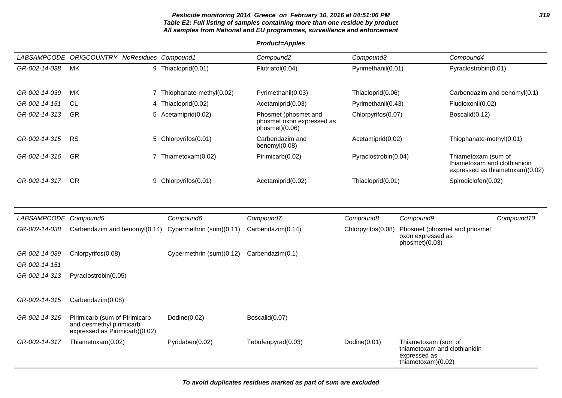### **Pesticide monitoring 2014 Greece on February 10, 2016 at 04:51:06 PM 319 Table E2: Full listing of samples containing more than one residue by product All samples from National and EU programmes, surveillance and enforcement**

| <b>LABSAMPCODE</b> | <b>ORIGCOUNTRY</b> | NoResidues Compound1     | Compound <sub>2</sub>                                               | Compound3            | Compound4                                                                              |
|--------------------|--------------------|--------------------------|---------------------------------------------------------------------|----------------------|----------------------------------------------------------------------------------------|
| GR-002-14-038      | МK                 | 9 Thiacloprid(0.01)      | Flutriafol(0.04)                                                    | Pyrimethanil(0.01)   | Pyraclostrobin(0.01)                                                                   |
| GR-002-14-039      | МK                 | Thiophanate-methyl(0.02) | Pyrimethanil(0.03)                                                  | Thiacloprid(0.06)    | Carbendazim and benomyl(0.1)                                                           |
| GR-002-14-151      | <b>CL</b>          | 4 Thiacloprid(0.02)      | Acetamiprid(0.03)                                                   | Pyrimethanil(0.43)   | Fludioxonil(0.02)                                                                      |
| GR-002-14-313      | <b>GR</b>          | 5 Acetamiprid(0.02)      | Phosmet (phosmet and<br>phosmet oxon expressed as<br>phosmet)(0.06) | Chlorpyrifos(0.07)   | Boscalid(0.12)                                                                         |
| GR-002-14-315      | <b>RS</b>          | 5 Chlorpyrifos(0.01)     | Carbendazim and<br>benomy $I(0.08)$                                 | Acetamiprid(0.02)    | Thiophanate-methyl(0.01)                                                               |
| GR-002-14-316      | <b>GR</b>          | Thiametoxam(0.02)        | Pirimicarb(0.02)                                                    | Pyraclostrobin(0.04) | Thiametoxam (sum of<br>thiametoxam and clothianidin<br>expressed as thiametoxam)(0.02) |
| GR-002-14-317      | <b>GR</b>          | 9 Chlorpyrifos(0.01)     | Acetamiprid(0.02)                                                   | Thiacloprid(0.01)    | Spirodiclofen(0.02)                                                                    |

| <i>LABSAMPCODE</i> | Compound5                                                                                   | Compound6                | Compound7          | Compound8          | Compound9                                                                                   | Compound10 |
|--------------------|---------------------------------------------------------------------------------------------|--------------------------|--------------------|--------------------|---------------------------------------------------------------------------------------------|------------|
| GR-002-14-038      | Carbendazim and benomyl(0.14)                                                               | Cypermethrin (sum)(0.11) | Carbendazim(0.14)  | Chlorpyrifos(0.08) | Phosmet (phosmet and phosmet)<br>oxon expressed as<br>phosmet)(0.03)                        |            |
| GR-002-14-039      | Chlorpyrifos (0.08)                                                                         | Cypermethrin (sum)(0.12) | Carbendazim(0.1)   |                    |                                                                                             |            |
| GR-002-14-151      |                                                                                             |                          |                    |                    |                                                                                             |            |
| GR-002-14-313      | Pyraclostrobin(0.05)                                                                        |                          |                    |                    |                                                                                             |            |
| GR-002-14-315      | Carbendazim(0.08)                                                                           |                          |                    |                    |                                                                                             |            |
| GR-002-14-316      | Pirimicarb (sum of Pirimicarb<br>and desmethyl pirimicarb<br>expressed as Pirimicarb)(0.02) | Dodine(0.02)             | Boscalid(0.07)     |                    |                                                                                             |            |
| GR-002-14-317      | Thiametoxam(0.02)                                                                           | Pyridaben(0.02)          | Tebufenpyrad(0.03) | Dodine $(0.01)$    | Thiametoxam (sum of<br>thiametoxam and clothianidin<br>expressed as<br>thiametoxam $(0.02)$ |            |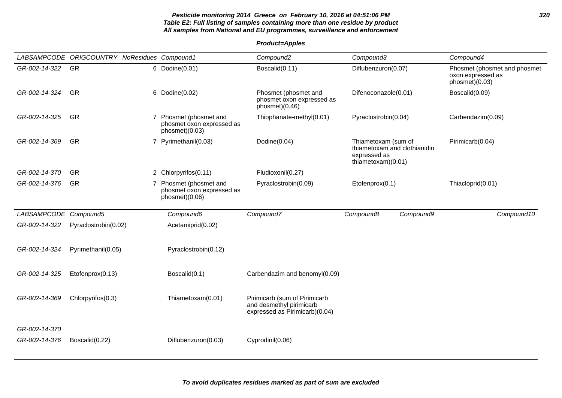### **Pesticide monitoring 2014 Greece on February 10, 2016 at 04:51:06 PM 320 Table E2: Full listing of samples containing more than one residue by product All samples from National and EU programmes, surveillance and enforcement**

|                                | LABSAMPCODE ORIGCOUNTRY NoResidues Compound1 |                                                                       | Compound <sub>2</sub>                                                                       | Compound3                                                                                 | Compound4                                                           |
|--------------------------------|----------------------------------------------|-----------------------------------------------------------------------|---------------------------------------------------------------------------------------------|-------------------------------------------------------------------------------------------|---------------------------------------------------------------------|
| GR-002-14-322                  | GR                                           | 6 Dodine(0.01)                                                        | Boscalid(0.11)                                                                              | Diflubenzuron(0.07)                                                                       | Phosmet (phosmet and phosmet<br>oxon expressed as<br>phosmet)(0.03) |
| GR-002-14-324                  | <b>GR</b>                                    | 6 Dodine(0.02)                                                        | Phosmet (phosmet and<br>phosmet oxon expressed as<br>phosmet)(0.46)                         | Difenoconazole(0.01)                                                                      | Boscalid(0.09)                                                      |
| GR-002-14-325                  | <b>GR</b>                                    | 7 Phosmet (phosmet and<br>phosmet oxon expressed as<br>phosmet)(0.03) | Thiophanate-methyl(0.01)                                                                    | Pyraclostrobin(0.04)                                                                      | Carbendazim(0.09)                                                   |
| GR-002-14-369                  | <b>GR</b>                                    | 7 Pyrimethanil(0.03)                                                  | Dodine(0.04)                                                                                | Thiametoxam (sum of<br>thiametoxam and clothianidin<br>expressed as<br>thiametoxam)(0.01) | Pirimicarb(0.04)                                                    |
| GR-002-14-370                  | GR                                           | 2 Chlorpyrifos(0.11)                                                  | Fludioxonil(0.27)                                                                           |                                                                                           |                                                                     |
| GR-002-14-376                  | GR                                           | 7 Phosmet (phosmet and<br>phosmet oxon expressed as<br>phosmet)(0.06) | Pyraclostrobin(0.09)                                                                        | Etofenprox(0.1)                                                                           | Thiacloprid(0.01)                                                   |
| LABSAMPCODE Compound5          |                                              | Compound6                                                             | Compound7                                                                                   | Compound8<br>Compound9                                                                    | Compound10                                                          |
| GR-002-14-322                  | Pyraclostrobin(0.02)                         | Acetamiprid(0.02)                                                     |                                                                                             |                                                                                           |                                                                     |
| GR-002-14-324                  | Pyrimethanil(0.05)                           | Pyraclostrobin(0.12)                                                  |                                                                                             |                                                                                           |                                                                     |
| GR-002-14-325                  | Etofenprox(0.13)                             | Boscalid(0.1)                                                         | Carbendazim and benomyl(0.09)                                                               |                                                                                           |                                                                     |
| GR-002-14-369                  | Chlorpyrifos(0.3)                            | Thiametoxam(0.01)                                                     | Pirimicarb (sum of Pirimicarb<br>and desmethyl pirimicarb<br>expressed as Pirimicarb)(0.04) |                                                                                           |                                                                     |
| GR-002-14-370<br>GR-002-14-376 | Boscalid(0.22)                               | Diflubenzuron(0.03)                                                   | Cyprodinil(0.06)                                                                            |                                                                                           |                                                                     |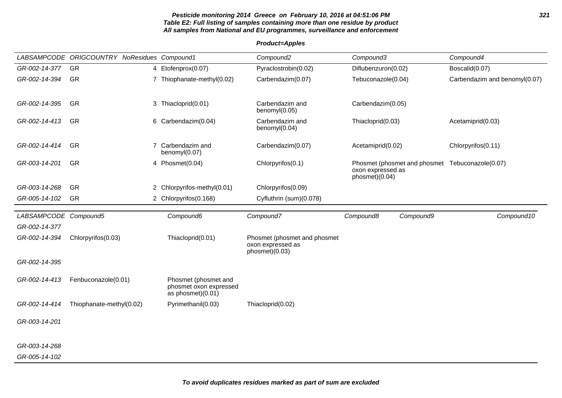### **Pesticide monitoring 2014 Greece on February 10, 2016 at 04:51:06 PM 321 Table E2: Full listing of samples containing more than one residue by product All samples from National and EU programmes, surveillance and enforcement**

|                       | LABSAMPCODE ORIGCOUNTRY NoResidues Compound1 |                                                                     | Compound <sub>2</sub>               | Compound3                                                                              | Compound4                     |
|-----------------------|----------------------------------------------|---------------------------------------------------------------------|-------------------------------------|----------------------------------------------------------------------------------------|-------------------------------|
| GR-002-14-377         | <b>GR</b>                                    | 4 Etofenprox(0.07)                                                  | Pyraclostrobin(0.02)                | Diflubenzuron(0.02)                                                                    | Boscalid(0.07)                |
| GR-002-14-394         | <b>GR</b>                                    | 7 Thiophanate-methyl(0.02)                                          | Carbendazim(0.07)                   | Tebuconazole(0.04)                                                                     | Carbendazim and benomyl(0.07) |
|                       |                                              |                                                                     |                                     |                                                                                        |                               |
| GR-002-14-395         | GR                                           | 3 Thiacloprid(0.01)                                                 | Carbendazim and<br>benomyl(0.05)    | Carbendazim(0.05)                                                                      |                               |
| GR-002-14-413         | <b>GR</b>                                    | 6 Carbendazim(0.04)                                                 | Carbendazim and<br>benomyl(0.04)    | Thiacloprid(0.03)                                                                      | Acetamiprid(0.03)             |
| GR-002-14-414         | <b>GR</b>                                    | 7 Carbendazim and<br>benomyl(0.07)                                  | Carbendazim(0.07)                   | Acetamiprid(0.02)                                                                      | Chlorpyrifos(0.11)            |
| GR-003-14-201         | GR                                           | 4 Phosmet(0.04)                                                     | Chlorpyrifos(0.1)                   | Phosmet (phosmet and phosmet Tebuconazole(0.07)<br>oxon expressed as<br>phosmet)(0.04) |                               |
| GR-003-14-268         | GR                                           | 2 Chlorpyrifos-methyl(0.01)                                         | Chlorpyrifos(0.09)                  |                                                                                        |                               |
| GR-005-14-102         | GR                                           | 2 Chlorpyrifos(0.168)                                               | Cyfluthrin (sum)(0.078)             |                                                                                        |                               |
| LABSAMPCODE Compound5 |                                              | Compound6                                                           | Compound7                           | Compound8<br>Compound9                                                                 | Compound10                    |
| GR-002-14-377         |                                              |                                                                     |                                     |                                                                                        |                               |
| GR-002-14-394         | Chlorpyrifos(0.03)                           | Thiacloprid(0.01)                                                   | Phosmet (phosmet and phosmet        |                                                                                        |                               |
|                       |                                              |                                                                     | oxon expressed as<br>phosmet)(0.03) |                                                                                        |                               |
| GR-002-14-395         |                                              |                                                                     |                                     |                                                                                        |                               |
| GR-002-14-413         | Fenbuconazole(0.01)                          | Phosmet (phosmet and<br>phosmet oxon expressed<br>as phosmet)(0.01) |                                     |                                                                                        |                               |
| GR-002-14-414         | Thiophanate-methyl(0.02)                     | Pyrimethanil(0.03)                                                  | Thiacloprid(0.02)                   |                                                                                        |                               |
| GR-003-14-201         |                                              |                                                                     |                                     |                                                                                        |                               |
| GR-003-14-268         |                                              |                                                                     |                                     |                                                                                        |                               |
| GR-005-14-102         |                                              |                                                                     |                                     |                                                                                        |                               |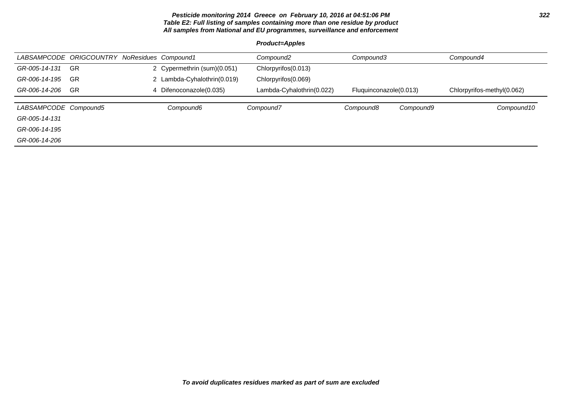### **Pesticide monitoring 2014 Greece on February 10, 2016 at 04:51:06 PM 322 Table E2: Full listing of samples containing more than one residue by product All samples from National and EU programmes, surveillance and enforcement**

|                       | LABSAMPCODE ORIGCOUNTRY NoResidues Compound1 |                             | Compound2                 | Compound3              |           | Compound4                  |
|-----------------------|----------------------------------------------|-----------------------------|---------------------------|------------------------|-----------|----------------------------|
| GR-005-14-131         | <b>GR</b>                                    | 2 Cypermethrin (sum)(0.051) | Chlorpyrifos(0.013)       |                        |           |                            |
| GR-006-14-195         | GR                                           | 2 Lambda-Cyhalothrin(0.019) | Chlorpyrifos(0.069)       |                        |           |                            |
| GR-006-14-206         | <b>GR</b>                                    | 4 Difenoconazole(0.035)     | Lambda-Cyhalothrin(0.022) | Fluguinconazole(0.013) |           | Chlorpyrifos-methyl(0.062) |
|                       |                                              |                             |                           |                        |           |                            |
| LABSAMPCODE Compound5 |                                              | Compound6                   | Compound7                 | Compound8              | Compound9 | Compound10                 |
| GR-005-14-131         |                                              |                             |                           |                        |           |                            |
| GR-006-14-195         |                                              |                             |                           |                        |           |                            |
| GR-006-14-206         |                                              |                             |                           |                        |           |                            |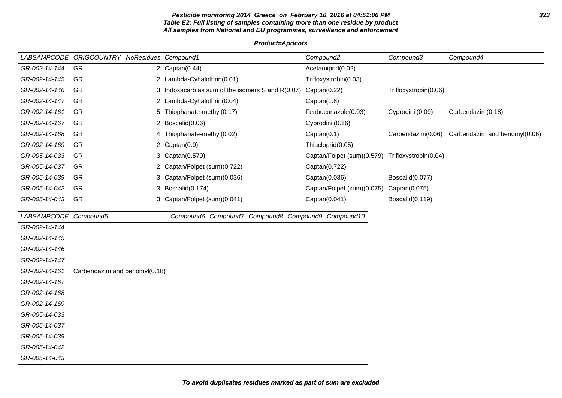#### **Pesticide monitoring 2014 Greece on February 10, 2016 at 04:51:06 PM 323 Table E2: Full listing of samples containing more than one residue by product All samples from National and EU programmes, surveillance and enforcement**

#### **Product=Apricots**

|                       | LABSAMPCODE ORIGCOUNTRY NoResidues Compound1 |                                                    | Compound <sub>2</sub>      | Compound3             | Compound4                     |
|-----------------------|----------------------------------------------|----------------------------------------------------|----------------------------|-----------------------|-------------------------------|
| GR-002-14-144         | GR                                           | 2 $Captan(0.44)$                                   | Acetamiprid(0.02)          |                       |                               |
| GR-002-14-145         | <b>GR</b>                                    | 2 Lambda-Cyhalothrin(0.01)                         | Trifloxystrobin(0.03)      |                       |                               |
| GR-002-14-146         | GR                                           | 3 Indoxacarb as sum of the isomers S and R(0.07)   | Captan(0.22)               | Trifloxystrobin(0.06) |                               |
| GR-002-14-147         | <b>GR</b>                                    | 2 Lambda-Cyhalothrin(0.04)                         | Captan(1.8)                |                       |                               |
| GR-002-14-161         | GR                                           | 5 Thiophanate-methyl(0.17)                         | Fenbuconazole(0.03)        | Cyprodinil(0.09)      | Carbendazim(0.18)             |
| GR-002-14-167         | GR                                           | 2 Boscalid(0.06)                                   | Cyprodinil(0.16)           |                       |                               |
| GR-002-14-168         | GR                                           | 4 Thiophanate-methyl(0.02)                         | Captan(0.1)                | Carbendazim(0.06)     | Carbendazim and benomyl(0.06) |
| GR-002-14-169         | GR                                           | 2 $Captan(0.9)$                                    | Thiacloprid(0.05)          |                       |                               |
| GR-005-14-033         | GR                                           | 3 Captan(0.579)                                    | Captan/Folpet (sum)(0.579) | Trifloxystrobin(0.04) |                               |
| GR-005-14-037         | <b>GR</b>                                    | 2 Captan/Folpet (sum)(0.722)                       | Captan(0.722)              |                       |                               |
| GR-005-14-039         | GR                                           | 3 Captan/Folpet (sum)(0.036)                       | Captan(0.036)              | Boscalid(0.077)       |                               |
| GR-005-14-042         | <b>GR</b>                                    | 3 Boscalid(0.174)                                  | Captan/Folpet (sum)(0.075) | Captan(0.075)         |                               |
| GR-005-14-043         | GR                                           | 3 Captan/Folpet (sum)(0.041)                       | Captan(0.041)              | Boscalid(0.119)       |                               |
|                       |                                              |                                                    |                            |                       |                               |
| LABSAMPCODE Compound5 |                                              | Compound6 Compound7 Compound8 Compound9 Compound10 |                            |                       |                               |
| GR-002-14-144         |                                              |                                                    |                            |                       |                               |
| GR-002-14-145         |                                              |                                                    |                            |                       |                               |
| GR-002-14-146         |                                              |                                                    |                            |                       |                               |
| GR-002-14-147         |                                              |                                                    |                            |                       |                               |
| GR-002-14-161         | Carbendazim and benomyl(0.18)                |                                                    |                            |                       |                               |
| GR-002-14-167         |                                              |                                                    |                            |                       |                               |
| GR-002-14-168         |                                              |                                                    |                            |                       |                               |
| GR-002-14-169         |                                              |                                                    |                            |                       |                               |
| GR-005-14-033         |                                              |                                                    |                            |                       |                               |
| GR-005-14-037         |                                              |                                                    |                            |                       |                               |
| GR-005-14-039         |                                              |                                                    |                            |                       |                               |
| GR-005-14-042         |                                              |                                                    |                            |                       |                               |

GR-005-14-043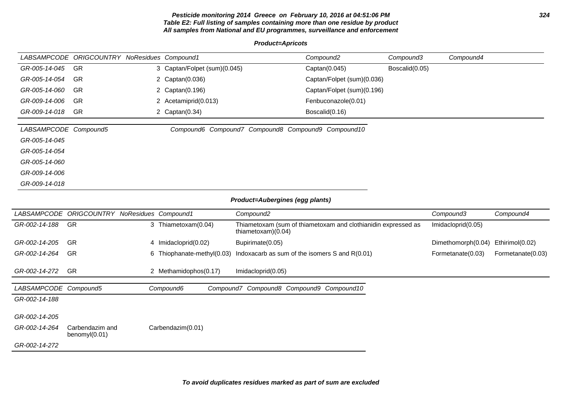#### **Pesticide monitoring 2014 Greece on February 10, 2016 at 04:51:06 PM 324 Table E2: Full listing of samples containing more than one residue by product All samples from National and EU programmes, surveillance and enforcement**

**Product=Apricots**

|                       | LABSAMPCODE ORIGCOUNTRY NoResidues Compound1 |   |                              |                                                    | Compound <sub>2</sub>                                         | Compound3      | Compound4          |                   |
|-----------------------|----------------------------------------------|---|------------------------------|----------------------------------------------------|---------------------------------------------------------------|----------------|--------------------|-------------------|
| GR-005-14-045         | GR                                           |   | 3 Captan/Folpet (sum)(0.045) |                                                    | Captan(0.045)                                                 | Boscalid(0.05) |                    |                   |
| GR-005-14-054         | GR                                           |   | 2 Captan(0.036)              |                                                    | Captan/Folpet (sum)(0.036)                                    |                |                    |                   |
| GR-005-14-060         | <b>GR</b>                                    | 2 | Captan(0.196)                |                                                    | Captan/Folpet (sum)(0.196)                                    |                |                    |                   |
| GR-009-14-006         | <b>GR</b>                                    |   | 2 Acetamiprid(0.013)         |                                                    | Fenbuconazole(0.01)                                           |                |                    |                   |
| GR-009-14-018         | <b>GR</b>                                    |   | 2 Captan(0.34)               |                                                    | Boscalid(0.16)                                                |                |                    |                   |
| LABSAMPCODE Compound5 |                                              |   |                              | Compound6 Compound7 Compound8 Compound9 Compound10 |                                                               |                |                    |                   |
| GR-005-14-045         |                                              |   |                              |                                                    |                                                               |                |                    |                   |
| GR-005-14-054         |                                              |   |                              |                                                    |                                                               |                |                    |                   |
| GR-005-14-060         |                                              |   |                              |                                                    |                                                               |                |                    |                   |
| GR-009-14-006         |                                              |   |                              |                                                    |                                                               |                |                    |                   |
| GR-009-14-018         |                                              |   |                              |                                                    |                                                               |                |                    |                   |
|                       |                                              |   |                              | Product=Aubergines (egg plants)                    |                                                               |                |                    |                   |
|                       | LABSAMPCODE ORIGCOUNTRY NoResidues Compound1 |   |                              | Compound <sub>2</sub>                              |                                                               |                | Compound3          | Compound4         |
| GR-002-14-188         | <b>GR</b>                                    |   | 3 Thiametoxam(0.04)          | thiametoxam)(0.04)                                 | Thiametoxam (sum of thiametoxam and clothianidin expressed as |                | Imidacloprid(0.05) |                   |
| GR-002-14-205         | GR                                           |   | 4 Imidacloprid(0.02)         | Bupirimate(0.05)                                   |                                                               |                | Dimethomorph(0.04) | Ethirimol(0.02)   |
| GR-002-14-264         | <b>GR</b>                                    | 6 | Thiophanate-methyl(0.03)     | Indoxacarb as sum of the isomers S and R(0.01)     |                                                               |                | Formetanate(0.03)  | Formetanate(0.03) |
| GR-002-14-272         | GR                                           |   | 2 Methamidophos(0.17)        | Imidacloprid(0.05)                                 |                                                               |                |                    |                   |
| LABSAMPCODE Compound5 |                                              |   | Compound7<br>Compound6       |                                                    | Compound8 Compound9 Compound10                                |                |                    |                   |
| GR-002-14-188         |                                              |   |                              |                                                    |                                                               |                |                    |                   |
| GR-002-14-205         |                                              |   |                              |                                                    |                                                               |                |                    |                   |
| GR-002-14-264         | Carbendazim and<br>benomyl(0.01)             |   | Carbendazim(0.01)            |                                                    |                                                               |                |                    |                   |
| GR-002-14-272         |                                              |   |                              |                                                    |                                                               |                |                    |                   |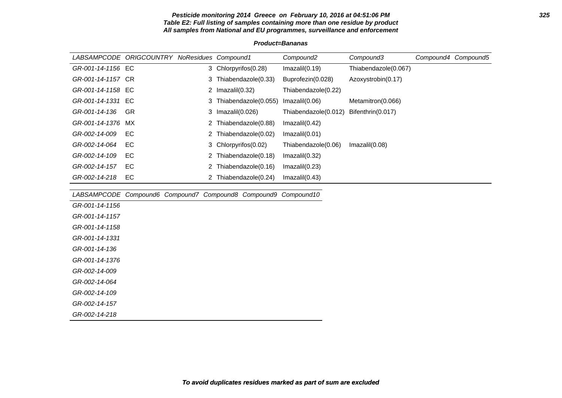#### **Pesticide monitoring 2014 Greece on February 10, 2016 at 04:51:06 PM 325 Table E2: Full listing of samples containing more than one residue by product All samples from National and EU programmes, surveillance and enforcement**

#### **Product=Bananas**

| LABSAMPCODE ORIGCOUNTRY NoResidues Compound1 |    |    |                                                                | Compound <sub>2</sub> | Compound3            | Compound4 Compound5 |
|----------------------------------------------|----|----|----------------------------------------------------------------|-----------------------|----------------------|---------------------|
| GR-001-14-1156 EC                            |    |    | 3 Chlorpyrifos(0.28)                                           | Imazalil(0.19)        | Thiabendazole(0.067) |                     |
| GR-001-14-1157 CR                            |    | 3  | Thiabendazole(0.33)                                            | Buprofezin(0.028)     | Azoxystrobin(0.17)   |                     |
| GR-001-14-1158 EC                            |    |    | 2 $Imazalil(0.32)$                                             | Thiabendazole(0.22)   |                      |                     |
| GR-001-14-1331 EC                            |    | 3  | Thiabendazole(0.055)                                           | Imazalil(0.06)        | Metamitron(0.066)    |                     |
| GR-001-14-136                                | GR | 3  | Imazalil(0.026)                                                | Thiabendazole(0.012)  | Bifenthrin(0.017)    |                     |
| GR-001-14-1376                               | МX | 2  | Thiabendazole(0.88)                                            | Imazalil(0.42)        |                      |                     |
| GR-002-14-009                                | EC | 2  | Thiabendazole(0.02)                                            | Imazalil(0.01)        |                      |                     |
| GR-002-14-064                                | EC | 3. | Chlorpyrifos(0.02)                                             | Thiabendazole(0.06)   | Imazalil(0.08)       |                     |
| GR-002-14-109                                | EC | 2  | Thiabendazole(0.18)                                            | Imazalil(0.32)        |                      |                     |
| GR-002-14-157                                | EC |    | 2 Thiabendazole(0.16)                                          | Imazalil(0.23)        |                      |                     |
| GR-002-14-218                                | EC |    | 2 Thiabendazole(0.24)                                          | Imazalil(0.43)        |                      |                     |
|                                              |    |    |                                                                |                       |                      |                     |
|                                              |    |    | LABSAMPCODE Compound6 Compound7 Compound8 Compound9 Compound10 |                       |                      |                     |
| GR-001-14-1156                               |    |    |                                                                |                       |                      |                     |
| GR-001-14-1157                               |    |    |                                                                |                       |                      |                     |
| GR-001-14-1158                               |    |    |                                                                |                       |                      |                     |
| GR-001-14-1331                               |    |    |                                                                |                       |                      |                     |
| GR-001-14-136                                |    |    |                                                                |                       |                      |                     |
| GR-001-14-1376                               |    |    |                                                                |                       |                      |                     |
| GR-002-14-009                                |    |    |                                                                |                       |                      |                     |
| GR-002-14-064                                |    |    |                                                                |                       |                      |                     |
| GR-002-14-109                                |    |    |                                                                |                       |                      |                     |
| GR-002-14-157                                |    |    |                                                                |                       |                      |                     |
| GR-002-14-218                                |    |    |                                                                |                       |                      |                     |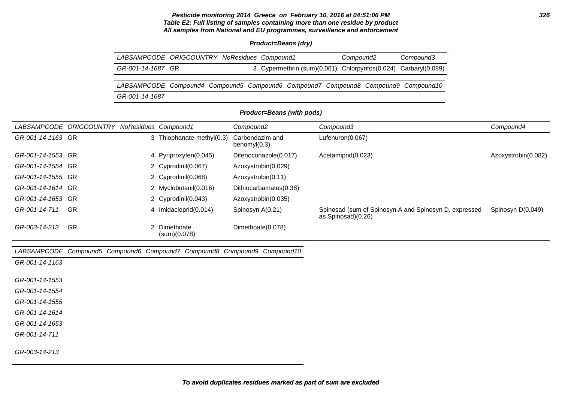# **Pesticide monitoring 2014 Greece on February 10, 2016 at 04:51:06 PM 326 Table E2: Full listing of samples containing more than one residue by product All samples from National and EU programmes, surveillance and enforcement**

# **Product=Beans (dry)**

| LABSAMPCODE ORIGCOUNTRY NoResidues Compound1                                       |  |  | Compound2 | Compound3                                                       |
|------------------------------------------------------------------------------------|--|--|-----------|-----------------------------------------------------------------|
| GR-001-14-1687 GR                                                                  |  |  |           | 3 Cypermethrin (sum)(0.061) Chlorpyrifos(0.024) Carbaryl(0.089) |
|                                                                                    |  |  |           |                                                                 |
| LABSAMPCODE Compound4 Compound5 Compound6 Compound7 Compound8 Compound9 Compound10 |  |  |           |                                                                 |
| GR-001-14-1687                                                                     |  |  |           |                                                                 |

# **Product=Beans (with pods)**

|                   | LABSAMPCODE ORIGCOUNTRY |   | NoResidues Compound1       | Compound2                       | Compound3                                                                   | Compound4           |
|-------------------|-------------------------|---|----------------------------|---------------------------------|-----------------------------------------------------------------------------|---------------------|
| GR-001-14-1163 GR |                         |   | 3 Thiophanate-methyl(0.3)  | Carbendazim and<br>benomyl(0.3) | Lufenuron(0.067)                                                            |                     |
| GR-001-14-1553 GR |                         |   | 4 Pyriproxyfen(0.045)      | Difenoconazole(0.017)           | Acetamiprid(0.023)                                                          | Azoxystrobin(0.082) |
| GR-001-14-1554 GR |                         |   | 2 Cyprodinil(0.067)        | Azoxystrobin(0.029)             |                                                                             |                     |
| GR-001-14-1555 GR |                         |   | 2 Cyprodinil(0.068)        | Azoxystrobin(0.11)              |                                                                             |                     |
| GR-001-14-1614 GR |                         |   | 2 Myclobutanil(0.016)      | Dithiocarbamates(0.38)          |                                                                             |                     |
| GR-001-14-1653 GR |                         |   | 2 Cyprodinil(0.043)        | Azoxystrobin(0.035)             |                                                                             |                     |
| GR-001-14-711     | <b>GR</b>               | 4 | Imidacloprid(0.014)        | Spinosyn A(0.21)                | Spinosad (sum of Spinosyn A and Spinosyn D, expressed<br>as Spinosad)(0.26) | Spinosyn D(0.049)   |
| GR-003-14-213     | <b>GR</b>               |   | Dimethoate<br>(sum)(0.078) | Dimethoate(0.078)               |                                                                             |                     |

| GR-003-14-213                                                            | GR | 2 Dimethoate<br>(sum)(0.078) | Dimethoate(0.078) |  |
|--------------------------------------------------------------------------|----|------------------------------|-------------------|--|
| LABSAMPCODE Compound5 Compound6 Compound7 Compound8 Compound9 Compound10 |    |                              |                   |  |
| GR-001-14-1163                                                           |    |                              |                   |  |
| GR-001-14-1553                                                           |    |                              |                   |  |
| GR-001-14-1554                                                           |    |                              |                   |  |
| GR-001-14-1555                                                           |    |                              |                   |  |
| GR-001-14-1614                                                           |    |                              |                   |  |
| GR-001-14-1653                                                           |    |                              |                   |  |
| GR-001-14-711                                                            |    |                              |                   |  |
| GR-003-14-213                                                            |    |                              |                   |  |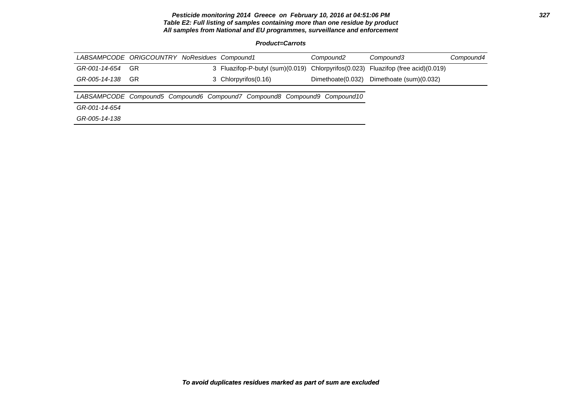# **Pesticide monitoring 2014 Greece on February 10, 2016 at 04:51:06 PM 327 Table E2: Full listing of samples containing more than one residue by product All samples from National and EU programmes, surveillance and enforcement**

**Product=Carrots**

| LABSAMPCODE ORIGCOUNTRY NoResidues Compound1 |     |  |                      | Compound2                                                                | Compound3                                                                         | Compound4 |
|----------------------------------------------|-----|--|----------------------|--------------------------------------------------------------------------|-----------------------------------------------------------------------------------|-----------|
| GR-001-14-654                                | GR  |  |                      |                                                                          | 3 Fluazifop-P-butyl (sum)(0.019) Chlorpyrifos(0.023) Fluazifop (free acid)(0.019) |           |
| GR-005-14-138                                | -GR |  | 3 Chlorpyrifos(0.16) |                                                                          | Dimethoate(0.032) Dimethoate (sum)(0.032)                                         |           |
|                                              |     |  |                      |                                                                          |                                                                                   |           |
|                                              |     |  |                      | LABSAMPCODE Compound5 Compound6 Compound7 Compound8 Compound9 Compound10 |                                                                                   |           |
| GR-001-14-654                                |     |  |                      |                                                                          |                                                                                   |           |
| GR-005-14-138                                |     |  |                      |                                                                          |                                                                                   |           |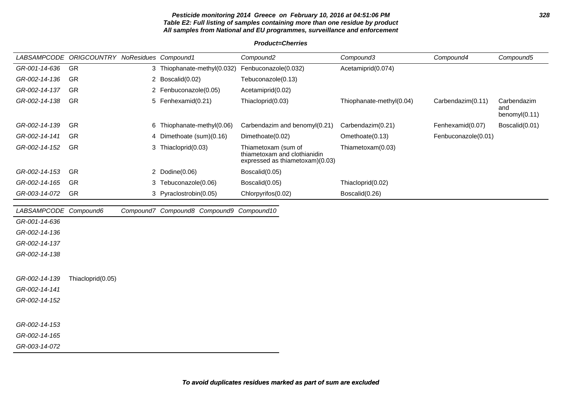# **Pesticide monitoring 2014 Greece on February 10, 2016 at 04:51:06 PM 328 Table E2: Full listing of samples containing more than one residue by product All samples from National and EU programmes, surveillance and enforcement**

# **Product=Cherries**

|                       | LABSAMPCODE ORIGCOUNTRY NoResidues Compound1 |                                          | Compound <sub>2</sub>                                                                  | Compound3                | Compound4           | Compound5                              |
|-----------------------|----------------------------------------------|------------------------------------------|----------------------------------------------------------------------------------------|--------------------------|---------------------|----------------------------------------|
| GR-001-14-636         | <b>GR</b>                                    | 3 Thiophanate-methyl(0.032)              | Fenbuconazole(0.032)                                                                   | Acetamiprid(0.074)       |                     |                                        |
| GR-002-14-136         | GR                                           | 2 Boscalid(0.02)                         | Tebuconazole(0.13)                                                                     |                          |                     |                                        |
| GR-002-14-137         | <b>GR</b>                                    | 2 Fenbuconazole(0.05)                    | Acetamiprid(0.02)                                                                      |                          |                     |                                        |
| GR-002-14-138         | <b>GR</b>                                    | 5 Fenhexamid(0.21)                       | Thiacloprid(0.03)                                                                      | Thiophanate-methyl(0.04) | Carbendazim(0.11)   | Carbendazim<br>and<br>benomy $I(0.11)$ |
| GR-002-14-139         | <b>GR</b>                                    | 6 Thiophanate-methyl(0.06)               | Carbendazim and benomyl(0.21)                                                          | Carbendazim(0.21)        | Fenhexamid(0.07)    | Boscalid(0.01)                         |
| GR-002-14-141         | <b>GR</b>                                    | 4 Dimethoate (sum)(0.16)                 | Dimethoate(0.02)                                                                       | Omethoate(0.13)          | Fenbuconazole(0.01) |                                        |
| GR-002-14-152         | <b>GR</b>                                    | 3 Thiacloprid(0.03)                      | Thiametoxam (sum of<br>thiametoxam and clothianidin<br>expressed as thiametoxam)(0.03) | Thiametoxam(0.03)        |                     |                                        |
| GR-002-14-153         | <b>GR</b>                                    | 2 Dodine(0.06)                           | Boscalid(0.05)                                                                         |                          |                     |                                        |
| GR-002-14-165         | <b>GR</b>                                    | 3 Tebuconazole(0.06)                     | Boscalid(0.05)                                                                         | Thiacloprid(0.02)        |                     |                                        |
| GR-003-14-072         | <b>GR</b>                                    | 3 Pyraclostrobin(0.05)                   | Chlorpyrifos(0.02)                                                                     | Boscalid(0.26)           |                     |                                        |
| LABSAMPCODE Compound6 |                                              | Compound7 Compound8 Compound9 Compound10 |                                                                                        |                          |                     |                                        |
| GR-001-14-636         |                                              |                                          |                                                                                        |                          |                     |                                        |
| GR-002-14-136         |                                              |                                          |                                                                                        |                          |                     |                                        |
| GR-002-14-137         |                                              |                                          |                                                                                        |                          |                     |                                        |
| GR-002-14-138         |                                              |                                          |                                                                                        |                          |                     |                                        |
|                       |                                              |                                          |                                                                                        |                          |                     |                                        |
| GR-002-14-139         | Thiacloprid(0.05)                            |                                          |                                                                                        |                          |                     |                                        |
| GR-002-14-141         |                                              |                                          |                                                                                        |                          |                     |                                        |
| GR-002-14-152         |                                              |                                          |                                                                                        |                          |                     |                                        |
|                       |                                              |                                          |                                                                                        |                          |                     |                                        |
| GR-002-14-153         |                                              |                                          |                                                                                        |                          |                     |                                        |

GR-002-14-165

GR-003-14-072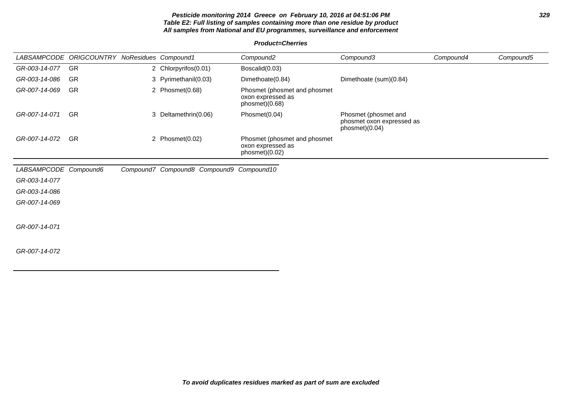# **Pesticide monitoring 2014 Greece on February 10, 2016 at 04:51:06 PM 329 Table E2: Full listing of samples containing more than one residue by product All samples from National and EU programmes, surveillance and enforcement**

# **Product=Cherries**

|                       | LABSAMPCODE ORIGCOUNTRY NoResidues Compound1 |                                          | Compound <sub>2</sub>                                               | Compound3                                                           | Compound4 | Compound5 |
|-----------------------|----------------------------------------------|------------------------------------------|---------------------------------------------------------------------|---------------------------------------------------------------------|-----------|-----------|
| GR-003-14-077         | GR                                           | 2 Chlorpyrifos(0.01)                     | Boscalid(0.03)                                                      |                                                                     |           |           |
| GR-003-14-086         | <b>GR</b>                                    | 3 Pyrimethanil(0.03)                     | Dimethoate(0.84)                                                    | Dimethoate (sum)(0.84)                                              |           |           |
| GR-007-14-069         | <b>GR</b>                                    | 2 Phosmet(0.68)                          | Phosmet (phosmet and phosmet<br>oxon expressed as<br>phosmet)(0.68) |                                                                     |           |           |
| GR-007-14-071         | <b>GR</b>                                    | 3 Deltamethrin(0.06)                     | Phosmet(0.04)                                                       | Phosmet (phosmet and<br>phosmet oxon expressed as<br>phosmet)(0.04) |           |           |
| GR-007-14-072         | <b>GR</b>                                    | 2 Phosmet(0.02)                          | Phosmet (phosmet and phosmet<br>oxon expressed as<br>phosmet)(0.02) |                                                                     |           |           |
| LABSAMPCODE Compound6 |                                              | Compound7 Compound8 Compound9 Compound10 |                                                                     |                                                                     |           |           |
| GR-003-14-077         |                                              |                                          |                                                                     |                                                                     |           |           |
| GR-003-14-086         |                                              |                                          |                                                                     |                                                                     |           |           |
| GR-007-14-069         |                                              |                                          |                                                                     |                                                                     |           |           |
| GR-007-14-071         |                                              |                                          |                                                                     |                                                                     |           |           |
| GR-007-14-072         |                                              |                                          |                                                                     |                                                                     |           |           |
|                       |                                              |                                          |                                                                     |                                                                     |           |           |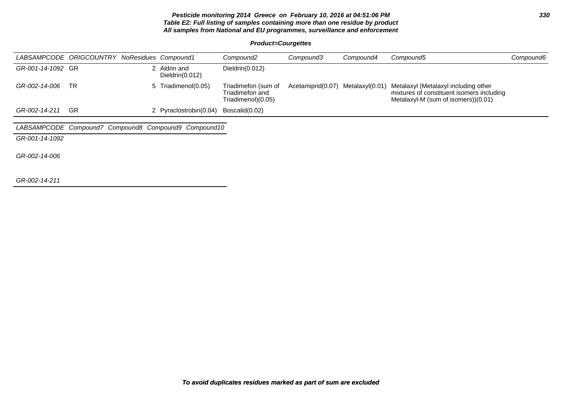# **Pesticide monitoring 2014 Greece on February 10, 2016 at 04:51:06 PM 330 Table E2: Full listing of samples containing more than one residue by product All samples from National and EU programmes, surveillance and enforcement**

**Product=Courgettes**

|                   | LABSAMPCODE ORIGCOUNTRY NoResidues Compound1 |   |                                                      | Compound <sub>2</sub>                                        | Compound3         | Compound4       | Compound5                                                                                                                | Compound6 |
|-------------------|----------------------------------------------|---|------------------------------------------------------|--------------------------------------------------------------|-------------------|-----------------|--------------------------------------------------------------------------------------------------------------------------|-----------|
| GR-001-14-1092 GR |                                              | 2 | Aldrin and<br>Dieldrin $(0.012)$                     | Dieldrin(0.012)                                              |                   |                 |                                                                                                                          |           |
| GR-002-14-006     | <b>TR</b>                                    |   | 5 Triadimenol(0.05)                                  | Triadimefon (sum of<br>Triadimefon and<br>Triadimenol)(0.05) | Acetamiprid(0.07) | Metalaxyl(0.01) | Metalaxyl (Metalaxyl including other<br>mixtures of constituent isomers including<br>Metalaxyl-M (sum of isomers))(0.01) |           |
| GR-002-14-211     | <b>GR</b>                                    |   | 2 Pyraclostrobin(0.04)                               | Boscalid(0.02)                                               |                   |                 |                                                                                                                          |           |
|                   |                                              |   |                                                      |                                                              |                   |                 |                                                                                                                          |           |
|                   |                                              |   | LABSAMPCODE Compound7 Compound8 Compound9 Compound10 |                                                              |                   |                 |                                                                                                                          |           |
| GR-001-14-1092    |                                              |   |                                                      |                                                              |                   |                 |                                                                                                                          |           |
| GR-002-14-006     |                                              |   |                                                      |                                                              |                   |                 |                                                                                                                          |           |
| GR-002-14-211     |                                              |   |                                                      |                                                              |                   |                 |                                                                                                                          |           |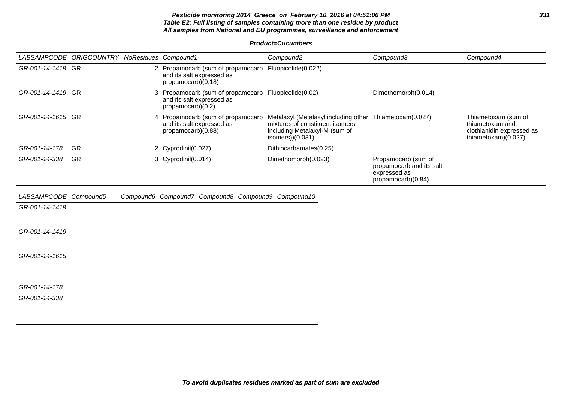# **Pesticide monitoring 2014 Greece on February 10, 2016 at 04:51:06 PM 331 Table E2: Full listing of samples containing more than one residue by product All samples from National and EU programmes, surveillance and enforcement**

**Product=Cucumbers**

|                       | LABSAMPCODE ORIGCOUNTRY NoResidues Compound1 |   |                                                                                                          | Compound <sub>2</sub>                                                                                                                             | Compound3                                                                             | Compound4                                                                                  |
|-----------------------|----------------------------------------------|---|----------------------------------------------------------------------------------------------------------|---------------------------------------------------------------------------------------------------------------------------------------------------|---------------------------------------------------------------------------------------|--------------------------------------------------------------------------------------------|
| GR-001-14-1418 GR     |                                              |   | 2 Propamocarb (sum of propamocarb Fluopicolide(0.022)<br>and its salt expressed as<br>propamocarb)(0.18) |                                                                                                                                                   |                                                                                       |                                                                                            |
| GR-001-14-1419 GR     |                                              | 3 | Propamocarb (sum of propamocarb Fluopicolide(0.02)<br>and its salt expressed as<br>propamocarb)(0.2)     |                                                                                                                                                   | Dimethomorph(0.014)                                                                   |                                                                                            |
| GR-001-14-1615 GR     |                                              |   | 4 Propamocarb (sum of propamocarb<br>and its salt expressed as<br>propamocarb)(0.88)                     | Metalaxyl (Metalaxyl including other Thiametoxam(0.027)<br>mixtures of constituent isomers<br>including Metalaxyl-M (sum of<br>isomers $)(0.031)$ |                                                                                       | Thiametoxam (sum of<br>thiametoxam and<br>clothianidin expressed as<br>thiametoxam)(0.027) |
| GR-001-14-178         | GR                                           |   | 2 Cyprodinil(0.027)                                                                                      | Dithiocarbamates(0.25)                                                                                                                            |                                                                                       |                                                                                            |
| GR-001-14-338         | <b>GR</b>                                    |   | 3 Cyprodinil(0.014)                                                                                      | Dimethomorph(0.023)                                                                                                                               | Propamocarb (sum of<br>propamocarb and its salt<br>expressed as<br>propamocarb)(0.84) |                                                                                            |
| LABSAMPCODE Compound5 |                                              |   | Compound6 Compound7 Compound8 Compound9 Compound10                                                       |                                                                                                                                                   |                                                                                       |                                                                                            |
| GR-001-14-1418        |                                              |   |                                                                                                          |                                                                                                                                                   |                                                                                       |                                                                                            |
| GR-001-14-1419        |                                              |   |                                                                                                          |                                                                                                                                                   |                                                                                       |                                                                                            |

GR-001-14-1615

GR-001-14-178

GR-001-14-338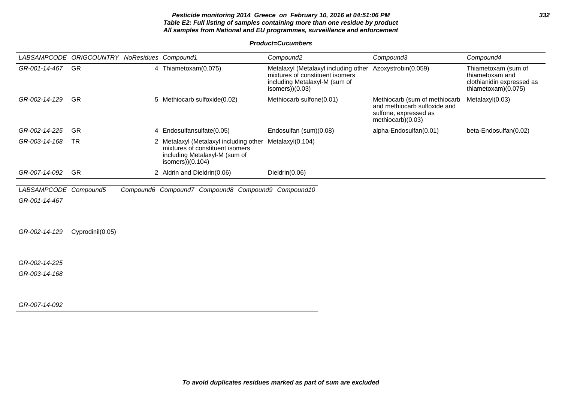# **Pesticide monitoring 2014 Greece on February 10, 2016 at 04:51:06 PM 332 Table E2: Full listing of samples containing more than one residue by product All samples from National and EU programmes, surveillance and enforcement**

**Product=Cucumbers**

| LABSAMPCODE ORIGCOUNTRY NoResidues Compound1 |                  |                                                                                                                                  | Compound <sub>2</sub>                                                                                                         | Compound3                                                                                                   | Compound4                                                                                  |
|----------------------------------------------|------------------|----------------------------------------------------------------------------------------------------------------------------------|-------------------------------------------------------------------------------------------------------------------------------|-------------------------------------------------------------------------------------------------------------|--------------------------------------------------------------------------------------------|
| GR-001-14-467                                | <b>GR</b>        | 4 Thiametoxam(0.075)                                                                                                             | Metalaxyl (Metalaxyl including other<br>mixtures of constituent isomers<br>including Metalaxyl-M (sum of<br>isomers $)(0.03)$ | Azoxystrobin(0.059)                                                                                         | Thiametoxam (sum of<br>thiametoxam and<br>clothianidin expressed as<br>thiametoxam)(0.075) |
| GR-002-14-129                                | <b>GR</b>        | 5 Methiocarb sulfoxide(0.02)                                                                                                     | Methiocarb sulfone(0.01)                                                                                                      | Methiocarb (sum of methiocarb<br>and methiocarb sulfoxide and<br>sulfone, expressed as<br>methiocarb)(0.03) | Metalaxyl(0.03)                                                                            |
| GR-002-14-225                                | <b>GR</b>        | 4 Endosulfansulfate(0.05)                                                                                                        | Endosulfan (sum)(0.08)                                                                                                        | alpha-Endosulfan(0.01)                                                                                      | beta-Endosulfan(0.02)                                                                      |
| GR-003-14-168                                | <b>TR</b>        | 2 Metalaxyl (Metalaxyl including other<br>mixtures of constituent isomers<br>including Metalaxyl-M (sum of<br>isomers $)(0.104)$ | Metalaxyl(0.104)                                                                                                              |                                                                                                             |                                                                                            |
| GR-007-14-092                                | GR               | 2 Aldrin and Dieldrin(0.06)                                                                                                      | Dieldrin(0.06)                                                                                                                |                                                                                                             |                                                                                            |
| LABSAMPCODE Compound5                        |                  | Compound6 Compound7 Compound8 Compound9 Compound10                                                                               |                                                                                                                               |                                                                                                             |                                                                                            |
| GR-001-14-467                                |                  |                                                                                                                                  |                                                                                                                               |                                                                                                             |                                                                                            |
|                                              |                  |                                                                                                                                  |                                                                                                                               |                                                                                                             |                                                                                            |
| GR-002-14-129                                | Cyprodinil(0.05) |                                                                                                                                  |                                                                                                                               |                                                                                                             |                                                                                            |
|                                              |                  |                                                                                                                                  |                                                                                                                               |                                                                                                             |                                                                                            |
| GR-002-14-225                                |                  |                                                                                                                                  |                                                                                                                               |                                                                                                             |                                                                                            |
| GR-003-14-168                                |                  |                                                                                                                                  |                                                                                                                               |                                                                                                             |                                                                                            |
|                                              |                  |                                                                                                                                  |                                                                                                                               |                                                                                                             |                                                                                            |
| GR-007-14-092                                |                  |                                                                                                                                  |                                                                                                                               |                                                                                                             |                                                                                            |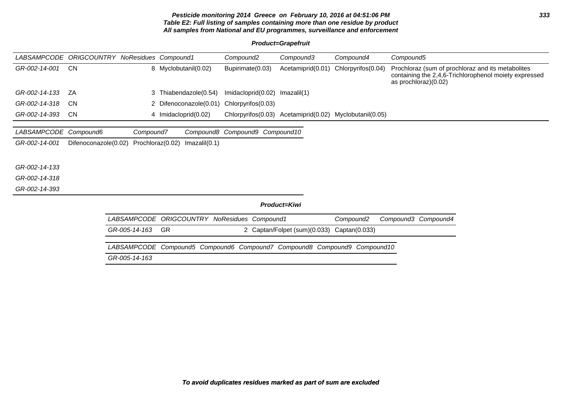# **Pesticide monitoring 2014 Greece on February 10, 2016 at 04:51:06 PM 333 Table E2: Full listing of samples containing more than one residue by product All samples from National and EU programmes, surveillance and enforcement**

# **Product=Grapefruit**

| <b>LABSAMPCODE</b> | <b>ORIGCOUNTRY NoResidues Compound1</b> |                    |                                                              | Compound <sub>2</sub>          | Compound3                    | Compound4                                               | Compound5                                                                                                                          |
|--------------------|-----------------------------------------|--------------------|--------------------------------------------------------------|--------------------------------|------------------------------|---------------------------------------------------------|------------------------------------------------------------------------------------------------------------------------------------|
| GR-002-14-001      | CN.                                     |                    | 8 Myclobutanil(0.02)                                         | Bupirimate(0.03)               | Acetamiprid(0.01)            | Chlorpyrifos(0.04)                                      | Prochloraz (sum of prochloraz and its metabolites<br>containing the 2,4,6-Trichlorophenol moiety expressed<br>as prochloraz)(0.02) |
| GR-002-14-133      | ZA                                      | 3.                 | Thiabendazole(0.54)                                          | Imidacloprid(0.02)             | Imazalil(1)                  |                                                         |                                                                                                                                    |
| GR-002-14-318      | <b>CN</b>                               |                    | 2 Difenoconazole(0.01)                                       | Chlorpyrifos(0.03)             |                              |                                                         |                                                                                                                                    |
| GR-002-14-393      | CN.                                     |                    | 4 Imidacloprid(0.02)                                         |                                |                              | Chlorpyrifos(0.03) Acetamiprid(0.02) Myclobutanil(0.05) |                                                                                                                                    |
| LABSAMPCODE        | Compound6                               | Compound7          |                                                              | Compound8 Compound9 Compound10 |                              |                                                         |                                                                                                                                    |
| GR-002-14-001      | Difenoconazole(0.02)                    | Prochloraz(0.02)   | Imazalil(0.1)                                                |                                |                              |                                                         |                                                                                                                                    |
|                    |                                         |                    |                                                              |                                |                              |                                                         |                                                                                                                                    |
| GR-002-14-133      |                                         |                    |                                                              |                                |                              |                                                         |                                                                                                                                    |
| GR-002-14-318      |                                         |                    |                                                              |                                |                              |                                                         |                                                                                                                                    |
| GR-002-14-393      |                                         |                    |                                                              |                                |                              |                                                         |                                                                                                                                    |
|                    |                                         |                    |                                                              |                                | Product=Kiwi                 |                                                         |                                                                                                                                    |
|                    |                                         | <b>LABSAMPCODE</b> | <b>ORIGCOUNTRY NoResidues Compound1</b>                      |                                |                              | Compound <sub>2</sub>                                   | Compound3 Compound4                                                                                                                |
|                    |                                         | GR-005-14-163      | GR                                                           |                                | 2 Captan/Folpet (sum)(0.033) | Captan(0.033)                                           |                                                                                                                                    |
|                    |                                         | <i>LABSAMPCODE</i> | Compound5 Compound6 Compound7 Compound8 Compound9 Compound10 |                                |                              |                                                         |                                                                                                                                    |
|                    |                                         | GR-005-14-163      |                                                              |                                |                              |                                                         |                                                                                                                                    |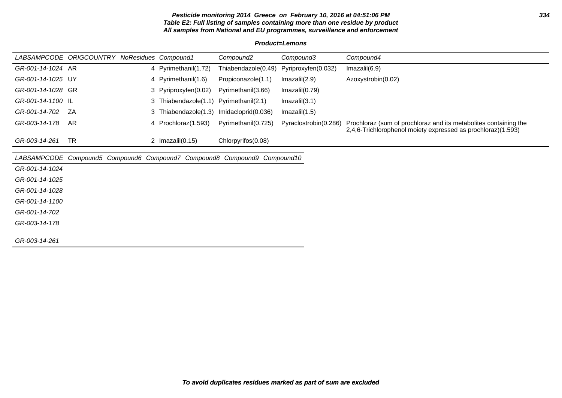# **Pesticide monitoring 2014 Greece on February 10, 2016 at 04:51:06 PM 334 Table E2: Full listing of samples containing more than one residue by product All samples from National and EU programmes, surveillance and enforcement**

#### **Product=Lemons**

| GR-001-14-1024 AR<br>Thiabendazole(0.49) Pyriproxyfen(0.032)<br>4 Pyrimethanil(1.72)<br>Imazalil(6.9)<br>GR-001-14-1025 UY<br>4 Pyrimethanil(1.6)<br>Propiconazole(1.1)<br>Azoxystrobin(0.02)<br>Imazalil(2.9)<br>GR-001-14-1028 GR<br>3 Pyriproxyfen(0.02)<br>Pyrimethanil(3.66)<br>Imazalil(0.79)<br>GR-001-14-1100 IL<br>3 Thiabendazole(1.1) Pyrimethanil(2.1)<br>Imazalil(3.1) |               | LABSAMPCODE ORIGCOUNTRY NoResidues Compound1 |                      | Compound2           | Compound3     | Compound4 |
|-------------------------------------------------------------------------------------------------------------------------------------------------------------------------------------------------------------------------------------------------------------------------------------------------------------------------------------------------------------------------------------|---------------|----------------------------------------------|----------------------|---------------------|---------------|-----------|
|                                                                                                                                                                                                                                                                                                                                                                                     |               |                                              |                      |                     |               |           |
|                                                                                                                                                                                                                                                                                                                                                                                     |               |                                              |                      |                     |               |           |
|                                                                                                                                                                                                                                                                                                                                                                                     |               |                                              |                      |                     |               |           |
|                                                                                                                                                                                                                                                                                                                                                                                     |               |                                              |                      |                     |               |           |
|                                                                                                                                                                                                                                                                                                                                                                                     | GR-001-14-702 | - ZA                                         | 3 Thiabendazole(1.3) | Imidacloprid(0.036) | Imazalil(1.5) |           |
| GR-003-14-178<br>AR<br>Pyraclostrobin(0.286)<br>Prochloraz (sum of prochloraz and its metabolites containing the<br>Pyrimethanil(0.725)<br>4 Prochloraz(1.593)<br>2,4,6-Trichlorophenol moiety expressed as prochloraz)(1.593)                                                                                                                                                      |               |                                              |                      |                     |               |           |
| TR<br>GR-003-14-261<br>Chlorpyrifos(0.08)<br>Imazalil(0.15)                                                                                                                                                                                                                                                                                                                         |               |                                              |                      |                     |               |           |

LABSAMPCODE Compound5 Compound6 Compound7 Compound8 Compound9 Compound10

GR-001-14-1024

GR-001-14-1025

GR-001-14-1028

GR-001-14-1100

GR-001-14-702

GR-003-14-178

GR-003-14-261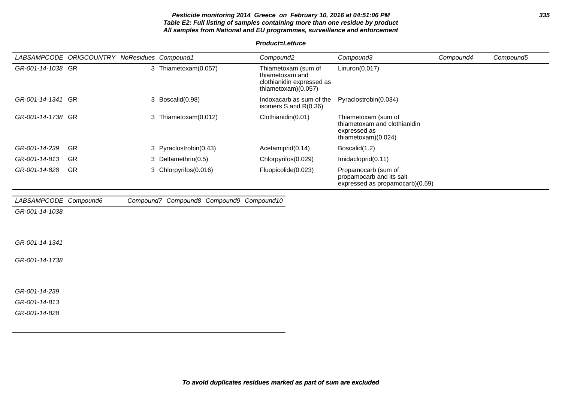# **Pesticide monitoring 2014 Greece on February 10, 2016 at 04:51:06 PM 335 Table E2: Full listing of samples containing more than one residue by product All samples from National and EU programmes, surveillance and enforcement**

#### **Product=Lettuce**

|                       | LABSAMPCODE ORIGCOUNTRY NoResidues Compound1 |                                          | Compound <sub>2</sub>                                                                      | Compound3                                                                                  | Compound4 | Compound5 |
|-----------------------|----------------------------------------------|------------------------------------------|--------------------------------------------------------------------------------------------|--------------------------------------------------------------------------------------------|-----------|-----------|
| GR-001-14-1038 GR     |                                              | 3 Thiametoxam(0.057)                     | Thiametoxam (sum of<br>thiametoxam and<br>clothianidin expressed as<br>thiametoxam)(0.057) | Linuron(0.017)                                                                             |           |           |
| GR-001-14-1341 GR     |                                              | 3 Boscalid(0.98)                         | Indoxacarb as sum of the<br>isomers S and R(0.36)                                          | Pyraclostrobin(0.034)                                                                      |           |           |
| GR-001-14-1738 GR     |                                              | 3 Thiametoxam(0.012)                     | Clothianidin(0.01)                                                                         | Thiametoxam (sum of<br>thiametoxam and clothianidin<br>expressed as<br>thiametoxam)(0.024) |           |           |
| GR-001-14-239         | <b>GR</b>                                    | 3 Pyraclostrobin(0.43)                   | Acetamiprid(0.14)                                                                          | Boscalid(1.2)                                                                              |           |           |
| GR-001-14-813         | GR                                           | 3 Deltamethrin(0.5)                      | Chlorpyrifos(0.029)                                                                        | Imidacloprid(0.11)                                                                         |           |           |
| GR-001-14-828         | <b>GR</b>                                    | 3 Chlorpyrifos(0.016)                    | Fluopicolide(0.023)                                                                        | Propamocarb (sum of<br>propamocarb and its salt<br>expressed as propamocarb)(0.59)         |           |           |
| LABSAMPCODE Compound6 |                                              | Compound7 Compound8 Compound9 Compound10 |                                                                                            |                                                                                            |           |           |
| GR-001-14-1038        |                                              |                                          |                                                                                            |                                                                                            |           |           |
| GR-001-14-1341        |                                              |                                          |                                                                                            |                                                                                            |           |           |
| GR-001-14-1738        |                                              |                                          |                                                                                            |                                                                                            |           |           |
| GR-001-14-239         |                                              |                                          |                                                                                            |                                                                                            |           |           |
| GR-001-14-813         |                                              |                                          |                                                                                            |                                                                                            |           |           |

GR-001-14-828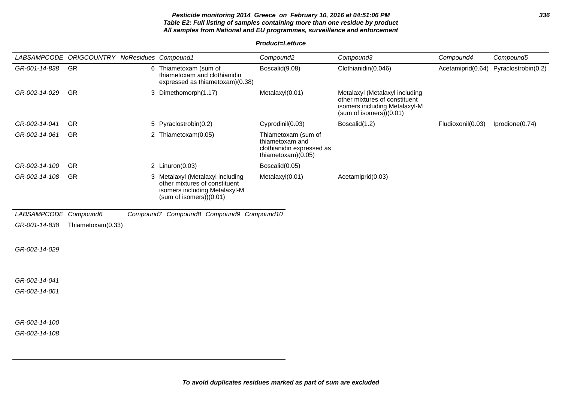# **Pesticide monitoring 2014 Greece on February 10, 2016 at 04:51:06 PM 336 Table E2: Full listing of samples containing more than one residue by product All samples from National and EU programmes, surveillance and enforcement**

**Product=Lettuce**

|                       | LABSAMPCODE ORIGCOUNTRY NoResidues Compound1 |                                                                                                                              | Compound <sub>2</sub>                                                                       | Compound3                                                                                                                  | Compound4         | Compound5           |
|-----------------------|----------------------------------------------|------------------------------------------------------------------------------------------------------------------------------|---------------------------------------------------------------------------------------------|----------------------------------------------------------------------------------------------------------------------------|-------------------|---------------------|
| GR-001-14-838         | GR                                           | 6 Thiametoxam (sum of<br>thiametoxam and clothianidin<br>expressed as thiametoxam)(0.38)                                     | Boscalid(9.08)                                                                              | Clothianidin(0.046)                                                                                                        | Acetamiprid(0.64) | Pyraclostrobin(0.2) |
| GR-002-14-029         | <b>GR</b>                                    | 3 Dimethomorph(1.17)                                                                                                         | Metalaxyl(0.01)                                                                             | Metalaxyl (Metalaxyl including<br>other mixtures of constituent<br>isomers including Metalaxyl-M<br>(sum of isomers)(0.01) |                   |                     |
| GR-002-14-041         | GR                                           | 5 Pyraclostrobin(0.2)                                                                                                        | Cyprodinil(0.03)                                                                            | Boscalid(1.2)                                                                                                              | Fludioxonil(0.03) | Iprodione(0.74)     |
| GR-002-14-061         | GR                                           | 2 Thiametoxam(0.05)                                                                                                          | Thiametoxam (sum of<br>thiametoxam and<br>clothianidin expressed as<br>thiametoxam $(0.05)$ |                                                                                                                            |                   |                     |
| GR-002-14-100         | GR                                           | 2 $Linuron(0.03)$                                                                                                            | Boscalid(0.05)                                                                              |                                                                                                                            |                   |                     |
| GR-002-14-108         | GR                                           | 3 Metalaxyl (Metalaxyl including<br>other mixtures of constituent<br>isomers including Metalaxyl-M<br>(sum of isomers)(0.01) | Metalaxyl(0.01)                                                                             | Acetamiprid(0.03)                                                                                                          |                   |                     |
| LABSAMPCODE Compound6 |                                              | Compound7 Compound8 Compound9 Compound10                                                                                     |                                                                                             |                                                                                                                            |                   |                     |
| GR-001-14-838         | Thiametoxam(0.33)                            |                                                                                                                              |                                                                                             |                                                                                                                            |                   |                     |
| GR-002-14-029         |                                              |                                                                                                                              |                                                                                             |                                                                                                                            |                   |                     |
| GR-002-14-041         |                                              |                                                                                                                              |                                                                                             |                                                                                                                            |                   |                     |
| GR-002-14-061         |                                              |                                                                                                                              |                                                                                             |                                                                                                                            |                   |                     |
|                       |                                              |                                                                                                                              |                                                                                             |                                                                                                                            |                   |                     |
| GR-002-14-100         |                                              |                                                                                                                              |                                                                                             |                                                                                                                            |                   |                     |
| GR-002-14-108         |                                              |                                                                                                                              |                                                                                             |                                                                                                                            |                   |                     |
|                       |                                              |                                                                                                                              |                                                                                             |                                                                                                                            |                   |                     |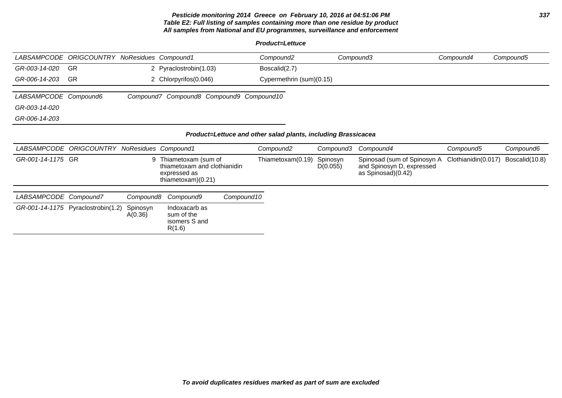# **Pesticide monitoring 2014 Greece on February 10, 2016 at 04:51:06 PM 337 Table E2: Full listing of samples containing more than one residue by product All samples from National and EU programmes, surveillance and enforcement**

**Product=Lettuce**

|                       | LABSAMPCODE ORIGCOUNTRY NoResidues Compound1 |           |                                                                                             |            | Compound <sub>2</sub>                                                                  |                      | Compound3                                                                      | Compound4           | Compound5      |
|-----------------------|----------------------------------------------|-----------|---------------------------------------------------------------------------------------------|------------|----------------------------------------------------------------------------------------|----------------------|--------------------------------------------------------------------------------|---------------------|----------------|
| GR-003-14-020         | <b>GR</b>                                    |           | 2 Pyraclostrobin(1.03)                                                                      |            | Boscalid(2.7)                                                                          |                      |                                                                                |                     |                |
| GR-006-14-203         | <b>GR</b>                                    |           | 2 Chlorpyrifos (0.046)                                                                      |            | Cypermethrin (sum)(0.15)                                                               |                      |                                                                                |                     |                |
| LABSAMPCODE Compound6 |                                              |           | Compound7 Compound8 Compound9 Compound10                                                    |            |                                                                                        |                      |                                                                                |                     |                |
| GR-003-14-020         |                                              |           |                                                                                             |            |                                                                                        |                      |                                                                                |                     |                |
| GR-006-14-203         |                                              |           |                                                                                             |            |                                                                                        |                      |                                                                                |                     |                |
|                       | LABSAMPCODE ORIGCOUNTRY NoResidues Compound1 |           |                                                                                             |            | Product=Lettuce and other salad plants, including Brassicacea<br>Compound <sub>2</sub> | Compound3            | Compound4                                                                      | Compound5           | Compound6      |
| GR-001-14-1175 GR     |                                              |           | 9 Thiametoxam (sum of<br>thiametoxam and clothianidin<br>expressed as<br>thiametoxam)(0.21) |            | Thiametoxam(0.19)                                                                      | Spinosyn<br>D(0.055) | Spinosad (sum of Spinosyn A<br>and Spinosyn D, expressed<br>as Spinosad)(0.42) | Clothianidin(0.017) | Boscalid(10.8) |
|                       |                                              |           |                                                                                             |            |                                                                                        |                      |                                                                                |                     |                |
| LABSAMPCODE Compound7 |                                              | Compound8 | Compound9                                                                                   | Compound10 |                                                                                        |                      |                                                                                |                     |                |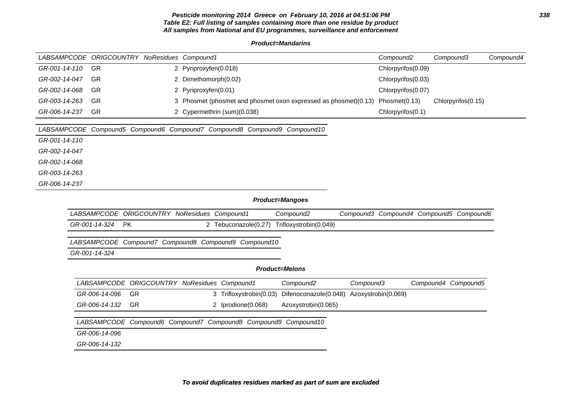# **Pesticide monitoring 2014 Greece on February 10, 2016 at 04:51:06 PM 338 Table E2: Full listing of samples containing more than one residue by product All samples from National and EU programmes, surveillance and enforcement**

#### **Product=Mandarins**

|               | LABSAMPCODE ORIGCOUNTRY NoResidues Compound1                             |                       |                             |                                                                 |                     | Compound <sub>2</sub> | Compound3                               | Compound4 |
|---------------|--------------------------------------------------------------------------|-----------------------|-----------------------------|-----------------------------------------------------------------|---------------------|-----------------------|-----------------------------------------|-----------|
| GR-001-14-110 | GR                                                                       | 2 Pyriproxyfen(0.018) |                             |                                                                 |                     | Chlorpyrifos(0.09)    |                                         |           |
| GR-002-14-047 | GR                                                                       | 2 Dimethomorph(0.02)  |                             |                                                                 |                     | Chlorpyrifos(0.03)    |                                         |           |
| GR-002-14-068 | GR                                                                       | 2 Pyriproxyfen(0.01)  |                             |                                                                 |                     | Chlorpyrifos(0.07)    |                                         |           |
| GR-003-14-263 | GR                                                                       |                       |                             | 3 Phosmet (phosmet and phosmet oxon expressed as phosmet)(0.13) |                     | Phosmet(0.13)         | Chlorpyrifos(0.15)                      |           |
| GR-006-14-237 | <b>GR</b>                                                                |                       | 2 Cypermethrin (sum)(0.038) |                                                                 |                     | Chlorpyrifos(0.1)     |                                         |           |
|               | LABSAMPCODE Compound5 Compound6 Compound7 Compound8 Compound9 Compound10 |                       |                             |                                                                 |                     |                       |                                         |           |
| GR-001-14-110 |                                                                          |                       |                             |                                                                 |                     |                       |                                         |           |
| GR-002-14-047 |                                                                          |                       |                             |                                                                 |                     |                       |                                         |           |
| GR-002-14-068 |                                                                          |                       |                             |                                                                 |                     |                       |                                         |           |
| GR-003-14-263 |                                                                          |                       |                             |                                                                 |                     |                       |                                         |           |
| GR-006-14-237 |                                                                          |                       |                             |                                                                 |                     |                       |                                         |           |
|               |                                                                          |                       |                             | Product=Mangoes                                                 |                     |                       |                                         |           |
|               | LABSAMPCODE ORIGCOUNTRY NoResidues Compound1                             |                       |                             | Compound <sub>2</sub>                                           |                     |                       | Compound3 Compound4 Compound5 Compound6 |           |
|               | GR-001-14-324<br><b>PK</b>                                               |                       | 2 Tebuconazole(0.27)        | Trifloxystrobin(0.049)                                          |                     |                       |                                         |           |
|               | LABSAMPCODE Compound7 Compound8 Compound9 Compound10                     |                       |                             |                                                                 |                     |                       |                                         |           |
|               | GR-001-14-324                                                            |                       |                             |                                                                 |                     |                       |                                         |           |
|               |                                                                          |                       |                             | <b>Product=Melons</b>                                           |                     |                       |                                         |           |
|               | LABSAMPCODE ORIGCOUNTRY NoResidues Compound1                             |                       |                             | Compound <sub>2</sub>                                           | Compound3           |                       | Compound4 Compound5                     |           |
|               | GR-006-14-096<br>GR                                                      |                       | 3 Trifloxystrobin(0.03)     | Difenoconazole(0.048)                                           | Azoxystrobin(0.069) |                       |                                         |           |
|               | GR-006-14-132<br>GR                                                      |                       | 2 Iprodione(0.068)          | Azoxystrobin(0.065)                                             |                     |                       |                                         |           |
|               | LABSAMPCODE Compound6 Compound7 Compound8 Compound9 Compound10           |                       |                             |                                                                 |                     |                       |                                         |           |
|               | GR-006-14-096                                                            |                       |                             |                                                                 |                     |                       |                                         |           |
|               | GR-006-14-132                                                            |                       |                             |                                                                 |                     |                       |                                         |           |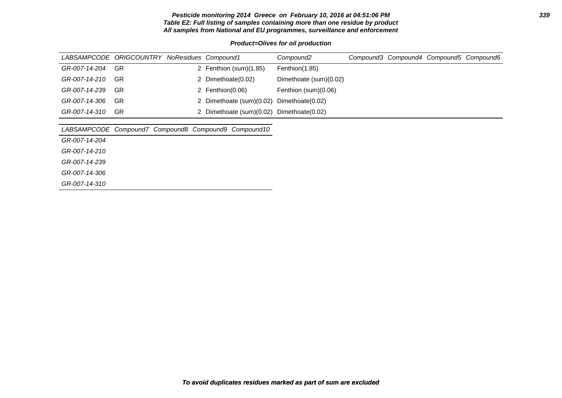# **Pesticide monitoring 2014 Greece on February 10, 2016 at 04:51:06 PM 339 Table E2: Full listing of samples containing more than one residue by product All samples from National and EU programmes, surveillance and enforcement**

# **Product=Olives for oil production**

|               | LABSAMPCODE ORIGCOUNTRY NoResidues Compound1 |                                           | Compound2              |  | Compound3 Compound4 Compound5 Compound6 |  |
|---------------|----------------------------------------------|-------------------------------------------|------------------------|--|-----------------------------------------|--|
| GR-007-14-204 | GR.                                          | 2 Fenthion (sum)(1.85)                    | Fenthion(1.85)         |  |                                         |  |
| GR-007-14-210 | GR.                                          | 2 Dimethoate(0.02)                        | Dimethoate (sum)(0.02) |  |                                         |  |
| GR-007-14-239 | GR.                                          | 2 Fenthion(0.06)                          | Fenthion (sum)(0.06)   |  |                                         |  |
| GR-007-14-306 | GR.                                          | 2 Dimethoate (sum)(0.02)                  | Dimethoate(0.02)       |  |                                         |  |
| GR-007-14-310 | GR.                                          | 2 Dimethoate (sum)(0.02) Dimethoate(0.02) |                        |  |                                         |  |

# LABSAMPCODE Compound7 Compound8 Compound9 Compound10

GR-007-14-204

GR-007-14-210

GR-007-14-239

GR-007-14-306

GR-007-14-310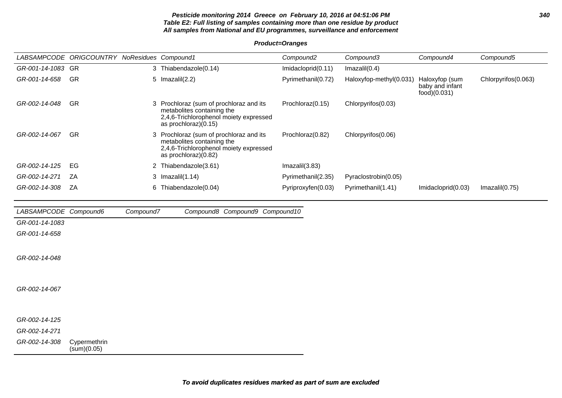# **Pesticide monitoring 2014 Greece on February 10, 2016 at 04:51:06 PM 340 Table E2: Full listing of samples containing more than one residue by product All samples from National and EU programmes, surveillance and enforcement**

# **Product=Oranges**

|                       | LABSAMPCODE ORIGCOUNTRY NoResidues Compound1 |           |                                                                                                                                         | Compound2          | Compound3               | Compound4                                         | Compound5           |
|-----------------------|----------------------------------------------|-----------|-----------------------------------------------------------------------------------------------------------------------------------------|--------------------|-------------------------|---------------------------------------------------|---------------------|
| GR-001-14-1083 GR     |                                              |           | 3 Thiabendazole(0.14)                                                                                                                   | Imidacloprid(0.11) | Imazalil(0.4)           |                                                   |                     |
| GR-001-14-658         | <b>GR</b>                                    |           | 5 Imazalil(2.2)                                                                                                                         | Pyrimethanil(0.72) | Haloxyfop-methyl(0.031) | Haloxyfop (sum<br>baby and infant<br>food)(0.031) | Chlorpyrifos(0.063) |
| GR-002-14-048         | <b>GR</b>                                    |           | 3 Prochloraz (sum of prochloraz and its<br>metabolites containing the<br>2,4,6-Trichlorophenol moiety expressed<br>as prochloraz)(0.15) | Prochloraz(0.15)   | Chlorpyrifos(0.03)      |                                                   |                     |
| GR-002-14-067         | <b>GR</b>                                    | 3         | Prochloraz (sum of prochloraz and its<br>metabolites containing the<br>2,4,6-Trichlorophenol moiety expressed<br>as prochloraz)(0.82)   | Prochloraz(0.82)   | Chlorpyrifos(0.06)      |                                                   |                     |
| GR-002-14-125         | EG                                           |           | 2 Thiabendazole(3.61)                                                                                                                   | Imazalil(3.83)     |                         |                                                   |                     |
| GR-002-14-271         | <b>ZA</b>                                    |           | 3 Imazalil(1.14)                                                                                                                        | Pyrimethanil(2.35) | Pyraclostrobin(0.05)    |                                                   |                     |
| GR-002-14-308         | ZA                                           |           | 6 Thiabendazole(0.04)                                                                                                                   | Pyriproxyfen(0.03) | Pyrimethanil(1.41)      | Imidacloprid(0.03)                                | Imazalil(0.75)      |
| LABSAMPCODE Compound6 |                                              | Compound7 | Compound8 Compound9 Compound10                                                                                                          |                    |                         |                                                   |                     |
| GR-001-14-1083        |                                              |           |                                                                                                                                         |                    |                         |                                                   |                     |
| GR-001-14-658         |                                              |           |                                                                                                                                         |                    |                         |                                                   |                     |
|                       |                                              |           |                                                                                                                                         |                    |                         |                                                   |                     |

GR-002-14-048

GR-002-14-067

GR-002-14-125

GR-002-14-271

GR-002-14-308 Cypermethrin (sum)(0.05)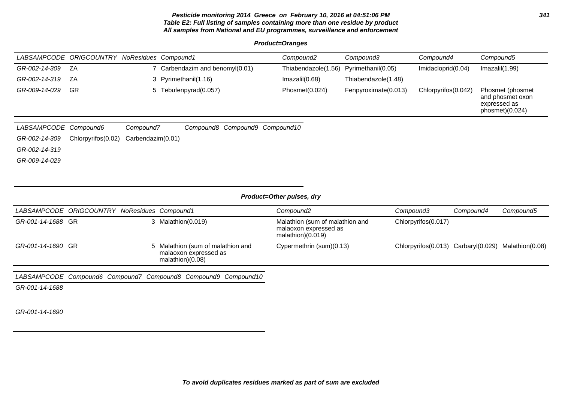# **Pesticide monitoring 2014 Greece on February 10, 2016 at 04:51:06 PM 341 Table E2: Full listing of samples containing more than one residue by product All samples from National and EU programmes, surveillance and enforcement**

**Product=Oranges**

|                  | LABSAMPCODE ORIGCOUNTRY NoResidues Compound1 |                               | Compound <sub>2</sub> | Compound3            | Compound4           | Compound5                                                               |
|------------------|----------------------------------------------|-------------------------------|-----------------------|----------------------|---------------------|-------------------------------------------------------------------------|
| GR-002-14-309 ZA |                                              | Carbendazim and benomyl(0.01) | Thiabendazole(1.56)   | Pyrimethanil(0.05)   | Imidacloprid(0.04)  | Imazalil(1.99)                                                          |
| GR-002-14-319    | ZA                                           | 3 Pyrimethanil(1.16)          | Imazalil(0.68)        | Thiabendazole(1.48)  |                     |                                                                         |
| GR-009-14-029    | GR                                           | 5 Tebufenpyrad(0.057)         | Phosmet(0.024)        | Fenpyroximate(0.013) | Chlorpyrifos(0.042) | Phosmet (phosmet<br>and phosmet oxon<br>expressed as<br>phosmet)(0.024) |

| LABSAMPCODE Compound6 | Compound7                                                  |  | Compound8 Compound9 Compound10 |
|-----------------------|------------------------------------------------------------|--|--------------------------------|
|                       | $GR-002-14-309$ Chlorpyrifos $(0.02)$ Carbendazim $(0.01)$ |  |                                |
| GR-002-14-319         |                                                            |  |                                |
| GR-009-14-029         |                                                            |  |                                |
|                       |                                                            |  |                                |

# **Product=Other pulses, dry**

| LABSAMPCODE ORIGCOUNTRY NoResidues Compound1 |  |                                                                                | Compound2                                                                     | Compound3                                           | Compound4 | Compound5 |
|----------------------------------------------|--|--------------------------------------------------------------------------------|-------------------------------------------------------------------------------|-----------------------------------------------------|-----------|-----------|
| GR-001-14-1688 GR                            |  | 3 Malathion(0.019)                                                             | Malathion (sum of malathion and<br>malaoxon expressed as<br>malathion)(0.019) | Chlorpyrifos(0.017)                                 |           |           |
| GR-001-14-1690 GR                            |  | 5 Malathion (sum of malathion and<br>malaoxon expressed as<br>malathion)(0.08) | Cypermethrin (sum)(0.13)                                                      | Chlorpyrifos(0.013) Carbaryl(0.029) Malathion(0.08) |           |           |

LABSAMPCODE Compound6 Compound7 Compound8 Compound9 Compound10

GR-001-14-1688

GR-001-14-1690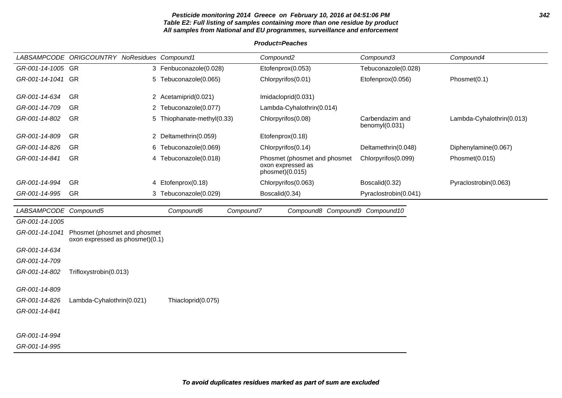# **Pesticide monitoring 2014 Greece on February 10, 2016 at 04:51:06 PM 342 Table E2: Full listing of samples containing more than one residue by product All samples from National and EU programmes, surveillance and enforcement**

|                       | LABSAMPCODE ORIGCOUNTRY NoResidues Compound1                    |                            | Compound <sub>2</sub>                                                | Compound3                            | Compound4                 |
|-----------------------|-----------------------------------------------------------------|----------------------------|----------------------------------------------------------------------|--------------------------------------|---------------------------|
| GR-001-14-1005 GR     |                                                                 | 3 Fenbuconazole(0.028)     | Etofenprox(0.053)                                                    | Tebuconazole(0.028)                  |                           |
| GR-001-14-1041 GR     |                                                                 | 5 Tebuconazole(0.065)      | Chlorpyrifos(0.01)                                                   | Etofenprox(0.056)                    | Phosmet(0.1)              |
| GR-001-14-634         | GR                                                              | 2 Acetamiprid(0.021)       | Imidacloprid(0.031)                                                  |                                      |                           |
| GR-001-14-709         | GR                                                              | 2 Tebuconazole(0.077)      | Lambda-Cyhalothrin(0.014)                                            |                                      |                           |
| GR-001-14-802         | GR                                                              | 5 Thiophanate-methyl(0.33) | Chlorpyrifos(0.08)                                                   | Carbendazim and<br>benomy $I(0.031)$ | Lambda-Cyhalothrin(0.013) |
| GR-001-14-809         | GR                                                              | 2 Deltamethrin(0.059)      | Etofenprox(0.18)                                                     |                                      |                           |
| GR-001-14-826         | GR                                                              | 6 Tebuconazole(0.069)      | Chlorpyrifos(0.14)                                                   | Deltamethrin(0.048)                  | Diphenylamine(0.067)      |
| GR-001-14-841         | GR                                                              | 4 Tebuconazole(0.018)      | Phosmet (phosmet and phosmet<br>oxon expressed as<br>phosmet)(0.015) | Chlorpyrifos(0.099)                  | Phosmet(0.015)            |
| GR-001-14-994         | <b>GR</b>                                                       | 4 Etofenprox(0.18)         | Chlorpyrifos(0.063)                                                  | Boscalid(0.32)                       | Pyraclostrobin(0.063)     |
| GR-001-14-995         | GR                                                              | 3 Tebuconazole(0.029)      | Boscalid(0.34)                                                       | Pyraclostrobin(0.041)                |                           |
| LABSAMPCODE Compound5 |                                                                 | Compound6<br>Compound7     | Compound8 Compound9 Compound10                                       |                                      |                           |
| GR-001-14-1005        |                                                                 |                            |                                                                      |                                      |                           |
| GR-001-14-1041        | Phosmet (phosmet and phosmet<br>oxon expressed as phosmet)(0.1) |                            |                                                                      |                                      |                           |
| GR-001-14-634         |                                                                 |                            |                                                                      |                                      |                           |
| GR-001-14-709         |                                                                 |                            |                                                                      |                                      |                           |
| GR-001-14-802         | Trifloxystrobin(0.013)                                          |                            |                                                                      |                                      |                           |
| GR-001-14-809         |                                                                 |                            |                                                                      |                                      |                           |
| GR-001-14-826         | Lambda-Cyhalothrin(0.021)                                       | Thiacloprid(0.075)         |                                                                      |                                      |                           |
| GR-001-14-841         |                                                                 |                            |                                                                      |                                      |                           |
|                       |                                                                 |                            |                                                                      |                                      |                           |
| GR-001-14-994         |                                                                 |                            |                                                                      |                                      |                           |
| GR-001-14-995         |                                                                 |                            |                                                                      |                                      |                           |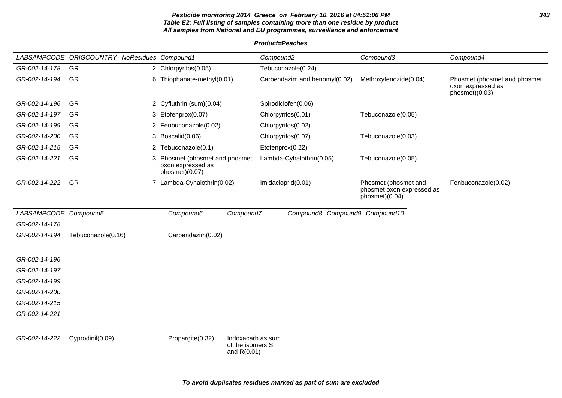# **Pesticide monitoring 2014 Greece on February 10, 2016 at 04:51:06 PM 343 Table E2: Full listing of samples containing more than one residue by product All samples from National and EU programmes, surveillance and enforcement**

|                       | LABSAMPCODE ORIGCOUNTRY NoResidues Compound1 |                                                                       |                                                        | Compound <sub>2</sub> |                                | Compound3                                                           | Compound4                                                           |
|-----------------------|----------------------------------------------|-----------------------------------------------------------------------|--------------------------------------------------------|-----------------------|--------------------------------|---------------------------------------------------------------------|---------------------------------------------------------------------|
| GR-002-14-178         | <b>GR</b>                                    | 2 Chlorpyrifos(0.05)                                                  |                                                        |                       | Tebuconazole(0.24)             |                                                                     |                                                                     |
| GR-002-14-194         | <b>GR</b>                                    | 6 Thiophanate-methyl(0.01)                                            |                                                        |                       | Carbendazim and benomyl(0.02)  | Methoxyfenozide(0.04)                                               | Phosmet (phosmet and phosmet<br>oxon expressed as<br>phosmet)(0.03) |
| GR-002-14-196         | <b>GR</b>                                    | 2 Cyfluthrin (sum)(0.04)                                              |                                                        |                       | Spirodiclofen(0.06)            |                                                                     |                                                                     |
| GR-002-14-197         | <b>GR</b>                                    | 3 Etofenprox(0.07)                                                    |                                                        |                       | Chlorpyrifos(0.01)             | Tebuconazole(0.05)                                                  |                                                                     |
| GR-002-14-199         | <b>GR</b>                                    | 2 Fenbuconazole(0.02)                                                 |                                                        |                       | Chlorpyrifos(0.02)             |                                                                     |                                                                     |
| GR-002-14-200         | <b>GR</b>                                    | 3 Boscalid(0.06)                                                      |                                                        | Chlorpyrifos(0.07)    |                                | Tebuconazole(0.03)                                                  |                                                                     |
| GR-002-14-215         | <b>GR</b>                                    | 2 Tebuconazole(0.1)                                                   |                                                        | Etofenprox(0.22)      |                                |                                                                     |                                                                     |
| GR-002-14-221         | <b>GR</b>                                    | 3 Phosmet (phosmet and phosmet<br>oxon expressed as<br>phosmet)(0.07) |                                                        |                       | Lambda-Cyhalothrin(0.05)       | Tebuconazole(0.05)                                                  |                                                                     |
| GR-002-14-222         | GR                                           | 7 Lambda-Cyhalothrin(0.02)                                            |                                                        |                       | Imidacloprid(0.01)             | Phosmet (phosmet and<br>phosmet oxon expressed as<br>phosmet)(0.04) | Fenbuconazole(0.02)                                                 |
| LABSAMPCODE Compound5 |                                              | Compound6                                                             | Compound7                                              |                       | Compound8 Compound9 Compound10 |                                                                     |                                                                     |
| GR-002-14-178         |                                              |                                                                       |                                                        |                       |                                |                                                                     |                                                                     |
| GR-002-14-194         | Tebuconazole(0.16)                           | Carbendazim(0.02)                                                     |                                                        |                       |                                |                                                                     |                                                                     |
|                       |                                              |                                                                       |                                                        |                       |                                |                                                                     |                                                                     |
| GR-002-14-196         |                                              |                                                                       |                                                        |                       |                                |                                                                     |                                                                     |
| GR-002-14-197         |                                              |                                                                       |                                                        |                       |                                |                                                                     |                                                                     |
| GR-002-14-199         |                                              |                                                                       |                                                        |                       |                                |                                                                     |                                                                     |
| GR-002-14-200         |                                              |                                                                       |                                                        |                       |                                |                                                                     |                                                                     |
| GR-002-14-215         |                                              |                                                                       |                                                        |                       |                                |                                                                     |                                                                     |
| GR-002-14-221         |                                              |                                                                       |                                                        |                       |                                |                                                                     |                                                                     |
|                       |                                              |                                                                       |                                                        |                       |                                |                                                                     |                                                                     |
| GR-002-14-222         | Cyprodinil(0.09)                             | Propargite(0.32)                                                      | Indoxacarb as sum<br>of the isomers S<br>and $R(0.01)$ |                       |                                |                                                                     |                                                                     |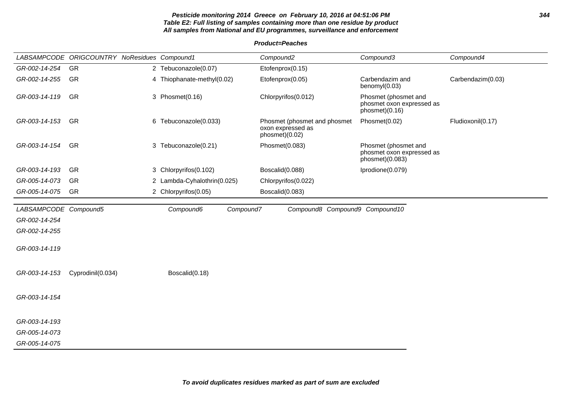# **Pesticide monitoring 2014 Greece on February 10, 2016 at 04:51:06 PM 344 Table E2: Full listing of samples containing more than one residue by product All samples from National and EU programmes, surveillance and enforcement**

|                       | LABSAMPCODE ORIGCOUNTRY NoResidues Compound1 |                             | Compound <sub>2</sub>                                               | Compound3                                                            | Compound4         |
|-----------------------|----------------------------------------------|-----------------------------|---------------------------------------------------------------------|----------------------------------------------------------------------|-------------------|
| GR-002-14-254         | GR                                           | 2 Tebuconazole(0.07)        | Etofenprox(0.15)                                                    |                                                                      |                   |
| GR-002-14-255         | <b>GR</b>                                    | 4 Thiophanate-methyl(0.02)  | Etofenprox(0.05)                                                    | Carbendazim and<br>benomyl(0.03)                                     | Carbendazim(0.03) |
| GR-003-14-119         | <b>GR</b>                                    | 3 Phosmet(0.16)             | Chlorpyrifos(0.012)                                                 | Phosmet (phosmet and<br>phosmet oxon expressed as<br>phosmet)(0.16)  |                   |
| GR-003-14-153         | <b>GR</b>                                    | 6 Tebuconazole(0.033)       | Phosmet (phosmet and phosmet<br>oxon expressed as<br>phosmet)(0.02) | Phosmet(0.02)                                                        | Fludioxonil(0.17) |
| GR-003-14-154         | GR                                           | 3 Tebuconazole(0.21)        | Phosmet(0.083)                                                      | Phosmet (phosmet and<br>phosmet oxon expressed as<br>phosmet)(0.083) |                   |
| GR-003-14-193         | GR                                           | 3 Chlorpyrifos(0.102)       | Boscalid(0.088)                                                     | Iprodione(0.079)                                                     |                   |
| GR-005-14-073         | <b>GR</b>                                    | 2 Lambda-Cyhalothrin(0.025) | Chlorpyrifos(0.022)                                                 |                                                                      |                   |
| GR-005-14-075         | <b>GR</b>                                    | 2 Chlorpyrifos(0.05)        | Boscalid(0.083)                                                     |                                                                      |                   |
| LABSAMPCODE Compound5 |                                              | Compound7<br>Compound6      | Compound8 Compound9 Compound10                                      |                                                                      |                   |
| GR-002-14-254         |                                              |                             |                                                                     |                                                                      |                   |
| GR-002-14-255         |                                              |                             |                                                                     |                                                                      |                   |
| GR-003-14-119         |                                              |                             |                                                                     |                                                                      |                   |
| GR-003-14-153         | Cyprodinil(0.034)                            | Boscalid(0.18)              |                                                                     |                                                                      |                   |
| GR-003-14-154         |                                              |                             |                                                                     |                                                                      |                   |
| GR-003-14-193         |                                              |                             |                                                                     |                                                                      |                   |
| GR-005-14-073         |                                              |                             |                                                                     |                                                                      |                   |
| GR-005-14-075         |                                              |                             |                                                                     |                                                                      |                   |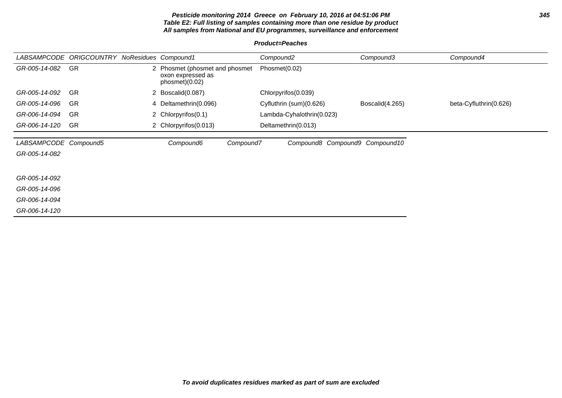# **Pesticide monitoring 2014 Greece on February 10, 2016 at 04:51:06 PM 345 Table E2: Full listing of samples containing more than one residue by product All samples from National and EU programmes, surveillance and enforcement**

| LABSAMPCODE                            | <b>ORIGCOUNTRY NoResidues Compound1</b> |   |                                                                     |           | Compound <sub>2</sub>          | Compound3       | Compound4              |
|----------------------------------------|-----------------------------------------|---|---------------------------------------------------------------------|-----------|--------------------------------|-----------------|------------------------|
| GR-005-14-082                          | GR                                      | 2 | Phosmet (phosmet and phosmet<br>oxon expressed as<br>phosmet)(0.02) |           | Phosmet(0.02)                  |                 |                        |
| GR-005-14-092                          | <b>GR</b>                               |   | 2 Boscalid(0.087)                                                   |           | Chlorpyrifos(0.039)            |                 |                        |
| GR-005-14-096                          | GR                                      |   | 4 Deltamethrin(0.096)                                               |           | Cyfluthrin (sum)(0.626)        | Boscalid(4.265) | beta-Cyfluthrin(0.626) |
| GR-006-14-094                          | <b>GR</b>                               |   | 2 Chlorpyrifos(0.1)                                                 |           | Lambda-Cyhalothrin(0.023)      |                 |                        |
| GR-006-14-120                          | GR                                      |   | 2 Chlorpyrifos (0.013)                                              |           | Deltamethrin(0.013)            |                 |                        |
| LABSAMPCODE Compound5<br>GR-005-14-082 |                                         |   | Compound6                                                           | Compound7 | Compound8 Compound9 Compound10 |                 |                        |
| GR-005-14-092                          |                                         |   |                                                                     |           |                                |                 |                        |
| GR-005-14-096                          |                                         |   |                                                                     |           |                                |                 |                        |
| GR-006-14-094                          |                                         |   |                                                                     |           |                                |                 |                        |
| GR-006-14-120                          |                                         |   |                                                                     |           |                                |                 |                        |
|                                        |                                         |   |                                                                     |           |                                |                 |                        |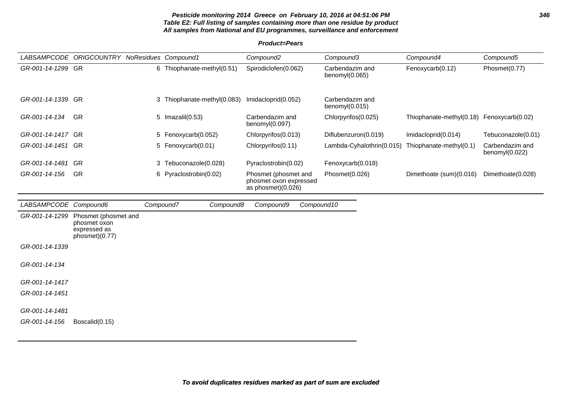# **Pesticide monitoring 2014 Greece on February 10, 2016 at 04:51:06 PM 346 Table E2: Full listing of samples containing more than one residue by product All samples from National and EU programmes, surveillance and enforcement**

**Product=Pears**

|                       | LABSAMPCODE ORIGCOUNTRY NoResidues Compound1                           |           |                             | Compound <sub>2</sub>                                                | Compound3                            | Compound4                                 | Compound5                         |
|-----------------------|------------------------------------------------------------------------|-----------|-----------------------------|----------------------------------------------------------------------|--------------------------------------|-------------------------------------------|-----------------------------------|
| GR-001-14-1299 GR     |                                                                        |           | 6 Thiophanate-methyl(0.51)  | Spirodiclofen(0.062)                                                 | Carbendazim and<br>benomyl(0.065)    | Fenoxycarb(0.12)                          | Phosmet(0.77)                     |
| GR-001-14-1339 GR     |                                                                        |           | 3 Thiophanate-methyl(0.083) | Imidacloprid(0.052)                                                  | Carbendazim and<br>benomyl $(0.015)$ |                                           |                                   |
| GR-001-14-134         | GR                                                                     |           | 5 Imazalil(0.53)            | Carbendazim and<br>benomyl(0.097)                                    | Chlorpyrifos(0.025)                  | Thiophanate-methyl(0.18) Fenoxycarb(0.02) |                                   |
| GR-001-14-1417 GR     |                                                                        |           | 5 Fenoxycarb(0.052)         | Chlorpyrifos(0.013)                                                  | Diflubenzuron(0.019)                 | Imidacloprid(0.014)                       | Tebuconazole(0.01)                |
| GR-001-14-1451 GR     |                                                                        |           | 5 Fenoxycarb(0.01)          | Chlorpyrifos(0.11)                                                   | Lambda-Cyhalothrin(0.015)            | Thiophanate-methyl(0.1)                   | Carbendazim and<br>benomyl(0.022) |
| GR-001-14-1481        | <b>GR</b>                                                              |           | 3 Tebuconazole(0.028)       | Pyraclostrobin(0.02)                                                 | Fenoxycarb(0.018)                    |                                           |                                   |
| GR-001-14-156         | GR                                                                     |           | 6 Pyraclostrobin(0.02)      | Phosmet (phosmet and<br>phosmet oxon expressed<br>as phosmet)(0.026) | Phosmet(0.026)                       | Dimethoate (sum)(0.016)                   | Dimethoate(0.028)                 |
| LABSAMPCODE Compound6 |                                                                        | Compound7 | Compound8                   | Compound10<br>Compound9                                              |                                      |                                           |                                   |
| GR-001-14-1299        | Phosmet (phosmet and<br>phosmet oxon<br>expressed as<br>phosmet)(0.77) |           |                             |                                                                      |                                      |                                           |                                   |
| GR-001-14-1339        |                                                                        |           |                             |                                                                      |                                      |                                           |                                   |
| GR-001-14-134         |                                                                        |           |                             |                                                                      |                                      |                                           |                                   |
| GR-001-14-1417        |                                                                        |           |                             |                                                                      |                                      |                                           |                                   |
| GR-001-14-1451        |                                                                        |           |                             |                                                                      |                                      |                                           |                                   |
| GR-001-14-1481        |                                                                        |           |                             |                                                                      |                                      |                                           |                                   |
| GR-001-14-156         | Boscalid(0.15)                                                         |           |                             |                                                                      |                                      |                                           |                                   |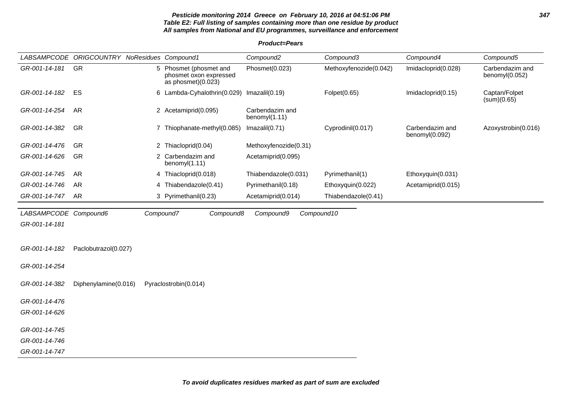# **Pesticide monitoring 2014 Greece on February 10, 2016 at 04:51:06 PM 347 Table E2: Full listing of samples containing more than one residue by product All samples from National and EU programmes, surveillance and enforcement**

# **Product=Pears**

|                       | LABSAMPCODE ORIGCOUNTRY NoResidues Compound1 |                                                                          | Compound <sub>2</sub>            | Compound3              | Compound4                         | Compound5                         |
|-----------------------|----------------------------------------------|--------------------------------------------------------------------------|----------------------------------|------------------------|-----------------------------------|-----------------------------------|
| GR-001-14-181         | GR                                           | 5 Phosmet (phosmet and<br>phosmet oxon expressed<br>as phosmet $(0.023)$ | Phosmet(0.023)                   | Methoxyfenozide(0.042) | Imidacloprid(0.028)               | Carbendazim and<br>benomyl(0.052) |
| GR-001-14-182         | ES                                           | 6 Lambda-Cyhalothrin(0.029)                                              | Imazalil(0.19)                   | Folpet(0.65)           | Imidacloprid(0.15)                | Captan/Folpet<br>(sum)(0.65)      |
| GR-001-14-254         | AR                                           | 2 Acetamiprid(0.095)                                                     | Carbendazim and<br>benomyl(1.11) |                        |                                   |                                   |
| GR-001-14-382         | GR                                           | 7 Thiophanate-methyl(0.085)                                              | Imazalil(0.71)                   | Cyprodinil(0.017)      | Carbendazim and<br>benomyl(0.092) | Azoxystrobin(0.016)               |
| GR-001-14-476         | GR                                           | 2 Thiacloprid(0.04)                                                      | Methoxyfenozide(0.31)            |                        |                                   |                                   |
| GR-001-14-626         | GR                                           | 2 Carbendazim and<br>benomyl(1.11)                                       | Acetamiprid(0.095)               |                        |                                   |                                   |
| GR-001-14-745         | <b>AR</b>                                    | 4 Thiacloprid(0.018)                                                     | Thiabendazole(0.031)             | Pyrimethanil(1)        | Ethoxyquin(0.031)                 |                                   |
| GR-001-14-746         | <b>AR</b>                                    | 4 Thiabendazole(0.41)                                                    | Pyrimethanil(0.18)               | Ethoxyquin(0.022)      | Acetamiprid(0.015)                |                                   |
| GR-001-14-747         | <b>AR</b>                                    | 3 Pyrimethanil(0.23)                                                     | Acetamiprid(0.014)               | Thiabendazole(0.41)    |                                   |                                   |
| LABSAMPCODE Compound6 |                                              | Compound7<br>Compound8                                                   | Compound9                        | Compound10             |                                   |                                   |
| GR-001-14-181         |                                              |                                                                          |                                  |                        |                                   |                                   |
|                       |                                              |                                                                          |                                  |                        |                                   |                                   |
| GR-001-14-182         | Paclobutrazol(0.027)                         |                                                                          |                                  |                        |                                   |                                   |
| GR-001-14-254         |                                              |                                                                          |                                  |                        |                                   |                                   |
| GR-001-14-382         | Diphenylamine(0.016)                         | Pyraclostrobin(0.014)                                                    |                                  |                        |                                   |                                   |
| GR-001-14-476         |                                              |                                                                          |                                  |                        |                                   |                                   |
| GR-001-14-626         |                                              |                                                                          |                                  |                        |                                   |                                   |
| GR-001-14-745         |                                              |                                                                          |                                  |                        |                                   |                                   |
| GR-001-14-746         |                                              |                                                                          |                                  |                        |                                   |                                   |
| GR-001-14-747         |                                              |                                                                          |                                  |                        |                                   |                                   |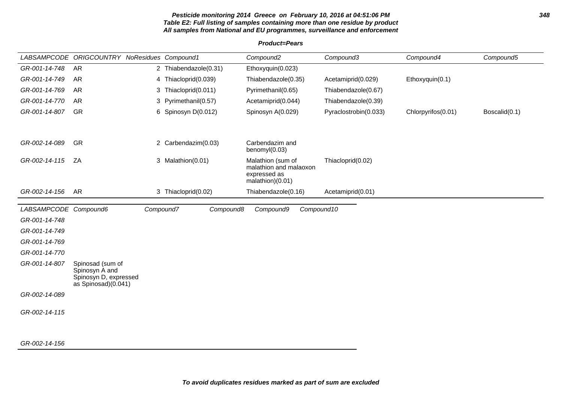#### **Pesticide monitoring 2014 Greece on February 10, 2016 at 04:51:06 PM 348 Table E2: Full listing of samples containing more than one residue by product All samples from National and EU programmes, surveillance and enforcement**

**Product=Pears**

LABSAMPCODE ORIGCOUNTRY NoResidues Compound1 Compound2 Compound3 Compound4 Compound5 GR-001-14-748 AR 2 Thiabendazole(0.31) Ethoxyquin(0.023) GR-001-14-749 AR 4 Thiacloprid(0.039) Thiabendazole(0.35) Acetamiprid(0.029) Ethoxyquin(0.1) GR-001-14-769 AR 3 Thiacloprid(0.011) Pyrimethanil(0.65) Thiabendazole(0.67) GR-001-14-770 AR 3 Pyrimethanil(0.57) Acetamiprid(0.044) Thiabendazole(0.39) GR-001-14-807 GR 6 Spinosyn D(0.012) Spinosyn A(0.029) Pyraclostrobin(0.033) Chlorpyrifos(0.01) Boscalid(0.1) GR-002-14-089 GR 2 Carbendazim(0.03) Carbendazim and benomyl(0.03) GR-002-14-115 ZA 3 Malathion(0.01) Malathion (sum of malathion and malaoxon expressed as malathion)(0.01) Thiacloprid(0.02) GR-002-14-156 AR 3 Thiacloprid(0.02) Thiabendazole(0.16) Acetamiprid(0.01) LABSAMPCODE Compound6 Compound7 Compound8 Compound9 Compound10 GR-001-14-748 GR-001-14-749 GR-001-14-769 GR-001-14-770 GR-001-14-807 Spinosad (sum of Spinosyn A and Spinosyn D, expressed as Spinosad)(0.041) GR-002-14-089 GR-002-14-115

#### GR-002-14-156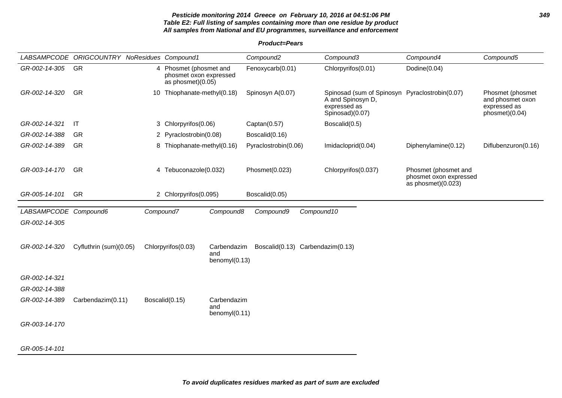# **Pesticide monitoring 2014 Greece on February 10, 2016 at 04:51:06 PM 349 Table E2: Full listing of samples containing more than one residue by product All samples from National and EU programmes, surveillance and enforcement**

**Product=Pears**

|                       | LABSAMPCODE ORIGCOUNTRY NoResidues Compound1 |    |                                                                       |                                     | Compound <sub>2</sub>            |            | Compound3                                                                                              | Compound4                                                              | Compound5                                                              |
|-----------------------|----------------------------------------------|----|-----------------------------------------------------------------------|-------------------------------------|----------------------------------|------------|--------------------------------------------------------------------------------------------------------|------------------------------------------------------------------------|------------------------------------------------------------------------|
| GR-002-14-305         | GR                                           |    | 4 Phosmet (phosmet and<br>phosmet oxon expressed<br>as phosmet)(0.05) |                                     | Fenoxycarb(0.01)                 |            | Chlorpyrifos(0.01)                                                                                     | Dodine(0.04)                                                           |                                                                        |
| GR-002-14-320         | <b>GR</b>                                    | 10 | Thiophanate-methyl(0.18)                                              |                                     | Spinosyn A(0.07)                 |            | Spinosad (sum of Spinosyn Pyraclostrobin(0.07)<br>A and Spinosyn D,<br>expressed as<br>Spinosad)(0.07) |                                                                        | Phosmet (phosmet<br>and phosmet oxon<br>expressed as<br>phosmet)(0.04) |
| GR-002-14-321         | IT                                           |    | 3 Chlorpyrifos(0.06)                                                  |                                     | Captan(0.57)                     |            | Boscalid(0.5)                                                                                          |                                                                        |                                                                        |
| GR-002-14-388         | <b>GR</b>                                    |    | 2 Pyraclostrobin(0.08)                                                |                                     | Boscalid(0.16)                   |            |                                                                                                        |                                                                        |                                                                        |
| GR-002-14-389         | GR                                           |    | 8 Thiophanate-methyl(0.16)                                            |                                     | Pyraclostrobin(0.06)             |            | Imidacloprid(0.04)                                                                                     | Diphenylamine(0.12)                                                    | Diflubenzuron(0.16)                                                    |
| GR-003-14-170         | GR                                           |    | 4 Tebuconazole(0.032)                                                 |                                     | Phosmet(0.023)                   |            | Chlorpyrifos(0.037)                                                                                    | Phosmet (phosmet and<br>phosmet oxon expressed<br>as phosmet $(0.023)$ |                                                                        |
| GR-005-14-101         | GR                                           |    | 2 Chlorpyrifos(0.095)                                                 |                                     | Boscalid(0.05)                   |            |                                                                                                        |                                                                        |                                                                        |
| LABSAMPCODE Compound6 |                                              |    | Compound7                                                             | Compound8                           | Compound9                        | Compound10 |                                                                                                        |                                                                        |                                                                        |
| GR-002-14-305         |                                              |    |                                                                       |                                     |                                  |            |                                                                                                        |                                                                        |                                                                        |
| GR-002-14-320         | Cyfluthrin (sum)(0.05)                       |    | Chlorpyrifos(0.03)                                                    | Carbendazim<br>and                  | Boscalid(0.13) Carbendazim(0.13) |            |                                                                                                        |                                                                        |                                                                        |
|                       |                                              |    |                                                                       | benomy $I(0.13)$                    |                                  |            |                                                                                                        |                                                                        |                                                                        |
| GR-002-14-321         |                                              |    |                                                                       |                                     |                                  |            |                                                                                                        |                                                                        |                                                                        |
| GR-002-14-388         |                                              |    |                                                                       |                                     |                                  |            |                                                                                                        |                                                                        |                                                                        |
| GR-002-14-389         | Carbendazim(0.11)                            |    | Boscalid(0.15)                                                        | Carbendazim<br>and<br>benomyl(0.11) |                                  |            |                                                                                                        |                                                                        |                                                                        |
| GR-003-14-170         |                                              |    |                                                                       |                                     |                                  |            |                                                                                                        |                                                                        |                                                                        |
|                       |                                              |    |                                                                       |                                     |                                  |            |                                                                                                        |                                                                        |                                                                        |
| GR-005-14-101         |                                              |    |                                                                       |                                     |                                  |            |                                                                                                        |                                                                        |                                                                        |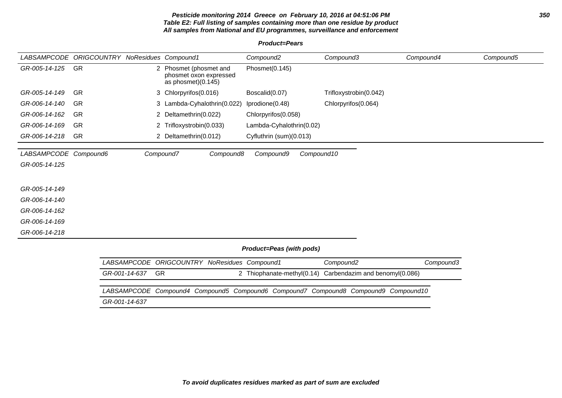# **Pesticide monitoring 2014 Greece on February 10, 2016 at 04:51:06 PM 350 Table E2: Full listing of samples containing more than one residue by product All samples from National and EU programmes, surveillance and enforcement**

**Product=Pears**

|                       | LABSAMPCODE ORIGCOUNTRY NoResidues Compound1 |                    |                                                                        | Compound <sub>2</sub>                                                  | Compound3                      | Compound4 | Compound5 |
|-----------------------|----------------------------------------------|--------------------|------------------------------------------------------------------------|------------------------------------------------------------------------|--------------------------------|-----------|-----------|
| GR-005-14-125         | GR                                           |                    | 2 Phosmet (phosmet and<br>phosmet oxon expressed<br>as phosmet)(0.145) | Phosmet(0.145)                                                         |                                |           |           |
| GR-005-14-149         | GR                                           |                    | 3 Chlorpyrifos(0.016)                                                  | Boscalid(0.07)                                                         | Trifloxystrobin(0.042)         |           |           |
| GR-006-14-140         | <b>GR</b>                                    |                    | 3 Lambda-Cyhalothrin(0.022)                                            | Iprodione(0.48)                                                        | Chlorpyrifos(0.064)            |           |           |
| GR-006-14-162         | GR                                           |                    | 2 Deltamethrin(0.022)                                                  | Chlorpyrifos(0.058)                                                    |                                |           |           |
| GR-006-14-169         | <b>GR</b>                                    |                    | 2 Trifloxystrobin(0.033)                                               | Lambda-Cyhalothrin(0.02)                                               |                                |           |           |
| GR-006-14-218         | GR                                           |                    | 2 Deltamethrin(0.012)                                                  | Cyfluthrin (sum)(0.013)                                                |                                |           |           |
| LABSAMPCODE Compound6 |                                              |                    | Compound7<br>Compound8                                                 | Compound9                                                              | Compound10                     |           |           |
| GR-005-14-125         |                                              |                    |                                                                        |                                                                        |                                |           |           |
| GR-005-14-149         |                                              |                    |                                                                        |                                                                        |                                |           |           |
| GR-006-14-140         |                                              |                    |                                                                        |                                                                        |                                |           |           |
| GR-006-14-162         |                                              |                    |                                                                        |                                                                        |                                |           |           |
| GR-006-14-169         |                                              |                    |                                                                        |                                                                        |                                |           |           |
| GR-006-14-218         |                                              |                    |                                                                        |                                                                        |                                |           |           |
|                       |                                              |                    |                                                                        | Product=Peas (with pods)                                               |                                |           |           |
|                       |                                              | <b>LABSAMPCODE</b> | <b>ORIGCOUNTRY NoResidues Compound1</b>                                |                                                                        | Compound <sub>2</sub>          | Compound3 |           |
|                       |                                              | GR-001-14-637      | GR                                                                     | 2 Thiophanate-methyl(0.14)                                             | Carbendazim and benomyl(0.086) |           |           |
|                       |                                              | <b>LABSAMPCODE</b> |                                                                        | Compound4 Compound5 Compound6 Compound7 Compound8 Compound9 Compound10 |                                |           |           |
|                       |                                              | GR-001-14-637      |                                                                        |                                                                        |                                |           |           |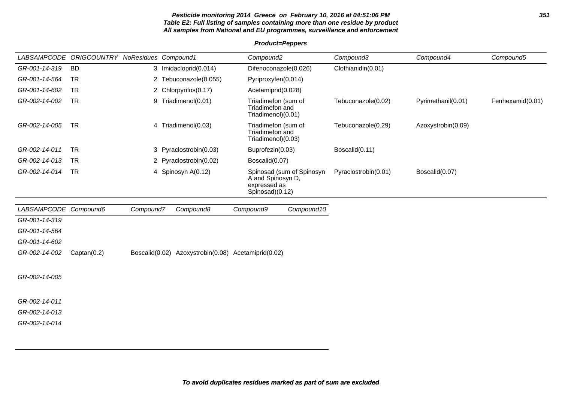# **Pesticide monitoring 2014 Greece on February 10, 2016 at 04:51:06 PM 351 Table E2: Full listing of samples containing more than one residue by product All samples from National and EU programmes, surveillance and enforcement**

# **Product=Peppers**

|                       | LABSAMPCODE ORIGCOUNTRY NoResidues Compound1 |           |                                                     | Compound <sub>2</sub>                                        |                           | Compound3            | Compound4          | Compound5        |
|-----------------------|----------------------------------------------|-----------|-----------------------------------------------------|--------------------------------------------------------------|---------------------------|----------------------|--------------------|------------------|
| GR-001-14-319         | <b>BD</b>                                    |           | 3 Imidacloprid(0.014)                               | Difenoconazole(0.026)                                        |                           | Clothianidin(0.01)   |                    |                  |
| GR-001-14-564         | <b>TR</b>                                    |           | 2 Tebuconazole(0.055)                               | Pyriproxyfen(0.014)                                          |                           |                      |                    |                  |
| GR-001-14-602         | <b>TR</b>                                    |           | 2 Chlorpyrifos(0.17)                                | Acetamiprid(0.028)                                           |                           |                      |                    |                  |
| GR-002-14-002         | <b>TR</b>                                    | 9         | Triadimenol(0.01)                                   | Triadimefon (sum of<br>Triadimefon and<br>Triadimenol)(0.01) |                           | Tebuconazole(0.02)   | Pyrimethanil(0.01) | Fenhexamid(0.01) |
| GR-002-14-005         | <b>TR</b>                                    |           | 4 Triadimenol(0.03)                                 | Triadimefon (sum of<br>Triadimefon and<br>Triadimenol)(0.03) |                           | Tebuconazole(0.29)   | Azoxystrobin(0.09) |                  |
| GR-002-14-011         | <b>TR</b>                                    |           | 3 Pyraclostrobin(0.03)                              | Buprofezin(0.03)                                             |                           | Boscalid(0.11)       |                    |                  |
| GR-002-14-013         | <b>TR</b>                                    |           | 2 Pyraclostrobin(0.02)                              | Boscalid(0.07)                                               |                           |                      |                    |                  |
| GR-002-14-014         | <b>TR</b>                                    |           | 4 Spinosyn A(0.12)                                  | A and Spinosyn D,<br>expressed as<br>Spinosad)(0.12)         | Spinosad (sum of Spinosyn | Pyraclostrobin(0.01) | Boscalid(0.07)     |                  |
| LABSAMPCODE Compound6 |                                              | Compound7 | Compound8                                           | Compound9                                                    | Compound10                |                      |                    |                  |
| GR-001-14-319         |                                              |           |                                                     |                                                              |                           |                      |                    |                  |
| GR-001-14-564         |                                              |           |                                                     |                                                              |                           |                      |                    |                  |
| GR-001-14-602         |                                              |           |                                                     |                                                              |                           |                      |                    |                  |
| GR-002-14-002         | Captan(0.2)                                  |           | Boscalid(0.02) Azoxystrobin(0.08) Acetamiprid(0.02) |                                                              |                           |                      |                    |                  |
| GR-002-14-005         |                                              |           |                                                     |                                                              |                           |                      |                    |                  |
| GR-002-14-011         |                                              |           |                                                     |                                                              |                           |                      |                    |                  |
| GR-002-14-013         |                                              |           |                                                     |                                                              |                           |                      |                    |                  |
| GR-002-14-014         |                                              |           |                                                     |                                                              |                           |                      |                    |                  |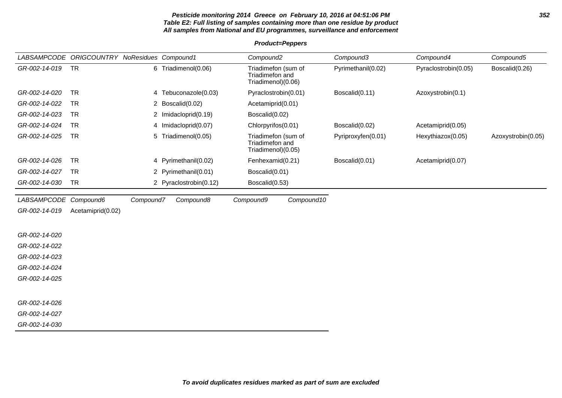# **Pesticide monitoring 2014 Greece on February 10, 2016 at 04:51:06 PM 352 Table E2: Full listing of samples containing more than one residue by product All samples from National and EU programmes, surveillance and enforcement**

# **Product=Peppers**

|                       | LABSAMPCODE ORIGCOUNTRY NoResidues Compound1 |           |                        | Compound <sub>2</sub>                                        |            | Compound3          | Compound4            | Compound5          |
|-----------------------|----------------------------------------------|-----------|------------------------|--------------------------------------------------------------|------------|--------------------|----------------------|--------------------|
| GR-002-14-019         | <b>TR</b>                                    |           | 6 Triadimenol(0.06)    | Triadimefon (sum of<br>Triadimefon and<br>Triadimenol)(0.06) |            | Pyrimethanil(0.02) | Pyraclostrobin(0.05) | Boscalid(0.26)     |
| GR-002-14-020         | <b>TR</b>                                    |           | 4 Tebuconazole(0.03)   | Pyraclostrobin(0.01)                                         |            | Boscalid(0.11)     | Azoxystrobin(0.1)    |                    |
| GR-002-14-022         | <b>TR</b>                                    |           | 2 Boscalid(0.02)       | Acetamiprid(0.01)                                            |            |                    |                      |                    |
| GR-002-14-023         | <b>TR</b>                                    |           | 2 Imidacloprid(0.19)   | Boscalid(0.02)                                               |            |                    |                      |                    |
| GR-002-14-024         | <b>TR</b>                                    |           | 4 Imidacloprid(0.07)   | Chlorpyrifos(0.01)                                           |            | Boscalid(0.02)     | Acetamiprid(0.05)    |                    |
| GR-002-14-025         | <b>TR</b>                                    |           | 5 Triadimenol(0.05)    | Triadimefon (sum of<br>Triadimefon and<br>Triadimenol)(0.05) |            | Pyriproxyfen(0.01) | Hexythiazox(0.05)    | Azoxystrobin(0.05) |
| GR-002-14-026         | <b>TR</b>                                    |           | 4 Pyrimethanil(0.02)   | Fenhexamid(0.21)                                             |            | Boscalid(0.01)     | Acetamiprid(0.07)    |                    |
| GR-002-14-027         | <b>TR</b>                                    |           | 2 Pyrimethanil(0.01)   | Boscalid(0.01)                                               |            |                    |                      |                    |
| GR-002-14-030         | <b>TR</b>                                    |           | 2 Pyraclostrobin(0.12) | Boscalid(0.53)                                               |            |                    |                      |                    |
| LABSAMPCODE Compound6 |                                              | Compound7 | Compound8              | Compound9                                                    | Compound10 |                    |                      |                    |
| GR-002-14-019         | Acetamiprid(0.02)                            |           |                        |                                                              |            |                    |                      |                    |
|                       |                                              |           |                        |                                                              |            |                    |                      |                    |
| GR-002-14-020         |                                              |           |                        |                                                              |            |                    |                      |                    |
| GR-002-14-022         |                                              |           |                        |                                                              |            |                    |                      |                    |
| GR-002-14-023         |                                              |           |                        |                                                              |            |                    |                      |                    |
| GR-002-14-024         |                                              |           |                        |                                                              |            |                    |                      |                    |
| GR-002-14-025         |                                              |           |                        |                                                              |            |                    |                      |                    |
|                       |                                              |           |                        |                                                              |            |                    |                      |                    |
| GR-002-14-026         |                                              |           |                        |                                                              |            |                    |                      |                    |
| GR-002-14-027         |                                              |           |                        |                                                              |            |                    |                      |                    |
| GR-002-14-030         |                                              |           |                        |                                                              |            |                    |                      |                    |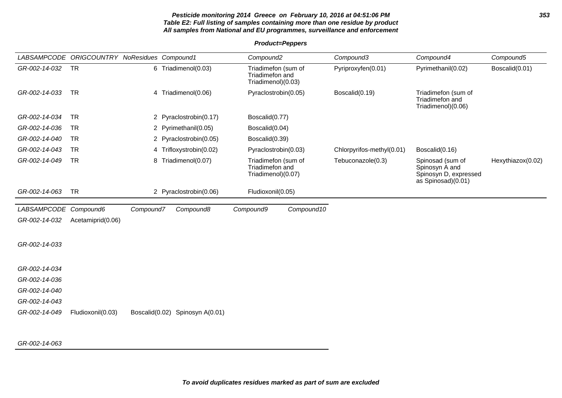# **Pesticide monitoring 2014 Greece on February 10, 2016 at 04:51:06 PM 353 Table E2: Full listing of samples containing more than one residue by product All samples from National and EU programmes, surveillance and enforcement**

**Product=Peppers**

|               | LABSAMPCODE ORIGCOUNTRY NoResidues Compound1 |                |                         |           | Compound <sub>2</sub>                                        |            | Compound3                 | Compound4                                                                         | Compound5         |
|---------------|----------------------------------------------|----------------|-------------------------|-----------|--------------------------------------------------------------|------------|---------------------------|-----------------------------------------------------------------------------------|-------------------|
| GR-002-14-032 | <b>TR</b>                                    |                | 6 Triadimenol(0.03)     |           | Triadimefon (sum of<br>Triadimefon and<br>Triadimenol)(0.03) |            | Pyriproxyfen(0.01)        | Pyrimethanil(0.02)                                                                | Boscalid(0.01)    |
| GR-002-14-033 | <b>TR</b>                                    |                | 4 Triadimenol(0.06)     |           | Pyraclostrobin(0.05)                                         |            | Boscalid(0.19)            | Triadimefon (sum of<br>Triadimefon and<br>Triadimenol)(0.06)                      |                   |
| GR-002-14-034 | <b>TR</b>                                    |                | 2 Pyraclostrobin(0.17)  |           | Boscalid(0.77)                                               |            |                           |                                                                                   |                   |
| GR-002-14-036 | <b>TR</b>                                    |                | 2 Pyrimethanil(0.05)    |           | Boscalid(0.04)                                               |            |                           |                                                                                   |                   |
| GR-002-14-040 | <b>TR</b>                                    |                | 2 Pyraclostrobin(0.05)  |           | Boscalid(0.39)                                               |            |                           |                                                                                   |                   |
| GR-002-14-043 | <b>TR</b>                                    |                | 4 Trifloxystrobin(0.02) |           | Pyraclostrobin(0.03)                                         |            | Chlorpyrifos-methyl(0.01) | Boscalid(0.16)                                                                    |                   |
| GR-002-14-049 | <b>TR</b>                                    |                | 8 Triadimenol(0.07)     |           | Triadimefon (sum of<br>Triadimefon and<br>Triadimenol)(0.07) |            | Tebuconazole(0.3)         | Spinosad (sum of<br>Spinosyn A and<br>Spinosyn D, expressed<br>as Spinosad)(0.01) | Hexythiazox(0.02) |
| GR-002-14-063 | <b>TR</b>                                    |                | 2 Pyraclostrobin(0.06)  |           | Fludioxonil(0.05)                                            |            |                           |                                                                                   |                   |
| LABSAMPCODE   | Compound6                                    | Compound7      | Compound8               | Compound9 |                                                              | Compound10 |                           |                                                                                   |                   |
| GR-002-14-032 | Acetamiprid(0.06)                            |                |                         |           |                                                              |            |                           |                                                                                   |                   |
| GR-002-14-033 |                                              |                |                         |           |                                                              |            |                           |                                                                                   |                   |
| GR-002-14-034 |                                              |                |                         |           |                                                              |            |                           |                                                                                   |                   |
| GR-002-14-036 |                                              |                |                         |           |                                                              |            |                           |                                                                                   |                   |
| GR-002-14-040 |                                              |                |                         |           |                                                              |            |                           |                                                                                   |                   |
| GR-002-14-043 |                                              |                |                         |           |                                                              |            |                           |                                                                                   |                   |
| GR-002-14-049 | Fludioxonil(0.03)                            | Boscalid(0.02) | Spinosyn A(0.01)        |           |                                                              |            |                           |                                                                                   |                   |

GR-002-14-063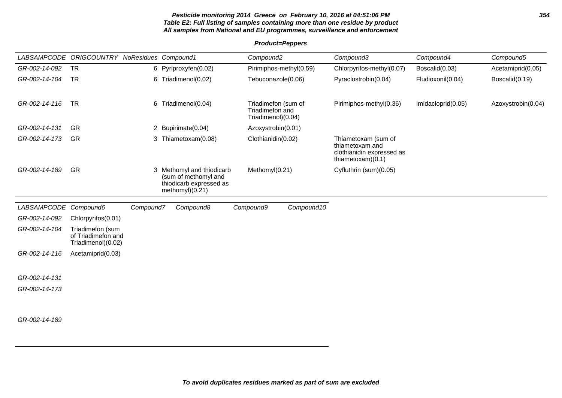# **Pesticide monitoring 2014 Greece on February 10, 2016 at 04:51:06 PM 354 Table E2: Full listing of samples containing more than one residue by product All samples from National and EU programmes, surveillance and enforcement**

# **Product=Peppers**

|                       | LABSAMPCODE ORIGCOUNTRY NoResidues Compound1                 |           |                                                                                                 | Compound <sub>2</sub>                                        |                         | Compound3                                                                                  | Compound4          | Compound5          |
|-----------------------|--------------------------------------------------------------|-----------|-------------------------------------------------------------------------------------------------|--------------------------------------------------------------|-------------------------|--------------------------------------------------------------------------------------------|--------------------|--------------------|
| GR-002-14-092         | <b>TR</b>                                                    |           | 6 Pyriproxyfen(0.02)                                                                            |                                                              | Pirimiphos-methyl(0.59) | Chlorpyrifos-methyl(0.07)                                                                  | Boscalid(0.03)     | Acetamiprid(0.05)  |
| GR-002-14-104         | <b>TR</b>                                                    |           | 6 Triadimenol(0.02)                                                                             | Tebuconazole(0.06)                                           |                         | Pyraclostrobin(0.04)                                                                       | Fludioxonil(0.04)  | Boscalid(0.19)     |
| GR-002-14-116         | <b>TR</b>                                                    |           | 6 Triadimenol(0.04)                                                                             | Triadimefon (sum of<br>Triadimefon and<br>Triadimenol)(0.04) |                         | Pirimiphos-methyl(0.36)                                                                    | Imidacloprid(0.05) | Azoxystrobin(0.04) |
| GR-002-14-131         | <b>GR</b>                                                    |           | 2 Bupirimate(0.04)                                                                              | Azoxystrobin(0.01)                                           |                         |                                                                                            |                    |                    |
| GR-002-14-173         | <b>GR</b>                                                    |           | 3 Thiametoxam(0.08)                                                                             | Clothianidin(0.02)                                           |                         | Thiametoxam (sum of<br>thiametoxam and<br>clothianidin expressed as<br>thiametoxam $(0.1)$ |                    |                    |
| GR-002-14-189         | GR                                                           |           | 3 Methomyl and thiodicarb<br>(sum of methomyl and<br>thiodicarb expressed as<br>methomyl)(0.21) | Methomyl(0.21)                                               |                         | Cyfluthrin (sum)(0.05)                                                                     |                    |                    |
| LABSAMPCODE Compound6 |                                                              | Compound7 | Compound8                                                                                       | Compound9                                                    | Compound10              |                                                                                            |                    |                    |
| GR-002-14-092         | Chlorpyrifos(0.01)                                           |           |                                                                                                 |                                                              |                         |                                                                                            |                    |                    |
| GR-002-14-104         | Triadimefon (sum<br>of Triadimefon and<br>Triadimenol)(0.02) |           |                                                                                                 |                                                              |                         |                                                                                            |                    |                    |
| GR-002-14-116         | Acetamiprid(0.03)                                            |           |                                                                                                 |                                                              |                         |                                                                                            |                    |                    |
| GR-002-14-131         |                                                              |           |                                                                                                 |                                                              |                         |                                                                                            |                    |                    |
| GR-002-14-173         |                                                              |           |                                                                                                 |                                                              |                         |                                                                                            |                    |                    |
| GR-002-14-189         |                                                              |           |                                                                                                 |                                                              |                         |                                                                                            |                    |                    |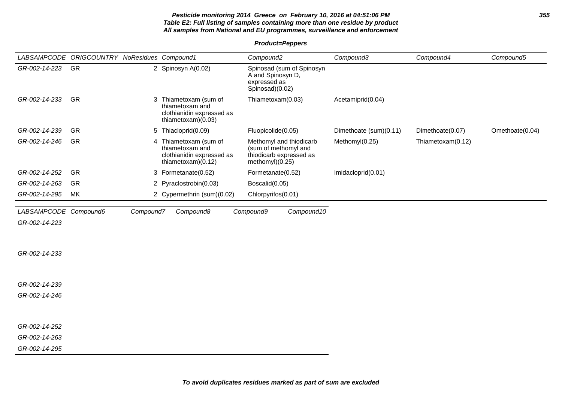# **Pesticide monitoring 2014 Greece on February 10, 2016 at 04:51:06 PM 355 Table E2: Full listing of samples containing more than one residue by product All samples from National and EU programmes, surveillance and enforcement**

**Product=Peppers**

|                       | LABSAMPCODE ORIGCOUNTRY NoResidues Compound1 |           |                                                                                               | Compound <sub>2</sub>                                                                           | Compound3              | Compound4         | Compound5       |
|-----------------------|----------------------------------------------|-----------|-----------------------------------------------------------------------------------------------|-------------------------------------------------------------------------------------------------|------------------------|-------------------|-----------------|
| GR-002-14-223         | GR                                           |           | 2 Spinosyn A(0.02)                                                                            | Spinosad (sum of Spinosyn<br>A and Spinosyn D,<br>expressed as<br>Spinosad)(0.02)               |                        |                   |                 |
| GR-002-14-233         | GR                                           |           | 3 Thiametoxam (sum of<br>thiametoxam and<br>clothianidin expressed as<br>thiametoxam $(0.03)$ | Thiametoxam(0.03)                                                                               | Acetamiprid(0.04)      |                   |                 |
| GR-002-14-239         | <b>GR</b>                                    |           | 5 Thiacloprid(0.09)                                                                           | Fluopicolide(0.05)                                                                              | Dimethoate (sum)(0.11) | Dimethoate(0.07)  | Omethoate(0.04) |
| GR-002-14-246         | GR                                           |           | 4 Thiametoxam (sum of<br>thiametoxam and<br>clothianidin expressed as<br>thiametoxam $(0.12)$ | Methomyl and thiodicarb<br>(sum of methomyl and<br>thiodicarb expressed as<br>methomyl $(0.25)$ | Methomyl(0.25)         | Thiametoxam(0.12) |                 |
| GR-002-14-252         | <b>GR</b>                                    |           | 3 Formetanate(0.52)                                                                           | Formetanate(0.52)                                                                               | Imidacloprid(0.01)     |                   |                 |
| GR-002-14-263         | <b>GR</b>                                    |           | 2 Pyraclostrobin(0.03)                                                                        | Boscalid(0.05)                                                                                  |                        |                   |                 |
| GR-002-14-295         | МK                                           |           | 2 Cypermethrin (sum)(0.02)                                                                    | Chlorpyrifos(0.01)                                                                              |                        |                   |                 |
| LABSAMPCODE Compound6 |                                              | Compound7 | Compound8                                                                                     | Compound10<br>Compound9                                                                         |                        |                   |                 |
| GR-002-14-223         |                                              |           |                                                                                               |                                                                                                 |                        |                   |                 |
| GR-002-14-233         |                                              |           |                                                                                               |                                                                                                 |                        |                   |                 |
| GR-002-14-239         |                                              |           |                                                                                               |                                                                                                 |                        |                   |                 |
| GR-002-14-246         |                                              |           |                                                                                               |                                                                                                 |                        |                   |                 |
| GR-002-14-252         |                                              |           |                                                                                               |                                                                                                 |                        |                   |                 |
| GR-002-14-263         |                                              |           |                                                                                               |                                                                                                 |                        |                   |                 |
| GR-002-14-295         |                                              |           |                                                                                               |                                                                                                 |                        |                   |                 |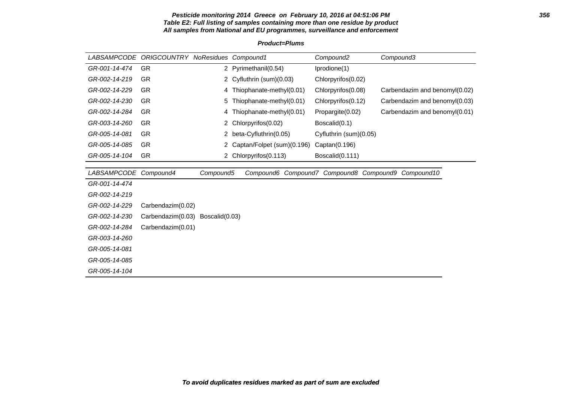# **Pesticide monitoring 2014 Greece on February 10, 2016 at 04:51:06 PM 356 Table E2: Full listing of samples containing more than one residue by product All samples from National and EU programmes, surveillance and enforcement**

| <i>LABSAMPCODE</i> | <b>ORIGCOUNTRY NoResidues Compound1</b> |                |                                         | Compound <sub>2</sub>  | Compound3                     |
|--------------------|-----------------------------------------|----------------|-----------------------------------------|------------------------|-------------------------------|
| GR-001-14-474      | <b>GR</b>                               |                | 2 Pyrimethanil(0.54)                    | Iprodione(1)           |                               |
| GR-002-14-219      | GR                                      |                | 2 Cyfluthrin (sum)(0.03)                | Chlorpyrifos(0.02)     |                               |
| GR-002-14-229      | GR                                      | 4              | Thiophanate-methyl(0.01)                | Chlorpyrifos(0.08)     | Carbendazim and benomyl(0.02) |
| GR-002-14-230      | <b>GR</b>                               | 5              | Thiophanate-methyl(0.01)                | Chlorpyrifos(0.12)     | Carbendazim and benomyl(0.03) |
| GR-002-14-284      | <b>GR</b>                               | 4              | Thiophanate-methyl(0.01)                | Propargite(0.02)       | Carbendazim and benomyl(0.01) |
| GR-003-14-260      | <b>GR</b>                               | 2.             | Chlorpyrifos (0.02)                     | Boscalid(0.1)          |                               |
| GR-005-14-081      | <b>GR</b>                               | 2              | beta-Cyfluthrin(0.05)                   | Cyfluthrin (sum)(0.05) |                               |
| GR-005-14-085      | <b>GR</b>                               | 2              | Captan/Folpet (sum)(0.196)              | Captan(0.196)          |                               |
| GR-005-14-104      | <b>GR</b>                               |                | 2 Chlorpyrifos(0.113)                   | Boscalid(0.111)        |                               |
|                    |                                         |                |                                         |                        |                               |
| <b>LABSAMPCODE</b> | Compound4                               | Compound5      | Compound6 Compound7 Compound8 Compound9 |                        | Compound10                    |
| GR-001-14-474      |                                         |                |                                         |                        |                               |
| GR-002-14-219      |                                         |                |                                         |                        |                               |
| GR-002-14-229      | Carbendazim(0.02)                       |                |                                         |                        |                               |
| GR-002-14-230      | Carbendazim(0.03)                       | Boscalid(0.03) |                                         |                        |                               |
| GR-002-14-284      | Carbendazim(0.01)                       |                |                                         |                        |                               |
| GR-003-14-260      |                                         |                |                                         |                        |                               |
| GR-005-14-081      |                                         |                |                                         |                        |                               |
| GR-005-14-085      |                                         |                |                                         |                        |                               |
| GR-005-14-104      |                                         |                |                                         |                        |                               |

# **Product=Plums**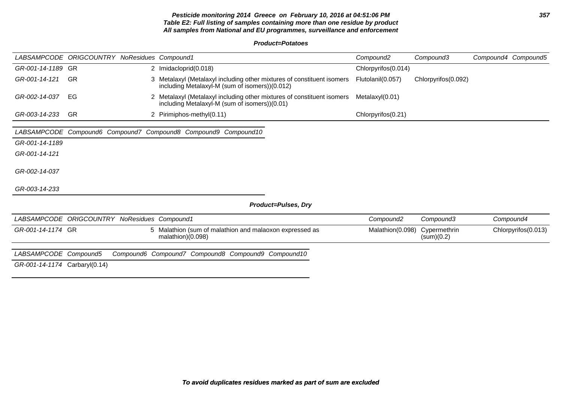# **Pesticide monitoring 2014 Greece on February 10, 2016 at 04:51:06 PM 357 Table E2: Full listing of samples containing more than one residue by product All samples from National and EU programmes, surveillance and enforcement**

**Product=Potatoes**

|                               | LABSAMPCODE ORIGCOUNTRY NoResidues Compound1 |                                                                                                                          | Compound <sub>2</sub> | Compound3                  | Compound4 Compound5 |                     |
|-------------------------------|----------------------------------------------|--------------------------------------------------------------------------------------------------------------------------|-----------------------|----------------------------|---------------------|---------------------|
| GR-001-14-1189 GR             |                                              | 2 Imidacloprid(0.018)                                                                                                    | Chlorpyrifos(0.014)   |                            |                     |                     |
| GR-001-14-121                 | <b>GR</b>                                    | 3 Metalaxyl (Metalaxyl including other mixtures of constituent isomers<br>including Metalaxyl-M (sum of isomers))(0.012) | Flutolanil(0.057)     | Chlorpyrifos(0.092)        |                     |                     |
| GR-002-14-037                 | EG                                           | 2 Metalaxyl (Metalaxyl including other mixtures of constituent isomers<br>including Metalaxyl-M (sum of isomers))(0.01)  | Metalaxyl(0.01)       |                            |                     |                     |
| GR-003-14-233                 | -GR                                          | 2 Pirimiphos-methyl(0.11)                                                                                                | Chlorpyrifos(0.21)    |                            |                     |                     |
|                               |                                              |                                                                                                                          |                       |                            |                     |                     |
|                               |                                              | LABSAMPCODE Compound6 Compound7 Compound8 Compound9 Compound10                                                           |                       |                            |                     |                     |
| GR-001-14-1189                |                                              |                                                                                                                          |                       |                            |                     |                     |
| GR-001-14-121                 |                                              |                                                                                                                          |                       |                            |                     |                     |
|                               |                                              |                                                                                                                          |                       |                            |                     |                     |
| GR-002-14-037                 |                                              |                                                                                                                          |                       |                            |                     |                     |
|                               |                                              |                                                                                                                          |                       |                            |                     |                     |
| GR-003-14-233                 |                                              |                                                                                                                          |                       |                            |                     |                     |
|                               |                                              | <b>Product=Pulses, Dry</b>                                                                                               |                       |                            |                     |                     |
|                               |                                              |                                                                                                                          |                       |                            |                     |                     |
| LABSAMPCODE ORIGCOUNTRY       |                                              | NoResidues Compound1                                                                                                     | Compound <sub>2</sub> | Compound3                  |                     | Compound4           |
| GR-001-14-1174 GR             |                                              | 5 Malathion (sum of malathion and malaoxon expressed as<br>malathion $(0.098)$                                           | Malathion(0.098)      | Cypermethrin<br>(sum)(0.2) |                     | Chlorpyrifos(0.013) |
| LABSAMPCODE Compound5         |                                              | Compound6 Compound7 Compound8 Compound9 Compound10                                                                       |                       |                            |                     |                     |
|                               |                                              |                                                                                                                          |                       |                            |                     |                     |
| GR-001-14-1174 Carbaryl(0.14) |                                              |                                                                                                                          |                       |                            |                     |                     |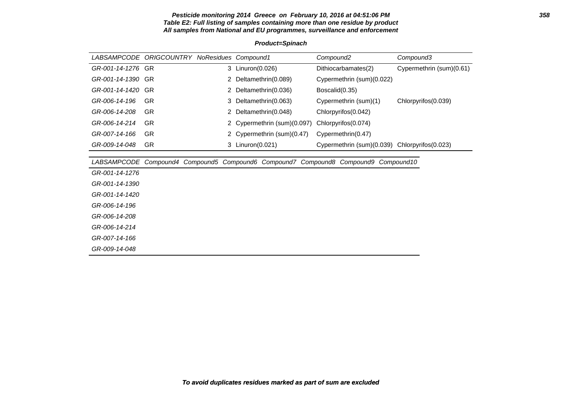# **Pesticide monitoring 2014 Greece on February 10, 2016 at 04:51:06 PM 358 Table E2: Full listing of samples containing more than one residue by product All samples from National and EU programmes, surveillance and enforcement**

| LABSAMPCODE ORIGCOUNTRY NoResidues Compound1 |           |    |                           | Compound <sub>2</sub>                                                  | Compound3                |
|----------------------------------------------|-----------|----|---------------------------|------------------------------------------------------------------------|--------------------------|
| GR-001-14-1276                               | GR.       |    | 3 Linuron(0.026)          | Dithiocarbamates(2)                                                    | Cypermethrin (sum)(0.61) |
| GR-001-14-1390                               | GR.       | 2  | Deltamethrin(0.089)       | Cypermethrin (sum)(0.022)                                              |                          |
| GR-001-14-1420                               | GR.       | 2  | Deltamethrin(0.036)       | Boscalid(0.35)                                                         |                          |
| GR-006-14-196                                | <b>GR</b> | 3  | Deltamethrin(0.063)       | Cypermethrin (sum)(1)                                                  | Chlorpyrifos(0.039)      |
| GR-006-14-208                                | GR.       | 2  | Deltamethrin(0.048)       | Chlorpyrifos(0.042)                                                    |                          |
| GR-006-14-214                                | GR.       |    | Cypermethrin (sum)(0.097) | Chlorpyrifos(0.074)                                                    |                          |
| GR-007-14-166                                | <b>GR</b> | 2  | Cypermethrin (sum)(0.47)  | Cypermethrin(0.47)                                                     |                          |
| GR-009-14-048                                | GR.       | 3. | Linuron(0.021)            | Cypermethrin (sum)(0.039) Chlorpyrifos(0.023)                          |                          |
|                                              |           |    |                           |                                                                        |                          |
| <i>LABSAMPCODE</i>                           |           |    |                           | Compound4 Compound5 Compound6 Compound7 Compound8 Compound9 Compound10 |                          |
| GR-001-14-1276                               |           |    |                           |                                                                        |                          |
| GR-001-14-1390                               |           |    |                           |                                                                        |                          |
| GR-001-14-1420                               |           |    |                           |                                                                        |                          |
| GR-006-14-196                                |           |    |                           |                                                                        |                          |
| GR-006-14-208                                |           |    |                           |                                                                        |                          |

GR-006-14-214 GR-007-14-166 GR-009-14-048

# **Product=Spinach**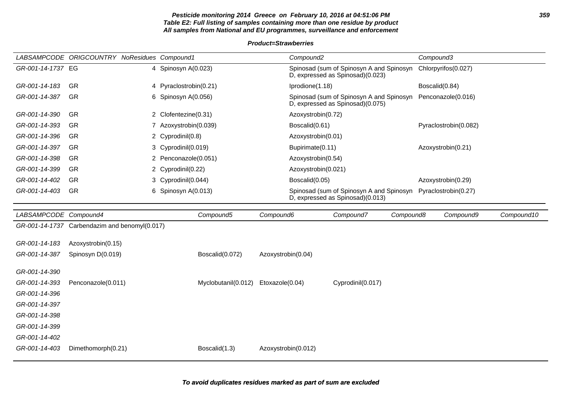# **Pesticide monitoring 2014 Greece on February 10, 2016 at 04:51:06 PM 359 Table E2: Full listing of samples containing more than one residue by product All samples from National and EU programmes, surveillance and enforcement**

**Product=Strawberries**

|                   | LABSAMPCODE ORIGCOUNTRY NoResidues Compound1 |                        | Compound <sub>2</sub>                                                        | Compound3             |
|-------------------|----------------------------------------------|------------------------|------------------------------------------------------------------------------|-----------------------|
| GR-001-14-1737 EG |                                              | 4 Spinosyn A(0.023)    | Spinosad (sum of Spinosyn A and Spinosyn<br>D, expressed as Spinosad)(0.023) | Chlorpyrifos(0.027)   |
| GR-001-14-183     | -GR                                          | 4 Pyraclostrobin(0.21) | Iprodione(1.18)                                                              | Boscalid(0.84)        |
| GR-001-14-387     | <b>GR</b>                                    | 6 Spinosyn $A(0.056)$  | Spinosad (sum of Spinosyn A and Spinosyn<br>D, expressed as Spinosad)(0.075) | Penconazole(0.016)    |
| GR-001-14-390     | -GR                                          | 2 Clofentezine(0.31)   | Azoxystrobin(0.72)                                                           |                       |
| GR-001-14-393     | -GR                                          | Azoxystrobin(0.039)    | Boscalid(0.61)                                                               | Pyraclostrobin(0.082) |
| GR-001-14-396     | -GR                                          | 2 Cyprodinil(0.8)      | Azoxystrobin(0.01)                                                           |                       |
| GR-001-14-397     | -GR                                          | 3 Cyprodinil(0.019)    | Bupirimate(0.11)                                                             | Azoxystrobin(0.21)    |
| GR-001-14-398     | <b>GR</b>                                    | 2 Penconazole(0.051)   | Azoxystrobin(0.54)                                                           |                       |
| GR-001-14-399     | <b>GR</b>                                    | 2 Cyprodinil(0.22)     | Azoxystrobin(0.021)                                                          |                       |
| GR-001-14-402     | <b>GR</b>                                    | 3 Cyprodinil(0.044)    | Boscalid(0.05)                                                               | Azoxystrobin(0.29)    |
| GR-001-14-403     | <b>GR</b>                                    | 6 Spinosyn A(0.013)    | Spinosad (sum of Spinosyn A and Spinosyn<br>D, expressed as Spinosad)(0.013) | Pyraclostrobin(0.27)  |

| LABSAMPCODE Compound4 |                                               | Compound5           | Compound6           | Compound7         | Compound8 | Compound9 | Compound10 |
|-----------------------|-----------------------------------------------|---------------------|---------------------|-------------------|-----------|-----------|------------|
|                       | GR-001-14-1737 Carbendazim and benomyl(0.017) |                     |                     |                   |           |           |            |
|                       |                                               |                     |                     |                   |           |           |            |
| GR-001-14-183         | Azoxystrobin(0.15)                            |                     |                     |                   |           |           |            |
| GR-001-14-387         | Spinosyn D(0.019)                             | Boscalid(0.072)     | Azoxystrobin(0.04)  |                   |           |           |            |
|                       |                                               |                     |                     |                   |           |           |            |
| GR-001-14-390         |                                               |                     |                     |                   |           |           |            |
| GR-001-14-393         | Penconazole(0.011)                            | Myclobutanil(0.012) | Etoxazole(0.04)     | Cyprodinil(0.017) |           |           |            |
| GR-001-14-396         |                                               |                     |                     |                   |           |           |            |
| GR-001-14-397         |                                               |                     |                     |                   |           |           |            |
| GR-001-14-398         |                                               |                     |                     |                   |           |           |            |
| GR-001-14-399         |                                               |                     |                     |                   |           |           |            |
| GR-001-14-402         |                                               |                     |                     |                   |           |           |            |
| GR-001-14-403         | Dimethomorph(0.21)                            | Boscalid(1.3)       | Azoxystrobin(0.012) |                   |           |           |            |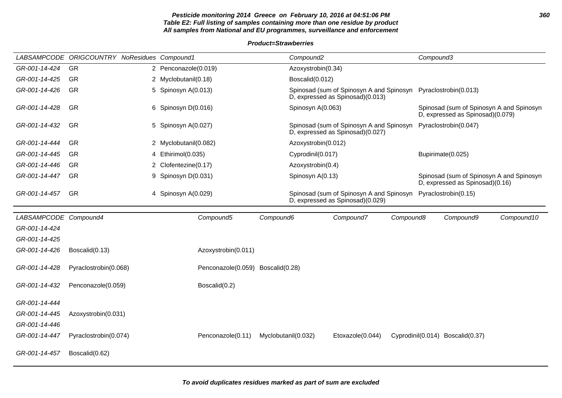# **Pesticide monitoring 2014 Greece on February 10, 2016 at 04:51:06 PM 360 Table E2: Full listing of samples containing more than one residue by product All samples from National and EU programmes, surveillance and enforcement**

# **Product=Strawberries**

|                       | LABSAMPCODE ORIGCOUNTRY NoResidues Compound1 |                                   |                     | Compound <sub>2</sub> |                                                                                                    |           | Compound3 |                                                                              |            |
|-----------------------|----------------------------------------------|-----------------------------------|---------------------|-----------------------|----------------------------------------------------------------------------------------------------|-----------|-----------|------------------------------------------------------------------------------|------------|
| GR-001-14-424         | <b>GR</b>                                    | 2 Penconazole(0.019)              |                     | Azoxystrobin(0.34)    |                                                                                                    |           |           |                                                                              |            |
| GR-001-14-425         | <b>GR</b>                                    | 2 Myclobutanil(0.18)              |                     | Boscalid(0.012)       |                                                                                                    |           |           |                                                                              |            |
| GR-001-14-426         | GR                                           | 5 Spinosyn A(0.013)               |                     |                       | Spinosad (sum of Spinosyn A and Spinosyn Pyraclostrobin(0.013)<br>D, expressed as Spinosad)(0.013) |           |           |                                                                              |            |
| GR-001-14-428         | GR                                           | 6 Spinosyn D(0.016)               |                     | Spinosyn A(0.063)     |                                                                                                    |           |           | Spinosad (sum of Spinosyn A and Spinosyn<br>D, expressed as Spinosad)(0.079) |            |
| GR-001-14-432         | GR                                           | 5 Spinosyn A(0.027)               |                     |                       | Spinosad (sum of Spinosyn A and Spinosyn<br>D, expressed as Spinosad)(0.027)                       |           |           | Pyraclostrobin(0.047)                                                        |            |
| GR-001-14-444         | <b>GR</b>                                    | 2 Myclobutanil(0.082)             |                     | Azoxystrobin(0.012)   |                                                                                                    |           |           |                                                                              |            |
| GR-001-14-445         | <b>GR</b>                                    | 4 Ethirimol(0.035)                |                     | Cyprodinil(0.017)     |                                                                                                    |           |           | Bupirimate(0.025)                                                            |            |
| GR-001-14-446         | <b>GR</b>                                    | 2 Clofentezine(0.17)              |                     | Azoxystrobin(0.4)     |                                                                                                    |           |           |                                                                              |            |
| GR-001-14-447         | GR                                           | 9 Spinosyn D(0.031)               |                     | Spinosyn A(0.13)      |                                                                                                    |           |           | Spinosad (sum of Spinosyn A and Spinosyn<br>D, expressed as Spinosad)(0.16)  |            |
| GR-001-14-457         | GR                                           | 4 Spinosyn A(0.029)               |                     |                       | Spinosad (sum of Spinosyn A and Spinosyn Pyraclostrobin(0.15)<br>D, expressed as Spinosad)(0.029)  |           |           |                                                                              |            |
| LABSAMPCODE Compound4 |                                              | Compound5                         | Compound6           |                       | Compound7                                                                                          | Compound8 |           | Compound9                                                                    | Compound10 |
| GR-001-14-424         |                                              |                                   |                     |                       |                                                                                                    |           |           |                                                                              |            |
| GR-001-14-425         |                                              |                                   |                     |                       |                                                                                                    |           |           |                                                                              |            |
| GR-001-14-426         | Boscalid(0.13)                               | Azoxystrobin(0.011)               |                     |                       |                                                                                                    |           |           |                                                                              |            |
| GR-001-14-428         | Pyraclostrobin(0.068)                        | Penconazole(0.059) Boscalid(0.28) |                     |                       |                                                                                                    |           |           |                                                                              |            |
| GR-001-14-432         | Penconazole(0.059)                           | Boscalid(0.2)                     |                     |                       |                                                                                                    |           |           |                                                                              |            |
| GR-001-14-444         |                                              |                                   |                     |                       |                                                                                                    |           |           |                                                                              |            |
| GR-001-14-445         | Azoxystrobin(0.031)                          |                                   |                     |                       |                                                                                                    |           |           |                                                                              |            |
| GR-001-14-446         |                                              |                                   |                     |                       |                                                                                                    |           |           |                                                                              |            |
| GR-001-14-447         | Pyraclostrobin(0.074)                        | Penconazole(0.11)                 | Myclobutanil(0.032) |                       | Etoxazole(0.044)                                                                                   |           |           | Cyprodinil(0.014) Boscalid(0.37)                                             |            |
| GR-001-14-457         | Boscalid(0.62)                               |                                   |                     |                       |                                                                                                    |           |           |                                                                              |            |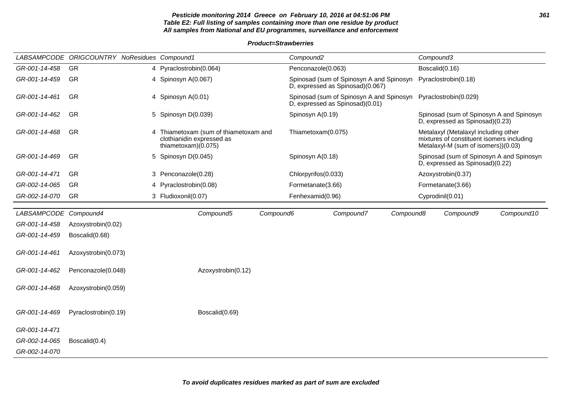# **Pesticide monitoring 2014 Greece on February 10, 2016 at 04:51:06 PM 361 Table E2: Full listing of samples containing more than one residue by product All samples from National and EU programmes, surveillance and enforcement**

#### **Product=Strawberries**

|                       | LABSAMPCODE ORIGCOUNTRY NoResidues Compound1 |                                                                                         | Compound <sub>2</sub>                                                        | Compound3                                                                                                                |  |  |
|-----------------------|----------------------------------------------|-----------------------------------------------------------------------------------------|------------------------------------------------------------------------------|--------------------------------------------------------------------------------------------------------------------------|--|--|
| GR-001-14-458         | <b>GR</b>                                    | 4 Pyraclostrobin(0.064)                                                                 | Penconazole(0.063)                                                           | Boscalid(0.16)                                                                                                           |  |  |
| GR-001-14-459         | GR                                           | 4 Spinosyn A(0.067)                                                                     | Spinosad (sum of Spinosyn A and Spinosyn<br>D, expressed as Spinosad)(0.067) | Pyraclostrobin(0.18)                                                                                                     |  |  |
| GR-001-14-461         | GR                                           | 4 Spinosyn A(0.01)                                                                      | Spinosad (sum of Spinosyn A and Spinosyn<br>D, expressed as Spinosad)(0.01)  | Pyraclostrobin(0.029)                                                                                                    |  |  |
| GR-001-14-462         | GR                                           | 5 Spinosyn D(0.039)                                                                     | Spinosyn A(0.19)                                                             |                                                                                                                          |  |  |
| GR-001-14-468         | GR                                           | Thiametoxam (sum of thiametoxam and<br>clothianidin expressed as<br>thiametoxam)(0.075) | Thiametoxam(0.075)                                                           | Metalaxyl (Metalaxyl including other<br>mixtures of constituent isomers including<br>Metalaxyl-M (sum of isomers))(0.03) |  |  |
| GR-001-14-469         | GR                                           | 5 Spinosyn D(0.045)                                                                     | Spinosyn A(0.18)                                                             | Spinosad (sum of Spinosyn A and Spinosyn<br>D, expressed as Spinosad)(0.22)                                              |  |  |
| GR-001-14-471         | <b>GR</b>                                    | 3 Penconazole(0.28)                                                                     | Chlorpyrifos(0.033)                                                          | Azoxystrobin(0.37)                                                                                                       |  |  |
| GR-002-14-065         | <b>GR</b>                                    | 4 Pyraclostrobin(0.08)                                                                  | Formetanate(3.66)                                                            | Formetanate(3.66)                                                                                                        |  |  |
| GR-002-14-070         | <b>GR</b>                                    | 3 Fludioxonil(0.07)                                                                     | Fenhexamid(0.96)                                                             | Cyprodinil(0.01)                                                                                                         |  |  |
| LABSAMPCODE Compound4 |                                              | Compound5                                                                               | Compound6<br>Compound7<br>Compound8                                          | Compound10<br>Compound9                                                                                                  |  |  |
| GR-001-14-458         | Azoxystrobin(0.02)                           |                                                                                         |                                                                              |                                                                                                                          |  |  |
| GR-001-14-459         | Boscalid(0.68)                               |                                                                                         |                                                                              |                                                                                                                          |  |  |
| GR-001-14-461         | Azoxystrobin(0.073)                          |                                                                                         |                                                                              |                                                                                                                          |  |  |
| GR-001-14-462         | Penconazole(0.048)                           | Azoxystrobin(0.12)                                                                      |                                                                              |                                                                                                                          |  |  |
| GR-001-14-468         | Azoxystrobin(0.059)                          |                                                                                         |                                                                              |                                                                                                                          |  |  |
| GR-001-14-469         | Pyraclostrobin(0.19)                         | Boscalid(0.69)                                                                          |                                                                              |                                                                                                                          |  |  |
| GR-001-14-471         |                                              |                                                                                         |                                                                              |                                                                                                                          |  |  |
| GR-002-14-065         | Boscalid(0.4)                                |                                                                                         |                                                                              |                                                                                                                          |  |  |
| GR-002-14-070         |                                              |                                                                                         |                                                                              |                                                                                                                          |  |  |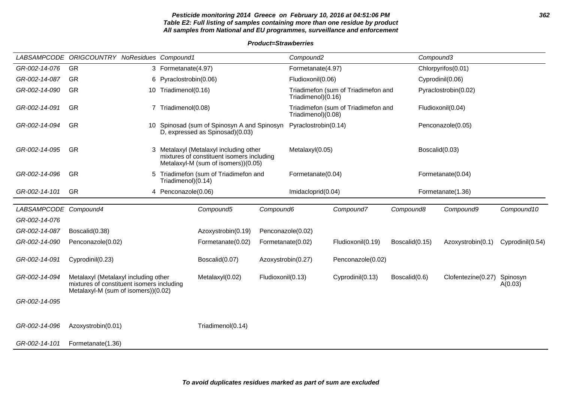### **Pesticide monitoring 2014 Greece on February 10, 2016 at 04:51:06 PM 362 Table E2: Full listing of samples containing more than one residue by product All samples from National and EU programmes, surveillance and enforcement**

### **Product=Strawberries**

|                       | LABSAMPCODE ORIGCOUNTRY NoResidues Compound1                                                                             |   |                        |                                                                                                                            |                    | Compound <sub>2</sub> |                                     | Compound3         |                      |                     |
|-----------------------|--------------------------------------------------------------------------------------------------------------------------|---|------------------------|----------------------------------------------------------------------------------------------------------------------------|--------------------|-----------------------|-------------------------------------|-------------------|----------------------|---------------------|
| GR-002-14-076         | GR                                                                                                                       |   | 3 Formetanate(4.97)    |                                                                                                                            |                    | Formetanate(4.97)     |                                     |                   | Chlorpyrifos(0.01)   |                     |
| GR-002-14-087         | GR                                                                                                                       |   | 6 Pyraclostrobin(0.06) |                                                                                                                            |                    | Fludioxonil(0.06)     |                                     |                   | Cyprodinil(0.06)     |                     |
| GR-002-14-090         | GR                                                                                                                       |   | 10 Triadimenol(0.16)   |                                                                                                                            |                    | Triadimenol)(0.16)    | Triadimefon (sum of Triadimefon and |                   | Pyraclostrobin(0.02) |                     |
| GR-002-14-091         | GR                                                                                                                       |   | 7 Triadimenol(0.08)    | Spinosad (sum of Spinosyn A and Spinosyn<br>D, expressed as Spinosad)(0.03)                                                |                    | Triadimenol)(0.08)    | Triadimefon (sum of Triadimefon and | Fludioxonil(0.04) |                      |                     |
| GR-002-14-094         | <b>GR</b>                                                                                                                |   |                        |                                                                                                                            |                    | Pyraclostrobin(0.14)  |                                     |                   | Penconazole(0.05)    |                     |
| GR-002-14-095         | <b>GR</b>                                                                                                                |   |                        | 3 Metalaxyl (Metalaxyl including other<br>mixtures of constituent isomers including<br>Metalaxyl-M (sum of isomers))(0.05) |                    | Metalaxyl(0.05)       |                                     |                   | Boscalid(0.03)       |                     |
| GR-002-14-096         | GR                                                                                                                       | 5 | Triadimenol)(0.14)     | Triadimefon (sum of Triadimefon and                                                                                        |                    | Formetanate(0.04)     |                                     |                   | Formetanate(0.04)    |                     |
| GR-002-14-101         | GR                                                                                                                       |   | 4 Penconazole(0.06)    |                                                                                                                            |                    | Imidacloprid(0.04)    |                                     |                   | Formetanate(1.36)    |                     |
| LABSAMPCODE Compound4 |                                                                                                                          |   |                        | Compound5                                                                                                                  | Compound6          |                       | Compound7                           | Compound8         | Compound9            | Compound10          |
| GR-002-14-076         |                                                                                                                          |   |                        |                                                                                                                            |                    |                       |                                     |                   |                      |                     |
| GR-002-14-087         | Boscalid(0.38)                                                                                                           |   |                        | Azoxystrobin(0.19)                                                                                                         | Penconazole(0.02)  |                       |                                     |                   |                      |                     |
| GR-002-14-090         | Penconazole(0.02)                                                                                                        |   |                        | Formetanate(0.02)                                                                                                          | Formetanate(0.02)  |                       | Fludioxonil(0.19)                   | Boscalid(0.15)    | Azoxystrobin(0.1)    | Cyprodinil(0.54)    |
| GR-002-14-091         | Cyprodinil(0.23)                                                                                                         |   |                        | Boscalid(0.07)                                                                                                             | Azoxystrobin(0.27) |                       | Penconazole(0.02)                   |                   |                      |                     |
| GR-002-14-094         | Metalaxyl (Metalaxyl including other<br>mixtures of constituent isomers including<br>Metalaxyl-M (sum of isomers))(0.02) |   |                        | Metalaxyl(0.02)                                                                                                            | Fludioxonil(0.13)  |                       | Cyprodinil(0.13)                    | Boscalid(0.6)     | Clofentezine(0.27)   | Spinosyn<br>A(0.03) |
| GR-002-14-095         |                                                                                                                          |   |                        |                                                                                                                            |                    |                       |                                     |                   |                      |                     |
| GR-002-14-096         | Azoxystrobin(0.01)                                                                                                       |   |                        | Triadimenol(0.14)                                                                                                          |                    |                       |                                     |                   |                      |                     |
| GR-002-14-101         | Formetanate(1.36)                                                                                                        |   |                        |                                                                                                                            |                    |                       |                                     |                   |                      |                     |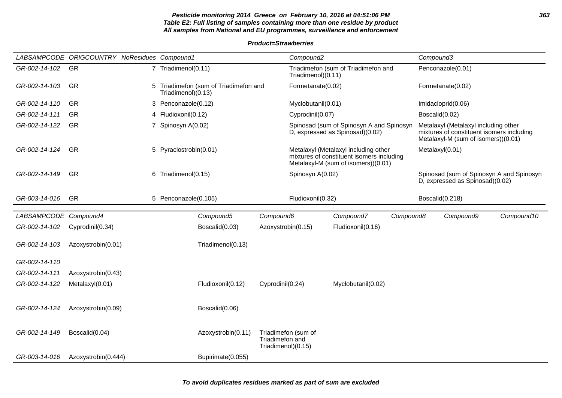### **Pesticide monitoring 2014 Greece on February 10, 2016 at 04:51:06 PM 363 Table E2: Full listing of samples containing more than one residue by product All samples from National and EU programmes, surveillance and enforcement**

**Product=Strawberries**

|                       | LABSAMPCODE ORIGCOUNTRY NoResidues Compound1 |                                                               |                                       | Compound <sub>2</sub> |                                                                                                                          |           | Compound3      |                                                                                                                          |                                          |
|-----------------------|----------------------------------------------|---------------------------------------------------------------|---------------------------------------|-----------------------|--------------------------------------------------------------------------------------------------------------------------|-----------|----------------|--------------------------------------------------------------------------------------------------------------------------|------------------------------------------|
| GR-002-14-102         | GR                                           | 7 Triadimenol(0.11)                                           |                                       | Triadimenol $(0.11)$  | Triadimefon (sum of Triadimefon and                                                                                      |           |                | Penconazole(0.01)                                                                                                        |                                          |
| GR-002-14-103         | GR                                           | 5 Triadimefon (sum of Triadimefon and<br>Triadimenol $(0.13)$ |                                       | Formetanate(0.02)     |                                                                                                                          |           |                | Formetanate(0.02)                                                                                                        |                                          |
| GR-002-14-110         | GR                                           | 3 Penconazole(0.12)                                           |                                       | Myclobutanil(0.01)    |                                                                                                                          |           |                | Imidacloprid(0.06)                                                                                                       |                                          |
| GR-002-14-111         | <b>GR</b>                                    | 4 Fludioxonil(0.12)                                           |                                       | Cyprodinil(0.07)      |                                                                                                                          |           | Boscalid(0.02) |                                                                                                                          |                                          |
| GR-002-14-122         | GR                                           | 7 Spinosyn A(0.02)                                            |                                       |                       | Spinosad (sum of Spinosyn A and Spinosyn<br>D, expressed as Spinosad)(0.02)                                              |           |                | Metalaxyl (Metalaxyl including other<br>mixtures of constituent isomers including<br>Metalaxyl-M (sum of isomers))(0.01) |                                          |
| GR-002-14-124         | <b>GR</b>                                    | 5 Pyraclostrobin(0.01)                                        |                                       |                       | Metalaxyl (Metalaxyl including other<br>mixtures of constituent isomers including<br>Metalaxyl-M (sum of isomers))(0.01) |           |                | Metalaxyl(0.01)                                                                                                          |                                          |
| GR-002-14-149         | <b>GR</b>                                    | 6 Triadimenol(0.15)                                           |                                       | Spinosyn A(0.02)      |                                                                                                                          |           |                | D, expressed as Spinosad)(0.02)                                                                                          | Spinosad (sum of Spinosyn A and Spinosyn |
| GR-003-14-016         | <b>GR</b>                                    | 5 Penconazole(0.105)                                          |                                       | Fludioxonil(0.32)     |                                                                                                                          |           |                | Boscalid(0.218)                                                                                                          |                                          |
| LABSAMPCODE Compound4 |                                              | Compound5                                                     | Compound6                             |                       | Compound7                                                                                                                | Compound8 |                | Compound9                                                                                                                | Compound10                               |
| GR-002-14-102         | Cyprodinil(0.34)                             | Boscalid(0.03)                                                | Azoxystrobin(0.15)                    |                       | Fludioxonil(0.16)                                                                                                        |           |                |                                                                                                                          |                                          |
| GR-002-14-103         | Azoxystrobin(0.01)                           | Triadimenol(0.13)                                             |                                       |                       |                                                                                                                          |           |                |                                                                                                                          |                                          |
| GR-002-14-110         |                                              |                                                               |                                       |                       |                                                                                                                          |           |                |                                                                                                                          |                                          |
| GR-002-14-111         | Azoxystrobin(0.43)                           |                                                               |                                       |                       |                                                                                                                          |           |                |                                                                                                                          |                                          |
| GR-002-14-122         | Metalaxyl(0.01)                              | Fludioxonil(0.12)                                             | Cyprodinil(0.24)                      |                       | Myclobutanil(0.02)                                                                                                       |           |                |                                                                                                                          |                                          |
| GR-002-14-124         | Azoxystrobin(0.09)                           | Boscalid(0.06)                                                |                                       |                       |                                                                                                                          |           |                |                                                                                                                          |                                          |
| GR-002-14-149         | Boscalid(0.04)                               | Azoxystrobin(0.11)                                            | Triadimefon and<br>Triadimenol)(0.15) | Triadimefon (sum of   |                                                                                                                          |           |                |                                                                                                                          |                                          |
| GR-003-14-016         | Azoxystrobin(0.444)                          | Bupirimate(0.055)                                             |                                       |                       |                                                                                                                          |           |                |                                                                                                                          |                                          |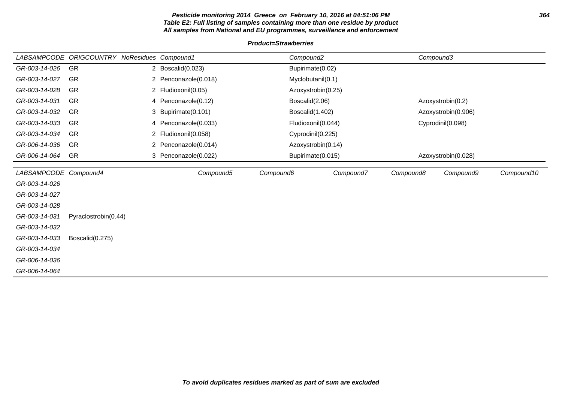### **Pesticide monitoring 2014 Greece on February 10, 2016 at 04:51:06 PM 364 Table E2: Full listing of samples containing more than one residue by product All samples from National and EU programmes, surveillance and enforcement**

### **Product=Strawberries**

| <b>LABSAMPCODE</b>    | <b>ORIGCOUNTRY NoResidues Compound1</b> |                      | Compound <sub>2</sub> |           | Compound3           |                     |            |
|-----------------------|-----------------------------------------|----------------------|-----------------------|-----------|---------------------|---------------------|------------|
| GR-003-14-026         | GR                                      | 2 Boscalid(0.023)    | Bupirimate(0.02)      |           |                     |                     |            |
| GR-003-14-027         | <b>GR</b>                               | 2 Penconazole(0.018) | Myclobutanil(0.1)     |           |                     |                     |            |
| GR-003-14-028         | GR                                      | 2 Fludioxonil(0.05)  | Azoxystrobin(0.25)    |           |                     |                     |            |
| GR-003-14-031         | <b>GR</b>                               | 4 Penconazole(0.12)  | Boscalid(2.06)        |           |                     | Azoxystrobin(0.2)   |            |
| GR-003-14-032         | <b>GR</b>                               | 3 Bupirimate(0.101)  | Boscalid(1.402)       |           | Azoxystrobin(0.906) |                     |            |
| GR-003-14-033         | <b>GR</b>                               | 4 Penconazole(0.033) | Fludioxonil(0.044)    |           |                     | Cyprodinil(0.098)   |            |
| GR-003-14-034         | GR                                      | 2 Fludioxonil(0.058) | Cyprodinil(0.225)     |           |                     |                     |            |
| GR-006-14-036         | GR                                      | 2 Penconazole(0.014) | Azoxystrobin(0.14)    |           |                     |                     |            |
| GR-006-14-064         | GR                                      | 3 Penconazole(0.022) | Bupirimate(0.015)     |           |                     | Azoxystrobin(0.028) |            |
|                       |                                         |                      |                       |           |                     |                     |            |
| LABSAMPCODE Compound4 |                                         | Compound5            | Compound6             | Compound7 | Compound8           | Compound9           | Compound10 |
| GR-003-14-026         |                                         |                      |                       |           |                     |                     |            |
| GR-003-14-027         |                                         |                      |                       |           |                     |                     |            |
| GR-003-14-028         |                                         |                      |                       |           |                     |                     |            |
| GR-003-14-031         | Pyraclostrobin(0.44)                    |                      |                       |           |                     |                     |            |
| GR-003-14-032         |                                         |                      |                       |           |                     |                     |            |
| GR-003-14-033         | Boscalid(0.275)                         |                      |                       |           |                     |                     |            |
| GR-003-14-034         |                                         |                      |                       |           |                     |                     |            |
| GR-006-14-036         |                                         |                      |                       |           |                     |                     |            |
| GR-006-14-064         |                                         |                      |                       |           |                     |                     |            |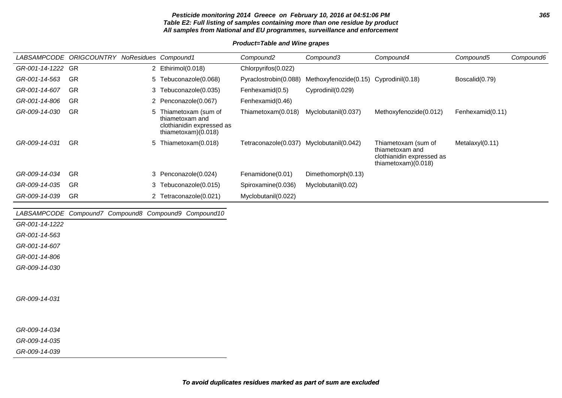### **Pesticide monitoring 2014 Greece on February 10, 2016 at 04:51:06 PM 365 Table E2: Full listing of samples containing more than one residue by product All samples from National and EU programmes, surveillance and enforcement**

### **Product=Table and Wine grapes**

|                   | LABSAMPCODE ORIGCOUNTRY NoResidues Compound1 |    |                                                                                              | Compound2             | Compound3                              | Compound4                                                                                    | Compound5        | Compound6 |
|-------------------|----------------------------------------------|----|----------------------------------------------------------------------------------------------|-----------------------|----------------------------------------|----------------------------------------------------------------------------------------------|------------------|-----------|
| GR-001-14-1222 GR |                                              |    | 2 Ethirimol(0.018)                                                                           | Chlorpyrifos(0.022)   |                                        |                                                                                              |                  |           |
| GR-001-14-563     | -GR                                          |    | 5 Tebuconazole(0.068)                                                                        | Pyraclostrobin(0.088) | Methoxyfenozide(0.15) Cyprodinil(0.18) |                                                                                              | Boscalid(0.79)   |           |
| GR-001-14-607     | GR                                           |    | 3 Tebuconazole(0.035)                                                                        | Fenhexamid(0.5)       | Cyprodinil(0.029)                      |                                                                                              |                  |           |
| GR-001-14-806     | GR                                           |    | 2 Penconazole(0.067)                                                                         | Fenhexamid(0.46)      |                                        |                                                                                              |                  |           |
| GR-009-14-030     | GR                                           | 5. | Thiametoxam (sum of<br>thiametoxam and<br>clothianidin expressed as<br>thiametoxam $(0.018)$ | Thiametoxam(0.018)    | Myclobutanil(0.037)                    | Methoxyfenozide(0.012)                                                                       | Fenhexamid(0.11) |           |
| GR-009-14-031     | GR                                           |    | 5 Thiametoxam(0.018)                                                                         | Tetraconazole(0.037)  | Myclobutanil(0.042)                    | Thiametoxam (sum of<br>thiametoxam and<br>clothianidin expressed as<br>thiametoxam $(0.018)$ | Metalaxyl(0.11)  |           |
| GR-009-14-034     | GR                                           |    | 3 Penconazole(0.024)                                                                         | Fenamidone(0.01)      | Dimethomorph(0.13)                     |                                                                                              |                  |           |
| GR-009-14-035     | GR                                           |    | 3 Tebuconazole (0.015)                                                                       | Spiroxamine(0.036)    | Myclobutanil(0.02)                     |                                                                                              |                  |           |
| GR-009-14-039     | GR                                           |    | 2 Tetraconazole(0.021)                                                                       | Myclobutanil(0.022)   |                                        |                                                                                              |                  |           |

LABSAMPCODE Compound7 Compound8 Compound9 Compound10

GR-001-14-1222

GR-001-14-563

GR-001-14-607

GR-001-14-806

GR-009-14-030

GR-009-14-031

GR-009-14-034

GR-009-14-035

GR-009-14-039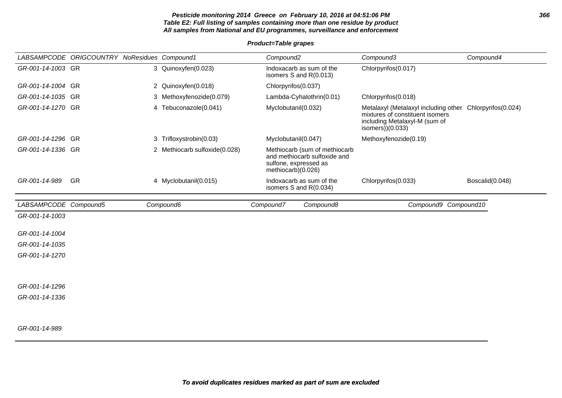### **Pesticide monitoring 2014 Greece on February 10, 2016 at 04:51:06 PM 366 Table E2: Full listing of samples containing more than one residue by product All samples from National and EU programmes, surveillance and enforcement**

|                       | LABSAMPCODE ORIGCOUNTRY NoResidues Compound1 |                               |                                            | Compound <sub>2</sub>                                                                                        | Compound3                                                                                                                                        | Compound4       |
|-----------------------|----------------------------------------------|-------------------------------|--------------------------------------------|--------------------------------------------------------------------------------------------------------------|--------------------------------------------------------------------------------------------------------------------------------------------------|-----------------|
| GR-001-14-1003 GR     |                                              | 3 Quinoxyfen(0.023)           |                                            | Indoxacarb as sum of the<br>isomers S and R(0.013)                                                           | Chlorpyrifos(0.017)                                                                                                                              |                 |
| GR-001-14-1004 GR     |                                              | 2 Quinoxyfen(0.018)           |                                            | Chlorpyrifos(0.037)                                                                                          |                                                                                                                                                  |                 |
| GR-001-14-1035 GR     |                                              | 3 Methoxyfenozide(0.079)      |                                            | Lambda-Cyhalothrin(0.01)                                                                                     | Chlorpyrifos(0.018)                                                                                                                              |                 |
| GR-001-14-1270 GR     |                                              | 4 Tebuconazole(0.041)         | Myclobutanil(0.032)<br>Myclobutanil(0.047) |                                                                                                              | Metalaxyl (Metalaxyl including other Chlorpyrifos(0.024)<br>mixtures of constituent isomers<br>including Metalaxyl-M (sum of<br>isomers))(0.033) |                 |
| GR-001-14-1296 GR     |                                              | 3 Trifloxystrobin(0.03)       |                                            |                                                                                                              | Methoxyfenozide(0.19)                                                                                                                            |                 |
| GR-001-14-1336 GR     |                                              | 2 Methiocarb sulfoxide(0.028) |                                            | Methiocarb (sum of methiocarb<br>and methiocarb sulfoxide and<br>sulfone, expressed as<br>methiocarb)(0.026) |                                                                                                                                                  |                 |
| GR-001-14-989         | GR                                           | 4 Myclobutanil(0.015)         |                                            | Indoxacarb as sum of the<br>isomers S and R(0.034)                                                           | Chlorpyrifos(0.033)                                                                                                                              | Boscalid(0.048) |
| LABSAMPCODE Compound5 |                                              | Compound6                     |                                            | Compound7<br>Compound8                                                                                       | Compound9 Compound10                                                                                                                             |                 |
|                       |                                              |                               |                                            |                                                                                                              |                                                                                                                                                  |                 |
| GR-001-14-1003        |                                              |                               |                                            |                                                                                                              |                                                                                                                                                  |                 |
| GR-001-14-1004        |                                              |                               |                                            |                                                                                                              |                                                                                                                                                  |                 |
| GR-001-14-1035        |                                              |                               |                                            |                                                                                                              |                                                                                                                                                  |                 |
| GR-001-14-1270        |                                              |                               |                                            |                                                                                                              |                                                                                                                                                  |                 |
|                       |                                              |                               |                                            |                                                                                                              |                                                                                                                                                  |                 |
| GR-001-14-1296        |                                              |                               |                                            |                                                                                                              |                                                                                                                                                  |                 |
| GR-001-14-1336        |                                              |                               |                                            |                                                                                                              |                                                                                                                                                  |                 |
|                       |                                              |                               |                                            |                                                                                                              |                                                                                                                                                  |                 |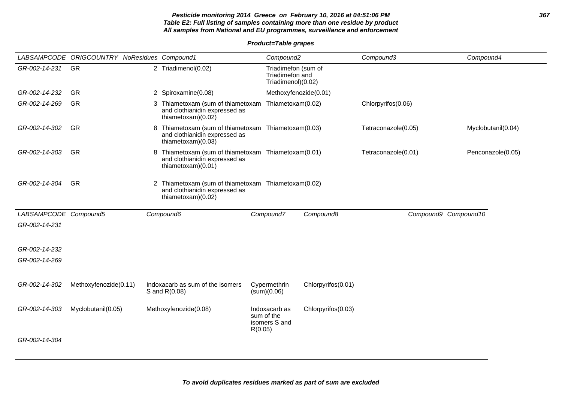### **Pesticide monitoring 2014 Greece on February 10, 2016 at 04:51:06 PM 367 Table E2: Full listing of samples containing more than one residue by product All samples from National and EU programmes, surveillance and enforcement**

|                       | LABSAMPCODE ORIGCOUNTRY NoResidues Compound1 |                                                                                                              | Compound <sub>2</sub>                                        |                    | Compound3           | Compound4            |
|-----------------------|----------------------------------------------|--------------------------------------------------------------------------------------------------------------|--------------------------------------------------------------|--------------------|---------------------|----------------------|
| GR-002-14-231         | GR                                           | 2 Triadimenol(0.02)                                                                                          | Triadimefon (sum of<br>Triadimefon and<br>Triadimenol)(0.02) |                    |                     |                      |
| GR-002-14-232         | GR                                           | 2 Spiroxamine(0.08)                                                                                          | Methoxyfenozide(0.01)                                        |                    |                     |                      |
| GR-002-14-269         | <b>GR</b>                                    | 3 Thiametoxam (sum of thiametoxam Thiametoxam(0.02)<br>and clothianidin expressed as<br>thiametoxam)(0.02)   |                                                              |                    | Chlorpyrifos(0.06)  |                      |
| GR-002-14-302         | <b>GR</b>                                    | 8 Thiametoxam (sum of thiametoxam Thiametoxam(0.03)<br>and clothianidin expressed as<br>thiametoxam)(0.03)   |                                                              |                    | Tetraconazole(0.05) | Myclobutanil(0.04)   |
| GR-002-14-303         | <b>GR</b>                                    | 8 Thiametoxam (sum of thiametoxam Thiametoxam(0.01)<br>and clothianidin expressed as<br>thiametoxam $(0.01)$ |                                                              |                    | Tetraconazole(0.01) | Penconazole(0.05)    |
| GR-002-14-304         | <b>GR</b>                                    | 2 Thiametoxam (sum of thiametoxam Thiametoxam(0.02)<br>and clothianidin expressed as<br>thiametoxam)(0.02)   |                                                              |                    |                     |                      |
| LABSAMPCODE Compound5 |                                              | Compound6                                                                                                    | Compound7                                                    | Compound8          |                     | Compound9 Compound10 |
| GR-002-14-231         |                                              |                                                                                                              |                                                              |                    |                     |                      |
|                       |                                              |                                                                                                              |                                                              |                    |                     |                      |
| GR-002-14-232         |                                              |                                                                                                              |                                                              |                    |                     |                      |
| GR-002-14-269         |                                              |                                                                                                              |                                                              |                    |                     |                      |
|                       |                                              |                                                                                                              |                                                              |                    |                     |                      |
| GR-002-14-302         | Methoxyfenozide(0.11)                        | Indoxacarb as sum of the isomers<br>S and R(0.08)                                                            | Cypermethrin<br>(sum)(0.06)                                  | Chlorpyrifos(0.01) |                     |                      |
| GR-002-14-303         | Myclobutanil(0.05)                           | Methoxyfenozide(0.08)                                                                                        | Indoxacarb as<br>sum of the<br>isomers S and                 | Chlorpyrifos(0.03) |                     |                      |
|                       |                                              |                                                                                                              | R(0.05)                                                      |                    |                     |                      |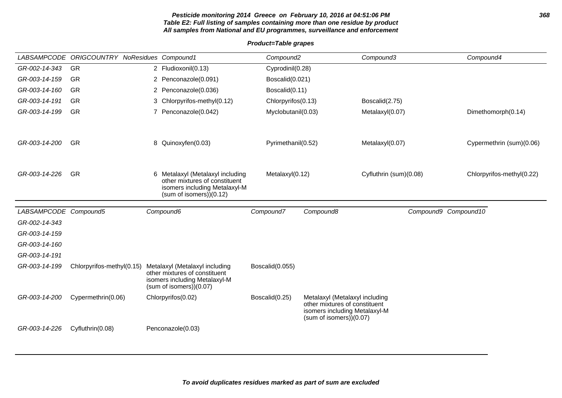## **Pesticide monitoring 2014 Greece on February 10, 2016 at 04:51:06 PM 368 Table E2: Full listing of samples containing more than one residue by product All samples from National and EU programmes, surveillance and enforcement**

|                       | LABSAMPCODE ORIGCOUNTRY NoResidues Compound1 |                                                                                                                              | Compound <sub>2</sub> |                                                                                                                            | Compound3              | Compound4                 |
|-----------------------|----------------------------------------------|------------------------------------------------------------------------------------------------------------------------------|-----------------------|----------------------------------------------------------------------------------------------------------------------------|------------------------|---------------------------|
| GR-002-14-343         | <b>GR</b>                                    | 2 Fludioxonil(0.13)                                                                                                          | Cyprodinil(0.28)      |                                                                                                                            |                        |                           |
| GR-003-14-159         | <b>GR</b>                                    | 2 Penconazole(0.091)                                                                                                         | Boscalid(0.021)       |                                                                                                                            |                        |                           |
| GR-003-14-160         | <b>GR</b>                                    | 2 Penconazole(0.036)                                                                                                         | Boscalid(0.11)        |                                                                                                                            |                        |                           |
| GR-003-14-191         | <b>GR</b>                                    | 3 Chlorpyrifos-methyl(0.12)                                                                                                  | Chlorpyrifos(0.13)    |                                                                                                                            | Boscalid(2.75)         |                           |
| GR-003-14-199         | <b>GR</b>                                    | 7 Penconazole(0.042)                                                                                                         | Myclobutanil(0.03)    |                                                                                                                            | Metalaxyl(0.07)        | Dimethomorph(0.14)        |
| GR-003-14-200         | GR                                           | 8 Quinoxyfen(0.03)                                                                                                           | Pyrimethanil(0.52)    |                                                                                                                            | Metalaxyl(0.07)        | Cypermethrin (sum)(0.06)  |
|                       |                                              |                                                                                                                              |                       |                                                                                                                            |                        |                           |
| GR-003-14-226         | <b>GR</b>                                    | 6 Metalaxyl (Metalaxyl including<br>other mixtures of constituent<br>isomers including Metalaxyl-M<br>(sum of isomers)(0.12) | Metalaxyl(0.12)       |                                                                                                                            | Cyfluthrin (sum)(0.08) | Chlorpyrifos-methyl(0.22) |
| LABSAMPCODE Compound5 |                                              | Compound6                                                                                                                    | Compound7             | Compound8                                                                                                                  |                        | Compound9 Compound10      |
| GR-002-14-343         |                                              |                                                                                                                              |                       |                                                                                                                            |                        |                           |
| GR-003-14-159         |                                              |                                                                                                                              |                       |                                                                                                                            |                        |                           |
| GR-003-14-160         |                                              |                                                                                                                              |                       |                                                                                                                            |                        |                           |
| GR-003-14-191         |                                              |                                                                                                                              |                       |                                                                                                                            |                        |                           |
| GR-003-14-199         | Chlorpyrifos-methyl(0.15)                    | Metalaxyl (Metalaxyl including<br>other mixtures of constituent<br>isomers including Metalaxyl-M<br>(sum of isomers)(0.07)   | Boscalid(0.055)       |                                                                                                                            |                        |                           |
| GR-003-14-200         | Cypermethrin(0.06)                           | Chlorpyrifos(0.02)                                                                                                           | Boscalid(0.25)        | Metalaxyl (Metalaxyl including<br>other mixtures of constituent<br>isomers including Metalaxyl-M<br>(sum of isomers)(0.07) |                        |                           |
| GR-003-14-226         | Cyfluthrin(0.08)                             | Penconazole(0.03)                                                                                                            |                       |                                                                                                                            |                        |                           |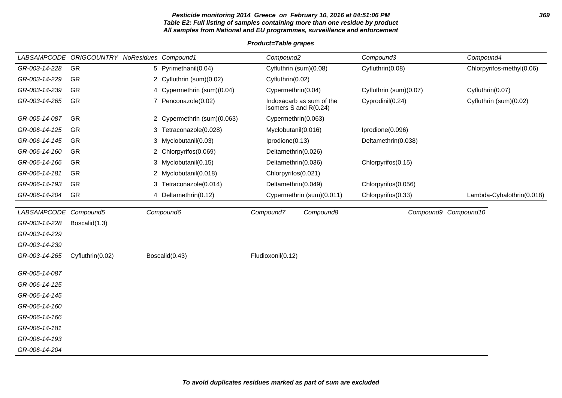### **Pesticide monitoring 2014 Greece on February 10, 2016 at 04:51:06 PM 369 Table E2: Full listing of samples containing more than one residue by product All samples from National and EU programmes, surveillance and enforcement**

|                       | LABSAMPCODE ORIGCOUNTRY NoResidues Compound1 |   |                             | Compound <sub>2</sub>  |                           | Compound3              |                      | Compound4                 |
|-----------------------|----------------------------------------------|---|-----------------------------|------------------------|---------------------------|------------------------|----------------------|---------------------------|
| GR-003-14-228         | GR                                           |   | 5 Pyrimethanil(0.04)        | Cyfluthrin (sum)(0.08) |                           | Cyfluthrin(0.08)       |                      | Chlorpyrifos-methyl(0.06) |
| GR-003-14-229         | GR                                           |   | 2 Cyfluthrin (sum)(0.02)    | Cyfluthrin(0.02)       |                           |                        |                      |                           |
| GR-003-14-239         | GR                                           |   | 4 Cypermethrin (sum)(0.04)  | Cypermethrin(0.04)     |                           | Cyfluthrin (sum)(0.07) |                      | Cyfluthrin(0.07)          |
| GR-003-14-265         | GR                                           |   | 7 Penconazole(0.02)         | isomers S and R(0.24)  | Indoxacarb as sum of the  | Cyprodinil(0.24)       |                      | Cyfluthrin (sum)(0.02)    |
| GR-005-14-087         | GR                                           |   | 2 Cypermethrin (sum)(0.063) | Cypermethrin(0.063)    |                           |                        |                      |                           |
| GR-006-14-125         | GR                                           |   | 3 Tetraconazole(0.028)      | Myclobutanil(0.016)    |                           | Iprodione(0.096)       |                      |                           |
| GR-006-14-145         | GR                                           |   | 3 Myclobutanil(0.03)        | Iprodione(0.13)        |                           | Deltamethrin(0.038)    |                      |                           |
| GR-006-14-160         | GR                                           |   | 2 Chlorpyrifos(0.069)       | Deltamethrin(0.026)    |                           |                        |                      |                           |
| GR-006-14-166         | GR                                           |   | 3 Myclobutanil(0.15)        | Deltamethrin(0.036)    |                           | Chlorpyrifos(0.15)     |                      |                           |
| GR-006-14-181         | GR                                           |   | 2 Myclobutanil(0.018)       | Chlorpyrifos(0.021)    |                           |                        |                      |                           |
| GR-006-14-193         | GR                                           | 3 | Tetraconazole(0.014)        | Deltamethrin(0.049)    |                           | Chlorpyrifos(0.056)    |                      |                           |
| GR-006-14-204         | GR                                           |   | 4 Deltamethrin(0.12)        |                        | Cypermethrin (sum)(0.011) | Chlorpyrifos(0.33)     |                      | Lambda-Cyhalothrin(0.018) |
| LABSAMPCODE Compound5 |                                              |   | Compound6                   | Compound7              | Compound8                 |                        | Compound9 Compound10 |                           |
| GR-003-14-228         | Boscalid(1.3)                                |   |                             |                        |                           |                        |                      |                           |
| GR-003-14-229         |                                              |   |                             |                        |                           |                        |                      |                           |
| GR-003-14-239         |                                              |   |                             |                        |                           |                        |                      |                           |
| GR-003-14-265         | Cyfluthrin(0.02)                             |   | Boscalid(0.43)              | Fludioxonil(0.12)      |                           |                        |                      |                           |
|                       |                                              |   |                             |                        |                           |                        |                      |                           |
| GR-005-14-087         |                                              |   |                             |                        |                           |                        |                      |                           |
| GR-006-14-125         |                                              |   |                             |                        |                           |                        |                      |                           |
| GR-006-14-145         |                                              |   |                             |                        |                           |                        |                      |                           |
| GR-006-14-160         |                                              |   |                             |                        |                           |                        |                      |                           |
| GR-006-14-166         |                                              |   |                             |                        |                           |                        |                      |                           |
| GR-006-14-181         |                                              |   |                             |                        |                           |                        |                      |                           |
| GR-006-14-193         |                                              |   |                             |                        |                           |                        |                      |                           |
| GR-006-14-204         |                                              |   |                             |                        |                           |                        |                      |                           |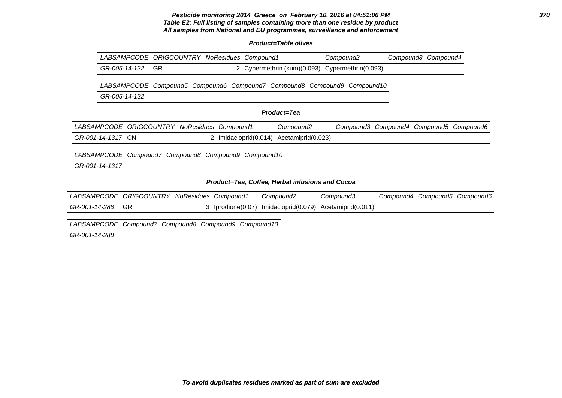### **Pesticide monitoring 2014 Greece on February 10, 2016 at 04:51:06 PM 370 Table E2: Full listing of samples containing more than one residue by product All samples from National and EU programmes, surveillance and enforcement**

## **Product=Table olives**

|                                                      | LABSAMPCODE ORIGCOUNTRY NoResidues Compound1 |                                                              |                      |                     |                                                 |           | Compound2           |                                         | Compound3 Compound4 |                               |
|------------------------------------------------------|----------------------------------------------|--------------------------------------------------------------|----------------------|---------------------|-------------------------------------------------|-----------|---------------------|-----------------------------------------|---------------------|-------------------------------|
| GR-005-14-132                                        | GR.                                          |                                                              |                      |                     | 2 Cypermethrin (sum)(0.093)                     |           | Cypermethrin(0.093) |                                         |                     |                               |
| <i>LABSAMPCODE</i>                                   |                                              | Compound5 Compound6 Compound7 Compound8 Compound9 Compound10 |                      |                     |                                                 |           |                     |                                         |                     |                               |
| GR-005-14-132                                        |                                              |                                                              |                      |                     |                                                 |           |                     |                                         |                     |                               |
|                                                      |                                              |                                                              |                      |                     | Product=Tea                                     |           |                     |                                         |                     |                               |
| LABSAMPCODE ORIGCOUNTRY NoResidues Compound1         |                                              |                                                              |                      |                     | Compound <sub>2</sub>                           |           |                     | Compound3 Compound4 Compound5 Compound6 |                     |                               |
| GR-001-14-1317 CN                                    |                                              |                                                              | $\mathbf{2}^{\circ}$ | Imidacloprid(0.014) | Acetamiprid(0.023)                              |           |                     |                                         |                     |                               |
| LABSAMPCODE Compound7 Compound8 Compound9            |                                              |                                                              |                      | Compound10          |                                                 |           |                     |                                         |                     |                               |
| GR-001-14-1317                                       |                                              |                                                              |                      |                     |                                                 |           |                     |                                         |                     |                               |
|                                                      |                                              |                                                              |                      |                     | Product=Tea, Coffee, Herbal infusions and Cocoa |           |                     |                                         |                     |                               |
| <i>LABSAMPCODE</i>                                   | <b>ORIGCOUNTRY NoResidues Compound1</b>      |                                                              |                      |                     | Compound2                                       | Compound3 |                     |                                         |                     | Compound4 Compound5 Compound6 |
| GR-001-14-288                                        | <b>GR</b>                                    |                                                              | 3 Iprodione(0.07)    |                     | Imidacloprid(0.079)                             |           | Acetamiprid(0.011)  |                                         |                     |                               |
| LABSAMPCODE Compound7 Compound8 Compound9 Compound10 |                                              |                                                              |                      |                     |                                                 |           |                     |                                         |                     |                               |

GR-001-14-288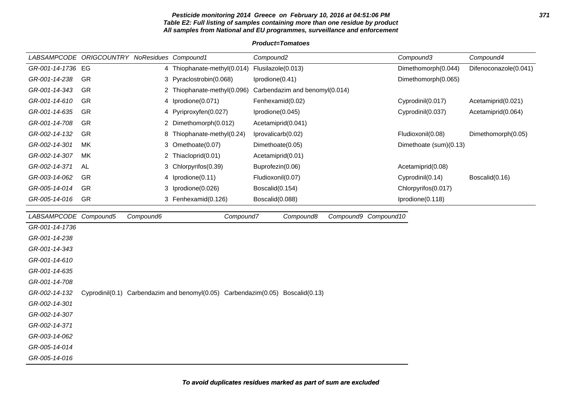### **Pesticide monitoring 2014 Greece on February 10, 2016 at 04:51:06 PM 371 Table E2: Full listing of samples containing more than one residue by product All samples from National and EU programmes, surveillance and enforcement**

## **Product=Tomatoes**

|                   | <i>LABSAMPCODE ORIGCOUNTRY</i> | NoResidues Compound1 |                             | Compound2                      | Compound3              | Compound4             |
|-------------------|--------------------------------|----------------------|-----------------------------|--------------------------------|------------------------|-----------------------|
| GR-001-14-1736 EG |                                |                      | 4 Thiophanate-methyl(0.014) | Flusilazole(0.013)             | Dimethomorph(0.044)    | Difenoconazole(0.041) |
| GR-001-14-238     | -GR                            |                      | 3 Pyraclostrobin(0.068)     | Iprodione(0.41)                | Dimethomorph(0.065)    |                       |
| GR-001-14-343     | -GR                            |                      | 2 Thiophanate-methyl(0.096) | Carbendazim and benomyl(0.014) |                        |                       |
| GR-001-14-610     | -GR                            |                      | 4 Iprodione(0.071)          | Fenhexamid(0.02)               | Cyprodinil(0.017)      | Acetamiprid(0.021)    |
| GR-001-14-635     | GR                             |                      | 4 Pyriproxyfen(0.027)       | Iprodione(0.045)               | Cyprodinil(0.037)      | Acetamiprid(0.064)    |
| GR-001-14-708     | <b>GR</b>                      | 2.                   | Dimethomorph(0.012)         | Acetamiprid(0.041)             |                        |                       |
| GR-002-14-132     | -GR                            |                      | 8 Thiophanate-methyl(0.24)  | Iprovalicarb(0.02)             | Fludioxonil(0.08)      | Dimethomorph(0.05)    |
| GR-002-14-301     | MK.                            |                      | 3 Omethoate(0.07)           | Dimethoate(0.05)               | Dimethoate (sum)(0.13) |                       |
| GR-002-14-307     | МK                             |                      | 2 Thiacloprid(0.01)         | Acetamiprid(0.01)              |                        |                       |
| GR-002-14-371     | AL                             |                      | 3 Chlorpyrifos (0.39)       | Buprofezin(0.06)               | Acetamiprid(0.08)      |                       |
| GR-003-14-062     | <b>GR</b>                      |                      | 4 Iprodione(0.11)           | Fludioxonil(0.07)              | Cyprodinil(0.14)       | Boscalid(0.16)        |
| GR-005-14-014     | -GR                            |                      | 3 Iprodione(0.026)          | Boscalid(0.154)                | Chlorpyrifos(0.017)    |                       |
| GR-005-14-016     | <b>GR</b>                      |                      | 3 Fenhexamid(0.126)         | Boscalid(0.088)                | Iprodione(0.118)       |                       |

| LABSAMPCODE Compound5 | Compound6                                                                      | Compound7 | Compound8 | Compound9 Compound10 |
|-----------------------|--------------------------------------------------------------------------------|-----------|-----------|----------------------|
| GR-001-14-1736        |                                                                                |           |           |                      |
| GR-001-14-238         |                                                                                |           |           |                      |
| GR-001-14-343         |                                                                                |           |           |                      |
| GR-001-14-610         |                                                                                |           |           |                      |
| GR-001-14-635         |                                                                                |           |           |                      |
| GR-001-14-708         |                                                                                |           |           |                      |
| GR-002-14-132         | Cyprodinil(0.1) Carbendazim and benomyl(0.05) Carbendazim(0.05) Boscalid(0.13) |           |           |                      |
| GR-002-14-301         |                                                                                |           |           |                      |
| GR-002-14-307         |                                                                                |           |           |                      |
| GR-002-14-371         |                                                                                |           |           |                      |
| GR-003-14-062         |                                                                                |           |           |                      |
| GR-005-14-014         |                                                                                |           |           |                      |
| GR-005-14-016         |                                                                                |           |           |                      |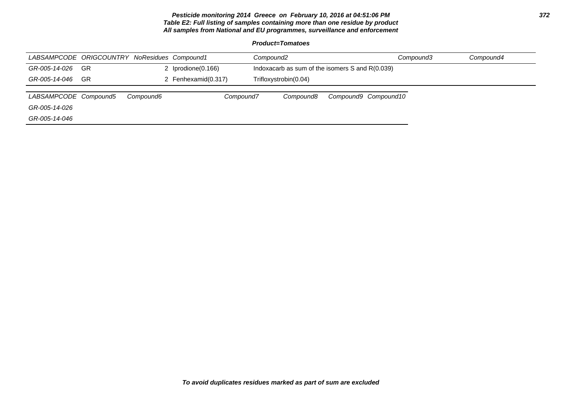### **Pesticide monitoring 2014 Greece on February 10, 2016 at 04:51:06 PM 372 Table E2: Full listing of samples containing more than one residue by product All samples from National and EU programmes, surveillance and enforcement**

**Product=Tomatoes**

| LABSAMPCODE ORIGCOUNTRY NoResidues Compound1 |      |           |                    | Compound2                                       |                      | Compound3 | Compound4 |
|----------------------------------------------|------|-----------|--------------------|-------------------------------------------------|----------------------|-----------|-----------|
| GR-005-14-026                                | - GR |           | 2 Iprodione(0.166) | Indoxacarb as sum of the isomers S and R(0.039) |                      |           |           |
| GR-005-14-046                                | -GR  |           | Fenhexamid(0.317)  | Trifloxystrobin(0.04)                           |                      |           |           |
|                                              |      |           |                    |                                                 |                      |           |           |
| LABSAMPCODE Compound5                        |      | Compound6 | Compound7          | Compound8                                       | Compound9 Compound10 |           |           |
| GR-005-14-026                                |      |           |                    |                                                 |                      |           |           |
| GR-005-14-046                                |      |           |                    |                                                 |                      |           |           |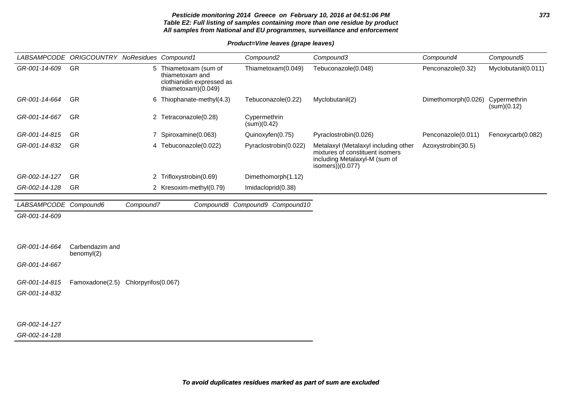### **Pesticide monitoring 2014 Greece on February 10, 2016 at 04:51:06 PM 373 Table E2: Full listing of samples containing more than one residue by product All samples from National and EU programmes, surveillance and enforcement**

**Product=Vine leaves (grape leaves)**

|                                | LABSAMPCODE ORIGCOUNTRY NoResidues Compound1 |                                                                                              |                           | Compound <sub>2</sub>          | Compound3                                                                                                                      | Compound4           | Compound5                   |
|--------------------------------|----------------------------------------------|----------------------------------------------------------------------------------------------|---------------------------|--------------------------------|--------------------------------------------------------------------------------------------------------------------------------|---------------------|-----------------------------|
| GR-001-14-609                  | GR                                           | 5 Thiametoxam (sum of<br>thiametoxam and<br>clothianidin expressed as<br>thiametoxam)(0.049) |                           | Thiametoxam(0.049)             | Tebuconazole(0.048)                                                                                                            | Penconazole(0.32)   | Myclobutanil(0.011)         |
| GR-001-14-664                  | <b>GR</b>                                    |                                                                                              | 6 Thiophanate-methyl(4.3) | Tebuconazole(0.22)             | Myclobutanil(2)                                                                                                                | Dimethomorph(0.026) | Cypermethrin<br>(sum)(0.12) |
| GR-001-14-667                  | GR                                           |                                                                                              | 2 Tetraconazole(0.28)     | Cypermethrin<br>(sum)(0.42)    |                                                                                                                                |                     |                             |
| GR-001-14-815                  | GR                                           | $\overline{7}$                                                                               | Spiroxamine(0.063)        | Quinoxyfen(0.75)               | Pyraclostrobin(0.026)                                                                                                          | Penconazole(0.011)  | Fenoxycarb(0.082)           |
| GR-001-14-832                  | GR                                           |                                                                                              | 4 Tebuconazole(0.022)     | Pyraclostrobin(0.022)          | Metalaxyl (Metalaxyl including other<br>mixtures of constituent isomers<br>including Metalaxyl-M (sum of<br>isomers $)(0.077)$ | Azoxystrobin(30.5)  |                             |
| GR-002-14-127                  | GR                                           |                                                                                              | 2 Trifloxystrobin(0.69)   | Dimethomorph(1.12)             |                                                                                                                                |                     |                             |
| GR-002-14-128                  | GR                                           |                                                                                              | 2 Kresoxim-methyl(0.79)   | Imidacloprid(0.38)             |                                                                                                                                |                     |                             |
| LABSAMPCODE Compound6          |                                              | Compound7                                                                                    |                           | Compound8 Compound9 Compound10 |                                                                                                                                |                     |                             |
| GR-001-14-609                  |                                              |                                                                                              |                           |                                |                                                                                                                                |                     |                             |
|                                |                                              |                                                                                              |                           |                                |                                                                                                                                |                     |                             |
| GR-001-14-664                  | Carbendazim and<br>benomyl(2)                |                                                                                              |                           |                                |                                                                                                                                |                     |                             |
| GR-001-14-667                  |                                              |                                                                                              |                           |                                |                                                                                                                                |                     |                             |
| GR-001-14-815<br>GR-001-14-832 | Famoxadone(2.5) Chlorpyrifos(0.067)          |                                                                                              |                           |                                |                                                                                                                                |                     |                             |
| GR-002-14-127                  |                                              |                                                                                              |                           |                                |                                                                                                                                |                     |                             |

GR-002-14-128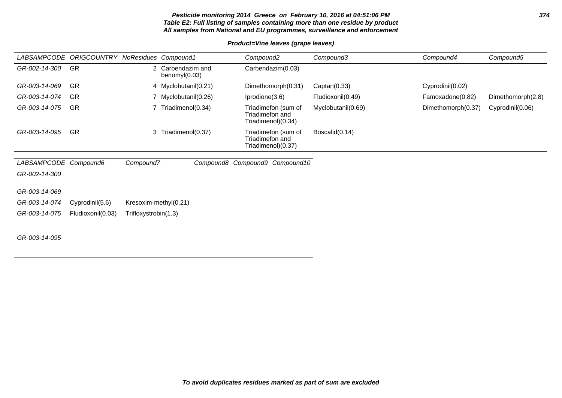### **Pesticide monitoring 2014 Greece on February 10, 2016 at 04:51:06 PM 374 Table E2: Full listing of samples containing more than one residue by product All samples from National and EU programmes, surveillance and enforcement**

**Product=Vine leaves (grape leaves)**

| <b>LABSAMPCODE</b>    | ORIGCOUNTRY NoResidues Compound1 |                       |                                    |  | Compound <sub>2</sub> |                                           | Compound3          |                  | Compound4          | Compound5         |
|-----------------------|----------------------------------|-----------------------|------------------------------------|--|-----------------------|-------------------------------------------|--------------------|------------------|--------------------|-------------------|
| GR-002-14-300         | <b>GR</b>                        |                       | 2 Carbendazim and<br>benomyl(0.03) |  |                       | Carbendazim(0.03)                         |                    |                  |                    |                   |
| GR-003-14-069         | GR                               |                       | 4 Myclobutanil(0.21)               |  |                       | Dimethomorph(0.31)                        | Captan(0.33)       | Cyprodinil(0.02) |                    |                   |
| GR-003-14-074         | GR                               |                       | 7 Myclobutanil(0.26)               |  | Iprodione(3.6)        |                                           | Fludioxonil(0.49)  |                  | Famoxadone(0.82)   | Dimethomorph(2.8) |
| GR-003-14-075         | <b>GR</b>                        |                       | Triadimenol(0.34)                  |  | Triadimefon and       | Triadimefon (sum of<br>Triadimenol)(0.34) | Myclobutanil(0.69) |                  | Dimethomorph(0.37) | Cyprodinil(0.06)  |
| GR-003-14-095         | GR                               |                       | 3 Triadimenol(0.37)                |  | Triadimefon and       | Triadimefon (sum of<br>Triadimenol)(0.37) | Boscalid(0.14)     |                  |                    |                   |
|                       |                                  |                       |                                    |  |                       |                                           |                    |                  |                    |                   |
| LABSAMPCODE Compound6 |                                  | Compound7             |                                    |  |                       | Compound8 Compound9 Compound10            |                    |                  |                    |                   |
| GR-002-14-300         |                                  |                       |                                    |  |                       |                                           |                    |                  |                    |                   |
| GR-003-14-069         |                                  |                       |                                    |  |                       |                                           |                    |                  |                    |                   |
| GR-003-14-074         | Cyprodinil(5.6)                  | Kresoxim-methyl(0.21) |                                    |  |                       |                                           |                    |                  |                    |                   |
| GR-003-14-075         | Fludioxonil(0.03)                | Trifloxystrobin(1.3)  |                                    |  |                       |                                           |                    |                  |                    |                   |
| GR-003-14-095         |                                  |                       |                                    |  |                       |                                           |                    |                  |                    |                   |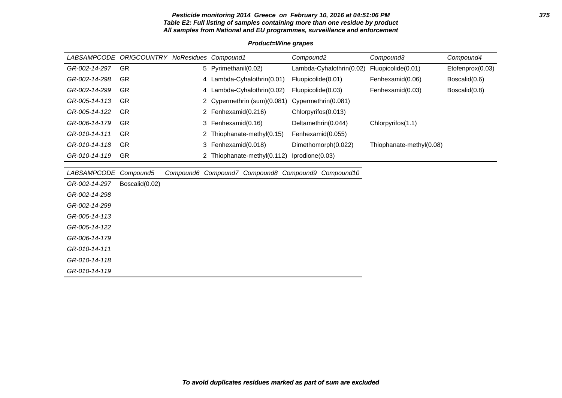#### **Pesticide monitoring 2014 Greece on February 10, 2016 at 04:51:06 PM 375 Table E2: Full listing of samples containing more than one residue by product All samples from National and EU programmes, surveillance and enforcement**

# LABSAMPCODE ORIGCOUNTRY NoResidues Compound1 Compound2 Compound3 Compound4 GR-002-14-297 GR 5 Pyrimethanil(0.02) Lambda-Cyhalothrin(0.02) Fluopicolide(0.01) Etofenprox(0.03) GR-002-14-298 GR 4 Lambda-Cyhalothrin(0.01) Fluopicolide(0.01) Fenhexamid(0.06) Boscalid(0.6) GR-002-14-299 GR 4 Lambda-Cyhalothrin(0.02) Fluopicolide(0.03) Fenhexamid(0.03) Boscalid(0.8) GR-005-14-113 GR 2 Cypermethrin (sum)(0.081) Cypermethrin(0.081) GR-005-14-122 GR 2 Fenhexamid(0.216) Chlorpyrifos(0.013) GR-006-14-179 GR 3 Fenhexamid(0.16) Deltamethrin(0.044) Chlorpyrifos(1.1) GR-010-14-111 GR 2 Thiophanate-methyl(0.15) Fenhexamid(0.055) GR-010-14-118 GR 3 Fenhexamid(0.018) Dimethomorph(0.022) Thiophanate-methyl(0.08) GR-010-14-119 GR 2 Thiophanate-methyl(0.112) Iprodione(0.03) LABSAMPCODE Compound5 Compound6 Compound7 Compound8 Compound9 Compound10

GR-002-14-297 Boscalid(0.02) GR-002-14-298 GR-002-14-299

GR-005-14-113

GR-005-14-122

GR-006-14-179

GR-010-14-111

GR-010-14-118

GR-010-14-119

## **Product=Wine grapes**